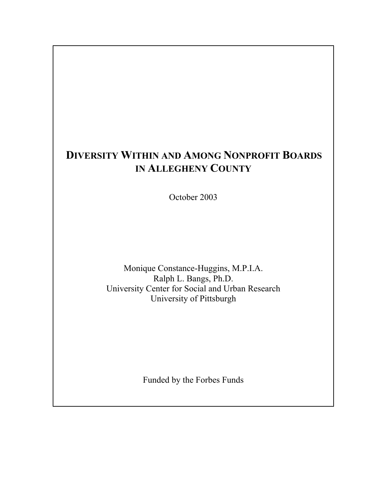# **DIVERSITY WITHIN AND AMONG NONPROFIT BOARDS IN ALLEGHENY COUNTY**

October 2003

Monique Constance-Huggins, M.P.I.A. Ralph L. Bangs, Ph.D. University Center for Social and Urban Research University of Pittsburgh

Funded by the Forbes Funds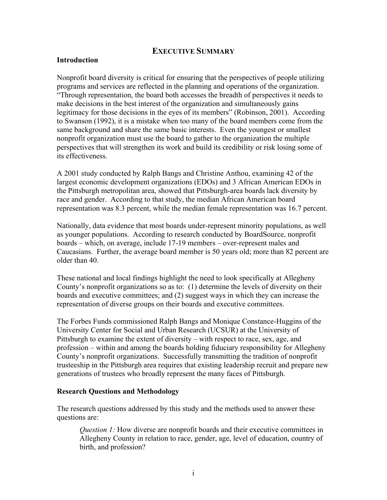### **EXECUTIVE SUMMARY**

#### **Introduction**

Nonprofit board diversity is critical for ensuring that the perspectives of people utilizing programs and services are reflected in the planning and operations of the organization. "Through representation, the board both accesses the breadth of perspectives it needs to make decisions in the best interest of the organization and simultaneously gains legitimacy for those decisions in the eyes of its members" (Robinson, 2001). According to Swanson (1992), it is a mistake when too many of the board members come from the same background and share the same basic interests. Even the youngest or smallest nonprofit organization must use the board to gather to the organization the multiple perspectives that will strengthen its work and build its credibility or risk losing some of its effectiveness.

A 2001 study conducted by Ralph Bangs and Christine Anthou, examining 42 of the largest economic development organizations (EDOs) and 3 African American EDOs in the Pittsburgh metropolitan area, showed that Pittsburgh-area boards lack diversity by race and gender. According to that study, the median African American board representation was 8.3 percent, while the median female representation was 16.7 percent.

Nationally, data evidence that most boards under-represent minority populations, as well as younger populations. According to research conducted by BoardSource, nonprofit boards – which, on average, include 17-19 members – over-represent males and Caucasians. Further, the average board member is 50 years old; more than 82 percent are older than 40.

These national and local findings highlight the need to look specifically at Allegheny County's nonprofit organizations so as to: (1) determine the levels of diversity on their boards and executive committees; and (2) suggest ways in which they can increase the representation of diverse groups on their boards and executive committees.

The Forbes Funds commissioned Ralph Bangs and Monique Constance-Huggins of the University Center for Social and Urban Research (UCSUR) at the University of Pittsburgh to examine the extent of diversity – with respect to race, sex, age, and profession – within and among the boards holding fiduciary responsibility for Allegheny County's nonprofit organizations. Successfully transmitting the tradition of nonprofit trusteeship in the Pittsburgh area requires that existing leadership recruit and prepare new generations of trustees who broadly represent the many faces of Pittsburgh.

#### **Research Questions and Methodology**

The research questions addressed by this study and the methods used to answer these questions are:

*Question 1:* How diverse are nonprofit boards and their executive committees in Allegheny County in relation to race, gender, age, level of education, country of birth, and profession?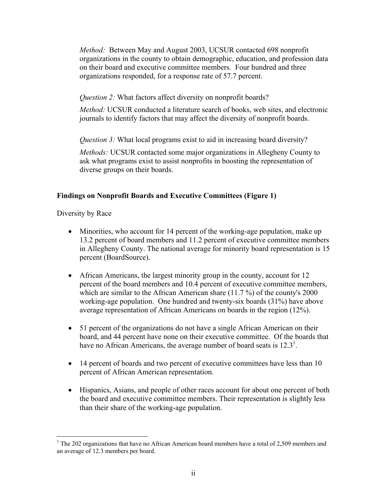*Method:* Between May and August 2003, UCSUR contacted 698 nonprofit organizations in the county to obtain demographic, education, and profession data on their board and executive committee members. Four hundred and three organizations responded, for a response rate of 57.7 percent.

*Question 2:* What factors affect diversity on nonprofit boards?

*Method:* UCSUR conducted a literature search of books, web sites, and electronic journals to identify factors that may affect the diversity of nonprofit boards.

*Ouestion 3:* What local programs exist to aid in increasing board diversity?

*Methods:* UCSUR contacted some major organizations in Allegheny County to ask what programs exist to assist nonprofits in boosting the representation of diverse groups on their boards.

# **Findings on Nonprofit Boards and Executive Committees (Figure 1)**

Diversity by Race

 $\overline{a}$ 

- Minorities, who account for 14 percent of the working-age population, make up 13.2 percent of board members and 11.2 percent of executive committee members in Allegheny County. The national average for minority board representation is 15 percent (BoardSource).
- African Americans, the largest minority group in the county, account for 12 percent of the board members and 10.4 percent of executive committee members, which are similar to the African American share (11.7 %) of the county's 2000 working-age population. One hundred and twenty-six boards (31%) have above average representation of African Americans on boards in the region (12%).
- 51 percent of the organizations do not have a single African American on their board, and 44 percent have none on their executive committee. Of the boards that have no African Americans, the average number of board seats is  $12.3<sup>1</sup>$ .
- 14 percent of boards and two percent of executive committees have less than 10 percent of African American representation.
- Hispanics, Asians, and people of other races account for about one percent of both the board and executive committee members. Their representation is slightly less than their share of the working-age population.

<sup>&</sup>lt;sup>1</sup> The 202 organizations that have no African American board members have a total of 2,509 members and an average of 12.3 members per board.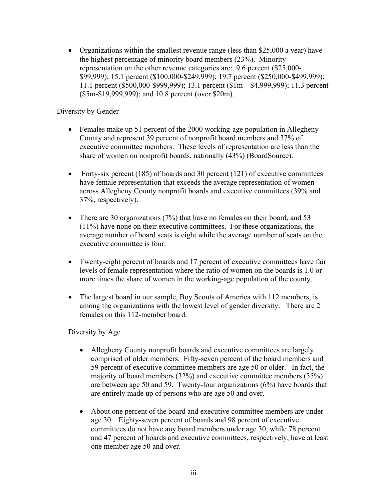• Organizations within the smallest revenue range (less than \$25,000 a year) have the highest percentage of minority board members (23%). Minority representation on the other revenue categories are: 9.6 percent (\$25,000- \$99,999); 15.1 percent (\$100,000-\$249,999); 19.7 percent (\$250,000-\$499,999); 11.1 percent (\$500,000-\$999,999); 13.1 percent (\$1m – \$4,999,999); 11.3 percent (\$5m-\$19,999,999); and 10.8 percent (over \$20m).

### Diversity by Gender

- Females make up 51 percent of the 2000 working-age population in Allegheny County and represent 39 percent of nonprofit board members and 37% of executive committee members. These levels of representation are less than the share of women on nonprofit boards, nationally (43%) (BoardSource).
- Forty-six percent (185) of boards and 30 percent (121) of executive committees have female representation that exceeds the average representation of women across Allegheny County nonprofit boards and executive committees (39% and 37%, respectively).
- There are 30 organizations (7%) that have no females on their board, and 53 (11%) have none on their executive committees. For these organizations, the average number of board seats is eight while the average number of seats on the executive committee is four.
- Twenty-eight percent of boards and 17 percent of executive committees have fair levels of female representation where the ratio of women on the boards is 1.0 or more times the share of women in the working-age population of the county.
- The largest board in our sample, Boy Scouts of America with 112 members, is among the organizations with the lowest level of gender diversity. There are 2 females on this 112-member board.

Diversity by Age

- Allegheny County nonprofit boards and executive committees are largely comprised of older members. Fifty-seven percent of the board members and 59 percent of executive committee members are age 50 or older. In fact, the majority of board members (32%) and executive committee members (35%) are between age 50 and 59. Twenty-four organizations (6%) have boards that are entirely made up of persons who are age 50 and over.
- About one percent of the board and executive committee members are under age 30. Eighty-seven percent of boards and 98 percent of executive committees do not have any board members under age 30, while 78 percent and 47 percent of boards and executive committees, respectively, have at least one member age 50 and over.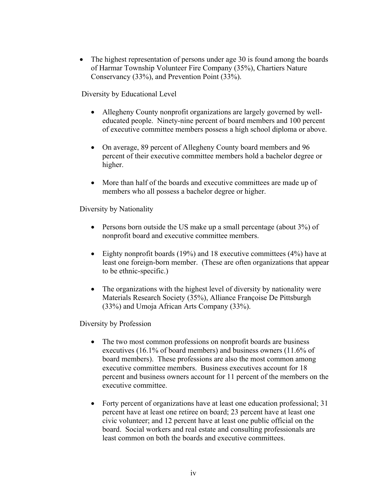• The highest representation of persons under age 30 is found among the boards of Harmar Township Volunteer Fire Company (35%), Chartiers Nature Conservancy (33%), and Prevention Point (33%).

Diversity by Educational Level

- Allegheny County nonprofit organizations are largely governed by welleducated people. Ninety-nine percent of board members and 100 percent of executive committee members possess a high school diploma or above.
- On average, 89 percent of Allegheny County board members and 96 percent of their executive committee members hold a bachelor degree or higher.
- More than half of the boards and executive committees are made up of members who all possess a bachelor degree or higher.

Diversity by Nationality

- Persons born outside the US make up a small percentage (about 3%) of nonprofit board and executive committee members.
- Eighty nonprofit boards (19%) and 18 executive committees (4%) have at least one foreign-born member. (These are often organizations that appear to be ethnic-specific.)
- The organizations with the highest level of diversity by nationality were Materials Research Society (35%), Alliance Françoise De Pittsburgh (33%) and Umoja African Arts Company (33%).

Diversity by Profession

- The two most common professions on nonprofit boards are business executives (16.1% of board members) and business owners (11.6% of board members). These professions are also the most common among executive committee members. Business executives account for 18 percent and business owners account for 11 percent of the members on the executive committee.
- Forty percent of organizations have at least one education professional; 31 percent have at least one retiree on board; 23 percent have at least one civic volunteer; and 12 percent have at least one public official on the board. Social workers and real estate and consulting professionals are least common on both the boards and executive committees.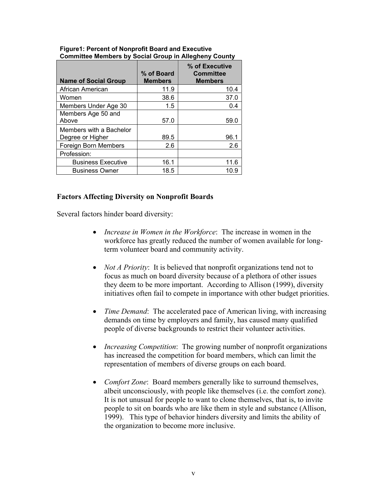| <b>Name of Social Group</b>                 | % of Board<br><b>Members</b> | % of Executive<br><b>Committee</b><br><b>Members</b> |
|---------------------------------------------|------------------------------|------------------------------------------------------|
| African American                            | 11.9                         | 10.4                                                 |
| Women                                       | 38.6                         | 37.0                                                 |
| Members Under Age 30                        | 1.5                          | 0.4                                                  |
| Members Age 50 and<br>Above                 | 57.0                         | 59.0                                                 |
| Members with a Bachelor<br>Degree or Higher | 89.5                         | 96.1                                                 |
| Foreign Born Members                        | 2.6                          | 26                                                   |
| Profession:                                 |                              |                                                      |
| <b>Business Executive</b>                   | 16.1                         | 11.6                                                 |
| <b>Business Owner</b>                       | 18.5                         | 10.9                                                 |

#### **Figure1: Percent of Nonprofit Board and Executive Committee Members by Social Group in Allegheny County**

### **Factors Affecting Diversity on Nonprofit Boards**

Several factors hinder board diversity:

- *Increase in Women in the Workforce*: The increase in women in the workforce has greatly reduced the number of women available for longterm volunteer board and community activity.
- *Not A Priority*: It is believed that nonprofit organizations tend not to focus as much on board diversity because of a plethora of other issues they deem to be more important. According to Allison (1999), diversity initiatives often fail to compete in importance with other budget priorities.
- *Time Demand*: The accelerated pace of American living, with increasing demands on time by employers and family, has caused many qualified people of diverse backgrounds to restrict their volunteer activities.
- *Increasing Competition*: The growing number of nonprofit organizations has increased the competition for board members, which can limit the representation of members of diverse groups on each board.
- *Comfort Zone*: Board members generally like to surround themselves, albeit unconsciously, with people like themselves (i.e. the comfort zone). It is not unusual for people to want to clone themselves, that is, to invite people to sit on boards who are like them in style and substance (Allison, 1999). This type of behavior hinders diversity and limits the ability of the organization to become more inclusive.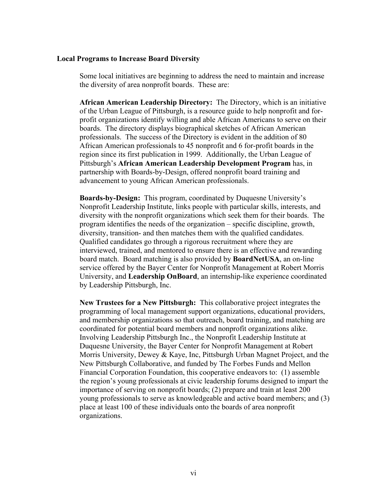#### **Local Programs to Increase Board Diversity**

Some local initiatives are beginning to address the need to maintain and increase the diversity of area nonprofit boards. These are:

**African American Leadership Directory:** The Directory, which is an initiative of the Urban League of Pittsburgh, is a resource guide to help nonprofit and forprofit organizations identify willing and able African Americans to serve on their boards. The directory displays biographical sketches of African American professionals. The success of the Directory is evident in the addition of 80 African American professionals to 45 nonprofit and 6 for-profit boards in the region since its first publication in 1999. Additionally, the Urban League of Pittsburgh's **African American Leadership Development Program** has, in partnership with Boards-by-Design, offered nonprofit board training and advancement to young African American professionals.

**Boards-by-Design:** This program, coordinated by Duquesne University's Nonprofit Leadership Institute, links people with particular skills, interests, and diversity with the nonprofit organizations which seek them for their boards. The program identifies the needs of the organization – specific discipline, growth, diversity, transition- and then matches them with the qualified candidates. Qualified candidates go through a rigorous recruitment where they are interviewed, trained, and mentored to ensure there is an effective and rewarding board match. Board matching is also provided by **BoardNetUSA**, an on-line service offered by the Bayer Center for Nonprofit Management at Robert Morris University, and **Leadership OnBoard**, an internship-like experience coordinated by Leadership Pittsburgh, Inc.

**New Trustees for a New Pittsburgh:** This collaborative project integrates the programming of local management support organizations, educational providers, and membership organizations so that outreach, board training, and matching are coordinated for potential board members and nonprofit organizations alike. Involving Leadership Pittsburgh Inc., the Nonprofit Leadership Institute at Duquesne University, the Bayer Center for Nonprofit Management at Robert Morris University, Dewey  $\&$  Kaye, Inc, Pittsburgh Urban Magnet Project, and the New Pittsburgh Collaborative, and funded by The Forbes Funds and Mellon Financial Corporation Foundation, this cooperative endeavors to: (1) assemble the region's young professionals at civic leadership forums designed to impart the importance of serving on nonprofit boards; (2) prepare and train at least 200 young professionals to serve as knowledgeable and active board members; and (3) place at least 100 of these individuals onto the boards of area nonprofit organizations.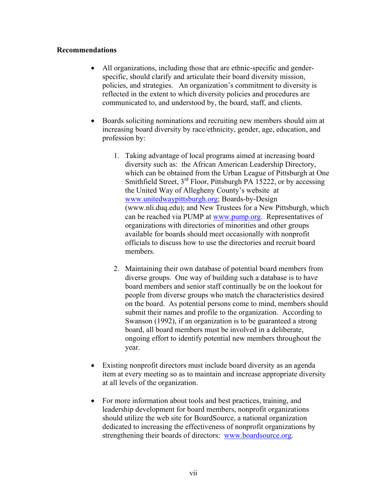#### **Recommendations**

- All organizations, including those that are ethnic-specific and genderspecific, should clarify and articulate their board diversity mission, policies, and strategies. An organization's commitment to diversity is reflected in the extent to which diversity policies and procedures are communicated to, and understood by, the board, staff, and clients.
- Boards soliciting nominations and recruiting new members should aim at increasing board diversity by race/ethnicity, gender, age, education, and profession by:
	- 1. Taking advantage of local programs aimed at increasing board diversity such as: the African American Leadership Directory, which can be obtained from the Urban League of Pittsburgh at One Smithfield Street,  $3<sup>rd</sup>$  Floor, Pittsburgh PA 15222, or by accessing the United Way of Allegheny County's website at www.unitedwaypittsburgh.org; Boards-by-Design (www.nli.duq.edu); and New Trustees for a New Pittsburgh, which can be reached via PUMP at www.pump.org. Representatives of organizations with directories of minorities and other groups available for boards should meet occasionally with nonprofit officials to discuss how to use the directories and recruit board members.
	- 2. Maintaining their own database of potential board members from diverse groups. One way of building such a database is to have board members and senior staff continually be on the lookout for people from diverse groups who match the characteristics desired on the board. As potential persons come to mind, members should submit their names and profile to the organization. According to Swanson (1992), if an organization is to be guaranteed a strong board, all board members must be involved in a deliberate, ongoing effort to identify potential new members throughout the year.
- Existing nonprofit directors must include board diversity as an agenda item at every meeting so as to maintain and increase appropriate diversity at all levels of the organization.
- For more information about tools and best practices, training, and leadership development for board members, nonprofit organizations should utilize the web site for BoardSource, a national organization dedicated to increasing the effectiveness of nonprofit organizations by strengthening their boards of directors: www.boardsource.org.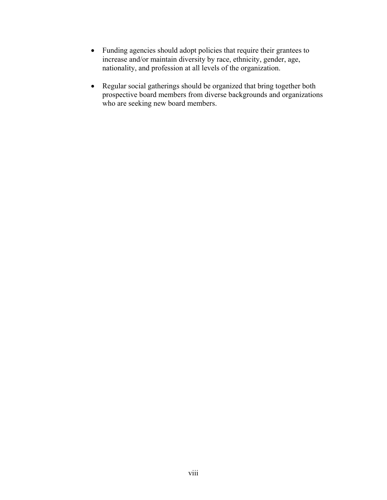- Funding agencies should adopt policies that require their grantees to increase and/or maintain diversity by race, ethnicity, gender, age, nationality, and profession at all levels of the organization.
- Regular social gatherings should be organized that bring together both prospective board members from diverse backgrounds and organizations who are seeking new board members.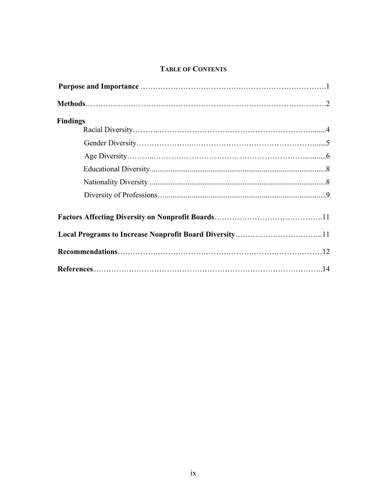# **TABLE OF CONTENTS**

| <b>Findings</b> |  |
|-----------------|--|
|                 |  |
|                 |  |
|                 |  |
|                 |  |
|                 |  |
|                 |  |
|                 |  |
|                 |  |
|                 |  |
|                 |  |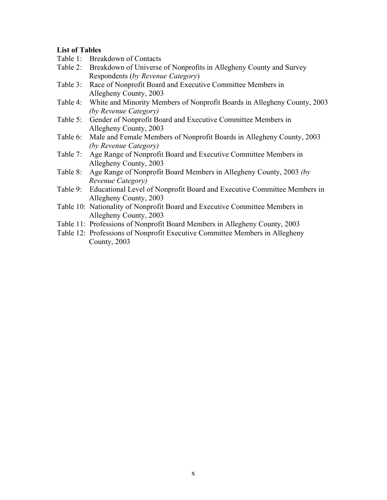# **List of Tables**

- Table 1: Breakdown of Contacts
- Table 2: Breakdown of Universe of Nonprofits in Allegheny County and Survey Respondents (*by Revenue Category*)
- Table 3: Race of Nonprofit Board and Executive Committee Members in Allegheny County, 2003
- Table 4: White and Minority Members of Nonprofit Boards in Allegheny County, 2003 *(by Revenue Category)*
- Table 5: Gender of Nonprofit Board and Executive Committee Members in Allegheny County, 2003
- Table 6: Male and Female Members of Nonprofit Boards in Allegheny County, 2003 *(by Revenue Category)*
- Table 7: Age Range of Nonprofit Board and Executive Committee Members in Allegheny County, 2003
- Table 8: Age Range of Nonprofit Board Members in Allegheny County, 2003 *(by Revenue Category)*
- Table 9: Educational Level of Nonprofit Board and Executive Committee Members in Allegheny County, 2003
- Table 10: Nationality of Nonprofit Board and Executive Committee Members in Allegheny County, 2003
- Table 11: Professions of Nonprofit Board Members in Allegheny County, 2003
- Table 12: Professions of Nonprofit Executive Committee Members in Allegheny County, 2003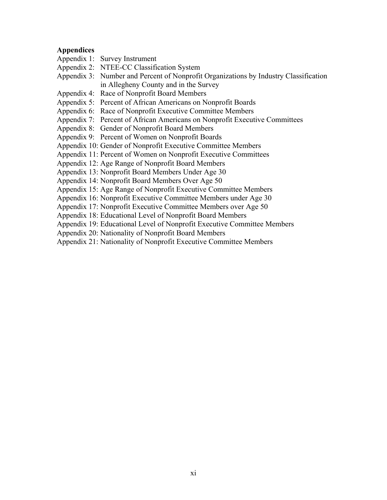### **Appendices**

- Appendix 1: Survey Instrument
- Appendix 2: NTEE-CC Classification System
- Appendix 3: Number and Percent of Nonprofit Organizations by Industry Classification in Allegheny County and in the Survey
- Appendix 4: Race of Nonprofit Board Members
- Appendix 5: Percent of African Americans on Nonprofit Boards
- Appendix 6: Race of Nonprofit Executive Committee Members
- Appendix 7: Percent of African Americans on Nonprofit Executive Committees
- Appendix 8: Gender of Nonprofit Board Members
- Appendix 9: Percent of Women on Nonprofit Boards
- Appendix 10: Gender of Nonprofit Executive Committee Members
- Appendix 11: Percent of Women on Nonprofit Executive Committees
- Appendix 12: Age Range of Nonprofit Board Members
- Appendix 13: Nonprofit Board Members Under Age 30
- Appendix 14: Nonprofit Board Members Over Age 50
- Appendix 15: Age Range of Nonprofit Executive Committee Members
- Appendix 16: Nonprofit Executive Committee Members under Age 30
- Appendix 17: Nonprofit Executive Committee Members over Age 50
- Appendix 18: Educational Level of Nonprofit Board Members
- Appendix 19: Educational Level of Nonprofit Executive Committee Members
- Appendix 20: Nationality of Nonprofit Board Members
- Appendix 21: Nationality of Nonprofit Executive Committee Members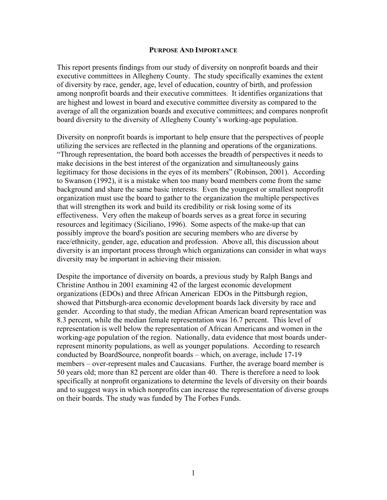#### **PURPOSE AND IMPORTANCE**

This report presents findings from our study of diversity on nonprofit boards and their executive committees in Allegheny County. The study specifically examines the extent of diversity by race, gender, age, level of education, country of birth, and profession among nonprofit boards and their executive committees. It identifies organizations that are highest and lowest in board and executive committee diversity as compared to the average of all the organization boards and executive committees; and compares nonprofit board diversity to the diversity of Allegheny County's working-age population.

Diversity on nonprofit boards is important to help ensure that the perspectives of people utilizing the services are reflected in the planning and operations of the organizations. "Through representation, the board both accesses the breadth of perspectives it needs to make decisions in the best interest of the organization and simultaneously gains legitimacy for those decisions in the eyes of its members" (Robinson, 2001). According to Swanson (1992), it is a mistake when too many board members come from the same background and share the same basic interests. Even the youngest or smallest nonprofit organization must use the board to gather to the organization the multiple perspectives that will strengthen its work and build its credibility or risk losing some of its effectiveness. Very often the makeup of boards serves as a great force in securing resources and legitimacy (Siciliano, 1996). Some aspects of the make-up that can possibly improve the board's position are securing members who are diverse by race/ethnicity, gender, age, education and profession. Above all, this discussion about diversity is an important process through which organizations can consider in what ways diversity may be important in achieving their mission.

Despite the importance of diversity on boards, a previous study by Ralph Bangs and Christine Anthou in 2001 examining 42 of the largest economic development organizations (EDOs) and three African American EDOs in the Pittsburgh region, showed that Pittsburgh-area economic development boards lack diversity by race and gender. According to that study, the median African American board representation was 8.3 percent, while the median female representation was 16.7 percent. This level of representation is well below the representation of African Americans and women in the working-age population of the region. Nationally, data evidence that most boards underrepresent minority populations, as well as younger populations. According to research conducted by BoardSource, nonprofit boards – which, on average, include 17-19 members – over-represent males and Caucasians. Further, the average board member is 50 years old; more than 82 percent are older than 40. There is therefore a need to look specifically at nonprofit organizations to determine the levels of diversity on their boards and to suggest ways in which nonprofits can increase the representation of diverse groups on their boards. The study was funded by The Forbes Funds.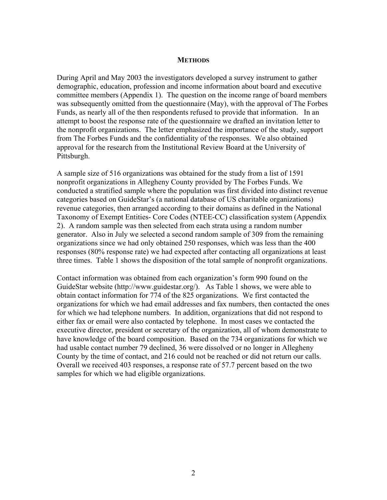#### **METHODS**

During April and May 2003 the investigators developed a survey instrument to gather demographic, education, profession and income information about board and executive committee members (Appendix 1). The question on the income range of board members was subsequently omitted from the questionnaire (May), with the approval of The Forbes Funds, as nearly all of the then respondents refused to provide that information. In an attempt to boost the response rate of the questionnaire we drafted an invitation letter to the nonprofit organizations. The letter emphasized the importance of the study, support from The Forbes Funds and the confidentiality of the responses. We also obtained approval for the research from the Institutional Review Board at the University of Pittsburgh.

A sample size of 516 organizations was obtained for the study from a list of 1591 nonprofit organizations in Allegheny County provided by The Forbes Funds. We conducted a stratified sample where the population was first divided into distinct revenue categories based on GuideStar's (a national database of US charitable organizations) revenue categories, then arranged according to their domains as defined in the National Taxonomy of Exempt Entities- Core Codes (NTEE-CC) classification system (Appendix 2). A random sample was then selected from each strata using a random number generator. Also in July we selected a second random sample of 309 from the remaining organizations since we had only obtained 250 responses, which was less than the 400 responses (80% response rate) we had expected after contacting all organizations at least three times. Table 1 shows the disposition of the total sample of nonprofit organizations.

Contact information was obtained from each organization's form 990 found on the GuideStar website (http://www.guidestar.org/). As Table 1 shows, we were able to obtain contact information for 774 of the 825 organizations. We first contacted the organizations for which we had email addresses and fax numbers, then contacted the ones for which we had telephone numbers. In addition, organizations that did not respond to either fax or email were also contacted by telephone. In most cases we contacted the executive director, president or secretary of the organization, all of whom demonstrate to have knowledge of the board composition. Based on the 734 organizations for which we had usable contact number 79 declined, 36 were dissolved or no longer in Allegheny County by the time of contact, and 216 could not be reached or did not return our calls. Overall we received 403 responses, a response rate of 57.7 percent based on the two samples for which we had eligible organizations.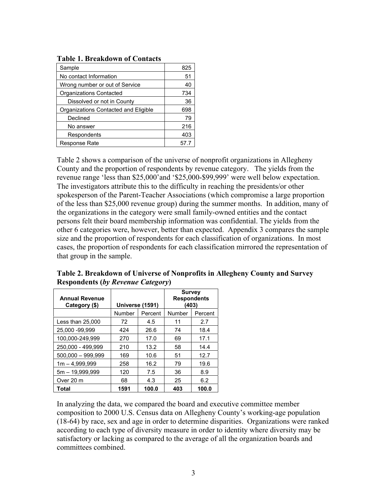| Sample                               | 825  |
|--------------------------------------|------|
| No contact Information               | 51   |
| Wrong number or out of Service       | 40   |
| Organizations Contacted              | 734  |
| Dissolved or not in County           | 36   |
| Organizations Contacted and Eligible | 698  |
| Declined                             | 79   |
| No answer                            | 216  |
| Respondents                          | 403  |
| Response Rate                        | 57.7 |

Table 2 shows a comparison of the universe of nonprofit organizations in Allegheny County and the proportion of respondents by revenue category. The yields from the revenue range 'less than \$25,000'and '\$25,000-\$99,999' were well below expectation. The investigators attribute this to the difficulty in reaching the presidents/or other spokesperson of the Parent-Teacher Associations (which compromise a large proportion of the less than \$25,000 revenue group) during the summer months. In addition, many of the organizations in the category were small family-owned entities and the contact persons felt their board membership information was confidential. The yields from the other 6 categories were, however, better than expected. Appendix 3 compares the sample size and the proportion of respondents for each classification of organizations. In most cases, the proportion of respondents for each classification mirrored the representation of that group in the sample.

| <b>Annual Revenue</b><br>Category (\$) | Universe (1591) |         | <b>Survey</b><br><b>Respondents</b><br>(403) |         |  |  |
|----------------------------------------|-----------------|---------|----------------------------------------------|---------|--|--|
|                                        | Number          | Percent | Number                                       | Percent |  |  |
| Less than 25,000                       | 72              | 4.5     | 11                                           | 2.7     |  |  |
| 25,000 - 99,999                        | 424             | 26.6    | 74                                           | 18.4    |  |  |
| 100.000-249.999                        | 270             | 17.0    | 69                                           | 17.1    |  |  |
| 250,000 - 499,999                      | 210             | 13.2    | 58                                           | 14.4    |  |  |
| $500,000 - 999,999$                    | 169             | 10.6    | 51                                           | 12.7    |  |  |
| $1m - 4,999,999$                       | 258             | 16.2    | 79                                           | 19.6    |  |  |
| 5m - 19.999.999                        | 120             | 7.5     | 36                                           | 8.9     |  |  |
| Over 20 m                              | 68              | 4.3     | 25                                           | 6.2     |  |  |
| Total                                  | 1591            | 100.0   | 403                                          | 100.0   |  |  |

**Table 2. Breakdown of Universe of Nonprofits in Allegheny County and Survey Respondents (***by Revenue Category***)**

In analyzing the data, we compared the board and executive committee member composition to 2000 U.S. Census data on Allegheny County's working-age population (18-64) by race, sex and age in order to determine disparities. Organizations were ranked according to each type of diversity measure in order to identity where diversity may be satisfactory or lacking as compared to the average of all the organization boards and committees combined.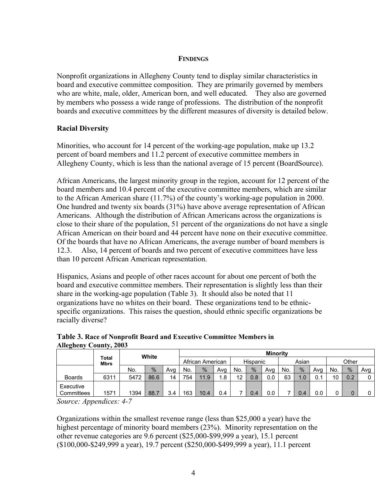### **FINDINGS**

Nonprofit organizations in Allegheny County tend to display similar characteristics in board and executive committee composition. They are primarily governed by members who are white, male, older, American born, and well educated. They also are governed by members who possess a wide range of professions. The distribution of the nonprofit boards and executive committees by the different measures of diversity is detailed below.

### **Racial Diversity**

Minorities, who account for 14 percent of the working-age population, make up 13.2 percent of board members and 11.2 percent of executive committee members in Allegheny County, which is less than the national average of 15 percent (BoardSource).

African Americans, the largest minority group in the region, account for 12 percent of the board members and 10.4 percent of the executive committee members, which are similar to the African American share (11.7%) of the county's working-age population in 2000. One hundred and twenty six boards (31%) have above average representation of African Americans. Although the distribution of African Americans across the organizations is close to their share of the population, 51 percent of the organizations do not have a single African American on their board and 44 percent have none on their executive committee. Of the boards that have no African Americans, the average number of board members is 12.3. Also, 14 percent of boards and two percent of executive committees have less than 10 percent African American representation.

Hispanics, Asians and people of other races account for about one percent of both the board and executive committee members. Their representation is slightly less than their share in the working-age population (Table 3). It should also be noted that 11 organizations have no whites on their board. These organizations tend to be ethnicspecific organizations. This raises the question, should ethnic specific organizations be racially diverse?

|                         | White                |      |      |     |                  | <b>Minority</b> |     |          |     |     |       |      |     |       |               |     |
|-------------------------|----------------------|------|------|-----|------------------|-----------------|-----|----------|-----|-----|-------|------|-----|-------|---------------|-----|
|                         | Total<br><b>Mbrs</b> |      |      |     | African American |                 |     | Hispanic |     |     | Asian |      |     | Other |               |     |
|                         |                      | No.  | $\%$ | Avg | No.              | $\%$            | Ava | No.      | %   | Avg | No.   | $\%$ | Avg | No.   | $\frac{0}{0}$ | Avg |
| <b>Boards</b>           | 6311                 | 5472 | 86.6 | 14  | 754              | 11.9            | 1.8 | 12       | 0.8 | 0.0 | 63    | 1.0  | 0.1 | 10    | 0.2           | 0   |
| Executive<br>Committees | 1571                 | 1394 | 88.7 | 3.4 | 163              | 10.4            | 0.4 |          | 0.4 | 0.0 |       | 0.4  | 0.0 | ⊾     | 0             | 0   |

| Table 3. Race of Nonprofit Board and Executive Committee Members in |  |  |
|---------------------------------------------------------------------|--|--|
| Allegheny County, 2003                                              |  |  |

*Source: Appendices: 4-7* 

Organizations within the smallest revenue range (less than \$25,000 a year) have the highest percentage of minority board members (23%). Minority representation on the other revenue categories are 9.6 percent (\$25,000-\$99,999 a year), 15.1 percent (\$100,000-\$249,999 a year), 19.7 percent (\$250,000-\$499,999 a year), 11.1 percent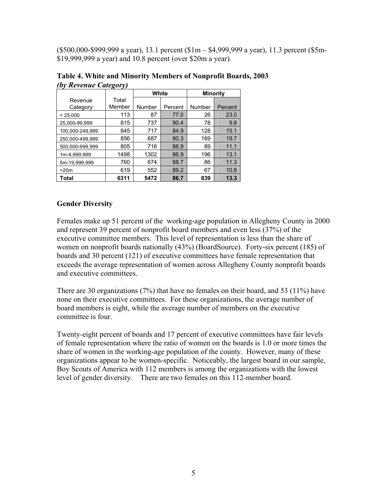(\$500,000-\$999,999 a year), 13.1 percent (\$1m – \$4,999,999 a year), 11.3 percent (\$5m- \$19,999,999 a year) and 10.8 percent (over \$20m a year).

| −.,<br>8 - J    |        |        |         |                 |         |  |  |  |  |  |
|-----------------|--------|--------|---------|-----------------|---------|--|--|--|--|--|
|                 |        | White  |         | <b>Minority</b> |         |  |  |  |  |  |
| Revenue         | Total  |        |         |                 |         |  |  |  |  |  |
| Category        | Member | Number | Percent | Number          | Percent |  |  |  |  |  |
| < 25,000        | 113    | 87     | 77.0    | 26              | 23.0    |  |  |  |  |  |
| 25.000-99.999   | 815    | 737    | 90.4    | 78              | 9.6     |  |  |  |  |  |
| 100.000-249.999 | 845    | 717    | 84.9    | 128             | 15.1    |  |  |  |  |  |
| 250.000-499.999 | 856    | 687    | 80.3    | 169             | 19.7    |  |  |  |  |  |
| 500.000-999.999 | 805    | 716    | 88.9    | 89              | 11.1    |  |  |  |  |  |
| 1m-4.999.999    | 1498   | 1302   | 86.9    | 196             | 13.1    |  |  |  |  |  |
| 5m-19.999.999   | 760    | 674    | 88.7    | 86              | 11.3    |  |  |  |  |  |
| >20m            | 619    | 552    | 89.2    | 67              | 10.8    |  |  |  |  |  |
| Total           | 6311   | 5472   | 86.7    | 839             | 13.3    |  |  |  |  |  |

**Table 4. White and Minority Members of Nonprofit Boards, 2003**  *(by Revenue Category)* 

### **Gender Diversity**

Females make up 51 percent of the working-age population in Allegheny County in 2000 and represent 39 percent of nonprofit board members and even less (37%) of the executive committee members. This level of representation is less than the share of women on nonprofit boards nationally (43%) (BoardSource). Forty-six percent (185) of boards and 30 percent (121) of executive committees have female representation that exceeds the average representation of women across Allegheny County nonprofit boards and executive committees.

There are 30 organizations (7%) that have no females on their board, and 53 (11%) have none on their executive committees. For these organizations, the average number of board members is eight, while the average number of members on the executive committee is four.

Twenty-eight percent of boards and 17 percent of executive committees have fair levels of female representation where the ratio of women on the boards is 1.0 or more times the share of women in the working-age population of the county. However, many of these organizations appear to be women-specific. Noticeably, the largest board in our sample, Boy Scouts of America with 112 members is among the organizations with the lowest level of gender diversity. There are two females on this 112-member board.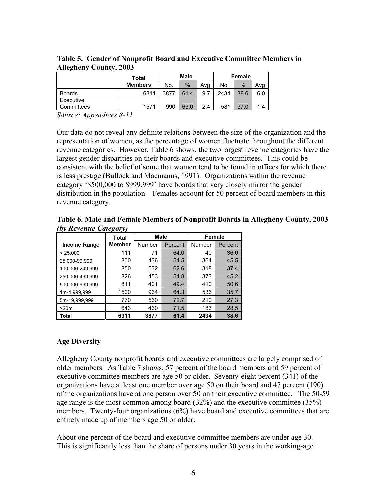|               | Total          |      | <b>Male</b> |     | Female |      |     |  |
|---------------|----------------|------|-------------|-----|--------|------|-----|--|
|               | <b>Members</b> | No.  | %           | Ava | No     | %    | Avq |  |
| <b>Boards</b> | 6311           | 3877 | 61.4        | 9.7 | 2434   | 38.6 | 6.0 |  |
| Executive     |                |      |             |     |        |      |     |  |
| Committees    | 1571           | 990  | 63.0        | 24  | 581    | 37.0 | 1.4 |  |

**Table 5. Gender of Nonprofit Board and Executive Committee Members in Allegheny County, 2003** 

*Source: Appendices 8-11* 

Our data do not reveal any definite relations between the size of the organization and the representation of women, as the percentage of women fluctuate throughout the different revenue categories. However, Table 6 shows, the two largest revenue categories have the largest gender disparities on their boards and executive committees. This could be consistent with the belief of some that women tend to be found in offices for which there is less prestige (Bullock and Macmanus, 1991). Organizations within the revenue category '\$500,000 to \$999,999' have boards that very closely mirror the gender distribution in the population. Females account for 50 percent of board members in this revenue category.

**Table 6. Male and Female Members of Nonprofit Boards in Allegheny County, 2003**  *(by Revenue Category)* 

|                 | <b>Total</b>  | <b>Male</b> |         | <b>Female</b> |         |
|-----------------|---------------|-------------|---------|---------------|---------|
| Income Range    | <b>Member</b> | Number      | Percent | Number        | Percent |
| < 25.000        | 111           | 71          | 64.0    | 40            | 36.0    |
| 25,000-99,999   | 800           | 436         | 54.5    | 364           | 45.5    |
| 100,000-249,999 | 850           | 532         | 62.6    | 318           | 37.4    |
| 250.000-499.999 | 826           | 453         | 54.8    | 373           | 45.2    |
| 500.000-999.999 | 811           | 401         | 49.4    | 410           | 50.6    |
| 1m-4,999,999    | 1500          | 964         | 64.3    | 536           | 35.7    |
| 5m-19,999,999   | 770           | 560         | 72.7    | 210           | 27.3    |
| >20m            | 643           | 460         | 71.5    | 183           | 28.5    |
| Total           | 6311          | 3877        | 61.4    | 2434          | 38.6    |

### **Age Diversity**

Allegheny County nonprofit boards and executive committees are largely comprised of older members. As Table 7 shows, 57 percent of the board members and 59 percent of executive committee members are age 50 or older. Seventy-eight percent (341) of the organizations have at least one member over age 50 on their board and 47 percent (190) of the organizations have at one person over 50 on their executive committee. The 50-59 age range is the most common among board (32%) and the executive committee (35%) members. Twenty-four organizations (6%) have board and executive committees that are entirely made up of members age 50 or older.

About one percent of the board and executive committee members are under age 30. This is significantly less than the share of persons under 30 years in the working-age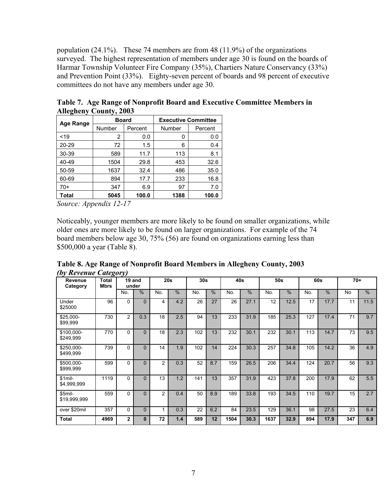population (24.1%). These 74 members are from 48 (11.9%) of the organizations surveyed. The highest representation of members under age 30 is found on the boards of Harmar Township Volunteer Fire Company (35%), Chartiers Nature Conservancy (33%) and Prevention Point (33%). Eighty-seven percent of boards and 98 percent of executive committees do not have any members under age 30.

| Age Range | <b>Board</b> |         | <b>Executive Committee</b> |         |  |  |
|-----------|--------------|---------|----------------------------|---------|--|--|
|           | Number       | Percent | Number                     | Percent |  |  |
| 19        | 2<br>0.0     |         | 0                          | 0.0     |  |  |
| 20-29     | 72           | 1.5     | 6                          | 0.4     |  |  |
| 30-39     | 589          | 11.7    | 113                        | 8.1     |  |  |
| 40-49     | 1504         | 29.8    | 453                        | 32.6    |  |  |
| 50-59     | 1637         | 32.4    | 486                        | 35.0    |  |  |
| 60-69     | 894          | 17.7    | 233                        | 16.8    |  |  |
| $70+$     | 347<br>6.9   |         | 97                         | 7.0     |  |  |
| Total     | 5045         | 100.0   | 1388                       | 100.0   |  |  |

**Table 7. Age Range of Nonprofit Board and Executive Committee Members in Allegheny County, 2003** 

*Source: Appendix 12-17* 

Noticeably, younger members are more likely to be found on smaller organizations, while older ones are more likely to be found on larger organizations. For example of the 74 board members below age 30, 75% (56) are found on organizations earning less than \$500,000 a year (Table 8).

**Table 8. Age Range of Nonprofit Board Members in Allegheny County, 2003**  *(by Revenue Category)* 

| Revenue<br>Category     | Total<br><b>Mbrs</b> |                | 19 and<br>under |                | 20s | 30s |               | 40s  |               | 50s  |               |     | 60s  | $70+$ |               |
|-------------------------|----------------------|----------------|-----------------|----------------|-----|-----|---------------|------|---------------|------|---------------|-----|------|-------|---------------|
|                         |                      | No.            | $\frac{0}{0}$   | No.            | %   | No. | $\frac{0}{0}$ | No.  | $\frac{0}{0}$ | No.  | $\frac{0}{0}$ | No. | %    | No    | $\frac{0}{0}$ |
| Under<br>\$25000        | 96                   | $\mathbf{0}$   | $\Omega$        | 4              | 4.2 | 26  | 27            | 26   | 27.1          | 12   | 12.5          | 17  | 17.7 | 11    | 11.5          |
| \$25,000-<br>\$99,999   | 730                  | $\overline{2}$ | 0.3             | 18             | 2.5 | 94  | 13            | 233  | 31.9          | 185  | 25.3          | 127 | 17.4 | 71    | 9.7           |
| \$100,000-<br>\$249,999 | 770                  | 0              | $\Omega$        | 18             | 2.3 | 102 | 13            | 232  | 30.1          | 232  | 30.1          | 113 | 14.7 | 73    | 9.5           |
| \$250,000-<br>\$499,999 | 739                  | 0              | $\Omega$        | 14             | 1.9 | 102 | 14            | 224  | 30.3          | 257  | 34.8          | 105 | 14.2 | 36    | 4.9           |
| \$500,000-<br>\$999,999 | 599                  | 0              | $\Omega$        | $\overline{2}$ | 0.3 | 52  | 8.7           | 159  | 26.5          | 206  | 34.4          | 124 | 20.7 | 56    | 9.3           |
| $$1mi-$<br>\$4,999,999  | 1119                 | 0              | $\Omega$        | 13             | 1.2 | 141 | 13            | 357  | 31.9          | 423  | 37.8          | 200 | 17.9 | 62    | 5.5           |
| \$5mil-<br>\$19,999,999 | 559                  | 0              | $\Omega$        | 2              | 0.4 | 50  | 8.9           | 189  | 33.8          | 193  | 34.5          | 110 | 19.7 | 15    | 2.7           |
| over \$20mil            | 357                  | 0              | $\mathbf{0}$    |                | 0.3 | 22  | 6.2           | 84   | 23.5          | 129  | 36.1          | 98  | 27.5 | 23    | 6.4           |
| <b>Total</b>            | 4969                 | $\mathbf{2}$   | $\bf{0}$        | 72             | 1.4 | 589 | 12            | 1504 | 30.3          | 1637 | 32.9          | 894 | 17.9 | 347   | 6.9           |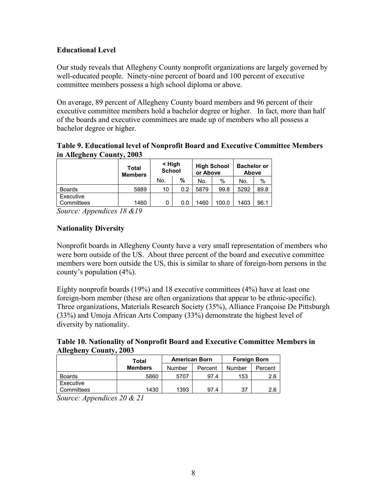# **Educational Level**

Our study reveals that Allegheny County nonprofit organizations are largely governed by well-educated people. Ninety-nine percent of board and 100 percent of executive committee members possess a high school diploma or above.

On average, 89 percent of Allegheny County board members and 96 percent of their executive committee members hold a bachelor degree or higher. In fact, more than half of the boards and executive committees are made up of members who all possess a bachelor degree or higher.

### **Table 9. Educational level of Nonprofit Board and Executive Committee Members in Allegheny County, 2003**

|                         | <b>Total</b><br><b>Members</b> | < High<br><b>School</b> |     | or Above | <b>High School</b> | <b>Bachelor or</b><br><b>Above</b> |      |  |
|-------------------------|--------------------------------|-------------------------|-----|----------|--------------------|------------------------------------|------|--|
|                         |                                | No.                     | %   | No.      | %                  | No.                                | %    |  |
| <b>Boards</b>           | 5889                           | 10                      | 0.2 | 5879     | 99.8               | 5292                               | 89.8 |  |
| Executive<br>Committees | 1460                           | 0                       | 0.0 | 1460     | 100.0              | 1403                               | 96.1 |  |

*Source: Appendices 18 &19* 

# **Nationality Diversity**

Nonprofit boards in Allegheny County have a very small representation of members who were born outside of the US. About three percent of the board and executive committee members were born outside the US, this is similar to share of foreign-born persons in the county's population (4%).

Eighty nonprofit boards (19%) and 18 executive committees (4%) have at least one foreign-born member (these are often organizations that appear to be ethnic-specific). Three organizations, Materials Research Society (35%), Alliance Françoise De Pittsburgh (33%) and Umoja African Arts Company (33%) demonstrate the highest level of diversity by nationality.

### **Table 10. Nationality of Nonprofit Board and Executive Committee Members in Allegheny County, 2003**

|                         | Total          | <b>American Born</b> |         | <b>Foreign Born</b> |         |  |
|-------------------------|----------------|----------------------|---------|---------------------|---------|--|
|                         | <b>Members</b> | Number               | Percent | Number              | Percent |  |
| <b>Boards</b>           | 5860           | 5707                 | 97.4    | 153                 | 2.6     |  |
| Executive<br>Committees | 1430           | 1393                 | 97.4    | 37                  | 2.6     |  |

*Source: Appendices 20 & 21*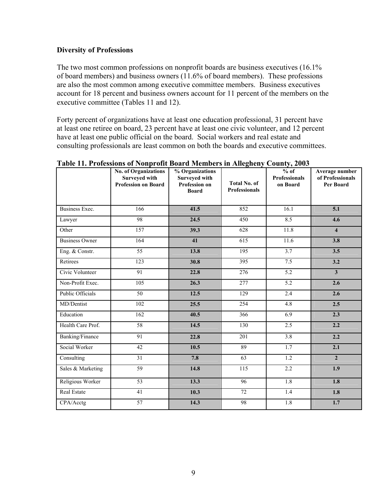### **Diversity of Professions**

The two most common professions on nonprofit boards are business executives (16.1% of board members) and business owners (11.6% of board members). These professions are also the most common among executive committee members. Business executives account for 18 percent and business owners account for 11 percent of the members on the executive committee (Tables 11 and 12).

Forty percent of organizations have at least one education professional, 31 percent have at least one retiree on board, 23 percent have at least one civic volunteer, and 12 percent have at least one public official on the board. Social workers and real estate and consulting professionals are least common on both the boards and executive committees.

|                         | <b>No. of Organizations</b><br><b>Surveyed with</b><br><b>Profession on Board</b> | % Organizations<br><b>Surveyed with</b><br><b>Profession on</b><br><b>Board</b> | <b>Total No. of</b><br><b>Professionals</b> | $%$ of<br><b>Professionals</b><br>on Board | Average number<br>of Professionals<br>Per Board |
|-------------------------|-----------------------------------------------------------------------------------|---------------------------------------------------------------------------------|---------------------------------------------|--------------------------------------------|-------------------------------------------------|
| Business Exec.          | 166                                                                               | 41.5                                                                            | 852                                         | 16.1                                       | 5.1                                             |
| Lawyer                  | 98                                                                                | 24.5                                                                            | 450                                         | 8.5                                        | 4.6                                             |
| Other                   | $\overline{157}$                                                                  | 39.3                                                                            | 628                                         | 11.8                                       | $\overline{\mathbf{4}}$                         |
| <b>Business Owner</b>   | 164                                                                               | 41                                                                              | 615                                         | 11.6                                       | 3.8                                             |
| Eng. & Constr.          | $\overline{55}$                                                                   | 13.8                                                                            | 195                                         | 3.7                                        | $\overline{3.5}$                                |
| Retirees                | 123                                                                               | 30.8                                                                            | 395                                         | 7.5                                        | 3.2                                             |
| Civic Volunteer         | 91                                                                                | 22.8                                                                            | 276                                         | 5.2                                        | $\overline{\mathbf{3}}$                         |
| Non-Profit Exec.        | $\overline{105}$                                                                  | 26.3                                                                            | 277                                         | 5.2                                        | 2.6                                             |
| <b>Public Officials</b> | $\overline{50}$                                                                   | 12.5                                                                            | 129                                         | 2.4                                        | 2.6                                             |
| MD/Dentist              | 102                                                                               | 25.5                                                                            | 254                                         | 4.8                                        | 2.5                                             |
| Education               | $\overline{162}$                                                                  | 40.5                                                                            | 366                                         | 6.9                                        | 2.3                                             |
| Health Care Prof.       | $\overline{58}$                                                                   | 14.5                                                                            | 130                                         | 2.5                                        | 2.2                                             |
| Banking/Finance         | 91                                                                                | 22.8                                                                            | 201                                         | 3.8                                        | 2.2                                             |
| Social Worker           | $\overline{42}$                                                                   | 10.5                                                                            | 89                                          | 1.7                                        | 2.1                                             |
| Consulting              | $\overline{31}$                                                                   | 7.8                                                                             | $\overline{63}$                             | $\overline{1.2}$                           | $\overline{2}$                                  |
| Sales & Marketing       | $\overline{59}$                                                                   | 14.8                                                                            | 115                                         | 2.2                                        | 1.9                                             |
| Religious Worker        | 53                                                                                | 13.3                                                                            | 96                                          | 1.8                                        | 1.8                                             |
| Real Estate             | 41                                                                                | 10.3                                                                            | 72                                          | 1.4                                        | 1.8                                             |
| CPA/Acctg               | $\overline{57}$                                                                   | 14.3                                                                            | 98                                          | 1.8                                        | 1.7                                             |

#### **Table 11. Professions of Nonprofit Board Members in Allegheny County, 2003**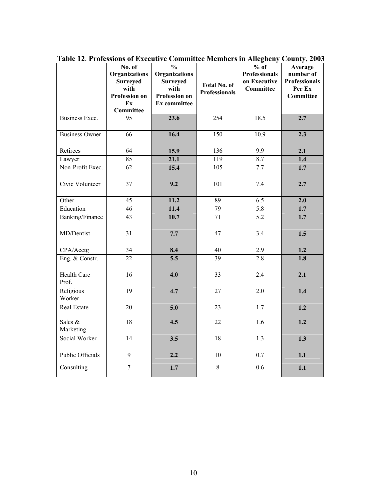|                             | No. of<br>Organizations<br><b>Surveyed</b><br>with<br><b>Profession on</b><br>Ex<br><b>Committee</b> | $\frac{0}{0}$<br><b>Organizations</b><br><b>Surveyed</b><br>with<br><b>Profession on</b><br>Ex committee | <b>Total No. of</b><br><b>Professionals</b> | $%$ of<br><b>Professionals</b><br>on Executive<br><b>Committee</b> | Average<br>number of<br><b>Professionals</b><br>Per Ex<br><b>Committee</b> |
|-----------------------------|------------------------------------------------------------------------------------------------------|----------------------------------------------------------------------------------------------------------|---------------------------------------------|--------------------------------------------------------------------|----------------------------------------------------------------------------|
| Business Exec.              | 95                                                                                                   | 23.6                                                                                                     | 254                                         | 18.5                                                               | 2.7                                                                        |
| <b>Business Owner</b>       | $\overline{66}$                                                                                      | 16.4                                                                                                     | $\overline{150}$                            | 10.9                                                               | 2.3                                                                        |
| Retirees                    | 64                                                                                                   | 15.9                                                                                                     | $\overline{136}$                            | 9.9                                                                | 2.1                                                                        |
| Lawyer                      | 85                                                                                                   | 21.1                                                                                                     | 119                                         | 8.7                                                                | 1.4                                                                        |
| Non-Profit Exec.            | $\overline{62}$                                                                                      | 15.4                                                                                                     | 105                                         | 7.7                                                                | 1.7                                                                        |
| Civic Volunteer             | $\overline{37}$                                                                                      | 9.2                                                                                                      | 101                                         | 7.4                                                                | 2.7                                                                        |
| Other                       | $\overline{45}$                                                                                      | 11.2                                                                                                     | 89                                          | 6.5                                                                | 2.0                                                                        |
| Education                   | 46                                                                                                   | 11.4                                                                                                     | $\overline{79}$                             | 5.8                                                                | 1.7                                                                        |
| Banking/Finance             | $\overline{43}$                                                                                      | 10.7                                                                                                     | 71                                          | 5.2                                                                | 1.7                                                                        |
| MD/Dentist                  | $\overline{31}$                                                                                      | 7.7                                                                                                      | 47                                          | $\overline{3.4}$                                                   | 1.5                                                                        |
| CPA/Acctg                   | $\overline{34}$                                                                                      | 8.4                                                                                                      | 40                                          | 2.9                                                                | 1.2                                                                        |
| Eng. & Constr.              | 22                                                                                                   | $\overline{5.5}$                                                                                         | 39                                          | 2.8                                                                | 1.8                                                                        |
| <b>Health Care</b><br>Prof. | 16                                                                                                   | 4.0                                                                                                      | $\overline{33}$                             | $\overline{2.4}$                                                   | 2.1                                                                        |
| Religious<br>Worker         | $\overline{19}$                                                                                      | 4.7                                                                                                      | $\overline{27}$                             | $\overline{2.0}$                                                   | 1.4                                                                        |
| <b>Real Estate</b>          | 20                                                                                                   | 5.0                                                                                                      | 23                                          | 1.7                                                                | $\overline{1.2}$                                                           |
| Sales &<br>Marketing        | 18                                                                                                   | 4.5                                                                                                      | $\overline{22}$                             | $\overline{1.6}$                                                   | $\overline{1.2}$                                                           |
| Social Worker               | $\overline{14}$                                                                                      | $\overline{3.5}$                                                                                         | $\overline{18}$                             | $\overline{1.3}$                                                   | 1.3                                                                        |
| <b>Public Officials</b>     | 9                                                                                                    | 2.2                                                                                                      | 10                                          | $\overline{0.7}$                                                   | 1.1                                                                        |
| Consulting                  | $\boldsymbol{7}$                                                                                     | 1.7                                                                                                      | $\overline{8}$                              | 0.6                                                                | 1.1                                                                        |

**Table 12**. **Professions of Executive Committee Members in Allegheny County, 2003**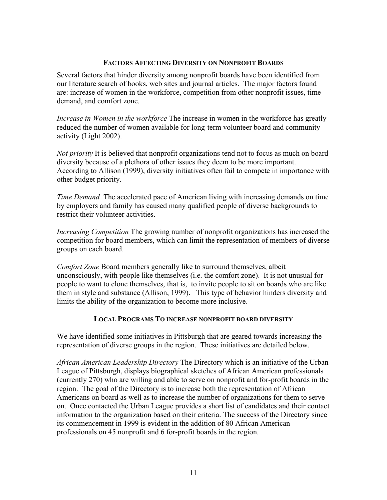### **FACTORS AFFECTING DIVERSITY ON NONPROFIT BOARDS**

Several factors that hinder diversity among nonprofit boards have been identified from our literature search of books, web sites and journal articles. The major factors found are: increase of women in the workforce, competition from other nonprofit issues, time demand, and comfort zone.

*Increase in Women in the workforce* The increase in women in the workforce has greatly reduced the number of women available for long-term volunteer board and community activity (Light 2002).

*Not priority* It is believed that nonprofit organizations tend not to focus as much on board diversity because of a plethora of other issues they deem to be more important. According to Allison (1999), diversity initiatives often fail to compete in importance with other budget priority.

*Time Demand* The accelerated pace of American living with increasing demands on time by employers and family has caused many qualified people of diverse backgrounds to restrict their volunteer activities.

*Increasing Competition* The growing number of nonprofit organizations has increased the competition for board members, which can limit the representation of members of diverse groups on each board.

*Comfort Zone* Board members generally like to surround themselves, albeit unconsciously, with people like themselves (i.e. the comfort zone). It is not unusual for people to want to clone themselves, that is, to invite people to sit on boards who are like them in style and substance (Allison, 1999). This type of behavior hinders diversity and limits the ability of the organization to become more inclusive.

#### **LOCAL PROGRAMS TO INCREASE NONPROFIT BOARD DIVERSITY**

We have identified some initiatives in Pittsburgh that are geared towards increasing the representation of diverse groups in the region. These initiatives are detailed below.

*African American Leadership Directory* The Directory which is an initiative of the Urban League of Pittsburgh, displays biographical sketches of African American professionals (currently 270) who are willing and able to serve on nonprofit and for-profit boards in the region. The goal of the Directory is to increase both the representation of African Americans on board as well as to increase the number of organizations for them to serve on. Once contacted the Urban League provides a short list of candidates and their contact information to the organization based on their criteria. The success of the Directory since its commencement in 1999 is evident in the addition of 80 African American professionals on 45 nonprofit and 6 for-profit boards in the region.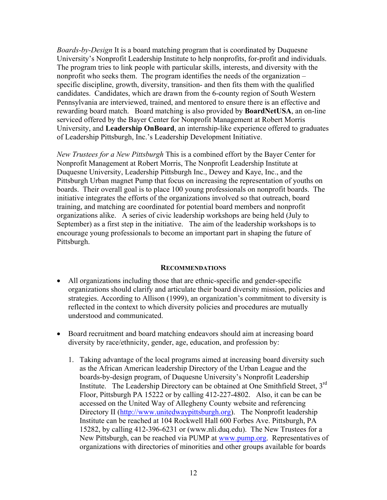*Boards-by-Design* It is a board matching program that is coordinated by Duquesne University's Nonprofit Leadership Institute to help nonprofits, for-profit and individuals. The program tries to link people with particular skills, interests, and diversity with the nonprofit who seeks them. The program identifies the needs of the organization – specific discipline, growth, diversity, transition- and then fits them with the qualified candidates. Candidates, which are drawn from the 6-county region of South Western Pennsylvania are interviewed, trained, and mentored to ensure there is an effective and rewarding board match. Board matching is also provided by **BoardNetUSA**, an on-line serviced offered by the Bayer Center for Nonprofit Management at Robert Morris University, and **Leadership OnBoard**, an internship-like experience offered to graduates of Leadership Pittsburgh, Inc.'s Leadership Development Initiative.

*New Trustees for a New Pittsburgh* This is a combined effort by the Bayer Center for Nonprofit Management at Robert Morris, The Nonprofit Leadership Institute at Duquesne University, Leadership Pittsburgh Inc., Dewey and Kaye, Inc., and the Pittsburgh Urban magnet Pump that focus on increasing the representation of youths on boards. Their overall goal is to place 100 young professionals on nonprofit boards. The initiative integrates the efforts of the organizations involved so that outreach, board training, and matching are coordinated for potential board members and nonprofit organizations alike. A series of civic leadership workshops are being held (July to September) as a first step in the initiative. The aim of the leadership workshops is to encourage young professionals to become an important part in shaping the future of Pittsburgh.

#### **RECOMMENDATIONS**

- All organizations including those that are ethnic-specific and gender-specific organizations should clarify and articulate their board diversity mission, policies and strategies. According to Allison (1999), an organization's commitment to diversity is reflected in the context to which diversity policies and procedures are mutually understood and communicated.
- Board recruitment and board matching endeavors should aim at increasing board diversity by race/ethnicity, gender, age, education, and profession by:
	- 1. Taking advantage of the local programs aimed at increasing board diversity such as the African American leadership Directory of the Urban League and the boards-by-design program, of Duquesne University's Nonprofit Leadership Institute. The Leadership Directory can be obtained at One Smithfield Street, 3rd Floor, Pittsburgh PA 15222 or by calling 412-227-4802. Also, it can be can be accessed on the United Way of Allegheny County website and referencing Directory II (http://www.unitedwaypittsburgh.org). The Nonprofit leadership Institute can be reached at 104 Rockwell Hall 600 Forbes Ave. Pittsburgh, PA 15282, by calling 412-396-6231 or (www.nli.duq.edu). The New Trustees for a New Pittsburgh, can be reached via PUMP at www.pump.org. Representatives of organizations with directories of minorities and other groups available for boards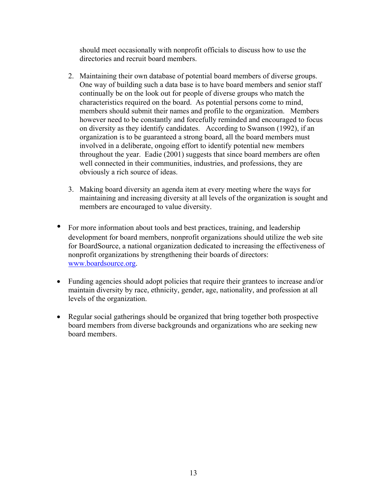should meet occasionally with nonprofit officials to discuss how to use the directories and recruit board members.

- 2. Maintaining their own database of potential board members of diverse groups. One way of building such a data base is to have board members and senior staff continually be on the look out for people of diverse groups who match the characteristics required on the board. As potential persons come to mind, members should submit their names and profile to the organization. Members however need to be constantly and forcefully reminded and encouraged to focus on diversity as they identify candidates. According to Swanson (1992), if an organization is to be guaranteed a strong board, all the board members must involved in a deliberate, ongoing effort to identify potential new members throughout the year. Eadie (2001) suggests that since board members are often well connected in their communities, industries, and professions, they are obviously a rich source of ideas.
- 3. Making board diversity an agenda item at every meeting where the ways for maintaining and increasing diversity at all levels of the organization is sought and members are encouraged to value diversity.
- For more information about tools and best practices, training, and leadership development for board members, nonprofit organizations should utilize the web site for BoardSource, a national organization dedicated to increasing the effectiveness of nonprofit organizations by strengthening their boards of directors: www.boardsource.org.
- Funding agencies should adopt policies that require their grantees to increase and/or maintain diversity by race, ethnicity, gender, age, nationality, and profession at all levels of the organization.
- Regular social gatherings should be organized that bring together both prospective board members from diverse backgrounds and organizations who are seeking new board members.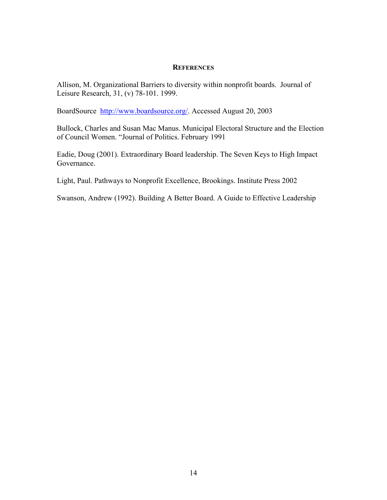#### **REFERENCES**

Allison, M. Organizational Barriers to diversity within nonprofit boards. Journal of Leisure Research, 31, (v) 78-101. 1999.

BoardSource http://www.boardsource.org/. Accessed August 20, 2003

Bullock, Charles and Susan Mac Manus. Municipal Electoral Structure and the Election of Council Women. "Journal of Politics. February 1991

Eadie, Doug (2001). Extraordinary Board leadership. The Seven Keys to High Impact Governance.

Light, Paul. Pathways to Nonprofit Excellence, Brookings. Institute Press 2002

Swanson, Andrew (1992). Building A Better Board. A Guide to Effective Leadership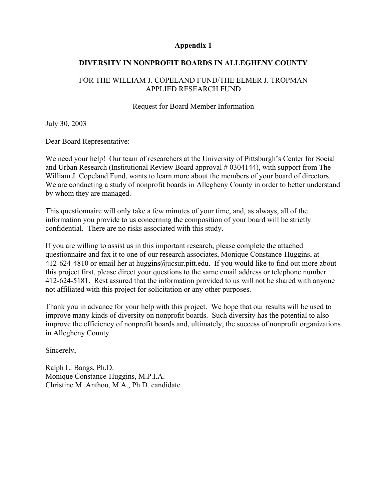#### **Appendix 1**

### **DIVERSITY IN NONPROFIT BOARDS IN ALLEGHENY COUNTY**

### FOR THE WILLIAM J. COPELAND FUND/THE ELMER J. TROPMAN APPLIED RESEARCH FUND

### Request for Board Member Information

July 30, 2003

Dear Board Representative:

We need your help! Our team of researchers at the University of Pittsburgh's Center for Social and Urban Research (Institutional Review Board approval # 0304144), with support from The William J. Copeland Fund, wants to learn more about the members of your board of directors. We are conducting a study of nonprofit boards in Allegheny County in order to better understand by whom they are managed.

This questionnaire will only take a few minutes of your time, and, as always, all of the information you provide to us concerning the composition of your board will be strictly confidential. There are no risks associated with this study.

If you are willing to assist us in this important research, please complete the attached questionnaire and fax it to one of our research associates, Monique Constance-Huggins, at 412-624-4810 or email her at huggins@ucsur.pitt.edu. If you would like to find out more about this project first, please direct your questions to the same email address or telephone number 412-624-5181. Rest assured that the information provided to us will not be shared with anyone not affiliated with this project for solicitation or any other purposes.

Thank you in advance for your help with this project. We hope that our results will be used to improve many kinds of diversity on nonprofit boards. Such diversity has the potential to also improve the efficiency of nonprofit boards and, ultimately, the success of nonprofit organizations in Allegheny County.

Sincerely,

Ralph L. Bangs, Ph.D. Monique Constance-Huggins, M.P.I.A. Christine M. Anthou, M.A., Ph.D. candidate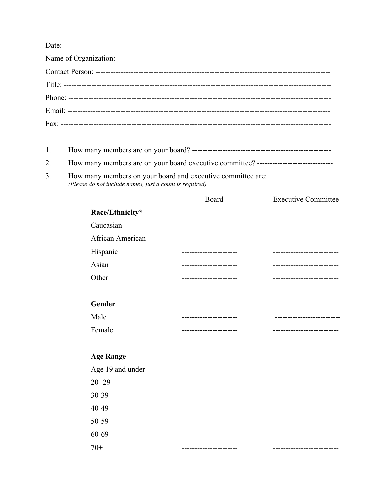| How many members on your board and executive committee are: |
|-------------------------------------------------------------|
| (Please do not include names, just a count is required)     |

|                  | <b>Board</b>          | <b>Executive Committee</b> |
|------------------|-----------------------|----------------------------|
| Race/Ethnicity*  |                       |                            |
| Caucasian        |                       |                            |
| African American |                       |                            |
| Hispanic         | -------------         |                            |
| Asian            |                       |                            |
| Other            | --------------------- |                            |
|                  |                       |                            |
| Gender           |                       |                            |
| Male             | ----------------      | -----------                |
| Female           |                       |                            |
|                  |                       |                            |
| <b>Age Range</b> |                       |                            |
| Age 19 and under |                       |                            |
| $20 - 29$        |                       |                            |
| 30-39            | ------------          |                            |
| 40-49            | --------------------  | ------------------         |
| 50-59            |                       |                            |
| 60-69            |                       |                            |
| $70+$            | -------------------   | -------------------------  |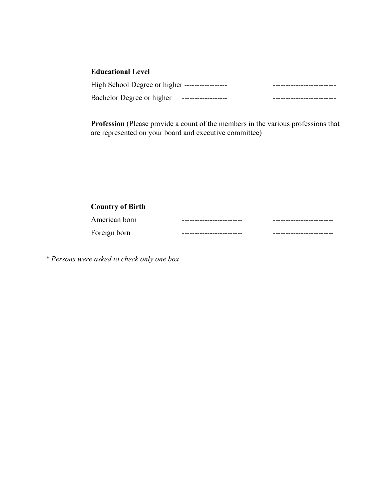# **Educational Level**

| High School Degree or higher ----------------- |                     |  |
|------------------------------------------------|---------------------|--|
| Bachelor Degree or higher                      | ------------------- |  |

**Profession** (Please provide a count of the members in the various professions that are represented on your board and executive committee)

|                         | ----------------          |                          |
|-------------------------|---------------------------|--------------------------|
|                         | --------------------      | ------------------------ |
|                         | --------------------      | ----------------         |
|                         |                           | ------------------------ |
|                         | ------------------        |                          |
| <b>Country of Birth</b> |                           |                          |
| American born           | ---------------------     | ----------------------   |
| Foreign born            | ------------------------- | ----------------------   |

*\* Persons were asked to check only one box*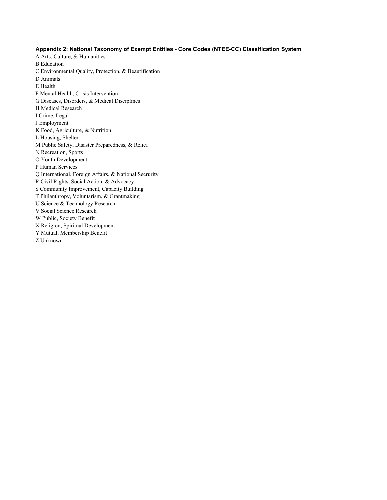#### **Appendix 2: National Taxonomy of Exempt Entities - Core Codes (NTEE-CC) Classification System**

- A Arts, Culture, & Humanities B Education C Environmental Quality, Protection, & Beautification D Animals E Health F Mental Health, Crisis Intervention G Diseases, Disorders, & Medical Disciplines H Medical Research I Crime, Legal J Employment K Food, Agriculture, & Nutrition L Housing, Shelter M Public Safety, Disaster Preparedness, & Relief N Recreation, Sports O Youth Development P Human Services Q International, Foreign Affairs, & National Secrurity R Civil Rights, Social Action, & Advocacy S Community Improvement, Capacity Building T Philanthropy, Voluntarism, & Grantmaking U Science & Technology Research V Social Science Research W Public, Society Benefit X Religion, Spiritual Development Y Mutual, Membership Benefit
- Z Unknown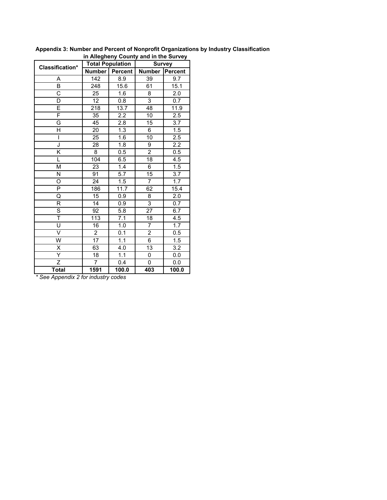| in Allegheny County and in the Survey |                  |                         |                |                  |  |  |  |  |
|---------------------------------------|------------------|-------------------------|----------------|------------------|--|--|--|--|
| <b>Classification*</b>                |                  | <b>Total Population</b> | <b>Survey</b>  |                  |  |  |  |  |
|                                       | <b>Number</b>    | <b>Percent</b>          | <b>Number</b>  | Percent          |  |  |  |  |
| A                                     | 142              | 8.9                     | 39             | 9.7              |  |  |  |  |
| B                                     | 248              | 15.6                    | 61             | 15.1             |  |  |  |  |
| C                                     | 25               | 1.6                     | 8              | 2.0              |  |  |  |  |
| D                                     | 12               | 0.8                     | 3              | 0.7              |  |  |  |  |
| E                                     | 218              | 13.7                    | 48             | 11.9             |  |  |  |  |
| F                                     | 35               | 2.2                     | 10             | $\overline{2.5}$ |  |  |  |  |
| G                                     | 45               | 2.8                     | 15             | 3.7              |  |  |  |  |
| Η                                     | 20               | 1.3                     | 6              | 1.5              |  |  |  |  |
| ı                                     | 25               | 1.6                     | 10             | 2.5              |  |  |  |  |
| J                                     | 28               | 1.8                     | 9              | $\overline{2.2}$ |  |  |  |  |
| Κ                                     | 8                | 0.5                     | $\overline{2}$ | 0.5              |  |  |  |  |
| L                                     | 104              | 6.5                     | 18             | 4.5              |  |  |  |  |
| M                                     | 23               | 1.4                     | 6              | 1.5              |  |  |  |  |
| N                                     | 91               | $\overline{5.7}$        | 15             | 3.7              |  |  |  |  |
| O                                     | 24               | 1.5                     | $\overline{7}$ | 1.7              |  |  |  |  |
| P                                     | 186              | 11.7                    | 62             | 15.4             |  |  |  |  |
| Q                                     | 15               | 0.9                     | 8              | 2.0              |  |  |  |  |
| R                                     | 14               | 0.9                     | 3              | 0.7              |  |  |  |  |
| S                                     | 92               | 5.8                     | 27             | 6.7              |  |  |  |  |
| T                                     | $\overline{113}$ | $\overline{7.1}$        | 18             | 4.5              |  |  |  |  |
| Ù                                     | 16               | 1.0                     | 7              | 1.7              |  |  |  |  |
| V                                     | $\overline{2}$   | $\overline{0.1}$        | $\overline{2}$ | 0.5              |  |  |  |  |
| W                                     | 17               | 1.1                     | 6              | 1.5              |  |  |  |  |
| X                                     | 63               | 4.0                     | 13             | $\overline{3.2}$ |  |  |  |  |
| Y                                     | 18               | 1.1                     | 0              | 0.0              |  |  |  |  |
| Z                                     | $\overline{7}$   | 0.4                     | 0              | 0.0              |  |  |  |  |
| <b>Total</b>                          | 1591             | 100.0                   | 403            | 100.0            |  |  |  |  |

**Appendix 3: Number and Percent of Nonprofit Organizations by Industry Classification** 

*\* See Appendix 2 for industry codes*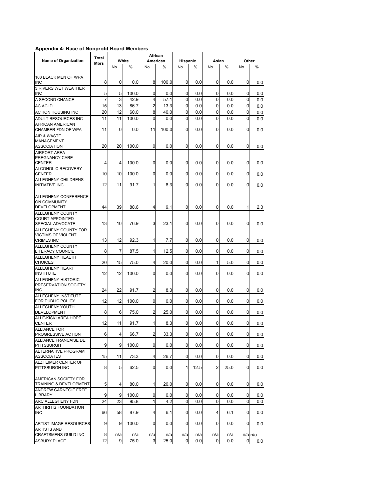#### **Appendix 4: Race of Nonprofit Board Members**

|                                                                        | Total          |                         |       | African                 |          |                |         |              |      |             |             |
|------------------------------------------------------------------------|----------------|-------------------------|-------|-------------------------|----------|----------------|---------|--------------|------|-------------|-------------|
| <b>Name of Organization</b>                                            | Mbrs           |                         | White |                         | American | Hispanic       |         | Asian        |      | Other       |             |
|                                                                        |                | No.                     | %     | No.                     | %        | No.            | %       | No.          | %    | No.         | %           |
| 100 BLACK MEN OF WPA<br><b>INC</b>                                     | 8              | 0                       | 0.0   | 8                       | 100.0    | 0              | 0.0     | 0            | 0.0  | 0           | 0.0         |
| 3 RIVERS WET WEATHER<br><b>INC</b>                                     | 5              | 5                       | 100.0 | 0                       | 0.0      | 0              | 0.0     | 0            | 0.0  | 0           | 0.0         |
| A SECOND CHANCE                                                        | $\overline{7}$ | 3                       | 42.9  | 4                       | 57.1     | 0              | 0.0     | $\Omega$     | 0.0  | 0           | 0.0         |
| <b>AC ACLD</b>                                                         | 15             | 13                      | 86.7  | 2                       | 13.3     | 0              | 0.0     | $\mathbf 0$  | 0.0  | 0           | 0.0         |
| <b>ACTION HOUSING INC</b>                                              | 20             | 12                      | 60.0  | 8                       | 40.0     | $\mathbf 0$    | 0.0     | $\Omega$     | 0.0  | 0           | 0.0         |
| ADULT RESOURCES INC                                                    | 11             | 11                      | 100.0 | 0                       | 0.0      | 0              | 0.0     | $\Omega$     | 0.0  | 0           | 0.0         |
| <b>AFRICAN AMERICAN</b><br>CHAMBER FDN OF WPA                          | 11             | 0                       | 0.0   | 11                      | 100.0    | 0              | 0.0     | $\Omega$     | 0.0  | 0           | 0.0         |
| AIR & WASTE<br>MANAGEMENT<br><b>ASSOCIATION</b>                        | 20             | 20                      | 100.0 | 0                       | 0.0      | 0              | 0.0     | 0            | 0.0  | 0           | 0.0         |
| <b>AIRPORT AREA</b><br>PREGNANCY CARE<br><b>CENTER</b>                 | 4              | 4                       | 100.0 | 0                       | 0.0      | 0              | 0.0     | 0            | 0.0  | 0           | 0.0         |
| ALCOHOLIC RECOVERY<br><b>CENTER</b>                                    | 10             | 10                      | 100.0 | 0                       | 0.0      | 0              | 0.0     | 0            | 0.0  | 0           | 0.0         |
| ALLEGHENY CHILDRENS<br><b>INITIATIVE INC</b>                           | 12             | 11                      | 91.7  | 1                       | 8.3      | 0              | 0.0     | $\Omega$     | 0.0  | 0           | 0.0         |
| <b>ALLEGHENY CONFERENCE</b><br><b>ON COMMUNITY</b><br>DEVELOPMENT      | 44             | 39                      | 88.6  | 4                       | 9.1      | 0              | 0.0     | 0            | 0.0  | 1           | 2.3         |
| ALLEGHENY COUNTY<br><b>COURT APPOINTED</b><br>SPECIAL ADVOCATE         | 13             | 10                      | 76.9  | 3                       | 23.1     | 0              | 0.0     | 0            | 0.0  | 0           | 0.0         |
| ALLEGHENY COUNTY FOR<br><b>VICTIMS OF VIOLENT</b><br><b>CRIMES INC</b> | 13             | 12                      | 92.3  | 1                       | 7.7      | 0              | 0.0     | 0            | 0.0  | 0           | 0.0         |
| <b>ALLEGHENY COUNTY</b><br><b>LITERACY COUNCIL</b>                     | 8              | 7                       | 87.5  | $\mathbf{1}$            | 12.5     | 0              | 0.0     | 0            | 0.0  | 0           | 0.0         |
| ALLEGHENY HEALTH<br><b>CHOICES</b>                                     | 20             | 15                      | 75.0  | 4                       | 20.0     | 0              | 0.0     | 1            | 5.0  | 0           | 0.0         |
| <b>ALLEGHENY HEART</b><br><b>INSTITUTE</b>                             | 12             | 12                      | 100.0 | 0                       | 0.0      | 0              | 0.0     | 0            | 0.0  | 0           | 0.0         |
| <b>ALLEGHENY HISTORIC</b><br>PRESERVATION SOCIETY<br><b>INC</b>        | 24             | 22                      | 91.7  | 2                       | 8.3      | 0              | 0.0     | $\mathbf 0$  | 0.0  | 0           | 0.0         |
| ALLEGHENY INSTITUTE<br>FOR PUBLIC POLICY                               | 12             | 12                      | 100.0 | 0                       | 0.0      | 0              | 0.0     | 0            | 0.0  | 0           | 0.0         |
| ALLEGHENY YOUTH<br><b>DEVELOPMENT</b>                                  | 8              | 6                       | 75.0  | 2                       | 25.0     | 0              | 0.0     | 0            | 0.0  | 0           | 0.0         |
| ALLE-KISKI AREA HOPE<br><b>CENTER</b>                                  | 12             | 11                      | 91.7  | 1                       | 8.3      | 0              | 0.0     | 0            | 0.0  | 0           | 0.0         |
| <b>ALLIANCE FOR</b>                                                    |                |                         |       |                         |          |                |         |              |      |             |             |
| PROGRESSIVE ACTION<br>ALLIANCE FRANCAISE DE                            | 6              | $\overline{4}$          | 66.7  | $\overline{\mathbf{c}}$ | 33.3     | $\overline{0}$ | $0.0\,$ | $\mathbf 0$  | 0.0  | $\mathbf 0$ | $0.0\,$     |
| PITTSBURGH<br>ALTERNATIVE PROGRAM                                      | 9              | 9                       | 100.0 | 0                       | 0.0      | 0              | 0.0     | $\mathbf{0}$ | 0.0  | 0           | 0.0         |
| <b>ASSOCIATES</b><br>ALZHEIMER CENTER OF                               | 15             | 11                      | 73.3  | 4                       | 26.7     | 0              | 0.0     | $\mathbf 0$  | 0.0  | 0           | 0.0         |
| PITTSBURGH INC                                                         | 8              | 5                       | 62.5  | 0                       | 0.0      | 1              | 12.5    | 2            | 25.0 | 0           | 0.0         |
| AMERICAN SOCIETY FOR<br>TRAINING & DEVELOPMENT<br>ANDREW CARNEGIE FREE | 5              | $\overline{\mathbf{4}}$ | 80.0  | 1                       | 20.0     | 0              | 0.0     | 0            | 0.0  | 0           | 0.0         |
| LIBRARY                                                                | 9              | 9                       | 100.0 | 0                       | 0.0      | 0              | 0.0     | 0            | 0.0  | 0           | 0.0         |
| ARC ALLEGHENY FDN                                                      | 24             | 23                      | 95.8  | $\mathbf{1}$            | 4.2      | 0              | 0.0     | 0            | 0.0  | 0           | 0.0         |
| ARTHRITIS FOUNDATION<br>INC                                            | 66             | 58                      | 87.9  | 4                       | 6.1      | 0              | 0.0     | 4            | 6.1  | 0           | 0.0         |
| ARTIST IMAGE RESOURCES                                                 | 9              | 9                       | 100.0 | 0                       | 0.0      | 0              | 0.0     | 0            | 0.0  | 0           | 0.0         |
| <b>ARTISTS AND</b><br>CRAFTSMENS GUILD INC                             | 8              | n/a                     | n/a   | n/a                     | n/a      | n/a            | n/a     | n/a          | n/a  |             | $n/a$ $n/a$ |
| ASBURY PLACE                                                           | 12             | 9                       | 75.0  | 3                       | 25.0     | 0              | 0.0     | 0            | 0.0  | 0           | 0.0         |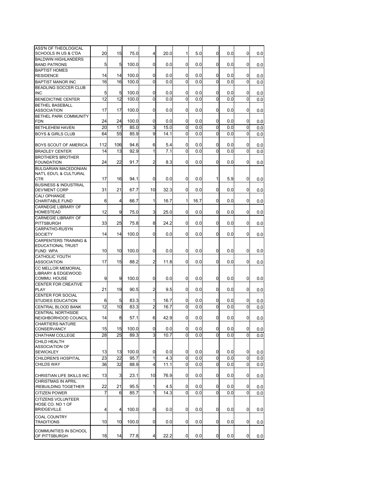| ASS'N OF THEOLOGICAL<br>SCHOOLS IN US & C'DA                        | 20  | 15              | 75.0  | 4              | 20.0 | 1              | 5.0  | 0              | 0.0 | 0        | 0.0 |
|---------------------------------------------------------------------|-----|-----------------|-------|----------------|------|----------------|------|----------------|-----|----------|-----|
| <b>BALDWIN HIGHLANDERS</b><br><b>BAND PATRONS</b>                   | 5   | 5               | 100.0 | 0              | 0.0  | 0              | 0.0  | 0              | 0.0 | $\Omega$ | 0.0 |
| <b>BAPTIST HOMES</b>                                                |     |                 |       |                |      |                |      |                |     |          |     |
| <b>RESIDENCE</b>                                                    | 14  | 14              | 100.0 | 0              | 0.0  | 0              | 0.0  | 0              | 0.0 | 0        | 0.0 |
| <b>BAPTIST MANOR INC</b><br><b>BEADLING SOCCER CLUB</b>             | 16  | 16              | 100.0 | 0              | 0.0  | 0              | 0.0  | 0              | 0.0 | 0        | 0.0 |
| <b>INC</b>                                                          | 5   | 5               | 100.0 | 0              | 0.0  | 0              | 0.0  | 0              | 0.0 | 0        | 0.0 |
| <b>BENEDICTINE CENTER</b>                                           | 12  | 12              | 100.0 | $\Omega$       | 0.0  | 0              | 0.0  | $\Omega$       | 0.0 | $\Omega$ | 0.0 |
| <b>BETHEL BASEBALL</b><br><b>ASSOCIATION</b>                        | 17  | 17              | 100.0 | 0              | 0.0  | 0              | 0.0  | 0              | 0.0 | $\Omega$ | 0.0 |
| <b>BETHEL PARK COMMUNITY</b><br><b>FDN</b>                          | 24  | 24              | 100.0 | 0              | 0.0  | 0              | 0.0  | 0              | 0.0 | 0        | 0.0 |
| <b>BETHLEHEM HAVEN</b>                                              | 20  | 17              | 85.0  | 3              | 15.0 | 0              | 0.0  | 0              | 0.0 | 0        | 0.0 |
| <b>BOYS &amp; GIRLS CLUB</b>                                        | 64  | 55              | 85.9  | 9              | 14.1 | 0              | 0.0  | 0              | 0.0 | 0        | 0.0 |
| BOYS SCOUT OF AMERICA                                               | 112 | 106             | 94.6  | 6              | 5.4  | 0              | 0.0  | 0              | 0.0 | 0        | 0.0 |
| <b>BRADLEY CENTER</b>                                               | 14  | 13              | 92.9  | 1              | 7.1  | 0              | 0.0  | $\Omega$       | 0.0 | 0        | 0.0 |
| <b>BROTHER'S BROTHER</b>                                            |     |                 |       |                |      |                |      |                |     |          |     |
| <b>FOUNDATION</b>                                                   | 24  | 22              | 91.7  | 2              | 8.3  | 0              | 0.0  | 0              | 0.0 | 0        | 0.0 |
| <b>BULGARIAN MACEDONIAN</b><br>NAT'L EDU'L & CULTURAL<br><b>CTR</b> | 17  | 16              | 94.1  | 0              | 0.0  | 0              | 0.0  | 1              | 5.9 | 0        | 0.0 |
| <b>BUSINESS &amp; INDUSTRIAL</b>                                    |     |                 |       |                |      |                |      |                |     |          |     |
| <b>DEV'MENT CORP</b>                                                | 31  | 21              | 67.7  | 10             | 32.3 | 0              | 0.0  | 0              | 0.0 | $\Omega$ | 0.0 |
| CALI OPHANGE<br><b>CHARITABLE FUND</b>                              | 6   | 4               | 66.7  | 1              | 16.7 | 1              | 16.7 | 0              | 0.0 | 0        | 0.0 |
| <b>CARNEGIE LIBRARY OF</b><br><b>HOMESTEAD</b>                      | 12  | 9               | 75.0  | 3              | 25.0 | 0              | 0.0  | 0              | 0.0 | 0        | 0.0 |
| <b>CARNEGIE LIBRARY OF</b><br><b>PITTSBURGH</b>                     | 33  | 25              | 75.8  | 8              | 24.2 | 0              | 0.0  | 0              | 0.0 | 0        | 0.0 |
| CARPATHO-RUSYN                                                      |     |                 |       |                |      |                |      |                |     |          |     |
| <b>SOCIETY</b><br><b>CARPENTERS TRAINING &amp;</b>                  | 14  | 14              | 100.0 | 0              | 0.0  | 0              | 0.0  | 0              | 0.0 | 0        | 0.0 |
| <b>EDUCATIONAL TRUST</b>                                            |     |                 |       |                |      |                |      |                |     |          |     |
| <b>FUND WPA</b>                                                     | 10  | 10              | 100.0 | 0              | 0.0  | $\Omega$       | 0.0  | 0              | 0.0 | 0        | 0.0 |
| <b>CATHOLIC YOUTH</b><br><b>ASSOCIATION</b>                         | 17  | 15              | 88.2  | 2              | 11.8 | 0              | 0.0  | 0              | 0.0 | $\Omega$ | 0.0 |
| CC MELLOR MEMORIAL                                                  |     |                 |       |                |      |                |      |                |     |          |     |
| LIBRARY & EDGEWOOD                                                  | 9   | 9               | 100.0 | 0              | 0.0  | 0              | 0.0  | 0              | 0.0 | $\Omega$ |     |
| COMMU. HOUSE<br>CENTER FOR CREATIVE                                 |     |                 |       |                |      |                |      |                |     |          | 0.0 |
| <b>PLAY</b>                                                         | 21  | 19              | 90.5  | 2              | 9.5  | 0              | 0.0  | 0              | 0.0 | 0        | 0.0 |
| <b>CENTER FOR SOCIAL</b><br><b>STUDIES EDUCATION</b>                | 6   | 5               | 83.3  | 1              | 16.7 | 0              | 0.0  | 0              | 0.0 | 0        | 0.0 |
| CENTRAL BLOOD BANK                                                  | 12  | 10              | 83.3  | $\overline{2}$ | 16.7 | $\Omega$       | 0.0  | 0              | 0.0 | $\Omega$ | 0.0 |
| <b>CENTRAL NORTHSIDE</b>                                            |     |                 |       |                |      |                |      |                |     |          |     |
| NEIGHBORHOOD COUNCIL<br><b>CHARTIERS NATURE</b>                     | 14  | 8               | 57.1  | 6              | 42.9 | 0              | 0.0  | 0              | 0.0 | 0        | 0.0 |
| CONSERVANCY                                                         | 15  | 15              | 100.0 | 0              | 0.0  | 0              | 0.0  | <sub>0</sub>   | 0.0 | 0        | 0.0 |
| CHATHAM COLLEGE                                                     | 28  | $\overline{25}$ | 89.3  | 3              | 10.7 | $\overline{0}$ | 0.0  | $\Omega$       | 0.0 | $\Omega$ | 0.0 |
| CHILD HEALTH<br><b>ASSOCIATION OF</b>                               |     |                 |       |                |      |                |      |                |     |          |     |
| <b>SEWICKLEY</b>                                                    | 13  | 13              | 100.0 | 0              | 0.0  | 0              | 0.0  | 0              | 0.0 | 0        | 0.0 |
| CHILDREN'S HOSPITAL                                                 | 23  | 22              | 95.7  | $\mathbf{1}$   | 4.3  | 0              | 0.0  | 0              | 0.0 | 0        | 0.0 |
| <b>CHILDS WAY</b>                                                   | 36  | 32              | 88.9  | 4              | 11.1 | 0              | 0.0  | 0              | 0.0 | 0        | 0.0 |
| CHRISTIAN LIFE SKILLS INC<br><b>CHRISTMAS IN APRIL</b>              | 13  | 3               | 23.1  | 10             | 76.9 | 0              | 0.0  | 0              | 0.0 | 0        | 0.0 |
| /REBUILDING TOGETHER                                                | 22  | 21              | 95.5  | 1              | 4.5  | 0              | 0.0  | 0              | 0.0 | 0        | 0.0 |
| <b>CITIZEN POWER</b>                                                | 7   | 6               | 85.7  | 1              | 14.3 | 0              | 0.0  | 0              | 0.0 | 0        | 0.0 |
| <b>CITIZENS VOLUNTEER</b><br>HOSE CO. NO 1 OF                       |     |                 |       |                |      |                |      |                |     |          |     |
| <b>BRIDGEVILLE</b>                                                  | 4   | 4               | 100.0 | 0              | 0.0  | 0              | 0.0  | 0              | 0.0 | 0        | 0.0 |
| <b>COAL COUNTRY</b><br><b>TRADITIONS</b>                            | 10  | 10              | 100.0 | 0              | 0.0  | 0              | 0.0  | 0              | 0.0 | 0        | 0.0 |
| COMMUNITIES IN SCHOOL                                               |     |                 |       |                |      |                |      |                |     |          |     |
| OF PITTSBURGH                                                       | 18  | 14              | 77.8  | 4              | 22.2 | 0              | 0.0  | $\overline{0}$ | 0.0 | 0        | 0.0 |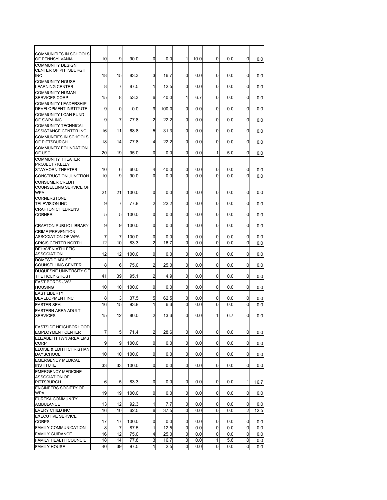| <b>COMMUNITIES IN SCHOOLS</b><br>OF PENNSYLVANIA                        | 10 | 9              | 90.0  | 0              | 0.0   | 1              | 10.0 | 0            | 0.0 | 0           | 0.0  |
|-------------------------------------------------------------------------|----|----------------|-------|----------------|-------|----------------|------|--------------|-----|-------------|------|
| <b>COMMUNITY DESIGN</b><br>CENTER OF PITTSBURGH                         |    |                |       |                |       |                |      |              |     |             |      |
| <b>INC</b><br><b>COMMUNITY HOUSE</b>                                    | 18 | 15             | 83.3  | 3              | 16.7  | $\Omega$       | 0.0  | $\Omega$     | 0.0 | $\Omega$    | 0.0  |
| <b>LEARNING CENTER</b><br><b>COMMUNITY HUMAN</b>                        | 8  | 7              | 87.5  | 1              | 12.5  | 0              | 0.0  | 0            | 0.0 | 0           | 0.0  |
| <b>SERVICES CORP</b>                                                    | 15 | 8              | 53.3  | 6              | 40.0  | 1              | 6.7  | 0            | 0.0 | 0           | 0.0  |
| <b>COMMUNITY LEADERSHIP</b><br>DEVELOPMENT INSTITUTE                    | 9  | $\Omega$       | 0.0   | 9              | 100.0 | $\Omega$       | 0.0  | $\Omega$     | 0.0 | 0           | 0.0  |
| <b>COMMUNITY LOAN FUND</b><br>OF SWPA INC                               | 9  | 7              | 77.8  | 2              | 22.2  | 0              | 0.0  | 0            | 0.0 | $\Omega$    |      |
| <b>COMMUNITY TECHNICAL</b>                                              |    |                |       |                |       |                |      |              |     |             | 0.0  |
| ASSISTANCE CENTER INC<br><b>COMMUNTIES IN SCHOOLS</b>                   | 16 | 11             | 68.8  | 5              | 31.3  | 0              | 0.0  | 0            | 0.0 | 0           | 0.0  |
| OF PITTSBURGH                                                           | 18 | 14             | 77.8  | 4              | 22.2  | $\Omega$       | 0.0  | 0            | 0.0 | $\Omega$    | 0.0  |
| <b>COMMUNTIY FOUNDATION</b><br>OF USC                                   | 20 | 19             | 95.0  | 0              | 0.0   | $\Omega$       | 0.0  | $\mathbf{1}$ | 5.0 | 0           | 0.0  |
| <b>COMMUNTIY THEATER</b><br><b>PROJECT / KELLY</b>                      |    |                |       |                |       |                |      |              |     |             |      |
| STAYHORN THEATER                                                        | 10 | 6              | 60.0  | 4              | 40.0  | 0              | 0.0  | 0            | 0.0 | 0           | 0.0  |
| CONSTRUCTION JUNCTION                                                   | 10 | 9              | 90.0  | $\Omega$       | 0.0   | $\mathbf 0$    | 0.0  | 0            | 0.0 | $\mathbf 0$ | 0.0  |
| <b>CONSUMER CREDIT</b>                                                  |    |                |       |                |       |                |      |              |     |             |      |
| <b>COUNSELLING SERVICE OF</b><br><b>WPA</b>                             | 21 | 21             | 100.0 | $\Omega$       | 0.0   | 0              | 0.0  | 0            | 0.0 | 0           | 0.0  |
| CORNERSTONE<br><b>TELEVISION INC</b>                                    | 9  | 7              | 77.8  | $\overline{2}$ | 22.2  | $\Omega$       | 0.0  | 0            | 0.0 | $\Omega$    | 0.0  |
| <b>CRAFTON CHILDRENS</b>                                                |    |                |       |                |       |                |      |              |     |             |      |
| CORNER                                                                  | 5  | 5              | 100.0 | $\Omega$       | 0.0   | 0              | 0.0  | 0            | 0.0 | $\Omega$    | 0.0  |
| <b>CRAFTON PUBLIC LIBRARY</b><br><b>CRIME PREVENTION</b>                | 9  | 9              | 100.0 | $\Omega$       | 0.0   | 0              | 0.0  | 0            | 0.0 | $\Omega$    | 0.0  |
| ASSOCIATION OF WPA                                                      | 7  | 7              | 100.0 | 0              | 0.0   | 0              | 0.0  | 0            | 0.0 | 0           | 0.0  |
| CRISIS CENTER NORTH                                                     | 12 | 10             | 83.3  | $\overline{2}$ | 16.7  | $\Omega$       | 0.0  | 0            | 0.0 | 0           | 0.0  |
| <b>DEHAVEN ATHLETIC</b><br><b>ASSOCIATION</b>                           | 12 | 12             | 100.0 | 0              | 0.0   | 0              | 0.0  | 0            | 0.0 | 0           | 0.0  |
| <b>DOMESTIC ABUSE</b><br><b>COUNSELLING CENTER</b>                      | 8  | 6              | 75.0  | 2              | 25.0  | 0              | 0.0  | 0            | 0.0 | 0           | 0.0  |
| DUQUESNE UNIVERSITY OF<br>THE HOLY GHOST                                | 41 | 39             | 95.1  | 2              | 4.9   | 0              | 0.0  | 0            | 0.0 | 0           | 0.0  |
| <b>EAST BOROS JWV</b>                                                   |    |                |       |                |       |                |      |              |     |             |      |
| <b>HOUSING</b><br><b>EAST LIBERTY</b>                                   | 10 | 10             | 100.0 | 0              | 0.0   | 0              | 0.0  | 0            | 0.0 | 0           | 0.0  |
| DEVELOPMENT INC                                                         | 8  | 3              | 37.5  | 5              | 62.5  | 0              | 0.0  | 0            | 0.0 | 0           | 0.0  |
| <b>EASTER SEAL</b>                                                      | 16 | 15             | 93.8  | 1              | 6.3   | $\mathbf 0$    | 0.0  | 0            | 0.0 | 0           | 0.0  |
| <b>EASTERN AREA ADULT</b><br><b>SERVICES</b>                            | 15 | 12             | 80.0  | 2              | 13.3  | 0              | 0.0  | 1            | 6.7 | 0           | 0.0  |
| <b>EASTSIDE NEIGHBORHOOD</b><br><b>EMPLOYMENT CENTER</b>                | 7  | 5              | 71.4  | $\overline{2}$ | 28.6  | $\overline{0}$ | 0.0  | 0            | 0.0 | 0           | 0.0  |
| ELIZABETH TWN AREA EMS                                                  |    |                |       |                |       |                |      |              |     |             |      |
| CORP<br>ELOISE & EDITH CHRISTIAN                                        | 9  | 9              | 100.0 | 0              | 0.0   | 0              | 0.0  | 0            | 0.0 | 0           | 0.0  |
| <b>DAYSCHOOL</b><br><b>EMERGENCY MEDICAL</b>                            | 10 | 10             | 100.0 | 0              | 0.0   | $\overline{0}$ | 0.0  | 0            | 0.0 | 0           | 0.0  |
| <b>INSTITUTE</b>                                                        | 33 | 33             | 100.0 | $\mathbf 0$    | 0.0   | 0              | 0.0  | 0            | 0.0 | 0           | 0.0  |
| <b>EMERGENCY MEDICINE</b><br><b>ASSOCIATION OF</b><br><b>PITTSBURGH</b> | 6  | 5              | 83.3  | 0              | 0.0   | $\mathbf{0}$   | 0.0  | 0            | 0.0 | 1           | 16.7 |
| <b>ENGINEERS SOCIETY OF</b><br><b>WPA</b>                               | 19 | 19             | 100.0 | 0              | 0.0   | 0              | 0.0  | 0            | 0.0 | 0           |      |
| <b>EUREKA COMMUNITY</b>                                                 |    |                |       |                |       |                |      |              |     |             | 0.0  |
| AMBULANCE                                                               | 13 | 12             | 92.3  | 1              | 7.7   | 0              | 0.0  | 0            | 0.0 | 0           | 0.0  |
| EVERY CHILD INC<br><b>EXECUTIVE SERVICE</b>                             | 16 | 10             | 62.5  | 6              | 37.5  | 0              | 0.0  | 0            | 0.0 | 2           | 12.5 |
| <b>CORPS</b>                                                            | 17 | 17             | 100.0 | 0              | 0.0   | 0              | 0.0  | 0            | 0.0 | 0           | 0.0  |
| FAMILY COMMUNICATION                                                    | 8  | $\overline{7}$ | 87.5  | 1              | 12.5  | 0              | 0.0  | 0            | 0.0 | 0           | 0.0  |
| <b>FAMILY GUIDANCE</b>                                                  | 16 | 12             | 75.0  | 4              | 25.0  | 0              | 0.0  | 0            | 0.0 | 0           | 0.0  |
| FAMILY HEALTH COUNCIL                                                   | 18 | 14             | 77.8  | 3              | 16.7  | 0              | 0.0  | 1            | 5.6 | 0           | 0.0  |
| <b>FAMILY HOUSE</b>                                                     | 40 | 39             | 97.5  | 1              | 2.5   | $\mathbf{0}$   | 0.0  | 0            | 0.0 | 0           | 0.0  |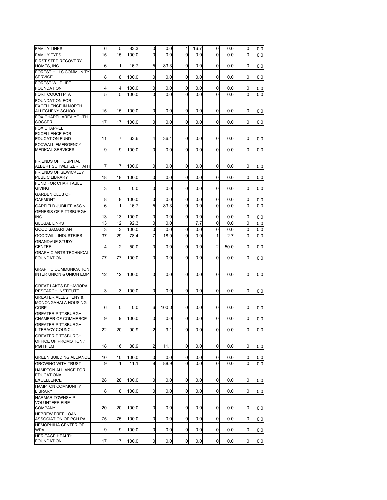| <b>FAMILY LINKS</b>                                 | 6  | 5              | 83.3  | 0              | 0.0   | 1            | 16.7 | 0              | 0.0  | 0              | 0.0 |
|-----------------------------------------------------|----|----------------|-------|----------------|-------|--------------|------|----------------|------|----------------|-----|
| <b>FAMILY TYES</b>                                  | 15 | 15             | 100.0 | 0              | 0.0   | 0            | 0.0  | 0              | 0.0  | 0              | 0.0 |
| FIRST STEP RECOVERY                                 |    |                |       |                |       |              |      |                |      |                |     |
| HOMES, INC                                          | 6  | 1              | 16.7  | 5              | 83.3  | $\mathbf{0}$ | 0.0  | 0              | 0.0  | 0              | 0.0 |
| <b>FOREST HILLS COMMUNITY</b><br><b>SERVICE</b>     | 8  | 8              | 100.0 | $\overline{0}$ | 0.0   | $\Omega$     | 0.0  | $\Omega$       | 0.0  | 0              | 0.0 |
| <b>FOREST WILDLIFE</b>                              |    |                |       |                |       |              |      |                |      |                |     |
| <b>FOUNDATION</b>                                   | 4  | 4              | 100.0 | 0              | 0.0   | $\mathbf 0$  | 0.0  | 0              | 0.0  | $\overline{0}$ | 0.0 |
| FORT COUCH PTA                                      | 5  | 5              | 100.0 | 0              | 0.0   | 0            | 0.0  | $\Omega$       | 0.0  | 0              | 0.0 |
| <b>FOUNDATION FOR</b>                               |    |                |       |                |       |              |      |                |      |                |     |
| <b>EXCELLENCE IN NORTH</b>                          | 15 | 15             | 100.0 | 0              | 0.0   | $\mathbf 0$  | 0.0  | $\mathbf 0$    | 0.0  | 0              |     |
| ALLEGHENY SCHOO<br>FOX CHAPEL AREA YOUTH            |    |                |       |                |       |              |      |                |      |                | 0.0 |
| <b>SOCCER</b>                                       | 17 | 17             | 100.0 | 0              | 0.0   | $\Omega$     | 0.0  | $\Omega$       | 0.0  | $\Omega$       | 0.0 |
| <b>FOX CHAPPEL</b>                                  |    |                |       |                |       |              |      |                |      |                |     |
| <b>EXCELLENCE FOR</b>                               |    |                |       |                |       |              |      |                |      |                |     |
| <b>EDUCATION FUND</b>                               | 11 | $\overline{7}$ | 63.6  | 4              | 36.4  | $\mathbf 0$  | 0.0  | $\mathbf 0$    | 0.0  | 0              | 0.0 |
| <b>FOXWALL EMERGENCY</b><br><b>MEDICAL SERVICES</b> | 9  | 9              | 100.0 | $\overline{0}$ | 0.0   | $\Omega$     | 0.0  | $\Omega$       | 0.0  | 0              | 0.0 |
|                                                     |    |                |       |                |       |              |      |                |      |                |     |
| FRIENDS OF HOSPITAL                                 |    |                |       |                |       |              |      |                |      |                |     |
| ALBERT SCHWEITZER HAITI                             | 7  | 7              | 100.0 | 0              | 0.0   | 0            | 0.0  | 0              | 0.0  | 0              | 0.0 |
| <b>FRIENDS OF SEWICKLEY</b>                         |    |                |       |                |       |              |      |                |      |                |     |
| PUBLIC LIBRARY                                      | 18 | 18             | 100.0 | 0              | 0.0   | $\mathbf 0$  | 0.0  | 0              | 0.0  | 0              | 0.0 |
| <b>FUND FOR CHARITABLE</b><br><b>GIVING</b>         | 3  | 0              | 0.0   | 0              | 0.0   | $\Omega$     | 0.0  | $\Omega$       | 0.0  | 0              | 0.0 |
| <b>GARDEN CLUB OF</b>                               |    |                |       |                |       |              |      |                |      |                |     |
| <b>OAKMONT</b>                                      | 8  | 8              | 100.0 | 0              | 0.0   | $\mathbf{0}$ | 0.0  | 0              | 0.0  | 0              | 0.0 |
| <b>GARFIELD JUBILEE ASS'N</b>                       | 6  | 1              | 16.7  | 5              | 83.3  | $\Omega$     | 0.0  | $\Omega$       | 0.0  | $\Omega$       | 0.0 |
| <b>GENESIS OF PITTSBURGH</b>                        |    |                |       |                |       |              |      |                |      |                |     |
| <b>INC</b>                                          | 13 | 13             | 100.0 | 0              | 0.0   | 0            | 0.0  | 0              | 0.0  | $\overline{0}$ | 0.0 |
| <b>GLOBAL LINKS</b>                                 | 13 | 12             | 92.3  | 0              | 0.0   | 1            | 7.7  | 0              | 0.0  | 0              | 0.0 |
| <b>GOOD SAMARITAN</b>                               | 3  | 3              | 100.0 | 0              | 0.0   | 0            | 0.0  | 0              | 0.0  | 0              | 0.0 |
| <b>GOODWILL INDUSTRIES</b>                          | 37 | 29             | 78.4  | $\overline{7}$ | 18.9  | $\Omega$     | 0.0  | 1              | 2.7  | $\Omega$       | 0.0 |
| <b>GRANDVUE STUDY</b><br><b>CENTER</b>              | 4  | 2              | 50.0  | 0              | 0.0   | 0            | 0.0  | $\overline{2}$ | 50.0 | 0              | 0.0 |
| <b>GRAPHIC ARTS TECHNICAL</b>                       |    |                |       |                |       |              |      |                |      |                |     |
| <b>FOUNDATION</b>                                   | 77 | 77             | 100.0 | 0              | 0.0   | 0            | 0.0  | $\Omega$       | 0.0  | 0              | 0.0 |
|                                                     |    |                |       |                |       |              |      |                |      |                |     |
| <b>GRAPHIC COMMUNICATION</b>                        | 12 | 12             | 100.0 | 0              | 0.0   | $\mathbf 0$  | 0.0  | $\mathbf{0}$   | 0.0  | 0              |     |
| INTER UNION & UNION EMP                             |    |                |       |                |       |              |      |                |      |                | 0.0 |
| <b>GREAT LAKES BEHAVIORAL</b>                       |    |                |       |                |       |              |      |                |      |                |     |
| RESEARCH INSTITUTE                                  | 3  | 3              | 100.0 | 0              | 0.0   | $\mathbf 0$  | 0.0  | 0              | 0.0  | 0              | 0.0 |
| <b>GREATER ALLEGHENY &amp;</b>                      |    |                |       |                |       |              |      |                |      |                |     |
| MONONGAHALA HOUSING                                 |    | 0              | 0.0   | 6              | 100.0 | 0            | 0.0  | $\mathbf 0$    |      |                |     |
| CORP<br><b>GREATER PITTSBURGH</b>                   | 6  |                |       |                |       |              |      |                | 0.0  | 0              | 0.0 |
| CHAMBER OF COMMERCE                                 | 9  | 9              | 100.0 | 0              | 0.0   | 0            | 0.0  | 0              | 0.0  | 0              | 0.0 |
| <b>GREATER PITTSBURGH</b>                           |    |                |       |                |       |              |      |                |      |                |     |
| <b>LITERACY COUNCIL</b>                             | 22 | 20             | 90.9  | $\mathbf{2}$   | 9.1   | 0            | 0.0  | $\overline{0}$ | 0.0  | 0              | 0.0 |
| <b>GREATER PITTSBURGH</b>                           |    |                |       |                |       |              |      |                |      |                |     |
| OFFICE OF PROMOTION /<br>PGH FILM                   | 18 | 16             | 88.9  | $\overline{2}$ | 11.1  | $\mathbf 0$  | 0.0  | $\mathbf{0}$   | 0.0  | 0              | 0.0 |
|                                                     |    |                |       |                |       |              |      |                |      |                |     |
| <b>GREEN BUILDING ALLIANCE</b>                      | 10 | 10             | 100.0 | 0              | 0.0   | $\mathbf{0}$ | 0.0  | 0              | 0.0  | 0              | 0.0 |
| <b>GROWING WITH TRUST</b>                           | 9  | 1              | 11.1  | 8              | 88.9  | 0            | 0.0  | 0              | 0.0  | 0              | 0.0 |
| <b>HAMPTON ALLIANCE FOR</b>                         |    |                |       |                |       |              |      |                |      |                |     |
| <b>EDUCATIONAL</b>                                  |    |                |       |                |       |              |      |                |      |                |     |
| <b>EXCELLENCE</b>                                   | 28 | 28             | 100.0 | 0              | 0.0   | 0            | 0.0  | 0              | 0.0  | 0              | 0.0 |
| <b>HAMPTON COMMUNITY</b><br><b>LIBRARY</b>          | 8  | 8              | 100.0 | 0              | 0.0   | $\mathbf 0$  | 0.0  | 0              | 0.0  | 0              | 0.0 |
| <b>HARMAR TOWNSHIP</b>                              |    |                |       |                |       |              |      |                |      |                |     |
| <b>VOLUNTEER FIRE</b>                               |    |                |       |                |       |              |      |                |      |                |     |
| <b>COMPANY</b>                                      | 20 | 20             | 100.0 | 0              | 0.0   | $\mathbf 0$  | 0.0  | 0              | 0.0  | 0              | 0.0 |
| <b>HEBREW FREE LOAN</b>                             |    |                |       |                |       |              |      |                |      |                |     |
| ASSOCIATION OF PGH PA<br>HEMOPHILIA CENTER OF       | 75 | 75             | 100.0 | 0              | 0.0   | $\mathbf 0$  | 0.0  | 0              | 0.0  | 0              | 0.0 |
| <b>WPA</b>                                          | 9  | 9              | 100.0 | 0              | 0.0   | $\mathbf 0$  | 0.0  | 0              | 0.0  | 0              | 0.0 |
| <b>HERITAGE HEALTH</b>                              |    |                |       |                |       |              |      |                |      |                |     |
| <b>FOUNDATION</b>                                   | 17 | 17             | 100.0 | 0              | 0.0   | 0            | 0.0  | $\mathbf 0$    | 0.0  | 0              | 0.0 |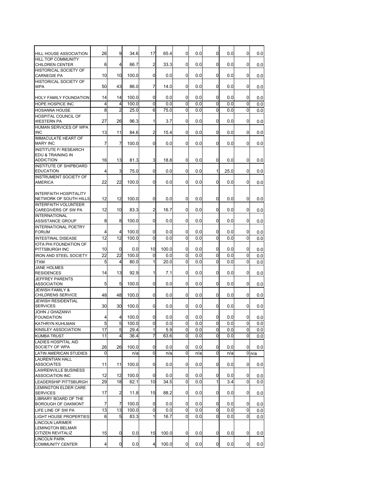| <b>HILL HOUSE ASSOCIATION</b>                           | 26             | 9              | 34.6         | 17                      | 65.4         | 0                           | 0.0        | 0                | 0.0        | 0      | 0.0              |
|---------------------------------------------------------|----------------|----------------|--------------|-------------------------|--------------|-----------------------------|------------|------------------|------------|--------|------------------|
| <b>HILL TOP COMMUNITY</b>                               |                |                |              |                         |              |                             |            |                  |            |        |                  |
| <b>CHILDREN CENTER</b><br><b>HISTORICAL SOCIETY OF</b>  | 6              | 4              | 66.7         | 2                       | 33.3         | 0                           | 0.0        | 0                | 0.0        | 0      | 0.0              |
| <b>CARNEGIE PA</b>                                      | 10             | 10             | 100.0        | 0                       | 0.0          | 0                           | 0.0        | 0                | 0.0        | 0      | 0.0              |
| HISTORICAL SOCIETY OF                                   |                |                |              |                         |              |                             |            |                  |            |        |                  |
| <b>WPA</b>                                              | 50             | 43             | 86.0         | 7                       | 14.0         | $\Omega$                    | 0.0        | $\Omega$         | 0.0        | 0      | 0.0              |
| HOLY FAMILY FOUNDATION                                  | 14             | 14             | 100.0        | 0                       | 0.0          | $\Omega$                    | 0.0        | 0                | 0.0        | 0      | 0.0              |
| <b>HOPE HOSPICE INC</b>                                 | 4              | 4              | 100.0        | 0                       | 0.0          | 0                           | 0.0        | $\Omega$         | 0.0        | 0      | 0.0              |
| <b>HOSANNA HOUSE</b>                                    | 8              | $\overline{2}$ | 25.0         | 6                       | 75.0         | 0                           | 0.0        | $\Omega$         | 0.0        | 0      | 0.0              |
| <b>HOSPITAL COUNCIL OF</b><br><b>WESTERN PA</b>         | 27             | 26             | 96.3         | 1                       | 3.7          | 0                           | 0.0        | 0                | 0.0        | 0      | 0.0              |
| HUMAN SERVICES OF WPA                                   |                |                |              |                         |              |                             |            |                  |            |        |                  |
| <b>INC</b><br><b>IMMACULATE HEART OF</b>                | 13             | 11             | 84.6         | 2                       | 15.4         | 0                           | 0.0        | 0                | 0.0        | 0      | 0.0              |
| <b>MARY INC</b>                                         | 7              | $\overline{7}$ | 100.0        | 0                       | 0.0          | $\Omega$                    | 0.0        | $\Omega$         | 0.0        | 0      | 0.0              |
| <b>INSTITUTE F/ RESEARCH</b>                            |                |                |              |                         |              |                             |            |                  |            |        |                  |
| EDU & TRAINING IN<br><b>ADDICTION</b>                   | 16             | 13             | 81.3         | 3                       | 18.8         | 0                           | 0.0        | 0                | 0.0        | 0      | 0.0              |
| INSTITUTE OF SHIPBOARD                                  |                |                |              |                         |              |                             |            |                  |            |        |                  |
| <b>EDUCATION</b>                                        | 4              | 3              | 75.0         | 0                       | 0.0          | 0                           | 0.0        | $\mathbf{1}$     | 25.0       | 0      | 0.0              |
| <b>INSTRUMENT SOCIETY OF</b><br><b>AMERICA</b>          | 22             | 22             | 100.0        | 0                       | 0.0          | 0                           | 0.0        | 0                | 0.0        | 0      | 0.0              |
|                                                         |                |                |              |                         |              |                             |            |                  |            |        |                  |
| <b>INTERFAITH HOSPITALITY</b>                           |                |                |              |                         |              |                             |            |                  |            |        |                  |
| NETWORK OF SOUTH HILLS<br><b>INTERFAITH VOLUNTEER</b>   | 12             | 12             | 100.0        | 0                       | 0.0          | $\Omega$                    | 0.0        | 0                | 0.0        | 0      | 0.0              |
| CAREGIVERS OF SW PA                                     | 12             | 10             | 83.3         | 2                       | 16.7         | $\mathbf 0$                 | 0.0        | 0                | 0.0        | 0      | 0.0              |
| <b>INTERNATIONAL</b>                                    |                |                |              |                         |              |                             |            |                  |            |        |                  |
| <b>ASSISTANCE GROUP</b><br>INTERNATIONAL POETRY         | 8              | 8              | 100.0        | 0                       | 0.0          | $\Omega$                    | 0.0        | 0                | 0.0        | 0      | 0.0              |
| <b>FORUM</b>                                            | 4              | $\overline{4}$ | 100.0        | 0                       | 0.0          | 0                           | 0.0        | 0                | 0.0        | 0      | 0.0              |
| INTESTINAL DISEASE                                      | 12             | 12             | 100.0        | 0                       | 0.0          | 0                           | 0.0        | $\Omega$         | 0.0        | 0      | 0.0              |
| IOTA PHI FOUNDATION OF                                  |                |                |              |                         |              |                             |            |                  |            |        |                  |
| PITTSBURGH INC<br><b>IRON AND STEEL SOCIETY</b>         | 10<br>22       | 0<br>22        | 0.0<br>100.0 | 10<br>0                 | 100.0<br>0.0 | 0<br>0                      | 0.0<br>0.0 | 0<br>$\mathbf 0$ | 0.0<br>0.0 | 0<br>0 | 0.0              |
| <b>ITXM</b>                                             | 5              | 4              | 80.0         | 1                       | 20.0         | 0                           | 0.0        | $\Omega$         | 0.0        | 0      | 0.0<br>0.0       |
| <b>JANE HOLMES</b>                                      |                |                |              |                         |              |                             |            |                  |            |        |                  |
| <b>RESIDENCES</b>                                       | 14             | 13             | 92.9         | $\mathbf{1}$            | 7.1          | 0                           | 0.0        | $\Omega$         | 0.0        | 0      | 0.0              |
| <b>JEFFREY PARENTS</b><br><b>ASSOCIATION</b>            | 5              | 5              | 100.0        | 0                       | 0.0          | 0                           | 0.0        | 0                | 0.0        | 0      | 0.0              |
| <b>JEWISH FAMILY &amp;</b>                              |                |                |              |                         |              |                             |            |                  |            |        |                  |
| CHILDRENS SERVICE                                       | 48             | 48             | 100.0        | 0                       | 0.0          | $\Omega$                    | 0.0        | $\Omega$         | 0.0        | 0      | 0.0              |
| <b>JEWISH RESIDENTIAL</b><br><b>SERVICES</b>            | 30             | 30             | 100.0        | 0                       | 0.0          | 0                           | 0.0        | 0                | 0.0        | 0      | 0.0              |
| <b>JOHN J GHAZANVI</b>                                  |                |                |              |                         |              |                             |            |                  |            |        |                  |
| <b>FOUNDATION</b>                                       | 4              | 4              | 100.0        | 0                       | 0.0          | 0                           | 0.0        | 0                | 0.0        | 0      | 0.0              |
| KATHRYN KUHLMAN                                         | 5              | 5              | 100.0        | 0                       | 0.0          | 0                           | 0.0        | 0                | 0.0        | 0      | 0.0              |
| KINSLEY ASSOCIATION                                     | 17<br>11       | 5<br>4         | 29.4<br>36.4 | 1<br>$\overline{7}$     | 5.9<br>63.6  | <sub>0</sub><br>$\mathbf 0$ | 0.0<br>0.0 | 0<br>0           | 0.0<br>0.0 | 0<br>0 | 0.0              |
| <b>KUMBA TRUST</b><br><b>LADIES HOSPITAL AID</b>        |                |                |              |                         |              |                             |            |                  |            |        | 0.0              |
| SOCIETY OF WPA                                          | 26             | 26             | 100.0        | 0                       | 0.0          | 0                           | 0.0        | 0                | 0.0        | 0      | 0.0              |
| <b>LATIN AMERICAN STUDIES</b>                           | $\overline{0}$ |                | n/a          | $\mathbf 0$             | n/a          | 0                           | n/a        | $\mathbf 0$      | n/a        |        | 0 <sub>n/a</sub> |
| <b>LAURENTIAN HALL</b><br><b>ASSOCIATES</b>             | 11             | 11             | 100.0        | 0                       | 0.0          | 0                           | 0.0        | 0                | 0.0        | 0      | 0.0              |
| <b>LAWRENVILLE BUSINESS</b>                             |                |                |              |                         |              |                             |            |                  |            |        |                  |
| <b>ASSOCIATION INC</b>                                  | 12             | 12             | 100.0        | 0                       | 0.0          | 0                           | 0.0        | 0                | 0.0        | 0      | 0.0              |
| LEADERSHIP PITTSBURGH                                   | 29             | 18             | 62.1         | 10                      | 34.5         | 0                           | 0.0        | $\mathbf{1}$     | 3.4        | 0      | 0.0              |
| <b>LEMINGTON ELDER CARE</b><br><b>SERVICES</b>          | 17             | 2              | 11.8         | 15                      | 88.2         | 0                           | 0.0        | 0                | 0.0        | 0      | 0.0              |
| LIBRARY BOARD OF THE                                    |                |                |              |                         |              |                             |            |                  |            |        |                  |
| BOROUGH OF OAKMONT                                      | $\overline{7}$ | $\overline{7}$ | 100.0        | 0                       | 0.0          | 0                           | 0.0        | 0                | 0.0        | 0      | 0.0              |
| LIFE LINE OF SW PA                                      | 13             | 13             | 100.0        | 0                       | 0.0          | 0                           | 0.0        | 0                | 0.0        | 0      | 0.0              |
| <b>LIGHT HOUSE PROPERTIES</b><br><b>LINCOLN LARIMER</b> | 6              | 5              | 83.3         | 1                       | 16.7         | 0                           | 0.0        | 0                | 0.0        | 0      | 0.0              |
| <b>LEMINGTON BELMAR</b>                                 |                |                |              |                         |              |                             |            |                  |            |        |                  |
| <b>CITIZEN REVITALIZ</b>                                | 15             | 0              | 0.0          | 15                      | 100.0        | 0                           | 0.0        | 0                | 0.0        | 0      | 0.0              |
| <b>LINCOLN PARK</b><br><b>COMMUNITY CENTER</b>          | 4              | $\mathbf 0$    | 0.0          | $\overline{\mathbf{4}}$ | 100.0        | $\overline{0}$              | 0.0        | 0                | 0.0        | 0      | 0.0              |
|                                                         |                |                |              |                         |              |                             |            |                  |            |        |                  |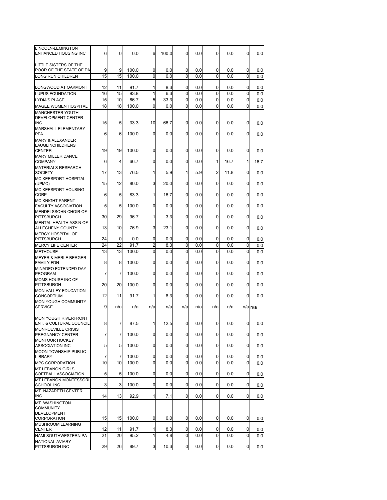| LINCOLN-LEMINGTON<br>ENHANCED HOUSING INC         | 6  | 0              | 0.0   | 6            | 100.0 | 0            | 0.0 | 0           | 0.0  | $\mathbf{0}$ | 0.0         |
|---------------------------------------------------|----|----------------|-------|--------------|-------|--------------|-----|-------------|------|--------------|-------------|
| LITTLE SISTERS OF THE                             |    |                |       |              |       |              |     |             |      |              |             |
| POOR OF THE STATE OF PA                           | 9  | 9              | 100.0 | 0            | 0.0   | 0            | 0.0 | 0           | 0.0  | 0            | 0.0         |
| LONG RUN CHILDREN                                 | 15 | 15             | 100.0 | 0            | 0.0   | 0            | 0.0 | $\mathbf 0$ | 0.0  | 0            | 0.0         |
| LONGWOOD AT OAKMONT                               | 12 | 11             | 91.7  | 1            | 8.3   | 0            | 0.0 | 0           | 0.0  | 0            | 0.0         |
| LUPUS FOUNDATION                                  | 16 | 15             | 93.8  | 1            | 6.3   | 0            | 0.0 | 0           | 0.0  | 0            | 0.0         |
| <b>LYDIA'S PLACE</b>                              | 15 | 10             | 66.7  | 5            | 33.3  | 0            | 0.0 | 0           | 0.0  | $\Omega$     | 0.0         |
| MAGEE WOMEN HOSPITAL                              | 18 | 18             | 100.0 | 0            | 0.0   | 0            | 0.0 | 0           | 0.0  | 0            | 0.0         |
| <b>MANCHESTER YOUTH</b>                           |    |                |       |              |       |              |     |             |      |              |             |
| DEVELOPMENT CENTER                                |    |                |       |              |       |              |     |             |      |              |             |
| <b>INC</b>                                        | 15 | 5              | 33.3  | 10           | 66.7  | $\mathbf{0}$ | 0.0 | 0           | 0.0  | 0            | 0.0         |
| MARSHALL ELEMENTARY<br><b>PFA</b>                 | 6  | 6              | 100.0 | 0            | 0.0   | 0            | 0.0 | 0           | 0.0  | 0            | 0.0         |
| <b>MARY &amp; ALEXANDER</b>                       |    |                |       |              |       |              |     |             |      |              |             |
| LAUGLINCHILDRENS                                  |    |                |       |              |       |              |     |             |      |              |             |
| <b>CENTER</b>                                     | 19 | 19             | 100.0 | 0            | 0.0   | 0            | 0.0 | 0           | 0.0  | 0            | 0.0         |
| <b>MARY MILLER DANCE</b><br><b>COMPANY</b>        | 6  | $\overline{4}$ | 66.7  | 0            | 0.0   | $\mathbf{0}$ | 0.0 | 1           | 16.7 | 1            | 16.7        |
| MATERIALS RESEARCH                                |    |                |       |              |       |              |     |             |      |              |             |
| <b>SOCIETY</b>                                    | 17 | 13             | 76.5  | 1            | 5.9   | 1            | 5.9 | 2           | 11.8 | 0            | 0.0         |
| MC KEESPORT HOSPITAL                              |    |                |       |              |       |              |     |             |      |              |             |
| (UPMC)<br>MC KEESPORT HOUSING                     | 15 | 12             | 80.0  | 3            | 20.0  | $\mathbf{0}$ | 0.0 | 0           | 0.0  | $\mathbf{0}$ | 0.0         |
| CORP                                              | 6  | 5              | 83.3  | 1            | 16.7  | $\mathbf{0}$ | 0.0 | 0           | 0.0  | 0            | 0.0         |
| <b>MC KNIGHT PARENT</b>                           |    |                |       |              |       |              |     |             |      |              |             |
| FACULTY ASSOCIATION<br>MENDELSSOHN CHOIR OF       | 5  | 5              | 100.0 | 0            | 0.0   | $\mathbf{0}$ | 0.0 | 0           | 0.0  | 0            | 0.0         |
| <b>PITTSBURGH</b>                                 | 30 | 29             | 96.7  | 1            | 3.3   | 0            | 0.0 | 0           | 0.0  | 0            | 0.0         |
| MENTAL HEALTH ASS'N OF                            |    |                |       |              |       |              |     |             |      |              |             |
| ALLEGHENY COUNTY                                  | 13 | 10             | 76.9  | 3            | 23.1  | $\mathbf{0}$ | 0.0 | 0           | 0.0  | $\mathbf{0}$ | 0.0         |
| <b>MERCY HOSPITAL OF</b><br><b>PITTSBURGH</b>     | 24 | 0              | 0.0   | 0            | 0.0   | 0            | 0.0 | 0           | 0.0  | 0            | 0.0         |
| <b>MERCY LIFE CENTER</b>                          | 24 | 22             | 91.7  | 2            | 8.3   | 0            | 0.0 | 0           | 0.0  | 0            | 0.0         |
| <b>METHOUSE</b>                                   | 13 | 13             | 100.0 | 0            | 0.0   | 0            | 0.0 | $\Omega$    | 0.0  | $\Omega$     | 0.0         |
| <b>MEYER &amp; MERLE BERGER</b>                   |    |                |       |              |       |              |     |             |      |              |             |
| <b>FAMILY FDN</b>                                 | 8  | 8              | 100.0 | 0            | 0.0   | 0            | 0.0 | 0           | 0.0  | 0            | 0.0         |
| MINADEO EXTENDED DAY                              | 7  | 7              |       |              |       |              |     |             |      |              |             |
| <b>PROGRAM</b><br>MOMS HOUSE INC OF               |    |                | 100.0 | 0            | 0.0   | $\mathbf{0}$ | 0.0 | 0           | 0.0  | 0            | 0.0         |
| PITTSBURGH                                        | 20 | 20             | 100.0 | 0            | 0.0   | 0            | 0.0 | 0           | 0.0  | 0            | 0.0         |
| <b>MON VALLEY EDUCATION</b>                       |    |                |       |              |       |              |     |             |      |              |             |
| <b>CONSORTIUM</b>                                 | 12 | 11             | 91.7  | 1            | 8.3   | 0            | 0.0 | 0           | 0.0  | 0            | 0.0         |
| MON YOUGH COMMUNITY<br><b>SERVICE</b>             | 9  | n/a            | n/a   | n/a          | n/a   | n/a          | n/a | n/a         | n/a  |              | $n/a$ $n/a$ |
|                                                   |    |                |       |              |       |              |     |             |      |              |             |
| <b>MON YOUGH RIVERFRONT</b>                       |    |                |       |              |       |              |     |             |      |              |             |
| <b>ENT. &amp; CULTURAL COUNCIL</b>                | 8  | $\overline{7}$ | 87.5  | 1            | 12.5  | 0            | 0.0 | 0           | 0.0  | 0            | 0.0         |
| MONROEVILLE CRISIS                                | 7  | $\overline{7}$ | 100.0 | 0            | 0.0   | 0            | 0.0 | 0           | 0.0  |              |             |
| PREGNANCY CENTER<br><b>MONTOUR HOCKEY</b>         |    |                |       |              |       |              |     |             |      | 0            | 0.0         |
| <b>ASSOCIATION INC</b>                            | 5  | 5              | 100.0 | 0            | 0.0   | 0            | 0.0 | 0           | 0.0  | 0            | 0.0         |
| <b>MOON TOWNSHIP PUBLIC</b>                       |    |                |       |              |       |              |     |             |      |              |             |
| <b>LIBRARY</b>                                    | 7  | $\overline{7}$ | 100.0 | 0            | 0.0   | 0            | 0.0 | 0           | 0.0  | $\mathbf{0}$ | 0.0         |
| <b>MPC CORPORATION</b><br><b>MT LEBANON GIRLS</b> | 10 | 10             | 100.0 | 0            | 0.0   | 0            | 0.0 | 0           | 0.0  | 0            | 0.0         |
| SOFTBALL ASSOCIATION                              | 5  | 5              | 100.0 | 0            | 0.0   | 0            | 0.0 | 0           | 0.0  | 0            | 0.0         |
| <b>MT LEBANON MONTESSORI</b>                      |    |                |       |              |       |              |     |             |      |              |             |
| SCHOOL INC                                        | 3  | 3              | 100.0 | 0            | 0.0   | <sub>0</sub> | 0.0 | 0           | 0.0  | $\mathbf{0}$ | 0.0         |
| MT. NAZARETH CENTER<br><b>INC</b>                 | 14 | 13             | 92.9  | $\mathbf{1}$ | 7.1   | 0            | 0.0 | 0           | 0.0  | $\mathbf{0}$ | 0.0         |
| MT. WASHINGTON                                    |    |                |       |              |       |              |     |             |      |              |             |
| <b>COMMUNITY</b>                                  |    |                |       |              |       |              |     |             |      |              |             |
| <b>DEVELOPMENT</b>                                |    |                |       |              |       |              |     |             |      |              |             |
| CORPORATION                                       | 15 | 15             | 100.0 | $\mathbf 0$  | 0.0   | <sub>0</sub> | 0.0 | $\mathbf 0$ | 0.0  | 0            | 0.0         |
| MUSHROOM LEARNING<br><b>CENTER</b>                | 12 | 11             | 91.7  | 1            | 8.3   | 0            | 0.0 | 0           | 0.0  | 0            | 0.0         |
| NAMI SOUTHWESTERN PA                              | 21 | 20             | 95.2  | $\mathbf{1}$ | 4.8   | 0            | 0.0 | 0           | 0.0  | 0            | 0.0         |
| NATIONAL AVIARY                                   |    |                |       |              |       |              |     |             |      |              |             |
| PITTSBURGH INC                                    | 29 | 26             | 89.7  | 3            | 10.3  | 0            | 0.0 | 0           | 0.0  | 0            | $0.0\,$     |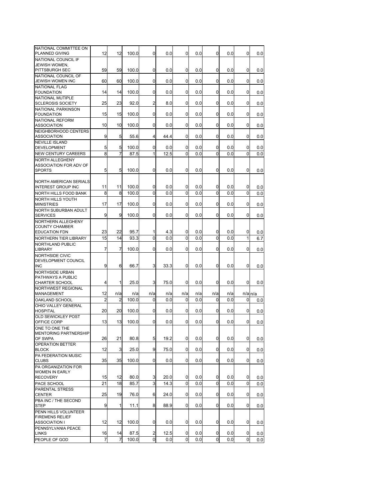| NATIONAL COMMITTEE ON<br>PLANNED GIVING           | 12             | 12             | 100.0         | 0      | 0.0          | 0             | 0.0        | 0                 | 0.0        | 0              | 0.0         |
|---------------------------------------------------|----------------|----------------|---------------|--------|--------------|---------------|------------|-------------------|------------|----------------|-------------|
| NATIONAL COUNCIL IF                               |                |                |               |        |              |               |            |                   |            |                |             |
| <b>JEWISH WOMEN,</b><br>PITTSBURGH SEC            | 59             | 59             | 100.0         | 0      | 0.0          | $\Omega$      | 0.0        | 0                 | 0.0        | 0              | 0.0         |
| NATIONAL COUNCIL OF                               |                |                |               |        |              |               |            |                   |            |                |             |
| <b>JEWISH WOMEN INC</b><br><b>NATIONAL FLAG</b>   | 60             | 60             | 100.0         | 0      | 0.0          | 0             | 0.0        | 0                 | 0.0        | 0              | 0.0         |
| <b>FOUNDATION</b>                                 | 14             | 14             | 100.0         | 0      | 0.0          | 0             | 0.0        | 0                 | 0.0        | 0              | 0.0         |
| NATIONAL MUTIPLE<br><b>SCLEROSIS SOCIETY</b>      | 25             | 23             | 92.0          | 2      | 8.0          | 0             | 0.0        | 0                 | 0.0        | $\Omega$       | 0.0         |
| NATIONAL PARKINSON<br><b>FOUNDATION</b>           |                | 15             | 100.0         | 0      |              | 0             |            |                   |            | 0              |             |
| NATIONAL REFORM                                   | 15             |                |               |        | 0.0          |               | 0.0        | 0                 | 0.0        |                | 0.0         |
| <b>ASSOCIATION</b>                                | 10             | 10             | 100.0         | 0      | 0.0          | 0             | 0.0        | 0                 | 0.0        | 0              | 0.0         |
| NEIGHBORHOOD CENTERS<br><b>ASSOCIATION</b>        | 9              | 5              | 55.6          | 4      | 44.4         | 0             | 0.0        | 0                 | 0.0        | 0              | 0.0         |
| <b>NEVILLE ISLAND</b>                             |                |                |               |        |              |               |            |                   |            |                |             |
| <b>DEVELOPMENT</b><br><b>NEW CENTURY CAREERS</b>  | 5<br>8         | 5<br>7         | 100.0<br>87.5 | 0<br>1 | 0.0<br>12.5  | 0<br>$\Omega$ | 0.0<br>0.0 | 0<br>$\Omega$     | 0.0<br>0.0 | 0<br>$\Omega$  | 0.0<br>0.0  |
| NORTH ALLEGHENY                                   |                |                |               |        |              |               |            |                   |            |                |             |
| ASSOCIATION FOR ADV OF                            |                |                |               |        |              |               |            |                   |            |                |             |
| <b>SPORTS</b>                                     | 5              | 5              | 100.0         | 0      | 0.0          | 0             | 0.0        | 0                 | 0.0        | 0              | 0.0         |
| <b>NORTH AMERICAN SERIALS</b>                     |                |                |               |        |              |               |            |                   |            |                |             |
| <b>INTEREST GROUP INC</b>                         | 11             | 11             | 100.0         | 0      | 0.0          | 0             | 0.0        | 0                 | 0.0        | 0              | 0.0         |
| NORTH HILLS FOOD BANK<br><b>NORTH HILLS YOUTH</b> | 8              | 8              | 100.0         | 0      | 0.0          | $\Omega$      | 0.0        | 0                 | 0.0        | 0              | 0.0         |
| <b>MINISTRIES</b>                                 | 17             | 17             | 100.0         | 0      | 0.0          | 0             | 0.0        | 0                 | 0.0        | 0              | 0.0         |
| NORTH SUBURBAN ADULT                              |                | 9              |               |        |              |               |            |                   |            |                |             |
| <b>SERVICES</b><br>NORTHERN ALLEGHENY             | 9              |                | 100.0         | 0      | 0.0          | 0             | 0.0        | 0                 | 0.0        | 0              | 0.0         |
| <b>COUNTY CHAMBER</b>                             |                |                |               |        |              |               |            |                   |            |                |             |
| <b>EDUCATION FDN</b>                              | 23             | 22             | 95.7          | 1      | 4.3          | 0             | 0.0        | 0                 | 0.0        | 0              | 0.0         |
| NORTHERN TIER LIBRARY<br><b>NORTHLAND PUBLIC</b>  | 15             | 14             | 93.3          | 0      | 0.0          | 0             | 0.0        | 0                 | 0.0        | 1              | 6.7         |
| <b>LIBRARY</b>                                    | 7              | 7              | 100.0         | 0      | 0.0          | 0             | 0.0        | 0                 | 0.0        | 0              | 0.0         |
| NORTHSIDE CIVIC                                   |                |                |               |        |              |               |            |                   |            |                |             |
| DEVELOPMENT COUNCIL<br><b>INC</b>                 | 9              | 6              | 66.7          | 3      | 33.3         | 0             | 0.0        | 0                 | 0.0        | 0              | 0.0         |
| NORTHSIDE URBAN                                   |                |                |               |        |              |               |            |                   |            |                |             |
| PATHWAYS A PUBLIC<br><b>CHARTER SCHOOL</b>        | 4              | 1              | 25.0          | 3      | 75.0         | 0             | 0.0        | 0                 | 0.0        | 0              | 0.0         |
| NORTHWEST REGIONAL                                |                |                |               |        |              |               |            |                   |            |                |             |
| <b>MANAGEMENT</b>                                 | 12             | n/a            | n/a           | n/a    | n/a          | n/a           | n/a        | n/a               | n/a        |                | $n/a$ $n/a$ |
| OAKLAND SCHOOL<br>OHIO VALLEY GENERAL             | $\overline{c}$ | 2              | 100.0         | 0      | 0.0          | 0             | 0.0        | 0                 | 0.0        | 0              | 0.0         |
| <b>HOSPITAL</b>                                   | 20             | 20             | 100.0         | 0      | 0.0          | 0             | 0.0        | 0                 | 0.0        | 0              | 0.0         |
| <b>OLD SEWICKLEY POST</b><br>OFFICE CORP          |                |                |               |        |              | 0             |            |                   |            | 0              |             |
| ONE TO ONE THE                                    | 13             | 13             | 100.0         | 0      | 0.0          |               | 0.0        | 0                 | 0.0        |                | 0.0         |
| <b>MENTORING PARTNERSHIP</b>                      |                |                |               |        |              |               |            |                   |            |                |             |
| OF SWPA<br>OPERATION BETTER                       | 26             | 21             | 80.8          | 5      | 19.2         | 0             | 0.0        | $\overline{0}$    | 0.0        | $\overline{0}$ | 0.0         |
| <b>BLOCK</b>                                      | 12             | 3              | 25.0          | 9      | 75.0         | 0             | 0.0        | 0                 | 0.0        | 0              | 0.0         |
| PA FEDERATION MUSIC<br><b>CLUBS</b>               | 35             | 35             | 100.0         | 0      | 0.0          | 0             | 0.0        | 0                 | 0.0        | 0              | 0.0         |
| PA ORGANIZATION FOR                               |                |                |               |        |              |               |            |                   |            |                |             |
| <b>WOMEN IN EARLY</b>                             |                |                |               |        |              |               |            |                   |            |                |             |
| <b>RECOVERY</b><br>PACE SCHOOL                    | 15<br>21       | 12<br>18       | 80.0<br>85.7  | 3<br>3 | 20.0<br>14.3 | 0<br>$\Omega$ | 0.0<br>0.0 | 0<br>$\mathbf{0}$ | 0.0<br>0.0 | 0<br>$\Omega$  | 0.0<br>0.0  |
| <b>PARENTAL STRESS</b>                            |                |                |               |        |              |               |            |                   |            |                |             |
| <b>CENTER</b>                                     | 25             | 19             | 76.0          | 6      | 24.0         | 0             | 0.0        | 0                 | 0.0        | 0              | 0.0         |
| PBA INC / THE SECOND<br><b>STEP</b>               | 9              | 1              | 11.1          | 8      | 88.9         | 0             | 0.0        | 0                 | 0.0        | $\Omega$       | 0.0         |
| PENN HILLS VOLUNTEER                              |                |                |               |        |              |               |            |                   |            |                |             |
| <b>FIREMENS RELIEF</b><br><b>ASSOCIATION I</b>    | 12             | 12             | 100.0         | 0      | 0.0          | 0             | 0.0        | $\mathbf{0}$      | 0.0        | 0              | 0.0         |
| PENNSYLVANIA PEACE                                |                |                |               |        |              |               |            |                   |            |                |             |
| <b>LINKS</b>                                      | 16             | 14             | 87.5          | 2      | 12.5         | 0             | 0.0        | 0                 | 0.0        | 0              | 0.0         |
| PEOPLE OF GOD                                     | 7              | $\overline{7}$ | 100.0         | 0      | 0.0          | 0             | 0.0        | 0                 | 0.0        | $\Omega$       | 0.0         |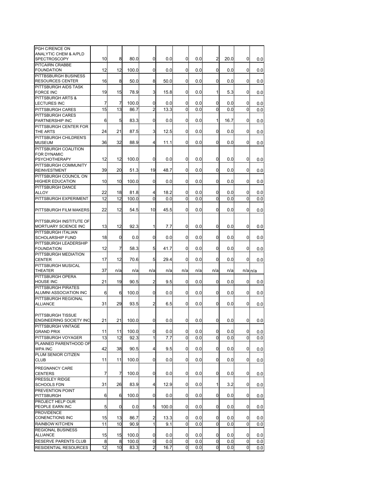| PGH C/RENCE ON<br>ANALYTIC CHEM & A/PLD                     | 10             | 8            |               | 0              | 0.0         | 0              | 0.0        | $\overline{2}$ |            | 0           |             |
|-------------------------------------------------------------|----------------|--------------|---------------|----------------|-------------|----------------|------------|----------------|------------|-------------|-------------|
| <b>SPECTROSCOPY</b><br>PITCAIRN CRABBE                      |                |              | 80.0          |                |             |                |            |                | 20.0       |             | 0.0         |
| <b>FOUNDATION</b><br>PITTBSBURGH BUSINESS                   | 12             | 12           | 100.0         | 0              | 0.0         | 0              | 0.0        | $\mathbf 0$    | 0.0        | 0           | 0.0         |
| <b>RESOURCES CENTER</b>                                     | 16             | 8            | 50.0          | 8              | 50.0        | 0              | 0.0        | $\mathbf 0$    | 0.0        | $\Omega$    | 0.0         |
| PITTSBURGH AIDS TASK<br><b>FORCE INC</b>                    | 19             | 15           | 78.9          | 3              | 15.8        | 0              | 0.0        | 1              | 5.3        | 0           | 0.0         |
| PITTSBURGH ARTS &<br>LECTURES INC                           | 7              | 7            | 100.0         | 0              | 0.0         | 0              | 0.0        | 0              | 0.0        | 0           | 0.0         |
| PITTSBURGH CARES                                            | 15             | 13           | 86.7          | 2              | 13.3        | 0              | 0.0        | $\Omega$       | 0.0        | $\Omega$    | 0.0         |
| PITTSBURGH CARES<br>PARTNERSHIP INC                         | 6              | 5            | 83.3          | 0              | 0.0         | 0              | 0.0        | 1              | 16.7       | 0           | 0.0         |
| PITTSBURGH CENTER FOR<br>THE ARTS                           | 24             | 21           | 87.5          | 3              | 12.5        | 0              | 0.0        | 0              | 0.0        | 0           | 0.0         |
| PITTSBURGH CHILDREN'S<br><b>MUSEUM</b>                      | 36             | 32           | 88.9          | 4              | 11.1        | $\mathbf 0$    | 0.0        | $\Omega$       | 0.0        | 0           | 0.0         |
| PITTSBURGH COALITION                                        |                |              |               |                |             |                |            |                |            |             |             |
| FOR DYNAMIC<br><b>PSYCHOTHERAPY</b><br>PITTSBURGH COMMUNITY | 12             | 12           | 100.0         | 0              | 0.0         | 0              | 0.0        | 0              | 0.0        | 0           | 0.0         |
| <b>REINVESTMENT</b>                                         | 39             | 20           | 51.3          | 19             | 48.7        | 0              | 0.0        | $\Omega$       | 0.0        | 0           | 0.0         |
| PITTSBURGH COUNCIL ON<br><b>HIGHER EDUCATION</b>            | 10             | 10           | 100.0         | 0              | 0.0         | 0              | 0.0        | 0              | 0.0        | 0           | 0.0         |
| PITTSBURGH DANCE                                            |                |              |               |                |             |                |            |                |            |             |             |
| ALLOY<br>PITTSBURGH EXPERIMENT                              | 22<br>12       | 18<br>12     | 81.8<br>100.0 | 4<br>0         | 18.2<br>0.0 | 0<br>0         | 0.0<br>0.0 | 0<br>0         | 0.0<br>0.0 | 0<br>0      | 0.0<br>0.0  |
|                                                             |                |              |               |                |             |                |            |                |            |             |             |
| PITTSBURGH FILM MAKERS                                      | 22             | 12           | 54.5          | 10             | 45.5        | 0              | 0.0        | 0              | 0.0        | 0           | 0.0         |
| PITTSBURGH INSTITUTE OF                                     | 13             | 12           |               | 1              | 7.7         | 0              | 0.0        | 0              |            | 0           |             |
| MORTUARY SCIENCE INC<br>PITTSBURGH ITALIAN                  |                |              | 92.3          |                |             |                |            |                | 0.0        |             | 0.0         |
| SCHOLARSHIP FUND                                            | 18             | 0            | 0.0           | 0              | 0.0         | $\Omega$       | 0.0        | $\Omega$       | 0.0        | $\Omega$    | 0.0         |
| PITTSBURGH LEADERSHIP<br><b>FOUNDATION</b>                  | 12             | 7            | 58.3          | 5              | 41.7        | 0              | 0.0        | 0              | 0.0        | 0           | 0.0         |
| PITTSBURGH MEDIATION<br><b>CENTER</b>                       | 17             | 12           | 70.6          | 5              | 29.4        | 0              | 0.0        | 0              | 0.0        | 0           | 0.0         |
| PITTSBURGH MUSICAL<br>THEATER                               | 37             | n/a          | n/a           | n/a            | n/a         | n/a            | n/a        | n/a            | n/a        |             | $n/a$ $n/a$ |
| PITTSBURGH OPERA<br><b>HOUSE INC</b>                        | 21             | 19           | 90.5          | 2              | 9.5         | 0              | 0.0        | $\mathbf 0$    | 0.0        | 0           | 0.0         |
| <b>PITTSBURGH PIRATES</b>                                   |                |              |               |                |             |                |            |                |            |             |             |
| ALUMNI ASSOCIATION INC<br>PITTSBURGH REGIONAL               | 6              | 6            | 100.0         | 0              | 0.0         | 0              | 0.0        | 0              | 0.0        | 0           | 0.0         |
| <b>ALLIANCE</b>                                             | 31             | 29           | 93.5          | 2              | 6.5         | $\Omega$       | 0.0        | 0              | 0.0        | $\Omega$    | 0.0         |
| PITTSBURGH TISSUE                                           |                |              |               |                |             |                |            |                |            |             |             |
| ENGINEERING SOCIETY INC<br>PITTSBURGH VINTAGE               | 21             | 21           | 100.0         | $\mathbf 0$    | 0.0         | 0              | 0.0        | 0              | 0.0        | 0           | 0.0         |
| <b>GRAND PRIX</b>                                           | 11             | 11           | 100.0         | 0              | 0.0         | $\overline{0}$ | 0.0        | $\mathbf 0$    | 0.0        | 0           | 0.0         |
| PITTSBURGH VOYAGER                                          | 13             | 12           | 92.3          | $\mathbf{1}$   | 7.7         | $\mathbf 0$    | 0.0        | $\mathbf 0$    | 0.0        | $\mathbf 0$ | 0.0         |
| PLANNED PARENTHOOD OF<br><b>WPA INC</b>                     | 42             | 38           | 90.5          | 4              | 9.5         | 0              | 0.0        | 0              | 0.0        | 0           | 0.0         |
| PLUM SENIOR CITIZEN<br><b>CLUB</b>                          | 11             | 11           | 100.0         | $\overline{0}$ | 0.0         | 0              | 0.0        | $\mathbf 0$    | 0.0        | 0           | 0.0         |
| PREGNANCY CARE<br><b>CENTERS</b>                            | $\overline{7}$ | 7            | 100.0         | $\overline{0}$ | 0.0         | 0              | 0.0        | 0              | 0.0        | 0           | 0.0         |
| PRESSLEY RIDGE                                              |                |              |               |                |             |                |            |                |            |             |             |
| <b>SCHOOLS FDN</b><br>PREVENTION POINT                      | 31             | 26           | 83.9          | 4              | 12.9        | 0              | 0.0        | 1              | 3.2        | 0           | 0.0         |
| PITTSBURGH<br>PROJECT HELP OUR                              | 6              | 6            | 100.0         | $\mathbf 0$    | 0.0         | 0              | 0.0        | 0              | 0.0        | 0           | 0.0         |
| PEOPLE EARN INC                                             | 5              | $\mathbf{0}$ | 0.0           | 5              | 100.0       | $\overline{0}$ | 0.0        | $\mathbf{0}$   | 0.0        | 0           | 0.0         |
| <b>PROVIDENCE</b><br><b>CONENCTIONS INC</b>                 | 15             | 13           | 86.7          | 2              | 13.3        | 0              | 0.0        | 0              | 0.0        | 0           | 0.0         |
| RAINBOW KITCHEN                                             | 11             | 10           | 90.9          | 1              | 9.1         | 0              | 0.0        | 0              | 0.0        | 0           | 0.0         |
| REGIONAL BUSINESS<br><b>ALLIANCE</b>                        | 15             | 15           | 100.0         | 0              | 0.0         | 0              | 0.0        | 0              | 0.0        | 0           | 0.0         |
| RESERVE PARENTS CLUB                                        | 8              | 8            | 100.0         | 0              | 0.0         | 0              | 0.0        | 0              | 0.0        | 0           | 0.0         |
| RESIDENTIAL RESOURCES                                       | 12             | 10           | 83.3          | $\overline{a}$ | 16.7        | 0              | 0.0        | $\overline{0}$ | 0.0        | 0           | 0.0         |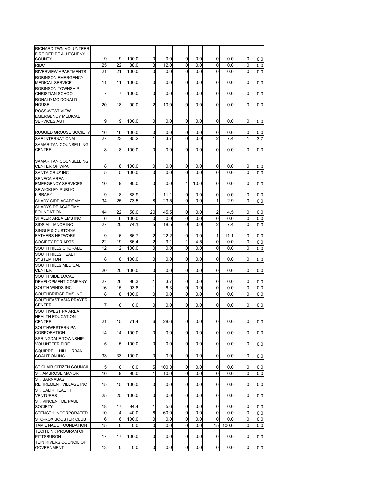| RICHARD TWN VOLUNTEER                             |          |                |              |                     |            |                |            |                |            |          |     |
|---------------------------------------------------|----------|----------------|--------------|---------------------|------------|----------------|------------|----------------|------------|----------|-----|
| FIRE DEP PF ALLEGHENY                             |          |                |              |                     |            |                |            |                |            |          |     |
| <b>COUNTY</b>                                     | 9        | 9<br>22        | 100.0        | 0<br>$\overline{3}$ | 0.0        | 0<br>$\Omega$  | 0.0        | 0              | 0.0        | 0        | 0.0 |
| <b>RIDC</b>                                       | 25       |                | 88.0         |                     | 12.0       |                | 0.0        | $\mathbf 0$    | 0.0        | 0        | 0.0 |
| RIVERVIEW APARTMENTS<br><b>ROBINSON EMERGENCY</b> | 21       | 21             | 100.0        | 0                   | 0.0        | 0              | 0.0        | 0              | 0.0        | 0        | 0.0 |
| MEDICAL SERVICE                                   | 11       | 11             | 100.0        | 0                   | 0.0        | 0              | 0.0        | 0              | 0.0        | 0        | 0.0 |
| ROBINSON TOWNSHIP                                 |          |                |              |                     |            |                |            |                |            |          |     |
| <b>CHRISTIAN SCHOOL</b>                           | 7        | $\overline{7}$ | 100.0        | 0                   | 0.0        | 0              | 0.0        | 0              | 0.0        | 0        | 0.0 |
| RONALD MC DONALD                                  |          |                |              |                     |            |                |            |                |            |          |     |
| <b>HOUSE</b>                                      | 20       | 18             | 90.0         | 2                   | 10.0       | $\Omega$       | 0.0        | $\Omega$       | 0.0        | 0        | 0.0 |
| ROSS-WEST VIEW                                    |          |                |              |                     |            |                |            |                |            |          |     |
| <b>EMERGENCY MEDICAL</b><br>SERVICES AUTH.        | 9        | 9              | 100.0        | 0                   | 0.0        | 0              | 0.0        | 0              | 0.0        | 0        | 0.0 |
|                                                   |          |                |              |                     |            |                |            |                |            |          |     |
| <b>RUGGED GROUSE SOCIETY</b>                      | 16       | 16             | 100.0        | 0                   | 0.0        | 0              | 0.0        | 0              | 0.0        | 0        | 0.0 |
| SAE INTERNATIONAL                                 | 27       | 23             | 85.2         | 1                   | 3.7        | 0              | 0.0        | $\overline{2}$ | 7.4        | 1        | 3.7 |
| SAMARITAN COUNSELLING                             |          |                |              |                     |            |                |            |                |            |          |     |
| <b>CENTER</b>                                     | 8        | 8              | 100.0        | 0                   | 0.0        | $\Omega$       | 0.0        | 0              | 0.0        | 0        | 0.0 |
|                                                   |          |                |              |                     |            |                |            |                |            |          |     |
| SAMARITAN COUNSELLING<br><b>CENTER OF WPA</b>     | 8        | 8              | 100.0        | 0                   | 0.0        | 0              | 0.0        | 0              | 0.0        | 0        | 0.0 |
| SANTA CRUZ INC                                    | 5        | 5              | 100.0        | $\Omega$            | 0.0        | 0              | 0.0        | $\mathbf 0$    | 0.0        | 0        | 0.0 |
| <b>SENECA AREA</b>                                |          |                |              |                     |            |                |            |                |            |          |     |
| <b>EMERGENCY SERVICES</b>                         | 10       | 9              | 90.0         | 0                   | 0.0        | 1              | 10.0       | 0              | 0.0        | 0        | 0.0 |
| <b>SEWICKLEY PUBLIC</b>                           |          |                |              |                     |            |                |            |                |            |          |     |
| <b>LIBRARY</b>                                    | 9        | 8              | 88.9         | 1                   | 11.1       | 0              | 0.0        | 0              | 0.0        | 0        | 0.0 |
| SHADY SIDE ACADEMY                                | 34       | 25             | 73.5         | 8                   | 23.5       | 0              | 0.0        | $\mathbf{1}$   | 2.9        | $\Omega$ | 0.0 |
| SHADYSIDE ACADEMY                                 |          |                |              |                     |            |                |            |                |            |          |     |
| <b>FOUNDATION</b>                                 | 44       | 22             | 50.0         | 20                  | 45.5       | 0              | 0.0        | 2              | 4.5        | 0        | 0.0 |
| SHALER AREA EMS INC                               | 6        | 6              | 100.0        | 0                   | 0.0        | 0              | 0.0        | 0              | 0.0        | 0        | 0.0 |
| SIDS ALLIANCE INC                                 | 27       | 20             | 74.1         | 5                   | 18.5       | 0              | 0.0        | $\overline{2}$ | 7.4        | 0        | 0.0 |
| SINGLE & CUSTODIAL<br><b>FATHERS NETWORK</b>      | 9        | 6              | 66.7         | 2                   | 22.2       | 0              | 0.0        | 1              | 11.1       | 0        | 0.0 |
| SOCIETY FOR ARTS                                  | 22       | 19             | 86.4         | $\overline{c}$      | 9.1        | 1              | 4.5        | 0              | 0.0        | 0        | 0.0 |
| SOUTH HILLS CHORALE                               | 12       | 12             | 100.0        | 0                   | 0.0        | 0              | 0.0        | $\mathbf 0$    | 0.0        | 0        | 0.0 |
| SOUTH HILLS HEALTH                                |          |                |              |                     |            |                |            |                |            |          |     |
| <b>SYSTEM FDN</b>                                 | 8        | 8              | 100.0        | 0                   | 0.0        | 0              | 0.0        | 0              | 0.0        | 0        | 0.0 |
| SOUTH HILLS MEDICAL                               |          |                |              |                     |            |                |            |                |            |          |     |
| <b>CENTER</b>                                     | 20       | 20             | 100.0        | 0                   | 0.0        | 0              | 0.0        | 0              | 0.0        | 0        | 0.0 |
| SOUTH SIDE LOCAL                                  |          |                |              |                     |            |                |            |                |            |          |     |
| DEVELOPMENT COMPANY<br>SOUTH WINDS INC            | 27<br>16 | 26<br>15       | 96.3<br>93.8 | 1<br>1              | 3.7<br>6.3 | 0<br>0         | 0.0<br>0.0 | 0<br>0         | 0.0<br>0.0 | 0<br>0   | 0.0 |
| SOUTHBRIDGE EMS INC                               | 8        | 8              | 100.0        | 0                   | 0.0        | 0              | 0.0        | $\mathbf 0$    | 0.0        | $\Omega$ | 0.0 |
| SOUTHEAST ASIA PRAYER                             |          |                |              |                     |            |                |            |                |            |          | 0.0 |
| <b>CENTER</b>                                     | 7        | 0              | 0.0          | 0                   | 0.0        | 0              | 0.0        | 0              | 0.0        | 0        | 0.0 |
| SOUTHWEST PA AREA                                 |          |                |              |                     |            |                |            |                |            |          |     |
| <b>HEALTH EDUCATION</b>                           |          |                |              |                     |            |                |            |                |            |          |     |
| <b>CENTER</b>                                     | 21       | 15             | 71.4         | 6                   | 28.6       | 0              | 0.0        | 0              | 0.0        | 0        | 0.0 |
| SOUTHWESTERN PA                                   |          |                |              |                     |            |                |            |                |            |          |     |
| CORPORATION<br>SPRINGDALE TOWNSHIP                | 14       | 14             | 100.0        | 0                   | 0.0        | $\overline{0}$ | 0.0        | 0              | 0.0        | 0        | 0.0 |
| <b>VOLUNTEER FIRE</b>                             | 5        | 5              | 100.0        | $\overline{0}$      | 0.0        | $\mathbf 0$    | 0.0        | 0              | 0.0        | 0        | 0.0 |
| SQUIRRELL HILL URBAN                              |          |                |              |                     |            |                |            |                |            |          |     |
| <b>COALITION INC</b>                              | 33       | 33             | 100.0        | 0                   | 0.0        | 0              | 0.0        | 0              | 0.0        | 0        | 0.0 |
|                                                   |          |                |              |                     |            |                |            |                |            |          |     |
| ST CLAIR CITIZEN COUNCIL                          | 5        | 0              | 0.0          | 5                   | 100.0      | 0              | 0.0        | 0              | 0.0        | 0        | 0.0 |
| ST. AMBROSE MANOR                                 | 10       | 9              | 90.0         | 1                   | 10.0       | 0              | 0.0        | 0              | 0.0        | 0        | 0.0 |
| ST. BARNABAS                                      |          |                |              |                     |            |                |            |                |            |          |     |
| RETIREMENT VILLAGE INC                            | 15       | 15             | 100.0        | 0                   | 0.0        | 0              | 0.0        | 0              | 0.0        | 0        | 0.0 |
| ST. CALIR HEALTH<br><b>VENTURES</b>               | 25       | 25             | 100.0        | 0                   | 0.0        | 0              | 0.0        | 0              | 0.0        | 0        | 0.0 |
| ST. VINCENT DE PAUL                               |          |                |              |                     |            |                |            |                |            |          |     |
| <b>SOCIETY</b>                                    | 18       | 17             | 94.4         | 1                   | 5.6        | 0              | 0.0        | 0              | 0.0        | 0        | 0.0 |
| STENGTH INCORPORATED                              | 10       | $\overline{4}$ | 40.0         | 6                   | 60.0       | 0              | 0.0        | 0              | 0.0        | 0        | 0.0 |
| STO-ROX BOOSTER CLUB                              | 6        | 6              | 100.0        | 0                   | 0.0        | 0              | 0.0        | 0              | 0.0        | 0        | 0.0 |
| TAMIL NADU FOUNDATION                             | 15       | $\mathbf 0$    | 0.0          | $\mathbf 0$         | 0.0        | 0              | 0.0        | 15             | 100.0      | 0        | 0.0 |
| TECH LINK PROGRAM OF                              |          |                |              |                     |            |                |            |                |            |          |     |
| PITTSBURGH                                        | 17       | 17             | 100.0        | 0                   | 0.0        | 0              | 0.0        | 0              | 0.0        | 0        | 0.0 |
| TEIN RIVERS COUNCIL OF                            |          |                |              |                     |            |                |            |                |            |          |     |
| <b>GOVERNMENT</b>                                 | 13       | 0              | 0.0          | 0                   | 0.0        | 0              | 0.0        | 0              | 0.0        | 0        | 0.0 |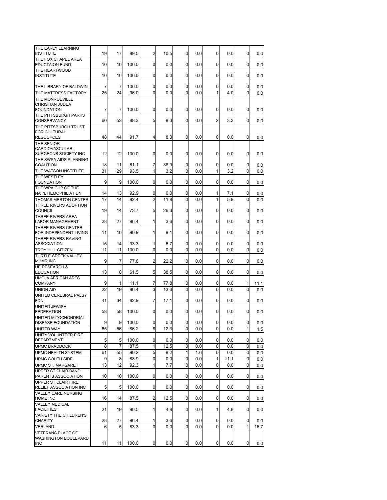| THE EARLY LEARNING<br><b>INSTITUTE</b>               | 19       | 17             | 89.5         | 2                   | 10.5        | 0            | 0.0        | 0            | 0.0        | 0            | 0.0        |
|------------------------------------------------------|----------|----------------|--------------|---------------------|-------------|--------------|------------|--------------|------------|--------------|------------|
| THE FOX CHAPEL AREA                                  |          |                |              |                     |             |              |            |              |            |              |            |
| <b>EDUCTAION FUND</b><br>THE HEARTWOOD               | 10       | 10             | 100.0        | 0                   | 0.0         | 0            | 0.0        | 0            | 0.0        | 0            | 0.0        |
| <b>INSTITUTE</b>                                     | 10       | 10             | 100.0        | 0                   | 0.0         | 0            | 0.0        | 0            | 0.0        | 0            | 0.0        |
| THE LIBRARY OF BALDWIN                               | 7        | 7              | 100.0        | 0                   | 0.0         | 0            | 0.0        | 0            | 0.0        | 0            | 0.0        |
| THE MATTRESS FACTORY                                 | 25       | 24             | 96.0         | $\Omega$            | 0.0         | $\Omega$     | 0.0        | 1            | 4.0        | $\Omega$     | 0.0        |
| THE MONROEVILLE                                      |          |                |              |                     |             |              |            |              |            |              |            |
| CHRISTIAN JUDEA<br><b>FOUNDATION</b>                 | 7        | 7              | 100.0        | 0                   | 0.0         | 0            | 0.0        | 0            | 0.0        | 0            | 0.0        |
| THE PITTSBURGH PARKS                                 |          |                |              |                     |             |              |            |              |            |              |            |
| CONSERVANCY                                          | 60       | 53             | 88.3         | 5                   | 8.3         | 0            | 0.0        | 2            | 3.3        | 0            | 0.0        |
| THE PITTSBURGH TRUST<br><b>FOR CULTURAL</b>          |          |                |              |                     |             |              |            |              |            |              |            |
| <b>RESOURCES</b>                                     | 48       | 44             | 91.7         | 4                   | 8.3         | 0            | 0.0        | 0            | 0.0        | 0            | 0.0        |
| THE SENIOR                                           |          |                |              |                     |             |              |            |              |            |              |            |
| <b>CARDIOVASCULAR</b><br>SURGEONS SOCIETY INC        | 12       | 12             | 100.0        | 0                   | 0.0         | 0            | 0.0        | 0            | 0.0        | $\mathbf 0$  | 0.0        |
| THE SWPA AIDS PLANNING                               |          |                |              |                     |             |              |            |              |            |              |            |
| <b>COALITION</b>                                     | 18       | 11             | 61.1         | 7                   | 38.9        | 0            | 0.0        | 0            | 0.0        | 0            | 0.0        |
| THE WATSON INSTITUTE<br>THE WESTLEY                  | 31       | 29             | 93.5         | 1                   | 3.2         | $\Omega$     | 0.0        | $\mathbf{1}$ | 3.2        | $\mathbf 0$  | 0.0        |
| <b>FOUNDATION</b>                                    | 9        | 9              | 100.0        | 0                   | 0.0         | 0            | 0.0        | 0            | 0.0        | 0            | 0.0        |
| THE WPA CHP OF THE                                   |          |                |              |                     |             |              |            |              |            |              |            |
| NAT'L HEMOPHILIA FDN<br>THOMAS MERTON CENTER         | 14<br>17 | 13<br>14       | 92.9<br>82.4 | 0<br>$\overline{2}$ | 0.0<br>11.8 | 0<br>0       | 0.0<br>0.0 | 1<br>1       | 7.1<br>5.9 | 0<br>0       | 0.0<br>0.0 |
| THREE RIVERS ADOPTION                                |          |                |              |                     |             |              |            |              |            |              |            |
| <b>COUNCIL</b>                                       | 19       | 14             | 73.7         | 5                   | 26.3        | 0            | 0.0        | 0            | 0.0        | 0            | 0.0        |
| THREE RIVERS AREA<br>LABOR MANAGEMENT                | 28       | 27             | 96.4         | 1                   | 3.6         | 0            | 0.0        | 0            | 0.0        | 0            | 0.0        |
| THREE RIVERS CENTER                                  |          |                |              |                     |             |              |            |              |            |              |            |
| FOR INDEPENDENT LIVING<br>THREE RIVERS RAVING        | 11       | 10             | 90.9         | 1                   | 9.1         | 0            | 0.0        | 0            | 0.0        | $\Omega$     | 0.0        |
| <b>ASSOCIATION</b>                                   | 15       | 14             | 93.3         | 1                   | 6.7         | 0            | 0.0        | 0            | 0.0        | 0            | 0.0        |
| TROY HILL CITIZEN                                    | 11       | 11             | 100.0        | 0                   | 0.0         | $\Omega$     | 0.0        | $\Omega$     | 0.0        | $\Omega$     | 0.0        |
| <b>TURTLE CREEK VALLEY</b><br><b>MHMR INC</b>        | 9        | 7              | 77.8         | 2                   | 22.2        | 0            | 0.0        | 0            | 0.0        | 0            | 0.0        |
| <b>UE RESEARCH &amp;</b><br><b>EDUCATION</b>         | 13       | 8              | 61.5         | 5                   | 38.5        | 0            | 0.0        | 0            | 0.0        | 0            | 0.0        |
| <b>UMOJA AFRICAN ARTS</b>                            |          |                |              |                     |             |              |            |              |            |              |            |
| <b>COMPANY</b>                                       | 9        | 1              | 11.1         | 7                   | 77.8        | 0            | 0.0        | 0            | 0.0        | 1            | 11.1       |
| <b>UNION AID</b><br><b>UNITED CEREBRAL PALSY</b>     | 22       | 19             | 86.4         | 3                   | 13.6        | $\Omega$     | 0.0        | $\Omega$     | 0.0        | $\Omega$     | 0.0        |
| <b>FDN</b>                                           | 41       | 34             | 82.9         | 7                   | 17.1        | 0            | 0.0        | 0            | 0.0        | 0            | 0.0        |
| UNITED JEWISH                                        |          |                |              |                     |             |              |            |              |            |              |            |
| <b>FEDERATION</b><br>UNITED MITOCHONDRIAL            | 58       | 58             | 100.0        | 0                   | 0.0         | 0            | 0.0        | 0            | 0.0        | 0            | 0.0        |
| <b>DISEASE FOUNDATION</b>                            | 9        | 9              | 100.0        | 0                   | 0.0         | 0            | 0.0        | 0            | 0.0        | $\Omega$     | 0.0        |
| UNITED WAY                                           | 65       | 56             | 86.2         | 8                   | 12.3        | 0            | 0.0        | $\mathbf{0}$ | 0.0        | $\mathbf{1}$ | 1.5        |
| <b>UNITY VOLUNTEER FIRE</b><br><b>DEPARTMENT</b>     | 5        | 5              | 100.0        | 0                   | 0.0         | 0            | 0.0        | 0            | 0.0        | 0            | 0.0        |
| <b>UPMC BRADDOCK</b>                                 | 8        | $\overline{7}$ | 87.5         | $\overline{1}$      | 12.5        | 0            | 0.0        | 0            | 0.0        | 0            | 0.0        |
| <b>UPMC HEALTH SYSTEM</b>                            | 61       | 55             | 90.2         | 5                   | 8.2         | $\mathbf{1}$ | 1.6        | 0            | 0.0        | 0            | 0.0        |
| UPMC SOUTH SIDE                                      | 9        | 8              | 88.9         | 0                   | 0.0         | 0            | 0.0        | 1            | 11.1       | 0            | 0.0        |
| UPMC ST. MARGARET                                    | 13       | 12             | 92.3         | $\overline{1}$      | 7.7         | 0            | 0.0        | 0            | 0.0        | 0            | 0.0        |
| UPPER ST CLAIR BAND<br>PARENTS ASSOCIATION           | 10       | 10             | 100.0        | 0                   | 0.0         | 0            | 0.0        | 0            | 0.0        | 0            | 0.0        |
| UPPER ST CLAIR FIRE                                  |          |                |              |                     |             |              |            |              |            |              |            |
| RELIEF ASSOCIATION INC<br><b>VALLEY CARE NURSING</b> | 5        | 5              | 100.0        | 0                   | 0.0         | 0            | 0.0        | 0            | 0.0        | $\mathbf{0}$ | 0.0        |
| HOME INC                                             | 16       | 14             | 87.5         | 2                   | 12.5        | 0            | 0.0        | 0            | 0.0        | $\mathbf{0}$ | 0.0        |
| <b>VALLEY MEDICAL</b>                                | 21       | 19             | 90.5         | 1                   | 4.8         | 0            | 0.0        | 1            | 4.8        | 0            |            |
| <b>FACILITIES</b><br><b>VARIETY THE CHILDREN'S</b>   |          |                |              |                     |             |              |            |              |            |              | 0.0        |
| <b>CHARITY</b>                                       | 28       | 27             | 96.4         | 1                   | 3.6         | 0            | 0.0        | 0            | 0.0        | 0            | 0.0        |
| <b>VERLAND</b>                                       | 6        | 5              | 83.3         | 0                   | 0.0         | 0            | 0.0        | 0            | 0.0        | 1            | 16.7       |
| <b>VETERANS PLACE OF</b><br>WASHINGTON BOULEVARD     |          |                |              |                     |             |              |            |              |            |              |            |
| <b>INC</b>                                           | 11       | 11             | 100.0        | 0                   | 0.0         | 0            | 0.0        | 0            | 0.0        | 0            | 0.0        |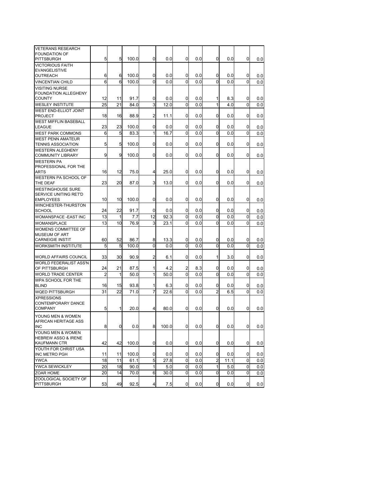| <b>VETERANS RESEARCH</b><br><b>FOUNDATION OF</b>          |                |             |       |                |       |               |     |                |      |              |     |
|-----------------------------------------------------------|----------------|-------------|-------|----------------|-------|---------------|-----|----------------|------|--------------|-----|
| <b>PITTSBURGH</b>                                         | 5              | 5           | 100.0 | 0              | 0.0   | 0             | 0.0 | 0              | 0.0  | 0            | 0.0 |
| <b>VICTORIOUS FAITH</b>                                   |                |             |       |                |       |               |     |                |      |              |     |
| <b>EVANGELISTIVE</b>                                      |                |             |       |                |       |               |     |                |      |              |     |
| <b>OUTREACH</b>                                           | 6<br>6         | 6           | 100.0 | 0              | 0.0   | 0<br>$\Omega$ | 0.0 | 0              | 0.0  | 0            | 0.0 |
| <b>VINCENTIAN CHILD</b><br><b>VISITING NURSE</b>          |                | 6           | 100.0 | $\Omega$       | 0.0   |               | 0.0 | 0              | 0.0  | 0            | 0.0 |
| FOUNDATION ALLEGHENY                                      |                |             |       |                |       |               |     |                |      |              |     |
| <b>COUNTY</b>                                             | 12             | 11          | 91.7  | 0              | 0.0   | 0             | 0.0 | 1              | 8.3  | 0            | 0.0 |
| <b>WESLEY INSTITUTE</b>                                   | 25             | 21          | 84.0  | 3              | 12.0  | $\Omega$      | 0.0 | 1              | 4.0  | $\Omega$     | 0.0 |
| WEST END-ELLIOT JOINT<br><b>PROJECT</b>                   | 18             | 16          | 88.9  | $\overline{2}$ | 11.1  | 0             | 0.0 | 0              | 0.0  | 0            | 0.0 |
| <b>WEST MIFFLIN BASEBALL</b>                              |                |             |       |                |       |               |     |                |      |              |     |
| LEAGUE                                                    | 23             | 23          | 100.0 | 0              | 0.0   | 0             | 0.0 | 0              | 0.0  | 0            | 0.0 |
| WEST PARK COMMONS                                         | 6              | 5           | 83.3  | 1              | 16.7  | 0             | 0.0 | $\Omega$       | 0.0  | 0            | 0.0 |
| <b>WEST PENN AMATEUR</b><br><b>TENNIS ASSOCIATION</b>     | 5              | 5           | 100.0 | 0              | 0.0   | 0             | 0.0 | 0              | 0.0  | 0            | 0.0 |
| <b>WESTERN ALEGHENY</b><br><b>COMMUNITY LIBRARY</b>       | 9              | 9           | 100.0 | 0              | 0.0   | 0             | 0.0 | 0              | 0.0  | 0            | 0.0 |
| <b>WESTERN PA</b><br>PROFESSIONAL FOR THE<br>ARTS         | 16             | 12          | 75.0  | 4              | 25.0  | 0             | 0.0 | 0              | 0.0  | 0            | 0.0 |
| WESTERN PA SCHOOL OF<br>THE DEAF                          | 23             | 20          | 87.0  | 3              | 13.0  | 0             | 0.0 | 0              | 0.0  | 0            | 0.0 |
| <b>WESTINGHOUSE SURE</b><br>SERVICE UNITING RET'D         |                |             |       |                |       |               |     |                |      |              |     |
| <b>EMPLOYEES</b>                                          | 10             | 10          | 100.0 | 0              | 0.0   | $\mathbf{0}$  | 0.0 | 0              | 0.0  | 0            | 0.0 |
| WINCHESTER-THURSTON<br><b>SCHOOL</b>                      | 24             | 22          | 91.7  | 0              | 0.0   | 0             | 0.0 | 0              | 0.0  | 0            | 0.0 |
| WOMANSPACE - EAST INC                                     | 13             | 1           | 7.7   | 12             | 92.3  | 0             | 0.0 | 0              | 0.0  | 0            | 0.0 |
| WOMANSPLACE                                               | 13             | 10          | 76.9  | 3              | 23.1  | 0             | 0.0 | 0              | 0.0  | 0            | 0.0 |
| WOMENS COMMITTEE OF<br><b>MUSEUM OF ART</b>               |                |             |       |                |       |               |     |                |      |              |     |
| <b>CARNEIGIE INSTIT</b>                                   | 60             | 52          | 86.7  | 8              | 13.3  | 0             | 0.0 | 0              | 0.0  | 0            | 0.0 |
| <b>WORKSMITH INSTITUTE</b>                                | 5              | 5           | 100.0 | 0              | 0.0   | 0             | 0.0 | 0              | 0.0  | 0            | 0.0 |
| <b>WORLD AFFAIRS COUNCIL</b>                              | 33             | 30          | 90.9  | 2              | 6.1   | 0             | 0.0 | 1              | 3.0  | 0            | 0.0 |
| <b>WORLD FEDERALIST ASS'N</b><br>OF PITTSBURGH            | 24             | 21          | 87.5  | 1              | 4.2   | 2             | 8.3 | 0              | 0.0  | 0            | 0.0 |
| <b>WORLD TRADE CENTER</b>                                 | $\overline{2}$ | 1           | 50.0  | 1              | 50.0  | $\Omega$      | 0.0 | $\Omega$       | 0.0  | $\Omega$     | 0.0 |
| WPA SCHOOL FOR THE                                        |                |             |       |                |       |               |     |                |      |              |     |
| <b>BLIND</b>                                              | 16             | 15          | 93.8  | 1              | 6.3   | 0             | 0.0 | 0              | 0.0  | 0            | 0.0 |
| <b>WQED PITTSBURGH</b>                                    | 31             | 22          | 71.0  | $\overline{7}$ | 22.6  | $\Omega$      | 0.0 | $\overline{2}$ | 6.5  | 0            | 0.0 |
| <b>XPRESSIONS</b><br>CONTEMPORARY DANCE<br><b>COMPANY</b> | 5              | 1           | 20.0  | 4              | 80.0  | 0             | 0.0 | 0              | 0.0  | 0            | 0.0 |
| YOUNG MEN & WOMEN                                         |                |             |       |                |       |               |     |                |      |              |     |
| AFRICAN HERITAGE ASS                                      |                |             |       |                |       |               |     |                |      |              |     |
| <b>INC</b>                                                | 8              | $\mathbf 0$ | 0.0   | 8 <sup>1</sup> | 100.0 | 0             | 0.0 | $\overline{0}$ | 0.0  | 0            | 0.0 |
| YOUNG MEN & WOMEN<br>HEBREW ASSO & IRENE                  |                |             |       |                |       |               |     |                |      |              |     |
| <b>KAUFMANN CTR</b>                                       | 42             | 42          | 100.0 | $\mathbf 0$    | 0.0   | $\mathbf{0}$  | 0.0 | $\mathbf{0}$   | 0.0  | 0            | 0.0 |
| YOUTH FOR CHRIST USA<br><b>INC METRO PGH</b>              | 11             | 11          | 100.0 | 0              | 0.0   | 0             | 0.0 | 0              | 0.0  | 0            | 0.0 |
| <b>YWCA</b>                                               | 18             | 11          | 61.1  | 5              | 27.8  | 0             | 0.0 | $\overline{c}$ | 11.1 | 0            | 0.0 |
| YWCA SEWICKLEY                                            | 20             | 18          | 90.0  | 1              | 5.0   | 0             | 0.0 | 1              | 5.0  | 0            | 0.0 |
| ZOAR HOME                                                 | 20             | 14          | 70.0  | 6              | 30.0  | 0             | 0.0 | 0              | 0.0  | 0            | 0.0 |
| ZOOLOGICAL SOCIETY OF<br><b>PITTSBURGH</b>                | 53             | 49          | 92.5  | 4              | 7.5   | $\mathbf{0}$  | 0.0 | 0              | 0.0  | $\mathbf{0}$ | 0.0 |
|                                                           |                |             |       |                |       |               |     |                |      |              |     |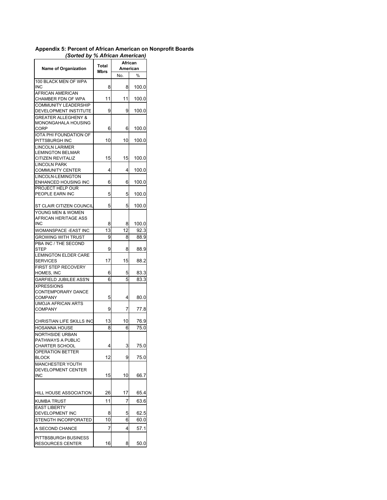## **Appendix 5: Percent of African American on Nonprofit Boards**   *(Sorted by % African American)*

| <b>Name of Organization</b>                          | <b>Total</b><br>Mbrs | African<br>American |       |
|------------------------------------------------------|----------------------|---------------------|-------|
|                                                      |                      | No.                 | $\%$  |
| 100 BLACK MEN OF WPA<br>INC                          | 8                    | 8                   | 100.0 |
| <b>AFRICAN AMERICAN</b><br>CHAMBER FDN OF WPA        | 11                   | 11                  | 100.0 |
| <b>COMMUNITY LEADERSHIP</b><br>DEVELOPMENT INSTITUTE | 9                    | 9                   | 100.0 |
| <b>GREATER ALLEGHENY &amp;</b>                       |                      |                     |       |
| <b>MONONGAHALA HOUSING</b><br><b>CORP</b>            | 6                    | 6                   | 100.0 |
| <b>IOTA PHI FOUNDATION OF</b><br>PITTSBURGH INC      | 10                   | 10                  | 100.0 |
| <b>LINCOLN LARIMER</b><br><b>LEMINGTON BELMAR</b>    |                      |                     |       |
| <b>CITIZEN REVITALIZ</b>                             | 15                   | 15                  | 100.0 |
| <b>LINCOLN PARK</b><br><b>COMMUNITY CENTER</b>       | 4                    | 4                   | 100.0 |
| LINCOLN-LEMINGTON<br>ENHANCED HOUSING INC            | 6                    | 6                   | 100.0 |
| PROJECT HELP OUR<br>PEOPLE EARN INC                  | 5                    | 5                   | 100.0 |
| ST CLAIR CITIZEN COUNCIL                             | 5                    | 5                   | 100.0 |
| YOUNG MEN & WOMEN<br>AFRICAN HERITAGE ASS            |                      |                     |       |
| <b>INC</b>                                           | 8                    | 8                   | 100.0 |
| WOMANSPACE - EAST INC                                | 13                   | 12                  | 92.3  |
| <b>GROWING WITH TRUST</b><br>PBA INC / THE SECOND    | 9                    | 8                   | 88.9  |
| STEP                                                 | 9                    | 8                   | 88.9  |
| <b>LEMINGTON ELDER CARE</b><br><b>SERVICES</b>       | 17                   | 15                  | 88.2  |
| <b>FIRST STEP RECOVERY</b><br>HOMES, INC             | 6                    | 5                   | 83.3  |
| <b>GARFIELD JUBILEE ASS'N</b>                        | 6                    | 5                   | 83.3  |
| <b>XPRESSIONS</b><br>CONTEMPORARY DANCE              |                      |                     |       |
| <b>COMPANY</b>                                       | 5                    | 4                   | 80.0  |
| <b>UMOJA AFRICAN ARTS</b><br><b>COMPANY</b>          | 9                    | 7                   | 77.8  |
| <b>CHRISTIAN LIFE SKILLS INC</b>                     | 13                   | 10                  | 76.9  |
| <b>HOSANNA HOUSE</b><br><b>NORTHSIDE URBAN</b>       | 8                    | 6                   | 75.0  |
| <b>PATHWAYS A PUBLIC</b><br><b>CHARTER SCHOOL</b>    | 4                    | 3                   | 75.0  |
| <b>OPERATION BETTER</b><br><b>BLOCK</b>              | 12                   | 9                   | 75.0  |
| MANCHESTER YOUTH<br>DEVELOPMENT CENTER               |                      |                     |       |
| <b>INC</b>                                           | 15                   | 10                  | 66.7  |
| HILL HOUSE ASSOCIATION                               | 26                   | 17                  | 65.4  |
| <b>KUMBA TRUST</b><br><b>EAST LIBERTY</b>            | 11                   | 7                   | 63.6  |
| DEVELOPMENT INC                                      | 8                    | 5                   | 62.5  |
| STENGTH INCORPORATED                                 | 10                   | 6                   | 60.0  |
| A SECOND CHANCE                                      | 7                    | 4                   | 57.1  |
| PITTBSBURGH BUSINESS<br><b>RESOURCES CENTER</b>      | 16                   | 8                   | 50.0  |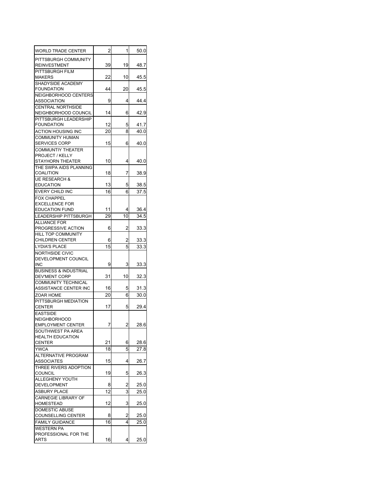| WORLD TRADE CENTER                               | 2  | 1  | 50.0 |
|--------------------------------------------------|----|----|------|
| PITTSBURGH COMMUNITY<br><b>REINVESTMENT</b>      | 39 | 19 | 48.7 |
| PITTSBURGH FILM<br><b>MAKERS</b>                 | 22 | 10 | 45.5 |
| SHADYSIDE ACADEMY<br><b>FOUNDATION</b>           | 44 | 20 | 45.5 |
| NEIGHBORHOOD CENTERS<br>ASSOCIATION              | 9  | 4  | 44.4 |
| <b>CENTRAL NORTHSIDE</b><br>NEIGHBORHOOD COUNCIL | 14 | 6  | 42.9 |
| PITTSBURGH LEADERSHIP<br><b>FOUNDATION</b>       | 12 | 5  | 41.7 |
| ACTION HOUSING INC                               | 20 | 8  | 40.0 |
| <b>COMMUNITY HUMAN</b><br><b>SERVICES CORP</b>   | 15 | 6  | 40.0 |
| <b>COMMUNTIY THEATER</b>                         |    |    |      |
| PROJECT / KELLY<br>STAYHORN THEATER              | 10 | 4  | 40.0 |
| THE SWPA AIDS PLANNING                           |    |    |      |
| <b>COALITION</b>                                 | 18 | 7  | 38.9 |
| <b>UE RESEARCH &amp;</b><br><b>EDUCATION</b>     | 13 | 5  | 38.5 |
| EVERY CHILD INC                                  | 16 | 6  | 37.5 |
| <b>FOX CHAPPEL</b>                               |    |    |      |
| <b>EXCELLENCE FOR</b>                            |    |    |      |
| <b>EDUCATION FUND</b>                            | 11 | 4  | 36.4 |
| <b>LEADERSHIP PITTSBURGH</b>                     | 29 | 10 | 34.5 |
| <b>ALLIANCE FOR</b><br>PROGRESSIVE ACTION        | 6  | 2  |      |
| <b>HILL TOP COMMUNITY</b>                        |    |    | 33.3 |
| <b>CHILDREN CENTER</b>                           | 6  | 2  | 33.3 |
| <b>LYDIA'S PLACE</b>                             | 15 | 5  | 33.3 |
| <b>NORTHSIDE CIVIC</b>                           |    |    |      |
| DEVELOPMENT COUNCIL                              |    |    |      |
| INC<br><b>BUSINESS &amp; INDUSTRIAL</b>          | 9  | 3  | 33.3 |
| DEV'MENT CORP                                    | 31 | 10 | 32.3 |
| <b>COMMUNITY TECHNICAL</b>                       |    |    |      |
| ASSISTANCE CENTER INC                            | 16 | 5  | 31.3 |
| ZOAR HOME                                        | 20 | 6  | 30.0 |
| PITTSBURGH MEDIATION                             | 17 | 5  | 29.4 |
| CENTER<br><b>EASTSIDE</b>                        |    |    |      |
| <b>NEIGHBORHOOD</b>                              |    |    |      |
| <b>EMPLOYMENT CENTER</b>                         | 7  | 2  | 28.6 |
| SOUTHWEST PA AREA                                |    |    |      |
| <b>HEALTH EDUCATION</b><br><b>CENTER</b>         | 21 | 6  | 28.6 |
| <b>YWCA</b>                                      | 18 | 5  | 27.8 |
| <b>ALTERNATIVE PROGRAM</b>                       |    |    |      |
| ASSOCIATES                                       | 15 | 4  | 26.7 |
| THREE RIVERS ADOPTION                            |    |    |      |
| <b>COUNCIL</b>                                   | 19 | 5  | 26.3 |
| ALLEGHENY YOUTH<br>DEVELOPMENT                   | 8  | 2  | 25.0 |
| <b>ASBURY PLACE</b>                              | 12 | 3  | 25.0 |
| <b>CARNEGIE LIBRARY OF</b>                       |    |    |      |
| <b>HOMESTEAD</b>                                 | 12 | 3  | 25.0 |
| <b>DOMESTIC ABUSE</b>                            |    |    |      |
| COUNSELLING CENTER                               | 8  | 2  | 25.0 |
| <b>FAMILY GUIDANCE</b>                           | 16 | 4  | 25.0 |
| <b>WESTERN PA</b><br>PROFESSIONAL FOR THE        |    |    |      |
| ARTS                                             | 16 | 4  | 25.0 |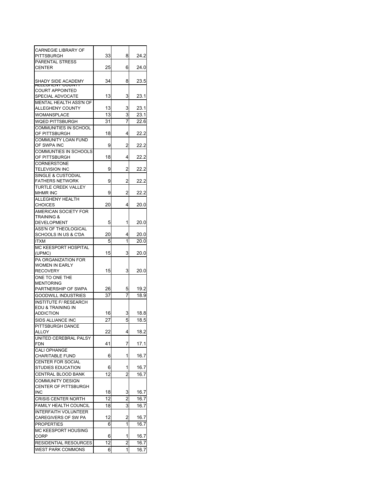| <b>CARNEGIE LIBRARY OF</b>    |    |                |      |
|-------------------------------|----|----------------|------|
| PITTSBURGH                    | 33 | 8              | 24.2 |
| PARENTAL STRESS               |    |                |      |
| <b>CENTER</b>                 | 25 | 6              | 24.0 |
|                               |    |                |      |
| SHADY SIDE ACADEMY            | 34 | 8              | 23.5 |
| ALLEGHEINT COUNTT             |    |                |      |
| <b>COURT APPOINTED</b>        |    |                |      |
| SPECIAL ADVOCATE              | 13 | 3              | 23.1 |
| <b>MENTAL HEALTH ASS'N OF</b> |    |                |      |
| ALLEGHENY COUNTY              | 13 | 3              | 23.1 |
| WOMANSPLACE                   | 13 | 3              | 23.1 |
| <b>WQED PITTSBURGH</b>        | 31 | 7              | 22.6 |
| <b>COMMUNITIES IN SCHOOL</b>  |    |                |      |
| OF PITTSBURGH                 | 18 | 4              | 22.2 |
| <b>COMMUNITY LOAN FUND</b>    |    |                |      |
| OF SWPA INC                   | 9  | 2              | 22.2 |
| COMMUNTIES IN SCHOOLS         |    |                |      |
| OF PITTSBURGH                 | 18 | 4              | 22.2 |
|                               |    |                |      |
| <b>CORNERSTONE</b>            |    |                |      |
| <b>TELEVISION INC</b>         | 9  | 2              | 22.2 |
| <b>SINGLE &amp; CUSTODIAL</b> |    |                |      |
| <b>FATHERS NETWORK</b>        | 9  | 2              | 22.2 |
| <b>TURTLE CREEK VALLEY</b>    |    |                |      |
| <b>MHMR INC</b>               | 9  | 2              | 22.2 |
| <b>ALLEGHENY HEALTH</b>       |    |                |      |
| <b>CHOICES</b>                | 20 | 4              | 20.0 |
| AMERICAN SOCIETY FOR          |    |                |      |
| <b>TRAINING &amp;</b>         |    |                |      |
| <b>DEVELOPMENT</b>            | 5  | 1              | 20.0 |
| ASS'N OF THEOLOGICAL          |    |                |      |
| SCHOOLS IN US & C'DA          | 20 | 4              | 20.0 |
| ITXM                          | 5  | 1              | 20.0 |
| MC KEESPORT HOSPITAL          |    |                |      |
|                               | 15 | 3              | 20.0 |
| (UPMC)                        |    |                |      |
| PA ORGANIZATION FOR           |    |                |      |
| WOMEN IN EARLY                |    |                |      |
| <b>RECOVERY</b>               | 15 | 3              | 20.0 |
| ONE TO ONE THE                |    |                |      |
| <b>MENTORING</b>              |    |                |      |
| PARTNERSHIP OF SWPA           | 26 | 5              | 19.2 |
| <b>GOODWILL INDUSTRIES</b>    | 37 | 7              | 18.9 |
| <b>INSTITUTE F/ RESEARCH</b>  |    |                |      |
| EDU & TRAINING IN             |    |                |      |
| <b>ADDICTION</b>              | 16 | 3              | 18.8 |
| SIDS ALLIANCE INC             | 27 | 5              | 18.5 |
| PITTSBURGH DANCE              |    |                |      |
|                               |    |                |      |
| ALLOY                         | 22 | 4              | 18.2 |
| UNITED CEREBRAL PALSY         |    |                |      |
| <b>FDN</b>                    | 41 | 7              | 17.1 |
| CALI OPHANGE                  |    |                |      |
| <b>CHARITABLE FUND</b>        | 6  | 1              | 16.7 |
| CENTER FOR SOCIAL             |    |                |      |
| <b>STUDIES EDUCATION</b>      | 6  | 1              | 16.7 |
| CENTRAL BLOOD BANK            | 12 | 2              | 16.7 |
| <b>COMMUNITY DESIGN</b>       |    |                |      |
| CENTER OF PITTSBURGH          |    |                |      |
| <b>INC</b>                    | 18 | 3              | 16.7 |
|                               |    |                |      |
| <b>CRISIS CENTER NORTH</b>    | 12 | 2              | 16.7 |
| FAMILY HEALTH COUNCIL         | 18 | 3              | 16.7 |
| <b>INTERFAITH VOLUNTEER</b>   |    |                |      |
| CAREGIVERS OF SW PA           | 12 | 2              | 16.7 |
| <b>PROPERTIES</b>             | 6  | 1              | 16.7 |
| MC KEESPORT HOUSING           |    |                |      |
| CORP                          | 6  | 1              | 16.7 |
| RESIDENTIAL RESOURCES         | 12 | $\overline{2}$ | 16.7 |
|                               |    |                |      |
| <b>WEST PARK COMMONS</b>      | 6  | 1              | 16.7 |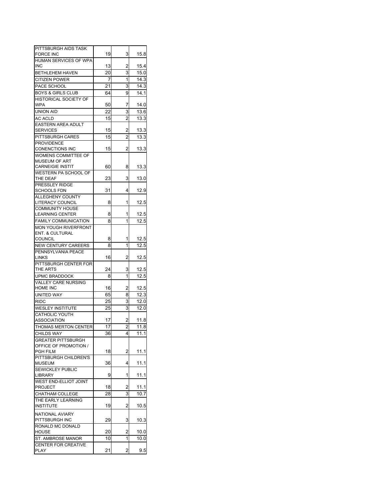| PITTSBURGH AIDS TASK         |    |                |      |
|------------------------------|----|----------------|------|
| <b>FORCE INC</b>             | 19 | 3              | 15.8 |
| HUMAN SERVICES OF WPA        |    |                |      |
| <b>INC</b>                   | 13 | 2              | 15.4 |
| <b>BETHLEHEM HAVEN</b>       | 20 | 3              | 15.0 |
| <b>CITIZEN POWER</b>         | 7  | 1              | 14.3 |
| PACE SCHOOL                  | 21 | 3              | 14.3 |
| <b>BOYS &amp; GIRLS CLUB</b> | 64 | 9              | 14.1 |
| HISTORICAL SOCIETY OF        |    |                |      |
| <b>WPA</b>                   | 50 | 7              | 14.0 |
| <b>UNION AID</b>             |    | 3              | 13.6 |
|                              | 22 |                |      |
| AC ACLD                      | 15 | $\overline{c}$ | 13.3 |
| EASTERN AREA ADULT           |    |                |      |
| <b>SERVICES</b>              | 15 | 2              | 13.3 |
| <b>PITTSBURGH CARES</b>      | 15 | $\overline{2}$ | 13.3 |
| <b>PROVIDENCE</b>            |    |                |      |
| <b>CONENCTIONS INC</b>       | 15 | 2              | 13.3 |
| WOMENS COMMITTEE OF          |    |                |      |
| <b>MUSEUM OF ART</b>         |    |                |      |
| <b>CARNEIGIE INSTIT</b>      | 60 | 8              | 13.3 |
| WESTERN PA SCHOOL OF         |    |                |      |
| THE DEAF                     | 23 | 3              | 13.0 |
| PRESSLEY RIDGE               |    |                |      |
| <b>SCHOOLS FDN</b>           | 31 | 4              | 12.9 |
| ALLEGHENY COUNTY             |    |                |      |
| LITERACY COUNCIL             | 8  | 1              | 12.5 |
| <b>COMMUNITY HOUSE</b>       |    |                |      |
| <b>LEARNING CENTER</b>       | 8  | 1              | 12.5 |
| <b>FAMILY COMMUNICATION</b>  | 8  | 1              | 12.5 |
| <b>MON YOUGH RIVERFRONT</b>  |    |                |      |
| <b>ENT. &amp; CULTURAL</b>   |    |                |      |
| <b>COUNCIL</b>               | 8  | 1              | 12.5 |
| <b>NEW CENTURY CAREERS</b>   | 8  | 1              | 12.5 |
| PENNSYLVANIA PEACE           |    |                |      |
| <b>LINKS</b>                 | 16 | 2              | 12.5 |
| PITTSBURGH CENTER FOR        |    |                |      |
| THE ARTS                     | 24 | 3              | 12.5 |
| UPMC BRADDOCK                | 8  | 1              | 12.5 |
| <b>VALLEY CARE NURSING</b>   |    |                |      |
| HOME INC                     | 16 | 2              | 12.5 |
| <b>UNITED WAY</b>            | 65 | 8              | 12.3 |
| <b>RIDC</b>                  | 25 | 3              | 12.0 |
| <b>WESLEY INSTITUTE</b>      | 25 | 3              | 12.0 |
| CATHOLIC YOUTH               |    |                |      |
| <b>ASSOCIATION</b>           | 17 | 2              | 11.8 |
| THOMAS MERTON CENTER         | 17 | $\overline{a}$ | 11.8 |
| <b>CHILDS WAY</b>            | 36 | 4              | 11.1 |
| <b>GREATER PITTSBURGH</b>    |    |                |      |
| OFFICE OF PROMOTION /        |    |                |      |
| <b>PGH FILM</b>              | 18 | 2              | 11.1 |
| PITTSBURGH CHILDREN'S        |    |                |      |
| <b>MUSEUM</b>                | 36 | 4              | 11.1 |
| SEWICKLEY PUBLIC             |    |                |      |
| <b>LIBRARY</b>               | 9  | 1              | 11.1 |
| <b>WEST END-ELLIOT JOINT</b> |    |                |      |
| <b>PROJECT</b>               | 18 | 2              | 11.1 |
| CHATHAM COLLEGE              | 28 | 3              | 10.7 |
| THE EARLY LEARNING           |    |                |      |
| <b>INSTITUTE</b>             | 19 | 2              | 10.5 |
|                              |    |                |      |
| NATIONAL AVIARY              |    |                |      |
| PITTSBURGH INC               | 29 | 3              | 10.3 |
| RONALD MC DONALD             |    |                |      |
| <b>HOUSE</b>                 | 20 | 2              | 10.0 |
| ST. AMBROSE MANOR            | 10 | 1              | 10.0 |
| <b>CENTER FOR CREATIVE</b>   |    |                |      |
| <b>PLAY</b>                  | 21 | 2              | 9.5  |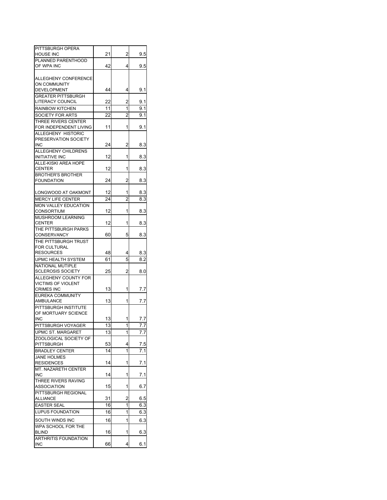| PITTSBURGH OPERA            |    | 2              |                  |
|-----------------------------|----|----------------|------------------|
| HOUSE INC                   | 21 |                | 9.5              |
| PLANNED PARENTHOOD          |    |                |                  |
| OF WPA INC                  | 42 | 4              | 9.5              |
|                             |    |                |                  |
| ALLEGHENY CONFERENCE        |    |                |                  |
| <b>ON COMMUNITY</b>         |    |                |                  |
| DEVELOPMENT                 | 44 | 4              | 9.1              |
| <b>GREATER PITTSBURGH</b>   |    |                |                  |
| LITERACY COUNCIL            | 22 | 2              | 9.1              |
| <b>RAINBOW KITCHEN</b>      | 11 | 1              | 9.1              |
| SOCIETY FOR ARTS            | 22 | $\overline{c}$ | 9.1              |
| THREE RIVERS CENTER         |    |                |                  |
| FOR INDEPENDENT LIVING      | 11 | 1              | 9.1              |
| ALLEGHENY HISTORIC          |    |                |                  |
| PRESERVATION SOCIETY        |    |                |                  |
| <b>INC</b>                  | 24 | 2              | 8.3              |
| ALLEGHENY CHILDRENS         |    |                |                  |
| <b>INITIATIVE INC</b>       | 12 | 1              | 8.3              |
| ALLE-KISKI AREA HOPE        |    |                |                  |
| <b>CENTER</b>               | 12 | 1              | 8.3              |
| <b>BROTHER'S BROTHER</b>    |    |                |                  |
| <b>FOUNDATION</b>           | 24 | 2              | 8.3              |
|                             |    |                |                  |
|                             | 12 | 1              | 8.3              |
| LONGWOOD AT OAKMONT         |    |                |                  |
| <b>MERCY LIFE CENTER</b>    | 24 | $\overline{c}$ | 8.3              |
| MON VALLEY EDUCATION        |    |                |                  |
| <b>CONSORTIUM</b>           | 12 | 1              | 8.3              |
| MUSHROOM LEARNING           |    |                |                  |
| <b>CENTER</b>               | 12 | 1              | 8.3              |
| THE PITTSBURGH PARKS        |    |                |                  |
| CONSERVANCY                 | 60 | 5              | 8.3              |
| THE PITTSBURGH TRUST        |    |                |                  |
| FOR CULTURAL                |    |                |                  |
| <b>RESOURCES</b>            | 48 | 4              | 8.3              |
| UPMC HEALTH SYSTEM          | 61 | 5              | 8.2              |
| <b>NATIONAL MUTIPLE</b>     |    |                |                  |
| <b>SCLEROSIS SOCIETY</b>    | 25 | 2              | 8.0              |
| ALLEGHENY COUNTY FOR        |    |                |                  |
| <b>VICTIMS OF VIOLENT</b>   |    |                |                  |
| <b>CRIMES INC</b>           | 13 | 1              | 7.7              |
| EUREKA COMMUNITY            |    |                |                  |
| AMBULANCE                   | 13 | 1              | 7.7              |
| PITTSBURGH INSTITUTE        |    |                |                  |
| OF MORTUARY SCIENCE         |    |                |                  |
| <b>INC</b>                  | 13 | 1              | 7.7              |
|                             |    | 1              | $\overline{7.7}$ |
| PITTSBURGH VOYAGER          | 13 |                |                  |
| UPMC ST. MARGARET           | 13 | 1              | 7.7              |
| ZOOLOGICAL SOCIETY OF       |    |                |                  |
| PITTSBURGH                  | 53 | 4              | 7.5              |
| <b>BRADLEY CENTER</b>       | 14 | 1              | 7.1              |
| <b>JANE HOLMES</b>          |    |                |                  |
| <b>RESIDENCES</b>           | 14 | 1              | 7.1              |
| MT. NAZARETH CENTER         |    |                |                  |
| <b>INC</b>                  | 14 | 1              | 7.1              |
| THREE RIVERS RAVING         |    |                |                  |
| <b>ASSOCIATION</b>          | 15 | 1              | 6.7              |
| PITTSBURGH REGIONAL         |    |                |                  |
| <b>ALLIANCE</b>             | 31 | 2              | 6.5              |
|                             | 16 | 1              | 6.3              |
| <b>EASTER SEAL</b>          |    |                |                  |
| <b>LUPUS FOUNDATION</b>     | 16 | 1              | 6.3              |
| SOUTH WINDS INC             | 16 | 1              | 6.3              |
| WPA SCHOOL FOR THE          |    |                |                  |
| <b>BLIND</b>                | 16 | 1              | 6.3              |
| <b>ARTHRITIS FOUNDATION</b> |    |                |                  |
|                             |    | 4              | 6.1              |
| <b>INC</b>                  | 66 |                |                  |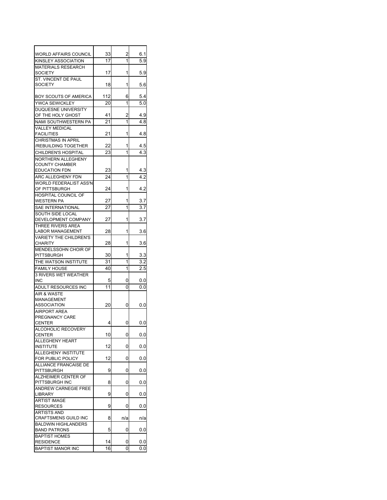| WORLD AFFAIRS COUNCIL                          | 33  | 2              | 6.1 |
|------------------------------------------------|-----|----------------|-----|
| KINSLEY ASSOCIATION                            | 17  | 1              | 5.9 |
| MATERIALS RESEARCH                             |     |                |     |
| <b>SOCIETY</b>                                 | 17  | 1              | 5.9 |
| ST. VINCENT DE PAUL<br><b>SOCIETY</b>          | 18  | 1              | 5.6 |
|                                                |     |                |     |
| BOY SCOUTS OF AMERICA                          | 112 | 6              | 5.4 |
| YWCA SEWICKLEY                                 | 20  | 1              | 5.0 |
| <b>DUQUESNE UNIVERSITY</b>                     |     |                |     |
| OF THE HOLY GHOST                              | 41  | 2              | 4.9 |
| NAMI SOUTHWESTERN PA                           | 21  | 1              | 4.8 |
| <b>VALLEY MEDICAL</b><br><b>FACILITIES</b>     | 21  | 1              | 4.8 |
| <b>CHRISTMAS IN APRIL</b>                      |     |                |     |
| /REBUILDING TOGETHER                           | 22  | 1              | 4.5 |
| CHILDREN'S HOSPITAL                            | 23  | 1              | 4.3 |
| NORTHERN ALLEGHENY                             |     |                |     |
| <b>COUNTY CHAMBER</b>                          |     |                |     |
| <b>EDUCATION FDN</b>                           | 23  | 1              | 4.3 |
| ARC ALLEGHENY FDN                              | 24  | 1              | 4.2 |
| <b>WORLD FEDERALIST ASS'N</b><br>OF PITTSBURGH | 24  | 1              | 4.2 |
| HOSPITAL COUNCIL OF                            |     |                |     |
| <b>WESTERN PA</b>                              | 27  | 1              | 3.7 |
| SAE INTERNATIONAL                              | 27  | 1              | 3.7 |
| SOUTH SIDE LOCAL                               |     |                |     |
| DEVELOPMENT COMPANY                            | 27  | 1              | 3.7 |
| THREE RIVERS AREA                              |     |                |     |
| <b>LABOR MANAGEMENT</b>                        | 28  | 1              | 3.6 |
| VARIETY THE CHILDREN'S                         |     | 1              |     |
| <b>CHARITY</b><br>MENDELSSOHN CHOIR OF         | 28  |                | 3.6 |
| PITTSBURGH                                     | 30  | 1              | 3.3 |
| THE WATSON INSTITUTE                           | 31  | 1              | 3.2 |
| <b>FAMILY HOUSE</b>                            | 40  | 1              | 2.5 |
| <b>3 RIVERS WET WEATHER</b>                    |     |                |     |
| INC                                            | 5   | 0              | 0.0 |
| ADULT RESOURCES INC                            | 11  | 0              | 0.0 |
| AIR & WASTE                                    |     |                |     |
| <b>MANAGEMENT</b>                              |     |                |     |
| <b>ASSOCIATION</b><br><b>AIRPORT AREA</b>      | 20  | 0              | 0.0 |
| PREGNANCY CARE                                 |     |                |     |
| CENTER                                         | 4   | $\overline{0}$ | 0.0 |
| ALCOHOLIC RECOVERY                             |     |                |     |
| <b>CENTER</b>                                  | 10  | 0              | 0.0 |
| <b>ALLEGHENY HEART</b>                         |     |                |     |
| <b>INSTITUTE</b>                               | 12  | 0              | 0.0 |
| ALLEGHENY INSTITUTE<br>FOR PUBLIC POLICY       | 12  |                |     |
| <b>ALLIANCE FRANCAISE DE</b>                   |     | 0              | 0.0 |
| PITTSBURGH                                     | 9   | 0              | 0.0 |
| ALZHEIMER CENTER OF                            |     |                |     |
| PITTSBURGH INC                                 | 8   | 0              | 0.0 |
| ANDREW CARNEGIE FREE                           |     |                |     |
| LIBRARY                                        | 9   | 0              | 0.0 |
| <b>ARTIST IMAGE</b>                            |     |                |     |
| <b>RESOURCES</b><br><b>ARTISTS AND</b>         | 9   | 0              | 0.0 |
| CRAFTSMENS GUILD INC                           | 8   | n/a            | n/a |
| <b>BALDWIN HIGHLANDERS</b>                     |     |                |     |
| <b>BAND PATRONS</b>                            | 5   | 0              | 0.0 |
| <b>BAPTIST HOMES</b>                           |     |                |     |
| <b>RESIDENCE</b>                               | 14  | 0              | 0.0 |
| <b>BAPTIST MANOR INC</b>                       | 16  | 0              | 0.0 |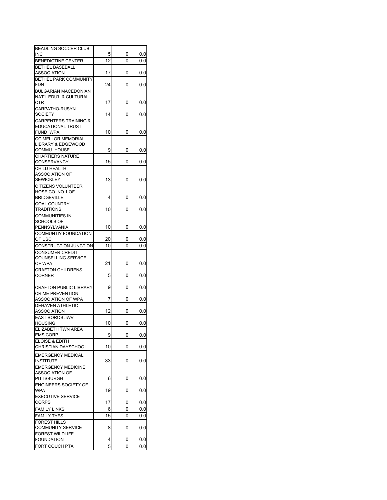| BEADLING SOCCER CLUB             |    |   |     |
|----------------------------------|----|---|-----|
| <b>INC</b>                       | 5  | 0 | 0.0 |
| <b>BENEDICTINE CENTER</b>        | 12 | 0 | 0.0 |
| <b>BETHEL BASEBALL</b>           |    |   |     |
| ASSOCIATION                      | 17 | 0 | 0.0 |
| <b>BETHEL PARK COMMUNITY</b>     |    |   |     |
| <b>FDN</b>                       | 24 | 0 | 0.0 |
| <b>BULGARIAN MACEDONIAN</b>      |    |   |     |
| NAT'L EDU'L & CULTURAL           |    |   |     |
| <b>CTR</b>                       | 17 | 0 | 0.0 |
| CARPATHO-RUSYN                   |    |   |     |
| <b>SOCIETY</b>                   | 14 | 0 | 0.0 |
| <b>CARPENTERS TRAINING &amp;</b> |    |   |     |
| <b>EDUCATIONAL TRUST</b>         |    |   |     |
| FUND WPA                         | 10 | 0 | 0.0 |
| CC MELLOR MEMORIAL               |    |   |     |
| LIBRARY & EDGEWOOD               |    |   |     |
| COMMU. HOUSE                     | 9  | 0 |     |
|                                  |    |   | 0.0 |
| <b>CHARTIERS NATURE</b>          |    |   |     |
| CONSERVANCY                      | 15 | 0 | 0.0 |
| CHILD HEALTH                     |    |   |     |
| ASSOCIATION OF                   |    |   |     |
| <b>SEWICKLEY</b>                 | 13 | 0 | 0.0 |
| <b>CITIZENS VOLUNTEER</b>        |    |   |     |
| HOSE CO. NO 1 OF                 |    |   |     |
| <b>BRIDGEVILLE</b>               | 4  | 0 | 0.0 |
| <b>COAL COUNTRY</b>              |    |   |     |
| TRADITIONS                       | 10 | 0 | 0.0 |
| COMMUNITIES IN                   |    |   |     |
| <b>SCHOOLS OF</b>                |    |   |     |
| PENNSYLVANIA                     | 10 | 0 | 0.0 |
| <b>COMMUNTIY FOUNDATION</b>      |    |   |     |
| OF USC                           | 20 | 0 | 0.0 |
| CONSTRUCTION JUNCTION            | 10 | 0 | 0.0 |
| <b>CONSUMER CREDIT</b>           |    |   |     |
| COUNSELLING SERVICE              |    |   |     |
| OF WPA                           | 21 | 0 | 0.0 |
| <b>CRAFTON CHILDRENS</b>         |    |   |     |
|                                  |    | 0 |     |
| <b>CORNER</b>                    | 5  |   | 0.0 |
|                                  | 9  | 0 |     |
| <b>CRAFTON PUBLIC LIBRARY</b>    |    |   | 0.0 |
| <b>CRIME PREVENTION</b>          |    |   |     |
| ASSOCIATION OF WPA               | 7  | 0 | 0.0 |
| <b>DEHAVEN ATHLETIC</b>          |    |   |     |
| <b>ASSOCIATION</b>               | 12 | 0 | 0.0 |
| <b>EAST BOROS JWV</b>            |    |   |     |
| <b>HOUSING</b>                   | 10 | 0 | 0.0 |
| ELIZABETH TWN ARI                |    |   |     |
| <b>EMS CORP</b>                  | 9  | 0 | 0.0 |
| ELOISE & EDITH                   |    |   |     |
| CHRISTIAN DAYSCHOOL              | 10 | 0 | 0.0 |
| <b>EMERGENCY MEDICAL</b>         |    |   |     |
| <b>INSTITUTE</b>                 | 33 | 0 | 0.0 |
|                                  |    |   |     |
| <b>EMERGENCY MEDICINE</b>        |    |   |     |
| <b>ASSOCIATION OF</b>            | 6  | 0 |     |
| PITTSBURGH                       |    |   | 0.0 |
| <b>ENGINEERS SOCIETY OF</b>      |    |   |     |
| <b>WPA</b>                       | 19 | 0 | 0.0 |
| <b>EXECUTIVE SERVICE</b>         |    |   |     |
| <b>CORPS</b>                     | 17 | 0 | 0.0 |
| <b>FAMILY LINKS</b>              | 6  | 0 | 0.0 |
| <b>FAMILY TYES</b>               | 15 | 0 | 0.0 |
| <b>FOREST HILLS</b>              |    |   |     |
| <b>COMMUNITY SERVICE</b>         | 8  | 0 | 0.0 |
| <b>FOREST WILDLIFE</b>           |    |   |     |
| <b>FOUNDATION</b>                | 4  | 0 | 0.0 |
| FORT COUCH PTA                   | 5  | 0 | 0.0 |
|                                  |    |   |     |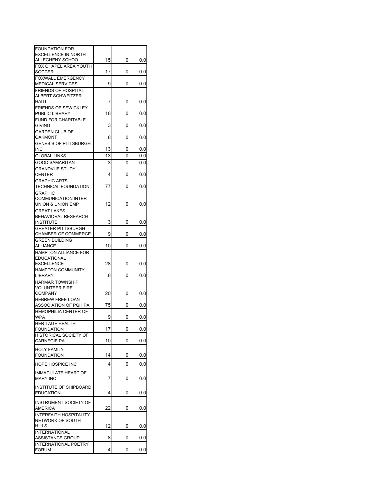| <b>EXCELLENCE IN NORTH</b><br>15<br>ALLEGHENY SCHOO<br>0<br>0.0<br>FOX CHAPEL AREA YOUTH<br>17<br><b>SOCCER</b><br>0<br>0.0<br><b>FOXWALL EMERGENCY</b><br>9<br>0<br>0.0<br><b>MEDICAL SERVICES</b><br><b>FRIENDS OF HOSPITAL</b><br><b>ALBERT SCHWEITZER</b><br>7<br>0<br>HAITI<br>0.0<br><b>FRIENDS OF SEWICKLEY</b><br>18<br>PUBLIC LIBRARY<br>0<br>0.0<br><b>FUND FOR CHARITABLE</b><br>3<br>0<br><b>GIVING</b><br>0.0<br><b>GARDEN CLUB OF</b><br>8<br>0<br>OAKMONT<br>0.0<br><b>GENESIS OF PITTSBURGH</b><br>13<br>0.0<br>INC<br>0<br>13<br>0<br><b>GLOBAL LINKS</b><br>0.0<br>3<br>0<br><b>GOOD SAMARITAN</b><br>0.0<br><b>GRANDVUE STUDY</b><br><b>CENTER</b><br>4<br>0<br>0.0<br><b>GRAPHIC ARTS</b><br>TECHNICAL FOUNDATION<br>77<br>0<br>0.0<br><b>GRAPHIC</b><br><b>COMMUNICATION INTER</b><br>12<br>0<br>0.0<br>UNION & UNION EMP<br><b>GREAT LAKES</b><br><b>BEHAVIORAL RESEARCH</b><br>3<br>0<br>0.0<br><b>INSTITUTE</b><br><b>GREATER PITTSBURGH</b><br><b>CHAMBER OF COMMERCE</b><br>9<br>0<br>0.0<br><b>GREEN BUILDING</b><br>10<br>ALLIANCE<br>0<br>0.0<br><b>HAMPTON ALLIANCE FOR</b><br><b>EDUCATIONAL</b><br>28<br>0<br><b>EXCELLENCE</b><br>0.0<br><b>HAMPTON COMMUNITY</b><br>8<br>0<br>0.0<br>LIBRARY<br><b>HARMAR TOWNSHIP</b><br><b>VOLUNTEER FIRE</b><br>20<br>0<br><b>COMPANY</b><br>0.0<br><b>HEBREW FREE LOAN</b><br>75<br>ASSOCIATION OF PGH PA<br>0<br>0.0<br>HEMOPHILIA CENTER OF<br><b>WPA</b><br>9<br>0<br>0.0<br><b>HERITAGE HEALTH</b><br>17<br>0.0<br>FOUNDATION<br>υ<br>HISTORICAL SOCIETY OF<br>10<br>0<br>0.0<br><b>CARNEGIE PA</b><br><b>FOUNDATION</b><br>14<br>0<br>0.0<br>HOPE HOSPICE INC<br>4<br>0<br>0.0<br><b>IMMACULATE HEART OF</b><br>7<br>0<br>0.0<br><b>MARY INC</b><br><b>INSTITUTE OF SHIPBOARD</b><br>0<br>4<br>0.0<br><b>EDUCATION</b><br><b>INSTRUMENT SOCIETY OF</b><br><b>AMERICA</b><br>22<br>0<br>0.0<br><b>INTERFAITH HOSPITALITY</b><br>NETWORK OF SOUTH<br>12<br>HILLS<br>0<br>0.0<br><b>INTERNATIONAL</b><br>8<br>ASSISTANCE GROUP<br>0<br>0.0<br><b>INTERNATIONAL POETRY</b><br>4<br>0<br>0.0 | <b>FOUNDATION FOR</b> |  |  |
|--------------------------------------------------------------------------------------------------------------------------------------------------------------------------------------------------------------------------------------------------------------------------------------------------------------------------------------------------------------------------------------------------------------------------------------------------------------------------------------------------------------------------------------------------------------------------------------------------------------------------------------------------------------------------------------------------------------------------------------------------------------------------------------------------------------------------------------------------------------------------------------------------------------------------------------------------------------------------------------------------------------------------------------------------------------------------------------------------------------------------------------------------------------------------------------------------------------------------------------------------------------------------------------------------------------------------------------------------------------------------------------------------------------------------------------------------------------------------------------------------------------------------------------------------------------------------------------------------------------------------------------------------------------------------------------------------------------------------------------------------------------------------------------------------------------------------------------------------------------------------------------------------------------------------------------------------------------------------------------------------------------------------------------------------------------------|-----------------------|--|--|
|                                                                                                                                                                                                                                                                                                                                                                                                                                                                                                                                                                                                                                                                                                                                                                                                                                                                                                                                                                                                                                                                                                                                                                                                                                                                                                                                                                                                                                                                                                                                                                                                                                                                                                                                                                                                                                                                                                                                                                                                                                                                    |                       |  |  |
|                                                                                                                                                                                                                                                                                                                                                                                                                                                                                                                                                                                                                                                                                                                                                                                                                                                                                                                                                                                                                                                                                                                                                                                                                                                                                                                                                                                                                                                                                                                                                                                                                                                                                                                                                                                                                                                                                                                                                                                                                                                                    |                       |  |  |
|                                                                                                                                                                                                                                                                                                                                                                                                                                                                                                                                                                                                                                                                                                                                                                                                                                                                                                                                                                                                                                                                                                                                                                                                                                                                                                                                                                                                                                                                                                                                                                                                                                                                                                                                                                                                                                                                                                                                                                                                                                                                    |                       |  |  |
|                                                                                                                                                                                                                                                                                                                                                                                                                                                                                                                                                                                                                                                                                                                                                                                                                                                                                                                                                                                                                                                                                                                                                                                                                                                                                                                                                                                                                                                                                                                                                                                                                                                                                                                                                                                                                                                                                                                                                                                                                                                                    |                       |  |  |
|                                                                                                                                                                                                                                                                                                                                                                                                                                                                                                                                                                                                                                                                                                                                                                                                                                                                                                                                                                                                                                                                                                                                                                                                                                                                                                                                                                                                                                                                                                                                                                                                                                                                                                                                                                                                                                                                                                                                                                                                                                                                    |                       |  |  |
|                                                                                                                                                                                                                                                                                                                                                                                                                                                                                                                                                                                                                                                                                                                                                                                                                                                                                                                                                                                                                                                                                                                                                                                                                                                                                                                                                                                                                                                                                                                                                                                                                                                                                                                                                                                                                                                                                                                                                                                                                                                                    |                       |  |  |
|                                                                                                                                                                                                                                                                                                                                                                                                                                                                                                                                                                                                                                                                                                                                                                                                                                                                                                                                                                                                                                                                                                                                                                                                                                                                                                                                                                                                                                                                                                                                                                                                                                                                                                                                                                                                                                                                                                                                                                                                                                                                    |                       |  |  |
|                                                                                                                                                                                                                                                                                                                                                                                                                                                                                                                                                                                                                                                                                                                                                                                                                                                                                                                                                                                                                                                                                                                                                                                                                                                                                                                                                                                                                                                                                                                                                                                                                                                                                                                                                                                                                                                                                                                                                                                                                                                                    |                       |  |  |
|                                                                                                                                                                                                                                                                                                                                                                                                                                                                                                                                                                                                                                                                                                                                                                                                                                                                                                                                                                                                                                                                                                                                                                                                                                                                                                                                                                                                                                                                                                                                                                                                                                                                                                                                                                                                                                                                                                                                                                                                                                                                    |                       |  |  |
|                                                                                                                                                                                                                                                                                                                                                                                                                                                                                                                                                                                                                                                                                                                                                                                                                                                                                                                                                                                                                                                                                                                                                                                                                                                                                                                                                                                                                                                                                                                                                                                                                                                                                                                                                                                                                                                                                                                                                                                                                                                                    |                       |  |  |
|                                                                                                                                                                                                                                                                                                                                                                                                                                                                                                                                                                                                                                                                                                                                                                                                                                                                                                                                                                                                                                                                                                                                                                                                                                                                                                                                                                                                                                                                                                                                                                                                                                                                                                                                                                                                                                                                                                                                                                                                                                                                    |                       |  |  |
|                                                                                                                                                                                                                                                                                                                                                                                                                                                                                                                                                                                                                                                                                                                                                                                                                                                                                                                                                                                                                                                                                                                                                                                                                                                                                                                                                                                                                                                                                                                                                                                                                                                                                                                                                                                                                                                                                                                                                                                                                                                                    |                       |  |  |
|                                                                                                                                                                                                                                                                                                                                                                                                                                                                                                                                                                                                                                                                                                                                                                                                                                                                                                                                                                                                                                                                                                                                                                                                                                                                                                                                                                                                                                                                                                                                                                                                                                                                                                                                                                                                                                                                                                                                                                                                                                                                    |                       |  |  |
|                                                                                                                                                                                                                                                                                                                                                                                                                                                                                                                                                                                                                                                                                                                                                                                                                                                                                                                                                                                                                                                                                                                                                                                                                                                                                                                                                                                                                                                                                                                                                                                                                                                                                                                                                                                                                                                                                                                                                                                                                                                                    |                       |  |  |
|                                                                                                                                                                                                                                                                                                                                                                                                                                                                                                                                                                                                                                                                                                                                                                                                                                                                                                                                                                                                                                                                                                                                                                                                                                                                                                                                                                                                                                                                                                                                                                                                                                                                                                                                                                                                                                                                                                                                                                                                                                                                    |                       |  |  |
|                                                                                                                                                                                                                                                                                                                                                                                                                                                                                                                                                                                                                                                                                                                                                                                                                                                                                                                                                                                                                                                                                                                                                                                                                                                                                                                                                                                                                                                                                                                                                                                                                                                                                                                                                                                                                                                                                                                                                                                                                                                                    |                       |  |  |
|                                                                                                                                                                                                                                                                                                                                                                                                                                                                                                                                                                                                                                                                                                                                                                                                                                                                                                                                                                                                                                                                                                                                                                                                                                                                                                                                                                                                                                                                                                                                                                                                                                                                                                                                                                                                                                                                                                                                                                                                                                                                    |                       |  |  |
|                                                                                                                                                                                                                                                                                                                                                                                                                                                                                                                                                                                                                                                                                                                                                                                                                                                                                                                                                                                                                                                                                                                                                                                                                                                                                                                                                                                                                                                                                                                                                                                                                                                                                                                                                                                                                                                                                                                                                                                                                                                                    |                       |  |  |
|                                                                                                                                                                                                                                                                                                                                                                                                                                                                                                                                                                                                                                                                                                                                                                                                                                                                                                                                                                                                                                                                                                                                                                                                                                                                                                                                                                                                                                                                                                                                                                                                                                                                                                                                                                                                                                                                                                                                                                                                                                                                    |                       |  |  |
|                                                                                                                                                                                                                                                                                                                                                                                                                                                                                                                                                                                                                                                                                                                                                                                                                                                                                                                                                                                                                                                                                                                                                                                                                                                                                                                                                                                                                                                                                                                                                                                                                                                                                                                                                                                                                                                                                                                                                                                                                                                                    |                       |  |  |
|                                                                                                                                                                                                                                                                                                                                                                                                                                                                                                                                                                                                                                                                                                                                                                                                                                                                                                                                                                                                                                                                                                                                                                                                                                                                                                                                                                                                                                                                                                                                                                                                                                                                                                                                                                                                                                                                                                                                                                                                                                                                    |                       |  |  |
|                                                                                                                                                                                                                                                                                                                                                                                                                                                                                                                                                                                                                                                                                                                                                                                                                                                                                                                                                                                                                                                                                                                                                                                                                                                                                                                                                                                                                                                                                                                                                                                                                                                                                                                                                                                                                                                                                                                                                                                                                                                                    |                       |  |  |
|                                                                                                                                                                                                                                                                                                                                                                                                                                                                                                                                                                                                                                                                                                                                                                                                                                                                                                                                                                                                                                                                                                                                                                                                                                                                                                                                                                                                                                                                                                                                                                                                                                                                                                                                                                                                                                                                                                                                                                                                                                                                    |                       |  |  |
|                                                                                                                                                                                                                                                                                                                                                                                                                                                                                                                                                                                                                                                                                                                                                                                                                                                                                                                                                                                                                                                                                                                                                                                                                                                                                                                                                                                                                                                                                                                                                                                                                                                                                                                                                                                                                                                                                                                                                                                                                                                                    |                       |  |  |
|                                                                                                                                                                                                                                                                                                                                                                                                                                                                                                                                                                                                                                                                                                                                                                                                                                                                                                                                                                                                                                                                                                                                                                                                                                                                                                                                                                                                                                                                                                                                                                                                                                                                                                                                                                                                                                                                                                                                                                                                                                                                    |                       |  |  |
|                                                                                                                                                                                                                                                                                                                                                                                                                                                                                                                                                                                                                                                                                                                                                                                                                                                                                                                                                                                                                                                                                                                                                                                                                                                                                                                                                                                                                                                                                                                                                                                                                                                                                                                                                                                                                                                                                                                                                                                                                                                                    |                       |  |  |
|                                                                                                                                                                                                                                                                                                                                                                                                                                                                                                                                                                                                                                                                                                                                                                                                                                                                                                                                                                                                                                                                                                                                                                                                                                                                                                                                                                                                                                                                                                                                                                                                                                                                                                                                                                                                                                                                                                                                                                                                                                                                    |                       |  |  |
|                                                                                                                                                                                                                                                                                                                                                                                                                                                                                                                                                                                                                                                                                                                                                                                                                                                                                                                                                                                                                                                                                                                                                                                                                                                                                                                                                                                                                                                                                                                                                                                                                                                                                                                                                                                                                                                                                                                                                                                                                                                                    |                       |  |  |
|                                                                                                                                                                                                                                                                                                                                                                                                                                                                                                                                                                                                                                                                                                                                                                                                                                                                                                                                                                                                                                                                                                                                                                                                                                                                                                                                                                                                                                                                                                                                                                                                                                                                                                                                                                                                                                                                                                                                                                                                                                                                    |                       |  |  |
|                                                                                                                                                                                                                                                                                                                                                                                                                                                                                                                                                                                                                                                                                                                                                                                                                                                                                                                                                                                                                                                                                                                                                                                                                                                                                                                                                                                                                                                                                                                                                                                                                                                                                                                                                                                                                                                                                                                                                                                                                                                                    |                       |  |  |
|                                                                                                                                                                                                                                                                                                                                                                                                                                                                                                                                                                                                                                                                                                                                                                                                                                                                                                                                                                                                                                                                                                                                                                                                                                                                                                                                                                                                                                                                                                                                                                                                                                                                                                                                                                                                                                                                                                                                                                                                                                                                    |                       |  |  |
|                                                                                                                                                                                                                                                                                                                                                                                                                                                                                                                                                                                                                                                                                                                                                                                                                                                                                                                                                                                                                                                                                                                                                                                                                                                                                                                                                                                                                                                                                                                                                                                                                                                                                                                                                                                                                                                                                                                                                                                                                                                                    |                       |  |  |
|                                                                                                                                                                                                                                                                                                                                                                                                                                                                                                                                                                                                                                                                                                                                                                                                                                                                                                                                                                                                                                                                                                                                                                                                                                                                                                                                                                                                                                                                                                                                                                                                                                                                                                                                                                                                                                                                                                                                                                                                                                                                    |                       |  |  |
|                                                                                                                                                                                                                                                                                                                                                                                                                                                                                                                                                                                                                                                                                                                                                                                                                                                                                                                                                                                                                                                                                                                                                                                                                                                                                                                                                                                                                                                                                                                                                                                                                                                                                                                                                                                                                                                                                                                                                                                                                                                                    |                       |  |  |
|                                                                                                                                                                                                                                                                                                                                                                                                                                                                                                                                                                                                                                                                                                                                                                                                                                                                                                                                                                                                                                                                                                                                                                                                                                                                                                                                                                                                                                                                                                                                                                                                                                                                                                                                                                                                                                                                                                                                                                                                                                                                    |                       |  |  |
|                                                                                                                                                                                                                                                                                                                                                                                                                                                                                                                                                                                                                                                                                                                                                                                                                                                                                                                                                                                                                                                                                                                                                                                                                                                                                                                                                                                                                                                                                                                                                                                                                                                                                                                                                                                                                                                                                                                                                                                                                                                                    |                       |  |  |
|                                                                                                                                                                                                                                                                                                                                                                                                                                                                                                                                                                                                                                                                                                                                                                                                                                                                                                                                                                                                                                                                                                                                                                                                                                                                                                                                                                                                                                                                                                                                                                                                                                                                                                                                                                                                                                                                                                                                                                                                                                                                    |                       |  |  |
|                                                                                                                                                                                                                                                                                                                                                                                                                                                                                                                                                                                                                                                                                                                                                                                                                                                                                                                                                                                                                                                                                                                                                                                                                                                                                                                                                                                                                                                                                                                                                                                                                                                                                                                                                                                                                                                                                                                                                                                                                                                                    |                       |  |  |
|                                                                                                                                                                                                                                                                                                                                                                                                                                                                                                                                                                                                                                                                                                                                                                                                                                                                                                                                                                                                                                                                                                                                                                                                                                                                                                                                                                                                                                                                                                                                                                                                                                                                                                                                                                                                                                                                                                                                                                                                                                                                    |                       |  |  |
|                                                                                                                                                                                                                                                                                                                                                                                                                                                                                                                                                                                                                                                                                                                                                                                                                                                                                                                                                                                                                                                                                                                                                                                                                                                                                                                                                                                                                                                                                                                                                                                                                                                                                                                                                                                                                                                                                                                                                                                                                                                                    |                       |  |  |
|                                                                                                                                                                                                                                                                                                                                                                                                                                                                                                                                                                                                                                                                                                                                                                                                                                                                                                                                                                                                                                                                                                                                                                                                                                                                                                                                                                                                                                                                                                                                                                                                                                                                                                                                                                                                                                                                                                                                                                                                                                                                    |                       |  |  |
|                                                                                                                                                                                                                                                                                                                                                                                                                                                                                                                                                                                                                                                                                                                                                                                                                                                                                                                                                                                                                                                                                                                                                                                                                                                                                                                                                                                                                                                                                                                                                                                                                                                                                                                                                                                                                                                                                                                                                                                                                                                                    |                       |  |  |
|                                                                                                                                                                                                                                                                                                                                                                                                                                                                                                                                                                                                                                                                                                                                                                                                                                                                                                                                                                                                                                                                                                                                                                                                                                                                                                                                                                                                                                                                                                                                                                                                                                                                                                                                                                                                                                                                                                                                                                                                                                                                    |                       |  |  |
|                                                                                                                                                                                                                                                                                                                                                                                                                                                                                                                                                                                                                                                                                                                                                                                                                                                                                                                                                                                                                                                                                                                                                                                                                                                                                                                                                                                                                                                                                                                                                                                                                                                                                                                                                                                                                                                                                                                                                                                                                                                                    |                       |  |  |
|                                                                                                                                                                                                                                                                                                                                                                                                                                                                                                                                                                                                                                                                                                                                                                                                                                                                                                                                                                                                                                                                                                                                                                                                                                                                                                                                                                                                                                                                                                                                                                                                                                                                                                                                                                                                                                                                                                                                                                                                                                                                    | <b>HOLY FAMILY</b>    |  |  |
|                                                                                                                                                                                                                                                                                                                                                                                                                                                                                                                                                                                                                                                                                                                                                                                                                                                                                                                                                                                                                                                                                                                                                                                                                                                                                                                                                                                                                                                                                                                                                                                                                                                                                                                                                                                                                                                                                                                                                                                                                                                                    |                       |  |  |
|                                                                                                                                                                                                                                                                                                                                                                                                                                                                                                                                                                                                                                                                                                                                                                                                                                                                                                                                                                                                                                                                                                                                                                                                                                                                                                                                                                                                                                                                                                                                                                                                                                                                                                                                                                                                                                                                                                                                                                                                                                                                    |                       |  |  |
|                                                                                                                                                                                                                                                                                                                                                                                                                                                                                                                                                                                                                                                                                                                                                                                                                                                                                                                                                                                                                                                                                                                                                                                                                                                                                                                                                                                                                                                                                                                                                                                                                                                                                                                                                                                                                                                                                                                                                                                                                                                                    |                       |  |  |
|                                                                                                                                                                                                                                                                                                                                                                                                                                                                                                                                                                                                                                                                                                                                                                                                                                                                                                                                                                                                                                                                                                                                                                                                                                                                                                                                                                                                                                                                                                                                                                                                                                                                                                                                                                                                                                                                                                                                                                                                                                                                    |                       |  |  |
|                                                                                                                                                                                                                                                                                                                                                                                                                                                                                                                                                                                                                                                                                                                                                                                                                                                                                                                                                                                                                                                                                                                                                                                                                                                                                                                                                                                                                                                                                                                                                                                                                                                                                                                                                                                                                                                                                                                                                                                                                                                                    |                       |  |  |
|                                                                                                                                                                                                                                                                                                                                                                                                                                                                                                                                                                                                                                                                                                                                                                                                                                                                                                                                                                                                                                                                                                                                                                                                                                                                                                                                                                                                                                                                                                                                                                                                                                                                                                                                                                                                                                                                                                                                                                                                                                                                    |                       |  |  |
|                                                                                                                                                                                                                                                                                                                                                                                                                                                                                                                                                                                                                                                                                                                                                                                                                                                                                                                                                                                                                                                                                                                                                                                                                                                                                                                                                                                                                                                                                                                                                                                                                                                                                                                                                                                                                                                                                                                                                                                                                                                                    |                       |  |  |
|                                                                                                                                                                                                                                                                                                                                                                                                                                                                                                                                                                                                                                                                                                                                                                                                                                                                                                                                                                                                                                                                                                                                                                                                                                                                                                                                                                                                                                                                                                                                                                                                                                                                                                                                                                                                                                                                                                                                                                                                                                                                    |                       |  |  |
|                                                                                                                                                                                                                                                                                                                                                                                                                                                                                                                                                                                                                                                                                                                                                                                                                                                                                                                                                                                                                                                                                                                                                                                                                                                                                                                                                                                                                                                                                                                                                                                                                                                                                                                                                                                                                                                                                                                                                                                                                                                                    |                       |  |  |
|                                                                                                                                                                                                                                                                                                                                                                                                                                                                                                                                                                                                                                                                                                                                                                                                                                                                                                                                                                                                                                                                                                                                                                                                                                                                                                                                                                                                                                                                                                                                                                                                                                                                                                                                                                                                                                                                                                                                                                                                                                                                    |                       |  |  |
|                                                                                                                                                                                                                                                                                                                                                                                                                                                                                                                                                                                                                                                                                                                                                                                                                                                                                                                                                                                                                                                                                                                                                                                                                                                                                                                                                                                                                                                                                                                                                                                                                                                                                                                                                                                                                                                                                                                                                                                                                                                                    |                       |  |  |
|                                                                                                                                                                                                                                                                                                                                                                                                                                                                                                                                                                                                                                                                                                                                                                                                                                                                                                                                                                                                                                                                                                                                                                                                                                                                                                                                                                                                                                                                                                                                                                                                                                                                                                                                                                                                                                                                                                                                                                                                                                                                    |                       |  |  |
|                                                                                                                                                                                                                                                                                                                                                                                                                                                                                                                                                                                                                                                                                                                                                                                                                                                                                                                                                                                                                                                                                                                                                                                                                                                                                                                                                                                                                                                                                                                                                                                                                                                                                                                                                                                                                                                                                                                                                                                                                                                                    |                       |  |  |
|                                                                                                                                                                                                                                                                                                                                                                                                                                                                                                                                                                                                                                                                                                                                                                                                                                                                                                                                                                                                                                                                                                                                                                                                                                                                                                                                                                                                                                                                                                                                                                                                                                                                                                                                                                                                                                                                                                                                                                                                                                                                    |                       |  |  |
|                                                                                                                                                                                                                                                                                                                                                                                                                                                                                                                                                                                                                                                                                                                                                                                                                                                                                                                                                                                                                                                                                                                                                                                                                                                                                                                                                                                                                                                                                                                                                                                                                                                                                                                                                                                                                                                                                                                                                                                                                                                                    | <b>FORUM</b>          |  |  |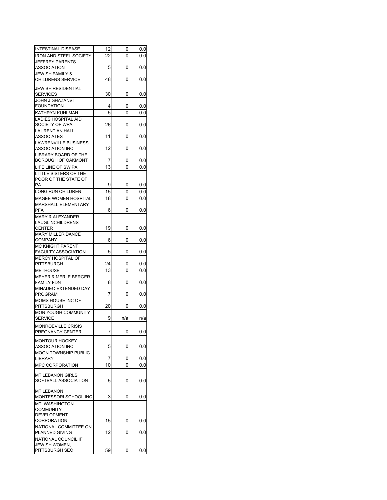| <b>INTESTINAL DISEASE</b>                            | 12 | 0   | 0.0 |
|------------------------------------------------------|----|-----|-----|
| <b>IRON AND STEEL SOCIETY</b>                        | 22 | 0   | 0.0 |
| <b>JEFFREY PARENTS</b>                               |    |     |     |
| <b>ASSOCIATION</b>                                   | 5  | 0   | 0.0 |
| <b>JEWISH FAMILY &amp;</b>                           |    |     |     |
| <b>CHILDRENS SERVICE</b>                             | 48 | 0   | 0.0 |
| <b>JEWISH RESIDENTIAL</b>                            |    |     |     |
| <b>SERVICES</b>                                      | 30 | 0   |     |
|                                                      |    |     | 0.0 |
| JOHN J GHAZANVI                                      |    |     |     |
| <b>FOUNDATION</b>                                    | 4  | 0   | 0.0 |
| KATHRYN KUHLMAN                                      | 5  | 0   | 0.0 |
| LADIES HOSPITAL AID                                  |    |     |     |
| SOCIETY OF WPA                                       | 26 | 0   | 0.0 |
| <b>LAURENTIAN HALL</b>                               |    |     |     |
| <b>ASSOCIATES</b>                                    | 11 | 0   | 0.0 |
| <b>LAWRENVILLE BUSINESS</b>                          |    |     |     |
| <b>ASSOCIATION INC</b>                               | 12 | 0   | 0.0 |
| LIBRARY BOARD OF THE                                 |    |     |     |
| <b>BOROUGH OF OAKMONT</b>                            | 7  | 0   | 0.0 |
| LIFE LINE OF SW PA                                   | 13 | 0   | 0.0 |
| LITTLE SISTERS OF THE                                |    |     |     |
| POOR OF THE STATE OF                                 |    |     |     |
| PA                                                   | 9  | 0   | 0.0 |
| LONG RUN CHILDREN                                    | 15 | 0   | 0.0 |
| MAGEE WOMEN HOSPITAL                                 | 18 | 0   | 0.0 |
| <b>MARSHALL ELEMENTARY</b>                           |    |     |     |
| PFA                                                  | 6  | 0   | 0.0 |
| <b>MARY &amp; ALEXANDER</b>                          |    |     |     |
| <b>LAUGLINCHILDRENS</b>                              |    |     |     |
| <b>CENTER</b>                                        | 19 | 0   | 0.0 |
| <b>MARY MILLER DANCE</b>                             |    |     |     |
| <b>COMPANY</b>                                       | 6  | 0   | 0.0 |
| MC KNIGHT PARENT                                     |    |     |     |
| <b>FACULTY ASSOCIATION</b>                           | 5  | 0   | 0.0 |
| <b>MERCY HOSPITAL OF</b>                             |    |     |     |
| <b>PITTSBURGH</b>                                    | 24 | 0   | 0.0 |
| <b>METHOUSE</b>                                      | 13 | 0   |     |
|                                                      |    |     | 0.0 |
| <b>MEYER &amp; MERLE BERGER</b><br><b>FAMILY FDN</b> | 8  | 0   | 0.0 |
|                                                      |    |     |     |
| MINADEO EXTENDED DAY<br><b>PROGRAM</b>               | 7  | 0   | 0.0 |
| MOMS HOUSE INC OF                                    |    |     |     |
| <b>PITTSBURGH</b>                                    | 20 | 0   | 0.0 |
| <b>MON YOUGH COMMUNITY</b>                           |    |     |     |
|                                                      |    |     |     |
| <b>SERVICE</b>                                       | 9  | n/a | n/a |
| MONROEVILLE CRISIS                                   |    |     |     |
| PREGNANCY CENTER                                     | 7  | 0   | 0.0 |
| <b>MONTOUR HOCKEY</b>                                |    |     |     |
| <b>ASSOCIATION INC</b>                               | 5  | 0   | 0.0 |
| <b>MOON TOWNSHIP PUBLIC</b>                          |    |     |     |
| <b>LIBRARY</b>                                       | 7  | 0   | 0.0 |
| MPC CORPORATION                                      | 10 |     |     |
|                                                      |    | 0   | 0.0 |
| <b>MT LEBANON GIRLS</b>                              |    |     |     |
| SOFTBALL ASSOCIATION                                 | 5  | 0   | 0.0 |
|                                                      |    |     |     |
| <b>MT LEBANON</b>                                    |    |     |     |
| MONTESSORI SCHOOL INC                                | 3  | 0   | 0.0 |
| <b>MT. WASHINGTON</b>                                |    |     |     |
| <b>COMMUNITY</b>                                     |    |     |     |
| <b>DEVELOPMENT</b>                                   |    |     |     |
| <b>CORPORATION</b>                                   | 15 | 0   | 0.0 |
| NATIONAL COMMITTEE ON                                |    |     |     |
| PLANNED GIVING                                       | 12 | 0   | 0.0 |
| NATIONAL COUNCIL IF                                  |    |     |     |
| JEWISH WOMEN,                                        |    |     |     |
| PITTSBURGH SEC                                       | 59 | 0   | 0.0 |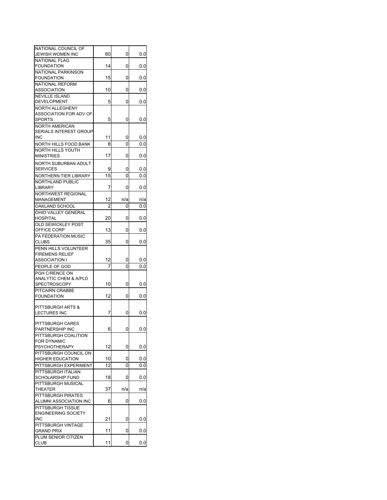| NATIONAL COUNCIL OF           |                |     |     |
|-------------------------------|----------------|-----|-----|
| JEWISH WOMEN INC              | 60             | 0   | 0.0 |
| <b>NATIONAL FLAG</b>          |                |     |     |
| <b>FOUNDATION</b>             | 14             | 0   | 0.0 |
| NATIONAL PARKINSON            |                |     |     |
| <b>FOUNDATION</b>             | 15             | 0   | 0.0 |
| NATIONAL REFORM               |                |     |     |
| <b>ASSOCIATION</b>            | 10             | 0   | 0.0 |
| <b>NEVILLE ISLAND</b>         |                |     |     |
| DEVELOPMENT                   | 5              | 0   | 0.0 |
| <b>NORTH ALLEGHENY</b>        |                |     |     |
| ASSOCIATION FOR ADV OF        |                |     |     |
| <b>SPORTS</b>                 | 5              | 0   | 0.0 |
| <b>NORTH AMERICAN</b>         |                |     |     |
| <b>SERIALS INTEREST GROUP</b> |                |     |     |
| <b>INC</b>                    | 11             | 0   | 0.0 |
| NORTH HILLS FOOD BANK         | 8              | 0   | 0.0 |
| NORTH HILLS YOUTH             |                |     |     |
| <b>MINISTRIES</b>             | 17             | 0   | 0.0 |
| NORTH SUBURBAN ADULT          |                |     |     |
| <b>SERVICES</b>               | 9              | 0   | 0.0 |
| NORTHERN TIER LIBRARY         | 15             | 0   | 0.0 |
| <b>NORTHLAND PUBLIC</b>       |                |     |     |
| <b>LIBRARY</b>                | 7              | 0   | 0.0 |
| NORTHWEST REGIONAL            |                |     |     |
| MANAGEMENT                    | 12             | n/a | n/a |
| OAKLAND SCHOOL                | $\overline{c}$ | 0   | 0.0 |
| OHIO VALLEY GENERAL           |                |     |     |
| <b>HOSPITAL</b>               | 20             | 0   | 0.0 |
| OLD SEWICKLEY POST            |                |     |     |
| OFFICE CORP                   | 13             | 0   | 0.0 |
| PA FEDERATION MUSIC           |                |     |     |
| <b>CLUBS</b>                  | 35             | 0   | 0.0 |
| PENN HILLS VOLUNTEER          |                |     |     |
| <b>FIREMENS RELIEF</b>        |                |     |     |
| ASSOCIATION I                 | 12             | 0   | 0.0 |
| PEOPLE OF GOD                 | 7              | 0   | 0.0 |
| PGH C/RENCE ON                |                |     |     |
| ANALYTIC CHEM & A/PLD         |                |     |     |
| <b>SPECTROSCOPY</b>           | 10             | 0   | 0.0 |
| PITCAIRN CRABBE               |                |     |     |
| <b>FOUNDATION</b>             | 12             | 0   | 0.0 |
|                               |                |     |     |
| PITTSBURGH ARTS &             |                |     |     |
| <b>LECTURES INC</b>           | 7              | 0   | 0.0 |
| PITTSBURGH CARES              |                |     |     |
| PARTNERSHIP INC               | 6              |     | 0.0 |
| PITTSBURGH COALITION          |                |     |     |
| <b>FOR DYNAMIC</b>            |                |     |     |
| <b>PSYCHOTHERAPY</b>          | 12             | 0   | 0.0 |
| PITTSBURGH COUNCIL ON         |                |     |     |
| <b>HIGHER EDUCATION</b>       | 10             | 0   | 0.0 |
| PITTSBURGH EXPERIMENT         | 12             | 0   | 0.0 |
| PITTSBURGH ITALIAN            |                |     |     |
| <b>SCHOLARSHIP FUND</b>       | 18             | 0   | 0.0 |
| PITTSBURGH MUSICAL            |                |     |     |
| <b>THEATER</b>                | 37             | n/a | n/a |
| PITTSBURGH PIRATES            |                |     |     |
| ALUMNI ASSOCIATION INC        | 6              | 0   | 0.0 |
| <b>PITTSBURGH TISSUE</b>      |                |     |     |
| <b>ENGINEERING SOCIETY</b>    |                |     |     |
| INC                           | 21             | 0   | 0.0 |
| PITTSBURGH VINTAGE            |                |     |     |
| <b>GRAND PRIX</b>             | 11             | 0   | 0.0 |
| PLUM SENIOR CITIZEN           |                |     |     |
| <b>CLUB</b>                   | 11             | 0   | 0.0 |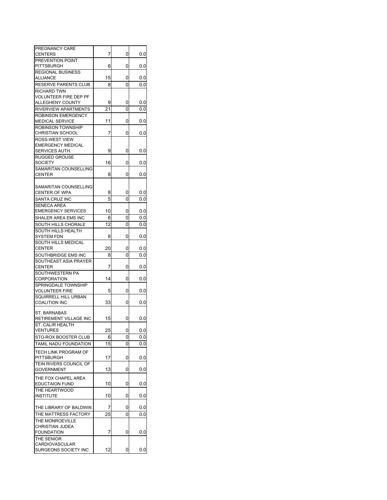| PREGNANCY CARE                         |    |   |     |
|----------------------------------------|----|---|-----|
| <b>CENTERS</b>                         | 7  | 0 | 0.0 |
| PREVENTION POINT                       |    |   |     |
| <b>PITTSBURGH</b>                      | 6  | 0 | 0.0 |
| <b>REGIONAL BUSINESS</b>               |    |   |     |
| ALLIANCE                               | 15 | 0 | 0.0 |
| RESERVE PARENTS CLUB                   | 8  | 0 | 0.0 |
| <b>RICHARD TWN</b>                     |    |   |     |
| <b>VOLUNTEER FIRE DEP PF</b>           |    |   |     |
| ALLEGHENY COUNTY                       | 9  | 0 | 0.0 |
| RIVERVIEW APARTMENTS                   | 21 | 0 | 0.0 |
| <b>ROBINSON EMERGENCY</b>              |    |   |     |
| <b>MEDICAL SERVICE</b>                 | 11 | 0 | 0.0 |
| ROBINSON TOWNSHIP                      |    |   |     |
| CHRISTIAN SCHOOL                       | 7  | 0 | 0.0 |
| <b>ROSS-WEST VIEW</b>                  |    |   |     |
| <b>EMERGENCY MEDICAL</b>               |    |   |     |
| SERVICES AUTH.                         | 9  | 0 | 0.0 |
| <b>RUGGED GROUSE</b>                   |    |   |     |
|                                        |    | 0 |     |
| <b>SOCIETY</b>                         | 16 |   | 0.0 |
| SAMARITAN COUNSELLING                  |    |   |     |
| <b>CENTER</b>                          | 8  | 0 | 0.0 |
|                                        |    |   |     |
| SAMARITAN COUNSELLING                  |    |   |     |
| CENTER OF WPA                          | 8  | 0 | 0.0 |
| SANTA CRUZ INC                         | 5  | 0 | 0.0 |
| <b>SENECA AREA</b>                     |    |   |     |
| <b>EMERGENCY SERVICES</b>              | 10 | 0 | 0.0 |
| SHALER AREA EMS INC                    | 6  | 0 | 0.0 |
| SOUTH HILLS CHORALE                    | 12 | 0 | 0.0 |
| SOUTH HILLS HEALTH                     |    |   |     |
| SYSTEM FDN                             | 8  | 0 | 0.0 |
| SOUTH HILLS MEDICAL                    |    |   |     |
| CENTER                                 | 20 | 0 | 0.0 |
|                                        |    |   |     |
| SOUTHBRIDGE EMS INC                    | 8  | 0 | 0.0 |
| SOUTHEAST ASIA PRAYER                  |    |   |     |
| <b>CENTER</b>                          | 7  | 0 | 0.0 |
| SOUTHWESTERN PA                        |    |   |     |
| CORPORATION                            | 14 | 0 | 0.0 |
| SPRINGDALE TOWNSHIP                    |    |   |     |
| <b>VOLUNTEER FIRE</b>                  | 5  | 0 | 0.0 |
| SQUIRRELL HILL URBAN                   |    |   |     |
| <b>COALITION INC</b>                   | 33 | 0 | 0.0 |
|                                        |    |   |     |
| <b>ST. BARNABAS</b>                    | 15 |   |     |
| RETIREMENT VILLAGE INC                 |    | 0 | 0.0 |
| ST. CALIR HEALTH                       |    |   |     |
| <b>VENTURES</b>                        | 25 | 0 | 0.0 |
| STO-ROX BOOSTER CLUB                   | 6  | 0 | 0.0 |
| TAMIL NADU FOUNDATION                  | 15 | 0 | 0.0 |
| TECH LINK PROGRAM OF                   |    |   |     |
| <b>PITTSBURGH</b>                      | 17 | 0 | 0.0 |
| TEIN RIVERS COUNCIL OF                 |    |   |     |
| <b>GOVERNMENT</b>                      | 13 | 0 | 0.0 |
|                                        |    |   |     |
| THE FOX CHAPEL AREA                    |    |   |     |
| <b>EDUCTAION FUND</b>                  | 10 | 0 | 0.0 |
| THE HEARTWOOD                          |    |   |     |
| <b>INSTITUTE</b>                       | 10 | 0 | 0.0 |
|                                        |    |   |     |
| THE LIBRARY OF BALDWIN                 | 7  | 0 | 0.0 |
| THE MATTRESS FACTORY                   | 25 | 0 | 0.0 |
| THE MONROEVILLE                        |    |   |     |
| CHRISTIAN JUDEA                        |    |   |     |
| <b>FOUNDATION</b>                      | 7  | 0 | 0.0 |
| THE SENIOR                             |    |   |     |
|                                        |    |   |     |
|                                        |    |   |     |
| CARDIOVASCULAR<br>SURGEONS SOCIETY INC | 12 | 0 | 0.0 |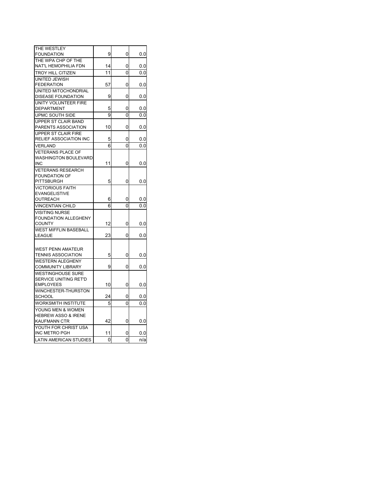| THE WESTLEY                    |    |                |          |
|--------------------------------|----|----------------|----------|
| <b>FOUNDATION</b>              | 9  | 0              | 0.0      |
| THE WPA CHP OF THE             |    |                |          |
| NAT'L HEMOPHILIA FDN           | 14 | 0              | 0.0      |
| <b>TROY HILL CITIZEN</b>       | 11 | 0              | 0.0      |
| UNITED JEWISH                  |    |                |          |
| <b>FEDERATION</b>              | 57 | 0              | 0.0      |
| UNITED MITOCHONDRIAL           |    |                |          |
| <b>DISEASE FOUNDATION</b>      | 9  | 0              | 0.0      |
| UNITY VOLUNTEER FIRE           |    |                |          |
| DEPARTMENT                     | 5  | 0              | 0.0      |
| UPMC SOUTH SIDE                | 9  | 0              | 0.0      |
| UPPER ST CLAIR BAND            |    |                |          |
| PARENTS ASSOCIATION            | 10 | 0              | 0.0      |
| UPPER ST CLAIR FIRE            |    |                |          |
| <b>RELIEF ASSOCIATION INC</b>  | 5  | 0              | 0.0      |
| <b>VERLAND</b>                 | 6  | 0              | 0.0      |
| <b>VETERANS PLACE OF</b>       |    |                |          |
| <b>WASHINGTON BOULEVARD</b>    |    |                |          |
| <b>INC</b>                     | 11 | 0              | 0.0      |
| <b>VETERANS RESEARCH</b>       |    |                |          |
| <b>FOUNDATION OF</b>           |    |                |          |
| <b>PITTSBURGH</b>              | 5  | 0              | 0.0      |
| <b>VICTORIOUS FAITH</b>        |    |                |          |
| <b>EVANGELISTIVE</b>           |    |                |          |
| OUTREACH                       | 6  | 0              | 0.0      |
| <b>VINCENTIAN CHILD</b>        | 6  | 0              | 0.0      |
| <b>VISITING NURSE</b>          |    |                |          |
| <b>FOUNDATION ALLEGHENY</b>    |    |                |          |
| <b>COUNTY</b>                  | 12 | 0              | $_{0.0}$ |
| <b>WEST MIFFLIN BASEBALL</b>   |    | 0              |          |
| <b>LEAGUE</b>                  | 23 |                | 0.0      |
|                                |    |                |          |
| <b>WEST PENN AMATEUR</b>       |    |                |          |
| <b>TENNIS ASSOCIATION</b>      | 5  | 0              | 0.0      |
| <b>WESTERN ALEGHENY</b>        |    |                |          |
| <b>COMMUNITY LIBRARY</b>       | 9  | 0              | 0.0      |
| <b>WESTINGHOUSE SURE</b>       |    |                |          |
| SERVICE UNITING RET'D          |    |                |          |
| <b>EMPLOYEES</b>               | 10 | 0              | $_{0.0}$ |
| WINCHESTER-THURSTON            |    |                |          |
| <b>SCHOOL</b>                  | 24 | 0              | 0.0      |
| <b>WORKSMITH INSTITUTE</b>     | 5  | $\overline{0}$ | 0.0      |
| YOUNG MEN & WOMEN              |    |                |          |
| <b>HEBREW ASSO &amp; IRENE</b> |    |                |          |
| KAUFMANN CTR                   | 42 | 0              | 0.0      |
| YOUTH FOR CHRIST USA           |    |                |          |
| INC METRO PGH                  | 11 | 0              | 0.0      |
| <b>LATIN AMERICAN STUDIES</b>  | 0  | 0              | n/a      |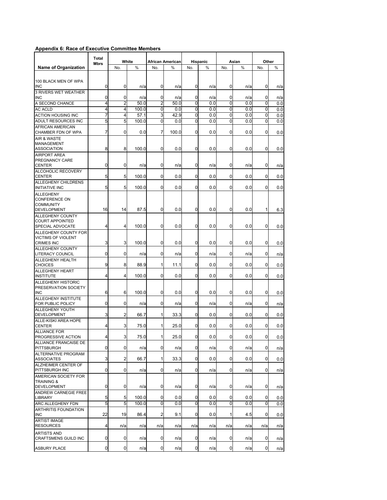## **Appendix 6: Race of Executive Committee Members**

|                                                                        | Total<br><b>Mbrs</b> |                | White |                | <b>African American</b> |                | Hispanic |                | Asian |     | Other |
|------------------------------------------------------------------------|----------------------|----------------|-------|----------------|-------------------------|----------------|----------|----------------|-------|-----|-------|
| <b>Name of Organization</b>                                            |                      | No.            | %     | No.            | %                       | No.            | %        | No.            | %     | No. | %     |
| 100 BLACK MEN OF WPA<br><b>INC</b>                                     | $\mathbf 0$          | 0              | n/a   | 0              | n/a                     | 0              | n/a      | 0              | n/a   | 0   | n/a   |
| 3 RIVERS WET WEATHER<br><b>INC</b>                                     | $\overline{0}$       | 0              | n/a   | 0              | n/a                     | 0              | n/a      | 0              | n/a   | 0   | n/a   |
| A SECOND CHANCE                                                        | $\overline{4}$       | $\overline{2}$ | 50.0  | $\overline{2}$ | 50.0                    | 0              | 0.0      | $\Omega$       | 0.0   | 0   | 0.0   |
| <b>AC ACLD</b>                                                         | $\overline{4}$       | 4              | 100.0 | 0              | 0.0                     | 0              | 0.0      | 0              | 0.0   | 0   | 0.0   |
| <b>ACTION HOUSING INC</b>                                              | 7                    | 4              | 57.1  | 3              | 42.9                    | $\overline{0}$ | 0.0      | $\Omega$       | 0.0   | 0   | 0.0   |
| ADULT RESOURCES INC                                                    | 5                    | 5              | 100.0 | 0              | 0.0                     | 0              | 0.0      | 0              | 0.0   | 0   | 0.0   |
| <b>AFRICAN AMERICAN</b><br>CHAMBER FDN OF WPA                          | $\overline{7}$       | 0              | 0.0   | 7              | 100.0                   | 0              | 0.0      | 0              | 0.0   | 0   | 0.0   |
| <b>AIR &amp; WASTE</b><br><b>MANAGEMENT</b><br><b>ASSOCIATION</b>      | 8                    | 8              | 100.0 | 0              | 0.0                     | 0              | 0.0      | 0              | 0.0   | 0   | 0.0   |
| <b>AIRPORT AREA</b><br>PREGNANCY CARE<br><b>CENTER</b>                 | 0                    | 0              | n/a   | 0              | n/a                     | 0              | n/a      | 0              | n/a   | 0   | n/a   |
| ALCOHOLIC RECOVERY<br><b>CENTER</b>                                    | 5                    | 5              | 100.0 | $\Omega$       | 0.0                     | 0              | 0.0      | $\Omega$       | 0.0   | 0   | 0.0   |
| ALLEGHENY CHILDRENS                                                    |                      |                |       |                |                         |                |          |                |       |     |       |
| <b>INITIATIVE INC</b><br><b>ALLEGHENY</b><br><b>CONFERENCE ON</b>      | 5                    | 5              | 100.0 | $\Omega$       | 0.0                     | 0              | 0.0      | 0              | 0.0   | 0   | 0.0   |
| <b>COMMUNITY</b><br><b>DEVELOPMENT</b>                                 | 16                   | 14             | 87.5  | $\mathbf{0}$   | 0.0                     | 0              | 0.0      | $\overline{0}$ | 0.0   | 1   | 6.3   |
| <b>ALLEGHENY COUNTY</b><br><b>COURT APPOINTED</b><br>SPECIAL ADVOCATE  | 4                    | 4              | 100.0 | 0              | 0.0                     | 0              | 0.0      | $\overline{0}$ | 0.0   | 0   | 0.0   |
| ALLEGHENY COUNTY FOR<br><b>VICTIMS OF VIOLENT</b><br><b>CRIMES INC</b> | 3                    | 3              | 100.0 | 0              | 0.0                     | 0              | 0.0      | 0              | 0.0   | 0   | 0.0   |
| <b>ALLEGHENY COUNTY</b><br><b>LITERACY COUNCIL</b>                     | 0                    | 0              | n/a   | 0              | n/a                     | 0              | n/a      | 0              | n/a   | 0   | n/a   |
| <b>ALLEGHENY HEALTH</b><br><b>CHOICES</b>                              | 9                    | 8              | 88.9  | 1              | 11.1                    | 0              | 0.0      | 0              | 0.0   | 0   | 0.0   |
| <b>ALLEGHENY HEART</b><br><b>INSTITUTE</b>                             | 4                    | 4              | 100.0 | 0              | 0.0                     | 0              | 0.0      | 0              | 0.0   | 0   | 0.0   |
| <b>ALLEGHENY HISTORIC</b><br>PRESERVATION SOCIETY<br><b>INC</b>        | 6                    | 6              | 100.0 | 0              | 0.0                     | 0              | 0.0      | 0              | 0.0   | 0   | 0.0   |
| <b>ALLEGHENY INSTITUTE</b><br>FOR PUBLIC POLICY                        | $\overline{0}$       | 0              | n/a   | 0              | n/a                     | 0              | n/a      | 0              | n/a   | 0   | n/a   |
| <b>ALLEGHENY YOUTH</b><br><b>DEVELOPMENT</b>                           | 3                    | $\overline{2}$ | 66.7  | 1              | 33.3                    | 0              | 0.0      | 0              | 0.0   | 0   | 0.0   |
| ALLE-KISKI AREA HOPE<br><b>CENTER</b>                                  | 4                    | 3              | 75.0  | 1              | 25.0                    | 0              | 0.0      | 0              | 0.0   | 0   | 0.0   |
| <b>ALLIANCE FOR</b><br><b>PROGRESSIVE ACTION</b>                       | $\overline{4}$       | 3              | 75.0  | $\mathbf{1}$   | 25.0                    | 0              | 0.0      | 0              | 0.0   | 0   | 0.0   |
| ALLIANCE FRANCAISE DE<br><b>PITTSBURGH</b>                             | $\mathbf 0$          | 0              | n/a   | 0              | n/a                     | 0              | n/a      | $\mathbf 0$    | n/a   | 0   | n/a   |
| <b>ALTERNATIVE PROGRAM</b><br><b>ASSOCIATES</b>                        | 3                    | $\overline{2}$ | 66.7  | 1              | 33.3                    | $\mathbf 0$    | 0.0      | $\overline{0}$ | 0.0   | 0   | 0.0   |
| ALZHEIMER CENTER OF<br>PITTSBURGH INC                                  | $\mathbf 0$          | 0              | n/a   | $\mathbf{0}$   | n/a                     | 0              | n/a      | 0              | n/a   | 0   | n/a   |
| AMERICAN SOCIETY FOR<br><b>TRAINING &amp;</b><br><b>DEVELOPMENT</b>    | 0                    | 0              | n/a   | 0              | n/a                     | 0              | n/a      | 0              | n/a   | 0   | n/a   |
| ANDREW CARNEGIE FREE<br><b>LIBRARY</b>                                 | 5                    | 5              | 100.0 | 0              | 0.0                     | 0              | 0.0      | 0              | 0.0   | 0   | 0.0   |
| <b>ARC ALLEGHENY FDN</b>                                               | 5                    | 5              | 100.0 | 0              | 0.0                     | $\mathbf 0$    | 0.0      | $\overline{0}$ | 0.0   | 0   | 0.0   |
| <b>ARTHRITIS FOUNDATION</b><br><b>INC</b>                              | 22                   | 19             | 86.4  | 2              | 9.1                     | 0              | 0.0      | 1              | 4.5   | 0   | 0.0   |
| <b>ARTIST IMAGE</b><br><b>RESOURCES</b>                                | 4                    | n/a            | n/a   | n/a            | n/a                     | n/a            | n/a      | n/a            | n/a   | n/a | n/a   |
| <b>ARTISTS AND</b><br>CRAFTSMENS GUILD INC                             | $\mathbf 0$          | 0              | n/a   | 0              | n/a                     | 0              | n/a      | $\mathbf 0$    | n/a   | 0   | n/a   |
| <b>ASBURY PLACE</b>                                                    | $\mathsf{O}\xspace$  | $\overline{0}$ | n/a   | 0              | n/a                     | $\mathbf 0$    | n/a      | $\overline{0}$ | n/a   | 0   | n/a   |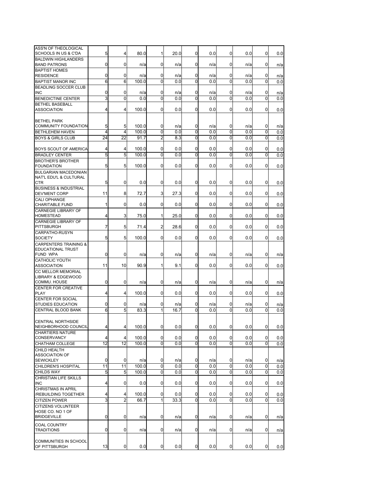| ASS'N OF THEOLOGICAL<br><b>SCHOOLS IN US &amp; C'DA</b>      | 5      | 4              | 80.0       | $\mathbf{1}$   | 20.0       | 0                | 0.0        | 0           | 0.0        | 0              | 0.0        |
|--------------------------------------------------------------|--------|----------------|------------|----------------|------------|------------------|------------|-------------|------------|----------------|------------|
| <b>BALDWIN HIGHLANDERS</b>                                   |        |                |            |                |            |                  |            |             |            |                |            |
| <b>BAND PATRONS</b><br><b>BAPTIST HOMES</b>                  | 0      | $\overline{0}$ | n/a        | $\mathbf 0$    | n/a        | 0                | n/a        | 0           | n/a        | 0              | n/a        |
| <b>RESIDENCE</b>                                             | 0      | 0              | n/a        | 0              | n/a        | $\mathbf 0$      | n/a        | 0           | n/a        | 0              | n/a        |
| <b>BAPTIST MANOR INC</b>                                     | 6      | 6              | 100.0      | 0              | 0.0        | 0                | 0.0        | 0           | 0.0        | 0              | 0.0        |
| <b>BEADLING SOCCER CLUB</b>                                  |        |                |            |                |            |                  |            |             |            |                |            |
| <b>INC</b><br><b>BENEDICTINE CENTER</b>                      | 0<br>3 | 0<br>0         | n/a<br>0.0 | 0<br>0         | n/a<br>0.0 | 0<br>$\mathbf 0$ | n/a<br>0.0 | 0<br>0      | n/a<br>0.0 | 0<br>0         | n/a<br>0.0 |
| <b>BETHEL BASEBALL</b>                                       |        |                |            |                |            |                  |            |             |            |                |            |
| <b>ASSOCIATION</b>                                           | 4      | 4              | 100.0      | 0              | 0.0        | $\overline{0}$   | 0.0        | 0           | 0.0        | 0              | 0.0        |
| <b>BETHEL PARK</b>                                           |        |                |            |                |            |                  |            |             |            |                |            |
| COMMUNITY FOUNDATION                                         | 5      | 5              | 100.0      | 0              | n/a        | 0                | n/a        | 0           | n/a        | 0              | n/a        |
| <b>BETHLEHEM HAVEN</b>                                       | 4      | 4              | 100.0      | 0              | 0.0        | 0                | 0.0        | 0           | 0.0        | 0              | 0.0        |
| <b>BOYS &amp; GIRLS CLUB</b>                                 | 24     | 22             | 91.7       | 2              | 8.3        | 0                | 0.0        | $\Omega$    | 0.0        | 0              | 0.0        |
| BOYS SCOUT OF AMERICA                                        | 4      | 4              | 100.0      | 0              | 0.0        | 0                | 0.0        | 0           | 0.0        | 0              | 0.0        |
| <b>BRADLEY CENTER</b>                                        | 5      | 5              | 100.0      | 0              | 0.0        | 0                | 0.0        | 0           | 0.0        | 0              | 0.0        |
| <b>BROTHER'S BROTHER</b>                                     |        |                |            |                |            |                  |            |             |            |                |            |
| <b>FOUNDATION</b>                                            | 5      | 5              | 100.0      | 0              | 0.0        | $\overline{0}$   | 0.0        | 0           | 0.0        | 0              | 0.0        |
| <b>BULGARIAN MACEDONIAN</b><br>NAT'L EDU'L & CULTURAL        |        |                |            |                |            |                  |            |             |            |                |            |
| <b>CTR</b>                                                   | 5      | 0              | 0.0        | 0              | 0.0        | $\mathbf 0$      | 0.0        | 0           | 0.0        | 0              | 0.0        |
| <b>BUSINESS &amp; INDUSTRIAL</b>                             |        |                |            |                |            |                  |            |             |            |                |            |
| <b>DEV'MENT CORP</b>                                         | 11     | 8              | 72.7       | 3              | 27.3       | 0                | 0.0        | 0           | 0.0        | 0              | 0.0        |
| <b>CALI OPHANGE</b><br><b>CHARITABLE FUND</b>                | 1      | $\overline{0}$ | 0.0        | 0              | 0.0        | $\mathbf 0$      | 0.0        | 0           | 0.0        | 0              | 0.0        |
| <b>CARNEGIE LIBRARY OF</b>                                   |        |                |            |                |            |                  |            |             |            |                |            |
| <b>HOMESTEAD</b>                                             | 4      | 3              | 75.0       | 1              | 25.0       | $\mathbf 0$      | 0.0        | 0           | 0.0        | 0              | 0.0        |
| <b>CARNEGIE LIBRARY OF</b><br><b>PITTSBURGH</b>              | 7      | 5              | 71.4       | $\overline{a}$ | 28.6       | 0                | 0.0        | 0           | 0.0        | 0              | 0.0        |
| <b>CARPATHO-RUSYN</b>                                        |        |                |            |                |            |                  |            |             |            |                |            |
| <b>SOCIETY</b>                                               | 5      | 5              | 100.0      | 0              | 0.0        | 0                | 0.0        | 0           | 0.0        | 0              | 0.0        |
| <b>CARPENTERS TRAINING &amp;</b><br><b>EDUCATIONAL TRUST</b> |        |                |            |                |            |                  |            |             |            |                |            |
| <b>FUND WPA</b>                                              | 0      | 0              | n/a        | 0              | n/a        | 0                | n/a        | 0           | n/a        | 0              | n/a        |
| <b>CATHOLIC YOUTH</b>                                        |        |                |            |                |            |                  |            |             |            |                |            |
| <b>ASSOCIATION</b>                                           | 11     | 10             | 90.9       | 1              | 9.1        | 0                | 0.0        | 0           | 0.0        | 0              | 0.0        |
| <b>CC MELLOR MEMORIAL</b><br><b>LIBRARY &amp; EDGEWOOD</b>   |        |                |            |                |            |                  |            |             |            |                |            |
| COMMU. HOUSE                                                 | 0      | 0              | n/a        | 0              | n/a        | 0                | n/a        | 0           | n/a        | 0              | n/a        |
| <b>CENTER FOR CREATIVE</b>                                   |        |                |            |                |            |                  |            |             |            |                |            |
| <b>PLAY</b>                                                  | 4      | 4              | 100.0      | 0              | 0.0        | 0                | 0.0        | 0           | 0.0        | 0              | 0.0        |
| <b>CENTER FOR SOCIAL</b><br><b>STUDIES EDUCATION</b>         | 0      | 0              | n/a        | 0              | n/a        | 0                | n/a        | 0           | n/a        | 0              | n/a        |
| CENTRAL BLOOD BANK                                           | 6      | 5              | 83.3       | 1              | 16.7       | 0                | 0.0        | $\Omega$    | 0.0        | 0              | 0.0        |
|                                                              |        |                |            |                |            |                  |            |             |            |                |            |
| <b>CENTRAL NORTHSIDE</b>                                     |        | 4              |            | $\mathbf 0$    | 0.0        | $\overline{0}$   | 0.0        | 0           | 0.0        | $\overline{0}$ |            |
| NEIGHBORHOOD COUNCIL<br><b>CHARTIERS NATURE</b>              |        |                | 100.0      |                |            |                  |            |             |            |                | 0.0        |
| <b>CONSERVANCY</b>                                           | 4      | 4              | 100.0      | 0              | 0.0        | 0                | 0.0        | 0           | 0.0        | $\mathbf{0}$   | 0.0        |
| CHATHAM COLLEGE                                              | 12     | 12             | 100.0      | $\mathbf 0$    | 0.0        | 0                | 0.0        | 0           | 0.0        | 0              | 0.0        |
| CHILD HEALTH                                                 |        |                |            |                |            |                  |            |             |            |                |            |
| <b>ASSOCIATION OF</b><br><b>SEWICKLEY</b>                    | 0      | 0              | n/a        | 0              | n/a        | $\mathbf 0$      | n/a        | 0           | n/a        | 0              | n/a        |
| CHILDREN'S HOSPITAL                                          | 11     | 11             | 100.0      | 0              | 0.0        | 0                | 0.0        | 0           | 0.0        | $\overline{0}$ | 0.0        |
| <b>CHILDS WAY</b>                                            | 5      | 5              | 100.0      | $\mathbf 0$    | 0.0        | $\overline{0}$   | 0.0        | 0           | 0.0        | 0              | 0.0        |
| <b>CHRISTIAN LIFE SKILLS</b>                                 |        |                |            |                |            | $\overline{0}$   |            | 0           |            |                |            |
| <b>INC</b><br><b>CHRISTMAS IN APRIL</b>                      | 4      | $\overline{0}$ | 0.0        | 0              | 0.0        |                  | 0.0        |             | 0.0        | $\mathbf{0}$   | 0.0        |
| /REBUILDING TOGETHER                                         | 4      | 4              | 100.0      | 0              | 0.0        | 0                | 0.0        | 0           | 0.0        | 0              | 0.0        |
| <b>CITIZEN POWER</b>                                         | 3      | 2              | 66.7       | 1              | 33.3       | $\overline{0}$   | 0.0        | 0           | 0.0        | 0              | 0.0        |
| <b>CITIZENS VOLUNTEER</b>                                    |        |                |            |                |            |                  |            |             |            |                |            |
| HOSE CO. NO 1 OF<br><b>BRIDGEVILLE</b>                       | 0      | $\mathbf 0$    | n/a        | 0              | n/a        | $\overline{0}$   | n/a        | $\mathbf 0$ | n/a        | 0              | n/a        |
|                                                              |        |                |            |                |            |                  |            |             |            |                |            |
| <b>COAL COUNTRY</b><br><b>TRADITIONS</b>                     | 0      | $\overline{0}$ | n/a        | 0              | n/a        | 0                | n/a        | 0           | n/a        | 0              | n/a        |
|                                                              |        |                |            |                |            |                  |            |             |            |                |            |
| COMMUNITIES IN SCHOOL                                        |        |                |            |                |            |                  |            |             |            |                |            |
| OF PITTSBURGH                                                | 13     | 0              | 0.0        | 0              | 0.0        | 0                | 0.0        | 0           | 0.0        | 0              | 0.0        |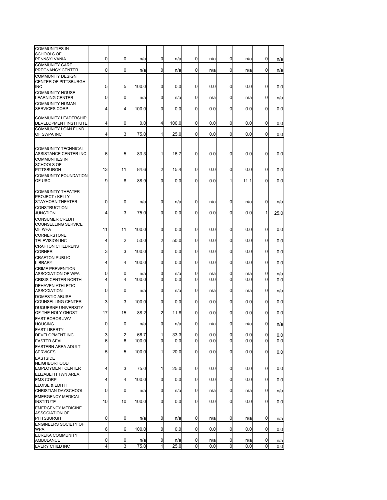| <b>COMMUNITIES IN</b><br>SCHOOLS OF                  |    |                |       |                |       |                |     |                |      |             |      |
|------------------------------------------------------|----|----------------|-------|----------------|-------|----------------|-----|----------------|------|-------------|------|
| PENNSYLVANIA                                         | 0  | 0              | n/a   | 0              | n/a   | 0              | n/a | 0              | n/a  | 0           | n/a  |
| <b>COMMUNITY CARE</b><br>PREGNANCY CENTER            | 0  | 0              | n/a   | 0              | n/a   | $\mathbf 0$    | n/a | 0              | n/a  | 0           | n/a  |
| <b>COMMUNITY DESIGN</b>                              |    |                |       |                |       |                |     |                |      |             |      |
| <b>CENTER OF PITTSBURGH</b><br><b>INC</b>            | 5  | 5              | 100.0 | 0              | 0.0   | $\overline{0}$ | 0.0 | 0              | 0.0  | 0           | 0.0  |
| <b>COMMUNITY HOUSE</b>                               |    |                |       |                |       |                |     |                |      |             |      |
| <b>LEARNING CENTER</b>                               | 0  | 0              | n/a   | 0              | n/a   | 0              | n/a | 0              | n/a  | 0           | n/a  |
| <b>COMMUNITY HUMAN</b>                               |    |                |       |                |       |                |     |                |      |             |      |
| <b>SERVICES CORP</b>                                 | 4  | 4              | 100.0 | 0              | 0.0   | 0              | 0.0 | $\overline{0}$ | 0.0  | 0           | 0.0  |
| <b>COMMUNITY LEADERSHIP</b><br>DEVELOPMENT INSTITUTE | 4  | 0              | 0.0   | $\overline{4}$ | 100.0 | 0              | 0.0 | 0              | 0.0  | 0           | 0.0  |
| <b>COMMUNITY LOAN FUND</b>                           |    |                |       |                |       |                |     |                |      |             |      |
| OF SWPA INC                                          | 4  | 3              | 75.0  | $\mathbf{1}$   | 25.0  | $\Omega$       | 0.0 | $\mathbf 0$    | 0.0  | $\Omega$    | 0.0  |
|                                                      |    |                |       |                |       |                |     |                |      |             |      |
| <b>COMMUNITY TECHNICAL</b>                           |    |                |       |                |       |                |     |                |      |             |      |
| ASSISTANCE CENTER INC                                | 6  | 5              | 83.3  | 1              | 16.7  | $\overline{0}$ | 0.0 | $\overline{0}$ | 0.0  | 0           | 0.0  |
| <b>COMMUNTIES IN</b>                                 |    |                |       |                |       |                |     |                |      |             |      |
| <b>SCHOOLS OF</b>                                    |    |                |       |                |       |                |     |                |      |             |      |
| <b>PITTSBURGH</b>                                    | 13 | 11             | 84.6  | 2              | 15.4  | 0              | 0.0 | 0              | 0.0  | 0           | 0.0  |
| <b>COMMUNTIY FOUNDATION</b>                          |    |                |       |                |       |                |     |                |      |             |      |
| OF USC                                               | 9  | 8              | 88.9  | $\mathbf 0$    | 0.0   | $\overline{0}$ | 0.0 | 1              | 11.1 | $\Omega$    | 0.0  |
|                                                      |    |                |       |                |       |                |     |                |      |             |      |
| <b>COMMUNTIY THEATER</b><br><b>PROJECT / KELLY</b>   |    |                |       |                |       |                |     |                |      |             |      |
| <b>STAYHORN THEATER</b>                              | 0  | 0              | n/a   | $\mathbf 0$    | n/a   | 0              | n/a | 0              | n/a  | 0           | n/a  |
| <b>CONSTRUCTION</b>                                  |    |                |       |                |       |                |     |                |      |             |      |
| <b>JUNCTION</b>                                      | 4  | 3              | 75.0  | 0              | 0.0   | 0              | 0.0 | $\overline{0}$ | 0.0  | 1           | 25.0 |
| <b>CONSUMER CREDIT</b>                               |    |                |       |                |       |                |     |                |      |             |      |
| <b>COUNSELLING SERVICE</b>                           |    |                |       |                |       |                |     |                |      |             |      |
| OF WPA                                               | 11 | 11             | 100.0 | $\overline{0}$ | 0.0   | 0              | 0.0 | 0              | 0.0  | 0           | 0.0  |
| <b>CORNERSTONE</b>                                   |    |                |       |                |       |                |     |                |      |             |      |
| <b>TELEVISION INC</b>                                | 4  | 2              | 50.0  | $\overline{a}$ | 50.0  | 0              | 0.0 | $\overline{0}$ | 0.0  | $\Omega$    | 0.0  |
| <b>CRAFTON CHILDRENS</b>                             |    |                |       |                |       |                |     |                |      |             |      |
| <b>CORNER</b>                                        | 3  | 3              | 100.0 | $\overline{0}$ | 0.0   | 0              | 0.0 | 0              | 0.0  | 0           | 0.0  |
| <b>CRAFTON PUBLIC</b>                                |    |                |       |                |       |                |     |                |      |             |      |
| <b>LIBRARY</b>                                       | 4  | 4              | 100.0 | 0              | 0.0   | 0              | 0.0 | $\overline{0}$ | 0.0  | 0           | 0.0  |
| <b>CRIME PREVENTION</b>                              |    |                |       |                |       |                |     |                |      |             |      |
| ASSOCIATION OF WPA                                   | 0  | 0              | n/a   | 0              | n/a   | 0              | n/a | 0              | n/a  | 0           | n/a  |
| <b>CRISIS CENTER NORTH</b>                           | 4  | 4              | 100.0 | 0              | 0.0   | 0              | 0.0 | 0              | 0.0  | 0           | 0.0  |
| <b>DEHAVEN ATHLETIC</b>                              |    |                |       |                |       |                |     |                |      |             |      |
| <b>ASSOCIATION</b>                                   | 0  | 0              | n/a   | 0              | n/a   | 0              | n/a | 0              | n/a  | 0           | n/a  |
| <b>DOMESTIC ABUSE</b>                                |    |                |       |                |       |                |     |                |      |             |      |
| <b>COUNSELLING CENTER</b>                            | 3  | 3              | 100.0 | 0              | 0.0   | 0              | 0.0 | 0              | 0.0  | 0           | 0.0  |
| <b>DUQUESNE UNIVERSITY</b>                           |    |                |       |                |       |                |     |                |      |             |      |
| OF THE HOLY GHOST                                    | 17 | 15             | 88.2  | 2              | 11.8  | 0              | 0.0 | 0              | 0.0  | 0           | 0.0  |
| <b>EAST BOROS JWV</b>                                |    |                |       |                |       |                |     |                |      |             |      |
| <b>HOUSING</b>                                       | 0  | 0              | n/a   | 0              | n/a   | $\mathbf 0$    | n/a | 0              | n/a  | 0           | n/a  |
| <b>EAST LIBERTY</b>                                  |    |                |       |                |       |                |     |                |      |             |      |
| DEVELOPMENT INC                                      | 3  | $\overline{a}$ | 66.7  | $\mathbf{1}$   | 33.3  | 0              | 0.0 | 0              | 0.0  | 0           | 0.0  |
| <b>EASTER SEAL</b>                                   | 6  | 6              | 100.0 | 0              | 0.0   | $\mathbf 0$    | 0.0 | 0              | 0.0  | $\mathbf 0$ | 0.0  |
| <b>EASTERN AREA ADULT</b>                            |    |                |       |                |       |                |     |                |      |             |      |
| <b>SERVICES</b>                                      | 5  | 5              | 100.0 | $\mathbf{1}$   | 20.0  | $\overline{0}$ | 0.0 | 0              | 0.0  | 0           | 0.0  |
| <b>EASTSIDE</b>                                      |    |                |       |                |       |                |     |                |      |             |      |
| <b>NEIGHBORHOOD</b>                                  |    |                |       |                |       |                |     |                |      |             |      |
| <b>EMPLOYMENT CENTER</b>                             | 4  | 3              | 75.0  | 1              | 25.0  | $\mathbf 0$    | 0.0 | $\overline{0}$ | 0.0  | $\mathbf 0$ | 0.0  |
| ELIZABETH TWN AREA                                   |    | 4              |       | $\overline{0}$ |       | $\mathbf 0$    |     | $\mathbf 0$    |      | 0           |      |
| <b>EMS CORP</b>                                      | 4  |                | 100.0 |                | 0.0   |                | 0.0 |                | 0.0  |             | 0.0  |
| ELOISE & EDITH<br>CHRISTIAN DAYSCHOOL                | 0  | 0              | n/a   | 0              | n/a   | 0              | n/a | 0              | n/a  | 0           |      |
| <b>EMERGENCY MEDICAL</b>                             |    |                |       |                |       |                |     |                |      |             | n/a  |
| <b>INSTITUTE</b>                                     | 10 | 10             | 100.0 | 0              | 0.0   | $\overline{0}$ | 0.0 | $\overline{0}$ | 0.0  | 0           | 0.0  |
| <b>EMERGENCY MEDICINE</b>                            |    |                |       |                |       |                |     |                |      |             |      |
| <b>ASSOCIATION OF</b>                                |    |                |       |                |       |                |     |                |      |             |      |
| <b>PITTSBURGH</b>                                    | 0  | 0              | n/a   | 0              | n/a   | 0              | n/a | 0              | n/a  | 0           | n/a  |
| <b>ENGINEERS SOCIETY OF</b>                          |    |                |       |                |       |                |     |                |      |             |      |
| <b>WPA</b>                                           | 6  | 6              | 100.0 | $\overline{0}$ | 0.0   | 0              | 0.0 | $\overline{0}$ | 0.0  | 0           | 0.0  |
| EUREKA COMMUNITY                                     |    |                |       |                |       |                |     |                |      |             |      |
| <b>AMBULANCE</b>                                     | 0  | 0              | n/a   | 0              | n/a   | 0              | n/a | $\mathbf 0$    | n/a  | 0           | n/a  |
| EVERY CHILD INC                                      | 4  | 3              | 75.0  | $\mathbf{1}$   | 25.0  | 0              | 0.0 | 0              | 0.0  | 0           | 0.0  |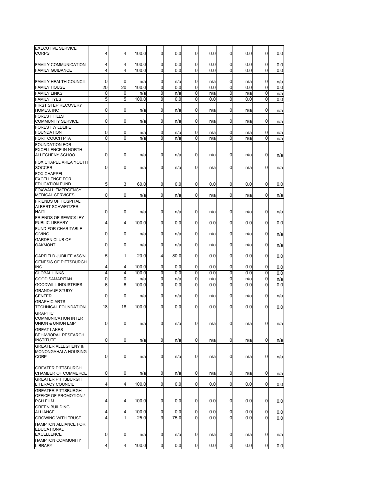| <b>EXECUTIVE SERVICE</b><br><b>CORPS</b>           | 4           | 4              | 100.0        | 0      | 0.0        | 0      | 0.0        | 0                | 0.0        | 0      | 0.0        |
|----------------------------------------------------|-------------|----------------|--------------|--------|------------|--------|------------|------------------|------------|--------|------------|
|                                                    |             |                |              |        |            |        |            |                  |            |        |            |
| <b>FAMILY COMMUNICATION</b>                        | 4           | 4              | 100.0        | 0      | 0.0        | 0      | 0.0        | 0                | 0.0        | 0      | 0.0        |
| <b>FAMILY GUIDANCE</b>                             | 4           | $\overline{4}$ | 100.0        | 0      | 0.0        | 0      | 0.0        | 0                | 0.0        | 0      | 0.0        |
|                                                    |             |                |              |        |            |        |            |                  |            |        |            |
| <b>FAMILY HEALTH COUNCIL</b>                       | 0           | 0              | n/a          | 0      | n/a        | 0      | n/a        | 0                | n/a        | 0      | n/a        |
| <b>FAMILY HOUSE</b>                                | 20          | 20             | 100.0        | 0      | 0.0        | 0      | 0.0        | 0                | 0.0        | 0      | 0.0        |
| <b>FAMILY LINKS</b><br><b>FAMILY TYES</b>          | 0<br>5      | 0<br>5         | n/a<br>100.0 | 0<br>0 | n/a<br>0.0 | 0<br>0 | n/a<br>0.0 | $\mathbf 0$<br>0 | n/a<br>0.0 | 0<br>0 | n/a        |
| FIRST STEP RECOVERY                                |             |                |              |        |            |        |            |                  |            |        | 0.0        |
| HOMES, INC                                         | 0           | 0              | n/a          | 0      | n/a        | 0      | n/a        | 0                | n/a        | 0      | n/a        |
| <b>FOREST HILLS</b><br><b>COMMUNITY SERVICE</b>    | 0           | 0              | n/a          | 0      | n/a        | 0      | n/a        | 0                | n/a        | 0      | n/a        |
| <b>FOREST WILDLIFE</b><br><b>FOUNDATION</b>        | 0           | 0              |              | 0      |            |        |            | 0                |            | 0      |            |
| FORT COUCH PTA                                     | 0           | $\overline{0}$ | n/a<br>n/a   | 0      | n/a<br>n/a | 0<br>0 | n/a<br>n/a | $\Omega$         | n/a<br>n/a | 0      | n/a<br>n/a |
| <b>FOUNDATION FOR</b>                              |             |                |              |        |            |        |            |                  |            |        |            |
| <b>EXCELLENCE IN NORTH</b>                         | 0           | 0              |              | 0      |            | 0      |            | 0                |            |        |            |
| <b>ALLEGHENY SCHOO</b>                             |             |                | n/a          |        | n/a        |        | n/a        |                  | n/a        | 0      | n/a        |
| FOX CHAPEL AREA YOUTH<br><b>SOCCER</b>             | 0           | 0              | n/a          | 0      | n/a        | 0      | n/a        | 0                | n/a        | 0      | n/a        |
| <b>FOX CHAPPEL</b>                                 |             |                |              |        |            |        |            |                  |            |        |            |
| <b>EXCELLENCE FOR</b>                              |             |                |              |        |            |        |            |                  |            |        |            |
| <b>EDUCATION FUND</b><br><b>FOXWALL EMERGENCY</b>  | 5           | 3              | 60.0         | 0      | 0.0        | 0      | 0.0        | 0                | 0.0        | 0      | 0.0        |
| <b>MEDICAL SERVICES</b>                            | 0           | 0              | n/a          | 0      | n/a        | 0      | n/a        | 0                | n/a        | 0      | n/a        |
| FRIENDS OF HOSPITAL                                |             |                |              |        |            |        |            |                  |            |        |            |
| <b>ALBERT SCHWEITZER</b>                           |             |                |              |        |            |        |            | 0                |            |        |            |
| <b>HAITI</b><br><b>FRIENDS OF SEWICKLEY</b>        | 0           | 0              | n/a          | 0      | n/a        | 0      | n/a        |                  | n/a        | 0      | n/a        |
| PUBLIC LIBRARY                                     | 4           | 4              | 100.0        | 0      | 0.0        | 0      | 0.0        | $\mathbf 0$      | 0.0        | 0      | 0.0        |
| <b>FUND FOR CHARITABLE</b>                         |             |                |              |        |            |        |            |                  |            |        |            |
| <b>GIVING</b>                                      | 0           | 0              | n/a          | 0      | n/a        | 0      | n/a        | 0                | n/a        | 0      | n/a        |
| <b>GARDEN CLUB OF</b><br><b>OAKMONT</b>            | 0           | 0              | n/a          | 0      | n/a        | 0      | n/a        | 0                | n/a        | 0      | n/a        |
| <b>GARFIELD JUBILEE ASS'N</b>                      | 5           | 1              | 20.0         | 4      | 80.0       | 0      | 0.0        | 0                | 0.0        | 0      | 0.0        |
| <b>GENESIS OF PITTSBURGH</b>                       |             |                |              |        |            |        |            |                  |            |        |            |
| <b>INC</b>                                         | 4           | 4              | 100.0        | 0      | 0.0        | 0      | 0.0        | 0                | 0.0        | 0      | 0.0        |
| <b>GLOBAL LINKS</b>                                | 4           | 4              | 100.0        | 0      | 0.0        | 0      | 0.0        | 0                | 0.0        | 0      | 0.0        |
| <b>GOOD SAMARITAN</b>                              | 0           | 0              | n/a          | 0      | n/a        | 0      | n/a        | $\mathbf 0$      | n/a        | 0      | n/a        |
| <b>GOODWILL INDUSTRIES</b>                         | 6           | 6              | 100.0        | 0      | 0.0        | 0      | 0.0        | 0                | 0.0        | 0      | 0.0        |
| <b>GRANDVUE STUDY</b><br><b>CENTER</b>             | 0           | 0              | n/a          | 0      | n/a        | 0      | n/a        | 0                | n/a        | 0      | n/a        |
| <b>GRAPHIC ARTS</b>                                |             |                |              |        |            |        |            |                  |            |        |            |
| TECHNICAL FOUNDATION                               | 18          | 18             | 100.0        | 0      | 0.0        | 0      | 0.0        | 0                | 0.0        | 0      | 0.0        |
| <b>GRAPHIC</b><br><b>COMMUNICATION INTER</b>       |             |                |              |        |            |        |            |                  |            |        |            |
| UNION & UNION EMP                                  | 0           | 0              | n/a          | 0      | n/a        | 0      | n/a        | 0                | n/a        | 0      | n/a        |
| <b>GREAT LAKES</b>                                 |             |                |              |        |            |        |            |                  |            |        |            |
| <b>BEHAVIORAL RESEARCH</b>                         |             |                |              |        |            |        |            |                  |            |        |            |
| <b>INSTITUTE</b>                                   | $\mathbf 0$ | 0              | n/a          | 0      | n/a        | 0      | n/a        | $\mathbf 0$      | n/a        | 0      | n/a        |
| <b>GREATER ALLEGHENY &amp;</b>                     |             |                |              |        |            |        |            |                  |            |        |            |
| MONONGAHALA HOUSING<br><b>CORP</b>                 | 0           | 0              | n/a          | 0      | n/a        | 0      | n/a        | 0                | n/a        | 0      | n/a        |
|                                                    |             |                |              |        |            |        |            |                  |            |        |            |
| <b>GREATER PITTSBURGH</b>                          |             |                |              |        |            |        |            |                  |            |        |            |
| CHAMBER OF COMMERCE                                | 0           | 0              | n/a          | 0      | n/a        | 0      | n/a        | 0                | n/a        | 0      | n/a        |
| <b>GREATER PITTSBURGH</b>                          |             |                |              |        |            |        |            |                  |            |        |            |
| <b>LITERACY COUNCIL</b>                            | 4           | 4              | 100.0        | 0      | 0.0        | 0      | 0.0        | 0                | 0.0        | 0      | 0.0        |
| <b>GREATER PITTSBURGH</b><br>OFFICE OF PROMOTION / |             |                |              |        |            |        |            |                  |            |        |            |
| <b>PGH FILM</b>                                    | 4           | 4              | 100.0        | 0      | 0.0        | 0      | 0.0        | $\mathbf 0$      | 0.0        | 0      | 0.0        |
| <b>GREEN BUILDING</b>                              |             |                |              |        |            |        |            |                  |            |        |            |
| <b>ALLIANCE</b>                                    | 4           | 4              | 100.0        | 0      | 0.0        | 0      | 0.0        | 0                | 0.0        | 0      | 0.0        |
| <b>GROWING WITH TRUST</b>                          | 4           | $\mathbf{1}$   | 25.0         | 3      | 75.0       | 0      | 0.0        | $\overline{0}$   | 0.0        | 0      | 0.0        |
| HAMPTON ALLIANCE FOR<br><b>EDUCATIONAL</b>         |             |                |              |        |            |        |            |                  |            |        |            |
| <b>EXCELLENCE</b>                                  | 0           | 0              | n/a          | 0      | n/a        | 0      | n/a        | 0                | n/a        | 0      | n/a        |
| <b>HAMPTON COMMUNITY</b>                           |             |                |              |        |            |        |            |                  |            |        |            |
| <b>LIBRARY</b>                                     | 4           | 4              | 100.0        | 0      | 0.0        | 0      | 0.0        | $\mathbf 0$      | 0.0        | 0      | 0.0        |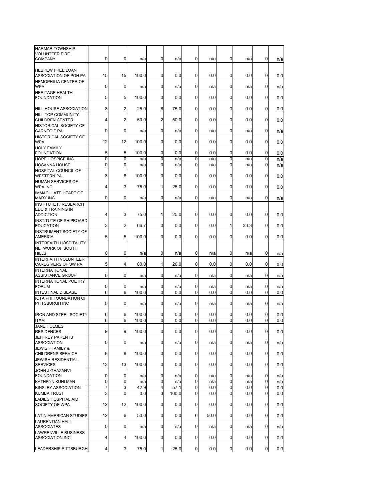| <b>HARMAR TOWNSHIP</b><br><b>VOLUNTEER FIRE</b>    | 0  | 0              |       | 0              |       | 0           |      | 0           |      | $\mathbf{0}$ |     |
|----------------------------------------------------|----|----------------|-------|----------------|-------|-------------|------|-------------|------|--------------|-----|
| <b>COMPANY</b>                                     |    |                | n/a   |                | n/a   |             | n/a  |             | n/a  |              | n/a |
| <b>HEBREW FREE LOAN</b><br>ASSOCIATION OF PGH PA   | 15 | 15             | 100.0 | 0              | 0.0   | 0           | 0.0  | 0           | 0.0  | 0            | 0.0 |
| <b>HEMOPHILIA CENTER OF</b><br><b>WPA</b>          | 0  | 0              | n/a   | 0              | n/a   | 0           | n/a  | 0           | n/a  | 0            | n/a |
| <b>HERITAGE HEALTH</b><br><b>FOUNDATION</b>        | 5  | 5              | 100.0 | 0              | 0.0   | 0           | 0.0  | 0           | 0.0  | 0            | 0.0 |
| <b>HILL HOUSE ASSOCIATION</b>                      | 8  | 2              | 25.0  | 6              | 75.0  | 0           | 0.0  | 0           | 0.0  | $\mathbf{0}$ | 0.0 |
| HILL TOP COMMUNITY<br><b>CHILDREN CENTER</b>       | 4  | 2              | 50.0  | 2              | 50.0  | 0           | 0.0  | 0           | 0.0  | 0            |     |
| HISTORICAL SOCIETY OF                              |    |                |       |                |       |             |      |             |      |              | 0.0 |
| <b>CARNEGIE PA</b><br><b>HISTORICAL SOCIETY OF</b> | 0  | 0              | n/a   | 0              | n/a   | 0           | n/a  | 0           | n/a  | $\mathbf{0}$ | n/a |
| <b>WPA</b><br><b>HOLY FAMILY</b>                   | 12 | 12             | 100.0 | 0              | 0.0   | 0           | 0.0  | 0           | 0.0  | $\Omega$     | 0.0 |
| <b>FOUNDATION</b>                                  | 5  | 5              | 100.0 | 0              | 0.0   | 0           | 0.0  | 0           | 0.0  | 0            | 0.0 |
| HOPE HOSPICE INC                                   | 0  | 0              | n/a   | 0              | n/a   | 0           | n/a  | $\Omega$    | n/a  | 0            | n/a |
| <b>HOSANNA HOUSE</b>                               | 0  | 0              | n/a   | 0              | n/a   | 0           | n/a  | 0           | n/a  | 0            | n/a |
| HOSPITAL COUNCIL OF<br><b>WESTERN PA</b>           | 8  | 8              | 100.0 | 0              | 0.0   | 0           | 0.0  | 0           | 0.0  | 0            | 0.0 |
| <b>HUMAN SERVICES OF</b>                           |    |                |       |                |       |             |      |             |      |              |     |
| <b>WPA INC</b><br><b>IMMACULATE HEART OF</b>       | 4  | 3              | 75.0  | 1              | 25.0  | 0           | 0.0  | 0           | 0.0  | 0            | 0.0 |
| <b>MARY INC</b>                                    | 0  | 0              | n/a   | $\mathbf{0}$   | n/a   | 0           | n/a  | 0           | n/a  | $\mathbf{0}$ | n/a |
| <b>INSTITUTE F/ RESEARCH</b>                       |    |                |       |                |       |             |      |             |      |              |     |
| EDU & TRAINING IN<br><b>ADDICTION</b>              | 4  | 3              | 75.0  | 1              | 25.0  | 0           | 0.0  | 0           | 0.0  | $\mathbf{0}$ | 0.0 |
| INSTITUTE OF SHIPBOARD<br><b>EDUCATION</b>         | 3  | 2              | 66.7  | 0              | 0.0   | 0           | 0.0  | 1           | 33.3 | 0            | 0.0 |
| <b>INSTRUMENT SOCIETY OF</b><br><b>AMERICA</b>     | 5  | 5              | 100.0 | $\overline{0}$ | 0.0   | 0           | 0.0  | 0           | 0.0  | 0            | 0.0 |
| <b>INTERFAITH HOSPITALITY</b>                      |    |                |       |                |       |             |      |             |      |              |     |
| NETWORK OF SOUTH<br><b>HILLS</b>                   | 0  | 0              | n/a   | 0              | n/a   | 0           | n/a  | 0           | n/a  | 0            | n/a |
| <b>INTERFAITH VOLUNTEER</b><br>CAREGIVERS OF SW PA | 5  | 4              | 80.0  | 1              | 20.0  | 0           | 0.0  | $\Omega$    | 0.0  | 0            | 0.0 |
| <b>INTERNATIONAL</b><br>ASSISTANCE GROUP           | 0  | 0              | n/a   | 0              | n/a   | 0           | n/a  | 0           | n/a  | 0            | n/a |
| <b>INTERNATIONAL POETRY</b>                        |    |                |       |                |       |             |      |             |      |              |     |
| <b>FORUM</b>                                       | 0  | 0              | n/a   | 0              | n/a   | 0           | n/a  | 0           | n/a  | 0            | n/a |
| <b>INTESTINAL DISEASE</b>                          | 6  | 6              | 100.0 | $\mathbf 0$    | 0.0   | $\mathbf 0$ | 0.0  | $\Omega$    | 0.0  | $\mathbf 0$  | 0.0 |
| IOTA PHI FOUNDATION OF<br>PITTSBURGH INC           | 0  | 0              | n/a   | 0              | n/a   | 0           | n/a  | 0           | n/a  | 0            | n/a |
| <b>IRON AND STEEL SOCIETY</b>                      | 6  | 6              | 100.0 | 0              | 0.0   | 0           | 0.0  | 0           | 0.0  | 0            | 0.0 |
| <b>ITXM</b>                                        | 6  | 6              | 100.0 | 0              | 0.0   | 0           | 0.0  | $\Omega$    | 0.0  | 0            | 0.0 |
| <b>JANE HOLMES</b><br><b>RESIDENCES</b>            | 9  | 9              | 100.0 | $\overline{0}$ | 0.0   | $\mathbf 0$ | 0.0  | $\mathbf 0$ | 0.0  | 0            | 0.0 |
| <b>JEFFREY PARENTS</b>                             | 0  | 0              |       | $\overline{0}$ |       |             |      | $\mathbf 0$ |      |              |     |
| <b>ASSOCIATION</b><br><b>JEWISH FAMILY &amp;</b>   |    |                | n/a   |                | n/a   | 0           | n/a  |             | n/a  | 0            | n/a |
| CHILDRENS SERVICE                                  | 8  | 8              | 100.0 | $\overline{0}$ | 0.0   | 0           | 0.0  | $\mathbf 0$ | 0.0  | 0            | 0.0 |
| <b>JEWISH RESIDENTIAL</b><br><b>SERVICES</b>       | 13 | 13             | 100.0 | 0              | 0.0   | 0           | 0.0  | $\mathbf 0$ | 0.0  | $\mathbf{0}$ | 0.0 |
| JOHN J GHAZANVI<br><b>FOUNDATION</b>               | 0  | $\overline{0}$ | n/a   | 0              | n/a   | 0           | n/a  | $\mathbf 0$ | n/a  | 0            | n/a |
| KATHRYN KUHLMAN                                    | 0  | 0              | n/a   | 0              | n/a   | 0           | n/a  | 0           | n/a  | 0            | n/a |
| KINSLEY ASSOCIATION                                | 7  | 3              | 42.9  | 4              | 57.1  | 0           | 0.0  | 0           | 0.0  | 0            | 0.0 |
| <b>KUMBA TRUST</b>                                 | 3  | 0              | 0.0   | 3              | 100.0 | 0           | 0.0  | 0           | 0.0  | 0            | 0.0 |
| <b>LADIES HOSPITAL AID</b><br>SOCIETY OF WPA       | 12 | 12             | 100.0 | 0              | 0.0   | 0           | 0.0  | 0           | 0.0  | 0            | 0.0 |
|                                                    |    |                |       |                |       |             |      |             |      |              |     |
| LATIN AMERICAN STUDIES<br>LAURENTIAN HALL          | 12 | 6              | 50.0  | $\overline{0}$ | 0.0   | 6           | 50.0 | $\mathbf 0$ | 0.0  | 0            | 0.0 |
| <b>ASSOCIATES</b><br><b>LAWRENVILLE BUSINESS</b>   | 0  | $\overline{0}$ | n/a   | 0              | n/a   | 0           | n/a  | $\mathbf 0$ | n/a  | 0            | n/a |
| <b>ASSOCIATION INC</b>                             | 4  | 4              | 100.0 | 0              | 0.0   | 0           | 0.0  | $\mathbf 0$ | 0.0  | 0            | 0.0 |
| LEADERSHIP PITTSBURGH                              | 4  | $\overline{3}$ | 75.0  | 1              | 25.0  | $\mathbf 0$ | 0.0  | $\mathbf 0$ | 0.0  | 0            | 0.0 |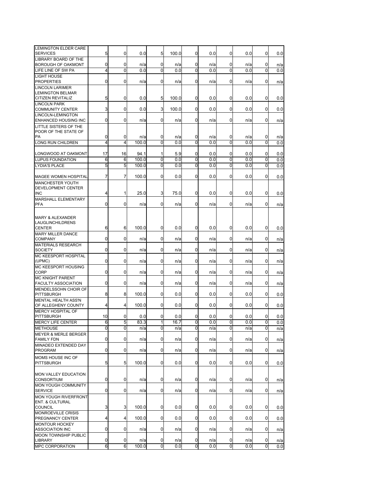| LEMINGTON ELDER CARE<br><b>SERVICES</b>         | 5            | 0              | 0.0         | 5              | 100.0       | 0            | 0.0        | 0              | 0.0        | 0            | 0.0        |
|-------------------------------------------------|--------------|----------------|-------------|----------------|-------------|--------------|------------|----------------|------------|--------------|------------|
| <b>LIBRARY BOARD OF THE</b>                     |              |                |             |                |             |              |            |                |            |              |            |
| <b>BOROUGH OF OAKMONT</b>                       | 0            | 0              | n/a         | 0              | n/a         | 0            | n/a        | 0              | n/a        | 0            | n/a        |
| LIFE LINE OF SW PA<br><b>LIGHT HOUSE</b>        | 4            | 0              | 0.0         | 0              | 0.0         | 0            | 0.0        | 0              | 0.0        | 0            | 0.0        |
| <b>PROPERTIES</b>                               | 0            | 0              | n/a         | 0              | n/a         | 0            | n/a        | 0              | n/a        | 0            | n/a        |
| <b>LINCOLN LARIMER</b>                          |              |                |             |                |             |              |            |                |            |              |            |
| <b>LEMINGTON BELMAR</b>                         | 5            | 0              | 0.0         | 5              | 100.0       | 0            | 0.0        | 0              | 0.0        | 0            |            |
| <b>CITIZEN REVITALIZ</b><br><b>LINCOLN PARK</b> |              |                |             |                |             |              |            |                |            |              | 0.0        |
| <b>COMMUNITY CENTER</b>                         | 3            | 0              | 0.0         | 3              | 100.0       | 0            | 0.0        | 0              | 0.0        | 0            | 0.0        |
| LINCOLN-LEMINGTON                               |              |                |             |                |             |              |            |                |            |              |            |
| ENHANCED HOUSING INC<br>LITTLE SISTERS OF THE   | 0            | 0              | n/a         | $\overline{0}$ | n/a         | 0            | n/a        | 0              | n/a        | 0            | n/a        |
| POOR OF THE STATE OF                            |              |                |             |                |             |              |            |                |            |              |            |
| PA                                              | 0            | 0              | n/a         | 0              | n/a         | 0            | n/a        | 0              | n/a        | $\mathbf{0}$ | n/a        |
| <b>LONG RUN CHILDREN</b>                        | 4            | 4              | 100.0       | $\mathbf 0$    | 0.0         | 0            | 0.0        | $\mathbf 0$    | 0.0        | $\mathbf 0$  | 0.0        |
| LONGWOOD AT OAKMONT                             | 17           | 16             | 94.1        | 1              | 5.9         | 0            | 0.0        | 0              | 0.0        | 0            | 0.0        |
| <b>LUPUS FOUNDATION</b>                         | 6            | 6              | 100.0       | 0              | 0.0         | 0            | 0.0        | 0              | 0.0        | 0            | 0.0        |
| <b>LYDIA'S PLACE</b>                            | 5            | 5              | 100.0       | $\mathbf 0$    | 0.0         | 0            | 0.0        | 0              | 0.0        | 0            | 0.0        |
| MAGEE WOMEN HOSPITAL                            | 7            | 7              | 100.0       | 0              | 0.0         | 0            | 0.0        | 0              | 0.0        | 0            | 0.0        |
| MANCHESTER YOUTH                                |              |                |             |                |             |              |            |                |            |              |            |
| <b>DEVELOPMENT CENTER</b>                       |              |                |             |                |             |              |            |                |            |              |            |
| <b>INC</b><br>MARSHALL ELEMENTARY               | 4            | 1              | 25.0        | 3              | 75.0        | 0            | 0.0        | 0              | 0.0        | 0            | 0.0        |
| PFA                                             | 0            | 0              | n/a         | $\overline{0}$ | n/a         | 0            | n/a        | 0              | n/a        | 0            | n/a        |
|                                                 |              |                |             |                |             |              |            |                |            |              |            |
| <b>MARY &amp; ALEXANDER</b>                     |              |                |             |                |             |              |            |                |            |              |            |
| LAUGLINCHILDRENS<br><b>CENTER</b>               | 6            | 6              | 100.0       | 0              | 0.0         | 0            | 0.0        | 0              | 0.0        | $\mathbf{0}$ | 0.0        |
| <b>MARY MILLER DANCE</b>                        |              |                |             |                |             |              |            |                |            |              |            |
| <b>COMPANY</b>                                  | 0            | 0              | n/a         | 0              | n/a         | 0            | n/a        | 0              | n/a        | 0            | n/a        |
| <b>MATERIALS RESEARCH</b>                       | 0            | 0              |             | $\overline{0}$ |             | 0            |            | 0              |            | 0            |            |
| <b>SOCIETY</b><br>MC KEESPORT HOSPITAL          |              |                | n/a         |                | n/a         |              | n/a        |                | n/a        |              | n/a        |
| (UPMC)                                          | 0            | 0              | n/a         | 0              | n/a         | 0            | n/a        | 0              | n/a        | 0            | n/a        |
| MC KEESPORT HOUSING                             |              |                |             |                |             |              |            |                |            |              |            |
| <b>CORP</b><br><b>MC KNIGHT PARENT</b>          | 0            | 0              | n/a         | 0              | n/a         | 0            | n/a        | 0              | n/a        | 0            | n/a        |
| <b>FACULTY ASSOCIATION</b>                      | 0            | 0              | n/a         | 0              | n/a         | 0            | n/a        | 0              | n/a        | 0            | n/a        |
| MENDELSSOHN CHOIR OF                            |              |                |             |                |             |              |            |                |            |              |            |
| <b>PITTSBURGH</b><br><b>MENTAL HEALTH ASS'N</b> | 8            | 8              | 100.0       | 0              | 0.0         | 0            | 0.0        | $\mathbf 0$    | 0.0        | 0            | 0.0        |
| OF ALLEGHENY COUNTY                             | 4            | 4              | 100.0       | 0              | 0.0         | 0            | 0.0        | 0              | 0.0        | 0            | 0.0        |
| <b>MERCY HOSPITAL OF</b>                        |              |                |             |                |             |              |            |                |            |              |            |
| <b>PITTSBURGH</b><br><b>MERCY LIFE CENTER</b>   | 10<br>6      | 0<br>5         | 0.0<br>83.3 | 0<br>1         | 0.0<br>16.7 | 0<br>0       | 0.0<br>0.0 | 0<br>$\Omega$  | 0.0<br>0.0 | 0<br>0       | 0.0        |
| <b>METHOUSE</b>                                 | <sub>0</sub> | <sub>0</sub>   | n/a         | <sub>0</sub>   | n/a         | <sub>0</sub> | n/a        | $\mathbf{0}$   | n/a        | <sub>0</sub> | 0.0<br>n/a |
| <b>MEYER &amp; MERLE BERGER</b>                 |              |                |             |                |             |              |            |                |            |              |            |
| <b>FAMILY FDN</b>                               | 0            | 0              | n/a         | 0              | n/a         | 0            | n/a        | 0              | n/a        | 0            | n/a        |
| MINADEO EXTENDED DAY<br><b>PROGRAM</b>          | 0            | 0              | n/a         | 0              | n/a         | 0            | n/a        | 0              | n/a        | 0            | n/a        |
| MOMS HOUSE INC OF                               |              |                |             |                |             |              |            |                |            |              |            |
| <b>PITTSBURGH</b>                               | 5            | 5              | 100.0       | 0              | 0.0         | 0            | 0.0        | 0              | 0.0        | 0            | 0.0        |
|                                                 |              |                |             |                |             |              |            |                |            |              |            |
| MON VALLEY EDUCATION<br><b>CONSORTIUM</b>       | 0            | $\overline{0}$ | n/a         | 0              | n/a         | 0            | n/a        | 0              | n/a        | 0            | n/a        |
| MON YOUGH COMMUNITY                             |              |                |             |                |             |              |            |                |            |              |            |
| <b>SERVICE</b>                                  | 0            | 0              | n/a         | 0              | n/a         | 0            | n/a        | $\overline{0}$ | n/a        | 0            | n/a        |
| <b>MON YOUGH RIVERFRONT</b>                     |              |                |             |                |             |              |            |                |            |              |            |
| <b>ENT. &amp; CULTURAL</b><br><b>COUNCIL</b>    | 3            | 3              | 100.0       | 0              | 0.0         | 0            | 0.0        | $\mathbf 0$    | 0.0        | 0            | 0.0        |
| <b>MONROEVILLE CRISIS</b>                       |              |                |             |                |             |              |            |                |            |              |            |
| PREGNANCY CENTER                                | 4            | $\overline{4}$ | 100.0       | 0              | 0.0         | 0            | 0.0        | 0              | 0.0        | 0            | 0.0        |
| <b>MONTOUR HOCKEY</b><br><b>ASSOCIATION INC</b> | 0            | 0              | n/a         | 0              | n/a         | 0            | n/a        | 0              | n/a        | 0            | n/a        |
| MOON TOWNSHIP PUBLIC                            |              |                |             |                |             |              |            |                |            |              |            |
| <b>LIBRARY</b>                                  | 0            | 0              | n/a         | 0              | n/a         | 0            | n/a        | 0              | n/a        | 0            | n/a        |
| MPC CORPORATION                                 | 6            | $\overline{6}$ | 100.0       | $\mathbf 0$    | 0.0         | 0            | 0.0        | 0              | 0.0        | 0            | 0.0        |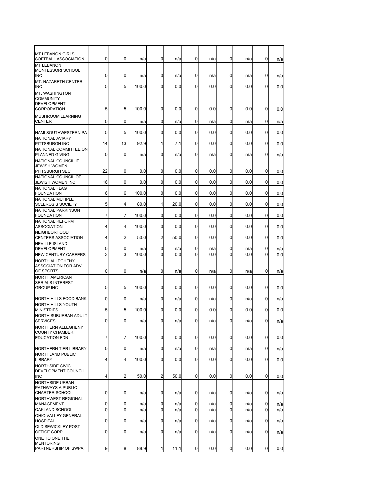| <b>MT LEBANON GIRLS</b>                   |    |                |       |                |      |             |     |                |     |              |     |
|-------------------------------------------|----|----------------|-------|----------------|------|-------------|-----|----------------|-----|--------------|-----|
| SOFTBALL ASSOCIATION                      | 0  | 0              | n/a   | 0              | n/a  | 0           | n/a | 0              | n/a | 0            | n/a |
| <b>MT LEBANON</b>                         |    |                |       |                |      |             |     |                |     |              |     |
| MONTESSORI SCHOOL                         |    |                |       |                |      |             |     |                |     |              |     |
| <b>INC</b>                                | 0  | 0              | n/a   | 0              | n/a  | $\mathbf 0$ | n/a | 0              | n/a | 0            | n/a |
| MT. NAZARETH CENTER                       |    |                |       |                |      |             |     |                |     |              |     |
| <b>INC</b>                                | 5  | 5              | 100.0 | 0              | 0.0  | 0           | 0.0 | 0              | 0.0 | 0            | 0.0 |
| MT. WASHINGTON                            |    |                |       |                |      |             |     |                |     |              |     |
| <b>COMMUNITY</b>                          |    |                |       |                |      |             |     |                |     |              |     |
| <b>DEVELOPMENT</b>                        |    |                |       |                |      |             |     |                |     |              |     |
| <b>CORPORATION</b>                        | 5  | 5              | 100.0 | 0              | 0.0  | 0           | 0.0 | 0              | 0.0 | $\mathbf{0}$ | 0.0 |
|                                           |    |                |       |                |      |             |     |                |     |              |     |
| <b>MUSHROOM LEARNING</b><br><b>CENTER</b> | 0  |                |       | 0              |      |             |     |                |     |              |     |
|                                           |    | 0              | n/a   |                | n/a  | 0           | n/a | 0              | n/a | 0            | n/a |
|                                           | 5  | 5              | 100.0 | 0              | 0.0  | 0           | 0.0 | 0              | 0.0 | $\mathbf{0}$ |     |
| NAMI SOUTHWESTERN PA                      |    |                |       |                |      |             |     |                |     |              | 0.0 |
| NATIONAL AVIARY                           |    |                |       |                |      |             |     |                |     |              |     |
| PITTSBURGH INC                            | 14 | 13             | 92.9  | 1              | 7.1  | 0           | 0.0 | 0              | 0.0 | 0            | 0.0 |
| NATIONAL COMMITTEE ON                     |    |                |       |                |      |             |     |                |     |              |     |
| PLANNED GIVING                            | 0  | 0              | n/a   | 0              | n/a  | $\mathbf 0$ | n/a | 0              | n/a | 0            | n/a |
| NATIONAL COUNCIL IF                       |    |                |       |                |      |             |     |                |     |              |     |
| JEWISH WOMEN,                             |    |                |       |                |      |             |     |                |     |              |     |
| <b>PITTSBURGH SEC</b>                     | 22 | 0              | 0.0   | 0              | 0.0  | 0           | 0.0 | 0              | 0.0 | $\mathbf{0}$ | 0.0 |
| NATIONAL COUNCIL OF                       |    |                |       |                |      |             |     |                |     |              |     |
| JEWISH WOMEN INC                          | 16 | 0              | 0.0   | 0              | 0.0  | 0           | 0.0 | 0              | 0.0 | 0            | 0.0 |
| <b>NATIONAL FLAG</b>                      |    |                |       |                |      |             |     |                |     |              |     |
| <b>FOUNDATION</b>                         | 6  | 6              | 100.0 | 0              | 0.0  | 0           | 0.0 | 0              | 0.0 | 0            | 0.0 |
| NATIONAL MUTIPLE                          |    |                |       |                |      |             |     |                |     |              |     |
| <b>SCLEROSIS SOCIETY</b>                  | 5  | 4              | 80.0  | $\mathbf{1}$   | 20.0 | 0           | 0.0 | 0              | 0.0 | $\mathbf{0}$ | 0.0 |
| NATIONAL PARKINSON                        |    |                |       |                |      |             |     |                |     |              |     |
| <b>FOUNDATION</b>                         | 7  | 7              | 100.0 | 0              | 0.0  | 0           | 0.0 | 0              | 0.0 | 0            | 0.0 |
| <b>NATIONAL REFORM</b>                    |    |                |       |                |      |             |     |                |     |              |     |
| <b>ASSOCIATION</b>                        | 4  | 4              | 100.0 | 0              | 0.0  | 0           | 0.0 | 0              | 0.0 | 0            | 0.0 |
| <b>NEIGHBORHOOD</b>                       |    |                |       |                |      |             |     |                |     |              |     |
| <b>CENTERS ASSOCIATION</b>                | 4  | 2              | 50.0  | $\overline{a}$ | 50.0 | 0           | 0.0 | 0              | 0.0 | $\mathbf{0}$ | 0.0 |
| <b>NEVILLE ISLAND</b>                     |    |                |       |                |      |             |     |                |     |              |     |
| <b>DEVELOPMENT</b>                        | 0  | 0              | n/a   | 0              | n/a  | $\mathbf 0$ | n/a | 0              | n/a | 0            | n/a |
| <b>NEW CENTURY CAREERS</b>                | 3  | 3              | 100.0 | 0              | 0.0  | 0           | 0.0 | 0              | 0.0 | 0            | 0.0 |
| <b>NORTH ALLEGHENY</b>                    |    |                |       |                |      |             |     |                |     |              |     |
| <b>ASSOCIATION FOR ADV</b>                |    |                |       |                |      |             |     |                |     |              |     |
| OF SPORTS                                 | 0  | 0              | n/a   | 0              | n/a  | 0           | n/a | 0              | n/a | 0            | n/a |
| <b>NORTH AMERICAN</b>                     |    |                |       |                |      |             |     |                |     |              |     |
| <b>SERIALS INTEREST</b>                   |    |                |       |                |      |             |     |                |     |              |     |
| <b>GROUP INC</b>                          | 5  | 5              | 100.0 | 0              | 0.0  | 0           | 0.0 | 0              | 0.0 | 0            | 0.0 |
|                                           |    |                |       |                |      |             |     |                |     |              |     |
| NORTH HILLS FOOD BANK                     | 0  | 0              | n/a   | 0              | n/a  | 0           | n/a | 0              | n/a | 0            | n/a |
| <b>NORTH HILLS YOUTH</b>                  |    |                |       |                |      |             |     |                |     |              |     |
| <b>MINISTRIES</b>                         | 5  | 5              | 100.0 | 0              | 0.0  | 0           | 0.0 | 0              | 0.0 | 0            | 0.0 |
| <b>NORTH SUBURBAN ADULT</b>               |    |                |       |                |      |             |     |                |     |              |     |
| <b>SERVICES</b>                           | 0  | 0              | n/a   | 0              | n/a  | 0           | n/a | 0              | n/a | $\mathbf{0}$ | n/a |
| NORTHERN ALLEGHENY                        |    |                |       |                |      |             |     |                |     |              |     |
| <b>COUNTY CHAMBER</b>                     |    |                |       |                |      |             |     |                |     |              |     |
| <b>EDUCATION FDN</b>                      | 7  | 7              | 100.0 | 0              | 0.0  | 0           | 0.0 | 0              | 0.0 | 0            | 0.0 |
|                                           |    |                |       |                |      |             |     |                |     |              |     |
| NORTHERN TIER LIBRARY                     | 0  | 0              | n/a   | 0              | n/a  | 0           | n/a | 0              | n/a | 0            | n/a |
| NORTHLAND PUBLIC                          |    |                |       |                |      |             |     |                |     |              |     |
| <b>LIBRARY</b>                            | 4  | $\overline{4}$ | 100.0 | 0              | 0.0  | 0           | 0.0 | $\overline{0}$ | 0.0 | $\mathbf{0}$ |     |
|                                           |    |                |       |                |      |             |     |                |     |              | 0.0 |
| NORTHSIDE CIVIC                           |    |                |       |                |      |             |     |                |     |              |     |
| DEVELOPMENT COUNCIL                       | 4  | $\overline{a}$ | 50.0  | $\overline{a}$ | 50.0 | 0           |     | $\mathbf 0$    | 0.0 | $\mathbf{0}$ |     |
| <b>INC</b>                                |    |                |       |                |      |             | 0.0 |                |     |              | 0.0 |
| <b>NORTHSIDE URBAN</b>                    |    |                |       |                |      |             |     |                |     |              |     |
| PATHWAYS A PUBLIC                         |    |                |       |                |      |             |     |                |     |              |     |
| <b>CHARTER SCHOOL</b>                     | 0  | 0              | n/a   | 0              | n/a  | 0           | n/a | 0              | n/a | 0            | n/a |
| NORTHWEST REGIONAL                        |    |                |       |                |      |             |     |                |     |              |     |
| MANAGEMENT                                | 0  | 0              | n/a   | 0              | n/a  | 0           | n/a | 0              | n/a | $\mathbf{0}$ | n/a |
| OAKLAND SCHOOL                            | 0  | 0              | n/a   | 0              | n/a  | 0           | n/a | 0              | n/a | 0            | n/a |
| OHIO VALLEY GENERAL                       |    |                |       |                |      |             |     |                |     |              |     |
| <b>HOSPITAL</b>                           | 0  | 0              | n/a   | 0              | n/a  | 0           | n/a | 0              | n/a | 0            | n/a |
| <b>OLD SEWICKLEY POST</b>                 |    |                |       |                |      |             |     |                |     |              |     |
| OFFICE CORP                               | 0  | 0              | n/a   | 0              | n/a  | 0           | n/a | 0              | n/a | $\mathbf{0}$ | n/a |
| ONE TO ONE THE                            |    |                |       |                |      |             |     |                |     |              |     |
| <b>MENTORING</b>                          |    |                |       |                |      |             |     |                |     |              |     |
| PARTNERSHIP OF SWPA                       | 9  | 8              | 88.9  | 1              | 11.1 | 0           | 0.0 | $\mathbf 0$    | 0.0 | 0            | 0.0 |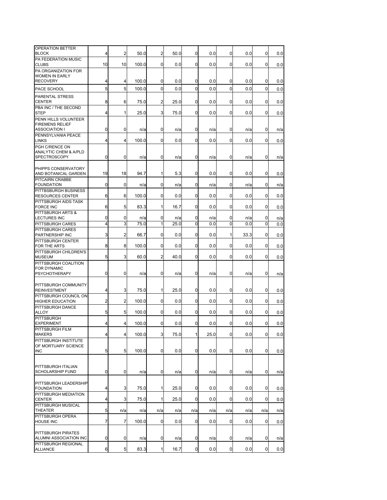| OPERATION BETTER<br><b>BLOCK</b>                   | 4  | $\overline{a}$ | 50.0  | $\overline{a}$ | 50.0 | 0           | 0.0  | 0              | 0.0  | $\mathbf{0}$ | 0.0 |
|----------------------------------------------------|----|----------------|-------|----------------|------|-------------|------|----------------|------|--------------|-----|
| PA FEDERATION MUSIC                                |    |                |       |                |      |             |      |                |      |              |     |
| <b>CLUBS</b>                                       | 10 | 10             | 100.0 | 0              | 0.0  | 0           | 0.0  | 0              | 0.0  | 0            | 0.0 |
| PA ORGANIZATION FOR<br><b>WOMEN IN EARLY</b>       |    |                |       |                |      |             |      |                |      |              |     |
| <b>RECOVERY</b>                                    | 4  | 4              | 100.0 | 0              | 0.0  | 0           | 0.0  | 0              | 0.0  | $\mathbf{0}$ | 0.0 |
| PACE SCHOOL                                        | 5  | 5              | 100.0 | $\mathbf 0$    | 0.0  | $\mathbf 0$ | 0.0  | 0              | 0.0  | $\Omega$     | 0.0 |
| <b>PARENTAL STRESS</b><br><b>CENTER</b>            | 8  | 6              | 75.0  | 2              | 25.0 | 0           | 0.0  | 0              | 0.0  | 0            | 0.0 |
| PBA INC / THE SECOND<br><b>STEP</b>                | 4  | $\mathbf{1}$   | 25.0  | 3              | 75.0 | 0           | 0.0  | 0              | 0.0  | 0            | 0.0 |
| PENN HILLS VOLUNTEER                               |    |                |       |                |      |             |      |                |      |              |     |
| <b>FIREMENS RELIEF</b>                             |    |                |       |                |      |             |      |                |      |              |     |
| <b>ASSOCIATION I</b><br>PENNSYLVANIA PEACE         | 0  | 0              | n/a   | 0              | n/a  | 0           | n/a  | 0              | n/a  | 0            | n/a |
| <b>LINKS</b>                                       | 4  | 4              | 100.0 | 0              | 0.0  | 0           | 0.0  | 0              | 0.0  | $\Omega$     | 0.0 |
| PGH C/RENCE ON<br><b>ANALYTIC CHEM &amp; A/PLD</b> |    |                |       |                |      |             |      |                |      |              |     |
| <b>SPECTROSCOPY</b>                                | 0  | 0              | n/a   | 0              | n/a  | 0           | n/a  | 0              | n/a  | 0            | n/a |
|                                                    |    |                |       |                |      |             |      |                |      |              |     |
| PHIPPS CONSERVATORY<br>AND BOTANICAL GARDEN        | 19 | 18             | 94.7  | 1              | 5.3  | 0           | 0.0  | 0              | 0.0  | 0            | 0.0 |
| PITCAIRN CRABBE                                    |    |                |       |                |      |             |      |                |      |              |     |
| <b>FOUNDATION</b><br>PITTBSBURGH BUSINESS          | 0  | 0              | n/a   | 0              | n/a  | 0           | n/a  | 0              | n/a  | 0            | n/a |
| <b>RESOURCES CENTER</b>                            | 6  | 6              | 100.0 | 0              | 0.0  | 0           | 0.0  | 0              | 0.0  | 0            | 0.0 |
| PITTSBURGH AIDS TASK<br><b>FORCE INC</b>           | 6  | 5              | 83.3  | 1              | 16.7 | 0           | 0.0  | 0              | 0.0  | $\mathbf{0}$ | 0.0 |
| PITTSBURGH ARTS &                                  |    |                |       |                |      |             |      |                |      |              |     |
| <b>LECTURES INC</b>                                | 0  | 0              | n/a   | 0              | n/a  | 0           | n/a  | 0              | n/a  | 0            | n/a |
| PITTSBURGH CARES<br>PITTSBURGH CARES               | 4  | 3              | 75.0  | 1              | 25.0 | 0           | 0.0  | 0              | 0.0  | $\Omega$     | 0.0 |
| PARTNERSHIP INC                                    | 3  | 2              | 66.7  | 0              | 0.0  | 0           | 0.0  | 1              | 33.3 | 0            | 0.0 |
| PITTSBURGH CENTER<br>FOR THE ARTS                  | 8  | 8              | 100.0 | $\overline{0}$ | 0.0  | 0           | 0.0  | 0              | 0.0  | 0            | 0.0 |
| PITTSBURGH CHILDREN'S                              |    |                |       |                |      |             |      |                |      |              |     |
| <b>MUSEUM</b>                                      | 5  | 3              | 60.0  | 2              | 40.0 | 0           | 0.0  | 0              | 0.0  | 0            | 0.0 |
| PITTSBURGH COALITION<br><b>FOR DYNAMIC</b>         |    |                |       |                |      |             |      |                |      |              |     |
| <b>PSYCHOTHERAPY</b>                               | 0  | 0              | n/a   | 0              | n/a  | 0           | n/a  | 0              | n/a  | 0            | n/a |
| PITTSBURGH COMMUNITY                               |    |                |       |                |      |             |      |                |      |              |     |
| <b>REINVESTMENT</b>                                | 4  | 3              | 75.0  | 1              | 25.0 | 0           | 0.0  | 0              | 0.0  | 0            | 0.0 |
| PITTSBURGH COUNCIL ON<br><b>HIGHER EDUCATION</b>   | 2  | 2              | 100.0 | 0              | 0.0  | 0           | 0.0  | 0              | 0.0  | 0            | 0.0 |
| PITTSBURGH DANCE                                   |    |                |       |                |      |             |      |                |      |              |     |
| <b>ALLOY</b><br><b>PITTSBURGH</b>                  | 5  | 5              | 100.0 | 0              | 0.0  | 0           | 0.0  | 0              | 0.0  | 0            | 0.0 |
| <b>EXPERIMENT</b>                                  | 4  | 4              | 100.0 | 0              | 0.0  | 0           | 0.0  | 0              | 0.0  | 0            | 0.0 |
| PITTSBURGH FILM<br><b>MAKERS</b>                   | 4  | 4              | 100.0 | 3              | 75.0 | 1           | 25.0 | $\overline{0}$ | 0.0  | 0            | 0.0 |
| PITTSBURGH INSTITUTE                               |    |                |       |                |      |             |      |                |      |              |     |
| OF MORTUARY SCIENCE                                |    | 5              | 100.0 | 0              |      | 0           |      | $\mathbf 0$    |      | $\mathbf{0}$ |     |
| <b>INC</b>                                         | 5  |                |       |                | 0.0  |             | 0.0  |                | 0.0  |              | 0.0 |
| PITTSBURGH ITALIAN                                 |    |                |       |                |      |             |      |                |      |              |     |
| <b>SCHOLARSHIP FUND</b>                            | 0  | $\overline{0}$ | n/a   | 0              | n/a  | 0           | n/a  | 0              | n/a  | 0            | n/a |
|                                                    |    |                |       |                |      |             |      |                |      |              |     |
| PITTSBURGH LEADERSHIP<br><b>FOUNDATION</b>         | 4  | 3              | 75.0  | 1              | 25.0 | 0           | 0.0  | $\mathbf 0$    | 0.0  | $\mathbf{0}$ | 0.0 |
| PITTSBURGH MEDIATION                               |    |                |       |                |      |             |      |                |      |              |     |
| <b>CENTER</b><br>PITTSBURGH MUSICAL                | 4  | 3              | 75.0  | 1              | 25.0 | 0           | 0.0  | $\mathbf 0$    | 0.0  | 0            | 0.0 |
| <b>THEATER</b>                                     | 5  | n/a            | n/a   | n/a            | n/a  | n/a         | n/a  | n/a            | n/a  | n/a          | n/a |
| PITTSBURGH OPERA<br><b>HOUSE INC</b>               | 7  | 7              | 100.0 | 0              | 0.0  | 0           | 0.0  | $\mathbf 0$    | 0.0  | 0            | 0.0 |
|                                                    |    |                |       |                |      |             |      |                |      |              |     |
| PITTSBURGH PIRATES                                 |    |                |       |                |      |             |      |                |      |              |     |
| ALUMNI ASSOCIATION INC<br>PITTSBURGH REGIONAL      | 0  | $\mathbf 0$    | n/a   | 0              | n/a  | 0           | n/a  | 0              | n/a  | 0            | n/a |
| <b>ALLIANCE</b>                                    | 6  | 5 <sub>5</sub> | 83.3  | $\mathbf{1}$   | 16.7 | $\mathbf 0$ | 0.0  | $\mathbf 0$    | 0.0  | 0            | 0.0 |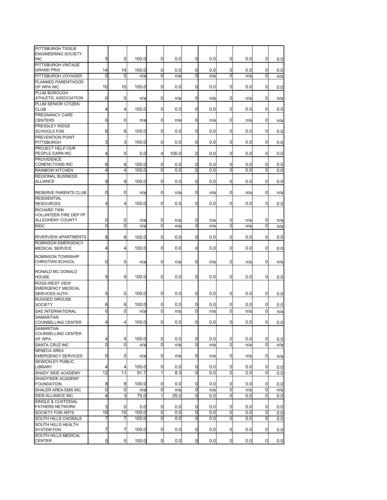| PITTSBURGH TISSUE<br><b>ENGINEERING SOCIETY</b> |                |                |       |                |       |             |     |                |     |   |     |
|-------------------------------------------------|----------------|----------------|-------|----------------|-------|-------------|-----|----------------|-----|---|-----|
| <b>INC</b>                                      | 5              | 5              | 100.0 | 0              | 0.0   | 0           | 0.0 | 0              | 0.0 | 0 | 0.0 |
| PITTSBURGH VINTAGE                              |                |                |       |                |       |             |     |                |     |   |     |
| <b>GRAND PRIX</b>                               | 14             | 14             | 100.0 | 0              | 0.0   | 0           | 0.0 | 0              | 0.0 | 0 | 0.0 |
| PITTSBURGH VOYAGER                              | 0              | 0              | n/a   | $\mathbf 0$    | n/a   | 0           | n/a | $\Omega$       | n/a | 0 | n/a |
| PLANNED PARENTHOOD                              |                |                |       |                |       |             |     |                |     |   |     |
| OF WPA INC                                      | 10             | 10             | 100.0 | 0              | 0.0   | 0           | 0.0 | 0              | 0.0 | 0 | 0.0 |
| PLUM BOROUGH                                    |                |                |       |                |       |             |     |                |     |   |     |
| ATHLETIC ASSOCIATION                            | 0              | 0              | n/a   | 0              | n/a   | 0           | n/a | 0              | n/a | 0 | n/a |
| PLUM SENIOR CITIZEN                             |                |                |       |                |       |             |     |                |     |   |     |
| <b>CLUB</b>                                     | 4              | 4              | 100.0 | 0              | 0.0   | 0           | 0.0 | 0              | 0.0 | 0 | 0.0 |
| <b>PREGNANCY CARE</b><br><b>CENTERS</b>         |                |                |       |                |       |             |     |                |     |   |     |
| <b>PRESSLEY RIDGE</b>                           | 0              | 0              | n/a   | 0              | n/a   | 0           | n/a | 0              | n/a | 0 | n/a |
| <b>SCHOOLS FDN</b>                              | 6              | 6              | 100.0 | 0              | 0.0   | 0           | 0.0 | 0              | 0.0 | 0 | 0.0 |
| PREVENTION POINT                                |                |                |       |                |       |             |     |                |     |   |     |
| <b>PITTSBURGH</b>                               | 3              | 3              | 100.0 | 0              | 0.0   | 0           | 0.0 | 0              | 0.0 | 0 | 0.0 |
| <b>PROJECT HELP OUR</b>                         |                |                |       |                |       |             |     |                |     |   |     |
| PEOPLE EARN INC                                 | 4              | 0              | 0.0   | 4              | 100.0 | 0           | 0.0 | 0              | 0.0 | 0 | 0.0 |
| <b>PROVIDENCE</b>                               |                |                |       |                |       |             |     |                |     |   |     |
| <b>CONENCTIONS INC</b>                          | 6              | 6              | 100.0 | 0              | 0.0   | 0           | 0.0 | 0              | 0.0 | 0 | 0.0 |
| <b>RAINBOW KITCHEN</b>                          | $\overline{4}$ | 4              | 100.0 | 0              | 0.0   | 0           | 0.0 | $\Omega$       | 0.0 | 0 | 0.0 |
| <b>REGIONAL BUSINESS</b>                        |                |                |       |                |       |             |     |                |     |   |     |
| <b>ALLIANCE</b>                                 | 9              | 9              | 100.0 | 0              | 0.0   | 0           | 0.0 | 0              | 0.0 | 0 | 0.0 |
| <b>RESERVE PARENTS CLUB</b>                     | 0              | 0              | n/a   | 0              | n/a   | 0           | n/a | 0              | n/a | 0 |     |
| <b>RESIDENTIAL</b>                              |                |                |       |                |       |             |     |                |     |   | n/a |
| <b>RESOURCES</b>                                | 4              | 4              | 100.0 | 0              | 0.0   | 0           | 0.0 | 0              | 0.0 | 0 | 0.0 |
| <b>RICHARD TWN</b>                              |                |                |       |                |       |             |     |                |     |   |     |
| <b>VOLUNTEER FIRE DEP PF</b>                    |                |                |       |                |       |             |     |                |     |   |     |
| <b>ALLEGHENY COUNTY</b>                         | 0              | 0              | n/a   | 0              | n/a   | 0           | n/a | 0              | n/a | 0 | n/a |
| <b>RIDC</b>                                     | $\mathbf 0$    | 0              | n/a   | $\mathbf 0$    | n/a   | 0           | n/a | $\Omega$       | n/a | 0 | n/a |
|                                                 |                |                |       |                |       |             |     |                |     |   |     |
| RIVERVIEW APARTMENTS                            | 8              | 8              | 100.0 | 0              | 0.0   | 0           | 0.0 | 0              | 0.0 | 0 | 0.0 |
| <b>ROBINSON EMERGENCY</b>                       |                |                |       |                |       |             |     |                |     |   |     |
| <b>MEDICAL SERVICE</b>                          | 4              | 4              | 100.0 | 0              | 0.0   | 0           | 0.0 | 0              | 0.0 | 0 | 0.0 |
| <b>ROBINSON TOWNSHIP</b>                        |                |                |       |                |       |             |     |                |     |   |     |
| <b>CHRISTIAN SCHOOL</b>                         | 0              | 0              | n/a   | 0              | n/a   | 0           | n/a | 0              | n/a | 0 | n/a |
|                                                 |                |                |       |                |       |             |     |                |     |   |     |
| RONALD MC DONALD<br><b>HOUSE</b>                | 5              | 5              | 100.0 | 0              | 0.0   | 0           | 0.0 | 0              | 0.0 | 0 | 0.0 |
| <b>ROSS-WEST VIEW</b>                           |                |                |       |                |       |             |     |                |     |   |     |
| <b>EMERGENCY MEDICAL</b>                        |                |                |       |                |       |             |     |                |     |   |     |
| SERVICES AUTH.                                  | 5              | 5              | 100.0 | 0              | 0.0   | 0           | 0.0 | 0              | 0.0 | 0 | 0.0 |
| <b>RUGGED GROUSE</b>                            |                |                |       |                |       |             |     |                |     |   |     |
| <b>SOCIETY</b>                                  | 6              | 6              | 100.0 | 0              | 0.0   | 0           | 0.0 | 0              | 0.0 | 0 | 0.0 |
| SAE INTERNATIONAL                               | $\mathbf 0$    | 0              | n/a   | 0              | n/a   | 0           | n/a | $\Omega$       | n/a | 0 | n/a |
| <b>SAMARITAN</b>                                |                |                |       |                |       |             |     |                |     |   |     |
| <b>COUNSELLING CENTER</b>                       | 4              | 4              | 100.0 | 0              | 0.0   | 0           | 0.0 | 0              | 0.0 | 0 | 0.0 |
| <b>SAMARITAN</b>                                |                |                |       |                |       |             |     |                |     |   |     |
| <b>COUNSELLING CENTER</b>                       |                |                |       |                |       |             |     |                |     |   |     |
| OF WPA                                          | 4              | 4              | 100.0 | 0              | 0.0   | $\mathbf 0$ | 0.0 | $\mathbf 0$    | 0.0 | 0 | 0.0 |
| SANTA CRUZ INC                                  | $\mathbf 0$    | 0              | n/a   | $\overline{0}$ | n/a   | 0           | n/a | $\overline{0}$ | n/a | 0 | n/a |
| <b>SENECA AREA</b><br><b>EMERGENCY SERVICES</b> | 0              | 0              | n/a   | 0              | n/a   | 0           | n/a | 0              | n/a | 0 |     |
| SEWICKLEY PUBLIC                                |                |                |       |                |       |             |     |                |     |   | n/a |
| LIBRARY                                         | 4              | $\overline{4}$ | 100.0 | $\overline{0}$ | 0.0   | 0           | 0.0 | 0              | 0.0 | 0 | 0.0 |
| SHADY SIDE ACADEMY                              | 12             | 11             | 91.7  | 1              | 8.3   | $\mathbf 0$ | 0.0 | 0              | 0.0 | 0 | 0.0 |
| SHADYSIDE ACADEMY                               |                |                |       |                |       |             |     |                |     |   |     |
| <b>FOUNDATION</b>                               | 8              | 8              | 100.0 | 0              | 0.0   | 0           | 0.0 | 0              | 0.0 | 0 | 0.0 |
| SHALER AREA EMS INC                             | 0              | 0              | n/a   | 0              | n/a   | 0           | n/a | 0              | n/a | 0 | n/a |
| SIDS ALLIANCE INC                               | $\overline{4}$ | 3              | 75.0  | 1              | 25.0  | $\mathbf 0$ | 0.0 | 0              | 0.0 | 0 | 0.0 |
| SINGLE & CUSTODIAL                              |                |                |       |                |       |             |     |                |     |   |     |
| <b>FATHERS NETWORK</b>                          | 3              | 0              | 0.0   | 0              | 0.0   | 0           | 0.0 | 0              | 0.0 | 0 | 0.0 |
| SOCIETY FOR ARTS                                | 10             | 10             | 100.0 | 0              | 0.0   | 0           | 0.0 | 0              | 0.0 | 0 | 0.0 |
| SOUTH HILLS CHORALE                             | 7              | 7              | 100.0 | 0              | 0.0   | 0           | 0.0 | 0              | 0.0 | 0 | 0.0 |
| SOUTH HILLS HEALTH                              |                |                |       |                |       |             |     |                |     |   |     |
| <b>SYSTEM FDN</b>                               | 7              | 7              | 100.0 | 0              | 0.0   | 0           | 0.0 | 0              | 0.0 | 0 | 0.0 |
| SOUTH HILLS MEDICAL                             | 5              | 5 <sub>l</sub> | 100.0 | $\overline{0}$ | 0.0   | $\mathbf 0$ | 0.0 | $\overline{0}$ | 0.0 | 0 |     |
| <b>CENTER</b>                                   |                |                |       |                |       |             |     |                |     |   | 0.0 |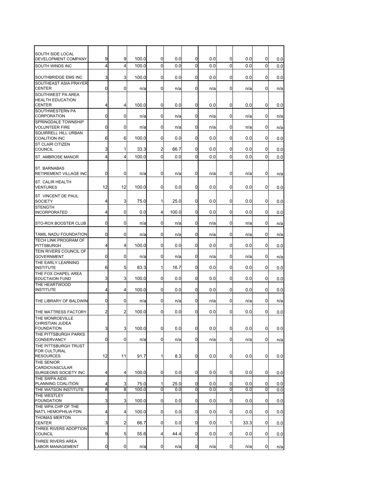| SOUTH SIDE LOCAL<br>DEVELOPMENT COMPANY                        | 9           | 9            | 100.0 | 0              | 0.0   | 0              | 0.0 | 0              | 0.0  | 0           | 0.0 |
|----------------------------------------------------------------|-------------|--------------|-------|----------------|-------|----------------|-----|----------------|------|-------------|-----|
| SOUTH WINDS INC                                                | 4           | 4            | 100.0 | $\mathbf 0$    | 0.0   | $\mathbf 0$    | 0.0 | 0              | 0.0  | $\mathbf 0$ | 0.0 |
| <b>SOUTHBRIDGE EMS INC</b>                                     | 3           | 3            | 100.0 | $\mathbf{0}$   | 0.0   | 0              | 0.0 | 0              | 0.0  | 0           | 0.0 |
| SOUTHEAST ASIA PRAYER<br><b>CENTER</b>                         | $\mathbf 0$ | 0            | n/a   | $\mathbf{0}$   | n/a   | 0              | n/a | $\Omega$       | n/a  | $\Omega$    | n/a |
| SOUTHWEST PA AREA<br><b>HEALTH EDUCATION</b>                   |             |              |       |                |       |                |     |                |      |             |     |
| <b>CENTER</b><br>SOUTHWESTERN PA                               | 4           | 4            | 100.0 | $\mathbf{0}$   | 0.0   | 0              | 0.0 | 0              | 0.0  | 0           | 0.0 |
| CORPORATION                                                    | 0           | 0            | n/a   | $\mathbf{0}$   | n/a   | 0              | n/a | 0              | n/a  | 0           | n/a |
| SPRINGDALE TOWNSHIP<br><b>VOLUNTEER FIRE</b>                   | 0           | 0            | n/a   | $\mathbf{0}$   | n/a   | $\mathbf 0$    | n/a | 0              | n/a  | 0           | n/a |
| <b>SQUIRRELL HILL URBAN</b><br><b>COALITION INC</b>            | 6           | 6            | 100.0 | $\mathbf{0}$   | 0.0   | 0              | 0.0 | 0              | 0.0  | 0           | 0.0 |
| <b>ST CLAIR CITIZEN</b><br><b>COUNCIL</b>                      | 3           | 1            | 33.3  | $\overline{2}$ | 66.7  | 0              | 0.0 | 0              | 0.0  | 0           | 0.0 |
| ST. AMBROSE MANOR                                              | 4           | 4            | 100.0 | $\mathbf{0}$   | 0.0   | 0              | 0.0 | 0              | 0.0  | $\Omega$    | 0.0 |
|                                                                |             |              |       |                |       |                |     |                |      |             |     |
| <b>ST. BARNABAS</b><br>RETIREMENT VILLAGE INC                  | 0           | 0            | n/a   | 0              | n/a   | 0              | n/a | 0              | n/a  | 0           | n/a |
| <b>ST. CALIR HEALTH</b><br><b>VENTURES</b>                     | 12          | 12           | 100.0 | $\mathbf{0}$   | 0.0   | 0              | 0.0 | 0              | 0.0  | 0           | 0.0 |
| <b>ST. VINCENT DE PAUL</b><br><b>SOCIETY</b>                   | 4           | 3            | 75.0  | $\mathbf{1}$   | 25.0  | 0              | 0.0 | 0              | 0.0  | 0           | 0.0 |
| <b>STENGTH</b><br><b>INCORPORATED</b>                          | 4           | 0            | 0.0   | $\overline{4}$ | 100.0 | 0              | 0.0 | $\Omega$       | 0.0  | $\Omega$    | 0.0 |
| STO-ROX BOOSTER CLUB                                           | 0           | 0            | n/a   | 0              | n/a   | 0              | n/a | 0              | n/a  | 0           | n/a |
| TAMIL NADU FOUNDATION                                          | 0           | 0            | n/a   | 0              | n/a   | 0              | n/a | 0              | n/a  | 0           | n/a |
| TECH LINK PROGRAM OF<br><b>PITTSBURGH</b>                      | 4           | 4            | 100.0 | $\mathbf{0}$   | 0.0   | 0              | 0.0 | 0              | 0.0  | 0           | 0.0 |
| TEIN RIVERS COUNCIL OF<br><b>GOVERNMENT</b>                    | 0           | 0            | n/a   | $\mathbf{0}$   | n/a   | $\mathbf 0$    | n/a | 0              | n/a  | 0           | n/a |
| THE EARLY LEARNING<br><b>INSTITUTE</b>                         | 6           | 5            | 83.3  | $\mathbf{1}$   | 16.7  | 0              | 0.0 | 0              | 0.0  | 0           | 0.0 |
| THE FOX CHAPEL AREA<br><b>EDUCTAION FUND</b>                   | 3           | 3            | 100.0 | $\mathbf{0}$   | 0.0   | 0              | 0.0 | 0              | 0.0  | 0           | 0.0 |
| THE HEARTWOOD<br><b>INSTITUTE</b>                              | 4           | 4            | 100.0 | $\mathbf{0}$   | 0.0   | 0              | 0.0 | 0              | 0.0  | 0           | 0.0 |
| THE LIBRARY OF BALDWIN                                         | 0           | 0            | n/a   | $\mathbf{0}$   | n/a   | $\mathbf 0$    | n/a | 0              | n/a  | 0           | n/a |
| THE MATTRESS FACTORY                                           | 2           | 2            | 100.0 | $\mathbf{0}$   | 0.0   | 0              | 0.0 | 0              | 0.0  | 0           | 0.0 |
| THE MONROEVILLE<br><b>CHRISTIAN JUDEA</b><br><b>FOUNDATION</b> | 3           | 3            | 100.0 | <sub>0</sub>   | U.U   | U              | V.V | <sub>U</sub>   | U.U  | U           | 0.0 |
| THE PITTSBURGH PARKS<br><b>CONSERVANCY</b>                     | 0           | 0            | n/a   | 0              | n/a   | 0              | n/a | 0              | n/a  | 0           | n/a |
| THE PITTSBURGH TRUST<br><b>FOR CULTURAL</b>                    |             |              |       |                |       |                |     |                |      |             |     |
| <b>RESOURCES</b><br>THE SENIOR                                 | 12          | 11           | 91.7  | 1              | 8.3   | $\mathbf 0$    | 0.0 | $\mathbf 0$    | 0.0  | 0           | 0.0 |
| <b>CARDIOVASCULAR</b><br>SURGEONS SOCIETY INC                  | 4           | 4            | 100.0 | 0              | 0.0   | 0              | 0.0 | $\mathbf 0$    | 0.0  | 0           | 0.0 |
| THE SWPA AIDS<br>PLANNING COALITION                            | 4           | 3            | 75.0  | 1              | 25.0  | 0              | 0.0 | $\overline{0}$ | 0.0  | 0           | 0.0 |
| THE WATSON INSTITUTE                                           | 8           | 8            | 100.0 | 0              | 0.0   | $\mathbf 0$    | 0.0 | $\mathbf 0$    | 0.0  | 0           | 0.0 |
| THE WESTLEY<br><b>FOUNDATION</b>                               | 3           | 3            | 100.0 | 0              | 0.0   | $\mathbf 0$    | 0.0 | $\overline{0}$ | 0.0  | 0           | 0.0 |
| THE WPA CHP OF THE<br>NAT'L HEMOPHILIA FDN                     | 4           | 4            | 100.0 | 0              | 0.0   | $\overline{0}$ | 0.0 | $\mathbf{0}$   | 0.0  | 0           | 0.0 |
| THOMAS MERTON<br><b>CENTER</b>                                 | 3           | $\mathbf{2}$ | 66.7  | 0              | 0.0   | $\overline{0}$ | 0.0 | 1              | 33.3 | 0           | 0.0 |
| THREE RIVERS ADOPTION<br><b>COUNCIL</b>                        | 9           | 5            | 55.6  | $\overline{4}$ | 44.4  | $\mathbf 0$    | 0.0 | $\overline{0}$ | 0.0  | 0           | 0.0 |
| THREE RIVERS AREA<br><b>LABOR MANAGEMENT</b>                   | 0           | 0            | n/a   | 0              | n/a   | 0              | n/a | $\overline{0}$ | n/a  | 0           | n/a |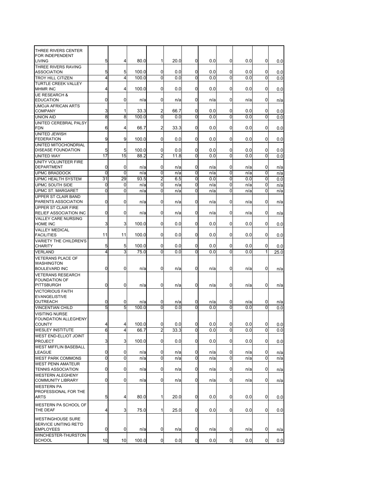| THREE RIVERS CENTER                                  |                     |                |       |                |      |             |     |                |     |              |      |
|------------------------------------------------------|---------------------|----------------|-------|----------------|------|-------------|-----|----------------|-----|--------------|------|
| <b>FOR INDEPENDENT</b>                               |                     |                |       |                |      |             |     |                |     |              |      |
| <b>LIVING</b>                                        | 5                   | 4              | 80.0  | 1              | 20.0 | 0           | 0.0 | 0              | 0.0 | 0            | 0.0  |
| THREE RIVERS RAVING                                  |                     |                |       |                |      |             |     |                |     |              |      |
| <b>ASSOCIATION</b>                                   | 5                   | 5              | 100.0 | 0              | 0.0  | 0           | 0.0 | 0              | 0.0 | 0            | 0.0  |
| <b>TROY HILL CITIZEN</b>                             | 4                   | 4              | 100.0 | 0              | 0.0  | 0           | 0.0 | 0              | 0.0 | 0            | 0.0  |
| <b>TURTLE CREEK VALLEY</b>                           |                     |                |       |                |      |             |     |                |     |              |      |
| <b>MHMR INC</b>                                      | 4                   | 4              | 100.0 | 0              | 0.0  | 0           | 0.0 | 0              | 0.0 | 0            | 0.0  |
| <b>UE RESEARCH &amp;</b><br><b>EDUCATION</b>         | 0                   | 0              | n/a   | 0              | n/a  | 0           | n/a | 0              | n/a | 0            | n/a  |
| <b>UMOJA AFRICAN ARTS</b>                            |                     |                |       |                |      |             |     |                |     |              |      |
| <b>COMPANY</b>                                       | 3                   | 1              | 33.3  | 2              | 66.7 | 0           | 0.0 | 0              | 0.0 | 0            | 0.0  |
| <b>UNION AID</b>                                     | 8                   | 8              | 100.0 | 0              | 0.0  | 0           | 0.0 | $\Omega$       | 0.0 | 0            | 0.0  |
| UNITED CEREBRAL PALSY                                |                     |                |       |                |      |             |     |                |     |              |      |
| <b>FDN</b>                                           | 6                   | 4              | 66.7  | 2              | 33.3 | 0           | 0.0 | 0              | 0.0 | 0            | 0.0  |
| <b>UNITED JEWISH</b>                                 |                     |                |       |                |      |             |     |                |     |              |      |
| <b>FEDERATION</b>                                    | 9                   | 9              | 100.0 | $\mathbf{0}$   | 0.0  | 0           | 0.0 | 0              | 0.0 | 0            | 0.0  |
| UNITED MITOCHONDRIAL                                 |                     |                |       |                |      |             |     |                |     |              |      |
| <b>DISEASE FOUNDATION</b>                            | 5                   | 5              | 100.0 | 0              | 0.0  | 0           | 0.0 | 0              | 0.0 | 0            | 0.0  |
| <b>UNITED WAY</b>                                    | 17                  | 15             | 88.2  | $\overline{2}$ | 11.8 | 0           | 0.0 | 0              | 0.0 | 0            | 0.0  |
| UNITY VOLUNTEER FIRE                                 |                     |                |       |                |      |             |     |                |     |              |      |
| <b>DEPARTMENT</b>                                    | 0                   | 0              | n/a   | 0              | n/a  | 0           | n/a | 0              | n/a | 0            | n/a  |
| <b>UPMC BRADDOCK</b>                                 | 0                   | $\overline{0}$ | n/a   | 0              | n/a  | 0           | n/a | 0              | n/a | 0            | n/a  |
| <b>UPMC HEALTH SYSTEM</b>                            | 31                  | 29             | 93.5  | $\overline{2}$ | 6.5  | 0           | 0.0 | 0              | 0.0 | 0            | 0.0  |
| UPMC SOUTH SIDE                                      | 0<br>$\overline{0}$ | 0<br>Ō         | n/a   | 0<br>0         | n/a  | 0           | n/a | 0              | n/a | 0            | n/a  |
| <b>UPMC ST. MARGARET</b>                             |                     |                | n/a   |                | n/a  | 0           | n/a | $\Omega$       | n/a | 0            | n/a  |
| UPPER ST CLAIR BAND<br>PARENTS ASSOCIATION           | 0                   | 0              | n/a   | 0              | n/a  | 0           | n/a | 0              | n/a | 0            |      |
| <b>UPPER ST CLAIR FIRE</b>                           |                     |                |       |                |      |             |     |                |     |              | n/a  |
| <b>RELIEF ASSOCIATION INC</b>                        | 0                   | 0              | n/a   | 0              | n/a  | 0           | n/a | 0              | n/a | 0            | n/a  |
| <b>VALLEY CARE NURSING</b>                           |                     |                |       |                |      |             |     |                |     |              |      |
| <b>HOME INC</b>                                      | 3                   | 3              | 100.0 | 0              | 0.0  | 0           | 0.0 | 0              | 0.0 | 0            | 0.0  |
| <b>VALLEY MEDICAL</b>                                |                     |                |       |                |      |             |     |                |     |              |      |
| <b>FACILITIES</b>                                    | 11                  | 11             | 100.0 | 0              | 0.0  | 0           | 0.0 | 0              | 0.0 | 0            | 0.0  |
| <b>VARIETY THE CHILDREN'S</b>                        |                     |                |       |                |      |             |     |                |     |              |      |
| CHARITY                                              | 5                   | 5              | 100.0 | 0              | 0.0  | 0           | 0.0 | 0              | 0.0 | 0            | 0.0  |
| <b>VERLAND</b>                                       | 4                   | 3              | 75.0  | 0              | 0.0  | 0           | 0.0 | $\Omega$       | 0.0 | 1            | 25.0 |
| <b>VETERANS PLACE OF</b>                             |                     |                |       |                |      |             |     |                |     |              |      |
| <b>WASHINGTON</b>                                    |                     |                |       |                |      |             |     |                |     |              |      |
| <b>BOULEVARD INC</b>                                 | 0                   | 0              | n/a   | 0              | n/a  | 0           | n/a | 0              | n/a | 0            | n/a  |
| <b>VETERANS RESEARCH</b><br><b>FOUNDATION OF</b>     |                     |                |       |                |      |             |     |                |     |              |      |
| PITTSBURGH                                           | 0                   | 0              | n/a   | 0              | n/a  | 0           | n/a | 0              | n/a | 0            | n/a  |
| <b>VICTORIOUS FAITH</b>                              |                     |                |       |                |      |             |     |                |     |              |      |
| <b>EVANGELISTIVE</b>                                 |                     |                |       |                |      |             |     |                |     |              |      |
| <b>OUTREACH</b>                                      | 0                   | 0              | n/a   | 0              | n/a  | 0           | n/a | 0              | n/a | 0            | n/a  |
| <b>VINCENTIAN CHILD</b>                              | 5                   | 5              | 100.0 | 0              | 0.0  | 0           | 0.0 | 0              | 0.0 | 0            | 0.0  |
| <b>VISITING NURSE</b>                                |                     |                |       |                |      |             |     |                |     |              |      |
| <b>FOUNDATION ALLEGHENY</b>                          |                     |                |       |                |      |             |     |                |     |              |      |
| <b>COUNTY</b>                                        | 4                   | 4              | 100.0 | 0              | 0.0  | 0           | 0.0 | 0              | 0.0 | 0            | 0.0  |
| <b>WESLEY INSTITUTE</b>                              | 6                   | $\overline{4}$ | 66.7  | $\overline{2}$ | 33.3 | 0           | 0.0 | $\overline{0}$ | 0.0 | 0            | 0.0  |
| WEST END-ELLIOT JOINT                                |                     |                |       |                |      |             |     |                |     |              |      |
| <b>PROJECT</b>                                       | 3                   | 3              | 100.0 | $\overline{0}$ | 0.0  | 0           | 0.0 | $\mathbf 0$    | 0.0 | 0            | 0.0  |
| <b>WEST MIFFLIN BASEBALL</b>                         |                     |                |       |                |      |             |     |                |     |              |      |
| <b>LEAGUE</b>                                        | 0                   | 0              | n/a   | 0              | n/a  | 0           | n/a | 0              | n/a | 0            | n/a  |
| <b>WEST PARK COMMONS</b>                             | 0                   | 0              | n/a   | $\overline{0}$ | n/a  | 0           | n/a | 0              | n/a | 0            | n/a  |
| <b>WEST PENN AMATEUR</b>                             | 0                   | 0              |       | 0              |      | 0           |     | $\mathbf 0$    |     | 0            |      |
| <b>TENNIS ASSOCIATION</b><br><b>WESTERN ALEGHENY</b> |                     |                | n/a   |                | n/a  |             | n/a |                | n/a |              | n/a  |
| <b>COMMUNITY LIBRARY</b>                             | 0                   | 0              | n/a   | 0              | n/a  | 0           | n/a | $\mathbf 0$    | n/a | 0            | n/a  |
| <b>WESTERN PA</b>                                    |                     |                |       |                |      |             |     |                |     |              |      |
| PROFESSIONAL FOR THE                                 |                     |                |       |                |      |             |     |                |     |              |      |
| <b>ARTS</b>                                          | 5                   | 4              | 80.0  | 1              | 20.0 | 0           | 0.0 | $\mathbf 0$    | 0.0 | 0            | 0.0  |
| WESTERN PA SCHOOL OF                                 |                     |                |       |                |      |             |     |                |     |              |      |
| THE DEAF                                             | 4                   | 3              | 75.0  | 1              | 25.0 | 0           | 0.0 | 0              | 0.0 | $\mathbf{0}$ | 0.0  |
|                                                      |                     |                |       |                |      |             |     |                |     |              |      |
| <b>WESTINGHOUSE SURE</b>                             |                     |                |       |                |      |             |     |                |     |              |      |
| SERVICE UNITING RET'D                                |                     |                |       |                |      |             |     |                |     |              |      |
| <b>EMPLOYEES</b>                                     | 0                   | $\overline{0}$ | n/a   | 0              | n/a  | 0           | n/a | 0              | n/a | 0            | n/a  |
| WINCHESTER-THURSTON<br><b>SCHOOL</b>                 | 10                  | 10             | 100.0 | 0              | 0.0  | $\mathbf 0$ | 0.0 | $\overline{0}$ | 0.0 | 0            | 0.0  |
|                                                      |                     |                |       |                |      |             |     |                |     |              |      |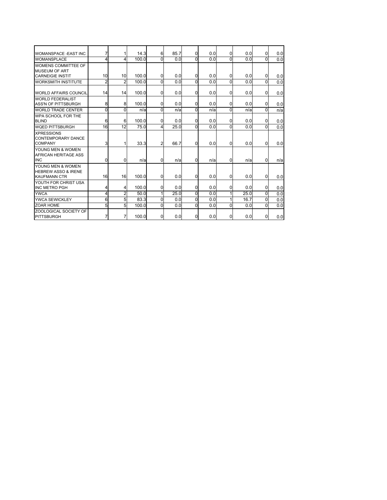| <b>WOMANSPACE -EAST INC</b>                                                | 7              |                | 14.3  | $6 \,$         | 85.7 | $\overline{0}$ | 0.0 | 0        | 0.0  | $\mathbf 0$ | 0.0 |
|----------------------------------------------------------------------------|----------------|----------------|-------|----------------|------|----------------|-----|----------|------|-------------|-----|
| <b>WOMANSPLACE</b>                                                         | 4              | 4              | 100.0 | 0              | 0.0  | $\overline{0}$ | 0.0 | $\Omega$ | 0.0  | U           | 0.0 |
| WOMENS COMMITTEE OF<br><b>MUSEUM OF ART</b>                                |                |                |       |                |      |                |     |          |      |             |     |
| <b>CARNEIGIE INSTIT</b>                                                    | 10             | 10             | 100.0 | 0              | 0.0  | 0              | 0.0 | 0        | 0.0  | $\Omega$    | 0.0 |
| <b>WORKSMITH INSTITUTE</b>                                                 | $\overline{2}$ | $\overline{2}$ | 100.0 | 0              | 0.0  | $\overline{0}$ | 0.0 | $\Omega$ | 0.0  | U           | 0.0 |
| <b>WORLD AFFAIRS COUNCIL</b>                                               | 14             | 14             | 100.0 | $\mathbf{0}$   | 0.0  | 0              | 0.0 | 0        | 0.0  | $\Omega$    | 0.0 |
| <b>WORLD FEDERALIST</b>                                                    |                |                |       |                |      |                |     |          |      |             |     |
| <b>ASS'N OF PITTSBURGH</b>                                                 | 8              | 8              | 100.0 | $\mathbf{0}$   | 0.0  | 0              | 0.0 | 0        | 0.0  | $\Omega$    | 0.0 |
| <b>WORLD TRADE CENTER</b>                                                  | 0              | 0              | n/a   | 0              | n/a  | $\Omega$       | n/a | 0        | n/a  | $\Omega$    | n/a |
| WPA SCHOOL FOR THE<br><b>BLIND</b>                                         | 6              | 6              | 100.0 | $\mathbf{0}$   | 0.0  | $\mathbf 0$    | 0.0 | 0        | 0.0  | $\mathbf 0$ | 0.0 |
| <b>WOED PITTSBURGH</b>                                                     | 16             | 12             | 75.0  | 4              | 25.0 | 0              | 0.0 | $\Omega$ | 0.0  |             | 0.0 |
| <b>XPRESSIONS</b><br><b>CONTEMPORARY DANCE</b><br><b>COMPANY</b>           | 3              |                | 33.3  | $\overline{2}$ | 66.7 | $\mathbf 0$    | 0.0 | 0        | 0.0  | $\Omega$    | 0.0 |
| YOUNG MEN & WOMEN<br><b>AFRICAN HERITAGE ASS</b><br><b>INC</b>             | 0              | 0              | n/a   | $\Omega$       | n/a  | $\Omega$       | n/a | 0        | n/a  | $\Omega$    | n/a |
| YOUNG MEN & WOMEN<br><b>HEBREW ASSO &amp; IRENE</b><br><b>KAUFMANN CTR</b> | 16             | 16             | 100.0 | $\overline{0}$ | 0.0  | <sub>0</sub>   | 0.0 | 0        | 0.0  | $\Omega$    | 0.0 |
| YOUTH FOR CHRIST USA<br><b>INC METRO PGH</b>                               | 4              | 4              | 100.0 | 0              | 0.0  | 0              | 0.0 | 0        | 0.0  | $\Omega$    | 0.0 |
| <b>YWCA</b>                                                                | 4              | $\overline{2}$ | 50.0  | 1              | 25.0 | $\Omega$       | 0.0 |          | 25.0 | $\Omega$    | 0.0 |
| YWCA SEWICKLEY                                                             | 6              | 5              | 83.3  | 0              | 0.0  | 0              | 0.0 |          | 16.7 | 0           | 0.0 |
| <b>ZOAR HOME</b>                                                           | 5              | 5              | 100.0 | 0              | 0.0  | 0              | 0.0 | $\Omega$ | 0.0  | $\Omega$    | 0.0 |
| <b>ZOOLOGICAL SOCIETY OF</b><br>PITTSBURGH                                 | 7              | 7              | 100.0 | $\mathbf{0}$   | 0.0  | 0              | 0.0 | 0        | 0.0  | $\Omega$    | 0.0 |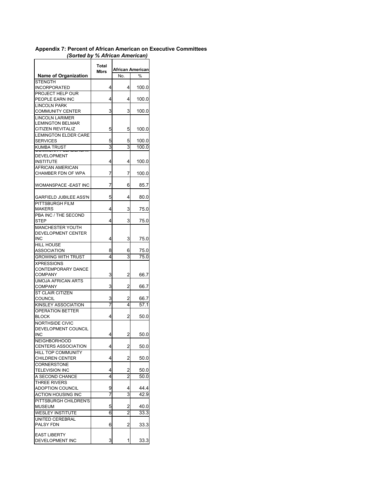## **Appendix 7: Percent of African American on Executive Committees**  *(Sorted by % African American)*

| <b>Name of Organization</b>                   | Total<br>Mbrs | No.            | African American<br>% |
|-----------------------------------------------|---------------|----------------|-----------------------|
| <b>STENGTH</b>                                |               |                |                       |
| INCORPORATED                                  | 4             | 4              | 100.0                 |
| PROJECT HELP OUR<br>PEOPLE EARN INC           |               |                |                       |
| <b>LINCOLN PARK</b>                           | 4             | 4              | 100.0                 |
| <b>COMMUNITY CENTER</b>                       | 3             | 3              | 100.0                 |
| <b>LINCOLN LARIMER</b>                        |               |                |                       |
| <b>LEMINGTON BELMAR</b>                       |               |                |                       |
| <b>CITIZEN REVITALIZ</b>                      | 5             | 5              | 100.0                 |
| <b>LEMINGTON ELDER CARE</b>                   |               |                |                       |
| <b>SERVICES</b>                               | 5             | 5<br>3         | 100.0                 |
| <b>KUMBA TRUST</b>                            | 3             |                | 100.0                 |
| <b>DEVELOPMENT</b>                            |               |                |                       |
| <b>INSTITUTE</b>                              | 4             | 4              | 100.0                 |
| AFRICAN AMERICAN                              |               |                | 100.0                 |
| CHAMBER FDN OF WPA                            | 7             | 7              |                       |
| WOMANSPACE -EAST INC                          | 7             | 6              | 85.7                  |
| <b>GARFIELD JUBILEE ASS'N</b>                 | 5             | 4              | 80.0                  |
| PITTSBURGH FILM                               |               |                |                       |
| <b>MAKERS</b>                                 | 4             | 3              | 75.0                  |
| PBA INC / THE SECOND<br><b>STEP</b>           | 4             | 3              | 75.0                  |
| <b>MANCHESTER YOUTH</b>                       |               |                |                       |
| <b>DEVELOPMENT CENTER</b>                     |               |                |                       |
| <b>INC</b>                                    | 4             | 3              | 75.0                  |
| <b>HILL HOUSE</b>                             |               |                |                       |
| ASSOCIATION                                   | 8             | 6              | 75.0                  |
| <b>GROWING WITH TRUST</b>                     | 4             | 3              | 75.0                  |
| <b>XPRESSIONS</b>                             |               |                |                       |
| CONTEMPORARY DANCE<br><b>COMPANY</b>          | 3             | 2              | 66.7                  |
| <b>UMOJA AFRICAN ARTS</b>                     |               |                |                       |
| <b>COMPANY</b>                                | 3             | 2              | 66.7                  |
| <b>ST CLAIR CITIZEN</b>                       |               |                |                       |
| <b>COUNCIL</b>                                | 3             | 2              | 66.7                  |
| KINSLEY ASSOCIATION                           | 7             | 4              | 57.1                  |
| <b>OPERATION BETTER</b>                       |               |                |                       |
| <b>BLOCK</b>                                  | 4             | 2              | 50.0                  |
| <b>NORTHSIDE CIVIC</b><br>DEVELOPMENT COUNCIL |               |                |                       |
| <b>INC</b>                                    | 4             | 2              | 50.0                  |
| <b>NEIGHBORHOOD</b>                           |               |                |                       |
| CENTERS ASSOCIATION                           | 4             | 2              | 50.0                  |
| HILL TOP COMMUNITY                            |               |                |                       |
| <b>CHILDREN CENTER</b>                        | 4             | $\overline{a}$ | 50.0                  |
| <b>CORNERSTONE</b>                            |               |                |                       |
| <b>TELEVISION INC</b>                         | 4<br>4        | 2<br>2         | 50.0                  |
| A SECOND CHANCE<br>THREE RIVERS               |               |                | 50.0                  |
| <b>ADOPTION COUNCIL</b>                       | 9             | 4              | 44.4                  |
| ACTION HOUSING INC                            | 7             | 3              | 42.9                  |
| PITTSBURGH CHILDREN'S                         |               |                |                       |
| <b>MUSEUM</b>                                 | 5             | 2              | 40.0                  |
| <b>WESLEY INSTITUTE</b>                       | 6             | 2              | 33.3                  |
| UNITED CEREBRAL                               |               |                |                       |
| PALSY FDN                                     | 6             | 2              | 33.3                  |
| <b>EAST LIBERTY</b>                           |               |                |                       |
| DEVELOPMENT INC                               | 3             | 1              | 33.3                  |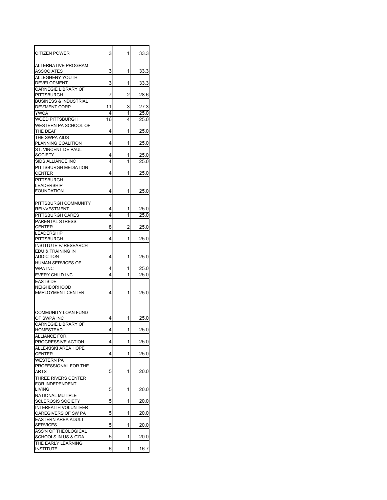| <b>CITIZEN POWER</b>                              | 3      | 1              | 33.3         |
|---------------------------------------------------|--------|----------------|--------------|
| ALTERNATIVE PROGRAM<br><b>ASSOCIATES</b>          | 3      | 1              | 33.3         |
| ALLEGHENY YOUTH<br>DEVELOPMENT                    | 3      | 1              | 33.3         |
| <b>CARNEGIE LIBRARY OF</b>                        |        |                |              |
| <b>PITTSBURGH</b>                                 | 7      | 2              | 28.6         |
| <b>BUSINESS &amp; INDUSTRIAL</b><br>DEV'MENT CORP | 11     | 3              | 27.3         |
| <b>YWCA</b>                                       | 4      | 1              | 25.0         |
| WQED PITTSBURGH                                   | 16     | 4              | 25.0         |
| <b>WESTERN PA SCHOOL OF</b><br>THE DEAF           | 4      | 1              | 25.0         |
| THE SWPA AIDS                                     |        |                |              |
| PLANNING COALITION                                | 4      | 1              | 25.0         |
| ST. VINCENT DE PAUL                               |        |                |              |
| <b>SOCIETY</b><br>SIDS ALLIANCE INC               | 4<br>4 | 1<br>1         | 25.0<br>25.0 |
| PITTSBURGH MEDIATION                              |        |                |              |
| <b>CENTER</b>                                     | 4      | 1              | 25.0         |
| <b>PITTSBURGH</b>                                 |        |                |              |
| <b>LEADERSHIP</b><br><b>FOUNDATION</b>            | 4      | 1              | 25.0         |
|                                                   |        |                |              |
| PITTSBURGH COMMUNITY                              |        |                |              |
| <b>REINVESTMENT</b><br>PITTSBURGH CARES           | 4<br>4 | 1<br>1         | 25.0<br>25.0 |
| PARENTAL STRESS                                   |        |                |              |
| <b>CENTER</b>                                     | 8      | $\overline{c}$ | 25.0         |
| <b>LEADERSHIP</b>                                 |        |                |              |
| PITTSBURGH<br><b>INSTITUTE F/ RESEARCH</b>        | 4      | 1              | 25.0         |
| EDU & TRAINING IN                                 |        |                |              |
| <b>ADDICTION</b>                                  | 4      | 1              | 25.0         |
| HUMAN SERVICES OF<br><b>WPA INC</b>               |        | 1              | 25.0         |
| EVERY CHILD INC                                   | 4<br>4 | 1              | 25.0         |
| <b>EASTSIDE</b>                                   |        |                |              |
| <b>NEIGHBORHOOD</b>                               |        |                |              |
| <b>EMPLOYMENT CENTER</b>                          | 4      | 1              | 25.0         |
| <b>COMMUNITY LOAN FUND</b><br>OF SWPA INC         | 4      | 1              | 25.0         |
| <b>CARNEGIE LIBRARY OF</b><br><b>HOMES I EAD</b>  | 4      |                | 25.0         |
| <b>ALLIANCE FOR</b>                               |        |                |              |
| PROGRESSIVE ACTION<br>ALLE-KISKI AREA HOPE        | 4      | 1              | 25.0         |
| <b>CENTER</b>                                     | 4      | 1              | 25.0         |
| <b>WESTERN PA</b>                                 |        |                |              |
| PROFESSIONAL FOR THE<br>ARTS                      | 5      | 1              | 20.0         |
| THREE RIVERS CENTER                               |        |                |              |
| FOR INDEPENDENT                                   |        |                |              |
| <b>LIVING</b>                                     | 5      | 1              | 20.0         |
| NATIONAL MUTIPLE<br><b>SCLEROSIS SOCIETY</b>      | 5      | 1              | 20.0         |
| <b>INTERFAITH VOLUNTEER</b>                       |        |                |              |
| CAREGIVERS OF SW PA                               | 5      | 1              | 20.0         |
| EASTERN AREA ADULT<br><b>SERVICES</b>             | 5      | 1              | 20.0         |
| ASS'N OF THEOLOGICAL                              |        |                |              |
| SCHOOLS IN US & C'DA                              | 5      | 1              | 20.0         |
| THE EARLY LEARNING                                | 6      | 1              |              |
| <b>INSTITUTE</b>                                  |        |                | 16.7         |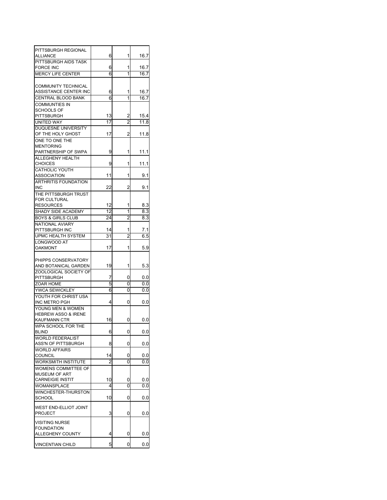| PITTSBURGH REGIONAL            |                |                |      |
|--------------------------------|----------------|----------------|------|
| ALLIANCE                       | 6              | 1              | 16.7 |
| PITTSBURGH AIDS TASK           |                |                |      |
| FORCE INC                      | 6              | 1              | 16.7 |
| <b>MERCY LIFE CENTER</b>       | 6              | 1              | 16.7 |
|                                |                |                |      |
| <b>COMMUNITY TECHNICAL</b>     |                |                |      |
| ASSISTANCE CENTER INC          | 6              | 1              | 16.7 |
| CENTRAL BLOOD BANK             | 6              | 1              | 16.7 |
|                                |                |                |      |
| <b>COMMUNTIES IN</b>           |                |                |      |
| <b>SCHOOLS OF</b>              |                |                |      |
| PITTSBURGH                     | 13             | 2              | 15.4 |
| UNITED WAY                     | 17             | $\overline{2}$ | 11.8 |
| DUQUESNE UNIVERSITY            |                |                |      |
| OF THE HOLY GHOST              | 17             | 2              | 11.8 |
| ONE TO ONE THE                 |                |                |      |
| <b>MENTORING</b>               |                |                |      |
| PARTNERSHIP OF SWPA            | 9              | 1              | 11.1 |
| ALLEGHENY HEALTH               |                |                |      |
| <b>CHOICES</b>                 | 9              | 1              | 11.1 |
| <b>CATHOLIC YOUTH</b>          |                |                |      |
| ASSOCIATION                    | 11             | 1              | 9.1  |
| <b>ARTHRITIS FOUNDATION</b>    |                |                |      |
| INC                            | 22             | 2              | 9.1  |
| THE PITTSBURGH TRUST           |                |                |      |
| <b>FOR CULTURAL</b>            |                |                |      |
| <b>RESOURCES</b>               | 12             | 1              | 8.3  |
| SHADY SIDE ACADEMY             | 12             | 1              | 8.3  |
| <b>BOYS &amp; GIRLS CLUB</b>   | 24             | 2              | 8.3  |
| <b>NATIONAL AVIARY</b>         |                |                |      |
| PITTSBURGH INC                 | 14             | 1              | 7.1  |
| <b>UPMC HEALTH SYSTEM</b>      | 31             | $\overline{c}$ | 6.5  |
| LONGWOOD AT                    |                |                |      |
|                                |                | 1              |      |
| <b>OAKMONT</b>                 | 17             |                | 5.9  |
|                                |                |                |      |
| PHIPPS CONSERVATORY            |                |                |      |
| AND BOTANICAL GARDEN           | 19             | 1              | 5.3  |
| <b>ZOOLOGICAL SOCIETY OF</b>   |                |                |      |
| <b>PITTSBURGH</b>              | 7              | 0              | 0.0  |
| ZOAR HOME                      | 5              | 0              | 0.0  |
| YWCA SEWICKLEY                 | 6              | 0              | 0.0  |
| YOUTH FOR CHRIST USA           |                |                |      |
| INC METRO PGH                  | 4              | 0              | 0.0  |
| YOUNG MEN & WOMEN              |                |                |      |
| <b>HEBREW ASSO &amp; IRENE</b> |                |                |      |
| KAUFMANN CTR                   | 16             | 0              | 0.0  |
| WPA SCHOOL FOR THE             |                |                |      |
| <b>BLIND</b>                   | 6              | 0              | 0.0  |
| <b>WORLD FEDERALIST</b>        |                |                |      |
| ASS'N OF PITTSBURGH            | 8              | 0              | 0.0  |
| <b>WORLD AFFAIRS</b>           |                |                |      |
| <b>COUNCIL</b>                 | 14             | 0              | 0.0  |
| WORKSMITH INSTITUTE            | $\overline{2}$ | 0              | 0.0  |
| <b>WOMENS COMMITTEE OF</b>     |                |                |      |
| <b>MUSEUM OF ART</b>           |                |                |      |
| <b>CARNEIGIE INSTIT</b>        | 10             | 0              | 0.0  |
| WOMANSPLACE                    | 4              | 0              | 0.0  |
| WINCHESTER-THURSTON            |                |                |      |
| <b>SCHOOL</b>                  | 10             | 0              | 0.0  |
|                                |                |                |      |
| WEST END-ELLIOT JOINT          |                |                |      |
| PROJECT                        | 3              | 0              | 0.0  |
|                                |                |                |      |
| <b>VISITING NURSE</b>          |                |                |      |
| <b>FOUNDATION</b>              |                |                |      |
| ALLEGHENY COUNTY               | 4              | 0              | 0.0  |
|                                | 5              | 0              |      |
| <b>VINCENTIAN CHILD</b>        |                |                | 0.0  |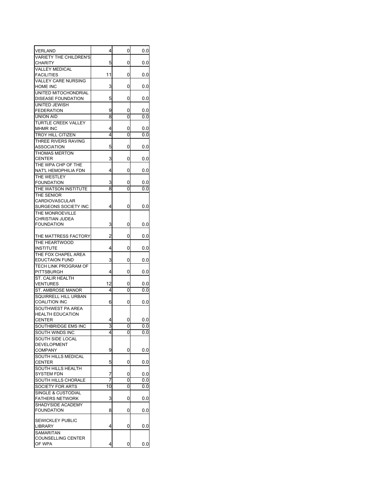| VERLAND                         | 4                       | 0 | 0.0 |
|---------------------------------|-------------------------|---|-----|
| <b>VARIETY THE CHILDREN'S</b>   |                         |   |     |
| CHARITY                         | 5                       | 0 | 0.0 |
| VALLEY MEDICAL                  |                         |   |     |
| <b>FACILITIES</b>               | 11                      | 0 | 0.0 |
| VALLEY CARE NURSING<br>HOME INC | 3                       | 0 | 0.0 |
| UNITED MITOCHONDRIAL            |                         |   |     |
| DISEASE FOUNDATION              | 5                       | 0 | 0.0 |
| UNITED JEWISH                   |                         |   |     |
| <b>FEDERATION</b>               | 9                       | 0 | 0.0 |
| <b>UNION AID</b>                | 8                       | 0 | 0.0 |
| <b>TURTLE CREEK VALLEY</b>      |                         |   |     |
| <b>MHMR INC</b>                 | 4                       | 0 | 0.0 |
| <b>TROY HILL CITIZEN</b>        | 4                       | 0 | 0.0 |
| THREE RIVERS RAVING             |                         |   |     |
| ASSOCIATION                     | 5                       | 0 | 0.0 |
| <b>THOMAS MERTON</b>            |                         |   |     |
| <b>CENTER</b>                   | 3                       | 0 | 0.0 |
| THE WPA CHP OF THE              |                         |   |     |
| NAT'L HEMOPHILIA FDN            | 4                       | 0 | 0.0 |
| THE WESTLEY                     |                         |   |     |
| <b>FOUNDATION</b>               | 3                       | 0 | 0.0 |
| THE WATSON INSTITUTE            | 8                       | 0 | 0.0 |
| THE SENIOR                      |                         |   |     |
| CARDIOVASCULAR                  |                         |   |     |
| SURGEONS SOCIETY INC            | 4                       | 0 | 0.0 |
| THE MONROEVILLE                 |                         |   |     |
| CHRISTIAN JUDEA                 |                         |   |     |
| <b>FOUNDATION</b>               | 3                       | 0 | 0.0 |
|                                 |                         |   |     |
| THE MATTRESS FACTORY            | $\overline{\mathbf{c}}$ | 0 | 0.0 |
| THE HEARTWOOD                   |                         |   |     |
| <b>INSTITUTE</b>                | 4                       | 0 | 0.0 |
| THE FOX CHAPEL AREA             |                         |   |     |
| <b>EDUCTAION FUND</b>           | 3                       | 0 | 0.0 |
| <b>TECH LINK PROGRAM OF</b>     |                         |   |     |
| PITTSBURGH                      | 4                       | 0 | 0.0 |
| ST. CALIR HEALTH                |                         |   |     |
| VENTURES                        | 12                      | 0 | 0.0 |
| ST. AMBROSE MANOR               | 4                       | 0 | 0.0 |
| SQUIRRELL HILL URBAN            |                         |   |     |
| <b>COALITION INC</b>            | 6                       | 0 | 0.0 |
| SOUTHWEST PA AREA               |                         |   |     |
| <b>HEALTH EDUCATION</b>         |                         |   |     |
| <b>CENTER</b>                   | 4                       | 0 | 0.0 |
| SOUTHBRIDGE EMS INC             | 3                       | 0 | 0.0 |
| SOUTH WINDS INC                 | 4                       | 0 | 0.0 |
| SOUTH SIDE LOCAL                |                         |   |     |
| DEVELOPMENT                     |                         |   |     |
| COMPANY                         | 9                       | 0 | 0.0 |
| SOUTH HILLS MEDICAL             |                         |   |     |
| CENTER                          | 5                       | 0 | 0.0 |
| SOUTH HILLS HEALTH              |                         |   |     |
| <b>SYSTEM FDN</b>               | 7                       | 0 | 0.0 |
| SOUTH HILLS CHORALE             | 7                       | 0 | 0.0 |
| SOCIETY FOR ARTS                | 10                      | 0 | 0.0 |
| SINGLE & CUSTODIAL              |                         |   |     |
| <b>FATHERS NETWORK</b>          | 3                       | 0 | 0.0 |
| SHADYSIDE ACADEMY               |                         |   |     |
| <b>FOUNDATION</b>               | 8                       | 0 | 0.0 |
|                                 |                         |   |     |
| SEWICKLEY PUBLIC                |                         |   |     |
| LIBRARY                         | 4                       | 0 | 0.0 |
| <b>SAMARITAN</b>                |                         |   |     |
| COUNSELLING CENTER<br>OF WPA    | 4                       | 0 | 0.0 |
|                                 |                         |   |     |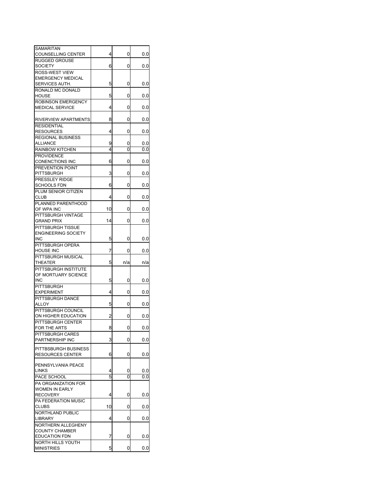| SAMARITAN                  |    |     |     |
|----------------------------|----|-----|-----|
| <b>COUNSELLING CENTER</b>  | 4  | 0   | 0.0 |
| <b>RUGGED GROUSE</b>       |    |     |     |
| <b>SOCIETY</b>             | 6  | 0   | 0.0 |
| ROSS-WEST VIEW             |    |     |     |
| <b>EMERGENCY MEDICAL</b>   |    |     |     |
| SERVICES AUTH.             | 5  | 0   | 0.0 |
| RONALD MC DONALD           |    |     |     |
| <b>HOUSE</b>               | 5  | 0   | 0.0 |
| <b>ROBINSON EMERGENCY</b>  |    |     |     |
| <b>MEDICAL SERVICE</b>     | 4  | 0   | 0.0 |
|                            |    |     |     |
| RIVERVIEW APARTMENTS       | 8  | 0   | 0.0 |
| <b>RESIDENTIAL</b>         |    |     |     |
| <b>RESOURCES</b>           | 4  | 0   | 0.0 |
| <b>REGIONAL BUSINESS</b>   |    |     |     |
| <b>ALLIANCE</b>            | 9  | 0   | 0.0 |
| <b>RAINBOW KITCHEN</b>     | 4  | 0   | 0.0 |
| <b>PROVIDENCE</b>          |    |     |     |
| <b>CONENCTIONS INC</b>     | 6  | 0   | 0.0 |
| PREVENTION POINT           |    |     |     |
| <b>PITTSBURGH</b>          | 3  | 0   | 0.0 |
| PRESSLEY RIDGE             |    |     |     |
| <b>SCHOOLS FDN</b>         | 6  | 0   | 0.0 |
| PLUM SENIOR CITIZEN        |    |     |     |
| <b>CLUB</b>                | 4  | 0   | 0.0 |
| PLANNED PARENTHOOD         |    |     |     |
| OF WPA INC                 | 10 | 0   | 0.0 |
| PITTSBURGH VINTAGE         |    |     |     |
| <b>GRAND PRIX</b>          | 14 | 0   | 0.0 |
| PITTSBURGH TISSUE          |    |     |     |
| <b>ENGINEERING SOCIETY</b> |    |     |     |
| <b>INC</b>                 | 5  | 0   | 0.0 |
| PITTSBURGH OPERA           |    |     |     |
| <b>HOUSE INC</b>           | 7  | 0   | 0.0 |
| PITTSBURGH MUSICAL         |    |     |     |
| THEATER                    | 5  | n/a | n/a |
| PITTSBURGH INSTITUTE       |    |     |     |
| OF MORTUARY SCIENCE        |    |     |     |
| <b>INC</b>                 | 5  | 0   | 0.0 |
| <b>PITTSBURGH</b>          |    |     |     |
| <b>EXPERIMENT</b>          | 4  | 0   | 0.0 |
| PITTSBURGH DANCE           |    |     |     |
| ALLOY                      | 5  | 0   | 0.0 |
| PITTSBURGH COUNCIL         |    |     |     |
| ON HIGHER EDUCATION        | 2  | 0   | 0.0 |
| PITTSBURGH CENTER          |    |     |     |
| FOR THE ARTS               | 8  | 0   | 0.0 |
| PITTSBURGH CARES           |    |     |     |
| PARTNERSHIP INC            | 3  | 0   | 0.0 |
| PITTBSBURGH BUSINESS       |    |     |     |
| <b>RESOURCES CENTER</b>    | 6  | 0   | 0.0 |
|                            |    |     |     |
| PENNSYLVANIA PEACE         |    |     |     |
| <b>LINKS</b>               | 4  | 0   | 0.0 |
| PACE SCHOOL                | 5  | 0   | 0.0 |
| PA ORGANIZATION FOR        |    |     |     |
| <b>WOMEN IN EARLY</b>      |    |     |     |
| <b>RECOVERY</b>            | 4  | 0   | 0.0 |
| PA FEDERATION MUSIC        |    |     |     |
| <b>CLUBS</b>               | 10 | 0   | 0.0 |
| NORTHLAND PUBLIC           |    |     |     |
| <b>LIBRARY</b>             | 4  | 0   | 0.0 |
| NORTHERN ALLEGHENY         |    |     |     |
| <b>COUNTY CHAMBER</b>      |    |     |     |
| <b>EDUCATION FDN</b>       | 7  | 0   | 0.0 |
| NORTH HILLS YOUTH          |    |     |     |
| <b>MINISTRIES</b>          | 5  | 0   | 0.0 |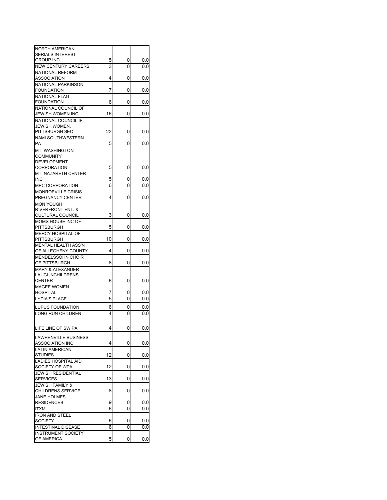| NORTH AMERICAN               |    |             |     |
|------------------------------|----|-------------|-----|
| <b>SERIALS INTEREST</b>      |    |             |     |
| <b>GROUP INC</b>             | 5  | 0           | 0.0 |
| <b>NEW CENTURY CAREERS</b>   | 3  | 0           | 0.0 |
| NATIONAL REFORM              |    |             |     |
| <b>ASSOCIATION</b>           | 4  | 0           | 0.0 |
| NATIONAL PARKINSON           |    |             |     |
| <b>FOUNDATION</b>            | 7  | 0           | 0.0 |
| <b>NATIONAL FLAG</b>         |    |             |     |
| <b>FOUNDATION</b>            | 6  | 0           | 0.0 |
| NATIONAL COUNCIL OF          |    |             |     |
| <b>JEWISH WOMEN INC</b>      | 16 | 0           | 0.0 |
| NATIONAL COUNCIL IF          |    |             |     |
| <b>JEWISH WOMEN.</b>         |    |             |     |
| PITTSBURGH SEC               | 22 | 0           | 0.0 |
| NAMI SOUTHWESTERN            |    |             |     |
| PA                           | 5  | 0           | 0.0 |
| MT. WASHINGTON               |    |             |     |
| <b>COMMUNITY</b>             |    |             |     |
| <b>DEVELOPMENT</b>           |    |             |     |
| <b>CORPORATION</b>           | 5  | 0           | 0.0 |
| MT. NAZARETH CENTER          |    |             |     |
| <b>INC</b>                   | 5  | 0           | 0.0 |
| <b>MPC CORPORATION</b>       | 6  | 0           | 0.0 |
| <b>MONROEVILLE CRISIS</b>    |    |             |     |
| PREGNANCY CENTER             | 4  | 0           | 0.0 |
| <b>MON YOUGH</b>             |    |             |     |
| <b>RIVERFRONT ENT. &amp;</b> |    |             |     |
| <b>CULTURAL COUNCIL</b>      | 3  | 0           | 0.0 |
| MOMS HOUSE INC OF            |    |             |     |
| <b>PITTSBURGH</b>            | 5  | 0           | 0.0 |
| MERCY HOSPITAL OF            |    |             |     |
| <b>PITTSBURGH</b>            | 10 | 0           | 0.0 |
| MENTAL HEALTH ASS'N          |    |             |     |
| OF ALLEGHENY COUNTY          | 4  | 0           | 0.0 |
| <b>MENDELSSOHN CHOIR</b>     |    |             |     |
| OF PITTSBURGH                | 8  | 0           | 0.0 |
| <b>MARY &amp; ALEXANDER</b>  |    |             |     |
| LAUGLINCHILDRENS             |    |             |     |
| <b>CENTER</b>                | 6  | 0           | 0.0 |
| <b>MAGEE WOMEN</b>           |    |             |     |
| <b>HOSPITAL</b>              | 7  | 0           | 0.0 |
| <b>LYDIA'S PLACE</b>         | 5  | Ō           | 0.0 |
|                              |    |             |     |
| LUPUS FOUNDATION             | 6  | 0           | 0.0 |
| LONG RUN CHILDREN            | 4  | 0           | 0.0 |
|                              |    |             |     |
| LIFE LINE OF SW PA           | 4  | $\mathbf 0$ | 0.0 |
|                              |    |             |     |
| <b>LAWRENVILLE BUSINESS</b>  |    |             |     |
| <b>ASSOCIATION INC</b>       | 4  | 0           | 0.0 |
| <b>LATIN AMERICAN</b>        |    |             |     |
| <b>STUDIES</b>               | 12 | 0           | 0.0 |
| <b>LADIES HOSPITAL AID</b>   |    |             |     |
| SOCIETY OF WPA               | 12 | 0           | 0.0 |
| <b>JEWISH RESIDENTIAL</b>    |    |             |     |
| <b>SERVICES</b>              | 13 | 0           | 0.0 |
| <b>JEWISH FAMILY &amp;</b>   |    |             |     |
| CHILDRENS SERVICE            | 8  | 0           | 0.0 |
| <b>JANE HOLMES</b>           |    |             |     |
| <b>RESIDENCES</b>            | 9  | 0           | 0.0 |
| <b>ITXM</b>                  | 6  | 0           | 0.0 |
| <b>IRON AND STEEL</b>        |    |             |     |
| <b>SOCIETY</b>               | 6  | 0           | 0.0 |
| <b>INTESTINAL DISEASE</b>    | 6  | 0           | 0.0 |
| <b>INSTRUMENT SOCIETY</b>    |    |             |     |
| OF AMERICA                   | 5  | 0           | 0.0 |
|                              |    |             |     |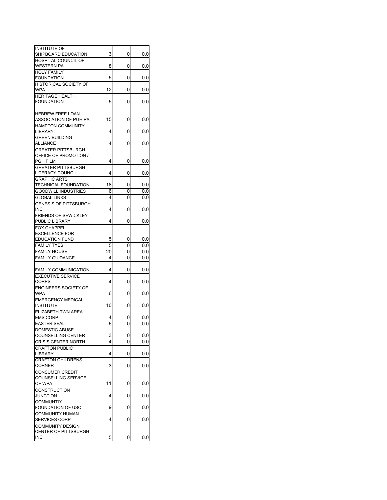| <b>INSTITUTE OF</b>          |    |   |     |
|------------------------------|----|---|-----|
| SHIPBOARD EDUCATION          | 3  | 0 | 0.0 |
| <b>HOSPITAL COUNCIL OF</b>   |    |   |     |
| WESTERN PA                   | 8  | 0 | 0.0 |
| <b>HOLY FAMILY</b>           |    |   |     |
| <b>FOUNDATION</b>            | 5  | 0 | 0.0 |
| HISTORICAL SOCIETY OF        |    |   |     |
| <b>WPA</b>                   | 12 | 0 | 0.0 |
| <b>HERITAGE HEALTH</b>       |    |   |     |
| <b>FOUNDATION</b>            | 5  | 0 | 0.0 |
|                              |    |   |     |
|                              |    |   |     |
| <b>HEBREW FREE LOAN</b>      |    |   |     |
| ASSOCIATION OF PGH PA        | 15 | 0 | 0.0 |
| <b>HAMPTON COMMUNITY</b>     |    |   |     |
| LIBRARY                      | 4  | 0 | 0.0 |
| <b>GREEN BUILDING</b>        |    |   |     |
| ALLIANCE                     | 4  | 0 | 0.0 |
| <b>GREATER PITTSBURGH</b>    |    |   |     |
| OFFICE OF PROMOTION /        |    |   |     |
|                              |    |   |     |
| <b>PGH FILM</b>              | 4  | 0 | 0.0 |
| <b>GREATER PITTSBURGH</b>    |    |   |     |
| LITERACY COUNCIL             | 4  | 0 | 0.0 |
| <b>GRAPHIC ARTS</b>          |    |   |     |
| TECHNICAL FOUNDATION         | 18 | 0 | 0.0 |
| <b>GOODWILL INDUSTRIES</b>   | 6  | 0 | 0.0 |
| <b>GLOBAL LINKS</b>          | 4  | 0 | 0.0 |
|                              |    |   |     |
| <b>GENESIS OF PITTSBURGH</b> |    |   |     |
| INC                          | 4  | 0 | 0.0 |
| <b>FRIENDS OF SEWICKLEY</b>  |    |   |     |
| PUBLIC LIBRARY               | 4  | 0 | 0.0 |
| <b>FOX CHAPPEL</b>           |    |   |     |
| <b>EXCELLENCE FOR</b>        |    |   |     |
| <b>EDUCATION FUND</b>        | 5  | 0 | 0.0 |
| <b>FAMILY TYES</b>           | 5  | 0 |     |
|                              |    |   | 0.0 |
| <b>FAMILY HOUSE</b>          | 20 | 0 | 0.0 |
| <b>FAMILY GUIDANCE</b>       | 4  | 0 | 0.0 |
|                              |    |   |     |
| <b>FAMILY COMMUNICATION</b>  | 4  | 0 | 0.0 |
| <b>EXECUTIVE SERVICE</b>     |    |   |     |
| <b>CORPS</b>                 | 4  | 0 | 0.0 |
| <b>ENGINEERS SOCIETY OF</b>  |    |   |     |
| <b>WPA</b>                   | 6  | 0 | 0.0 |
|                              |    |   |     |
| <b>EMERGENCY MEDICAL</b>     |    |   |     |
| <b>INSTITUTE</b>             | 10 | 0 | 0.0 |
| <b>ELIZABETH TWN AREA</b>    |    |   |     |
| <b>EMS CORP</b>              | 4  | 0 | 0.0 |
| <b>EASTER SEAL</b>           | 6  | 0 | 0.0 |
| DOMESTIC ABUSE               |    |   |     |
| <b>COUNSELLING CENTER</b>    | 3  | 0 | 0.0 |
| CRISIS CENTER NORTH          | 4  | O | 0.0 |
|                              |    |   |     |
| <b>CRAFTON PUBLIC</b>        |    |   |     |
| LIBRARY                      | 4  | 0 | 0.0 |
| <b>CRAFTON CHILDRENS</b>     |    |   |     |
| <b>CORNER</b>                | 3  | 0 | 0.0 |
| <b>CONSUMER CREDIT</b>       |    |   |     |
| COUNSELLING SERVICE          |    |   |     |
| OF WPA                       | 11 | 0 | 0.0 |
| <b>CONSTRUCTION</b>          |    |   |     |
|                              |    |   |     |
| JUNCTION                     | 4  | 0 | 0.0 |
| <b>COMMUNTIY</b>             |    |   |     |
| FOUNDATION OF USC            | 9  | 0 | 0.0 |
| <b>COMMUNITY HUMAN</b>       |    |   |     |
| <b>SERVICES CORP</b>         | 4  | 0 | 0.0 |
| <b>COMMUNITY DESIGN</b>      |    |   |     |
| <b>CENTER OF PITTSBURGH</b>  |    |   |     |
| <b>INC</b>                   | 5  | 0 | 0.0 |
|                              |    |   |     |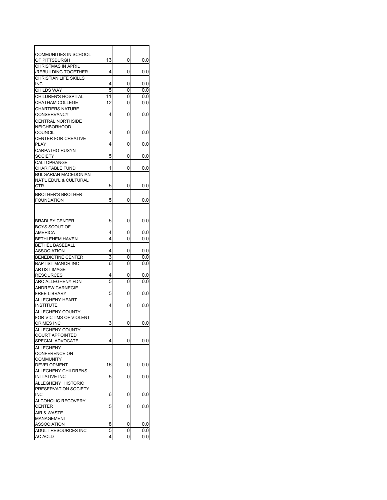| <b>COMMUNITIES IN SCHOOL</b>               |        |        |            |
|--------------------------------------------|--------|--------|------------|
| OF PITTSBURGH                              | 13     | 0      | 0.0        |
| <b>CHRISTMAS IN APRIL</b>                  |        |        |            |
| /REBUILDING TOGETHER                       | 4      | 0      | 0.0        |
| <b>CHRISTIAN LIFE SKILLS</b>               |        |        |            |
| INC                                        | 4      | 0      | 0.0        |
| <b>CHILDS WAY</b>                          | 5      | 0      | 0.0        |
| CHILDREN'S HOSPITAL                        | 11     | 0      | 0.0        |
|                                            | 12     |        |            |
| <b>CHATHAM COLLEGE</b>                     |        | 0      | 0.0        |
| <b>CHARTIERS NATURE</b>                    |        |        |            |
| <b>CONSERVANCY</b>                         | 4      | 0      | 0.0        |
| <b>CENTRAL NORTHSIDE</b>                   |        |        |            |
| <b>NEIGHBORHOOD</b>                        |        |        |            |
| <b>COUNCIL</b>                             | 4      | 0      | 0.0        |
| <b>CENTER FOR CREATIVE</b>                 |        |        |            |
| PLAY                                       | 4      | 0      | 0.0        |
| CARPATHO-RUSYN                             |        |        |            |
| <b>SOCIETY</b>                             | 5      | 0      | 0.0        |
| <b>CALI OPHANGE</b>                        |        |        |            |
| <b>CHARITABLE FUND</b>                     | 1      | 0      | 0.0        |
| <b>BULGARIAN MACEDONIAN</b>                |        |        |            |
| NAT'L EDU'L & CULTURAL                     |        |        |            |
| CTR                                        | 5      | 0      | 0.0        |
| <b>BROTHER'S BROTHER</b>                   |        |        |            |
| <b>FOUNDATION</b>                          | 5      | 0      | 0.0        |
|                                            |        |        |            |
|                                            |        |        |            |
|                                            |        |        |            |
| <b>BRADLEY CENTER</b>                      | 5      | 0      | 0.0        |
| BOYS SCOUT OF                              |        |        |            |
| AMERICA                                    | 4      | 0      | 0.0        |
| BETHLEHEM HAVEN                            | 4      | 0      | 0.0        |
| <b>BETHEL BASEBALL</b>                     |        |        |            |
|                                            |        |        |            |
| ASSOCIATION                                | 4      | 0      | 0.0        |
| <b>BENEDICTINE CENTER</b>                  | 3      | 0      | 0.0        |
| <b>BAPTIST MANOR INC</b>                   | 6      | 0      | 0.0        |
| <b>ARTIST IMAGE</b>                        |        |        |            |
| <b>RESOURCES</b>                           | 4      | 0      | 0.0        |
| ARC ALLEGHENY FDN                          | 5      | 0      | 0.0        |
| <b>ANDREW CARNEGIE</b>                     |        |        |            |
| <b>FREE LIBRARY</b>                        | 5      | 0      | 0.0        |
| <b>ALLEGHENY HEART</b>                     |        |        |            |
| <b>INSTITUTE</b>                           | 4      | 0      | 0.0        |
| <b>ALLEGHENY COUNTY</b>                    |        |        |            |
| FOR VICTIMS OF VIOLENT                     |        |        |            |
| <b>CRIMES INC</b>                          | 3      | 0      | 0.0        |
|                                            |        |        |            |
| ALLEGHENY COUNTY<br><b>COURT APPOINTED</b> |        |        |            |
| SPECIAL ADVOCATE                           | 4      | 0      | 0.0        |
|                                            |        |        |            |
| <b>ALLEGHENY</b>                           |        |        |            |
| CONFERENCE ON                              |        |        |            |
| <b>COMMUNITY</b>                           |        |        |            |
| <b>DEVELOPMENT</b>                         | 16     | 0      | 0.0        |
| ALLEGHENY CHILDRENS                        |        |        |            |
| <b>INITIATIVE INC</b>                      | 5      | 0      | 0.0        |
| ALLEGHENY HISTORIC                         |        |        |            |
| PRESERVATION SOCIETY                       |        |        |            |
| INC                                        | 6      | 0      | 0.0        |
| ALCOHOLIC RECOVERY                         |        |        |            |
| <b>CENTER</b>                              | 5      | 0      | 0.0        |
| AIR & WASTE                                |        |        |            |
| MANAGEMENT                                 |        |        |            |
| ASSOCIATION                                | 8      | 0      | 0.0        |
| ADULT RESOURCES INC<br><b>AC ACLD</b>      | 5<br>4 | 0<br>0 | 0.0<br>0.0 |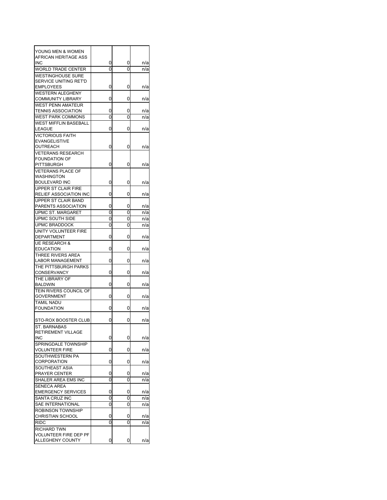| YOUNG MEN & WOMEN<br>AFRICAN HERITAGE ASS<br><b>INC</b> | 0 | 0 | n/a |
|---------------------------------------------------------|---|---|-----|
| <b>WORLD TRADE CENTER</b>                               | 0 | 0 | n/a |
| <b>WESTINGHOUSE SURE</b><br>SERVICE UNITING RET'D       |   |   |     |
| <b>EMPLOYEES</b>                                        | 0 | 0 | n/a |
| <b>WESTERN ALEGHENY</b><br><b>COMMUNITY LIBRARY</b>     | 0 | 0 | n/a |
| <b>WEST PENN AMATEUR</b>                                |   |   |     |
| <b>TENNIS ASSOCIATION</b>                               | 0 | 0 | n/a |
| <b>WEST PARK COMMONS</b>                                | 0 | 0 | n/a |
| <b>WEST MIFFLIN BASEBALL</b><br>LEAGUE                  | 0 | 0 | n/a |
| <b>VICTORIOUS FAITH</b>                                 |   |   |     |
| <b>EVANGELISTIVE</b>                                    |   |   |     |
| OUTREACH                                                | 0 | 0 | n/a |
| <b>VETERANS RESEARCH</b>                                |   |   |     |
| <b>FOUNDATION OF</b>                                    |   |   |     |
| <b>PITTSBURGH</b>                                       | 0 | 0 | n/a |
| <b>VETERANS PLACE OF</b><br>WASHINGTON                  |   |   |     |
| <b>BOULEVARD INC</b>                                    | 0 | 0 | n/a |
| UPPER ST CLAIR FIRE                                     |   |   |     |
| <b>RELIEF ASSOCIATION INC</b>                           | 0 | 0 | n/a |
| UPPER ST CLAIR BAND                                     |   |   |     |
| PARENTS ASSOCIATION                                     | 0 | 0 | n/a |
| <b>UPMC ST. MARGARET</b>                                | 0 | 0 | n/a |
| UPMC SOUTH SIDE                                         | 0 | 0 | n/a |
| <b>UPMC BRADDOCK</b>                                    | 0 | 0 | n/a |
| UNITY VOLUNTEER FIRE<br><b>DEPARTMENT</b>               | 0 | 0 | n/a |
| <b>UE RESEARCH &amp;</b>                                |   |   |     |
| <b>EDUCATION</b>                                        | 0 | 0 | n/a |
| THREE RIVERS AREA                                       |   |   |     |
| <b>LABOR MANAGEMENT</b>                                 | 0 | 0 | n/a |
| THE PITTSBURGH PARKS<br><b>CONSERVANCY</b>              | 0 | 0 | n/a |
| THE LIBRARY OF                                          |   |   |     |
| <b>BALDWIN</b>                                          | 0 | 0 | n/a |
| <b>TEIN RIVERS COUNCIL OF</b>                           |   |   |     |
| <b>GOVERNMENT</b>                                       | 0 | 0 | n/a |
| <b>TAMIL NADU</b>                                       |   |   |     |
| <b>FOUNDATION</b>                                       | 0 | 0 | n/a |
| STO-ROX BOOSTER CLUB                                    | 0 | 0 | n/a |
| <b>ST. BARNABAS</b>                                     |   |   |     |
| RETIREMENT VILLAGE                                      |   |   |     |
| <b>INC</b>                                              | 0 | 0 | n/a |
| SPRINGDALE TOWNSHIP<br><b>VOLUNTEER FIRE</b>            | 0 | 0 | n/a |
| SOUTHWESTERN PA                                         |   |   |     |
| <b>CORPORATION</b>                                      | 0 | 0 | n/a |
| SOUTHEAST ASIA                                          |   |   |     |
| PRAYER CENTER                                           | 0 | 0 | n/a |
| SHALER AREA EMS INC                                     | 0 | 0 | n/a |
| <b>SENECA AREA</b>                                      |   |   |     |
| <b>EMERGENCY SERVICES</b>                               | 0 | 0 | n/a |
| SANTA CRUZ INC                                          | 0 | 0 | n/a |
| <b>SAE INTERNATIONAL</b>                                | 0 | 0 | n/a |
| <b>ROBINSON TOWNSHIP</b>                                |   |   |     |
| <b>CHRISTIAN SCHOOL</b>                                 | 0 | 0 | n/a |
| <b>RIDC</b>                                             | 0 | 0 | n/a |
| RICHARD TWN                                             |   |   |     |
| VOLUNTEER FIRE DEP PF                                   |   |   |     |
| ALLEGHENY COUNTY                                        | 0 | 0 | n/a |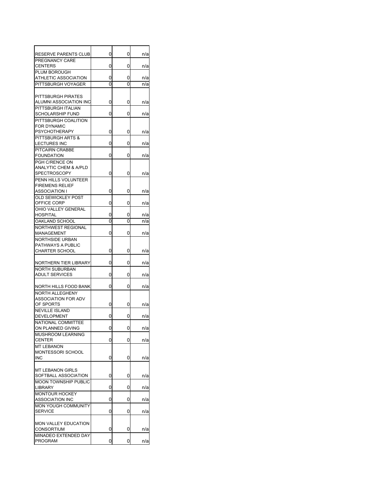| RESERVE PARENTS CLUB                            | 0 | 0 | n/a |
|-------------------------------------------------|---|---|-----|
| PREGNANCY CARE                                  |   |   |     |
| <b>CENTERS</b>                                  | 0 | 0 | n/a |
| PLUM BOROUGH                                    |   |   |     |
| ATHLETIC ASSOCIATION                            | 0 | 0 | n/a |
| PITTSBURGH VOYAGER                              | 0 | 0 | n/a |
|                                                 |   |   |     |
| PITTSBURGH PIRATES                              |   |   |     |
| ALUMNI ASSOCIATION INC                          | 0 | 0 | n/a |
| PITTSBURGH ITALIAN<br><b>SCHOLARSHIP FUND</b>   | 0 | 0 | n/a |
|                                                 |   |   |     |
| PITTSBURGH COALITION<br><b>FOR DYNAMIC</b>      |   |   |     |
| <b>PSYCHOTHERAPY</b>                            | 0 | 0 | n/a |
| PITTSBURGH ARTS &                               |   |   |     |
| <b>LECTURES INC</b>                             | 0 | 0 | n/a |
| PITCAIRN CRABBE                                 |   |   |     |
| <b>FOUNDATION</b>                               | 0 | 0 | n/a |
| PGH C/RENCE ON                                  |   |   |     |
| ANALYTIC CHEM & A/PLD                           |   |   |     |
| <b>SPECTROSCOPY</b>                             | 0 | 0 | n/a |
| PENN HILLS VOLUNTEER                            |   |   |     |
| <b>FIREMENS RELIEF</b>                          |   |   |     |
| <b>ASSOCIATION I</b>                            | 0 | 0 | n/a |
| <b>OLD SEWICKLEY POST</b><br>OFFICE CORP        | 0 | 0 |     |
| OHIO VALLEY GENERAL                             |   |   | n/a |
| HOSPITAL                                        | 0 | 0 | n/a |
| OAKLAND SCHOOL                                  | 0 | 0 | n/a |
| <b>NORTHWEST REGIONAL</b>                       |   |   |     |
| MANAGEMENT                                      | 0 | 0 | n/a |
| <b>NORTHSIDE URBAN</b>                          |   |   |     |
| PATHWAYS A PUBLIC                               |   |   |     |
| <b>CHARTER SCHOOL</b>                           | 0 | 0 | n/a |
|                                                 |   |   |     |
| NORTHERN TIER LIBRARY                           | 0 | 0 | n/a |
| <b>NORTH SUBURBAN</b>                           |   |   |     |
| <b>ADULT SERVICES</b>                           | 0 | 0 | n/a |
|                                                 | 0 |   |     |
| NORTH HILLS FOOD BANK<br><b>NORTH ALLEGHENY</b> |   | 0 | n/a |
| <b>ASSOCIATION FOR ADV</b>                      |   |   |     |
| OF SPORTS                                       | 0 | 0 | n/a |
| <b>NEVILLE ISLAND</b>                           |   |   |     |
| DEVELOPMENT                                     | 0 | 0 | n/a |
| NATIONAL COMMITTEE                              |   |   |     |
| ON PLANNED GIVING                               | 0 | 0 | n/a |
| MUSHROOM LEARNING                               |   |   |     |
| <b>CENTER</b>                                   | 0 | 0 | n/a |
| <b>MT LEBANON</b>                               |   |   |     |
| MONTESSORI SCHOOL                               |   |   |     |
| INC                                             | 0 | 0 | n/a |
|                                                 |   |   |     |
| <b>MT LEBANON GIRLS</b><br>SOFTBALL ASSOCIATION | 0 | 0 | n/a |
| <b>MOON TOWNSHIP PUBLIC</b>                     |   |   |     |
| LIBRARY                                         | 0 | 0 | n/a |
| <b>MONTOUR HOCKEY</b>                           |   |   |     |
| <b>ASSOCIATION INC</b>                          | 0 | 0 | n/a |
| <b>MON YOUGH COMMUNITY</b>                      |   |   |     |
| <b>SERVICE</b>                                  | 0 | 0 | n/a |
|                                                 |   |   |     |
| MON VALLEY EDUCATION                            |   |   |     |
| <b>CONSORTIUM</b>                               | 0 | 0 | n/a |
| MINADEO EXTENDED DAY                            |   |   |     |
| PROGRAM                                         | 0 | 0 | n/a |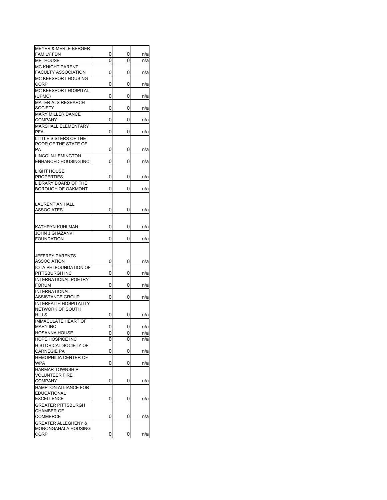| <b>MEYER &amp; MERLE BERGER</b>                   |   |   |     |
|---------------------------------------------------|---|---|-----|
| <b>FAMILY FDN</b>                                 | 0 | 0 | n/a |
| <b>METHOUSE</b>                                   | 0 | 0 | n/a |
| <b>MC KNIGHT PARENT</b>                           |   |   |     |
| <b>FACULTY ASSOCIATION</b>                        | 0 | 0 | n/a |
| MC KEESPORT HOUSING                               |   |   |     |
| CORP                                              | 0 | 0 | n/a |
| MC KEESPORT HOSPITAL                              |   |   |     |
| (UPMC)                                            | 0 | 0 | n/a |
| <b>MATERIALS RESEARCH</b>                         |   |   |     |
| <b>SOCIETY</b>                                    | 0 | 0 | n/a |
| <b>MARY MILLER DANCE</b>                          |   |   |     |
| COMPANY<br><b>MARSHALL ELEMENTARY</b>             | 0 | 0 | n/a |
| PFA                                               | 0 | 0 | n/a |
| LITTLE SISTERS OF THE                             |   |   |     |
| POOR OF THE STATE OF                              |   |   |     |
| PA                                                | 0 | 0 | n/a |
| LINCOLN-LEMINGTON                                 |   |   |     |
| ENHANCED HOUSING INC                              | 0 | 0 | n/a |
|                                                   |   |   |     |
| LIGHT HOUSE<br>PROPERTIES                         | 0 | 0 |     |
| <b>LIBRARY BOARD OF THE</b>                       |   |   | n/a |
| BOROUGH OF OAKMONT                                | 0 | 0 | n/a |
|                                                   |   |   |     |
|                                                   |   |   |     |
| LAURENTIAN HALL                                   |   |   |     |
| ASSOCIATES                                        | 0 | 0 | n/a |
|                                                   |   |   |     |
| KATHRYN KUHLMAN                                   | 0 | 0 | n/a |
| <b>JOHN J GHAZANVI</b>                            |   |   |     |
| <b>FOUNDATION</b>                                 | 0 | 0 | n/a |
|                                                   |   |   |     |
|                                                   |   |   |     |
| JEFFREY PARENTS                                   |   |   |     |
| ASSOCIATION                                       | 0 | 0 | n/a |
| <b>IOTA PHI FOUNDATION OF</b>                     |   |   |     |
| PITTSBURGH INC                                    | 0 | 0 | n/a |
| <b>INTERNATIONAL POETRY</b><br><b>FORUM</b>       | 0 | 0 | n/a |
| <b>INTERNATIONAL</b>                              |   |   |     |
| ASSISTANCE GROUP                                  | 0 | 0 | n/a |
| <b>INTERFAITH HOSPITALITY</b>                     |   |   |     |
| NETWORK OF SOUTH                                  |   |   |     |
| <b>HILLS</b>                                      | 0 | 0 | n/a |
| <b>IMMACULATE HEART OF</b>                        |   |   |     |
| <b>MARY INC</b>                                   | 0 | 0 | n/a |
| <b>HOSANNA HOUSE</b>                              | 0 | 0 | n/a |
| HOPE HOSPICE INC                                  | 0 | 0 | n/a |
| HISTORICAL SOCIETY OF                             |   |   |     |
| <b>CARNEGIE PA</b>                                | 0 | 0 | n/a |
| <b>HEMOPHILIA CENTER OF</b>                       |   |   |     |
| WPA                                               | 0 | 0 | n/a |
| <b>HARMAR TOWNSHIP</b>                            |   |   |     |
| <b>VOLUNTEER FIRE</b>                             |   |   |     |
| <b>COMPANY</b>                                    | 0 | 0 | n/a |
| <b>HAMPTON ALLIANCE FOR</b><br><b>EDUCATIONAL</b> |   |   |     |
| <b>EXCELLENCE</b>                                 | 0 | 0 | n/a |
| <b>GREATER PITTSBURGH</b>                         |   |   |     |
| <b>CHAMBER OF</b>                                 |   |   |     |
| COMMERCE                                          | 0 | 0 | n/a |
| <b>GREATER ALLEGHENY &amp;</b>                    |   |   |     |
| MONONGAHALA HOUSING                               |   |   |     |
| CORP                                              | 0 | 0 | n/a |
|                                                   |   |   |     |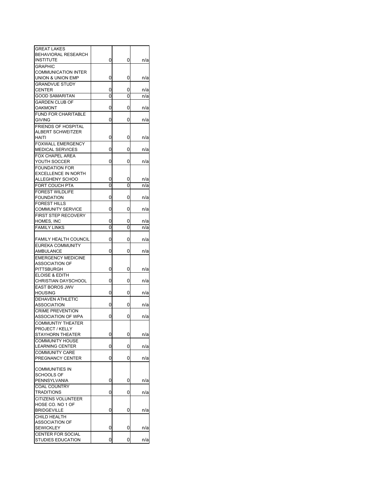| <b>GREAT LAKES</b>                              |   |   |     |
|-------------------------------------------------|---|---|-----|
| BEHAVIORAL RESEARCH                             |   |   |     |
| <b>INSTITUTE</b>                                | 0 | 0 | n/a |
| <b>GRAPHIC</b>                                  |   |   |     |
| <b>COMMUNICATION INTER</b>                      |   |   |     |
| UNION & UNION EMP                               | 0 | 0 | n/a |
| <b>GRANDVUE STUDY</b>                           |   |   |     |
| <b>CENTER</b>                                   | 0 | 0 | n/a |
| <b>GOOD SAMARITAN</b>                           | 0 | 0 | n/a |
| <b>GARDEN CLUB OF</b>                           |   |   |     |
| <b>OAKMONT</b>                                  | 0 | 0 | n/a |
| <b>FUND FOR CHARITABLE</b>                      |   |   |     |
| <b>GIVING</b>                                   | 0 | 0 | n/a |
|                                                 |   |   |     |
| <b>FRIENDS OF HOSPITAL</b><br>ALBERT SCHWEITZER |   |   |     |
| <b>HAITI</b>                                    | 0 | 0 |     |
|                                                 |   |   | n/a |
| <b>FOXWALL EMERGENCY</b>                        |   |   |     |
| <b>MEDICAL SERVICES</b>                         | 0 | 0 | n/a |
| <b>FOX CHAPEL AREA</b>                          |   |   |     |
| YOUTH SOCCER                                    | 0 | 0 | n/a |
| <b>FOUNDATION FOR</b>                           |   |   |     |
| <b>EXCELLENCE IN NORTH</b>                      |   |   |     |
| ALLEGHENY SCHOO                                 | 0 | 0 | n/a |
| FORT COUCH PTA                                  | 0 | 0 | n/a |
| <b>FOREST WILDLIFE</b>                          |   |   |     |
| <b>FOUNDATION</b>                               | 0 | 0 | n/a |
| <b>FOREST HILLS</b>                             |   |   |     |
| <b>COMMUNITY SERVICE</b>                        | 0 | 0 | n/a |
| <b>FIRST STEP RECOVERY</b>                      |   |   |     |
| HOMES, INC                                      | 0 | 0 | n/a |
| <b>FAMILY LINKS</b>                             | 0 | 0 | n/a |
|                                                 |   |   |     |
| <b>FAMILY HEALTH COUNCIL</b>                    | 0 | 0 | n/a |
| EUREKA COMMUNITY                                |   |   |     |
| AMBULANCE                                       | 0 | 0 | n/a |
| <b>EMERGENCY MEDICINE</b>                       |   |   |     |
| <b>ASSOCIATION OF</b>                           |   |   |     |
| PITTSBURGH                                      | 0 | 0 | n/a |
|                                                 |   |   |     |
| ELOISE & EDITH                                  | 0 | 0 |     |
| <b>CHRISTIAN DAYSCHOOL</b>                      |   |   | n/a |
| <b>EAST BOROS JWV</b>                           |   |   |     |
| <b>HOUSING</b>                                  | 0 | 0 | n/a |
| <b>DEHAVEN ATHLETIC</b>                         |   |   |     |
| ASSOCIATION                                     | 0 | 0 | n/a |
| <b>CRIME PREVENTION</b>                         |   |   |     |
| ASSOCIATION OF WPA                              | 0 | 0 | n/a |
| <b>COMMUNTIY THEATER</b>                        |   |   |     |
| PROJECT / KELLY                                 |   |   |     |
| STAYHORN THEATER                                | 0 | 0 | n/a |
| <b>COMMUNITY HOUSE</b>                          |   |   |     |
| <b>LEARNING CENTER</b>                          | 0 | 0 | n/a |
| <b>COMMUNITY CARE</b>                           |   |   |     |
| PREGNANCY CENTER                                | 0 | 0 | n/a |
|                                                 |   |   |     |
| <b>COMMUNITIES IN</b>                           |   |   |     |
| <b>SCHOOLS OF</b>                               |   |   |     |
| PENNSYLVANIA                                    | 0 | 0 | n/a |
| <b>COAL COUNTRY</b>                             |   |   |     |
| <b>TRADITIONS</b>                               | 0 | 0 | n/a |
| <b>CITIZENS VOLUNTEER</b>                       |   |   |     |
| HOSE CO. NO 1 OF                                |   |   |     |
| <b>BRIDGEVILLE</b>                              | 0 | 0 | n/a |
| CHILD HEALTH                                    |   |   |     |
| <b>ASSOCIATION OF</b>                           |   |   |     |
| <b>SEWICKLEY</b>                                | 0 | 0 | n/a |
| CENTER FOR SOCIAL                               |   |   |     |
| <b>STUDIES EDUCATION</b>                        | 0 | 0 | n/a |
|                                                 |   |   |     |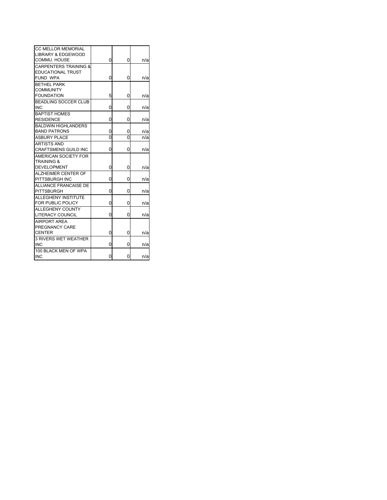| <b>CC MELLOR MEMORIAL</b><br><b>LIBRARY &amp; EDGEWOOD</b> |                |   |     |
|------------------------------------------------------------|----------------|---|-----|
| COMMU. HOUSE                                               | 0              | 0 | n/a |
| <b>CARPENTERS TRAINING &amp;</b>                           |                |   |     |
| <b>EDUCATIONAL TRUST</b>                                   |                |   |     |
| FUND WPA                                                   | 0              | 0 | n/a |
| <b>BETHEL PARK</b>                                         |                |   |     |
| <b>COMMUNITY</b>                                           |                |   |     |
| <b>FOUNDATION</b>                                          | 5              | 0 | n/a |
| <b>BEADLING SOCCER CLUB</b>                                |                |   |     |
| <b>INC</b>                                                 | 0              | 0 | n/a |
| <b>BAPTIST HOMES</b>                                       |                |   |     |
| <b>RESIDENCE</b>                                           | 0              | 0 | n/a |
| <b>BALDWIN HIGHLANDERS</b>                                 |                |   |     |
| <b>BAND PATRONS</b>                                        | 0              | 0 | n/a |
| <b>ASBURY PLACE</b>                                        | 0              | 0 | n/a |
| <b>ARTISTS AND</b>                                         |                |   |     |
| <b>CRAFTSMENS GUILD INC</b>                                | 0              | 0 | n/a |
| AMERICAN SOCIETY FOR                                       |                |   |     |
| <b>TRAINING &amp;</b>                                      |                |   |     |
| <b>DEVELOPMENT</b>                                         | 0              | 0 | n/a |
| <b>ALZHEIMER CENTER OF</b>                                 |                |   |     |
| PITTSBURGH INC                                             | 0              | 0 | n/a |
| ALLIANCE FRANCAISE DE                                      |                |   |     |
| PITTSBURGH                                                 | 0              | 0 | n/a |
| ALLEGHENY INSTITUTE                                        |                |   |     |
| FOR PUBLIC POLICY                                          | 0              | 0 | n/a |
| ALLEGHENY COUNTY                                           |                |   |     |
| LITERACY COUNCIL                                           | 0              | 0 | n/a |
| AIRPORT AREA                                               |                |   |     |
| PREGNANCY CARE                                             |                |   |     |
| <b>CENTER</b>                                              | 0              | 0 | n/a |
| <b>3 RIVERS WET WEATHER</b>                                |                |   |     |
| <b>INC</b>                                                 | 0              | 0 | n/a |
| 100 BLACK MEN OF WPA                                       |                |   |     |
| <b>INC</b>                                                 | $\overline{0}$ | 0 | n/a |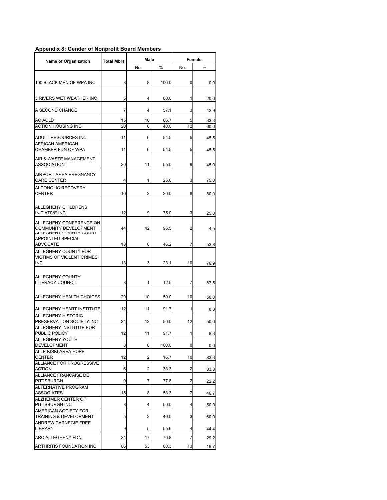## **Appendix 8: Gender of Nonprofit Board Members**

| <b>Name of Organization</b>                                                       | Male<br><b>Total Mbrs</b> |     |       | Female |      |
|-----------------------------------------------------------------------------------|---------------------------|-----|-------|--------|------|
|                                                                                   |                           | No. | %     | No.    | %    |
| 100 BLACK MEN OF WPA INC                                                          | 8                         | 8   | 100.0 | 0      | 0.0  |
| 3 RIVERS WET WEATHER INC                                                          | 5                         | 4   | 80.0  | 1      | 20.0 |
| A SECOND CHANCE                                                                   | 7                         | 4   | 57.1  | 3      | 42.9 |
| AC ACLD                                                                           | 15                        | 10  | 66.7  | 5      | 33.3 |
| <b>ACTION HOUSING INC</b>                                                         | 20                        | 8   | 40.0  | 12     | 60.0 |
| ADULT RESOURCES INC                                                               | 11                        | 6   | 54.5  | 5      | 45.5 |
| AFRICAN AMERICAN<br>CHAMBER FDN OF WPA                                            | 11                        | 6   | 54.5  | 5      | 45.5 |
| AIR & WASTE MANAGEMENT<br><b>ASSOCIATION</b>                                      | 20                        | 11  | 55.0  | 9      | 45.0 |
| AIRPORT AREA PREGNANCY<br><b>CARE CENTER</b>                                      | 4                         | 1   | 25.0  | 3      | 75.0 |
| ALCOHOLIC RECOVERY<br><b>CENTER</b>                                               | 10                        | 2   | 20.0  | 8      | 80.0 |
| ALLEGHENY CHILDRENS<br><b>INITIATIVE INC</b>                                      | 12                        | 9   | 75.0  | 3      | 25.0 |
| ALLEGHENY CONFERENCE ON<br><b>COMMUNITY DEVELOPMENT</b><br>ALLEGHENY COUNTY COURT | 44                        | 42  | 95.5  | 2      | 4.5  |
| APPOINTED SPECIAL<br><b>ADVOCATE</b>                                              | 13                        | 6   | 46.2  | 7      | 53.8 |
| ALLEGHENY COUNTY FOR<br>VICTIMS OF VIOLENT CRIMES<br><b>INC</b>                   | 13                        | 3   | 23.1  | 10     | 76.9 |
| <b>ALLEGHENY COUNTY</b><br><b>LITERACY COUNCIL</b>                                | 8                         | 1   | 12.5  | 7      | 87.5 |
| ALLEGHENY HEALTH CHOICES                                                          | 20                        | 10  | 50.0  | 10     | 50.0 |
| ALLEGHENY HEART INSTITUTE                                                         | 12                        | 11  | 91.7  | 1      | 8.3  |
| <b>ALLEGHENY HISTORIC</b><br>PRESERVATION SOCIETY INC                             | 24                        | 12  | 50.0  | 12     | 50.0 |
| ALLEGHENY INSTITUTE FOR<br>PUBLIC POLICY                                          | 12                        | 11  | 91.7  | 1      | 8.3  |
| ALLEGHENY YOUTH<br>DEVELOPMENT                                                    | 8                         | 8   | 100.0 | 0      | 0.0  |
| ALLE-KISKI AREA HOPE<br><b>CENTER</b>                                             | 12                        | 2   | 16.7  | 10     | 83.3 |
| ALLIANCE FOR PROGRESSIVE<br><b>ACTION</b>                                         | 6                         | 2   | 33.3  | 2      | 33.3 |
| <b>ALLIANCE FRANCAISE DE</b><br><b>PITTSBURGH</b>                                 | 9                         | 7   | 77.8  | 2      | 22.2 |
| ALTERNATIVE PROGRAM<br><b>ASSOCIATES</b>                                          | 15                        | 8   | 53.3  | 7      | 46.7 |
| ALZHEIMER CENTER OF<br>PITTSBURGH INC                                             | 8                         | 4   | 50.0  | 4      | 50.0 |
| AMERICAN SOCIETY FOR<br>TRAINING & DEVELOPMENT                                    | 5                         | 2   | 40.0  | 3      | 60.0 |
| <b>ANDREW CARNEGIE FREE</b><br><b>LIBRARY</b>                                     | 9                         | 5   | 55.6  | 4      | 44.4 |
| ARC ALLEGHENY FDN                                                                 | 24                        | 17  | 70.8  | 7      | 29.2 |
| ARTHRITIS FOUNDATION INC                                                          | 66                        | 53  | 80.3  | 13     | 19.7 |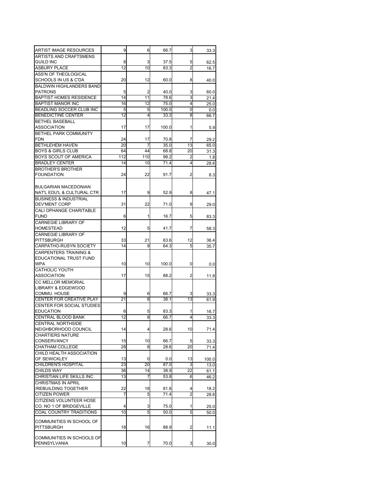| ARTIST IMAGE RESOURCES                             | 9        | 6       | 66.7          | 3              | 33.3         |
|----------------------------------------------------|----------|---------|---------------|----------------|--------------|
| ARTISTS AND CRAFTSMENS                             |          |         |               |                |              |
| <b>GUILD INC</b>                                   | 8        | 3       | 37.5          | 5              | 62.5         |
| <b>ASBURY PLACE</b>                                | 12       | 10      | 83.3          | $\overline{2}$ | 16.7         |
| ASS'N OF THEOLOGICAL                               |          |         |               |                |              |
| SCHOOLS IN US & C'DA                               | 20       | 12      | 60.0          | 8              | 40.0         |
| <b>BALDWIN HIGHLANDERS BAND</b>                    |          |         |               |                |              |
| <b>PATRONS</b>                                     | 5        | 2       | 40.0          | 3              | 60.0         |
| <b>BAPTIST HOMES RESIDENCE</b>                     | 14       | 11      | 78.6          | 3              | 21.4         |
| <b>BAPTIST MANOR INC</b>                           | 16       | 12      | 75.0          | 4              | 25.0         |
| BEADLING SOCCER CLUB INC<br>BENEDICTINE CENTER     | 5<br>12  | 5<br>4  | 100.0<br>33.3 | 0<br>8         | 0.0          |
|                                                    |          |         |               |                | 66.7         |
| <b>BETHEL BASEBALL</b><br>ASSOCIATION              | 17       | 17      | 100.0         | 1              |              |
| BETHEL PARK COMMUNITY                              |          |         |               |                | 5.9          |
| <b>FDN</b>                                         | 24       | 17      | 70.8          | 7              | 29.2         |
| <b>BETHLEHEM HAVEN</b>                             | 20       | 7       | 35.0          | 13             | 65.0         |
| <b>BOYS &amp; GIRLS CLUB</b>                       | 64       | 44      | 68.8          | 20             | 31.3         |
| BOYS SCOUT OF AMERICA                              | 112      | 110     | 98.2          | 2              | 1.8          |
| <b>BRADLEY CENTER</b>                              | 14       | 10      | 71.4          | 4              | 28.6         |
| <b>BROTHER'S BROTHER</b>                           |          |         |               |                |              |
| <b>FOUNDATION</b>                                  | 24       | 22      | 91.7          | 2              | 8.3          |
|                                                    |          |         |               |                |              |
| <b>BULGARIAN MACEDONIAN</b>                        |          |         |               |                |              |
| NAT'L EDU'L & CULTURAL CTR                         | 17       | 9       | 52.9          | 8              | 47.1         |
| <b>BUSINESS &amp; INDUSTRIAL</b>                   |          |         |               |                |              |
| <b>DEV'MENT CORP</b>                               | 31       | 22      | 71.0          | 9              | 29.0         |
| CALI OPHANGE CHARITABLE                            |          |         |               |                |              |
| <b>FUND</b>                                        | 6        | 1       | 16.7          | 5              | 83.3         |
| <b>CARNEGIE LIBRARY OF</b>                         |          |         |               |                |              |
| <b>HOMESTEAD</b>                                   | 12       | 5       | 41.7          | 7              | 58.3         |
| <b>CARNEGIE LIBRARY OF</b>                         |          |         |               |                |              |
| PITTSBURGH                                         | 33       | 21      | 63.6          | 12             | 36.4         |
| CARPATHO-RUSYN SOCIETY                             | 14       | 9       | 64.3          | 5              | 35.7         |
| <b>CARPENTERS TRAINING &amp;</b>                   |          |         |               |                |              |
| EDUCATIONAL TRUST FUND                             |          |         |               |                |              |
| <b>WPA</b>                                         | 10       | 10      | 100.0         | 0              | 0.0          |
| <b>CATHOLIC YOUTH</b>                              |          |         |               |                |              |
| <b>ASSOCIATION</b>                                 | 17       | 15      | 88.2          | 2              | 11.8         |
| CC MELLOR MEMORIAL                                 |          |         |               |                |              |
| LIBRARY & EDGEWOOD                                 |          |         |               |                |              |
| COMMU. HOUSE                                       | 9        | 6       | 66.7          | 3              | 33.3         |
| CENTER FOR CREATIVE PLAY                           | 21       | 8       | 38.1          | 13             | 61.9         |
| <b>CENTER FOR SOCIAL STUDIES</b>                   |          |         |               |                |              |
| <b>EDUCATION</b>                                   | 6        | 5       | 83.3          | 1              | 16.7         |
| <b>CENTRAL BLOOD BANK</b>                          | 12       | 8       | 66.7          | 4              | 33.3         |
| <b>CENTRAL NORTHSIDE</b>                           |          |         |               |                |              |
| NEIGHBORHOOD COUNCIL                               | 14       | 4       | 28.6          | 10             | 71.4         |
| <b>CHARTIERS NATURE</b>                            |          |         |               |                |              |
| <b>CONSERVANCY</b>                                 | 15       | 10      | 66.7          | 5              | 33.3         |
| CHATHAM COLLEGE                                    | 28       | 8       | 28.6          | 20             | 71.4         |
| CHILD HEALTH ASSOCIATION                           |          |         |               |                |              |
| OF SEWICKLEY<br><b>CHILDREN'S HOSPITAL</b>         | 13<br>23 | 0<br>20 | 0.0           | 13<br>3        | 100.0        |
| <b>CHILDS WAY</b>                                  |          | 14      | 87.0<br>38.9  | 22             | 13.0         |
| CHRISTIAN LIFE SKILLS INC                          | 36<br>13 | 7       | 53.8          | 6              | 61.1<br>46.2 |
| <b>CHRISTMAS IN APRIL</b>                          |          |         |               |                |              |
| /REBUILDING TOGETHER                               | 22       | 18      | 81.8          | 4              |              |
| <b>CITIZEN POWER</b>                               | 7        | 5       | 71.4          | $\overline{c}$ | 18.2         |
|                                                    |          |         |               |                | 28.6         |
| CITIZENS VOLUNTEER HOSE<br>CO. NO 1 OF BRIDGEVILLE | 4        | 3       | 75.0          | 1              |              |
| COAL COUNTRY TRADITIONS                            | 10       | 5       | 50.0          | 5              | 25.0<br>50.0 |
|                                                    |          |         |               |                |              |
| COMMUNITIES IN SCHOOL OF                           |          |         |               |                |              |
| PITTSBURGH                                         | 18       | 16      | 88.9          | 2              | 11.1         |
|                                                    |          |         |               |                |              |
| COMMUNITIES IN SCHOOLS OF<br>PENNSYLVANIA          | 10       |         |               |                |              |
|                                                    |          | 7       | 70.0          | 3              | 30.0         |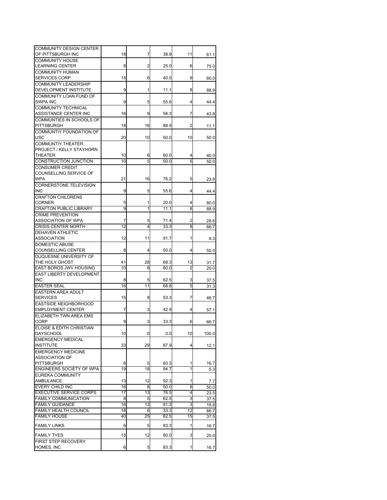| COMMUNITY DESIGN CENTER        |    |    |      |                 |              |
|--------------------------------|----|----|------|-----------------|--------------|
| OF PITTSBURGH INC              | 18 | 7  | 38.9 | 11              | 61.1         |
| <b>COMMUNITY HOUSE</b>         |    |    |      |                 |              |
| <b>LEARNING CENTER</b>         | 8  | 2  | 25.0 | 6               | 75.0         |
| <b>COMMUNITY HUMAN</b>         |    |    |      |                 |              |
| <b>SERVICES CORP</b>           | 15 | 6  | 40.0 | 9               | 60.0         |
| <b>COMMUNITY LEADERSHIP</b>    |    |    |      |                 |              |
| DEVELOPMENT INSTITUTE          | 9  | 1  | 11.1 | 8               | 88.9         |
| COMMUNITY LOAN FUND OF         |    |    |      |                 |              |
| <b>SWPA INC</b>                | 9  | 5  | 55.6 | 4               | 44.4         |
| <b>COMMUNITY TECHNICAL</b>     |    |    |      |                 |              |
| ASSISTANCE CENTER INC          | 16 | 9  | 56.3 | 7               | 43.8         |
| COMMUNTIES IN SCHOOLS OF       |    |    |      |                 |              |
| <b>PITTSBURGH</b>              | 18 | 16 | 88.9 | 2               | 11.1         |
| COMMUNTIY FOUNDATION OF        |    |    |      |                 |              |
| <b>USC</b>                     | 20 | 10 | 50.0 | 10              | 50.0         |
| <b>COMMUNTIY THEATER</b>       |    |    |      |                 |              |
| PROJECT / KELLY STAYHORN       |    |    |      |                 |              |
| THEATER                        | 10 | 6  | 60.0 | 4               | 40.0         |
| CONSTRUCTION JUNCTION          | 10 | 5  | 50.0 | 5               | 50.0         |
| <b>CONSUMER CREDIT</b>         |    |    |      |                 |              |
| COUNSELLING SERVICE OF         |    |    |      |                 |              |
| <b>WPA</b>                     | 21 | 16 | 76.2 | 5               | 23.8         |
| <b>CORNERSTONE TELEVISION</b>  |    |    |      |                 |              |
| INC                            | 9  | 5  | 55.6 | 4               | 44.4         |
| <b>CRAFTON CHILDRENS</b>       |    |    |      |                 |              |
| <b>CORNER</b>                  | 5  | 1  | 20.0 | 4               | 80.0         |
| <b>CRAFTON PUBLIC LIBRARY</b>  | 9  | 1  | 11.1 | 8               | 88.9         |
| <b>CRIME PREVENTION</b>        |    |    |      |                 |              |
| <b>ASSOCIATION OF WPA</b>      | 7  | 5  | 71.4 | 2               | 28.6         |
| <b>CRISIS CENTER NORTH</b>     | 12 | 4  | 33.3 | 8               | 66.7         |
| DEHAVEN ATHLETIC               |    |    |      |                 |              |
| <b>ASSOCIATION</b>             | 12 | 11 | 91.7 | 1               | 8.3          |
| <b>DOMESTIC ABUSE</b>          |    |    |      |                 |              |
| <b>COUNSELLING CENTER</b>      | 8  | 4  | 50.0 | 4               | 50.0         |
| DUQUESNE UNIVERSITY OF         |    |    |      |                 |              |
| THE HOLY GHOST                 | 41 | 28 | 68.3 | 13              | 31.7         |
| EAST BOROS JWV HOUSING         | 10 | 8  | 80.0 | $\overline{c}$  | 20.0         |
| EAST LIBERTY DEVELOPMENT       |    |    |      |                 |              |
| <b>INC</b>                     | 8  | 5  | 62.5 | 3               |              |
| <b>EASTER SEAL</b>             | 16 | 11 | 68.8 | 5               | 37.5<br>31.3 |
| <b>EASTERN AREA ADULT</b>      |    |    |      |                 |              |
| <b>SERVICES</b>                | 15 |    |      | 7               |              |
|                                |    | 8  | 53.3 |                 | 46.7         |
| <b>EASTSIDE NEIGHBORHOOD</b>   |    |    |      |                 |              |
| <b>EMPLOYMENT CENTER</b>       | 7  | 3  | 42.9 | 4               | 57.1         |
| ELIZABETH TWN AREA EMS         |    |    |      |                 |              |
| CORP                           | 9  | 3  | 33.3 | 6               | 66.7         |
| ELOISE & EDITH CHRISTIAN       |    |    |      |                 |              |
| DAYSCHOOL                      | 10 | 0  | 0.0  | 10              | 100.0        |
| <b>EMERGENCY MEDICAL</b>       |    |    |      |                 |              |
| <b>INSTITUTE</b>               | 33 | 29 | 87.9 | 4               | 12.1         |
| <b>EMERGENCY MEDICINE</b>      |    |    |      |                 |              |
| <b>ASSOCIATION OF</b>          |    |    |      |                 |              |
| <b>PITTSBURGH</b>              | 6  | 5  | 83.3 | 1               | 16.7         |
| ENGINEERS SOCIETY OF WPA       | 19 | 18 | 94.7 | 1               | 5.3          |
| <b>EUREKA COMMUNITY</b>        |    |    |      |                 |              |
| <b>AMBULANCE</b>               | 13 | 12 | 92.3 | 1               | 7.7          |
| <b>EVERY CHILD INC</b>         | 16 | 8  | 50.0 | 8               | 50.0         |
| <b>EXECUTIVE SERVICE CORPS</b> | 17 | 13 | 76.5 | 4               | 23.5         |
| <b>FAMILY COMMUNICATION</b>    | 8  | 5  | 62.5 | 3               | 37.5         |
| <b>FAMILY GUIDANCE</b>         | 16 | 13 | 81.3 | 3               | 18.8         |
| <b>FAMILY HEALTH COUNCIL</b>   | 18 | 6  | 33.3 | $\overline{12}$ | 66.7         |
| <b>FAMILY HOUSE</b>            | 40 | 25 | 62.5 | 15              | 37.5         |
|                                |    |    |      |                 |              |
| <b>FAMILY LINKS</b>            | 6  | 5  | 83.3 | 1               | 16.7         |
| <b>FAMILY TYES</b>             | 15 | 12 | 80.0 | 3               | 20.0         |
| FIRST STEP RECOVERY            |    |    |      |                 |              |
| HOMES, INC                     | 6  | 5  | 83.3 | 1               |              |
|                                |    |    |      |                 | 16.7         |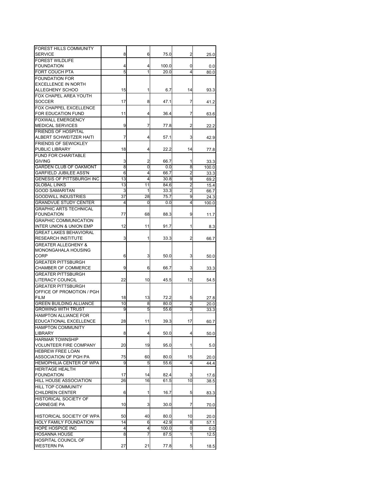| FOREST HILLS COMMUNITY             |    |    |       |    |       |
|------------------------------------|----|----|-------|----|-------|
| <b>SERVICE</b>                     | 8  | 6  | 75.0  | 2  | 25.0  |
| <b>FOREST WILDLIFE</b>             |    |    |       |    |       |
| <b>FOUNDATION</b>                  | 4  | 4  | 100.0 | 0  |       |
|                                    |    |    |       |    | 0.0   |
| <b>FORT COUCH PTA</b>              | 5  | 1  | 20.0  | 4  | 80.0  |
| <b>FOUNDATION FOR</b>              |    |    |       |    |       |
| <b>EXCELLENCE IN NORTH</b>         |    |    |       |    |       |
| ALLEGHENY SCHOO                    | 15 | 1  | 6.7   | 14 | 93.3  |
| FOX CHAPEL AREA YOUTH              |    |    |       |    |       |
| <b>SOCCER</b>                      | 17 | 8  | 47.1  | 7  | 41.2  |
| FOX CHAPPEL EXCELLENCE             |    |    |       |    |       |
| FOR EDUCATION FUND                 | 11 | 4  | 36.4  | 7  | 63.6  |
| <b>FOXWALL EMERGENCY</b>           |    |    |       |    |       |
| <b>MEDICAL SERVICES</b>            | 9  | 7  | 77.8  | 2  | 22.2  |
| <b>FRIENDS OF HOSPITAL</b>         |    |    |       |    |       |
| ALBERT SCHWEITZER HAITI            | 7  | 4  | 57.1  | 3  | 42.9  |
| <b>FRIENDS OF SEWICKLEY</b>        |    |    |       |    |       |
| PUBLIC LIBRARY                     | 18 | 4  | 22.2  | 14 | 77.8  |
| <b>FUND FOR CHARITABLE</b>         |    |    |       |    |       |
| <b>GIVING</b>                      | 3  | 2  | 66.7  | 1  |       |
|                                    |    |    |       |    | 33.3  |
| <b>GARDEN CLUB OF OAKMONT</b>      | 8  | 0  | 0.0   | 8  | 100.0 |
| <b>GARFIELD JUBILEE ASS'N</b>      | 6  | 4  | 66.7  | 2  | 33.3  |
| GENESIS OF PITTSBURGH INC          | 13 | 4  | 30.8  | 9  | 69.2  |
| <b>GLOBAL LINKS</b>                | 13 | 11 | 84.6  | 2  | 15.4  |
| <b>GOOD SAMARITAN</b>              | 3  | 1  | 33.3  | 2  | 66.7  |
| <b>GOODWILL INDUSTRIES</b>         | 37 | 28 | 75.7  | 9  | 24.3  |
| <b>GRANDVUE STUDY CENTER</b>       | 4  | 0  | 0.0   | 4  | 100.0 |
| <b>GRAPHIC ARTS TECHNICAL</b>      |    |    |       |    |       |
| <b>FOUNDATION</b>                  | 77 | 68 | 88.3  | 9  | 11.7  |
| <b>GRAPHIC COMMUNICATION</b>       |    |    |       |    |       |
| <b>INTER UNION &amp; UNION EMP</b> | 12 | 11 | 91.7  | 1  | 8.3   |
| <b>GREAT LAKES BEHAVIORAL</b>      |    |    |       |    |       |
| <b>RESEARCH INSTITUTE</b>          | 3  | 1  | 33.3  | 2  | 66.7  |
| <b>GREATER ALLEGHENY &amp;</b>     |    |    |       |    |       |
|                                    |    |    |       |    |       |
| MONONGAHALA HOUSING                |    |    |       |    |       |
| CORP                               | 6  | 3  | 50.0  | 3  | 50.0  |
| <b>GREATER PITTSBURGH</b>          |    |    |       |    |       |
| CHAMBER OF COMMERCE                | 9  | 6  | 66.7  | 3  | 33.3  |
| <b>GREATER PITTSBURGH</b>          |    |    |       |    |       |
| LITERACY COUNCIL                   | 22 | 10 | 45.5  | 12 | 54.5  |
| <b>GREATER PITTSBURGH</b>          |    |    |       |    |       |
| OFFICE OF PROMOTION / PGH          |    |    |       |    |       |
| <b>FILM</b>                        | 18 | 13 | 72.2  | 5  | 27.8  |
| <b>GREEN BUILDING ALLIANCE</b>     | 10 | 8  | 80.0  | 2  | 20.0  |
| <b>GROWING WITH TRUST</b>          | 9  | 5  | 55.6  | 3  | 33.3  |
| <b>HAMPTON ALLIANCE FOR</b>        |    |    |       |    |       |
| EDUCATIONAL EXCELLENCE             | 28 | 11 | 39.3  | 17 | 60.7  |
| <b>HAMPTON COMMUNITY</b>           |    |    |       |    |       |
| LIBRARY                            | 8  | 4  | 50.0  | 4  | 50.0  |
| <b>HARMAR TOWNSHIP</b>             |    |    |       |    |       |
|                                    |    |    |       |    |       |
| <b>VOLUNTEER FIRE COMPANY</b>      | 20 | 19 | 95.0  | 1  | 5.0   |
| HEBREW FREE LOAN                   |    |    |       |    |       |
| ASSOCIATION OF PGH PA              | 75 | 60 | 80.0  | 15 | 20.0  |
| HEMOPHILIA CENTER OF WPA           | 9  | 5  | 55.6  | 4  | 44.4  |
| <b>HERITAGE HEALTH</b>             |    |    |       |    |       |
| <b>FOUNDATION</b>                  | 17 | 14 | 82.4  | 3  | 17.6  |
| HILL HOUSE ASSOCIATION             | 26 | 16 | 61.5  | 10 | 38.5  |
| <b>HILL TOP COMMUNITY</b>          |    |    |       |    |       |
| <b>CHILDREN CENTER</b>             | 6  | 1  | 16.7  | 5  | 83.3  |
| HISTORICAL SOCIETY OF              |    |    |       |    |       |
| <b>CARNEGIE PA</b>                 | 10 | 3  | 30.0  | 7  | 70.0  |
|                                    |    |    |       |    |       |
| HISTORICAL SOCIETY OF WPA          | 50 | 40 | 80.0  | 10 |       |
| HOLY FAMILY FOUNDATION             | 14 |    | 42.9  | 8  | 20.0  |
|                                    |    | 6  |       |    | 57.1  |
| HOPE HOSPICE INC                   | 4  | 4  | 100.0 | 0  | 0.0   |
| <b>HOSANNA HOUSE</b>               | 8  | 7  | 87.5  | 1  | 12.5  |
| HOSPITAL COUNCIL OF                |    |    |       |    |       |
| <b>WESTERN PA</b>                  | 27 | 21 | 77.8  | 5  | 18.5  |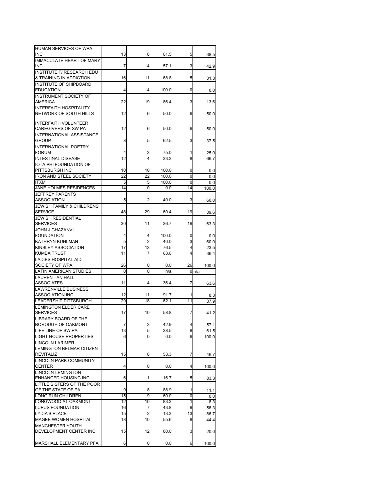| HUMAN SERVICES OF WPA                   |        |                |              |        |              |
|-----------------------------------------|--------|----------------|--------------|--------|--------------|
| <b>INC</b>                              | 13     | 8              | 61.5         | 5      | 38.5         |
| <b>IMMACULATE HEART OF MARY</b>         |        |                |              |        |              |
| INC<br><b>INSTITUTE F/ RESEARCH EDU</b> | 7      | 4              | 57.1         | 3      | 42.9         |
| & TRAINING IN ADDICTION                 | 16     | 11             | 68.8         | 5      | 31.3         |
| <b>INSTITUTE OF SHIPBOARD</b>           |        |                |              |        |              |
| <b>EDUCATION</b>                        | 4      | 4              | 100.0        | 0      | 0.0          |
| <b>INSTRUMENT SOCIETY OF</b>            |        |                |              |        |              |
| <b>AMERICA</b>                          | 22     | 19             | 86.4         | 3      | 13.6         |
| <b>INTERFAITH HOSPITALITY</b>           |        |                |              |        |              |
| NETWORK OF SOUTH HILLS                  | 12     | 6              | 50.0         | 6      | 50.0         |
|                                         |        |                |              |        |              |
| <b>INTERFAITH VOLUNTEER</b>             |        |                |              |        |              |
| CAREGIVERS OF SW PA                     | 12     | 6              | 50.0         | 6      | 50.0         |
| INTERNATIONAL ASSISTANCE                |        |                |              |        |              |
| <b>GROUP</b>                            | 8      | 5              | 62.5         | 3      | 37.5         |
| <b>INTERNATIONAL POETRY</b>             |        |                |              |        |              |
| <b>FORUM</b>                            | 4      | 3              | 75.0         | 1      | 25.0         |
| <b>INTESTINAL DISEASE</b>               | 12     | 4              | 33.3         | 8      | 66.7         |
| IOTA PHI FOUNDATION OF                  |        |                |              |        |              |
| PITTSBURGH INC                          | 10     | 10             | 100.0        | 0      | 0.0          |
| <b>IRON AND STEEL SOCIETY</b>           | 22     | 22             | 100.0        | 0      | 0.0          |
| <b>ITXM</b>                             | 5      | 5              | 100.0        | 0      | 0.0          |
| JANE HOLMES RESIDENCES                  | 14     | 0              | 0.0          | 14     | 100.0        |
| JEFFREY PARENTS                         |        |                |              |        |              |
| <b>ASSOCIATION</b>                      | 5      | 2              | 40.0         | 3      | 60.0         |
| <b>JEWISH FAMILY &amp; CHILDRENS</b>    |        |                |              |        |              |
| <b>SERVICE</b>                          | 48     | 29             | 60.4         | 19     | 39.6         |
| <b>JEWISH RESIDENTIAL</b>               |        |                |              |        |              |
| <b>SERVICES</b>                         | 30     | 11             | 36.7         | 19     | 63.3         |
| <b>JOHN J GHAZANVI</b>                  |        |                |              |        |              |
| <b>FOUNDATION</b><br>KATHRYN KUHLMAN    | 4<br>5 | 4<br>2         | 100.0        | 0<br>3 | 0.0          |
| KINSLEY ASSOCIATION                     | 17     | 13             | 40.0<br>76.5 | 4      | 60.0         |
| <b>KUMBA TRUST</b>                      | 11     | 7              | 63.6         | 4      | 23.5<br>36.4 |
| <b>LADIES HOSPITAL AID</b>              |        |                |              |        |              |
| SOCIETY OF WPA                          | 26     | 0              | 0.0          | 26     | 100.0        |
| <b>LATIN AMERICAN STUDIES</b>           | 0      | 0              | n/a          |        | 0n/a         |
| <b>LAURENTIAN HALL</b>                  |        |                |              |        |              |
| <b>ASSOCIATES</b>                       | 11     | 4              | 36.4         | 7      | 63.6         |
| <b>LAWRENVILLE BUSINESS</b>             |        |                |              |        |              |
| <b>ASSOCIATION INC</b>                  | 12     | 11             | 91.7         | 1      | 8.3          |
| LEADERSHIP PITTSBURGH                   | 29     | 18             | 62.1         | 11     | 37.9         |
| <b>LEMINGTON ELDER CARE</b>             |        |                |              |        |              |
| <b>SERVICES</b>                         | 17     | 10             | 58.8         | 7      | 41.2         |
| LIBRARY BOARD OF THE                    |        |                |              |        |              |
| <b>BOROUGH OF OAKMONT</b>               | 7      | 3              | 42.9         | 4      | 57.1         |
| LIFE LINE OF SW PA                      | 13     | 5              | 38.5         | 8      | 61.5         |
| <b>LIGHT HOUSE PROPERTIES</b>           | 6      | 0              | 0.0          | 6      | 100.0        |
| <b>LINCOLN LARIMER</b>                  |        |                |              |        |              |
| LEMINGTON BELMAR CITIZEN                |        |                |              |        |              |
| <b>REVITALIZ</b>                        | 15     | 8              | 53.3         | 7      | 46.7         |
| <b>LINCOLN PARK COMMUNITY</b>           |        |                |              |        |              |
| CENTER                                  | 4      | 0              | 0.0          | 4      | 100.0        |
| LINCOLN-LEMINGTON                       |        |                |              |        |              |
| ENHANCED HOUSING INC                    | 6      | 1              | 16.7         | 5      | 83.3         |
| LITTLE SISTERS OF THE POOR              |        |                |              |        |              |
| OF THE STATE OF PA                      | 9      | 8              | 88.9         | 1      | 11.1         |
| LONG RUN CHILDREN                       | 15     | 9              | 60.0         | 0      | 0.0          |
| LONGWOOD AT OAKMONT                     | 12     | 10             | 83.3         | 1      | 8.3          |
| <b>LUPUS FOUNDATION</b>                 | 16     | 7              | 43.8         | 9      | 56.3         |
| <b>LYDIA'S PLACE</b>                    | 15     | $\overline{2}$ | 13.3         | 13     | 86.7         |
| MAGEE WOMEN HOSPITAL                    | 18     | 10             | 55.6         | 8      | 44.4         |
| <b>MANCHESTER YOUTH</b>                 |        |                |              |        |              |
|                                         |        |                |              |        |              |
| DEVELOPMENT CENTER INC                  | 15     | 12             | 80.0         | 3      | 20.0         |
|                                         |        |                |              |        |              |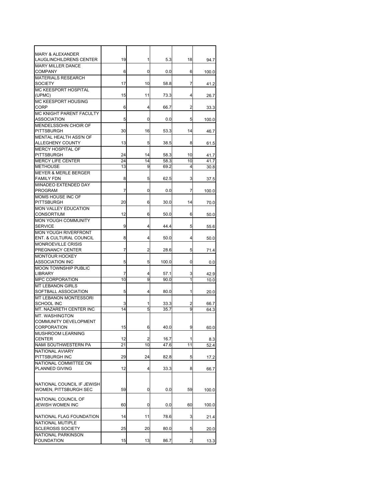| <b>MARY &amp; ALEXANDER</b>     |    |                |       |    |       |
|---------------------------------|----|----------------|-------|----|-------|
| LAUGLINCHILDRENS CENTER         | 19 | 1              | 5.3   | 18 | 94.7  |
| <b>MARY MILLER DANCE</b>        |    |                |       |    |       |
| COMPANY                         | 6  | 0              | 0.0   | 6  | 100.0 |
| <b>MATERIALS RESEARCH</b>       |    |                |       |    |       |
| SOCIETY                         | 17 | 10             | 58.8  | 7  | 41.2  |
| <b>MC KEESPORT HOSPITAL</b>     |    |                |       |    |       |
| (UPMC)                          | 15 | 11             | 73.3  | 4  | 26.7  |
| <b>MC KEESPORT HOUSING</b>      |    |                |       |    |       |
| CORP                            | 6  | 4              | 66.7  | 2  | 33.3  |
| <b>MC KNIGHT PARENT FACULTY</b> |    |                |       |    |       |
| <b>ASSOCIATION</b>              | 5  | 0              | 0.0   | 5  | 100.0 |
| MENDELSSOHN CHOIR OF            |    |                |       |    |       |
| <b>PITTSBURGH</b>               | 30 | 16             | 53.3  | 14 | 46.7  |
| MENTAL HEALTH ASS'N OF          |    |                |       |    |       |
| ALLEGHENY COUNTY                | 13 | 5              | 38.5  | 8  | 61.5  |
| <b>MERCY HOSPITAL OF</b>        |    |                |       |    |       |
| <b>PITTSBURGH</b>               | 24 | 14             | 58.3  | 10 | 41.7  |
| <b>MERCY LIFE CENTER</b>        | 24 | 14             | 58.3  | 10 |       |
|                                 |    |                |       | 4  | 41.7  |
| <b>METHOUSE</b>                 | 13 | 9              | 69.2  |    | 30.8  |
| <b>MEYER &amp; MERLE BERGER</b> |    |                |       |    |       |
| <b>FAMILY FDN</b>               | 8  | 5              | 62.5  | 3  | 37.5  |
| MINADEO EXTENDED DAY            |    |                |       |    |       |
| <b>PROGRAM</b>                  | 7  | 0              | 0.0   | 7  | 100.0 |
| <b>MOMS HOUSE INC OF</b>        |    |                |       |    |       |
| <b>PITTSBURGH</b>               | 20 | 6              | 30.0  | 14 | 70.0  |
| <b>MON VALLEY EDUCATION</b>     |    |                |       |    |       |
| <b>CONSORTIUM</b>               | 12 | 6              | 50.0  | 6  | 50.0  |
| MON YOUGH COMMUNITY             |    |                |       |    |       |
| SERVICE                         | 9  | 4              | 44.4  | 5  | 55.6  |
| <b>MON YOUGH RIVERFRONT</b>     |    |                |       |    |       |
| ENT. & CULTURAL COUNCIL         | 8  | 4              | 50.0  | 4  | 50.0  |
| <b>MONROEVILLE CRISIS</b>       |    |                |       |    |       |
| PREGNANCY CENTER                | 7  | 2              | 28.6  | 5  | 71.4  |
| <b>MONTOUR HOCKEY</b>           |    |                |       |    |       |
| <b>ASSOCIATION INC</b>          | 5  | 5              | 100.0 | 0  | 0.0   |
| <b>MOON TOWNSHIP PUBLIC</b>     |    |                |       |    |       |
| LIBRARY                         | 7  | 4              | 57.1  | 3  | 42.9  |
| <b>MPC CORPORATION</b>          | 10 | 9              | 90.0  | 1  | 10.0  |
| <b>MT LEBANON GIRLS</b>         |    |                |       |    |       |
| SOFTBALL ASSOCIATION            | 5  | 4              | 80.0  | 1  | 20.0  |
| <b>MT LEBANON MONTESSORI</b>    |    |                |       |    |       |
| <b>SCHOOL INC</b>               | 3  | 1              | 33.3  | 2  | 66.7  |
| MT. NAZARETH CENTER INC         | 14 | 5              | 35.7  | 9  | 64.3  |
| MT. WASHINGTON                  |    |                |       |    |       |
| COMMUNITY DEVELOPMENT           |    |                |       |    |       |
| CORPORATION                     | 15 | 6              | 40.0  | 9  | 60.0  |
| <b>MUSHROOM LEARNING</b>        |    |                |       |    |       |
| CENTER                          | 12 | 2              | 16.7  | 1  | 8.3   |
| NAMI SOUTHWESTERN PA            | 21 | 10             | 47.6  | 11 | 52.4  |
| NATIONAL AVIARY                 |    |                |       |    |       |
|                                 |    |                |       |    |       |
| PITTSBURGH INC                  | 29 | 24             | 82.8  | 5  | 17.2  |
| NATIONAL COMMITTEE ON           |    |                |       |    |       |
| PLANNED GIVING                  | 12 | $\overline{4}$ | 33.3  | 8  | 66.7  |
|                                 |    |                |       |    |       |
| NATIONAL COUNCIL IF JEWISH      |    |                |       |    |       |
| WOMEN, PITTSBURGH SEC           | 59 | 0              | 0.0   | 59 | 100.0 |
|                                 |    |                |       |    |       |
| NATIONAL COUNCIL OF             |    |                |       |    |       |
| <b>JEWISH WOMEN INC</b>         | 60 | 0              | 0.0   | 60 | 100.0 |
|                                 |    |                |       |    |       |
| NATIONAL FLAG FOUNDATION        | 14 | 11             | 78.6  | 3  | 21.4  |
| NATIONAL MUTIPLE                |    |                |       |    |       |
| SCLEROSIS SOCIETY               | 25 | 20             | 80.0  | 5  | 20.0  |
| NATIONAL PARKINSON              |    |                |       |    |       |
| <b>FOUNDATION</b>               | 15 | 13             | 86.7  | 2  | 13.3  |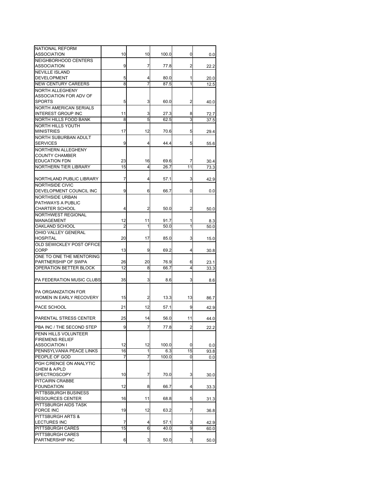| NATIONAL REFORM                                     |    |    |       |                |              |
|-----------------------------------------------------|----|----|-------|----------------|--------------|
| ASSOCIATION<br>NEIGHBORHOOD CENTERS                 | 10 | 10 | 100.0 | 0              | 0.0          |
| <b>ASSOCIATION</b>                                  | 9  | 7  | 77.8  | 2              | 22.2         |
| <b>NEVILLE ISLAND</b>                               |    |    |       |                |              |
| <b>DEVELOPMENT</b>                                  | 5  | 4  | 80.0  | 1              | 20.0         |
| <b>NEW CENTURY CAREERS</b>                          | 8  | 7  | 87.5  | 1              | 12.5         |
| NORTH ALLEGHENY                                     |    |    |       |                |              |
| ASSOCIATION FOR ADV OF                              |    |    |       |                |              |
| <b>SPORTS</b>                                       | 5  | 3  | 60.0  | 2              | 40.0         |
| NORTH AMERICAN SERIALS<br><b>INTEREST GROUP INC</b> | 11 | 3  | 27.3  | 8              |              |
| <b>NORTH HILLS FOOD BANK</b>                        | 8  | 5  | 62.5  | 3              | 72.7<br>37.5 |
| NORTH HILLS YOUTH                                   |    |    |       |                |              |
| <b>MINISTRIES</b>                                   | 17 | 12 | 70.6  | 5              | 29.4         |
| NORTH SUBURBAN ADULT                                |    |    |       |                |              |
| <b>SERVICES</b>                                     | 9  | 4  | 44.4  | 5              | 55.6         |
| NORTHERN ALLEGHENY                                  |    |    |       |                |              |
| <b>COUNTY CHAMBER</b>                               |    |    |       |                |              |
| <b>EDUCATION FDN</b>                                | 23 | 16 | 69.6  | 7              | 30.4         |
| NORTHERN TIER LIBRARY                               | 15 | 4  | 26.7  | 11             | 73.3         |
| NORTHLAND PUBLIC LIBRARY                            | 7  | 4  | 57.1  | 3              |              |
| <b>NORTHSIDE CIVIC</b>                              |    |    |       |                | 42.9         |
| DEVELOPMENT COUNCIL INC                             | 9  | 6  | 66.7  | 0              | 0.0          |
| <b>NORTHSIDE URBAN</b>                              |    |    |       |                |              |
| PATHWAYS A PUBLIC                                   |    |    |       |                |              |
| <b>CHARTER SCHOOL</b>                               | 4  | 2  | 50.0  | 2              | 50.0         |
| NORTHWEST REGIONAL                                  |    |    |       |                |              |
| MANAGEMENT                                          | 12 | 11 | 91.7  | 1              | 8.3          |
| OAKLAND SCHOOL                                      | 2  | 1  | 50.0  | 1              | 50.0         |
| <b>OHIO VALLEY GENERAL</b>                          |    |    |       |                |              |
| <b>HOSPITAL</b><br>OLD SEWICKLEY POST OFFICE        | 20 | 17 | 85.0  | 3              | 15.0         |
| <b>CORP</b>                                         | 13 | 9  | 69.2  | 4              | 30.8         |
| ONE TO ONE THE MENTORING                            |    |    |       |                |              |
| PARTNERSHIP OF SWPA                                 | 26 | 20 | 76.9  | 6              | 23.1         |
| OPERATION BETTER BLOCK                              | 12 | 8  | 66.7  | 4              | 33.3         |
|                                                     |    |    |       |                |              |
| PA FEDERATION MUSIC CLUBS                           | 35 | 3  | 8.6   | 3              | 8.6          |
|                                                     |    |    |       |                |              |
| PA ORGANIZATION FOR                                 | 15 |    |       |                |              |
| WOMEN IN EARLY RECOVERY                             |    | 2  | 13.3  | 13             | 86.7         |
| PACE SCHOOL                                         | 21 | 12 | 57.1  | 9              | 42.9         |
| PARENTAL STRESS CENTER                              | 25 | 14 | 56.0  | 11             | 44.0         |
|                                                     |    |    |       |                |              |
| PBA INC / THE SECOND STEP                           | 9  | 7  | 77.8  | $\mathfrak{p}$ | 22.2         |
| PENN HILLS VOLUNTEER                                |    |    |       |                |              |
| <b>FIREMENS RELIEF</b><br>ASSOCIATION I             | 12 | 12 | 100.0 | 0              | 0.0          |
| PENNSYLVANIA PEACE LINKS                            | 16 | 1  | 6.3   | 15             | 93.8         |
| PEOPLE OF GOD                                       | 7  | 7  | 100.0 | 0              | 0.0          |
| PGH C/RENCE ON ANALYTIC                             |    |    |       |                |              |
| CHEM & A/PLD                                        |    |    |       |                |              |
| <b>SPECTROSCOPY</b>                                 | 10 | 7  | 70.0  | 3              | 30.0         |
| PITCAIRN CRABBE                                     |    |    |       |                |              |
| <b>FOUNDATION</b>                                   | 12 | 8  | 66.7  | 4              | 33.3         |
| PITTBSBURGH BUSINESS                                |    |    |       |                |              |
| <b>RESOURCES CENTER</b>                             | 16 | 11 | 68.8  | 5              | 31.3         |
| PITTSBURGH AIDS TASK<br><b>FORCE INC</b>            | 19 | 12 | 63.2  | 7              | 36.8         |
| PITTSBURGH ARTS &                                   |    |    |       |                |              |
| <b>LECTURES INC</b>                                 | 7  | 4  | 57.1  | 3              | 42.9         |
| PITTSBURGH CARES                                    | 15 | 6  | 40.0  | 9              | 60.0         |
| PITTSBURGH CARES                                    |    |    |       |                |              |
| PARTNERSHIP INC                                     | 6  | 3  | 50.0  | 3              | 50.0         |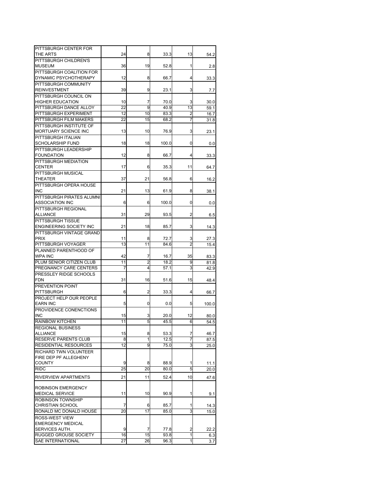| PITTSBURGH CENTER FOR                          |         |         |              |                     |                     |
|------------------------------------------------|---------|---------|--------------|---------------------|---------------------|
| THE ARTS                                       | 24      | 8       | 33.3         | 13                  | 54.2                |
| PITTSBURGH CHILDREN'S                          |         |         |              |                     |                     |
| MUSEUM                                         | 36      | 19      | 52.8         | 1                   | 2.8                 |
| PITTSBURGH COALITION FOR                       |         |         |              |                     |                     |
| DYNAMIC PSYCHOTHERAPY                          | 12      | 8       | 66.7         | 4                   | 33.3                |
| PITTSBURGH COMMUNITY                           |         |         |              |                     |                     |
| REINVESTMENT                                   | 39      | 9       | 23.1         | 3                   | 7.7                 |
| PITTSBURGH COUNCIL ON<br>HIGHER EDUCATION      | 10      | 7       | 70.0         | 3                   |                     |
| PITTSBURGH DANCE ALLOY                         | 22      | 9       | 40.9         | 13                  | 30.0<br>59.1        |
| PITTSBURGH EXPERIMENT                          | 12      | 10      | 83.3         | 2                   | 16.7                |
| PITTSBURGH FILM MAKERS                         | 22      | 15      | 68.2         | 7                   | 31.8                |
| PITTSBURGH INSTITUTE OF                        |         |         |              |                     |                     |
| MORTUARY SCIENCE INC                           | 13      | 10      | 76.9         | 3                   | 23.1                |
| PITTSBURGH ITALIAN                             |         |         |              |                     |                     |
| SCHOLARSHIP FUND                               | 18      | 18      | 100.0        | 0                   | 0.0                 |
| PITTSBURGH LEADERSHIP                          |         |         |              |                     |                     |
| FOUNDATION                                     | 12      | 8       | 66.7         | 4                   | 33.3                |
| PITTSBURGH MEDIATION<br>CENTER                 | 17      | 6       | 35.3         | 11                  |                     |
| PITTSBURGH MUSICAL                             |         |         |              |                     | 64.7                |
| THEATER                                        | 37      | 21      | 56.8         | 6                   | 16.2                |
| PITTSBURGH OPERA HOUSE                         |         |         |              |                     |                     |
| <b>INC</b>                                     | 21      | 13      | 61.9         | 8                   | 38.1                |
| PITTSBURGH PIRATES ALUMNI                      |         |         |              |                     |                     |
| ASSOCIATION INC                                | 6       | 6       | 100.0        | 0                   | 0.0                 |
| PITTSBURGH REGIONAL                            |         |         |              |                     |                     |
| ALLIANCE                                       | 31      | 29      | 93.5         | 2                   | 6.5                 |
| PITTSBURGH TISSUE                              |         |         |              |                     |                     |
| ENGINEERING SOCIETY INC                        | 21      | 18      | 85.7         | 3                   | 14.3                |
| PITTSBURGH VINTAGE GRAND<br><b>PRIX</b>        | 11      | 8       | 72.7         |                     |                     |
| PITTSBURGH VOYAGER                             | 13      | 11      | 84.6         | 3<br>$\overline{2}$ | 27.3<br>15.4        |
| PLANNED PARENTHOOD OF                          |         |         |              |                     |                     |
| WPA INC                                        | 42      | 7       | 16.7         | 35                  | 83.3                |
| PLUM SENIOR CITIZEN CLUB                       | 11      | 2       | 18.2         | 9                   | 81.8                |
| PREGNANCY CARE CENTERS                         | 7       | 4       | 57.1         | 3                   | 42.9                |
| PRESSLEY RIDGE SCHOOLS                         |         |         |              |                     |                     |
| <b>FDN</b>                                     | 31      | 16      | 51.6         | 15                  | 48.4                |
| PREVENTION POINT<br>PITTSBURGH                 | 6       | 2       | 33.3         | 4                   |                     |
| PROJECT HELP OUR PEOPLE                        |         |         |              |                     | 66.7                |
| <b>EARN INC</b>                                | 5       | 0       | 0.0          | 5                   | 100.0               |
| PROVIDENCE CONENCTIONS                         |         |         |              |                     |                     |
| <b>INC</b>                                     | 15      | 3       | 20.0         | 12                  | 80.0                |
| <b>RAINBOW KITCHEN</b>                         | 11      | 5       | 45.5         | 6                   | 54.5                |
| <b>REGIONAL BUSINESS</b>                       |         |         |              |                     |                     |
| <b>ALLIANCE</b>                                | 15      | 8       | 53.3         | 7                   | 46.7                |
| RESERVE PARENTS CLUB                           | 8       | 1       | 12.5         | 7                   | 87.5                |
| RESIDENTIAL RESOURCES                          | 12      | 9       | 75.0         | ω                   | 25.0                |
| RICHARD TWN VOLUNTEER                          |         |         |              |                     |                     |
| FIRE DEP PF ALLEGHENY<br>COUNTY                | 9       | 8       | 88.9         | 1                   | 11.1                |
| <b>RIDC</b>                                    | 25      | 20      | 80.0         | 5                   | 20.0                |
|                                                |         |         |              |                     |                     |
| RIVERVIEW APARTMENTS                           | 21      | 11      | 52.4         | 10                  | 47.6                |
| ROBINSON EMERGENCY                             |         |         |              |                     |                     |
| MEDICAL SERVICE                                | 11      | 10      | 90.9         | 1                   | 9.1                 |
| ROBINSON TOWNSHIP                              |         |         |              |                     |                     |
|                                                |         | 6       | 85.7         | 1                   | 14.3                |
|                                                | 7       |         |              |                     |                     |
| CHRISTIAN SCHOOL<br>RONALD MC DONALD HOUSE     | 20      | 17      | 85.0         | 3                   |                     |
| ROSS-WEST VIEW                                 |         |         |              |                     |                     |
| <b>EMERGENCY MEDICAL</b>                       |         |         |              |                     |                     |
| SERVICES AUTH.<br><b>RUGGED GROUSE SOCIETY</b> | 9<br>16 | 7<br>15 | 77.8<br>93.8 | 2<br>1              | 15.0<br>22.2<br>6.3 |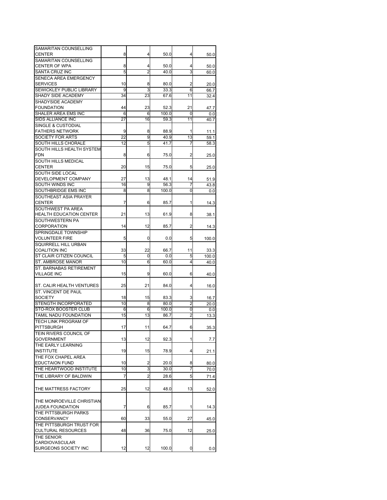| SAMARITAN COUNSELLING          |    |                |       |                |       |
|--------------------------------|----|----------------|-------|----------------|-------|
| <b>CENTER</b>                  | 8  | 4              | 50.0  | 4              | 50.0  |
| SAMARITAN COUNSELLING          |    |                |       |                |       |
| <b>CENTER OF WPA</b>           | 8  | 4              | 50.0  | 4              | 50.0  |
| SANTA CRUZ INC                 | 5  | $\overline{2}$ | 40.0  | 3              | 60.0  |
| SENECA AREA EMERGENCY          |    |                |       |                |       |
| <b>SERVICES</b>                | 10 | 8              | 80.0  | 2              | 20.0  |
| SEWICKLEY PUBLIC LIBRARY       | 9  | 3              | 33.3  | 6              | 66.7  |
| SHADY SIDE ACADEMY             | 34 | 23             | 67.6  | 11             | 32.4  |
| SHADYSIDE ACADEMY              |    |                |       |                |       |
| <b>FOUNDATION</b>              | 44 | 23             | 52.3  | 21             | 47.7  |
| <b>SHALER AREA EMS INC</b>     |    |                |       |                |       |
|                                | 6  | 6              | 100.0 | 0              | 0.0   |
| SIDS ALLIANCE INC              | 27 | 16             | 59.3  | 11             | 40.7  |
| SINGLE & CUSTODIAL             |    |                |       |                |       |
| <b>FATHERS NETWORK</b>         | 9  | 8              | 88.9  | 1              | 11.1  |
| <b>SOCIETY FOR ARTS</b>        | 22 | 9              | 40.9  | 13             | 59.1  |
| SOUTH HILLS CHORALE            | 12 | 5              | 41.7  | 7              | 58.3  |
| SOUTH HILLS HEALTH SYSTEM      |    |                |       |                |       |
| <b>FDN</b>                     | 8  | 6              | 75.0  | 2              | 25.0  |
| SOUTH HILLS MEDICAL            |    |                |       |                |       |
| <b>CENTER</b>                  | 20 | 15             | 75.0  | 5              |       |
|                                |    |                |       |                | 25.0  |
| SOUTH SIDE LOCAL               |    |                |       |                |       |
| DEVELOPMENT COMPANY            | 27 | 13             | 48.1  | 14             | 51.9  |
| SOUTH WINDS INC                | 16 | 9              | 56.3  | 7              | 43.8  |
| SOUTHBRIDGE EMS INC            | 8  | 8              | 100.0 | 0              | 0.0   |
| SOUTHEAST ASIA PRAYER          |    |                |       |                |       |
| <b>CENTER</b>                  | 7  | 6              | 85.7  | 1              | 14.3  |
| SOUTHWEST PA AREA              |    |                |       |                |       |
| <b>HEALTH EDUCATION CENTER</b> | 21 | 13             | 61.9  | 8              | 38.1  |
| SOUTHWESTERN PA                |    |                |       |                |       |
| <b>CORPORATION</b>             | 14 |                |       | 2              |       |
|                                |    | 12             | 85.7  |                | 14.3  |
| SPRINGDALE TOWNSHIP            |    |                |       |                |       |
| <b>VOLUNTEER FIRE</b>          | 5  | 0              | 0.0   | 5              | 100.0 |
| SQUIRRELL HILL URBAN           |    |                |       |                |       |
| <b>COALITION INC</b>           | 33 | 22             | 66.7  | 11             | 33.3  |
| ST CLAIR CITIZEN COUNCIL       | 5  | 0              | 0.0   | 5              | 100.0 |
| ST. AMBROSE MANOR              | 10 | 6              | 60.0  | 4              | 40.0  |
| ST. BARNABAS RETIREMENT        |    |                |       |                |       |
| <b>VILLAGE INC</b>             | 15 | 9              | 60.0  | 6              | 40.0  |
|                                |    |                |       |                |       |
| ST. CALIR HEALTH VENTURES      | 25 | 21             | 84.0  | 4              |       |
|                                |    |                |       |                | 16.0  |
| ST. VINCENT DE PAUL            |    |                |       |                |       |
| <b>SOCIETY</b>                 | 18 | 15             | 83.3  | 3              | 16.7  |
| STENGTH INCORPORATED           | 10 | 8              | 80.0  | 2              | 20.0  |
| STO-ROX BOOSTER CLUB           | 6  | 6              | 100.0 | 0              | 0.0   |
| TAMIL NADU FOUNDATION          | 15 | 13             | 86.7  | $\overline{2}$ | 13.3  |
| <b>TECH LINK PROGRAM OF</b>    |    |                |       |                |       |
| PITTSBURGH                     | 17 | 11             | 64.7  | 6              | 35.3  |
| TEIN RIVERS COUNCIL OF         |    |                |       |                |       |
| GOVERNMENT                     | 13 | 12             | 92.3  | 1              | 7.7   |
| THE EARLY LEARNING             |    |                |       |                |       |
| <b>INSTITUTE</b>               | 19 | 15             | 78.9  | 4              |       |
|                                |    |                |       |                | 21.1  |
| THE FOX CHAPEL AREA            |    |                |       |                |       |
| <b>EDUCTAION FUND</b>          | 10 | 2              | 20.0  | 8              | 80.0  |
| THE HEARTWOOD INSTITUTE        | 10 | 3              | 30.0  | 7              | 70.0  |
| THE LIBRARY OF BALDWIN         | 7  | 2              | 28.6  | 5              | 71.4  |
|                                |    |                |       |                |       |
|                                |    |                |       |                |       |
| THE MATTRESS FACTORY           | 25 | 12             | 48.0  | 13             | 52.0  |
|                                |    |                |       |                |       |
| THE MONROEVILLE CHRISTIAN      |    |                |       |                |       |
| <b>JUDEA FOUNDATION</b>        | 7  | 6              | 85.7  | 1              | 14.3  |
| THE PITTSBURGH PARKS           |    |                |       |                |       |
| CONSERVANCY                    | 60 | 33             | 55.0  | 27             | 45.0  |
| THE PITTSBURGH TRUST FOR       |    |                |       |                |       |
| <b>CULTURAL RESOURCES</b>      | 48 | 36             | 75.0  | 12             | 25.0  |
| THE SENIOR                     |    |                |       |                |       |
| CARDIOVASCULAR                 |    |                |       |                |       |
| SURGEONS SOCIETY INC           | 12 | 12             | 100.0 |                |       |
|                                |    |                |       | 0              | 0.0   |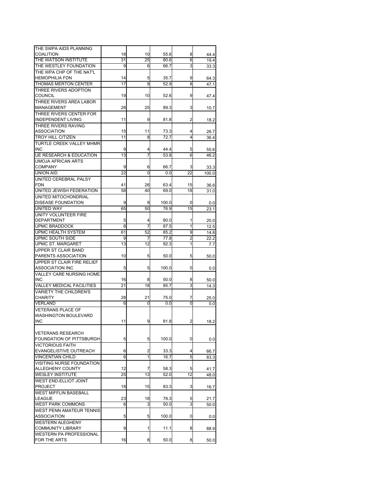| THE SWPA AIDS PLANNING             |    |    |       |                 |       |
|------------------------------------|----|----|-------|-----------------|-------|
|                                    |    |    |       |                 |       |
| COALITION                          | 18 | 10 | 55.6  | 8               | 44.4  |
| THE WATSON INSTITUTE               | 31 | 25 | 80.6  | 6               | 19.4  |
| THE WESTLEY FOUNDATION             | 9  | 6  | 66.7  | 3               | 33.3  |
| THE WPA CHP OF THE NAT'L           |    |    |       |                 |       |
| <b>HEMOPHILIA FDN</b>              | 14 | 5  | 35.7  | 9               | 64.3  |
| <b>THOMAS MERTON CENTER</b>        | 17 | 9  | 52.9  | 8               | 47.1  |
| THREE RIVERS ADOPTION              |    |    |       |                 |       |
| COUNCIL                            | 19 | 10 | 52.6  | 9               |       |
|                                    |    |    |       |                 | 47.4  |
| THREE RIVERS AREA LABOR            |    |    |       |                 |       |
| MANAGEMENT                         | 28 | 25 | 89.3  | 3               | 10.7  |
| THREE RIVERS CENTER FOR            |    |    |       |                 |       |
| <b>INDEPENDENT LIVING</b>          | 11 | 9  | 81.8  | 2               | 18.2  |
| <b>THREE RIVERS RAVING</b>         |    |    |       |                 |       |
| <b>ASSOCIATION</b>                 | 15 | 11 | 73.3  | 4               | 26.7  |
| <b>TROY HILL CITIZEN</b>           | 11 | 8  | 72.7  | 4               | 36.4  |
| TURTLE CREEK VALLEY MHMR           |    |    |       |                 |       |
|                                    |    |    |       |                 |       |
| <b>INC</b>                         | 9  | 4  | 44.4  | 5               | 55.6  |
| <b>UE RESEARCH &amp; EDUCATION</b> | 13 | 7  | 53.8  | 6               | 46.2  |
| <b>UMOJA AFRICAN ARTS</b>          |    |    |       |                 |       |
| <b>COMPANY</b>                     | 9  | 6  | 66.7  | 3               | 33.3  |
| <b>UNION AID</b>                   | 22 | 0  | 0.0   | $\overline{22}$ | 100.0 |
| UNITED CEREBRAL PALSY              |    |    |       |                 |       |
| <b>FDN</b>                         | 41 | 26 | 63.4  | 15              | 36.6  |
| UNITED JEWISH FEDERATION           | 58 | 40 | 69.0  | 18              | 31.0  |
|                                    |    |    |       |                 |       |
| UNITED MITOCHONDRIAL               |    |    |       |                 |       |
| <b>DISEASE FOUNDATION</b>          | 9  | 9  | 100.0 | 0               | 0.0   |
| <b>UNITED WAY</b>                  | 65 | 50 | 76.9  | 15              | 23.1  |
| UNITY VOLUNTEER FIRE               |    |    |       |                 |       |
| <b>DEPARTMENT</b>                  | 5  | 4  | 80.0  | 1               | 20.0  |
| <b>UPMC BRADDOCK</b>               | 8  | 7  | 87.5  | 1               | 12.5  |
| <b>UPMC HEALTH SYSTEM</b>          | 61 | 52 | 85.2  | 9               | 14.8  |
| UPMC SOUTH SIDE                    |    |    |       |                 |       |
|                                    | 9  | 7  | 77.8  | 2               | 22.2  |
| <b>UPMC ST. MARGARET</b>           | 13 | 12 | 92.3  | 1               | 7.7   |
| <b>UPPER ST CLAIR BAND</b>         |    |    |       |                 |       |
| PARENTS ASSOCIATION                | 10 | 5  | 50.0  | 5               | 50.0  |
| <b>UPPER ST CLAIR FIRE RELIEF</b>  |    |    |       |                 |       |
| ASSOCIATION INC                    | 5  | 5  | 100.0 | 0               | 0.0   |
| VALLEY CARE NURSING HOME           |    |    |       |                 |       |
| INC                                | 16 | 8  | 50.0  | 8               | 50.0  |
| <b>VALLEY MEDICAL FACILITIES</b>   | 21 | 18 | 85.7  | 3               |       |
|                                    |    |    |       |                 | 14.3  |
| <b>VARIETY THE CHILDREN'S</b>      |    |    |       |                 |       |
| CHARITY                            | 28 | 21 | 75.0  | 7               | 25.0  |
| <b>VERLAND</b>                     | 6  | 0  | 0.0   | 0               | 0.0   |
| <b>VETERANS PLACE OF</b>           |    |    |       |                 |       |
| <b>WASHINGTON BOULEVARD</b>        |    |    |       |                 |       |
| INC                                | 11 | 9  | 81.8  | 2               | 18.2  |
|                                    |    |    |       |                 |       |
|                                    |    |    |       |                 |       |
| <b>VETERANS RESEARCH</b>           |    |    |       |                 |       |
| FOUNDATION OF PITTSBURGH           | 5  | 5  | 100.0 | 0               | 0.0   |
| <b>VICTORIOUS FAITH</b>            |    |    |       |                 |       |
| EVANGELISTIVE OUTREACH             | 6  | 2  | 33.3  | 4               | 66.7  |
| <b>VINCENTIAN CHILD</b>            | 6  | 1  | 16.7  | 5               | 83.3  |
| <b>VISITING NURSE FOUNDATION</b>   |    |    |       |                 |       |
| ALLEGHENY COUNTY                   | 12 | 7  | 58.3  | 5               | 41.7  |
| <b>WESLEY INSTITUTE</b>            | 25 | 13 | 52.0  | 12              | 48.0  |
|                                    |    |    |       |                 |       |
| <b>WEST END-ELLIOT JOINT</b>       |    |    |       |                 |       |
| <b>PROJECT</b>                     | 18 | 15 | 83.3  | 3               | 16.7  |
| <b>WEST MIFFLIN BASEBALL</b>       |    |    |       |                 |       |
| <b>LEAGUE</b>                      | 23 | 18 | 78.3  | 5               | 21.7  |
| <b>WEST PARK COMMONS</b>           | 6  | 3  | 50.0  | 3               | 50.0  |
| <b>WEST PENN AMATEUR TENNIS</b>    |    |    |       |                 |       |
| ASSOCIATION                        | 5  | 5  | 100.0 | 0               | 0.0   |
| <b>WESTERN ALEGHENY</b>            |    |    |       |                 |       |
|                                    | 9  | 1  |       |                 |       |
| COMMUNITY LIBRARY                  |    |    | 11.1  | 8               | 88.9  |
| <b>WESTERN PA PROFESSIONAL</b>     |    |    |       |                 |       |
| FOR THE ARTS                       | 16 | 8  | 50.0  | 8               | 50.0  |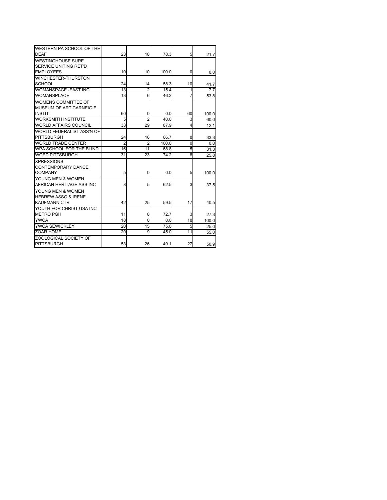| WESTERN PA SCHOOL OF THE       |                 |                |       |                |       |
|--------------------------------|-----------------|----------------|-------|----------------|-------|
| <b>DEAF</b>                    | 23              | 18             | 78.3  | 5              | 21.7  |
| <b>WESTINGHOUSE SURE</b>       |                 |                |       |                |       |
| <b>SERVICE UNITING RET'D</b>   |                 |                |       |                |       |
| <b>EMPLOYEES</b>               | 10              | 10             | 100.0 | 0              | 0.0   |
| WINCHESTER-THURSTON            |                 |                |       |                |       |
| <b>SCHOOL</b>                  | 24              | 14             | 58.3  | 10             | 41.7  |
| WOMANSPACE - EAST INC          | 13              | $\overline{2}$ | 15.4  | 1              | 7.7   |
| WOMANSPLACE                    | 13              | 6              | 46.2  | 7              | 53.8  |
| WOMENS COMMITTEE OF            |                 |                |       |                |       |
| <b>MUSEUM OF ART CARNEIGIE</b> |                 |                |       |                |       |
| <b>INSTIT</b>                  | 60              | 0              | 0.0   | 60             | 100.0 |
| <b>WORKSMITH INSTITUTE</b>     | 5               | 2              | 40.0  | 3              | 60.0  |
| <b>WORLD AFFAIRS COUNCIL</b>   | 33              | 29             | 87.9  | $\overline{4}$ | 12.1  |
| WORLD FEDERALIST ASS'N OF      |                 |                |       |                |       |
| <b>PITTSBURGH</b>              | 24              | 16             | 66.7  | 8              | 33.3  |
| <b>WORLD TRADE CENTER</b>      | $\overline{2}$  | $\overline{2}$ | 100.0 | $\overline{0}$ | 0.0   |
| WPA SCHOOL FOR THE BLIND       | 16              | 11             | 68.8  | 5              | 31.3  |
| <b>WQED PITTSBURGH</b>         | 31              | 23             | 74.2  | 8              | 25.8  |
| <b>XPRESSIONS</b>              |                 |                |       |                |       |
| <b>CONTEMPORARY DANCE</b>      |                 |                |       |                |       |
| <b>COMPANY</b>                 | 5               | 0              | 0.0   | 5              | 100.0 |
| YOUNG MEN & WOMEN              |                 |                |       |                |       |
| AFRICAN HERITAGE ASS INC       | 8               | 5              | 62.5  | 3              | 37.5  |
| YOUNG MEN & WOMEN              |                 |                |       |                |       |
| <b>HEBREW ASSO &amp; IRENE</b> |                 |                |       |                |       |
| <b>KAUFMANN CTR</b>            | 42              | 25             | 59.5  | 17             | 40.5  |
| YOUTH FOR CHRIST USA INC       |                 |                |       |                |       |
| <b>METRO PGH</b>               | 11              | 8              | 72.7  | 3              | 27.3  |
| <b>YWCA</b>                    | 18              | $\Omega$       | 0.0   | 18             | 100.0 |
| YWCA SEWICKLEY                 | $\overline{20}$ | 15             | 75.0  | 5              | 25.0  |
| <b>ZOAR HOME</b>               | 20              | 9              | 45.0  | 11             | 55.0  |
| ZOOLOGICAL SOCIETY OF          |                 |                |       |                |       |
| <b>PITTSBURGH</b>              | 53              | 26             | 49.1  | 27             | 50.9  |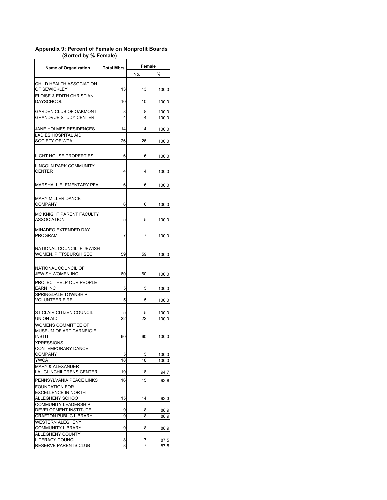| <b>Name of Organization</b>                                             | <b>Total Mbrs</b> | Female  |                |  |
|-------------------------------------------------------------------------|-------------------|---------|----------------|--|
|                                                                         |                   | No.     | %              |  |
| CHILD HEALTH ASSOCIATION<br>OF SEWICKLEY                                | 13                | 13      | 100.0          |  |
| ELOISE & EDITH CHRISTIAN<br><b>DAYSCHOOL</b>                            | 10                | 10      | 100.0          |  |
| <b>GARDEN CLUB OF OAKMONT</b><br><b>GRANDVUE STUDY CENTER</b>           | 8<br>4            | 8<br>4  | 100.0<br>100.0 |  |
| JANE HOLMES RESIDENCES<br><b>LADIES HOSPITAL AID</b>                    | 14                | 14      | 100.0          |  |
| SOCIETY OF WPA                                                          | 26                | 26      | 100.0          |  |
| LIGHT HOUSE PROPERTIES                                                  | 6                 | 6       | 100.0          |  |
| LINCOLN PARK COMMUNITY<br><b>CENTER</b>                                 | 4                 | 4       | 100.0          |  |
| MARSHALL ELEMENTARY PFA                                                 | 6                 | 6       | 100.0          |  |
| <b>MARY MILLER DANCE</b><br><b>COMPANY</b>                              | 6                 | 6       | 100.0          |  |
| MC KNIGHT PARENT FACULTY<br><b>ASSOCIATION</b>                          | 5                 | 5       | 100.0          |  |
| MINADEO EXTENDED DAY<br>PROGRAM                                         | 7                 | 7       | 100.0          |  |
| NATIONAL COUNCIL IF JEWISH<br>WOMEN, PITTSBURGH SEC                     | 59                | 59      | 100.0          |  |
| NATIONAL COUNCIL OF<br>JEWISH WOMEN INC                                 | 60                | 60      | 100.0          |  |
| PROJECT HELP OUR PEOPLE<br>EARN INC                                     | 5                 | 5       | 100.0          |  |
| SPRINGDALE TOWNSHIP<br><b>VOLUNTEER FIRE</b>                            | 5                 | 5       | 100.0          |  |
| ST CLAIR CITIZEN COUNCIL<br><b>UNION AID</b>                            | 5<br>22           | 5<br>22 | 100.0<br>100.0 |  |
| WOMENS COMMITTEE OF<br>MUSEUM OF ART CARNEIGIE<br>INSTIT                | 60                | 60      | 100.0          |  |
| <b>XPRESSIONS</b><br>CONTEMPORARY DANCE<br><b>COMPANY</b>               | 5                 | 5       | 100.0          |  |
| <b>YWCA</b>                                                             | 18                | 18      | 100.0          |  |
| MARY & ALEXANDER<br>LAUGLINCHILDRENS CENTER                             | 19                | 18      | 94.7           |  |
| PENNSYLVANIA PEACE LINKS                                                | 16                | 15      | 93.8           |  |
| <b>FOUNDATION FOR</b><br><b>EXCELLENCE IN NORTH</b><br>ALLEGHENY SCHOO  | 15                | 14      | 93.3           |  |
| <b>COMMUNITY LEADERSHIP</b><br>DEVELOPMENT INSTITUTE                    | 9                 | 8       | 88.9           |  |
| <b>CRAFTON PUBLIC LIBRARY</b>                                           | 9                 | 8       | 88.9           |  |
| <b>WESTERN ALEGHENY</b><br><b>COMMUNITY LIBRARY</b><br>ALLEGHENY COUNTY | 9                 | 8       | 88.9           |  |
| LITERACY COUNCIL                                                        | 8                 | 7       | 87.5           |  |
| <b>RESERVE PARENTS CLUB</b>                                             | 8                 | 7       | 87.5           |  |

## **Appendix 9: Percent of Female on Nonprofit Boards (Sorted by % Female)**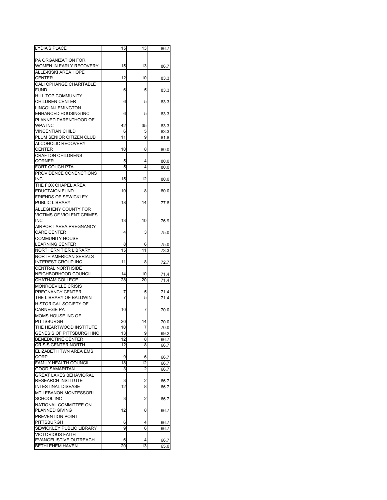| <b>LYDIA'S PLACE</b>            | 15 | 13 | 86.7 |
|---------------------------------|----|----|------|
|                                 |    |    |      |
| PA ORGANIZATION FOR             |    |    |      |
| WOMEN IN EARLY RECOVERY         | 15 | 13 | 86.7 |
| ALLE-KISKI AREA HOPE            |    |    |      |
| <b>CENTER</b>                   | 12 | 10 | 83.3 |
| <b>CALI OPHANGE CHARITABLE</b>  |    |    |      |
| <b>FUND</b>                     | 6  | 5  | 83.3 |
| HILL TOP COMMUNITY              |    |    |      |
| <b>CHILDREN CENTER</b>          | 6  | 5  | 83.3 |
| LINCOLN-LEMINGTON               |    |    |      |
| ENHANCED HOUSING INC            | 6  | 5  |      |
| PLANNED PARENTHOOD OF           |    |    | 83.3 |
|                                 |    |    |      |
| <b>WPA INC</b>                  | 42 | 35 | 83.3 |
| <b>VINCENTIAN CHILD</b>         | 6  | 5  | 83.3 |
| PLUM SENIOR CITIZEN CLUB        | 11 | 9  | 81.8 |
| ALCOHOLIC RECOVERY              |    |    |      |
| <b>CENTER</b>                   | 10 | 8  | 80.0 |
| <b>CRAFTON CHILDRENS</b>        |    |    |      |
| <b>CORNER</b>                   | 5  | 4  | 80.0 |
| <b>FORT COUCH PTA</b>           | 5  | 4  | 80.0 |
| PROVIDENCE CONENCTIONS          |    |    |      |
| <b>INC</b>                      | 15 | 12 | 80.0 |
| THE FOX CHAPEL AREA             |    |    |      |
| <b>EDUCTAION FUND</b>           | 10 | 8  | 80.0 |
| <b>FRIENDS OF SEWICKLEY</b>     |    |    |      |
| PUBLIC LIBRARY                  | 18 | 14 | 77.8 |
| ALLEGHENY COUNTY FOR            |    |    |      |
| VICTIMS OF VIOLENT CRIMES       |    |    |      |
| INC                             | 13 | 10 |      |
|                                 |    |    | 76.9 |
| AIRPORT AREA PREGNANCY          |    |    |      |
| <b>CARE CENTER</b>              | 4  | 3  | 75.0 |
| COMMUNITY HOUSE                 |    |    |      |
| <b>LEARNING CENTER</b>          | 8  | 6  | 75.0 |
| <b>NORTHERN TIER LIBRARY</b>    | 15 | 11 | 73.3 |
| <b>NORTH AMERICAN SERIALS</b>   |    |    |      |
| <b>INTEREST GROUP INC</b>       | 11 | 8  | 72.7 |
| <b>CENTRAL NORTHSIDE</b>        |    |    |      |
| NEIGHBORHOOD COUNCIL            | 14 | 10 | 71.4 |
| <b>CHATHAM COLLEGE</b>          | 28 | 20 | 71.4 |
| <b>MONROEVILLE CRISIS</b>       |    |    |      |
| PREGNANCY CENTER                | 7  | 5  | 71.4 |
| THE LIBRARY OF BALDWIN          | 7  | 5  | 71.4 |
| HISTORICAL SOCIETY OF           |    |    |      |
| CARNEGIE PA                     | 10 | 7  | 70.0 |
| MOMS HOUSE INC OF               |    |    |      |
| PITTSBURGH                      | 20 | 14 | 70.0 |
| THE HEARTWOOD INSTITUTE         | 10 |    | 70.0 |
| GENESIS OF PITTSBURGH INC       | 13 | 9  | 69.2 |
| <b>BENEDICTINE CENTER</b>       | 12 | 8  | 66.7 |
| <b>CRISIS CENTER NORTH</b>      | 12 | 8  | 66.7 |
| ELIZABETH TWN AREA EMS          |    |    |      |
|                                 |    |    |      |
| CORP                            | 9  | 6  | 66.7 |
| <b>FAMILY HEALTH COUNCIL</b>    | 18 | 12 | 66.7 |
| <b>GOOD SAMARITAN</b>           | 3  | 2  | 66.7 |
| <b>GREAT LAKES BEHAVIORAL</b>   |    |    |      |
| <b>RESEARCH INSTITUTE</b>       | 3  | 2  | 66.7 |
| <b>INTESTINAL DISEASE</b>       | 12 | 8  | 66.7 |
| <b>MT LEBANON MONTESSORI</b>    |    |    |      |
| SCHOOL INC                      | 3  | 2  | 66.7 |
| NATIONAL COMMITTEE ON           |    |    |      |
| PLANNED GIVING                  | 12 | 8  | 66.7 |
| PREVENTION POINT                |    |    |      |
| PITTSBURGH                      | 6  | 4  | 66.7 |
| <b>SEWICKLEY PUBLIC LIBRARY</b> | 9  | 6  | 66.7 |
| <b>VICTORIOUS FAITH</b>         |    |    |      |
| EVANGELISTIVE OUTREACH          | 6  | 4  | 66.7 |
| BETHLEHEM HAVEN                 | 20 | 13 | 65.0 |
|                                 |    |    |      |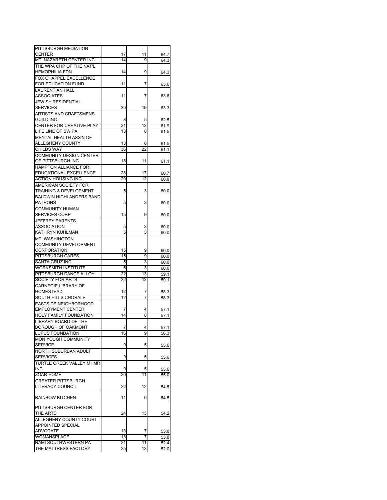| PITTSBURGH MEDIATION              |    |    |      |
|-----------------------------------|----|----|------|
| <b>CENTER</b>                     | 17 | 11 | 64.7 |
| MT. NAZARETH CENTER INC           | 14 | 9  |      |
|                                   |    |    | 64.3 |
| THE WPA CHP OF THE NAT'L          |    |    |      |
| <b>HEMOPHILIA FDN</b>             | 14 | 9  | 64.3 |
|                                   |    |    |      |
| FOX CHAPPEL EXCELLENCE            |    |    |      |
| FOR EDUCATION FUND                | 11 | 7  | 63.6 |
|                                   |    |    |      |
| <b>LAURENTIAN HALL</b>            |    |    |      |
| ASSOCIATES                        | 11 | 7  | 63.6 |
|                                   |    |    |      |
| <b>JEWISH RESIDENTIAL</b>         |    |    |      |
| <b>SERVICES</b>                   | 30 | 19 | 63.3 |
|                                   |    |    |      |
| ARTISTS AND CRAFTSMENS            |    |    |      |
| <b>GUILD INC</b>                  | 8  | 5  | 62.5 |
|                                   |    |    |      |
| CENTER FOR CREATIVE PLAY          | 21 | 13 | 61.9 |
| LIFE LINE OF SW PA                | 13 | 8  | 61.5 |
|                                   |    |    |      |
| <b>MENTAL HEALTH ASS'N OF</b>     |    |    |      |
| ALLEGHENY COUNTY                  | 13 | 8  | 61.5 |
|                                   |    |    |      |
| CHILDS WAY                        | 36 | 22 | 61.1 |
| <b>COMMUNITY DESIGN CENTER</b>    |    |    |      |
|                                   |    |    |      |
| OF PITTSBURGH INC                 | 18 | 11 | 61.1 |
| HAMPTON ALLIANCE FOR              |    |    |      |
|                                   |    |    |      |
| EDUCATIONAL EXCELLENCE            | 28 | 17 | 60.7 |
| <b>ACTION HOUSING INC</b>         | 20 | 12 | 60.0 |
|                                   |    |    |      |
| AMERICAN SOCIETY FOR              |    |    |      |
| <b>TRAINING &amp; DEVELOPMENT</b> | 5  | 3  | 60.0 |
|                                   |    |    |      |
| <b>BALDWIN HIGHLANDERS BAND</b>   |    |    |      |
| <b>PATRONS</b>                    | 5  | 3  | 60.0 |
|                                   |    |    |      |
| <b>COMMUNITY HUMAN</b>            |    |    |      |
| SERVICES CORP                     | 15 | 9  | 60.0 |
|                                   |    |    |      |
| <b>JEFFREY PARENTS</b>            |    |    |      |
| <b>ASSOCIATION</b>                | 5  | 3  | 60.0 |
|                                   |    |    |      |
| KATHRYN KUHLMAN                   | 5  | 3  | 60.0 |
| MT. WASHINGTON                    |    |    |      |
|                                   |    |    |      |
| <b>COMMUNITY DEVELOPMENT</b>      |    |    |      |
| <b>CORPORATION</b>                | 15 | 9  | 60.0 |
|                                   |    |    |      |
| <b>PITTSBURGH CARES</b>           | 15 | 9  | 60.0 |
| SANTA CRUZ INC                    | 5  | 3  | 60.0 |
|                                   |    |    |      |
| WORKSMITH INSTITUTE               | 5  | 3  | 60.0 |
| PITTSBURGH DANCE ALLOY            | 22 | 13 | 59.1 |
|                                   |    |    |      |
| SOCIETY FOR ARTS                  | 22 | 13 | 59.1 |
| <b>CARNEGIE LIBRARY OF</b>        |    |    |      |
|                                   |    |    |      |
| HOMESTEAD                         | 12 | 7  | 58.3 |
| SOUTH HILLS CHORALE               | 12 | 7  | 58.3 |
|                                   |    |    |      |
| EASTSIDE NEIGHBORHOOD             |    |    |      |
| <b>EMPLOYMENT CENTER</b>          | 7  | 4  | 57.1 |
|                                   |    |    |      |
| HOLY FAMILY FOUNDATION            | 14 | 8  | 57.1 |
| LIBRARY BOARD OF THE              |    |    |      |
|                                   |    |    |      |
| BOROUGH OF OAKMONT                |    |    | 57.1 |
| LUPUS FOUNDATION                  | 16 | 9  | 56.3 |
|                                   |    |    |      |
| <b>MON YOUGH COMMUNITY</b>        |    |    |      |
| <b>SERVICE</b>                    | 9  | 5  | 55.6 |
|                                   |    |    |      |
| <b>NORTH SUBURBAN ADULT</b>       |    |    |      |
| <b>SERVICES</b>                   | 9  | 5  | 55.6 |
|                                   |    |    |      |
| TURTLE CREEK VALLEY MHMR          |    |    |      |
| <b>INC</b>                        | 9  | 5  | 55.6 |
|                                   |    |    |      |
| ZOAR HOME                         | 20 | 11 | 55.0 |
| <b>GREATER PITTSBURGH</b>         |    |    |      |
|                                   |    |    |      |
| LITERACY COUNCIL                  | 22 | 12 | 54.5 |
|                                   |    |    |      |
| <b>RAINBOW KITCHEN</b>            | 11 | 6  |      |
|                                   |    |    | 54.5 |
|                                   |    |    |      |
| PITTSBURGH CENTER FOR             |    |    |      |
|                                   |    |    |      |
| THE ARTS                          | 24 | 13 | 54.2 |
| ALLEGHENY COUNTY COURT            |    |    |      |
|                                   |    |    |      |
| APPOINTED SPECIAL                 |    |    |      |
| <b>ADVOCATE</b>                   | 13 | 7  | 53.8 |
| WOMANSPLACE                       | 13 | 7  |      |
|                                   |    |    | 53.8 |
| NAMI SOUTHWESTERN PA              |    |    |      |
|                                   | 21 | 11 | 52.4 |
| THE MATTRESS FACTORY              | 25 | 13 | 52.0 |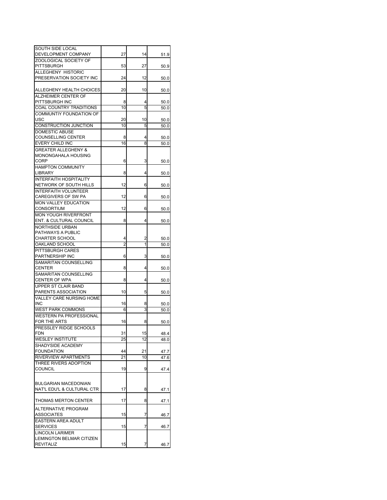| SOUTH SIDE LOCAL<br>DEVELOPMENT COMPANY    | 27      | 14     | 51.9 |
|--------------------------------------------|---------|--------|------|
| ZOOLOGICAL SOCIETY OF                      |         |        |      |
| <b>PITTSBURGH</b>                          | 53      | 27     | 50.9 |
| <b>ALLEGHENY HISTORIC</b>                  |         |        |      |
| PRESERVATION SOCIETY INC                   | 24      | 12     | 50.0 |
|                                            |         |        |      |
| ALLEGHENY HEALTH CHOICES                   | 20      | 10     | 50.0 |
| ALZHEIMER CENTER OF                        |         |        |      |
| PITTSBURGH INC                             | 8       | 4      | 50.0 |
| <b>COAL COUNTRY TRADITIONS</b>             | 10      | 5      | 50.0 |
| COMMUNTIY FOUNDATION OF                    |         |        |      |
| USC                                        | 20      | 10     | 50.0 |
| CONSTRUCTION JUNCTION                      | 10      | 5      | 50.0 |
| DOMESTIC ABUSE                             |         |        |      |
| <b>COUNSELLING CENTER</b>                  | 8       | 4      | 50.0 |
| EVERY CHILD INC                            | 16      | 8      | 50.0 |
| <b>GREATER ALLEGHENY &amp;</b>             |         |        |      |
| MONONGAHALA HOUSING<br>CORP                |         | 3      |      |
|                                            | 6       |        | 50.0 |
| <b>HAMPTON COMMUNITY</b><br><b>LIBRARY</b> | 8       | 4      |      |
| <b>INTERFAITH HOSPITALITY</b>              |         |        | 50.0 |
| NETWORK OF SOUTH HILLS                     | 12      | 6      | 50.0 |
| <b>INTERFAITH VOLUNTEER</b>                |         |        |      |
| CAREGIVERS OF SW PA                        | 12      | 6      | 50.0 |
| MON VALLEY EDUCATION                       |         |        |      |
| <b>CONSORTIUM</b>                          | 12      | 6      | 50.0 |
| <b>MON YOUGH RIVERFRONT</b>                |         |        |      |
| <b>ENT. &amp; CULTURAL COUNCIL</b>         | 8       | 4      | 50.0 |
| <b>NORTHSIDE URBAN</b>                     |         |        |      |
| PATHWAYS A PUBLIC                          |         |        |      |
| <b>CHARTER SCHOOL</b>                      | 4       | 2      | 50.0 |
| OAKLAND SCHOOL                             | 2       | 1      | 50.0 |
| PITTSBURGH CARES                           |         |        |      |
| PARTNERSHIP INC                            | 6       | 3      | 50.0 |
| SAMARITAN COUNSELLING                      |         |        |      |
| <b>CENTER</b>                              | 8       | 4      | 50.0 |
| SAMARITAN COUNSELLING                      |         |        |      |
| <b>CENTER OF WPA</b>                       | 8       | 4      | 50.0 |
| UPPER ST CLAIR BAND                        |         |        |      |
| PARENTS ASSOCIATION                        | 10      | 5      | 50.0 |
| VALLEY CARE NURSING HOME                   |         |        |      |
| <b>INC</b><br><b>WEST PARK COMMONS</b>     | 16<br>6 | 8<br>3 | 50.0 |
| <b>WESTERN PA PROFESSIONAL</b>             |         |        | 50.0 |
| <b>FOR THE ARTS</b>                        | 16      | 8      | 50.0 |
| PRESSLEY RIDGE SCHOOLS                     |         |        |      |
| <b>FDN</b>                                 | 31      | 15     | 48.4 |
| <b>WESLEY INSTITUTE</b>                    | 25      | 12     | 48.0 |
| SHADYSIDE ACADEMY                          |         |        |      |
| <b>FOUNDATION</b>                          | 44      | 21     | 47.7 |
| <b>RIVERVIEW APARTMENTS</b>                | 21      | 10     | 47.6 |
| THREE RIVERS ADOPTION                      |         |        |      |
| <b>COUNCIL</b>                             | 19      | 9      | 47.4 |
|                                            |         |        |      |
| <b>BULGARIAN MACEDONIAN</b>                |         |        |      |
| NAT'L EDU'L & CULTURAL CTR                 | 17      | 8      | 47.1 |
|                                            |         |        |      |
| THOMAS MERTON CENTER                       | 17      | 8      | 47.1 |
| ALTERNATIVE PROGRAM                        |         |        |      |
| <b>ASSOCIATES</b>                          | 15      | 7      | 46.7 |
| EASTERN AREA ADULT                         |         |        |      |
| <b>SERVICES</b>                            | 15      | 7      | 46.7 |
| <b>LINCOLN LARIMER</b>                     |         |        |      |
| LEMINGTON BELMAR CITIZEN                   |         |        |      |
| <b>REVITALIZ</b>                           | 15      | 7      | 46.7 |
|                                            |         |        |      |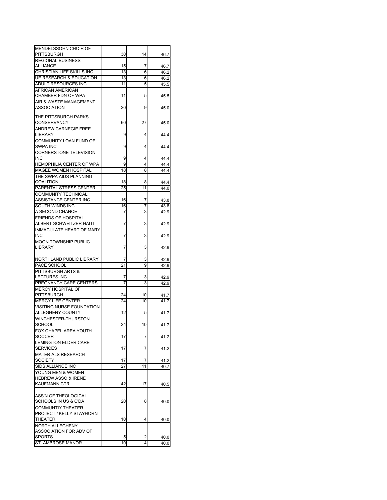| MENDELSSOHN CHOIR OF               |    |                 |      |
|------------------------------------|----|-----------------|------|
| PITTSBURGH                         | 30 | 14              | 46.7 |
| <b>REGIONAL BUSINESS</b>           |    |                 |      |
| <b>ALLIANCE</b>                    | 15 | 7               | 46.7 |
| CHRISTIAN LIFE SKILLS INC          | 13 | 6               | 46.2 |
| <b>UE RESEARCH &amp; EDUCATION</b> | 13 | 6               | 46.2 |
| ADULT RESOURCES INC                | 11 | 5               | 45.5 |
| AFRICAN AMERICAN                   |    |                 |      |
| CHAMBER FDN OF WPA                 | 11 | 5               | 45.5 |
| AIR & WASTE MANAGEMENT             |    |                 |      |
| <b>ASSOCIATION</b>                 | 20 | 9               | 45.0 |
| THE PITTSBURGH PARKS               |    |                 |      |
| CONSERVANCY                        | 60 | 27              | 45.0 |
| ANDREW CARNEGIE FREE               |    |                 |      |
| LIBRARY                            | 9  | 4               | 44.4 |
| COMMUNITY LOAN FUND OF             |    |                 |      |
| <b>SWPA INC</b>                    | 9  | 4               | 44.4 |
| <b>CORNERSTONE TELEVISION</b>      |    |                 |      |
| INC                                | 9  | 4               | 44.4 |
| <b>HEMOPHILIA CENTER OF WPA</b>    | 9  | 4               | 44.4 |
| <b>MAGEE WOMEN HOSPITAL</b>        | 18 | 8               | 44.4 |
| THE SWPA AIDS PLANNING             |    |                 |      |
| <b>COALITION</b>                   | 18 | 8               | 44.4 |
| PARENTAL STRESS CENTER             | 25 | 11              | 44.0 |
| <b>COMMUNITY TECHNICAL</b>         |    |                 |      |
| ASSISTANCE CENTER INC              | 16 | 7               | 43.8 |
| SOUTH WINDS INC                    | 16 | 7               | 43.8 |
| A SECOND CHANCE                    | 7  | 3               | 42.9 |
| <b>FRIENDS OF HOSPITAL</b>         |    |                 |      |
| ALBERT SCHWEITZER HAITI            | 7  | 3               | 42.9 |
| <b>IMMACULATE HEART OF MARY</b>    |    |                 |      |
| INC                                | 7  | 3               | 42.9 |
| <b>MOON TOWNSHIP PUBLIC</b>        |    |                 |      |
| <b>LIBRARY</b>                     | 7  | 3               | 42.9 |
|                                    |    |                 |      |
| NORTHLAND PUBLIC LIBRARY           | 7  | 3               | 42.9 |
| PACE SCHOOL                        | 21 | 9               | 42.9 |
| PITTSBURGH ARTS &                  |    |                 |      |
| <b>LECTURES INC</b>                | I  | 3               | 42.9 |
| PREGNANCY CARE CENTERS             | 7  | 3               | 42.9 |
| <b>MERCY HOSPITAL OF</b>           |    |                 |      |
| <b>PITTSBURGH</b>                  | 24 | 10              | 41.7 |
| <b>MERCY LIFE CENTER</b>           | 24 | 10              | 41.7 |
| VISITING NURSE FOUNDATION          |    |                 |      |
| ALLEGHENY COUNTY                   | 12 | 5               | 41.7 |
| WINCHESTER-THURSTON                |    |                 |      |
| <b>SCHOOL</b>                      | 24 | 10              | 41.7 |
| FOX CHAPEL AREA YOUTH              |    |                 |      |
| <b>SOCCER</b>                      | 17 | 7               | 41.2 |
| <b>LEMINGTON ELDER CARE</b>        |    |                 |      |
| <b>SERVICES</b>                    | 17 | 7               | 41.2 |
| <b>MATERIALS RESEARCH</b>          |    |                 |      |
| <b>SOCIETY</b>                     | 17 | 7               | 41.2 |
| SIDS ALLIANCE INC                  | 27 | $\overline{11}$ | 40.7 |
| YOUNG MEN & WOMEN                  |    |                 |      |
| <b>HEBREW ASSO &amp; IRENE</b>     |    |                 |      |
| <b>KAUFMANN CTR</b>                | 42 | 17              | 40.5 |
|                                    |    |                 |      |
| ASS'N OF THEOLOGICAL               |    |                 |      |
| SCHOOLS IN US & C'DA               | 20 | 8               | 40.0 |
| COMMUNTIY THEATER                  |    |                 |      |
| PROJECT / KELLY STAYHORN           |    |                 |      |
| THEATER                            | 10 | 4               | 40.0 |
| NORTH ALLEGHENY                    |    |                 |      |
| ASSOCIATION FOR ADV OF             |    |                 |      |
| <b>SPORTS</b>                      | 5  | 2               | 40.0 |
| ST. AMBROSE MANOR                  | 10 | 4               | 40.0 |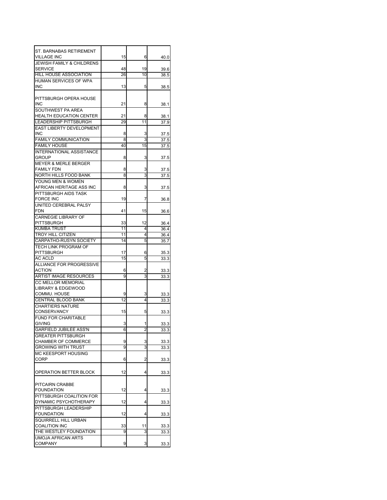| ST. BARNABAS RETIREMENT<br><b>VILLAGE INC</b>         | 15              | 6  | 40.0         |
|-------------------------------------------------------|-----------------|----|--------------|
| <b>JEWISH FAMILY &amp; CHILDRENS</b>                  |                 |    |              |
| <b>SERVICE</b>                                        | 48              | 19 | 39.6         |
| HILL HOUSE ASSOCIATION                                | 26              | 10 | 38.5         |
| <b>HUMAN SERVICES OF WPA</b><br><b>INC</b>            | 13              | 5  | 38.5         |
|                                                       |                 |    |              |
| PITTSBURGH OPERA HOUSE<br><b>INC</b>                  |                 | 8  |              |
| SOUTHWEST PA AREA                                     | 21              |    | 38.1         |
| <b>HEALTH EDUCATION CENTER</b>                        | 21              | 8  | 38.1         |
| <b>LEADERSHIP PITTSBURGH</b>                          | 29              | 11 | 37.9         |
| <b>EAST LIBERTY DEVELOPMENT</b>                       |                 |    |              |
| <b>INC</b>                                            | 8               | 3  | 37.5         |
| <b>FAMILY COMMUNICATION</b>                           | 8               | 3  | 37.5         |
| <b>FAMILY HOUSE</b>                                   | 40              | 15 | 37.5         |
| <b>INTERNATIONAL ASSISTANCE</b>                       |                 |    |              |
| <b>GROUP</b>                                          | 8               | 3  | 37.5         |
| <b>MEYER &amp; MERLE BERGER</b><br><b>FAMILY FDN</b>  | 8               | 3  |              |
| NORTH HILLS FOOD BANK                                 | 8               | 3  | 37.5<br>37.5 |
| YOUNG MEN & WOMEN                                     |                 |    |              |
| AFRICAN HERITAGE ASS INC                              | 8               | 3  | 37.5         |
| PITTSBURGH AIDS TASK                                  |                 |    |              |
| <b>FORCE INC</b>                                      | 19              | 7  | 36.8         |
| UNITED CEREBRAL PALSY                                 |                 |    |              |
| <b>FDN</b>                                            | 41              | 15 | 36.6         |
| <b>CARNEGIE LIBRARY OF</b>                            |                 |    |              |
| PITTSBURGH                                            | 33              | 12 | 36.4         |
| <b>KUMBA TRUST</b>                                    | 11              | 4  | 36.4         |
| <b>TROY HILL CITIZEN</b>                              | 11              | 4  | 36.4         |
| CARPATHO-RUSYN SOCIETY<br><b>TECH LINK PROGRAM OF</b> | 14              | 5  | 35.7         |
| <b>PITTSBURGH</b>                                     | 17              | 6  | 35.3         |
| <b>AC ACLD</b>                                        | 15              | 5  | 33.3         |
| <b>ALLIANCE FOR PROGRESSIVE</b>                       |                 |    |              |
| <b>ACTION</b>                                         | 6               | 2  | 33.3         |
| <b>ARTIST IMAGE RESOURCES</b>                         | 9               | 3  | 33.3         |
| <b>CC MELLOR MEMORIAL</b>                             |                 |    |              |
| <b>LIBRARY &amp; EDGEWOOD</b>                         |                 |    |              |
| COMMU. HOUSE                                          | 9               | 3  | 33.3         |
| <b>CENTRAL BLOOD BANK</b>                             | $\overline{12}$ | 4  | 33.3         |
| <b>CHARTIERS NATURE</b>                               | 15              |    |              |
| <b>CONSERVANCY</b><br>FUND FOR CHARITABLE             |                 | 5  | 33.3         |
| <b>GIVING</b>                                         | 3               | 1  | 33.3         |
| <b>GARFIELD JUBILEE ASS'N</b>                         | 6               | 2  | 33.3         |
| <b>GREATER PITTSBURGH</b>                             |                 |    |              |
| CHAMBER OF COMMERCE                                   | 9               | 3  | 33.3         |
| <b>GROWING WITH TRUST</b>                             | 9               | 3  | 33.3         |
| MC KEESPORT HOUSING                                   |                 |    |              |
| <b>CORP</b>                                           | 6               | 2  | 33.3         |
|                                                       |                 |    |              |
| OPERATION BETTER BLOCK                                | 12              | 4  | 33.3         |
|                                                       |                 |    |              |
| PITCAIRN CRABBE                                       |                 |    |              |
| <b>FOUNDATION</b>                                     | 12              | 4  | 33.3         |
| PITTSBURGH COALITION FOR                              |                 |    |              |
| DYNAMIC PSYCHOTHERAPY<br>PITTSBURGH LEADERSHIP        | 12              | 4  | 33.3         |
| <b>FOUNDATION</b>                                     | 12              | 4  | 33.3         |
| SQUIRRELL HILL URBAN                                  |                 |    |              |
| <b>COALITION INC</b>                                  | 33              | 11 | 33.3         |
| THE WESTLEY FOUNDATION                                | 9               | 3  | 33.3         |
| <b>UMOJA AFRICAN ARTS</b>                             |                 |    |              |
| <b>COMPANY</b>                                        | 9               | 3  | 33.3         |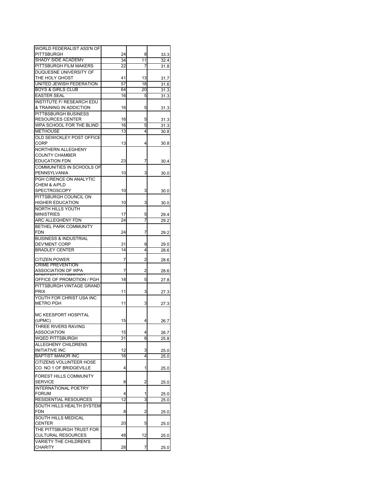| WORLD FEDERALIST ASS'N OF        |    |                |      |
|----------------------------------|----|----------------|------|
| <b>PITTSBURGH</b>                | 24 | 8              | 33.3 |
| <b>SHADY SIDE ACADEMY</b>        | 34 | 11             | 32.4 |
| PITTSBURGH FILM MAKERS           | 22 | 7              | 31.8 |
| DUQUESNE UNIVERSITY OF           |    |                |      |
| THE HOLY GHOST                   | 41 | 13             | 31.7 |
| UNITED JEWISH FEDERATION         | 57 | 18             | 31.6 |
| <b>BOYS &amp; GIRLS CLUB</b>     | 64 | 20             | 31.3 |
| <b>EASTER SEAL</b>               | 16 | 5              | 31.3 |
| <b>INSTITUTE F/ RESEARCH EDU</b> |    |                |      |
| & TRAINING IN ADDICTION          | 16 | 5              | 31.3 |
| PITTBSBURGH BUSINESS             |    |                |      |
| <b>RESOURCES CENTER</b>          | 16 | 5              | 31.3 |
| WPA SCHOOL FOR THE BLIND         | 16 | 5              | 31.3 |
| <b>METHOUSE</b>                  | 13 | 4              | 30.8 |
| OLD SEWICKLEY POST OFFICE        |    |                |      |
| CORP                             | 13 | 4              | 30.8 |
| NORTHERN ALLEGHENY               |    |                |      |
| <b>COUNTY CHAMBER</b>            |    |                |      |
| <b>EDUCATION FDN</b>             | 23 | 7              | 30.4 |
| <b>COMMUNITIES IN SCHOOLS OF</b> |    |                |      |
| PENNSYLVANIA                     | 10 | 3              | 30.0 |
| PGH C/RENCE ON ANALYTIC          |    |                |      |
| CHEM & A/PLD                     |    |                |      |
| <b>SPECTROSCOPY</b>              | 10 | 3              | 30.0 |
| PITTSBURGH COUNCIL ON            |    |                |      |
| <b>HIGHER EDUCATION</b>          | 10 | 3              | 30.0 |
| NORTH HILLS YOUTH                |    |                |      |
| <b>MINISTRIES</b>                | 17 | 5              |      |
| <b>ARC ALLEGHENY FDN</b>         | 24 | 7              | 29.4 |
| BETHEL PARK COMMUNITY            |    |                | 29.2 |
| <b>FDN</b>                       | 24 |                |      |
|                                  |    | 7              | 29.2 |
| <b>BUSINESS &amp; INDUSTRIAL</b> |    |                |      |
| <b>DEV'MENT CORP</b>             | 31 | 9              | 29.0 |
| <b>BRADLEY CENTER</b>            | 14 | 4              | 28.6 |
| <b>CITIZEN POWER</b>             | 7  | 2              | 28.6 |
| <b>CRIME PREVENTION</b>          |    |                |      |
| ASSOCIATION OF WPA               | 7  | 2              | 28.6 |
| חסטסטטרו חברה השטח               |    |                |      |
| OFFICE OF PROMOTION / PGH        | 18 | 5              | 27.8 |
| PITTSBURGH VINTAGE GRAND         |    |                |      |
| <b>PRIX</b>                      | 11 | 3              | 27.3 |
| YOUTH FOR CHRIST USA INC         |    |                |      |
| <b>METRO PGH</b>                 | 11 | 3              | 27.3 |
|                                  |    |                |      |
| MC KEESPORT HOSPITAL             | 15 |                |      |
| (UPMC)                           |    | 4              | 26.7 |
| THREE RIVERS RAVING              |    |                |      |
| ASSOCIATION                      | 15 | 4              | 26.7 |
| WQED PITTSBURGH                  | 31 | 8              | 25.8 |
| ALLEGHENY CHILDRENS              |    |                |      |
| <b>INITIATIVE INC</b>            | 12 | 3              | 25.0 |
| <b>BAPTIST MANOR INC</b>         | 16 | $\overline{4}$ | 25.0 |
| CITIZENS VOLUNTEER HOSE          |    |                |      |
| CO. NO 1 OF BRIDGEVILLE          | 4  | 1              | 25.0 |
| <b>FOREST HILLS COMMUNITY</b>    |    |                |      |
| <b>SERVICE</b>                   | 8  | 2              | 25.0 |
| <b>INTERNATIONAL POETRY</b>      |    |                |      |
| <b>FORUM</b>                     | 4  | 1              | 25.0 |
| RESIDENTIAL RESOURCES            | 12 | 3              | 25.0 |
| SOUTH HILLS HEALTH SYSTEM        |    |                |      |
| FDN                              | 8  | 2              | 25.0 |
| SOUTH HILLS MEDICAL              |    |                |      |
| <b>CENTER</b>                    | 20 | 5              | 25.0 |
| THE PITTSBURGH TRUST FOR         |    |                |      |
| <b>CULTURAL RESOURCES</b>        | 48 | 12             | 25.0 |
| <b>VARIETY THE CHILDREN'S</b>    |    |                |      |
| <b>CHARITY</b>                   | 28 | 7              | 25.0 |
|                                  |    |                |      |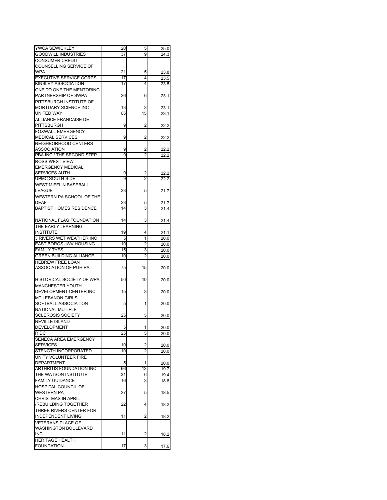| YWCA SEWICKLEY                              | 20 | 5              | 25.0 |
|---------------------------------------------|----|----------------|------|
| <b>GOODWILL INDUSTRIES</b>                  | 37 | 9              | 24.3 |
| <b>CONSUMER CREDIT</b>                      |    |                |      |
| COUNSELLING SERVICE OF                      |    |                |      |
| <b>WPA</b>                                  | 21 | 5              | 23.8 |
| <b>EXECUTIVE SERVICE CORPS</b>              | 17 | 4              | 23.5 |
| KINSLEY ASSOCIATION                         | 17 | 4              | 23.5 |
| ONE TO ONE THE MENTORING                    |    |                |      |
| PARTNERSHIP OF SWPA                         | 26 | 6              | 23.1 |
| PITTSBURGH INSTITUTE OF                     |    |                |      |
| <b>MORTUARY SCIENCE INC</b>                 | 13 | 3              | 23.1 |
| UNITED WAY                                  | 65 | 15             | 23.1 |
| ALLIANCE FRANCAISE DE                       |    |                |      |
| <b>PITTSBURGH</b>                           |    | 2              |      |
|                                             | 9  |                | 22.2 |
| <b>FOXWALL EMERGENCY</b>                    |    |                |      |
| <b>MEDICAL SERVICES</b>                     | 9  | 2              | 22.2 |
| NEIGHBORHOOD CENTERS                        |    |                |      |
| ASSOCIATION                                 | 9  | 2              | 22.2 |
| PBA INC / THE SECOND STEP                   | 9  | 2              | 22.2 |
| ROSS-WEST VIEW                              |    |                |      |
| <b>EMERGENCY MEDICAL</b>                    |    |                |      |
| SERVICES AUTH.                              | 9  | 2              | 22.2 |
| UPMC SOUTH SIDE                             | 9  | $\overline{2}$ | 22.2 |
| <b>WEST MIFFLIN BASEBALL</b>                |    |                |      |
| <b>LEAGUE</b>                               | 23 | 5              | 21.7 |
| WESTERN PA SCHOOL OF THE                    |    |                |      |
| <b>DEAF</b>                                 | 23 | 5              | 21.7 |
| <b>BAPTIST HOMES RESIDENCE</b>              | 14 | 3              | 21.4 |
|                                             |    |                |      |
| NATIONAL FLAG FOUNDATION                    | 14 | 3              | 21.4 |
| THE EARLY LEARNING                          |    |                |      |
| <b>INSTITUTE</b>                            | 19 | 4              | 21.1 |
| <b>3 RIVERS WET WEATHER INC</b>             | 5  | 1              | 20.0 |
| EAST BOROS JWV HOUSING                      | 10 | 2              | 20.0 |
|                                             |    |                |      |
|                                             |    |                |      |
| <b>FAMILY TYES</b>                          | 15 | 3              | 20.0 |
| <b>GREEN BUILDING ALLIANCE</b>              | 10 | 2              | 20.0 |
| <b>HEBREW FREE LOAN</b>                     |    |                |      |
| ASSOCIATION OF PGH PA                       | 75 | 15             | 20.0 |
|                                             |    |                |      |
| HISTORICAL SOCIETY OF WPA                   | 50 | 10             | 20.0 |
| <b>MANCHESTER YOUTH</b>                     |    |                |      |
| DEVELOPMENT CENTER INC                      | 15 | 3              | 20.0 |
| <b>MT LEBANON GIRLS</b>                     |    |                |      |
| SOFTBALL ASSOCIATION                        | 5  | 1              | 20.0 |
| NATIONAL MUTIPLE                            |    |                |      |
| <b>SCLEROSIS SOCIETY</b>                    | 25 | 5              | 20.0 |
| <b>NEVILLE ISLAND</b>                       |    |                |      |
| DEVELOPMENT                                 | 5  | 1              | 20.0 |
| <b>RIDC</b>                                 | 25 | 5              | 20.0 |
| SENECA AREA EMERGENCY                       |    |                |      |
| <b>SERVICES</b>                             | 10 | 2              | 20.0 |
| STENGTH INCORPORATED                        | 10 | $\overline{2}$ | 20.0 |
| UNITY VOLUNTEER FIRE                        |    |                |      |
| <b>DEPARTMENT</b>                           | 5  | 1              | 20.0 |
| <b>ARTHRITIS FOUNDATION INC</b>             | 66 | 13             | 19.7 |
| THE WATSON INSTITUTE                        | 31 | 6              | 19.4 |
| <b>FAMILY GUIDANCE</b>                      | 16 | 3              | 18.8 |
|                                             |    |                |      |
| HOSPITAL COUNCIL OF<br>WESTERN PA           | 27 | 5              | 18.5 |
|                                             |    |                |      |
| <b>CHRISTMAS IN APRIL</b>                   |    |                |      |
| /REBUILDING TOGETHER                        | 22 | 4              | 18.2 |
| THREE RIVERS CENTER FOR                     |    |                |      |
| <b>INDEPENDENT LIVING</b>                   | 11 | 2              | 18.2 |
| <b>VETERANS PLACE OF</b>                    |    |                |      |
| <b>WASHINGTON BOULEVARD</b>                 |    |                |      |
| <b>INC</b>                                  | 11 | 2              | 18.2 |
| <b>HERITAGE HEALTH</b><br><b>FOUNDATION</b> | 17 | 3              | 17.6 |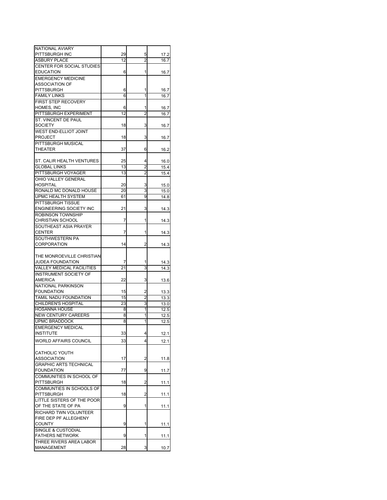| NATIONAL AVIARY                  |          |                |      |
|----------------------------------|----------|----------------|------|
| PITTSBURGH INC                   | 29       | 5              | 17.2 |
| <b>ASBURY PLACE</b>              | 12       | 2              | 16.7 |
|                                  |          |                |      |
| CENTER FOR SOCIAL STUDIES        |          |                |      |
| EDUCATION                        | 6        | 1              | 16.7 |
| <b>EMERGENCY MEDICINE</b>        |          |                |      |
|                                  |          |                |      |
| <b>ASSOCIATION OF</b>            |          |                |      |
| PITTSBURGH                       | 6        | 1              | 16.7 |
| <b>FAMILY LINKS</b>              | 6        | 1              | 16.7 |
|                                  |          |                |      |
| <b>FIRST STEP RECOVERY</b>       |          |                |      |
| HOMES, INC                       | 6        | 1              | 16.7 |
| PITTSBURGH EXPERIMENT            | 12       | 2              | 16.7 |
|                                  |          |                |      |
| ST. VINCENT DE PAUL              |          |                |      |
| <b>SOCIETY</b>                   | 18       | 3              | 16.7 |
| WEST END-ELLIOT JOINT            |          |                |      |
| <b>PROJECT</b>                   | 18       | 3              | 16.7 |
|                                  |          |                |      |
| PITTSBURGH MUSICAL               |          |                |      |
| THEATER                          | 37       | 6              | 16.2 |
|                                  |          |                |      |
|                                  |          |                |      |
| ST. CALIR HEALTH VENTURES        | 25       | 4              | 16.0 |
| <b>GLOBAL LINKS</b>              | 13       | 2              | 15.4 |
| PITTSBURGH VOYAGER               | 13       | $\overline{2}$ | 15.4 |
|                                  |          |                |      |
| <b>OHIO VALLEY GENERAL</b>       |          |                |      |
| <b>HOSPITAL</b>                  | 20       | 3              | 15.0 |
| RONALD MC DONALD HOUSE           | 20       | 3              | 15.0 |
|                                  |          |                |      |
| UPMC HEALTH SYSTEM               | 61       | 9              | 14.8 |
| PITTSBURGH TISSUE                |          |                |      |
| <b>ENGINEERING SOCIETY INC</b>   | 21       | 3              | 14.3 |
|                                  |          |                |      |
| ROBINSON TOWNSHIP                |          |                |      |
| <b>CHRISTIAN SCHOOL</b>          | 7        | 1              | 14.3 |
| SOUTHEAST ASIA PRAYER            |          |                |      |
|                                  |          |                |      |
| <b>CENTER</b>                    | 7        | 1              | 14.3 |
| SOUTHWESTERN PA                  |          |                |      |
| CORPORATION                      | 14       | 2              | 14.3 |
|                                  |          |                |      |
|                                  |          |                |      |
|                                  |          |                |      |
| THE MONROEVILLE CHRISTIAN        |          |                |      |
|                                  | $\prime$ | 1              |      |
| <b>JUDEA FOUNDATION</b>          |          |                | 14.3 |
| <b>VALLEY MEDICAL FACILITIES</b> | 21       | 3              | 14.3 |
| <b>INSTRUMENT SOCIETY OF</b>     |          |                |      |
| <b>AMERICA</b>                   | 22       |                |      |
|                                  |          | 3              | 13.6 |
| NATIONAL PARKINSON               |          |                |      |
| <b>FOUNDATION</b>                | 15       | 2              | 13.3 |
| TAMIL NADU FOUNDATION            | 15       | $\overline{2}$ | 13.3 |
|                                  |          |                |      |
| CHILDREN'S HOSPITAL              | 23       | 3              | 13.0 |
| <b>HOSANNA HOUSE</b>             | 8        | 1              | 12.5 |
| <b>NEW CENTURY CAREERS</b>       | 8        | 1              | 12.5 |
|                                  |          |                |      |
| <b>UPMC BRADDOCK</b>             | 8        | 1              | 12.5 |
| <b>EMERGENCY MEDICAL</b>         |          |                |      |
| <b>INSTITUTE</b>                 | 33       | 4              | 12.1 |
|                                  |          |                |      |
| WORLD AFFAIRS COUNCIL            | 33       | 4              | 12.1 |
|                                  |          |                |      |
|                                  |          |                |      |
| CATHOLIC YOUTH                   |          |                |      |
| ASSOCIATION                      | 17       | 2              | 11.8 |
| <b>GRAPHIC ARTS TECHNICAL</b>    |          |                |      |
|                                  |          |                |      |
| <b>FOUNDATION</b>                | 77       | 9              | 11.7 |
| COMMUNITIES IN SCHOOL OF         |          |                |      |
| <b>PITTSBURGH</b>                | 18       | 2              | 11.1 |
| COMMUNTIES IN SCHOOLS OF         |          |                |      |
|                                  |          |                |      |
| PITTSBURGH                       | 18       | 2              | 11.1 |
| LITTLE SISTERS OF THE POOR       |          |                |      |
| OF THE STATE OF PA               | 9        | 1              | 11.1 |
|                                  |          |                |      |
| RICHARD TWN VOLUNTEER            |          |                |      |
| FIRE DEP PF ALLEGHENY            |          |                |      |
| <b>COUNTY</b>                    | 9        | 1              | 11.1 |
|                                  |          |                |      |
| SINGLE & CUSTODIAL               |          |                |      |
| <b>FATHERS NETWORK</b>           | 9        | 1              | 11.1 |
| THREE RIVERS AREA LABOR          |          |                |      |
| MANAGEMENT                       | 28       | 3              | 10.7 |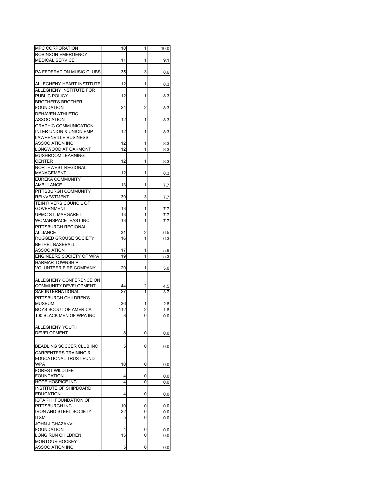| <b>MPC CORPORATION</b>                        | 10       | 1      | 10.0       |
|-----------------------------------------------|----------|--------|------------|
| <b>ROBINSON EMERGENCY</b>                     |          |        |            |
| <b>MEDICAL SERVICE</b>                        | 11       | 1      | 9.1        |
|                                               |          |        |            |
| PA FEDERATION MUSIC CLUBS                     | 35       | 3      | 8.6        |
|                                               |          |        |            |
| ALLEGHENY HEART INSTITUTE                     | 12       | 1      | 8.3        |
| ALLEGHENY INSTITUTE FOR                       |          |        |            |
| PUBLIC POLICY                                 | 12       | 1      | 8.3        |
| <b>BROTHER'S BROTHER</b>                      |          |        |            |
| <b>FOUNDATION</b>                             | 24       | 2      | 8.3        |
| <b>DEHAVEN ATHLETIC</b>                       |          |        |            |
| ASSOCIATION                                   | 12       | 1      | 8.3        |
| <b>GRAPHIC COMMUNICATION</b>                  |          |        |            |
| <b>INTER UNION &amp; UNION EMP</b>            | 12       | 1      | 8.3        |
| <b>LAWRENVILLE BUSINESS</b>                   |          |        |            |
| <b>ASSOCIATION INC</b><br>LONGWOOD AT OAKMONT | 12<br>12 | 1<br>1 | 8.3        |
|                                               |          |        | 8.3        |
| MUSHROOM LEARNING<br><b>CENTER</b>            | 12       | 1      |            |
| <b>NORTHWEST REGIONAL</b>                     |          |        | 8.3        |
| MANAGEMENT                                    | 12       | 1      | 8.3        |
| <b>EUREKA COMMUNITY</b>                       |          |        |            |
| AMBULANCE                                     | 13       | 1      | 7.7        |
| PITTSBURGH COMMUNITY                          |          |        |            |
| <b>REINVESTMENT</b>                           | 39       | 3      | 7.7        |
| TEIN RIVERS COUNCIL OF                        |          |        |            |
| <b>GOVERNMENT</b>                             | 13       | 1      | 7.7        |
| <b>UPMC ST. MARGARET</b>                      | 13       | 1      | 7.7        |
| WOMANSPACE - EAST INC                         | 13       | 1      | 7.7        |
| PITTSBURGH REGIONAL                           |          |        |            |
| ALLIANCE                                      | 31       | 2      | 6.5        |
| <b>RUGGED GROUSE SOCIETY</b>                  | 16       | 1      | 6.3        |
| <b>BETHEL BASEBALL</b>                        |          |        |            |
| <b>ASSOCIATION</b>                            | 17       | 1      | 5.9        |
| <b>ENGINEERS SOCIETY OF WPA</b>               | 19       | 1      | 5.3        |
| <b>HARMAR TOWNSHIP</b>                        |          |        |            |
| VOLUNTEER FIRE COMPANY                        | 20       | 1      | 5.0        |
|                                               |          |        |            |
| ALLEGHENY CONFERENCE ON                       |          |        |            |
| COMMUNITY DEVELOPMENT                         | 44       | 2      | 4.5        |
| <b>SAE INTERNATIONAL</b>                      | 27       | 1      | 3.7        |
| PITTSBURGH CHILDREN'S<br><b>MUSEUM</b>        | 36       | 1      |            |
| <b>BOYS SCOUT OF AMERICA</b>                  | 112      | 2      | 2.8        |
| 100 BLACK MEN OF WPA INC                      | 8        | 0      | 1.8<br>0.0 |
|                                               |          |        |            |
| ALLEGHENY YOUTH                               |          |        |            |
| DEVELOPMENT                                   | 8        | 0      | 0.0        |
|                                               |          |        |            |
| BEADLING SOCCER CLUB INC                      | 5        | 0      | 0.0        |
| <b>CARPENTERS TRAINING &amp;</b>              |          |        |            |
| EDUCATIONAL TRUST FUND                        |          |        |            |
| <b>WPA</b>                                    | 10       | 0      | 0.0        |
| <b>FOREST WILDLIFE</b>                        |          |        |            |
| <b>FOUNDATION</b>                             | 4        | 0      | 0.0        |
| <b>HOPE HOSPICE INC</b>                       | 4        | 0      | 0.0        |
| <b>INSTITUTE OF SHIPBOARD</b>                 |          |        |            |
| <b>EDUCATION</b>                              | 4        | 0      | 0.0        |
| IOTA PHI FOUNDATION OF                        |          |        |            |
| PITTSBURGH INC                                | 10       | 0      | 0.0        |
| <b>IRON AND STEEL SOCIETY</b>                 | 22       | 0      | 0.0        |
| <b>ITXM</b>                                   | 5        | 0      | 0.0        |
| <b>JOHN J GHAZANVI</b>                        |          |        |            |
| <b>FOUNDATION</b>                             | 4        | 0      | 0.0        |
| LONG RUN CHILDREN                             | 15       | 0      | 0.0        |
| <b>MONTOUR HOCKEY</b>                         |          |        |            |
| ASSOCIATION INC                               | 5        | 0      | 0.0        |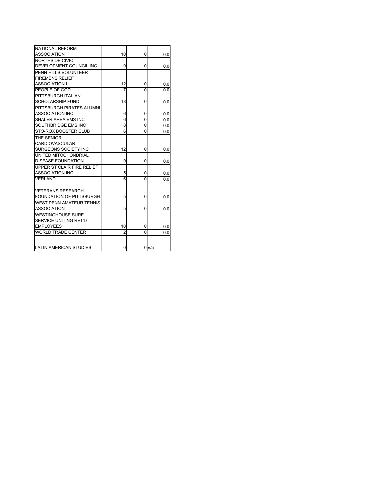| NATIONAL REFORM                 |                |          |      |
|---------------------------------|----------------|----------|------|
| <b>ASSOCIATION</b>              | 10             | 0        | 0.0  |
| NORTHSIDE CIVIC                 |                |          |      |
| DEVELOPMENT COUNCIL INC         | 9              | 0        | 0.0  |
| PENN HILLS VOLUNTEER            |                |          |      |
| <b>FIREMENS RELIEF</b>          |                |          |      |
| <b>ASSOCIATION I</b>            | 12             | 0        | 0.0  |
| PEOPLE OF GOD                   |                | O        | 0.0  |
| PITTSBURGH ITALIAN              |                |          |      |
| <b>SCHOLARSHIP FUND</b>         | 18             | 0        | 0.0  |
| PITTSBURGH PIRATES ALUMNI       |                |          |      |
| <b>ASSOCIATION INC</b>          | 6              | 0        | 0.0  |
| SHALER AREA EMS INC             | 6              | 0        | 0.0  |
| SOUTHBRIDGE EMS INC             | 8              | 0        | 0.0  |
| <b>STO-ROX BOOSTER CLUB</b>     | 6              | 0        | 0.0  |
| THE SENIOR                      |                |          |      |
| CARDIOVASCULAR                  |                |          |      |
| <b>SURGEONS SOCIETY INC</b>     | 12             | 0        | 0.0  |
| UNITED MITOCHONDRIAL            |                |          |      |
| <b>DISEASE FOUNDATION</b>       | 9              | 0        | 0.0  |
| UPPER ST CLAIR FIRE RELIEF      |                |          |      |
| <b>ASSOCIATION INC</b>          | 5              | 0        | 0.0  |
| <b>VERLAND</b>                  | 6              | $\Omega$ | 0.0  |
|                                 |                |          |      |
| <b>VETERANS RESEARCH</b>        |                |          |      |
| FOUNDATION OF PITTSBURGH        | 5              | 0        | 0.0  |
| <b>WEST PENN AMATEUR TENNIS</b> |                |          |      |
| <b>ASSOCIATION</b>              | 5              | 0        | 0.0  |
| <b>WESTINGHOUSE SURE</b>        |                |          |      |
| <b>SERVICE UNITING RET'D</b>    |                |          |      |
| <b>EMPLOYEES</b>                | 10             | 0        | 0.0  |
| <b>WORLD TRADE CENTER</b>       | $\overline{2}$ | 0        | 0.0  |
|                                 |                |          |      |
|                                 |                |          |      |
| LATIN AMERICAN STUDIES          | 0              |          | 0n/a |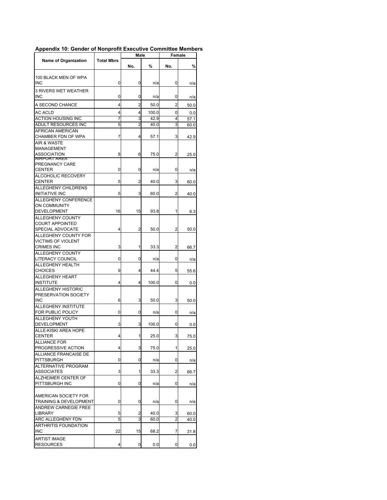|                                                   | Male              |                     | Female       |                |      |
|---------------------------------------------------|-------------------|---------------------|--------------|----------------|------|
| <b>Name of Organization</b>                       | <b>Total Mbrs</b> | No.                 | %            | No.            | %    |
|                                                   |                   |                     |              |                |      |
| 100 BLACK MEN OF WPA<br>INC                       | 0                 | 0                   | n/a          | 0              | n/a  |
| <b>3 RIVERS WET WEATHER</b>                       |                   |                     |              |                |      |
| <b>INC</b>                                        | 0                 | 0                   | n/a          | 0              | n/a  |
| A SECOND CHANCE                                   | 4                 | $\overline{2}$      | 50.0         | $\overline{2}$ | 50.0 |
| AC ACLD                                           | 4                 | 4                   | 100.0        | 0              | 0.0  |
| <b>ACTION HOUSING INC</b><br>ADULT RESOURCES INC  | 7<br>5            | 3<br>$\overline{2}$ | 42.9<br>40.0 | 4<br>3         | 57.1 |
| <b>AFRICAN AMERICAN</b>                           |                   |                     |              |                | 60.0 |
| CHAMBER FDN OF WPA                                | 7                 | 4                   | 57.1         | 3              | 42.9 |
| AIR & WASTE                                       |                   |                     |              |                |      |
| MANAGEMENT                                        |                   |                     |              |                |      |
| ASSOCIATION<br>AIRPURT AREA                       | 8                 | 6                   | 75.0         | 2              | 25.0 |
| PREGNANCY CARE                                    |                   |                     |              |                |      |
| <b>CENTER</b><br><b>ALCOHOLIC RECOVERY</b>        | 0                 | 0                   | n/a          | 0              | n/a  |
| <b>CENTER</b>                                     | 5                 | 2                   | 40.0         | 3              | 60.0 |
| ALLEGHENY CHILDRENS                               |                   |                     |              |                |      |
| <b>INITIATIVE INC</b>                             | 5                 | 3                   | 60.0         | 2              | 40.0 |
| <b>ALLEGHENY CONFERENCE</b>                       |                   |                     |              |                |      |
| <b>ON COMMUNITY</b><br>DEVELOPMENT                | 16                | 15                  | 93.8         | 1              | 6.3  |
| ALLEGHENY COUNTY                                  |                   |                     |              |                |      |
| <b>COURT APPOINTED</b>                            |                   |                     |              |                |      |
| SPECIAL ADVOCATE                                  | 4                 | $\overline{2}$      | 50.0         | 2              | 50.0 |
| ALLEGHENY COUNTY FOR<br><b>VICTIMS OF VIOLENT</b> |                   |                     |              |                |      |
| <b>CRIMES INC</b>                                 | 3                 | 1                   | 33.3         | 2              | 66.7 |
| <b>ALLEGHENY COUNTY</b>                           |                   |                     |              |                |      |
| <b>LITERACY COUNCIL</b>                           | 0                 | 0                   | n/a          | 0              | n/a  |
| <b>ALLEGHENY HEALTH</b><br><b>CHOICES</b>         | 9                 | 4                   | 44.4         | 5              | 55.6 |
| <b>ALLEGHENY HEART</b>                            |                   |                     |              |                |      |
| <b>INSTITUTE</b>                                  | 4                 | 4                   | 100.0        | 0              | 0.0  |
| ALLEGHENY HISTORIC                                |                   |                     |              |                |      |
| PRESERVATION SOCIETY<br><b>INC</b>                | 6                 | 3                   | 50.0         | 3              | 50.0 |
| ALLEGHENY INSTITUTE                               |                   |                     |              |                |      |
| FOR PUBLIC POLICY                                 | 0                 | 0                   | n/a          | 0              | n/a  |
| ALLEGHENY YOUTH                                   |                   |                     |              |                |      |
| DEVELOPMENT<br>ALLE-KISKI AREA HOPE               | 3                 | 3                   | 100.0        | 0              | 0.0  |
| CENTER                                            |                   | 1                   | 25.0         | 3              | 75.0 |
| <b>ALLIANCE FOR</b>                               |                   |                     |              |                |      |
| PROGRESSIVE ACTION                                | 4                 | 3                   | 75.0         | 1              | 25.0 |
| ALLIANCE FRANCAISE DE<br>PITTSBURGH               | 0                 | 0                   |              | 0              |      |
| <b>ALTERNATIVE PROGRAM</b>                        |                   |                     | n/a          |                | n/a  |
| ASSOCIATES                                        | 3                 | 1                   | 33.3         | 2              | 66.7 |
| ALZHEIMER CENTER OF                               |                   |                     |              |                |      |
| PITTSBURGH INC                                    | 0                 | 0                   | n/a          | 0              | n/a  |
| AMERICAN SOCIETY FOR                              |                   |                     |              |                |      |
| <b>TRAINING &amp; DEVELOPMENT</b>                 | 0                 | 0                   | n/a          | 0              | n/a  |
| <b>ANDREW CARNEGIE FREE</b>                       |                   |                     |              |                |      |
| LIBRARY                                           | 5                 | 2                   | 40.0         | 3              | 60.0 |
| ARC ALLEGHENY FDN                                 | 5                 | 3                   | 60.0         | 2              | 40.0 |
| ARTHRITIS FOUNDATION<br><b>INC</b>                | 22                | 15                  | 68.2         | 7              | 31.8 |
| <b>ARTIST IMAGE</b>                               |                   |                     |              |                |      |
| <b>RESOURCES</b>                                  | 4                 | 0                   | 0.0          | 0              | 0.0  |

## **Appendix 10: Gender of Nonprofit Executive Committee Members**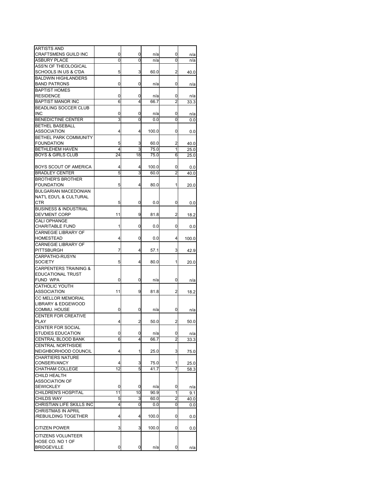| ARTISTS AND                      |    |    |       |                |       |
|----------------------------------|----|----|-------|----------------|-------|
| <b>CRAFTSMENS GUILD INC</b>      | 0  | 0  | n/a   | 0              | n/a   |
| <b>ASBURY PLACE</b>              | 0  | 0  | n/a   | 0              | n/a   |
| ASS'N OF THEOLOGICAL             |    |    |       |                |       |
| SCHOOLS IN US & C'DA             | 5  | 3  | 60.0  | 2              | 40.0  |
| <b>BALDWIN HIGHLANDERS</b>       |    |    |       |                |       |
|                                  |    |    |       |                |       |
| <b>BAND PATRONS</b>              | 0  | 0  | n/a   | 0              | n/a   |
| <b>BAPTIST HOMES</b>             |    |    |       |                |       |
| <b>RESIDENCE</b>                 | 0  | 0  | n/a   | 0              | n/a   |
| <b>BAPTIST MANOR INC</b>         | 6  | 4  | 66.7  | 2              | 33.3  |
| <b>BEADLING SOCCER CLUB</b>      |    |    |       |                |       |
| <b>INC</b>                       | 0  | 0  | n/a   | 0              | n/a   |
| <b>BENEDICTINE CENTER</b>        | 3  | 0  | 0.0   | Ō              | 0.0   |
|                                  |    |    |       |                |       |
| <b>BETHEL BASEBALL</b>           |    |    |       |                |       |
| ASSOCIATION                      | 4  | 4  | 100.0 | 0              | 0.0   |
| BETHEL PARK COMMUNITY            |    |    |       |                |       |
| <b>FOUNDATION</b>                | 5  | 3  | 60.0  | 2              | 40.0  |
| BETHLEHEM HAVEN                  | 4  | 3  | 75.0  | 1              | 25.0  |
| <b>BOYS &amp; GIRLS CLUB</b>     | 24 | 18 | 75.0  | 6              | 25.0  |
|                                  |    |    |       |                |       |
| BOYS SCOUT OF AMERICA            | 4  | 4  | 100.0 | 0              | 0.0   |
| <b>BRADLEY CENTER</b>            | 5  | 3  | 60.0  | $\overline{2}$ | 40.0  |
|                                  |    |    |       |                |       |
| <b>BROTHER'S BROTHER</b>         |    |    |       |                |       |
| <b>FOUNDATION</b>                | 5  | 4  | 80.0  | 1              | 20.0  |
| <b>BULGARIAN MACEDONIAN</b>      |    |    |       |                |       |
| NAT'L EDU'L & CULTURAL           |    |    |       |                |       |
| CTR                              | 5  | 0  | 0.0   | 0              | 0.0   |
| <b>BUSINESS &amp; INDUSTRIAL</b> |    |    |       |                |       |
| <b>DEV'MENT CORP</b>             | 11 | 9  | 81.8  | 2              | 18.2  |
| <b>CALI OPHANGE</b>              |    |    |       |                |       |
|                                  |    |    |       |                |       |
| <b>CHARITABLE FUND</b>           | 1  | 0  | 0.0   | 0              | 0.0   |
| CARNEGIE LIBRARY OF              |    |    |       |                |       |
| HOMESTEAD                        | 4  | 0  | 0.0   | 4              | 100.0 |
| <b>CARNEGIE LIBRARY OF</b>       |    |    |       |                |       |
| <b>PITTSBURGH</b>                | 7  | 4  | 57.1  | 3              | 42.9  |
| CARPATHO-RUSYN                   |    |    |       |                |       |
| <b>SOCIETY</b>                   | 5  | 4  | 80.0  | 1              | 20.0  |
|                                  |    |    |       |                |       |
| <b>CARPENTERS TRAINING &amp;</b> |    |    |       |                |       |
| EDUCATIONAL TRUST                |    |    |       |                |       |
| FUND WPA                         | 0  | 0  | n/a   | 0              | n/a   |
| CATHOLIC YOUTH                   |    |    |       |                |       |
| ASSOCIATION                      | 11 | 9  | 81.8  | 2              | 18.2  |
| <b>CC MELLOR MEMORIAL</b>        |    |    |       |                |       |
| <b>LIBRARY &amp; EDGEWOOD</b>    |    |    |       |                |       |
| COMMU. HOUSE                     | 0  | 0  | n/a   | 0              |       |
|                                  |    |    |       |                | n/a   |
| CENTER FOR CREATIVE              |    |    |       |                |       |
| PLAY                             | 4  | 2  | 50.0  | 2              | 50.0  |
| <b>CENTER FOR SOCIAL</b>         |    |    |       |                |       |
| STUDIES EDUCATION                | 0  | 0  | n/a   | 0              | n/a   |
| CENTRAL BLOOD BANK               | 6  | 4  | 66.7  | $\overline{2}$ | 33.3  |
| <b>CENTRAL NORTHSIDE</b>         |    |    |       |                |       |
| NEIGHBORHOOD COUNCIL             | 4  | 1  | 25.0  | 3              | 75.0  |
| <b>CHARTIERS NATURE</b>          |    |    |       |                |       |
|                                  |    |    |       |                |       |
| <b>CONSERVANCY</b>               | 4  | 3  | 75.0  | 1              | 25.0  |
| CHATHAM COLLEGE                  | 12 | 5  | 41.7  | 7              | 58.3  |
| CHILD HEALTH                     |    |    |       |                |       |
| <b>ASSOCIATION OF</b>            |    |    |       |                |       |
| <b>SEWICKLEY</b>                 | 0  | 0  | n/a   | 0              | n/a   |
| CHILDREN'S HOSPITAL              | 11 | 10 | 90.9  | 1              | 9.1   |
| <b>CHILDS WAY</b>                | 5  | 3  | 60.0  | 2              | 40.0  |
| CHRISTIAN LIFE SKILLS INC        | 4  | 0  | 0.0   | 0              | 0.0   |
| <b>CHRISTMAS IN APRIL</b>        |    |    |       |                |       |
|                                  |    |    |       |                |       |
| /REBUILDING TOGETHER             | 4  | 4  | 100.0 | 0              | 0.0   |
|                                  |    |    |       |                |       |
| <b>CITIZEN POWER</b>             | 3  | 3  | 100.0 | 0              | 0.0   |
| CITIZENS VOLUNTEER               |    |    |       |                |       |
| HOSE CO. NO 1 OF                 |    |    |       |                |       |
| <b>BRIDGEVILLE</b>               | 0  | 0  | n/a   | 0              |       |
|                                  |    |    |       |                | n/a   |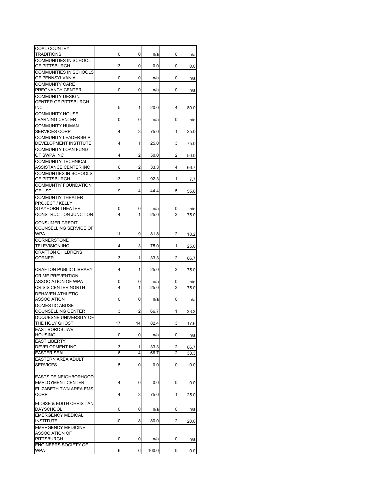| <b>COAL COUNTRY</b>                                |    |                |       |   |              |
|----------------------------------------------------|----|----------------|-------|---|--------------|
| TRADITIONS<br><b>COMMUNITIES IN SCHOOL</b>         | 0  | 0              | n/a   | 0 | n/a          |
| OF PITTSBURGH                                      | 13 | 0              | 0.0   | 0 | 0.0          |
| COMMUNITIES IN SCHOOLS                             |    |                |       |   |              |
| OF PENNSYLVANIA                                    | 0  | 0              | n/a   | 0 | n/a          |
| <b>COMMUNITY CARE</b>                              |    |                |       |   |              |
| PREGNANCY CENTER                                   | 0  | 0              | n/a   | 0 | n/a          |
| <b>COMMUNITY DESIGN</b>                            |    |                |       |   |              |
| <b>CENTER OF PITTSBURGH</b>                        |    |                |       |   |              |
| INC                                                | 5  | 1              | 20.0  | 4 | 80.0         |
| <b>COMMUNITY HOUSE</b>                             |    |                |       |   |              |
| <b>LEARNING CENTER</b>                             | 0  | 0              | n/a   | 0 | n/a          |
| <b>COMMUNITY HUMAN</b>                             |    |                |       |   |              |
| <b>SERVICES CORP</b>                               | 4  | 3              | 75.0  | 1 | 25.0         |
| <b>COMMUNITY LEADERSHIP</b>                        |    |                |       |   |              |
| DEVELOPMENT INSTITUTE                              | 4  | 1              | 25.0  | 3 | 75.0         |
| <b>COMMUNITY LOAN FUND</b><br>OF SWPA INC          | 4  | 2              | 50.0  | 2 |              |
| <b>COMMUNITY TECHNICAL</b>                         |    |                |       |   | 50.0         |
| ASSISTANCE CENTER INC                              | 6  | $\overline{c}$ | 33.3  | 4 | 66.7         |
| COMMUNTIES IN SCHOOLS                              |    |                |       |   |              |
| OF PITTSBURGH                                      | 13 | 12             | 92.3  | 1 | 7.7          |
| <b>COMMUNTIY FOUNDATION</b>                        |    |                |       |   |              |
| OF USC                                             | 9  | 4              | 44.4  | 5 | 55.6         |
| <b>COMMUNTIY THEATER</b>                           |    |                |       |   |              |
| PROJECT / KELLY                                    |    |                |       |   |              |
| STAYHORN THEATER                                   | 0  | 0              | n/a   | 0 | n/a          |
| CONSTRUCTION JUNCTION                              | 4  | 1              | 25.0  | 3 | 75.0         |
| <b>CONSUMER CREDIT</b>                             |    |                |       |   |              |
| COUNSELLING SERVICE OF                             |    |                |       |   |              |
| WPA                                                | 11 | 9              | 81.8  | 2 | 18.2         |
| <b>CORNERSTONE</b>                                 |    |                |       |   |              |
| <b>TELEVISION INC</b>                              | 4  | 3              | 75.0  | 1 | 25.0         |
| <b>CRAFTON CHILDRENS</b>                           |    |                |       |   |              |
| <b>CORNER</b>                                      | 3  | 1              | 33.3  | 2 | 66.7         |
|                                                    |    |                |       |   |              |
| <b>CRAFTON PUBLIC LIBRARY</b>                      | 4  | 1              | 25.0  | 3 | 75.0         |
| <b>CRIME PREVENTION</b>                            |    |                |       |   |              |
| ASSOCIATION OF WPA                                 | 0  | 0              | n/a   | 0 | n/a          |
| <b>CRISIS CENTER NORTH</b>                         | 4  | 1              | 25.0  | 3 | 75.0         |
| <b>DEHAVEN ATHLETIC</b>                            |    |                |       |   |              |
| ASSOCIATION                                        | 0  | 0              | n/a   | 0 | n/a          |
| <b>DOMESTIC ABUSE</b>                              |    |                |       |   |              |
| <b>COUNSELLING CENTER</b>                          | 3  | 2              | 66.7  | 1 | 33.3         |
| DUQUESNE UNIVERSITY OF                             |    |                |       |   |              |
| THE HOLY GHOST                                     | 17 | 14             | 82.4  | 3 | 17.6         |
| EAST BOROS JWV                                     |    |                |       |   |              |
| <b>HOUSING</b>                                     | 0  | 0              | n/a   | 0 | n/a          |
| <b>EAST LIBERTY</b><br>DEVELOPMENT INC             | 3  | 1              | 33.3  | 2 |              |
| <b>EASTER SEAL</b>                                 | 6  | 4              | 66.7  | 2 | 66.7<br>33.3 |
| EASTERN AREA ADULT                                 |    |                |       |   |              |
| <b>SERVICES</b>                                    | 5  | 0              | 0.0   | 0 | 0.0          |
|                                                    |    |                |       |   |              |
| EASTSIDE NEIGHBORHOOD                              |    |                |       |   |              |
| <b>EMPLOYMENT CENTER</b>                           | 4  | 0              | 0.0   | 0 | 0.0          |
| ELIZABETH TWN AREA EMS                             |    |                |       |   |              |
| <b>CORP</b>                                        | 4  | 3              | 75.0  | 1 | 25.0         |
|                                                    |    |                |       |   |              |
| ELOISE & EDITH CHRISTIAN                           |    |                |       |   |              |
| DAYSCHOOL                                          | 0  | 0              | n/a   | 0 | n/a          |
| <b>EMERGENCY MEDICAL</b>                           | 10 | 8              |       |   |              |
| <b>INSTITUTE</b>                                   |    |                | 80.0  | 2 | 20.0         |
| <b>EMERGENCY MEDICINE</b><br><b>ASSOCIATION OF</b> |    |                |       |   |              |
| <b>PITTSBURGH</b>                                  | 0  | 0              | n/a   | 0 | n/a          |
| <b>ENGINEERS SOCIETY OF</b>                        |    |                |       |   |              |
| <b>WPA</b>                                         | 6  | 6              | 100.0 | 0 | 0.0          |
|                                                    |    |                |       |   |              |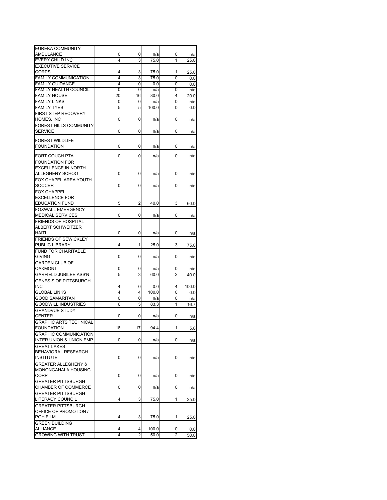| EUREKA COMMUNITY                   |    |    |       |   |       |
|------------------------------------|----|----|-------|---|-------|
| AMBULANCE                          | 0  | 0  | n/a   | 0 | n/a   |
| EVERY CHILD INC                    | 4  | 3  | 75.0  | 1 | 25.0  |
| <b>EXECUTIVE SERVICE</b>           |    |    |       |   |       |
| <b>CORPS</b>                       | 4  | 3  | 75.0  | 1 | 25.0  |
| <b>FAMILY COMMUNICATION</b>        | 4  | 3  | 75.0  | 0 | 0.0   |
| <b>FAMILY GUIDANCE</b>             | 4  | 0  | 0.0   | 0 |       |
|                                    |    |    |       |   | 0.0   |
| <b>FAMILY HEALTH COUNCIL</b>       | 0  | 0  | n/a   | 0 | n/a   |
| <b>FAMILY HOUSE</b>                | 20 | 16 | 80.0  | 4 | 20.0  |
| <b>FAMILY LINKS</b>                | 0  | 0  | n/a   | 0 | n/a   |
| <b>FAMILY TYES</b>                 | 5  | 5  | 100.0 | 0 | 0.0   |
| FIRST STEP RECOVERY                |    |    |       |   |       |
| HOMES, INC                         | 0  | 0  | n/a   | 0 | n/a   |
| FOREST HILLS COMMUNITY             |    |    |       |   |       |
| <b>SERVICE</b>                     | 0  | 0  | n/a   | 0 | n/a   |
|                                    |    |    |       |   |       |
| <b>FOREST WILDLIFE</b>             |    |    |       |   |       |
| <b>FOUNDATION</b>                  | 0  | 0  | n/a   | 0 | n/a   |
|                                    |    |    |       |   |       |
| FORT COUCH PTA                     | 0  | 0  | n/a   | 0 | n/a   |
| <b>FOUNDATION FOR</b>              |    |    |       |   |       |
| <b>EXCELLENCE IN NORTH</b>         |    |    |       |   |       |
| ALLEGHENY SCHOO                    | 0  | 0  | n/a   | 0 | n/a   |
| FOX CHAPEL AREA YOUTH              |    |    |       |   |       |
| <b>SOCCER</b>                      | 0  | 0  | n/a   | 0 | n/a   |
| <b>FOX CHAPPEL</b>                 |    |    |       |   |       |
| <b>EXCELLENCE FOR</b>              |    |    |       |   |       |
| <b>EDUCATION FUND</b>              | 5  | 2  | 40.0  |   |       |
|                                    |    |    |       | 3 | 60.0  |
| <b>FOXWALL EMERGENCY</b>           |    |    |       |   |       |
| <b>MEDICAL SERVICES</b>            | 0  | 0  | n/a   | 0 | n/a   |
| <b>FRIENDS OF HOSPITAL</b>         |    |    |       |   |       |
| ALBERT SCHWEITZER                  |    |    |       |   |       |
| HAITI                              | 0  | 0  | n/a   | 0 | n/a   |
| <b>FRIENDS OF SEWICKLEY</b>        |    |    |       |   |       |
| PUBLIC LIBRARY                     | 4  | 1  | 25.0  | 3 | 75.0  |
| <b>FUND FOR CHARITABLE</b>         |    |    |       |   |       |
| <b>GIVING</b>                      | 0  | 0  | n/a   | 0 |       |
|                                    |    |    |       |   | n/a   |
| <b>GARDEN CLUB OF</b>              |    |    |       |   |       |
| OAKMONT                            | 0  | 0  | n/a   | 0 | n/a   |
| <b>GARFIELD JUBILEE ASS'N</b>      | 5  | 3  | 60.0  | 2 | 40.0  |
| <b>GENESIS OF PITTSBURGH</b>       |    |    |       |   |       |
| INC                                | 4  | 0  | 0.0   | 4 | 100.0 |
| <b>GLOBAL LINKS</b>                | 4  | 4  | 100.0 | 0 | 0.0   |
| <b>GOOD SAMARITAN</b>              | 0  | 0  | n/a   | 0 | n/a   |
| <b>GOODWILL INDUSTRIES</b>         | 6  | 5  | 83.3  | 1 | 16.7  |
| <b>GRANDVUE STUDY</b>              |    |    |       |   |       |
| <b>CENTER</b>                      | 0  | 0  | n/a   | 0 | n/a   |
|                                    |    |    |       |   |       |
| <b>GRAPHIC ARTS TECHNICAL</b>      |    |    |       |   |       |
| <b>FOUNDATION</b>                  | 18 | 17 | 94.4  |   | 5.6   |
| <b>GRAPHIC COMMUNICATION</b>       |    |    |       |   |       |
| <b>INTER UNION &amp; UNION EMP</b> | 0  | 0  | n/a   | 0 | n/a   |
| <b>GREAT LAKES</b>                 |    |    |       |   |       |
| BEHAVIORAL RESEARCH                |    |    |       |   |       |
| <b>INSTITUTE</b>                   | 0  | 0  | n/a   | 0 | n/a   |
| <b>GREATER ALLEGHENY &amp;</b>     |    |    |       |   |       |
| MONONGAHALA HOUSING                |    |    |       |   |       |
| <b>CORP</b>                        | 0  | 0  | n/a   | 0 |       |
|                                    |    |    |       |   | n/a   |
| <b>GREATER PITTSBURGH</b>          |    |    |       |   |       |
| CHAMBER OF COMMERCE                | 0  | 0  | n/a   | 0 | n/a   |
| <b>GREATER PITTSBURGH</b>          |    |    |       |   |       |
| LITERACY COUNCIL                   | 4  | 3  | 75.0  | 1 | 25.0  |
| <b>GREATER PITTSBURGH</b>          |    |    |       |   |       |
| OFFICE OF PROMOTION /              |    |    |       |   |       |
| PGH FILM                           | 4  | 3  | 75.0  | 1 | 25.0  |
| <b>GREEN BUILDING</b>              |    |    |       |   |       |
| <b>ALLIANCE</b>                    | 4  | 4  | 100.0 | 0 | 0.0   |
|                                    |    |    |       |   |       |
| <b>GROWING WITH TRUST</b>          | 4  | 2  | 50.0  | 2 | 50.0  |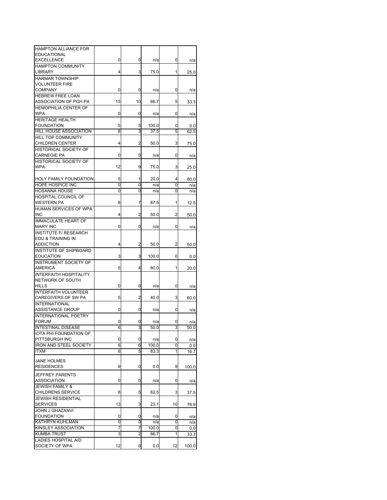| <b>HAMPTON ALLIANCE FOR</b>   |    |    |       |    |       |
|-------------------------------|----|----|-------|----|-------|
| <b>EDUCATIONAL</b>            |    |    |       |    |       |
| <b>EXCELLENCE</b>             | 0  | 0  | n/a   | 0  | n/a   |
| <b>HAMPTON COMMUNITY</b>      |    |    |       |    |       |
| <b>LIBRARY</b>                | 4  | 3  | 75.0  | 1  | 25.0  |
| <b>HARMAR TOWNSHIP</b>        |    |    |       |    |       |
|                               |    |    |       |    |       |
| <b>VOLUNTEER FIRE</b>         |    |    |       |    |       |
| <b>COMPANY</b>                | 0  | 0  | n/a   | 0  | n/a   |
| <b>HEBREW FREE LOAN</b>       |    |    |       |    |       |
| ASSOCIATION OF PGH PA         | 15 | 10 | 66.7  | 5  | 33.3  |
| <b>HEMOPHILIA CENTER OF</b>   |    |    |       |    |       |
| <b>WPA</b>                    | 0  | 0  | n/a   | 0  | n/a   |
| <b>HERITAGE HEALTH</b>        |    |    |       |    |       |
|                               |    |    |       |    |       |
| <b>FOUNDATION</b>             | 5  | 5  | 100.0 | 0  | 0.0   |
| HILL HOUSE ASSOCIATION        | 8  | 3  | 37.5  | 5  | 62.5  |
| <b>HILL TOP COMMUNITY</b>     |    |    |       |    |       |
| <b>CHILDREN CENTER</b>        | 4  | 2  | 50.0  | 3  | 75.0  |
| HISTORICAL SOCIETY OF         |    |    |       |    |       |
|                               |    |    |       |    |       |
| CARNEGIE PA                   | 0  | 0  | n/a   | 0  | n/a   |
| HISTORICAL SOCIETY OF         |    |    |       |    |       |
| <b>WPA</b>                    | 12 | 9  | 75.0  | 3  | 25.0  |
|                               |    |    |       |    |       |
| <b>HOLY FAMILY FOUNDATION</b> |    | 1  | 20.0  |    |       |
|                               | 5  |    |       | 4  | 80.0  |
| <b>HOPE HOSPICE INC</b>       | 0  | 0  | n/a   | 0  | n/a   |
| <b>HOSANNA HOUSE</b>          | 0  | 0  | n/a   | 0  | n/a   |
| HOSPITAL COUNCIL OF           |    |    |       |    |       |
| <b>WESTERN PA</b>             | 8  | 7  | 87.5  | 1  | 12.5  |
| HUMAN SERVICES OF WPA         |    |    |       |    |       |
|                               |    |    |       |    |       |
| INC                           | 4  | 2  | 50.0  | 2  | 50.0  |
| <b>IMMACULATE HEART OF</b>    |    |    |       |    |       |
| <b>MARY INC</b>               | 0  | 0  | n/a   | 0  | n/a   |
| <b>INSTITUTE F/ RESEARCH</b>  |    |    |       |    |       |
|                               |    |    |       |    |       |
| EDU & TRAINING IN             |    |    |       |    |       |
| <b>ADDICTION</b>              | 4  | 2  | 50.0  | 2  | 50.0  |
| <b>INSTITUTE OF SHIPBOARD</b> |    |    |       |    |       |
| <b>EDUCATION</b>              | 3  | 3  | 100.0 | 0  | 0.0   |
| <b>INSTRUMENT SOCIETY OF</b>  |    |    |       |    |       |
|                               |    |    |       |    |       |
| <b>AMERICA</b>                | 5  | 4  | 80.0  | 1  | 20.0  |
| <b>INTERFAITH HOSPITALITY</b> |    |    |       |    |       |
| NETWORK OF SOUTH              |    |    |       |    |       |
| <b>HILLS</b>                  | 0  | 0  | n/a   | 0  | n/a   |
| <b>INTERFAITH VOLUNTEER</b>   |    |    |       |    |       |
|                               | 5  |    | 40.0  |    |       |
| CAREGIVERS OF SW PA           |    | 2  |       | 3  | 60.0  |
| <b>INTERNATIONAL</b>          |    |    |       |    |       |
| <b>ASSISTANCE GROUP</b>       | 0  | 0  | n/a   | 0  | n/a   |
| <b>INTERNATIONAL POETRY</b>   |    |    |       |    |       |
| <b>FORUM</b>                  | 0  | 0  | n/a   | 0  | n/a   |
| <b>INTESTINAL DISEASE</b>     |    |    |       |    |       |
|                               |    | J  | 50.0  | J  | 50.0  |
| IOTA PHI FOUNDATION OF        |    |    |       |    |       |
| PITTSBURGH INC                | 0  | 0  | n/a   | 0  | n/a   |
| <b>IRON AND STEEL SOCIETY</b> | 6  | 6  | 100.0 | 0  | 0.0   |
| ITXM                          | 6  | 5  | 83.3  | 1  | 16.7  |
|                               |    |    |       |    |       |
| <b>JANE HOLMES</b>            |    |    |       |    |       |
| <b>RESIDENCES</b>             | 9  | 0  | 0.0   | 9  | 100.0 |
|                               |    |    |       |    |       |
| <b>JEFFREY PARENTS</b>        |    |    |       |    |       |
| ASSOCIATION                   | 0  | 0  | n/a   | 0  | n/a   |
| <b>JEWISH FAMILY &amp;</b>    |    |    |       |    |       |
| <b>CHILDRENS SERVICE</b>      | 8  |    |       |    |       |
|                               |    | 5  | 62.5  | 3  | 37.5  |
| <b>JEWISH RESIDENTIAL</b>     |    |    |       |    |       |
| <b>SERVICES</b>               | 13 | 3  | 23.1  | 10 | 76.9  |
| <b>JOHN J GHAZANVI</b>        |    |    |       |    |       |
| <b>FOUNDATION</b>             | 0  | 0  | n/a   | 0  | n/a   |
| KATHRYN KUHLMAN               | 0  |    |       | 0  |       |
|                               |    | 0  | n/a   |    | n/a   |
| KINSLEY ASSOCIATION           | 7  | 7  | 100.0 | 0  | 0.0   |
| <b>KUMBA TRUST</b>            | 3  | 2  | 66.7  | 1  | 33.3  |
| LADIES HOSPITAL AID           |    |    |       |    |       |
| SOCIETY OF WPA                | 12 | 0  | 0.0   | 12 | 100.0 |
|                               |    |    |       |    |       |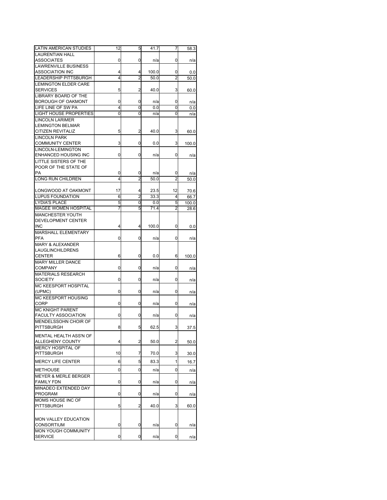| <b>LAURENTIAN HALL</b><br><b>ASSOCIATES</b><br>0<br>0<br>n/a<br>0<br>n/a<br><b>LAWRENVILLE BUSINESS</b><br><b>ASSOCIATION INC</b><br>100.0<br>4<br>4<br>0<br>0.0<br>$\overline{2}$<br>$\overline{2}$<br>LEADERSHIP PITTSBURGH<br>4<br>50.0<br>50.0<br><b>LEMINGTON ELDER CARE</b><br><b>SERVICES</b><br>2<br>40.0<br>5<br>3<br>60.0<br>LIBRARY BOARD OF THE<br>BOROUGH OF OAKMONT<br>0<br>0<br>n/a<br>0<br>n/a<br>LIFE LINE OF SW PA<br>4<br>0<br>0.0<br>0<br>0.0<br>0<br>LIGHT HOUSE PROPERTIES<br>0<br>0<br>n/a<br>n/a<br><b>LINCOLN LARIMER</b><br><b>LEMINGTON BELMAR</b><br>2<br>CITIZEN REVITALIZ<br>5<br>40.0<br>3<br>60.0<br><b>LINCOLN PARK</b><br><b>COMMUNITY CENTER</b><br>3<br>0<br>3<br>0.0<br>100.0<br>LINCOLN-LEMINGTON<br>ENHANCED HOUSING INC<br>0<br>0<br>n/a<br>0<br>n/a<br>LITTLE SISTERS OF THE<br>POOR OF THE STATE OF<br>РA<br>0<br>0<br>n/a<br>0<br>n/a<br><b>LONG RUN CHILDREN</b><br>$\overline{c}$<br>$\overline{c}$<br>4<br>50.0<br>50.0<br>LONGWOOD AT OAKMONT<br>17<br>4<br>23.5<br>12<br>70.6<br><b>LUPUS FOUNDATION</b><br>6<br>2<br>33.3<br>4<br>66.7<br><b>LYDIA'S PLACE</b><br>5<br>0<br>0.0<br>5<br>100.0<br><b>MAGEE WOMEN HOSPITAL</b><br>7<br>5<br>71.4<br>2<br>28.6<br><b>MANCHESTER YOUTH</b><br>DEVELOPMENT CENTER<br><b>INC</b><br>4<br>4<br>100.0<br>0<br>0.0<br>MARSHALL ELEMENTARY<br>PFA<br>0<br>0<br>n/a<br>0<br>n/a<br><b>MARY &amp; ALEXANDER</b><br><b>LAUGLINCHILDRENS</b><br>CENTER<br>0<br>6<br>0.0<br>6<br>100.0<br>MARY MILLER DANCE<br>COMPANY<br>0<br>0<br>n/a<br>0<br>n/a<br>MATERIALS RESEARCH<br><b>SOCIETY</b><br>0<br>0<br>n/a<br>0<br>n/a<br>MC KEESPORT HOSPITAL<br>(UPMC)<br>0<br>0<br>n/a<br>0<br>n/a<br>MC KEESPORT HOUSING<br><b>CORP</b><br>0<br>0<br>n/a<br>0<br>n/a<br><b>MC KNIGHT PARENT</b><br><b>FACULTY ASSOCIATION</b><br>0<br>0<br>0<br>n/a<br>n/a<br>MENDELSSOHN CHOIR OF<br>5<br>62.5<br>3<br>8<br>37.5<br>PITTSBURGH<br>MENTAL HEALTH ASS'N OF<br>ALLEGHENY COUNTY<br>4<br>2<br>50.0<br>2<br>50.0<br>MERCY HOSPITAL OF<br>10<br>7<br>3<br>PITTSBURGH<br>70.0<br>30.0<br>6<br>5<br>1<br><b>MERCY LIFE CENTER</b><br>83.3<br>16.7<br>0<br>0<br>0<br><b>METHOUSE</b><br>n/a<br>n/a<br><b>MEYER &amp; MERLE BERGER</b><br><b>FAMILY FDN</b><br>0<br>0<br>0<br>n/a<br>n/a<br>MINADEO EXTENDED DAY<br>PROGRAM<br>0<br>0<br>n/a<br>0<br>n/a<br>MOMS HOUSE INC OF<br><b>PITTSBURGH</b><br>5<br>$\overline{c}$<br>40.0<br>3<br>60.0<br>MON VALLEY EDUCATION<br><b>CONSORTIUM</b><br>0<br>0<br>n/a<br>0<br>n/a<br>MON YOUGH COMMUNITY<br><b>SERVICE</b><br>0<br>0<br>0<br>n/a<br>n/a | LATIN AMERICAN STUDIES | 12 | 5 | 41.7 | 7 | 58.3 |
|---------------------------------------------------------------------------------------------------------------------------------------------------------------------------------------------------------------------------------------------------------------------------------------------------------------------------------------------------------------------------------------------------------------------------------------------------------------------------------------------------------------------------------------------------------------------------------------------------------------------------------------------------------------------------------------------------------------------------------------------------------------------------------------------------------------------------------------------------------------------------------------------------------------------------------------------------------------------------------------------------------------------------------------------------------------------------------------------------------------------------------------------------------------------------------------------------------------------------------------------------------------------------------------------------------------------------------------------------------------------------------------------------------------------------------------------------------------------------------------------------------------------------------------------------------------------------------------------------------------------------------------------------------------------------------------------------------------------------------------------------------------------------------------------------------------------------------------------------------------------------------------------------------------------------------------------------------------------------------------------------------------------------------------------------------------------------------------------------------------------------------------------------------------------------------------------------------------------------------------------------------------------------------------------------------------------------------------------------------------------------------------------------------------------------------------------------------------------------------------------------------------------------------------------------------------|------------------------|----|---|------|---|------|
|                                                                                                                                                                                                                                                                                                                                                                                                                                                                                                                                                                                                                                                                                                                                                                                                                                                                                                                                                                                                                                                                                                                                                                                                                                                                                                                                                                                                                                                                                                                                                                                                                                                                                                                                                                                                                                                                                                                                                                                                                                                                                                                                                                                                                                                                                                                                                                                                                                                                                                                                                               |                        |    |   |      |   |      |
|                                                                                                                                                                                                                                                                                                                                                                                                                                                                                                                                                                                                                                                                                                                                                                                                                                                                                                                                                                                                                                                                                                                                                                                                                                                                                                                                                                                                                                                                                                                                                                                                                                                                                                                                                                                                                                                                                                                                                                                                                                                                                                                                                                                                                                                                                                                                                                                                                                                                                                                                                               |                        |    |   |      |   |      |
|                                                                                                                                                                                                                                                                                                                                                                                                                                                                                                                                                                                                                                                                                                                                                                                                                                                                                                                                                                                                                                                                                                                                                                                                                                                                                                                                                                                                                                                                                                                                                                                                                                                                                                                                                                                                                                                                                                                                                                                                                                                                                                                                                                                                                                                                                                                                                                                                                                                                                                                                                               |                        |    |   |      |   |      |
|                                                                                                                                                                                                                                                                                                                                                                                                                                                                                                                                                                                                                                                                                                                                                                                                                                                                                                                                                                                                                                                                                                                                                                                                                                                                                                                                                                                                                                                                                                                                                                                                                                                                                                                                                                                                                                                                                                                                                                                                                                                                                                                                                                                                                                                                                                                                                                                                                                                                                                                                                               |                        |    |   |      |   |      |
|                                                                                                                                                                                                                                                                                                                                                                                                                                                                                                                                                                                                                                                                                                                                                                                                                                                                                                                                                                                                                                                                                                                                                                                                                                                                                                                                                                                                                                                                                                                                                                                                                                                                                                                                                                                                                                                                                                                                                                                                                                                                                                                                                                                                                                                                                                                                                                                                                                                                                                                                                               |                        |    |   |      |   |      |
|                                                                                                                                                                                                                                                                                                                                                                                                                                                                                                                                                                                                                                                                                                                                                                                                                                                                                                                                                                                                                                                                                                                                                                                                                                                                                                                                                                                                                                                                                                                                                                                                                                                                                                                                                                                                                                                                                                                                                                                                                                                                                                                                                                                                                                                                                                                                                                                                                                                                                                                                                               |                        |    |   |      |   |      |
|                                                                                                                                                                                                                                                                                                                                                                                                                                                                                                                                                                                                                                                                                                                                                                                                                                                                                                                                                                                                                                                                                                                                                                                                                                                                                                                                                                                                                                                                                                                                                                                                                                                                                                                                                                                                                                                                                                                                                                                                                                                                                                                                                                                                                                                                                                                                                                                                                                                                                                                                                               |                        |    |   |      |   |      |
|                                                                                                                                                                                                                                                                                                                                                                                                                                                                                                                                                                                                                                                                                                                                                                                                                                                                                                                                                                                                                                                                                                                                                                                                                                                                                                                                                                                                                                                                                                                                                                                                                                                                                                                                                                                                                                                                                                                                                                                                                                                                                                                                                                                                                                                                                                                                                                                                                                                                                                                                                               |                        |    |   |      |   |      |
|                                                                                                                                                                                                                                                                                                                                                                                                                                                                                                                                                                                                                                                                                                                                                                                                                                                                                                                                                                                                                                                                                                                                                                                                                                                                                                                                                                                                                                                                                                                                                                                                                                                                                                                                                                                                                                                                                                                                                                                                                                                                                                                                                                                                                                                                                                                                                                                                                                                                                                                                                               |                        |    |   |      |   |      |
|                                                                                                                                                                                                                                                                                                                                                                                                                                                                                                                                                                                                                                                                                                                                                                                                                                                                                                                                                                                                                                                                                                                                                                                                                                                                                                                                                                                                                                                                                                                                                                                                                                                                                                                                                                                                                                                                                                                                                                                                                                                                                                                                                                                                                                                                                                                                                                                                                                                                                                                                                               |                        |    |   |      |   |      |
|                                                                                                                                                                                                                                                                                                                                                                                                                                                                                                                                                                                                                                                                                                                                                                                                                                                                                                                                                                                                                                                                                                                                                                                                                                                                                                                                                                                                                                                                                                                                                                                                                                                                                                                                                                                                                                                                                                                                                                                                                                                                                                                                                                                                                                                                                                                                                                                                                                                                                                                                                               |                        |    |   |      |   |      |
|                                                                                                                                                                                                                                                                                                                                                                                                                                                                                                                                                                                                                                                                                                                                                                                                                                                                                                                                                                                                                                                                                                                                                                                                                                                                                                                                                                                                                                                                                                                                                                                                                                                                                                                                                                                                                                                                                                                                                                                                                                                                                                                                                                                                                                                                                                                                                                                                                                                                                                                                                               |                        |    |   |      |   |      |
|                                                                                                                                                                                                                                                                                                                                                                                                                                                                                                                                                                                                                                                                                                                                                                                                                                                                                                                                                                                                                                                                                                                                                                                                                                                                                                                                                                                                                                                                                                                                                                                                                                                                                                                                                                                                                                                                                                                                                                                                                                                                                                                                                                                                                                                                                                                                                                                                                                                                                                                                                               |                        |    |   |      |   |      |
|                                                                                                                                                                                                                                                                                                                                                                                                                                                                                                                                                                                                                                                                                                                                                                                                                                                                                                                                                                                                                                                                                                                                                                                                                                                                                                                                                                                                                                                                                                                                                                                                                                                                                                                                                                                                                                                                                                                                                                                                                                                                                                                                                                                                                                                                                                                                                                                                                                                                                                                                                               |                        |    |   |      |   |      |
|                                                                                                                                                                                                                                                                                                                                                                                                                                                                                                                                                                                                                                                                                                                                                                                                                                                                                                                                                                                                                                                                                                                                                                                                                                                                                                                                                                                                                                                                                                                                                                                                                                                                                                                                                                                                                                                                                                                                                                                                                                                                                                                                                                                                                                                                                                                                                                                                                                                                                                                                                               |                        |    |   |      |   |      |
|                                                                                                                                                                                                                                                                                                                                                                                                                                                                                                                                                                                                                                                                                                                                                                                                                                                                                                                                                                                                                                                                                                                                                                                                                                                                                                                                                                                                                                                                                                                                                                                                                                                                                                                                                                                                                                                                                                                                                                                                                                                                                                                                                                                                                                                                                                                                                                                                                                                                                                                                                               |                        |    |   |      |   |      |
|                                                                                                                                                                                                                                                                                                                                                                                                                                                                                                                                                                                                                                                                                                                                                                                                                                                                                                                                                                                                                                                                                                                                                                                                                                                                                                                                                                                                                                                                                                                                                                                                                                                                                                                                                                                                                                                                                                                                                                                                                                                                                                                                                                                                                                                                                                                                                                                                                                                                                                                                                               |                        |    |   |      |   |      |
|                                                                                                                                                                                                                                                                                                                                                                                                                                                                                                                                                                                                                                                                                                                                                                                                                                                                                                                                                                                                                                                                                                                                                                                                                                                                                                                                                                                                                                                                                                                                                                                                                                                                                                                                                                                                                                                                                                                                                                                                                                                                                                                                                                                                                                                                                                                                                                                                                                                                                                                                                               |                        |    |   |      |   |      |
|                                                                                                                                                                                                                                                                                                                                                                                                                                                                                                                                                                                                                                                                                                                                                                                                                                                                                                                                                                                                                                                                                                                                                                                                                                                                                                                                                                                                                                                                                                                                                                                                                                                                                                                                                                                                                                                                                                                                                                                                                                                                                                                                                                                                                                                                                                                                                                                                                                                                                                                                                               |                        |    |   |      |   |      |
|                                                                                                                                                                                                                                                                                                                                                                                                                                                                                                                                                                                                                                                                                                                                                                                                                                                                                                                                                                                                                                                                                                                                                                                                                                                                                                                                                                                                                                                                                                                                                                                                                                                                                                                                                                                                                                                                                                                                                                                                                                                                                                                                                                                                                                                                                                                                                                                                                                                                                                                                                               |                        |    |   |      |   |      |
|                                                                                                                                                                                                                                                                                                                                                                                                                                                                                                                                                                                                                                                                                                                                                                                                                                                                                                                                                                                                                                                                                                                                                                                                                                                                                                                                                                                                                                                                                                                                                                                                                                                                                                                                                                                                                                                                                                                                                                                                                                                                                                                                                                                                                                                                                                                                                                                                                                                                                                                                                               |                        |    |   |      |   |      |
|                                                                                                                                                                                                                                                                                                                                                                                                                                                                                                                                                                                                                                                                                                                                                                                                                                                                                                                                                                                                                                                                                                                                                                                                                                                                                                                                                                                                                                                                                                                                                                                                                                                                                                                                                                                                                                                                                                                                                                                                                                                                                                                                                                                                                                                                                                                                                                                                                                                                                                                                                               |                        |    |   |      |   |      |
|                                                                                                                                                                                                                                                                                                                                                                                                                                                                                                                                                                                                                                                                                                                                                                                                                                                                                                                                                                                                                                                                                                                                                                                                                                                                                                                                                                                                                                                                                                                                                                                                                                                                                                                                                                                                                                                                                                                                                                                                                                                                                                                                                                                                                                                                                                                                                                                                                                                                                                                                                               |                        |    |   |      |   |      |
|                                                                                                                                                                                                                                                                                                                                                                                                                                                                                                                                                                                                                                                                                                                                                                                                                                                                                                                                                                                                                                                                                                                                                                                                                                                                                                                                                                                                                                                                                                                                                                                                                                                                                                                                                                                                                                                                                                                                                                                                                                                                                                                                                                                                                                                                                                                                                                                                                                                                                                                                                               |                        |    |   |      |   |      |
|                                                                                                                                                                                                                                                                                                                                                                                                                                                                                                                                                                                                                                                                                                                                                                                                                                                                                                                                                                                                                                                                                                                                                                                                                                                                                                                                                                                                                                                                                                                                                                                                                                                                                                                                                                                                                                                                                                                                                                                                                                                                                                                                                                                                                                                                                                                                                                                                                                                                                                                                                               |                        |    |   |      |   |      |
|                                                                                                                                                                                                                                                                                                                                                                                                                                                                                                                                                                                                                                                                                                                                                                                                                                                                                                                                                                                                                                                                                                                                                                                                                                                                                                                                                                                                                                                                                                                                                                                                                                                                                                                                                                                                                                                                                                                                                                                                                                                                                                                                                                                                                                                                                                                                                                                                                                                                                                                                                               |                        |    |   |      |   |      |
|                                                                                                                                                                                                                                                                                                                                                                                                                                                                                                                                                                                                                                                                                                                                                                                                                                                                                                                                                                                                                                                                                                                                                                                                                                                                                                                                                                                                                                                                                                                                                                                                                                                                                                                                                                                                                                                                                                                                                                                                                                                                                                                                                                                                                                                                                                                                                                                                                                                                                                                                                               |                        |    |   |      |   |      |
|                                                                                                                                                                                                                                                                                                                                                                                                                                                                                                                                                                                                                                                                                                                                                                                                                                                                                                                                                                                                                                                                                                                                                                                                                                                                                                                                                                                                                                                                                                                                                                                                                                                                                                                                                                                                                                                                                                                                                                                                                                                                                                                                                                                                                                                                                                                                                                                                                                                                                                                                                               |                        |    |   |      |   |      |
|                                                                                                                                                                                                                                                                                                                                                                                                                                                                                                                                                                                                                                                                                                                                                                                                                                                                                                                                                                                                                                                                                                                                                                                                                                                                                                                                                                                                                                                                                                                                                                                                                                                                                                                                                                                                                                                                                                                                                                                                                                                                                                                                                                                                                                                                                                                                                                                                                                                                                                                                                               |                        |    |   |      |   |      |
|                                                                                                                                                                                                                                                                                                                                                                                                                                                                                                                                                                                                                                                                                                                                                                                                                                                                                                                                                                                                                                                                                                                                                                                                                                                                                                                                                                                                                                                                                                                                                                                                                                                                                                                                                                                                                                                                                                                                                                                                                                                                                                                                                                                                                                                                                                                                                                                                                                                                                                                                                               |                        |    |   |      |   |      |
|                                                                                                                                                                                                                                                                                                                                                                                                                                                                                                                                                                                                                                                                                                                                                                                                                                                                                                                                                                                                                                                                                                                                                                                                                                                                                                                                                                                                                                                                                                                                                                                                                                                                                                                                                                                                                                                                                                                                                                                                                                                                                                                                                                                                                                                                                                                                                                                                                                                                                                                                                               |                        |    |   |      |   |      |
|                                                                                                                                                                                                                                                                                                                                                                                                                                                                                                                                                                                                                                                                                                                                                                                                                                                                                                                                                                                                                                                                                                                                                                                                                                                                                                                                                                                                                                                                                                                                                                                                                                                                                                                                                                                                                                                                                                                                                                                                                                                                                                                                                                                                                                                                                                                                                                                                                                                                                                                                                               |                        |    |   |      |   |      |
|                                                                                                                                                                                                                                                                                                                                                                                                                                                                                                                                                                                                                                                                                                                                                                                                                                                                                                                                                                                                                                                                                                                                                                                                                                                                                                                                                                                                                                                                                                                                                                                                                                                                                                                                                                                                                                                                                                                                                                                                                                                                                                                                                                                                                                                                                                                                                                                                                                                                                                                                                               |                        |    |   |      |   |      |
|                                                                                                                                                                                                                                                                                                                                                                                                                                                                                                                                                                                                                                                                                                                                                                                                                                                                                                                                                                                                                                                                                                                                                                                                                                                                                                                                                                                                                                                                                                                                                                                                                                                                                                                                                                                                                                                                                                                                                                                                                                                                                                                                                                                                                                                                                                                                                                                                                                                                                                                                                               |                        |    |   |      |   |      |
|                                                                                                                                                                                                                                                                                                                                                                                                                                                                                                                                                                                                                                                                                                                                                                                                                                                                                                                                                                                                                                                                                                                                                                                                                                                                                                                                                                                                                                                                                                                                                                                                                                                                                                                                                                                                                                                                                                                                                                                                                                                                                                                                                                                                                                                                                                                                                                                                                                                                                                                                                               |                        |    |   |      |   |      |
|                                                                                                                                                                                                                                                                                                                                                                                                                                                                                                                                                                                                                                                                                                                                                                                                                                                                                                                                                                                                                                                                                                                                                                                                                                                                                                                                                                                                                                                                                                                                                                                                                                                                                                                                                                                                                                                                                                                                                                                                                                                                                                                                                                                                                                                                                                                                                                                                                                                                                                                                                               |                        |    |   |      |   |      |
|                                                                                                                                                                                                                                                                                                                                                                                                                                                                                                                                                                                                                                                                                                                                                                                                                                                                                                                                                                                                                                                                                                                                                                                                                                                                                                                                                                                                                                                                                                                                                                                                                                                                                                                                                                                                                                                                                                                                                                                                                                                                                                                                                                                                                                                                                                                                                                                                                                                                                                                                                               |                        |    |   |      |   |      |
|                                                                                                                                                                                                                                                                                                                                                                                                                                                                                                                                                                                                                                                                                                                                                                                                                                                                                                                                                                                                                                                                                                                                                                                                                                                                                                                                                                                                                                                                                                                                                                                                                                                                                                                                                                                                                                                                                                                                                                                                                                                                                                                                                                                                                                                                                                                                                                                                                                                                                                                                                               |                        |    |   |      |   |      |
|                                                                                                                                                                                                                                                                                                                                                                                                                                                                                                                                                                                                                                                                                                                                                                                                                                                                                                                                                                                                                                                                                                                                                                                                                                                                                                                                                                                                                                                                                                                                                                                                                                                                                                                                                                                                                                                                                                                                                                                                                                                                                                                                                                                                                                                                                                                                                                                                                                                                                                                                                               |                        |    |   |      |   |      |
|                                                                                                                                                                                                                                                                                                                                                                                                                                                                                                                                                                                                                                                                                                                                                                                                                                                                                                                                                                                                                                                                                                                                                                                                                                                                                                                                                                                                                                                                                                                                                                                                                                                                                                                                                                                                                                                                                                                                                                                                                                                                                                                                                                                                                                                                                                                                                                                                                                                                                                                                                               |                        |    |   |      |   |      |
|                                                                                                                                                                                                                                                                                                                                                                                                                                                                                                                                                                                                                                                                                                                                                                                                                                                                                                                                                                                                                                                                                                                                                                                                                                                                                                                                                                                                                                                                                                                                                                                                                                                                                                                                                                                                                                                                                                                                                                                                                                                                                                                                                                                                                                                                                                                                                                                                                                                                                                                                                               |                        |    |   |      |   |      |
|                                                                                                                                                                                                                                                                                                                                                                                                                                                                                                                                                                                                                                                                                                                                                                                                                                                                                                                                                                                                                                                                                                                                                                                                                                                                                                                                                                                                                                                                                                                                                                                                                                                                                                                                                                                                                                                                                                                                                                                                                                                                                                                                                                                                                                                                                                                                                                                                                                                                                                                                                               |                        |    |   |      |   |      |
|                                                                                                                                                                                                                                                                                                                                                                                                                                                                                                                                                                                                                                                                                                                                                                                                                                                                                                                                                                                                                                                                                                                                                                                                                                                                                                                                                                                                                                                                                                                                                                                                                                                                                                                                                                                                                                                                                                                                                                                                                                                                                                                                                                                                                                                                                                                                                                                                                                                                                                                                                               |                        |    |   |      |   |      |
|                                                                                                                                                                                                                                                                                                                                                                                                                                                                                                                                                                                                                                                                                                                                                                                                                                                                                                                                                                                                                                                                                                                                                                                                                                                                                                                                                                                                                                                                                                                                                                                                                                                                                                                                                                                                                                                                                                                                                                                                                                                                                                                                                                                                                                                                                                                                                                                                                                                                                                                                                               |                        |    |   |      |   |      |
|                                                                                                                                                                                                                                                                                                                                                                                                                                                                                                                                                                                                                                                                                                                                                                                                                                                                                                                                                                                                                                                                                                                                                                                                                                                                                                                                                                                                                                                                                                                                                                                                                                                                                                                                                                                                                                                                                                                                                                                                                                                                                                                                                                                                                                                                                                                                                                                                                                                                                                                                                               |                        |    |   |      |   |      |
|                                                                                                                                                                                                                                                                                                                                                                                                                                                                                                                                                                                                                                                                                                                                                                                                                                                                                                                                                                                                                                                                                                                                                                                                                                                                                                                                                                                                                                                                                                                                                                                                                                                                                                                                                                                                                                                                                                                                                                                                                                                                                                                                                                                                                                                                                                                                                                                                                                                                                                                                                               |                        |    |   |      |   |      |
|                                                                                                                                                                                                                                                                                                                                                                                                                                                                                                                                                                                                                                                                                                                                                                                                                                                                                                                                                                                                                                                                                                                                                                                                                                                                                                                                                                                                                                                                                                                                                                                                                                                                                                                                                                                                                                                                                                                                                                                                                                                                                                                                                                                                                                                                                                                                                                                                                                                                                                                                                               |                        |    |   |      |   |      |
|                                                                                                                                                                                                                                                                                                                                                                                                                                                                                                                                                                                                                                                                                                                                                                                                                                                                                                                                                                                                                                                                                                                                                                                                                                                                                                                                                                                                                                                                                                                                                                                                                                                                                                                                                                                                                                                                                                                                                                                                                                                                                                                                                                                                                                                                                                                                                                                                                                                                                                                                                               |                        |    |   |      |   |      |
|                                                                                                                                                                                                                                                                                                                                                                                                                                                                                                                                                                                                                                                                                                                                                                                                                                                                                                                                                                                                                                                                                                                                                                                                                                                                                                                                                                                                                                                                                                                                                                                                                                                                                                                                                                                                                                                                                                                                                                                                                                                                                                                                                                                                                                                                                                                                                                                                                                                                                                                                                               |                        |    |   |      |   |      |
|                                                                                                                                                                                                                                                                                                                                                                                                                                                                                                                                                                                                                                                                                                                                                                                                                                                                                                                                                                                                                                                                                                                                                                                                                                                                                                                                                                                                                                                                                                                                                                                                                                                                                                                                                                                                                                                                                                                                                                                                                                                                                                                                                                                                                                                                                                                                                                                                                                                                                                                                                               |                        |    |   |      |   |      |
|                                                                                                                                                                                                                                                                                                                                                                                                                                                                                                                                                                                                                                                                                                                                                                                                                                                                                                                                                                                                                                                                                                                                                                                                                                                                                                                                                                                                                                                                                                                                                                                                                                                                                                                                                                                                                                                                                                                                                                                                                                                                                                                                                                                                                                                                                                                                                                                                                                                                                                                                                               |                        |    |   |      |   |      |
|                                                                                                                                                                                                                                                                                                                                                                                                                                                                                                                                                                                                                                                                                                                                                                                                                                                                                                                                                                                                                                                                                                                                                                                                                                                                                                                                                                                                                                                                                                                                                                                                                                                                                                                                                                                                                                                                                                                                                                                                                                                                                                                                                                                                                                                                                                                                                                                                                                                                                                                                                               |                        |    |   |      |   |      |
|                                                                                                                                                                                                                                                                                                                                                                                                                                                                                                                                                                                                                                                                                                                                                                                                                                                                                                                                                                                                                                                                                                                                                                                                                                                                                                                                                                                                                                                                                                                                                                                                                                                                                                                                                                                                                                                                                                                                                                                                                                                                                                                                                                                                                                                                                                                                                                                                                                                                                                                                                               |                        |    |   |      |   |      |
|                                                                                                                                                                                                                                                                                                                                                                                                                                                                                                                                                                                                                                                                                                                                                                                                                                                                                                                                                                                                                                                                                                                                                                                                                                                                                                                                                                                                                                                                                                                                                                                                                                                                                                                                                                                                                                                                                                                                                                                                                                                                                                                                                                                                                                                                                                                                                                                                                                                                                                                                                               |                        |    |   |      |   |      |
|                                                                                                                                                                                                                                                                                                                                                                                                                                                                                                                                                                                                                                                                                                                                                                                                                                                                                                                                                                                                                                                                                                                                                                                                                                                                                                                                                                                                                                                                                                                                                                                                                                                                                                                                                                                                                                                                                                                                                                                                                                                                                                                                                                                                                                                                                                                                                                                                                                                                                                                                                               |                        |    |   |      |   |      |
|                                                                                                                                                                                                                                                                                                                                                                                                                                                                                                                                                                                                                                                                                                                                                                                                                                                                                                                                                                                                                                                                                                                                                                                                                                                                                                                                                                                                                                                                                                                                                                                                                                                                                                                                                                                                                                                                                                                                                                                                                                                                                                                                                                                                                                                                                                                                                                                                                                                                                                                                                               |                        |    |   |      |   |      |
|                                                                                                                                                                                                                                                                                                                                                                                                                                                                                                                                                                                                                                                                                                                                                                                                                                                                                                                                                                                                                                                                                                                                                                                                                                                                                                                                                                                                                                                                                                                                                                                                                                                                                                                                                                                                                                                                                                                                                                                                                                                                                                                                                                                                                                                                                                                                                                                                                                                                                                                                                               |                        |    |   |      |   |      |
|                                                                                                                                                                                                                                                                                                                                                                                                                                                                                                                                                                                                                                                                                                                                                                                                                                                                                                                                                                                                                                                                                                                                                                                                                                                                                                                                                                                                                                                                                                                                                                                                                                                                                                                                                                                                                                                                                                                                                                                                                                                                                                                                                                                                                                                                                                                                                                                                                                                                                                                                                               |                        |    |   |      |   |      |
|                                                                                                                                                                                                                                                                                                                                                                                                                                                                                                                                                                                                                                                                                                                                                                                                                                                                                                                                                                                                                                                                                                                                                                                                                                                                                                                                                                                                                                                                                                                                                                                                                                                                                                                                                                                                                                                                                                                                                                                                                                                                                                                                                                                                                                                                                                                                                                                                                                                                                                                                                               |                        |    |   |      |   |      |
|                                                                                                                                                                                                                                                                                                                                                                                                                                                                                                                                                                                                                                                                                                                                                                                                                                                                                                                                                                                                                                                                                                                                                                                                                                                                                                                                                                                                                                                                                                                                                                                                                                                                                                                                                                                                                                                                                                                                                                                                                                                                                                                                                                                                                                                                                                                                                                                                                                                                                                                                                               |                        |    |   |      |   |      |
|                                                                                                                                                                                                                                                                                                                                                                                                                                                                                                                                                                                                                                                                                                                                                                                                                                                                                                                                                                                                                                                                                                                                                                                                                                                                                                                                                                                                                                                                                                                                                                                                                                                                                                                                                                                                                                                                                                                                                                                                                                                                                                                                                                                                                                                                                                                                                                                                                                                                                                                                                               |                        |    |   |      |   |      |
|                                                                                                                                                                                                                                                                                                                                                                                                                                                                                                                                                                                                                                                                                                                                                                                                                                                                                                                                                                                                                                                                                                                                                                                                                                                                                                                                                                                                                                                                                                                                                                                                                                                                                                                                                                                                                                                                                                                                                                                                                                                                                                                                                                                                                                                                                                                                                                                                                                                                                                                                                               |                        |    |   |      |   |      |
|                                                                                                                                                                                                                                                                                                                                                                                                                                                                                                                                                                                                                                                                                                                                                                                                                                                                                                                                                                                                                                                                                                                                                                                                                                                                                                                                                                                                                                                                                                                                                                                                                                                                                                                                                                                                                                                                                                                                                                                                                                                                                                                                                                                                                                                                                                                                                                                                                                                                                                                                                               |                        |    |   |      |   |      |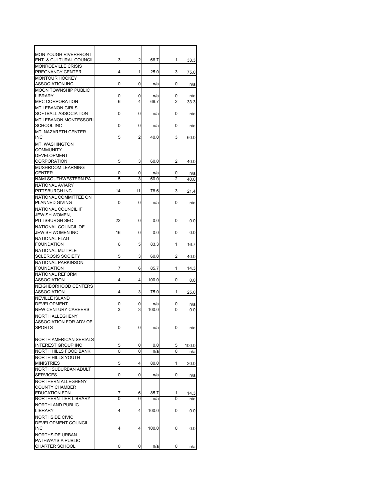| <b>MON YOUGH RIVERFRONT</b>   |    |    |       |   |       |
|-------------------------------|----|----|-------|---|-------|
| ENT. & CULTURAL COUNCIL       | 3  | 2  | 66.7  | 1 | 33.3  |
| <b>MONROEVILLE CRISIS</b>     |    |    |       |   |       |
|                               |    | 1  |       |   |       |
| PREGNANCY CENTER              | 4  |    | 25.0  | 3 | 75.0  |
| <b>MONTOUR HOCKEY</b>         |    |    |       |   |       |
| ASSOCIATION INC               | 0  | 0  | n/a   | 0 | n/a   |
| <b>MOON TOWNSHIP PUBLIC</b>   |    |    |       |   |       |
| <b>LIBRARY</b>                | 0  | 0  | n/a   | 0 | n/a   |
| <b>MPC CORPORATION</b>        | 6  | 4  | 66.7  | 2 | 33.3  |
| <b>MT LEBANON GIRLS</b>       |    |    |       |   |       |
| SOFTBALL ASSOCIATION          | 0  | 0  | n/a   | 0 | n/a   |
| <b>MT LEBANON MONTESSORI</b>  |    |    |       |   |       |
|                               |    |    |       |   |       |
| <b>SCHOOL INC</b>             | 0  | 0  | n/a   | 0 | n/a   |
| <b>MT. NAZARETH CENTER</b>    |    |    |       |   |       |
| <b>INC</b>                    | 5  | 2  | 40.0  | 3 | 60.0  |
| MT. WASHINGTON                |    |    |       |   |       |
| <b>COMMUNITY</b>              |    |    |       |   |       |
| <b>DEVELOPMENT</b>            |    |    |       |   |       |
| <b>CORPORATION</b>            | 5  | 3  | 60.0  | 2 | 40.0  |
| MUSHROOM LEARNING             |    |    |       |   |       |
|                               |    |    |       |   |       |
| <b>CENTER</b>                 | 0  | 0  | n/a   | 0 | n/a   |
| <b>NAMI SOUTHWESTERN PA</b>   | 5  | 3  | 60.0  | 2 | 40.0  |
| NATIONAL AVIARY               |    |    |       |   |       |
| PITTSBURGH INC                | 14 | 11 | 78.6  | 3 | 21.4  |
| NATIONAL COMMITTEE ON         |    |    |       |   |       |
| PLANNED GIVING                | 0  | 0  | n/a   | 0 | n/a   |
|                               |    |    |       |   |       |
| NATIONAL COUNCIL IF           |    |    |       |   |       |
| JEWISH WOMEN,                 |    |    |       |   |       |
| PITTSBURGH SEC                | 22 | 0  | 0.0   | 0 | 0.0   |
| NATIONAL COUNCIL OF           |    |    |       |   |       |
| JEWISH WOMEN INC              | 16 | 0  | 0.0   | 0 | 0.0   |
| <b>NATIONAL FLAG</b>          |    |    |       |   |       |
| <b>FOUNDATION</b>             | 6  | 5  | 83.3  | 1 | 16.7  |
| NATIONAL MUTIPLE              |    |    |       |   |       |
| <b>SCLEROSIS SOCIETY</b>      | 5  | 3  | 60.0  | 2 | 40.0  |
|                               |    |    |       |   |       |
| NATIONAL PARKINSON            |    |    |       |   |       |
| <b>FOUNDATION</b>             | 7  | 6  | 85.7  | 1 | 14.3  |
| NATIONAL REFORM               |    |    |       |   |       |
| ASSOCIATION                   | 4  | 4  | 100.0 | 0 | 0.0   |
| NEIGHBORHOOD CENTERS          |    |    |       |   |       |
| <b>ASSOCIATION</b>            | 4  | 3  | 75.0  | 1 | 25.0  |
| <b>NEVILLE ISLAND</b>         |    |    |       |   |       |
| DEVELOPMENT                   | 0  | 0  | n/a   | 0 |       |
|                               |    |    |       |   | n/a   |
| <b>NEW CENTURY CAREERS</b>    | 3  | 3  | 100.0 | 0 | 0.0   |
| NORTH ALLEGHENY               |    |    |       |   |       |
| ASSOCIATION FOR ADV OF        |    |    |       |   |       |
| <b>SPORTS</b>                 | 0  | 0  | n/a   | 0 | n/a   |
|                               |    |    |       |   |       |
| <b>NORTH AMERICAN SERIALS</b> |    |    |       |   |       |
| <b>INTEREST GROUP INC</b>     | 5  | 0  | 0.0   | 5 | 100.0 |
| NORTH HILLS FOOD BANK         | 0  | Ō  | n/a   | 0 |       |
|                               |    |    |       |   | n/a   |
| NORTH HILLS YOUTH             |    |    |       |   |       |
| <b>MINISTRIES</b>             | 5  | 4  | 80.0  | 1 | 20.0  |
| NORTH SUBURBAN ADULT          |    |    |       |   |       |
| <b>SERVICES</b>               | 0  | 0  | n/a   | 0 | n/a   |
| NORTHERN ALLEGHENY            |    |    |       |   |       |
| <b>COUNTY CHAMBER</b>         |    |    |       |   |       |
| <b>EDUCATION FDN</b>          | 7  | 6  | 85.7  | 1 | 14.3  |
| NORTHERN TIER LIBRARY         | 0  | 0  |       | 0 |       |
|                               |    |    | n/a   |   | n/a   |
| NORTHLAND PUBLIC              |    |    |       |   |       |
| LIBRARY                       | 4  | 4  | 100.0 | 0 | 0.0   |
| NORTHSIDE CIVIC               |    |    |       |   |       |
| DEVELOPMENT COUNCIL           |    |    |       |   |       |
| INC                           | 4  | 4  | 100.0 | 0 | 0.0   |
| NORTHSIDE URBAN               |    |    |       |   |       |
| PATHWAYS A PUBLIC             |    |    |       |   |       |
| <b>CHARTER SCHOOL</b>         |    | 0  |       |   |       |
|                               | 0  |    | n/a   | 0 | n/a   |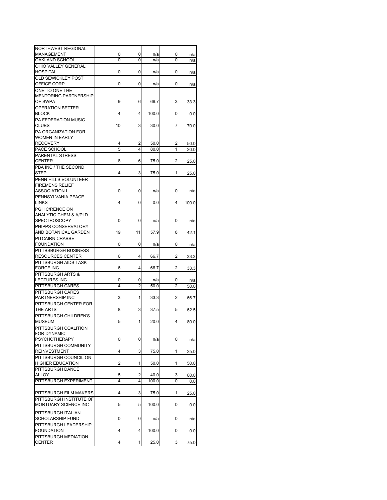| NORTHWEST REGIONAL                         |    |                |       |                |       |
|--------------------------------------------|----|----------------|-------|----------------|-------|
| <b>MANAGEMENT</b>                          | 0  | 0              | n/a   | 0              | n/a   |
| OAKLAND SCHOOL                             | 0  | 0              | n/a   | 0              | n/a   |
| OHIO VALLEY GENERAL                        |    |                |       |                |       |
| HOSPITAL                                   | 0  | 0              | n/a   | 0              | n/a   |
| <b>OLD SEWICKLEY POST</b>                  |    |                |       |                |       |
| OFFICE CORP                                | 0  | 0              | n/a   | 0              | n/a   |
| ONE TO ONE THE                             |    |                |       |                |       |
| <b>MENTORING PARTNERSHIP</b>               |    |                |       |                |       |
| OF SWPA                                    | 9  | 6              | 66.7  | 3              | 33.3  |
| <b>OPERATION BETTER</b>                    |    |                |       |                |       |
| <b>BLOCK</b>                               | 4  | 4              | 100.0 | 0              | 0.0   |
| PA FEDERATION MUSIC                        |    |                |       |                |       |
| <b>CLUBS</b>                               | 10 | 3              | 30.0  | 7              | 70.0  |
| PA ORGANIZATION FOR                        |    |                |       |                |       |
| <b>WOMEN IN EARLY</b>                      |    |                |       |                |       |
| <b>RECOVERY</b>                            | 4  | 2              | 50.0  | 2              | 50.0  |
| PACE SCHOOL                                | 5  | 4              | 80.0  | 1              | 20.0  |
| PARENTAL STRESS                            |    |                |       |                |       |
| CENTER                                     | 8  | 6              | 75.0  | 2              | 25.0  |
| PBA INC / THE SECOND                       |    |                |       |                |       |
| STEP                                       | 4  | 3              | 75.0  | 1              | 25.0  |
| PENN HILLS VOLUNTEER                       |    |                |       |                |       |
| <b>FIREMENS RELIEF</b>                     |    |                |       |                |       |
| ASSOCIATION I                              | 0  | 0              | n/a   | 0              | n/a   |
| PENNSYLVANIA PEACE                         |    |                |       |                |       |
| <b>LINKS</b>                               | 4  | 0              | 0.0   | 4              | 100.0 |
| PGH C/RENCE ON                             |    |                |       |                |       |
| <b>ANALYTIC CHEM &amp; A/PLD</b>           |    |                |       |                |       |
| <b>SPECTROSCOPY</b>                        | 0  | 0              | n/a   | 0              | n/a   |
| PHIPPS CONSERVATORY                        |    |                |       |                |       |
| AND BOTANICAL GARDEN                       | 19 | 11             | 57.9  | 8              | 42.1  |
| PITCAIRN CRABBE                            |    |                |       |                |       |
| <b>FOUNDATION</b>                          | 0  | 0              | n/a   | 0              | n/a   |
| PITTBSBURGH BUSINESS                       |    |                |       |                |       |
| <b>RESOURCES CENTER</b>                    | 6  | 4              | 66.7  | 2              | 33.3  |
| PITTSBURGH AIDS TASK                       |    |                |       |                |       |
| <b>FORCE INC</b>                           | 6  | 4              | 66.7  | 2              | 33.3  |
| PITTSBURGH ARTS &                          |    |                |       |                |       |
| <b>LECTURES INC</b>                        | 0  | 0              | n/a   | 0              | n/a   |
| PITTSBURGH CARES                           | 4  | $\overline{2}$ | 50.0  | $\overline{c}$ | 50.0  |
| PITTSBURGH CARES                           |    |                |       |                |       |
| PARTNERSHIP INC                            | 3  | 1              | 33.3  | 2              | 66.7  |
| PITTSBURGH CENTER FOR                      |    |                |       |                |       |
| THE ARTS                                   | 8  | 3              | 37.5  | 5              | 62.5  |
| PITTSBURGH CHILDREN'S                      |    |                |       |                |       |
| <b>MUSEUM</b>                              | 5  | 1              | 20.0  | 4              | 80.0  |
| PITTSBURGH COALITION                       |    |                |       |                |       |
| FOR DYNAMIC                                |    |                |       |                |       |
| <b>PSYCHOTHERAPY</b>                       | 0  | 0              | n/a   | 0              | n/a   |
| PITTSBURGH COMMUNITY                       |    |                |       |                |       |
| <b>REINVESTMENT</b>                        | 4  | 3              | 75.0  | 1              | 25.0  |
| PITTSBURGH COUNCIL ON                      |    |                |       |                |       |
| <b>HIGHER EDUCATION</b>                    | 2  | 1              | 50.0  | 1              | 50.0  |
| PITTSBURGH DANCE                           |    |                |       |                |       |
| ALLOY                                      | 5  | 2              | 40.0  | 3              | 60.0  |
| PITTSBURGH EXPERIMENT                      | 4  | 4              | 100.0 | 0              | 0.0   |
|                                            |    |                |       |                |       |
| PITTSBURGH FILM MAKERS                     | 4  | 3              | 75.0  | 1              | 25.0  |
| PITTSBURGH INSTITUTE OF                    |    |                |       |                |       |
| MORTUARY SCIENCE INC                       | 5  | 5              | 100.0 | 0              | 0.0   |
| PITTSBURGH ITALIAN                         |    |                |       |                |       |
| SCHOLARSHIP FUND                           | 0  | 0              | n/a   |                |       |
|                                            |    |                |       | 0              | n/a   |
| PITTSBURGH LEADERSHIP<br><b>FOUNDATION</b> | 4  | 4              | 100.0 | 0              |       |
| PITTSBURGH MEDIATION                       |    |                |       |                | 0.0   |
| CENTER                                     | 4  | 1              | 25.0  | 3              | 75.0  |
|                                            |    |                |       |                |       |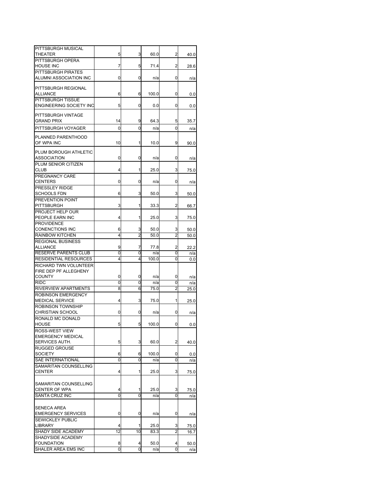| PITTSBURGH MUSICAL<br>THEATER                       | 5  | 3  | 60.0  | 2                       | 40.0 |
|-----------------------------------------------------|----|----|-------|-------------------------|------|
| PITTSBURGH OPERA                                    |    |    |       |                         |      |
| <b>HOUSE INC</b>                                    | 7  | 5  | 71.4  | $\overline{\mathbf{c}}$ | 28.6 |
| PITTSBURGH PIRATES                                  |    |    |       |                         |      |
| ALUMNI ASSOCIATION INC                              | 0  | 0  | n/a   | 0                       | n/a  |
| PITTSBURGH REGIONAL<br>ALLIANCE                     | 6  | 6  | 100.0 | 0                       | 0.0  |
| PITTSBURGH TISSUE<br><b>ENGINEERING SOCIETY INC</b> | 5  | 0  | 0.0   | 0                       | 0.0  |
|                                                     |    |    |       |                         |      |
| PITTSBURGH VINTAGE<br><b>GRAND PRIX</b>             | 14 | 9  | 64.3  | 5                       | 35.7 |
| PITTSBURGH VOYAGER                                  | 0  | 0  | n/a   | 0                       | n/a  |
| PLANNED PARENTHOOD<br>OF WPA INC                    | 10 | 1  | 10.0  | 9                       | 90.0 |
| PLUM BOROUGH ATHLETIC<br>ASSOCIATION                | 0  | 0  | n/a   | 0                       | n/a  |
| PLUM SENIOR CITIZEN<br>CLUB                         | 4  | 1  | 25.0  | 3                       | 75.0 |
| PREGNANCY CARE                                      |    |    |       |                         |      |
| <b>CENTERS</b>                                      | 0  | 0  | n/a   | 0                       | n/a  |
| PRESSLEY RIDGE                                      |    |    |       |                         |      |
| <b>SCHOOLS FDN</b><br>PREVENTION POINT              | 6  | 3  | 50.0  | 3                       | 50.0 |
| PITTSBURGH                                          | 3  | 1  | 33.3  | 2                       | 66.7 |
| PROJECT HELP OUR                                    |    |    |       |                         |      |
| PEOPLE EARN INC                                     | 4  | 1  | 25.0  | 3                       | 75.0 |
| <b>PROVIDENCE</b>                                   |    |    |       |                         |      |
| <b>CONENCTIONS INC</b>                              | 6  | 3  | 50.0  | 3                       | 50.0 |
| <b>RAINBOW KITCHEN</b><br><b>REGIONAL BUSINESS</b>  | 4  | 2  | 50.0  | 2                       | 50.0 |
| <b>ALLIANCE</b>                                     | 9  | 7  | 77.8  | 2                       | 22.2 |
| <b>RESERVE PARENTS CLUB</b>                         | 0  | 0  | n/a   | 0                       | n/a  |
| RESIDENTIAL RESOURCES                               | 4  | 4  | 100.0 | 0                       | 0.0  |
| RICHARD TWN VOLUNTEER                               |    |    |       |                         |      |
| FIRE DEP PF ALLEGHENY                               |    |    |       |                         |      |
| <b>COUNTY</b>                                       | 0  | 0  | n/a   | 0                       | n/a  |
| <b>RIDC</b>                                         | 0  | 0  | n/a   | 0<br>$\overline{2}$     | n/a  |
| RIVERVIEW APARTMENTS<br>ROBINSON EMERGENCY          | 8  | 6  | 75.0  |                         | 25.0 |
| <b>MEDICAL SERVICE</b>                              | 4  | 3  | 75.0  | 1                       | 25.0 |
| ROBINSON TOWNSHIP                                   |    |    |       |                         |      |
| CHRISTIAN SCHOOL                                    | 0  | 0  | n/a   | 0                       | n/a  |
| RONALD MC DONALD                                    |    |    |       |                         |      |
| HOUSE                                               | 5  | 5  | 100.0 | 0                       | 0.0  |
| ROSS-WEST VIEW<br>EMERGENCY MEDICAL                 |    |    |       |                         |      |
| SERVICES AUTH.                                      | 5  | 3  | 60.0  | 2                       | 40.0 |
| <b>RUGGED GROUSE</b>                                |    |    |       |                         |      |
| <b>SOCIETY</b>                                      | 6  | 6  | 100.0 | 0                       | 0.0  |
| <b>SAE INTERNATIONAL</b>                            | 0  | 0  | n/a   | 0                       | n/a  |
| SAMARITAN COUNSELLING                               |    |    |       |                         |      |
| <b>CENTER</b>                                       | 4  | 1  | 25.0  | 3                       | 75.0 |
| SAMARITAN COUNSELLING                               |    |    |       |                         |      |
| CENTER OF WPA                                       | 4  | 1  | 25.0  | 3                       | 75.0 |
| SANTA CRUZ INC                                      | 0  | 0  | n/a   | 0                       | n/a  |
|                                                     |    |    |       |                         |      |
| SENECA AREA                                         |    |    |       |                         |      |
| <b>EMERGENCY SERVICES</b>                           | 0  | 0  | n/a   | 0                       | n/a  |
| SEWICKLEY PUBLIC<br>LIBRARY                         | 4  | 1  | 25.0  | 3                       | 75.0 |
| SHADY SIDE ACADEMY                                  | 12 | 10 | 83.3  | 2                       | 16.7 |
| SHADYSIDE ACADEMY                                   |    |    |       |                         |      |
| <b>FOUNDATION</b>                                   | 8  | 4  | 50.0  | 4                       | 50.0 |
| SHALER AREA EMS INC                                 | 0  | 0  | n/a   | Ō                       | n/a  |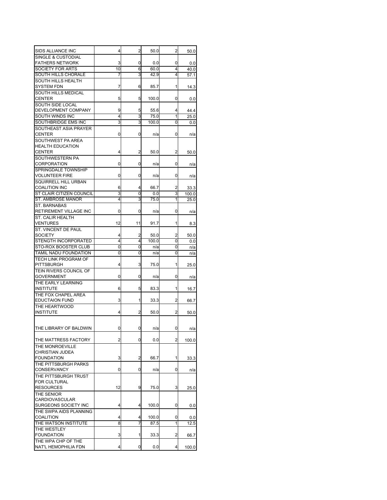| SIDS ALLIANCE INC                                          | 4  | $\overline{2}$ | 50.0  | 2 | 50.0  |
|------------------------------------------------------------|----|----------------|-------|---|-------|
| <b>SINGLE &amp; CUSTODIAL</b>                              |    |                |       |   |       |
| <b>FATHERS NETWORK</b>                                     | 3  | 0              | 0.0   | 0 | 0.0   |
| SOCIETY FOR ARTS                                           | 10 | 6              | 60.0  | 4 | 40.0  |
| SOUTH HILLS CHORALE                                        | 7  | 3              | 42.9  | 4 | 57.1  |
| <b>SOUTH HILLS HEALTH</b><br>SYSTEM FDN                    | 7  | 6              | 85.7  | 1 | 14.3  |
| SOUTH HILLS MEDICAL                                        |    |                |       |   |       |
| CENTER                                                     | 5  | 5              | 100.0 | 0 | 0.0   |
| SOUTH SIDE LOCAL                                           |    |                |       |   |       |
| DEVELOPMENT COMPANY                                        | 9  | 5              | 55.6  | 4 | 44.4  |
| SOUTH WINDS INC                                            | 4  | 3              | 75.0  | 1 | 25.0  |
| SOUTHBRIDGE EMS INC                                        | 3  | 3              | 100.0 | 0 | 0.0   |
| SOUTHEAST ASIA PRAYER                                      |    |                |       |   |       |
| CENTER                                                     | 0  | 0              | n/a   | 0 | n/a   |
| SOUTHWEST PA AREA                                          |    |                |       |   |       |
| <b>HEALTH EDUCATION</b>                                    |    |                |       |   |       |
| <b>CENTER</b>                                              | 4  | 2              | 50.0  | 2 | 50.0  |
| SOUTHWESTERN PA                                            |    |                |       |   |       |
| <b>CORPORATION</b>                                         | 0  | 0              | n/a   | 0 | n/a   |
| SPRINGDALE TOWNSHIP                                        |    |                |       |   |       |
| <b>VOLUNTEER FIRE</b>                                      | 0  | 0              | n/a   | 0 | n/a   |
| SQUIRRELL HILL URBAN                                       |    |                |       |   |       |
| <b>COALITION INC</b>                                       | 6  | 4              | 66.7  | 2 | 33.3  |
| ST CLAIR CITIZEN COUNCIL                                   | 3  | 0              | 0.0   | 3 | 100.0 |
| <b>ST. AMBROSE MANOR</b>                                   | 4  | 3              | 75.0  | 1 | 25.0  |
| ST. BARNABAS                                               |    |                |       |   |       |
| RETIREMENT VILLAGE INC                                     | 0  | 0              | n/a   | 0 | n/a   |
| ST. CALIR HEALTH                                           |    |                |       |   |       |
| VENTURES                                                   | 12 | 11             | 91.7  | 1 | 8.3   |
| <b>ST. VINCENT DE PAUL</b>                                 |    |                |       |   |       |
| <b>SOCIETY</b>                                             | 4  | 2              | 50.0  | 2 | 50.0  |
| STENGTH INCORPORATED                                       | 4  | 4              | 100.0 | 0 | 0.0   |
|                                                            |    |                |       |   |       |
| STO-ROX BOOSTER CLUB                                       | 0  | 0              | n/a   | 0 | n/a   |
| TAMIL NADU FOUNDATION                                      | 0  | 0              | n/a   | 0 | n/a   |
| TECH LINK PROGRAM OF<br>PITTSBURGH                         | 4  | 3              | 75.0  | 1 |       |
| TEIN RIVERS COUNCIL OF                                     |    |                |       |   | 25.0  |
|                                                            | 0  | 0              |       | 0 |       |
| GOVERNMENT                                                 |    |                | n/a   |   | n/a   |
| THE EARLY LEARNING<br><b>INSTITUTE</b>                     | 6  |                | 83.3  |   |       |
| THE FOX CHAPEL AREA                                        |    | 5              |       | 1 | 16.7  |
|                                                            |    |                |       |   |       |
| <b>EDUCTAION FUND</b>                                      | 3  | 1              | 33.3  | 2 | 66.7  |
| THE HEARTWOOD<br><b>INSTITUTE</b>                          | 4  | 2              | 50.0  | 2 | 50.0  |
|                                                            |    |                |       |   |       |
| THE LIBRARY OF BALDWIN                                     | 0  | 0              | n/a   | 0 | n/a   |
|                                                            |    |                |       |   |       |
| THE MATTRESS FACTORY                                       | 2  | 0              | 0.0   | 2 | 100.0 |
| THE MONROEVILLE                                            |    |                |       |   |       |
| CHRISTIAN JUDEA                                            |    |                |       |   |       |
| FOUNDATION                                                 | 3  | 2              | 66.7  | 1 | 33.3  |
| THE PITTSBURGH PARKS                                       |    |                |       |   |       |
| <b>CONSERVANCY</b>                                         | 0  | 0              | n/a   | 0 | n/a   |
| THE PITTSBURGH TRUST                                       |    |                |       |   |       |
| FOR CULTURAL                                               |    |                |       |   |       |
| <b>RESOURCES</b>                                           | 12 | 9              | 75.0  | 3 | 25.0  |
| THE SENIOR                                                 |    |                |       |   |       |
| CARDIOVASCULAR                                             |    |                |       |   |       |
| SURGEONS SOCIETY INC                                       | 4  | 4              | 100.0 | 0 | 0.0   |
|                                                            |    |                |       |   |       |
| <b>COALITION</b>                                           | 4  | 4              | 100.0 | 0 | 0.0   |
| THE WATSON INSTITUTE                                       | 8  | 7              | 87.5  | 1 | 12.5  |
| THE SWPA AIDS PLANNING<br>THE WESTLEY<br><b>FOUNDATION</b> |    | 1              | 33.3  |   |       |
|                                                            | 3  |                |       | 2 | 66.7  |
| THE WPA CHP OF THE<br>NAT'L HEMOPHILIA FDN                 | 4  | 0              | 0.0   | 4 | 100.0 |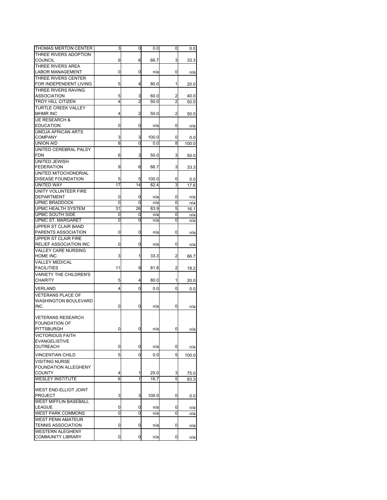| THOMAS MERTON CENTER                                  | 3       | 0       | 0.0           | 0              | 0.0          |
|-------------------------------------------------------|---------|---------|---------------|----------------|--------------|
| THREE RIVERS ADOPTION<br><b>COUNCIL</b>               | 9       | 6       | 66.7          | 3              | 33.3         |
| THREE RIVERS AREA<br><b>LABOR MANAGEMENT</b>          | 0       | 0       | n/a           | 0              | n/a          |
| THREE RIVERS CENTER<br>FOR INDEPENDENT LIVING         | 5       | 4       | 80.0          | 1              | 20.0         |
| THREE RIVERS RAVING                                   |         |         |               |                |              |
| ASSOCIATION<br><b>TROY HILL CITIZEN</b>               | 5<br>4  | 3<br>2  | 60.0<br>50.0  | 2<br>2         | 40.0<br>50.0 |
| <b>TURTLE CREEK VALLEY</b>                            |         |         |               |                |              |
| <b>MHMR INC</b>                                       | 4       | 2       | 50.0          | 2              | 50.0         |
| <b>UE RESEARCH &amp;</b><br><b>EDUCATION</b>          | 0       | 0       | n/a           | 0              | n/a          |
| <b>UMOJA AFRICAN ARTS</b>                             |         |         |               |                |              |
| <b>COMPANY</b>                                        | 3       | 3       | 100.0         | 0              | 0.0          |
| UNION AID<br>UNITED CEREBRAL PALSY                    | 8       | 0       | 0.0           | 8              | 100.0        |
| <b>FDN</b>                                            | 6       | 3       | 50.0          | 3              | 50.0         |
| UNITED JEWISH                                         |         |         |               |                |              |
| <b>FEDERATION</b>                                     | 9       | 6       | 66.7          | 3              | 33.3         |
| UNITED MITOCHONDRIAL                                  |         |         |               |                |              |
| <b>DISEASE FOUNDATION</b><br><b>UNITED WAY</b>        | 5<br>17 | 5<br>14 | 100.0<br>82.4 | 0<br>3         | 0.0          |
| UNITY VOLUNTEER FIRE                                  |         |         |               |                | 17.6         |
| <b>DEPARTMENT</b>                                     | 0       | 0       | n/a           | 0              | n/a          |
| <b>UPMC BRADDOCK</b>                                  | 0       | 0       | n/a           | 0              | n/a          |
| UPMC HEALTH SYSTEM                                    | 31      | 26      | 83.9          | 5              | 16.1         |
| UPMC SOUTH SIDE                                       | 0       | 0       | n/a           | 0              | n/a          |
| <b>UPMC ST. MARGARET</b>                              | 0       | 0       | n/a           | 0              | n/a          |
| UPPER ST CLAIR BAND<br>PARENTS ASSOCIATION            | 0       | 0       | n/a           | 0              |              |
| UPPER ST CLAIR FIRE                                   |         |         |               |                | n/a          |
| <b>RELIEF ASSOCIATION INC</b>                         | 0       | 0       | n/a           | 0              | n/a          |
| <b>VALLEY CARE NURSING</b><br>HOME INC                | 3       | 1       | 33.3          | $\overline{a}$ | 66.7         |
| <b>VALLEY MEDICAL</b>                                 |         |         |               |                |              |
| <b>FACILITIES</b>                                     | 11      | 9       | 81.8          | 2              | 18.2         |
| <b>VARIETY THE CHILDREN'S</b><br><b>CHARITY</b>       | 5       | 4       | 80.0          | 1              | 20.0         |
| VERLAND                                               | 4       | 0       | 0.0           | 0              | 0.0          |
| <b>VETERANS PLACE OF</b>                              |         |         |               |                |              |
| WASHINGTON BOULEVARD<br>INC                           | 0       | 0       | n/a           | 0              | n/a          |
| <b>VETERANS RESEARCH</b>                              |         |         |               |                |              |
| <b>FOUNDATION OF</b>                                  |         |         |               |                |              |
| <b>PITTSBURGH</b>                                     | 0       | U       | n/a           | U              | n/a          |
| <b>VICTORIOUS FAITH</b><br><b>EVANGELISTIVE</b>       |         |         |               |                |              |
| OUTREACH                                              | 0       | 0       | n/a           | 0              | n/a          |
| <b>VINCENTIAN CHILD</b>                               | 5       | 0       | 0.0           | 5              |              |
| <b>VISITING NURSE</b>                                 |         |         |               |                | 100.0        |
| FOUNDATION ALLEGHENY                                  |         |         |               |                |              |
| <b>COUNTY</b>                                         | 4       | 1       | 25.0          | 3              | 75.0         |
| <b>WESLEY INSTITUTE</b>                               | 6       | 1       | 16.7          | 5              | 83.3         |
| WEST END-ELLIOT JOINT                                 |         |         |               |                |              |
| <b>PROJECT</b>                                        | 3       | 3       | 100.0         | 0              | 0.0          |
| <b>WEST MIFFLIN BASEBALL</b>                          |         |         |               |                |              |
| LEAGUE                                                | 0       | 0       | n/a           | 0              | n/a          |
| <b>WEST PARK COMMONS</b>                              | 0       | 0       | n/a           | 0              | n/a          |
| <b>WEST PENN AMATEUR</b><br><b>TENNIS ASSOCIATION</b> | 0       | 0       | n/a           | 0              | n/a          |
| <b>WESTERN ALEGHENY</b>                               |         |         |               |                |              |
| <b>COMMUNITY LIBRARY</b>                              | 0       | 0       | n/a           | 0              | n/a          |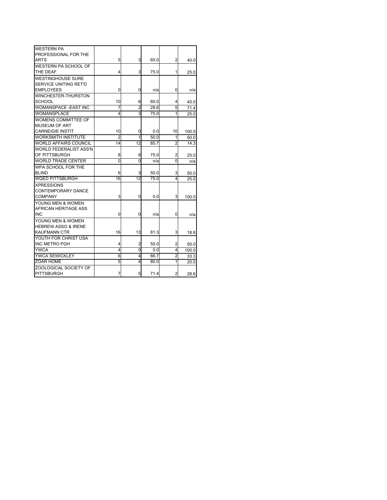| <b>WESTERN PA</b>              |                 |                 |      |                |       |
|--------------------------------|-----------------|-----------------|------|----------------|-------|
| PROFESSIONAL FOR THE           |                 |                 |      |                |       |
| <b>ARTS</b>                    | 5               | 3               | 60.0 | 2              | 40.0  |
| WESTERN PA SCHOOL OF           |                 |                 |      |                |       |
| THE DEAF                       | 4               | 3               | 75.0 | 1              | 25.0  |
| WESTINGHOUSE SURE              |                 |                 |      |                |       |
| SERVICE UNITING RET'D          |                 |                 |      |                |       |
| <b>EMPLOYEES</b>               | 0               | 0               | n/a  | 0              | n/a   |
| WINCHESTER-THURSTON            |                 |                 |      |                |       |
| <b>SCHOOL</b>                  | 10              | 6               | 60.0 | 4              | 40.0  |
| WOMANSPACE - EAST INC          | 7               | $\overline{2}$  | 28.6 | 5              | 71.4  |
| <b>WOMANSPLACE</b>             | 4               | 3               | 75.0 | 1              | 25.0  |
| WOMENS COMMITTEE OF            |                 |                 |      |                |       |
| MUSEUM OF ART                  |                 |                 |      |                |       |
| <b>CARNEIGIE INSTIT</b>        | 10              | 0               | 0.0  | 10             | 100.0 |
| <b>WORKSMITH INSTITUTE</b>     | 2               | 1               | 50.0 | 1              | 50.0  |
| WORLD AFFAIRS COUNCIL          | $\overline{14}$ | $\overline{12}$ | 85.7 | $\overline{2}$ | 14.3  |
| WORLD FEDERALIST ASS'N         |                 |                 |      |                |       |
| OF PITTSBURGH                  | 8               | 6               | 75.0 | 2              | 25.0  |
| <b>WORLD TRADE CENTER</b>      | $\overline{0}$  | $\overline{0}$  | n/a  | $\overline{0}$ | n/a   |
| WPA SCHOOL FOR THE             |                 |                 |      |                |       |
| <b>BLIND</b>                   | 6               | 3               | 50.0 | 3              | 50.0  |
| <b>WOED PITTSBURGH</b>         | 16              | $\overline{12}$ | 75.0 | 4              | 25.0  |
| <b>XPRESSIONS</b>              |                 |                 |      |                |       |
| CONTEMPORARY DANCE             |                 |                 |      |                |       |
| COMPANY                        | 3               | 0               | 0.0  | 3              | 100.0 |
| YOUNG MEN & WOMEN              |                 |                 |      |                |       |
| AFRICAN HERITAGE ASS           |                 |                 |      |                |       |
| <b>INC</b>                     | 0               | 0               | n/a  | 0              | n/a   |
| YOUNG MEN & WOMEN              |                 |                 |      |                |       |
| <b>HEBREW ASSO &amp; IRENE</b> |                 |                 |      |                |       |
| <b>KAUFMANN CTR</b>            | 16              | 13              | 81.3 | 3              | 18.8  |
| YOUTH FOR CHRIST USA           |                 |                 |      |                |       |
| <b>INC METRO PGH</b>           | 4               | $\overline{c}$  | 50.0 | $\overline{2}$ | 50.0  |
| <b>YWCA</b>                    | 4               | 0               | 0.0  | 4              | 100.0 |
| <b>YWCA SEWICKLEY</b>          | 6               | 4               | 66.7 | 2              | 33.3  |
| <b>ZOAR HOME</b>               | 5               | 4               | 80.0 | 1              | 20.0  |
| ZOOLOGICAL SOCIETY OF          |                 |                 |      |                |       |
| <b>PITTSBURGH</b>              | 7               | 5               | 71.4 | $\overline{2}$ | 28.6  |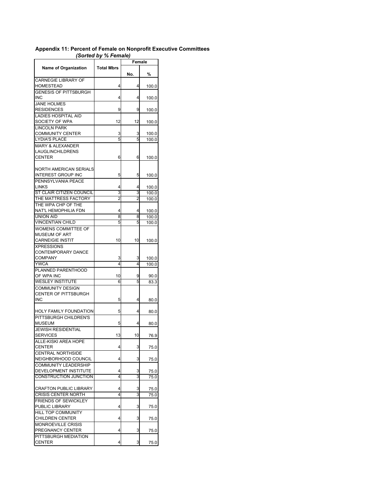## **Appendix 11: Percent of Female on Nonprofit Executive Committees**  *(Sorted by % Female)*

|                                                        |                   | Female |       |  |
|--------------------------------------------------------|-------------------|--------|-------|--|
| <b>Name of Organization</b>                            | <b>Total Mbrs</b> | No.    | %     |  |
| CARNEGIE LIBRARY OF<br>HOMESTEAD                       | 4                 | 4      | 100.0 |  |
| <b>GENESIS OF PITTSBURGH</b><br>INC                    | 4                 | 4      | 100.0 |  |
| <b>JANE HOLMES</b><br><b>RESIDENCES</b>                | 9                 | 9      | 100.0 |  |
| LADIES HOSPITAL AID<br>SOCIETY OF WPA                  | 12                | 12     | 100.0 |  |
| <b>LINCOLN PARK</b><br><b>COMMUNITY CENTER</b>         | 3                 | 3      | 100.0 |  |
| LYDIA'S PLACE<br><b>MARY &amp; ALEXANDER</b>           | 5                 | 5      | 100.0 |  |
| LAUGLINCHILDRENS<br>CENTER                             | 6                 | 6      | 100.0 |  |
| NORTH AMERICAN SERIALS<br><b>INTEREST GROUP INC</b>    | 5                 | 5      | 100.0 |  |
| PENNSYLVANIA PEACE<br><b>LINKS</b>                     | 4                 | 4      | 100.0 |  |
| ST CLAIR CITIZEN COUNCIL                               | 3                 | 3      | 100.0 |  |
| THE MATTRESS FACTORY<br>THE WPA CHP OF THE             | $\overline{2}$    | 2      | 100.0 |  |
| NAT'L HEMOPHILIA FDN                                   | 4                 | 4      | 100.0 |  |
| <b>UNION AID</b>                                       | 8                 | 8      | 100.0 |  |
| VINCENTIAN CHILD<br>WOMENS COMMITTEE OF                | 5                 | 5      | 100.0 |  |
| MUSEUM OF ART                                          |                   |        |       |  |
| CARNEIGIE INSTIT<br><b>XPRESSIONS</b>                  | 10                | 10     | 100.0 |  |
| CONTEMPORARY DANCE                                     |                   |        |       |  |
| COMPANY                                                | 3                 | 3      | 100.0 |  |
| YWCA                                                   | 4                 | 4      | 100.0 |  |
| PLANNED PARENTHOOD<br>OF WPA INC                       | 10                | 9      | 90.0  |  |
| <b>WESLEY INSTITUTE</b>                                | 6                 | 5      | 83.3  |  |
| <b>COMMUNITY DESIGN</b><br>CENTER OF PITTSBURGH<br>INC | 5                 | 4      | 80.0  |  |
| HOLY FAMILY FOUNDATION                                 | 5                 | 4      | 80.0  |  |
| PITTSBURGH CHILDREN'S<br>MUSEUM                        | 5                 | 4      | 80.0  |  |
| <b>JEWISH RESIDENTIAL</b><br><b>SERVICES</b>           | 13                | 10     | 76.9  |  |
| ALLE-KISKI AREA HOPE<br><b>CENTER</b>                  | 4                 | 3      | 75.0  |  |
| CENTRAL NORTHSIDE<br>NEIGHBORHOOD COUNCIL              | 4                 | 3      | 75.0  |  |
| COMMUNITY LEADERSHIP<br>DEVELOPMENT INSTITUTE          | 4                 | 3      | 75.0  |  |
| CONSTRUCTION JUNCTION                                  | 4                 | 3      | 75.0  |  |
| CRAFTON PUBLIC LIBRARY                                 | 4                 | 3      | 75.0  |  |
| <b>CRISIS CENTER NORTH</b>                             | 4                 | 3      | 75.0  |  |
| FRIENDS OF SEWICKLEY<br>PUBLIC LIBRARY                 | 4                 | 3      | 75.0  |  |
| HILL TOP COMMUNITY<br><b>CHILDREN CENTER</b>           | 4                 | 3      | 75.0  |  |
| MONROEVILLE CRISIS<br>PREGNANCY CENTER                 | 4                 | 3      | 75.0  |  |
| PITTSBURGH MEDIATION<br>CENTER                         | 4                 | 3      | 75.0  |  |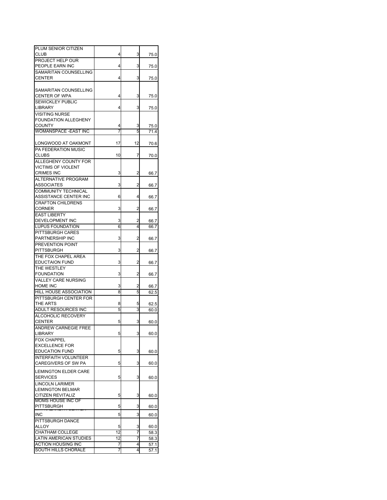| PLUM SENIOR CITIZEN           |    |                         |      |
|-------------------------------|----|-------------------------|------|
| CLUB                          | 4  | 3                       | 75.0 |
| PROJECT HELP OUR              |    |                         |      |
|                               |    |                         |      |
| PEOPLE EARN INC               | 4  | 3                       | 75.0 |
| SAMARITAN COUNSELLING         |    |                         |      |
| <b>CENTER</b>                 | 4  | 3                       | 75.0 |
|                               |    |                         |      |
| SAMARITAN COUNSELLING         |    |                         |      |
| <b>CENTER OF WPA</b>          | 4  | 3                       | 75.0 |
|                               |    |                         |      |
| SEWICKLEY PUBLIC              |    |                         |      |
| LIBRARY                       | 4  | 3                       | 75.0 |
| <b>VISITING NURSE</b>         |    |                         |      |
| FOUNDATION ALLEGHENY          |    |                         |      |
| COUNTY                        | 4  | 3                       | 75.0 |
| WOMANSPACE -EAST INC          | 7  | 5                       | 71.4 |
|                               |    |                         |      |
|                               |    |                         |      |
| LONGWOOD AT OAKMONT           | 17 | 12                      | 70.6 |
| PA FEDERATION MUSIC           |    |                         |      |
| CLUBS                         | 10 | 7                       | 70.0 |
| ALLEGHENY COUNTY FOR          |    |                         |      |
| VICTIMS OF VIOLENT            |    |                         |      |
|                               |    |                         |      |
| CRIMES INC                    | 3  | 2                       | 66.7 |
| ALTERNATIVE PROGRAM           |    |                         |      |
| ASSOCIATES                    | 3  | 2                       | 66.7 |
| COMMUNITY TECHNICAL           |    |                         |      |
| ASSISTANCE CENTER INC         |    |                         |      |
|                               | 6  | 4                       | 66.7 |
| <b>CRAFTON CHILDRENS</b>      |    |                         |      |
| <b>CORNER</b>                 | 3  | 2                       | 66.7 |
| <b>EAST LIBERTY</b>           |    |                         |      |
| DEVELOPMENT INC               | 3  | 2                       | 66.7 |
| LUPUS FOUNDATION              | 6  | 4                       | 66.7 |
|                               |    |                         |      |
| PITTSBURGH CARES              |    |                         |      |
| PARTNERSHIP INC               | 3  | 2                       | 66.7 |
| PREVENTION POINT              |    |                         |      |
| PITTSBURGH                    | 3  | $\overline{\mathbf{c}}$ | 66.7 |
| THE FOX CHAPEL AREA           |    |                         |      |
|                               |    |                         |      |
| <b>EDUCTAION FUND</b>         | 3  | 2                       | 66.7 |
| THE WESTLEY                   |    |                         |      |
| FOUNDATION                    | 3  | 2                       | 66.7 |
| VALLEY CARE NURSING           |    |                         |      |
| <b>HOME INC</b>               | 3  | 2                       | 66.7 |
| <b>HILL HOUSE ASSOCIATION</b> | 8  | 5                       | 62.5 |
|                               |    |                         |      |
| PITTSBURGH CENTER FOR         |    |                         |      |
| THE ARTS                      | 8  | 5                       | 62.5 |
| ADULT RESOURCES INC           | 5  | 3                       | 60.0 |
| ALCOHOLIC RECOVERY            |    |                         |      |
| CENTER                        | 5  | 3                       | 60.0 |
| <b>ANDREW CARNEGIE FRFF</b>   |    |                         |      |
|                               |    |                         |      |
| LIBRARY                       | 5  | 3                       | 60.0 |
| <b>FOX CHAPPEL</b>            |    |                         |      |
| <b>EXCELLENCE FOR</b>         |    |                         |      |
| EDUCATION FUND                | 5  | 3                       | 60.0 |
| <b>INTERFAITH VOLUNTEER</b>   |    |                         |      |
|                               |    |                         |      |
| CAREGIVERS OF SW PA           | 5  | 3                       | 60.0 |
| <b>LEMINGTON ELDER CARE</b>   |    |                         |      |
| <b>SERVICES</b>               | 5  | 3                       |      |
|                               |    |                         | 60.0 |
| <b>LINCOLN LARIMER</b>        |    |                         |      |
| <b>LEMINGTON BELMAR</b>       |    |                         |      |
| <b>CITIZEN REVITALIZ</b>      | 5  | 3                       | 60.0 |
| MOMS HOUSE INC OF             |    |                         |      |
| PITTSBURGH                    | 5  | 3                       | 60.0 |
|                               |    |                         |      |
| INC                           | 5  | 3                       | 60.0 |
| PITTSBURGH DANCE              |    |                         |      |
| ALLOY                         | 5  | 3                       | 60.0 |
|                               |    |                         |      |
| CHATHAM COLLEGE               | 12 | 7                       | 58.3 |
| LATIN AMERICAN STUDIES        | 12 | 7                       | 58.3 |
| <b>ACTION HOUSING INC</b>     | 7  | 4                       | 57.1 |
| SOUTH HILLS CHORALE           | 7  | 4                       | 57.1 |
|                               |    |                         |      |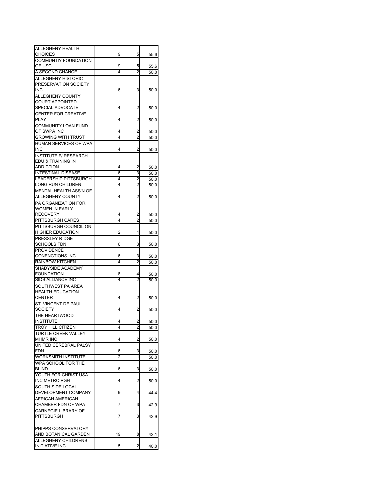| ALLEGHENY HEALTH             |    |                         |      |
|------------------------------|----|-------------------------|------|
| CHOICES                      | 9  | 5                       | 55.6 |
| COMMUNTIY FOUNDATION         |    |                         |      |
| OF USC                       | 9  | 5                       | 55.6 |
| A SECOND CHANCE              | 4  | $\overline{c}$          | 50.0 |
| ALLEGHENY HISTORIC           |    |                         |      |
| PRESERVATION SOCIETY         |    |                         |      |
| INC                          | 6  | 3                       | 50.0 |
| ALLEGHENY COUNTY             |    |                         |      |
| COURT APPOINTED              |    |                         |      |
| SPECIAL ADVOCATE             | 4  | $\overline{a}$          | 50.0 |
| <b>CENTER FOR CREATIVE</b>   |    |                         |      |
| PLAY                         | 4  | 2                       | 50.0 |
| <b>COMMUNITY LOAN FUND</b>   |    |                         |      |
| OF SWPA INC                  | 4  | 2                       | 50.0 |
| <b>GROWING WITH TRUST</b>    | 4  | 2                       | 50.0 |
| HUMAN SERVICES OF WPA        |    |                         |      |
| INC                          | 4  | 2                       | 50.0 |
| <b>INSTITUTE F/ RESEARCH</b> |    |                         |      |
| EDU & TRAINING IN            |    |                         |      |
| <b>ADDICTION</b>             | 4  |                         |      |
| <b>INTESTINAL DISEASE</b>    | 6  | 2<br>3                  | 50.0 |
|                              |    | $\overline{2}$          | 50.0 |
| <b>LEADERSHIP PITTSBURGH</b> | 4  |                         | 50.0 |
| LONG RUN CHILDREN            | 4  | $\overline{c}$          | 50.0 |
| MENTAL HEALTH ASS'N OF       |    |                         |      |
| ALLEGHENY COUNTY             | 4  | 2                       | 50.0 |
| PA ORGANIZATION FOR          |    |                         |      |
| <b>WOMEN IN EARLY</b>        |    |                         |      |
| <b>RECOVERY</b>              | 4  | 2                       | 50.0 |
| PITTSBURGH CARES             | 4  | 2                       | 50.0 |
| PITTSBURGH COUNCIL ON        |    |                         |      |
| <b>HIGHER EDUCATION</b>      | 2  | 1                       | 50.0 |
| PRESSLEY RIDGE               |    |                         |      |
| SCHOOLS FDN                  | 6  | 3                       | 50.0 |
| <b>PROVIDENCE</b>            |    |                         |      |
| <b>CONENCTIONS INC</b>       | 6  | 3                       | 50.0 |
| <b>RAINBOW KITCHEN</b>       | 4  | 2                       | 50.0 |
| SHADYSIDE ACADEMY            |    |                         |      |
| <b>FOUNDATION</b>            | 8  | 4                       | 50.0 |
| SIDS ALLIANCE INC            | 4  | 2                       | 50.0 |
| SOUTHWEST PA AREA            |    |                         |      |
| <b>HEALTH EDUCATION</b>      |    |                         |      |
| <b>CENTER</b>                | 4  | 2                       |      |
|                              |    |                         | 50.0 |
| ST. VINCENT DE PAUL          |    |                         |      |
| SOCIETY                      | 4  | 2                       | 50.0 |
| THE HEARTWOOD                |    |                         |      |
| <b>INSTITUTE</b>             | 4  | 2                       | 50.0 |
| <b>TROY HILL CITIZEN</b>     | 4  | $\overline{2}$          | 50.0 |
| <b>TURTLE CREEK VALLEY</b>   |    |                         |      |
| <b>MHMR INC</b>              | 4  | 2                       | 50.0 |
| UNITED CEREBRAL PALSY        |    |                         |      |
| FDN                          | 6  | 3                       | 50.0 |
| <b>WORKSMITH INSTITUTE</b>   | 2  | 1                       | 50.0 |
| WPA SCHOOL FOR THE           |    |                         |      |
| <b>BLIND</b>                 | 6  | 3                       | 50.0 |
| YOUTH FOR CHRIST USA         |    |                         |      |
| INC METRO PGH                | 4  | $\overline{\mathbf{c}}$ | 50.0 |
| SOUTH SIDE LOCAL             |    |                         |      |
| DEVELOPMENT COMPANY          | 9  | 4                       | 44.4 |
| AFRICAN AMERICAN             |    |                         |      |
| CHAMBER FDN OF WPA           | 7  | 3                       | 42.9 |
| <b>CARNEGIE LIBRARY OF</b>   |    |                         |      |
| PITTSBURGH                   | 7  |                         |      |
|                              |    | 3                       | 42.9 |
|                              |    |                         |      |
| PHIPPS CONSERVATORY          |    |                         |      |
| AND BOTANICAL GARDEN         | 19 | 8                       | 42.1 |
| ALLEGHENY CHILDRENS          |    |                         |      |
| <b>INITIATIVE INC</b>        | 5  | 2                       | 40.0 |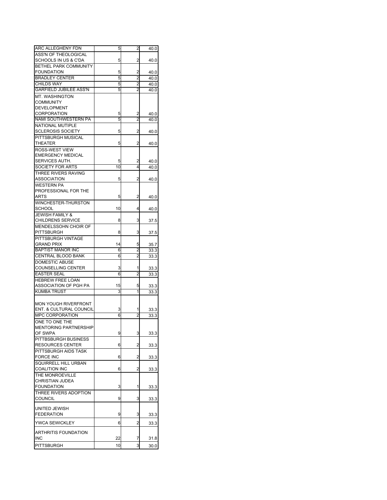| <b>ARC ALLEGHENY FDN</b>           | 5  | $\overline{c}$ | 40.0 |
|------------------------------------|----|----------------|------|
| <b>ASS'N OF THEOLOGICAL</b>        |    |                |      |
| SCHOOLS IN US & C'DA               | 5  | 2              | 40.0 |
| BETHEL PARK COMMUNITY              |    |                |      |
| <b>FOUNDATION</b>                  | 5  | 2              | 40.0 |
| <b>BRADLEY CENTER</b>              | 5  | 2              | 40.0 |
| <b>CHILDS WAY</b>                  | 5  | 2              | 40.0 |
| <b>GARFIELD JUBILEE ASS'N</b>      | 5  | 2              | 40.0 |
| MT. WASHINGTON                     |    |                |      |
| <b>COMMUNITY</b>                   |    |                |      |
| <b>DEVELOPMENT</b>                 |    |                |      |
| <b>CORPORATION</b>                 | 5  | 2              | 40.0 |
| NAMI SOUTHWESTERN PA               | 5  | 2              | 40.0 |
| NATIONAL MUTIPLE                   |    |                |      |
| <b>SCLEROSIS SOCIETY</b>           | 5  | 2              | 40.0 |
| PITTSBURGH MUSICAL                 |    |                |      |
| <b>THEATER</b>                     | 5  | 2              | 40.0 |
| <b>ROSS-WEST VIEW</b>              |    |                |      |
| <b>EMERGENCY MEDICAL</b>           |    |                |      |
| SERVICES AUTH.                     | 5  | 2              | 40.0 |
| SOCIETY FOR ARTS                   | 10 | $\overline{4}$ | 40.0 |
| THREE RIVERS RAVING                |    |                |      |
| ASSOCIATION                        | 5  | 2              | 40.0 |
| <b>WESTERN PA</b>                  |    |                |      |
| PROFESSIONAL FOR THE               |    |                |      |
| ARTS                               | 5  | $\overline{a}$ | 40.0 |
| WINCHESTER-THURSTON                |    |                |      |
| <b>SCHOOL</b>                      | 10 | 4              | 40.0 |
| <b>JEWISH FAMILY &amp;</b>         |    |                |      |
| <b>CHILDRENS SERVICE</b>           | 8  | 3              | 37.5 |
| MENDELSSOHN CHOIR OF               |    |                |      |
| <b>PITTSBURGH</b>                  | 8  | 3              | 37.5 |
| PITTSBURGH VINTAGE                 |    |                |      |
| <b>GRAND PRIX</b>                  | 14 | 5              | 35.7 |
| <b>BAPTIST MANOR INC</b>           | 6  | 2              | 33.3 |
| CENTRAL BLOOD BANK                 | 6  | 2              | 33.3 |
| <b>DOMESTIC ABUSE</b>              |    |                |      |
| <b>COUNSELLING CENTER</b>          | 3  | 1              | 33.3 |
| <b>EASTER SEAL</b>                 | 6  | 2              | 33.3 |
| <b>HEBREW FREE LOAN</b>            |    |                |      |
| ASSOCIATION OF PGH PA              | 15 | 5              | 33.3 |
| <b>KUMBA TRUST</b>                 | 3  | 1              | 33.3 |
|                                    |    |                |      |
| <b>MON YOUGH RIVERFRONT</b>        |    |                |      |
| ENT. & CULTURAL COUNCIL            | 3  |                | 33.3 |
| MPC CORPORATION                    | 6  | $\overline{2}$ | 33.3 |
| ONE TO ONE THE                     |    |                |      |
| <b>MENTORING PARTNERSHIP</b>       |    |                |      |
| OF SWPA                            | 9  | 3              | 33.3 |
| PITTBSBURGH BUSINESS               |    |                |      |
| <b>RESOURCES CENTER</b>            | 6  | 2              | 33.3 |
| PITTSBURGH AIDS TASK               |    |                |      |
| <b>FORCE INC</b>                   | 6  | 2              | 33.3 |
| SQUIRRELL HILL URBAN               |    |                |      |
| <b>COALITION INC</b>               | 6  | 2              | 33.3 |
| THE MONROEVILLE                    |    |                |      |
| <b>CHRISTIAN JUDEA</b>             |    |                |      |
| <b>FOUNDATION</b>                  | 3  | 1              | 33.3 |
| THREE RIVERS ADOPTION              |    |                |      |
| <b>COUNCIL</b>                     | 9  | 3              | 33.3 |
|                                    |    |                |      |
| UNITED JEWISH<br><b>FEDERATION</b> | 9  |                |      |
|                                    |    | 3              | 33.3 |
| <b>YWCA SEWICKLEY</b>              | 6  | 2              | 33.3 |
|                                    |    |                |      |
| ARTHRITIS FOUNDATION<br>INC        | 22 | 7              |      |
|                                    |    |                | 31.8 |
| <b>PITTSBURGH</b>                  | 10 | 3              | 30.0 |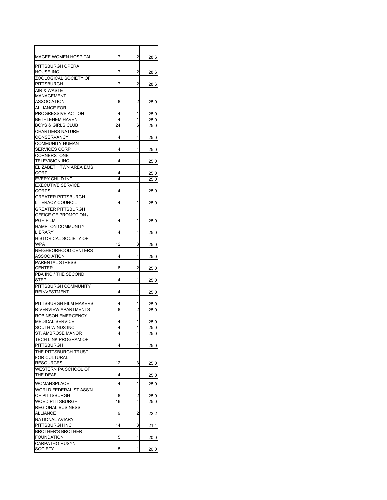| <b>MAGEE WOMEN HOSPITAL</b>                     | 7      | 2              | 28.6         |
|-------------------------------------------------|--------|----------------|--------------|
| PITTSBURGH OPERA                                |        |                |              |
| HOUSE INC                                       | 7      | 2              | 28.6         |
| ZOOLOGICAL SOCIETY OF<br><b>PITTSBURGH</b>      | 7      | 2              |              |
| AIR & WASTE                                     |        |                | 28.6         |
| MANAGEMENT                                      |        |                |              |
| ASSOCIATION                                     | 8      | 2              | 25.0         |
| <b>ALLIANCE FOR</b>                             |        |                |              |
| PROGRESSIVE ACTION<br><b>BETHLEHEM HAVEN</b>    | 4<br>4 | 1<br>1         | 25.0         |
| <b>BOYS &amp; GIRLS CLUB</b>                    | 24     | 6              | 25.0<br>25.0 |
| <b>CHARTIERS NATURE</b>                         |        |                |              |
| <b>CONSERVANCY</b>                              | 4      | 1              | 25.0         |
| <b>COMMUNITY HUMAN</b>                          |        |                |              |
| SERVICES CORP                                   | 4      | 1              | 25.0         |
| CORNERSTONE                                     |        |                |              |
| <b>TELEVISION INC</b><br>ELIZABETH TWN AREA EMS | 4      | 1              | 25.0         |
| CORP                                            | 4      | 1              | 25.0         |
| EVERY CHILD INC                                 | 4      | 1              | 25.0         |
| <b>EXECUTIVE SERVICE</b>                        |        |                |              |
| <b>CORPS</b>                                    | 4      | 1              | 25.0         |
| <b>GREATER PITTSBURGH</b>                       |        |                |              |
| LITERACY COUNCIL                                | 4      | 1              | 25.0         |
| GREATER PITTSBURGH<br>OFFICE OF PROMOTION /     |        |                |              |
| <b>PGH FILM</b>                                 | 4      | 1              | 25.0         |
| <b>HAMPTON COMMUNITY</b>                        |        |                |              |
| <b>LIBRARY</b>                                  | 4      | 1              | 25.0         |
| HISTORICAL SOCIETY OF                           |        |                |              |
| <b>WPA</b>                                      | 12     | 3              | 25.0         |
| NEIGHBORHOOD CENTERS                            |        |                |              |
| ASSOCIATION<br><b>PARENTAL STRESS</b>           | 4      | 1              | 25.0         |
| <b>CENTER</b>                                   | 8      | 2              | 25.0         |
| PBA INC / THE SECOND                            |        |                |              |
| STEP                                            | 4      | 1              | 25.0         |
| PITTSBURGH COMMUNITY                            |        |                |              |
| <b>REINVESTMENT</b>                             | 4      | 1              | 25.0         |
| PITTSBURGH FILM MAKERS                          | 4      | 1              | 25.0         |
| <b>RIVERVIEW APARTMENTS</b>                     | 8      | 2              | 25.0         |
| <b>ROBINSON EMERGENCY</b>                       |        |                |              |
| <b>MEDICAL SERVICE</b>                          | 4      | 1              | 25.0         |
| SOUTH WINDS INC                                 | 4      | 1              | 25.0         |
| ST. AMBROSE MANOR                               | 4      | 1              | 25.0         |
| TECH LINK PROGRAM OF<br><b>PITTSBURGH</b>       | 4      | 1              | 25.0         |
| THE PITTSBURGH TRUST                            |        |                |              |
| FOR CULTURAL                                    |        |                |              |
| <b>RESOURCES</b>                                | 12     | 3              | 25.0         |
| WESTERN PA SCHOOL OF                            |        |                |              |
| THE DEAF                                        | 4      | 1              | 25.0         |
| WOMANSPLACE                                     | 4      | 1              | 25.0         |
| <b>WORLD FEDERALIST ASS'N</b>                   |        |                |              |
| OF PITTSBURGH                                   | 8      | 2              | 25.0         |
| WQED PITTSBURGH                                 | 16     | 4              | 25.0         |
| <b>REGIONAL BUSINESS</b><br><b>ALLIANCE</b>     | 9      | $\overline{a}$ |              |
| NATIONAL AVIARY                                 |        |                | 22.2         |
| PITTSBURGH INC                                  | 14     | 3              | 21.4         |
| <b>BROTHER'S BROTHER</b>                        |        |                |              |
| <b>FOUNDATION</b>                               | 5      | 1              | 20.0         |
| CARPATHO-RUSYN                                  |        |                |              |
| SOCIETY                                         | 5      | 1              | 20.0         |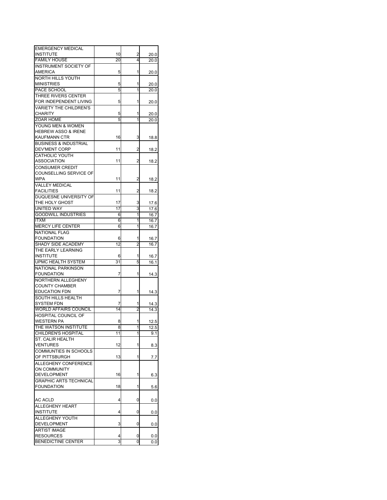| <b>EMERGENCY MEDICAL</b>         |    |                |          |
|----------------------------------|----|----------------|----------|
| <b>INSTITUTE</b>                 | 10 | 2              | 20.0     |
| <b>FAMILY HOUSE</b>              | 20 | 4              | 20.0     |
| <b>INSTRUMENT SOCIETY OF</b>     |    |                |          |
|                                  |    |                |          |
| AMERICA                          | 5  | 1              | 20.0     |
| NORTH HILLS YOUTH                |    |                |          |
| <b>MINISTRIES</b>                | 5  | 1              |          |
|                                  |    |                | 20.0     |
| PACE SCHOOL                      | 5  | 1              | 20.0     |
| THREE RIVERS CENTER              |    |                |          |
| FOR INDEPENDENT LIVING           | 5  | 1              |          |
|                                  |    |                | 20.0     |
| <b>VARIETY THE CHILDREN'S</b>    |    |                |          |
| <b>CHARITY</b>                   | 5  | 1              | 20.0     |
| <b>ZOAR HOME</b>                 | 5  | 1              |          |
|                                  |    |                | 20.0     |
| YOUNG MEN & WOMEN                |    |                |          |
| <b>HEBREW ASSO &amp; IRENE</b>   |    |                |          |
| <b>KAUFMANN CTR</b>              | 16 | 3              |          |
|                                  |    |                | 18.8     |
| <b>BUSINESS &amp; INDUSTRIAL</b> |    |                |          |
| DEV'MENT CORP                    | 11 | 2              | 18.2     |
|                                  |    |                |          |
| <b>CATHOLIC YOUTH</b>            |    |                |          |
| ASSOCIATION                      | 11 | 2              | 18.2     |
| <b>CONSUMER CREDIT</b>           |    |                |          |
|                                  |    |                |          |
| COUNSELLING SERVICE OF           |    |                |          |
| WPA                              | 11 | 2              | 18.2     |
| VALLEY MEDICAL                   |    |                |          |
|                                  |    |                |          |
| <b>FACILITIES</b>                | 11 | 2              | 18.2     |
| DUQUESNE UNIVERSITY OF           |    |                |          |
| THE HOLY GHOST                   | 17 | 3              | 17.6     |
|                                  |    |                |          |
| <b>UNITED WAY</b>                | 17 | 3              | 17.6     |
| <b>GOODWILL INDUSTRIES</b>       | 6  | 1              | 16.7     |
| <b>ITXM</b>                      | 6  | 1              | 16.7     |
|                                  |    |                |          |
| <b>MERCY LIFE CENTER</b>         | 6  | 1              | 16.7     |
| <b>NATIONAL FLAG</b>             |    |                |          |
| <b>FOUNDATION</b>                | 6  | 1              | 16.7     |
|                                  |    |                |          |
| SHADY SIDE ACADEMY               | 12 | $\overline{a}$ | 16.7     |
| THE EARLY LEARNING               |    |                |          |
| INSTITUTE                        | 6  | 1              | 16.7     |
|                                  |    |                |          |
| UPMC HEALTH SYSTEM               | 31 | 5              | 16.1     |
| <b>NATIONAL PARKINSON</b>        |    |                |          |
| <b>FOUNDATION</b>                | 7  | 1              | 14.3     |
|                                  |    |                |          |
| NORTHERN ALLEGHENY               |    |                |          |
| <b>COUNTY CHAMBER</b>            |    |                |          |
| <b>EDUCATION FDN</b>             | 7  | 1              | 14.3     |
|                                  |    |                |          |
| SOUTH HILLS HEALTH               |    |                |          |
| <b>SYSTEM FDN</b>                | 7  | 1              | 14.3     |
| <b>WORLD AFFAIRS COUNCIL</b>     | 14 | $\overline{2}$ | 14.3     |
|                                  |    |                |          |
| HOSPITAL COUNCIL OF              |    |                |          |
| <b>WESTERN PA</b>                | 8  | 1              | 12.5     |
| THE WATSON INSTITUTE             | 8  | 1              | 12.5     |
|                                  |    |                |          |
| CHILDREN'S HOSPITAL              | 11 | 1              | 9.1      |
| ST. CALIR HEALTH                 |    |                |          |
| VENTURES                         | 12 | 1              | 8.3      |
|                                  |    |                |          |
| COMMUNTIES IN SCHOOLS            |    |                |          |
| OF PITTSBURGH                    | 13 | 1              | 7.7      |
| ALLEGHENY CONFERENCE             |    |                |          |
|                                  |    |                |          |
| ON COMMUNITY                     |    |                |          |
| DEVELOPMENT                      | 16 | 1              | 6.3      |
| <b>GRAPHIC ARTS TECHNICAL</b>    |    |                |          |
| <b>FOUNDATION</b>                |    |                |          |
|                                  | 18 | 1              | 5.6      |
|                                  |    |                |          |
|                                  |    |                |          |
| AC ACLD                          | 4  | 0              | $_{0.0}$ |
| <b>ALLEGHENY HEART</b>           |    |                |          |
| <b>INSTITUTE</b>                 | 4  | 0              | 0.0      |
|                                  |    |                |          |
| ALLEGHENY YOUTH                  |    |                |          |
| <b>DEVELOPMENT</b>               | 3  | 0              | 0.0      |
| <b>ARTIST IMAGE</b>              |    |                |          |
|                                  |    |                |          |
| <b>RESOURCES</b>                 | 4  | 0              | $_{0.0}$ |
| <b>BENEDICTINE CENTER</b>        | 3  | 0              | 0.0      |
|                                  |    |                |          |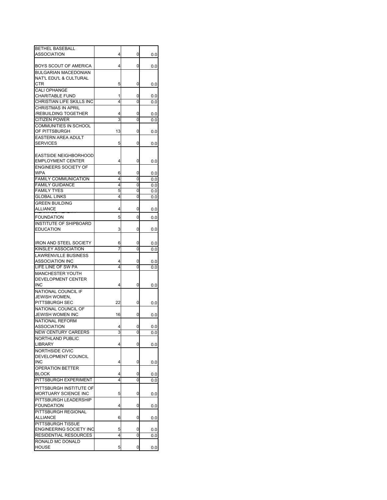| <b>BETHEL BASEBALL</b>         |    |   |          |
|--------------------------------|----|---|----------|
|                                |    |   |          |
| ASSOCIATION                    | 4  | 0 | 0.0      |
|                                |    |   |          |
| BOYS SCOUT OF AMERICA          | 4  | 0 | 0.0      |
| <b>BULGARIAN MACEDONIAN</b>    |    |   |          |
| NAT'L EDU'L & CULTURAL         |    |   |          |
| CTR                            | 5  | 0 | 0.0      |
| CALI OPHANGE                   |    |   |          |
| <b>CHARITABLE FUND</b>         | 1  | 0 | 0.0      |
|                                |    |   |          |
| CHRISTIAN LIFE SKILLS INC      | 4  | 0 | 0.0      |
| <b>CHRISTMAS IN APRIL</b>      |    |   |          |
| /REBUILDING TOGETHER           | 4  | 0 | 0.0      |
| <b>CITIZEN POWER</b>           | 3  | 0 | 0.0      |
| COMMUNITIES IN SCHOOL          |    |   |          |
| OF PITTSBURGH                  | 13 | 0 | $_{0.0}$ |
| <b>EASTERN AREA ADULT</b>      |    |   |          |
|                                |    |   |          |
| <b>SERVICES</b>                | 5  | 0 | $_{0.0}$ |
|                                |    |   |          |
| <b>EASTSIDE NEIGHBORHOOD</b>   |    |   |          |
| <b>EMPLOYMENT CENTER</b>       | 4  | 0 | 0.0      |
| <b>ENGINEERS SOCIETY OF</b>    |    |   |          |
| WPA                            | 6  | 0 | $_{0.0}$ |
| <b>FAMILY COMMUNICATION</b>    | 4  | 0 | 0.0      |
|                                |    |   |          |
| <b>FAMILY GUIDANCE</b>         | 4  | 0 | 0.0      |
| <b>FAMILY TYES</b>             | 5  | 0 | 0.0      |
| <b>GLOBAL LINKS</b>            | 4  | 0 | 0.0      |
| <b>GREEN BUILDING</b>          |    |   |          |
| ALLIANCE                       | 4  | 0 | 0.0      |
|                                |    |   |          |
| <b>FOUNDATION</b>              | 5  | 0 | 0.0      |
| <b>INSTITUTE OF SHIPBOARD</b>  |    |   |          |
| <b>EDUCATION</b>               | 3  | 0 | 0.0      |
|                                |    |   |          |
|                                |    |   |          |
| <b>IRON AND STEEL SOCIETY</b>  | 6  | 0 | 0.0      |
| KINSLEY ASSOCIATION            | 7  | 0 | 0.0      |
| <b>LAWRENVILLE BUSINESS</b>    |    |   |          |
| <b>ASSOCIATION INC</b>         | 4  | 0 | $_{0.0}$ |
| LIFE LINE OF SW PA             | 4  | 0 | 0.0      |
|                                |    |   |          |
| MANCHESTER YOUTH               |    |   |          |
| DEVELOPMENT CENTER             |    |   |          |
| INC                            | 4  | 0 | $_{0.0}$ |
| NATIONAL COUNCIL IF            |    |   |          |
| JEWISH WOMEN.                  |    |   |          |
| PITTSBURGH SEC                 | 22 | 0 | 0.0      |
| NATIONAL COUNCIL OF            |    |   |          |
|                                |    |   |          |
| JEWISH WOMEN INC               | 16 | 0 | $_{0.0}$ |
| <b>NATIONAL REFORM</b>         |    |   |          |
| <b>ASSOCIATION</b>             | 4  | 0 | 0.0      |
| <b>NEW CENTURY CAREERS</b>     | 3  | 0 | 0.0      |
| NORTHLAND PUBLIC               |    |   |          |
| <b>LIBRARY</b>                 | 4  | 0 | $_{0.0}$ |
|                                |    |   |          |
| NORTHSIDE CIVIC                |    |   |          |
| DEVELOPMENT COUNCIL            |    |   |          |
| <b>INC</b>                     | 4  | 0 | $_{0.0}$ |
| <b>OPERATION BETTER</b>        |    |   |          |
| BLOCK                          | 4  | 0 | 0.0      |
| PITTSBURGH EXPERIMENT          | 4  | 0 | 0.0      |
|                                |    |   |          |
| PITTSBURGH INSTITUTE OF        |    |   |          |
| MORTUARY SCIENCE INC           | 5  | 0 | $_{0.0}$ |
| PITTSBURGH LEADERSHIP          |    |   |          |
| <b>FOUNDATION</b>              | 4  | 0 | $_{0.0}$ |
| PITTSBURGH REGIONAL            |    |   |          |
|                                |    |   |          |
| ALLIANCE                       | 6  | 0 | 0.0      |
| PITTSBURGH TISSUE              |    |   |          |
| <b>ENGINEERING SOCIETY INC</b> | 5  | 0 | 0.0      |
| RESIDENTIAL RESOURCES          | 4  | 0 | $_{0.0}$ |
| RONALD MC DONALD               |    |   |          |
| <b>HOUSE</b>                   | 5  | 0 | $_{0.0}$ |
|                                |    |   |          |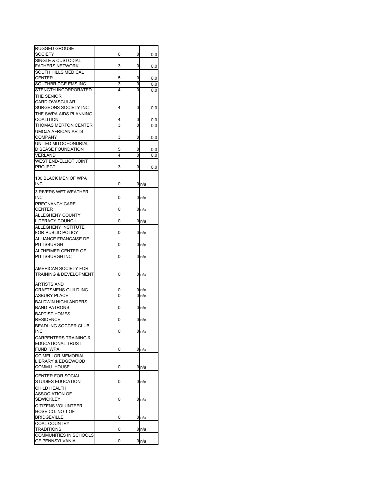| <b>RUGGED GROUSE</b>             |   |   |                  |
|----------------------------------|---|---|------------------|
| SOCIETY                          | 6 | 0 | 0.0              |
| <b>SINGLE &amp; CUSTODIAL</b>    |   |   |                  |
| <b>FATHERS NETWORK</b>           | 3 | 0 | 0.0              |
| <b>SOUTH HILLS MEDICAL</b>       |   |   |                  |
| CENTER                           | 5 | 0 | 0.0              |
| SOUTHBRIDGE EMS INC              | 3 | 0 | 0.0              |
| STENGTH INCORPORATED             | 4 | 0 | 0.0              |
| THE SENIOR                       |   |   |                  |
| <b>CARDIOVASCULAR</b>            |   |   |                  |
| SURGEONS SOCIETY INC             | 4 | 0 | 0.0              |
| THE SWPA AIDS PLANNING           |   |   |                  |
| COALITION                        | 4 | 0 | 0.0              |
| THOMAS MERTON CENTER             | 3 | 0 | 0.0              |
| UMOJA AFRICAN ARTS               |   |   |                  |
| COMPANY                          | 3 | 0 | 0.0              |
| UNITED MITOCHONDRIAL             |   |   |                  |
| DISEASE FOUNDATION               | 5 | 0 | 0.0              |
| VERLAND                          | 4 | 0 | 0.0              |
| WEST END-ELLIOT JOINT            |   |   |                  |
| <b>PROJECT</b>                   | 3 | 0 | 0.0              |
|                                  |   |   |                  |
| 100 BLACK MEN OF WPA             |   |   |                  |
| INC                              | 0 |   | 0 n/a            |
| 3 RIVERS WET WEATHER             |   |   |                  |
| INC                              | 0 |   | 0n/a             |
| PREGNANCY CARE                   |   |   |                  |
| <b>CENTER</b>                    | 0 |   | 0 <sub>n/a</sub> |
| <b>ALLEGHENY COUNTY</b>          |   |   |                  |
| LITERACY COUNCIL                 | 0 |   | 0n/a             |
| ALLEGHENY INSTITUTE              |   |   |                  |
| FOR PUBLIC POLICY                | 0 |   | 0 <sub>n/a</sub> |
| <b>ALLIANCE FRANCAISE DE</b>     |   |   |                  |
| PITTSBURGH                       | 0 |   | 0 <sub>n/a</sub> |
| ALZHEIMER CENTER OF              |   |   |                  |
| PITTSBURGH INC                   | 0 |   | 0n/a             |
|                                  |   |   |                  |
| AMERICAN SOCIETY FOR             |   |   |                  |
| TRAINING & DEVELOPMENT           | 0 |   | 0n/a             |
|                                  |   |   |                  |
| ARTISTS AND                      |   |   |                  |
| CRAFTSMENS GUILD INC             | 0 |   | 0n/a             |
| ASBURY PLACE                     | 0 |   | 0n/a             |
| <b>BALDWIN HIGHLANDERS</b>       |   |   |                  |
| <b>BAND PATRONS</b>              | 0 |   | 0 n/a            |
| <b>BAPTIST HOMES</b>             |   |   |                  |
| <b>RESIDENCE</b>                 | 0 |   | 0 <sub>n/a</sub> |
| BEADLING SOCCER CLUB             |   |   |                  |
| <b>INC</b>                       | 0 |   | 0 <sub>n/a</sub> |
| <b>CARPENTERS TRAINING &amp;</b> |   |   |                  |
| <b>EDUCATIONAL TRUST</b>         |   |   |                  |
| FUND WPA                         | 0 |   | 0 <sub>n/a</sub> |
| <b>CC MELLOR MEMORIAL</b>        |   |   |                  |
| <b>LIBRARY &amp; EDGEWOOD</b>    |   |   |                  |
| COMMU. HOUSE                     | 0 |   | 0n/a             |
|                                  |   |   |                  |
| <b>CENTER FOR SOCIAL</b>         |   |   |                  |
| STUDIES EDUCATION                | 0 |   | 0 <sub>n/a</sub> |
| CHILD HEALTH                     |   |   |                  |
| ASSOCIATION OF                   |   |   |                  |
| <b>SEWICKLEY</b>                 | 0 |   | 0n/a             |
| <b>CITIZENS VOLUNTEER</b>        |   |   |                  |
| HOSE CO. NO 1 OF                 |   |   |                  |
| <b>BRIDGEVILLE</b>               | 0 |   | 0n/a             |
| COAL COUNTRY                     |   |   |                  |
| TRADITIONS                       | 0 |   | 0 <sub>n/a</sub> |
| COMMUNITIES IN SCHOOLS           |   |   |                  |
| OF PENNSYLVANIA                  | 0 |   | 0n/a             |
|                                  |   |   |                  |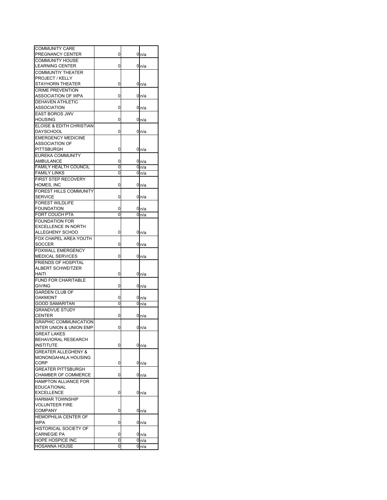| <b>COMMUNITY CARE</b>          |   |                  |
|--------------------------------|---|------------------|
| PREGNANCY CENTER               | 0 | 0 n/a            |
| COMMUNITY HOUSE                |   |                  |
| <b>LEARNING CENTER</b>         | 0 | 0n/a             |
| COMMUNTIY THEATER              |   |                  |
| PROJECT / KELLY                |   |                  |
|                                |   |                  |
| STAYHORN THEATER               | 0 | 0 <sub>n/a</sub> |
| <b>CRIME PREVENTION</b>        |   |                  |
| ASSOCIATION OF WPA             | 0 | 0n/a             |
| DEHAVEN ATHLETIC               |   |                  |
| ASSOCIATION                    | 0 | 0n/a             |
| <b>EAST BOROS JWV</b>          |   |                  |
| <b>HOUSING</b>                 | 0 | 0 <sub>n/a</sub> |
| ELOISE & EDITH CHRISTIAN       |   |                  |
| DAYSCHOOL                      | 0 | 0 <sub>n/a</sub> |
| <b>EMERGENCY MEDICINE</b>      |   |                  |
| ASSOCIATION OF                 |   |                  |
| PITTSBURGH                     | 0 | 0n/a             |
| EUREKA COMMUNITY               |   |                  |
| AMBULANCE                      | 0 | 0 <sub>n/a</sub> |
| <b>FAMILY HEALTH COUNCIL</b>   | 0 | 0n/a             |
| <b>FAMILY LINKS</b>            | 0 | 0 <sub>n/a</sub> |
| FIRST STEP RECOVERY            |   |                  |
|                                |   |                  |
| HOMES, INC                     | 0 | 0 <sub>n/a</sub> |
| FOREST HILLS COMMUNITY         |   |                  |
| <b>SERVICE</b>                 | 0 | 0n/a             |
| <b>FOREST WILDLIFE</b>         |   |                  |
| <b>FOUNDATION</b>              | 0 | 0 <sub>n/a</sub> |
| FORT COUCH PTA                 | 0 | 0n/a             |
| <b>FOUNDATION FOR</b>          |   |                  |
| <b>EXCELLENCE IN NORTH</b>     |   |                  |
| ALLEGHENY SCHOO                | 0 | 0 n/a            |
| FOX CHAPEL AREA YOUTH          |   |                  |
| SOCCER                         | 0 | 0n/a             |
| <b>FOXWALL EMERGENCY</b>       |   |                  |
| MEDICAL SERVICES               | 0 | 0 <sub>n/a</sub> |
| FRIENDS OF HOSPITAL            |   |                  |
| ALBERT SCHWEITZER              |   |                  |
| HAITI                          | 0 |                  |
| FUND FOR CHARITABLE            |   | 0 n/a            |
|                                |   |                  |
| <b>GIVING</b>                  | 0 | 0 <sub>n/a</sub> |
| <b>GARDEN CLUB OF</b>          |   |                  |
| <b>OAKMONT</b>                 | 0 | 0n/a             |
| <b>GOOD SAMARITAN</b>          | 0 | 0n/a             |
| <b>GRANDVUE STUDY</b>          |   |                  |
| <b>CENTER</b>                  | 0 | 0n/a             |
| <b>GRAPHIC COMMUNICATION</b>   |   |                  |
| INTER UNION & UNION EMP        | O | 0n/a             |
| <b>GREAT LAKES</b>             |   |                  |
| BEHAVIORAL RESEARCH            |   |                  |
| <b>INSTITUTE</b>               | 0 | 0 <sub>n/a</sub> |
| <b>GREATER ALLEGHENY &amp;</b> |   |                  |
| MONONGAHALA HOUSING            |   |                  |
| CORP                           | 0 | 0 <sub>n/a</sub> |
| <b>GREATER PITTSBURGH</b>      |   |                  |
| CHAMBER OF COMMERCE            | 0 |                  |
|                                |   | 0 <sub>n/a</sub> |
| <b>HAMPTON ALLIANCE FOR</b>    |   |                  |
| EDUCATIONAL                    |   |                  |
| <b>EXCELLENCE</b>              | 0 | 0n/a             |
| <b>HARMAR TOWNSHIP</b>         |   |                  |
| VOLUNTEER FIRE                 |   |                  |
| <b>COMPANY</b>                 | 0 | 0 n/a            |
| <b>HEMOPHILIA CENTER OF</b>    |   |                  |
| WPA                            | 0 | 0 <sub>n/a</sub> |
| <b>HISTORICAL SOCIETY OF</b>   |   |                  |
| CARNEGIE PA                    | 0 | 0n/a             |
| HOPE HOSPICE INC               | 0 | 0 <sub>n/a</sub> |
| <b>HOSANNA HOUSE</b>           | 0 | 0 n/a            |
|                                |   |                  |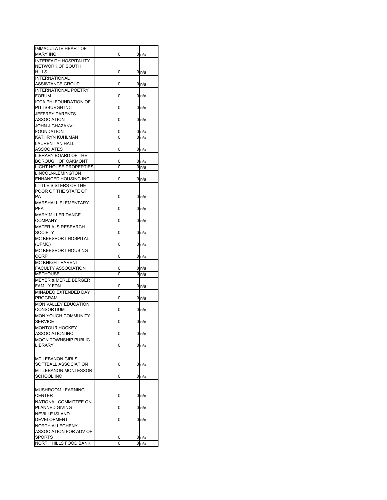| <b>IMMACULATE HEART OF</b>      |   |                  |
|---------------------------------|---|------------------|
| <b>MARY INC</b>                 | 0 | 0n/a             |
|                                 |   |                  |
| <b>INTERFAITH HOSPITALITY</b>   |   |                  |
| NETWORK OF SOUTH                |   |                  |
| HILLS                           | 0 | 0n/a             |
| <b>INTERNATIONAL</b>            |   |                  |
| ASSISTANCE GROUP                | 0 | 0 <sub>n/a</sub> |
| <b>INTERNATIONAL POETRY</b>     |   |                  |
| <b>FORUM</b>                    | 0 | 0 n/a            |
|                                 |   |                  |
| <b>IOTA PHI FOUNDATION OF</b>   |   |                  |
| PITTSBURGH INC                  | 0 | 0n/a             |
| JEFFREY PARENTS                 |   |                  |
| ASSOCIATION                     | 0 | 0 <sub>n/a</sub> |
| JOHN J GHAZANVI                 |   |                  |
| FOUNDATION                      | 0 | 0 n/a            |
| KATHRYN KUHLMAN                 | 0 |                  |
|                                 |   | 0n/a             |
| LAURENTIAN HALL                 |   |                  |
| ASSOCIATES                      | 0 | 0n/a             |
| LIBRARY BOARD OF THE            |   |                  |
| BOROUGH OF OAKMONT              | 0 | 0n/a             |
| <b>LIGHT HOUSE PROPERTIES</b>   | 0 | 0n/a             |
|                                 |   |                  |
| LINCOLN-LEMINGTON               |   |                  |
| <b>ENHANCED HOUSING INC</b>     | 0 | 0n/a             |
| LITTLE SISTERS OF THE           |   |                  |
| POOR OF THE STATE OF            |   |                  |
| PA                              | 0 | 0 <sub>n/a</sub> |
| <b>MARSHALL ELEMENTARY</b>      |   |                  |
| PFA                             | 0 |                  |
|                                 |   | 0 n/a            |
| MARY MILLER DANCE               |   |                  |
| COMPANY                         | 0 | 0n/a             |
| MATERIALS RESEARCH              |   |                  |
| SOCIETY                         | 0 | 0n/a             |
| <b>MC KEESPORT HOSPITAL</b>     |   |                  |
| (UPMC)                          | 0 | 0n/a             |
|                                 |   |                  |
| MC KEESPORT HOUSING             |   |                  |
| CORP                            | 0 | 0n/a             |
| MC KNIGHT PARENT                |   |                  |
| <b>FACULTY ASSOCIATION</b>      | 0 | 0 n/a            |
| <b>METHOUSE</b>                 | 0 | 0n/a             |
| <b>MEYER &amp; MERLE BERGER</b> |   |                  |
| <b>FAMILY FDN</b>               | 0 | 0 <sub>n/a</sub> |
|                                 |   |                  |
| MINADEO EXTENDED DAY            |   |                  |
| PROGRAM                         | 0 | 0n/a             |
| MON VALLEY EDUCATION            |   |                  |
| CONSORTIUM                      | 0 | 0n/a             |
| <b>MON YOUGH COMMUNITY</b>      |   |                  |
| SERVICE                         | 0 | 0 <sub>n/a</sub> |
|                                 |   |                  |
| MONTOUR HOCKEY                  |   |                  |
| <b>ASSOCIATION INC</b>          | 0 | 0 <sub>n/a</sub> |
| <b>MOON TOWNSHIP PUBLIC</b>     |   |                  |
| LIBRARY                         | 0 | 0 <sub>n/a</sub> |
|                                 |   |                  |
|                                 |   |                  |
| <b>MT LEBANON GIRLS</b>         |   |                  |
| SOFTBALL ASSOCIATION            | 0 | 0n/a             |
| MT LEBANON MONTESSORI           |   |                  |
| SCHOOL INC                      | 0 | 0n/a             |
|                                 |   |                  |
|                                 |   |                  |
| <b>MUSHROOM LEARNING</b>        |   |                  |
| <b>CENTER</b>                   | 0 | 0n/a             |
| NATIONAL COMMITTEE ON           |   |                  |
| PLANNED GIVING                  | 0 | 0n/a             |
| <b>NEVILLE ISLAND</b>           |   |                  |
|                                 |   |                  |
| <b>DEVELOPMENT</b>              | 0 | 0 n/a            |
| <b>NORTH ALLEGHENY</b>          |   |                  |
| ASSOCIATION FOR ADV OF          |   |                  |
| SPORTS                          | 0 | 0 <sub>n/a</sub> |
|                                 | 0 | 0n/a             |
| NORTH HILLS FOOD BANK           |   |                  |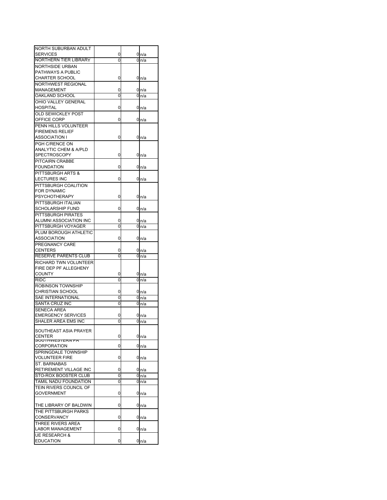| NORTH SUBURBAN ADULT      |   |   |                  |
|---------------------------|---|---|------------------|
|                           |   |   |                  |
| SERVICES                  | 0 |   | 0 n/a            |
| NORTHERN TIER LIBRARY     | 0 | 0 | n/a              |
| NORTHSIDE URBAN           |   |   |                  |
| PATHWAYS A PUBLIC         |   |   |                  |
| <b>CHARTER SCHOOL</b>     | 0 |   | 0 n/a            |
|                           |   |   |                  |
| NORTHWEST REGIONAL        |   |   |                  |
| MANAGEMENT                | 0 |   | 0 n/a            |
| OAKLAND SCHOOL            | 0 |   | 0 n/a            |
| OHIO VALLEY GENERAL       |   |   |                  |
| HOSPITAL                  | 0 |   | 0 <sub>n/a</sub> |
| <b>OLD SEWICKLEY POST</b> |   |   |                  |
|                           |   |   |                  |
| OFFICE CORP               | 0 |   | 0 n/a            |
| PENN HILLS VOLUNTEER      |   |   |                  |
| <b>FIREMENS RELIEF</b>    |   |   |                  |
| ASSOCIATION I             | 0 |   | 0 n/a            |
| PGH C/RENCE ON            |   |   |                  |
|                           |   |   |                  |
| ANALYTIC CHEM & A/PLD     |   |   |                  |
| SPECTROSCOPY              | 0 |   | 0 n/a            |
| PITCAIRN CRABBE           |   |   |                  |
| <b>FOUNDATION</b>         | 0 |   | 0 <sub>n/a</sub> |
| PITTSBURGH ARTS &         |   |   |                  |
|                           |   |   |                  |
| LECTURES INC              | 0 |   | 0n/a             |
| PITTSBURGH COALITION      |   |   |                  |
| <b>FOR DYNAMIC</b>        |   |   |                  |
| <b>PSYCHOTHERAPY</b>      | 0 |   | 0 n/a            |
| PITTSBURGH ITALIAN        |   |   |                  |
|                           |   |   |                  |
| SCHOLARSHIP FUND          | 0 |   | 0 <sub>n/a</sub> |
| PITTSBURGH PIRATES        |   |   |                  |
| ALUMNI ASSOCIATION INC    | 0 |   | 0 n/a            |
| PITTSBURGH VOYAGER        | 0 | 0 | n/a              |
| PLUM BOROUGH ATHLETIC     |   |   |                  |
|                           |   |   |                  |
| ASSOCIATION               | 0 |   | 0 n/a            |
| PREGNANCY CARE            |   |   |                  |
| <b>CENTERS</b>            | 0 |   | 0n/a             |
| RESERVE PARENTS CLUB      | 0 | 0 | n/a              |
| RICHARD TWN VOLUNTEER     |   |   |                  |
| FIRE DEP PF ALLEGHENY     |   |   |                  |
|                           |   |   |                  |
| COUNTY                    | 0 |   | 0n/a             |
| RIDC                      | 0 |   | 0n/a             |
| ROBINSON TOWNSHIP         |   |   |                  |
| <b>CHRISTIAN SCHOOL</b>   | 0 |   | 0 n/a            |
|                           |   |   |                  |
|                           |   |   |                  |
| SAE INTERNATIONAL         | 0 |   | 0 <sub>n/a</sub> |
| SANTA CRUZ INC            | 0 |   | 0 n/a            |
| SENECA AREA               |   |   |                  |
| <b>EMERGENCY SERVICES</b> | 0 |   | 0 n/a            |
| SHALER AREA EMS INC       | 0 |   |                  |
|                           |   |   | 0 <sub>n/a</sub> |
| SOUTHEAST ASIA PRAYER     |   |   |                  |
| CENTER                    | 0 |   |                  |
| <b>IVVESIERIV FA</b>      |   |   | 0 <sub>n/a</sub> |
| <b>CORPORATION</b>        | 0 |   |                  |
|                           |   |   | 0n/a             |
| SPRINGDALE TOWNSHIP       |   |   |                  |
| <b>VOLUNTEER FIRE</b>     | 0 |   | 0n/a             |
| ST. BARNABAS              |   |   |                  |
| RETIREMENT VILLAGE INC    | 0 |   | 0 <sub>n/a</sub> |
| STO-ROX BOOSTER CLUB      | 0 |   | 0 n/a            |
| TAMIL NADU FOUNDATION     | 0 |   |                  |
|                           |   |   | 0n/a             |
| TEIN RIVERS COUNCIL OF    |   |   |                  |
| <b>GOVERNMENT</b>         | 0 |   | 0 <sub>n/a</sub> |
|                           |   |   |                  |
| THE LIBRARY OF BALDWIN    | 0 |   | 0 n/a            |
| THE PITTSBURGH PARKS      |   |   |                  |
|                           |   |   |                  |
| CONSERVANCY               | 0 |   | 0 n/a            |
| THREE RIVERS AREA         |   |   |                  |
| LABOR MANAGEMENT          | 0 |   | 0 n/a            |
| <b>UE RESEARCH &amp;</b>  |   |   |                  |
| <b>EDUCATION</b>          | 0 |   | 0 <sub>n/a</sub> |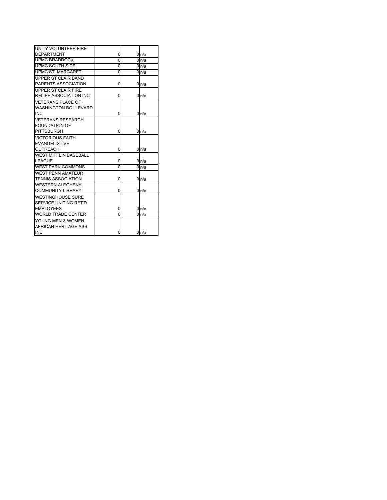| UNITY VOLUNTEER FIRE          |   |                  |
|-------------------------------|---|------------------|
| <b>DEPARTMENT</b>             | 0 | 0n/a             |
| <b>UPMC BRADDOCK</b>          | 0 | 0 <sub>n/a</sub> |
| UPMC SOUTH SIDE               | 0 | 0 <sub>n/a</sub> |
| <b>UPMC ST. MARGARET</b>      | 0 | 0n/a             |
| UPPER ST CLAIR BAND           |   |                  |
| PARENTS ASSOCIATION           | 0 | 0n/a             |
| UPPER ST CLAIR FIRE           |   |                  |
| <b>RELIEF ASSOCIATION INC</b> | 0 | 0n/a             |
| <b>VETERANS PLACE OF</b>      |   |                  |
| <b>WASHINGTON BOULEVARD</b>   |   |                  |
| <b>INC</b>                    | 0 | 0n/a             |
| <b>VETERANS RESEARCH</b>      |   |                  |
| <b>FOUNDATION OF</b>          |   |                  |
| <b>PITTSBURGH</b>             | 0 | 0n/a             |
| <b>VICTORIOUS FAITH</b>       |   |                  |
| <b>EVANGELISTIVE</b>          |   |                  |
| OUTREACH                      | 0 | 0n/a             |
| <b>WEST MIFFLIN BASEBALL</b>  |   |                  |
| LEAGUE                        | 0 | 0n/a             |
| <b>WEST PARK COMMONS</b>      | 0 | 0n/a             |
| <b>WEST PENN AMATEUR</b>      |   |                  |
| <b>TENNIS ASSOCIATION</b>     | 0 | 0n/a             |
| <b>WESTERN ALEGHENY</b>       |   |                  |
| <b>COMMUNITY LIBRARY</b>      | 0 | 0n/a             |
| <b>WESTINGHOUSE SURE</b>      |   |                  |
| <b>SERVICE UNITING RET'D</b>  |   |                  |
| <b>EMPLOYEES</b>              | 0 | 0 <sub>n/a</sub> |
| <b>WORLD TRADE CENTER</b>     | O | 0n/a             |
| YOUNG MEN & WOMEN             |   |                  |
| AFRICAN HERITAGE ASS          |   |                  |
| <b>INC</b>                    | 0 | 0n/a             |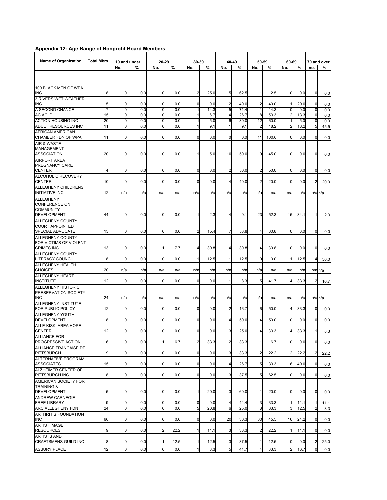## **Appendix 12: Age Range of Nonprofit Board Members**

| <b>Name of Organization</b>                                           | <b>Total Mbrs</b> |                     | 19 and under | 20-29          |      | 30-39          |      |                | 40-49 |                | 50-59 | 60-69          |      |                | 70 and over |
|-----------------------------------------------------------------------|-------------------|---------------------|--------------|----------------|------|----------------|------|----------------|-------|----------------|-------|----------------|------|----------------|-------------|
|                                                                       |                   | No.                 | %            | No.            | %    | No.            | %    | No.            | %     | No.            | %     | No.            | %    | no.            | %           |
|                                                                       |                   |                     |              |                |      |                |      |                |       |                |       |                |      |                |             |
| 100 BLACK MEN OF WPA<br><b>INC</b>                                    | 8                 | 0                   | 0.0          | $\mathbf 0$    | 0.0  | $\overline{c}$ | 25.0 | 5              | 62.5  | 1              | 12.5  | 0              | 0.0  | $\mathbf 0$    | 0.0         |
| 3 RIVERS WET WEATHER<br><b>INC</b>                                    | 5                 | 0                   | 0.0          | $\mathbf 0$    | 0.0  | $\mathbf 0$    | 0.0  | $\overline{c}$ | 40.0  | $\overline{a}$ | 40.0  | $\mathbf{1}$   | 20.0 | $\overline{0}$ | 0.0         |
| A SECOND CHANCE                                                       | 7                 | 0                   | 0.0          | ō              | 0.0  | 1              | 14.3 | 5              | 71.4  | 1              | 14.3  | $\mathbf 0$    | 0.0  | $\mathbf 0$    | 0.0         |
| <b>AC ACLD</b>                                                        | 15                | $\mathbf 0$         | 0.0          | O              | 0.0  | 1              | 6.7  | 4              | 26.7  | 8              | 53.3  | $\overline{c}$ | 13.3 | $\mathbf 0$    | 0.0         |
| <b>ACTION HOUSING INC</b>                                             | 20                | 0                   | 0.0          | $\mathbf 0$    | 0.0  |                | 5.0  | 6              | 30.0  | 12             | 60.0  | $\mathbf{1}$   | 5.0  | 0              | 0.0         |
| ADULT RESOURCES INC                                                   | 11                | 0                   | 0.0          | 0              | 0.0  |                | 9.1  | 1              | 9.1   | $\overline{2}$ | 18.2  | $\overline{2}$ | 18.2 | 5              | 45.5        |
| <b>AFRICAN AMERICAN</b>                                               |                   |                     |              |                |      |                |      |                |       |                |       |                |      |                |             |
| CHAMBER FDN OF WPA                                                    | 11                | 0                   | 0.0          | $\mathbf 0$    | 0.0  | 0              | 0.0  | 0              | 0.0   | 11             | 100.0 | 0              | 0.0  | 0              | 0.0         |
| <b>AIR &amp; WASTE</b><br><b>MANAGEMENT</b><br><b>ASSOCIATION</b>     | 20                | 0                   | 0.0          | $\mathbf 0$    | 0.0  |                | 5.0  | 10             | 50.0  | 9              | 45.0  | $\mathbf 0$    | 0.0  | 0              |             |
| <b>AIRPORT AREA</b>                                                   |                   |                     |              |                |      |                |      |                |       |                |       |                |      |                | 0.0         |
| <b>PREGNANCY CARE</b><br><b>CENTER</b>                                | 4                 | 0                   | 0.0          | 0              | 0.0  | $\mathbf 0$    | 0.0  | $\overline{c}$ | 50.0  | $\overline{c}$ | 50.0  | 0              | 0.0  | 0              | 0.0         |
| <b>ALCOHOLIC RECOVERY</b><br><b>CENTER</b>                            | 10                | 0                   | 0.0          | 0              | 0.0  | $\mathbf 0$    | 0.0  | 4              | 40.0  | $\overline{c}$ | 20.0  | 0              | 0.0  | 2              | 20.0        |
| ALLEGHENY CHILDRENS<br><b>INITIATIVE INC</b>                          | 12                | n/a                 | n/a          | n/a            | n/a  | n/a            | n/a  | n/a            | n/a   | n/a            | n/a   | n/a            | n/a  | $n/a$ $n/a$    |             |
| <b>ALLEGHENY</b><br><b>CONFERENCE ON</b><br><b>COMMUNITY</b>          |                   |                     |              |                |      |                |      |                |       |                |       |                |      |                |             |
| <b>DEVELOPMENT</b>                                                    | 44                | $\mathbf 0$         | 0.0          | $\mathbf 0$    | 0.0  | 1              | 2.3  | 4              | 9.1   | 23             | 52.3  | 15             | 34.1 | 1              | 2.3         |
| <b>ALLEGHENY COUNTY</b><br><b>COURT APPOINTED</b><br>SPECIAL ADVOCATE | 13                | 0                   | 0.0          | $\mathbf 0$    | 0.0  | $\overline{2}$ | 15.4 | $\overline{7}$ | 53.8  | 4              | 30.8  | $\mathbf 0$    | 0.0  | 0              | 0.0         |
| <b>ALLEGHENY COUNTY</b>                                               |                   |                     |              |                |      |                |      |                |       |                |       |                |      |                |             |
| FOR VICTIMS OF VIOLENT<br><b>CRIMES INC</b>                           | 13                | 0                   | 0.0          | $\mathbf{1}$   | 7.7  | 4              | 30.8 | 4              | 30.8  | 4              | 30.8  | 0              | 0.0  | 0              | 0.0         |
| <b>ALLEGHENY COUNTY</b>                                               |                   |                     |              |                |      |                |      |                |       |                |       |                |      |                |             |
| <b>LITERACY COUNCIL</b><br><b>ALLEGHENY HEALTH</b>                    | 8                 | 0                   | 0.0          | $\mathbf 0$    | 0.0  | $\mathbf{1}$   | 12.5 | 1              | 12.5  | $\overline{0}$ | 0.0   | $\mathbf{1}$   | 12.5 | 4              | 50.0        |
| <b>CHOICES</b>                                                        | 20                | n/a                 | n/a          | n/a            | n/a  | n/a            | n/a  | n/a            | n/a   | n/a            | n/a   | n/a            | n/a  | $n/a$ $n/a$    |             |
| <b>ALLEGHENY HEART</b><br><b>INSTITUTE</b>                            | 12                | 0                   | 0.0          | 0              | 0.0  | $\mathbf 0$    | 0.0  | $\mathbf 1$    | 8.3   | 5              | 41.7  | 4              | 33.3 | $\overline{2}$ | 16.7        |
| <b>ALLEGHENY HISTORIC</b><br>PRESERVATION SOCIETY                     |                   |                     |              |                |      |                |      |                |       |                |       |                |      |                |             |
| <b>INC</b>                                                            | 24                | n/a                 | n/a          | n/a            | n/a  | n/a            | n/a  | n/a            | n/a   | n/a            | n/a   | n/a            | n/a  | $n/a$ $n/a$    |             |
| ALLEGHENY INSTITUTE                                                   |                   |                     |              |                |      |                |      |                |       |                |       |                |      |                |             |
| FOR PUBLIC POLICY                                                     | 12                | 0                   | 0.0          | 0              | 0.0  | $\mathbf 0$    | 0.0  | $\overline{2}$ | 16.7  | 6              | 50.0  | 4              | 33.3 | 0              | 0.0         |
| <b>ALLEGHENY YOUTH</b><br><b>DEVELOPMENT</b>                          | 8                 | 0                   | 0.0          | 0              | 0.0  | $\mathbf 0$    | 0.0  | 4              | 50.0  | 4              | 50.0  | 0              | 0.0  | 0              | 0.0         |
| ALLE-KISKI AREA HOPE                                                  |                   |                     |              |                |      |                |      |                |       |                |       |                |      |                |             |
| <b>CENTER</b>                                                         | 12                | 0                   | 0.0          | $\mathbf 0$    | 0.0  | $\overline{0}$ | 0.0  | 3              | 25.0  | 4              | 33.3  | 4              | 33.3 | 1              | 8.3         |
| ALLIANCE FOR                                                          |                   |                     |              |                |      |                |      |                |       |                |       |                |      |                |             |
| PROGRESSIVE ACTION                                                    | 6                 | $\mathbf 0$         | 0.0          | $\mathbf{1}$   | 16.7 | $\overline{a}$ | 33.3 | $\overline{2}$ | 33.3  | $\mathbf{1}$   | 16.7  | $\mathbf 0$    | 0.0  | $\overline{0}$ | 0.0         |
| ALLIANCE FRANCAISE DE                                                 |                   |                     |              |                |      |                |      |                |       |                |       |                |      |                |             |
| <b>PITTSBURGH</b>                                                     | 9                 | $\mathbf 0$         | 0.0          | $\mathbf 0$    | 0.0  | $\overline{0}$ | 0.0  | 3              | 33.3  | $\overline{a}$ | 22.2  | $\overline{2}$ | 22.2 | $\overline{2}$ | 22.2        |
| ALTERNATIVE PROGRAM<br><b>ASSOCIATES</b>                              | 15                | 0                   | 0.0          | $\mathbf 0$    | 0.0  | $\overline{0}$ | 0.0  | $\overline{4}$ | 26.7  | 5              | 33.3  | 6              | 40.0 | $\overline{0}$ | 0.0         |
| ALZHEIMER CENTER OF                                                   |                   |                     |              |                |      |                |      |                |       |                |       |                |      |                |             |
| PITTSBURGH INC                                                        | 8                 | $\mathbf 0$         | 0.0          | $\mathbf 0$    | 0.0  | $\overline{0}$ | 0.0  | 3              | 37.5  | 5              | 62.5  | $\mathbf 0$    | 0.0  | $\overline{0}$ | 0.0         |
| AMERICAN SOCIETY FOR<br><b>TRAINING &amp;</b>                         |                   |                     |              |                |      |                |      |                |       |                |       |                |      |                |             |
| <b>DEVELOPMENT</b>                                                    | 5                 | $\mathbf 0$         | 0.0          | $\overline{0}$ | 0.0  | $\mathbf{1}$   | 20.0 | 3              | 60.0  | 1              | 20.0  | $\mathbf 0$    | 0.0  | $\mathbf 0$    | 0.0         |
| <b>ANDREW CARNEGIE</b><br><b>FREE LIBRARY</b>                         | 9                 | 0                   | 0.0          | 0              | 0.0  | $\overline{0}$ | 0.0  | 4              | 44.4  | 3              | 33.3  | 1              | 11.1 | 1              |             |
| ARC ALLEGHENY FDN                                                     | 24                | ō                   | 0.0          | O              | 0.0  | 5              | 20.8 | 6              | 25.0  | 8              | 33.3  | 3              | 12.5 | $\overline{2}$ | 11.1<br>8.3 |
| ARTHRITIS FOUNDATION                                                  |                   |                     |              |                |      |                |      |                |       |                |       |                |      |                |             |
| <b>INC</b>                                                            | 66                | $\mathbf 0$         | 0.0          | 0              | 0.0  | $\mathbf 0$    | 0.0  | 20             | 30.3  | 30             | 45.5  | 16             | 24.2 | 0              | 0.0         |
| <b>ARTIST IMAGE</b>                                                   |                   |                     |              |                |      |                |      |                |       |                |       |                |      |                |             |
| <b>RESOURCES</b>                                                      | 9                 | $\overline{0}$      | 0.0          | $\overline{a}$ | 22.2 | 1              | 11.1 | 3              | 33.3  | $\overline{c}$ | 22.2  | 1              | 11.1 | 0              | 0.0         |
| <b>ARTISTS AND</b><br>CRAFTSMENS GUILD INC                            | 8                 | 0                   | 0.0          | 1              | 12.5 | 1              | 12.5 | 3              | 37.5  | 1              | 12.5  | $\mathbf 0$    | 0.0  | 2              | 25.0        |
| <b>ASBURY PLACE</b>                                                   | 12                | $\mathsf{O}\xspace$ | 0.0          | $\mathbf 0$    | 0.0  | $\mathbf{1}$   | 8.3  | 5              | 41.7  | 4              | 33.3  | $\overline{2}$ | 16.7 | $\mathbf 0$    | 0.0         |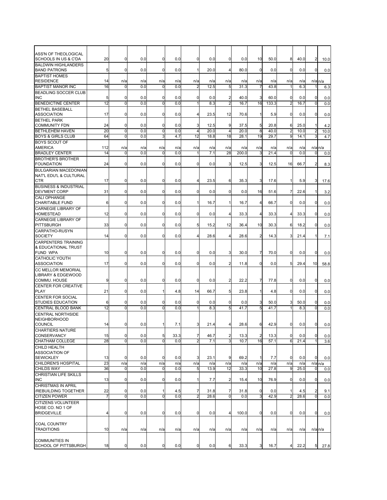| ASS'N OF THEOLOGICAL                   |                |             |     |                |      |                |      |                |       |                |       |                |      |                         |             |
|----------------------------------------|----------------|-------------|-----|----------------|------|----------------|------|----------------|-------|----------------|-------|----------------|------|-------------------------|-------------|
| SCHOOLS IN US & C'DA                   | 20             | $\mathbf 0$ | 0.0 | 0              | 0.0  | 0              | 0.0  | 0              | 0.0   | 10             | 50.0  | 8              | 40.0 | $\overline{2}$          |             |
|                                        |                |             |     |                |      |                |      |                |       |                |       |                |      |                         | 10.0        |
| <b>BALDWIN HIGHLANDERS</b>             |                |             |     |                |      |                |      |                |       |                |       |                |      |                         |             |
| <b>BAND PATRONS</b>                    | 5              | $\mathbf 0$ | 0.0 | $\mathbf 0$    | 0.0  | 1              | 20.0 | 4              | 80.0  | $\overline{0}$ | 0.0   | $\mathbf 0$    | 0.0  | $\mathbf 0$             | 0.0         |
| <b>BAPTIST HOMES</b>                   |                |             |     |                |      |                |      |                |       |                |       |                |      |                         |             |
| <b>RESIDENCE</b>                       | 14             | n/a         | n/a | n/a            | n/a  | n/a            | n/a  | n/a            | n/a   | n/a            | n/a   | n/a            | n/a  |                         | $n/a$ $n/a$ |
| <b>BAPTIST MANOR INC</b>               | 16             | $\Omega$    | 0.0 | $\mathbf 0$    | 0.0  | $\overline{2}$ | 12.5 | 5              | 31.3  | 7              | 43.8  |                | 6.3  |                         | 6.3         |
| <b>BEADLING SOCCER CLUB</b>            |                |             |     |                |      |                |      |                |       |                |       |                |      |                         |             |
|                                        |                |             |     |                |      |                |      |                |       |                |       |                |      |                         |             |
| <b>INC</b>                             | 5              | $\mathbf 0$ | 0.0 | $\mathbf 0$    | 0.0  | 0              | 0.0  | $\overline{2}$ | 40.0  | 3              | 60.0  | $\mathbf 0$    | 0.0  | 0                       | 0.0         |
| <b>BENEDICTINE CENTER</b>              | 12             | $\mathbf 0$ | 0.0 | O              | 0.0  | 1              | 8.3  | $\overline{2}$ | 16.7  | 16             | 133.3 | $\overline{2}$ | 16.7 | $\mathbf 0$             | 0.0         |
| <b>BETHEL BASEBALL</b>                 |                |             |     |                |      |                |      |                |       |                |       |                |      |                         |             |
| <b>ASSOCIATION</b>                     | 17             | $\mathbf 0$ | 0.0 | $\mathbf 0$    | 0.0  | 4              | 23.5 | 12             | 70.6  | 1              | 5.9   | 0              | 0.0  | $\mathbf 0$             | 0.0         |
| <b>BETHEL PARK</b>                     |                |             |     |                |      |                |      |                |       |                |       |                |      |                         |             |
| <b>COMMUNITY FDN</b>                   | 24             | $\mathbf 0$ | 0.0 | 0              | 0.0  | 3              | 12.5 | 9              | 37.5  | 5              | 20.8  | 6              | 25.0 | 1                       | 4.2         |
| <b>BETHLEHEM HAVEN</b>                 | 20             | ō           | 0.0 | ō              | 0.0  | 4              | 20.0 | $\overline{4}$ | 20.0  | 8              | 40.0  | $\overline{2}$ | 10.0 |                         |             |
|                                        |                |             |     |                |      |                |      |                |       |                |       |                |      | $\overline{c}$          | 10.0        |
| <b>BOYS &amp; GIRLS CLUB</b>           | 64             | $\mathbf 0$ | 0.0 | ω              | 4.7  | 12             | 18.8 | 18             | 28.1  | 19             | 29.7  | 9              | 14.1 | 3                       | 4.7         |
| <b>BOYS SCOUT OF</b>                   |                |             |     |                |      |                |      |                |       |                |       |                |      |                         |             |
| <b>AMERICA</b>                         | 112            | n/a         | n/a | n/a            | n/a  | n/a            | n/a  | n/a            | n/a   | n/a            | n/a   | n/a            | n/a  | $n/a$ <sub>n/a</sub>    |             |
| <b>BRADLEY CENTER</b>                  | 14             | $\mathbf 0$ | 0.0 | $\mathbf 0$    | 0.0  | 1              | 7.1  | 28             | 200.0 | 3              | 21.4  | 0              | 0.0  | $\mathbf 0$             | 0.0         |
| <b>BROTHER'S BROTHER</b>               |                |             |     |                |      |                |      |                |       |                |       |                |      |                         |             |
|                                        |                |             | 0.0 |                |      |                | 0.0  |                |       |                |       | 16             |      |                         |             |
| <b>FOUNDATION</b>                      | 24             | 0           |     | $\mathbf 0$    | 0.0  | 0              |      | 3              | 12.5  | 3              | 12.5  |                | 66.7 | $\overline{2}$          | 8.3         |
| <b>BULGARIAN MACEDONIAN</b>            |                |             |     |                |      |                |      |                |       |                |       |                |      |                         |             |
| NAT'L EDU'L & CULTURAL                 |                |             |     |                |      |                |      |                |       |                |       |                |      |                         |             |
| <b>CTR</b>                             | 17             | 0           | 0.0 | 0              | 0.0  | 4              | 23.5 | 6              | 35.3  | 3              | 17.6  | 1              | 5.9  | 3                       | 17.6        |
| <b>BUSINESS &amp; INDUSTRIAL</b>       |                |             |     |                |      |                |      |                |       |                |       |                |      |                         |             |
| <b>DEV'MENT CORP</b>                   | 31             | $\mathbf 0$ | 0.0 | 0              | 0.0  | 0              | 0.0  | 0              | 0.0   | 16             | 51.6  | 7              | 22.6 | 1                       | 3.2         |
| <b>CALI OPHANGE</b>                    |                |             |     |                |      |                |      |                |       |                |       |                |      |                         |             |
|                                        |                |             |     |                |      |                |      |                |       |                |       |                |      |                         |             |
| <b>CHARITABLE FUND</b>                 | 6              | $\mathbf 0$ | 0.0 | 0              | 0.0  | 1              | 16.7 | 1              | 16.7  | $\overline{4}$ | 66.7  | $\mathbf 0$    | 0.0  | $\mathbf 0$             | 0.0         |
| <b>CARNEGIE LIBRARY OF</b>             |                |             |     |                |      |                |      |                |       |                |       |                |      |                         |             |
| <b>HOMESTEAD</b>                       | 12             | $\mathbf 0$ | 0.0 | $\mathbf 0$    | 0.0  | 0              | 0.0  | 4              | 33.3  | $\overline{4}$ | 33.3  | 4              | 33.3 | $\mathbf 0$             | 0.0         |
| <b>CARNEGIE LIBRARY OF</b>             |                |             |     |                |      |                |      |                |       |                |       |                |      |                         |             |
| <b>PITTSBURGH</b>                      | 33             | $\mathbf 0$ | 0.0 | $\mathbf 0$    | 0.0  | 5              | 15.2 | 12             | 36.4  | 10             | 30.3  | 6              | 18.2 | $\mathbf 0$             | 0.0         |
|                                        |                |             |     |                |      |                |      |                |       |                |       |                |      |                         |             |
| CARPATHO-RUSYN                         |                |             |     |                |      |                |      |                |       |                |       |                |      |                         |             |
| <b>SOCIETY</b>                         | 14             | $\mathbf 0$ | 0.0 | $\mathbf 0$    | 0.0  | 4              | 28.6 | 4              | 28.6  | $\overline{2}$ | 14.3  | 3              | 21.4 | $\mathbf{1}$            | 7.1         |
| <b>CARPENTERS TRAINING</b>             |                |             |     |                |      |                |      |                |       |                |       |                |      |                         |             |
| & EDUCATIONAL TRUST                    |                |             |     |                |      |                |      |                |       |                |       |                |      |                         |             |
| FUND WPA                               | 10             | $\mathbf 0$ | 0.0 | $\mathbf 0$    | 0.0  | 0              | 0.0  | 3              | 30.0  | 7              | 70.0  | 0              | 0.0  | 0                       | 0.0         |
| CATHOLIC YOUTH                         |                |             |     |                |      |                |      |                |       |                |       |                |      |                         |             |
|                                        |                |             |     |                |      |                |      |                |       | $\overline{0}$ |       |                |      |                         |             |
| <b>ASSOCIATION</b>                     | 17             | $\mathbf 0$ | 0.0 | $\mathbf 0$    | 0.0  | 0              | 0.0  | $\overline{2}$ | 11.8  |                | 0.0   | 5              | 29.4 | 10                      | 58.8        |
| <b>CC MELLOR MEMORIAL</b>              |                |             |     |                |      |                |      |                |       |                |       |                |      |                         |             |
| LIBRARY & EDGEWOOD                     |                |             |     |                |      |                |      |                |       |                |       |                |      |                         |             |
| COMMU. HOUSE                           | 9              | $\mathbf 0$ | 0.0 | $\mathbf 0$    | 0.0  | 0              | 0.0  | $\overline{2}$ | 22.2  | 7              | 77.8  | $\mathbf 0$    | 0.0  | $\mathbf 0$             | 0.0         |
| CENTER FOR CREATIVE                    |                |             |     |                |      |                |      |                |       |                |       |                |      |                         |             |
| <b>PLAY</b>                            | 21             | $\mathbf 0$ | 0.0 | $\mathbf{1}$   | 4.8  | 14             | 66.7 | 5 <sub>l</sub> | 23.8  | 1              | 4.8   | 0              | 0.0  | $\mathbf 0$             | 0.0         |
|                                        |                |             |     |                |      |                |      |                |       |                |       |                |      |                         |             |
| CENTER FOR SOCIAL                      |                |             |     |                |      |                |      |                |       |                |       |                |      |                         |             |
| STUDIES EDUCATION                      | 6              | $\mathbf 0$ | 0.0 | 0              | 0.0  | 0              | 0.0  | $\mathbf 0$    | 0.0   | 3              | 50.0  | 3              | 50.0 | 0                       | 0.0         |
| <b>CENTRAL BLOOD BANK</b>              | 12             | $\mathbf 0$ | 0.0 | O              | 0.0  | 1              | 8.3  | 5              | 41.7  | G,             | 41.7  |                | 8.3  | 0                       | 0.0         |
| <b>CENTRAL NORTHSIDE</b>               |                |             |     |                |      |                |      |                |       |                |       |                |      |                         |             |
| <b>NEIGHBORHOOD</b>                    |                |             |     |                |      |                |      |                |       |                |       |                |      |                         |             |
| COUNCIL                                | 14             | $\mathbf 0$ | 0.0 | 1              | 7.1  | 3              | 21.4 | 4              | 28.6  | 6              | 42.9  | 0              | 0.0  | $\mathbf 0$             | 0.0         |
| <b>CHARTIERS NATURE</b>                |                |             |     |                |      |                |      |                |       |                |       |                |      |                         |             |
|                                        |                | 0           |     |                |      |                |      |                |       |                |       |                | 0.0  | $\mathbf 0$             |             |
| CONSERVANCY                            | 15             |             | 0.0 | $5 \,$         | 33.3 | 7              | 46.7 | $\overline{c}$ | 13.3  | $\overline{c}$ | 13.3  | 0              |      |                         | 0.0         |
| <b>CHATHAM COLLEGE</b>                 | 28             | $\mathbf 0$ | 0.0 | $\overline{0}$ | 0.0  | 2              | 7.1  | 3              | 10.7  | 16             | 57.1  | $\overline{6}$ | 21.4 |                         | 3.6         |
| CHILD HEALTH                           |                |             |     |                |      |                |      |                |       |                |       |                |      |                         |             |
| <b>ASSOCIATION OF</b>                  |                |             |     |                |      |                |      |                |       |                |       |                |      |                         |             |
| <b>SEWICKLEY</b>                       | 13             | $\mathbf 0$ | 0.0 | $\mathbf 0$    | 0.0  | 3              | 23.1 | 9              | 69.2  | $\mathbf 1$    | 7.7   | 0              | 0.0  | $\mathbf 0$             | 0.0         |
| CHILDREN'S HOSPITAL                    | 23             | n/a         | n/a | n/a            | n/a  | n/a            | n/a  | n/a            | n/a   | n/a            | n/a   | n/a            | n/a  |                         | $n/a$ $n/a$ |
| <b>CHILDS WAY</b>                      | 36             | $\mathbf 0$ | 0.0 | $\mathbf 0$    | 0.0  | 5              | 13.9 | 12             | 33.3  | 10             | 27.8  | 9              | 25.0 | $\overline{0}$          |             |
|                                        |                |             |     |                |      |                |      |                |       |                |       |                |      |                         | 0.0         |
| <b>CHRISTIAN LIFE SKILLS</b>           |                |             |     |                |      |                |      |                |       |                |       |                |      |                         |             |
| <b>INC</b>                             | 13             | $\mathbf 0$ | 0.0 | $\mathbf 0$    | 0.0  | 1              | 7.7  | $\overline{a}$ | 15.4  | 10             | 76.9  | 0              | 0.0  | $\mathbf 0$             | 0.0         |
| CHRISTMAS IN APRIL                     |                |             |     |                |      |                |      |                |       |                |       |                |      |                         |             |
| /REBUILDING TOGETHER                   | 22             | $\mathbf 0$ | 0.0 | $\mathbf{1}$   | 4.5  | 7              | 31.8 | 7              | 31.8  | $\overline{0}$ | 0.0   | 1              | 4.5  | $\overline{\mathbf{c}}$ | 9.1         |
| <b>CITIZEN POWER</b>                   | $\overline{7}$ | $\mathbf 0$ | 0.0 | $\mathbf 0$    | 0.0  | $\overline{2}$ | 28.6 | $\mathbf 0$    | 0.0   | 3              | 42.9  | $\overline{2}$ | 28.6 | $\mathbf 0$             | 0.0         |
|                                        |                |             |     |                |      |                |      |                |       |                |       |                |      |                         |             |
| CITIZENS VOLUNTEER<br>HOSE CO. NO 1 OF |                |             |     |                |      |                |      |                |       |                |       |                |      |                         |             |
|                                        |                |             |     |                |      |                |      |                |       |                |       |                |      |                         |             |
| <b>BRIDGEVILLE</b>                     | 4              | 0           | 0.0 | $\mathbf 0$    | 0.0  | $\mathbf 0$    | 0.0  | 4              | 100.0 | $\overline{0}$ | 0.0   | $\mathbf 0$    | 0.0  | $\mathbf 0$             | 0.0         |
|                                        |                |             |     |                |      |                |      |                |       |                |       |                |      |                         |             |
| <b>COAL COUNTRY</b>                    |                |             |     |                |      |                |      |                |       |                |       |                |      |                         |             |
| <b>TRADITIONS</b>                      | 10             | n/a         | n/a | n/a            | n/a  | n/a            | n/a  | n/a            | n/a   | n/a            | n/a   | n/a            | n/a  |                         | $n/a$ $n/a$ |
|                                        |                |             |     |                |      |                |      |                |       |                |       |                |      |                         |             |
|                                        |                |             |     |                |      |                |      |                |       |                |       |                |      |                         |             |
| <b>COMMUNITIES IN</b>                  |                |             |     |                |      |                |      |                |       |                |       |                |      |                         |             |
| SCHOOL OF PITTSBURGH                   | 18             | 0           | 0.0 | $\mathbf 0$    | 0.0  | 0              | 0.0  | 6              | 33.3  | 3              | 16.7  | 4              | 22.2 | 5                       | 27.8        |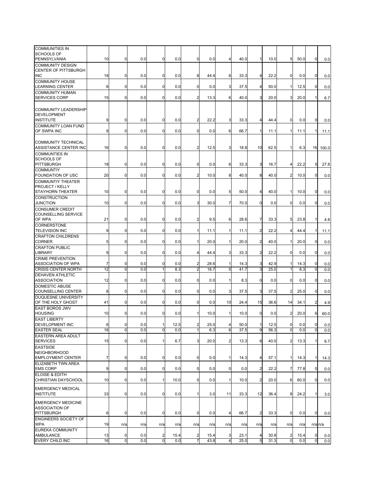| <b>COMMUNITIES IN</b><br><b>SCHOOLS OF</b>                       |    |                |     |                |      |                         |      |                         |      |                |      |                         |      |                |       |
|------------------------------------------------------------------|----|----------------|-----|----------------|------|-------------------------|------|-------------------------|------|----------------|------|-------------------------|------|----------------|-------|
| PENNSYLVANIA                                                     | 10 | $\mathbf 0$    | 0.0 | $\mathbf 0$    | 0.0  | 0                       | 0.0  | 4                       | 40.0 | 1              | 10.0 | 5                       | 50.0 | 0              | 0.0   |
| COMMUNITY DESIGN<br>CENTER OF PITTSBURGH                         |    |                |     |                |      |                         |      |                         |      |                |      |                         |      |                |       |
| <b>INC</b>                                                       | 18 | $\mathbf 0$    | 0.0 | $\mathbf 0$    | 0.0  | 8                       | 44.4 | 6                       | 33.3 | $\overline{4}$ | 22.2 | 0                       | 0.0  | $\mathbf 0$    | 0.0   |
| <b>COMMUNITY HOUSE</b><br>LEARNING CENTER                        | 8  | $\mathbf 0$    | 0.0 | $\mathbf 0$    | 0.0  | $\mathbf 0$             | 0.0  | 3                       | 37.5 | $\overline{4}$ | 50.0 | $\mathbf{1}$            | 12.5 | $\mathbf 0$    | 0.0   |
| COMMUNITY HUMAN                                                  |    |                |     |                |      |                         |      |                         |      |                |      |                         |      |                |       |
| <b>SERVICES CORP</b>                                             | 15 | $\mathbf 0$    | 0.0 | $\mathbf 0$    | 0.0  | 2                       | 13.3 | 6                       | 40.0 | 3              | 20.0 | 3                       | 20.0 |                | 6.7   |
| <b>COMMUNITY LEADERSHIP</b><br><b>DEVELOPMENT</b>                |    |                |     |                |      |                         |      |                         |      |                |      |                         |      |                |       |
| <b>INSTITUTE</b>                                                 | 9  | $\mathbf 0$    | 0.0 | $\mathbf 0$    | 0.0  | 2                       | 22.2 | 3                       | 33.3 | 4              | 44.4 | 0                       | 0.0  | $\mathbf 0$    | 0.0   |
| <b>COMMUNITY LOAN FUND</b>                                       |    |                |     |                |      |                         |      |                         |      |                |      |                         |      |                |       |
| OF SWPA INC                                                      | 9  | $\mathbf 0$    | 0.0 | $\mathbf 0$    | 0.0  | $\mathbf 0$             | 0.0  | 6                       | 66.7 | $\mathbf{1}$   | 11.1 | 1                       | 11.1 | -1             | 11.1  |
| COMMUNITY TECHNICAL                                              |    |                |     |                |      |                         |      |                         |      |                |      |                         |      |                |       |
| ASSISTANCE CENTER INC                                            | 16 | $\mathbf 0$    | 0.0 | $\mathbf 0$    | 0.0  | 2                       | 12.5 | 3                       | 18.8 | 10             | 62.5 | 1                       | 6.3  | 16             | 100.0 |
| <b>COMMUNTIES IN</b><br><b>SCHOOLS OF</b>                        |    |                |     |                |      |                         |      |                         |      |                |      |                         |      |                |       |
| PITTSBURGH                                                       | 18 | $\mathbf 0$    | 0.0 | $\mathbf 0$    | 0.0  | 0                       | 0.0  | 6                       | 33.3 | 3              | 16.7 | 4                       | 22.2 | 5              | 27.8  |
| <b>COMMUNTIY</b>                                                 |    |                |     |                |      |                         |      |                         |      |                |      |                         |      |                |       |
| FOUNDATION OF USC                                                | 20 | $\mathbf 0$    | 0.0 | $\mathbf 0$    | 0.0  | 2                       | 10.0 | 8                       | 40.0 | 8              | 40.0 | $\overline{2}$          | 10.0 | $\mathbf 0$    | 0.0   |
| <b>COMMUNTIY THEATER</b><br>PROJECT / KELLY                      |    |                |     |                |      |                         |      |                         |      |                |      |                         |      |                |       |
| STAYHORN THEATER                                                 | 10 | $\mathbf 0$    | 0.0 | $\mathbf 0$    | 0.0  | 0                       | 0.0  | 5                       | 50.0 | 4              | 40.0 | 1                       | 10.0 | $\mathbf 0$    | 0.0   |
| <b>CONSTRUCTION</b><br>JUNCTION                                  | 10 | $\mathbf 0$    | 0.0 | $\mathbf 0$    | 0.0  | 3                       | 30.0 | $\overline{7}$          | 70.0 | $\overline{0}$ | 0.0  | $\mathbf 0$             | 0.0  | 0              | 0.0   |
| <b>CONSUMER CREDIT</b>                                           |    |                |     |                |      |                         |      |                         |      |                |      |                         |      |                |       |
| COUNSELLING SERVICE<br>OF WPA                                    | 21 | $\mathbf 0$    | 0.0 | $\mathbf 0$    | 0.0  | $\overline{c}$          | 9.5  | 6                       | 28.6 | $\overline{7}$ | 33.3 | 5                       | 23.8 | 1              | 4.8   |
| <b>CORNERSTONE</b>                                               |    |                |     |                |      |                         |      |                         |      |                |      |                         |      |                |       |
| <b>TELEVISION INC</b>                                            | 9  | $\mathbf 0$    | 0.0 | $\overline{0}$ | 0.0  | 1                       | 11.1 | 1                       | 11.1 | $\overline{2}$ | 22.2 | $\overline{4}$          | 44.4 | 1              | 11.1  |
| <b>CRAFTON CHILDRENS</b><br><b>CORNER</b>                        | 5  | $\mathbf 0$    | 0.0 | $\overline{0}$ | 0.0  | 1                       | 20.0 | 1                       | 20.0 | $\overline{c}$ | 40.0 | 1                       | 20.0 | 0              | 0.0   |
| <b>CRAFTON PUBLIC</b><br>LIBRARY                                 | 9  | $\mathbf 0$    | 0.0 | $\overline{0}$ | 0.0  | 4                       | 44.4 | 3                       | 33.3 | $\overline{2}$ | 22.2 | $\mathbf 0$             | 0.0  | $\mathbf 0$    | 0.0   |
| <b>CRIME PREVENTION</b>                                          |    |                |     |                |      |                         |      |                         |      |                |      |                         |      |                |       |
| ASSOCIATION OF WPA                                               | 7  | $\mathbf 0$    | 0.0 | $\mathbf 0$    | 0.0  | 2                       | 28.6 | 1                       | 14.3 | 3              | 42.9 | 1                       | 14.3 | 0              | 0.0   |
| <b>CRISIS CENTER NORTH</b>                                       | 12 | $\mathbf 0$    | 0.0 | 1              | 8.3  | 2                       | 16.7 | 5                       | 41.7 | 3              | 25.0 | $\overline{1}$          | 8.3  | $\mathbf 0$    | 0.0   |
| <b>DEHAVEN ATHLETIC</b>                                          |    |                |     |                |      |                         |      |                         |      |                |      |                         |      |                |       |
| <b>ASSOCIATION</b>                                               | 12 | $\mathbf 0$    | 0.0 | $\overline{0}$ | 0.0  | 0                       | 0.0  | 1                       | 8.3  | $\mathbf 0$    | 0.0  | 0                       | 0.0  | 0              | 0.0   |
| <b>DOMESTIC ABUSE</b>                                            |    |                |     |                |      |                         |      |                         |      |                |      |                         |      |                |       |
| COUNSELLING CENTER                                               | 8  | $\mathbf 0$    | 0.0 | $\overline{0}$ | 0.0  | 0                       | 0.0  | 3                       | 37.5 | 3              | 37.5 | $\overline{\mathbf{c}}$ | 25.0 | 0              | 0.0   |
| DUQUESNE UNIVERSITY<br>OF THE HOLY GHOST                         | 41 | $\mathbf 0$    | 0.0 | $\mathbf 0$    | 0.0  | 0                       | 0.0  | 10                      | 24.4 | 15             | 36.6 | 14                      | 34.1 | $\overline{2}$ | 4.9   |
| EAST BOROS JWV                                                   |    |                |     |                |      |                         |      |                         |      |                |      |                         |      |                |       |
| <b>HOUSING</b>                                                   | 10 | 0              | 0.0 | $\mathbf 0$    | 0.0  | 1                       | 10.0 | 1                       | 10.0 | $\mathbf 0$    | 0.0  | 2                       | 20.0 | 6              | 60.0  |
| <b>EAST LIBERTY</b><br><b>DEVELOPMENT INC</b>                    | 8  | $\mathbf 0$    | 0.0 | 1              | 12.5 | $\overline{\mathbf{c}}$ | 25.0 | $\overline{4}$          | 50.0 | 1              | 12.5 | $\mathbf 0$             | 0.0  | $\overline{0}$ | 0.0   |
| <b>EASTER SEAL</b>                                               | 16 | $\overline{0}$ | 0.0 | $\overline{0}$ | 0.0  | 1                       | 6.3  | 6                       | 37.5 | 9              | 56.3 | 0                       | 0.0  | $\overline{0}$ | 0.0   |
| EASTERN AREA ADULT                                               |    |                |     |                |      |                         |      |                         |      |                |      |                         |      |                |       |
| <b>SERVICES</b>                                                  | 15 | $\mathbf 0$    | 0.0 | 1              | 6.7  | 3                       | 20.0 | $\overline{a}$          | 13.3 | 6              | 40.0 | $\overline{\mathbf{c}}$ | 13.3 | $\mathbf{1}$   | 6.7   |
| <b>EASTSIDE</b>                                                  |    |                |     |                |      |                         |      |                         |      |                |      |                         |      |                |       |
| <b>NEIGHBORHOOD</b>                                              |    |                |     |                |      |                         |      |                         |      |                |      |                         |      |                |       |
| <b>EMPLOYMENT CENTER</b>                                         | 7  | $\mathbf 0$    | 0.0 | $\overline{0}$ | 0.0  | $\mathbf 0$             | 0.0  | $\mathbf{1}$            | 14.3 | $\overline{4}$ | 57.1 | 1                       | 14.3 | 1              | 14.3  |
| ELIZABETH TWN AREA<br><b>EMS CORP</b>                            | 9  | $\mathbf 0$    | 0.0 | $\overline{0}$ | 0.0  | $\mathbf 0$             | 0.0  | $\mathbf 0$             | 0.0  | $\overline{2}$ | 22.2 | 7                       | 77.8 | $\overline{0}$ | 0.0   |
| ELOISE & EDITH                                                   |    |                |     |                |      |                         |      |                         |      |                |      |                         |      |                |       |
| CHRISTIAN DAYSCHOOL                                              | 10 | $\mathbf 0$    | 0.0 | 11             | 10.0 | $\mathbf 0$             | 0.0  | $\mathbf{1}$            | 10.0 | $\overline{2}$ | 20.0 | 6                       | 60.0 | $\mathbf 0$    | 0.0   |
| <b>EMERGENCY MEDICAL</b><br><b>INSTITUTE</b>                     | 33 | $\mathbf 0$    | 0.0 | $\overline{0}$ | 0.0  | 1                       | 3.0  | 11                      | 33.3 | 12             | 36.4 | 8                       | 24.2 | $\mathbf{1}$   | 3.0   |
|                                                                  |    |                |     |                |      |                         |      |                         |      |                |      |                         |      |                |       |
| <b>EMERGENCY MEDICINE</b><br>ASSOCIATION OF<br><b>PITTSBURGH</b> | 6  | $\mathbf 0$    | 0.0 | $\mathbf 0$    | 0.0  | $\mathbf 0$             | 0.0  | $\overline{4}$          | 66.7 | $\overline{2}$ | 33.3 | 0                       | 0.0  | $\mathbf 0$    | 0.0   |
| ENGINEERS SOCIETY OF                                             |    |                |     |                |      |                         |      |                         |      |                |      |                         |      |                |       |
| <b>WPA</b>                                                       | 19 | n/a            | n/a | n/a            | n/a  | n/a                     | n/a  | n/a                     | n/a  | n/a            | n/a  | n/a                     | n/a  | $n/a$ $n/a$    |       |
| EUREKA COMMUNITY<br>AMBULANCE                                    | 13 | $\mathbf 0$    | 0.0 | $\overline{a}$ | 15.4 | 2                       | 15.4 | 3                       | 23.1 | $\overline{4}$ | 30.8 | 2                       | 15.4 | 0              | 0.0   |
| EVERY CHILD INC                                                  | 16 | $\overline{0}$ | 0.0 | $\overline{0}$ | 0.0  | 7                       | 43.8 | $\overline{\mathbf{r}}$ | 25.0 | 5              | 31.3 | 0                       | 0.0  | $\overline{0}$ | 0.0   |
|                                                                  |    |                |     |                |      |                         |      |                         |      |                |      |                         |      |                |       |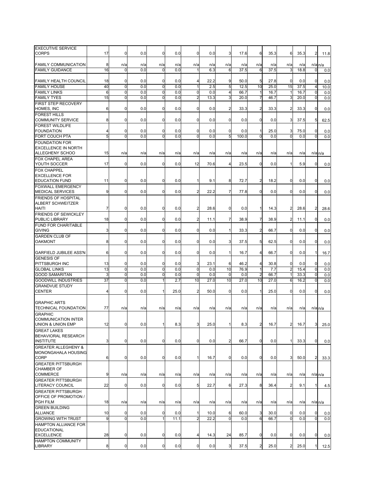| <b>EXECUTIVE SERVICE</b>       |                |                |     |                |      |                |      |                |       |                |      |                |      |                |             |
|--------------------------------|----------------|----------------|-----|----------------|------|----------------|------|----------------|-------|----------------|------|----------------|------|----------------|-------------|
| CORPS                          | 17             | $\mathbf 0$    | 0.0 | $\mathbf 0$    | 0.0  | 0              | 0.0  | 3              | 17.6  | 6              | 35.3 | 6              | 35.3 | 2              | 11.8        |
|                                |                |                |     |                |      |                |      |                |       |                |      |                |      |                |             |
|                                |                |                |     |                |      |                |      |                |       |                |      |                |      |                |             |
| <b>FAMILY COMMUNICATION</b>    | 8              | n/a            | n/a | n/a            | n/a  | n/a            | n/a  | n/a            | n/a   | n/a            | n/a  | n/a            | n/a  |                | $n/a$ $n/a$ |
| <b>FAMILY GUIDANCE</b>         | 16             | $\mathbf 0$    | 0.0 | $\mathbf 0$    | 0.0  | 1              | 6.3  | 6              | 37.5  | 6              | 37.5 | 3              | 18.8 | 0              | 0.0         |
|                                |                |                |     |                |      |                |      |                |       |                |      |                |      |                |             |
| FAMILY HEALTH COUNCIL          | 18             | 0              | 0.0 | 0              | 0.0  | 4              | 22.2 | 9              | 50.0  | 5              | 27.8 | $\mathbf 0$    | 0.0  | 0              | 0.0         |
| <b>FAMILY HOUSE</b>            | 40             | $\mathbf 0$    | 0.0 | 0              | 0.0  | 1              | 2.5  | 5              | 12.5  | 10             | 25.0 | 15             | 37.5 | 4              | 10.0        |
|                                |                |                |     |                |      |                |      |                |       |                |      |                |      |                |             |
| <b>FAMILY LINKS</b>            | 6              | 0              | 0.0 | 0              | 0.0  | 0              | 0.0  | 4              | 66.7  | 1              | 16.7 | $\mathbf 1$    | 16.7 | 0              | 0.0         |
| <b>FAMILY TYES</b>             | 15             | $\mathbf 0$    | 0.0 | $\mathbf 0$    | 0.0  | $\overline{2}$ | 13.3 | 3              | 20.0  |                | 46.7 | 3              | 20.0 | 0              | 0.0         |
| FIRST STEP RECOVERY            |                |                |     |                |      |                |      |                |       |                |      |                |      |                |             |
| HOMES, INC                     | 6              | 0              | 0.0 | 0              | 0.0  | 0              | 0.0  | $\overline{c}$ | 33.3  | 2              | 33.3 | $\overline{a}$ | 33.3 | 0              | 0.0         |
| <b>FOREST HILLS</b>            |                |                |     |                |      |                |      |                |       |                |      |                |      |                |             |
| <b>COMMUNITY SERVICE</b>       | 8              | 0              |     |                |      |                |      |                |       | 0              |      |                |      |                |             |
|                                |                |                | 0.0 | $\mathbf 0$    | 0.0  | 0              | 0.0  | 0              | 0.0   |                | 0.0  | 3              | 37.5 | 5              | 62.5        |
| <b>FOREST WILDLIFE</b>         |                |                |     |                |      |                |      |                |       |                |      |                |      |                |             |
| <b>FOUNDATION</b>              | 4              | 0              | 0.0 | $\mathbf 0$    | 0.0  | 0              | 0.0  | 0              | 0.0   | 1              | 25.0 | 3              | 75.0 | 0              | 0.0         |
| FORT COUCH PTA                 | 5              | $\mathbf 0$    | 0.0 | ō              | 0.0  | $\overline{0}$ | 0.0  | 5              | 100.0 | 0              | 0.0  | $\mathbf 0$    | 0.0  | $\mathbf 0$    | 0.0         |
| <b>FOUNDATION FOR</b>          |                |                |     |                |      |                |      |                |       |                |      |                |      |                |             |
|                                |                |                |     |                |      |                |      |                |       |                |      |                |      |                |             |
| <b>EXCELLENCE IN NORTH</b>     |                |                |     |                |      |                |      |                |       |                |      |                |      |                |             |
| ALLEGHENY SCHOO                | 15             | n/a            | n/a | n/a            | n/a  | n/a            | n/a  | n/a            | n/a   | n/a            | n/a  | n/a            | n/a  |                | n/a n/a     |
| <b>FOX CHAPEL AREA</b>         |                |                |     |                |      |                |      |                |       |                |      |                |      |                |             |
| YOUTH SOCCER                   | 17             | $\mathbf 0$    | 0.0 | $\mathbf 0$    | 0.0  | 12             | 70.6 | 4              | 23.5  | 0              | 0.0  | $\mathbf 1$    | 5.9  | 0              | 0.0         |
|                                |                |                |     |                |      |                |      |                |       |                |      |                |      |                |             |
| <b>FOX CHAPPEL</b>             |                |                |     |                |      |                |      |                |       |                |      |                |      |                |             |
| <b>EXCELLENCE FOR</b>          |                |                |     |                |      |                |      |                |       |                |      |                |      |                |             |
| <b>EDUCATION FUND</b>          | 11             | 0              | 0.0 | $\mathbf 0$    | 0.0  |                | 9.1  | 8              | 72.7  | 2              | 18.2 | $\overline{0}$ | 0.0  | 0              | 0.0         |
| <b>FOXWALL EMERGENCY</b>       |                |                |     |                |      |                |      |                |       |                |      |                |      |                |             |
| <b>MEDICAL SERVICES</b>        | 9              | $\mathbf 0$    | 0.0 | $\overline{0}$ | 0.0  | 2              | 22.2 | 7              | 77.8  | 0              | 0.0  | $\overline{0}$ | 0.0  | 0              | 0.0         |
| FRIENDS OF HOSPITAL            |                |                |     |                |      |                |      |                |       |                |      |                |      |                |             |
|                                |                |                |     |                |      |                |      |                |       |                |      |                |      |                |             |
| <b>ALBERT SCHWEITZER</b>       |                |                |     |                |      |                |      |                |       |                |      |                |      |                |             |
| HAITI                          | 7              | 0              | 0.0 | 0              | 0.0  | $\overline{2}$ | 28.6 | 0              | 0.0   | 1              | 14.3 | $\overline{2}$ | 28.6 | 2              | 28.6        |
| <b>FRIENDS OF SEWICKLEY</b>    |                |                |     |                |      |                |      |                |       |                |      |                |      |                |             |
| PUBLIC LIBRARY                 | 18             | 0              | 0.0 | $\mathbf 0$    | 0.0  | 2              | 11.1 | 7              | 38.9  | 7              | 38.9 | $\overline{2}$ | 11.1 | 0              | 0.0         |
| <b>FUND FOR CHARITABLE</b>     |                |                |     |                |      |                |      |                |       |                |      |                |      |                |             |
|                                |                |                |     |                |      |                |      |                |       |                |      |                |      |                |             |
| <b>GIVING</b>                  | 3              | 0              | 0.0 | 0              | 0.0  | $\mathbf 0$    | 0.0  | 1              | 33.3  | 2              | 66.7 | $\overline{0}$ | 0.0  | 0              | 0.0         |
| <b>GARDEN CLUB OF</b>          |                |                |     |                |      |                |      |                |       |                |      |                |      |                |             |
| OAKMONT                        | 8              | 0              | 0.0 | 0              | 0.0  | 0              | 0.0  | 3              | 37.5  | 5              | 62.5 | $\overline{0}$ | 0.0  | 0              | 0.0         |
|                                |                |                |     |                |      |                |      |                |       |                |      |                |      |                |             |
|                                | 6              |                |     |                |      | 0              |      |                |       |                |      |                |      |                |             |
| <b>GARFIELD JUBILEE ASS'N</b>  |                | 0              | 0.0 | $\mathbf 0$    | 0.0  |                | 0.0  | 1              | 16.7  | 4              | 66.7 | $\mathbf 0$    | 0.0  | 1              | 16.7        |
| <b>GENESIS OF</b>              |                |                |     |                |      |                |      |                |       |                |      |                |      |                |             |
| PITTSBURGH INC                 | 13             | $\mathbf 0$    | 0.0 | $\mathbf 0$    | 0.0  | 3              | 23.1 | 6              | 46.2  | 4              | 30.8 | $\mathbf 0$    | 0.0  | 0              | 0.0         |
| <b>GLOBAL LINKS</b>            | 13             | 0              | 0.0 | O              | 0.0  | 0              | 0.0  | 10             | 76.9  | 1              | 7.7  | $\overline{2}$ | 15.4 | 0              | 0.0         |
| <b>GOOD SAMARITAN</b>          | 3              | $\mathbf 0$    | 0.0 | ō              | 0.0  | $\mathbf 0$    | 0.0  | 0              | 0.0   | 2              | 66.7 |                | 33.3 | 0              | 0.0         |
|                                |                |                |     |                |      |                |      |                |       |                |      |                |      |                |             |
| <b>GOODWILL INDUSTRIES</b>     | 37             | 0              | 0.0 | 1              | 2.7  | 10             | 27.0 | 10             | 27.0  | 10             | 27.0 | 6              | 16.2 | 0              | 0.0         |
| <b>GRANDVUE STUDY</b>          |                |                |     |                |      |                |      |                |       |                |      |                |      |                |             |
| <b>CENTER</b>                  | $\overline{4}$ | 0              | 0.0 | 1              | 25.0 | 2              | 50.0 | 0              | 0.0   | 1              | 25.0 | $\overline{0}$ | 0.0  | 0              | 0.0         |
|                                |                |                |     |                |      |                |      |                |       |                |      |                |      |                |             |
|                                |                |                |     |                |      |                |      |                |       |                |      |                |      |                |             |
| <b>GRAPHIC ARTS</b>            |                |                |     |                |      |                |      |                |       |                |      |                |      |                |             |
| TECHNICAL FOUNDATION           | 77             | n/a            | n/a | n/a            | n/a  | n/a            | n/a  | n/a            | n/a   | n/a            | n/a  | n/a            | n/a  |                | n/a n/a     |
| <b>GRAPHIC</b>                 |                |                |     |                |      |                |      |                |       |                |      |                |      |                |             |
| COMMUNICATION INTER            |                |                |     |                |      |                |      |                |       |                |      |                |      |                |             |
| UNION & UNION EMP              | 12             | 0              | 0.0 | 1              | 8.3  | 3              | 25.0 |                | 8.3   | 2              | 16.7 | $\overline{a}$ | 16.7 | 3              | 25.0        |
|                                |                |                |     |                |      |                |      |                |       |                |      |                |      |                |             |
| <b>GREAT LAKES</b>             |                |                |     |                |      |                |      |                |       |                |      |                |      |                |             |
| BEHAVIORAL RESEARCH            |                |                |     |                |      |                |      |                |       |                |      |                |      |                |             |
| <b>INSTITUTE</b>               | 3              | 0              | 0.0 | 0              | 0.0  | $\overline{0}$ | 0.0  | $\overline{2}$ | 66.7  | $\overline{0}$ | 0.0  | $\mathbf{1}$   | 33.3 | $\mathbf 0$    | 0.0         |
| <b>GREATER ALLEGHENY &amp;</b> |                |                |     |                |      |                |      |                |       |                |      |                |      |                |             |
| MONONGAHALA HOUSING            |                |                |     |                |      |                |      |                |       |                |      |                |      |                |             |
| CORP                           |                | $\mathbf 0$    |     | $\overline{0}$ |      | $\mathbf{1}$   |      | $\mathbf 0$    |       | 0              | 0.0  |                |      |                |             |
|                                | 6              |                | 0.0 |                | 0.0  |                | 16.7 |                | 0.0   |                |      | 3              | 50.0 | $\overline{a}$ | 33.3        |
| <b>GREATER PITTSBURGH</b>      |                |                |     |                |      |                |      |                |       |                |      |                |      |                |             |
| <b>CHAMBER OF</b>              |                |                |     |                |      |                |      |                |       |                |      |                |      |                |             |
| <b>COMMERCE</b>                | 9              | n/a            | n/a | n/a            | n/a  | n/a            | n/a  | n/a            | n/a   | n/a            | n/a  | n/a            | n/a  |                | $n/a$ $n/a$ |
| <b>GREATER PITTSBURGH</b>      |                |                |     |                |      |                |      |                |       |                |      |                |      |                |             |
| <b>LITERACY COUNCIL</b>        | 22             | 0              | 0.0 | 0              | 0.0  | 5              | 22.7 | 6              | 27.3  | 8              | 36.4 | $\overline{a}$ | 9.1  |                |             |
|                                |                |                |     |                |      |                |      |                |       |                |      |                |      |                | 4.5         |
| <b>GREATER PITTSBURGH</b>      |                |                |     |                |      |                |      |                |       |                |      |                |      |                |             |
| OFFICE OF PROMOTION /          |                |                |     |                |      |                |      |                |       |                |      |                |      |                |             |
| PGH FILM                       | 18             | n/a            | n/a | n/a            | n/a  | n/a            | n/a  | n/a            | n/a   | n/a            | n/a  | n/a            | n/a  |                | $n/a$ $n/a$ |
| <b>GREEN BUILDING</b>          |                |                |     |                |      |                |      |                |       |                |      |                |      |                |             |
|                                |                |                |     |                |      |                |      |                |       |                |      |                |      |                |             |
| <b>ALLIANCE</b>                | 10             | $\mathbf 0$    | 0.0 | $\mathbf 0$    | 0.0  | 1              | 10.0 | 6              | 60.0  | 3              | 30.0 | $\mathbf 0$    | 0.0  | 0              | 0.0         |
| <b>GROWING WITH TRUST</b>      | 9              | $\overline{0}$ | 0.0 | $\overline{1}$ | 11.1 | $\overline{2}$ | 22.2 | $\Omega$       | 0.0   | 6              | 66.7 | $\mathbf 0$    | 0.0  | 0              | 0.0         |
| HAMPTON ALLIANCE FOR           |                |                |     |                |      |                |      |                |       |                |      |                |      |                |             |
| <b>EDUCATIONAL</b>             |                |                |     |                |      |                |      |                |       |                |      |                |      |                |             |
| <b>EXCELLENCE</b>              | 28             | $\mathbf 0$    | 0.0 | $\overline{0}$ | 0.0  | $\overline{4}$ | 14.3 | 24             | 85.7  | 0              | 0.0  | $\mathbf 0$    | 0.0  | 0              | 0.0         |
|                                |                |                |     |                |      |                |      |                |       |                |      |                |      |                |             |
| <b>HAMPTON COMMUNITY</b>       |                |                |     |                |      |                |      |                |       |                |      |                |      |                |             |
| LIBRARY                        | 8 <sub>l</sub> | $\overline{0}$ | 0.0 | $\overline{0}$ | 0.0  | $\mathbf 0$    | 0.0  | 3              | 37.5  | $\overline{2}$ | 25.0 | $\overline{2}$ | 25.0 | 1              | 12.5        |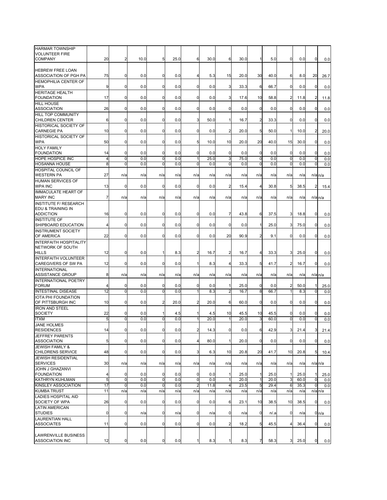| <b>HARMAR TOWNSHIP</b><br><b>VOLUNTEER FIRE</b><br>COMPANY | 20             | $\overline{2}$             | 10.0       | 5                  | 25.0       | 6                              | 30.0        | 6              | 30.0         | 1              | 5.0          | 0                | 0.0        | $\mathbf 0$             | 0.0                  |
|------------------------------------------------------------|----------------|----------------------------|------------|--------------------|------------|--------------------------------|-------------|----------------|--------------|----------------|--------------|------------------|------------|-------------------------|----------------------|
|                                                            |                |                            |            |                    |            |                                |             |                |              |                |              |                  |            |                         |                      |
| <b>HEBREW FREE LOAN</b><br><b>ASSOCIATION OF PGH PA</b>    | 75             | $\mathbf 0$                | 0.0        | $\mathbf 0$        | 0.0        | 4                              | 5.3         | 15             | 20.0         | 30             | 40.0         | 6                | 8.0        | 20                      | 26.7                 |
| <b>HEMOPHILIA CENTER OF</b><br><b>WPA</b>                  | 9              | $\mathbf 0$                | 0.0        | $\mathbf 0$        | 0.0        | $\overline{0}$                 | 0.0         | 3              | 33.3         | 6              | 66.7         | $\overline{0}$   | 0.0        | $\mathbf 0$             | 0.0                  |
| <b>HERITAGE HEALTH</b><br><b>FOUNDATION</b>                | 17             | $\mathbf 0$                | 0.0        | $\mathbf 0$        | 0.0        | 0                              | 0.0         | 3              | 17.6         | 10             | 58.8         | 2                | 11.8       | $\overline{2}$          | 11.8                 |
| <b>HILL HOUSE</b><br><b>ASSOCIATION</b>                    | 26             | $\mathbf 0$                | 0.0        | $\mathbf 0$        | 0.0        | 0                              | 0.0         | 0              | 0.0          | $\mathbf 0$    | 0.0          | $\mathbf 0$      | 0.0        | $\mathbf 0$             | 0.0                  |
| HILL TOP COMMUNITY<br><b>CHILDREN CENTER</b>               | 6              | $\mathbf 0$                | 0.0        | $\mathbf 0$        | 0.0        | 3                              | 50.0        | 1              | 16.7         | $\overline{c}$ | 33.3         | $\mathbf 0$      | 0.0        | $\mathbf 0$             | 0.0                  |
| <b>HISTORICAL SOCIETY OF</b><br><b>CARNEGIE PA</b>         | 10             | $\mathbf 0$                | 0.0        | 0                  | 0.0        | 0                              | 0.0         | 2              | 20.0         | 5              | 50.0         | 1                | 10.0       | $\overline{2}$          | 20.0                 |
| HISTORICAL SOCIETY OF<br>WPA                               | 50             | $\mathbf 0$                | 0.0        | $\mathbf 0$        | 0.0        | 5                              | 10.0        | 10             | 20.0         | 20             | 40.0         | 15               | 30.0       | 0                       | 0.0                  |
| <b>HOLY FAMILY</b><br><b>FOUNDATION</b>                    | 14             | $\mathbf 0$                | 0.0        | $\mathbf 0$        | 0.0        | $\mathbf 0$                    | 0.0         | $\mathbf 0$    | 0.0          | $\mathbf 0$    | 0.0          | $\mathbf 0$      | 0.0        | 0                       | 0.0                  |
| HOPE HOSPICE INC                                           | $\overline{4}$ | $\mathbf 0$                | 0.0        | $\mathbf 0$        | 0.0        | $\mathbf{1}$                   | 25.0        | 3              | 75.0         | 0              | 0.0          | 0                | 0.0        | 0                       | 0.0                  |
| <b>HOSANNA HOUSE</b>                                       | 8              | $\mathbf 0$                | 0.0        | ō                  | 0.0        | 0                              | 0.0         | $\Omega$       | 0.0          | 0              | 0.0          | 0                | 0.0        | 0                       | 0.0                  |
| HOSPITAL COUNCIL OF<br><b>WESTERN PA</b>                   | 27             | n/a                        | n/a        | n/a                | n/a        | n/a                            | n/a         | n/a            | n/a          | n/a            | n/a          | n/a              | n/a        | $n/a$ <sub>n/a</sub>    |                      |
| <b>HUMAN SERVICES OF</b><br><b>WPA INC</b>                 | 13             | $\mathbf 0$                | 0.0        | $\mathbf 0$        | 0.0        | 0                              | 0.0         | $\overline{2}$ | 15.4         | 4              | 30.8         | 5                | 38.5       | $\overline{2}$          | 15.4                 |
| <b>IMMACULATE HEART OF</b><br><b>MARY INC</b>              | $\overline{7}$ | n/a                        | n/a        | n/a                | n/a        | n/a                            | n/a         | n/a            | n/a          | n/a            | n/a          | n/a              | n/a        | $n/a$ $n/a$             |                      |
| <b>INSTITUTE F/ RESEARCH</b><br>EDU & TRAINING IN          |                |                            |            |                    |            |                                |             |                |              |                |              |                  |            |                         |                      |
| ADDICTION                                                  | 16             | $\mathbf 0$                | 0.0        | $\mathbf 0$        | 0.0        | 0                              | 0.0         | $\overline{7}$ | 43.8         | 6              | 37.5         | 3                | 18.8       | 0                       | 0.0                  |
| <b>INSTITUTE OF</b><br>SHIPBOARD EDUCATION                 | 4              | 0                          | 0.0        | $\mathbf 0$        | 0.0        | 0                              | 0.0         | $\Omega$       | 0.0          | 1              | 25.0         | 3                | 75.0       | $\mathbf 0$             | 0.0                  |
| <b>INSTRUMENT SOCIETY</b><br>OF AMERICA                    | 22             | $\mathbf 0$                | 0.0        | $\mathbf 0$        | 0.0        | $\mathbf{0}$                   | 0.0         | 20             | 90.9         | $\overline{2}$ | 9.1          | 0                | 0.0        | $\mathbf 0$             | 0.0                  |
| <b>INTERFAITH HOSPITALITY</b>                              |                |                            |            |                    |            |                                |             |                |              |                |              |                  |            |                         |                      |
| NETWORK OF SOUTH<br><b>HILLS</b>                           | 12             | $\mathbf 0$                | 0.0        | $\mathbf{1}$       | 8.3        | $\overline{c}$                 | 16.7        | $\overline{c}$ | 16.7         | 4              | 33.3         | 3                | 25.0       | $\mathbf 0$             | 0.0                  |
| <b>INTERFAITH VOLUNTEER</b><br>CAREGIVERS OF SW PA         | 12             | 0                          | 0.0        | $\mathbf 0$        | 0.0        | 1                              | 8.3         | 4              | 33.3         | 5              | 41.7         | $\overline{2}$   | 16.7       | 0                       | 0.0                  |
| <b>INTERNATIONAL</b><br>ASSISTANCE GROUP                   | 8              | n/a                        | n/a        | n/a                | n/a        | n/a                            | n/a         | n/a            | n/a          | n/a            | n/a          | n/a              | n/a        |                         | $n/a$ $n/a$          |
| INTERNATIONAL POETRY<br><b>FORUM</b>                       | 4              | 0                          | 0.0        | 0                  | 0.0        | 0                              | 0.0         |                | 25.0         | $\mathbf 0$    | 0.0          | $\overline{2}$   | 50.0       |                         | 25.0                 |
| <b>INTESTINAL DISEASE</b>                                  | 12             | $\mathbf 0$                | 0.0        | $\mathbf 0$        | 0.0        | 1                              | 8.3         | $\overline{2}$ | 16.7         | 8              | 66.7         | 1                | 8.3        | 0                       | 0.0                  |
| IOTA PHI FOUNDATION<br>OF PITTSBURGH INC                   | 10             | $\mathbf 0$                | 0.0        | $\overline{2}$     | 20.0       | $\overline{2}$                 | 20.0        | 6              | 60.0         | $\overline{0}$ | 0.0          | 0                | 0.0        | $\mathbf 0$             | 0.0                  |
| <b>IRON AND STEEL</b>                                      |                |                            |            |                    |            |                                |             |                |              |                |              |                  |            |                         |                      |
| <b>SOCIETY</b><br><b>ITXM</b>                              | 22<br>5        | $\mathbf 0$<br>$\mathbf 0$ | 0.0<br>0.0 | 1<br>$\mathbf 0$   | 4.5<br>0.0 | 1<br>1                         | 4.5<br>20.0 | 10<br>1        | 45.5<br>20.0 | 10<br>3        | 45.5<br>60.0 | 0<br>$\mathbf 0$ | 0.0<br>0.0 | $\mathbf 0$<br>$\Omega$ | 0.0<br>0.0           |
| <b>JANE HOLMES</b>                                         |                |                            |            |                    |            |                                |             |                |              |                |              |                  |            |                         |                      |
| <b>RESIDENCES</b><br><b>JEFFREY PARENTS</b>                | 14             | 0                          | 0.0        | $\overline{0}$     | 0.0        | $\overline{2}$                 | 14.3        | $\overline{0}$ | 0.0          | 6              | 42.9         | 3                | 21.4       | 3                       | 21.4                 |
| <b>ASSOCIATION</b>                                         | 5              | 0                          | 0.0        | $\mathbf 0$        | 0.0        | 4                              | 80.0        | $\mathbf{1}$   | 20.0         | $\overline{0}$ | 0.0          | $\overline{0}$   | 0.0        | $\mathbf 0$             | 0.0                  |
| <b>JEWISH FAMILY &amp;</b><br>CHILDRENS SERVICE            | 48             | $\mathbf 0$                | 0.0        | $\mathbf 0$        | 0.0        | 3                              | 6.3         | 10             | 20.8         | 20             | 41.7         | 10               | 20.8       | 5 <sub>l</sub>          | 10.4                 |
| <b>JEWISH RESIDENTIAL</b><br><b>SERVICES</b>               | 30             | n/a                        | n/a        | n/a                | n/a        | n/a                            | n/a         | n/a            | n/a          | n/a            | n/a          | n/a              | n/a        |                         | $n/a$ <sub>n/a</sub> |
| JOHN J GHAZANVI<br><b>FOUNDATION</b>                       | 4              | 0                          | 0.0        | 0                  | 0.0        | 0                              | 0.0         | 1              | 25.0         | $\mathbf{1}$   | 25.0         | 1                | 25.0       | 11                      | 25.0                 |
| KATHRYN KUHLMAN                                            | 5              | ō                          | 0.0        | ō                  | 0.0        | $\overline{\mathbf{0}}$        | 0.0         | 1              | 20.0         | $\mathbf{1}$   | 20.0         | 3                | 60.0       | $\mathbf 0$             | 0.0                  |
| KINSLEY ASSOCIATION<br><b>KUMBA TRUST</b>                  | 17<br>11       | $\mathbf 0$<br>n/a         | 0.0<br>n/a | $\mathbf 0$<br>n/a | 0.0<br>n/a | $\overline{\mathbf{c}}$<br>n/a | 11.8<br>n/a | 4<br>n/a       | 23.5<br>n/a  | 5<br>n/a       | 29.4<br>n/a  | 6<br>n/a         | 35.3       | $\mathbf 0$             | 0.0                  |
| LADIES HOSPITAL AID                                        |                |                            |            |                    |            |                                |             |                |              |                |              |                  | n/a        |                         | $n/a$ <sub>n/a</sub> |
| SOCIETY OF WPA<br><b>LATIN AMERICAN</b>                    | 26             | 0                          | 0.0        | $\mathbf 0$        | 0.0        | $\overline{0}$                 | 0.0         | 6              | 23.1         | 10             | 38.5         | 10               | 38.5       | $\mathbf 0$             | 0.0                  |
| <b>STUDIES</b>                                             | $\mathbf 0$    | $\mathbf 0$                | n/a        | $\mathbf 0$        | n/a        | $\overline{0}$                 | n/a         | $\mathbf 0$    | n/a          | $\overline{0}$ | n/a          | $\mathbf 0$      | n/a        |                         | 0 <sub>n/a</sub>     |
| <b>LAURENTIAN HALL</b><br><b>ASSOCIATES</b>                | 11             | $\mathbf 0$                | 0.0        | $\mathbf 0$        | 0.0        | $\mathbf{0}$                   | 0.0         | $\overline{2}$ | 18.2         | 5 <sub>l</sub> | 45.5         | 4                | 36.4       | $\overline{0}$          | 0.0                  |
| LAWRENVILLE BUSINESS                                       |                |                            |            |                    |            |                                |             |                |              |                |              |                  |            |                         |                      |
| <b>ASSOCIATION INC</b>                                     | 12             | $\mathbf 0$                | 0.0        | $\mathbf 0$        | 0.0        | $\mathbf{1}$                   | 8.3         | $\mathbf{1}$   | 8.3          | $\overline{7}$ | 58.3         | 3                | 25.0       | $\overline{0}$          | 0.0                  |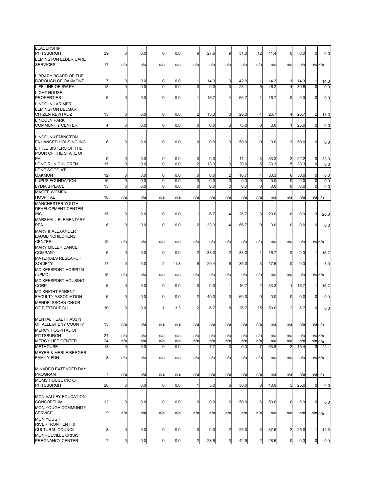| <b>LEADERSHIP</b><br><b>PITTSBURGH</b>               | 29                   | 0           | 0.0        | 0                   | 0.0        | 8              | 27.6        | 9              | 31.0         | 12             | 41.4         | 0                   | 0.0          | $\mathbf 0$    | 0.0         |
|------------------------------------------------------|----------------------|-------------|------------|---------------------|------------|----------------|-------------|----------------|--------------|----------------|--------------|---------------------|--------------|----------------|-------------|
| <b>LEMINGTON ELDER CARE</b>                          |                      |             |            |                     |            |                |             |                |              |                |              |                     |              |                |             |
| <b>SERVICES</b>                                      | 17                   | n/a         | n/a        | n/a                 | n/a        | n/a            | n/a         | n/a            | n/a          | n/a            | n/a          | n/a                 | n/a          | $n/a$ $n/a$    |             |
|                                                      |                      |             |            |                     |            |                |             |                |              |                |              |                     |              |                |             |
| LIBRARY BOARD OF THE                                 |                      |             |            |                     |            |                |             |                |              |                |              |                     |              |                |             |
| <b>BOROUGH OF OAKMONT</b><br>LIFE LINE OF SW PA      | $\overline{7}$<br>13 | 0<br>0      | 0.0<br>0.0 | 0<br>$\overline{0}$ | 0.0<br>0.0 | $\mathbf 0$    | 14.3<br>0.0 | 3<br>3         | 42.9<br>23.1 | 1<br>6         | 14.3<br>46.2 | 1<br>$\overline{4}$ | 14.3<br>30.8 | 0              | 14.3<br>0.0 |
| <b>LIGHT HOUSE</b>                                   |                      |             |            |                     |            |                |             |                |              |                |              |                     |              |                |             |
| <b>PROPERTIES</b>                                    | 6                    | 0           | 0.0        | 0                   | 0.0        | $\mathbf{1}$   | 16.7        | $\overline{4}$ | 66.7         | $\mathbf{1}$   | 16.7         | 0                   | 0.0          | $\mathbf 0$    | 0.0         |
| <b>LINCOLN LARIMER</b>                               |                      |             |            |                     |            |                |             |                |              |                |              |                     |              |                |             |
| <b>LEMINGTON BELMAR</b>                              |                      |             |            |                     |            |                |             |                |              |                |              |                     |              |                |             |
| <b>CITIZEN REVITALIZ</b>                             | 15                   | 0           | 0.0        | 0                   | 0.0        | $\overline{c}$ | 13.3        | 3              | 20.0         | 4              | 26.7         | 4                   | 26.7         | $\overline{2}$ | 13.3        |
| <b>LINCOLN PARK</b>                                  |                      |             |            |                     |            |                |             |                |              |                |              |                     |              |                |             |
| <b>COMMUNITY CENTER</b>                              | 4                    | 0           | 0.0        | $\mathbf 0$         | 0.0        | $\mathbf 0$    | 0.0         | $3 \mid$       | 75.0         | $\overline{0}$ | 0.0          | 1                   | 25.0         | $\mathbf 0$    | 0.0         |
| LINCOLN-LEMINGTON                                    |                      |             |            |                     |            |                |             |                |              |                |              |                     |              |                |             |
| <b>ENHANCED HOUSING INC</b>                          | 6                    | 0           | 0.0        | 0                   | 0.0        | 0              | 0.0         | 3              | 50.0         | $\overline{0}$ | 0.0          | 3                   | 50.0         | $\mathbf 0$    | 0.0         |
| LITTLE SISTERS OF THE                                |                      |             |            |                     |            |                |             |                |              |                |              |                     |              |                |             |
| POOR OF THE STATE OF                                 |                      |             |            |                     |            |                |             |                |              |                |              |                     |              |                |             |
| PA                                                   | 9                    | 0           | 0.0        | 0                   | 0.0        | 0              | 0.0         | 1              | 11.1         | 3              | 33.3         | 2                   | 22.2         | 3              | 33.3        |
| LONG RUN CHILDREN                                    | 15                   | 0           | 0.0        | 0                   | 0.0        | $\overline{2}$ | 13.3        | 3              | 20.0         | 5              | 33.3         | 5                   | 33.3         | $\mathbf 0$    | 0.0         |
| LONGWOOD AT<br><b>OAKMONT</b>                        |                      | 0           | 0.0        | 0                   | 0.0        | 0              | 0.0         | $\overline{c}$ |              | $\overline{4}$ | 33.3         | 6                   | 50.0         | 0              |             |
| <b>LUPUS FOUNDATION</b>                              | 12<br>16             | 0           | 0.0        | O                   | 0.0        | $\mathbf 0$    | 0.0         | $\mathbf 0$    | 16.7<br>0.0  | $\mathbf 0$    | 0.0          | $\mathbf 0$         | 0.0          | $\mathbf 0$    | 0.0<br>0.0  |
| <b>LYDIA'S PLACE</b>                                 | 15                   | 0           | 0.0        | 0                   | 0.0        | $\mathbf 0$    | 0.0         | $\mathbf 0$    | 0.0          | 0              | 0.0          | $\mathbf 0$         | 0.0          | $\mathbf 0$    | 0.0         |
| <b>MAGEE WOMEN</b>                                   |                      |             |            |                     |            |                |             |                |              |                |              |                     |              |                |             |
| <b>HOSPITAL</b>                                      | 18                   | n/a         | n/a        | n/a                 | n/a        | n/a            | n/a         | n/a            | n/a          | n/a            | n/a          | n/a                 | n/a          | $n/a$ $n/a$    |             |
| <b>MANCHESTER YOUTH</b>                              |                      |             |            |                     |            |                |             |                |              |                |              |                     |              |                |             |
| <b>DEVELOPMENT CENTER</b>                            |                      |             |            |                     |            |                |             |                |              |                |              |                     |              |                |             |
| <b>INC</b>                                           | 15                   | 0           | 0.0        | 0                   | 0.0        |                | 6.7         | 4              | 26.7         | 3              | 20.0         | 0                   | 0.0          | 3              | 20.0        |
| MARSHALL ELEMENTARY<br><b>PFA</b>                    | 6                    | 0           | 0.0        | 0                   | 0.0        | 2              | 33.3        | 4              | 66.7         | $\mathbf 0$    | 0.0          | 0                   | 0.0          | 0              | 0.0         |
| <b>MARY &amp; ALEXANDER</b>                          |                      |             |            |                     |            |                |             |                |              |                |              |                     |              |                |             |
| LAUGLINCHILDRENS                                     |                      |             |            |                     |            |                |             |                |              |                |              |                     |              |                |             |
| <b>CENTER</b>                                        | 19                   | n/a         | n/a        | n/a                 | n/a        | n/a            | n/a         | n/a            | n/a          | n/a            | n/a          | n/a                 | n/a          | $n/a$ $n/a$    |             |
| <b>MARY MILLER DANCE</b>                             |                      |             |            |                     |            |                |             |                |              |                |              |                     |              |                |             |
| <b>COMPANY</b>                                       | 6                    | 0           | 0.0        | 0                   | 0.0        | $\overline{c}$ | 33.3        | $\overline{2}$ | 33.3         | 1              | 16.7         | 0                   | 0.0          | 11             | 16.7        |
| <b>MATERIALS RESEARCH</b>                            |                      |             |            |                     |            |                |             |                |              |                |              |                     |              |                |             |
| <b>SOCIETY</b><br><b>MC KEESPORT HOSPITAL</b>        | 17                   | 0           | 0.0        | 2                   | 11.8       | 5              | 29.4        | 6              | 35.3         | 3              | 17.6         | 0                   | 0.0          | 1              | 5.9         |
| (UPMC)                                               | 15                   | n/a         | n/a        | n/a                 | n/a        | n/a            | n/a         | n/a            | n/a          | n/a            | n/a          | n/a                 | n/a          | $n/a$ $n/a$    |             |
| MC KEESPORT HOUSING                                  |                      |             |            |                     |            |                |             |                |              |                |              |                     |              |                |             |
| <b>CORP</b>                                          | 6                    | 0           | 0.0        | 0                   | 0.0        | 0              | 0.0         | 1              | 16.7         | $\overline{c}$ | 33.3         | 1                   | 16.7         |                | 16.7        |
| <b>MC KNIGHT PARENT</b>                              |                      |             |            |                     |            |                |             |                |              |                |              |                     |              |                |             |
| <b>FACULTY ASSOCIATION</b>                           | 5                    | 0           | 0.0        | 0                   | 0.0        | $\overline{c}$ | 40.0        | $3 \mid$       | 60.0         | $\mathbf 0$    | 0.0          | 0                   | 0.0          | $\mathbf 0$    | 0.0         |
| <b>MENDELSSOHN CHOIR</b>                             |                      |             |            |                     |            |                |             |                |              |                |              |                     |              |                |             |
| OF PITTSBURGH                                        | 30                   | 0           | 0.0        | 1                   | 3.3        | 2              | 6.7         | 8              | 26.7         | 15             | 50.0         | 2                   | 6.7          | $\mathbf 0$    | 0.0         |
| <b>MENTAL HEALTH ASS'N</b>                           |                      |             |            |                     |            |                |             |                |              |                |              |                     |              |                |             |
| OF ALLEGHENY COUNTY                                  | 13                   | n/a         | n/a        | n/a                 | n/a        | n/a            | n/a         | n/a            | n/a          | n/a            | n/a          | n/a                 | n/a          | $n/a$ $n/a$    |             |
| MERCY HOSPITAL OF                                    |                      |             |            |                     |            |                |             |                |              |                |              |                     |              |                |             |
| <b>PITTSBURGH</b>                                    | 24                   | n/a         | n/a        | n/a                 | n/a        | n/a            | n/a         | n/a            | n/a          | n/a            | n/a          | n/a                 | n/a          | $n/a$ $n/a$    |             |
| <b>MERCY LIFE CENTER</b>                             | 24                   | n/a         | n/a        | n/a                 | n/a        | n/a            | n/a         | n/a            | n/a          | n/a            | n/a          | n/a                 | n/a          |                | $n/a$ $n/a$ |
| <b>METHOUSE</b>                                      | 13                   | 0           | 0.0        | $\mathbf 0$         | 0.0        | $\mathbf{1}$   | 7.7         | $\mathbf 0$    | 0.0          | $\overline{7}$ | 53.8         | $\overline{2}$      | 15.4         | 3              | 23.1        |
| <b>MEYER &amp; MERLE BERGER</b><br><b>FAMILY FDN</b> | 8                    |             |            | n/a                 |            |                |             |                |              |                |              |                     |              |                |             |
|                                                      |                      | n/a         | n/a        |                     | n/a        | n/a            | n/a         | n/a            | n/a          | n/a            | n/a          | n/a                 | n/a          |                | $n/a$ $n/a$ |
| MINADEO EXTENDED DAY                                 |                      |             |            |                     |            |                |             |                |              |                |              |                     |              |                |             |
| <b>PROGRAM</b>                                       | $\overline{7}$       | n/a         | n/a        | n/a                 | n/a        | n/a            | n/a         | n/a            | n/a          | n/a            | n/a          | n/a                 | n/a          |                | $n/a$ $n/a$ |
| MOMS HOUSE INC OF                                    |                      |             |            |                     |            |                |             |                |              |                |              |                     |              |                |             |
| <b>PITTSBURGH</b>                                    | 20                   | 0           | 0.0        | 0                   | 0.0        | 1              | 5.0         | 6              | 30.0         | 8              | 40.0         | 5                   | 25.0         | $\mathbf 0$    | 0.0         |
|                                                      |                      |             |            |                     |            |                |             |                |              |                |              |                     |              |                |             |
| <b>MON VALLEY EDUCATION</b>                          |                      |             |            |                     |            |                |             |                |              |                |              |                     |              |                |             |
| <b>CONSORTIUM</b>                                    | 12                   | 0           | 0.0        | 0                   | 0.0        | $\mathbf 0$    | 0.0         | 6              | 50.0         | 6              | 50.0         | 0                   | 0.0          | $\mathbf 0$    | 0.0         |
| <b>MON YOUGH COMMUNITY</b><br><b>SERVICE</b>         | 9                    | n/a         | n/a        | n/a                 | n/a        | n/a            | n/a         | n/a            | n/a          | n/a            | n/a          | n/a                 | n/a          |                |             |
| <b>MON YOUGH</b>                                     |                      |             |            |                     |            |                |             |                |              |                |              |                     |              |                | $n/a$ $n/a$ |
| <b>RIVERFRONT ENT. &amp;</b>                         |                      |             |            |                     |            |                |             |                |              |                |              |                     |              |                |             |
| <b>CULTURAL COUNCIL</b>                              | 8                    | $\mathbf 0$ | 0.0        | 0                   | 0.0        | $\mathbf 0$    | 0.0         | $\overline{2}$ | 25.0         | 3              | 37.5         | $\overline{c}$      | 25.0         | 1              | 12.5        |
| MONROEVILLE CRISIS                                   |                      |             |            |                     |            |                |             |                |              |                |              |                     |              |                |             |
| PREGNANCY CENTER                                     | $\overline{7}$       | 0           | 0.0        | 0                   | 0.0        | $\overline{c}$ | 28.6        | $3 \mid$       | 42.9         | $\overline{a}$ | 28.6         | 0                   | 0.0          | $\overline{0}$ | 0.0         |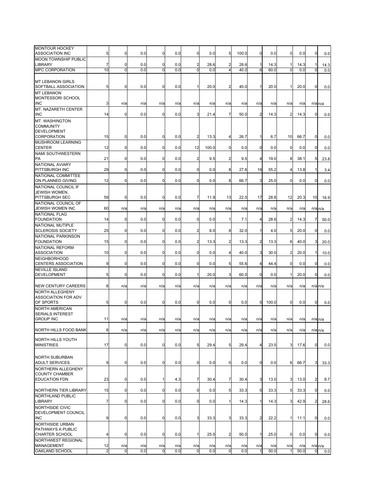| MONTOUR HOCKEY<br><b>ASSOCIATION INC</b>                            | 5                    | 0                  | 0.0        | 0                | 0.0        | 0                     | 0.0        | 5                     | 100.0      | 0           | 0.0         | $\mathbf{0}$    | 0.0         | 0              | 0.0                         |
|---------------------------------------------------------------------|----------------------|--------------------|------------|------------------|------------|-----------------------|------------|-----------------------|------------|-------------|-------------|-----------------|-------------|----------------|-----------------------------|
| MOON TOWNSHIP PUBLIC                                                |                      |                    |            |                  |            |                       |            |                       |            |             |             |                 |             |                |                             |
| <b>LIBRARY</b>                                                      | $\overline{7}$       | 0                  | 0.0        | $\overline{0}$   | 0.0        | $\overline{2}$        | 28.6       | $\overline{2}$        | 28.6       | 1           | 14.3        | 1               | 14.3        | 1              | 14.3                        |
| <b>MPC CORPORATION</b>                                              | 10                   | O                  | 0.0        | ō                | 0.0        | $\Omega$              | 0.0        |                       | 40.0       | 6           | 60.0        | $\Omega$        | 0.0         |                | 0.0                         |
| <b>MT LEBANON GIRLS</b><br>SOFTBALL ASSOCIATION                     | 5                    | 0                  | 0.0        | $\pmb{0}$        | 0.0        | 1                     | 20.0       | $\overline{2}$        | 40.0       | 1           | 20.0        | $\mathbf{1}$    | 20.0        | 0              | 0.0                         |
| <b>MT LEBANON</b><br>MONTESSORI SCHOOL<br><b>INC</b>                | 3                    | n/a                | n/a        | n/a              | n/a        | n/a                   | n/a        | n/a                   | n/a        | n/a         | n/a         | n/a             | n/a         |                | $n/a$ $n/a$                 |
| <b>MT. NAZARETH CENTER</b>                                          |                      |                    |            |                  |            |                       |            |                       |            |             |             |                 |             |                |                             |
| <b>INC</b><br>MT. WASHINGTON                                        | 14                   | 0                  | 0.0        | $\overline{0}$   | 0.0        | 3                     | 21.4       | $\overline{7}$        | 50.0       | 2           | 14.3        | $\overline{2}$  | 14.3        | 0              | 0.0                         |
| <b>COMMUNITY</b><br><b>DEVELOPMENT</b><br><b>CORPORATION</b>        | 15                   | 0                  | 0.0        | $\overline{0}$   | 0.0        | $\overline{2}$        | 13.3       | 4                     | 26.7       | 1           | 6.7         | 10 <sup>1</sup> | 66.7        | $\mathbf 0$    | 0.0                         |
| MUSHROOM LEARNING                                                   |                      |                    |            |                  |            |                       |            |                       |            |             |             |                 |             |                |                             |
| <b>CENTER</b><br><b>NAMI SOUTHWESTERN</b>                           | 12                   | 0                  | 0.0        | $\overline{0}$   | 0.0        | 12                    | 100.0      | $\overline{0}$        | 0.0        | 0           | 0.0         | $\overline{0}$  | 0.0         | 0              | 0.0                         |
| PA<br><b>NATIONAL AVIARY</b>                                        | 21                   | 0                  | 0.0        | $\overline{0}$   | 0.0        | $\overline{2}$        | 9.5        | $\overline{2}$        | 9.5        | 4           | 19.0        | 8               | 38.1        | 5              | 23.8                        |
| PITTSBURGH INC                                                      | 29                   | 0                  | 0.0        | $\overline{0}$   | 0.0        | 0                     | 0.0        | 8                     | 27.6       | 16          | 55.2        | $\overline{4}$  | 13.8        | 1              | 3.4                         |
| NATIONAL COMMITTEE<br>ON PLANNED GIVING                             | 12                   | 0                  | 0.0        | $\overline{0}$   | 0.0        | $\mathbf 0$           | 0.0        | 8                     | 66.7       | 3           | 25.0        | $\mathbf{0}$    | 0.0         | 0              | 0.0                         |
| NATIONAL COUNCIL IF<br>JEWISH WOMEN.<br>PITTSBURGH SEC              | 59                   | 0                  | 0.0        | $\mathbf 0$      | 0.0        | 7                     | 11.9       | 13                    | 22.0       | 17          | 28.8        | 12              | 20.3        | 10             | 16.9                        |
| NATIONAL COUNCIL OF<br>JEWISH WOMEN INC                             | 60                   | n/a                | n/a        | n/a              | n/a        | n/a                   | n/a        | n/a                   | n/a        | n/a         | n/a         | n/a             | n/a         |                | $n/a$ <sub>n/a</sub>        |
| NATIONAL FLAG<br><b>FOUNDATION</b>                                  | 14                   | 0                  | 0.0        | $\mathbf 0$      | 0.0        | 0                     | 0.0        | 1                     | 7.1        | 4           | 28.6        | $\overline{2}$  | 14.3        | 7              | 50.0                        |
| <b>NATIONAL MUTIPLE</b>                                             |                      |                    |            |                  |            |                       |            |                       |            |             |             |                 |             |                |                             |
| <b>SCLEROSIS SOCIETY</b><br>NATIONAL PARKINSON                      | 25                   | 0                  | 0.0        | $\overline{0}$   | 0.0        | $\overline{c}$        | 8.0        | 8                     | 32.0       | 1           | 4.0         | 5               | 20.0        | 0              | 0.0                         |
| <b>FOUNDATION</b><br>NATIONAL REFORM                                | 15                   | 0                  | 0.0        | $\overline{0}$   | 0.0        | $\overline{2}$        | 13.3       | $\overline{2}$        | 13.3       | 2           | 13.3        | 6               | 40.0        | 3              | 20.0                        |
| <b>ASSOCIATION</b>                                                  | 10                   | 0                  | 0.0        | $\overline{0}$   | 0.0        | $\mathbf 0$           | 0.0        | $\overline{4}$        | 40.0       | 3           | 30.0        | $\overline{2}$  | 20.0        | 1              | 10.0                        |
| <b>NEIGHBORHOOD</b><br>CENTERS ASSOCIATION                          | 9                    | 0                  | 0.0        | $\mathbf 0$      | 0.0        | 0                     | 0.0        | 5                     | 55.6       | 4           | 44.4        | $\overline{0}$  | 0.0         | 0              | 0.0                         |
| <b>NEVILLE ISLAND</b><br><b>DEVELOPMENT</b>                         | 5 <sub>5</sub>       | 0                  | 0.0        | $\overline{0}$   | 0.0        | $\mathbf{1}$          | 20.0       | $\overline{3}$        | 60.0       | 0           | 0.0         | $\mathbf{1}$    | 20.0        | 0              | 0.0                         |
| <b>NEW CENTURY CAREERS</b>                                          | 8                    | n/a                | n/a        | n/a              | n/a        | n/a                   | n/a        | n/a                   | n/a        | n/a         | n/a         | n/a             | n/a         |                | $n/a$ $n/a$                 |
| NORTH ALLEGHENY<br>ASSOCIATION FOR ADV                              |                      |                    |            |                  |            |                       |            |                       |            |             |             |                 |             |                |                             |
| OF SPORTS<br>NORTH AMERICAN                                         | 5                    | $\mathbf 0$        | 0.0        | $\mathbf 0$      | 0.0        | 0                     | 0.0        | $\mathbf 0$           | 0.0        | 5           | 100.0       | $\overline{0}$  | 0.0         | 0              | 0.0                         |
| <b>SERIALS INTEREST</b><br><b>GROUP INC</b>                         | 11                   | n/a                | n/a        | n/a              | n/a        | n/a                   | n/a        | n/a                   | n/a        | n/a         | n/a         | n/a             | n/a         |                | $n/a$ $n/a$                 |
| NORTH HILLS FOOD BANK                                               | 8 <sub>l</sub>       | n/a                | n/a        | n/a              | n/a        | n/a                   | n/a        | n/a                   | n/a        | n/a         | n/a         | n/a             | n/a         |                | $n/a$ $n/a$                 |
| NORTH HILLS YOUTH<br><b>MINISTRIES</b>                              | 17                   | 0                  | 0.0        | $\overline{0}$   | 0.0        | 5                     | 29.4       | 5 <sub>5</sub>        | 29.4       | 4           | 23.5        | 3 <sup>1</sup>  | 17.6        | $\mathbf 0$    | 0.0                         |
| NORTH SUBURBAN<br><b>ADULT SERVICES</b>                             | 9                    | 0                  | 0.0        | $\mathbf 0$      | 0.0        | $\mathbf 0$           | 0.0        | $\overline{0}$        | 0.0        | $\mathbf 0$ | 0.0         | 6               | 66.7        | 3              | 33.3                        |
| NORTHERN ALLEGHENY<br><b>COUNTY CHAMBER</b><br><b>EDUCATION FDN</b> | 23                   | 0                  | 0.0        |                  | 4.3        | 7                     | 30.4       | 7                     | 30.4       | 3           | 13.0        | 3               | 13.0        | $\overline{a}$ |                             |
|                                                                     |                      |                    |            | $\mathbf{1}$     |            |                       |            |                       |            |             |             |                 |             |                | 8.7                         |
| NORTHERN TIER LIBRARY<br>NORTHLAND PUBLIC                           | 15                   | 0                  | 0.0        | $\overline{0}$   | 0.0        | $\mathbf 0$           | 0.0        | 5                     | 33.3       | 5           | 33.3        | $5 \mid$        | 33.3        | $\mathbf 0$    | 0.0                         |
| <b>LIBRARY</b>                                                      | $\overline{7}$       | 0                  | 0.0        | $\pmb{0}$        | 0.0        | $\mathbf 0$           | 0.0        | 1                     | 14.3       | 1           | 14.3        | 3 <sup>1</sup>  | 42.9        | $\overline{2}$ | 28.6                        |
| NORTHSIDE CIVIC<br>DEVELOPMENT COUNCIL<br><b>INC</b>                | 9                    | 0                  | 0.0        | $\overline{0}$   | 0.0        | $\mathbf{3}$          | 33.3       | $3 \mid$              | 33.3       | 2           | 22.2        | $\mathbf{1}$    | 11.1        | 0              | 0.0                         |
| NORTHSIDE URBAN<br>PATHWAYS A PUBLIC<br>CHARTER SCHOOL              | $\overline{4}$       | $\mathbf 0$        | 0.0        | $\overline{0}$   | 0.0        | $\mathbf 1$           | 25.0       | $\overline{2}$        | 50.0       | 1           | 25.0        | $\mathbf 0$     | 0.0         | $\mathbf 0$    | 0.0                         |
| NORTHWEST REGIONAL                                                  |                      |                    |            |                  |            |                       |            |                       |            |             |             |                 |             |                |                             |
| MANAGEMENT<br><b>OAKLAND SCHOOL</b>                                 | 12<br>$\overline{2}$ | n/a<br>$\mathbf 0$ | n/a<br>0.0 | n/a<br>$\pmb{0}$ | n/a<br>0.0 | n/a<br>$\overline{0}$ | n/a<br>0.0 | n/a<br>$\overline{0}$ | n/a<br>0.0 | n/a<br>1    | n/a<br>50.0 | n/a             | n/a<br>50.0 | $\overline{0}$ | $n/a$ <sub>n/a</sub><br>0.0 |
|                                                                     |                      |                    |            |                  |            |                       |            |                       |            |             |             |                 |             |                |                             |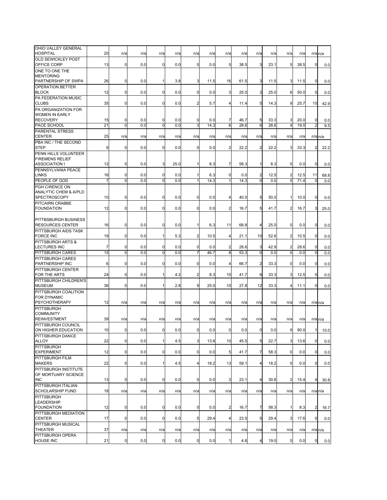| OHIO VALLEY GENERAL<br><b>HOSPITAL</b>                  | 20       | n/a                        | n/a        | n/a                 | n/a        | n/a              | n/a         | n/a                     | n/a          | n/a                 | n/a          | n/a                 | n/a          |                               | $n/a$ <sub>n/a</sub> |
|---------------------------------------------------------|----------|----------------------------|------------|---------------------|------------|------------------|-------------|-------------------------|--------------|---------------------|--------------|---------------------|--------------|-------------------------------|----------------------|
| <b>OLD SEWICKLEY POST</b>                               |          |                            |            |                     |            |                  |             |                         |              |                     |              |                     |              |                               |                      |
| OFFICE CORP<br>ONE TO ONE THE                           | 13       | $\mathbf 0$                | 0.0        | $\mathbf 0$         | 0.0        | 0                | 0.0         | 5                       | 38.5         | 3                   | 23.1         | 5                   | 38.5         | $\mathbf 0$                   | 0.0                  |
| <b>MENTORING</b>                                        |          |                            |            |                     |            |                  |             |                         |              |                     |              |                     |              |                               |                      |
| PARTNERSHIP OF SWPA<br><b>OPERATION BETTER</b>          | 26       | 0                          | 0.0        | $\mathbf{1}$        | 3.8        | 3                | 11.5        | 16                      | 61.5         | 3                   | 11.5         | 3                   | 11.5         | $\mathbf 0$                   | 0.0                  |
| <b>BLOCK</b>                                            | 12       | $\mathbf 0$                | 0.0        | $\overline{0}$      | 0.0        | 0                | 0.0         | 3                       | 25.0         | $3 \mid$            | 25.0         | 6                   | 50.0         | $\mathbf 0$                   | 0.0                  |
| PA FEDERATION MUSIC                                     |          | $\mathbf 0$                | 0.0        | $\mathbf 0$         | 0.0        |                  |             | $\overline{\mathbf{4}}$ |              | 5                   |              | 9                   |              |                               |                      |
| <b>CLUBS</b><br>PA ORGANIZATION FOR                     | 35       |                            |            |                     |            | $\overline{2}$   | 5.7         |                         | 11.4         |                     | 14.3         |                     | 25.7         | 15                            | 42.9                 |
| <b>WOMEN IN EARLY</b>                                   |          |                            |            |                     |            |                  |             |                         |              |                     |              |                     |              |                               |                      |
| <b>RECOVERY</b><br>PACE SCHOOL                          | 15<br>21 | $\mathbf 0$<br>0           | 0.0<br>0.0 | 0<br>$\mathbf 0$    | 0.0<br>0.0 | 0<br>3           | 0.0<br>14.3 | 7<br>6                  | 46.7<br>28.6 | 5<br>6              | 33.3<br>28.6 | 3<br>$\overline{4}$ | 20.0<br>19.0 | $\mathbf 0$<br>$\overline{2}$ | 0.0<br>9.5           |
| PARENTAL STRESS                                         |          |                            |            |                     |            |                  |             |                         |              |                     |              |                     |              |                               |                      |
| <b>CENTER</b><br>PBA INC / THE SECOND                   | 25       | n/a                        | n/a        | n/a                 | n/a        | n/a              | n/a         | n/a                     | n/a          | n/a                 | n/a          | n/a                 | n/a          |                               | $n/a$ $n/a$          |
| <b>STEP</b>                                             | 9        | $\mathbf 0$                | 0.0        | $\mathbf 0$         | 0.0        | $\mathbf 0$      | 0.0         | $\overline{2}$          | 22.2         | $\overline{2}$      | 22.2         | 3                   | 33.3         | $\overline{2}$                | 22.2                 |
| PENN HILLS VOLUNTEER<br><b>FIREMENS RELIEF</b>          |          |                            |            |                     |            |                  |             |                         |              |                     |              |                     |              |                               |                      |
| <b>ASSOCIATION I</b>                                    | 12       | $\mathbf 0$                | 0.0        | 3                   | 25.0       | 1                | 8.3         | 7                       | 58.3         | 1                   | 8.3          | $\mathbf 0$         | 0.0          | $\mathbf 0$                   | 0.0                  |
| PENNSYLVANIA PEACE                                      |          |                            |            |                     |            |                  |             |                         |              |                     |              |                     |              |                               |                      |
| <b>LINKS</b><br>PEOPLE OF GOD                           | 16<br>7  | 0<br>$\mathbf 0$           | 0.0<br>0.0 | $\mathbf 0$<br>ō    | 0.0<br>0.0 | 1<br>1           | 6.3<br>14.3 | 0<br>$\mathbf{1}$       | 0.0<br>14.3  | $\overline{2}$<br>ō | 12.5<br>0.0  | $\overline{2}$<br>5 | 12.5<br>71.4 | 11<br>0                       | 68.8<br>0.0          |
| PGH C/RENCE ON                                          |          |                            |            |                     |            |                  |             |                         |              |                     |              |                     |              |                               |                      |
| <b>ANALYTIC CHEM &amp; A/PLD</b><br><b>SPECTROSCOPY</b> | 10       | $\mathbf 0$                | 0.0        | $\mathbf 0$         | 0.0        | $\mathbf 0$      | 0.0         | $\overline{4}$          | 40.0         | 5                   | 50.0         | $\mathbf{1}$        | 10.0         | $\mathbf 0$                   | 0.0                  |
| PITCAIRN CRABBE                                         |          |                            |            |                     |            |                  |             |                         |              |                     |              |                     |              |                               |                      |
| <b>FOUNDATION</b>                                       | 12       | $\mathbf 0$                | 0.0        | $\mathbf 0$         | 0.0        | 0                | 0.0         | $\overline{2}$          | 16.7         | 5                   | 41.7         | $\overline{a}$      | 16.7         | 3                             | 25.0                 |
| PITTBSBURGH BUSINESS                                    |          |                            |            |                     |            |                  |             |                         |              |                     |              |                     |              |                               |                      |
| <b>RESOURCES CENTER</b>                                 | 16       | $\Omega$                   | 0.0        | $\mathbf 0$         | 0.0        | $\mathbf{1}$     | 6.3         | 11                      | 68.8         | $\overline{4}$      | 25.0         | $\mathbf 0$         | 0.0          | $\mathbf 0$                   | 0.0                  |
| PITTSBURGH AIDS TASK<br><b>FORCE INC</b>                | 19       | $\mathbf 0$                | 0.0        | $\mathbf{1}$        | 5.3        | $\overline{2}$   | 10.5        | $\overline{\mathbf{4}}$ | 21.1         | 10                  | 52.6         | $\overline{2}$      | 10.5         | $\mathbf 0$                   | 0.0                  |
| PITTSBURGH ARTS &                                       |          |                            |            |                     |            |                  |             |                         |              |                     |              |                     |              |                               |                      |
| <b>LECTURES INC</b><br>PITTSBURGH CARES                 | 7<br>15  | $\mathbf 0$<br>$\mathbf 0$ | 0.0<br>0.0 | 0<br>$\overline{0}$ | 0.0<br>0.0 | $\mathbf 0$<br>7 | 0.0<br>46.7 | $\overline{2}$<br>8     | 28.6<br>53.3 | 3<br>$\mathbf 0$    | 42.9<br>0.0  | 2<br>O              | 28.6<br>0.0  | $\mathbf 0$<br>$\mathbf 0$    | 0.0<br>0.0           |
| PITTSBURGH CARES                                        |          |                            |            |                     |            |                  |             |                         |              |                     |              |                     |              |                               |                      |
| PARTNERSHIP INC<br>PITTSBURGH CENTER                    | 6        | $\mathbf 0$                | 0.0        | $\mathbf 0$         | 0.0        | 0                | 0.0         | 4                       | 66.7         | 2                   | 33.3         | 0                   | 0.0          | 0                             | 0.0                  |
| FOR THE ARTS                                            | 24       | $\mathbf 0$                | 0.0        | $\mathbf{1}$        | 4.2        | 2                | 8.3         | 10                      | 41.7         | 8                   | 33.3         | 3                   | 12.5         | $\mathbf 0$                   | 0.0                  |
| PITTSBURGH CHILDREN'S<br><b>MUSEUM</b>                  | 36       | $\mathbf 0$                | 0.0        | $\mathbf{1}$        | 2.8        | 9                | 25.0        | 10                      | 27.8         | 12                  | 33.3         | 4                   | 11.1         | $\mathbf 0$                   | 0.0                  |
| PITTSBURGH COALITION                                    |          |                            |            |                     |            |                  |             |                         |              |                     |              |                     |              |                               |                      |
| <b>FOR DYNAMIC</b><br><b>PSYCHOTHERAPY</b>              |          |                            |            |                     |            |                  |             |                         |              |                     |              |                     |              |                               |                      |
| PITTSBURGH                                              | 12       | n/a                        | n/a        | n/a                 | n/a        | n/a              | n/a         | n/a                     | n/a          | n/a                 | n/a          | n/a                 | n/a          |                               | $n/a$ $n/a$          |
| <b>COMMUNITY</b>                                        |          |                            |            |                     |            |                  |             |                         |              |                     |              |                     |              |                               |                      |
| <b>REINVESTMENT</b><br>PITTSBURGH COUNCIL               | 39       | n/a                        | n/a        | n/a                 | n/a        | n/a              | n/a         | n/a                     | n/a          | n/a                 | n/a          | n/a                 | n/a          |                               | $n/a$ $n/a$          |
| ON HIGHER EDUCATION                                     | 10       | $\mathbf 0$                | 0.0        | $\mathbf 0$         | 0.0        | $\overline{0}$   | 0.0         | $\mathbf 0$             | 0.0          | $\overline{0}$      | 0.0          | 9                   | 90.0         | 1                             | 10.0                 |
| PITTSBURGH DANCE<br>ALLOY                               | 22       | $\mathbf 0$                | 0.0        | $\mathbf{1}$        | 4.5        | 3                | 13.6        | 10                      | 45.5         | 5                   | 22.7         | 3                   | 13.6         | $\mathbf 0$                   | 0.0                  |
| <b>PITTSBURGH</b>                                       |          |                            |            |                     |            |                  |             |                         |              |                     |              |                     |              |                               |                      |
| <b>EXPERIMENT</b><br>PITTSBURGH FILM                    | 12       | $\mathbf 0$                | 0.0        | $\mathbf 0$         | 0.0        | $\mathbf 0$      | 0.0         | 5                       | 41.7         | $\overline{7}$      | 58.3         | $\mathbf 0$         | 0.0          | $\overline{0}$                | 0.0                  |
| <b>MAKERS</b>                                           | 22       | $\mathbf 0$                | 0.0        | 1                   | 4.5        | $\overline{4}$   | 18.2        | 13                      | 59.1         | 4                   | 18.2         | $\mathbf 0$         | 0.0          | 0                             | 0.0                  |
| PITTSBURGH INSTITUTE                                    |          |                            |            |                     |            |                  |             |                         |              |                     |              |                     |              |                               |                      |
| OF MORTUARY SCIENCE<br><b>INC</b>                       | 13       | 0                          | 0.0        | 0                   | 0.0        | 0                | 0.0         | 3                       | 23.1         | $\overline{4}$      | 30.8         | $\overline{c}$      | 15.4         | 4                             | 30.8                 |
| PITTSBURGH ITALIAN                                      |          |                            |            |                     |            |                  |             |                         |              |                     |              |                     |              |                               |                      |
| SCHOLARSHIP FUND<br><b>PITTSBURGH</b>                   | 18       | n/a                        | n/a        | n/a                 | n/a        | n/a              | n/a         | n/a                     | n/a          | n/a                 | n/a          | n/a                 | n/a          |                               | $n/a$ $n/a$          |
| LEADERSHIP                                              |          |                            |            |                     |            |                  |             |                         |              |                     |              |                     |              |                               |                      |
| <b>FOUNDATION</b><br>PITTSBURGH MEDIATION               | 12       | $\mathbf 0$                | 0.0        | $\mathbf 0$         | 0.0        | 0                | 0.0         | $\overline{2}$          | 16.7         | 7                   | 58.3         | 1                   | 8.3          | $\overline{\mathbf{c}}$       | 16.7                 |
| <b>CENTER</b>                                           | 17       | $\mathbf 0$                | 0.0        | $\mathbf 0$         | 0.0        | 5                | 29.4        | 4                       | 23.5         | 5                   | 29.4         | 3                   | 17.6         | 0                             | 0.0                  |
| PITTSBURGH MUSICAL<br><b>THEATER</b>                    | 37       | n/a                        | n/a        | n/a                 | n/a        | n/a              | n/a         | n/a                     | n/a          | n/a                 | n/a          | n/a                 | n/a          |                               | $n/a$ $n/a$          |
| PITTSBURGH OPERA                                        |          |                            |            |                     |            |                  |             |                         |              |                     |              |                     |              |                               |                      |
| HOUSE INC                                               | 21       | $\overline{0}$             | 0.0        | $\overline{0}$      | 0.0        | $\pmb{0}$        | 0.0         | $\mathbf{1}$            | 4.8          | $\overline{4}$      | 19.0         | $\mathbf 0$         | 0.0          | $\overline{0}$                | 0.0                  |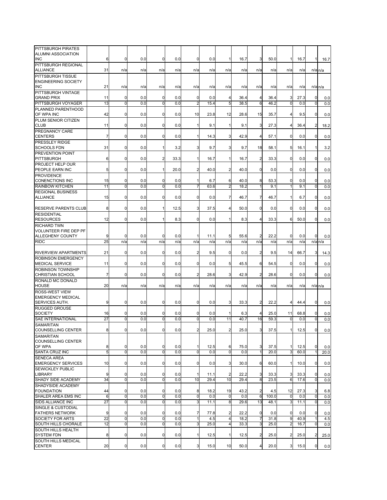| PITTSBURGH PIRATES           |                 |                |     |                |      |                |      |                         |      |                         |       |                |      |                      |      |
|------------------------------|-----------------|----------------|-----|----------------|------|----------------|------|-------------------------|------|-------------------------|-------|----------------|------|----------------------|------|
| ALUMNI ASSOCIATION           |                 |                |     |                |      |                |      |                         |      |                         |       |                |      |                      |      |
| <b>INC</b>                   | 6               | 0              | 0.0 | 0              | 0.0  | 0              | 0.0  |                         | 16.7 | 3                       | 50.0  | 1              | 16.7 |                      | 16.7 |
| PITTSBURGH REGIONAL          |                 |                |     |                |      |                |      |                         |      |                         |       |                |      |                      |      |
|                              | 31              |                |     |                |      |                |      |                         |      |                         |       |                |      |                      |      |
| <b>ALLIANCE</b>              |                 | n/a            | n/a | n/a            | n/a  | n/a            | n/a  | n/a                     | n/a  | n/a                     | n/a   | n/a            | n/a  | $n/a$ <sub>n/a</sub> |      |
| PITTSBURGH TISSUE            |                 |                |     |                |      |                |      |                         |      |                         |       |                |      |                      |      |
| <b>ENGINEERING SOCIETY</b>   |                 |                |     |                |      |                |      |                         |      |                         |       |                |      |                      |      |
| <b>INC</b>                   | 21              | n/a            | n/a | n/a            | n/a  | n/a            | n/a  | n/a                     | n/a  | n/a                     | n/a   | n/a            | n/a  | $n/a$ <sub>n/a</sub> |      |
|                              |                 |                |     |                |      |                |      |                         |      |                         |       |                |      |                      |      |
| PITTSBURGH VINTAGE           |                 |                |     |                |      |                |      |                         |      |                         |       |                |      |                      |      |
| <b>GRAND PRIX</b>            | 11              | 0              | 0.0 | $\mathbf 0$    | 0.0  | 0              | 0.0  | 4                       | 36.4 | 4                       | 36.4  | 3              | 27.3 | $\mathbf 0$          | 0.0  |
| PITTSBURGH VOYAGER           | 13              | $\mathbf 0$    | 0.0 | ō              | 0.0  | $\overline{2}$ | 15.4 | 5                       | 38.5 | 6                       | 46.2  | $\overline{0}$ | 0.0  | $\mathbf 0$          | 0.0  |
|                              |                 |                |     |                |      |                |      |                         |      |                         |       |                |      |                      |      |
| PLANNED PARENTHOOD           |                 |                |     |                |      |                |      |                         |      |                         |       |                |      |                      |      |
| OF WPA INC                   | 42              | 0              | 0.0 | $\mathbf 0$    | 0.0  | 10             | 23.8 | 12                      | 28.6 | 15                      | 35.7  | 4              | 9.5  | 0                    | 0.0  |
| PLUM SENIOR CITIZEN          |                 |                |     |                |      |                |      |                         |      |                         |       |                |      |                      |      |
| <b>CLUB</b>                  | 11              | $\mathbf 0$    | 0.0 | $\mathbf 0$    | 0.0  | 1              | 9.1  | 1                       | 9.1  | 3                       | 27.3  | 4              | 36.4 | $\overline{2}$       | 18.2 |
|                              |                 |                |     |                |      |                |      |                         |      |                         |       |                |      |                      |      |
| PREGNANCY CARE               |                 |                |     |                |      |                |      |                         |      |                         |       |                |      |                      |      |
| <b>CENTERS</b>               | $\overline{7}$  | 0              | 0.0 | $\mathbf 0$    | 0.0  | $\mathbf{1}$   | 14.3 | 3                       | 42.9 | 4                       | 57.1  | 0              | 0.0  | $\mathbf 0$          | 0.0  |
| PRESSLEY RIDGE               |                 |                |     |                |      |                |      |                         |      |                         |       |                |      |                      |      |
| <b>SCHOOLS FDN</b>           | 31              | 0              | 0.0 | $\mathbf{1}$   | 3.2  | 3              | 9.7  | 3                       | 9.7  | 18                      | 58.1  | 5              | 16.1 | $\mathbf{1}$         |      |
|                              |                 |                |     |                |      |                |      |                         |      |                         |       |                |      |                      | 3.2  |
| <b>PREVENTION POINT</b>      |                 |                |     |                |      |                |      |                         |      |                         |       |                |      |                      |      |
| <b>PITTSBURGH</b>            | 6               | $\Omega$       | 0.0 | $\overline{a}$ | 33.3 | $\mathbf{1}$   | 16.7 | 1                       | 16.7 | $\overline{2}$          | 33.3  | 0              | 0.0  | 0                    | 0.0  |
| PROJECT HELP OUR             |                 |                |     |                |      |                |      |                         |      |                         |       |                |      |                      |      |
|                              |                 |                |     |                |      |                |      |                         |      |                         |       |                |      |                      |      |
| PEOPLE EARN INC              | 5               | 0              | 0.0 | $\mathbf{1}$   | 20.0 | $\overline{2}$ | 40.0 | $\overline{2}$          | 40.0 | $\overline{0}$          | 0.0   | $\mathbf 0$    | 0.0  | 0                    | 0.0  |
| PROVIDENCE                   |                 |                |     |                |      |                |      |                         |      |                         |       |                |      |                      |      |
| <b>CONENCTIONS INC</b>       | 15              | $\mathbf 0$    | 0.0 | $\mathbf 0$    | 0.0  | 1              | 6.7  | 6                       | 40.0 | 8                       | 53.3  | 0              | 0.0  | 0                    | 0.0  |
| <b>RAINBOW KITCHEN</b>       | 11              | $\mathbf 0$    | 0.0 | $\mathbf 0$    | 0.0  | 7              | 63.6 | $\overline{2}$          | 18.2 |                         | 9.1   | 1              | 9.1  | $\mathbf 0$          | 0.0  |
|                              |                 |                |     |                |      |                |      |                         |      |                         |       |                |      |                      |      |
| <b>REGIONAL BUSINESS</b>     |                 |                |     |                |      |                |      |                         |      |                         |       |                |      |                      |      |
| <b>ALLIANCE</b>              | 15              | 0              | 0.0 | $\mathbf 0$    | 0.0  | 0              | 0.0  | 7                       | 46.7 | 7                       | 46.7  | 1              | 6.7  | 0                    | 0.0  |
|                              |                 |                |     |                |      |                |      |                         |      |                         |       |                |      |                      |      |
| <b>RESERVE PARENTS CLUB</b>  | 8               | 0              | 0.0 | 1              | 12.5 | 3              | 37.5 | 4                       | 50.0 | $\overline{0}$          | 0.0   | 0              | 0.0  | $\mathbf 0$          | 0.0  |
|                              |                 |                |     |                |      |                |      |                         |      |                         |       |                |      |                      |      |
| <b>RESIDENTIAL</b>           |                 |                |     |                |      |                |      |                         |      |                         |       |                |      |                      |      |
| <b>RESOURCES</b>             | 12              | $\mathbf 0$    | 0.0 | 1              | 8.3  | $\overline{0}$ | 0.0  | 1                       | 8.3  | $\overline{4}$          | 33.3  | 6              | 50.0 | $\overline{0}$       | 0.0  |
| <b>RICHARD TWN</b>           |                 |                |     |                |      |                |      |                         |      |                         |       |                |      |                      |      |
| <b>VOLUNTEER FIRE DEP PF</b> |                 |                |     |                |      |                |      |                         |      |                         |       |                |      |                      |      |
|                              |                 |                |     |                |      |                |      |                         |      |                         |       |                |      |                      |      |
| ALLEGHENY COUNTY             | 9               | 0              | 0.0 | $\mathbf 0$    | 0.0  | 1              | 11.1 | 5                       | 55.6 | $\overline{2}$          | 22.2  | 0              | 0.0  | $\mathbf 0$          | 0.0  |
| <b>RIDC</b>                  | 25              | n/a            | n/a | n/a            | n/a  | n/a            | n/a  | n/a                     | n/a  | n/a                     | n/a   | n/a            | n/a  | $n/a$ $n/a$          |      |
|                              |                 |                |     |                |      |                |      |                         |      |                         |       |                |      |                      |      |
| RIVERVIEW APARTMENTS         | 21              | $\mathbf 0$    | 0.0 | $\mathbf 0$    | 0.0  | 2              | 9.5  | 0                       | 0.0  | 2                       | 9.5   | 14             | 66.7 | 3                    |      |
|                              |                 |                |     |                |      |                |      |                         |      |                         |       |                |      |                      | 14.3 |
| <b>ROBINSON EMERGENCY</b>    |                 |                |     |                |      |                |      |                         |      |                         |       |                |      |                      |      |
| <b>MEDICAL SERVICE</b>       | 11              | $\mathbf 0$    | 0.0 | $\mathbf 0$    | 0.0  | 0              | 0.0  | 5                       | 45.5 | 6                       | 54.5  | 0              | 0.0  | 0                    | 0.0  |
| <b>ROBINSON TOWNSHIP</b>     |                 |                |     |                |      |                |      |                         |      |                         |       |                |      |                      |      |
|                              |                 |                |     | $\mathbf 0$    |      | $\overline{2}$ |      | 3                       |      | $\overline{2}$          |       | $\mathbf 0$    |      |                      |      |
| <b>CHRISTIAN SCHOOL</b>      | 7               | 0              | 0.0 |                | 0.0  |                | 28.6 |                         | 42.9 |                         | 28.6  |                | 0.0  | 0                    | 0.0  |
| RONALD MC DONALD             |                 |                |     |                |      |                |      |                         |      |                         |       |                |      |                      |      |
| <b>HOUSE</b>                 | 20              | n/a            | n/a | n/a            | n/a  | n/a            | n/a  | n/a                     | n/a  | n/a                     | n/a   | n/a            | n/a  | $n/a$ <sub>n/a</sub> |      |
| ROSS-WEST VIEW               |                 |                |     |                |      |                |      |                         |      |                         |       |                |      |                      |      |
|                              |                 |                |     |                |      |                |      |                         |      |                         |       |                |      |                      |      |
| <b>EMERGENCY MEDICAL</b>     |                 |                |     |                |      |                |      |                         |      |                         |       |                |      |                      |      |
| SERVICES AUTH.               | 9               | 0              | 0.0 | $\mathbf 0$    | 0.0  | 0              | 0.0  | 3                       | 33.3 | 2                       | 22.2  | 4              | 44.4 | $\mathbf 0$          | 0.0  |
| <b>RUGGED GROUSE</b>         |                 |                |     |                |      |                |      |                         |      |                         |       |                |      |                      |      |
| <b>SOCIETY</b>               | 16              | 0              | 0.0 | 0              | 0.0  | 0              | 0.0  |                         | 6.3  | 4                       | 25.0  | 11             | 68.8 | 0                    |      |
|                              |                 |                |     |                |      |                |      |                         |      |                         |       |                |      |                      | 0.0  |
| SAE INTERNATIONAL            | 27              | $\Omega$       | 0.0 | 0              | 0.0  | 0              | 0.0  | 11                      | 40.7 | 16                      | 59.3  | 0              | 0.0  | $\Omega$             | 0.0  |
| SAMARITAN                    |                 |                |     |                |      |                |      |                         |      |                         |       |                |      |                      |      |
| COUNSELLING CENTER           | 8               | $\overline{0}$ | 0.0 | $\overline{0}$ | 0.0  | $\overline{2}$ | 25.0 | $\overline{2}$          | 25.0 | $\overline{\mathbf{3}}$ | 37.5  | 1              | 12.5 | $\overline{0}$       | 0.0  |
| <b>SAMARITAN</b>             |                 |                |     |                |      |                |      |                         |      |                         |       |                |      |                      |      |
|                              |                 |                |     |                |      |                |      |                         |      |                         |       |                |      |                      |      |
| COUNSELLING CENTER           |                 |                |     |                |      |                |      |                         |      |                         |       |                |      |                      |      |
| OF WPA                       | 8               | $\mathbf 0$    | 0.0 | 0              | 0.0  | 1              | 12.5 | 6                       | 75.0 | 3                       | 37.5  | 1              | 12.5 | 0                    | 0.0  |
| SANTA CRUZ INC               | 5               | $\mathbf 0$    | 0.0 | $\mathbf 0$    | 0.0  | $\mathbf 0$    | 0.0  | $\mathbf 0$             | 0.0  |                         | 20.0  | 3              | 60.0 |                      | 20.0 |
| <b>SENECA AREA</b>           |                 |                |     |                |      |                |      |                         |      |                         |       |                |      |                      |      |
|                              |                 |                |     |                |      |                |      |                         |      |                         |       |                |      |                      |      |
| <b>EMERGENCY SERVICES</b>    | 10              | 0              | 0.0 | 0              | 0.0  | 0              | 0.0  | 3                       | 30.0 | 6                       | 60.0  | 1              | 10.0 | 0                    | 0.0  |
| <b>SEWICKLEY PUBLIC</b>      |                 |                |     |                |      |                |      |                         |      |                         |       |                |      |                      |      |
| <b>LIBRARY</b>               | 9               | $\mathbf 0$    | 0.0 | $\mathbf 0$    | 0.0  | 1              | 11.1 | $\overline{c}$          | 22.2 | 3                       | 33.3  | 3              | 33.3 | 0                    | 0.0  |
| <b>SHADY SIDE ACADEMY</b>    | 34              | $\mathbf 0$    | 0.0 | ō              | 0.0  | 10             | 29.4 | 10                      | 29.4 | 8                       | 23.5  | $\overline{6}$ | 17.6 | $\overline{0}$       | 0.0  |
|                              |                 |                |     |                |      |                |      |                         |      |                         |       |                |      |                      |      |
| SHADYSIDE ACADEMY            |                 |                |     |                |      |                |      |                         |      |                         |       |                |      |                      |      |
| <b>FOUNDATION</b>            | 44              | 0              | 0.0 | 0              | 0.0  | 8              | 18.2 | 19                      | 43.2 | 2                       | 4.5   | 12             | 27.3 | 3                    | 6.8  |
| SHALER AREA EMS INC          | 6               | 0              | 0.0 | $\mathbf 0$    | 0.0  | $\mathbf{0}$   | 0.0  | $\mathbf 0$             | 0.0  | 6                       | 100.0 | 0              | 0.0  | $\mathbf 0$          | 0.0  |
| SIDS ALLIANCE INC            | $\overline{27}$ | $\mathbf 0$    | 0.0 | 0              | 0.0  | 3              | 11.1 | 8                       | 29.6 | 13                      | 48.1  | 3              | 11.1 | $\mathbf 0$          | 0.0  |
|                              |                 |                |     |                |      |                |      |                         |      |                         |       |                |      |                      |      |
| SINGLE & CUSTODIAL           |                 |                |     |                |      |                |      |                         |      |                         |       |                |      |                      |      |
| <b>FATHERS NETWORK</b>       | 9               | 0              | 0.0 | 0              | 0.0  | 7              | 77.8 | $\overline{c}$          | 22.2 | $\mathbf 0$             | 0.0   | 0              | 0.0  | 0                    | 0.0  |
| SOCIETY FOR ARTS             | 22              | $\mathbf 0$    | 0.0 | $\mathbf 0$    | 0.0  | $\mathbf{1}$   | 4.5  | $\overline{4}$          | 18.2 |                         | 31.8  | 9              | 40.9 |                      | 4.5  |
| SOUTH HILLS CHORALE          | 12              | $\mathbf 0$    | 0.0 | $\mathbf 0$    | 0.0  | 3              | 25.0 | $\overline{\mathbf{4}}$ | 33.3 | 3                       | 25.0  | $\overline{c}$ | 16.7 | 0                    |      |
|                              |                 |                |     |                |      |                |      |                         |      |                         |       |                |      |                      | 0.0  |
| SOUTH HILLS HEALTH           |                 |                |     |                |      |                |      |                         |      |                         |       |                |      |                      |      |
| <b>SYSTEM FDN</b>            | 8               | $\mathbf 0$    | 0.0 | $\mathbf 0$    | 0.0  | $\mathbf{1}$   | 12.5 | $\mathbf{1}$            | 12.5 | $\overline{2}$          | 25.0  | 2              | 25.0 | $\overline{2}$       | 25.0 |
| SOUTH HILLS MEDICAL          |                 |                |     |                |      |                |      |                         |      |                         |       |                |      |                      |      |
| <b>CENTER</b>                | 20              | $\overline{0}$ | 0.0 | 0              | 0.0  | 3              | 15.0 | 10                      | 50.0 | 4                       | 20.0  | 3              | 15.0 | $\mathbf 0$          | 0.0  |
|                              |                 |                |     |                |      |                |      |                         |      |                         |       |                |      |                      |      |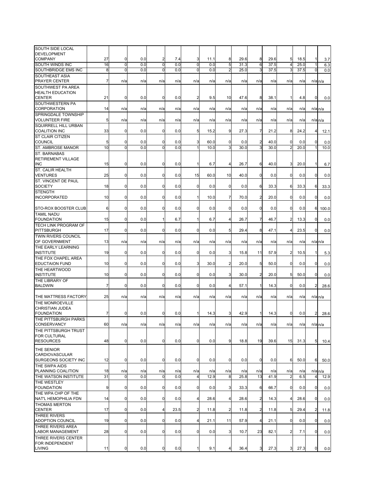| SOUTH SIDE LOCAL                      |                |             |     |                         |      |                |      |                |      |                         |      |                |              |                |                      |
|---------------------------------------|----------------|-------------|-----|-------------------------|------|----------------|------|----------------|------|-------------------------|------|----------------|--------------|----------------|----------------------|
|                                       |                |             |     |                         |      |                |      |                |      |                         |      |                |              |                |                      |
| <b>DEVELOPMENT</b><br><b>COMPANY</b>  |                | $\mathbf 0$ | 0.0 |                         |      |                |      |                | 29.6 |                         | 29.6 |                |              |                |                      |
|                                       | 27             |             | 0.0 | $\overline{\mathbf{c}}$ | 7.4  | 3              | 11.1 | 8              |      | 8                       |      | 5<br>4         | 18.5<br>25.0 |                | 3.7                  |
| <b>SOUTH WINDS INC</b>                | 16             | 0           |     | O                       | 0.0  | 0              | 0.0  | 5              | 31.3 | 6                       | 37.5 |                |              |                | 6.3                  |
| SOUTHBRIDGE EMS INC                   | 8              | $\mathbf 0$ | 0.0 | $\mathbf 0$             | 0.0  | 0              | 0.0  | $\overline{2}$ | 25.0 | 3                       | 37.5 | 3              | 37.5         | 0              | 0.0                  |
| SOUTHEAST ASIA                        |                |             |     |                         |      |                |      |                |      |                         |      |                |              |                |                      |
| PRAYER CENTER                         | $\overline{7}$ | n/a         | n/a | n/a                     | n/a  | n/a            | n/a  | n/a            | n/a  | n/a                     | n/a  | n/a            | n/a          |                | $n/a$ $n/a$          |
| SOUTHWEST PA AREA                     |                |             |     |                         |      |                |      |                |      |                         |      |                |              |                |                      |
| <b>HEALTH EDUCATION</b>               |                |             |     |                         |      |                |      |                |      |                         |      |                |              |                |                      |
| <b>CENTER</b>                         | 21             | 0           | 0.0 | $\mathbf 0$             | 0.0  | 2              | 9.5  | 10             | 47.6 | 8                       | 38.1 | 1              | 4.8          | 0              | 0.0                  |
| SOUTHWESTERN PA                       |                |             |     |                         |      |                |      |                |      |                         |      |                |              |                |                      |
| CORPORATION                           | 14             | n/a         | n/a | n/a                     | n/a  | n/a            | n/a  | n/a            | n/a  | n/a                     | n/a  | n/a            | n/a          |                | $n/a$ $n/a$          |
| SPRINGDALE TOWNSHIP                   |                |             |     |                         |      |                |      |                |      |                         |      |                |              |                |                      |
| <b>VOLUNTEER FIRE</b>                 | 5              | n/a         | n/a | n/a                     | n/a  | n/a            | n/a  | n/a            | n/a  | n/a                     | n/a  | n/a            | n/a          |                | $n/a$ $n/a$          |
| <b>SQUIRRELL HILL URBAN</b>           |                |             |     |                         |      |                |      |                |      |                         |      |                |              |                |                      |
| <b>COALITION INC</b>                  | 33             | 0           | 0.0 | $\mathbf 0$             | 0.0  | 5              | 15.2 | 9              | 27.3 | 7                       | 21.2 | 8              | 24.2         | 4              | 12.1                 |
| <b>ST CLAIR CITIZEN</b>               |                |             |     |                         |      |                |      |                |      |                         |      |                |              |                |                      |
| <b>COUNCIL</b>                        | 5              | $\mathbf 0$ | 0.0 | 0                       | 0.0  | 3              | 60.0 | $\mathbf 0$    | 0.0  | $\overline{\mathbf{c}}$ | 40.0 | $\mathbf 0$    | 0.0          | 0              | 0.0                  |
| ST. AMBROSE MANOR                     | 10             | $\mathbf 0$ | 0.0 | $\mathbf 0$             | 0.0  | 1              | 10.0 | 3              | 30.0 | 3                       | 30.0 | $\overline{2}$ | 20.0         |                | 10.0                 |
| ST. BARNABAS                          |                |             |     |                         |      |                |      |                |      |                         |      |                |              |                |                      |
| RETIREMENT VILLAGE                    |                |             |     |                         |      |                |      |                |      |                         |      |                |              |                |                      |
| <b>INC</b>                            | 15             | 0           | 0.0 | 0                       | 0.0  | 1              | 6.7  | $\overline{4}$ | 26.7 | 6                       | 40.0 | 3              | 20.0         | 1              | 6.7                  |
| ST. CALIR HEALTH                      |                |             |     |                         |      |                |      |                |      |                         |      |                |              |                |                      |
| <b>VENTURES</b>                       | 25             | $\mathbf 0$ | 0.0 | $\mathbf 0$             | 0.0  | 15             | 60.0 | 10             | 40.0 | $\overline{0}$          | 0.0  | $\mathbf 0$    | 0.0          | $\mathbf 0$    | 0.0                  |
| ST. VINCENT DE PAUL                   |                |             |     |                         |      |                |      |                |      |                         |      |                |              |                |                      |
| <b>SOCIETY</b>                        | 18             | $\mathbf 0$ | 0.0 | $\mathbf 0$             | 0.0  | 0              | 0.0  | $\mathbf 0$    | 0.0  | 6                       | 33.3 | 6              | 33.3         | 6              | 33.3                 |
| <b>STENGTH</b>                        |                |             |     |                         |      |                |      |                |      |                         |      |                |              |                |                      |
| <b>INCORPORATED</b>                   | 10             | 0           | 0.0 | $\mathbf 0$             | 0.0  | 1              | 10.0 | 7              | 70.0 | $\overline{2}$          | 20.0 | 0              | 0.0          | $\mathbf 0$    | 0.0                  |
|                                       |                |             |     |                         |      |                |      |                |      |                         |      |                |              |                |                      |
| STO-ROX BOOSTER CLUB                  | 6              | $\mathbf 0$ | 0.0 | $\mathbf 0$             | 0.0  | $\mathbf 0$    | 0.0  | $\mathbf 0$    | 0.0  | $\mathbf 0$             | 0.0  | $\mathbf 0$    | 0.0          | 6              | 100.0                |
| <b>TAMIL NADU</b>                     |                |             |     |                         |      |                |      |                |      |                         |      |                |              |                |                      |
| <b>FOUNDATION</b>                     | 15             | $\mathbf 0$ | 0.0 | 1                       | 6.7  | 1              | 6.7  | 4              | 26.7 | $\overline{7}$          | 46.7 | $\overline{2}$ | 13.3         | $\mathbf 0$    | 0.0                  |
| TECH LINK PROGRAM OF                  |                |             |     |                         |      |                |      |                |      |                         |      |                |              |                |                      |
| <b>PITTSBURGH</b>                     | 17             | 0           | 0.0 | 0                       | 0.0  | 0              | 0.0  | 5              | 29.4 | 8                       | 47.1 | 4              | 23.5         | $\mathbf 0$    | 0.0                  |
| TWIN RIVERS COUNCIL                   |                |             |     |                         |      |                |      |                |      |                         |      |                |              |                |                      |
| OF GOVERNMENT                         | 13             | n/a         | n/a | n/a                     | n/a  | n/a            | n/a  | n/a            | n/a  | n/a                     | n/a  | n/a            | n/a          |                | $n/a$ $n/a$          |
| THE EARLY LEARNING                    |                |             |     |                         |      |                |      |                |      |                         |      |                |              |                |                      |
| <b>INSTITUTE</b>                      | 19             | $\mathbf 0$ | 0.0 | 0                       | 0.0  | 0              | 0.0  | 3              | 15.8 | 11                      | 57.9 | 2              | 10.5         | 1              | 5.3                  |
| THE FOX CHAPEL AREA                   |                |             |     |                         |      |                |      |                |      |                         |      |                |              |                |                      |
| <b>EDUCTAION FUND</b>                 | 10             | $\mathbf 0$ | 0.0 | 0                       | 0.0  | 3              | 30.0 | $\overline{c}$ | 20.0 | 5                       | 50.0 | 0              | 0.0          | $\mathbf 0$    | 0.0                  |
| THE HEARTWOOD                         |                |             |     |                         |      |                |      |                |      |                         |      |                |              |                |                      |
| <b>INSTITUTE</b>                      | 10             | 0           | 0.0 | 0                       | 0.0  | 0              | 0.0  | 3              | 30.0 | $\overline{2}$          | 20.0 | 5              | 50.0         | 0              | 0.0                  |
| THE LIBRARY OF                        |                |             |     |                         |      |                |      |                |      |                         |      |                |              |                |                      |
| <b>BALDWIN</b>                        | 7              | $\mathbf 0$ | 0.0 | $\mathbf 0$             | 0.0  | 0              | 0.0  | 4              | 57.1 | 1                       | 14.3 | 0              | 0.0          | 2              | 28.6                 |
|                                       |                |             |     |                         |      |                |      |                |      |                         |      |                |              |                |                      |
| THE MATTRESS FACTORY                  | 25             | n/a         | n/a | n/a                     | n/a  | n/a            | n/a  | n/a            | n/a  | n/a                     | n/a  | n/a            | n/a          |                | $n/a$ $n/a$          |
| THE MONROEVILLE                       |                |             |     |                         |      |                |      |                |      |                         |      |                |              |                |                      |
| <b>CHRISTIAN JUDEA</b>                |                |             |     |                         |      |                |      |                |      |                         |      |                |              |                |                      |
| <b>FOUNDATION</b>                     | 7              | 0           | 0.0 | $\mathbf 0$             | 0.0  | 1              | 14.3 | 3              | 42.9 | 1                       | 14.3 | 0              | 0.0          | $\overline{c}$ | 28.6                 |
| THE PITTSBURGH PARKS                  |                |             |     |                         |      |                |      |                |      |                         |      |                |              |                |                      |
| CONSERVANCY                           | 60             | n/a         | n/a | n/a                     | n/a  | n/a            | n/a  | n/a            | n/a  | n/a                     | n/a  | n/a            | n/a          |                | $n/a$ $n/a$          |
| THE PITTSBURGH TRUST                  |                |             |     |                         |      |                |      |                |      |                         |      |                |              |                |                      |
| FOR CULTURAL                          |                |             |     |                         |      |                |      |                |      |                         |      |                |              |                |                      |
| <b>RESOURCES</b>                      | 48             | $\mathbf 0$ | 0.0 | $\pmb{0}$               | 0.0  | $\mathbf 0$    | 0.0  | 9              | 18.8 | 19                      | 39.6 | 15             | 31.3         | 5              | 10.4                 |
| THE SENIOR                            |                |             |     |                         |      |                |      |                |      |                         |      |                |              |                |                      |
| CARDIOVASCULAR                        |                |             |     |                         |      |                |      |                |      |                         |      |                |              |                |                      |
| SURGEONS SOCIETY INC                  | 12             | $\mathbf 0$ | 0.0 | $\mathbf 0$             | 0.0  | 0              | 0.0  | $\mathbf 0$    | 0.0  | $\overline{0}$          | 0.0  | 6              | 50.0         | 6              | 50.0                 |
| THE SWPA AIDS                         |                |             |     |                         |      |                |      |                |      |                         |      |                |              |                |                      |
| PLANNING COALITION                    | 18             | n/a         | n/a | n/a                     | n/a  | n/a            | n/a  | n/a            | n/a  | n/a                     | n/a  | n/a            | n/a          |                | $n/a$ <sub>n/a</sub> |
| THE WATSON INSTITUTE                  | 31             | $\mathbf 0$ | 0.0 | $\mathbf 0$             | 0.0  | 4              | 12.9 | 8              | 25.8 | 13                      | 41.9 | $\overline{2}$ | 6.5          | 4              | 12.9                 |
| THE WESTLEY                           |                |             |     |                         |      |                |      |                |      |                         |      |                |              |                |                      |
| <b>FOUNDATION</b>                     |                | 0           |     | 0                       | 0.0  | 0              | 0.0  | $\overline{3}$ | 33.3 |                         | 66.7 | 0              |              | $\mathbf 0$    |                      |
| THE WPA CHP OF THE                    | 9              |             | 0.0 |                         |      |                |      |                |      | 6                       |      |                | 0.0          |                | 0.0                  |
| NAT'L HEMOPHILIA FDN                  | 14             | 0           | 0.0 | $\overline{0}$          | 0.0  | 4              | 28.6 | $\overline{4}$ | 28.6 | $\overline{2}$          | 14.3 | 4              | 28.6         | $\overline{0}$ |                      |
| <b>THOMAS MERTON</b>                  |                |             |     |                         |      |                |      |                |      |                         |      |                |              |                | 0.0                  |
|                                       |                | 0           | 0.0 | $\overline{4}$          |      | $\overline{a}$ |      | $\overline{2}$ |      | $\overline{2}$          |      |                | 29.4         | $\overline{2}$ |                      |
| <b>CENTER</b>                         | 17             |             |     |                         | 23.5 |                | 11.8 |                | 11.8 |                         | 11.8 | 5              |              |                | 11.8                 |
| THREE RIVERS<br>ADOPTION COUNCIL      |                | 0           | 0.0 | $\mathbf 0$             | 0.0  |                | 21.1 | 11             |      | $\overline{4}$          |      | $\mathbf 0$    |              | $\mathbf 0$    |                      |
|                                       | 19             |             |     |                         |      | 4              |      |                | 57.9 |                         | 21.1 |                | 0.0          |                | 0.0                  |
| THREE RIVERS AREA<br>LABOR MANAGEMENT | 28             | $\mathbf 0$ | 0.0 | $\overline{0}$          | 0.0  | $\mathbf 0$    | 0.0  | 3              | 10.7 | 23                      | 82.1 | $\overline{a}$ | 7.1          | $\overline{0}$ |                      |
|                                       |                |             |     |                         |      |                |      |                |      |                         |      |                |              |                | 0.0                  |
| THREE RIVERS CENTER                   |                |             |     |                         |      |                |      |                |      |                         |      |                |              |                |                      |
| FOR INDEPENDENT                       |                |             |     |                         |      |                |      |                |      |                         |      |                |              |                |                      |
| <b>LIVING</b>                         | 11             | 0           | 0.0 | $\overline{0}$          | 0.0  | 1              | 9.1  | 4              | 36.4 | 3 <sup>1</sup>          | 27.3 | 3              | 27.3         | $\overline{0}$ | 0.0                  |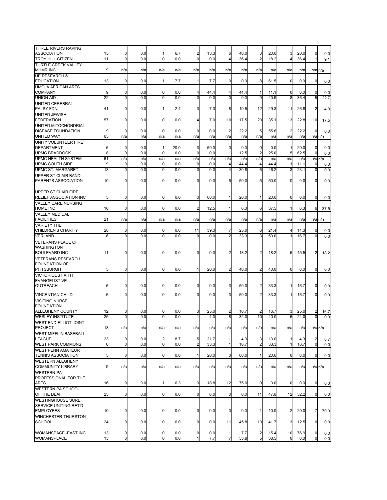| THREE RIVERS RAVING          |                 |             |     |                         |      |                |      |                |      |                         |      |                |      |                      |      |
|------------------------------|-----------------|-------------|-----|-------------------------|------|----------------|------|----------------|------|-------------------------|------|----------------|------|----------------------|------|
| <b>ASSOCIATION</b>           | 15              | 0           | 0.0 | $\mathbf{1}$            | 6.7  | 2              | 13.3 | 6              | 40.0 | 3                       | 20.0 | 3              | 20.0 | $\mathbf 0$          | 0.0  |
| TROY HILL CITIZEN            | 11              | $\mathbf 0$ | 0.0 | $\mathbf 0$             | 0.0  | 0              | 0.0  | $\overline{4}$ | 36.4 | 2                       | 18.2 | $\overline{4}$ | 36.4 |                      | 9.1  |
| <b>TURTLE CREEK VALLEY</b>   |                 |             |     |                         |      |                |      |                |      |                         |      |                |      |                      |      |
| <b>MHMR INC</b>              | 9               | n/a         | n/a | n/a                     | n/a  | n/a            | n/a  | n/a            | n/a  | n/a                     | n/a  | n/a            | n/a  | $n/a$ $n/a$          |      |
| <b>UE RESEARCH &amp;</b>     |                 |             |     |                         |      |                |      |                |      |                         |      |                |      |                      |      |
| <b>EDUCATION</b>             | 13              | $\mathbf 0$ | 0.0 | 1                       | 7.7  | 1              | 7.7  | 0              | 0.0  | 8                       | 61.5 | $\mathbf 0$    | 0.0  | 0                    |      |
|                              |                 |             |     |                         |      |                |      |                |      |                         |      |                |      |                      | 0.0  |
| <b>UMOJA AFRICAN ARTS</b>    |                 |             |     |                         |      |                |      |                |      |                         |      |                |      |                      |      |
| <b>COMPANY</b>               | 9               | 0           | 0.0 | 0                       | 0.0  | 4              | 44.4 | 4              | 44.4 | $\mathbf{1}$            | 11.1 | 0              | 0.0  | 0                    | 0.0  |
| <b>UNION AID</b>             | 22              | $\mathbf 0$ | 0.0 | ō                       | 0.0  | ō              | 0.0  | $\mathbf 0$    | 0.0  | g                       | 40.9 | 8              | 36.4 | 5                    | 22.7 |
| <b>UNITED CEREBRAL</b>       |                 |             |     |                         |      |                |      |                |      |                         |      |                |      |                      |      |
| PALSY FDN                    | 41              | $\mathbf 0$ | 0.0 | $\mathbf{1}$            | 2.4  | 3              | 7.3  | 8              | 19.5 | 12                      | 29.3 | 11             | 26.8 | $\overline{2}$       | 4.9  |
|                              |                 |             |     |                         |      |                |      |                |      |                         |      |                |      |                      |      |
| <b>UNITED JEWISH</b>         |                 |             |     |                         |      |                |      |                |      |                         |      |                |      |                      |      |
| <b>FEDERATION</b>            | 57              | $\mathbf 0$ | 0.0 | 0                       | 0.0  | 4              | 7.0  | 10             | 17.5 | 20                      | 35.1 | 13             | 22.8 | 10                   | 17.5 |
| UNITED MITOCHONDRIAL         |                 |             |     |                         |      |                |      |                |      |                         |      |                |      |                      |      |
| <b>DISEASE FOUNDATION</b>    | 9               | 0           | 0.0 | 0                       | 0.0  | 0              | 0.0  | $\overline{c}$ | 22.2 | 5                       | 55.6 | $\overline{2}$ | 22.2 | 0                    | 0.0  |
| <b>UNITED WAY</b>            | 65              | n/a         | n/a | n/a                     | n/a  | n/a            | n/a  | n/a            | n/a  | n/a                     | n/a  | n/a            | n/a  | $n/a$ $n/a$          |      |
| UNITY VOLUNTEER FIRE         |                 |             |     |                         |      |                |      |                |      |                         |      |                |      |                      |      |
| <b>DEPARTMENT</b>            | 5               | $\mathbf 0$ | 0.0 | 1                       | 20.0 | 3              | 60.0 | 0              | 0.0  | 0                       | 0.0  | 1              | 20.0 | $\mathbf 0$          | 0.0  |
|                              |                 |             |     |                         |      |                |      |                |      |                         |      |                |      |                      |      |
| <b>UPMC BRADDOCK</b>         | 8               | $\Omega$    | 0.0 | $\Omega$                | 0.0  | 0              | 0.0  | $\mathbf{1}$   | 12.5 | $\overline{2}$          | 25.0 | 5              | 62.5 | 0                    | 0.0  |
| <b>UPMC HEALTH SYSTEM</b>    | 61              | n/a         | n/a | n/a                     | n/a  | n/a            | n/a  | n/a            | n/a  | n/a                     | n/a  | n/a            | n/a  | $n/a$ <sub>n/a</sub> |      |
| UPMC SOUTH SIDE              | 9               | $\mathbf 0$ | 0.0 | $\mathbf 0$             | 0.0  | 0              | 0.0  | $\overline{4}$ | 44.4 | 4                       | 44.4 |                | 11.1 | 0                    | 0.0  |
| <b>UPMC ST. MARGARET</b>     | 13              | 0           | 0.0 | $\mathbf 0$             | 0.0  | 0              | 0.0  | $\overline{4}$ | 30.8 | 6                       | 46.2 | 3              | 23.1 | 0                    | 0.0  |
| UPPER ST CLAIR BAND          |                 |             |     |                         |      |                |      |                |      |                         |      |                |      |                      |      |
| PARENTS ASSOCIATION          | 10              | $\mathbf 0$ | 0.0 | $\mathbf 0$             | 0.0  | 0              | 0.0  | 5              | 50.0 | 5                       | 50.0 | $\mathbf 0$    | 0.0  | $\mathbf 0$          | 0.0  |
|                              |                 |             |     |                         |      |                |      |                |      |                         |      |                |      |                      |      |
|                              |                 |             |     |                         |      |                |      |                |      |                         |      |                |      |                      |      |
| UPPER ST CLAIR FIRE          |                 |             |     |                         |      |                |      |                |      |                         |      |                |      |                      |      |
| RELIEF ASSOCIATION INC       | 5               | $\Omega$    | 0.0 | 0                       | 0.0  | 3              | 60.0 | $\mathbf 1$    | 20.0 | 1                       | 20.0 | 0              | 0.0  | $\mathbf 0$          | 0.0  |
| VALLEY CARE NURSING          |                 |             |     |                         |      |                |      |                |      |                         |      |                |      |                      |      |
| HOME INC                     | 16              | $\mathbf 0$ | 0.0 | $\mathbf 0$             | 0.0  | $\overline{2}$ | 12.5 | 1              | 6.3  | 6                       | 37.5 | $\mathbf{1}$   | 6.3  | 6                    | 37.5 |
| <b>VALLEY MEDICAL</b>        |                 |             |     |                         |      |                |      |                |      |                         |      |                |      |                      |      |
|                              |                 |             |     |                         |      |                |      |                |      |                         |      |                |      |                      |      |
| <b>FACILITIES</b>            | 21              | n/a         | n/a | n/a                     | n/a  | n/a            | n/a  | n/a            | n/a  | n/a                     | n/a  | n/a            | n/a  | $n/a$ <sub>n/a</sub> |      |
| <b>VARIETY THE</b>           |                 |             |     |                         |      |                |      |                |      |                         |      |                |      |                      |      |
| CHILDREN'S CHARITY           | 28              | 0           | 0.0 | $\mathbf 0$             | 0.0  | 11             | 39.3 | 7              | 25.0 | 6                       | 21.4 | 4              | 14.3 | $\mathbf 0$          | 0.0  |
| <b>VERLAND</b>               | $\overline{6}$  | Ō           | 0.0 | Ō                       | 0.0  | $\overline{0}$ | 0.0  | $\overline{2}$ | 33.3 | 3                       | 50.0 |                | 16.7 | $\Omega$             | 0.0  |
| <b>VETERANS PLACE OF</b>     |                 |             |     |                         |      |                |      |                |      |                         |      |                |      |                      |      |
| <b>WASHINGTON</b>            |                 |             |     |                         |      |                |      |                |      |                         |      |                |      |                      |      |
|                              |                 |             |     |                         |      |                |      |                |      |                         |      |                |      |                      |      |
| <b>BOULEVARD INC</b>         | 11              | $\mathbf 0$ | 0.0 | $\mathbf 0$             | 0.0  | 0              | 0.0  | $\overline{c}$ | 18.2 | $\overline{c}$          | 18.2 | 5              | 45.5 | $\overline{a}$       | 18.2 |
| <b>VETERANS RESEARCH</b>     |                 |             |     |                         |      |                |      |                |      |                         |      |                |      |                      |      |
| <b>FOUNDATION OF</b>         |                 |             |     |                         |      |                |      |                |      |                         |      |                |      |                      |      |
| <b>PITTSBURGH</b>            | 5               | $\mathbf 0$ | 0.0 | $\mathbf 0$             | 0.0  | 1              | 20.0 | $\overline{2}$ | 40.0 | $\overline{2}$          | 40.0 | $\mathbf 0$    | 0.0  | $\mathbf 0$          | 0.0  |
| <b>VICTORIOUS FAITH</b>      |                 |             |     |                         |      |                |      |                |      |                         |      |                |      |                      |      |
|                              |                 |             |     |                         |      |                |      |                |      |                         |      |                |      |                      |      |
| <b>EVANGELISTIVE</b>         |                 |             |     |                         |      |                |      |                |      |                         |      |                |      |                      |      |
| <b>OUTREACH</b>              | 6               | $\Omega$    | 0.0 | $\mathbf 0$             | 0.0  | 0              | 0.0  | 3              | 50.0 | $\overline{2}$          | 33.3 | 1              | 16.7 | 0                    | 0.0  |
| <b>VINCENTIAN CHILD</b>      | 6               | $\mathbf 0$ | 0.0 | $\mathbf 0$             | 0.0  | 0              | 0.0  | 3              | 50.0 |                         |      | 1              | 16.7 | $\mathbf 0$          |      |
|                              |                 |             |     |                         |      |                |      |                |      | $\overline{\mathbf{c}}$ | 33.3 |                |      |                      | 0.0  |
| <b>VISITING NURSE</b>        |                 |             |     |                         |      |                |      |                |      |                         |      |                |      |                      |      |
| <b>FOUNDATION</b>            |                 |             |     |                         |      |                |      |                |      |                         |      |                |      |                      |      |
| ALLEGHENY COUNTY             | 12              | 0           | 0.0 | $\mathbf 0$             | 0.0  | 3              | 25.0 | 2              | 16.7 | 2                       | 16.7 | 3              | 25.0 | 2                    | 16.7 |
| <b>WESLEY INSTITUTE</b>      | 25              | $\mathbf 0$ | 0.0 | ō                       | 0.0  |                | 4.0  | 8              | 32.0 | 10                      | 40.0 | 6              | 24.0 | 0                    | 0.0  |
| <b>WEST END-ELLIOT JOINT</b> |                 |             |     |                         |      |                |      |                |      |                         |      |                |      |                      |      |
| <b>PROJECT</b>               | 18              |             |     |                         |      |                |      |                |      |                         |      | n/a            | n/a  |                      |      |
|                              |                 | n/a         | n/a | n/a                     | n/a  | n/a            | n/a  | n/a            | n/a  | n/a                     | n/a  |                |      | n/a n/a              |      |
| WEST MIFFLIN BASEBALL        |                 |             |     |                         |      |                |      |                |      |                         |      |                |      |                      |      |
| <b>LEAGUE</b>                | 23              | 0           | 0.0 | $\overline{\mathbf{c}}$ | 8.7  | 5              | 21.7 |                | 4.3  | 3                       | 13.0 | 1              | 4.3  | $\overline{c}$       | 8.7  |
| <b>WEST PARK COMMONS</b>     | $6\phantom{1}6$ | $\mathbf 0$ | 0.0 | $\overline{0}$          | 0.0  | $\overline{a}$ | 33.3 | 1              | 16.7 | 2                       | 33.3 | 1              | 16.7 | $\mathbf 0$          | 0.0  |
| <b>WEST PENN AMATEUR</b>     |                 |             |     |                         |      |                |      |                |      |                         |      |                |      |                      |      |
| <b>TENNIS ASSOCIATION</b>    | 5               | 0           | 0.0 | 0                       | 0.0  | 1              | 20.0 | 3              | 60.0 | 1                       | 20.0 | 0              | 0.0  | $\mathbf 0$          | 0.0  |
| <b>WESTERN ALEGHENY</b>      |                 |             |     |                         |      |                |      |                |      |                         |      |                |      |                      |      |
|                              |                 |             |     |                         |      |                |      |                |      |                         |      |                |      |                      |      |
| COMMUNITY LIBRARY            | 9               | n/a         | n/a | n/a                     | n/a  | n/a            | n/a  | n/a            | n/a  | n/a                     | n/a  | n/a            | n/a  | $n/a$ $n/a$          |      |
| <b>WESTERN PA</b>            |                 |             |     |                         |      |                |      |                |      |                         |      |                |      |                      |      |
| PROFESSIONAL FOR THE         |                 |             |     |                         |      |                |      |                |      |                         |      |                |      |                      |      |
| <b>ARTS</b>                  | 16              | 0           | 0.0 | $\mathbf{1}$            | 6.3  | 3              | 18.8 | 12             | 75.0 | $\overline{0}$          | 0.0  | $\mathbf 0$    | 0.0  | $\mathbf 0$          | 0.0  |
| WESTERN PA SCHOOL            |                 |             |     |                         |      |                |      |                |      |                         |      |                |      |                      |      |
| OF THE DEAF                  | 23              | $\mathbf 0$ | 0.0 | $\mathbf 0$             | 0.0  | $\mathbf 0$    | 0.0  | $\mathbf 0$    | 0.0  | 11                      | 47.8 | 12             | 52.2 | $\overline{0}$       |      |
|                              |                 |             |     |                         |      |                |      |                |      |                         |      |                |      |                      | 0.0  |
| <b>WESTINGHOUSE SURE</b>     |                 |             |     |                         |      |                |      |                |      |                         |      |                |      |                      |      |
| SERVICE UNITING RET'D        |                 |             |     |                         |      |                |      |                |      |                         |      |                |      |                      |      |
| <b>EMPLOYEES</b>             | 10              | 0           | 0.0 | $\overline{0}$          | 0.0  | 0              | 0.0  | $\overline{0}$ | 0.0  | 1                       | 10.0 | $\overline{c}$ | 20.0 | 7                    | 70.0 |
| WINCHESTER-THURSTON          |                 |             |     |                         |      |                |      |                |      |                         |      |                |      |                      |      |
| <b>SCHOOL</b>                | 24              | $\mathbf 0$ | 0.0 | $\overline{0}$          | 0.0  | $\mathbf 0$    | 0.0  | 11             | 45.8 | 10                      | 41.7 | 3              | 12.5 | $\mathbf 0$          | 0.0  |
|                              |                 |             |     |                         |      |                |      |                |      |                         |      |                |      |                      |      |
|                              |                 |             |     |                         |      |                |      |                |      |                         |      |                |      |                      |      |
| WOMANSPACE - EAST INC        | 13              | 0           | 0.0 | $\overline{0}$          | 0.0  | 0              | 0.0  | 1              | 7.7  | $\overline{a}$          | 15.4 | 10             | 76.9 | $\mathbf 0$          | 0.0  |
| WOMANSPLACE                  | 13              | $\mathbf 0$ | 0.0 | $\overline{0}$          | 0.0  | 1              | 7.7  | 7              | 53.8 | 5                       | 38.5 | $\mathbf 0$    | 0.0  | $\mathbf 0$          | 0.0  |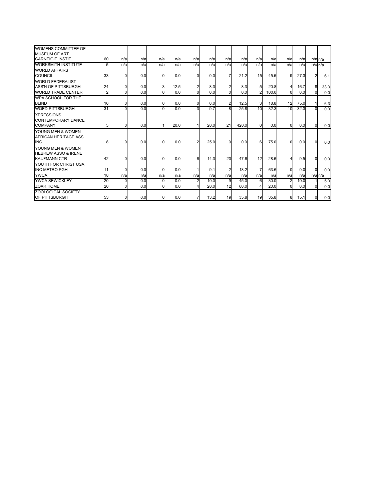|    |          |                                                                          |                               |                                                                                                                 | $\Omega$                                                                                                              |                                                                                                         |                |                                                                                                            |                                                                       |                                                                                                                               |                                                                                 |                                                               |                                                       | 6.1                                      |
|----|----------|--------------------------------------------------------------------------|-------------------------------|-----------------------------------------------------------------------------------------------------------------|-----------------------------------------------------------------------------------------------------------------------|---------------------------------------------------------------------------------------------------------|----------------|------------------------------------------------------------------------------------------------------------|-----------------------------------------------------------------------|-------------------------------------------------------------------------------------------------------------------------------|---------------------------------------------------------------------------------|---------------------------------------------------------------|-------------------------------------------------------|------------------------------------------|
|    |          |                                                                          |                               |                                                                                                                 |                                                                                                                       |                                                                                                         |                |                                                                                                            |                                                                       |                                                                                                                               |                                                                                 |                                                               |                                                       |                                          |
| 24 |          |                                                                          |                               |                                                                                                                 | 2                                                                                                                     |                                                                                                         |                |                                                                                                            | 5                                                                     |                                                                                                                               | $\overline{4}$                                                                  | 16.7                                                          | 8                                                     | 33.3                                     |
|    | U        |                                                                          |                               |                                                                                                                 | $\Omega$                                                                                                              |                                                                                                         |                |                                                                                                            | $\overline{a}$                                                        |                                                                                                                               | $\Omega$                                                                        | 0.0                                                           |                                                       | 0.0                                      |
|    |          |                                                                          |                               |                                                                                                                 |                                                                                                                       |                                                                                                         |                |                                                                                                            |                                                                       |                                                                                                                               |                                                                                 |                                                               |                                                       |                                          |
|    |          |                                                                          |                               |                                                                                                                 | <sup>0</sup>                                                                                                          |                                                                                                         |                |                                                                                                            | 3                                                                     |                                                                                                                               | 12                                                                              | 75.0                                                          |                                                       | 6.3                                      |
| 31 | $\Omega$ |                                                                          |                               |                                                                                                                 | 3                                                                                                                     | 9.7                                                                                                     |                |                                                                                                            | 10                                                                    |                                                                                                                               | 10                                                                              | 32.3                                                          |                                                       | 0.0                                      |
|    |          |                                                                          |                               |                                                                                                                 |                                                                                                                       |                                                                                                         |                |                                                                                                            |                                                                       |                                                                                                                               |                                                                                 |                                                               |                                                       |                                          |
|    |          |                                                                          |                               |                                                                                                                 |                                                                                                                       |                                                                                                         |                |                                                                                                            |                                                                       |                                                                                                                               |                                                                                 |                                                               |                                                       |                                          |
|    |          |                                                                          |                               |                                                                                                                 |                                                                                                                       |                                                                                                         |                |                                                                                                            | $\Omega$                                                              |                                                                                                                               | $\overline{0}$                                                                  |                                                               | $\Omega$                                              | 0.0                                      |
|    |          |                                                                          |                               |                                                                                                                 |                                                                                                                       |                                                                                                         |                |                                                                                                            |                                                                       |                                                                                                                               |                                                                                 |                                                               |                                                       |                                          |
|    |          |                                                                          |                               |                                                                                                                 |                                                                                                                       |                                                                                                         |                |                                                                                                            |                                                                       |                                                                                                                               |                                                                                 |                                                               |                                                       |                                          |
|    |          |                                                                          |                               |                                                                                                                 | 2                                                                                                                     |                                                                                                         |                |                                                                                                            | 6                                                                     |                                                                                                                               | $\Omega$                                                                        |                                                               | $\Omega$                                              | 0.0                                      |
|    |          |                                                                          |                               |                                                                                                                 |                                                                                                                       |                                                                                                         |                |                                                                                                            |                                                                       |                                                                                                                               |                                                                                 |                                                               |                                                       |                                          |
|    |          |                                                                          |                               |                                                                                                                 |                                                                                                                       |                                                                                                         |                |                                                                                                            |                                                                       |                                                                                                                               |                                                                                 |                                                               |                                                       |                                          |
|    |          |                                                                          |                               |                                                                                                                 | 6                                                                                                                     |                                                                                                         |                |                                                                                                            | 12                                                                    |                                                                                                                               | $\overline{4}$                                                                  |                                                               | 0                                                     | 0.0                                      |
|    |          |                                                                          |                               |                                                                                                                 |                                                                                                                       |                                                                                                         |                |                                                                                                            |                                                                       |                                                                                                                               |                                                                                 |                                                               |                                                       |                                          |
| 11 |          |                                                                          |                               |                                                                                                                 |                                                                                                                       |                                                                                                         | $\overline{2}$ |                                                                                                            | 7                                                                     |                                                                                                                               | $\Omega$                                                                        |                                                               | $\Omega$                                              | 0.0                                      |
|    |          |                                                                          |                               |                                                                                                                 | n/a                                                                                                                   |                                                                                                         |                |                                                                                                            | n/a                                                                   |                                                                                                                               | n/a                                                                             |                                                               |                                                       | $n/a$ <sub>n/a</sub>                     |
| 20 | n        |                                                                          |                               |                                                                                                                 | 2                                                                                                                     |                                                                                                         |                |                                                                                                            | 6                                                                     |                                                                                                                               | $\overline{2}$                                                                  | 10.0                                                          |                                                       | 5.0                                      |
|    |          |                                                                          |                               |                                                                                                                 | 4                                                                                                                     |                                                                                                         |                |                                                                                                            |                                                                       |                                                                                                                               | $\Omega$                                                                        | 0.0                                                           |                                                       | 0.0                                      |
|    |          |                                                                          |                               |                                                                                                                 |                                                                                                                       |                                                                                                         |                |                                                                                                            |                                                                       |                                                                                                                               |                                                                                 |                                                               |                                                       |                                          |
|    |          |                                                                          |                               |                                                                                                                 | 7                                                                                                                     |                                                                                                         |                |                                                                                                            |                                                                       |                                                                                                                               | 8                                                                               | 15.1                                                          | 0                                                     | 0.0                                      |
|    |          | 60<br>5<br>33<br>2 <sub>l</sub><br>16<br>51<br>8<br>42<br>18<br>20<br>53 | n/a<br>n/a<br>n/a<br>$\Omega$ | n/a<br>n/a<br>0.0<br>0.0<br>0.0<br>0.0<br>0<br>0.0<br>0.0<br>0.0<br>0.0<br>0.0<br>0<br>n/a<br>0.0<br>0.0<br>0.0 | n/a<br>n/a<br>$\Omega$<br>3<br>$\overline{0}$<br>$\Omega$<br>$\Omega$<br>0<br>n/a<br>0.0<br>$\Omega$<br>$\Omega$<br>0 | n/a<br>n/a<br>n/a<br>0.0<br>12.5<br>0.0<br>0.0<br>0.0<br>20.0<br>0.0<br>0.0<br>0.0<br>n/a<br>0.0<br>0.0 | n/a            | n/a<br>n/a<br>0.0<br>8.3<br>0.0<br>0.0<br>21<br>20.0<br>25.0<br>14.3<br>9.1<br>n/a<br>10.0<br>20.0<br>13.2 | n/a<br>n/a<br>$\Omega$<br>8<br>$\Omega$<br>20<br>n/a<br>9<br>12<br>19 | n/a<br>n/a<br>n/a<br>n/a<br>21.2<br>8.3<br>0.0<br>12.5<br>25.8<br>420.0<br>0.0<br>47.6<br>18.2<br>n/a<br>45.0<br>60.0<br>35.8 | n/a<br>15<br>45.5<br>20.8<br>100.0<br>18.8<br>32.3<br>n/a<br>30.0<br>20.0<br>19 | n/a<br>n/a<br>n/a<br>9<br>0.0<br>75.0<br>28.6<br>63.6<br>35.8 | n/a<br>n/a<br>27.3<br>0.0<br>0.0<br>9.5<br>0.0<br>n/a | $n/a$ $n/a$<br>$n/a$ <sub>n/a</sub><br>2 |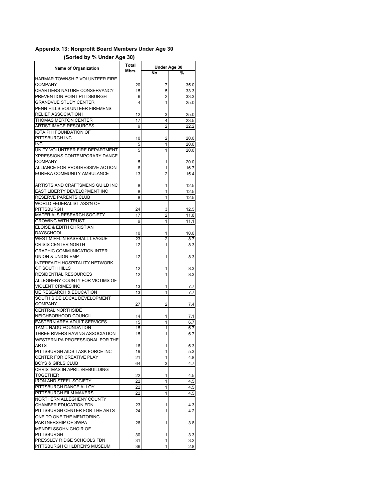## **Appendix 13: Nonprofit Board Members Under Age 30**

## **(Sorted by % Under Age 30)**

| <b>Name of Organization</b>                               | <b>Total</b> |                | Under Age 30 |  |  |
|-----------------------------------------------------------|--------------|----------------|--------------|--|--|
|                                                           | <b>Mbrs</b>  | No.            | %            |  |  |
| HARMAR TOWNSHIP VOLUNTEER FIRE<br>COMPANY                 |              |                |              |  |  |
| CHARTIERS NATURE CONSERVANCY                              | 20           | 7              | 35.0         |  |  |
| PREVENTION POINT PITTSBURGH                               | 15           | 5              | 33.3         |  |  |
|                                                           | 6            | 2              | 33.3         |  |  |
| <b>GRANDVUE STUDY CENTER</b>                              | 4            | 1              | 25.0         |  |  |
| PENN HILLS VOLUNTEER FIREMENS                             |              |                |              |  |  |
| <b>RELIEF ASSOCIATION I</b>                               | 12           | 3              | 25.0         |  |  |
| <b>THOMAS MERTON CENTER</b>                               | 17           | 4              | 23.5         |  |  |
| <b>ARTIST IMAGE RESOURCES</b>                             | 9            | $\overline{2}$ | 22.2         |  |  |
| <b>IOTA PHI FOUNDATION OF</b>                             |              |                |              |  |  |
| PITTSBURGH INC                                            | 10           | 2              | 20.0         |  |  |
| <b>INC</b>                                                | 5            | 1              | 20.0         |  |  |
| UNITY VOLUNTEER FIRE DEPARTMENT                           | 5            | 1              | 20.0         |  |  |
| <b>XPRESSIONS CONTEMPORARY DANCE</b>                      |              |                |              |  |  |
| <b>COMPANY</b>                                            | 5            | 1              | 20.0         |  |  |
| ALLIANCE FOR PROGRESSIVE ACTION                           | 6            | 1              | 16.7         |  |  |
| EUREKA COMMUNITY AMBULANCE                                | 13           | $\overline{2}$ | 15.4         |  |  |
|                                                           |              |                |              |  |  |
| ARTISTS AND CRAFTSMENS GUILD INC                          | 8            | 1              | 12.5         |  |  |
| EAST LIBERTY DEVELOPMENT INC                              | 8            | 1              | 12.5         |  |  |
| RESERVE PARENTS CLUB                                      | 8            | 1              | 12.5         |  |  |
| WORLD FEDERALIST ASS'N OF                                 |              |                |              |  |  |
| PITTSBURGH                                                | 24           | 3              | 12.5         |  |  |
| MATERIALS RESEARCH SOCIETY                                | 17           | $\overline{2}$ | 11.8         |  |  |
| <b>GROWING WITH TRUST</b>                                 | 9            | 1              | 11.1         |  |  |
| ELOISE & EDITH CHRISTIAN                                  |              |                |              |  |  |
| <b>DAYSCHOOL</b>                                          | 10           | 1              | 10.0         |  |  |
| WEST MIFFLIN BASEBALL LEAGUE                              | 23           | 2              | 8.7          |  |  |
| <b>CRISIS CENTER NORTH</b>                                | 12           | 1              | 8.3          |  |  |
| <b>GRAPHIC COMMUNICATION INTER</b>                        |              |                |              |  |  |
| UNION & UNION EMP                                         | 12           | 1              | 8.3          |  |  |
| <b>INTERFAITH HOSPITALITY NETWORK</b>                     |              |                |              |  |  |
| OF SOUTH HILLS                                            | 12           | 1              | 8.3          |  |  |
| <b>RESIDENTIAL RESOURCES</b>                              | 12           | 1              | 8.3          |  |  |
| ALLEGHENY COUNTY FOR VICTIMS OF                           |              |                |              |  |  |
| VIOLENT CRIMES INC                                        | 13           | 1              | 7.7          |  |  |
| <b>UE RESEARCH &amp; EDUCATION</b>                        | 13           | 1              | 7.7          |  |  |
| SOUTH SIDE LOCAL DEVELOPMENT                              |              |                |              |  |  |
| <b>COMPANY</b>                                            | 27           | 2              | 7.4          |  |  |
| <b>CENTRAL NORTHSIDE</b>                                  |              |                |              |  |  |
| NEIGHBORHOOD COUNCIL                                      | 14           | 1              | 7.1          |  |  |
| EASTERN AREA ADULT SERVICES                               | 15           | 1              | 6.7          |  |  |
| TAMIL NADU FOUNDATION                                     | 15           | 1              | 6.7          |  |  |
| THREE RIVERS RAVING ASSOCIATION                           | 15           | 1              | 6.7          |  |  |
| WESTERN PA PROFESSIONAL FOR THE                           |              |                |              |  |  |
| ARTS                                                      | 16           | 1              | 6.3          |  |  |
| PITTSBURGH AIDS TASK FORCE INC                            | 19           | 1              | 5.3          |  |  |
| <b>CENTER FOR CREATIVE PLAY</b>                           | 21           | 1              | 4.8          |  |  |
| <b>BOYS &amp; GIRLS CLUB</b>                              | 64           | 3              | 4.7          |  |  |
| CHRISTMAS IN APRIL /REBUILDING                            |              |                |              |  |  |
| TOGETHER                                                  |              |                |              |  |  |
| <b>IRON AND STEEL SOCIETY</b>                             | 22<br>22     | 1<br>1         | 4.5          |  |  |
| PITTSBURGH DANCE ALLOY                                    |              |                | 4.5          |  |  |
| PITTSBURGH FILM MAKERS                                    | 22           | 1              | 4.5          |  |  |
|                                                           | 22           | 1              | 4.5          |  |  |
| NORTHERN ALLEGHENY COUNTY<br><b>CHAMBER EDUCATION FDN</b> |              |                |              |  |  |
|                                                           | 23           | 1              | 4.3          |  |  |
| PITTSBURGH CENTER FOR THE ARTS                            | 24           | 1              | 4.2          |  |  |
| ONE TO ONE THE MENTORING                                  |              |                |              |  |  |
| PARTNERSHIP OF SWPA                                       | 26           | 1              | 3.8          |  |  |
| MENDELSSOHN CHOIR OF                                      |              |                |              |  |  |
| PITTSBURGH                                                | 30           | 1              | 3.3          |  |  |
| PRESSLEY RIDGE SCHOOLS FDN                                | 31           | 1              | 3.2          |  |  |
| PITTSBURGH CHILDREN'S MUSEUM                              | 36           | 1              | 2.8          |  |  |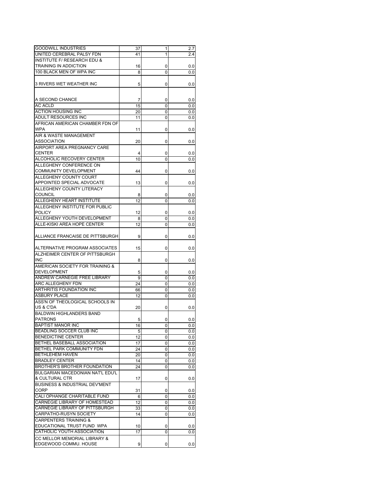| <b>GOODWILL INDUSTRIES</b>                | 37 | 1 | 2.7 |
|-------------------------------------------|----|---|-----|
|                                           |    |   |     |
| UNITED CEREBRAL PALSY FDN                 | 41 | 1 | 2.4 |
| <b>INSTITUTE F/ RESEARCH EDU &amp;</b>    |    |   |     |
| <b>TRAINING IN ADDICTION</b>              | 16 | 0 | 0.0 |
| 100 BLACK MEN OF WPA INC                  | 8  | 0 | 0.0 |
|                                           |    |   |     |
|                                           |    |   |     |
| 3 RIVERS WET WEATHER INC                  | 5  | 0 | 0.0 |
|                                           |    |   |     |
|                                           |    |   |     |
| A SECOND CHANCE                           | 7  | 0 | 0.0 |
| <b>AC ACLD</b>                            | 15 | 0 | 0.0 |
| <b>ACTION HOUSING INC</b>                 | 20 | 0 | 0.0 |
| ADULT RESOURCES INC                       |    |   |     |
|                                           | 11 | 0 | 0.0 |
| AFRICAN AMERICAN CHAMBER FDN OF           |    |   |     |
| <b>WPA</b>                                | 11 | 0 | 0.0 |
| AIR & WASTE MANAGEMENT                    |    |   |     |
| <b>ASSOCIATION</b>                        | 20 | 0 | 0.0 |
| AIRPORT AREA PREGNANCY CARE               |    |   |     |
|                                           |    |   |     |
| <b>CENTER</b>                             | 4  | 0 | 0.0 |
| ALCOHOLIC RECOVERY CENTER                 | 10 | 0 | 0.0 |
| ALLEGHENY CONFERENCE ON                   |    |   |     |
| <b>COMMUNITY DEVELOPMENT</b>              | 44 | 0 | 0.0 |
| ALLEGHENY COUNTY COURT                    |    |   |     |
|                                           |    |   |     |
| APPOINTED SPECIAL ADVOCATE                | 13 | 0 | 0.0 |
| ALLEGHENY COUNTY LITERACY                 |    |   |     |
| <b>COUNCIL</b>                            | 8  | 0 | 0.0 |
| ALLEGHENY HEART INSTITUTE                 | 12 | 0 | 0.0 |
|                                           |    |   |     |
| ALLEGHENY INSTITUTE FOR PUBLIC            |    |   |     |
| <b>POLICY</b>                             | 12 | 0 | 0.0 |
| ALLEGHENY YOUTH DEVELOPMENT               | 8  | 0 | 0.0 |
| ALLE-KISKI AREA HOPE CENTER               | 12 | 0 | 0.0 |
|                                           |    |   |     |
|                                           |    |   |     |
| ALLIANCE FRANCAISE DE PITTSBURGH          | 9  | 0 | 0.0 |
|                                           |    |   |     |
| ALTERNATIVE PROGRAM ASSOCIATES            | 15 | 0 | 0.0 |
| ALZHEIMER CENTER OF PITTSBURGH            |    |   |     |
| <b>INC</b>                                | 8  | 0 | 0.0 |
|                                           |    |   |     |
| AMERICAN SOCIETY FOR TRAINING &           |    |   |     |
| <b>DEVELOPMENT</b>                        | 5  | 0 | 0.0 |
| ANDREW CARNEGIE FREE LIBRARY              | 9  | 0 | 0.0 |
| ARC ALLEGHENY FDN                         | 24 | 0 | 0.0 |
| <b>ARTHRITIS FOUNDATION INC</b>           | 66 | 0 | 0.0 |
| <b>ASBURY PLACE</b>                       |    |   |     |
|                                           | 12 | 0 | 0.0 |
| ASS'N OF THEOLOGICAL SCHOOLS IN           |    |   |     |
| US & C'DA                                 | 20 | 0 | 0.0 |
| <b>BALDWIN HIGHLANDERS BAND</b>           |    |   |     |
| <b>PATRONS</b>                            | 5  | 0 | 0.0 |
| <b>BAPTIST MANOR INC</b>                  |    |   |     |
|                                           | 16 | 0 | 0.0 |
| BEADLING SOCCER CLUB INC                  | 5  | 0 | 0.0 |
| <b>BENEDICTINE CENTER</b>                 | 12 | 0 | 0.0 |
| BETHEL BASEBALL ASSOCIATION               | 17 | 0 | 0.0 |
| BETHEL PARK COMMUNITY FDN                 | 24 | 0 | 0.0 |
| <b>BETHLEHEM HAVEN</b>                    | 20 | 0 |     |
|                                           |    |   | 0.0 |
| <b>BRADLEY CENTER</b>                     | 14 | 0 | 0.0 |
| BROTHER'S BROTHER FOUNDATION              | 24 | 0 | 0.0 |
| BULGARIAN MACEDONIAN NAT'L EDU'L          |    |   |     |
| & CULTURAL CTR                            | 17 | 0 | 0.0 |
| <b>BUSINESS &amp; INDUSTRIAL DEV'MENT</b> |    |   |     |
|                                           |    |   |     |
| <b>CORP</b>                               | 31 | 0 | 0.0 |
| <b>CALI OPHANGE CHARITABLE FUND</b>       | 6  | 0 | 0.0 |
| CARNEGIE LIBRARY OF HOMESTEAD             | 12 | 0 | 0.0 |
| CARNEGIE LIBRARY OF PITTSBURGH            | 33 | 0 | 0.0 |
| <b>CARPATHO-RUSYN SOCIETY</b>             | 14 | 0 | 0.0 |
|                                           |    |   |     |
| <b>CARPENTERS TRAINING &amp;</b>          |    |   |     |
| EDUCATIONAL TRUST FUND WPA                | 10 | 0 | 0.0 |
| CATHOLIC YOUTH ASSOCIATION                | 17 | 0 | 0.0 |
| CC MELLOR MEMORIAL LIBRARY &              |    |   |     |
| EDGEWOOD COMMU. HOUSE                     | 9  | 0 | 0.0 |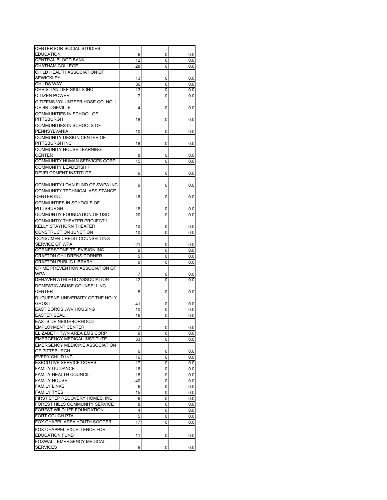| CENTER FOR SOCIAL STUDIES             |    |        |     |
|---------------------------------------|----|--------|-----|
| <b>EDUCATION</b>                      | 6  | 0      | 0.0 |
| <b>CENTRAL BLOOD BANK</b>             | 12 | 0      | 0.0 |
| <b>CHATHAM COLLEGE</b>                | 28 | 0      | 0.0 |
| CHILD HEALTH ASSOCIATION OF           |    |        |     |
| <b>SEWICKLEY</b>                      | 13 |        |     |
| <b>CHILDS WAY</b>                     |    | 0      | 0.0 |
|                                       | 36 | 0      | 0.0 |
| CHRISTIAN LIFE SKILLS INC             | 13 | 0      | 0.0 |
| <b>CITIZEN POWER</b>                  | 7  | 0      | 0.0 |
| CITIZENS VOLUNTEER HOSE CO. NO 1      |    |        |     |
| OF BRIDGEVILLE                        | 4  | 0      | 0.0 |
| COMMUNITIES IN SCHOOL OF              |    |        |     |
| <b>PITTSBURGH</b>                     | 18 | 0      | 0.0 |
| COMMUNITIES IN SCHOOLS OF             |    |        |     |
| PENNSYLVANIA                          | 10 | 0      | 0.0 |
| COMMUNITY DESIGN CENTER OF            |    |        |     |
| PITTSBURGH INC                        | 18 | 0      | 0.0 |
| <b>COMMUNITY HOUSE LEARNING</b>       |    |        |     |
| <b>CENTER</b>                         |    |        |     |
|                                       | 8  | 0      | 0.0 |
| COMMUNITY HUMAN SERVICES CORP         | 15 | 0      | 0.0 |
| <b>COMMUNITY LEADERSHIP</b>           |    |        |     |
| DEVELOPMENT INSTITUTE                 | 9  | 0      | 0.0 |
|                                       |    |        |     |
| COMMUNITY LOAN FUND OF SWPA INC       | 9  | 0      | 0.0 |
| COMMUNITY TECHNICAL ASSISTANCE        |    |        |     |
| <b>CENTER INC</b>                     | 16 | 0      | 0.0 |
| COMMUNTIES IN SCHOOLS OF              |    |        |     |
| <b>PITTSBURGH</b>                     | 18 |        | 0.0 |
| COMMUNTIY FOUNDATION OF USC           |    | 0<br>0 |     |
|                                       | 20 |        | 0.0 |
| COMMUNTIY THEATER PROJECT /           |    |        |     |
| KELLY STAYHORN THEATER                | 10 | 0      | 0.0 |
| <b>CONSTRUCTION JUNCTION</b>          | 10 | 0      | 0.0 |
| CONSUMER CREDIT COUNSELLING           |    |        |     |
| SERVICE OF WPA                        | 21 | 0      | 0.0 |
| CORNERSTONE TELEVISION INC            | 9  | 0      | 0.0 |
| <b>CRAFTON CHILDRENS CORNER</b>       | 5  | 0      | 0.0 |
| <b>CRAFTON PUBLIC LIBRARY</b>         | 9  | 0      | 0.0 |
| CRIME PREVENTION ASSOCIATION OF       |    |        |     |
| <b>WPA</b>                            | 7  | 0      | 0.0 |
|                                       | 12 |        |     |
| DEHAVEN ATHLETIC ASSOCIATION          |    | 0      | 0.0 |
| DOMESTIC ABUSE COUNSELLING            |    |        |     |
| <b>CENTER</b>                         | 8  | 0      | 0.0 |
| DUQUESNE UNIVERSITY OF THE HOLY       |    |        |     |
| <b>GHOST</b>                          | 41 | 0      | 0.0 |
| EAST BOROS JWV HOUSING                | 10 | 0      | 0.0 |
| <b>EASTER SEAL</b>                    | 16 | 0      | 0.0 |
| EASTSIDE NEIGHBORHOOD                 |    |        |     |
| <b>EMPLOYMENT CENTER</b>              | 7  | 0      | 0.0 |
| ELIZABETH TWN AREA EMS CORP           | 9  | 0      | 0.0 |
| <b>EMERGENCY MEDICAL INSTITUTE</b>    | 33 | 0      | 0.0 |
| <b>EMERGENCY MEDICINE ASSOCIATION</b> |    |        |     |
| OF PITTSBURGH                         |    |        |     |
|                                       | 6  | 0      | 0.0 |
| <b>EVERY CHILD INC</b>                | 16 | 0      | 0.0 |
| <b>EXECUTIVE SERVICE CORPS</b>        | 17 | 0      | 0.0 |
| <b>FAMILY GUIDANCE</b>                | 16 | 0      | 0.0 |
| <b>FAMILY HEALTH COUNCIL</b>          | 18 | 0      | 0.0 |
| <b>FAMILY HOUSE</b>                   | 40 | 0      | 0.0 |
| <b>FAMILY LINKS</b>                   | 6  | 0      | 0.0 |
| <b>FAMILY TYES</b>                    | 15 | 0      | 0.0 |
| FIRST STEP RECOVERY HOMES, INC        | 6  | 0      | 0.0 |
| FOREST HILLS COMMUNITY SERVICE        | 8  | 0      | 0.0 |
| FOREST WILDLIFE FOUNDATION            | 4  | 0      | 0.0 |
| FORT COUCH PTA                        | 5  | 0      | 0.0 |
| FOX CHAPEL AREA YOUTH SOCCER          | 17 |        |     |
|                                       |    | 0      | 0.0 |
| FOX CHAPPEL EXCELLENCE FOR            |    |        |     |
| <b>EDUCATION FUND</b>                 | 11 | 0      | 0.0 |
| FOXWALL EMERGENCY MEDICAL             |    |        |     |
| <b>SERVICES</b>                       | 9  | 0      | 0.0 |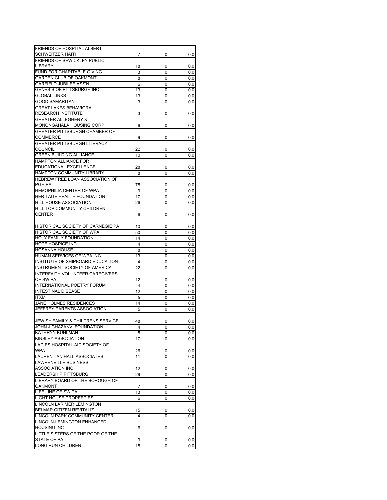| FRIENDS OF HOSPITAL ALBERT                                                                                                 |         |        |            |
|----------------------------------------------------------------------------------------------------------------------------|---------|--------|------------|
| <b>SCHWEITZER HAITI</b>                                                                                                    | 7       | 0      | 0.0        |
| FRIENDS OF SEWICKLEY PUBLIC                                                                                                |         |        |            |
| LIBRARY                                                                                                                    | 18      | 0      | 0.0        |
| <b>FUND FOR CHARITABLE GIVING</b>                                                                                          | 3       | 0      | 0.0        |
| <b>GARDEN CLUB OF OAKMONT</b>                                                                                              | 8       | 0      | 0.0        |
| <b>GARFIELD JUBILEE ASS'N</b>                                                                                              | 6       | 0      | 0.0        |
| GENESIS OF PITTSBURGH INC                                                                                                  | 13      | 0      | 0.0        |
| <b>GLOBAL LINKS</b>                                                                                                        | 13      | 0      | 0.0        |
| <b>GOOD SAMARITAN</b>                                                                                                      | 3       | 0      | 0.0        |
| <b>GREAT LAKES BEHAVIORAL</b>                                                                                              |         |        |            |
| <b>RESEARCH INSTITUTE</b>                                                                                                  | 3       | 0      | 0.0        |
| <b>GREATER ALLEGHENY &amp;</b>                                                                                             |         |        |            |
| MONONGAHALA HOUSING CORP                                                                                                   |         |        |            |
|                                                                                                                            | 6       | 0      | 0.0        |
| GREATER PITTSBURGH CHAMBER OF                                                                                              |         |        |            |
| COMMERCE                                                                                                                   | 9       | 0      | 0.0        |
| <b>GREATER PITTSBURGH LITERACY</b>                                                                                         |         |        |            |
| <b>COUNCIL</b>                                                                                                             | 22      | 0      | 0.0        |
| <b>GREEN BUILDING ALLIANCE</b>                                                                                             | 10      | 0      | 0.0        |
| <b>HAMPTON ALLIANCE FOR</b>                                                                                                |         |        |            |
| <b>EDUCATIONAL EXCELLENCE</b>                                                                                              | 28      | 0      | 0.0        |
| HAMPTON COMMUNITY LIBRARY                                                                                                  | 8       | 0      | 0.0        |
| HEBREW FREE LOAN ASSOCIATION OF                                                                                            |         |        |            |
| PGH PA                                                                                                                     | 75      | 0      | 0.0        |
| <b>HEMOPHILIA CENTER OF WPA</b>                                                                                            | 9       | 0      | 0.0        |
| HERITAGE HEALTH FOUNDATION                                                                                                 | 17      | 0      | 0.0        |
| <b>HILL HOUSE ASSOCIATION</b>                                                                                              | 26      | 0      | 0.0        |
| <b>HILL TOP COMMUNITY CHILDREN</b>                                                                                         |         |        |            |
| <b>CENTER</b>                                                                                                              | 6       | 0      | 0.0        |
|                                                                                                                            |         |        |            |
|                                                                                                                            |         |        |            |
| HISTORICAL SOCIETY OF CARNEGIE PA                                                                                          | 10      | 0      | 0.0        |
| HISTORICAL SOCIETY OF WPA                                                                                                  | 50      | 0      | 0.0        |
| <b>HOLY FAMILY FOUNDATION</b>                                                                                              | 14      | 0      | 0.0        |
| <b>HOPE HOSPICE INC</b>                                                                                                    | 4       | 0      | 0.0        |
| <b>HOSANNA HOUSE</b>                                                                                                       | 8       | 0      | 0.0        |
| HUMAN SERVICES OF WPA INC                                                                                                  | 13      | 0      | 0.0        |
| INSTITUTE OF SHIPBOARD EDUCATION                                                                                           | 4       | 0      | 0.0        |
| INSTRUMENT SOCIETY OF AMERICA                                                                                              | 22      | 0      | 0.0        |
| INTERFAITH VOLUNTEER CAREGIVERS                                                                                            |         |        |            |
|                                                                                                                            |         |        |            |
| OF SW PA                                                                                                                   | 12      | 0      | 0.0        |
| <b>INTERNATIONAL POETRY FORUM</b>                                                                                          | 4       | 0      | 0.0        |
| <b>INTESTINAL DISEASE</b>                                                                                                  | 12      | 0      | 0.0        |
|                                                                                                                            |         | 0      | 0.0        |
| <b>ITXM</b><br><b>JANE HOLMES RESIDENCES</b>                                                                               | 5       |        |            |
|                                                                                                                            | 14      | 0      | 0.0        |
| JEFFREY PARENTS ASSOCIATION                                                                                                | 5       | 0      | 0.0        |
|                                                                                                                            |         |        |            |
| JEWISH FAMILY & CHILDRENS SERVICE                                                                                          | 48      | 0      | 0.0        |
| JOHN J GHAZANVI FOUNDATION                                                                                                 | 4       | 0      | 0.0        |
| KATHRYN KUHLMAN                                                                                                            | 5       | 0      | 0.0        |
| <b>KINSLEY ASSOCIATION</b>                                                                                                 | 17      | 0      | 0.0        |
| LADIES HOSPITAL AID SOCIETY OF                                                                                             |         |        |            |
| <b>WPA</b>                                                                                                                 | 26      | 0      | 0.0        |
|                                                                                                                            | 11      | 0      | 0.0        |
|                                                                                                                            |         |        |            |
|                                                                                                                            | 12      | 0      | 0.0        |
| <b>LAURENTIAN HALL ASSOCIATES</b><br><b>LAWRENVILLE BUSINESS</b><br><b>ASSOCIATION INC</b><br><b>LEADERSHIP PITTSBURGH</b> | 29      | 0      | 0.0        |
|                                                                                                                            |         |        |            |
|                                                                                                                            |         |        |            |
| LIBRARY BOARD OF THE BOROUGH OF<br><b>OAKMONT</b>                                                                          | 7       | 0      | 0.0        |
|                                                                                                                            | 13      | 0      | 0.0        |
|                                                                                                                            | 6       | 0      | 0.0        |
| LINCOLN LARIMER LEMINGTON                                                                                                  |         |        |            |
|                                                                                                                            | 15      | 0      | 0.0        |
| LIFE LINE OF SW PA<br><b>LIGHT HOUSE PROPERTIES</b><br>BELMAR CITIZEN REVITALIZ<br>LINCOLN PARK COMMUNITY CENTER           | 4       | 0      | 0.0        |
| <b>LINCOLN-LEMINGTON ENHANCED</b>                                                                                          |         |        |            |
| <b>HOUSING INC</b>                                                                                                         | 6       | 0      | 0.0        |
| LITTLE SISTERS OF THE POOR OF THE                                                                                          |         |        |            |
| STATE OF PA<br>LONG RUN CHILDREN                                                                                           | 9<br>15 | 0<br>0 | 0.0<br>0.0 |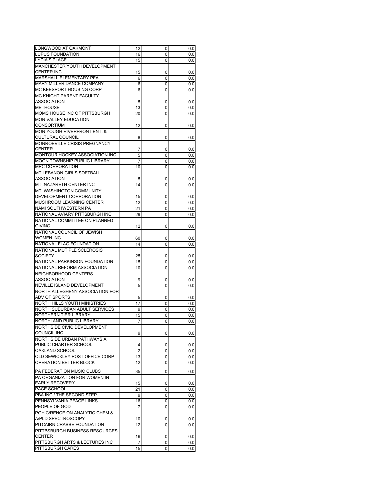| LONGWOOD AT OAKMONT                    | 12             | 0 | 0.0 |
|----------------------------------------|----------------|---|-----|
| <b>LUPUS FOUNDATION</b>                | 16             | 0 | 0.0 |
| <b>LYDIA'S PLACE</b>                   | 15             | 0 | 0.0 |
| MANCHESTER YOUTH DEVELOPMENT           |                |   |     |
| <b>CENTER INC</b>                      |                |   |     |
| MARSHALL ELEMENTARY PFA                | 15             | 0 | 0.0 |
|                                        | 6              | 0 | 0.0 |
| <b>MARY MILLER DANCE COMPANY</b>       | 6              | 0 | 0.0 |
| MC KEESPORT HOUSING CORP               | 6              | 0 | 0.0 |
| MC KNIGHT PARENT FACULTY               |                |   |     |
| <b>ASSOCIATION</b>                     | 5              | 0 | 0.0 |
| <b>METHOUSE</b>                        | 13             | 0 | 0.0 |
| MOMS HOUSE INC OF PITTSBURGH           | 20             | 0 | 0.0 |
| <b>MON VALLEY EDUCATION</b>            |                |   |     |
| <b>CONSORTIUM</b>                      | 12             | 0 | 0.0 |
| <b>MON YOUGH RIVERFRONT ENT. &amp;</b> |                |   |     |
|                                        |                |   |     |
| <b>CULTURAL COUNCIL</b>                | 8              | 0 | 0.0 |
| MONROEVILLE CRISIS PREGNANCY           |                |   |     |
| <b>CENTER</b>                          | 7              | 0 | 0.0 |
| MONTOUR HOCKEY ASSOCIATION INC         | 5              | 0 | 0.0 |
| <b>MOON TOWNSHIP PUBLIC LIBRARY</b>    | 7              | 0 | 0.0 |
| <b>MPC CORPORATION</b>                 | 10             | 0 | 0.0 |
| MT LEBANON GIRLS SOFTBALL              |                |   |     |
| <b>ASSOCIATION</b>                     | 5              | 0 | 0.0 |
| MT. NAZARETH CENTER INC                | 14             | 0 |     |
|                                        |                |   | 0.0 |
| MT. WASHINGTON COMMUNITY               |                |   |     |
| DEVELOPMENT CORPORATION                | 15             | 0 | 0.0 |
| MUSHROOM LEARNING CENTER               | 12             | 0 | 0.0 |
| <b>NAMI SOUTHWESTERN PA</b>            | 21             | 0 | 0.0 |
| NATIONAL AVIARY PITTSBURGH INC         | 29             | 0 | 0.0 |
| NATIONAL COMMITTEE ON PLANNED          |                |   |     |
| <b>GIVING</b>                          | 12             | 0 | 0.0 |
| NATIONAL COUNCIL OF JEWISH             |                |   |     |
| WOMEN INC                              |                | 0 |     |
|                                        | 60             |   | 0.0 |
| NATIONAL FLAG FOUNDATION               | 14             | 0 | 0.0 |
| NATIONAL MUTIPLE SCLEROSIS             |                |   |     |
| <b>SOCIETY</b>                         | 25             | 0 | 0.0 |
| NATIONAL PARKINSON FOUNDATION          | 15             | 0 | 0.0 |
| NATIONAL REFORM ASSOCIATION            | 10             | 0 | 0.0 |
| NEIGHBORHOOD CENTERS                   |                |   |     |
| ASSOCIATION                            | 9              | 0 | 0.0 |
| NEVILLE ISLAND DEVELOPMENT             | 5              | 0 | 0.0 |
| NORTH ALLEGHENY ASSOCIATION FOR        |                |   |     |
| ADV OF SPORTS                          | 5              | 0 | 0.0 |
| NORTH HILLS YOUTH MINISTRIES           |                | 0 |     |
| <b>NORTH SUBURBAN ADULT SERVICES</b>   | 17             |   | 0.0 |
|                                        | 9              | 0 | 0.0 |
| <b>NORTHERN TIER LIBRARY</b>           | 15             | 0 | 0.0 |
| NORTHLAND PUBLIC LIBRARY               | 7              | 0 | 0.0 |
| NORTHSIDE CIVIC DEVELOPMENT            |                |   |     |
| COUNCIL INC                            | 9              | 0 | 0.0 |
| NORTHSIDE URBAN PATHWAYS A             |                |   |     |
| PUBLIC CHARTER SCHOOL                  | 4              | 0 | 0.0 |
| OAKLAND SCHOOL                         | $\overline{2}$ | 0 | 0.0 |
| OLD SEWICKLEY POST OFFICE CORP         | 13             | 0 | 0.0 |
| OPERATION BETTER BLOCK                 | 12             | 0 | 0.0 |
|                                        |                |   |     |
| PA FEDERATION MUSIC CLUBS              | 35             | 0 | 0.0 |
| PA ORGANIZATION FOR WOMEN IN           |                |   |     |
| <b>EARLY RECOVERY</b>                  | 15             | 0 | 0.0 |
| PACE SCHOOL                            | 21             | 0 | 0.0 |
| PBA INC / THE SECOND STEP              | 9              | 0 | 0.0 |
| PENNSYLVANIA PEACE LINKS               |                | 0 |     |
|                                        | 16             |   | 0.0 |
| PEOPLE OF GOD                          | 7              | 0 | 0.0 |
| PGH C/RENCE ON ANALYTIC CHEM &         |                |   |     |
| A/PLD SPECTROSCOPY                     | 10             | 0 | 0.0 |
| PITCAIRN CRABBE FOUNDATION             | 12             | 0 | 0.0 |
| PITTBSBURGH BUSINESS RESOURCES         |                |   |     |
| <b>CENTER</b>                          | 16             | 0 | 0.0 |
| PITTSBURGH ARTS & LECTURES INC         | 7              | 0 | 0.0 |
| PITTSBURGH CARES                       | 15             | 0 | 0.0 |
|                                        |                |   |     |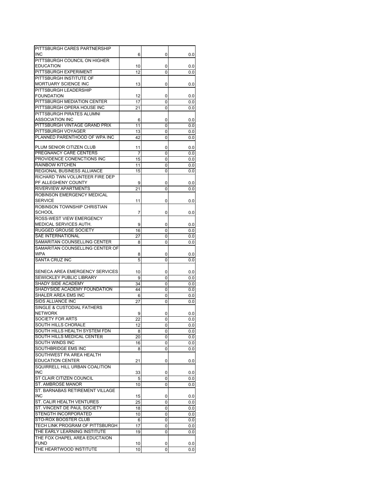| PITTSBURGH CARES PARTNERSHIP               |          |        |            |
|--------------------------------------------|----------|--------|------------|
| <b>INC</b>                                 | 6        | 0      | 0.0        |
| PITTSBURGH COUNCIL ON HIGHER               |          |        |            |
| <b>EDUCATION</b><br>PITTSBURGH EXPERIMENT  | 10       | 0      | 0.0        |
| PITTSBURGH INSTITUTE OF                    | 12       | 0      | 0.0        |
| MORTUARY SCIENCE INC                       |          |        |            |
|                                            | 13       | 0      | 0.0        |
| PITTSBURGH LEADERSHIP<br><b>FOUNDATION</b> |          |        |            |
| PITTSBURGH MEDIATION CENTER                | 12<br>17 | 0<br>0 | 0.0<br>0.0 |
| PITTSBURGH OPERA HOUSE INC                 | 21       | 0      | 0.0        |
| PITTSBURGH PIRATES ALUMNI                  |          |        |            |
| <b>ASSOCIATION INC</b>                     | 6        | 0      | 0.0        |
| PITTSBURGH VINTAGE GRAND PRIX              | 11       | 0      | 0.0        |
| PITTSBURGH VOYAGER                         | 13       | 0      | 0.0        |
| PLANNED PARENTHOOD OF WPA INC              | 42       | 0      | 0.0        |
|                                            |          |        |            |
| PLUM SENIOR CITIZEN CLUB                   | 11       | 0      | 0.0        |
| PREGNANCY CARE CENTERS                     | 7        | 0      | 0.0        |
| PROVIDENCE CONENCTIONS INC                 | 15       | 0      | 0.0        |
| <b>RAINBOW KITCHEN</b>                     | 11       | 0      | 0.0        |
| REGIONAL BUSINESS ALLIANCE                 | 15       | 0      | 0.0        |
| RICHARD TWN VOLUNTEER FIRE DEP             |          |        |            |
| PF ALLEGHENY COUNTY                        | 9        | 0      | 0.0        |
| <b>RIVERVIEW APARTMENTS</b>                | 21       | 0      | 0.0        |
| ROBINSON EMERGENCY MEDICAL                 |          |        |            |
| <b>SERVICE</b>                             | 11       | 0      | 0.0        |
| ROBINSON TOWNSHIP CHRISTIAN                |          |        |            |
| <b>SCHOOL</b>                              | 7        | 0      | 0.0        |
| ROSS-WEST VIEW EMERGENCY                   |          |        |            |
| MEDICAL SERVICES AUTH.                     | 9        | 0      | 0.0        |
| <b>RUGGED GROUSE SOCIETY</b>               | 16       | 0      | 0.0        |
| SAE INTERNATIONAL                          | 27       | 0      | 0.0        |
| SAMARITAN COUNSELLING CENTER               | 8        | 0      | 0.0        |
| SAMARITAN COUNSELLING CENTER OF            |          |        |            |
| <b>WPA</b>                                 | 8        | 0      | 0.0        |
| SANTA CRUZ INC                             | 5        | 0      | 0.0        |
|                                            |          |        |            |
| SENECA AREA EMERGENCY SERVICES             |          |        |            |
|                                            | 10       | 0      | 0.0        |
| <b>SEWICKLEY PUBLIC LIBRARY</b>            | 9        | 0      | 0.0        |
| SHADY SIDE ACADEMY                         | 34       | 0      | 0.0        |
| SHADYSIDE ACADEMY FOUNDATION               | 44       | 0      | 0.0        |
| SHALER AREA EMS INC                        | 6        | 0      | 0.0        |
| SIDS ALLIANCE INC                          | 27       | 0      | 0.0        |
| SINGLE & CUSTODIAL FATHERS                 |          |        |            |
| <b>NETWORK</b>                             | 9        | 0      | 0.0        |
| <b>SOCIETY FOR ARTS</b>                    | 22       | 0      | 0.0        |
| <b>SOUTH HILLS CHORALE</b>                 | 12       | 0      | 0.0        |
| SOUTH HILLS HEALTH SYSTEM FDN              | 8        | 0      | 0.0        |
| SOUTH HILLS MEDICAL CENTER                 | 20       | 0      | 0.0        |
| SOUTH WINDS INC                            | 16       | 0      | 0.0        |
| SOUTHBRIDGE EMS INC                        | 8        | 0      | 0.0        |
| SOUTHWEST PA AREA HEALTH                   |          |        |            |
| <b>EDUCATION CENTER</b>                    | 21       | 0      | 0.0        |
| SQUIRRELL HILL URBAN COALITION             |          |        |            |
| <b>INC</b>                                 | 33       | 0      | 0.0        |
| ST CLAIR CITIZEN COUNCIL                   | 5        | 0      | 0.0        |
| ST. AMBROSE MANOR                          | 10       | 0      | 0.0        |
| ST. BARNABAS RETIREMENT VILLAGE            |          |        |            |
| <b>INC</b>                                 | 15       | 0      | 0.0        |
| ST. CALIR HEALTH VENTURES                  | 25       | 0      | 0.0        |
| ST. VINCENT DE PAUL SOCIETY                | 18       | 0      | 0.0        |
| STENGTH INCORPORATED                       | 10       | 0      | 0.0        |
| STO-ROX BOOSTER CLUB                       | 6        | 0      | 0.0        |
| TECH LINK PROGRAM OF PITTSBURGH            | 17       | 0      | 0.0        |
| THE EARLY LEARNING INSTITUTE               | 19       | 0      | 0.0        |
| THE FOX CHAPEL AREA EDUCTAION              |          |        |            |
| <b>FUND</b><br>THE HEARTWOOD INSTITUTE     | 10<br>10 | 0<br>0 | 0.0<br>0.0 |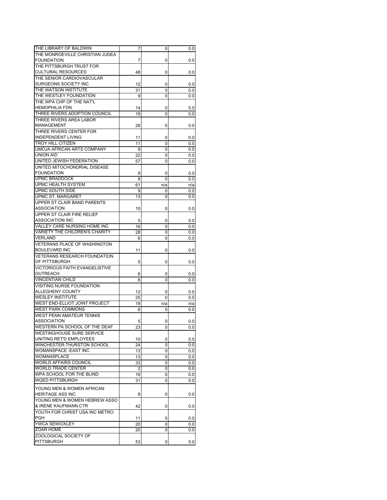| THE LIBRARY OF BALDWIN                | 7  | 0   | 0.0 |
|---------------------------------------|----|-----|-----|
| THE MONROEVILLE CHRISTIAN JUDEA       |    |     |     |
| <b>FOUNDATION</b>                     | 7  | 0   | 0.0 |
| THE PITTSBURGH TRUST FOR              |    |     |     |
| <b>CULTURAL RESOURCES</b>             | 48 | 0   | 0.0 |
| THE SENIOR CARDIOVASCULAR             |    |     |     |
| <b>SURGEONS SOCIETY INC</b>           | 12 | 0   | 0.0 |
| THE WATSON INSTITUTE                  | 31 | 0   | 0.0 |
| THE WESTLEY FOUNDATION                | 9  | 0   | 0.0 |
| THE WPA CHP OF THE NAT'L              |    |     |     |
| <b>HEMOPHILIA FDN</b>                 | 14 | 0   | 0.0 |
| THREE RIVERS ADOPTION COUNCIL         | 19 | 0   | 0.0 |
| THREE RIVERS AREA LABOR               |    |     |     |
| <b>MANAGEMENT</b>                     |    |     |     |
|                                       | 28 | 0   | 0.0 |
| THREE RIVERS CENTER FOR               |    |     |     |
| <b>INDEPENDENT LIVING</b>             | 11 | 0   | 0.0 |
| <b>TROY HILL CITIZEN</b>              | 11 | 0   | 0.0 |
| UMOJA AFRICAN ARTS COMPANY            | 9  | 0   | 0.0 |
| <b>UNION AID</b>                      | 22 | 0   | 0.0 |
| UNITED JEWISH FEDERATION              | 57 | 0   | 0.0 |
| UNITED MITOCHONDRIAL DISEASE          |    |     |     |
| <b>FOUNDATION</b>                     | 9  | 0   | 0.0 |
| <b>UPMC BRADDOCK</b>                  | 8  | 0   | 0.0 |
| <b>UPMC HEALTH SYSTEM</b>             | 61 | n/a | n/a |
| UPMC SOUTH SIDE                       | 9  | 0   | 0.0 |
| <b>UPMC ST. MARGARET</b>              | 13 | 0   | 0.0 |
| UPPER ST CLAIR BAND PARENTS           |    |     |     |
| <b>ASSOCIATION</b>                    |    |     |     |
|                                       | 10 | 0   | 0.0 |
| UPPER ST CLAIR FIRE RELIEF            |    |     |     |
| <b>ASSOCIATION INC</b>                | 5  | 0   | 0.0 |
| VALLEY CARE NURSING HOME INC          | 16 | 0   | 0.0 |
| VARIETY THE CHILDREN'S CHARITY        | 28 | 0   | 0.0 |
| <b>VERLAND</b>                        | 6  | 0   | 0.0 |
| <b>VETERANS PLACE OF WASHINGTON</b>   |    |     |     |
| <b>BOULEVARD INC</b>                  | 11 | 0   | 0.0 |
| <b>VETERANS RESEARCH FOUNDATION</b>   |    |     |     |
| OF PITTSBURGH                         | 5  | 0   | 0.0 |
| <b>VICTORIOUS FAITH EVANGELISTIVE</b> |    |     |     |
| <b>OUTREACH</b>                       | 6  | 0   | 0.0 |
| VINCENTIAN CHILD                      | 6  | 0   | 0.0 |
| VISITING NURSE FOUNDATION             |    |     |     |
| ALLEGHENY COUNTY                      | 12 | 0   | 0.0 |
| <b>WESLEY INSTITUTE</b>               | 25 | 0   | 0.0 |
| WEST END-ELLIOT JOINT PROJECT         |    |     | n/a |
|                                       | 18 | n/a |     |
| <b>WEST PARK COMMONS</b>              | 6  | 0   | 0.0 |
| WEST PENN AMATEUR TENNIS              |    |     |     |
| <b>ASSOCIATION</b>                    | 5  | 0   | 0.0 |
| WESTERN PA SCHOOL OF THE DEAF         | 23 | 0   | 0.0 |
| <b>WESTINGHOUSE SURE SERVICE</b>      |    |     |     |
| UNITING RET'D EMPLOYEES               | 10 | 0   | 0.0 |
| WINCHESTER-THURSTON SCHOOL            | 24 | 0   | 0.0 |
| WOMANSPACE - EAST INC                 | 13 | 0   | 0.0 |
| WOMANSPLACE                           | 13 | 0   | 0.0 |
| <b>WORLD AFFAIRS COUNCIL</b>          | 33 | 0   | 0.0 |
| <b>WORLD TRADE CENTER</b>             | 2  | 0   | 0.0 |
| WPA SCHOOL FOR THE BLIND              | 16 | 0   | 0.0 |
| <b>WOED PITTSBURGH</b>                | 31 | 0   | 0.0 |
|                                       |    |     |     |
| YOUNG MEN & WOMEN AFRICAN             |    |     |     |
| HERITAGE ASS INC                      | 8  | 0   | 0.0 |
| YOUNG MEN & WOMEN HEBREW ASSO         |    |     |     |
| & IRENE KAUFMANN CTR                  | 42 | 0   | 0.0 |
| YOUTH FOR CHRIST USA INC METRO        |    |     |     |
| <b>PGH</b>                            | 11 | 0   | 0.0 |
| YWCA SEWICKLEY                        | 20 | 0   | 0.0 |
| ZOAR HOME                             | 20 | 0   | 0.0 |
| ZOOLOGICAL SOCIETY OF                 |    |     |     |
| <b>PITTSBURGH</b>                     | 53 | 0   | 0.0 |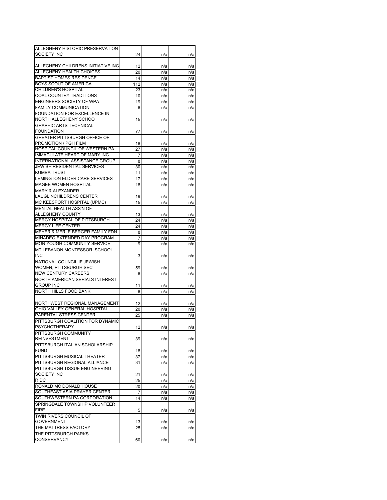| ALLEGHENY HISTORIC PRESERVATION                                |          |            |            |
|----------------------------------------------------------------|----------|------------|------------|
| SOCIETY INC                                                    | 24       | n/a        | n/a        |
|                                                                |          |            |            |
| ALLEGHENY CHILDRENS INITIATIVE INC<br>ALLEGHENY HEALTH CHOICES | 12<br>20 | n/a        | n/a        |
| <b>BAPTIST HOMES RESIDENCE</b>                                 | 14       | n/a        | n/a        |
| <b>BOYS SCOUT OF AMERICA</b>                                   | 112      | n/a        | n/a        |
| CHILDREN'S HOSPITAL                                            | 23       | n/a<br>n/a | n/a        |
| <b>COAL COUNTRY TRADITIONS</b>                                 | 10       | n/a        | n/a<br>n/a |
| ENGINEERS SOCIETY OF WPA                                       | 19       | n/a        |            |
| <b>FAMILY COMMUNICATION</b>                                    | 8        | n/a        | n/a<br>n/a |
| FOUNDATION FOR EXCELLENCE IN                                   |          |            |            |
| NORTH ALLEGHENY SCHOO                                          | 15       | n/a        | n/a        |
| <b>GRAPHIC ARTS TECHNICAL</b>                                  |          |            |            |
| <b>FOUNDATION</b>                                              | 77       | n/a        | n/a        |
| <b>GREATER PITTSBURGH OFFICE OF</b>                            |          |            |            |
| PROMOTION / PGH FILM                                           | 18       | n/a        | n/a        |
| HOSPITAL COUNCIL OF WESTERN PA                                 | 27       | n/a        | n/a        |
| <b>IMMACULATE HEART OF MARY INC</b>                            | 7        | n/a        | n/a        |
| INTERNATIONAL ASSISTANCE GROUP                                 | 8        | n/a        | n/a        |
| <b>JEWISH RESIDENTIAL SERVICES</b>                             | 30       | n/a        | n/a        |
| <b>KUMBA TRUST</b>                                             | 11       | n/a        | n/a        |
| LEMINGTON ELDER CARE SERVICES                                  | 17       | n/a        | n/a        |
| <b>MAGEE WOMEN HOSPITAL</b>                                    | 18       | n/a        | n/a        |
| <b>MARY &amp; ALEXANDER</b>                                    |          |            |            |
| <b>LAUGLINCHILDRENS CENTER</b>                                 | 19       | n/a        | n/a        |
| MC KEESPORT HOSPITAL (UPMC)                                    | 15       | n/a        | n/a        |
| MENTAL HEALTH ASS'N OF                                         |          |            |            |
| ALLEGHENY COUNTY                                               | 13       | n/a        | n/a        |
| <b>MERCY HOSPITAL OF PITTSBURGH</b>                            | 24       | n/a        | n/a        |
| <b>MERCY LIFE CENTER</b>                                       | 24       | n/a        | n/a        |
| MEYER & MERLE BERGER FAMILY FDN                                | 8        | n/a        | n/a        |
| MINADEO EXTENDED DAY PROGRAM                                   | 7        | n/a        | n/a        |
| MON YOUGH COMMUNITY SERVICE                                    | 9        | n/a        | n/a        |
| MT LEBANON MONTESSORI SCHOOL                                   |          |            |            |
| <b>INC</b>                                                     | 3        | n/a        | n/a        |
| NATIONAL COUNCIL IF JEWISH                                     |          |            |            |
| WOMEN, PITTSBURGH SEC                                          | 59       | n/a        | n/a        |
| <b>NEW CENTURY CAREERS</b>                                     | 8        | n/a        | n/a        |
| NORTH AMERICAN SERIALS INTEREST                                |          |            |            |
| <b>GROUP INC</b>                                               | 11       | n/a        | n/a        |
| <b>NORTH HILLS FOOD BANK</b>                                   | 8        | n/a        | n/a        |
|                                                                |          |            |            |
| NORTHWEST REGIONAL MANAGEMENT                                  | 12       | n/a        | n/a        |
| OHIO VALLEY GENERAL HOSPITAL                                   | 20       | n/a        | n/a        |
| PARENTAL STRESS CENTER                                         | 25       | n/a        | n/a        |
| PITTSBURGH COALITION FOR DYNAMIC                               |          |            |            |
| <b>PSYCHOTHERAPY</b>                                           | 12       | n/a        | n/a        |
| PITTSBURGH COMMUNITY<br><b>REINVESTMENT</b>                    |          |            |            |
| PITTSBURGH ITALIAN SCHOLARSHIP                                 | 39       | n/a        | n/a        |
| <b>FUND</b>                                                    |          |            |            |
| PITTSBURGH MUSICAL THEATER                                     | 18<br>37 | n/a        | n/a        |
| PITTSBURGH REGIONAL ALLIANCE                                   | 31       | n/a<br>n/a | n/a        |
| PITTSBURGH TISSUE ENGINEERING                                  |          |            | n/a        |
| SOCIETY INC                                                    | 21       | n/a        | n/a        |
| <b>RIDC</b>                                                    | 25       | n/a        | n/a        |
| RONALD MC DONALD HOUSE                                         | 20       | n/a        | n/a        |
| SOUTHEAST ASIA PRAYER CENTER                                   | 7        | n/a        | n/a        |
| SOUTHWESTERN PA CORPORATION                                    | 14       | n/a        | n/a        |
| SPRINGDALE TOWNSHIP VOLUNTEER                                  |          |            |            |
| <b>FIRE</b>                                                    | 5        | n/a        | n/a        |
| TWIN RIVERS COUNCIL OF                                         |          |            |            |
| <b>GOVERNMENT</b>                                              | 13       | n/a        | n/a        |
| THE MATTRESS FACTORY                                           | 25       | n/a        | n/a        |
| THE PITTSBURGH PARKS                                           |          |            |            |
| <b>CONSERVANCY</b>                                             | 60       | n/a        | n/a        |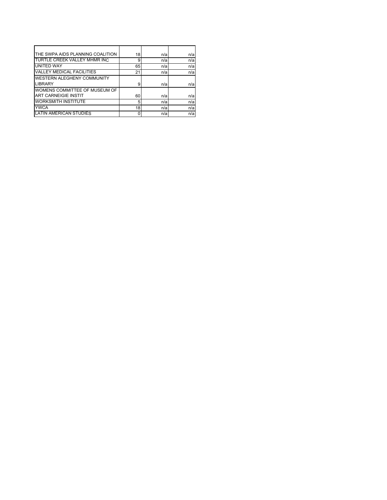| THE SWPA AIDS PLANNING COALITION  | 18 | n/a | n/a |
|-----------------------------------|----|-----|-----|
| TURTLE CREEK VALLEY MHMR INC      | 9  | n/a | n/a |
| UNITED WAY                        | 65 | n/a | n/a |
| <b>VALLEY MEDICAL FACILITIES</b>  | 21 | n/a | n/a |
| <b>WESTERN ALEGHENY COMMUNITY</b> |    |     |     |
| LIBRARY                           | 9  | n/a | n/a |
| WOMENS COMMITTEE OF MUSEUM OF     |    |     |     |
| <b>ART CARNEIGIE INSTIT</b>       | 60 | n/a | n/a |
| <b>WORKSMITH INSTITUTE</b>        | 5  | n/a | n/a |
| <b>YWCA</b>                       | 18 | n/a | n/a |
| <b>LATIN AMERICAN STUDIES</b>     |    | n/a | n/a |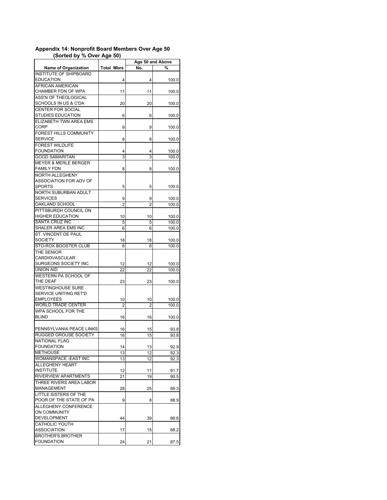|                                 |                   |     | Age 50 and Above |
|---------------------------------|-------------------|-----|------------------|
| <b>Name of Organization</b>     | <b>Total Mbrs</b> | No. | %                |
| <b>INSTITUTE OF SHIPBOARD</b>   |                   |     |                  |
| <b>EDUCATION</b>                | 4                 | 4   | 100.0            |
| AFRICAN AMERICAN                |                   |     |                  |
| CHAMBER FDN OF WPA              | 11                | 11  | 100.0            |
| ASS'N OF THEOLOGICAL            |                   |     |                  |
| SCHOOLS IN US & C'DA            | 20                | 20  | 100.0            |
| CENTER FOR SOCIAL               |                   |     |                  |
| <b>STUDIES EDUCATION</b>        | 6                 | 6   | 100.0            |
| ELIZABETH TWN AREA EMS          |                   |     |                  |
| CORP                            | 9                 | 9   | 100.0            |
| FOREST HILLS COMMUNITY          |                   |     |                  |
| <b>SERVICE</b>                  | 8                 | 8   | 100.0            |
| <b>FOREST WILDLIFE</b>          |                   |     |                  |
| <b>FOUNDATION</b>               | 4                 | 4   | 100.0            |
| <b>GOOD SAMARITAN</b>           | 3                 | 3   | 100.0            |
| <b>MEYER &amp; MERLE BERGER</b> |                   |     |                  |
| <b>FAMILY FDN</b>               | 8                 | 8   | 100.0            |
| <b>NORTH ALLEGHENY</b>          |                   |     |                  |
| ASSOCIATION FOR ADV OF          |                   |     |                  |
| <b>SPORTS</b>                   | 5                 | 5   | 100.0            |
| NORTH SUBURBAN ADULT            |                   |     |                  |
| <b>SERVICES</b>                 | 9                 | 9   | 100.0            |
| OAKLAND SCHOOL                  | 2                 | 2   | 100.0            |
| PITTSBURGH COUNCIL ON           |                   |     |                  |
| <b>HIGHER EDUCATION</b>         | 10                | 10  | 100.0            |
| <b>SANTA CRUZ INC</b>           | 5                 | 5   | 100.0            |
| SHALER AREA EMS INC             | 6                 | 6   | 100.0            |
| ST. VINCENT DE PAUL             |                   |     |                  |
| SOCIETY                         | 18                | 18  | 100.0            |
| STO-ROX BOOSTER CLUB            | 6                 | 6   | 100.0            |
| THE SENIOR                      |                   |     |                  |
| CARDIOVASCULAR                  |                   |     |                  |
| SURGEONS SOCIETY INC            | 12                | 12  | 100.0            |
| UNION AID                       | 22                | 22  | 100.0            |
| WESTERN PA SCHOOL OF            |                   |     |                  |
| THE DEAF                        | 23                | 23  | 100.0            |
| <b>WESTINGHOUSE SURE</b>        |                   |     |                  |
| SERVICE UNITING RET'D           |                   |     |                  |
| <b>EMPLOYEES</b>                | 10                | 10  | 100.0            |
| <b>WORLD TRADE CENTER</b>       | 2                 | 2   | 100.0            |
| WPA SCHOOL FOR THE              |                   |     |                  |
| <b>BLIND</b>                    | 16                | 16  | 100.0            |
|                                 |                   |     |                  |
| PENNSYLVANIA PEACE LINKS        | 16                | 15  | 93.8             |
| <b>RUGGED GROUSE SOCIETY</b>    | 16                | 15  | 93.8             |
| NATIONAL FLAG                   |                   |     |                  |
| <b>FOUNDATION</b>               | 14                | 13  | 92.9             |
| <b>METHOUSE</b>                 | 13                | 12  | 92.3             |
| WOMANSPACE -EAST INC            | 13                | 12  | 92.3             |
| ALLEGHENY HEART                 |                   |     |                  |
| <b>INSTITUTE</b>                | 12                | 11  | 91.7             |
| <b>RIVERVIEW APARTMENTS</b>     | 21                | 19  | 90.5             |
| THREE RIVERS AREA LABOR         |                   |     |                  |
| MANAGEMENT                      | 28                | 25  | 89.3             |
| LITTLE SISTERS OF THE           |                   |     |                  |
| POOR OF THE STATE OF PA         | 9                 | 8   | 88.9             |
| ALLEGHENY CONFERENCE            |                   |     |                  |
| <b>ON COMMUNITY</b>             |                   |     |                  |
| DEVELOPMENT                     | 44                | 39  | 88.6             |
| CATHOLIC YOUTH                  |                   |     |                  |
| ASSOCIATION                     | 17                | 15  | 88.2             |
| <b>BROTHER'S BROTHER</b>        |                   |     |                  |
| <b>FOUNDATION</b>               | 24                | 21  | 87.5             |

## **Appendix 14: Nonprofit Board Members Over Age 50 (Sorted by % Over Age 50)**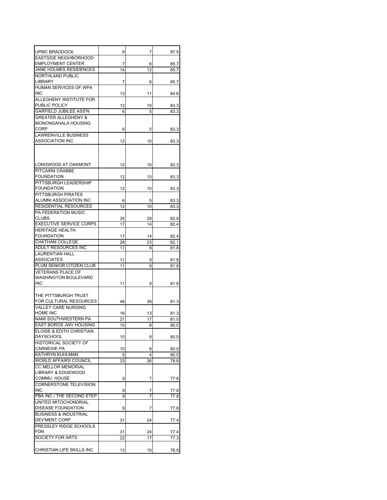| UPMC BRADDOCK                    | 8  | 7              | 87.5 |
|----------------------------------|----|----------------|------|
| <b>EASTSIDE NEIGHBORHOOD</b>     |    |                |      |
| <b>EMPLOYMENT CENTER</b>         | 7  | 6              | 85.7 |
| JANE HOLMES RESIDENCES           | 14 | 12             | 85.7 |
| <b>NORTHLAND PUBLIC</b>          |    |                |      |
| LIBRARY                          | 7  | 6              | 85.7 |
| HUMAN SERVICES OF WPA            |    |                |      |
| <b>INC</b>                       | 13 | 11             | 84.6 |
| ALLEGHENY INSTITUTE FOR          |    |                |      |
| PUBLIC POLICY                    | 12 | 10             | 83.3 |
| <b>GARFIELD JUBILEE ASS'N</b>    | 6  | 5              | 83.3 |
| <b>GREATER ALLEGHENY &amp;</b>   |    |                |      |
| MONONGAHALA HOUSING              |    |                |      |
| CORP                             | 6  | 5              | 83.3 |
| LAWRENVILLE BUSINESS             |    |                |      |
| ASSOCIATION INC                  | 12 | 10             | 83.3 |
|                                  |    |                |      |
|                                  |    |                |      |
|                                  |    |                |      |
| LONGWOOD AT OAKMONT              | 12 | 10             | 83.3 |
| PITCAIRN CRABBE                  |    |                |      |
| <b>FOUNDATION</b>                | 12 | 10             | 83.3 |
| PITTSBURGH LEADERSHIP            |    |                |      |
| FOUNDATION                       | 12 | 10             | 83.3 |
| PITTSBURGH PIRATES               |    |                |      |
| ALUMNI ASSOCIATION INC           | 6  | 5              | 83.3 |
| RESIDENTIAL RESOURCES            | 12 | 10             | 83.3 |
| PA FEDERATION MUSIC              |    |                |      |
| CLUBS                            | 35 | 29             | 82.9 |
| <b>EXECUTIVE SERVICE CORPS</b>   | 17 | 14             | 82.4 |
| <b>HERITAGE HEALTH</b>           |    |                |      |
| <b>FOUNDATION</b>                | 17 | 14             | 82.4 |
| <b>CHATHAM COLLEGE</b>           | 28 | 23             | 82.1 |
| ADULT RESOURCES INC              | 11 | 9              | 81.8 |
| <b>LAURENTIAN HALL</b>           |    |                |      |
| ASSOCIATES                       | 11 | 9              | 81.8 |
| PLUM SENIOR CITIZEN CLUB         | 11 | 9              | 81.8 |
| VETERANS PLACE OF                |    |                |      |
| WASHINGTON BOULEVARD             |    |                |      |
| INC                              | 11 | 9              | 81.8 |
|                                  |    |                |      |
| THE PITTSBURGH TRUST             |    |                |      |
| FOR CULTURAL RESOURCES           | 48 | 39             | 81.3 |
| <b>VALLEY CARE NURSING</b>       |    |                |      |
| HOME INC                         | 16 | 13             | 81.3 |
| NAMI SOUTHWESTERN PA             | 21 | 17             | 81.0 |
| <b>EAST BOROS JWV HOUSING</b>    | 10 | 8              | 80.0 |
| ELOISE & EDITH CHRISTIAN         |    |                |      |
| <b>DAYSCHOOL</b>                 | 10 | 8              | 80.0 |
| <b>HISTORICAL SOCIETY OF</b>     |    |                |      |
| <b>CARNEGIE PA</b>               | 10 | 8              | 80.0 |
| KATHRYN KUHLMAN                  | 5  | $\overline{4}$ | 80.0 |
| <b>WORLD AFFAIRS COUNCIL</b>     | 33 | 26             | 78.8 |
| CC MELLOR MEMORIAL               |    |                |      |
| LIBRARY & EDGEWOOD               |    |                |      |
| COMMU. HOUSE                     | 9  | 7              | 77.8 |
| <b>CORNERSTONE TELEVISION</b>    |    |                |      |
| <b>INC</b>                       | 9  | 7              | 77.8 |
| PBA INC / THE SECOND STEP        | 9  | 7              | 77.8 |
| UNITED MITOCHONDRIAL             |    |                |      |
| DISEASE FOUNDATION               | 9  | 7              | 77.8 |
| <b>BUSINESS &amp; INDUSTRIAL</b> |    |                |      |
| DEV'MENT CORP                    | 31 | 24             | 77.4 |
| PRESSLEY RIDGE SCHOOLS           |    |                |      |
| <b>FDN</b>                       | 31 | 24             | 77.4 |
| SOCIETY FOR ARTS                 |    |                |      |
|                                  | 22 | 17             | 77.3 |
| CHRISTIAN LIFE SKILLS INC        | 13 | 10             |      |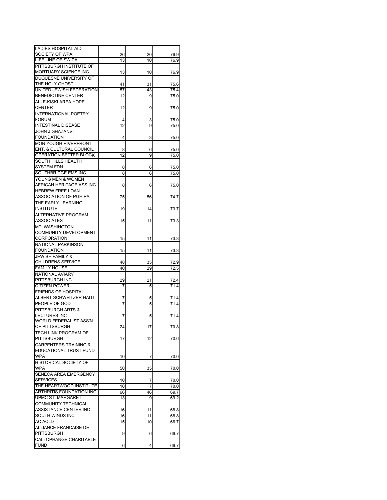| <b>LADIES HOSPITAL AID</b>         |    |    |      |
|------------------------------------|----|----|------|
| SOCIETY OF WPA                     | 26 | 20 | 76.9 |
| LIFE LINE OF SW PA                 | 13 | 10 | 76.9 |
| PITTSBURGH INSTITUTE OF            |    |    |      |
| MORTUARY SCIENCE INC               | 13 | 10 | 76.9 |
| DUQUESNE UNIVERSITY OF             |    |    |      |
| THE HOLY GHOST                     | 41 | 31 | 75.6 |
| UNITED JEWISH FEDERATION           | 57 | 43 | 75.4 |
| BENEDICTINE CENTER                 | 12 | 9  | 75.0 |
| ALLE-KISKI AREA HOPE               |    |    |      |
| <b>CENTER</b>                      | 12 | 9  | 75.0 |
| <b>INTERNATIONAL POETRY</b>        |    |    |      |
| <b>FORUM</b>                       | 4  | 3  | 75.0 |
| <b>INTESTINAL DISEASE</b>          | 12 | 9  | 75.0 |
| JOHN J GHAZANVI                    |    |    |      |
| <b>FOUNDATION</b>                  | 4  | 3  | 75.0 |
| <b>MON YOUGH RIVERFRONT</b>        |    |    |      |
| <b>ENT. &amp; CULTURAL COUNCIL</b> | 8  | 6  | 75.0 |
| OPERATION BETTER BLOCK             | 12 | 9  | 75.0 |
| SOUTH HILLS HEALTH                 |    |    |      |
| <b>SYSTEM FDN</b>                  | 8  | 6  | 75.0 |
| SOUTHBRIDGE EMS INC                | 8  | 6  | 75.0 |
| YOUNG MEN & WOMEN                  |    |    |      |
| AFRICAN HERITAGE ASS INC           | 8  | 6  | 75.0 |
| <b>HEBREW FREE LOAN</b>            |    |    |      |
| ASSOCIATION OF PGH PA              | 75 | 56 | 74.7 |
| THE EARLY LEARNING                 |    |    |      |
| <b>INSTITUTE</b>                   | 19 | 14 | 73.7 |
| <b>ALTERNATIVE PROGRAM</b>         |    |    |      |
| <b>ASSOCIATES</b>                  | 15 | 11 | 73.3 |
| <b>MT. WASHINGTON</b>              |    |    |      |
| <b>COMMUNITY DEVELOPMENT</b>       |    |    |      |
| <b>CORPORATION</b>                 | 15 | 11 | 73.3 |
| <b>NATIONAL PARKINSON</b>          |    |    |      |
| <b>FOUNDATION</b>                  | 15 | 11 | 73.3 |
| <b>JEWISH FAMILY &amp;</b>         |    |    |      |
| <b>CHILDRENS SERVICE</b>           | 48 | 35 | 72.9 |
| <b>FAMILY HOUSE</b>                | 40 | 29 | 72.5 |
| NATIONAL AVIARY                    |    |    |      |
| PITTSBURGH INC                     | 29 | 21 | 72.4 |
| <b>CITIZEN POWER</b>               | 7  | 5  | 71.4 |
| <b>FRIENDS OF HOSPITAL</b>         |    |    |      |
| ALBERT SCHWEITZER HAITI            | 7  | 5  | 71.4 |
| PEOPLE OF GOD                      | 7  | 5  | 71.4 |
| PITTSBURGH ARTS &                  |    |    |      |
| <b>LECTURES INC</b>                | 7  | 5  | 71.4 |
| <b>WORLD FEDERALIST ASS'N</b>      |    |    |      |
| OF PITTSBURGH                      | 24 | 17 | 70.8 |
| TECH LINK PROGRAM OF               |    |    |      |
| <b>PITTSBURGH</b>                  | 17 | 12 | 70.6 |
| <b>CARPENTERS TRAINING &amp;</b>   |    |    |      |
| EDUCATIONAL TRUST FUND             |    |    |      |
| <b>WPA</b>                         | 10 | 7  | 70.0 |
| <b>HISTORICAL SOCIETY OF</b>       |    |    |      |
| <b>WPA</b>                         | 50 | 35 | 70.0 |
| SENECA AREA EMERGENCY              |    |    |      |
| <b>SERVICES</b>                    | 10 | 7  | 70.0 |
| THE HEARTWOOD INSTITUTE            | 10 | 7  | 70.0 |
| ARTHRITIS FOUNDATION INC           | 66 | 46 | 69.7 |
| UPMC ST. MARGARET                  | 13 | 9  | 69.2 |
| <b>COMMUNITY TECHNICAL</b>         |    |    |      |
| ASSISTANCE CENTER INC              | 16 | 11 | 68.8 |
| SOUTH WINDS INC                    | 16 | 11 | 68.8 |
| AC ACLD                            | 15 | 10 | 66.7 |
| ALLIANCE FRANCAISE DE              |    |    |      |
| <b>PITTSBURGH</b>                  | 9  | 6  | 66.7 |
| CALI OPHANGE CHARITABLE            |    |    |      |
| <b>FUND</b>                        | 6  | 4  | 66.7 |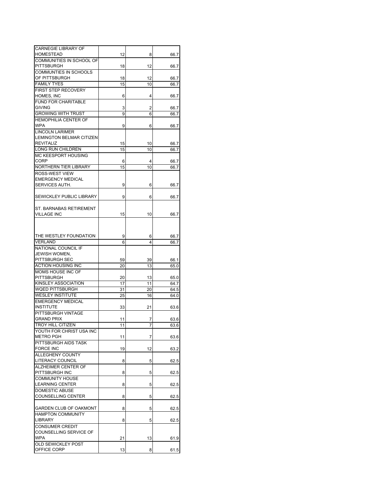| <b>CARNEGIE LIBRARY OF</b>                       |    |    |              |
|--------------------------------------------------|----|----|--------------|
| <b>HOMESTEAD</b>                                 | 12 | 8  | 66.7         |
| COMMUNITIES IN SCHOOL OF                         |    |    |              |
| <b>PITTSBURGH</b>                                | 18 | 12 | 66.7         |
| <b>COMMUNTIES IN SCHOOLS</b>                     |    |    |              |
| OF PITTSBURGH                                    | 18 | 12 | 66.7         |
| <b>FAMILY TYES</b>                               | 15 | 10 | 66.7         |
| FIRST STEP RECOVERY                              |    |    |              |
| HOMES, INC                                       | 6  | 4  | 66.7         |
| <b>FUND FOR CHARITABLE</b>                       |    |    |              |
| <b>GIVING</b>                                    | 3  | 2  | 66.7         |
| <b>GROWING WITH TRUST</b>                        | 9  | 6  | 66.7         |
| HEMOPHILIA CENTER OF                             |    |    |              |
| <b>WPA</b>                                       | 9  | 6  | 66.7         |
| LINCOLN LARIMER                                  |    |    |              |
| LEMINGTON BELMAR CITIZEN<br><b>REVITALIZ</b>     | 15 | 10 |              |
| LONG RUN CHILDREN                                | 15 | 10 | 66.7<br>66.7 |
| MC KEESPORT HOUSING                              |    |    |              |
| CORP                                             | 6  | 4  | 66.7         |
| NORTHERN TIER LIBRARY                            | 15 | 10 | 66.7         |
| <b>ROSS-WEST VIEW</b>                            |    |    |              |
| <b>EMERGENCY MEDICAL</b>                         |    |    |              |
| SERVICES AUTH.                                   | 9  | 6  | 66.7         |
|                                                  |    |    |              |
| <b>SEWICKLEY PUBLIC LIBRARY</b>                  | 9  | 6  | 66.7         |
|                                                  |    |    |              |
| ST. BARNABAS RETIREMENT                          |    |    |              |
| VILLAGE INC                                      | 15 | 10 | 66.7         |
|                                                  |    |    |              |
|                                                  |    |    |              |
|                                                  |    |    |              |
| THE WESTLEY FOUNDATION                           | 9  | 6  | 66.7         |
| <b>VERLAND</b>                                   | 6  | 4  | 66.7         |
| NATIONAL COUNCIL IF                              |    |    |              |
| JEWISH WOMEN,                                    |    |    |              |
| PITTSBURGH SEC                                   | 59 | 39 | 66.1         |
| <b>ACTION HOUSING INC</b>                        | 20 | 13 | 65.0         |
| MOMS HOUSE INC OF                                |    |    |              |
| <b>PITTSBURGH</b>                                | 20 | 13 | 65.0         |
| KINSLEY ASSOCIATION                              | 17 | 11 | 64.7         |
| <b>WQED PITTSBURGH</b>                           | 31 | 20 | 64.5         |
| <b>WESLEY INSTITUTE</b>                          | 25 | 16 | 64.0         |
| <b>EMERGENCY MEDICAL</b>                         |    |    |              |
| <b>INSTITUTE</b>                                 | 33 | 21 | 63.6         |
| PITTSBURGH VINTAGE                               |    |    |              |
| <b>GRAND PRIX</b>                                | 11 | 7  | 63.6         |
| <b>TROY HILL CITIZEN</b>                         | 11 | 7  | 63.6         |
| YOUTH FOR CHRIST USA INC                         |    |    |              |
| <b>METRO PGH</b>                                 | 11 | 7  | 63.6         |
| PITTSBURGH AIDS TASK<br>FORCE INC                |    |    |              |
|                                                  | 19 | 12 | 63.2         |
| ALLEGHENY COUNTY<br>LITERACY COUNCIL             |    |    |              |
|                                                  | 8  | 5  | 62.5         |
| ALZHEIMER CENTER OF<br>PITTSBURGH INC            | 8  | 5  |              |
|                                                  |    |    | 62.5         |
| <b>COMMUNITY HOUSE</b><br><b>LEARNING CENTER</b> | 8  | 5  | 62.5         |
| <b>DOMESTIC ABUSE</b>                            |    |    |              |
| COUNSELLING CENTER                               | 8  | 5  |              |
|                                                  |    |    | 62.5         |
| <b>GARDEN CLUB OF OAKMONT</b>                    | 8  | 5  | 62.5         |
| <b>HAMPTON COMMUNITY</b>                         |    |    |              |
| LIBRARY                                          |    |    |              |
|                                                  | 8  | 5  | 62.5         |
| <b>CONSUMER CREDIT</b><br>COUNSELLING SERVICE OF |    |    |              |
| <b>WPA</b>                                       | 21 | 13 | 61.9         |
| <b>OLD SEWICKLEY POST</b>                        |    |    |              |
| OFFICE CORP                                      | 13 | 8  | 61.5         |
|                                                  |    |    |              |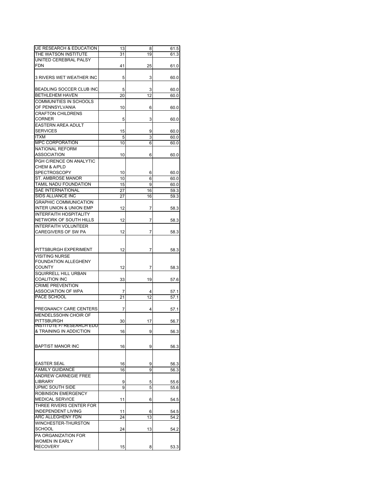| <b>UE RESEARCH &amp; EDUCATION</b> | 13 | 8  | 61.5 |
|------------------------------------|----|----|------|
| THE WATSON INSTITUTE               | 31 | 19 | 61.3 |
| UNITED CEREBRAL PALSY              |    |    |      |
| <b>FDN</b>                         | 41 | 25 | 61.0 |
|                                    |    |    |      |
|                                    |    |    |      |
| 3 RIVERS WET WEATHER INC           | 5  | 3  | 60.0 |
|                                    |    |    |      |
| BEADLING SOCCER CLUB INC           | 5  | 3  | 60.0 |
| BETHLEHEM HAVEN                    | 20 | 12 | 60.0 |
| COMMUNITIES IN SCHOOLS             |    |    |      |
| OF PENNSYLVANIA                    | 10 | 6  | 60.0 |
| <b>CRAFTON CHILDRENS</b>           |    |    |      |
| <b>CORNER</b>                      | 5  | 3  | 60.0 |
|                                    |    |    |      |
| <b>EASTERN AREA ADULT</b>          |    |    |      |
| <b>SERVICES</b>                    | 15 | 9  | 60.0 |
| <b>ITXM</b>                        | 5  | 3  | 60.0 |
| <b>MPC CORPORATION</b>             | 10 | 6  | 60.0 |
| <b>NATIONAL REFORM</b>             |    |    |      |
| <b>ASSOCIATION</b>                 | 10 | 6  | 60.0 |
| PGH C/RENCE ON ANALYTIC            |    |    |      |
| <b>CHEM &amp; A/PLD</b>            |    |    |      |
| <b>SPECTROSCOPY</b>                |    |    |      |
|                                    | 10 | 6  | 60.0 |
| ST. AMBROSE MANOR                  | 10 | 6  | 60.0 |
| TAMIL NADU FOUNDATION              | 15 | 9  | 60.0 |
| SAE INTERNATIONAL                  | 27 | 16 | 59.3 |
| SIDS ALLIANCE INC                  | 27 | 16 | 59.3 |
| <b>GRAPHIC COMMUNICATION</b>       |    |    |      |
| INTER UNION & UNION EMP            | 12 | 7  | 58.3 |
|                                    |    |    |      |
| <b>INTERFAITH HOSPITALITY</b>      |    |    |      |
| NETWORK OF SOUTH HILLS             | 12 | 7  | 58.3 |
| <b>INTERFAITH VOLUNTEER</b>        |    |    |      |
| CAREGIVERS OF SW PA                | 12 | 7  | 58.3 |
|                                    |    |    |      |
|                                    |    |    |      |
|                                    |    |    |      |
| PITTSBURGH EXPERIMENT              | 12 | 7  | 58.3 |
| <b>VISITING NURSE</b>              |    |    |      |
| <b>FOUNDATION ALLEGHENY</b>        |    |    |      |
| <b>COUNTY</b>                      | 12 | 7  | 58.3 |
| SQUIRRELL HILL URBAN               |    |    |      |
| <b>COALITION INC</b>               | 33 | 19 | 57.6 |
| <b>CRIME PREVENTION</b>            |    |    |      |
| <b>ASSOCIATION OF WPA</b>          |    |    |      |
|                                    | 7  | 4  | 57.1 |
| PACE SCHOOL                        | 21 | 12 | 57.1 |
|                                    |    |    |      |
| PREGNANCY CARE CENTERS             | 7  | 4  | 57.1 |
| MENDELSSOHN CHOIR OF               |    |    |      |
| PITTSBURGH                         | 30 | 17 | 56.7 |
| INSTITUTE F/ RESEARCH EDU          |    |    |      |
| & TRAINING IN ADDICTION            | 16 | 9  | 56.3 |
|                                    |    |    |      |
|                                    |    |    |      |
| <b>BAPTIST MANOR INC</b>           | 16 | 9  | 56.3 |
|                                    |    |    |      |
|                                    |    |    |      |
|                                    |    |    |      |
| <b>EASTER SEAL</b>                 | 16 | 9  | 56.3 |
| <b>FAMILY GUIDANCE</b>             | 16 | 9  | 56.3 |
| ANDREW CARNEGIE FREE               |    |    |      |
| <b>LIBRARY</b>                     | 9  | 5  | 55.6 |
| <b>UPMC SOUTH SIDE</b>             | 9  | 5  | 55.6 |
| <b>ROBINSON EMERGENCY</b>          |    |    |      |
| <b>MEDICAL SERVICE</b>             | 11 | 6  | 54.5 |
|                                    |    |    |      |
| THREE RIVERS CENTER FOR            |    |    |      |
| <b>INDEPENDENT LIVING</b>          | 11 | 6  | 54.5 |
| ARC ALLEGHENY FDN                  | 24 | 13 | 54.2 |
| WINCHESTER-THURSTON                |    |    |      |
| <b>SCHOOL</b>                      | 24 | 13 | 54.2 |
| <b>PA ORGANIZATION FOR</b>         |    |    |      |
| <b>WOMEN IN EARLY</b>              |    |    |      |
|                                    |    |    |      |
| <b>RECOVERY</b>                    | 15 | 8  | 53.3 |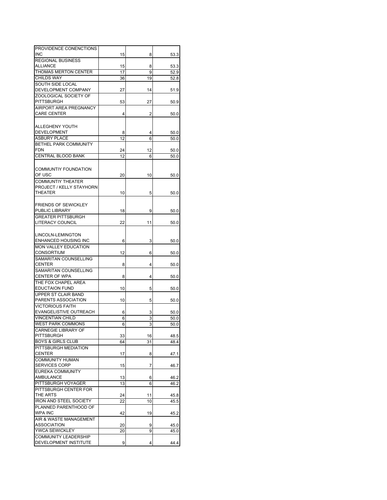| PROVIDENCE CONENCTIONS        |    |    |      |
|-------------------------------|----|----|------|
| <b>INC</b>                    | 15 | 8  |      |
|                               |    |    | 53.3 |
| <b>REGIONAL BUSINESS</b>      |    |    |      |
| <b>ALLIANCE</b>               | 15 | 8  | 53.3 |
| <b>THOMAS MERTON CENTER</b>   | 17 | 9  | 52.9 |
| <b>CHILDS WAY</b>             | 36 | 19 | 52.8 |
| SOUTH SIDE LOCAL              |    |    |      |
| DEVELOPMENT COMPANY           | 27 | 14 | 51.9 |
| ZOOLOGICAL SOCIETY OF         |    |    |      |
| <b>PITTSBURGH</b>             | 53 | 27 |      |
|                               |    |    | 50.9 |
| AIRPORT AREA PREGNANCY        |    |    |      |
| <b>CARE CENTER</b>            | 4  | 2  | 50.0 |
|                               |    |    |      |
| ALLEGHENY YOUTH               |    |    |      |
| <b>DEVELOPMENT</b>            | 8  | 4  | 50.0 |
| <b>ASBURY PLACE</b>           | 12 | 6  | 50.0 |
|                               |    |    |      |
| BETHEL PARK COMMUNITY         |    |    |      |
| <b>FDN</b>                    | 24 | 12 | 50.0 |
| <b>CENTRAL BLOOD BANK</b>     | 12 | 6  | 50.0 |
|                               |    |    |      |
| <b>COMMUNTIY FOUNDATION</b>   |    |    |      |
|                               |    |    |      |
| OF USC                        | 20 | 10 | 50.0 |
| COMMUNTIY THEATER             |    |    |      |
| PROJECT / KELLY STAYHORN      |    |    |      |
| <b>THEATER</b>                | 10 | 5  | 50.0 |
|                               |    |    |      |
| <b>FRIENDS OF SEWICKLEY</b>   |    |    |      |
| PUBLIC LIBRARY                | 18 | 9  | 50.0 |
|                               |    |    |      |
| <b>GREATER PITTSBURGH</b>     |    |    |      |
| <b>LITERACY COUNCIL</b>       | 22 | 11 | 50.0 |
|                               |    |    |      |
| LINCOLN-LEMINGTON             |    |    |      |
| ENHANCED HOUSING INC          | 6  | 3  | 50.0 |
| MON VALLEY EDUCATION          |    |    |      |
| <b>CONSORTIUM</b>             |    |    |      |
|                               | 12 | 6  | 50.0 |
| SAMARITAN COUNSELLING         |    |    |      |
| <b>CENTER</b>                 | 8  | 4  | 50.0 |
| SAMARITAN COUNSELLING         |    |    |      |
| <b>CENTER OF WPA</b>          | 8  | 4  | 50.0 |
| THE FOX CHAPEL AREA           |    |    |      |
| <b>EDUCTAION FUND</b>         | 10 | 5  | 50.0 |
| UPPER ST CLAIR BAND           |    |    |      |
| PARENTS ASSOCIATION           |    |    |      |
|                               | 10 | 5  | 50.0 |
| <b>VICTORIOUS FAITH</b>       |    |    |      |
| EVANGELISTIVE OUTREACH        | 6  | 3  | 50.0 |
| <b>VINCENTIAN CHILD</b>       | 6  | 3  | 50.0 |
| <b>WEST PARK COMMONS</b>      | 6  | 3  | 50.0 |
| <b>CARNEGIE LIBRARY OF</b>    |    |    |      |
| <b>PITTSBURGH</b>             | 33 | 16 | 48.5 |
| <b>BOYS &amp; GIRLS CLUB</b>  | 64 | 31 | 48.4 |
|                               |    |    |      |
| PITTSBURGH MEDIATION          |    |    |      |
| <b>CENTER</b>                 | 17 | 8  | 47.1 |
| <b>COMMUNITY HUMAN</b>        |    |    |      |
| SERVICES CORP                 | 15 | 7  | 46.7 |
| EUREKA COMMUNITY              |    |    |      |
| <b>AMBULANCE</b>              | 13 | 6  | 46.2 |
| PITTSBURGH VOYAGER            | 13 | 6  | 46.2 |
|                               |    |    |      |
| PITTSBURGH CENTER FOR         |    |    |      |
| THE ARTS                      | 24 | 11 | 45.8 |
| <b>IRON AND STEEL SOCIETY</b> | 22 | 10 | 45.5 |
| PLANNED PARENTHOOD OF         |    |    |      |
| <b>WPA INC</b>                | 42 | 19 | 45.2 |
| AIR & WASTE MANAGEMENT        |    |    |      |
| <b>ASSOCIATION</b>            |    |    |      |
|                               | 20 | 9  | 45.0 |
| <b>YWCA SEWICKLEY</b>         | 20 | 9  | 45.0 |
| <b>COMMUNITY LEADERSHIP</b>   |    |    |      |
| DEVELOPMENT INSTITUTE         | 9  | 4  | 44.4 |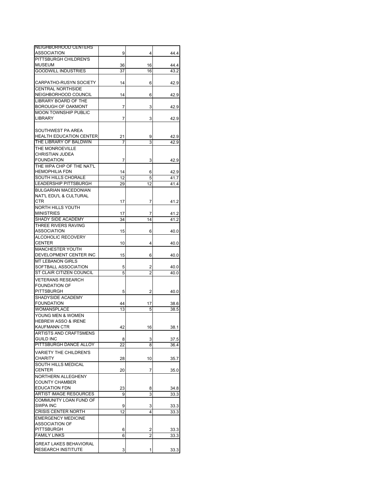| NEIGHBORHOOD CENTERS                               |    |                         |              |
|----------------------------------------------------|----|-------------------------|--------------|
| <b>ASSOCIATION</b>                                 | 9  | 4                       | 44.4         |
| PITTSBURGH CHILDREN'S                              |    |                         |              |
| <b>MUSEUM</b>                                      | 36 | 16                      | 44.4         |
| <b>GOODWILL INDUSTRIES</b>                         | 37 | 16                      | 43.2         |
|                                                    |    |                         |              |
| CARPATHO-RUSYN SOCIETY<br><b>CENTRAL NORTHSIDE</b> | 14 | 6                       | 42.9         |
| NEIGHBORHOOD COUNCIL                               | 14 |                         |              |
| LIBRARY BOARD OF THE                               |    | 6                       | 42.9         |
| <b>BOROUGH OF OAKMONT</b>                          |    |                         |              |
| <b>MOON TOWNSHIP PUBLIC</b>                        | 7  | 3                       | 42.9         |
| <b>LIBRARY</b>                                     |    | 3                       |              |
|                                                    | 7  |                         | 42.9         |
| SOUTHWEST PA AREA                                  |    |                         |              |
| <b>HEALTH EDUCATION CENTER</b>                     | 21 | 9                       | 42.9         |
| THE LIBRARY OF BALDWIN                             | 7  | 3                       | 42.9         |
|                                                    |    |                         |              |
| THE MONROEVILLE                                    |    |                         |              |
| CHRISTIAN JUDEA                                    |    |                         |              |
| <b>FOUNDATION</b>                                  | 7  | 3                       | 42.9         |
| THE WPA CHP OF THE NAT'L                           |    |                         |              |
| <b>HEMOPHILIA FDN</b>                              | 14 | 6                       | 42.9         |
| SOUTH HILLS CHORALE                                | 12 | 5                       | 41.7         |
| LEADERSHIP PITTSBURGH                              | 29 | 12                      | 41.4         |
| <b>BULGARIAN MACEDONIAN</b>                        |    |                         |              |
| NAT'L EDU'L & CULTURAL                             |    |                         |              |
| CTR                                                | 17 | 7                       | 41.2         |
| NORTH HILLS YOUTH                                  |    |                         |              |
| <b>MINISTRIES</b>                                  | 17 | 7                       | 41.2         |
| SHADY SIDE ACADEMY                                 | 34 | 14                      | 41.2         |
| THREE RIVERS RAVING                                |    |                         |              |
| <b>ASSOCIATION</b>                                 | 15 | 6                       | 40.0         |
| ALCOHOLIC RECOVERY                                 |    |                         |              |
| <b>CENTER</b>                                      | 10 | 4                       | 40.0         |
| <b>MANCHESTER YOUTH</b>                            |    |                         |              |
| DEVELOPMENT CENTER INC                             | 15 | 6                       | 40.0         |
| <b>MT LEBANON GIRLS</b>                            |    |                         |              |
| SOFTBALL ASSOCIATION                               | 5  | 2                       | 40.0         |
| ST CLAIR CITIZEN COUNCIL                           | 5  | 2                       | 40.0         |
| <b>VETERANS RESEARCH</b>                           |    |                         |              |
| <b>FOUNDATION OF</b>                               |    |                         |              |
| PITTSBURGH                                         | 5  | 2                       | 40.0         |
| SHADYSIDE ACADEMY                                  |    |                         |              |
| <b>FOUNDATION</b>                                  | 44 | 17                      | 38.6         |
| <b>WOMANSPLACE</b>                                 | 13 | 5                       | 38.5         |
| YOUNG MEN & WOMEN                                  |    |                         |              |
| <b>HEBREW ASSO &amp; IRENE</b>                     |    |                         |              |
| KAUFMANN CTR                                       | 42 | 16                      | 38.1         |
| ARTISTS AND CRAFTSMENS                             |    |                         |              |
| <b>GUILD INC</b>                                   | 8  | 3                       |              |
| PITTSBURGH DANCE ALLOY                             | 22 |                         | 37.5<br>36.4 |
|                                                    |    | 8                       |              |
| <b>VARIETY THE CHILDREN'S</b>                      |    |                         |              |
| <b>CHARITY</b>                                     | 28 | 10                      | 35.7         |
| <b>SOUTH HILLS MEDICAL</b>                         |    |                         |              |
| <b>CENTER</b>                                      | 20 | 7                       | 35.0         |
| NORTHERN ALLEGHENY                                 |    |                         |              |
| <b>COUNTY CHAMBER</b>                              |    |                         |              |
| <b>EDUCATION FDN</b>                               | 23 | 8                       | 34.8         |
| <b>ARTIST IMAGE RESOURCES</b>                      | 9  | 3                       | 33.3         |
| COMMUNITY LOAN FUND OF                             |    |                         |              |
| <b>SWPA INC</b>                                    | 9  | 3                       | 33.3         |
| <b>CRISIS CENTER NORTH</b>                         | 12 | 4                       | 33.3         |
| <b>EMERGENCY MEDICINE</b>                          |    |                         |              |
| <b>ASSOCIATION OF</b>                              |    |                         |              |
| <b>PITTSBURGH</b>                                  | 6  | 2                       | 33.3         |
| <b>FAMILY LINKS</b>                                | 6  | $\overline{\mathbf{c}}$ | 33.3         |
|                                                    |    |                         |              |
| <b>GREAT LAKES BEHAVIORAL</b>                      |    |                         |              |
| <b>RESEARCH INSTITUTE</b>                          | 3  | 1                       | 33.3         |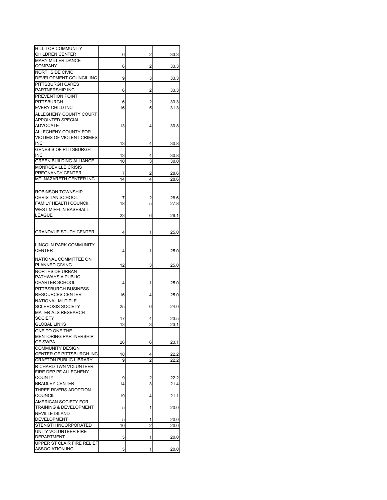| <b>HILL TOP COMMUNITY</b><br><b>CHILDREN CENTER</b> |    | 2 |      |
|-----------------------------------------------------|----|---|------|
| <b>MARY MILLER DANCE</b>                            | 6  |   | 33.3 |
| <b>COMPANY</b>                                      | 6  | 2 | 33.3 |
| <b>NORTHSIDE CIVIC</b>                              |    |   |      |
| DEVELOPMENT COUNCIL INC                             | 9  | 3 | 33.3 |
| PITTSBURGH CARES                                    |    |   |      |
| PARTNERSHIP INC                                     | 6  | 2 | 33.3 |
| PREVENTION POINT                                    |    |   |      |
| <b>PITTSBURGH</b>                                   | 6  | 2 | 33.3 |
| <b>EVERY CHILD INC</b>                              | 16 | 5 | 31.3 |
| ALLEGHENY COUNTY COURT                              |    |   |      |
| <b>APPOINTED SPECIAL</b>                            |    |   |      |
| <b>ADVOCATE</b>                                     | 13 | 4 | 30.8 |
| ALLEGHENY COUNTY FOR                                |    |   |      |
| VICTIMS OF VIOLENT CRIMES                           |    |   |      |
| <b>INC</b>                                          | 13 | 4 | 30.8 |
| <b>GENESIS OF PITTSBURGH</b>                        |    |   |      |
| <b>INC</b>                                          | 13 | 4 | 30.8 |
| <b>GREEN BUILDING ALLIANCE</b>                      | 10 | 3 | 30.0 |
| <b>MONROEVILLE CRISIS</b>                           |    |   |      |
| PREGNANCY CENTER                                    | 7  | 2 | 28.6 |
| MT. NAZARETH CENTER INC                             | 14 | 4 | 28.6 |
|                                                     |    |   |      |
| ROBINSON TOWNSHIP                                   |    |   |      |
| <b>CHRISTIAN SCHOOL</b>                             | 7  | 2 | 28.6 |
| <b>FAMILY HEALTH COUNCIL</b>                        | 18 | 5 | 27.8 |
| <b>WEST MIFFLIN BASEBALL</b>                        |    |   |      |
| <b>LEAGUE</b>                                       | 23 | 6 | 26.1 |
|                                                     |    |   |      |
|                                                     |    |   |      |
| <b>GRANDVUE STUDY CENTER</b>                        | 4  | 1 | 25.0 |
|                                                     |    |   |      |
| <b>LINCOLN PARK COMMUNITY</b>                       |    |   |      |
| <b>CENTER</b>                                       | 4  | 1 | 25.0 |
| NATIONAL COMMITTEE ON                               |    |   |      |
| PLANNED GIVING                                      | 12 | 3 | 25.0 |
| <b>NORTHSIDE URBAN</b>                              |    |   |      |
| PATHWAYS A PUBLIC                                   |    |   |      |
| <b>CHARTER SCHOOL</b>                               | 4  | 1 | 25.0 |
| PITTBSBURGH BUSINESS                                |    |   |      |
| <b>RESOURCES CENTER</b>                             | 16 | 4 | 25.0 |
| NATIONAL MUTIPLE                                    |    |   |      |
| <b>SCLEROSIS SOCIETY</b>                            | 25 | 6 | 24.0 |
| <b>MATERIALS RESEARCH</b>                           |    |   |      |
| <b>SOCIETY</b><br><b>GLOBAL LINKS</b>               | 17 | 4 | 23.5 |
|                                                     | 13 | 3 | 23.1 |
| ONE TO ONE THE                                      |    |   |      |
| <b>MENTORING PARTNERSHIP</b><br>OF SWPA             |    |   |      |
| <b>COMMUNITY DESIGN</b>                             | 26 | 6 | 23.1 |
| CENTER OF PITTSBURGH INC                            | 18 | 4 | 22.2 |
| <b>CRAFTON PUBLIC LIBRARY</b>                       | 9  | 2 | 22.2 |
|                                                     |    |   |      |
| RICHARD TWN VOLUNTEER<br>FIRE DEP PF ALLEGHENY      |    |   |      |
| <b>COUNTY</b>                                       | 9  | 2 | 22.2 |
| <b>BRADLEY CENTER</b>                               | 14 | 3 | 21.4 |
| THREE RIVERS ADOPTION                               |    |   |      |
| <b>COUNCIL</b>                                      | 19 | 4 | 21.1 |
| AMERICAN SOCIETY FOR                                |    |   |      |
| TRAINING & DEVELOPMENT                              | 5  | 1 | 20.0 |
| <b>NEVILLE ISLAND</b>                               |    |   |      |
| <b>DEVELOPMENT</b>                                  | 5  | 1 | 20.0 |
| STENGTH INCORPORATED                                | 10 | 2 | 20.0 |
| UNITY VOLUNTEER FIRE                                |    |   |      |
| <b>DEPARTMENT</b>                                   | 5  | 1 | 20.0 |
| UPPER ST CLAIR FIRE RELIEF                          |    |   |      |
| <b>ASSOCIATION INC</b>                              | 5  | 1 | 20.0 |
|                                                     |    |   |      |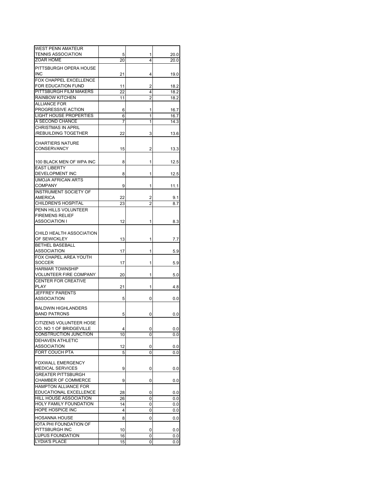| WEST PENN AMATEUR              |    |   |      |
|--------------------------------|----|---|------|
| <b>TENNIS ASSOCIATION</b>      | 5  | 1 | 20.0 |
| ZOAR HOME                      | 20 | 4 | 20.0 |
|                                |    |   |      |
| PITTSBURGH OPERA HOUSE         |    |   |      |
| INC.                           | 21 | 4 | 19.0 |
| FOX CHAPPEL EXCELLENCE         |    |   |      |
|                                |    |   |      |
| FOR EDUCATION FUND             | 11 | 2 | 18.2 |
| PITTSBURGH FILM MAKERS         | 22 | 4 | 18.2 |
| <b>RAINBOW KITCHEN</b>         | 11 | 2 | 18.2 |
|                                |    |   |      |
| <b>ALLIANCE FOR</b>            |    |   |      |
| PROGRESSIVE ACTION             | 6  | 1 | 16.7 |
| <b>LIGHT HOUSE PROPERTIES</b>  | 6  | 1 | 16.7 |
| A SECOND CHANCE                | 7  | 1 | 14.3 |
| <b>CHRISTMAS IN APRIL</b>      |    |   |      |
|                                |    |   |      |
| /REBUILDING TOGETHER           | 22 | 3 | 13.6 |
|                                |    |   |      |
| CHARTIERS NATURE               |    |   |      |
| <b>CONSERVANCY</b>             | 15 | 2 | 13.3 |
|                                |    |   |      |
|                                |    |   |      |
| 100 BLACK MEN OF WPA INC       | 8  | 1 | 12.5 |
| <b>EAST LIBERTY</b>            |    |   |      |
| DEVELOPMENT INC                | 8  | 1 | 12.5 |
| <b>UMOJA AFRICAN ARTS</b>      |    |   |      |
|                                |    |   |      |
| <b>COMPANY</b>                 | 9  | 1 | 11.1 |
| INSTRUMENT SOCIETY OF          |    |   |      |
| AMERICA                        | 22 | 2 | 9.1  |
|                                |    |   |      |
| CHILDREN'S HOSPITAL            | 23 | 2 | 8.7  |
| PENN HILLS VOLUNTEER           |    |   |      |
| <b>FIREMENS RELIEF</b>         |    |   |      |
| ASSOCIATION I                  | 12 | 1 | 8.3  |
|                                |    |   |      |
|                                |    |   |      |
| CHILD HEALTH ASSOCIATION       |    |   |      |
| OF SEWICKLEY                   | 13 | 1 | 7.7  |
| <b>BETHEL BASEBALL</b>         |    |   |      |
| ASSOCIATION                    |    |   |      |
|                                | 17 | 1 | 5.9  |
| FOX CHAPEL AREA YOUTH          |    |   |      |
| SOCCER                         | 17 | 1 | 5.9  |
| <b>HARMAR TOWNSHIP</b>         |    |   |      |
|                                |    |   |      |
| VOLUNTEER FIRE COMPANY         | 20 | 1 | 5.0  |
| <b>CENTER FOR CREATIVE</b>     |    |   |      |
| PLAY                           | 21 | 1 | 4.8  |
| JEFFREY PARENTS                |    |   |      |
|                                |    |   |      |
| ASSOCIATION                    | 5  | 0 | 0.0  |
|                                |    |   |      |
| <b>BALDWIN HIGHLANDERS</b>     |    |   |      |
| <b>BAND PATRONS</b>            | 5  | 0 | 0.0  |
|                                |    |   |      |
| CITIZENS VOLUNTEER HOSE        |    |   |      |
| <b>CO. NO 1 OF BRIDGEVILLE</b> | 4  | 0 | 0.0  |
| CONSTRUCTION JUNCTION          | 10 | 0 | 0.0  |
| <b>DEHAVEN ATHLETIC</b>        |    |   |      |
|                                |    |   |      |
| <b>ASSOCIATION</b>             | 12 | 0 | 0.0  |
| FORT COUCH PTA                 | 5  | 0 | 0.0  |
|                                |    |   |      |
| <b>FOXWALL EMERGENCY</b>       |    |   |      |
| MEDICAL SERVICES               | 9  | 0 | 0.0  |
|                                |    |   |      |
| <b>GREATER PITTSBURGH</b>      |    |   |      |
| CHAMBER OF COMMERCE            | 9  | 0 | 0.0  |
| <b>HAMPTON ALLIANCE FOR</b>    |    |   |      |
| EDUCATIONAL EXCELLENCE         | 28 | 0 | 0.0  |
|                                |    |   |      |
| HILL HOUSE ASSOCIATION         | 26 | 0 | 0.0  |
| HOLY FAMILY FOUNDATION         | 14 | 0 | 0.0  |
| <b>HOPE HOSPICE INC</b>        | 4  | 0 | 0.0  |
|                                |    |   |      |
| <b>HOSANNA HOUSE</b>           | 8  | 0 | 0.0  |
| IOTA PHI FOUNDATION OF         |    |   |      |
| PITTSBURGH INC                 | 10 | 0 | 0.0  |
|                                |    |   |      |
| LUPUS FOUNDATION               | 16 | 0 | 0.0  |
| LYDIA'S PLACE                  | 15 | 0 | 0.0  |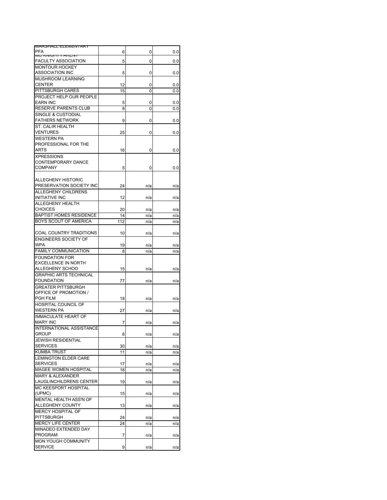| IVIAROHALL ELEIVIEIVI ART                     |     |     |          |
|-----------------------------------------------|-----|-----|----------|
| PFA                                           | 6   | 0   | $_{0.0}$ |
| N                                             |     |     |          |
| FACULTY ASSOCIATION                           | 5   | 0   | $_{0.0}$ |
| <b>MONTOUR HOCKEY</b>                         |     |     |          |
| ASSOCIATION INC                               | 5   | 0   | $_{0.0}$ |
| MUSHROOM LEARNING                             |     |     |          |
| CENTER                                        | 12  | 0   | 0.0      |
| <b>PITTSBURGH CARES</b>                       | 15  | 0   | 0.0      |
| PROJECT HELP OUR PEOPLE                       |     |     |          |
| <b>EARN INC</b>                               | 5   | 0   | 0.0      |
| <b>RESERVE PARENTS CLUB</b>                   | 8   | 0   | 0.0      |
| SINGLE & CUSTODIAL                            |     |     |          |
| FATHERS NETWORK                               | 9   | 0   | 0.0      |
| ST. CALIR HEALTH                              |     |     |          |
| VENTURES                                      | 25  | 0   | 0.0      |
| WESTERN PA                                    |     |     |          |
| PROFESSIONAL FOR THE                          |     |     |          |
| ARTS                                          | 16  | 0   | 0.0      |
| <b>XPRESSIONS</b>                             |     |     |          |
| CONTEMPORARY DANCE                            |     |     |          |
| <b>COMPANY</b>                                | 5   | 0   | 0.0      |
|                                               |     |     |          |
| ALLEGHENY HISTORIC                            |     |     |          |
| PRESERVATION SOCIETY INC                      |     |     |          |
|                                               | 24  | n/a | n/a      |
| ALLEGHENY CHILDRENS                           |     |     |          |
| INITIATIVE INC                                | 12  | n/a | n/a      |
| ALLEGHENY HEALTH                              |     |     |          |
| CHOICES                                       | 20  | n/a | n/a      |
| <b>BAPTIST HOMES RESIDENCE</b>                | 14  | n/a | n/a      |
| BOYS SCOUT OF AMERICA                         | 112 | n/a | n/a      |
|                                               |     |     |          |
| COAL COUNTRY TRADITIONS                       | 10  | n/a | n/a      |
| <b>ENGINEERS SOCIETY OF</b>                   |     |     |          |
| WPA                                           | 19  | n/a | n/a      |
| <b>FAMILY COMMUNICATION</b>                   | 8   | n/a | n/a      |
| <b>FOUNDATION FOR</b>                         |     |     |          |
| <b>EXCELLENCE IN NORTH</b>                    |     |     |          |
| ALLEGHENY SCHOO                               |     |     |          |
|                                               | 15  | n/a | n/a      |
| <b>GRAPHIC ARTS TECHNICAL</b>                 |     |     |          |
| <b>FOUNDATION</b>                             | 77  | n/a | n/a      |
| <b>GREATER PITTSBURGH</b>                     |     |     |          |
| OFFICE OF PROMOTION /                         |     |     |          |
| PGH FILM                                      | 18  | n/a | n/a      |
| <b>HOSPITAL COUNCIL OF</b>                    |     |     |          |
| WESTERN PA                                    | 27  | n/a |          |
|                                               |     |     | n/a      |
| <b>IMMACULATE HEART OF</b><br><b>MARY INC</b> |     |     |          |
|                                               | 7   | n/a | n/a      |
| <b>INTERNATIONAL ASSISTANC</b>                |     |     |          |
| GROUP                                         | 8   | n/a | n/a      |
| <b>JEWISH RESIDENTIAL</b>                     |     |     |          |
| <b>SERVICES</b>                               | 30  | n/a | n/a      |
| <b>KUMBA TRUST</b>                            | 11  | n/a | n/a      |
| <b>LEMINGTON ELDER CARE</b>                   |     |     |          |
| <b>SERVICES</b>                               | 17  | n/a | n/a      |
| MAGEE WOMEN HOSPITAL                          | 18  | n/a | n/a      |
| <b>MARY &amp; ALEXANDER</b>                   |     |     |          |
| LAUGLINCHILDRENS CENTER                       | 19  | n/a | n/a      |
| MC KEESPORT HOSPITAL                          |     |     |          |
| (UPMC)                                        | 15  | n/a | n/a      |
| MENTAL HEALTH ASS'N OF                        |     |     |          |
| ALLEGHENY COUNTY                              | 13  | n/a | n/a      |
| <b>MERCY HOSPITAL OF</b>                      |     |     |          |
| <b>PITTSBURGH</b>                             | 24  | n/a | n/a      |
| <b>MERCY LIFE CENTER</b>                      | 24  | n/a | n/a      |
| MINADEO EXTENDED DAY                          |     |     |          |
| PROGRAM                                       | 7   | n/a | n/a      |
| MON YOUGH COMMUNITY                           |     |     |          |
| <b>SERVICE</b>                                | 9   | n/a | n/a      |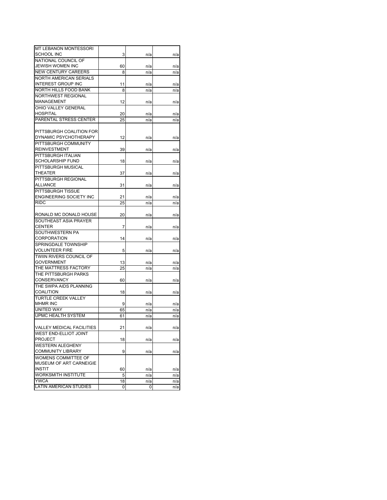| n/a<br>n/a<br>n/a<br>n/a<br>n/a<br>n/a<br>n/a<br>n/a<br>n/a<br>n/a<br>n/a<br>n/a<br>n/a<br>n/a<br>n/a<br>n/a<br>n/a<br>n/a<br>n/a<br>n/a<br>n/a<br>n/a<br>n/a<br>n/a |
|----------------------------------------------------------------------------------------------------------------------------------------------------------------------|
|                                                                                                                                                                      |
|                                                                                                                                                                      |
|                                                                                                                                                                      |
|                                                                                                                                                                      |
|                                                                                                                                                                      |
|                                                                                                                                                                      |
|                                                                                                                                                                      |
|                                                                                                                                                                      |
|                                                                                                                                                                      |
|                                                                                                                                                                      |
|                                                                                                                                                                      |
|                                                                                                                                                                      |
|                                                                                                                                                                      |
|                                                                                                                                                                      |
|                                                                                                                                                                      |
|                                                                                                                                                                      |
|                                                                                                                                                                      |
|                                                                                                                                                                      |
|                                                                                                                                                                      |
|                                                                                                                                                                      |
|                                                                                                                                                                      |
|                                                                                                                                                                      |
|                                                                                                                                                                      |
| n/a<br>n/a                                                                                                                                                           |
|                                                                                                                                                                      |
| n/a<br>n/a                                                                                                                                                           |
| n/a                                                                                                                                                                  |
| n/a                                                                                                                                                                  |
| n/a<br>n/a                                                                                                                                                           |
|                                                                                                                                                                      |
| n/a<br>n/a                                                                                                                                                           |
|                                                                                                                                                                      |
|                                                                                                                                                                      |
| n/a<br>n/a                                                                                                                                                           |
|                                                                                                                                                                      |
| n/a<br>n/a                                                                                                                                                           |
|                                                                                                                                                                      |
| n/a<br>n/a                                                                                                                                                           |
| n/a<br>n/a                                                                                                                                                           |
|                                                                                                                                                                      |
| n/a<br>n/a                                                                                                                                                           |
|                                                                                                                                                                      |
| n/a<br>n/a                                                                                                                                                           |
|                                                                                                                                                                      |
| n/a<br>n/a                                                                                                                                                           |
| n/a<br>n/a                                                                                                                                                           |
| n/a<br>n/a                                                                                                                                                           |
|                                                                                                                                                                      |
|                                                                                                                                                                      |
| n/a<br>n/a                                                                                                                                                           |
|                                                                                                                                                                      |
| n/a<br>n/a                                                                                                                                                           |
|                                                                                                                                                                      |
| n/a<br>n/a                                                                                                                                                           |
|                                                                                                                                                                      |
|                                                                                                                                                                      |
| n/a                                                                                                                                                                  |
| n/a                                                                                                                                                                  |
| n/a<br>n/a<br>n/a<br>n/a                                                                                                                                             |
|                                                                                                                                                                      |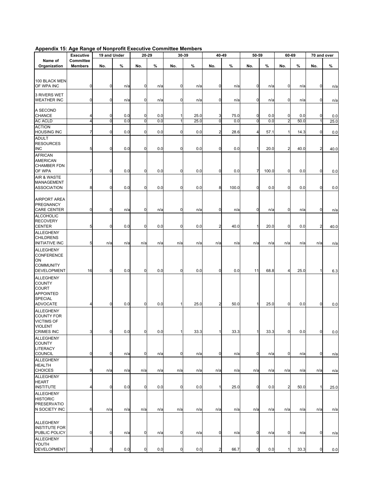|                                                                        | <b>Executive</b>            | 19 and Under |     |             | 20-29 |             | 30-39 | 40-49                   |       | 50-59          |       |                         | 60-69 |                | 70 and over |
|------------------------------------------------------------------------|-----------------------------|--------------|-----|-------------|-------|-------------|-------|-------------------------|-------|----------------|-------|-------------------------|-------|----------------|-------------|
| Name of<br>Organization                                                | Committee<br><b>Members</b> | No.          | %   | No.         | %     | No.         | %     | No.                     | $\%$  | No.            | %     | No.                     | %     | No.            | %           |
|                                                                        |                             |              |     |             |       |             |       |                         |       |                |       |                         |       |                |             |
| 100 BLACK MEN                                                          |                             |              |     |             |       |             |       |                         |       |                |       |                         |       |                |             |
| OF WPA INC                                                             | $\Omega$                    | 0            | n/a | $\mathbf 0$ | n/a   | 0           | n/a   | 0                       | n/a   | 0              | n/a   | $\mathbf 0$             | n/a   | 0              | n/a         |
| 3 RIVERS WET<br><b>WEATHER INC</b>                                     | O                           | 0            | n/a | 0           | n/a   | 0           | n/a   | 0                       | n/a   | 0              | n/a   | $\mathbf 0$             | n/a   | $\mathbf 0$    | n/a         |
| A SECOND<br><b>CHANCE</b>                                              |                             | 0            | 0.0 | 0           | 0.0   |             | 25.0  | 3                       | 75.0  | 0              | 0.0   | 0                       | 0.0   | 0              | 0.0         |
| <b>AC ACLD</b>                                                         | 4                           | $\mathbf 0$  | 0.0 | $\mathbf 0$ | 0.0   | 1           | 25.0  | O                       | 0.0   | $\mathbf 0$    | 0.0   | $\overline{2}$          | 50.0  | 1              | 25.0        |
| <b>ACTION</b><br><b>HOUSING INC</b>                                    |                             | $\mathbf 0$  | 0.0 | $\mathbf 0$ | 0.0   | $\mathbf 0$ | 0.0   | $\overline{a}$          | 28.6  | 4              | 57.1  | $\mathbf{1}$            | 14.3  | $\overline{0}$ | 0.0         |
| <b>ADULT</b><br><b>RESOURCES</b><br><b>INC</b>                         | 5                           | 0            | 0.0 | $\mathbf 0$ | 0.0   | 0           | 0.0   | 0                       | 0.0   | 1              | 20.0  | $\overline{a}$          | 40.0  | $\overline{2}$ | 40.0        |
| <b>AFRICAN</b><br><b>AMERICAN</b><br><b>CHAMBER FDN</b>                |                             |              |     |             |       |             |       |                         |       |                |       |                         |       |                |             |
| OF WPA                                                                 | 7                           | $\mathbf 0$  | 0.0 | $\mathbf 0$ | 0.0   | 0           | 0.0   | 0                       | 0.0   | 7              | 100.0 | $\mathbf 0$             | 0.0   | $\overline{0}$ | 0.0         |
| AIR & WASTE<br><b>MANAGEMENT</b><br><b>ASSOCIATION</b>                 | 8                           | $\mathbf 0$  | 0.0 | 0           | 0.0   | 0           | 0.0   | 8                       | 100.0 | 0              | 0.0   | $\mathbf 0$             | 0.0   | $\mathbf 0$    | 0.0         |
| <b>AIRPORT AREA</b><br>PREGNANCY                                       |                             |              |     |             |       |             |       |                         |       |                |       |                         |       |                |             |
| <b>CARE CENTER</b><br><b>ALCOHOLIC</b>                                 | $\mathbf 0$                 | $\mathbf 0$  | n/a | 0           | n/a   | 0           | n/a   | 0                       | n/a   | 0              | n/a   | $\mathbf 0$             | n/a   | $\mathbf 0$    | n/a         |
| <b>RECOVERY</b><br><b>CENTER</b>                                       | 5                           | 0            | 0.0 | 0           | 0.0   | $\mathbf 0$ | 0.0   | 2                       | 40.0  | 1              | 20.0  | $\mathbf 0$             | 0.0   | $\overline{2}$ | 40.0        |
| <b>ALLEGHENY</b><br><b>CHILDRENS</b><br><b>INITIATIVE INC</b>          | 5                           | n/a          | n/a | n/a         | n/a   | n/a         | n/a   | n/a                     | n/a   | n/a            | n/a   | n/a                     | n/a   | n/a            | n/a         |
| <b>ALLEGHENY</b><br><b>CONFERENCE</b><br>ON                            |                             |              |     |             |       |             |       |                         |       |                |       |                         |       |                |             |
| <b>COMMUNITY</b><br><b>DEVELOPMENT</b>                                 | 16                          | $\mathbf 0$  | 0.0 | 0           | 0.0   | $\mathbf 0$ | 0.0   | $\mathbf 0$             | 0.0   | 11             | 68.8  | $\overline{4}$          | 25.0  | $\mathbf{1}$   | 6.3         |
| <b>ALLEGHENY</b>                                                       |                             |              |     |             |       |             |       |                         |       |                |       |                         |       |                |             |
| <b>COUNTY</b><br><b>COURT</b><br><b>APPOINTED</b><br>SPECIAL           |                             |              |     |             |       |             |       |                         |       | 1              |       |                         |       |                |             |
| <b>ADVOCATE</b><br>ALLEGHENY                                           |                             | 0            | 0.0 | $\mathbf 0$ | 0.0   |             | 25.0  | $\overline{\mathbf{c}}$ | 50.0  |                | 25.0  | $\mathbf 0$             | 0.0   | $\mathbf 0$    | 0.0         |
| <b>COUNTY FOR</b><br><b>VICTIMS OF</b><br><b>VIOLENT</b><br>CRIMES INC | 3                           | $\mathbf 0$  | 0.0 | $\mathbf 0$ | 0.0   | 1           | 33.3  | $\mathbf{1}$            | 33.3  | 1              | 33.3  | $\overline{0}$          | 0.0   | $\pmb{0}$      | 0.0         |
| <b>ALLEGHENY</b><br><b>COUNTY</b>                                      |                             |              |     |             |       |             |       |                         |       |                |       |                         |       |                |             |
| LITERACY<br><b>COUNCIL</b>                                             | $\mathbf 0$                 | $\mathbf 0$  | n/a | $\mathbf 0$ | n/a   | 0           | n/a   | 0                       | n/a   | $\mathbf 0$    | n/a   | $\overline{0}$          | n/a   | $\overline{0}$ | n/a         |
| <b>ALLEGHENY</b><br><b>HEALTH</b>                                      |                             |              |     |             |       |             |       |                         |       |                |       |                         |       |                |             |
| <b>CHOICES</b><br><b>ALLEGHENY</b>                                     | 9                           | n/a          | n/a | n/a         | n/a   | n/a         | n/a   | n/a                     | n/a   | n/a            | n/a   | n/a                     | n/a   | n/a            | n/a         |
| <b>HEART</b><br><b>INSTITUTE</b>                                       |                             | $\mathbf 0$  | 0.0 | 0           | 0.0   | 0           | 0.0   | 1                       | 25.0  | 0              | 0.0   | $\overline{\mathbf{c}}$ | 50.0  | $\mathbf{1}$   | 25.0        |
| <b>ALLEGHENY</b><br><b>HISTORIC</b>                                    |                             |              |     |             |       |             |       |                         |       |                |       |                         |       |                |             |
| <b>PRESERVATIO</b><br>N SOCIETY INC                                    | 6                           | n/a          | n/a | n/a         | n/a   | n/a         | n/a   | n/a                     | n/a   | n/a            | n/a   | n/a                     | n/a   | n/a            | n/a         |
|                                                                        |                             |              |     |             |       |             |       |                         |       |                |       |                         |       |                |             |
| <b>ALLEGHENY</b><br><b>INSTITUTE FOR</b><br>PUBLIC POLICY              | $\mathbf 0$                 | $\mathbf 0$  | n/a | $\mathbf 0$ | n/a   | 0           | n/a   | 0                       | n/a   | $\overline{0}$ | n/a   | $\overline{0}$          | n/a   | $\overline{0}$ | n/a         |
| <b>ALLEGHENY</b>                                                       |                             |              |     |             |       |             |       |                         |       |                |       |                         |       |                |             |
| YOUTH<br><b>DEVELOPMENT</b>                                            |                             | 0            | 0.0 | $\mathbf 0$ | 0.0   | 0           | 0.0   | 2                       | 66.7  | 0              | 0.0   | $\mathbf{1}$            | 33.3  | $\overline{0}$ | 0.0         |

## **Appendix 15: Age Range of Nonprofit Executive Committee Members**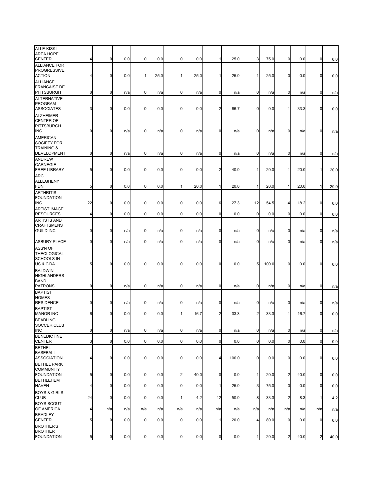| ALLE-KISKI<br><b>AREA HOPE</b><br><b>CENTER</b>            | 4              | $\mathbf 0$      | 0.0 | 0              | 0.0  | 0              | 0.0  | 11             | 25.0  | 3              | 75.0  | $\overline{0}$ | 0.0  | $\mathbf 0$    | 0.0  |
|------------------------------------------------------------|----------------|------------------|-----|----------------|------|----------------|------|----------------|-------|----------------|-------|----------------|------|----------------|------|
| <b>ALLIANCE FOR</b><br><b>PROGRESSIVE</b><br><b>ACTION</b> | 4              | 0                | 0.0 | 1              | 25.0 |                | 25.0 | 1              | 25.0  | $\mathbf{1}$   | 25.0  | $\mathbf 0$    |      | $\mathbf 0$    |      |
| <b>ALLIANCE</b>                                            |                |                  |     |                |      | 1              |      |                |       |                |       |                | 0.0  |                | 0.0  |
| <b>FRANCAISE DE</b><br>PITTSBURGH                          | 0              | $\boldsymbol{0}$ | n/a | 0              | n/a  | $\mathbf 0$    | n/a  | $\mathbf 0$    | n/a   | $\mathbf 0$    | n/a   | $\mathbf 0$    | n/a  | $\mathbf 0$    | n/a  |
| <b>ALTERNATIVE</b><br><b>PROGRAM</b><br><b>ASSOCIATES</b>  | 3              | $\mathbf 0$      | 0.0 | $\mathbf 0$    | 0.0  | 0              | 0.0  | $\overline{2}$ | 66.7  | $\overline{0}$ | 0.0   | 1              | 33.3 | $\mathbf 0$    | 0.0  |
| <b>ALZHEIMER</b><br><b>CENTER OF</b>                       |                |                  |     |                |      |                |      |                |       |                |       |                |      |                |      |
| <b>PITTSBURGH</b><br>INC                                   | $\mathbf 0$    | $\mathbf 0$      | n/a | 0              | n/a  | $\mathbf 0$    | n/a  | 0              | n/a   | $\mathbf 0$    | n/a   | $\overline{0}$ | n/a  | $\mathbf 0$    | n/a  |
| AMERICAN                                                   |                |                  |     |                |      |                |      |                |       |                |       |                |      |                |      |
| SOCIETY FOR<br><b>TRAINING &amp;</b>                       |                |                  |     |                |      |                |      |                |       |                |       |                |      |                |      |
| DEVELOPMENT                                                | $\mathbf 0$    | $\overline{0}$   | n/a | 0              | n/a  | $\mathbf 0$    | n/a  | $\mathbf 0$    | n/a   | $\overline{0}$ | n/a   | $\mathbf 0$    | n/a  | $\mathbf 0$    | n/a  |
| <b>ANDREW</b><br>CARNEGIE<br><b>FREE LIBRARY</b>           | 5              | $\boldsymbol{0}$ | 0.0 | 0              | 0.0  | $\mathbf 0$    | 0.0  | $\overline{2}$ | 40.0  | $\mathbf{1}$   | 20.0  |                | 20.0 | 1              | 20.0 |
| <b>ARC</b>                                                 |                |                  |     |                |      |                |      |                |       |                |       |                |      |                |      |
| <b>ALLEGHENY</b><br><b>FDN</b>                             | 5              | $\mathbf 0$      | 0.0 | 0              | 0.0  | 1              | 20.0 | 1              | 20.0  | 1              | 20.0  |                | 20.0 | 1              | 20.0 |
| <b>ARTHRITIS</b>                                           |                |                  |     |                |      |                |      |                |       |                |       |                |      |                |      |
| <b>FOUNDATION</b><br>INC                                   | 22             | $\mathbf 0$      | 0.0 | 0              | 0.0  | 0              | 0.0  | 6              | 27.3  | 12             | 54.5  | 4              | 18.2 | 0              | 0.0  |
| <b>ARTIST IMAGE</b><br><b>RESOURCES</b>                    | 4              | $\mathbf 0$      | 0.0 | $\mathbf 0$    | 0.0  | $\mathbf 0$    | 0.0  | $\mathbf 0$    | 0.0   | $\mathbf 0$    | 0.0   | $\mathbf 0$    | 0.0  | $\mathbf 0$    | 0.0  |
| <b>ARTISTS AND</b>                                         |                |                  |     |                |      |                |      |                |       |                |       |                |      |                |      |
| <b>CRAFTSMENS</b><br><b>GUILD INC</b>                      | 0              | $\boldsymbol{0}$ | n/a | 0              | n/a  | $\mathbf 0$    | n/a  | $\overline{0}$ | n/a   | 0              | n/a   | $\mathbf 0$    | n/a  | 0              | n/a  |
| <b>ASBURY PLACE</b>                                        | $\mathbf 0$    | $\mathbf 0$      | n/a | 0              | n/a  | $\mathbf 0$    | n/a  | 0              | n/a   | $\mathbf 0$    | n/a   | $\mathbf 0$    | n/a  | $\mathbf 0$    | n/a  |
| ASS'N OF<br>THEOLOGICAL                                    |                |                  |     |                |      |                |      |                |       |                |       |                |      |                |      |
| <b>SCHOOLS IN</b><br>US & C'DA                             | 5              | $\overline{0}$   | 0.0 | $\mathbf 0$    | 0.0  | $\mathbf 0$    | 0.0  | $\mathbf 0$    | 0.0   | 5              | 100.0 | $\mathbf 0$    | 0.0  | $\mathbf 0$    | 0.0  |
| <b>BALDWIN</b><br><b>HIGHLANDERS</b><br><b>BAND</b>        |                |                  |     |                |      |                |      |                |       |                |       |                |      |                |      |
| PATRONS                                                    | 0              | $\mathbf 0$      | n/a | $\mathbf 0$    | n/a  | 0              | n/a  | $\mathbf 0$    | n/a   | $\mathbf 0$    | n/a   | 0              | n/a  | $\mathbf 0$    | n/a  |
| <b>BAPTIST</b>                                             |                |                  |     |                |      |                |      |                |       |                |       |                |      |                |      |
| <b>HOMES</b><br><b>RESIDENCE</b>                           | 0              | $\mathbf 0$      | n/a | 0              | n/a  | $\mathbf 0$    | n/a  | 0              | n/a   | $\mathbf 0$    | n/a   | $\mathbf 0$    | n/a  | $\mathbf 0$    | n/a  |
| <b>BAPTIST</b>                                             |                |                  |     |                |      |                |      |                |       |                |       |                |      |                |      |
| <b>MANOR INC</b><br><b>BEADLING</b>                        | 6              | $\bf{0}$         | 0.0 | 0              | 0.0  |                | 16.7 | $\overline{2}$ | 33.3  | $\overline{c}$ | 33.3  |                | 16.7 | $\mathbf 0$    | 0.0  |
| SOCCER CLUB<br><b>INC</b>                                  | $\overline{0}$ | $\overline{0}$   | n/a | $\overline{0}$ | n/a  | $\mathbf 0$    | n/a  | $\overline{0}$ | n/a   | $\overline{0}$ | n/a   | $\mathbf 0$    | n/a  | $\overline{0}$ | n/a  |
| <b>BENEDICTINE</b><br><b>CENTER</b>                        | 3              | $\overline{0}$   | 0.0 | $\overline{0}$ | 0.0  | $\mathbf 0$    | 0.0  | $\overline{0}$ | 0.0   | $\overline{0}$ | 0.0   | $\overline{0}$ | 0.0  | $\mathbf 0$    | 0.0  |
| <b>BETHEL</b>                                              |                |                  |     |                |      |                |      |                |       |                |       |                |      |                |      |
| <b>BASEBALL</b><br><b>ASSOCIATION</b>                      | 4              | $\overline{0}$   | 0.0 | $\mathbf 0$    | 0.0  | 0              | 0.0  | $\overline{4}$ | 100.0 | $\overline{0}$ | 0.0   | $\overline{0}$ | 0.0  | $\mathbf 0$    | 0.0  |
| <b>BETHEL PARK</b>                                         |                |                  |     |                |      |                |      |                |       |                |       |                |      |                |      |
| <b>COMMUNITY</b><br><b>FOUNDATION</b>                      | 5              | $\overline{0}$   | 0.0 | $\mathbf 0$    | 0.0  | $\overline{2}$ | 40.0 | $\overline{0}$ | 0.0   | $\mathbf{1}$   | 20.0  | $\overline{a}$ | 40.0 | 0              | 0.0  |
| <b>BETHLEHEM</b><br><b>HAVEN</b>                           | 4              | $\mathbf 0$      | 0.0 | $\mathbf 0$    | 0.0  | $\mathbf 0$    | 0.0  | $\mathbf{1}$   | 25.0  | 3              | 75.0  | $\mathbf 0$    | 0.0  | $\mathbf 0$    | 0.0  |
| <b>BOYS &amp; GIRLS</b><br><b>CLUB</b>                     | 24             | $\mathbf 0$      | 0.0 | $\mathbf 0$    | 0.0  | 1              | 4.2  | 12             | 50.0  | 8              | 33.3  | $\overline{a}$ | 8.3  | 1              | 4.2  |
| <b>BOYS SCOUT</b><br>OF AMERICA                            | 4              | n/a              | n/a | n/a            | n/a  | n/a            | n/a  | n/a            | n/a   | n/a            | n/a   | n/a            | n/a  | n/a            | n/a  |
| <b>BRADLEY</b><br><b>CENTER</b>                            | 5              | $\bf{0}$         | 0.0 | $\mathbf 0$    | 0.0  | $\mathbf 0$    | 0.0  | 1              | 20.0  | 4              | 80.0  | $\overline{0}$ | 0.0  | $\mathbf 0$    | 0.0  |
| <b>BROTHER'S</b>                                           |                |                  |     |                |      |                |      |                |       |                |       |                |      |                |      |
| <b>BROTHER</b><br><b>FOUNDATION</b>                        | 5              | $\overline{0}$   | 0.0 | $\mathbf 0$    | 0.0  | $\mathbf 0$    | 0.0  | $\overline{0}$ | 0.0   | 1              | 20.0  | 2              | 40.0 | $\overline{2}$ | 40.0 |
|                                                            |                |                  |     |                |      |                |      |                |       |                |       |                |      |                |      |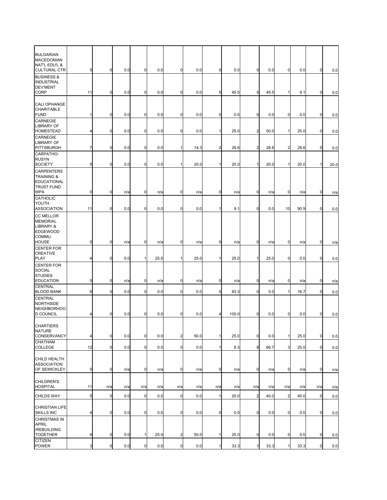| <b>BULGARIAN</b>                                |                |                |     |                |      |                |      |                |       |                |      |                |      |              |      |
|-------------------------------------------------|----------------|----------------|-----|----------------|------|----------------|------|----------------|-------|----------------|------|----------------|------|--------------|------|
| <b>MACEDONIAN</b>                               |                |                |     |                |      |                |      |                |       |                |      |                |      |              |      |
| <b>NAT'L EDU'L &amp;</b><br><b>CULTURAL CTR</b> | 5              | $\overline{0}$ | 0.0 | $\mathbf 0$    | 0.0  | $\mathbf 0$    | 0.0  | $\mathbf 0$    | 0.0   | $\overline{0}$ | 0.0  | 0              | 0.0  | $\mathbf 0$  | 0.0  |
| <b>BUSINESS &amp;</b>                           |                |                |     |                |      |                |      |                |       |                |      |                |      |              |      |
| <b>INDUSTRIAL</b>                               |                |                |     |                |      |                |      |                |       |                |      |                |      |              |      |
| <b>DEV'MENT</b><br><b>CORP</b>                  | 11             | $\mathbf 0$    | 0.0 | $\mathbf 0$    | 0.0  | $\mathbf 0$    | 0.0  | 5              | 45.5  | 5              | 45.5 |                | 9.1  | $\mathbf 0$  | 0.0  |
|                                                 |                |                |     |                |      |                |      |                |       |                |      |                |      |              |      |
| CALI OPHANGE<br>CHARITABLE                      |                |                |     |                |      |                |      |                |       |                |      |                |      |              |      |
| <b>FUND</b>                                     | 1              | $\mathbf 0$    | 0.0 | $\mathbf 0$    | 0.0  | 0              | 0.0  | $\mathbf 0$    | 0.0   | $\mathbf 0$    | 0.0  | 0              | 0.0  | $\mathbf 0$  | 0.0  |
| CARNEGIE                                        |                |                |     |                |      |                |      |                |       |                |      |                |      |              |      |
| <b>LIBRARY OF</b><br><b>HOMESTEAD</b>           | 4              | $\mathbf 0$    | 0.0 | $\mathbf 0$    | 0.0  | $\mathbf 0$    | 0.0  | $\mathbf{1}$   | 25.0  | $\overline{2}$ | 50.0 |                | 25.0 | $\mathbf 0$  |      |
| CARNEGIE                                        |                |                |     |                |      |                |      |                |       |                |      |                |      |              | 0.0  |
| <b>LIBRARY OF</b>                               |                |                |     |                |      |                |      |                |       |                |      |                |      |              |      |
| <b>PITTSBURGH</b>                               | 7              | $\overline{0}$ | 0.0 | 0              | 0.0  | 1              | 14.3 | $\overline{a}$ | 28.6  | $\overline{a}$ | 28.6 | $\overline{c}$ | 28.6 | $\mathbf 0$  | 0.0  |
| CARPATHO-<br><b>RUSYN</b>                       |                |                |     |                |      |                |      |                |       |                |      |                |      |              |      |
| <b>SOCIETY</b>                                  | 5              | $\overline{0}$ | 0.0 | $\mathbf 0$    | 0.0  | 1              | 20.0 | 11             | 20.0  | $\mathbf{1}$   | 20.0 |                | 20.0 | $\mathbf{1}$ | 20.0 |
| <b>CARPENTERS</b>                               |                |                |     |                |      |                |      |                |       |                |      |                |      |              |      |
| <b>TRAINING &amp;</b><br>EDUCATIONAL            |                |                |     |                |      |                |      |                |       |                |      |                |      |              |      |
| <b>TRUST FUND</b>                               |                |                |     |                |      |                |      |                |       |                |      |                |      |              |      |
| <b>WPA</b>                                      | 0              | $\overline{0}$ | n/a | $\mathbf 0$    | n/a  | $\mathbf 0$    | n/a  | $\overline{0}$ | n/a   | $\overline{0}$ | n/a  | $\overline{0}$ | n/a  | $\mathbf 0$  | n/a  |
| CATHOLIC<br>YOUTH                               |                |                |     |                |      |                |      |                |       |                |      |                |      |              |      |
| <b>ASSOCIATION</b>                              | 11             | $\mathbf 0$    | 0.0 | $\mathbf 0$    | 0.0  | $\mathbf 0$    | 0.0  | 1              | 9.1   | $\overline{0}$ | 0.0  | 10             | 90.9 | $\mathbf 0$  | 0.0  |
| <b>CC MELLOR</b>                                |                |                |     |                |      |                |      |                |       |                |      |                |      |              |      |
| <b>MEMORIAL</b><br>LIBRARY &                    |                |                |     |                |      |                |      |                |       |                |      |                |      |              |      |
| <b>EDGEWOOD</b>                                 |                |                |     |                |      |                |      |                |       |                |      |                |      |              |      |
| COMMU.                                          |                |                |     |                |      |                |      |                |       |                |      |                |      |              |      |
| <b>HOUSE</b><br><b>CENTER FOR</b>               | $\overline{0}$ | $\overline{0}$ | n/a | $\mathbf 0$    | n/a  | $\mathbf 0$    | n/a  | $\overline{0}$ | n/a   | $\overline{0}$ | n/a  | $\overline{0}$ | n/a  | $\mathbf 0$  | n/a  |
| <b>CREATIVE</b>                                 |                |                |     |                |      |                |      |                |       |                |      |                |      |              |      |
| <b>PLAY</b>                                     | 4              | $\mathbf 0$    | 0.0 | 1              | 25.0 | 1              | 25.0 | 1              | 25.0  | $\mathbf{1}$   | 25.0 | 0              | 0.0  | $\mathbf 0$  | 0.0  |
| <b>CENTER FOR</b><br><b>SOCIAL</b>              |                |                |     |                |      |                |      |                |       |                |      |                |      |              |      |
| <b>STUDIES</b>                                  |                |                |     |                |      |                |      |                |       |                |      |                |      |              |      |
| <b>EDUCATION</b>                                | $\mathbf 0$    | $\mathbf 0$    | n/a | 0              | n/a  | $\mathbf 0$    | n/a  | $\mathbf 0$    | n/a   | $\mathbf 0$    | n/a  | $\mathbf 0$    | n/a  | $\mathbf 0$  | n/a  |
| <b>CENTRAL</b><br><b>BLOOD BANK</b>             | 6              | $\overline{0}$ | 0.0 | $\overline{0}$ | 0.0  | $\mathbf 0$    | 0.0  | 5              | 83.3  | $\overline{0}$ | 0.0  | 1              | 16.7 | $\mathbf 0$  | 0.0  |
| CENTRAL                                         |                |                |     |                |      |                |      |                |       |                |      |                |      |              |      |
| <b>NORTHSIDE</b>                                |                |                |     |                |      |                |      |                |       |                |      |                |      |              |      |
| <b>NEIGHBORHOO</b><br><b>D COUNCIL</b>          | 4              | $\overline{0}$ | 0.0 | $\overline{0}$ | 0.0  | 0              | 0.0  | 4              | 100.0 | $\overline{0}$ | 0.0  | $\overline{0}$ | 0.0  | $\mathbf 0$  | 0.0  |
|                                                 |                |                |     |                |      |                |      |                |       |                |      |                |      |              |      |
| <b>CHARTIERS</b>                                |                |                |     |                |      |                |      |                |       |                |      |                |      |              |      |
| <b>NATURE</b><br>CONSERVANCY                    | 4              | $\overline{0}$ | 0.0 | $\mathbf 0$    | 0.0  | $\overline{a}$ | 50.0 | 1              | 25.0  | $\mathbf 0$    | 0.0  | $\mathbf{1}$   | 25.0 | $\mathbf 0$  | 0.0  |
| CHATHAM                                         |                |                |     |                |      |                |      |                |       |                |      |                |      |              |      |
| COLLEGE                                         | 12             | $\overline{0}$ | 0.0 | $\mathbf 0$    | 0.0  | $\mathbf 0$    | 0.0  | $\mathbf{1}$   | 8.3   | 8              | 66.7 | 3              | 25.0 | $\mathbf 0$  | 0.0  |
|                                                 |                |                |     |                |      |                |      |                |       |                |      |                |      |              |      |
| CHILD HEALTH<br><b>ASSOCIATION</b>              |                |                |     |                |      |                |      |                |       |                |      |                |      |              |      |
| OF SEWICKLEY                                    | $\mathbf 0$    | $\overline{0}$ | n/a | $\mathbf 0$    | n/a  | $\mathbf 0$    | n/a  | $\overline{0}$ | n/a   | $\mathbf 0$    | n/a  | $\overline{0}$ | n/a  | $\mathbf 0$  | n/a  |
|                                                 |                |                |     |                |      |                |      |                |       |                |      |                |      |              |      |
| CHILDREN'S<br><b>HOSPITAL</b>                   | 11             | n/a            | n/a | n/a            | n/a  | n/a            | n/a  | n/a            | n/a   | n/a            | n/a  | n/a            | n/a  | n/a          | n/a  |
| <b>CHILDS WAY</b>                               |                |                |     | $\mathbf 0$    |      | $\mathbf 0$    |      |                |       |                |      | $\overline{2}$ |      | $\mathbf 0$  |      |
|                                                 | 5              | $\overline{0}$ | 0.0 |                | 0.0  |                | 0.0  | 1              | 20.0  | $\overline{a}$ | 40.0 |                | 40.0 |              | 0.0  |
| CHRISTIAN LIFE                                  |                |                |     |                |      |                |      |                |       |                |      |                |      |              |      |
| <b>SKILLS INC</b>                               | 4              | $\overline{0}$ | 0.0 | $\mathbf 0$    | 0.0  | $\mathbf 0$    | 0.0  | $\overline{0}$ | 0.0   | $\mathbf 0$    | 0.0  | $\mathbf 0$    | 0.0  | $\mathbf 0$  | 0.0  |
| <b>CHRISTMAS IN</b><br><b>APRIL</b>             |                |                |     |                |      |                |      |                |       |                |      |                |      |              |      |
| /REBUILDING                                     |                |                |     |                |      |                |      |                |       |                |      |                |      |              |      |
| <b>TOGETHER</b>                                 | 4              | $\overline{0}$ | 0.0 | 1              | 25.0 | $\overline{2}$ | 50.0 | $\mathbf{1}$   | 25.0  | $\mathbf 0$    | 0.0  | $\mathbf 0$    | 0.0  | $\mathbf 0$  | 0.0  |
| <b>CITIZEN</b><br>POWER                         | 3              | $\overline{0}$ | 0.0 | $\mathbf 0$    | 0.0  | $\mathbf 0$    | 0.0  | 1              | 33.3  | $\mathbf{1}$   | 33.3 |                | 33.3 | $\mathbf 0$  | 0.0  |
|                                                 |                |                |     |                |      |                |      |                |       |                |      |                |      |              |      |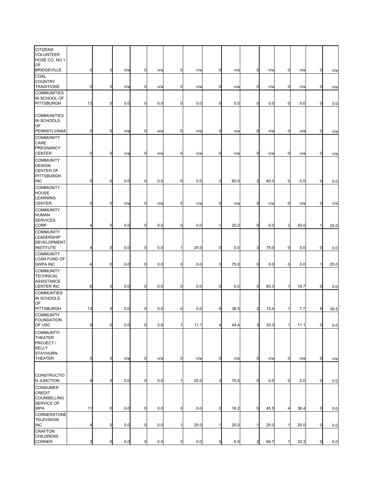| <b>CITIZENS</b><br>VOLUNTEER<br>HOSE CO. NO 1                                  |             |             |     |             |     |              |      |                |      |                |      |                |      |                 |      |
|--------------------------------------------------------------------------------|-------------|-------------|-----|-------------|-----|--------------|------|----------------|------|----------------|------|----------------|------|-----------------|------|
| OF<br><b>BRIDGEVILLE</b>                                                       | $\mathbf 0$ | $\mathbf 0$ | n/a | 0           | n/a | 0            | n/a  | $\mathbf 0$    | n/a  | $\mathbf 0$    | n/a  | $\mathbf 0$    | n/a  | 0               | n/a  |
| COAL<br><b>COUNTRY</b><br><b>TRADITIONS</b>                                    | 0           | 0           | n/a | 0           | n/a | $\mathbf 0$  | n/a  | $\mathbf 0$    | n/a  | 0              | n/a  | $\mathbf 0$    | n/a  | $\mathbf 0$     | n/a  |
| <b>COMMUNITIES</b><br>IN SCHOOL OF<br><b>PITTSBURGH</b>                        | 13          | $\mathbf 0$ | 0.0 | 0           | 0.0 | $\mathbf 0$  | 0.0  | $\mathbf 0$    | 0.0  | $\mathbf 0$    | 0.0  | $\overline{0}$ | 0.0  | $\mathbf 0$     | 0.0  |
| <b>COMMUNITIES</b><br>IN SCHOOLS<br>OF                                         |             |             |     |             |     |              |      |                |      |                |      |                |      |                 |      |
| PENNSYLVANIA<br><b>COMMUNITY</b>                                               | $\mathbf 0$ | $\mathbf 0$ | n/a | 0           | n/a | 0            | n/a  | $\mathbf 0$    | n/a  | $\mathbf 0$    | n/a  | $\mathbf 0$    | n/a  | 0               | n/a  |
| CARE<br>PREGNANCY<br><b>CENTER</b>                                             | 0           | $\mathbf 0$ | n/a | 0           | n/a | $\mathbf 0$  | n/a  | $\mathbf 0$    | n/a  | $\mathbf 0$    | n/a  | $\mathbf 0$    | n/a  | $\mathbf 0$     | n/a  |
| <b>COMMUNITY</b><br><b>DESIGN</b><br><b>CENTER OF</b><br>PITTSBURGH            |             |             |     |             |     |              |      |                |      |                |      |                |      |                 |      |
| <b>INC</b><br><b>COMMUNITY</b><br><b>HOUSE</b><br><b>LEARNING</b>              | 5           | $\mathbf 0$ | 0.0 | 0           | 0.0 | $\mathbf 0$  | 0.0  | 3              | 60.0 | $\overline{a}$ | 40.0 | $\mathbf 0$    | 0.0  | $\mathbf 0$     | 0.0  |
| <b>CENTER</b>                                                                  | $\mathbf 0$ | 0           | n/a | 0           | n/a | 0            | n/a  | 0              | n/a  | $\mathbf 0$    | n/a  | $\mathbf 0$    | n/a  | $\mathbf 0$     | n/a  |
| <b>COMMUNITY</b><br><b>HUMAN</b><br><b>SERVICES</b><br>CORP                    | 4           | $\mathbf 0$ | 0.0 | 0           | 0.0 | 0            | 0.0  | 1              | 25.0 | $\mathbf 0$    | 0.0  | $\overline{2}$ | 50.0 |                 | 25.0 |
| <b>COMMUNITY</b><br>LEADERSHIP<br>DEVELOPMENT                                  |             |             |     |             |     |              |      |                |      |                |      |                |      |                 |      |
| <b>INSTITUTE</b><br><b>COMMUNITY</b>                                           | 4           | 0           | 0.0 | 0           | 0.0 | $\mathbf{1}$ | 25.0 | 0              | 0.0  | 3              | 75.0 | $\mathbf 0$    | 0.0  | $\mathbf 0$     | 0.0  |
| LOAN FUND OF<br>SWPA INC                                                       | 4           | $\mathbf 0$ | 0.0 | 0           | 0.0 | $\mathbf 0$  | 0.0  | 3              | 75.0 | $\mathbf 0$    | 0.0  | $\mathbf 0$    | 0.0  |                 | 25.0 |
| <b>COMMUNITY</b><br><b>TECHNICAL</b><br><b>ASSISTANCE</b><br><b>CENTER INC</b> | 6           | $\mathbf 0$ | 0.0 | 0           | 0.0 | $\mathbf 0$  | 0.0  | 0              | 0.0  | 5              | 83.3 |                | 16.7 | 0               | 0.0  |
| <b>COMMUNTIES</b><br>IN SCHOOLS<br>OF                                          |             |             |     |             |     |              |      |                |      |                |      |                |      |                 |      |
| PITTSBURGH                                                                     | 13          | $\mathbf 0$ | 0.0 | 0           | 0.0 | 0            | 0.0  | 5              | 38.5 | $\overline{2}$ | 15.4 |                | 7.7  | $5\overline{)}$ | 38.5 |
| <b>COMMUNTIY</b><br><b>FOUNDATION</b><br>OF USC                                | 9           | 0           | 0.0 | $\mathbf 0$ | 0.0 | $\mathbf{1}$ | 11.1 | 4              | 44.4 | 3              | 33.3 | 1              | 11.1 | $\mathbf 0$     | 0.0  |
| <b>COMMUNTIY</b><br>THEATER<br>PROJECT /<br><b>KELLY</b><br><b>STAYHORN</b>    |             |             |     |             |     |              |      |                |      |                |      |                |      |                 |      |
| THEATER                                                                        | $\mathbf 0$ | $\mathbf 0$ | n/a | $\mathbf 0$ | n/a | $\mathbf 0$  | n/a  | $\mathbf 0$    | n/a  | $\mathbf 0$    | n/a  | $\mathbf 0$    | n/a  | $\mathbf 0$     | n/a  |
| <b>CONSTRUCTIO</b><br>N JUNCTION                                               | 4           | $\mathbf 0$ | 0.0 | $\mathbf 0$ | 0.0 | $\mathbf{1}$ | 25.0 | 3              | 75.0 | $\mathbf 0$    | 0.0  | $\overline{0}$ | 0.0  | $\overline{0}$  | 0.0  |
| <b>CONSUMER</b><br><b>CREDIT</b><br><b>COUNSELLING</b><br>SERVICE OF           |             |             |     |             |     |              |      |                |      |                |      |                |      |                 |      |
| <b>WPA</b><br>CORNERSTONE                                                      | 11          | $\pmb{0}$   | 0.0 | $\mathbf 0$ | 0.0 | $\mathbf 0$  | 0.0  | $\overline{a}$ | 18.2 | 5              | 45.5 | 4              | 36.4 | $\overline{0}$  | 0.0  |
| <b>TELEVISION</b><br>INC                                                       | 4           | $\mathbf 0$ | 0.0 | $\mathbf 0$ | 0.0 | 1            | 25.0 | 1              | 25.0 | $\mathbf{1}$   | 25.0 |                | 25.0 | $\overline{0}$  | 0.0  |
| CRAFTON<br><b>CHILDRENS</b><br>CORNER                                          | 3           | $\mathbf 0$ | 0.0 | 0           | 0.0 | 0            | 0.0  | $\mathbf 0$    | 0.0  | $\overline{a}$ | 66.7 |                | 33.3 | $\mathbf 0$     | 0.0  |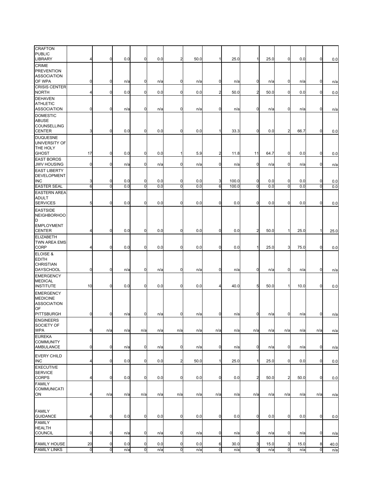| CRAFTON<br><b>PUBLIC</b><br>LIBRARY                          | 4               | $\mathbf 0$    | 0.0 | 0              | 0.0 | $\overline{2}$ | 50.0 | 1              | 25.0  | $\mathbf{1}$            | 25.0 | $\overline{0}$ | 0.0  | $\overline{0}$ | 0.0  |
|--------------------------------------------------------------|-----------------|----------------|-----|----------------|-----|----------------|------|----------------|-------|-------------------------|------|----------------|------|----------------|------|
| CRIME<br><b>PREVENTION</b>                                   |                 |                |     |                |     |                |      |                |       |                         |      |                |      |                |      |
| <b>ASSOCIATION</b><br>OF WPA                                 | 0               | $\mathbf 0$    | n/a | 0              | n/a | 0              | n/a  | 0              | n/a   | $\mathbf 0$             | n/a  | $\mathbf 0$    | n/a  | 0              | n/a  |
| <b>CRISIS CENTER</b><br><b>NORTH</b>                         | 4               | $\mathbf 0$    | 0.0 | $\mathbf 0$    | 0.0 | $\mathbf 0$    | 0.0  | $\overline{2}$ | 50.0  | $\overline{2}$          | 50.0 | $\overline{0}$ | 0.0  | $\mathbf 0$    | 0.0  |
| <b>DEHAVEN</b><br><b>ATHLETIC</b><br><b>ASSOCIATION</b>      |                 |                |     |                |     |                |      |                |       |                         |      |                |      |                |      |
| <b>DOMESTIC</b><br><b>ABUSE</b>                              | $\mathbf 0$     | $\mathbf 0$    | n/a | 0              | n/a | $\mathbf 0$    | n/a  | $\mathbf 0$    | n/a   | $\mathbf 0$             | n/a  | $\mathbf 0$    | n/a  | $\mathbf 0$    | n/a  |
| COUNSELLING<br><b>CENTER</b>                                 | 3               | $\mathbf 0$    | 0.0 | 0              | 0.0 | $\mathbf 0$    | 0.0  | 1              | 33.3  | $\overline{0}$          | 0.0  | $\overline{2}$ | 66.7 | $\overline{0}$ | 0.0  |
| <b>DUQUESNE</b><br>UNIVERSITY OF<br>THE HOLY<br><b>GHOST</b> | 17              | $\mathbf 0$    | 0.0 | $\mathbf 0$    | 0.0 |                | 5.9  | $\overline{a}$ | 11.8  | 11                      | 64.7 | $\mathbf 0$    | 0.0  | $\mathbf 0$    | 0.0  |
| <b>EAST BOROS</b><br><b>JWV HOUSING</b>                      | $\mathbf 0$     | $\mathbf 0$    | n/a | $\mathbf 0$    | n/a | $\mathbf 0$    | n/a  | $\mathbf 0$    | n/a   | $\mathbf 0$             | n/a  | $\overline{0}$ | n/a  | $\mathbf 0$    | n/a  |
| <b>EAST LIBERTY</b><br><b>DEVELOPMENT</b><br><b>INC</b>      | 3               | 0              | 0.0 | 0              | 0.0 | $\mathbf 0$    | 0.0  | 3              | 100.0 | 0                       | 0.0  | $\mathbf 0$    | 0.0  | 0              | 0.0  |
| <b>EASTER SEAL</b>                                           | 6               | $\overline{0}$ | 0.0 | $\overline{0}$ | 0.0 | $\overline{0}$ | 0.0  | 6              | 100.0 | $\overline{0}$          | 0.0  | $\overline{0}$ | 0.0  | ō              | 0.0  |
| <b>EASTERN AREA</b><br><b>ADULT</b><br><b>SERVICES</b>       | 5               | $\mathbf 0$    | 0.0 | 0              | 0.0 | $\mathbf 0$    | 0.0  | 0              | 0.0   | $\mathbf 0$             | 0.0  | $\mathbf 0$    | 0.0  | $\overline{0}$ | 0.0  |
| <b>EASTSIDE</b><br><b>NEIGHBORHOO</b><br>D                   |                 |                |     |                |     |                |      |                |       |                         |      |                |      |                |      |
| <b>EMPLOYMENT</b><br><b>CENTER</b>                           | 4               | $\mathbf 0$    | 0.0 | 0              | 0.0 | $\mathbf 0$    | 0.0  | $\overline{0}$ | 0.0   | $\overline{2}$          | 50.0 |                | 25.0 |                | 25.0 |
| <b>ELIZABETH</b><br>TWN AREA EMS<br>CORP                     | 4               | $\mathbf 0$    | 0.0 | $\mathbf 0$    | 0.0 | $\mathbf 0$    | 0.0  | 0              | 0.0   | $\mathbf{1}$            | 25.0 | 3              | 75.0 | $\mathbf 0$    | 0.0  |
| ELOISE &<br><b>EDITH</b><br><b>CHRISTIAN</b>                 |                 |                |     |                |     |                |      |                |       |                         |      |                |      |                |      |
| <b>DAYSCHOOL</b><br><b>EMERGENCY</b>                         | $\mathbf 0$     | $\mathbf 0$    | n/a | 0              | n/a | $\mathbf 0$    | n/a  | $\mathbf 0$    | n/a   | $\mathbf 0$             | n/a  | $\mathbf 0$    | n/a  | $\mathbf 0$    | n/a  |
| <b>MEDICAL</b><br><b>INSTITUTE</b>                           | 10              | $\mathbf 0$    | 0.0 | 0              | 0.0 | $\mathbf 0$    | 0.0  | 4              | 40.0  | 5                       | 50.0 |                | 10.0 | $\Omega$       | 0.0  |
| <b>EMERGENCY</b><br><b>MEDICINE</b>                          |                 |                |     |                |     |                |      |                |       |                         |      |                |      |                |      |
| <b>ASSOCIATION</b><br>OF.<br>PITTSBURGH                      | 0               | $\mathbf 0$    | n/a | 0              | n/a | $\mathbf 0$    | n/a  | $\mathbf 0$    | n/a   | $\mathbf 0$             | n/a  | $\mathbf 0$    | n/a  | $\mathbf 0$    | n/a  |
| <b>ENGINEERS</b><br>SOCIETY OF                               |                 |                |     |                |     |                |      |                |       |                         |      |                |      |                |      |
| <b>WPA</b><br><b>EUREKA</b>                                  | $6\phantom{.}6$ | n/a            | n/a | n/a            | n/a | n/a            | n/a  | n/a            | n/a   | n/a                     | n/a  | n/a            | n/a  | n/a            | n/a  |
| <b>COMMUNITY</b><br>AMBULANCE                                | $\mathbf 0$     | $\mathbf 0$    | n/a | $\pmb{0}$      | n/a | $\mathbf 0$    | n/a  | $\mathbf 0$    | n/a   | $\mathbf 0$             | n/a  | $\overline{0}$ | n/a  | $\overline{0}$ | n/a  |
| <b>EVERY CHILD</b><br>INC                                    | 4               | $\mathbf 0$    | 0.0 | $\pmb{0}$      | 0.0 | $\overline{a}$ | 50.0 | $\mathbf{1}$   | 25.0  | $\mathbf{1}$            | 25.0 | $\overline{0}$ | 0.0  | $\overline{0}$ | 0.0  |
| <b>EXECUTIVE</b><br><b>SERVICE</b><br><b>CORPS</b>           | 4               | $\mathbf 0$    | 0.0 | $\pmb{0}$      | 0.0 | $\overline{0}$ | 0.0  | $\mathbf 0$    | 0.0   | $\overline{\mathbf{c}}$ | 50.0 | $\overline{a}$ | 50.0 | $\overline{0}$ | 0.0  |
| <b>FAMILY</b><br><b>COMMUNICATI</b><br>ON                    | 4               | n/a            | n/a | n/a            | n/a | n/a            | n/a  | n/a            | n/a   | n/a                     | n/a  | n/a            | n/a  | n/a            | n/a  |
| <b>FAMILY</b>                                                |                 |                |     |                |     |                |      |                |       |                         |      |                |      |                |      |
| <b>GUIDANCE</b><br><b>FAMILY</b>                             | 4               | $\mathbf 0$    | 0.0 | $\mathbf 0$    | 0.0 | $\mathbf 0$    | 0.0  | $\overline{0}$ | 0.0   | $\mathbf 0$             | 0.0  | $\overline{0}$ | 0.0  | $\mathbf 0$    | 0.0  |
| <b>HEALTH</b><br>COUNCIL                                     | 0               | $\mathbf 0$    | n/a | 0              | n/a | $\mathbf 0$    | n/a  | 0              | n/a   | $\mathbf 0$             | n/a  | $\overline{0}$ | n/a  | $\mathbf 0$    | n/a  |
| <b>FAMILY HOUSE</b>                                          | 20              | 0              | 0.0 | $\pmb{0}$      | 0.0 | 0              | 0.0  | 6              | 30.0  | 3                       | 15.0 | 3              | 15.0 | 8              | 40.0 |
| <b>FAMILY LINKS</b>                                          | $\overline{0}$  | $\overline{0}$ | n/a | $\overline{0}$ | n/a | $\overline{0}$ | n/a  | $\mathbf 0$    | n/a   | $\mathbf 0$             | n/a  | $\overline{0}$ | n/a  | $\overline{0}$ | n/a  |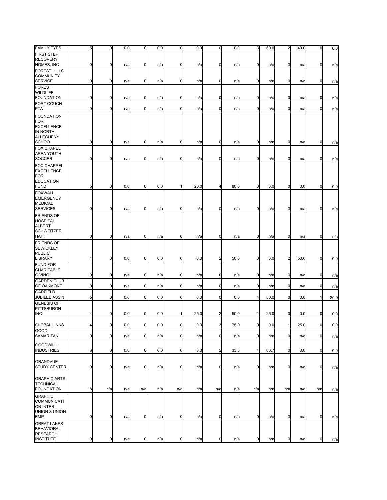| <b>FAMILY TYES</b>                                                                       | 5              | $\mathbf 0$      | 0.0 | $\pmb{0}$   | 0.0 | $\mathbf 0$ | 0.0  | $\overline{0}$ | 0.0  | 3              | 60.0 | $\mathbf{^{2}}$ | 40.0 | O            | 0.0        |
|------------------------------------------------------------------------------------------|----------------|------------------|-----|-------------|-----|-------------|------|----------------|------|----------------|------|-----------------|------|--------------|------------|
| <b>FIRST STEP</b><br><b>RECOVERY</b>                                                     |                |                  |     |             |     |             |      |                |      |                |      |                 |      |              |            |
| HOMES, INC                                                                               | 0              | $\pmb{0}$        | n/a | 0           | n/a | $\mathbf 0$ | n/a  | $\overline{0}$ | n/a  | 0              | n/a  | $\mathbf 0$     | n/a  | 0            | n/a        |
| <b>FOREST HILLS</b>                                                                      |                |                  |     |             |     |             |      |                |      |                |      |                 |      |              |            |
| <b>COMMUNITY</b>                                                                         |                |                  |     |             |     |             |      |                |      |                |      |                 |      |              |            |
| <b>SERVICE</b><br><b>FOREST</b>                                                          | 0              | $\boldsymbol{0}$ | n/a | 0           | n/a | 0           | n/a  | 0              | n/a  | 0              | n/a  | 0               | n/a  | $\mathbf 0$  | n/a        |
| <b>WILDLIFE</b>                                                                          |                |                  |     |             |     |             |      |                |      |                |      |                 |      |              |            |
| <b>FOUNDATION</b>                                                                        | $\mathbf 0$    | $\mathbf 0$      | n/a | 0           | n/a | $\mathbf 0$ | n/a  | $\mathbf 0$    | n/a  | $\overline{0}$ | n/a  | $\mathbf 0$     | n/a  | $\mathbf 0$  | n/a        |
| FORT COUCH<br><b>PTA</b>                                                                 | $\mathbf 0$    | $\boldsymbol{0}$ | n/a | 0           | n/a | $\mathbf 0$ | n/a  | 0              | n/a  | $\mathbf 0$    | n/a  | $\overline{0}$  | n/a  | $\mathbf 0$  | n/a        |
| <b>FOUNDATION</b><br><b>FOR</b><br><b>EXCELLENCE</b><br>IN NORTH<br><b>ALLEGHENY</b>     |                |                  |     |             |     |             |      |                |      |                |      |                 |      |              |            |
| <b>SCHOO</b><br><b>FOX CHAPEL</b>                                                        | $\mathbf 0$    | $\overline{0}$   | n/a | 0           | n/a | $\mathbf 0$ | n/a  | $\overline{0}$ | n/a  | $\overline{0}$ | n/a  | $\mathbf 0$     | n/a  | $\mathbf 0$  | n/a        |
| AREA YOUTH<br><b>SOCCER</b>                                                              | $\mathbf 0$    | $\boldsymbol{0}$ | n/a | 0           | n/a | $\mathbf 0$ | n/a  | 0              | n/a  | 0              | n/a  | 0               | n/a  | $\mathbf 0$  | n/a        |
| <b>FOX CHAPPEL</b><br><b>EXCELLENCE</b><br><b>FOR</b><br><b>EDUCATION</b><br><b>FUND</b> | 5              | $\mathbf 0$      | 0.0 | 0           | 0.0 | 1           | 20.0 | 4              | 80.0 | $\mathbf 0$    | 0.0  | $\mathbf 0$     | 0.0  | 0            | 0.0        |
| <b>FOXWALL</b><br><b>EMERGENCY</b><br><b>MEDICAL</b><br><b>SERVICES</b>                  | $\mathbf 0$    | $\overline{0}$   | n/a | 0           | n/a | $\mathbf 0$ | n/a  | 0              | n/a  | $\mathbf 0$    | n/a  | $\mathbf 0$     | n/a  | 0            | n/a        |
| <b>FRIENDS OF</b><br><b>HOSPITAL</b><br><b>ALBERT</b><br><b>SCHWEITZER</b><br>HAITI      | $\mathbf 0$    | $\overline{0}$   | n/a | $\mathbf 0$ | n/a | $\mathbf 0$ | n/a  | $\mathbf 0$    | n/a  | $\overline{0}$ | n/a  | $\overline{0}$  | n/a  | $\mathbf 0$  | n/a        |
| <b>FRIENDS OF</b><br><b>SEWICKLEY</b><br><b>PUBLIC</b><br>LIBRARY                        | $\overline{4}$ | $\overline{0}$   | 0.0 | $\mathbf 0$ | 0.0 | $\mathbf 0$ | 0.0  | $\overline{a}$ | 50.0 | $\overline{0}$ | 0.0  | $\overline{2}$  | 50.0 | $\mathbf 0$  | 0.0        |
| <b>FUND FOR</b><br>CHARITABLE                                                            |                |                  |     |             |     |             |      |                |      |                |      |                 |      |              |            |
| <b>GIVING</b><br><b>GARDEN CLUB</b>                                                      | 0              | $\mathbf 0$      | n/a | 0           | n/a | $\mathbf 0$ | n/a  | $\mathbf 0$    | n/a  | $\mathbf 0$    | n/a  | $\mathbf 0$     | n/a  | $\mathbf 0$  | n/a        |
| OF OAKMONT                                                                               | $\mathbf 0$    | $\overline{0}$   | n/a | 0           | n/a | $\mathbf 0$ | n/a  | $\overline{0}$ | n/a  | $\overline{0}$ | n/a  | $\mathbf 0$     | n/a  | $\mathbf 0$  | n/a        |
| <b>GARFIELD</b><br>JUBILEE ASS'N                                                         | 5              | $\boldsymbol{0}$ | 0.0 | 0           | 0.0 | $\mathbf 0$ | 0.0  | $\mathbf 0$    | 0.0  | 4              | 80.0 | $\mathbf 0$     | 0.0  | $\mathbf{1}$ | 20.0       |
| <b>GENESIS OF</b>                                                                        |                |                  |     |             |     |             |      |                |      |                |      |                 |      |              |            |
| PITTSBURGH                                                                               |                |                  |     |             |     |             |      |                |      |                |      |                 |      |              |            |
| <b>INC</b>                                                                               | 4              | $\mathbf 0$      | 0.0 | 0           | 0.0 | 1           | 25.0 | $\overline{2}$ | 50.0 | 1              | 25.0 | $\mathbf 0$     | 0.0  | 0            | 0.0        |
| <b>GLOBAL LINKS</b>                                                                      | 4              | $\overline{0}$   | 0.0 | $\mathbf 0$ | 0.0 | $\mathbf 0$ | 0.0  | 3 <sup>1</sup> | 75.0 | $\mathbf 0$    | 0.0  | 1               | 25.0 | $\mathbf 0$  | 0.0        |
| GOOD<br>SAMARITAN                                                                        | $\mathbf 0$    | $\overline{0}$   | n/a | $\pmb{0}$   | n/a | $\mathbf 0$ | n/a  | $\overline{0}$ | n/a  | $\mathbf 0$    | n/a  | $\mathbf 0$     | n/a  | $\mathbf 0$  | n/a        |
| <b>GOODWILL</b><br><b>INDUSTRIES</b>                                                     | 6              | $\boldsymbol{0}$ | 0.0 | $\mathbf 0$ | 0.0 | $\mathbf 0$ | 0.0  | $\overline{a}$ | 33.3 | 4              | 66.7 | $\mathbf 0$     | 0.0  | $\mathbf 0$  | 0.0        |
| <b>GRANDVUE</b><br><b>STUDY CENTER</b>                                                   | $\mathbf 0$    | $\overline{0}$   | n/a | $\mathbf 0$ | n/a | 0           | n/a  | $\overline{0}$ | n/a  | $\overline{0}$ | n/a  | $\overline{0}$  | n/a  | $\mathbf 0$  | n/a        |
| <b>GRAPHIC ARTS</b><br><b>TECHNICAL</b><br><b>FOUNDATION</b>                             | 18             | n/a              | n/a | n/a         | n/a | n/a         | n/a  | n/a            | n/a  | n/a            | n/a  | n/a             | n/a  | n/a          |            |
| <b>GRAPHIC</b><br>COMMUNICATI<br>ON INTER<br>UNION & UNION<br><b>EMP</b>                 | $\mathbf 0$    | $\overline{0}$   | n/a | $\mathbf 0$ | n/a | $\mathbf 0$ | n/a  | $\overline{0}$ | n/a  | $\mathbf 0$    | n/a  | $\mathbf 0$     | n/a  | $\mathbf 0$  | n/a<br>n/a |
| <b>GREAT LAKES</b><br><b>BEHAVIORAL</b><br><b>RESEARCH</b><br><b>INSTITUTE</b>           | $\mathbf 0$    | $\overline{0}$   | n/a | $\pmb{0}$   | n/a | $\mathbf 0$ | n/a  | $\overline{0}$ | n/a  | $\mathbf 0$    | n/a  | $\mathbf 0$     | n/a  | $\mathbf 0$  | n/a        |
|                                                                                          |                |                  |     |             |     |             |      |                |      |                |      |                 |      |              |            |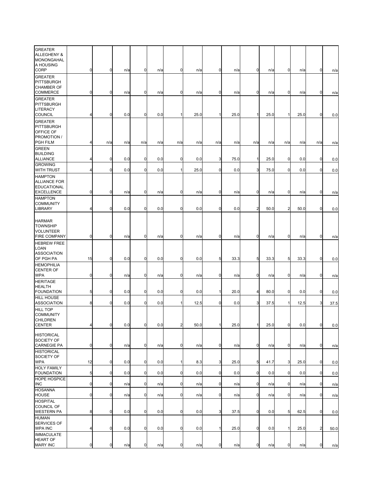| <b>GREATER</b><br>ALLEGHENY &<br>MONONGAHAL<br>A HOUSING                    |                |                  |     |             |     |                |      |              |      |                |      |                |      |                |      |
|-----------------------------------------------------------------------------|----------------|------------------|-----|-------------|-----|----------------|------|--------------|------|----------------|------|----------------|------|----------------|------|
| CORP<br><b>GREATER</b><br>PITTSBURGH<br><b>CHAMBER OF</b>                   | 0              | 0                | n/a | 0           | n/a | $\mathbf 0$    | n/a  | $\mathbf 0$  | n/a  | $\mathbf 0$    | n/a  | $\mathbf 0$    | n/a  | $\mathbf 0$    | n/a  |
| COMMERCE<br><b>GREATER</b><br>PITTSBURGH                                    | 0              | 0                | n/a | 0           | n/a | $\mathbf 0$    | n/a  | 0            | n/a  | 0              | n/a  | 0              | n/a  | 0              | n/a  |
| LITERACY<br>COUNCIL                                                         | $\overline{4}$ | 0                | 0.0 | 0           | 0.0 | 1              | 25.0 |              | 25.0 | $\mathbf{1}$   | 25.0 | 1              | 25.0 | $\mathbf 0$    | 0.0  |
| <b>GREATER</b><br>PITTSBURGH<br>OFFICE OF<br>PROMOTION /                    |                |                  |     |             |     |                |      |              |      |                |      |                |      |                |      |
| <b>PGH FILM</b>                                                             | 4              | n/a              | n/a | n/a         | n/a | n/a            | n/a  | n/a          | n/a  | n/a            | n/a  | n/a            | n/a  | n/a            | n/a  |
| <b>GREEN</b><br><b>BUILDING</b><br><b>ALLIANCE</b>                          | 4              | 0                | 0.0 | 0           | 0.0 | $\mathbf 0$    | 0.0  | 3            | 75.0 | 1              | 25.0 | $\mathbf 0$    | 0.0  | $\overline{0}$ | 0.0  |
| <b>GROWING</b><br><b>WITH TRUST</b>                                         | 4              | 0                | 0.0 | $\mathbf 0$ | 0.0 | $1\vert$       | 25.0 | $\mathbf 0$  | 0.0  | 3              | 75.0 | $\mathbf 0$    | 0.0  | 0              | 0.0  |
| HAMPTON<br><b>ALLIANCE FOR</b><br><b>EDUCATIONAL</b>                        |                |                  |     |             |     |                |      |              |      |                |      |                |      |                |      |
| <b>EXCELLENCE</b><br><b>HAMPTON</b>                                         | 0              | 0                | n/a | 0           | n/a | $\mathbf 0$    | n/a  | $\mathbf 0$  | n/a  | 0              | n/a  | $\mathbf 0$    | n/a  | 0              | n/a  |
| <b>COMMUNITY</b><br><b>LIBRARY</b>                                          | 4              | 0                | 0.0 | 0           | 0.0 | $\mathbf 0$    | 0.0  | $\mathbf 0$  | 0.0  | $\overline{2}$ | 50.0 | $\overline{2}$ | 50.0 | $\mathbf 0$    | 0.0  |
| <b>HARMAR</b><br><b>TOWNSHIP</b><br><b>VOLUNTEER</b><br><b>FIRE COMPANY</b> | 0              | $\boldsymbol{0}$ | n/a | 0           | n/a | $\mathbf 0$    | n/a  | $\mathbf 0$  | n/a  | 0              | n/a  | $\mathbf 0$    | n/a  | 0              | n/a  |
| <b>HEBREW FREE</b><br>LOAN<br><b>ASSOCIATION</b>                            |                |                  |     |             |     |                |      |              |      |                |      |                |      |                |      |
| OF PGH PA<br><b>HEMOPHILIA</b>                                              | 15             | 0                | 0.0 | $\mathbf 0$ | 0.0 | $\mathbf 0$    | 0.0  | 5            | 33.3 | 5              | 33.3 | 5              | 33.3 | $\mathbf 0$    | 0.0  |
| <b>CENTER OF</b><br><b>WPA</b>                                              | 0              | 0                | n/a | 0           | n/a | $\mathbf 0$    | n/a  | 0            | n/a  | $\mathbf 0$    | n/a  | $\overline{0}$ | n/a  | 0              | n/a  |
| <b>HERITAGE</b><br><b>HEALTH</b><br><b>FOUNDATION</b>                       | 5              | 0                | 0.0 | 0           | 0.0 | $\mathbf 0$    | 0.0  |              | 20.0 | 4              | 80.0 | $\mathbf 0$    | 0.0  | $\mathbf 0$    | 0.0  |
| <b>HILL HOUSE</b><br><b>ASSOCIATION</b>                                     | 8              | 0                | 0.0 | 0           | 0.0 | 1              | 12.5 | $\mathbf 0$  | 0.0  | 3              | 37.5 | $\mathbf{1}$   | 12.5 | 3              | 37.5 |
| <b>HILL TOP</b><br><b>COMMUNITY</b><br>CHILDREN<br><b>CENTER</b>            | 4              | $\mathbf 0$      | 0.0 | 0           | 0.0 | $\overline{2}$ | 50.0 | $\mathbf{1}$ | 25.0 | $\mathbf{1}$   | 25.0 | 0              | 0.0  | $\mathbf 0$    | 0.0  |
| <b>HISTORICAL</b><br>SOCIETY OF                                             |                |                  |     |             |     |                |      |              |      |                |      |                |      |                |      |
| <b>CARNEGIE PA</b><br><b>HISTORICAL</b>                                     | 0              | 0                | n/a | 0           | n/a | $\mathbf 0$    | n/a  | $\mathbf 0$  | n/a  | $\mathbf 0$    | n/a  | $\mathbf 0$    | n/a  | 0              | n/a  |
| SOCIETY OF<br><b>WPA</b>                                                    | 12             | 0                | 0.0 | $\mathbf 0$ | 0.0 | 1              | 8.3  | 3            | 25.0 | 5              | 41.7 | 3              | 25.0 | $\mathbf 0$    | 0.0  |
| <b>HOLY FAMILY</b><br><b>FOUNDATION</b>                                     | 5              | 0                | 0.0 | $\mathbf 0$ | 0.0 | $\mathbf 0$    | 0.0  | $\mathbf 0$  | 0.0  | $\mathbf 0$    | 0.0  | $\mathbf 0$    | 0.0  | $\mathbf 0$    | 0.0  |
| <b>HOPE HOSPICE</b><br>INC                                                  | 0              | 0                | n/a | $\pmb{0}$   | n/a | 0              | n/a  | $\mathbf 0$  | n/a  | 0              | n/a  | $\mathbf 0$    | n/a  | $\mathbf 0$    | n/a  |
| <b>HOSANNA</b><br><b>HOUSE</b>                                              | 0              | 0                | n/a | $\mathbf 0$ | n/a | $\mathbf 0$    | n/a  | $\mathbf 0$  | n/a  | $\mathbf 0$    | n/a  | $\mathbf 0$    | n/a  | $\mathbf 0$    | n/a  |
| <b>HOSPITAL</b><br><b>COUNCIL OF</b>                                        |                |                  |     |             |     |                |      |              |      |                |      |                |      |                |      |
| <b>WESTERN PA</b><br><b>HUMAN</b><br>SERVICES OF                            | 8              | 0                | 0.0 | $\mathbf 0$ | 0.0 | $\mathbf 0$    | 0.0  | 3            | 37.5 | $\mathbf 0$    | 0.0  | $5 \mid$       | 62.5 | 0              | 0.0  |
| <b>WPA INC</b><br><b>IMMACULATE</b>                                         | 4              | 0                | 0.0 | $\mathbf 0$ | 0.0 | $\mathbf 0$    | 0.0  |              | 25.0 | $\mathbf 0$    | 0.0  | 1              | 25.0 | $\overline{a}$ | 50.0 |
| <b>HEART OF</b><br><b>MARY INC</b>                                          | 0              | 0                | n/a | 0           | n/a | 0              | n/a  | $\mathbf 0$  | n/a  | 0              | n/a  | 0              | n/a  | $\overline{0}$ | n/a  |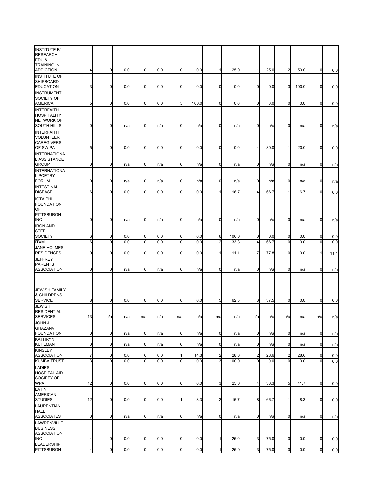| <b>INSTITUTE F/</b><br><b>RESEARCH</b><br>EDU &                           |             |                |     |                |     |                |       |                |       |                |      |                |       |                |      |
|---------------------------------------------------------------------------|-------------|----------------|-----|----------------|-----|----------------|-------|----------------|-------|----------------|------|----------------|-------|----------------|------|
| <b>TRAINING IN</b><br><b>ADDICTION</b>                                    | 4           | 0              | 0.0 | 0              | 0.0 | $\mathbf 0$    | 0.0   |                | 25.0  | $\mathbf{1}$   | 25.0 | $\overline{2}$ | 50.0  | $\mathbf 0$    | 0.0  |
| <b>INSTITUTE OF</b><br>SHIPBOARD<br><b>EDUCATION</b>                      | 3           | 0              | 0.0 | 0              | 0.0 | $\mathbf 0$    | 0.0   | $\mathbf 0$    | 0.0   | 0              | 0.0  | 3              | 100.0 | 0              | 0.0  |
| <b>INSTRUMENT</b><br>SOCIETY OF<br><b>AMERICA</b>                         | 5           | 0              | 0.0 | 0              | 0.0 | 5              | 100.0 | 0              | 0.0   | $\mathbf 0$    | 0.0  | $\mathbf 0$    | 0.0   | $\mathbf 0$    | 0.0  |
| <b>INTERFAITH</b><br><b>HOSPITALITY</b><br><b>NETWORK OF</b>              |             |                |     |                |     |                |       |                |       |                |      |                |       |                |      |
| SOUTH HILLS<br><b>INTERFAITH</b><br><b>VOLUNTEER</b><br><b>CAREGIVERS</b> | 0           | 0              | n/a | 0              | n/a | $\mathbf 0$    | n/a   | 0              | n/a   | 0              | n/a  | $\mathbf 0$    | n/a   | 0              | n/a  |
| OF SW PA                                                                  | 5           | 0              | 0.0 | 0              | 0.0 | $\mathbf 0$    | 0.0   | $\mathbf 0$    | 0.0   | 4              | 80.0 | 1              | 20.0  | 0              | 0.0  |
| <b>INTERNATIONA</b><br>L ASSISTANCE<br><b>GROUP</b>                       | 0           | 0              | n/a | 0              | n/a | $\mathbf 0$    | n/a   | $\mathbf 0$    | n/a   | 0              | n/a  | 0              | n/a   | 0              | n/a  |
| <b>INTERNATIONA</b><br>L POETRY<br><b>FORUM</b>                           | 0           | 0              | n/a | 0              | n/a | $\mathbf 0$    | n/a   | 0              | n/a   | 0              | n/a  | $\mathbf 0$    | n/a   | 0              | n/a  |
| <b>INTESTINAL</b><br><b>DISEASE</b>                                       | 6           | 0              | 0.0 | 0              | 0.0 | $\mathbf 0$    | 0.0   |                | 16.7  | 4              | 66.7 | 1              | 16.7  | 0              | 0.0  |
| <b>IOTA PHI</b><br><b>FOUNDATION</b><br>OF                                |             |                |     |                |     |                |       |                |       |                |      |                |       |                |      |
| PITTSBURGH<br><b>INC</b>                                                  | 0           | 0              | n/a | 0              | n/a | $\mathbf 0$    | n/a   | $\mathbf 0$    | n/a   | $\mathbf 0$    | n/a  | 0              | n/a   | $\mathbf 0$    | n/a  |
| <b>IRON AND</b>                                                           |             |                |     |                |     |                |       |                |       |                |      |                |       |                |      |
| <b>STEEL</b><br><b>SOCIETY</b>                                            | 6           | 0              | 0.0 | 0              | 0.0 | $\mathbf 0$    | 0.0   | 6              | 100.0 | $\mathbf 0$    | 0.0  | $\mathbf 0$    | 0.0   | 0              | 0.0  |
| <b>ITXM</b>                                                               | 6           | $\overline{0}$ | 0.0 | $\overline{0}$ | 0.0 | $\mathbf 0$    | 0.0   | $\overline{a}$ | 33.3  | $\overline{4}$ | 66.7 | $\overline{0}$ | 0.0   | $\overline{0}$ | 0.0  |
| <b>JANE HOLMES</b><br><b>RESIDENCES</b>                                   | 9           | 0              | 0.0 | $\mathbf 0$    | 0.0 | $\mathbf 0$    | 0.0   |                | 11.1  | 7              | 77.8 | $\mathbf 0$    | 0.0   | 1              | 11.1 |
| JEFFREY<br><b>PARENTS</b>                                                 |             |                |     |                |     |                |       |                |       |                |      |                |       |                |      |
| <b>ASSOCIATION</b>                                                        | 0           | 0              | n/a | 0              | n/a | $\mathbf 0$    | n/a   | 0              | n/a   | $\mathbf 0$    | n/a  | $\mathbf 0$    | n/a   | 0              | n/a  |
| <b>JEWISH FAMILY</b><br>& CHILDRENS<br><b>SERVICE</b>                     | 8           | 0              | 0.0 | 0              | 0.0 | 0              | 0.0   | 5              | 62.5  | 3              | 37.5 | $\mathbf 0$    | 0.0   | 0              | 0.0  |
| <b>JEWISH</b><br><b>RESIDENTIAL</b><br><b>SERVICES</b>                    | 13          | n/a            | n/a | n/a            | n/a | n/a            | n/a   | n/a            | n/a   | n/a            | n/a  | n/a            | n/a   | n/a            | n/a  |
| <b>JOHN J</b><br>GHAZANVI<br><b>FOUNDATION</b>                            | $\mathbf 0$ | 0              | n/a | $\pmb{0}$      | n/a | $\mathbf 0$    | n/a   | $\overline{0}$ | n/a   | $\mathbf 0$    | n/a  | $\mathbf 0$    | n/a   | $\mathbf 0$    | n/a  |
| <b>KATHRYN</b><br><b>KUHLMAN</b>                                          | 0           | 0              | n/a | $\mathbf 0$    | n/a | 0              | n/a   | $\mathbf 0$    | n/a   | $\mathbf 0$    | n/a  | $\overline{0}$ | n/a   | $\mathbf 0$    | n/a  |
| <b>KINSLEY</b><br><b>ASSOCIATION</b>                                      | 7           | 0              | 0.0 | 0              | 0.0 | 1              | 14.3  | 2              | 28.6  | 2              | 28.6 | $\overline{c}$ | 28.6  | 0              | 0.0  |
| <b>KUMBA TRUST</b>                                                        | 3           | $\overline{0}$ | 0.0 | ō              | 0.0 | $\mathbf 0$    | 0.0   | 3              | 100.0 | $\overline{0}$ | 0.0  | $\mathbf 0$    | 0.0   | $\overline{0}$ | 0.0  |
| <b>LADIES</b><br><b>HOSPITAL AID</b><br>SOCIETY OF<br>WPA                 | 12          | 0              | 0.0 | 0              | 0.0 | $\mathbf 0$    | 0.0   | 3              | 25.0  | 4              | 33.3 | 5              | 41.7  | $\mathbf 0$    | 0.0  |
| LATIN<br><b>AMERICAN</b><br><b>STUDIES</b>                                | 12          | 0              | 0.0 | $\mathbf 0$    | 0.0 | 1              | 8.3   | $\overline{a}$ | 16.7  | 8              | 66.7 | $\mathbf{1}$   | 8.3   | $\mathbf 0$    | 0.0  |
| LAURENTIAN<br><b>HALL</b><br><b>ASSOCIATES</b>                            | 0           | 0              | n/a | 0              | n/a | $\mathbf 0$    | n/a   | $\mathbf 0$    | n/a   | $\mathbf 0$    | n/a  | $\overline{0}$ | n/a   | $\mathbf 0$    | n/a  |
| LAWRENVILLE<br><b>BUSINESS</b><br><b>ASSOCIATION</b>                      |             |                |     |                |     |                |       |                |       |                |      |                |       |                |      |
| INC.                                                                      | 4           | $\pmb{0}$      | 0.0 | $\pmb{0}$      | 0.0 | $\overline{0}$ | 0.0   | 1              | 25.0  | 3              | 75.0 | $\overline{0}$ | 0.0   | $\mathbf 0$    | 0.0  |
| LEADERSHIP<br>PITTSBURGH                                                  | 4           | $\pmb{0}$      | 0.0 | $\mathbf 0$    | 0.0 | $\pmb{0}$      | 0.0   |                | 25.0  | 3              | 75.0 | $\overline{0}$ | 0.0   | $\overline{0}$ | 0.0  |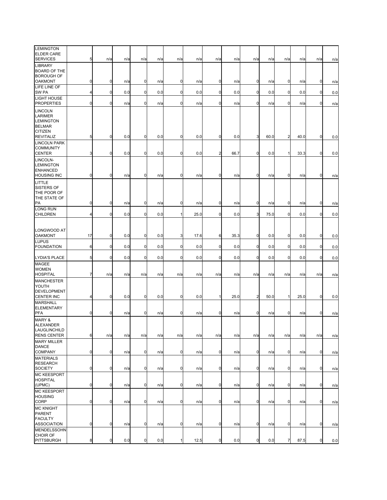| LEMINGTON<br><b>ELDER CARE</b><br><b>SERVICES</b>                                                    | 5           | n/a            | n/a | n/a         | n/a | n/a         | n/a  | n/a            | n/a  | n/a            | n/a  | n/a            | n/a  | n/a         | n/a |
|------------------------------------------------------------------------------------------------------|-------------|----------------|-----|-------------|-----|-------------|------|----------------|------|----------------|------|----------------|------|-------------|-----|
| <b>LIBRARY</b><br><b>BOARD OF THE</b><br><b>BOROUGH OF</b>                                           |             |                |     |             |     |             |      |                |      |                |      |                |      |             |     |
| <b>OAKMONT</b><br>LIFE LINE OF                                                                       | 0           | $\mathbf 0$    | n/a | 0           | n/a | 0           | n/a  | 0              | n/a  | $\mathbf 0$    | n/a  | $\mathbf 0$    | n/a  | $\mathbf 0$ | n/a |
| SW PA<br>LIGHT HOUSE                                                                                 | 4           | $\overline{0}$ | 0.0 | $\mathbf 0$ | 0.0 | $\mathbf 0$ | 0.0  | $\overline{0}$ | 0.0  | $\overline{0}$ | 0.0  | $\mathbf 0$    | 0.0  | $\mathbf 0$ | 0.0 |
| <b>PROPERTIES</b>                                                                                    | $\mathbf 0$ | $\mathbf 0$    | n/a | $\mathbf 0$ | n/a | $\mathbf 0$ | n/a  | $\mathbf 0$    | n/a  | $\overline{0}$ | n/a  | $\mathbf 0$    | n/a  | $\mathbf 0$ | n/a |
| <b>LINCOLN</b><br>LARIMER<br><b>LEMINGTON</b><br><b>BELMAR</b><br><b>CITIZEN</b><br><b>REVITALIZ</b> | 5           | $\mathbf 0$    | 0.0 | $\mathbf 0$ | 0.0 | 0           | 0.0  | $\mathbf 0$    | 0.0  | 3              | 60.0 | $\overline{2}$ | 40.0 | $\mathbf 0$ | 0.0 |
| <b>LINCOLN PARK</b><br><b>COMMUNITY</b><br><b>CENTER</b>                                             | 3           | $\mathbf 0$    | 0.0 | $\mathbf 0$ | 0.0 | $\mathbf 0$ | 0.0  | $\overline{2}$ | 66.7 | $\overline{0}$ | 0.0  |                | 33.3 | $\mathbf 0$ | 0.0 |
| LINCOLN-<br><b>LEMINGTON</b><br><b>ENHANCED</b><br><b>HOUSING INC</b>                                | 0           | $\overline{0}$ | n/a | $\mathbf 0$ | n/a | $\mathbf 0$ | n/a  | $\overline{0}$ | n/a  | $\overline{0}$ | n/a  | $\mathbf 0$    | n/a  | $\mathbf 0$ | n/a |
| LITTLE<br>SISTERS OF<br>THE POOR OF<br>THE STATE OF<br>PA                                            | $\mathbf 0$ | $\mathbf 0$    | n/a | 0           | n/a | $\mathbf 0$ | n/a  | $\overline{0}$ | n/a  | $\mathbf 0$    | n/a  | $\mathbf 0$    | n/a  | $\mathbf 0$ | n/a |
| LONG RUN<br><b>CHILDREN</b>                                                                          | 4           | $\mathbf 0$    | 0.0 | $\mathbf 0$ | 0.0 | 1           | 25.0 | 0              | 0.0  | 3              | 75.0 | $\overline{0}$ | 0.0  | $\mathbf 0$ | 0.0 |
|                                                                                                      |             |                |     |             |     |             |      |                |      |                |      |                |      |             |     |
| LONGWOOD AT<br><b>OAKMONT</b>                                                                        | 17          | $\overline{0}$ | 0.0 | $\mathbf 0$ | 0.0 | 3           | 17.6 | 6              | 35.3 | $\mathbf 0$    | 0.0  | $\mathbf 0$    | 0.0  | $\mathbf 0$ | 0.0 |
| <b>LUPUS</b><br><b>FOUNDATION</b>                                                                    | 6           | $\overline{0}$ | 0.0 | $\mathbf 0$ | 0.0 | $\mathbf 0$ | 0.0  | $\mathbf 0$    | 0.0  | $\overline{0}$ | 0.0  | $\overline{0}$ | 0.0  | $\mathbf 0$ | 0.0 |
| LYDIA'S PLACE                                                                                        | 5           | $\mathbf 0$    | 0.0 | $\mathbf 0$ | 0.0 | $\mathbf 0$ | 0.0  | 0              | 0.0  | $\mathbf 0$    | 0.0  | $\mathbf 0$    | 0.0  | $\mathbf 0$ | 0.0 |
| MAGEE<br><b>WOMEN</b><br><b>HOSPITAL</b>                                                             | 7           | n/a            | n/a | n/a         | n/a | n/a         | n/a  | n/a            | n/a  | n/a            | n/a  | n/a            | n/a  | n/a         | n/a |
| <b>MANCHESTER</b><br>YOUTH<br><b>DEVELOPMENT</b><br><b>CENTER INC</b>                                | 4           | $\overline{0}$ | 0.0 | 0           | 0.0 | $\mathbf 0$ | 0.0  | $\mathbf{1}$   | 25.0 | $\overline{a}$ | 50.0 | 1              | 25.0 | $\mathbf 0$ | 0.0 |
| <b>MARSHALL</b><br><b>ELEMENTARY</b><br><b>PFA</b>                                                   | $\mathbf 0$ | $\mathbf 0$    | n/a | 0           | n/a | $\mathbf 0$ | n/a  | $\mathbf 0$    | n/a  | $\mathbf 0$    | n/a  | $\mathbf 0$    | n/a  | $\mathbf 0$ | n/a |
| <b>MARY &amp;</b><br><b>ALEXANDER</b><br>LAUGLINCHILD<br><b>RENS CENTER</b>                          | 6           | n/a            | n/a | n/a         | n/a | n/a         | n/a  | n/a            | n/a  | n/a            | n/a  | n/a            | n/a  | n/a         | n/a |
| <b>MARY MILLER</b><br><b>DANCE</b><br>COMPANY                                                        | $\mathbf 0$ | $\mathbf 0$    | n/a | 0           | n/a | $\mathbf 0$ | n/a  | $\overline{0}$ | n/a  | $\mathbf 0$    | n/a  | $\mathbf 0$    | n/a  | $\mathbf 0$ | n/a |
| <b>MATERIALS</b><br><b>RESEARCH</b><br><b>SOCIETY</b>                                                | 0           | $\pmb{0}$      | n/a | $\mathbf 0$ | n/a | $\mathbf 0$ | n/a  | $\overline{0}$ | n/a  | $\overline{0}$ | n/a  | $\mathbf 0$    | n/a  | $\mathbf 0$ | n/a |
| <b>MC KEESPORT</b><br><b>HOSPITAL</b><br>(UPMC)                                                      | $\mathbf 0$ | $\mathbf 0$    | n/a | $\mathbf 0$ | n/a | $\mathbf 0$ | n/a  | $\overline{0}$ | n/a  | $\overline{0}$ | n/a  | $\overline{0}$ | n/a  | $\mathbf 0$ | n/a |
| <b>MC KEESPORT</b><br><b>HOUSING</b><br>CORP                                                         | $\mathbf 0$ | $\mathbf 0$    | n/a | $\mathbf 0$ | n/a | $\mathbf 0$ | n/a  | $\overline{0}$ | n/a  | $\overline{0}$ | n/a  | $\overline{0}$ | n/a  | $\mathbf 0$ | n/a |
| <b>MC KNIGHT</b><br><b>PARENT</b><br><b>FACULTY</b>                                                  |             |                |     |             |     |             |      |                |      |                |      |                |      |             |     |
| <b>ASSOCIATION</b>                                                                                   | $\mathbf 0$ | $\mathbf 0$    | n/a | $\mathbf 0$ | n/a | $\mathbf 0$ | n/a  | $\overline{0}$ | n/a  | $\overline{0}$ | n/a  | $\overline{0}$ | n/a  | $\mathbf 0$ | n/a |
| <b>MENDELSSOHN</b><br>CHOIR OF<br>PITTSBURGH                                                         | 8           | $\overline{0}$ | 0.0 | $\mathbf 0$ | 0.0 | 1           | 12.5 | $\overline{0}$ | 0.0  | $\mathbf 0$    | 0.0  | $\overline{7}$ | 87.5 | $\mathbf 0$ | 0.0 |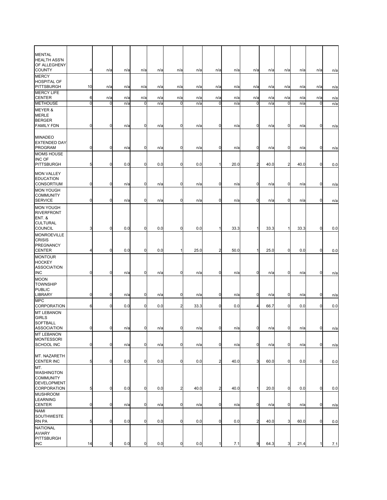| <b>MENTAL</b><br><b>HEALTH ASS'N</b>                                                            |             |                  |     |             |     |                |      |                |      |                |      |                |      |             |     |
|-------------------------------------------------------------------------------------------------|-------------|------------------|-----|-------------|-----|----------------|------|----------------|------|----------------|------|----------------|------|-------------|-----|
| OF ALLEGHENY<br><b>COUNTY</b>                                                                   | 4           | n/a              | n/a | n/a         | n/a | n/a            | n/a  | n/a            | n/a  | n/a            | n/a  | n/a            | n/a  | n/a         | n/a |
| <b>MERCY</b><br><b>HOSPITAL OF</b><br><b>PITTSBURGH</b>                                         | 10          | n/a              | n/a | n/a         | n/a | n/a            | n/a  | n/a            | n/a  | n/a            | n/a  | n/a            | n/a  | n/a         | n/a |
| <b>MERCY LIFE</b><br><b>CENTER</b>                                                              | 6           | n/a              | n/a | n/a         | n/a | n/a            | n/a  | n/a            | n/a  | n/a            | n/a  | n/a            | n/a  | n/a         | n/a |
| <b>METHOUSE</b>                                                                                 | 0           | 0                | n/a | $\mathbf 0$ | n/a | 0              | n/a  | $\mathbf 0$    | n/a  | 0              | n/a  | 0              | n/a  | $\mathbf 0$ | n/a |
| <b>MEYER &amp;</b><br><b>MERLE</b><br><b>BERGER</b><br><b>FAMILY FDN</b>                        | $\mathbf 0$ | $\mathbf 0$      | n/a | 0           | n/a | $\mathbf 0$    | n/a  | 0              | n/a  | $\mathbf 0$    | n/a  | 0              | n/a  | $\mathbf 0$ | n/a |
| <b>MINADEO</b><br><b>EXTENDED DAY</b><br><b>PROGRAM</b>                                         | $\mathbf 0$ | $\boldsymbol{0}$ | n/a | 0           | n/a | $\overline{0}$ | n/a  | $\mathbf 0$    | n/a  | $\mathbf 0$    | n/a  | $\mathbf 0$    | n/a  | 0           | n/a |
| <b>MOMS HOUSE</b>                                                                               |             |                  |     |             |     |                |      |                |      |                |      |                |      |             |     |
| <b>INC OF</b><br><b>PITTSBURGH</b>                                                              | 5           | $\mathbf 0$      | 0.0 | 0           | 0.0 | $\mathbf 0$    | 0.0  |                | 20.0 | $\overline{c}$ | 40.0 | 2              | 40.0 | $\mathbf 0$ | 0.0 |
| <b>MON VALLEY</b><br><b>EDUCATION</b><br><b>CONSORTIUM</b>                                      | $\mathbf 0$ | $\mathbf 0$      | n/a | $\mathbf 0$ | n/a | $\mathbf 0$    | n/a  | 0              | n/a  | $\mathbf 0$    | n/a  | $\mathbf 0$    | n/a  | $\mathbf 0$ | n/a |
| <b>MON YOUGH</b><br><b>COMMUNITY</b><br><b>SERVICE</b>                                          | $\mathbf 0$ | $\mathbf 0$      | n/a | 0           | n/a | $\mathbf 0$    | n/a  | 0              | n/a  | $\mathbf 0$    | n/a  | 0              | n/a  | $\mathbf 0$ | n/a |
| <b>MON YOUGH</b><br><b>RIVERFRONT</b><br><b>ENT. &amp;</b><br><b>CULTURAL</b><br><b>COUNCIL</b> | 3           | $\mathbf 0$      | 0.0 | 0           | 0.0 | 0              | 0.0  | 1              | 33.3 | $\mathbf{1}$   | 33.3 | 1              | 33.3 | $\mathbf 0$ | 0.0 |
| <b>MONROEVILLE</b><br><b>CRISIS</b>                                                             |             |                  |     |             |     |                |      |                |      |                |      |                |      |             |     |
| <b>PREGNANCY</b><br><b>CENTER</b>                                                               | 4           | $\mathbf 0$      | 0.0 | 0           | 0.0 | 1              | 25.0 | $\overline{2}$ | 50.0 | $\mathbf{1}$   | 25.0 | $\mathbf 0$    | 0.0  | $\mathbf 0$ | 0.0 |
| <b>MONTOUR</b><br><b>HOCKEY</b><br><b>ASSOCIATION</b>                                           |             |                  |     |             |     |                |      |                |      |                |      |                |      |             |     |
| <b>INC</b><br><b>MOON</b>                                                                       | $\mathbf 0$ | $\mathbf 0$      | n/a | 0           | n/a | 0              | n/a  | $\mathbf 0$    | n/a  | $\mathbf 0$    | n/a  | $\mathbf 0$    | n/a  | $\mathbf 0$ | n/a |
| <b>TOWNSHIP</b><br><b>PUBLIC</b><br><b>LIBRARY</b>                                              | $\mathbf 0$ | $\mathbf 0$      | n/a | 0           | n/a | 0              | n/a  | $\mathbf 0$    | n/a  | $\mathbf 0$    | n/a  | $\mathbf 0$    | n/a  | $\mathbf 0$ | n/a |
| <b>MPC</b><br>CORPORATION                                                                       | 6           | $\mathbf 0$      | 0.0 | 0           | 0.0 | $\overline{a}$ | 33.3 | $\mathbf 0$    | 0.0  | 4              | 66.7 | $\overline{0}$ | 0.0  | $\mathbf 0$ | 0.0 |
| <b>MT LEBANON</b><br><b>GIRLS</b><br>SOFTBALL                                                   |             |                  |     |             |     |                |      |                |      |                |      |                |      |             |     |
| <b>ASSOCIATION</b><br><b>MT LEBANON</b>                                                         |             | $\overline{0}$   | n/a | 0           | n/a | 0              | n/a  | $\pmb{0}$      | n/a  | $\mathbf 0$    | n/a  | 0              | n/a  | 0           | n/a |
| <b>MONTESSORI</b><br>SCHOOL INC                                                                 | $\mathbf 0$ | $\mathbf 0$      | n/a | 0           | n/a | 0              | n/a  | $\mathbf 0$    | n/a  | $\mathbf 0$    | n/a  | $\mathbf 0$    | n/a  | 0           | n/a |
| MT. NAZARETH<br><b>CENTER INC</b>                                                               | 5           | $\overline{0}$   | 0.0 | $\mathbf 0$ | 0.0 | $\mathbf 0$    | 0.0  | $\overline{a}$ | 40.0 | 3              | 60.0 | $\overline{0}$ | 0.0  | $\mathbf 0$ | 0.0 |
| MT.<br><b>WASHINGTON</b><br><b>COMMUNITY</b><br><b>DEVELOPMENT</b><br>CORPORATION               |             | $\pmb{0}$        | 0.0 | 0           | 0.0 | $\overline{a}$ | 40.0 | $\overline{c}$ | 40.0 | 1              | 20.0 | $\mathbf 0$    | 0.0  | $\mathbf 0$ |     |
| <b>MUSHROOM</b>                                                                                 | 5           |                  |     |             |     |                |      |                |      |                |      |                |      |             | 0.0 |
| <b>LEARNING</b><br><b>CENTER</b>                                                                | $\mathbf 0$ | $\overline{0}$   | n/a | 0           | n/a | $\mathbf 0$    | n/a  | $\mathbf 0$    | n/a  | $\mathbf 0$    | n/a  | $\overline{0}$ | n/a  | $\mathbf 0$ | n/a |
| <b>NAMI</b><br>SOUTHWESTE<br>RN PA                                                              | 5           | $\mathbf 0$      | 0.0 | $\mathbf 0$ | 0.0 | $\mathbf 0$    | 0.0  | $\mathbf 0$    | 0.0  | $\overline{a}$ | 40.0 | 3              | 60.0 | $\mathbf 0$ | 0.0 |
| <b>NATIONAL</b><br><b>AVIARY</b><br><b>PITTSBURGH</b>                                           |             |                  |     |             |     |                |      |                |      |                |      |                |      |             |     |
| <b>INC</b>                                                                                      | 14          | $\mathbf 0$      | 0.0 | 0           | 0.0 | $\mathbf 0$    | 0.0  |                | 7.1  | 9              | 64.3 | 3              | 21.4 | 1           | 7.1 |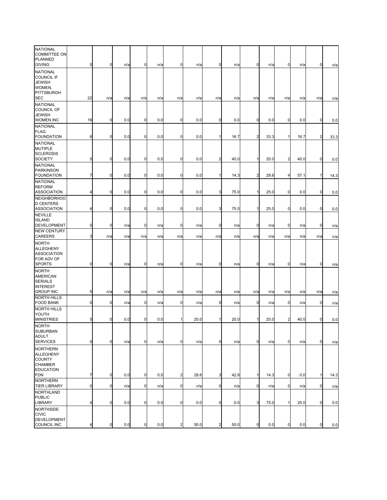| <b>NATIONAL</b><br><b>COMMITTEE ON</b><br>PLANNED<br><b>GIVING</b>                         | 0              | 0           | n/a | 0           | n/a | $\mathbf 0$    | n/a  | $\mathbf 0$    | n/a  | $\mathbf 0$    | n/a  | 0              | n/a  | 0              | n/a  |
|--------------------------------------------------------------------------------------------|----------------|-------------|-----|-------------|-----|----------------|------|----------------|------|----------------|------|----------------|------|----------------|------|
| <b>NATIONAL</b><br><b>COUNCIL IF</b><br><b>JEWISH</b><br>WOMEN,<br>PITTSBURGH              |                |             |     |             |     |                |      |                |      |                |      |                |      |                |      |
| <b>SEC</b><br><b>NATIONAL</b><br><b>COUNCIL OF</b><br><b>JEWISH</b>                        | 22             | n/a         | n/a | n/a         | n/a | n/a            | n/a  | n/a            | n/a  | n/a            | n/a  | n/a            | n/a  | n/a            | n/a  |
| WOMEN INC                                                                                  | 16             | 0           | 0.0 | 0           | 0.0 | $\mathbf 0$    | 0.0  | $\mathbf 0$    | 0.0  | $\mathbf 0$    | 0.0  | $\mathbf 0$    | 0.0  | 0              | 0.0  |
| <b>NATIONAL</b><br><b>FLAG</b>                                                             |                |             |     |             |     |                |      |                |      |                |      |                |      |                |      |
| <b>FOUNDATION</b>                                                                          | 6              | 0           | 0.0 | 0           | 0.0 | $\mathbf 0$    | 0.0  |                | 16.7 | $\overline{2}$ | 33.3 |                | 16.7 | $\overline{2}$ | 33.3 |
| <b>NATIONAL</b><br><b>MUTIPLE</b><br><b>SCLEROSIS</b>                                      |                |             |     | 0           |     |                |      |                |      |                |      |                |      |                |      |
| <b>SOCIETY</b><br><b>NATIONAL</b>                                                          | 5              | 0           | 0.0 |             | 0.0 | $\mathbf 0$    | 0.0  | $\overline{2}$ | 40.0 | $\mathbf{1}$   | 20.0 | $\overline{2}$ | 40.0 | $\mathbf 0$    | 0.0  |
| <b>PARKINSON</b><br><b>FOUNDATION</b>                                                      | 7              | $\mathbf 0$ | 0.0 | $\mathbf 0$ | 0.0 | $\mathbf 0$    | 0.0  |                | 14.3 | $\overline{a}$ | 28.6 | 4              | 57.1 | $\mathbf{1}$   | 14.3 |
| <b>NATIONAL</b>                                                                            |                |             |     |             |     |                |      |                |      |                |      |                |      |                |      |
| <b>REFORM</b><br><b>ASSOCIATION</b>                                                        | 4              | 0           | 0.0 | $\mathbf 0$ | 0.0 | $\mathbf 0$    | 0.0  | 3              | 75.0 | 1              | 25.0 | $\overline{0}$ | 0.0  | 0              | 0.0  |
| <b>NEIGHBORHOO</b>                                                                         |                |             |     |             |     |                |      |                |      |                |      |                |      |                |      |
| <b>D CENTERS</b><br><b>ASSOCIATION</b>                                                     | 4              | 0           | 0.0 | 0           | 0.0 | $\mathbf 0$    | 0.0  | 3              | 75.0 | 1              | 25.0 | $\mathbf 0$    | 0.0  | $\mathbf 0$    | 0.0  |
| <b>NEVILLE</b>                                                                             |                |             |     |             |     |                |      |                |      |                |      |                |      |                |      |
| <b>ISLAND</b><br>DEVELOPMENT                                                               | 0              | 0           | n/a | 0           | n/a | $\mathbf 0$    | n/a  | 0              | n/a  | 0              | n/a  | $\mathbf 0$    | n/a  | 0              | n/a  |
| <b>NEW CENTURY</b><br>CAREERS                                                              | 3              | n/a         | n/a | n/a         | n/a | n/a            | n/a  | n/a            | n/a  | n/a            | n/a  | n/a            | n/a  | n/a            | n/a  |
| <b>NORTH</b><br><b>ALLEGHENY</b><br><b>ASSOCIATION</b><br>FOR ADV OF                       |                |             |     |             |     |                |      |                |      |                |      |                |      |                |      |
| <b>SPORTS</b>                                                                              | $\mathbf 0$    | 0           | n/a | 0           | n/a | $\mathbf 0$    | n/a  | $\mathbf 0$    | n/a  | $\mathbf 0$    | n/a  | $\overline{0}$ | n/a  | 0              | n/a  |
| <b>NORTH</b><br><b>AMERICAN</b><br><b>SERIALS</b><br><b>INTEREST</b><br><b>GROUP INC</b>   | 5              | n/a         | n/a | n/a         | n/a | n/a            | n/a  | n/a            | n/a  | n/a            | n/a  | n/a            | n/a  | n/a            | n/a  |
| <b>NORTH HILLS</b><br><b>FOOD BANK</b>                                                     | 0              | 0           | n/a | 0           | n/a | $\mathbf 0$    | n/a  | $\mathbf 0$    | n/a  | 0              | n/a  | $\mathbf 0$    | n/a  | 0              | n/a  |
| <b>NORTH HILLS</b>                                                                         |                |             |     |             |     |                |      |                |      |                |      |                |      |                |      |
| YOUTH<br><b>MINISTRIES</b>                                                                 | 5              | 0           | 0.0 | $\mathbf 0$ | 0.0 |                | 20.0 |                | 20.0 | $\mathbf{1}$   | 20.0 | $\overline{2}$ | 40.0 | $\mathbf 0$    | 0.0  |
| <b>NORTH</b><br>SUBURBAN<br><b>ADULT</b><br><b>SERVICES</b>                                | $\mathbf 0$    | 0           | n/a | $\mathbf 0$ | n/a | $\overline{0}$ | n/a  | $\mathbf 0$    | n/a  | $\mathbf 0$    | n/a  | $\mathbf 0$    | n/a  | $\mathbf 0$    | n/a  |
| <b>NORTHERN</b><br><b>ALLEGHENY</b><br><b>COUNTY</b><br><b>CHAMBER</b><br><b>EDUCATION</b> |                |             |     |             |     |                |      |                |      |                |      |                |      |                |      |
| <b>FDN</b><br><b>NORTHERN</b>                                                              | 7              | 0           | 0.0 | 0           | 0.0 | $\overline{a}$ | 28.6 | 3              | 42.9 | 1              | 14.3 | $\mathbf 0$    | 0.0  | $\mathbf 1$    | 14.3 |
| <b>TIER LIBRARY</b>                                                                        | $\mathbf 0$    | 0           | n/a | $\pmb{0}$   | n/a | $\mathbf 0$    | n/a  | $\mathbf 0$    | n/a  | 0              | n/a  | $\mathbf 0$    | n/a  | $\mathbf 0$    | n/a  |
| <b>NORTHLAND</b><br><b>PUBLIC</b>                                                          |                |             |     |             |     |                |      |                |      |                |      |                |      |                |      |
| LIBRARY<br><b>NORTHSIDE</b><br><b>CIVIC</b>                                                | $\overline{4}$ | 0           | 0.0 | $\mathbf 0$ | 0.0 | $\mathbf 0$    | 0.0  | $\mathbf 0$    | 0.0  | 3              | 75.0 | 1              | 25.0 | $\mathbf 0$    | 0.0  |
| <b>DEVELOPMENT</b><br>COUNCIL INC                                                          | 4              | 0           | 0.0 | 0           | 0.0 | $\overline{2}$ | 50.0 | $\overline{a}$ | 50.0 | $\pmb{0}$      | 0.0  | $\mathbf 0$    | 0.0  | $\mathbf 0$    | 0.0  |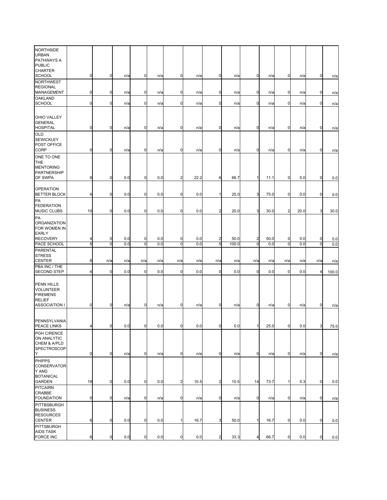| <b>NORTHSIDE</b><br><b>URBAN</b><br><b>PATHWAYS A</b><br><b>PUBLIC</b><br><b>CHARTER</b> |                |                |     |                |     |                |      |                |       |                         |      |                |      |                |       |
|------------------------------------------------------------------------------------------|----------------|----------------|-----|----------------|-----|----------------|------|----------------|-------|-------------------------|------|----------------|------|----------------|-------|
| <b>SCHOOL</b>                                                                            | $\mathbf 0$    | $\mathbf 0$    | n/a | 0              | n/a | 0              | n/a  | $\mathbf 0$    | n/a   | $\mathbf 0$             | n/a  | $\mathbf 0$    | n/a  | $\mathbf 0$    | n/a   |
| <b>NORTHWEST</b><br><b>REGIONAL</b><br>MANAGEMENT                                        | $\mathbf 0$    | $\mathbf 0$    | n/a | 0              | n/a | 0              | n/a  | 0              | n/a   | $\mathbf 0$             | n/a  | 0              | n/a  | $\mathbf 0$    | n/a   |
| <b>OAKLAND</b><br><b>SCHOOL</b>                                                          | $\mathbf 0$    | $\mathbf 0$    | n/a | $\mathbf 0$    | n/a | $\mathbf 0$    | n/a  | $\mathbf 0$    | n/a   | $\mathbf 0$             | n/a  | $\overline{0}$ | n/a  | $\mathbf 0$    | n/a   |
| OHIO VALLEY<br><b>GENERAL</b><br><b>HOSPITAL</b>                                         | $\overline{0}$ | $\mathbf 0$    | n/a | 0              | n/a | 0              | n/a  | $\mathbf 0$    | n/a   | $\mathbf 0$             | n/a  | $\overline{0}$ | n/a  | $\mathbf 0$    | n/a   |
| <b>OLD</b><br><b>SEWICKLEY</b><br>POST OFFICE<br>CORP                                    | 0              | $\mathbf 0$    | n/a | 0              | n/a | 0              | n/a  | 0              | n/a   | $\mathbf 0$             | n/a  | $\mathbf 0$    | n/a  | $\mathbf 0$    | n/a   |
| ONE TO ONE<br><b>THE</b><br><b>MENTORING</b><br><b>PARTNERSHIP</b><br>OF SWPA            | 9              | $\mathbf 0$    | 0.0 | 0              | 0.0 | $\overline{a}$ | 22.2 | 6              | 66.7  | 1                       | 11.1 | $\overline{0}$ | 0.0  | 0              | 0.0   |
| <b>OPERATION</b><br><b>BETTER BLOCK</b>                                                  | 4              | $\mathbf 0$    | 0.0 | 0              | 0.0 | $\mathbf 0$    | 0.0  | 1              | 25.0  | 3                       | 75.0 | $\overline{0}$ | 0.0  | $\mathbf 0$    | 0.0   |
| PA<br><b>FEDERATION</b><br><b>MUSIC CLUBS</b>                                            | 10             | $\overline{0}$ | 0.0 | 0              | 0.0 | $\mathbf 0$    | 0.0  | $\overline{c}$ | 20.0  | 3                       | 30.0 | $\overline{2}$ | 20.0 | 3              | 30.0  |
| PA<br><b>ORGANIZATION</b><br>FOR WOMEN IN<br><b>EARLY</b>                                |                |                |     |                |     |                |      |                |       |                         |      |                |      |                |       |
| <b>RECOVERY</b>                                                                          | 4              | $\mathbf 0$    | 0.0 | 0              | 0.0 | 0              | 0.0  | 2              | 50.0  | $\overline{\mathbf{c}}$ | 50.0 | $\mathbf 0$    | 0.0  | 0              | 0.0   |
| PACE SCHOOL                                                                              | 5              | ō              | 0.0 | $\mathbf 0$    | 0.0 | $\overline{0}$ | 0.0  | G,             | 100.0 | $\overline{0}$          | 0.0  | $\overline{0}$ | 0.0  | $\overline{0}$ | 0.0   |
| <b>PARENTAL</b><br><b>STRESS</b><br><b>CENTER</b>                                        | 8              | n/a            | n/a | n/a            | n/a | n/a            | n/a  | n/a            | n/a   | n/a                     | n/a  | n/a            | n/a  | n/a            | n/a   |
| PBA INC / THE<br><b>SECOND STEP</b>                                                      | Δ              | $\mathbf 0$    | 0.0 | 0              | 0.0 | $\mathbf 0$    | 0.0  | $\mathbf 0$    | 0.0   | $\mathbf 0$             | 0.0  | $\overline{0}$ | 0.0  | $\overline{a}$ | 100.0 |
| <b>PENN HILLS</b><br><b>VOLUNTEER</b><br><b>FIREMENS</b><br><b>RELIEF</b>                |                |                |     |                |     |                |      |                |       |                         |      |                |      |                |       |
| <b>ASSOCIATION I</b>                                                                     | $\mathbf 0$    | $\overline{0}$ | n/a | 0              | n/a | $\mathbf 0$    | n/a  | $\mathbf 0$    | n/a   | $\mathbf 0$             | n/a  | $\overline{0}$ | n/a  | $\mathbf 0$    | n/a   |
| PENNSYLVANIA<br>PEACE LINKS                                                              | $\overline{4}$ | $\mathbf 0$    | 0.0 | $\overline{0}$ | 0.0 | $\overline{0}$ | 0.0  | $\mathbf 0$    | 0.0   | 1                       | 25.0 | $\overline{0}$ | 0.0  | 3              | 75.0  |
| PGH C/RENCE<br>ON ANALYTIC<br>CHEM & A/PLD<br>SPECTROSCOP                                |                |                |     |                |     |                |      |                |       |                         |      |                |      |                |       |
| Υ                                                                                        | $\mathbf 0$    | $\mathbf 0$    | n/a | $\mathbf 0$    | n/a | 0              | n/a  | $\mathbf 0$    | n/a   | $\mathbf 0$             | n/a  | $\overline{0}$ | n/a  | $\mathbf 0$    | n/a   |
| <b>PHIPPS</b><br>CONSERVATOR<br>Y AND<br><b>BOTANICAL</b><br><b>GARDEN</b>               | 19             | $\overline{0}$ | 0.0 | 0              | 0.0 | 2              | 10.5 | $\overline{c}$ | 10.5  | 14                      | 73.7 | 1              | 5.3  | $\mathbf 0$    | 0.0   |
| <b>PITCAIRN</b><br>CRABBE                                                                |                |                |     |                |     |                |      |                |       |                         |      |                |      |                |       |
| <b>FOUNDATION</b>                                                                        | $\mathbf 0$    | $\mathbf 0$    | n/a | 0              | n/a | $\mathbf 0$    | n/a  | $\mathbf 0$    | n/a   | $\mathbf 0$             | n/a  | 0              | n/a  | $\mathbf 0$    | n/a   |
| PITTBSBURGH<br><b>BUSINESS</b><br><b>RESOURCES</b><br><b>CENTER</b>                      | 6              | $\mathbf 0$    | 0.0 | 0              | 0.0 | $\mathbf{1}$   | 16.7 | 3              | 50.0  | $\vert$ 1               | 16.7 | $\mathbf 0$    | 0.0  | $\mathbf 0$    | 0.0   |
| <b>PITTSBURGH</b>                                                                        |                |                |     |                |     |                |      |                |       |                         |      |                |      |                |       |
| <b>AIDS TASK</b><br><b>FORCE INC</b>                                                     | 6              | $\pmb{0}$      | 0.0 | $\mathbf 0$    | 0.0 | $\mathbf 0$    | 0.0  | $\overline{2}$ | 33.3  | 4                       | 66.7 | $\overline{0}$ | 0.0  | $\mathbf 0$    | 0.0   |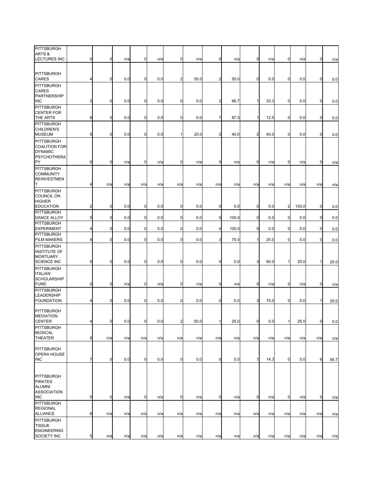| PITTSBURGH<br>ARTS &<br><b>LECTURES INC</b>                                              | $\overline{0}$ | $\mathbf 0$    | n/a | $\mathbf 0$ | n/a | $\mathbf 0$    | n/a  | $\mathbf 0$    | n/a   | $\mathbf 0$    | n/a  | $\overline{0}$ | n/a   | $\mathbf 0$  | n/a  |
|------------------------------------------------------------------------------------------|----------------|----------------|-----|-------------|-----|----------------|------|----------------|-------|----------------|------|----------------|-------|--------------|------|
| <b>PITTSBURGH</b><br><b>CARES</b>                                                        | 4              | 0              | 0.0 | 0           | 0.0 | $\overline{a}$ | 50.0 | $\overline{2}$ | 50.0  | $\mathbf 0$    | 0.0  | 0              | 0.0   | $\mathbf 0$  | 0.0  |
| <b>PITTSBURGH</b><br><b>CARES</b>                                                        |                |                |     |             |     |                |      |                |       |                |      |                |       |              |      |
| PARTNERSHIP<br><b>INC</b>                                                                | 3              | $\mathbf 0$    | 0.0 | 0           | 0.0 | $\mathbf 0$    | 0.0  | $\overline{a}$ | 66.7  | 1              | 33.3 | $\overline{0}$ | 0.0   | $\mathbf 0$  | 0.0  |
| <b>PITTSBURGH</b><br><b>CENTER FOR</b><br>THE ARTS                                       | 8              | $\mathbf 0$    | 0.0 | 0           | 0.0 | $\mathbf 0$    | 0.0  | 7              | 87.5  | $\mathbf{1}$   | 12.5 | $\overline{0}$ | 0.0   | $\mathbf 0$  | 0.0  |
| <b>PITTSBURGH</b><br><b>CHILDREN'S</b><br><b>MUSEUM</b>                                  | 5              | $\mathbf 0$    | 0.0 | 0           | 0.0 |                | 20.0 | $\overline{2}$ | 40.0  | $\overline{a}$ | 40.0 | $\overline{0}$ | 0.0   | $\mathbf 0$  | 0.0  |
| <b>PITTSBURGH</b><br><b>COALITION FOR</b><br><b>DYNAMIC</b><br><b>PSYCHOTHERA</b><br>PY  | $\mathbf 0$    | $\pmb{0}$      |     | $\mathbf 0$ |     |                |      | $\mathbf 0$    | n/a   |                |      | $\mathbf 0$    |       | $\mathbf 0$  |      |
| <b>PITTSBURGH</b><br><b>COMMUNITY</b>                                                    |                |                | n/a |             | n/a | $\overline{0}$ | n/a  |                |       | $\mathbf 0$    | n/a  |                | n/a   |              | n/a  |
| <b>REINVESTMEN</b><br>T                                                                  | 4              | n/a            | n/a | n/a         | n/a | n/a            | n/a  | n/a            | n/a   | n/a            | n/a  | n/a            | n/a   | n/a          | n/a  |
| <b>PITTSBURGH</b><br><b>COUNCIL ON</b><br><b>HIGHER</b><br><b>EDUCATION</b>              | $\overline{2}$ | $\mathbf 0$    | 0.0 | $\mathbf 0$ | 0.0 | $\mathbf 0$    | 0.0  | $\overline{0}$ | 0.0   | $\mathbf 0$    | 0.0  | $\overline{2}$ | 100.0 | $\mathbf 0$  | 0.0  |
| <b>PITTSBURGH</b><br><b>DANCE ALLOY</b>                                                  | 5              | $\mathbf 0$    | 0.0 | 0           | 0.0 | $\mathbf 0$    | 0.0  | 5              | 100.0 | $\mathbf 0$    | 0.0  | $\overline{0}$ | 0.0   | $\mathbf 0$  | 0.0  |
| <b>PITTSBURGH</b><br><b>EXPERIMENT</b>                                                   | 4              | $\mathbf 0$    | 0.0 | $\mathbf 0$ | 0.0 | $\mathbf 0$    | 0.0  | $\overline{4}$ | 100.0 | $\mathbf 0$    | 0.0  | $\overline{0}$ | 0.0   | $\mathbf 0$  | 0.0  |
| <b>PITTSBURGH</b><br><b>FILM MAKERS</b>                                                  | 4              | $\mathbf 0$    | 0.0 | $\mathbf 0$ | 0.0 | $\mathbf 0$    | 0.0  | 3              | 75.0  | $\mathbf{1}$   | 25.0 | $\overline{0}$ | 0.0   | $\mathbf 0$  | 0.0  |
| <b>PITTSBURGH</b><br><b>INSTITUTE OF</b><br><b>MORTUARY</b>                              |                |                |     |             |     |                |      |                |       |                |      |                |       |              |      |
| <b>SCIENCE INC</b><br><b>PITTSBURGH</b><br><b>ITALIAN</b><br>SCHOLARSHIP                 | 5 <sub>l</sub> | $\overline{0}$ | 0.0 | 0           | 0.0 | $\mathbf 0$    | 0.0  | $\mathbf 0$    | 0.0   | 3              | 60.0 | $\mathbf{1}$   | 20.0  | 1            | 20.0 |
| <b>FUND</b><br><b>PITTSBURGH</b><br><b>LEADERSHIP</b>                                    | $\overline{0}$ | $\mathbf 0$    | n/a | 0           | n/a | $\overline{0}$ | n/a  | $\mathbf 0$    | n/a   | $\mathbf 0$    | n/a  | $\mathbf 0$    | n/a   | $\mathbf 0$  | n/a  |
| <b>FOUNDATION</b>                                                                        | $\overline{4}$ | $\mathbf 0$    | 0.0 | 0           | 0.0 | $\mathbf 0$    | 0.0  | $\mathbf 0$    | 0.0   | 3              | 75.0 | $\overline{0}$ | 0.0   | $\mathbf{1}$ | 25.0 |
| <b>PITTSBURGH</b><br><b>MEDIATION</b><br><b>CENTER</b>                                   | 4              | 0              | 0.0 | 0           | 0.0 | 2              | 50.0 | 1              | 25.0  | $\mathbf 0$    | 0.0  | 11             | 25.0  | $\mathbf 0$  | 0.0  |
| <b>PITTSBURGH</b><br><b>MUSICAL</b><br>THEATER                                           | 5              | n/a            | n/a | n/a         | n/a | n/a            | n/a  | n/a            | n/a   | n/a            | n/a  | n/a            | n/a   | n/a          | n/a  |
| <b>PITTSBURGH</b><br>OPERA HOUSE<br><b>INC</b>                                           | $\overline{7}$ | $\mathbf 0$    | 0.0 | $\mathbf 0$ | 0.0 | $\mathbf 0$    | 0.0  | $\mathbf 0$    | 0.0   | 1              | 14.3 | $\mathbf 0$    | 0.0   | 6            | 85.7 |
| <b>PITTSBURGH</b><br><b>PIRATES</b><br><b>ALUMNI</b><br><b>ASSOCIATION</b><br><b>INC</b> | $\overline{0}$ | $\mathbf 0$    | n/a | $\pmb{0}$   | n/a | $\overline{0}$ | n/a  | $\mathbf 0$    | n/a   | $\overline{0}$ | n/a  | $\mathbf 0$    | n/a   | $\mathbf 0$  | n/a  |
| <b>PITTSBURGH</b><br><b>REGIONAL</b>                                                     |                |                |     |             |     |                |      |                |       |                |      |                |       |              |      |
| <b>ALLIANCE</b><br><b>PITTSBURGH</b><br><b>TISSUE</b><br><b>ENGINEERING</b>              | 6              | n/a            | n/a | n/a         | n/a | n/a            | n/a  | n/a            | n/a   | n/a            | n/a  | n/a            | n/a   | n/a          | n/a  |
| SOCIETY INC                                                                              | 5              | n/a            | n/a | n/a         | n/a | n/a            | n/a  | n/a            | n/a   | n/a            | n/a  | n/a            | n/a   | n/a          | n/a  |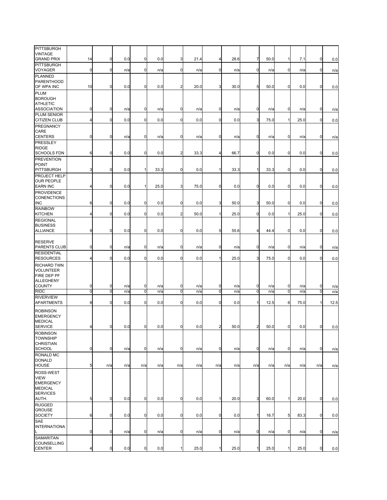| <b>PITTSBURGH</b><br><b>VINTAGE</b><br><b>GRAND PRIX</b>                       | 14             | $\mathbf 0$      | 0.0 | 0              | 0.0  | 3              | 21.4 | 4              | 28.6 | 7              | 50.0 | $\mathbf{1}$    | 7.1  | $\mathbf 0$  | 0.0  |
|--------------------------------------------------------------------------------|----------------|------------------|-----|----------------|------|----------------|------|----------------|------|----------------|------|-----------------|------|--------------|------|
| <b>PITTSBURGH</b><br>VOYAGER                                                   | $\mathbf 0$    | $\mathbf 0$      | n/a | 0              | n/a  | 0              | n/a  | $\mathbf 0$    | n/a  | $\mathbf 0$    | n/a  | 0               | n/a  | $\mathbf 0$  | n/a  |
| <b>PLANNED</b><br><b>PARENTHOOD</b><br>OF WPA INC                              | 10             | $\mathbf 0$      | 0.0 | 0              | 0.0  | $\overline{a}$ | 20.0 | 3              | 30.0 | 5              | 50.0 | $\mathbf 0$     | 0.0  | $\mathbf 0$  | 0.0  |
| <b>PLUM</b><br><b>BOROUGH</b>                                                  |                |                  |     |                |      |                |      |                |      |                |      |                 |      |              |      |
| <b>ATHLETIC</b><br><b>ASSOCIATION</b><br>PLUM SENIOR                           | $\mathbf 0$    | $\mathbf 0$      | n/a | 0              | n/a  | $\mathbf 0$    | n/a  | $\mathbf 0$    | n/a  | $\mathbf 0$    | n/a  | $\overline{0}$  | n/a  | $\mathbf 0$  | n/a  |
| CITIZEN CLUB<br>PREGNANCY                                                      | 4              | $\mathbf 0$      | 0.0 | 0              | 0.0  | 0              | 0.0  | $\mathbf 0$    | 0.0  | 3              | 75.0 | $\mathbf{1}$    | 25.0 | $\mathbf 0$  | 0.0  |
| CARE<br><b>CENTERS</b>                                                         | 0              | $\mathbf 0$      | n/a | 0              | n/a  | 0              | n/a  | $\mathbf 0$    | n/a  | $\mathbf 0$    | n/a  | 0               | n/a  | $\mathbf 0$  | n/a  |
| PRESSLEY<br><b>RIDGE</b><br><b>SCHOOLS FDN</b>                                 | 6              | $\pmb{0}$        | 0.0 | $\mathbf 0$    | 0.0  | $\overline{c}$ | 33.3 | 4              | 66.7 | $\overline{0}$ | 0.0  | $\overline{0}$  | 0.0  | $\mathbf 0$  | 0.0  |
| <b>PREVENTION</b><br><b>POINT</b>                                              |                |                  |     |                |      |                |      |                |      |                |      |                 |      |              |      |
| <b>PITTSBURGH</b><br>PROJECT HELP<br><b>OUR PEOPLE</b>                         | 3              | $\mathbf 0$      | 0.0 | 1              | 33.3 | $\mathbf 0$    | 0.0  | $\mathbf{1}$   | 33.3 | 1              | 33.3 | $\overline{0}$  | 0.0  | $\mathbf 0$  | 0.0  |
| <b>EARN INC</b><br>PROVIDENCE                                                  | 4              | $\mathbf 0$      | 0.0 | 1              | 25.0 | 3              | 75.0 | $\mathbf 0$    | 0.0  | $\mathbf 0$    | 0.0  | $\overline{0}$  | 0.0  | $\mathbf 0$  | 0.0  |
| <b>CONENCTIONS</b><br><b>INC</b><br><b>RAINBOW</b>                             | 6              | $\mathbf 0$      | 0.0 | 0              | 0.0  | $\mathbf 0$    | 0.0  | 3              | 50.0 | 3              | 50.0 | $\mathbf 0$     | 0.0  | $\mathbf 0$  | 0.0  |
| <b>KITCHEN</b><br><b>REGIONAL</b>                                              | 4              | $\mathbf 0$      | 0.0 | 0              | 0.0  | $\overline{a}$ | 50.0 | 1              | 25.0 | $\mathbf 0$    | 0.0  | $\mathbf{1}$    | 25.0 | $\mathbf 0$  | 0.0  |
| <b>BUSINESS</b><br><b>ALLIANCE</b>                                             | 9              | $\pmb{0}$        | 0.0 | 0              | 0.0  | $\overline{0}$ | 0.0  | 5              | 55.6 | 4              | 44.4 | $\overline{0}$  | 0.0  | 0            | 0.0  |
| <b>RESERVE</b><br>PARENTS CLUB                                                 | 0              | $\mathbf 0$      | n/a | 0              | n/a  | $\mathbf 0$    | n/a  | 0              | n/a  | $\mathbf 0$    | n/a  | $\overline{0}$  | n/a  | $\mathbf 0$  | n/a  |
| <b>RESIDENTIAL</b><br><b>RESOURCES</b>                                         | 4              | $\mathbf 0$      | 0.0 | $\mathbf 0$    | 0.0  | $\mathbf 0$    | 0.0  | 1              | 25.0 | 3              | 75.0 | $\overline{0}$  | 0.0  | $\mathbf 0$  | 0.0  |
| <b>RICHARD TWN</b><br><b>VOLUNTEER</b><br>FIRE DEP PF<br>ALLEGHENY             |                |                  |     |                |      |                |      |                |      |                |      |                 |      |              |      |
| COUNTY                                                                         | $\mathbf 0$    | $\mathbf 0$      | n/a | 0              | n/a  | 0              | n/a  | $\mathbf 0$    | n/a  | $\mathbf 0$    | n/a  | 0               | n/a  | 0            | n/a  |
| <b>RIDC</b><br><b>RIVERVIEW</b>                                                | $\mathbf 0$    | 0                | n/a | 0              | n/a  | 0              | n/a  | $\mathbf 0$    | n/a  | $\mathbf 0$    | n/a  | $\mathbf 0$     | n/a  | $\mathbf 0$  | n/a  |
| APARTMENTS                                                                     | 8              | $\mathbf 0$      | 0.0 | 0              | 0.0  | $\mathbf 0$    | 0.0  | $\mathbf 0$    | 0.0  | 1              | 12.5 | 6               | 75.0 | $\mathbf{1}$ | 12.5 |
| <b>ROBINSON</b><br><b>EMERGENCY</b><br><b>MEDICAL</b><br><b>SERVICE</b>        | $\overline{4}$ | $\mathbf{0}$     | 0.0 | $\overline{0}$ | 0.0  | $\overline{0}$ | 0.0  | $\overline{2}$ | 50.0 | $\overline{2}$ | 50.0 | $\mathbf 0$     | 0.0  | $\mathbf 0$  | 0.0  |
| <b>ROBINSON</b><br><b>TOWNSHIP</b><br><b>CHRISTIAN</b>                         |                |                  |     |                |      |                |      |                |      |                |      |                 |      |              |      |
| <b>SCHOOL</b><br><b>RONALD MC</b><br><b>DONALD</b>                             | $\mathbf 0$    | $\mathbf 0$      | n/a | 0              | n/a  | 0              | n/a  | $\mathbf 0$    | n/a  | $\mathbf 0$    | n/a  | 0               | n/a  | $\mathbf 0$  | n/a  |
| <b>HOUSE</b><br>ROSS-WEST<br><b>VIEW</b><br><b>EMERGENCY</b><br><b>MEDICAL</b> | 5              | n/a              | n/a | n/a            | n/a  | n/a            | n/a  | n/a            | n/a  | n/a            | n/a  | n/a             | n/a  | n/a          | n/a  |
| <b>SERVICES</b><br>AUTH.                                                       | 5              | $\mathbf 0$      | 0.0 | $\mathbf 0$    | 0.0  | $\mathbf 0$    | 0.0  | 1              | 20.0 | 3              | 60.0 | $\mathbf{1}$    | 20.0 | $\mathbf 0$  | 0.0  |
| <b>RUGGED</b><br><b>GROUSE</b><br>SOCIETY                                      | 6              | $\overline{0}$   | 0.0 | $\mathbf 0$    | 0.0  | $\mathbf 0$    | 0.0  | $\mathbf 0$    | 0.0  | 1              | 16.7 | $5\phantom{.0}$ | 83.3 | $\mathbf 0$  | 0.0  |
| <b>SAE</b><br><b>INTERNATIONA</b><br>L                                         | 0              | $\mathbf 0$      | n/a | 0              | n/a  | $\mathbf 0$    | n/a  | $\mathbf 0$    | n/a  | $\mathbf 0$    | n/a  | 0               | n/a  | $\mathbf 0$  | n/a  |
| <b>SAMARITAN</b><br>COUNSELLING<br><b>CENTER</b>                               | 4              | $\boldsymbol{0}$ | 0.0 | 0              | 0.0  | 1              | 25.0 | 1              | 25.0 | 1              | 25.0 | $\mathbf{1}$    | 25.0 | 0            | 0.0  |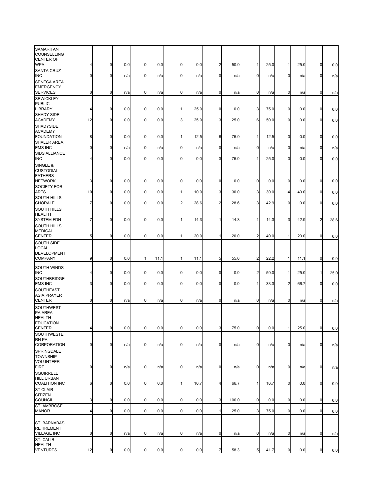| SAMARITAN<br>COUNSELLING                             |             |                |     |              |      |                         |      |                |       |                |      |                |      |                |      |
|------------------------------------------------------|-------------|----------------|-----|--------------|------|-------------------------|------|----------------|-------|----------------|------|----------------|------|----------------|------|
| <b>CENTER OF</b><br><b>WPA</b>                       | 4           | $\mathbf 0$    | 0.0 | $\mathbf 0$  | 0.0  | $\mathbf 0$             | 0.0  | $\overline{2}$ | 50.0  | $\mathbf{1}$   | 25.0 | $\mathbf{1}$   | 25.0 | $\mathbf 0$    | 0.0  |
| <b>SANTA CRUZ</b>                                    | $\mathbf 0$ | $\mathbf 0$    |     |              |      |                         |      |                |       |                |      |                |      |                |      |
| INC<br>SENECA AREA                                   |             |                | n/a | 0            | n/a  | $\mathbf 0$             | n/a  | 0              | n/a   | $\mathbf 0$    | n/a  | $\mathbf 0$    | n/a  | $\mathbf 0$    | n/a  |
| <b>EMERGENCY</b><br><b>SERVICES</b>                  | 0           | $\mathbf 0$    | n/a | 0            | n/a  | 0                       | n/a  | $\mathbf 0$    | n/a   | $\mathbf 0$    | n/a  | 0              | n/a  | $\mathbf 0$    | n/a  |
| <b>SEWICKLEY</b><br><b>PUBLIC</b>                    |             |                |     |              |      |                         |      |                |       |                |      |                |      |                |      |
| LIBRARY                                              | 4           | $\overline{0}$ | 0.0 | 0            | 0.0  | 1                       | 25.0 | $\overline{0}$ | 0.0   | 3              | 75.0 | $\overline{0}$ | 0.0  | $\mathbf 0$    | 0.0  |
| SHADY SIDE<br><b>ACADEMY</b>                         | 12          | $\mathbf 0$    | 0.0 | $\mathbf 0$  | 0.0  | 3                       | 25.0 | 3              | 25.0  | 6              | 50.0 | $\mathbf 0$    | 0.0  | $\mathbf 0$    | 0.0  |
| SHADYSIDE                                            |             |                |     |              |      |                         |      |                |       |                |      |                |      |                |      |
| <b>ACADEMY</b><br><b>FOUNDATION</b>                  | 8           | $\mathbf 0$    | 0.0 | $\mathbf 0$  | 0.0  | 1                       | 12.5 | 6              | 75.0  | $\mathbf{1}$   | 12.5 | $\mathbf 0$    | 0.0  | $\mathbf 0$    | 0.0  |
| SHALER AREA<br><b>EMS INC</b>                        | 0           | $\mathbf 0$    | n/a | 0            | n/a  | $\mathbf 0$             | n/a  | $\mathbf 0$    | n/a   | $\overline{0}$ | n/a  | $\mathbf 0$    | n/a  | $\mathbf 0$    | n/a  |
| <b>SIDS ALLIANCE</b><br><b>INC</b>                   | 4           | $\mathbf 0$    | 0.0 | 0            | 0.0  | $\mathbf 0$             | 0.0  | 3              | 75.0  | $\mathbf{1}$   | 25.0 | $\mathbf 0$    | 0.0  | $\mathbf 0$    | 0.0  |
| SINGLE &                                             |             |                |     |              |      |                         |      |                |       |                |      |                |      |                |      |
| <b>CUSTODIAL</b><br><b>FATHERS</b><br><b>NETWORK</b> | 3           | $\mathbf 0$    | 0.0 | 0            | 0.0  | $\mathbf 0$             | 0.0  | $\overline{0}$ | 0.0   | $\mathbf 0$    | 0.0  | $\mathbf 0$    | 0.0  | $\mathbf 0$    | 0.0  |
| SOCIETY FOR                                          |             |                |     |              |      | 1                       |      |                |       |                |      |                |      |                |      |
| ARTS<br><b>SOUTH HILLS</b>                           | 10          | $\mathbf 0$    | 0.0 | 0            | 0.0  |                         | 10.0 | 3              | 30.0  | 3              | 30.0 | 4              | 40.0 | $\mathbf 0$    | 0.0  |
| CHORALE<br>SOUTH HILLS                               | 7           | 0              | 0.0 | $\mathbf 0$  | 0.0  | $\overline{\mathbf{c}}$ | 28.6 | $\overline{a}$ | 28.6  | 3              | 42.9 | 0              | 0.0  | $\mathbf 0$    | 0.0  |
| <b>HEALTH</b>                                        |             |                |     |              |      |                         |      |                |       |                |      |                |      |                |      |
| <b>SYSTEM FDN</b><br><b>SOUTH HILLS</b>              | 7           | $\overline{0}$ | 0.0 | $\mathbf 0$  | 0.0  | $\mathbf{1}$            | 14.3 | 1              | 14.3  | $\mathbf{1}$   | 14.3 | 3              | 42.9 | $\overline{2}$ | 28.6 |
| <b>MEDICAL</b><br><b>CENTER</b>                      | 5           | $\mathbf 0$    | 0.0 | $\mathbf 0$  | 0.0  |                         | 20.0 | $\mathbf{1}$   | 20.0  | $\overline{a}$ | 40.0 |                | 20.0 | $\mathbf 0$    | 0.0  |
| SOUTH SIDE                                           |             |                |     |              |      |                         |      |                |       |                |      |                |      |                |      |
| LOCAL<br>DEVELOPMENT                                 |             |                |     |              |      |                         |      |                |       |                |      |                |      |                |      |
| <b>COMPANY</b>                                       | 9           | $\overline{0}$ | 0.0 | $\mathbf{1}$ | 11.1 | $\mathbf{1}$            | 11.1 | 5              | 55.6  | $\overline{a}$ | 22.2 | $\mathbf{1}$   | 11.1 | $\mathbf 0$    | 0.0  |
| SOUTH WINDS<br><b>INC</b>                            | 4           | $\overline{0}$ | 0.0 | $\mathbf 0$  | 0.0  | $\mathbf 0$             | 0.0  | 0              | 0.0   | $\overline{a}$ | 50.0 | 1              | 25.0 | $\mathbf{1}$   | 25.0 |
| SOUTHBRIDGE<br><b>EMS INC</b>                        | 3           | $\mathbf 0$    | 0.0 | 0            | 0.0  | 0                       | 0.0  | 0              | 0.0   | $\mathbf{1}$   | 33.3 | $\overline{2}$ | 66.7 | $\mathbf 0$    | 0.0  |
| SOUTHEAST                                            |             |                |     |              |      |                         |      |                |       |                |      |                |      |                |      |
| <b>ASIA PRAYER</b><br><b>CENTER</b>                  | $\mathbf 0$ | $\mathbf 0$    | n/a | 0            | n/a  | $\mathbf 0$             | n/a  | 0              | n/a   | $\mathbf 0$    | n/a  | $\overline{0}$ | n/a  | $\mathbf 0$    | n/a  |
| SOUTHWEST<br><b>PA AREA</b>                          |             |                |     |              |      |                         |      |                |       |                |      |                |      |                |      |
| <b>HEALTH</b>                                        |             |                |     |              |      |                         |      |                |       |                |      |                |      |                |      |
| <b>EDUCATION</b><br><b>CENTER</b>                    |             | $\mathbf 0$    | 0.0 |              | 0.0  | 0                       | 0.0  | 3              | 75.0  | $\mathbf 0$    | 0.0  |                | 25.0 | $\mathbf 0$    | 0.0  |
| SOUTHWESTE<br>RN PA                                  |             |                |     |              |      |                         |      |                |       |                |      |                |      |                |      |
| CORPORATION                                          | $\mathbf 0$ | $\overline{0}$ | n/a | $\mathbf 0$  | n/a  | $\mathbf 0$             | n/a  | $\overline{0}$ | n/a   | $\overline{0}$ | n/a  | $\mathbf 0$    | n/a  | $\mathbf 0$    | n/a  |
| SPRINGDALE<br><b>TOWNSHIP</b>                        |             |                |     |              |      |                         |      |                |       |                |      |                |      |                |      |
| <b>VOLUNTEER</b><br><b>FIRE</b>                      | $\mathbf 0$ | $\overline{0}$ | n/a | 0            | n/a  | 0                       | n/a  | $\mathbf 0$    | n/a   | $\overline{0}$ | n/a  | $\mathbf 0$    | n/a  | $\mathbf 0$    | n/a  |
| <b>SQUIRRELL</b>                                     |             |                |     |              |      |                         |      |                |       |                |      |                |      |                |      |
| <b>HILL URBAN</b><br><b>COALITION INC</b>            | 6           | $\overline{0}$ | 0.0 | $\mathbf 0$  | 0.0  | 1                       | 16.7 | 4              | 66.7  | $\mathbf{1}$   | 16.7 | $\overline{0}$ | 0.0  | $\mathbf 0$    | 0.0  |
| <b>ST CLAIR</b>                                      |             |                |     |              |      |                         |      |                |       |                |      |                |      |                |      |
| <b>CITIZEN</b><br>COUNCIL                            | 3           | $\overline{0}$ | 0.0 | $\mathbf 0$  | 0.0  | $\mathbf 0$             | 0.0  | 3              | 100.0 | $\overline{0}$ | 0.0  | $\mathbf 0$    | 0.0  | $\mathbf 0$    | 0.0  |
| ST. AMBROSE<br><b>MANOR</b>                          | 4           | $\mathbf 0$    | 0.0 | $\mathbf 0$  | 0.0  | $\mathbf 0$             | 0.0  | $\mathbf{1}$   | 25.0  | 3              | 75.0 | $\mathbf 0$    | 0.0  | $\mathbf 0$    | 0.0  |
|                                                      |             |                |     |              |      |                         |      |                |       |                |      |                |      |                |      |
| ST. BARNABAS<br><b>RETIREMENT</b>                    |             |                |     |              |      |                         |      |                |       |                |      |                |      |                |      |
| <b>VILLAGE INC</b><br>ST. CALIR                      | 0           | $\overline{0}$ | n/a | $\mathbf 0$  | n/a  | $\mathbf 0$             | n/a  | $\overline{0}$ | n/a   | $\overline{0}$ | n/a  | $\mathbf 0$    | n/a  | $\mathbf 0$    | n/a  |
| <b>HEALTH</b>                                        |             |                |     |              |      |                         |      |                |       |                |      |                |      |                |      |
| <b>VENTURES</b>                                      | 12          | $\pmb{0}$      | 0.0 | 0            | 0.0  | $\mathbf 0$             | 0.0  | 7              | 58.3  | 5              | 41.7 | $\mathbf 0$    | 0.0  | $\mathbf 0$    | 0.0  |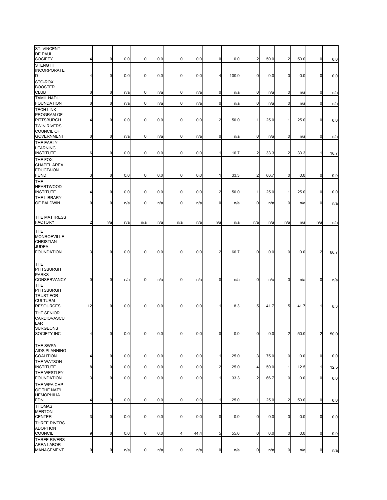| ST. VINCENT<br><b>DE PAUL</b><br><b>SOCIETY</b>               | 4              | $\mathbf 0$ | 0.0 | 0           | 0.0 | $\mathbf 0$    | 0.0  | $\mathbf 0$    | 0.0   | $\overline{c}$ | 50.0 | $\overline{2}$ | 50.0 | $\mathbf 0$    | 0.0  |
|---------------------------------------------------------------|----------------|-------------|-----|-------------|-----|----------------|------|----------------|-------|----------------|------|----------------|------|----------------|------|
| <b>STENGTH</b>                                                |                |             |     |             |     |                |      |                |       |                |      |                |      |                |      |
| <b>INCORPORATE</b><br>D                                       | 4              | $\mathbf 0$ | 0.0 | 0           | 0.0 | $\mathbf 0$    | 0.0  | 4              | 100.0 | $\mathbf 0$    | 0.0  | $\mathbf 0$    | 0.0  | $\mathbf 0$    | 0.0  |
| STO-ROX                                                       |                |             |     |             |     |                |      |                |       |                |      |                |      |                |      |
| <b>BOOSTER</b><br><b>CLUB</b>                                 | $\mathbf 0$    | $\mathbf 0$ | n/a | 0           | n/a | 0              | n/a  | $\mathbf 0$    | n/a   | $\mathbf 0$    | n/a  | $\mathbf 0$    | n/a  | $\mathbf 0$    | n/a  |
| <b>TAMIL NADU</b><br><b>FOUNDATION</b>                        | $\mathbf 0$    | 0           | n/a | 0           | n/a | $\mathbf 0$    | n/a  | $\mathbf 0$    | n/a   | $\mathbf 0$    | n/a  | $\mathbf 0$    | n/a  | $\mathbf 0$    | n/a  |
| <b>TECH LINK</b><br>PROGRAM OF<br><b>PITTSBURGH</b>           | 4              | $\mathbf 0$ | 0.0 | 0           | 0.0 | 0              | 0.0  | $\overline{2}$ | 50.0  | 1              | 25.0 | 1              | 25.0 | $\mathbf 0$    | 0.0  |
| <b>TWIN RIVERS</b><br>COUNCIL OF<br><b>GOVERNMENT</b>         | $\mathbf 0$    | $\mathbf 0$ | n/a | 0           | n/a | $\mathbf 0$    | n/a  | $\mathbf 0$    | n/a   | $\mathbf 0$    | n/a  | 0              | n/a  | $\mathbf 0$    | n/a  |
| THE EARLY<br><b>LEARNING</b><br><b>INSTITUTE</b>              | 6              | $\mathbf 0$ | 0.0 | $\mathbf 0$ | 0.0 | $\mathbf 0$    | 0.0  | $\mathbf{1}$   | 16.7  | $\overline{a}$ | 33.3 | $\overline{2}$ | 33.3 | $\mathbf{1}$   | 16.7 |
| THE FOX<br><b>CHAPEL AREA</b>                                 |                |             |     |             |     |                |      |                |       |                |      |                |      |                |      |
| <b>EDUCTAION</b><br><b>FUND</b>                               | 3              | $\mathbf 0$ | 0.0 | $\mathbf 0$ | 0.0 | 0              | 0.0  | $\mathbf{1}$   | 33.3  | $\overline{a}$ | 66.7 | $\overline{0}$ | 0.0  | $\mathbf 0$    | 0.0  |
| THE<br><b>HEARTWOOD</b><br><b>INSTITUTE</b>                   | 4              | $\mathbf 0$ | 0.0 | $\mathbf 0$ | 0.0 | $\mathbf 0$    | 0.0  | $\overline{c}$ | 50.0  | $\mathbf 1$    | 25.0 | $\mathbf{1}$   | 25.0 | $\mathbf 0$    | 0.0  |
| THE LIBRARY                                                   |                |             |     |             |     |                |      |                |       |                |      |                |      |                |      |
| OF BALDWIN                                                    | $\mathbf 0$    | $\mathbf 0$ | n/a | $\mathbf 0$ | n/a | $\mathbf 0$    | n/a  | $\mathbf 0$    | n/a   | $\mathbf 0$    | n/a  | $\overline{0}$ | n/a  | $\mathbf 0$    | n/a  |
| THE MATTRESS<br><b>FACTORY</b>                                | $\overline{2}$ | n/a         | n/a | n/a         | n/a | n/a            | n/a  | n/a            | n/a   | n/a            | n/a  | n/a            | n/a  | n/a            | n/a  |
| THE<br><b>MONROEVILLE</b><br><b>CHRISTIAN</b><br><b>JUDEA</b> |                | $\mathbf 0$ |     |             |     |                |      |                |       |                |      | $\overline{0}$ |      |                |      |
| <b>FOUNDATION</b>                                             | 3              |             | 0.0 | $\mathbf 0$ | 0.0 | $\mathbf 0$    | 0.0  | $\overline{2}$ | 66.7  | $\mathbf 0$    | 0.0  |                | 0.0  | $\overline{2}$ | 66.7 |
| THE<br><b>PITTSBURGH</b><br><b>PARKS</b>                      |                |             |     |             |     |                |      |                |       |                |      |                |      |                |      |
| CONSERVANCY<br>THE<br><b>PITTSBURGH</b><br><b>TRUST FOR</b>   | $\mathbf 0$    | $\mathbf 0$ | n/a | 0           | n/a | 0              | n/a  | $\mathbf 0$    | n/a   | $\mathbf 0$    | n/a  | $\mathbf 0$    | n/a  | $\mathbf 0$    | n/a  |
| <b>CULTURAL</b><br><b>RESOURCES</b>                           | 12             | $\mathbf 0$ | 0.0 | $\mathbf 0$ | 0.0 | $\overline{0}$ | 0.0  | 11             | 8.3   | 5              | 41.7 | 5 <sub>l</sub> | 41.7 | $\mathbf{1}$   | 8.3  |
| THE SENIOR<br>CARDIOVASCU<br>LAR<br><b>SURGEONS</b>           |                |             |     |             |     |                |      |                |       |                |      |                |      |                |      |
| SOCIETY INC                                                   | 4              | $\pmb{0}$   | 0.0 | 0           | 0.0 | 0              | 0.0  | $\mathbf 0$    | 0.0   | $\mathbf 0$    | 0.0  | $\overline{a}$ | 50.0 | $\overline{a}$ | 50.0 |
| THE SWPA<br>AIDS PLANNING<br>COALITION                        | 4              | $\mathbf 0$ | 0.0 | $\pmb{0}$   | 0.0 | $\mathbf 0$    | 0.0  | $\mathbf{1}$   | 25.0  | 3              | 75.0 | 0              | 0.0  | $\mathbf 0$    | 0.0  |
| THE WATSON<br><b>INSTITUTE</b>                                | 8              | $\mathbf 0$ | 0.0 | $\mathbf 0$ | 0.0 | $\overline{0}$ | 0.0  | $\overline{c}$ | 25.0  | 4              | 50.0 | 1              | 12.5 | $\mathbf{1}$   | 12.5 |
| THE WESTLEY<br><b>FOUNDATION</b>                              | 3              | $\mathbf 0$ | 0.0 | $\mathbf 0$ | 0.0 | 0              | 0.0  | 1              | 33.3  | $\overline{a}$ | 66.7 | 0              | 0.0  | $\mathbf 0$    | 0.0  |
| THE WPA CHP<br>OF THE NAT'L                                   |                |             |     |             |     |                |      |                |       |                |      |                |      |                |      |
| <b>HEMOPHILIA</b><br><b>FDN</b>                               | 4              | $\pmb{0}$   | 0.0 | $\mathbf 0$ | 0.0 | $\mathbf 0$    | 0.0  | $\mathbf{1}$   | 25.0  | 1              | 25.0 | $\overline{a}$ | 50.0 | $\mathbf 0$    | 0.0  |
| <b>THOMAS</b><br><b>MERTON</b><br><b>CENTER</b>               | 3              | $\mathbf 0$ | 0.0 | $\pmb{0}$   | 0.0 | 0              | 0.0  | $\mathbf 0$    | 0.0   | $\mathbf 0$    | 0.0  | 0              | 0.0  | $\mathbf 0$    | 0.0  |
| THREE RIVERS<br><b>ADOPTION</b>                               |                |             |     |             |     |                |      |                |       |                |      |                |      |                |      |
| <b>COUNCIL</b><br>THREE RIVERS                                | 9              | $\pmb{0}$   | 0.0 | $\mathbf 0$ | 0.0 | 4              | 44.4 | 5              | 55.6  | $\mathbf 0$    | 0.0  | $\overline{0}$ | 0.0  | $\mathbf 0$    | 0.0  |
| AREA LABOR<br>MANAGEMENT                                      | $\overline{0}$ | $\mathbf 0$ | n/a | $\pmb{0}$   | n/a | $\mathbf 0$    | n/a  | $\mathbf 0$    | n/a   | $\overline{0}$ | n/a  | $\overline{0}$ | n/a  | $\mathbf 0$    | n/a  |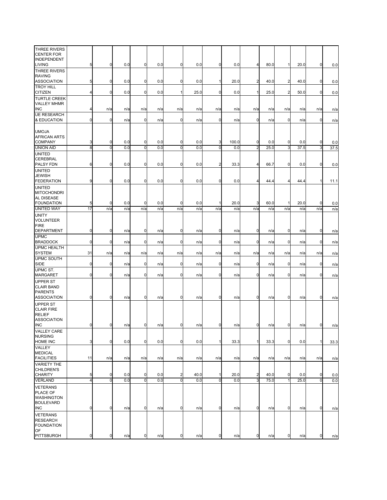| THREE RIVERS<br><b>CENTER FOR</b>                                            |                |                         |            |                |            |                         |            |                  |              |                     |             |                |             |                |             |
|------------------------------------------------------------------------------|----------------|-------------------------|------------|----------------|------------|-------------------------|------------|------------------|--------------|---------------------|-------------|----------------|-------------|----------------|-------------|
| INDEPENDENT<br>LIVING                                                        | 5              | $\mathbf 0$             | 0.0        | 0              | 0.0        | $\mathbf 0$             | 0.0        | 0                | 0.0          | 4                   | 80.0        | $\mathbf{1}$   | 20.0        | 0              | 0.0         |
| THREE RIVERS                                                                 |                |                         |            |                |            |                         |            |                  |              |                     |             |                |             |                |             |
| <b>RAVING</b><br><b>ASSOCIATION</b>                                          | 5              | $\mathbf 0$             | 0.0        | 0              | 0.0        | $\mathbf 0$             | 0.0        | 11               | 20.0         | $\overline{c}$      | 40.0        | $\overline{2}$ | 40.0        | $\mathbf 0$    | 0.0         |
| <b>TROY HILL</b><br><b>CITIZEN</b>                                           | 4              | $\mathbf 0$             | 0.0        | 0              | 0.0        | $\mathbf{1}$            | 25.0       | $\mathbf 0$      | 0.0          | $\mathbf{1}$        | 25.0        | $\overline{c}$ | 50.0        | $\mathbf 0$    | 0.0         |
| <b>TURTLE CREEK</b><br><b>VALLEY MHMR</b>                                    |                |                         |            |                |            |                         |            |                  |              |                     |             |                |             |                |             |
| <b>INC</b><br><b>UE RESEARCH</b>                                             |                | n/a                     | n/a        | n/a            | n/a        | n/a                     | n/a        | n/a              | n/a          | n/a                 | n/a         | n/a            | n/a         | n/a            | n/a         |
| & EDUCATION                                                                  | $\mathbf 0$    | $\mathbf 0$             | n/a        | 0              | n/a        | $\mathbf 0$             | n/a        | $\mathbf 0$      | n/a          | $\mathbf 0$         | n/a         | $\mathbf 0$    | n/a         | $\mathbf 0$    | n/a         |
| <b>UMOJA</b><br><b>AFRICAN ARTS</b>                                          |                |                         |            |                |            |                         |            |                  |              |                     |             |                |             |                |             |
| <b>COMPANY</b><br><b>UNION AID</b>                                           | 3<br>8         | 0<br>0                  | 0.0<br>0.0 | 0<br>0         | 0.0<br>0.0 | 0<br>$\mathbf 0$        | 0.0<br>0.0 | 3<br>$\mathbf 0$ | 100.0<br>0.0 | 0<br>$\overline{2}$ | 0.0<br>25.0 | 0<br>3         | 0.0<br>37.5 | 0<br>3         | 0.0<br>37.5 |
| <b>UNITED</b>                                                                |                |                         |            |                |            |                         |            |                  |              |                     |             |                |             |                |             |
| CEREBRAL<br>PALSY FDN                                                        | 6              | $\boldsymbol{0}$        | 0.0        | 0              | 0.0        | $\mathbf 0$             | 0.0        | $\overline{2}$   | 33.3         | $\overline{4}$      | 66.7        | $\mathbf 0$    | 0.0         | $\mathbf 0$    | 0.0         |
| <b>UNITED</b>                                                                |                |                         |            |                |            |                         |            |                  |              |                     |             |                |             |                |             |
| JEWISH<br><b>FEDERATION</b>                                                  | 9              | $\overline{0}$          | 0.0        | $\mathbf 0$    | 0.0        | $\mathbf 0$             | 0.0        | $\mathbf 0$      | 0.0          | 4                   | 44.4        | 4              | 44.4        | 1              | 11.1        |
| <b>UNITED</b><br><b>MITOCHONDRI</b><br>AL DISEASE                            |                |                         |            |                |            |                         |            |                  |              |                     |             |                |             |                |             |
| <b>FOUNDATION</b>                                                            | 5              | $\mathbf 0$             | 0.0        | 0              | 0.0        | 0                       | 0.0        |                  | 20.0         | 3                   | 60.0        | 1              | 20.0        | 0              | 0.0         |
| <b>UNITED WAY</b>                                                            | 17             | n/a                     | n/a        | n/a            | n/a        | n/a                     | n/a        | n/a              | n/a          | n/a                 | n/a         | n/a            | n/a         | n/a            | n/a         |
| <b>UNITY</b><br><b>VOLUNTEER</b><br><b>FIRE</b>                              |                |                         |            |                |            |                         |            |                  |              |                     |             |                |             |                |             |
| DEPARTMENT<br><b>UPMC</b>                                                    | 0              | $\overline{0}$          | n/a        | 0              | n/a        | $\mathbf 0$             | n/a        | $\overline{0}$   | n/a          | $\overline{0}$      | n/a         | $\mathbf 0$    | n/a         | 0              | n/a         |
| <b>BRADDOCK</b>                                                              | 0              | 0                       | n/a        | 0              | n/a        | $\mathbf 0$             | n/a        | $\overline{0}$   | n/a          | 0                   | n/a         | $\mathbf 0$    | n/a         | 0              | n/a         |
| <b>UPMC HEALTH</b><br><b>SYSTEM</b>                                          | 31             | n/a                     | n/a        | n/a            | n/a        | n/a                     | n/a        | n/a              | n/a          | n/a                 | n/a         | n/a            | n/a         | n/a            | n/a         |
| <b>UPMC SOUTH</b><br>SIDE                                                    | 0              | $\mathbf 0$             | n/a        | 0              | n/a        | $\mathbf 0$             | n/a        | 0                | n/a          | $\mathbf 0$         | n/a         | $\mathbf 0$    | n/a         | $\mathbf 0$    | n/a         |
| UPMC ST.<br><b>MARGARET</b>                                                  | 0              | $\mathbf 0$             | n/a        | 0              | n/a        | $\mathbf 0$             | n/a        | 0                | n/a          | $\mathbf 0$         | n/a         | $\overline{0}$ | n/a         | $\mathbf 0$    | n/a         |
| <b>UPPER ST</b><br><b>CLAIR BAND</b><br><b>PARENTS</b><br><b>ASSOCIATION</b> | $\mathbf 0$    | $\mathbf 0$             | n/a        | 0              | n/a        | $\mathbf 0$             | n/a        | $\overline{0}$   | n/a          | $\mathbf 0$         | n/a         | 0              | n/a         | $\mathbf 0$    | n/a         |
| <b>UPPER ST</b><br><b>CLAIR FIRE</b><br><b>RELIEF</b>                        |                |                         |            |                |            |                         |            |                  |              |                     |             |                |             |                |             |
| <b>ASSOCIATION</b><br><b>INC</b>                                             | $\mathbf 0$    | $\overline{0}$          | n/a        | $\overline{0}$ | n/a        | 0                       | n/a        | $\overline{0}$   | n/a          | $\overline{0}$      | n/a         | 0              | n/a         | 0              | n/a         |
| <b>VALLEY CARE</b><br><b>NURSING</b><br>HOME INC                             | 3              | $\overline{0}$          | 0.0        | $\mathbf 0$    | 0.0        | $\mathbf 0$             | 0.0        | 1                | 33.3         | $\mathbf{1}$        | 33.3        | $\overline{0}$ | 0.0         | $\mathbf{1}$   | 33.3        |
| <b>VALLEY</b><br><b>MEDICAL</b><br><b>FACILITIES</b>                         | 11             | n/a                     | n/a        | n/a            | n/a        | n/a                     | n/a        | n/a              | n/a          | n/a                 | n/a         | n/a            | n/a         | n/a            | n/a         |
| <b>VARIETY THE</b><br><b>CHILDREN'S</b><br>CHARITY                           | 5              | $\boldsymbol{0}$        | 0.0        | 0              | 0.0        | $\overline{\mathbf{c}}$ | 40.0       | $\mathbf{1}$     | 20.0         | $\overline{c}$      | 40.0        | $\mathbf 0$    | 0.0         | 0              | 0.0         |
| VERLAND                                                                      | $\overline{4}$ | $\overline{\mathbf{0}}$ | 0.0        | $\overline{0}$ | 0.0        | $\overline{0}$          | 0.0        | $\overline{0}$   | 0.0          | 3                   | 75.0        | $\mathbf{1}$   | 25.0        | $\overline{0}$ | 0.0         |
| <b>VETERANS</b><br>PLACE OF<br>WASHINGTON<br><b>BOULEVARD</b><br><b>INC</b>  | $\mathbf 0$    | $\overline{0}$          | n/a        | $\mathbf 0$    | n/a        | $\mathbf 0$             | n/a        | $\overline{0}$   | n/a          | $\overline{0}$      | n/a         | $\overline{0}$ | n/a         | $\mathbf 0$    | n/a         |
| <b>VETERANS</b><br><b>RESEARCH</b><br><b>FOUNDATION</b><br>OF                |                |                         |            |                |            |                         |            |                  |              |                     |             |                |             |                |             |
| PITTSBURGH                                                                   | $\mathbf 0$    | 0                       | n/a        | 0              | n/a        | $\mathbf 0$             | n/a        | $\mathbf 0$      | n/a          | $\mathbf 0$         | n/a         | 0              | n/a         | $\mathbf 0$    | n/a         |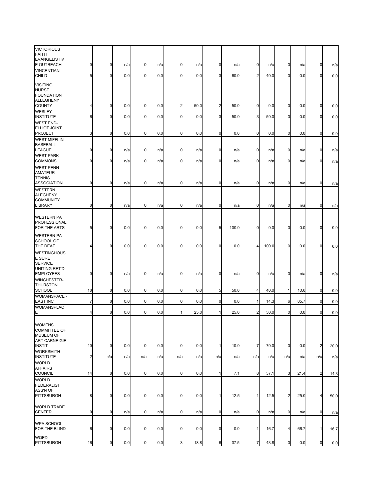| <b>VICTORIOUS</b><br><b>FAITH</b><br><b>EVANGELISTIV</b>                              |                |             |     |             |     |                |      |                |       |                |       |                |      |                |      |
|---------------------------------------------------------------------------------------|----------------|-------------|-----|-------------|-----|----------------|------|----------------|-------|----------------|-------|----------------|------|----------------|------|
| E OUTREACH                                                                            | $\mathbf 0$    | $\mathbf 0$ | n/a | 0           | n/a | 0              | n/a  | $\mathbf 0$    | n/a   | $\mathbf 0$    | n/a   | $\overline{0}$ | n/a  | 0              | n/a  |
| <b>VINCENTIAN</b><br><b>CHILD</b>                                                     | 5              | $\mathbf 0$ | 0.0 | 0           | 0.0 | $\mathbf 0$    | 0.0  | 3              | 60.0  | $\overline{2}$ | 40.0  | $\overline{0}$ | 0.0  | $\mathbf 0$    | 0.0  |
| <b>VISITING</b><br><b>NURSE</b><br><b>FOUNDATION</b><br><b>ALLEGHENY</b>              |                |             |     |             |     |                |      |                |       |                |       |                |      |                |      |
| <b>COUNTY</b>                                                                         | 4              | $\mathbf 0$ | 0.0 | 0           | 0.0 | $\overline{c}$ | 50.0 | $\overline{c}$ | 50.0  | $\mathbf 0$    | 0.0   | $\mathbf 0$    | 0.0  | $\mathbf 0$    | 0.0  |
| <b>WESLEY</b><br><b>INSTITUTE</b>                                                     | 6              | $\mathbf 0$ | 0.0 | $\mathbf 0$ | 0.0 | $\mathbf 0$    | 0.0  | 3              | 50.0  | 3              | 50.0  | $\overline{0}$ | 0.0  | $\mathbf 0$    | 0.0  |
| <b>WEST END-</b><br><b>ELLIOT JOINT</b><br><b>PROJECT</b>                             | 3              | $\mathbf 0$ | 0.0 | 0           | 0.0 | $\mathbf 0$    | 0.0  | $\mathbf 0$    | 0.0   | $\mathbf 0$    | 0.0   | $\overline{0}$ | 0.0  | $\mathbf 0$    | 0.0  |
| <b>WEST MIFFLIN</b><br><b>BASEBALL</b><br>LEAGUE                                      | $\mathbf 0$    | $\mathbf 0$ | n/a | 0           | n/a | $\mathbf 0$    | n/a  | $\mathbf 0$    | n/a   | $\mathbf 0$    | n/a   | $\mathbf 0$    | n/a  | $\mathbf 0$    | n/a  |
| <b>WEST PARK</b><br><b>COMMONS</b>                                                    | 0              | $\mathbf 0$ | n/a | 0           | n/a | $\mathbf 0$    | n/a  | $\mathbf 0$    | n/a   | $\mathbf 0$    | n/a   | $\overline{0}$ | n/a  | $\mathbf 0$    | n/a  |
| <b>WEST PENN</b><br>AMATEUR<br><b>TENNIS</b><br><b>ASSOCIATION</b>                    | $\mathbf 0$    | $\mathbf 0$ | n/a | $\mathbf 0$ | n/a | 0              | n/a  | $\mathbf 0$    | n/a   | $\mathbf 0$    | n/a   | $\overline{0}$ | n/a  | $\mathbf 0$    | n/a  |
| <b>WESTERN</b><br><b>ALEGHENY</b><br><b>COMMUNITY</b><br><b>LIBRARY</b>               | $\overline{0}$ | $\mathbf 0$ | n/a | $\mathbf 0$ | n/a | $\mathbf 0$    | n/a  | $\overline{0}$ | n/a   | $\mathbf 0$    | n/a   | $\overline{0}$ | n/a  | $\mathbf 0$    |      |
|                                                                                       |                |             |     |             |     |                |      |                |       |                |       |                |      |                | n/a  |
| <b>WESTERN PA</b><br>PROFESSIONAL<br>FOR THE ARTS                                     | $5 \,$         | $\mathbf 0$ | 0.0 | $\mathbf 0$ | 0.0 | $\mathbf 0$    | 0.0  | 5              | 100.0 | $\mathbf 0$    | 0.0   | 0              | 0.0  | $\mathbf 0$    | 0.0  |
| <b>WESTERN PA</b><br>SCHOOL OF<br>THE DEAF                                            | 4              | $\mathbf 0$ | 0.0 | 0           | 0.0 | $\mathbf 0$    | 0.0  | $\mathbf 0$    | 0.0   | $\overline{4}$ | 100.0 | 0              | 0.0  | $\mathbf 0$    | 0.0  |
| <b>WESTINGHOUS</b><br><b>E SURE</b><br><b>SERVICE</b><br>UNITING RET'D                |                |             |     |             |     |                |      |                |       |                |       |                |      |                |      |
| <b>EMPLOYEES</b>                                                                      | $\overline{0}$ | $\mathbf 0$ | n/a | 0           | n/a | $\overline{0}$ | n/a  | $\mathbf 0$    | n/a   | $\overline{0}$ | n/a   | $\overline{0}$ | n/a  | $\mathbf 0$    | n/a  |
| <b>WINCHESTER-</b><br><b>THURSTON</b><br><b>SCHOOL</b>                                | 10             | $\mathbf 0$ | 0.0 | 0           | 0.0 | $\mathbf 0$    | 0.0  | 5              | 50.0  | $\overline{a}$ | 40.0  | $\mathbf{1}$   | 10.0 | $\mathbf 0$    | 0.0  |
| <b>WOMANSPACE</b><br><b>EAST INC</b>                                                  | 7              | $\mathbf 0$ | 0.0 | $\mathbf 0$ | 0.0 | $\mathbf 0$    | 0.0  | $\mathbf 0$    | 0.0   | 1              | 14.3  | 6              | 85.7 | $\mathbf 0$    | 0.0  |
| <b>WOMANSPLAC</b>                                                                     |                |             |     |             |     |                |      |                |       |                |       |                |      |                |      |
| E<br><b>WOMENS</b><br><b>COMMITTEE OF</b><br><b>MUSEUM OF</b><br><b>ART CARNEIGIE</b> | 4              | $\mathbf 0$ | 0.0 | 0           | 0.0 | 1              | 25.0 | 1              | 25.0  | $\overline{2}$ | 50.0  | $\overline{0}$ | 0.0  | $\mathbf 0$    | 0.0  |
| <b>INSTIT</b>                                                                         | 10             | $\mathbf 0$ | 0.0 | 0           | 0.0 | 0              | 0.0  | $\mathbf{1}$   | 10.0  | $\overline{7}$ | 70.0  | $\overline{0}$ | 0.0  | $\overline{2}$ | 20.0 |
| <b>WORKSMITH</b><br><b>INSTITUTE</b>                                                  | $\overline{a}$ | n/a         | n/a | n/a         | n/a | n/a            | n/a  | n/a            | n/a   | n/a            | n/a   | n/a            | n/a  | n/a            | n/a  |
| <b>WORLD</b><br><b>AFFAIRS</b><br><b>COUNCIL</b>                                      | 14             | $\mathbf 0$ | 0.0 | $\mathbf 0$ | 0.0 | $\mathbf 0$    | 0.0  | 1              | 7.1   | 8              | 57.1  | 3              | 21.4 | $\overline{2}$ | 14.3 |
| WORLD<br><b>FEDERALIST</b><br>ASS'N OF<br><b>PITTSBURGH</b>                           | 8              | $\mathbf 0$ | 0.0 | $\mathbf 0$ | 0.0 | $\mathbf 0$    | 0.0  | $\mathbf{1}$   | 12.5  | $\mathbf{1}$   | 12.5  | $\overline{2}$ | 25.0 | 4              | 50.0 |
| <b>WORLD TRADE</b><br><b>CENTER</b>                                                   | $\mathbf 0$    | $\mathbf 0$ | n/a | 0           | n/a | $\mathbf 0$    | n/a  | $\mathbf 0$    | n/a   | $\mathbf 0$    | n/a   | $\mathbf 0$    | n/a  | $\mathbf 0$    | n/a  |
| <b>WPA SCHOOL</b><br>FOR THE BLIND                                                    | 6              | $\mathbf 0$ | 0.0 | 0           | 0.0 | $\mathbf 0$    | 0.0  | $\mathbf 0$    | 0.0   | 1              | 16.7  | 4              | 66.7 | $\mathbf{1}$   | 16.7 |
| WQED<br><b>PITTSBURGH</b>                                                             | 16             | $\pmb{0}$   | 0.0 | $\pmb{0}$   | 0.0 | 3              | 18.8 | 6              | 37.5  | $\overline{7}$ | 43.8  | $\mathbf 0$    | 0.0  | $\mathbf 0$    | 0.0  |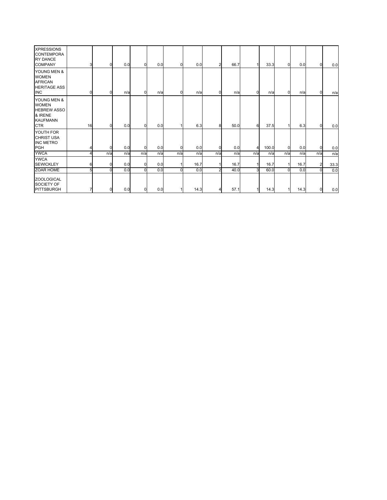| <b>XPRESSIONS</b><br><b>CONTEMPORA</b><br><b>RY DANCE</b><br><b>COMPANY</b>                   | 3  | 0           | 0.0 | $\Omega$    | 0.0 | 0        | 0.0  | $\overline{2}$ | 66.7 |                | 33.3  | 0              | 0.0  | $\Omega$       | 0.0  |
|-----------------------------------------------------------------------------------------------|----|-------------|-----|-------------|-----|----------|------|----------------|------|----------------|-------|----------------|------|----------------|------|
| YOUNG MEN &<br><b>WOMEN</b><br><b>AFRICAN</b><br><b>HERITAGE ASS</b><br><b>INC</b>            | U  | 0           | n/a | $\Omega$    | n/a | 0        | n/a  | $\overline{0}$ | n/a  | $\overline{0}$ | n/a   | 0              | n/a  | $\Omega$       | n/a  |
| YOUNG MEN &<br><b>WOMEN</b><br><b>HEBREW ASSO</b><br>& IRENE<br><b>KAUFMANN</b><br><b>CTR</b> | 16 | 0           | 0.0 | $\mathbf 0$ | 0.0 |          | 6.3  | 8              | 50.0 | 6              | 37.5  |                | 6.3  | $\Omega$       | 0.0  |
| YOUTH FOR<br><b>CHRIST USA</b><br><b>INC METRO</b><br><b>PGH</b>                              |    | $\mathbf 0$ | 0.0 | $\Omega$    | 0.0 | 0        | 0.0  | 0              | 0.0  | 4              | 100.0 | $\overline{0}$ | 0.0  | $\Omega$       | 0.0  |
| <b>YWCA</b>                                                                                   |    | n/a         | n/a | n/a         | n/a | n/a      | n/a  | n/a            | n/a  | n/a            | n/a   | n/a            | n/a  | n/a            | n/a  |
| <b>YWCA</b><br><b>SEWICKLEY</b>                                                               |    | $\mathbf 0$ | 0.0 | 0           | 0.0 |          | 16.7 |                | 16.7 |                | 16.7  |                | 16.7 | $\overline{2}$ | 33.3 |
| ZOAR HOME                                                                                     |    | $\Omega$    | 0.0 | $\Omega$    | 0.0 | $\Omega$ | 0.0  | $\overline{a}$ | 40.0 | $\overline{3}$ | 60.0  | $\Omega$       | 0.0  | $\Omega$       | 0.0  |
| <b>ZOOLOGICAL</b><br>SOCIETY OF<br><b>PITTSBURGH</b>                                          |    | 0           | 0.0 | 0           | 0.0 |          | 14.3 | 4              | 57.1 |                | 14.3  |                | 14.3 | $\overline{0}$ | 0.0  |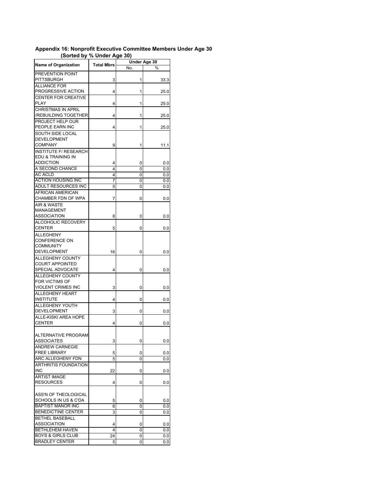## **Appendix 16: Nonprofit Executive Committee Members Under Age 30 (Sorted by % Under Age 30)**

| <b>Name of Organization</b>                      |            | Under Age 30 |      |  |  |
|--------------------------------------------------|------------|--------------|------|--|--|
|                                                  | Total Mbrs | No.          | %    |  |  |
| PREVENTION POINT                                 |            |              |      |  |  |
| PITTSBURGH                                       | 3          | 1            | 33.3 |  |  |
| <b>ALLIANCE FOR</b>                              |            |              |      |  |  |
| PROGRESSIVE ACTION                               | 4          | 1            | 25.0 |  |  |
| <b>CENTER FOR CREATIVE</b>                       |            |              |      |  |  |
| PLAY                                             | 4          | 1            | 25.0 |  |  |
| <b>CHRISTMAS IN APRIL</b>                        |            |              |      |  |  |
| /REBUILDING TOGETHER                             | 4          | 1            | 25.0 |  |  |
| PROJECT HELP OUR                                 |            |              |      |  |  |
| PEOPLE EARN INC                                  | 4          | 1            | 25.0 |  |  |
| SOUTH SIDE LOCAL                                 |            |              |      |  |  |
| <b>DEVELOPMENT</b>                               |            |              |      |  |  |
| <b>COMPANY</b>                                   | 9          | 1            | 11.1 |  |  |
| <b>INSTITUTE F/ RESEARCH</b>                     |            |              |      |  |  |
| EDU & TRAINING IN                                |            |              |      |  |  |
| <b>ADDICTION</b>                                 | 4          | 0            | 0.0  |  |  |
| A SECOND CHANCE                                  | 4          | 0            | 0.0  |  |  |
| <b>AC ACLD</b>                                   | 4          | 0            | 0.0  |  |  |
| <b>ACTION HOUSING INC</b><br>ADULT RESOURCES INC | 7          | 0            | 0.0  |  |  |
| AFRICAN AMERICAN                                 | 5          | 0            | 0.0  |  |  |
| CHAMBER FDN OF WPA                               | 7          | 0            | 0.0  |  |  |
| <b>AIR &amp; WASTE</b>                           |            |              |      |  |  |
| MANAGEMENT                                       |            |              |      |  |  |
| <b>ASSOCIATION</b>                               | 8          | 0            | 0.0  |  |  |
| ALCOHOLIC RECOVERY                               |            |              |      |  |  |
| CENTER                                           | 5          | 0            | 0.0  |  |  |
| <b>ALLEGHENY</b>                                 |            |              |      |  |  |
| <b>CONFERENCE ON</b>                             |            |              |      |  |  |
| <b>COMMUNITY</b>                                 |            |              |      |  |  |
| DEVELOPMENT                                      | 16         | 0            | 0.0  |  |  |
| ALLEGHENY COUNTY                                 |            |              |      |  |  |
| <b>COURT APPOINTED</b>                           |            |              |      |  |  |
| SPECIAL ADVOCATE                                 | 4          | 0            | 0.0  |  |  |
| ALLEGHENY COUNTY                                 |            |              |      |  |  |
| FOR VICTIMS OF                                   |            |              |      |  |  |
| VIOLENT CRIMES INC                               | 3          | 0            | 0.0  |  |  |
| ALLEGHENY HEART                                  |            |              |      |  |  |
| <b>INSTITUTE</b>                                 | 4          | 0            | 0.0  |  |  |
| ALLEGHENY YOUTH                                  |            |              |      |  |  |
| DEVELOPMENT                                      | 3          | 0            | 0.0  |  |  |
| ALLE-KISKI AREA HOPE                             |            |              |      |  |  |
| <b>CENTER</b>                                    | 4          | 0            | 0.0  |  |  |
|                                                  |            |              |      |  |  |
| ALTERNATIVE PROGRAM                              |            |              |      |  |  |
| ASSOCIATES                                       | 3          | 0            | 0.0  |  |  |
| <b>ANDREW CARNEGIE</b><br><b>FREE LIBRARY</b>    |            |              |      |  |  |
| ARC ALLEGHENY FDN                                | 5          | 0<br>0       | 0.0  |  |  |
| <b>ARTHRITIS FOUNDATION</b>                      | 5          |              | 0.0  |  |  |
| <b>INC</b>                                       | 22         | 0            | 0.0  |  |  |
| <b>ARTIST IMAGE</b>                              |            |              |      |  |  |
| <b>RESOURCES</b>                                 | 4          | 0            | 0.0  |  |  |
|                                                  |            |              |      |  |  |
| ASS'N OF THEOLOGICAL                             |            |              |      |  |  |
| SCHOOLS IN US & C'DA                             | 5          | 0            | 0.0  |  |  |
| <b>BAPTIST MANOR INC</b>                         | 6          | 0            | 0.0  |  |  |
| <b>BENEDICTINE CENTER</b>                        | 3          | 0            | 0.0  |  |  |
| <b>BETHEL BASEBALL</b>                           |            |              |      |  |  |
| <b>ASSOCIATION</b>                               | 4          | 0            | 0.0  |  |  |
| BETHLEHEM HAVEN                                  | 4          | 0            | 0.0  |  |  |
| <b>BOYS &amp; GIRLS CLUB</b>                     | 24         | 0            | 0.0  |  |  |
| <b>BRADLEY CENTER</b>                            | 5          | 0            | 0.0  |  |  |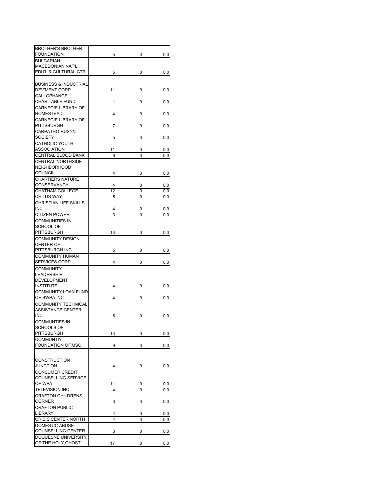| <b>BROTHER'S BROTHER</b>         |    |   |     |
|----------------------------------|----|---|-----|
| <b>FOUNDATION</b>                | 5  | 0 | 0.0 |
| <b>BULGARIAN</b>                 |    |   |     |
| <b>MACEDONIAN NAT'L</b>          |    |   |     |
| EDU'L & CULTURAL CTR             | 5  | 0 | 0.0 |
|                                  |    |   |     |
| <b>BUSINESS &amp; INDUSTRIAL</b> |    |   |     |
| DEV'MENT CORP                    | 11 | 0 | 0.0 |
|                                  |    |   |     |
| CALI OPHANGE                     |    |   |     |
| CHARITABLE FUND                  | 1  | 0 | 0.0 |
| CARNEGIE LIBRARY OF              |    |   |     |
| HOMESTEAD                        | 4  | 0 | 0.0 |
| CARNEGIE LIBRARY OF              |    |   |     |
| PITTSBURGH                       | 7  | 0 | 0.0 |
| CARPATHO-RUSYN                   |    |   |     |
| SOCIETY                          | 5  | 0 | 0.0 |
|                                  |    |   |     |
| CATHOLIC YOUTH                   |    |   |     |
| ASSOCIATION                      | 11 | 0 | 0.0 |
| <b>CENTRAL BLOOD BANK</b>        | 6  | 0 | 0.0 |
| <b>CENTRAL NORTHSIDE</b>         |    |   |     |
| <b>NEIGHBORHOOD</b>              |    |   |     |
| <b>COUNCIL</b>                   | 4  | 0 | 0.0 |
| <b>CHARTIERS NATURE</b>          |    |   |     |
| <b>CONSERVANCY</b>               | 4  | 0 | 0.0 |
| CHATHAM COLLEGE                  | 12 |   |     |
|                                  |    | 0 | 0.0 |
| CHILDS WAY                       | 5  | 0 | 0.0 |
| <b>CHRISTIAN LIFE SKILLS</b>     |    |   |     |
| <b>INC</b>                       | 4  | 0 | 0.0 |
| <b>CITIZEN POWER</b>             | 3  | 0 | 0.0 |
| <b>COMMUNITIES IN</b>            |    |   |     |
| SCHOOL OF                        |    |   |     |
| PITTSBURGH                       | 13 | 0 | 0.0 |
|                                  |    |   |     |
| <b>COMMUNITY DESIGN</b>          |    |   |     |
| <b>CENTER OF</b>                 |    |   |     |
| PITTSBURGH INC                   | 5  | 0 | 0.0 |
| COMMUNITY HUMAN                  |    |   |     |
| <b>SERVICES CORP</b>             | 4  | 0 | 0.0 |
| <b>COMMUNITY</b>                 |    |   |     |
| LEADERSHIP                       |    |   |     |
| <b>DEVELOPMENT</b>               |    |   |     |
| <b>INSTITUTE</b>                 |    |   |     |
|                                  | 4  | 0 | 0.0 |
| <b>COMMUNITY LOAN FUND</b>       |    |   |     |
| OF SWPA INC                      | 4  | 0 | 0.0 |
| COMMUNITY TECHNICAL              |    |   |     |
| <b>ASSISTANCE CENTER</b>         |    |   |     |
| INC                              | 6  | 0 | 0.0 |
| <b>COMMUNTIES IN</b>             |    |   |     |
| SCHOOLS OF                       |    |   |     |
| PITTSBURGH                       | 13 | 0 | 0.0 |
| <b>COMMUNTIY</b>                 |    |   |     |
|                                  |    |   |     |
| FOUNDATION OF USC                | 9  | 0 | 0.0 |
|                                  |    |   |     |
| <b>CONSTRUCTION</b>              |    |   |     |
| JUNCTION                         |    | 0 |     |
|                                  | 4  |   | 0.0 |
| <b>CONSUMER CREDIT</b>           |    |   |     |
| COUNSELLING SERVICE              |    |   |     |
| OF WPA                           | 11 | 0 | 0.0 |
| <b>TELEVISION INC</b>            | 4  | 0 | 0.0 |
| <b>CRAFTON CHILDRENS</b>         |    |   |     |
| CORNER                           | 3  | 0 | 0.0 |
| <b>CRAFTON PUBLIC</b>            |    |   |     |
| LIBRARY                          | 4  | 0 | 0.0 |
| <b>CRISIS CENTER NORTH</b>       | 4  | 0 |     |
|                                  |    |   | 0.0 |
| <b>DOMESTIC ABUSE</b>            |    |   |     |
| COUNSELLING CENTER               | 3  | 0 | 0.0 |
| DUQUESNE UNIVERSITY              |    |   |     |
| OF THE HOLY GHOST                | 17 | 0 | 0.0 |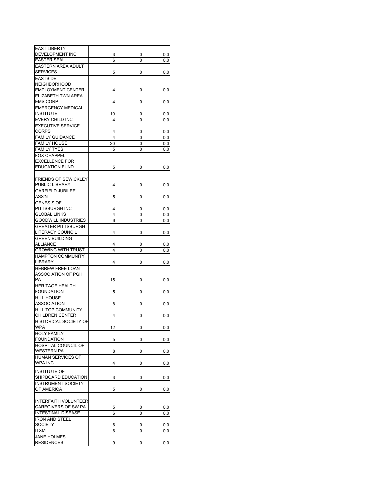| <b>EAST LIBERTY</b>          |    |   |          |
|------------------------------|----|---|----------|
| DEVELOPMENT INC              | 3  | 0 | $_{0.0}$ |
| EASTER SEAL                  | 6  | 0 | 0.0      |
| <b>EASTERN AREA ADULT</b>    |    |   |          |
|                              |    |   |          |
| <b>SERVICES</b>              | 5  | 0 | 0.0      |
| <b>EASTSIDE</b>              |    |   |          |
| <b>NEIGHBORHOOD</b>          |    |   |          |
| <b>EMPLOYMENT CENTER</b>     | 4  | 0 |          |
|                              |    |   | $_{0.0}$ |
| ELIZABETH TWN AREA           |    |   |          |
| <b>EMS CORP</b>              | 4  | 0 | 0.0      |
| <b>EMERGENCY MEDICAL</b>     |    |   |          |
| <b>INSTITUTE</b>             | 10 | 0 |          |
|                              |    |   | 0.0      |
| EVERY CHILD INC              | 4  | 0 | 0.0      |
| <b>EXECUTIVE SERVICE</b>     |    |   |          |
| <b>CORPS</b>                 | 4  | 0 | 0.0      |
| <b>FAMILY GUIDANCE</b>       | 4  | 0 | 0.0      |
|                              |    |   |          |
| <b>FAMILY HOUSE</b>          | 20 | 0 | 0.0      |
| <b>FAMILY TYES</b>           | 5  | 0 | 0.0      |
| <b>FOX CHAPPEL</b>           |    |   |          |
|                              |    |   |          |
| <b>EXCELLENCE FOR</b>        |    |   |          |
| <b>EDUCATION FUND</b>        | 5  | 0 | 0.0      |
|                              |    |   |          |
| <b>FRIENDS OF SEWICKLEY</b>  |    |   |          |
|                              |    |   |          |
| PUBLIC LIBRARY               | 4  | 0 | 0.0      |
| <b>GARFIELD JUBILEE</b>      |    |   |          |
| ASS'N                        | 5  | 0 | 0.0      |
| GENESIS OF                   |    |   |          |
|                              |    |   |          |
| PITTSBURGH INC               | 4  | 0 | 0.0      |
| <b>GLOBAL LINKS</b>          | 4  | 0 | 0.0      |
| <b>GOODWILL INDUSTRIES</b>   | 6  | 0 | 0.0      |
| <b>GREATER PITTSBURGH</b>    |    |   |          |
|                              |    |   |          |
| LITERACY COUNCIL             | 4  | 0 | 0.0      |
| <b>GREEN BUILDING</b>        |    |   |          |
| ALLIANCE                     | 4  | 0 | 0.0      |
| <b>GROWING WITH TRUST</b>    | 4  | 0 | 0.0      |
|                              |    |   |          |
| <b>HAMPTON COMMUNITY</b>     |    |   |          |
| LIBRARY                      | 4  | 0 | 0.0      |
| HEBREW FREE LOAN             |    |   |          |
| ASSOCIATION OF PGH           |    |   |          |
|                              |    |   |          |
| PA                           | 15 | 0 | 0.0      |
| <b>HERITAGE HEALTH</b>       |    |   |          |
| <b>FOUNDATION</b>            | 5  | 0 | 0.0      |
| <b>HILL HOUSE</b>            |    |   |          |
|                              |    |   |          |
| <b>ASSOCIATION</b>           | 8  | 0 | 0.0      |
| <b>HILL TOP COMMUNITY</b>    |    |   |          |
| <b>CHILDREN CENTER</b>       | 4  | 0 | 0.0      |
| <b>HISTORICAL SOCIETY OF</b> |    |   |          |
|                              |    |   |          |
| WPA                          | 12 | 0 | 0.0      |
| <b>HOLY FAMILY</b>           |    |   |          |
| <b>FOUNDATION</b>            | 5  | 0 | 0.0      |
| <b>HOSPITAL COUNCIL OF</b>   |    |   |          |
|                              |    |   |          |
| <b>WESTERN PA</b>            | 8  | 0 | 0.0      |
| HUMAN SERVICES OF            |    |   |          |
| <b>WPA INC</b>               | 4  | 0 | 0.0      |
|                              |    |   |          |
| <b>INSTITUTE OF</b>          |    |   |          |
| SHIPBOARD EDUCATION          | 3  | 0 | $_{0.0}$ |
|                              |    |   |          |
| <b>INSTRUMENT SOCIETY</b>    |    |   |          |
| OF AMERICA                   | 5  | 0 | 0.0      |
|                              |    |   |          |
| <b>INTERFAITH VOLUNTEER</b>  |    |   |          |
|                              |    |   |          |
| CAREGIVERS OF SW PA          | 5  | 0 | 0.0      |
| <b>INTESTINAL DISEASE</b>    | 6  | 0 | 0.0      |
| <b>IRON AND STEEL</b>        |    |   |          |
| <b>SOCIETY</b>               | 6  | 0 | $_{0.0}$ |
|                              |    |   |          |
| ITXM                         | 6  | 0 | 0.0      |
| <b>JANE HOLMES</b>           |    |   |          |
| <b>RESIDENCES</b>            | 9  | 0 | 0.0      |
|                              |    |   |          |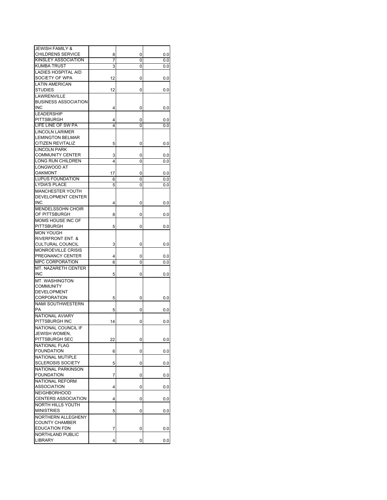| <b>JEWISH FAMILY &amp;</b>   |    |   |          |
|------------------------------|----|---|----------|
| <b>CHILDRENS SERVICE</b>     | 8  | 0 | 0.0      |
| KINSLEY ASSOCIATION          | 7  | 0 | 0.0      |
| KUMBA TRUST                  | 3  | 0 | 0.0      |
| LADIES HOSPITAL AID          |    |   |          |
| SOCIETY OF WPA               | 12 | 0 | 0.0      |
| <b>LATIN AMERICAN</b>        |    |   |          |
|                              |    |   |          |
| <b>STUDIES</b>               | 12 | 0 | 0.0      |
| LAWRENVILLE                  |    |   |          |
| <b>BUSINESS ASSOCIATION</b>  |    |   |          |
| <b>INC</b>                   | 4  | 0 | 0.0      |
| <b>LEADERSHIP</b>            |    |   |          |
| PITTSBURGH                   | 4  | 0 | 0.0      |
| LIFE LINE OF SW PA           | 4  | 0 | 0.0      |
| <b>LINCOLN LARIMER</b>       |    |   |          |
|                              |    |   |          |
| <b>LEMINGTON BELMAR</b>      |    |   |          |
| CITIZEN REVITALIZ            | 5  | 0 | $_{0.0}$ |
| <b>LINCOLN PARK</b>          |    |   |          |
| <b>COMMUNITY CENTER</b>      | 3  | 0 | 0.0      |
| LONG RUN CHILDREN            | 4  | 0 | 0.0      |
| LONGWOOD AT                  |    |   |          |
| OAKMONT                      | 17 | 0 | $_{0.0}$ |
| <b>LUPUS FOUNDATION</b>      | 6  | 0 |          |
|                              |    |   | 0.0      |
| <b>LYDIA'S PLACE</b>         | 5  | 0 | $_{0.0}$ |
| MANCHESTER YOUTH             |    |   |          |
| DEVELOPMENT CENTER           |    |   |          |
| <b>INC</b>                   | 4  | 0 | $_{0.0}$ |
| <b>MENDELSSOHN CHOIR</b>     |    |   |          |
| OF PITTSBURGH                | 8  | 0 | $_{0.0}$ |
| MOMS HOUSE INC OF            |    |   |          |
|                              |    |   |          |
| <b>PITTSBURGH</b>            | 5  | 0 | $_{0.0}$ |
| <b>MON YOUGH</b>             |    |   |          |
| <b>RIVERFRONT ENT. &amp;</b> |    |   |          |
| <b>CULTURAL COUNCIL</b>      | 3  | 0 | $_{0.0}$ |
| <b>MONROEVILLE CRISIS</b>    |    |   |          |
| PREGNANCY CENTER             | 4  | 0 | 0.0      |
| <b>MPC CORPORATION</b>       | 6  | 0 | 0.0      |
| <b>MT. NAZARETH CENTER</b>   |    |   |          |
|                              |    |   |          |
| <b>INC</b>                   | 5  | 0 | 0.0      |
| MT. WASHINGTON               |    |   |          |
| COMMUNITY                    |    |   |          |
| <b>DEVELOPMENT</b>           |    |   |          |
| CORPORATION                  | 5  | 0 | $_{0.0}$ |
| <b>NAMI SOUTHWESTERN</b>     |    |   |          |
| PA                           | 5  | 0 | $_{0.0}$ |
|                              |    |   |          |
| <b>NATIONAL AVIARY</b>       |    |   |          |
| PITTSBURGH INC               | 14 | 0 | 0.0      |
| NATIONAL COUNCIL IF          |    |   |          |
| JEWISH WOMEN,                |    |   |          |
| PITTSBURGH SEC               | 22 | 0 | 0.0      |
| NATIONAL FLAG                |    |   |          |
| <b>FOUNDATION</b>            | 6  | 0 | 0.0      |
| NATIONAL MUTIPLE             |    |   |          |
| <b>SCLEROSIS SOCIETY</b>     |    |   |          |
|                              | 5  | 0 | 0.0      |
| NATIONAL PARKINSON           |    |   |          |
| <b>FOUNDATION</b>            | 7  | 0 | $_{0.0}$ |
| NATIONAL REFORM              |    |   |          |
| ASSOCIATION                  | 4  | 0 | $_{0.0}$ |
| <b>NEIGHBORHOOD</b>          |    |   |          |
| CENTERS ASSOCIATION          | 4  | 0 | $_{0.0}$ |
| <b>NORTH HILLS YOUTH</b>     |    |   |          |
|                              |    |   |          |
| <b>MINISTRIES</b>            | 5  | 0 | $_{0.0}$ |
| NORTHERN ALLEGHENY           |    |   |          |
| <b>COUNTY CHAMBER</b>        |    |   |          |
| <b>EDUCATION FDN</b>         | 7  | 0 | 0.0      |
| NORTHLAND PUBLIC             |    |   |          |
| LIBRARY                      | 4  | 0 | 0.0      |
|                              |    |   |          |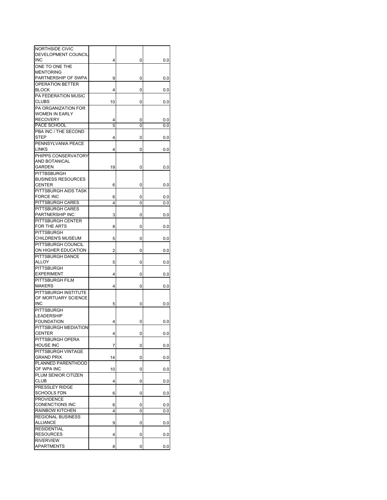| NORTHSIDE CIVIC            |    |   |          |
|----------------------------|----|---|----------|
| DEVELOPMENT COUNCIL        |    |   |          |
| <b>INC</b>                 | 4  | 0 | $_{0.0}$ |
| ONE TO ONE THE             |    |   |          |
| <b>MENTORING</b>           |    |   |          |
| PARTNERSHIP OF SWPA        | 9  | 0 | $_{0.0}$ |
| <b>OPERATION BETTER</b>    |    |   |          |
| <b>BLOCK</b>               | 4  | 0 | 0.0      |
| <b>PA FEDERATION MUSIC</b> |    |   |          |
| <b>CLUBS</b>               | 10 | 0 | 0.0      |
| PA ORGANIZATION FOR        |    |   |          |
| <b>WOMEN IN EARLY</b>      |    |   |          |
| <b>RECOVERY</b>            | 4  |   |          |
| PACE SCHOOL                | 5  | 0 | $_{0.0}$ |
|                            |    | 0 | 0.0      |
| PBA INC / THE SECOND       |    |   |          |
| STEP                       | 4  | 0 | 0.0      |
| PENNSYLVANIA PEACE         |    |   |          |
| <b>LINKS</b>               | 4  | 0 | 0.0      |
| PHIPPS CONSERVATORY        |    |   |          |
| AND BOTANICAL              |    |   |          |
| GARDEN                     | 19 | 0 | 0.0      |
| <b>PITTBSBURGH</b>         |    |   |          |
| <b>BUSINESS RESOURCES</b>  |    |   |          |
| <b>CENTER</b>              | 6  | 0 | 0.0      |
| PITTSBURGH AIDS TASK       |    |   |          |
| <b>FORCE INC</b>           | 6  | 0 | 0.0      |
| PITTSBURGH CARES           | 4  | 0 | 0.0      |
| PITTSBURGH CARES           |    |   |          |
| PARTNERSHIP INC            | 3  | 0 | 0.0      |
| PITTSBURGH CENTER          |    |   |          |
| FOR THE ARTS               |    |   |          |
|                            | 8  | 0 | 0.0      |
| <b>PITTSBURGH</b>          |    |   |          |
| <b>CHILDREN'S MUSEUM</b>   | 5  | 0 | $_{0.0}$ |
| PITTSBURGH COUNCIL         |    |   |          |
| ON HIGHER EDUCATION        | 2  | 0 | 0.0      |
| PITTSBURGH DANCE           |    |   |          |
| ALLOY                      | 5  | 0 | 0.0      |
| <b>PITTSBURGH</b>          |    |   |          |
| <b>EXPERIMENT</b>          | 4  | 0 | 0.0      |
| PITTSBURGH FILM            |    |   |          |
| <b>MAKERS</b>              | 4  | 0 | 0.0      |
| PITTSBURGH INSTITUTE       |    |   |          |
| OF MORTUARY SCIENCE        |    |   |          |
| INC                        | 5  | 0 | $_{0.0}$ |
| <b>PITTSBURGH</b>          |    |   |          |
| LEADERSHIP                 |    |   |          |
| <b>FOUNDATION</b>          | 4  | 0 | 0.0      |
| PITTSBURGH MEDIATION       |    |   |          |
| CENTER                     | 4  | 0 |          |
|                            |    |   | 0.0      |
| PITTSBURGH OPERA           |    |   |          |
| HOUSE INC                  | 7  | 0 | 0.0      |
| PITTSBURGH VINTAGE         |    |   |          |
| <b>GRAND PRIX</b>          | 14 | 0 | 0.0      |
| PLANNED PARENTHOOD         |    |   |          |
| OF WPA INC                 | 10 | 0 | 0.0      |
| PLUM SENIOR CITIZEN        |    |   |          |
| CLUB                       | 4  | 0 | $_{0.0}$ |
| PRESSLEY RIDGE             |    |   |          |
| <b>SCHOOLS FDN</b>         | 6  | 0 | 0.0      |
| <b>PROVIDENCE</b>          |    |   |          |
| <b>CONENCTIONS INC</b>     | 6  | 0 | 0.0      |
| <b>RAINBOW KITCHEN</b>     | 4  | 0 | 0.0      |
| <b>REGIONAL BUSINESS</b>   |    |   |          |
| ALLIANCE                   | 9  | 0 |          |
| <b>RESIDENTIAL</b>         |    |   | $_{0.0}$ |
| <b>RESOURCES</b>           |    |   |          |
|                            | 4  | 0 | 0.0      |
| <b>RIVERVIEW</b>           |    |   |          |
| APARTMENTS                 | 8  | 0 | 0.0      |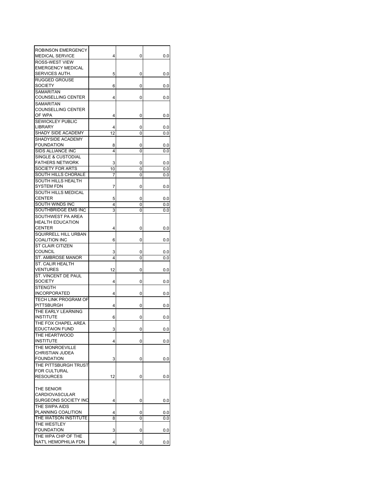| <b>ROBINSON EMERGENCY</b><br>MEDICAL SERVICE | 4      | 0      | $_{0.0}$   |
|----------------------------------------------|--------|--------|------------|
| ROSS-WEST VIEW                               |        |        |            |
| <b>EMERGENCY MEDICAL</b>                     |        |        |            |
| SERVICES AUTH.<br><b>RUGGED GROUSE</b>       | 5      | 0      | 0.0        |
| SOCIETY                                      | 6      | 0      | 0.0        |
| <b>SAMARITAN</b>                             |        |        |            |
| COUNSELLING CENTER<br>SAMARITAN              | 4      | 0      | 0.0        |
| <b>COUNSELLING CENTER</b>                    |        |        |            |
| OF WPA                                       | 4      | 0      | 0.0        |
| <b>SEWICKLEY PUBLIC</b>                      |        |        |            |
| LIBRARY                                      | 4      | 0      | 0.0        |
| SHADY SIDE ACADEMY                           | 12     | 0      | 0.0        |
| SHADYSIDE ACADEMY<br><b>FOUNDATION</b>       |        |        |            |
| SIDS ALLIANCE INC                            | 8<br>4 | 0<br>0 | 0.0<br>0.0 |
| SINGLE & CUSTODIAL                           |        |        |            |
| <b>FATHERS NETWORK</b>                       | 3      | 0      | 0.0        |
| SOCIETY FOR ARTS                             | 10     | 0      | 0.0        |
| SOUTH HILLS CHORALE                          | 7      | 0      | 0.0        |
| SOUTH HILLS HEALTH                           |        |        |            |
| <b>SYSTEM FDN</b>                            | 7      | 0      | 0.0        |
| SOUTH HILLS MEDICAL                          |        |        |            |
| <b>CENTER</b>                                | 5      | 0      | 0.0        |
| SOUTH WINDS INC                              | 4      | 0      | 0.0        |
| SOUTHBRIDGE EMS INC                          | 3      | 0      | 0.0        |
| SOUTHWEST PA AREA<br><b>HEALTH EDUCATION</b> |        |        |            |
| <b>CENTER</b>                                | 4      | 0      | 0.0        |
| SQUIRRELL HILL URBAN                         |        |        |            |
| <b>COALITION INC</b>                         | 6      | 0      | 0.0        |
| ST CLAIR CITIZEN                             |        |        |            |
| <b>COUNCIL</b>                               | 3      | 0      | 0.0        |
| ST. AMBROSE MANOR                            | 4      | 0      | 0.0        |
| <b>ST. CALIR HEALTH</b>                      |        |        |            |
| VENTURES                                     | 12     | 0      | $_{0.0}$   |
| ST. VINCENT DE PAUL                          |        |        |            |
| <b>SOCIETY</b>                               | 4      | 0      | 0.0        |
| <b>STENGTH</b><br><b>INCORPORATED</b>        |        |        |            |
| TECH LINK PROGRAM OF                         | 4      | 0      | 0.0        |
| PITTSBURGH                                   | 4      | 0      | 0.0        |
| THE EARLY LEARNING                           |        |        |            |
| <b>INSTITUTE</b>                             | 6      | 0      | 0.0        |
| THE FOX CHAPEL AREA                          |        |        |            |
| <b>EDUCTAION FUND</b>                        | 3      | 0      | $_{0.0}$   |
| THE HEARTWOOD                                |        |        |            |
| <b>INSTITUTE</b>                             | 4      | 0      | 0.0        |
| THE MONROEVILLE                              |        |        |            |
| CHRISTIAN JUDEA                              |        |        |            |
| <b>FOUNDATION</b><br>THE PITTSBURGH TRUST    | 3      | 0      | 0.0        |
| FOR CULTURAL                                 |        |        |            |
| <b>RESOURCES</b>                             | 12     | 0      | 0.0        |
|                                              |        |        |            |
| THE SENIOR                                   |        |        |            |
| <b>CARDIOVASCULAR</b>                        |        |        |            |
| SURGEONS SOCIETY INC                         | 4      | 0      | 0.0        |
| THE SWPA AIDS                                |        |        |            |
| PLANNING COALITION                           | 4      | 0      | 0.0        |
| THE WATSON INSTITUTE                         | 8      | 0      | 0.0        |
| THE WESTLEY                                  |        |        |            |
| <b>FOUNDATION</b><br>THE WPA CHP OF THE      | 3      | 0      | 0.0        |
| NAT'L HEMOPHILIA FDN                         | 4      | 0      | 0.0        |
|                                              |        |        |            |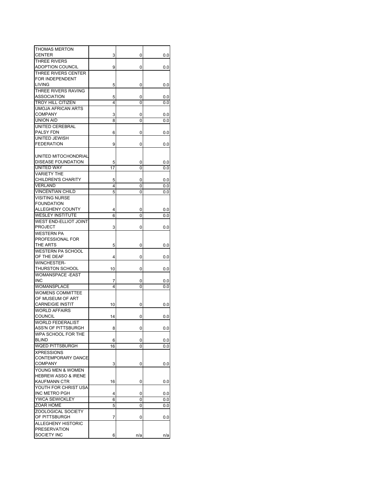| THOMAS MERTON                  |    |     |     |
|--------------------------------|----|-----|-----|
| CENTER                         | 3  | 0   | 0.0 |
| THREE RIVERS                   |    |     |     |
| ADOPTION COUNCIL               | 9  | 0   | 0.0 |
| THREE RIVERS CENTER            |    |     |     |
| FOR INDEPENDENT                |    |     |     |
| <b>LIVING</b>                  | 5  | 0   | 0.0 |
| THREE RIVERS RAVING            |    |     |     |
| ASSOCIATION                    | 5  | 0   | 0.0 |
| TROY HILL CITIZEN              | 4  | 0   | 0.0 |
| UMOJA AFRICAN ARTS             |    |     |     |
| <b>COMPANY</b>                 | 3  | 0   | 0.0 |
| UNION AID                      | 8  | 0   | 0.0 |
| UNITED CEREBRAL                |    |     |     |
| PALSY FDN                      | 6  | 0   | 0.0 |
| UNITED JEWISH                  |    |     |     |
| <b>FEDERATION</b>              | 9  | 0   | 0.0 |
|                                |    |     |     |
| UNITED MITOCHONDRIAL           |    |     |     |
| DISEASE FOUNDATION             | 5  | 0   | 0.0 |
| <b>UNITED WAY</b>              | 17 | 0   | 0.0 |
| <b>VARIETY THE</b>             |    |     |     |
| <b>CHILDREN'S CHARITY</b>      | 5  | 0   | 0.0 |
| <b>VERLAND</b>                 | 4  | 0   | 0.0 |
| <b>VINCENTIAN CHILD</b>        | 5  | 0   | 0.0 |
| <b>VISITING NURSE</b>          |    |     |     |
| <b>FOUNDATION</b>              |    |     |     |
| ALLEGHENY COUNTY               | 4  | 0   | 0.0 |
| <b>WESLEY INSTITUTE</b>        | 6  | 0   | 0.0 |
| <b>WEST END-ELLIOT JOINT</b>   |    |     |     |
| <b>PROJECT</b>                 | 3  | 0   | 0.0 |
| WESTERN PA                     |    |     |     |
| PROFESSIONAL FOR               |    |     |     |
| THE ARTS                       | 5  | 0   | 0.0 |
| <b>WESTERN PA SCHOOL</b>       |    |     |     |
| OF THE DEAF                    | 4  | 0   | 0.0 |
| <b>WINCHESTER-</b>             |    |     |     |
| <b>THURSTON SCHOOL</b>         | 10 | 0   | 0.0 |
| <b>WOMANSPACE -EAST</b>        |    |     |     |
| <b>INC</b>                     | 7  | 0   | 0.0 |
| WOMANSPLACE                    | 4  | 0   | 0.0 |
| <b>WOMENS COMMITTEE</b>        |    |     |     |
| OF MUSEUM OF ART               |    |     |     |
| CARNEIGIE INSTIT               | 10 | 0   | 0.0 |
| <b>WORLD AFFAIRS</b>           |    |     |     |
| COUNCIL                        | 14 | 0   | 0.0 |
| <b>WORLD FEDERALIST</b>        |    |     |     |
| ASS'N OF PITTSBURGH            | ŏ  | υ   | v.v |
| WPA SCHOOL FOR THE             |    |     |     |
| <b>BLIND</b>                   | 6  | 0   | 0.0 |
| WQED PITTSBURGH                | 16 | 0   | 0.0 |
| <b>XPRESSIONS</b>              |    |     |     |
| CONTEMPORARY DANCE             |    |     |     |
| <b>COMPANY</b>                 | 3  | 0   | 0.0 |
| YOUNG MEN & WOMEN              |    |     |     |
| <b>HEBREW ASSO &amp; IRENE</b> |    |     |     |
| KAUFMANN CTR                   | 16 | 0   | 0.0 |
| YOUTH FOR CHRIST USA           |    |     |     |
| INC METRO PGH                  | 4  | 0   | 0.0 |
| YWCA SEWICKLEY                 | 6  | 0   | 0.0 |
| ZOAR HOME                      | 5  | 0   | 0.0 |
| ZOOLOGICAL SOCIETY             |    |     |     |
| OF PITTSBURGH                  | 7  | 0   | 0.0 |
| ALLEGHENY HISTORIC             |    |     |     |
| <b>PRESERVATION</b>            |    |     |     |
| SOCIETY INC                    | 6  | n/a | n/a |
|                                |    |     |     |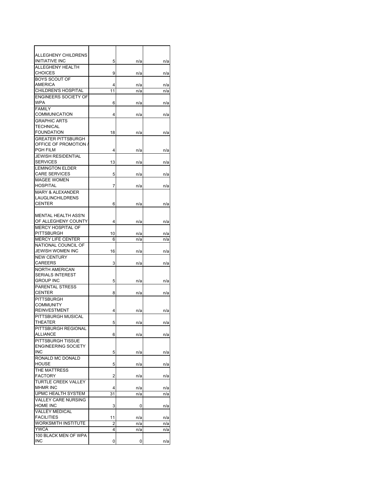| ALLEGHENY CHILDRENS                               |         |            |            |
|---------------------------------------------------|---------|------------|------------|
| <b>INITIATIVE INC</b>                             | 5       | n/a        | n/a        |
| ALLEGHENY HEALTH                                  |         |            |            |
| <b>CHOICES</b>                                    | 9       | n/a        | n/a        |
| <b>BOYS SCOUT OF</b><br>AMERICA                   |         |            |            |
| <b>CHILDREN'S HOSPITAL</b>                        | 4<br>11 | n/a<br>n/a | n/a<br>n/a |
| ENGINEERS SOCIETY OF                              |         |            |            |
| WPA                                               | 6       | n/a        | n/a        |
| <b>FAMILY</b>                                     |         |            |            |
| COMMUNICATION                                     | 4       | n/a        | n/a        |
| <b>GRAPHIC ARTS</b>                               |         |            |            |
| TECHNICAL                                         |         |            |            |
| <b>FOUNDATION</b>                                 | 18      | n/a        | n/a        |
| GREATER PITTSBURGH                                |         |            |            |
| OFFICE OF PROMOTION /<br>PGH FILM                 |         |            |            |
| <b>JEWISH RESIDENTIAL</b>                         | 4       | n/a        | n/a        |
| <b>SERVICES</b>                                   | 13      | n/a        | n/a        |
| <b>LEMINGTON ELDER</b>                            |         |            |            |
| <b>CARE SERVICES</b>                              | 5       | n/a        | n/a        |
| <b>MAGEE WOMEN</b>                                |         |            |            |
| <b>HOSPITAL</b>                                   | 7       | n/a        | n/a        |
| <b>MARY &amp; ALEXANDER</b>                       |         |            |            |
| LAUGLINCHILDRENS                                  |         |            |            |
| <b>CENTER</b>                                     | 6       | n/a        | n/a        |
|                                                   |         |            |            |
| <b>MENTAL HEALTH ASS'N</b><br>OF ALLEGHENY COUNTY |         |            |            |
| <b>MERCY HOSPITAL OF</b>                          | 4       | n/a        | n/a        |
| PITTSBURGH                                        | 10      | n/a        | n/a        |
| <b>MERCY LIFE CENTER</b>                          | 6       | n/a        | n/a        |
| NATIONAL COUNCIL OF                               |         |            |            |
| JEWISH WOMEN INC                                  | 16      | n/a        | n/a        |
| <b>NEW CENTURY</b>                                |         |            |            |
| CAREERS                                           | 3       | n/a        | n/a        |
| NORTH AMERICAN                                    |         |            |            |
| <b>SERIALS INTEREST</b>                           |         |            |            |
| <b>GROUP INC</b><br><b>PARENTAL STRESS</b>        | 5       | n/a        | n/a        |
| <b>CENTER</b>                                     | 8       | n/a        | n/a        |
| PITTSBURGH                                        |         |            |            |
| <b>COMMUNITY</b>                                  |         |            |            |
| <b>REINVESTMENT</b>                               | 4       | n/a        | n/a        |
| PITTSBURGH MUSICAL                                |         |            |            |
| THEATER                                           | 5       | n/a        | n/a        |
| PITTSBURGH REGIONAL                               |         |            |            |
| <b>ALLIANCE</b>                                   | 6       | n/a        | n/a        |
| PITTSBURGH TISSUE                                 |         |            |            |
| <b>ENGINEERING SOCIETY</b><br><b>INC</b>          | 5       | n/a        | n/a        |
| RONALD MC DONALD                                  |         |            |            |
| <b>HOUSE</b>                                      | 5       | n/a        | n/a        |
| THE MATTRESS                                      |         |            |            |
| <b>FACTORY</b>                                    | 2       | n/a        | n/a        |
| TURTLE CREEK VALLEY                               |         |            |            |
| <b>MHMR INC</b>                                   | 4       | n/a        | n/a        |
| UPMC HEALTH SYSTEM                                | 31      | n/a        | n/a        |
| <b>VALLEY CARE NURSING</b>                        |         |            |            |
| HOME INC<br><b>VALLEY MEDICAL</b>                 | 3       | 0          | n/a        |
| <b>FACILITIES</b>                                 | 11      | n/a        | n/a        |
| WORKSMITH INSTITUTE                               | 2       | n/a        | n/a        |
| <b>YWCA</b>                                       | 4       | n/a        | n/a        |
| 100 BLACK MEN OF WPA                              |         |            |            |
| <b>INC</b>                                        | 0       | 0          | n/a        |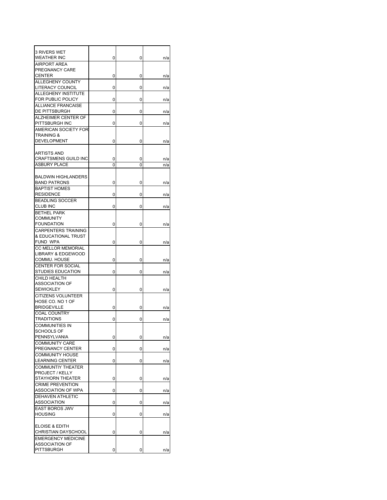| 3 RIVERS WET                            |   |   |     |
|-----------------------------------------|---|---|-----|
| WEATHER INC                             | 0 | 0 | n/a |
| <b>AIRPORT AREA</b>                     |   |   |     |
| PREGNANCY CARE                          |   |   |     |
| <b>CENTER</b>                           | 0 | 0 | n/a |
| ALLEGHENY COUNTY<br>LITERACY COUNCIL    |   |   |     |
| ALLEGHENY INSTITUTE                     | 0 | 0 | n/a |
| FOR PUBLIC POLICY                       | 0 | 0 |     |
| ALLIANCE FRANCAISE                      |   |   | n/a |
| DE PITTSBURGH                           | 0 | 0 | n/a |
| ALZHEIMER CENTER OF                     |   |   |     |
| PITTSBURGH INC                          | 0 | 0 | n/a |
| AMERICAN SOCIETY FOR                    |   |   |     |
| TRAINING &                              |   |   |     |
| <b>DEVELOPMENT</b>                      | 0 | 0 | n/a |
|                                         |   |   |     |
| ARTISTS AND                             |   |   |     |
| <b>CRAFTSMENS GUILD INC</b>             | 0 | 0 | n/a |
| <b>ASBURY PLACE</b>                     | 0 | 0 | n/a |
|                                         |   |   |     |
| <b>BALDWIN HIGHLANDERS</b>              |   |   |     |
| <b>BAND PATRONS</b>                     | 0 | 0 | n/a |
| <b>BAPTIST HOMES</b>                    |   |   |     |
| <b>RESIDENCE</b>                        | 0 | 0 | n/a |
| <b>BEADLING SOCCER</b>                  |   |   |     |
| CLUB INC                                | 0 | 0 | n/a |
| <b>BETHEL PARK</b>                      |   |   |     |
| COMMUNITY                               |   |   |     |
| <b>FOUNDATION</b>                       | 0 | 0 | n/a |
| <b>CARPENTERS TRAINING</b>              |   |   |     |
| & EDUCATIONAL TRUST                     |   |   |     |
| FUND WPA                                | 0 | 0 | n/a |
| CC MELLOR MEMORIAL                      |   |   |     |
| LIBRARY & EDGEWOOD                      |   |   |     |
| COMMU. HOUSE                            | 0 | 0 | n/a |
| <b>CENTER FOR SOCIAL</b>                |   |   |     |
| <b>STUDIES EDUCATION</b>                | 0 | 0 | n/a |
| CHILD HEALTH                            |   |   |     |
| ASSOCIATION OF                          |   |   |     |
| <b>SEWICKLEY</b>                        | 0 | 0 | n/a |
| <b>CITIZENS VOLUNTEER</b>               |   |   |     |
| HOSE CO. NO 1 OF                        |   |   |     |
| <b>BRIDGEVILLE</b>                      | 0 | 0 | n/a |
| <b>COAL COUNTRY</b>                     |   |   |     |
| <b>TRADITIONS</b>                       | 0 | 0 | n/a |
| <b>COMMUNITIES IN</b>                   |   |   |     |
| <b>SCHOOLS OF</b>                       |   |   |     |
| PENNSYLVANIA                            | 0 | 0 | n/a |
| <b>COMMUNITY CARE</b>                   |   |   |     |
| PREGNANCY CENTER                        | 0 | 0 | n/a |
| <b>COMMUNITY HOUSE</b>                  |   |   |     |
| <b>LEARNING CENTER</b>                  | 0 | 0 | n/a |
| <b>COMMUNTIY THEATER</b>                |   |   |     |
| PROJECT / KELLY                         |   |   |     |
| <b>STAYHORN THEATER</b>                 | 0 | 0 | n/a |
| <b>CRIME PREVENTION</b>                 |   |   |     |
| ASSOCIATION OF WPA                      | 0 | 0 | n/a |
| DEHAVEN ATHLETIC                        |   |   |     |
| ASSOCIATION                             | 0 | 0 | n/a |
| <b>EAST BOROS JWV</b><br><b>HOUSING</b> |   |   |     |
|                                         | 0 | 0 | n/a |
| <b>ELOISE &amp; EDITH</b>               |   |   |     |
| CHRISTIAN DAYSCHOOL                     | 0 | 0 | n/a |
| <b>EMERGENCY MEDICINE</b>               |   |   |     |
| <b>ASSOCIATION OF</b>                   |   |   |     |
| <b>PITTSBURGH</b>                       | 0 | 0 | n/a |
|                                         |   |   |     |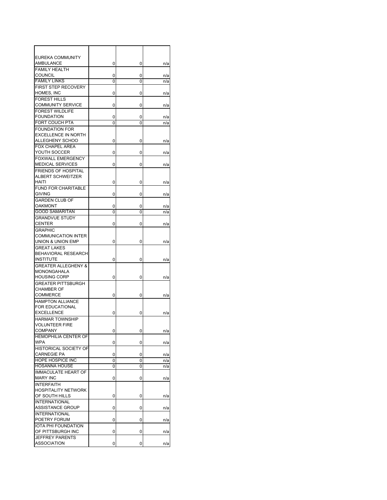| EUREKA COMMUNITY                                    |        |        |            |
|-----------------------------------------------------|--------|--------|------------|
| AMBULANCE                                           | 0      | 0      | n/a        |
| <b>FAMILY HEALTH</b><br><b>COUNCIL</b>              | 0      | 0      | n/a        |
| <b>FAMILY LINKS</b>                                 | 0      | 0      | n/a        |
| FIRST STEP RECOVERY                                 |        |        |            |
| HOMES, INC                                          | 0      | 0      | n/a        |
| <b>FOREST HILLS</b>                                 |        |        |            |
| <b>COMMUNITY SERVICE</b><br><b>FOREST WILDLIFE</b>  | 0      | 0      | n/a        |
| <b>FOUNDATION</b>                                   | 0      | 0      | n/a        |
| <b>FORT COUCH PTA</b>                               | 0      | 0      | n/a        |
| <b>FOUNDATION FOR</b>                               |        |        |            |
| <b>EXCELLENCE IN NORTH</b>                          |        |        |            |
| ALLEGHENY SCHOO                                     | 0      | 0      | n/a        |
| <b>FOX CHAPEL AREA</b>                              |        |        |            |
| YOUTH SOCCER                                        | 0      | 0      | n/a        |
| <b>FOXWALL EMERGENCY</b><br><b>MEDICAL SERVICES</b> | 0      | 0      | n/a        |
| <b>FRIENDS OF HOSPITAL</b>                          |        |        |            |
| <b>ALBERT SCHWEITZER</b>                            |        |        |            |
| HAITI                                               | 0      | 0      | n/a        |
| <b>FUND FOR CHARITABLE</b>                          |        |        |            |
| <b>GIVING</b>                                       | 0      | 0      | n/a        |
| <b>GARDEN CLUB OF</b>                               |        |        |            |
| OAKMONT<br><b>GOOD SAMARITAN</b>                    | 0<br>0 | 0<br>0 | n/a<br>n/a |
| <b>GRANDVUE STUDY</b>                               |        |        |            |
| <b>CENTER</b>                                       | 0      | 0      | n/a        |
| <b>GRAPHIC</b>                                      |        |        |            |
| <b>COMMUNICATION INTER</b>                          |        |        |            |
| UNION & UNION EMP                                   | 0      | 0      | n/a        |
| <b>GREAT LAKES</b>                                  |        |        |            |
| BEHAVIORAL RESEARCH<br><b>INSTITUTE</b>             | 0      | 0      | n/a        |
| <b>GREATER ALLEGHENY &amp;</b>                      |        |        |            |
| MONONGAHALA                                         |        |        |            |
| <b>HOUSING CORP</b>                                 | 0      | 0      | n/a        |
| <b>GREATER PITTSBURGH</b>                           |        |        |            |
| <b>CHAMBER OF</b>                                   |        |        |            |
| COMMERCE<br><b>HAMPTON ALLIANCE</b>                 | 0      | 0      | n/a        |
| FOR EDUCATIONAL                                     |        |        |            |
| <b>EXCELLENCE</b>                                   | 0      | 0      | n/a        |
| <b>HARMAR TOWNSHIP</b>                              |        |        |            |
| <b>VOLUNTEER FIRE</b>                               |        |        |            |
| <b>COMPANY</b>                                      | 0      | 0      | n/a        |
| <b>HEMOPHILIA CENTER OF</b>                         |        |        |            |
| <b>WPA</b><br>HISTORICAL SOCIETY OF                 | 0      | 0      | n/a        |
| <b>CARNEGIE PA</b>                                  | 0      | 0      | n/a        |
| HOPE HOSPICE INC                                    | 0      | 0      | n/a        |
| <b>HOSANNA HOUSE</b>                                | 0      | 0      | n/a        |
| <b>IMMACULATE HEART OF</b>                          |        |        |            |
| <b>MARY INC</b>                                     | 0      | 0      | n/a        |
| <b>INTERFAITH</b>                                   |        |        |            |
| <b>HOSPITALITY NETWORK</b><br>OF SOUTH HILLS        | 0      | 0      | n/a        |
| <b>INTERNATIONAL</b>                                |        |        |            |
| <b>ASSISTANCE GROUP</b>                             | 0      | 0      | n/a        |
| <b>INTERNATIONAL</b>                                |        |        |            |
| POETRY FORUM                                        | 0      | 0      | n/a        |
| IOTA PHI FOUNDATION                                 |        |        |            |
| OF PITTSBURGH INC<br><b>JEFFREY PARENTS</b>         | 0      | 0      | n/a        |
| <b>ASSOCIATION</b>                                  | 0      | 0      | n/a        |
|                                                     |        |        |            |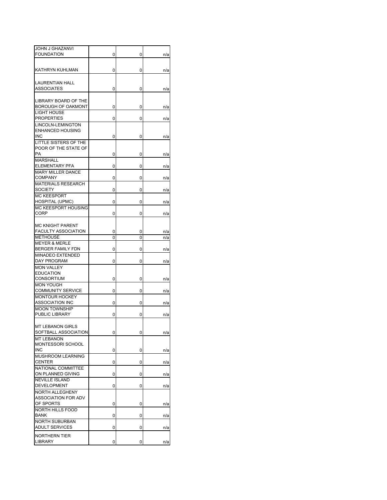| <b>JOHN J GHAZANVI</b>                            |   |   |     |
|---------------------------------------------------|---|---|-----|
| <b>FOUNDATION</b>                                 | 0 | 0 | n/a |
|                                                   |   |   |     |
| KATHRYN KUHLMAN                                   | 0 | 0 | n/a |
|                                                   |   |   |     |
| <b>LAURENTIAN HALL</b><br>ASSOCIATES              | 0 | 0 |     |
|                                                   |   |   | n/a |
| LIBRARY BOARD OF THE                              |   |   |     |
| <b>BOROUGH OF OAKMONT</b>                         | 0 | 0 | n/a |
| LIGHT HOUSE                                       |   |   |     |
| <b>PROPERTIES</b>                                 | 0 | 0 | n/a |
| LINCOLN-LEMINGTON<br><b>ENHANCED HOUSING</b>      |   |   |     |
| <b>INC</b>                                        | 0 | 0 | n/a |
| LITTLE SISTERS OF THE                             |   |   |     |
| POOR OF THE STATE OF                              |   |   |     |
| PA                                                | 0 | 0 | n/a |
| <b>MARSHALL</b>                                   |   |   |     |
| <b>ELEMENTARY PFA</b><br><b>MARY MILLER DANCE</b> | 0 | 0 | n/a |
| <b>COMPANY</b>                                    | 0 | 0 | n/a |
| MATERIALS RESEARCH                                |   |   |     |
| <b>SOCIETY</b>                                    | 0 | 0 | n/a |
| <b>MC KEESPORT</b>                                |   |   |     |
| HOSPITAL (UPMC)                                   | 0 | 0 | n/a |
| MC KEESPORT HOUSING                               |   |   |     |
| CORP                                              | 0 | 0 | n/a |
| <b>MC KNIGHT PARENT</b>                           |   |   |     |
| <b>FACULTY ASSOCIATION</b>                        | 0 | 0 | n/a |
| <b>METHOUSE</b>                                   | 0 | 0 | n/a |
| <b>MEYER &amp; MERLE</b>                          |   |   |     |
| BERGER FAMILY FDN                                 | 0 | 0 | n/a |
| <b>MINADEO EXTENDED</b>                           |   |   |     |
| DAY PROGRAM                                       | 0 | 0 | n/a |
| <b>MON VALLEY</b><br><b>EDUCATION</b>             |   |   |     |
| CONSORTIUM                                        | 0 | 0 | n/a |
| MON YOUGH                                         |   |   |     |
| <b>COMMUNITY SERVICE</b>                          | 0 | 0 | n/a |
| <b>MONTOUR HOCKEY</b>                             |   |   |     |
| <b>ASSOCIATION INC</b>                            | 0 | 0 | n/a |
| <b>MOON TOWNSHIP</b><br>PUBLIC LIBRARY            | 0 | 0 |     |
|                                                   |   |   | n/a |
| MT I FRANON GIRLS                                 |   |   |     |
| SOFTBALL ASSOCIATION                              | 0 | 0 | n/a |
| <b>MT LEBANON</b>                                 |   |   |     |
| MONTESSORI SCHOOL                                 |   |   |     |
| <b>INC</b>                                        | 0 | 0 | n/a |
| MUSHROOM LEARNING<br><b>CENTER</b>                |   |   |     |
| NATIONAL COMMITTEE                                | 0 | 0 | n/a |
| ON PLANNED GIVING                                 | 0 | 0 | n/a |
| <b>NEVILLE ISLAND</b>                             |   |   |     |
| <b>DEVELOPMENT</b>                                | 0 | 0 | n/a |
| NORTH ALLEGHENY                                   |   |   |     |
| ASSOCIATION FOR ADV                               |   |   |     |
| OF SPORTS                                         | 0 | 0 | n/a |
| NORTH HILLS FOOD<br><b>BANK</b>                   | 0 | 0 |     |
| <b>NORTH SUBURBAN</b>                             |   |   | n/a |
| <b>ADULT SERVICES</b>                             | 0 | 0 | n/a |
| NORTHERN TIER                                     |   |   |     |
| LIBRARY                                           | 0 | 0 | n/a |
|                                                   |   |   |     |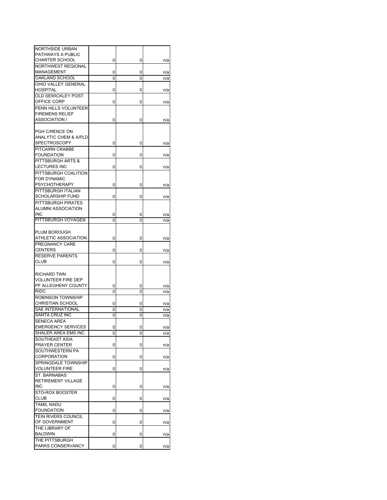| <b>NORTHSIDE URBAN</b>     |   |   |     |
|----------------------------|---|---|-----|
| PATHWAYS A PUBLIC          |   |   |     |
| <b>CHARTER SCHOOL</b>      | 0 | 0 | n/a |
| <b>NORTHWEST REGIONAL</b>  |   |   |     |
| MANAGEMENT                 |   |   |     |
|                            | 0 | 0 | n/a |
| OAKLAND SCHOOL             | 0 | 0 | n/a |
| OHIO VALLEY GENERAL        |   |   |     |
| <b>HOSPITAL</b>            | 0 | 0 | n/a |
| OLD SEWICKLEY POST         |   |   |     |
| OFFICE CORP                | 0 | 0 | n/a |
| PENN HILLS VOLUNTEER       |   |   |     |
| <b>FIREMENS RELIEF</b>     |   |   |     |
|                            |   |   |     |
| ASSOCIATION I              | 0 | 0 | n/a |
|                            |   |   |     |
| PGH C/RENCE ON             |   |   |     |
| ANALYTIC CHEM & A/PLD      |   |   |     |
| <b>SPECTROSCOPY</b>        | 0 | 0 | n/a |
| PITCAIRN CRABBE            |   |   |     |
| <b>FOUNDATION</b>          | 0 | 0 | n/a |
| PITTSBURGH ARTS &          |   |   |     |
| <b>LECTURES INC</b>        | 0 | 0 |     |
|                            |   |   | n/a |
| PITTSBURGH COALITION       |   |   |     |
| FOR DYNAMIC                |   |   |     |
| <b>PSYCHOTHERAPY</b>       | 0 | 0 | n/a |
| PITTSBURGH ITALIAN         |   |   |     |
| SCHOLARSHIP FUND           | 0 | 0 | n/a |
| PITTSBURGH PIRATES         |   |   |     |
| ALUMNI ASSOCIATION         |   |   |     |
|                            |   |   |     |
| INC                        | 0 | 0 | n/a |
| PITTSBURGH VOYAGER         | 0 | 0 | n/a |
|                            |   |   |     |
| PLUM BOROUGH               |   |   |     |
| ATHLETIC ASSOCIATION       | 0 | 0 | n/a |
| PREGNANCY CARE             |   |   |     |
| <b>CENTERS</b>             | 0 | 0 | n/a |
| RESERVE PARENTS            |   |   |     |
| CLUB                       |   |   |     |
|                            | 0 | 0 | n/a |
|                            |   |   |     |
| RICHARD TWN                |   |   |     |
| <b>VOLUNTEER FIRE DEP</b>  |   |   |     |
| PF ALLEGHENY COUNTY        | 0 | 0 | n/a |
| <b>RIDC</b>                | 0 | 0 | n/a |
| ROBINSON TOWNSHIP          |   |   |     |
| <b>CHRISTIAN SCHOOL</b>    | 0 | 0 | n/a |
| <b>SAE INTERNATIONAL</b>   |   |   |     |
|                            | 0 | 0 | n/a |
| <b>SANTA CRUZ INC</b>      | 0 | 0 | n/a |
| <b>SENECA AREA</b>         |   |   |     |
| <b>EMERGENCY SERVICES</b>  | 0 | 0 | n/a |
| SHALER AREA EMS INC        | 0 | 0 | n/a |
| SOUTHEAST ASIA             |   |   |     |
| PRAYER CENTER              | 0 | 0 | n/a |
| SOUTHWESTERN PA            |   |   |     |
| <b>CORPORATION</b>         | 0 | 0 |     |
| SPRINGDALE TOWNSHIP        |   |   | n/a |
|                            |   |   |     |
| <b>VOLUNTEER FIRE</b>      | 0 | 0 | n/a |
| ST. BARNABAS               |   |   |     |
| <b>RETIREMENT VILLAGE</b>  |   |   |     |
| INC                        | 0 | 0 | n/a |
| STO-ROX BOOSTER            |   |   |     |
| <b>CLUB</b>                | 0 | 0 | n/a |
| <b>TAMIL NADU</b>          |   |   |     |
| <b>FOUNDATION</b>          |   |   |     |
|                            | 0 | 0 | n/a |
| <b>TEIN RIVERS COUNCIL</b> |   |   |     |
| OF GOVERNMENT              | 0 | 0 | n/a |
| THE LIBRARY OF             |   |   |     |
| <b>BALDWIN</b>             | 0 | 0 | n/a |
| THE PITTSBURGH             |   |   |     |
| PARKS CONSERVANCY          | 0 | 0 | n/a |
|                            |   |   |     |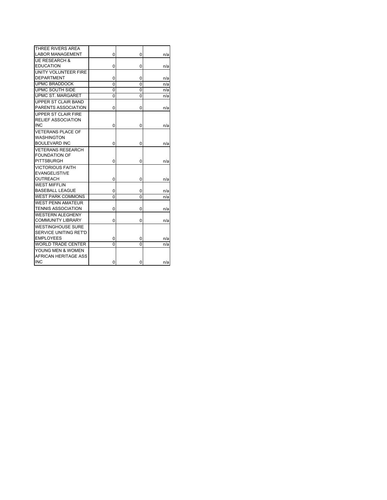| THREE RIVERS AREA         |   |   |      |
|---------------------------|---|---|------|
| <b>LABOR MANAGEMENT</b>   | 0 | 0 | n/a  |
| <b>UE RESEARCH &amp;</b>  |   |   |      |
| <b>EDUCATION</b>          | 0 | 0 | n/a  |
| UNITY VOLUNTEER FIRE      |   |   |      |
| <b>DEPARTMENT</b>         | 0 | 0 | n/a  |
| <b>UPMC BRADDOCK</b>      | 0 | 0 | n/a  |
| UPMC SOUTH SIDE           | 0 | 0 | n/a  |
| UPMC ST. MARGARET         | 0 | 0 | n/a  |
| UPPER ST CLAIR BAND       |   |   |      |
| PARENTS ASSOCIATION       | 0 | 0 | n/a  |
| UPPER ST CLAIR FIRE       |   |   |      |
| <b>RELIEF ASSOCIATION</b> |   |   |      |
| <b>INC</b>                | 0 | 0 | n/a  |
| <b>VETERANS PLACE OF</b>  |   |   |      |
| WASHINGTON                |   |   |      |
| <b>BOULEVARD INC</b>      | 0 | 0 | n/a  |
| VETERANS RESEARCH         |   |   |      |
| <b>FOUNDATION OF</b>      |   |   |      |
| <b>PITTSBURGH</b>         | 0 | 0 | n/a  |
| <b>VICTORIOUS FAITH</b>   |   |   |      |
| <b>EVANGELISTIVE</b>      |   |   |      |
| <b>OUTREACH</b>           | 0 | 0 | n/a  |
| WEST MIFFLIN              |   |   |      |
| <b>BASEBALL LEAGUE</b>    | 0 | 0 | n/a  |
| <b>WEST PARK COMMONS</b>  | 0 | 0 | n/a  |
| <b>WEST PENN AMATEUR</b>  |   |   |      |
| <b>TENNIS ASSOCIATION</b> | 0 | 0 | n/a  |
| <b>WESTERN ALEGHENY</b>   |   |   |      |
| <b>COMMUNITY LIBRARY</b>  | 0 | 0 | n/a  |
| <b>WESTINGHOUSE SURE</b>  |   |   |      |
| SERVICE UNITING RET'D     |   |   |      |
| <b>EMPLOYEES</b>          | 0 | 0 | n/a  |
| <b>WORLD TRADE CENTER</b> | 0 | 0 | n/a  |
| YOUNG MEN & WOMEN         |   |   |      |
| AFRICAN HERITAGE ASS      |   |   |      |
| INC                       | 0 | 0 | n/al |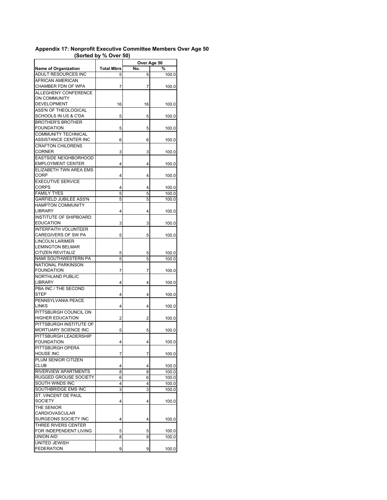| 1                             | $\sim$ $\sim$ $\sim$ $\sim$ |     | Over Age 50 |
|-------------------------------|-----------------------------|-----|-------------|
| <b>Name of Organization</b>   | <b>Total Mbrs</b>           | No. | %           |
| ADULT RESOURCES INC           |                             |     |             |
| AFRICAN AMERICAN              | 5                           | 5   | 100.0       |
|                               |                             |     |             |
| CHAMBER FDN OF WPA            | 7                           | 7   | 100.0       |
| <b>ALLEGHENY CONFERENCE</b>   |                             |     |             |
| ON COMMUNITY                  |                             |     |             |
| DEVELOPMENT                   | 16                          | 16  | 100.0       |
| ASS'N OF THEOLOGICAL          |                             |     |             |
| SCHOOLS IN US & C'DA          | 5                           | 5   | 100.0       |
| <b>BROTHER'S BROTHER</b>      |                             |     |             |
| FOUNDATION                    | 5                           | 5   | 100.0       |
| COMMUNITY TECHNICAL           |                             |     |             |
| ASSISTANCE CENTER INC         | 6                           | 6   | 100.0       |
| <b>CRAFTON CHILDRENS</b>      |                             |     |             |
| CORNER                        | 3                           | 3   | 100.0       |
| <b>EASTSIDE NEIGHBORHOOD</b>  |                             |     |             |
| <b>EMPLOYMENT CENTER</b>      | 4                           | 4   | 100.0       |
| ELIZABETH TWN AREA EMS        |                             |     |             |
| CORP                          | 4                           | 4   | 100.0       |
| <b>EXECUTIVE SERVICE</b>      |                             |     |             |
| CORPS                         | 4                           | 4   | 100.0       |
| <b>FAMILY TYES</b>            | 5                           | 5   | 100.0       |
| <b>GARFIELD JUBILEE ASS'N</b> | 5                           | 5   | 100.0       |
| <b>HAMPTON COMMUNITY</b>      |                             |     |             |
| LIBRARY                       | 4                           | 4   | 100.0       |
| <b>INSTITUTE OF SHIPBOARD</b> |                             |     |             |
| <b>EDUCATION</b>              | 3                           | 3   | 100.0       |
| <b>INTERFAITH VOLUNTEER</b>   |                             |     |             |
| CAREGIVERS OF SW PA           | 5                           | 5   | 100.0       |
| <b>LINCOLN LARIMER</b>        |                             |     |             |
| <b>LEMINGTON BELMAR</b>       |                             |     |             |
| CITIZEN REVITALIZ             | 5                           | 5   | 100.0       |
| NAMI SOUTHWESTERN PA          | 5                           | 5   |             |
| <b>NATIONAL PARKINSON</b>     |                             |     | 100.0       |
| FOUNDATION                    | 7                           | 7   |             |
| <b>NORTHLAND PUBLIC</b>       |                             |     | 100.0       |
| LIBRARY                       | 4                           | 4   |             |
| PBA INC / THE SECOND          |                             |     | 100.0       |
| STEP                          |                             |     |             |
|                               | 4                           | 4   | 100.0       |
| PENNSYLVANIA PEACE            |                             |     |             |
| LINKS                         | 4                           | 4   | 100.0       |
| PITTSBURGH COUNCIL ON         |                             |     |             |
| HIGHER EDUCATION              | 2                           | 2   | 100.0       |
| PITTSBURGH INSTITUTE OF       |                             |     |             |
| MORTUARY SCIENCE INC          | 5                           | 5   | 100.0       |
| PITTSBURGH LEADERSHIP         |                             |     |             |
| FOUNDATION                    | 4                           | 4   | 100.0       |
| PITTSBURGH OPERA              |                             |     |             |
| <b>HOUSE INC</b>              | 7                           | 7   | 100.0       |
| PLUM SENIOR CITIZEN           |                             |     |             |
| <b>CLUB</b>                   | 4                           | 4   | 100.0       |
| <b>RIVERVIEW APARTMENTS</b>   | 8                           | 8   | 100.0       |
| <b>RUGGED GROUSE SOCIETY</b>  | 6                           | 6   | 100.0       |
| SOUTH WINDS INC               | 4                           | 4   | 100.0       |
| SOUTHBRIDGE EMS INC           | 3                           | 3   | 100.0       |
| ST. VINCENT DE PAUL           |                             |     |             |
| SOCIETY                       | 4                           | 4   | 100.0       |
| THE SENIOR                    |                             |     |             |
| CARDIOVASCULAR                |                             |     |             |
| SURGEONS SOCIETY INC          | 4                           | 4   | 100.0       |
| THREE RIVERS CENTER           |                             |     |             |
| FOR INDEPENDENT LIVING        | 5                           | 5   | 100.0       |
| UNION AID                     | 8                           | 8   | 100.0       |
| UNITED JEWISH                 |                             |     |             |
| FEDERATION                    | 9                           | 9   | 100.0       |

## **Appendix 17: Nonprofit Executive Committee Members Over Age 50 (Sorted by % Over 50)**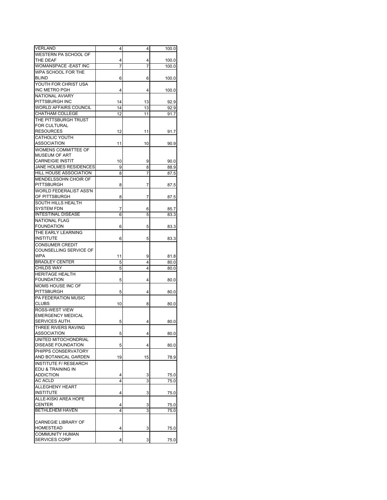| <b>VERLAND</b>                                  | 4      | 4      | 100.0 |
|-------------------------------------------------|--------|--------|-------|
| WESTERN PA SCHOOL OF                            |        |        |       |
| THE DEAF                                        | 4      | 4      | 100.0 |
| <b>WOMANSPACE - EAST INC</b>                    | 7      | 7      | 100.0 |
| WPA SCHOOL FOR THE                              |        |        |       |
| <b>BLIND</b>                                    | 6      | 6      | 100.0 |
| YOUTH FOR CHRIST USA                            |        |        |       |
| INC METRO PGH                                   | 4      | 4      | 100.0 |
| <b>NATIONAL AVIARY</b>                          |        |        |       |
| PITTSBURGH INC                                  | 14     | 13     | 92.9  |
| <b>WORLD AFFAIRS COUNCIL</b>                    | 14     | 13     | 92.9  |
| <b>CHATHAM COLLEGE</b>                          | 12     | 11     | 91.7  |
| THE PITTSBURGH TRUST                            |        |        |       |
| FOR CULTURAL                                    |        |        |       |
| <b>RESOURCES</b>                                | 12     | 11     | 91.7  |
| <b>CATHOLIC YOUTH</b>                           |        |        |       |
| ASSOCIATION                                     | 11     | 10     | 90.9  |
| WOMENS COMMITTEE OF                             |        |        |       |
| <b>MUSEUM OF ART</b><br><b>CARNEIGIE INSTIT</b> | 10     |        | 90.0  |
| JANE HOLMES RESIDENCES                          | 9      | 9<br>8 | 88.9  |
| HILL HOUSE ASSOCIATION                          | 8      | 7      | 87.5  |
| MENDELSSOHN CHOIR OF                            |        |        |       |
| PITTSBURGH                                      | 8      | 7      | 87.5  |
| WORLD FEDERALIST ASS'N                          |        |        |       |
| OF PITTSBURGH                                   | 8      | 7      | 87.5  |
| SOUTH HILLS HEALTH                              |        |        |       |
| <b>SYSTEM FDN</b>                               | 7      | 6      | 85.7  |
| <b>INTESTINAL DISEASE</b>                       | 6      | 5      | 83.3  |
| <b>NATIONAL FLAG</b>                            |        |        |       |
| <b>FOUNDATION</b>                               | 6      | 5      | 83.3  |
| THE EARLY LEARNING                              |        |        |       |
| <b>INSTITUTE</b>                                | 6      | 5      | 83.3  |
| <b>CONSUMER CREDIT</b>                          |        |        |       |
| COUNSELLING SERVICE OF                          |        |        |       |
| <b>WPA</b>                                      | 11     | 9      | 81.8  |
| <b>BRADLEY CENTER</b>                           | 5      | 4      | 80.0  |
| <b>CHILDS WAY</b>                               | 5      | 4      | 80.0  |
| <b>HERITAGE HEALTH</b>                          |        |        |       |
| <b>FOUNDATION</b>                               | 5      | 4      | 80.0  |
| MOMS HOUSE INC OF                               |        |        |       |
| PITTSBURGH                                      | 5      | 4      | 80.0  |
| <b>PA FEDERATION MUSIC</b>                      |        |        |       |
| <b>CLUBS</b>                                    | 10     | 8      | 80.0  |
| ROSS-WEST VIEW                                  |        |        |       |
| <b>EMERGENCY MEDICAL</b>                        |        |        |       |
| SERVICES AUTH.                                  | 5      | 4      | 80.0  |
| THREE RIVERS RAVING                             |        |        |       |
| ASSOCIATION                                     | 5      | 4      | 80.0  |
| UNITED MITOCHONDRIAL                            |        |        |       |
| <b>DISEASE FOUNDATION</b>                       | 5      | 4      | 80.0  |
| PHIPPS CONSERVATORY                             |        |        |       |
| AND BOTANICAL GARDEN                            | 19     | 15     | 78.9  |
| INSTITUTE F/ RESEARCH                           |        |        |       |
| EDU & TRAINING IN                               |        |        |       |
| <b>ADDICTION</b>                                | 4<br>4 | 3<br>3 | 75.0  |
| AC ACLD<br>ALLEGHENY HEART                      |        |        | 75.0  |
| <b>INSTITUTE</b>                                | 4      | 3      | 75.0  |
| ALLE-KISKI AREA HOPE                            |        |        |       |
| <b>CENTER</b>                                   | 4      | 3      | 75.0  |
| BETHLEHEM HAVEN                                 | 4      | 3      | 75.0  |
|                                                 |        |        |       |
| <b>CARNEGIE LIBRARY OF</b>                      |        |        |       |
| HOMESTEAD                                       | 4      | 3      | 75.0  |
| <b>COMMUNITY HUMAN</b>                          |        |        |       |
| SERVICES CORP                                   | 4      | 3      | 75.0  |
|                                                 |        |        |       |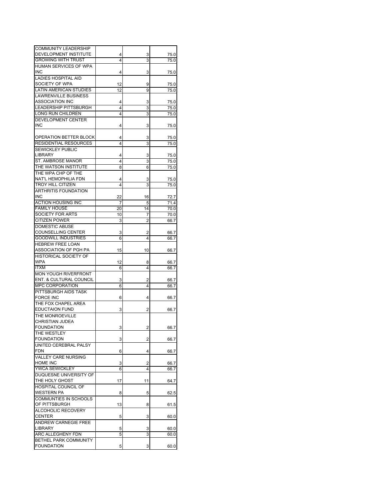| <b>COMMUNITY LEADERSHIP</b>  |    |    |      |
|------------------------------|----|----|------|
|                              |    |    |      |
| DEVELOPMENT INSTITUTE        | 4  | 3  | 75.0 |
| GROWING WITH TRUST           | 4  | 3  | 75.0 |
| <b>HUMAN SERVICES OF WPA</b> |    |    |      |
| <b>INC</b>                   | 4  | 3  | 75.0 |
|                              |    |    |      |
| <b>LADIES HOSPITAL AID</b>   |    |    |      |
| SOCIETY OF WPA               | 12 | 9  | 75.0 |
| LATIN AMERICAN STUDIES       | 12 | 9  | 75.0 |
| LAWRENVILLE BUSINESS         |    |    |      |
| ASSOCIATION INC              |    |    |      |
|                              | 4  | 3  | 75.0 |
| LEADERSHIP PITTSBURGH        | 4  | 3  | 75.0 |
| LONG RUN CHILDREN            | 4  | 3  | 75.0 |
| <b>DEVELOPMENT CENTER</b>    |    |    |      |
| INC                          |    |    |      |
|                              | 4  | 3  | 75.0 |
|                              |    |    |      |
| OPERATION BETTER BLOCK       | 4  | 3  | 75.0 |
| RESIDENTIAL RESOURCES        | 4  | 3  | 75.0 |
| SEWICKLEY PUBLIC             |    |    |      |
|                              |    |    |      |
| LIBRARY                      | 4  | 3  | 75.0 |
| ST. AMBROSE MANOR            | 4  | 3  | 75.0 |
| THE WATSON INSTITUTE         | 8  | 6  | 75.0 |
| THE WPA CHP OF THE           |    |    |      |
|                              |    |    |      |
| NAT'L HEMOPHILIA FDN         | 4  | 3  | 75.0 |
| TROY HILL CITIZEN            | 4  | 3  | 75.0 |
| ARTHRITIS FOUNDATION         |    |    |      |
| INC                          | 22 | 16 | 72.7 |
|                              |    |    |      |
| ACTION HOUSING INC           | 7  | 5  | 71.4 |
| <b>FAMILY HOUSE</b>          | 20 | 14 | 70.0 |
| SOCIETY FOR ARTS             | 10 | 7  | 70.0 |
| CITIZEN POWER                | 3  | 2  | 66.7 |
|                              |    |    |      |
| <b>DOMESTIC ABUSE</b>        |    |    |      |
| COUNSELLING CENTER           | 3  | 2  | 66.7 |
| GOODWILL INDUSTRIES          | 6  | 4  | 66.7 |
| <b>HEBREW FREE LOAN</b>      |    |    |      |
| ASSOCIATION OF PGH PA        |    |    |      |
|                              | 15 | 10 | 66.7 |
| HISTORICAL SOCIETY OF        |    |    |      |
| WPA                          | 12 | 8  | 66.7 |
| ITXM                         | 6  | 4  | 66.7 |
| <b>MON YOUGH RIVERFRONT</b>  |    |    |      |
|                              |    |    |      |
| ENT. & CULTURAL COUNCIL      | 3  | 2  | 66.7 |
| <b>MPC CORPORATION</b>       | 6  | 4  | 66.7 |
| PITTSBURGH AIDS TASK         |    |    |      |
| <b>FORCE INC</b>             | 6  | 4  | 66.7 |
|                              |    |    |      |
| THE FOX CHAPEL AREA          |    |    |      |
| <b>EDUCTAION FUND</b>        | 3  | 2  | 66.7 |
| THE MONROEVILLE              |    |    |      |
| CHRISTIAN JUDEA              |    |    |      |
| FOUNDATION                   |    |    |      |
|                              | 3  | 2  | 66.7 |
| THE WESTLEY                  |    |    |      |
| <b>FOUNDATION</b>            | 3  | 2  | 66.7 |
| UNITED CEREBRAL PALSY        |    |    |      |
| <b>FDN</b>                   | 6  | 4  |      |
|                              |    |    | 66.7 |
| VALLEY CARE NURSING          |    |    |      |
| HOME INC                     | 3  | 2  | 66.7 |
| <b>YWCA SEWICKLEY</b>        | 6  | 4  | 66.7 |
| DUQUESNE UNIVERSITY OF       |    |    |      |
|                              |    |    |      |
| THE HOLY GHOST               | 17 | 11 | 64.7 |
| HOSPITAL COUNCIL OF          |    |    |      |
| WESTERN PA                   | 8  | 5  | 62.5 |
| COMMUNTIES IN SCHOOLS        |    |    |      |
|                              |    |    |      |
| OF PITTSBURGH                | 13 | 8  | 61.5 |
| ALCOHOLIC RECOVERY           |    |    |      |
| <b>CENTER</b>                | 5  | 3  | 60.0 |
| ANDREW CARNEGIE FREE         |    |    |      |
|                              |    |    |      |
| LIBRARY                      | 5  | 3  | 60.0 |
| ARC ALLEGHENY FDN            | 5  | 3  | 60.0 |
| BETHEL PARK COMMUNITY        |    |    |      |
| <b>FOUNDATION</b>            | 5  | 3  | 60.0 |
|                              |    |    |      |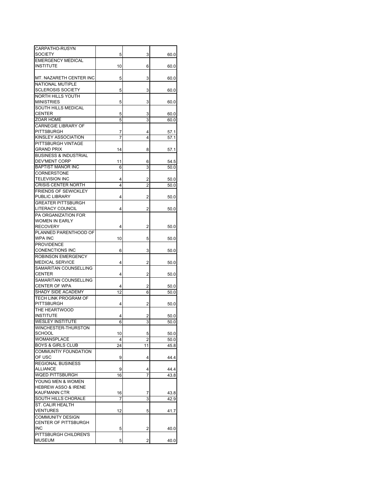| CARPATHO-RUSYN                                    |         |                      |              |
|---------------------------------------------------|---------|----------------------|--------------|
| <b>SOCIETY</b><br><b>EMERGENCY MEDICAL</b>        | 5       | 3                    | 60.0         |
| <b>INSTITUTE</b>                                  | 10      | 6                    | 60.0         |
|                                                   |         |                      |              |
| MT. NAZARETH CENTER INC                           | 5       | 3                    | 60.0         |
| NATIONAL MUTIPLE                                  |         |                      |              |
| <b>SCLEROSIS SOCIETY</b>                          | 5       | 3                    | 60.0         |
| NORTH HILLS YOUTH<br><b>MINISTRIES</b>            |         |                      |              |
| SOUTH HILLS MEDICAL                               | 5       | 3                    | 60.0         |
| <b>CENTER</b>                                     | 5       | 3                    | 60.0         |
| ZOAR HOME                                         | 5       | 3                    | 60.0         |
| <b>CARNEGIE LIBRARY OF</b>                        |         |                      |              |
| PITTSBURGH                                        | 7       | 4                    | 57.1         |
| KINSLEY ASSOCIATION                               | 7       | 4                    | 57.1         |
| PITTSBURGH VINTAGE<br><b>GRAND PRIX</b>           |         |                      |              |
| <b>BUSINESS &amp; INDUSTRIAL</b>                  | 14      | 8                    | 57.1         |
| DEV'MENT CORP                                     | 11      | 6                    | 54.5         |
| <b>BAPTIST MANOR INC</b>                          | 6       | 3                    | 50.0         |
| CORNERSTONE                                       |         |                      |              |
| <b>TELEVISION INC</b>                             | 4       | 2                    | 50.0         |
| <b>CRISIS CENTER NORTH</b>                        | 4       | 2                    | 50.0         |
| <b>FRIENDS OF SEWICKLEY</b><br>PUBLIC LIBRARY     |         |                      |              |
| <b>GREATER PITTSBURGH</b>                         | 4       | 2                    | 50.0         |
| LITERACY COUNCIL                                  | 4       | 2                    | 50.0         |
| PA ORGANIZATION FOR                               |         |                      |              |
| <b>WOMEN IN EARLY</b>                             |         |                      |              |
| <b>RECOVERY</b>                                   | 4       | 2                    | 50.0         |
| PLANNED PARENTHOOD OF                             |         |                      |              |
| WPA INC                                           | 10      | 5                    | 50.0         |
| <b>PROVIDENCE</b><br><b>CONENCTIONS INC</b>       | 6       | 3                    |              |
| <b>ROBINSON EMERGENCY</b>                         |         |                      | 50.0         |
| <b>MEDICAL SERVICE</b>                            | 4       | 2                    | 50.0         |
| SAMARITAN COUNSELLING                             |         |                      |              |
| <b>CENTER</b>                                     | 4       | 2                    | 50.0         |
| SAMARITAN COUNSELLING                             |         |                      |              |
| CENTER OF WPA                                     | 4       | 2                    | 50.0         |
| SHADY SIDE ACADEMY<br><b>TECH LINK PROGRAM OF</b> | 12      | 6                    | 50.0         |
| PITTSBURGH                                        | 4       | 2                    | 50.0         |
| THE HEARTWOOD                                     |         |                      |              |
| <b>INSTITUTE</b>                                  | 4       | 2                    | 50.0         |
| <b>WESLEY INSTITUTE</b>                           | 6       | 3                    | 50.0         |
| WINCHESTER-THURSTON                               |         |                      |              |
| <b>SCHOOL</b>                                     | 10      | 5                    | 50.0         |
| WOMANSPLACE<br><b>BOYS &amp; GIRLS CLUB</b>       | 4<br>24 | $\overline{2}$<br>11 | 50.0         |
| <b>COMMUNTIY FOUNDATION</b>                       |         |                      | 45.8         |
| OF USC                                            | 9       | 4                    | 44.4         |
| <b>REGIONAL BUSINESS</b>                          |         |                      |              |
| ALLIANCE                                          | 9       | 4                    | 44.4         |
| WQED PITTSBURGH                                   | 16      | 7                    | 43.8         |
| YOUNG MEN & WOMEN                                 |         |                      |              |
| <b>HEBREW ASSO &amp; IRENE</b>                    |         |                      |              |
| <b>KAUFMANN CTR</b><br>SOUTH HILLS CHORALE        | 16<br>7 | 7<br>3               | 43.8<br>42.9 |
| ST. CALIR HEALTH                                  |         |                      |              |
| VENTURES                                          | 12      | 5                    | 41.7         |
| <b>COMMUNITY DESIGN</b>                           |         |                      |              |
| CENTER OF PITTSBURGH                              |         |                      |              |
| INC.                                              | 5       | 2                    | 40.0         |
| PITTSBURGH CHILDREN'S                             |         |                      |              |
| <b>MUSEUM</b>                                     | 5       | 2                    | 40.0         |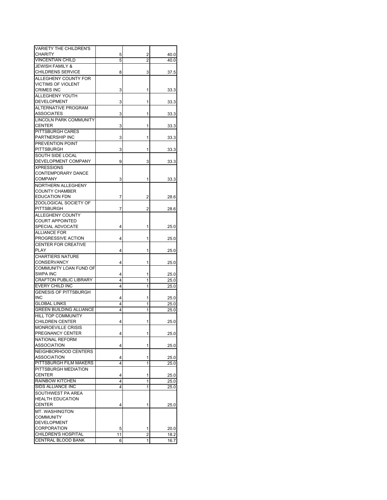| <b>VARIETY THE CHILDREN'S</b>  |    |   |      |
|--------------------------------|----|---|------|
| <b>CHARITY</b>                 | 5  | 2 | 40.0 |
| <b>VINCENTIAN CHILD</b>        | 5  | 2 | 40.0 |
| <b>JEWISH FAMILY &amp;</b>     |    |   |      |
| <b>CHILDRENS SERVICE</b>       |    |   |      |
|                                | 8  | 3 | 37.5 |
| ALLEGHENY COUNTY FOR           |    |   |      |
| VICTIMS OF VIOLENT             |    |   |      |
| <b>CRIMES INC</b>              | 3  | 1 | 33.3 |
| ALLEGHENY YOUTH                |    |   |      |
| <b>DEVELOPMENT</b>             | 3  | 1 | 33.3 |
| <b>ALTERNATIVE PROGRAM</b>     |    |   |      |
| ASSOCIATES                     | 3  | 1 | 33.3 |
| <b>LINCOLN PARK COMMUNITY</b>  |    |   |      |
| <b>CENTER</b>                  | 3  | 1 | 33.3 |
| PITTSBURGH CARES               |    |   |      |
| PARTNERSHIP INC                | 3  | 1 | 33.3 |
| PREVENTION POINT               |    |   |      |
| PITTSBURGH                     | 3  | 1 |      |
|                                |    |   | 33.3 |
| SOUTH SIDE LOCAL               |    |   |      |
| DEVELOPMENT COMPANY            | 9  | 3 | 33.3 |
| <b>XPRESSIONS</b>              |    |   |      |
| CONTEMPORARY DANCE             |    |   |      |
| COMPANY                        | 3  | 1 | 33.3 |
| NORTHERN ALLEGHENY             |    |   |      |
| COUNTY CHAMBER                 |    |   |      |
| <b>EDUCATION FDN</b>           | 7  | 2 | 28.6 |
| ZOOLOGICAL SOCIETY OF          |    |   |      |
| PITTSBURGH                     | 7  | 2 | 28.6 |
| ALLEGHENY COUNTY               |    |   |      |
| <b>COURT APPOINTED</b>         |    |   |      |
| SPECIAL ADVOCATE               |    |   |      |
|                                | 4  | 1 | 25.0 |
| <b>ALLIANCE FOR</b>            |    |   |      |
| PROGRESSIVE ACTION             | 4  | 1 | 25.0 |
| CENTER FOR CREATIVE            |    |   |      |
| <b>PLAY</b>                    | 4  | 1 | 25.0 |
| CHARTIERS NATURE               |    |   |      |
| CONSERVANCY                    | 4  | 1 | 25.0 |
| COMMUNITY LOAN FUND OF         |    |   |      |
| SWPA INC                       | 4  | 1 | 25.0 |
| <b>CRAFTON PUBLIC LIBRARY</b>  | 4  | 1 | 25.0 |
| EVERY CHILD INC                | 4  | 1 | 25.0 |
| <b>GENESIS OF PITTSBURGH</b>   |    |   |      |
| INC.                           | 4  | 1 | 25.0 |
| <b>GLOBAL LINKS</b>            |    |   |      |
|                                | 4  | 1 | 25.0 |
| <b>GREEN BUILDING ALLIANCE</b> | 4  | 1 | 25.0 |
| <b>HILL TOP COMMUNITY</b>      |    |   |      |
| <b>CHILDREN CENTER</b>         | 4  | 1 | 25.0 |
| MONROEVILLE CRISIS             |    |   |      |
| PREGNANCY CENTER               | 4  | 1 | 25.0 |
| NATIONAL REFORM                |    |   |      |
| ASSOCIATION                    | 4  | 1 | 25.0 |
| NEIGHBORHOOD CENTERS           |    |   |      |
| <b>ASSOCIATION</b>             | 4  | 1 | 25.0 |
| PITTSBURGH FILM MAKERS         | 4  | 1 | 25.0 |
| PITTSBURGH MEDIATION           |    |   |      |
| <b>CENTER</b>                  |    |   |      |
|                                | 4  | 1 | 25.0 |
| <b>RAINBOW KITCHEN</b>         | 4  | 1 | 25.0 |
| SIDS ALLIANCE INC              | 4  | 1 | 25.0 |
| SOUTHWEST PA AREA              |    |   |      |
| <b>HEALTH EDUCATION</b>        |    |   |      |
| CENTER                         | 4  | 1 | 25.0 |
| MT. WASHINGTON                 |    |   |      |
| <b>COMMUNITY</b>               |    |   |      |
| <b>DEVELOPMENT</b>             |    |   |      |
| <b>CORPORATION</b>             | 5  | 1 | 20.0 |
| CHILDREN'S HOSPITAL            | 11 | 2 | 18.2 |
| CENTRAL BLOOD BANK             | 6  | 1 | 16.7 |
|                                |    |   |      |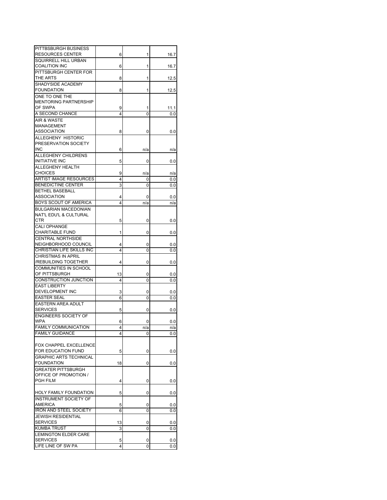| PITTBSBURGH BUSINESS                             |         |          |            |
|--------------------------------------------------|---------|----------|------------|
| <b>RESOURCES CENTER</b>                          | 6       | 1        | 16.7       |
| SQUIRRELL HILL URBAN<br><b>COALITION INC</b>     | 6       | 1        | 16.7       |
| PITTSBURGH CENTER FOR                            |         |          |            |
| THE ARTS                                         | 8       | 1        | 12.5       |
| SHADYSIDE ACADEMY                                |         |          |            |
| <b>FOUNDATION</b>                                | 8       | 1        | 12.5       |
| ONE TO ONE THE                                   |         |          |            |
| <b>MENTORING PARTNERSHIP</b>                     |         |          |            |
| OF SWPA                                          | 9       |          | 11.1       |
| A SECOND CHANCE                                  | 4       | 0        | 0.0        |
| AIR & WASTE                                      |         |          |            |
| MANAGEMENT                                       |         |          |            |
| <b>ASSOCIATION</b>                               | 8       | 0        | 0.0        |
| ALLEGHENY HISTORIC                               |         |          |            |
| PRESERVATION SOCIETY<br><b>INC</b>               |         |          |            |
| ALLEGHENY CHILDRENS                              | 6       | n/a      | n/a        |
| <b>INITIATIVE INC</b>                            | 5       | 0        | 0.0        |
| <b>ALLEGHENY HEALTH</b>                          |         |          |            |
| <b>CHOICES</b>                                   | 9       | n/a      | n/a        |
| <b>ARTIST IMAGE RESOURCES</b>                    | 4       | 0        | 0.0        |
| <b>BENEDICTINE CENTER</b>                        | 3       | 0        | 0.0        |
| <b>BETHEL BASEBALL</b>                           |         |          |            |
| <b>ASSOCIATION</b>                               | 4       | 0        | 0.0        |
| <b>BOYS SCOUT OF AMERICA</b>                     | 4       | n/a      | n/a        |
| <b>BULGARIAN MACEDONIAN</b>                      |         |          |            |
| NAT'L EDU'L & CULTURAL                           |         |          |            |
| CTR                                              | 5       | 0        | 0.0        |
| CALI OPHANGE                                     |         |          |            |
| CHARITABLE FUND                                  | 1       | 0        | 0.0        |
| <b>CENTRAL NORTHSIDE</b><br>NEIGHBORHOOD COUNCIL | 4       | 0        |            |
| CHRISTIAN LIFE SKILLS INC                        | 4       | 0        | 0.0<br>0.0 |
| <b>CHRISTMAS IN APRIL</b>                        |         |          |            |
| /REBUILDING TOGETHER                             | 4       | 0        | 0.0        |
| COMMUNITIES IN SCHOOL                            |         |          |            |
| OF PITTSBURGH                                    | 13      | 0        | 0.0        |
| CONSTRUCTION JUNCTION                            | 4       | 0        | 0.0        |
| <b>EAST LIBERTY</b>                              |         |          |            |
| DEVELOPMENT INC                                  | 3       | 0        | 0.0        |
| <b>EASTER SEAL</b>                               | 6       | 0        | 0.0        |
| <b>EASTERN AREA ADULT</b>                        |         |          |            |
| <b>SERVICES</b>                                  | 5       | 0        | 0.0        |
| <b>ENGINEERS SOCIETY OF</b><br><b>WPA</b>        |         |          |            |
| <b>FAMILY COMMUNICATION</b>                      | 6       | 0<br>n/a | 0.0<br>n/a |
| <b>FAMILY GUIDANCE</b>                           | 4       | 0        | 0.0        |
|                                                  |         |          |            |
| <b>FOX CHAPPEL EXCELLENCE</b>                    |         |          |            |
| FOR EDUCATION FUND                               | 5       | 0        | 0.0        |
| <b>GRAPHIC ARTS TECHNICAL</b>                    |         |          |            |
| <b>FOUNDATION</b>                                | 18      | 0        | 0.0        |
| <b>GREATER PITTSBURGH</b>                        |         |          |            |
| OFFICE OF PROMOTION /                            |         |          |            |
| <b>PGH FILM</b>                                  | 4       | 0        | 0.0        |
|                                                  |         |          |            |
| HOLY FAMILY FOUNDATION                           | 5       | 0        | 0.0        |
| <b>INSTRUMENT SOCIETY OF</b>                     |         |          |            |
| <b>AMERICA</b>                                   | 5       | 0        | 0.0        |
| <b>IRON AND STEEL SOCIETY</b>                    | 6       | 0        | 0.0        |
| <b>JEWISH RESIDENTIAL</b><br><b>SERVICES</b>     |         |          |            |
| <b>KUMBA TRUST</b>                               | 13<br>3 | 0<br>0   | 0.0<br>0.0 |
| <b>LEMINGTON ELDER CARE</b>                      |         |          |            |
| <b>SERVICES</b>                                  | 5       | 0        | 0.0        |
| LIFE LINE OF SW PA                               | 4       | 0        | 0.0        |
|                                                  |         |          |            |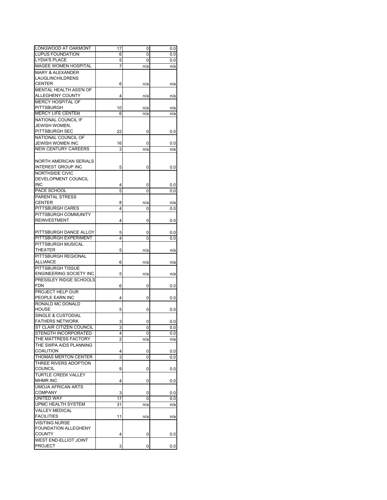| LONGWOOD AT OAKMONT                   | 17 | 0   | 0.0      |
|---------------------------------------|----|-----|----------|
| <b>LUPUS FOUNDATION</b>               | 6  | 0   | 0.0      |
| <b>LYDIA'S PLACE</b>                  | 5  | 0   | 0.0      |
| <b>MAGEE WOMEN HOSPITAL</b>           | 7  | n/a | n/a      |
| <b>MARY &amp; ALEXANDER</b>           |    |     |          |
| LAUGLINCHILDRENS                      |    |     |          |
| <b>CENTER</b>                         | 6  | n/a | n/a      |
| MENTAL HEALTH ASS'N OF                |    |     |          |
| ALLEGHENY COUNTY                      | 4  | n/a | n/a      |
| <b>MERCY HOSPITAL OF</b>              |    |     |          |
| <b>PITTSBURGH</b>                     | 10 | n/a | n/a      |
| <b>MERCY LIFE CENTER</b>              | 6  | n/a | n/a      |
| NATIONAL COUNCIL IF                   |    |     |          |
| JEWISH WOMEN,                         |    |     |          |
| PITTSBURGH SEC                        | 22 | 0   |          |
|                                       |    |     | 0.0      |
| NATIONAL COUNCIL OF                   |    |     |          |
| <b>JEWISH WOMEN INC</b>               | 16 | 0   | 0.0      |
| <b>NEW CENTURY CAREERS</b>            | 3  | n/a | n/a      |
| NORTH AMERICAN SERIALS                |    |     |          |
| <b>INTEREST GROUP INC</b>             | 5  | 0   | 0.0      |
| NORTHSIDE CIVIC                       |    |     |          |
| DEVELOPMENT COUNCIL                   |    |     |          |
| <b>INC</b>                            | 4  | 0   | 0.0      |
| PACE SCHOOL                           | 5  | 0   | 0.0      |
| PARENTAL STRESS                       |    |     |          |
| <b>CENTER</b>                         | 8  | n/a | n/a      |
| <b>PITTSBURGH CARES</b>               | 4  | 0   | 0.0      |
| PITTSBURGH COMMUNITY                  |    |     |          |
| <b>REINVESTMENT</b>                   | 4  | 0   | 0.0      |
|                                       |    |     |          |
| PITTSBURGH DANCE ALLOY                | 5  | 0   | 0.0      |
| PITTSBURGH EXPERIMENT                 | 4  | 0   | 0.0      |
| PITTSBURGH MUSICAL                    |    |     |          |
| <b>THEATER</b>                        | 5  | n/a | n/a      |
| PITTSBURGH REGIONAL                   |    |     |          |
| <b>ALLIANCE</b>                       | 6  | n/a | n/a      |
| <b>PITTSBURGH TISSUE</b>              |    |     |          |
| <b>ENGINEERING SOCIETY INC</b>        |    |     |          |
| PRESSLEY RIDGE SCHOOLS                | 5  | n/a | n/a      |
| FDN                                   |    |     |          |
|                                       | 6  | 0   | $_{0.0}$ |
| PROJECT HELP OUR                      |    |     |          |
| PEOPLE EARN INC                       | 4  | 0   | $_{0.0}$ |
| RONALD MC DONALD                      |    |     |          |
| <b>HOUSE</b>                          | 5  | 0   | 0.0      |
| SINGLE & CUSTODIAL                    |    |     |          |
| <b>FATHERS NETWORK</b>                | 3  | 0   | 0.0      |
| ST CLAIR CITIZEN COUNCIL              | 3  |     | 0.0      |
| STENGTH INCORPORATED                  | 4  | 0   | 0.0      |
| THE MATTRESS FACTORY                  | 2  | n/a | n/a      |
| THE SWPA AIDS PLANNING                |    |     |          |
| <b>COALITION</b>                      | 4  | 0   | 0.0      |
| THOMAS MERTON CENTER                  | 3  | 0   | 0.0      |
| THREE RIVERS ADOPTION                 |    |     |          |
| <b>COUNCIL</b>                        | 9  | 0   | 0.0      |
| <b>TURTLE CREEK VALLEY</b>            |    |     |          |
| MHMR INC                              | 4  | 0   | 0.0      |
| <b>UMOJA AFRICAN ARTS</b>             |    |     |          |
| <b>COMPANY</b>                        | 3  | 0   | 0.0      |
| UNITED WAY                            | 17 | 0   | 0.0      |
| UPMC HEALTH SYSTEM                    | 31 | n/a | n/a      |
| <b>VALLEY MEDICAL</b>                 |    |     |          |
| <b>FACILITIES</b>                     | 11 | n/a | n/a      |
| <b>VISITING NURSE</b>                 |    |     |          |
|                                       |    |     |          |
| FOUNDATION ALLEGHENY<br><b>COUNTY</b> |    |     |          |
|                                       | 4  | 0   | $_{0.0}$ |
| WEST END-ELLIOT JOINT                 |    |     |          |
| <b>PROJECT</b>                        | 3  | 0   | 0.0      |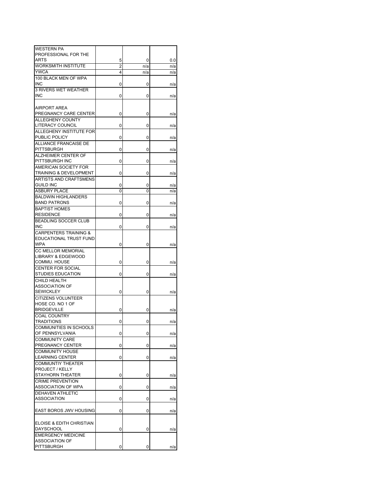| <b>WESTERN PA</b>                 |                |     |     |
|-----------------------------------|----------------|-----|-----|
| PROFESSIONAL FOR THE              |                |     |     |
| ARTS                              | 5              | 0   | 0.0 |
| <b>WORKSMITH INSTITUTE</b>        |                |     |     |
|                                   | $\overline{2}$ | n/a | n/a |
| <b>YWCA</b>                       | 4              | n/a | n/a |
| 100 BLACK MEN OF WPA              |                |     |     |
| <b>INC</b>                        | 0              | 0   | n/a |
| <b>3 RIVERS WET WEATHER</b>       |                |     |     |
|                                   |                |     |     |
| <b>INC</b>                        | 0              | 0   | n/a |
|                                   |                |     |     |
| <b>AIRPORT AREA</b>               |                |     |     |
| PREGNANCY CARE CENTER             | 0              | 0   | n/a |
| <b>ALLEGHENY COUNTY</b>           |                |     |     |
| LITERACY COUNCIL                  |                |     |     |
|                                   | 0              | 0   | n/a |
| ALLEGHENY INSTITUTE FOR           |                |     |     |
| PUBLIC POLICY                     | 0              | 0   | n/a |
| ALLIANCE FRANCAISE DE             |                |     |     |
| PITTSBURGH                        | 0              | 0   | n/a |
| ALZHEIMER CENTER OF               |                |     |     |
|                                   |                |     |     |
| PITTSBURGH INC                    | 0              | 0   | n/a |
| AMERICAN SOCIETY FOR              |                |     |     |
| <b>TRAINING &amp; DEVELOPMENT</b> | 0              | 0   | n/a |
| ARTISTS AND CRAFTSMENS            |                |     |     |
| <b>GUILD INC</b>                  |                |     |     |
|                                   | 0              | 0   | n/a |
| <b>ASBURY PLACE</b>               | 0              | 0   | n/a |
| <b>BALDWIN HIGHLANDERS</b>        |                |     |     |
| <b>BAND PATRONS</b>               | 0              | 0   | n/a |
| <b>BAPTIST HOMES</b>              |                |     |     |
| <b>RESIDENCE</b>                  | 0              | 0   | n/a |
|                                   |                |     |     |
| <b>BEADLING SOCCER CLUB</b>       |                |     |     |
| <b>INC</b>                        | 0              | 0   | n/a |
| CARPENTERS TRAINING &             |                |     |     |
| EDUCATIONAL TRUST FUND            |                |     |     |
| WPA                               | 0              | 0   | n/a |
|                                   |                |     |     |
| <b>CC MELLOR MEMORIAL</b>         |                |     |     |
| LIBRARY & EDGEWOOD                |                |     |     |
| COMMU. HOUSE                      | 0              | 0   | n/a |
| <b>CENTER FOR SOCIAL</b>          |                |     |     |
| <b>STUDIES EDUCATION</b>          | 0              | 0   | n/a |
| CHILD HEALTH                      |                |     |     |
|                                   |                |     |     |
| ASSOCIATION OF                    |                |     |     |
| <b>SEWICKLEY</b>                  | 0              | 0   | n/a |
| <b>CITIZENS VOLUNTEER</b>         |                |     |     |
| HOSE CO. NO 1 OF                  |                |     |     |
| <b>BRIDGEVILLE</b>                | 0              | 0   |     |
|                                   |                |     | n/a |
| <b>COAL COUNTRY</b>               |                |     |     |
| <b>TRADITIONS</b>                 | 0              | 0   | n/a |
| <b>COMMUNITIES IN SCHOOLS</b>     |                |     |     |
| OF PENNSYLVANIA                   | 0              | 0   | n/a |
| <b>COMMUNITY CARE</b>             |                |     |     |
|                                   |                |     |     |
| PREGNANCY CENTER                  | 0              | 0   | n/a |
| <b>COMMUNITY HOUSE</b>            |                |     |     |
| <b>LEARNING CENTER</b>            | 0              | 0   | n/a |
| <b>COMMUNTIY THEATER</b>          |                |     |     |
| PROJECT / KELLY                   |                |     |     |
| STAYHORN THEATER                  |                |     |     |
|                                   | 0              | 0   | n/a |
| <b>CRIME PREVENTION</b>           |                |     |     |
| ASSOCIATION OF WPA                | 0              | 0   | n/a |
| <b>DEHAVEN ATHLETIC</b>           |                |     |     |
| <b>ASSOCIATION</b>                | 0              | 0   | n/a |
|                                   |                |     |     |
|                                   |                |     |     |
| EAST BOROS JWV HOUSING            | 0              | 0   | n/a |
|                                   |                |     |     |
| ELOISE & EDITH CHRISTIAN          |                |     |     |
| <b>DAYSCHOOL</b>                  | 0              | 0   | n/a |
|                                   |                |     |     |
| <b>EMERGENCY MEDICINE</b>         |                |     |     |
| ASSOCIATION OF                    |                |     |     |
| <b>PITTSBURGH</b>                 | 0              | 0   | n/a |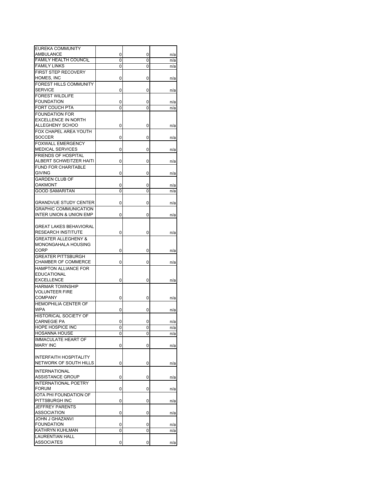| EUREKA COMMUNITY               |   |   |     |
|--------------------------------|---|---|-----|
| <b>AMBULANCE</b>               | 0 | 0 | n/a |
| <b>FAMILY HEALTH COUNCIL</b>   | 0 | 0 | n/a |
| <b>FAMILY LINKS</b>            | 0 | 0 | n/a |
| FIRST STEP RECOVERY            |   |   |     |
| HOMES, INC                     | 0 | 0 | n/a |
| FOREST HILLS COMMUNITY         |   |   |     |
| <b>SERVICE</b>                 | 0 | 0 | n/a |
| <b>FOREST WILDLIFE</b>         |   |   |     |
| <b>FOUNDATION</b>              | 0 | 0 | n/a |
| FORT COUCH PTA                 | 0 | 0 | n/a |
| <b>FOUNDATION FOR</b>          |   |   |     |
| <b>EXCELLENCE IN NORTH</b>     |   |   |     |
| ALLEGHENY SCHOO                | 0 | 0 | n/a |
| FOX CHAPEL AREA YOUTH          |   |   |     |
| <b>SOCCER</b>                  | 0 | 0 | n/a |
| <b>FOXWALL EMERGENCY</b>       |   |   |     |
| <b>MEDICAL SERVICES</b>        | 0 | 0 | n/a |
| <b>FRIENDS OF HOSPITAL</b>     |   |   |     |
| ALBERT SCHWEITZER HAITI        | 0 | 0 | n/a |
| <b>FUND FOR CHARITABLE</b>     |   |   |     |
| <b>GIVING</b>                  | 0 | 0 | n/a |
| <b>GARDEN CLUB OF</b>          |   |   |     |
| OAKMONT                        | 0 | 0 | n/a |
| <b>GOOD SAMARITAN</b>          | 0 | 0 | n/a |
|                                |   |   |     |
| <b>GRANDVUE STUDY CENTER</b>   | 0 | 0 | n/a |
| <b>GRAPHIC COMMUNICATION</b>   |   |   |     |
| INTER UNION & UNION EMP        | 0 | 0 | n/a |
|                                |   |   |     |
| <b>GREAT LAKES BEHAVIORAL</b>  |   |   |     |
| <b>RESEARCH INSTITUTE</b>      | 0 | 0 | n/a |
| <b>GREATER ALLEGHENY &amp;</b> |   |   |     |
| MONONGAHALA HOUSING            |   |   |     |
| CORP                           | 0 | 0 | n/a |
| <b>GREATER PITTSBURGH</b>      |   |   |     |
| CHAMBER OF COMMERCE            | 0 | 0 | n/a |
| HAMPTON ALLIANCE FOR           |   |   |     |
| EDUCATIONAL                    |   |   |     |
| <b>EXCELLENCE</b>              | 0 | 0 | n/a |
| <b>HARMAR TOWNSHIP</b>         |   |   |     |
| <b>VOLUNTEER FIRE</b>          |   |   |     |
| <b>COMPANY</b>                 | 0 | 0 | n/a |
| <b>HEMOPHILIA CENTER OF</b>    |   |   |     |
| <b>WPA</b>                     | 0 | 0 | n/a |
| HISTORICAL SOCIETY OF          |   |   |     |
| <b>CARNEGIE PA</b>             | 0 | 0 |     |
| <b>HOPE HOSPICE INC</b>        |   |   | n/a |
| <b>HOSANNA HOUSE</b>           | 0 | 0 | n/a |
| <b>IMMACULATE HEART OF</b>     |   |   | n/a |
| <b>MARY INC</b>                | 0 | 0 |     |
|                                |   |   | n/a |
| <b>INTERFAITH HOSPITALITY</b>  |   |   |     |
| NETWORK OF SOUTH HILLS         |   |   |     |
|                                | 0 | 0 | n/a |
| <b>INTERNATIONAL</b>           |   |   |     |
| ASSISTANCE GROUP               | 0 | 0 | n/a |
| <b>INTERNATIONAL POETRY</b>    |   |   |     |
| <b>FORUM</b>                   | 0 | 0 | n/a |
| IOTA PHI FOUNDATION OF         |   |   |     |
| PITTSBURGH INC                 | 0 | 0 | n/a |
| <b>JEFFREY PARENTS</b>         |   |   |     |
| ASSOCIATION                    | 0 | 0 | n/a |
| JOHN J GHAZANVI                |   |   |     |
| <b>FOUNDATION</b>              | 0 | 0 | n/a |
| <b>KATHRYN KUHLMAN</b>         | 0 | 0 | n/a |
| <b>LAURENTIAN HALL</b>         |   |   |     |
| <b>ASSOCIATES</b>              | 0 | 0 | n/a |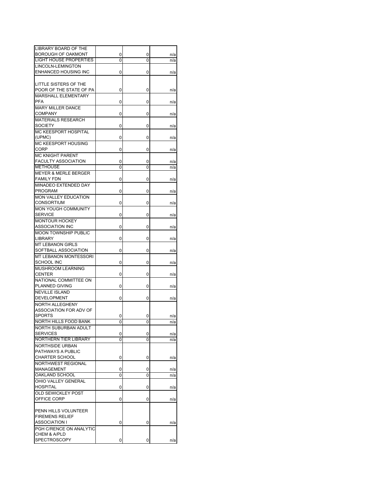| LIBRARY BOARD OF THE                             |   |   |            |
|--------------------------------------------------|---|---|------------|
| BOROUGH OF OAKMONT                               | 0 | 0 | n/a        |
| <b>LIGHT HOUSE PROPERTIES</b>                    | 0 | 0 | n/a        |
| LINCOLN-LEMINGTON                                |   |   |            |
| ENHANCED HOUSING INC                             | 0 | 0 | n/a        |
|                                                  |   |   |            |
| LITTLE SISTERS OF THE<br>POOR OF THE STATE OF PA |   |   |            |
| MARSHALL ELEMENTARY                              | 0 | 0 | n/a        |
| <b>PFA</b>                                       | 0 | 0 | n/a        |
| <b>MARY MILLER DANCE</b>                         |   |   |            |
| <b>COMPANY</b>                                   | 0 | 0 | n/a        |
| <b>MATERIALS RESEARCH</b>                        |   |   |            |
| <b>SOCIETY</b>                                   | 0 | 0 | n/a        |
| <b>MC KEESPORT HOSPITAL</b>                      |   |   |            |
| (UPMC)                                           | 0 | 0 | n/a        |
| MC KEESPORT HOUSING                              |   |   |            |
| <b>CORP</b>                                      | 0 | 0 | n/a        |
| <b>MC KNIGHT PARENT</b>                          |   |   |            |
| <b>FACULTY ASSOCIATION</b>                       | 0 | 0 | n/a        |
| <b>METHOUSE</b>                                  | 0 | 0 | n/a        |
| <b>MEYER &amp; MERLE BERGER</b>                  |   |   |            |
| <b>FAMILY FDN</b>                                | 0 | 0 | n/a        |
| MINADEO EXTENDED DAY                             |   |   |            |
| <b>PROGRAM</b>                                   | 0 | 0 | n/a        |
| <b>MON VALLEY EDUCATION</b><br><b>CONSORTIUM</b> |   |   |            |
| <b>MON YOUGH COMMUNITY</b>                       | 0 | 0 | n/a        |
| <b>SERVICE</b>                                   | 0 | 0 |            |
| <b>MONTOUR HOCKEY</b>                            |   |   | n/a        |
| <b>ASSOCIATION INC</b>                           | 0 | 0 | n/a        |
| <b>MOON TOWNSHIP PUBLIC</b>                      |   |   |            |
| LIBRARY                                          | 0 | 0 | n/a        |
| <b>MT LEBANON GIRLS</b>                          |   |   |            |
| SOFTBALL ASSOCIATION                             | 0 | 0 | n/a        |
| <b>MT LEBANON MONTESSORI</b>                     |   |   |            |
| SCHOOL INC                                       | 0 | 0 | n/a        |
| MUSHROOM LEARNING                                |   |   |            |
| <b>CENTER</b>                                    | 0 | 0 | n/a        |
| NATIONAL COMMITTEE ON                            |   |   |            |
| PLANNED GIVING                                   | 0 | 0 | n/a        |
| <b>NEVILLE ISLAND</b>                            |   |   |            |
| DEVELOPMENT                                      | 0 | 0 | n/a        |
| NORTH ALLEGHENY                                  |   |   |            |
| ASSOCIATION FOR ADV OF                           |   |   |            |
| <b>SPORTS</b><br>NORTH HILLS FOOD BANK           | 0 | 0 | n/a        |
| NORTH SUBURBAN ADULT                             | 0 | 0 | n/a        |
| <b>SERVICES</b>                                  | 0 | 0 |            |
| NORTHERN TIER LIBRARY                            | 0 | 0 | n/a<br>n/a |
| <b>NORTHSIDE URBAN</b>                           |   |   |            |
| PATHWAYS A PUBLIC                                |   |   |            |
| <b>CHARTER SCHOOL</b>                            | 0 | 0 | n/a        |
| NORTHWEST REGIONAL                               |   |   |            |
| MANAGEMENT                                       | 0 | 0 | n/a        |
| OAKLAND SCHOOL                                   | 0 | 0 | n/a        |
| OHIO VALLEY GENERAL                              |   |   |            |
| <b>HOSPITAL</b>                                  | 0 | 0 | n/a        |
| <b>OLD SEWICKLEY POST</b>                        |   |   |            |
| OFFICE CORP                                      | 0 | 0 | n/a        |
|                                                  |   |   |            |
| PENN HILLS VOLUNTEER                             |   |   |            |
| <b>FIREMENS RELIEF</b>                           |   |   |            |
| ASSOCIATION I                                    | 0 | 0 | n/a        |
| PGH C/RENCE ON ANALYTIC                          |   |   |            |
| CHEM & A/PLD                                     |   |   |            |
| <b>SPECTROSCOPY</b>                              | 0 | 0 | n/a        |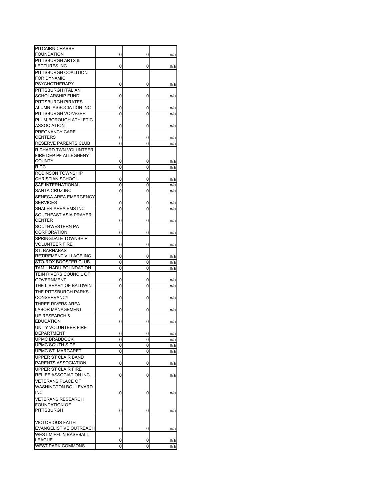| PITCAIRN CRABBE                              |        |        |            |
|----------------------------------------------|--------|--------|------------|
| <b>FOUNDATION</b><br>PITTSBURGH ARTS &       | 0      | 0      | n/a        |
| <b>LECTURES INC</b>                          | 0      | 0      | n/a        |
| PITTSBURGH COALITION                         |        |        |            |
| FOR DYNAMIC                                  |        |        |            |
| PSYCHOTHERAPY                                | 0      | 0      | n/a        |
| PITTSBURGH ITALIAN                           |        |        |            |
| <b>SCHOLARSHIP FUND</b>                      | 0      | 0      | n/a        |
| <b>PITTSBURGH PIRATES</b>                    |        |        |            |
| ALUMNI ASSOCIATION INC                       | 0      | 0      | n/a        |
| PITTSBURGH VOYAGER                           | 0      | 0      | n/a        |
| PLUM BOROUGH ATHLETIC                        |        |        |            |
| ASSOCIATION                                  | 0      | 0      | n/a        |
| PREGNANCY CARE                               |        |        |            |
| <b>CENTERS</b><br>RESERVE PARENTS CLUB       | 0<br>0 | 0<br>0 | n/a<br>n/a |
| RICHARD TWN VOLUNTEER                        |        |        |            |
| FIRE DEP PF ALLEGHENY                        |        |        |            |
| <b>COUNTY</b>                                | 0      | 0      | n/a        |
| RIDC                                         | 0      | 0      | n/a        |
| <b>ROBINSON TOWNSHIP</b>                     |        |        |            |
| <b>CHRISTIAN SCHOOL</b>                      | 0      | 0      | n/a        |
| SAE INTERNATIONAL                            | 0      | 0      | n/a        |
| SANTA CRUZ INC                               | 0      | 0      | n/a        |
| SENECA AREA EMERGENCY                        |        |        |            |
| <b>SERVICES</b>                              | 0      | 0      | n/a        |
| SHALER AREA EMS INC                          | 0      | 0      | n/a        |
| SOUTHEAST ASIA PRAYER                        |        |        |            |
| <b>CENTER</b><br>SOUTHWESTERN PA             | 0      | 0      | n/a        |
| CORPORATION                                  | 0      | 0      | n/a        |
| SPRINGDALE TOWNSHIP                          |        |        |            |
| VOLUNTEER FIRE                               | 0      | 0      | n/a        |
| ST. BARNABAS                                 |        |        |            |
| RETIREMENT VILLAGE INC                       | 0      | 0      | n/a        |
| STO-ROX BOOSTER CLUB                         | 0      | 0      | n/a        |
| TAMIL NADU FOUNDATION                        | 0      | 0      | n/a        |
| TEIN RIVERS COUNCIL OF                       |        |        |            |
| <b>GOVERNMENT</b>                            | 0      | 0      | n/a        |
| THE LIBRARY OF BALDWIN                       | 0      | 0      | n/a        |
| THE PITTSBURGH PARKS                         |        |        |            |
| <b>CONSERVANCY</b>                           | 0      | 0      | n/a        |
| THREE RIVERS AREA                            |        |        |            |
| LABOR MANAGEMENT<br><b>UE RESEARCH &amp;</b> | 0      | 0      | n/a        |
| <b>EDUCATION</b>                             | 0      | 0      | n/a        |
| <b>UNITY VOLUNTEER FIRE</b>                  |        |        |            |
| DEPARTMENT                                   | 0      | 0      | n/a        |
| <b>UPMC BRADDOCK</b>                         | 0      | 0      | n/a        |
| UPMC SOUTH SIDE                              | 0      | 0      | n/a        |
| UPMC ST. MARGARET                            | 0      | 0      | n/a        |
| UPPER ST CLAIR BAND                          |        |        |            |
| PARENTS ASSOCIATION                          | 0      | 0      | n/a        |
| UPPER ST CLAIR FIRE                          |        |        |            |
| RELIEF ASSOCIATION INC                       | 0      | 0      | n/a        |
| <b>VETERANS PLACE OF</b>                     |        |        |            |
| <b>WASHINGTON BOULEVARD</b>                  |        |        |            |
| INC                                          | 0      | 0      | n/a        |
| <b>VETERANS RESEARCH</b>                     |        |        |            |
| <b>FOUNDATION OF</b><br><b>PITTSBURGH</b>    | 0      | 0      | n/a        |
|                                              |        |        |            |
| <b>VICTORIOUS FAITH</b>                      |        |        |            |
| EVANGELISTIVE OUTREACH                       | 0      | 0      | n/a        |
| <b>WEST MIFFLIN BASEBALL</b>                 |        |        |            |
| LEAGUE                                       | 0      | 0      | n/a        |
| <b>WEST PARK COMMONS</b>                     | 0      | 0      | n/a        |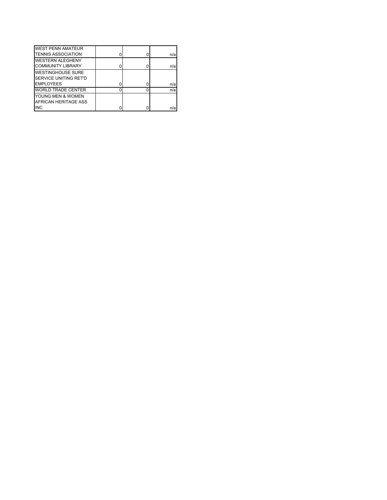| <b>WEST PENN AMATEUR</b>     |  |     |
|------------------------------|--|-----|
| <b>TENNIS ASSOCIATION</b>    |  | n/a |
| <b>WESTERN ALEGHENY</b>      |  |     |
| <b>COMMUNITY LIBRARY</b>     |  | n/a |
| <b>WESTINGHOUSE SURE</b>     |  |     |
| <b>SERVICE UNITING RET'D</b> |  |     |
| <b>EMPLOYEES</b>             |  | n/a |
| <b>WORLD TRADE CENTER</b>    |  | n/a |
| YOUNG MEN & WOMEN            |  |     |
| AFRICAN HERITAGE ASS         |  |     |
| <b>INC</b>                   |  | n/a |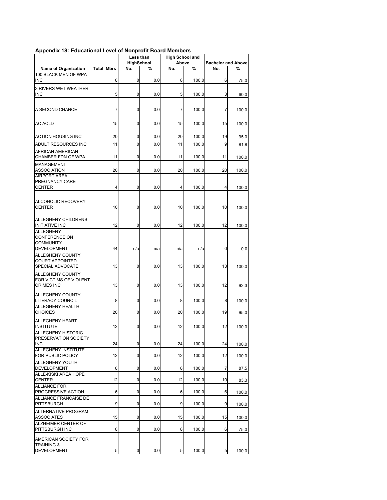## **Appendix 18: Educational Level of Nonprofit Board Members**

|                                                        |                   |                   | Less than | <b>High School and</b> |       |                           |       |
|--------------------------------------------------------|-------------------|-------------------|-----------|------------------------|-------|---------------------------|-------|
|                                                        |                   | <b>HighSchool</b> |           |                        | Above | <b>Bachelor and Above</b> |       |
| Name of Organization<br>100 BLACK MEN OF WPA           | <b>Total Mbrs</b> | No.               | %         | No.                    | %     | No.                       | %     |
| <b>INC</b>                                             | 8                 | 0                 | 0.0       | 8                      | 100.0 | 6                         | 75.0  |
| <b>3 RIVERS WET WEATHER</b>                            |                   |                   |           |                        |       |                           |       |
| <b>INC</b>                                             | 5                 | 0                 | 0.0       | 5                      | 100.0 | 3                         | 60.0  |
| A SECOND CHANCE                                        | 7                 | 0                 | 0.0       | 7                      | 100.0 | 7                         | 100.0 |
| <b>AC ACLD</b>                                         | 15                | 0                 | 0.0       | 15                     | 100.0 | 15                        | 100.0 |
| <b>ACTION HOUSING INC</b>                              | 20                | 0                 | 0.0       | 20                     | 100.0 | 19                        | 95.0  |
| ADULT RESOURCES INC                                    | 11                | 0                 | 0.0       | 11                     | 100.0 | 9                         | 81.8  |
| AFRICAN AMERICAN                                       |                   |                   |           |                        |       |                           |       |
| CHAMBER FDN OF WPA                                     | 11                | 0                 | 0.0       | 11                     | 100.0 | 11                        | 100.0 |
| MANAGEMENT<br><b>ASSOCIATION</b>                       | 20                | 0                 | 0.0       | 20                     | 100.0 | 20                        | 100.0 |
| <b>AIRPORT AREA</b><br>PREGNANCY CARE<br><b>CENTER</b> | 4                 | 0                 | 0.0       | 4                      | 100.0 | 4                         | 100.0 |
| ALCOHOLIC RECOVERY<br><b>CENTER</b>                    | 10                | 0                 | 0.0       | 10                     | 100.0 | 10                        | 100.0 |
|                                                        |                   |                   |           |                        |       |                           |       |
| ALLEGHENY CHILDRENS<br><b>INITIATIVE INC</b>           | 12                | 0                 | 0.0       | 12                     | 100.0 | 12                        |       |
| <b>ALLEGHENY</b>                                       |                   |                   |           |                        |       |                           | 100.0 |
| <b>CONFERENCE ON</b>                                   |                   |                   |           |                        |       |                           |       |
| <b>COMMUNITY</b>                                       | 44                |                   |           |                        |       |                           |       |
| DEVELOPMENT<br>ALLEGHENY COUNTY                        |                   | n/a               | n/a       | n/a                    | n/a   | 0                         | 0.0   |
| <b>COURT APPOINTED</b><br>SPECIAL ADVOCATE             | 13                | 0                 | 0.0       | 13                     | 100.0 | 13                        | 100.0 |
| ALLEGHENY COUNTY                                       |                   |                   |           |                        |       |                           |       |
| FOR VICTIMS OF VIOLENT<br><b>CRIMES INC</b>            | 13                | 0                 | 0.0       | 13                     | 100.0 | 12                        | 92.3  |
| ALLEGHENY COUNTY                                       |                   |                   |           |                        |       |                           |       |
| LITERACY COUNCIL<br>ALLEGHENY HEALTH                   | 8                 | 0                 | 0.0       | 8                      | 100.0 | 8                         | 100.0 |
| <b>CHOICES</b>                                         | 20                | 0                 | 0.0       | 20                     | 100.0 | 19                        | 95.0  |
| ALLEGHENY HEART                                        | 12                |                   |           |                        |       |                           |       |
| <b>INSTITUTE</b><br><b>ALLEGHENY HISTORIC</b>          |                   | 0                 | 0.0       | 12                     | 100.0 | 12                        | 100.0 |
| PRESERVATION SOCIETY                                   |                   |                   |           |                        |       |                           |       |
| <b>INC</b><br>ALLEGHENY INSTITUTE                      | 24                | 0                 | 0.0       | 24                     | 100.0 | 24                        | 100.0 |
| FOR PUBLIC POLICY                                      | 12                | 0                 | 0.0       | 12                     | 100.0 | 12                        | 100.0 |
| ALLEGHENY YOUTH<br><b>DEVELOPMENT</b>                  | 8                 | 0                 | 0.0       | 8                      | 100.0 | 7                         | 87.5  |
| ALLE-KISKI AREA HOPE                                   |                   |                   |           |                        |       |                           |       |
| <b>CENTER</b><br><b>ALLIANCE FOR</b>                   | 12                | 0                 | 0.0       | 12                     | 100.0 | 10                        | 83.3  |
| PROGRESSIVE ACTION                                     | 6                 | $\mathbf 0$       | 0.0       | 6                      | 100.0 | 6                         | 100.0 |
| ALLIANCE FRANCAISE DE<br>PITTSBURGH                    | 9                 | 0                 | 0.0       | 9                      | 100.0 | 9                         | 100.0 |
| ALTERNATIVE PROGRAM<br><b>ASSOCIATES</b>               | 15                | 0                 | 0.0       | 15                     | 100.0 | 15                        | 100.0 |
| ALZHEIMER CENTER OF<br>PITTSBURGH INC                  | 8                 | 0                 | 0.0       | 8                      | 100.0 | 6                         | 75.0  |
| AMERICAN SOCIETY FOR<br><b>TRAINING &amp;</b>          |                   |                   |           |                        |       |                           |       |
| DEVELOPMENT                                            | 5                 | 0                 | 0.0       | 5                      | 100.0 | 5                         | 100.0 |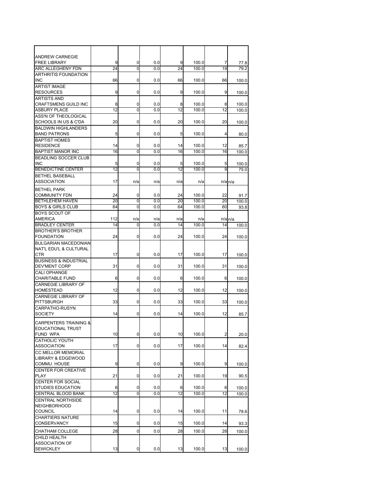| ANDREW CARNEGIE                            |           |                |     |     |              |                |                      |
|--------------------------------------------|-----------|----------------|-----|-----|--------------|----------------|----------------------|
| <b>FREE LIBRARY</b>                        | 9         | 0              | 0.0 | 9   | 100.0        | 7              | 77.8                 |
| ARC ALLEGHENY FDN                          | 24        | ō              | 0.0 | 24  | 100.0        | 19             | 79.2                 |
| <b>ARTHRITIS FOUNDATION</b>                |           |                |     |     |              |                |                      |
| INC                                        | 66        | 0              | 0.0 | 66  | 100.0        | 66             | 100.0                |
| <b>ARTIST IMAGE</b>                        |           |                |     |     |              |                |                      |
| <b>RESOURCES</b>                           | 9         | 0              | 0.0 | 9   | 100.0        | 9              | 100.0                |
| <b>ARTISTS AND</b><br>CRAFTSMENS GUILD INC | 8         | 0              | 0.0 | 8   | 100.0        | 8              |                      |
| <b>ASBURY PLACE</b>                        | 12        | Ō              | 0.0 | 12  | 100.0        | 12             | 100.0<br>100.0       |
| ASS'N OF THEOLOGICAL                       |           |                |     |     |              |                |                      |
| <b>SCHOOLS IN US &amp; C'DA</b>            | 20        | 0              | 0.0 | 20  | 100.0        | 20             | 100.0                |
| <b>BALDWIN HIGHLANDERS</b>                 |           |                |     |     |              |                |                      |
| <b>BAND PATRONS</b>                        | 5         | 0              | 0.0 | 5   | 100.0        | 4              | 80.0                 |
| <b>BAPTIST HOMES</b>                       |           |                |     |     |              |                |                      |
| <b>RESIDENCE</b>                           | 14        | 0              | 0.0 | 14  | 100.0        | 12             | 85.7                 |
| <b>BAPTIST MANOR INC</b>                   | 16        | $\mathbf 0$    | 0.0 | 16  | 100.0        | 16             | 100.0                |
| <b>BEADLING SOCCER CLUB</b>                |           |                |     |     |              |                |                      |
| INC                                        | 5         | 0              | 0.0 | 5   | 100.0        | 5              | 100.0                |
| <b>BENEDICTINE CENTER</b>                  | 12        | $\overline{0}$ | 0.0 | 12  | 100.0        | 9              | 75.0                 |
| BETHEL BASEBALL                            |           |                |     |     |              |                |                      |
| <b>ASSOCIATION</b>                         | 17        | n/a            | n/a | n/a | n/a          |                | $n/a$ $n/a$          |
| <b>BETHEL PARK</b>                         |           |                |     |     |              |                |                      |
| <b>COMMUNITY FDN</b>                       | 24        | 0              | 0.0 | 24  | 100.0        | 22             | 91.7                 |
| <b>BETHLEHEM HAVEN</b>                     | 20        | $\mathbf 0$    | 0.0 | 20  | 100.0        | 20             | 100.0                |
| <b>BOYS &amp; GIRLS CLUB</b>               | 64        | 0              | 0.0 | 64  | 100.0        | 60             | 93.8                 |
| <b>BOYS SCOUT OF</b>                       |           |                |     |     |              |                |                      |
| AMERICA<br><b>BRADLEY CENTER</b>           | 112<br>14 | n/a<br>0       | n/a | n/a | n/a<br>100.0 |                | $n/a$ <sub>n/a</sub> |
| BROTHER'S BROTHER                          |           |                | 0.0 | 14  |              | 14             | 100.0                |
| <b>FOUNDATION</b>                          | 24        | 0              | 0.0 | 24  | 100.0        | 24             | 100.0                |
| <b>BULGARIAN MACEDONIAN</b>                |           |                |     |     |              |                |                      |
| NAT'L EDU'L & CULTURAL                     |           |                |     |     |              |                |                      |
| <b>CTR</b>                                 | 17        | 0              | 0.0 | 17  | 100.0        | 17             | 100.0                |
| BUSINESS & INDUSTRIAL                      |           |                |     |     |              |                |                      |
| DEV'MENT CORP                              | 31        | 0              | 0.0 | 31  | 100.0        | 31             | 100.0                |
| <b>CALI OPHANGE</b>                        |           |                |     |     |              |                |                      |
| <b>CHARITABLE FUND</b>                     | 6         | 0              | 0.0 | 6   | 100.0        | 6              | 100.0                |
| <b>CARNEGIE LIBRARY OF</b>                 |           |                |     |     |              |                |                      |
| <b>HOMESTEAD</b>                           | 12        | $\mathbf 0$    | 0.0 | 12  | 100.0        | 12             | 100.0                |
| <b>CARNEGIE LIBRARY OF</b>                 |           |                |     |     |              |                |                      |
| PITTSBURGH                                 | 33        | 0              | 0.0 | 33  | 100.0        | 33             | 100.0                |
| CARPATHO-RUSYN<br>SOCIETY                  |           | 0              | 0.0 | 14  | 100.0        | 12             |                      |
|                                            | 14        |                |     |     |              |                | 85.7                 |
| <b>CARPENTERS TRAINING &amp;</b>           |           |                |     |     |              |                |                      |
| EDUCATIONAL TRUST                          |           |                |     |     |              |                |                      |
| FUND WPA                                   | 10        | $\mathbf 0$    | 0.0 | 10  | 100.0        | $\overline{a}$ | 20.0                 |
| <b>CATHOLIC YOUTH</b>                      |           | 0              | 0.0 | 17  |              |                |                      |
| ASSOCIATION                                | 17        |                |     |     | 100.0        | 14             | 82.4                 |
| CC MELLOR MEMORIAL<br>LIBRARY & EDGEWOOD   |           |                |     |     |              |                |                      |
| COMMU. HOUSE                               | 9         | $\mathbf 0$    | 0.0 | 9   | 100.0        | 9              | 100.0                |
| CENTER FOR CREATIVE                        |           |                |     |     |              |                |                      |
| PLAY                                       | 21        | 0              | 0.0 | 21  | 100.0        | 19             | 90.5                 |
| CENTER FOR SOCIAL                          |           |                |     |     |              |                |                      |
| STUDIES EDUCATION                          | 6         | 0              | 0.0 | 6   | 100.0        | 6              | 100.0                |
| CENTRAL BLOOD BANK                         | 12        | 0              | 0.0 | 12  | 100.0        | 12             | 100.0                |
| <b>CENTRAL NORTHSIDE</b>                   |           |                |     |     |              |                |                      |
| <b>NEIGHBORHOOD</b>                        |           |                |     |     |              |                |                      |
| COUNCIL                                    | 14        | 0              | 0.0 | 14  | 100.0        | 11             | 78.6                 |
| <b>CHARTIERS NATURE</b>                    |           |                |     |     |              |                |                      |
| CONSERVANCY                                | 15        | 0              | 0.0 | 15  | 100.0        | 14             | 93.3                 |
| CHATHAM COLLEGE                            | 28        | $\overline{0}$ | 0.0 | 28  | 100.0        | 28             | 100.0                |
| CHILD HEALTH                               |           |                |     |     |              |                |                      |
| ASSOCIATION OF                             |           |                |     |     |              |                |                      |
| <b>SEWICKLEY</b>                           | 13        | $\mathbf 0$    | 0.0 | 13  | 100.0        | 13             | 100.0                |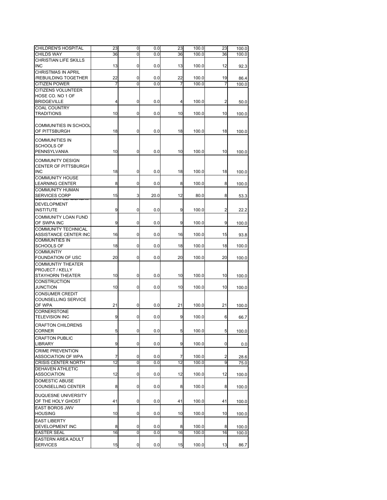| CHILDREN'S HOSPITAL                                      | 23 | 0        | 0.0  | 23 | 100.0 | 23 | 100.0 |
|----------------------------------------------------------|----|----------|------|----|-------|----|-------|
| <b>CHILDS WAY</b>                                        | 36 | Ō        | 0.0  | 36 | 100.0 | 36 | 100.0 |
| CHRISTIAN LIFE SKILLS<br>INC                             | 13 | 0        | 0.0  | 13 | 100.0 | 12 | 92.3  |
| <b>CHRISTMAS IN APRIL</b><br><b>/REBUILDING TOGETHER</b> | 22 | 0        | 0.0  | 22 | 100.0 | 19 | 86.4  |
| <b>CITIZEN POWER</b>                                     | 7  | $\Omega$ | 0.0  | 7  | 100.0 | 7  | 100.0 |
| CITIZENS VOLUNTEER                                       |    |          |      |    |       |    |       |
| HOSE CO. NO 1 OF<br><b>BRIDGEVILLE</b>                   | 4  | 0        | 0.0  | 4  | 100.0 | 2  | 50.0  |
| <b>COAL COUNTRY</b>                                      |    |          |      |    |       |    |       |
| <b>TRADITIONS</b>                                        | 10 | 0        | 0.0  | 10 | 100.0 | 10 | 100.0 |
|                                                          |    |          |      |    |       |    |       |
| COMMUNITIES IN SCHOOL<br>OF PITTSBURGH                   | 18 | 0        | 0.0  | 18 | 100.0 | 18 | 100.0 |
| <b>COMMUNITIES IN</b>                                    |    |          |      |    |       |    |       |
| SCHOOLS OF                                               |    |          |      |    |       |    |       |
| PENNSYLVANIA                                             | 10 | 0        | 0.0  | 10 | 100.0 | 10 | 100.0 |
|                                                          |    |          |      |    |       |    |       |
| COMMUNITY DESIGN<br>CENTER OF PITTSBURGH<br>INC          | 18 | 0        | 0.0  | 18 | 100.0 | 18 | 100.0 |
| <b>COMMUNITY HOUSE</b>                                   |    |          |      |    |       |    |       |
| LEARNING CENTER                                          | 8  | 0        | 0.0  | 8  | 100.0 | 8  | 100.0 |
| <b>COMMUNITY HUMAN</b>                                   |    |          |      |    |       |    |       |
| <b>SERVICES CORP</b>                                     | 15 | 3        | 20.0 | 12 | 80.0  | 8  | 53.3  |
|                                                          |    |          |      |    |       |    |       |
| DEVELOPMENT<br><b>INSTITUTE</b>                          | 9  | 0        | 0.0  | 9  | 100.0 | 2  | 22.2  |
| <b>COMMUNITY LOAN FUND</b>                               |    |          |      |    |       |    |       |
| OF SWPA INC                                              | 9  | 0        | 0.0  | 9  | 100.0 | 9  | 100.0 |
| COMMUNITY TECHNICAL                                      |    |          |      |    |       |    |       |
| ASSISTANCE CENTER INC                                    | 16 | 0        | 0.0  | 16 | 100.0 | 15 | 93.8  |
| <b>COMMUNTIES IN</b>                                     |    |          |      |    |       |    |       |
| <b>SCHOOLS OF</b>                                        | 18 | 0        | 0.0  | 18 | 100.0 | 18 | 100.0 |
| <b>COMMUNTIY</b>                                         |    |          |      |    |       |    |       |
| FOUNDATION OF USC                                        | 20 | 0        | 0.0  | 20 | 100.0 | 20 | 100.0 |
| COMMUNTIY THEATER                                        |    |          |      |    |       |    |       |
| PROJECT / KELLY                                          |    |          |      |    |       |    |       |
| STAYHORN THEATER                                         | 10 | 0        | 0.0  | 10 | 100.0 | 10 | 100.0 |
| CONSTRUCTION                                             | 10 |          |      | 10 |       |    |       |
| <b>JUNCTION</b>                                          |    | 0        | 0.0  |    | 100.0 | 10 | 100.0 |
| <b>CONSUMER CREDIT</b>                                   |    |          |      |    |       |    |       |
| COUNSELLING SERVICE<br>OF WPA                            | 21 |          |      | 21 |       | 21 |       |
| CORNERSTONE                                              |    | 0        | 0.0  |    | 100.0 |    | 100.0 |
| <b>TELEVISION INC</b>                                    | 9  | 0        | 0.0  | 9  | 100.0 | 6  |       |
|                                                          |    |          |      |    |       |    | 66.7  |
| <b>CRAFTON CHILDRENS</b>                                 |    |          |      |    |       |    |       |
| CORNER                                                   | 5  | 0        | 0.0  | 5  | 100.0 | 5  | 100.0 |
| <b>CRAFTON PUBLIC</b>                                    |    |          |      |    |       |    |       |
| LIBRARY                                                  | 9  | 0        | 0.0  | 9  | 100.0 | 0  | 0.0   |
| <b>CRIME PREVENTION</b>                                  |    |          |      |    |       |    |       |
| ASSOCIATION OF WPA                                       | 7  | 0        | 0.0  | 7  | 100.0 | 2  | 28.6  |
| <b>CRISIS CENTER NORTH</b>                               | 12 | 0        | 0.0  | 12 | 100.0 | 9  | 75.0  |
| <b>DEHAVEN ATHLETIC</b>                                  |    |          |      |    |       |    |       |
| <b>ASSOCIATION</b>                                       | 12 | 0        | 0.0  | 12 | 100.0 | 12 | 100.0 |
| DOMESTIC ABUSE                                           |    |          |      |    |       |    |       |
| COUNSELLING CENTER                                       | 8  | 0        | 0.0  | 8  | 100.0 | 8  | 100.0 |
|                                                          |    |          |      |    |       |    |       |
| DUQUESNE UNIVERSITY                                      |    |          |      |    |       |    |       |
| OF THE HOLY GHOST                                        | 41 | 0        | 0.0  | 41 | 100.0 | 41 | 100.0 |
| EAST BOROS JWV                                           |    |          |      |    |       |    |       |
| HOUSING                                                  | 10 | 0        | 0.0  | 10 | 100.0 | 10 | 100.0 |
| <b>EAST LIBERTY</b>                                      |    |          |      |    |       |    |       |
| DEVELOPMENT INC                                          | 8  | 0        | 0.0  | 8  | 100.0 | 8  | 100.0 |
| <b>EASTER SEAL</b>                                       | 16 | 0        | 0.0  | 16 | 100.0 | 16 | 100.0 |
| EASTERN AREA ADULT                                       |    |          |      |    |       |    |       |
| <b>SERVICES</b>                                          | 15 | 0        | 0.0  | 15 | 100.0 | 13 | 86.7  |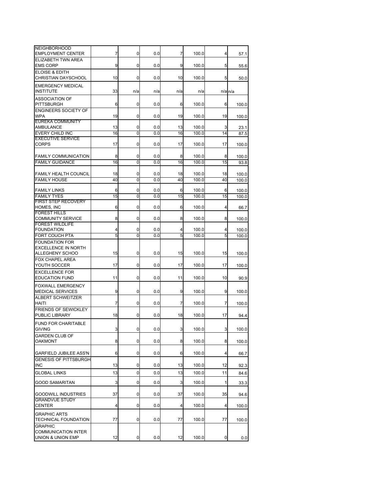| <b>NEIGHBORHOOD</b><br><b>EMPLOYMENT CENTER</b>                                 | 7       | 0              | 0.0        | 7       | 100.0          | 4       | 57.1                 |
|---------------------------------------------------------------------------------|---------|----------------|------------|---------|----------------|---------|----------------------|
| ELIZABETH TWN AREA<br><b>EMS CORP</b>                                           | 9       | 0              | 0.0        | 9       |                | 5       |                      |
| <b>ELOISE &amp; EDITH</b>                                                       |         |                |            |         | 100.0          |         | 55.6                 |
| <b>CHRISTIAN DAYSCHOOL</b>                                                      | 10      | 0              | 0.0        | 10      | 100.0          | 5       | 50.0                 |
| <b>EMERGENCY MEDICAL</b><br><b>INSTITUTE</b>                                    | 33      | n/a            | n/a        | n/a     | n/a            |         | $n/a$ <sub>n/a</sub> |
| <b>ASSOCIATION OF</b><br><b>PITTSBURGH</b>                                      | 6       | 0              | 0.0        | 6       | 100.0          | 6       | 100.0                |
| <b>ENGINEERS SOCIETY OF</b><br><b>WPA</b>                                       | 19      | 0              | 0.0        | 19      | 100.0          | 19      | 100.0                |
| <b>EUREKA COMMUNITY</b><br><b>AMBULANCE</b>                                     | 13      | 0              | 0.0        | 13      | 100.0          | 3       | 23.1                 |
| EVERY CHILD INC                                                                 | 16      | $\overline{0}$ | 0.0        | 16      | 100.0          | 14      | 87.5                 |
| <b>EXECUTIVE SERVICE</b>                                                        |         |                |            |         |                |         |                      |
| CORPS                                                                           | 17      | 0              | 0.0        | 17      | 100.0          | 17      | 100.0                |
| <b>FAMILY COMMUNICATION</b>                                                     | 8       | 0              | 0.0        | 8       | 100.0          | 8       | 100.0                |
| <b>FAMILY GUIDANCE</b>                                                          | 16      | 0              | 0.0        | 16      | 100.0          | 15      | 93.8                 |
| <b>FAMILY HEALTH COUNCIL</b>                                                    | 18      | 0              | 0.0        | 18      | 100.0          | 18      | 100.0                |
| <b>FAMILY HOUSE</b>                                                             | 40      | 0              | 0.0        | 40      | 100.0          | 40      | 100.0                |
|                                                                                 |         |                |            |         |                |         |                      |
| <b>FAMILY LINKS</b><br><b>FAMILY TYES</b>                                       | 6<br>15 | 0<br>Ō         | 0.0<br>0.0 | 6<br>15 | 100.0<br>100.0 | 6<br>15 | 100.0<br>100.0       |
| FIRST STEP RECOVERY                                                             |         |                |            |         |                |         |                      |
| HOMES, INC                                                                      | 6       | 0              | 0.0        | 6       | 100.0          | 4       | 66.7                 |
| <b>FOREST HILLS</b><br><b>COMMUNITY SERVICE</b>                                 | 8       | 0              | 0.0        | 8       | 100.0          | 8       | 100.0                |
| <b>FOREST WILDLIFE</b>                                                          |         |                |            |         |                |         |                      |
| <b>FOUNDATION</b><br><b>FORT COUCH PTA</b>                                      | 4<br>5  | 0<br>0         | 0.0<br>0.0 | 4<br>5  | 100.0<br>100.0 | 4<br>5  | 100.0<br>100.0       |
| <b>FOUNDATION FOR</b>                                                           |         |                |            |         |                |         |                      |
| EXCELLENCE IN NORTH                                                             |         |                |            |         |                |         |                      |
| ALLEGHENY SCHOO                                                                 | 15      | 0              | 0.0        | 15      | 100.0          | 15      | 100.0                |
| <b>FOX CHAPEL AREA</b><br>YOUTH SOCCER                                          | 17      | 0              | 0.0        | 17      | 100.0          | 17      | 100.0                |
| <b>EXCELLENCE FOR</b>                                                           |         |                |            |         |                |         |                      |
| <b>EDUCATION FUND</b>                                                           | 11      | 0              | 0.0        | 11      | 100.0          | 10      | 90.9                 |
| <b>FOXWALL EMERGENCY</b><br><b>MEDICAL SERVICES</b><br><b>ALBERT SCHWEITZER</b> | 9       | 0              | 0.0        | 9       | 100.0          | 9       | 100.0                |
| <b>HAITI</b>                                                                    | 7       | 0              | 0.0        | 7       | 100.0          | 7       | 100.0                |
| <b>FRIENDS OF SEWICKLEY</b><br>PUBLIC LIBRARY                                   | 18      | 0              | 0.0        | 18      | 100.0          | 17      |                      |
| <b>FUND FOR CHARITABLE</b>                                                      |         |                |            |         |                |         | 94.4                 |
| GIVING                                                                          | 3       | 0              | 0.0        | 3       | 100.0          | 3       | 100.0                |
| <b>GARDEN CLUB OF</b><br><b>OAKMONT</b>                                         | 8       | 0              | 0.0        | 8       | 100.0          | 8       | 100.0                |
|                                                                                 |         |                |            |         |                |         |                      |
| <b>GARFIELD JUBILEE ASS'N</b><br><b>GENESIS OF PITTSBURGH</b>                   | 6       | 0              | 0.0        | 6       | 100.0          | 4       | 66.7                 |
| <b>INC</b>                                                                      | 13      | 0              | 0.0        | 13      | 100.0          | 12      | 92.3                 |
| <b>GLOBAL LINKS</b>                                                             | 13      | 0              | 0.0        | 13      | 100.0          | 11      | 84.6                 |
| GOOD SAMARITAN                                                                  | 3       | 0              | 0.0        | 3       | 100.0          | 1       | 33.3                 |
|                                                                                 |         |                |            |         |                |         |                      |
| <b>GOODWILL INDUSTRIES</b><br><b>GRANDVUE STUDY</b>                             | 37      | 0              | 0.0        | 37      | 100.0          | 35      | 94.6                 |
| CENTER                                                                          | 4       | 0              | 0.0        | 4       | 100.0          | 4       | 100.0                |
| <b>GRAPHIC ARTS</b>                                                             |         |                |            |         |                |         |                      |
| TECHNICAL FOUNDATION<br><b>GRAPHIC</b>                                          | 77      | 0              | 0.0        | 77      | 100.0          | 77      | 100.0                |
| COMMUNICATION INTER                                                             |         |                |            |         |                |         |                      |
| UNION & UNION EMP                                                               | 12      | 0              | 0.0        | 12      | 100.0          | 0       | 0.0                  |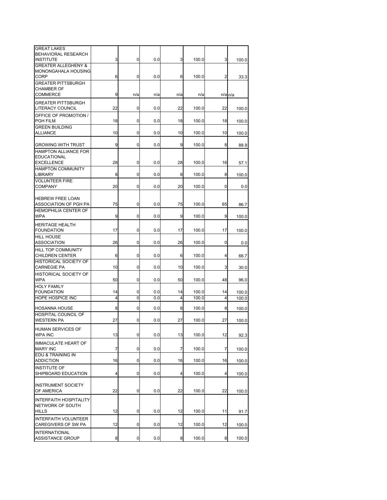| <b>GREAT LAKES</b><br>BEHAVIORAL RESEARCH<br><b>INSTITUTE</b>               | 3       | 0           | 0.0        | 3       | 100.0          | 3       | 100.0          |
|-----------------------------------------------------------------------------|---------|-------------|------------|---------|----------------|---------|----------------|
| <b>GREATER ALLEGHENY &amp;</b><br><b>MONONGAHALA HOUSING</b><br><b>CORP</b> | 6       | 0           | 0.0        | 6       | 100.0          | 2       | 33.3           |
| <b>GREATER PITTSBURGH</b><br><b>CHAMBER OF</b><br><b>COMMERCE</b>           | 9       | n/a         | n/a        | n/a     | n/a            |         | $n/a$ $n/a$    |
| <b>GREATER PITTSBURGH</b><br><b>LITERACY COUNCIL</b>                        | 22      | 0           | 0.0        | 22      | 100.0          | 22      | 100.0          |
| OFFICE OF PROMOTION /<br><b>PGH FILM</b>                                    | 18      | 0           | 0.0        | 18      | 100.0          | 18      | 100.0          |
| <b>GREEN BUILDING</b><br><b>ALLIANCE</b>                                    | 10      | 0           | 0.0        | 10      | 100.0          | 10      | 100.0          |
| <b>GROWING WITH TRUST</b>                                                   | 9       | $\mathbf 0$ | 0.0        | 9       | 100.0          | 8       | 88.9           |
| <b>HAMPTON ALLIANCE FOR</b><br><b>EDUCATIONAL</b><br><b>EXCELLENCE</b>      | 28      | 0           | 0.0        | 28      | 100.0          | 16      | 57.1           |
| <b>HAMPTON COMMUNITY</b><br><b>LIBRARY</b>                                  | 8       | 0           | 0.0        | 8       | 100.0          | 8       | 100.0          |
| <b>VOLUNTEER FIRE</b><br><b>COMPANY</b>                                     | 20      | 0           | 0.0        | 20      | 100.0          | 0       | 0.0            |
| <b>HEBREW FREE LOAN</b><br>ASSOCIATION OF PGH PA                            | 75      | 0           | 0.0        | 75      | 100.0          | 65      | 86.7           |
| <b>HEMOPHILIA CENTER OF</b><br><b>WPA</b>                                   | 9       | 0           | 0.0        | 9       | 100.0          | 9       | 100.0          |
| <b>HERITAGE HEALTH</b><br><b>FOUNDATION</b>                                 | 17      | 0           | 0.0        | 17      | 100.0          | 17      | 100.0          |
| <b>HILL HOUSE</b><br><b>ASSOCIATION</b>                                     | 26      | 0           | 0.0        | 26      | 100.0          | 0       | 0.0            |
| HILL TOP COMMUNITY<br><b>CHILDREN CENTER</b>                                | 6       | 0           | 0.0        | 6       | 100.0          | 4       | 66.7           |
| <b>HISTORICAL SOCIETY OF</b><br><b>CARNEGIE PA</b>                          | 10      | 0           | 0.0        | 10      | 100.0          | 3       | 30.0           |
| <b>HISTORICAL SOCIETY OF</b><br><b>WPA</b>                                  | 50      | 0           | 0.0        | 50      | 100.0          | 48      | 96.0           |
| <b>HOLY FAMILY</b><br><b>FOUNDATION</b>                                     | 14      | 0           | 0.0        | 14      | 100.0          | 14      | 100.0          |
| <b>HOPE HOSPICE INC</b><br><b>HOSANNA HOUSE</b>                             | 4       | Ō<br>0      | 0.0        | 4       | 100.0          | 4       | 100.0          |
| <b>HOSPITAL COUNCIL OF</b><br><b>WESTERN PA</b>                             | 8<br>27 | 0           | 0.0<br>0.0 | 8<br>27 | 100.0<br>100.0 | 8<br>27 | 100.0<br>100.0 |
| HUMAN SERVICES OF<br><b>WPA INC</b>                                         | 13      | 0           | 0.0        | 13      | 100.0          | 12      | 92.3           |
| <b>IMMACULATE HEART OF</b><br><b>MARY INC</b>                               | 7       | 0           | 0.0        | 7       | 100.0          | 7       | 100.0          |
| EDU & TRAINING IN<br><b>ADDICTION</b>                                       | 16      | 0           | 0.0        | 16      | 100.0          | 16      | 100.0          |
| <b>INSTITUTE OF</b><br>SHIPBOARD EDUCATION                                  | 4       | 0           | 0.0        | 4       | 100.0          | 4       | 100.0          |
| <b>INSTRUMENT SOCIETY</b><br>OF AMERICA                                     | 22      | 0           | 0.0        | 22      | 100.0          | 22      | 100.0          |
| <b>INTERFAITH HOSPITALITY</b><br>NETWORK OF SOUTH<br><b>HILLS</b>           | 12      | 0           | 0.0        | 12      | 100.0          | 11      | 91.7           |
| <b>INTERFAITH VOLUNTEER</b><br>CAREGIVERS OF SW PA                          | 12      | 0           | 0.0        | 12      | 100.0          | 12      | 100.0          |
| <b>INTERNATIONAL</b><br>ASSISTANCE GROUP                                    | 8       | 0           | 0.0        | 8       | 100.0          | 8       | 100.0          |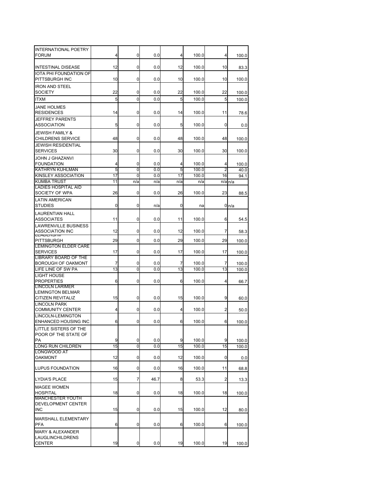| <b>INTERNATIONAL POETRY</b><br><b>FORUM</b>               | 4        | 0      | 0.0        | 4        | 100.0          | 4       | 100.0            |
|-----------------------------------------------------------|----------|--------|------------|----------|----------------|---------|------------------|
| <b>INTESTINAL DISEASE</b>                                 | 12       | 0      | 0.0        | 12       | 100.0          | 10      | 83.3             |
| IOTA PHI FOUNDATION OF<br>PITTSBURGH INC                  | 10       | 0      | 0.0        | 10       | 100.0          | 10      | 100.0            |
| <b>IRON AND STEEL</b><br><b>SOCIETY</b>                   | 22       | 0      | 0.0        | 22       | 100.0          | 22      | 100.0            |
| <b>ITXM</b>                                               | 5        | 0      | 0.0        | 5        | 100.0          | 5       | 100.0            |
| <b>JANE HOLMES</b>                                        |          |        |            |          |                |         |                  |
| <b>RESIDENCES</b><br><b>JEFFREY PARENTS</b>               | 14       | 0      | 0.0        | 14       | 100.0          | 11      | 78.6             |
| <b>ASSOCIATION</b><br><b>JEWISH FAMILY &amp;</b>          | 5        | 0      | 0.0        | 5        | 100.0          | 0       | 0.0              |
| <b>CHILDRENS SERVICE</b>                                  | 48       | 0      | 0.0        | 48       | 100.0          | 48      | 100.0            |
| <b>JEWISH RESIDENTIAL</b><br><b>SERVICES</b>              | 30       | 0      | 0.0        | 30       | 100.0          | 30      | 100.0            |
| <b>JOHN J GHAZANVI</b><br><b>FOUNDATION</b>               | 4        | 0      | 0.0        | 4        | 100.0          | 4       | 100.0            |
| <b>KATHRYN KUHLMAN</b>                                    | 5        | 0      | 0.0        | 5        | 100.0          | 2       | 40.0             |
| <b>KINSLEY ASSOCIATION</b>                                | 17       | 0      | 0.0        | 17       | 100.0          | 16      | 94.1             |
| <b>KUMBA TRUST</b>                                        | 11       | n/a    | n/a        | n/a      | n/a            | n/a     | n/a              |
| <b>LADIES HOSPITAL AID</b><br>SOCIETY OF WPA              | 26       | 0      | 0.0        | 26       | 100.0          | 23      | 88.5             |
| <b>LATIN AMERICAN</b><br><b>STUDIES</b>                   | 0        | 0      | n/a        | 0        | na             |         | 0 <sub>n/a</sub> |
| <b>LAURENTIAN HALL</b><br><b>ASSOCIATES</b>               | 11       | 0      | 0.0        | 11       | 100.0          | 6       | 54.5             |
| <b>LAWRENVILLE BUSINESS</b>                               |          |        |            |          |                |         |                  |
| <b>ASSOCIATION INC</b><br>LLADLNJHII<br><b>PITTSBURGH</b> | 12<br>29 | 0<br>0 | 0.0<br>0.0 | 12<br>29 | 100.0<br>100.0 | 7<br>29 | 58.3             |
| <b>LEMINGTON ELDER CARE</b>                               |          |        |            |          |                |         | 100.0            |
| <b>SERVICES</b><br><b>LIBRARY BOARD OF THE</b>            | 17       | 0      | 0.0        | 17       | 100.0          | 17      | 100.0            |
| <b>BOROUGH OF OAKMONT</b><br>LIFE LINE OF SW PA           | 7<br>13  | 0<br>0 | 0.0<br>0.0 | 7<br>13  | 100.0<br>100.0 | 7<br>13 | 100.0            |
| <b>LIGHT HOUSE</b>                                        |          |        |            |          |                |         | 100.0            |
| <b>PROPERTIES</b><br><b>LINCOLN LARIMER</b>               | 6        | 0      | 0.0        | 6        | 100.0          | 4       | 66.7             |
| <b>LEMINGTON BELMAR</b><br><b>CITIZEN REVITALIZ</b>       | 15       | 0      | 0.0        | 15       | 100.0          | 9       | 60.0             |
| <b>LINCOLN PARK</b><br><b>COMMUNITY CENTER</b>            | 4        | 0      | 0.0        | 4        | 100.0          | 2       | 50.0             |
| <b>LINCOLN-LEMINGTON</b><br><b>ENHANCED HOUSING INC</b>   | 6        | 0      | 0.0        | 6        | 100.0          | 6       | 100.0            |
| LITTLE SISTERS OF THE                                     |          |        |            |          |                |         |                  |
| POOR OF THE STATE OF<br>PA                                | 9        | 0      | 0.0        | 9        | 100.0          | 9       | 100.0            |
| <b>LONG RUN CHILDREN</b>                                  | 15       | 0      | 0.0        | 15       | 100.0          | 15      | 100.0            |
| <b>LONGWOOD AT</b><br><b>OAKMONT</b>                      | 12       | 0      | 0.0        | 12       | 100.0          | 0       | 0.0              |
| <b>LUPUS FOUNDATION</b>                                   | 16       | 0      | 0.0        | 16       | 100.0          | 11      | 68.8             |
| <b>LYDIA'S PLACE</b>                                      | 15       | 7      | 46.7       | 8        | 53.3           | 2       | 13.3             |
| <b>MAGEE WOMEN</b>                                        |          |        |            |          |                |         |                  |
| <b>HOSPITAL</b><br><b>MANCHESTER YOUTH</b>                | 18       | 0      | 0.0        | 18       | 100.0          | 18      | 100.0            |
| DEVELOPMENT CENTER<br><b>INC</b>                          | 15       | 0      | 0.0        | 15       | 100.0          | 12      | 80.0             |
| MARSHALL ELEMENTARY<br><b>PFA</b>                         | 6        | 0      | 0.0        | 6        | 100.0          | 6       | 100.0            |
| <b>MARY &amp; ALEXANDER</b>                               |          |        |            |          |                |         |                  |
| <b>LAUGLINCHILDRENS</b><br><b>CENTER</b>                  | 19       | 0      | 0.0        | 19       | 100.0          | 19      | 100.0            |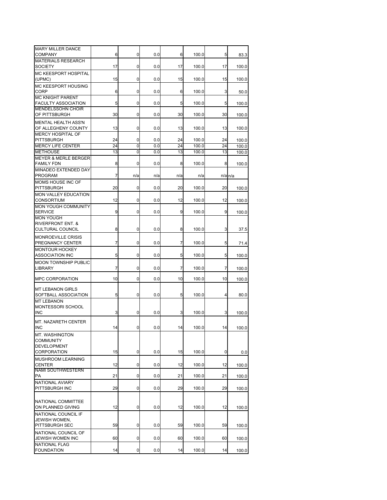| <b>MARY MILLER DANCE</b><br><b>COMPANY</b>              | 6  | 0   | 0.0 | 6   | 100.0 | 5  | 83.3                 |
|---------------------------------------------------------|----|-----|-----|-----|-------|----|----------------------|
| <b>MATERIALS RESEARCH</b><br><b>SOCIETY</b>             | 17 | 0   | 0.0 | 17  | 100.0 | 17 |                      |
| MC KEESPORT HOSPITAL                                    |    |     |     |     |       |    | 100.0                |
| (UPMC)<br>MC KEESPORT HOUSING                           | 15 | 0   | 0.0 | 15  | 100.0 | 15 | 100.0                |
| <b>CORP</b><br><b>MC KNIGHT PARENT</b>                  | 6  | 0   | 0.0 | 6   | 100.0 | 3  | 50.0                 |
| <b>FACULTY ASSOCIATION</b><br><b>MENDELSSOHN CHOIR</b>  | 5  | 0   | 0.0 | 5   | 100.0 | 5  | 100.0                |
| OF PITTSBURGH                                           | 30 | 0   | 0.0 | 30  | 100.0 | 30 | 100.0                |
| <b>MENTAL HEALTH ASS'N</b><br>OF ALLEGHENY COUNTY       | 13 | 0   | 0.0 | 13  | 100.0 | 13 | 100.0                |
| <b>MERCY HOSPITAL OF</b><br><b>PITTSBURGH</b>           | 24 | 0   | 0.0 | 24  | 100.0 | 24 | 100.0                |
| <b>MERCY LIFE CENTER</b>                                | 24 | 0   | 0.0 | 24  | 100.0 | 24 | 100.0                |
|                                                         |    | 0   |     |     |       |    |                      |
| <b>METHOUSE</b>                                         | 13 |     | 0.0 | 13  | 100.0 | 13 | 100.0                |
| <b>MEYER &amp; MERLE BERGER</b><br><b>FAMILY FDN</b>    | 8  | 0   | 0.0 | 8   | 100.0 | 8  | 100.0                |
| MINADEO EXTENDED DAY<br><b>PROGRAM</b>                  | 7  | n/a | n/a | n/a | n/a   |    | $n/a$ <sub>n/a</sub> |
| MOMS HOUSE INC OF<br><b>PITTSBURGH</b>                  | 20 | 0   | 0.0 | 20  | 100.0 | 20 | 100.0                |
| <b>MON VALLEY EDUCATION</b><br><b>CONSORTIUM</b>        | 12 | 0   | 0.0 | 12  | 100.0 | 12 | 100.0                |
| <b>MON YOUGH COMMUNITY</b>                              |    |     |     |     |       |    |                      |
| <b>SERVICE</b><br><b>MON YOUGH</b>                      | 9  | 0   | 0.0 | 9   | 100.0 | 9  | 100.0                |
| <b>RIVERFRONT ENT. &amp;</b><br><b>CULTURAL COUNCIL</b> | 8  | 0   | 0.0 | 8   | 100.0 | 3  | 37.5                 |
| <b>MONROEVILLE CRISIS</b><br>PREGNANCY CENTER           | 7  | 0   | 0.0 | 7   | 100.0 | 5  | 71.4                 |
| <b>MONTOUR HOCKEY</b><br><b>ASSOCIATION INC</b>         | 5  | 0   | 0.0 | 5   | 100.0 | 5  | 100.0                |
| MOON TOWNSHIP PUBLIC<br><b>LIBRARY</b>                  | 7  | 0   | 0.0 | 7   | 100.0 | 7  | 100.0                |
| <b>MPC CORPORATION</b>                                  | 10 | 0   | 0.0 | 10  | 100.0 | 10 | 100.0                |
| <b>MT LEBANON GIRLS</b>                                 |    |     |     |     |       |    |                      |
| SOFTBALL ASSOCIATION<br><b>MT LEBANON</b>               | 5  | 0   | 0.0 | 5   | 100.0 | 4  | 80.0                 |
| MONTESSORI SCHOOL<br><b>INC</b>                         | 3  | 0   | 0.0 | 3   | 100.0 | 3  | 100.0                |
| <b>MT. NAZARETH CENTER</b>                              |    |     |     |     |       |    |                      |
| INC<br>MT. WASHINGTON                                   | 14 | U   | 0.0 | 14  | 100.0 | 14 | 100.0                |
| <b>COMMUNITY</b>                                        |    |     |     |     |       |    |                      |
| <b>DEVELOPMENT</b><br><b>CORPORATION</b>                | 15 | 0   | 0.0 | 15  | 100.0 | 0  | 0.0                  |
| MUSHROOM LEARNING<br><b>CENTER</b>                      | 12 | 0   | 0.0 | 12  | 100.0 | 12 | 100.0                |
| <b>NAMI SOUTHWESTERN</b><br>PA                          | 21 | 0   | 0.0 | 21  | 100.0 | 21 | 100.0                |
| <b>NATIONAL AVIARY</b><br>PITTSBURGH INC                | 29 | 0   | 0.0 | 29  | 100.0 | 29 | 100.0                |
|                                                         |    |     |     |     |       |    |                      |
| NATIONAL COMMITTEE<br>ON PLANNED GIVING                 | 12 | 0   | 0.0 | 12  | 100.0 | 12 | 100.0                |
| NATIONAL COUNCIL IF                                     |    |     |     |     |       |    |                      |
| JEWISH WOMEN,<br><b>PITTSBURGH SEC</b>                  | 59 | 0   | 0.0 | 59  | 100.0 | 59 |                      |
| NATIONAL COUNCIL OF                                     |    |     |     |     |       |    | 100.0                |
| JEWISH WOMEN INC<br><b>NATIONAL FLAG</b>                | 60 | 0   | 0.0 | 60  | 100.0 | 60 | 100.0                |
| <b>FOUNDATION</b>                                       | 14 | 0   | 0.0 | 14  | 100.0 | 14 | 100.0                |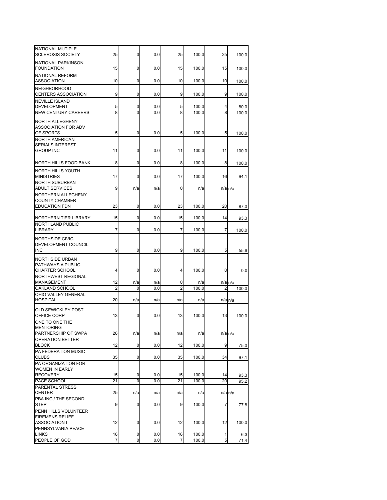| NATIONAL MUTIPLE<br><b>SCLEROSIS SOCIETY</b>     | 25             | 0              | 0.0 | 25             | 100.0 | 25 | 100.0                |
|--------------------------------------------------|----------------|----------------|-----|----------------|-------|----|----------------------|
| NATIONAL PARKINSON<br><b>FOUNDATION</b>          | 15             | 0              | 0.0 | 15             | 100.0 | 15 | 100.0                |
| NATIONAL REFORM                                  |                |                |     |                |       |    |                      |
| <b>ASSOCIATION</b><br><b>NEIGHBORHOOD</b>        | 10             | 0              | 0.0 | 10             | 100.0 | 10 | 100.0                |
| <b>CENTERS ASSOCIATION</b>                       | 9              | 0              | 0.0 | 9              | 100.0 | 9  | 100.0                |
| <b>NEVILLE ISLAND</b><br><b>DEVELOPMENT</b>      | 5              | 0              | 0.0 | 5              | 100.0 | 4  |                      |
| <b>NEW CENTURY CAREERS</b>                       | 8              | 0              | 0.0 | 8              | 100.0 | 8  | 80.0<br>100.0        |
| <b>NORTH ALLEGHENY</b>                           |                |                |     |                |       |    |                      |
| <b>ASSOCIATION FOR ADV</b><br>OF SPORTS          | 5              | 0              | 0.0 | 5              | 100.0 | 5  | 100.0                |
| <b>NORTH AMERICAN</b>                            |                |                |     |                |       |    |                      |
| <b>SERIALS INTEREST</b><br><b>GROUP INC</b>      | 11             | 0              | 0.0 | 11             | 100.0 | 11 | 100.0                |
|                                                  |                |                |     |                |       |    |                      |
| NORTH HILLS FOOD BANK                            | 8              | 0              | 0.0 | 8              | 100.0 | 8  | 100.0                |
| NORTH HILLS YOUTH<br><b>MINISTRIES</b>           | 17             | 0              | 0.0 | 17             | 100.0 | 16 | 94.1                 |
| <b>NORTH SUBURBAN</b><br><b>ADULT SERVICES</b>   | 9              | n/a            | n/a | 0              | n/a   |    | $n/a$ <sub>n/a</sub> |
| NORTHERN ALLEGHENY                               |                |                |     |                |       |    |                      |
| <b>COUNTY CHAMBER</b><br><b>EDUCATION FDN</b>    | 23             | 0              | 0.0 | 23             | 100.0 | 20 | 87.0                 |
|                                                  |                | 0              |     | 15             |       |    |                      |
| NORTHERN TIER LIBRARY<br><b>NORTHLAND PUBLIC</b> | 15             |                | 0.0 |                | 100.0 | 14 | 93.3                 |
| <b>LIBRARY</b>                                   | 7              | 0              | 0.0 | 7              | 100.0 | 7  | 100.0                |
| NORTHSIDE CIVIC                                  |                |                |     |                |       |    |                      |
| DEVELOPMENT COUNCIL<br><b>INC</b>                | 9              | 0              | 0.0 | 9              | 100.0 | 5  | 55.6                 |
| NORTHSIDE URBAN                                  |                |                |     |                |       |    |                      |
| <b>PATHWAYS A PUBLIC</b>                         |                |                |     |                |       |    |                      |
| <b>CHARTER SCHOOL</b><br>NORTHWEST REGIONAL      | 4              | 0              | 0.0 | 4              | 100.0 | 0  | 0.0                  |
| <b>MANAGEMENT</b>                                | 12             | n/a            | n/a | 0              | n/a   |    | $n/a$ $n/a$          |
| OAKLAND SCHOOL                                   | $\overline{2}$ | $\Omega$       | 0.0 | $\overline{2}$ | 100.0 | 2  | 100.0                |
| OHIO VALLEY GENERAL<br><b>HOSPITAL</b>           | 20             | n/a            | n/a | n/a            | n/a   |    | $n/a$ <sub>n/a</sub> |
| <b>OLD SEWICKLEY POST</b>                        |                |                |     |                |       |    |                      |
| OFFICE CORP                                      | 13             | 0              | 0.0 | 13             | 100.0 | 13 | 100.0                |
| ONE TO ONE THE<br><b>MENTORING</b>               |                |                |     |                |       |    |                      |
| PARTNERSHIP OF SWPA                              | 26             | n/a            | n/a | n/a            | n/a   |    | $n/a$ <sub>n/a</sub> |
| OPERATION BETTER<br><b>BLOCK</b>                 |                |                |     |                |       |    |                      |
| PA FEDERATION MUSIC                              | 12             | 0              | 0.0 | 12             | 100.0 | 9  | 75.0                 |
| <b>CLUBS</b>                                     | 35             | 0              | 0.0 | 35             | 100.0 | 34 | 97.1                 |
| PA ORGANIZATION FOR<br><b>WOMEN IN EARLY</b>     |                |                |     |                |       |    |                      |
| <b>RECOVERY</b>                                  | 15             | 0              | 0.0 | 15             | 100.0 | 14 | 93.3                 |
| PACE SCHOOL<br><b>PARENTAL STRESS</b>            | 21             | $\overline{0}$ | 0.0 | 21             | 100.0 | 20 | 95.2                 |
| <b>CENTER</b>                                    | 25             | n/a            | n/a | n/a            | n/a   |    | $n/a$ $n/a$          |
| PBA INC / THE SECOND<br><b>STEP</b>              | 9              | 0              | 0.0 | 9              | 100.0 | 7  | 77.8                 |
| PENN HILLS VOLUNTEER                             |                |                |     |                |       |    |                      |
| <b>FIREMENS RELIEF</b><br><b>ASSOCIATION I</b>   | 12             | $\mathbf 0$    | 0.0 | 12             | 100.0 | 12 | 100.0                |
| PENNSYLVANIA PEACE                               |                |                |     |                |       |    |                      |
| <b>LINKS</b><br>PEOPLE OF GOD                    | 16             | 0              | 0.0 | 16             | 100.0 | 1  | 6.3                  |
|                                                  | 7              | O              | 0.0 | 7              | 100.0 | 5  | 71.4                 |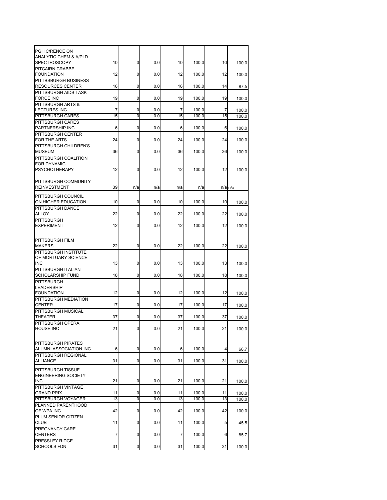| PGH C/RENCE ON                   |    |          |     |     |       |    |                      |
|----------------------------------|----|----------|-----|-----|-------|----|----------------------|
| <b>ANALYTIC CHEM &amp; A/PLD</b> |    |          |     |     |       |    |                      |
| <b>SPECTROSCOPY</b>              | 10 | 0        | 0.0 | 10  | 100.0 | 10 | 100.0                |
| PITCAIRN CRABBE                  |    |          |     |     |       |    |                      |
| <b>FOUNDATION</b>                | 12 | 0        | 0.0 | 12  | 100.0 | 12 | 100.0                |
| PITTBSBURGH BUSINESS             |    |          |     |     |       |    |                      |
| <b>RESOURCES CENTER</b>          | 16 | 0        | 0.0 | 16  | 100.0 | 14 | 87.5                 |
| PITTSBURGH AIDS TASK             |    |          |     |     |       |    |                      |
| <b>FORCE INC</b>                 | 19 | 0        | 0.0 | 19  | 100.0 | 19 | 100.0                |
| PITTSBURGH ARTS &                |    |          |     |     |       |    |                      |
| <b>LECTURES INC</b>              | 7  | 0        | 0.0 | 7   | 100.0 | 7  | 100.0                |
| <b>PITTSBURGH CARES</b>          | 15 | $\Omega$ | 0.0 | 15  | 100.0 | 15 | 100.0                |
| <b>PITTSBURGH CARES</b>          |    |          |     |     |       |    |                      |
| PARTNERSHIP INC                  | 6  | 0        | 0.0 | 6   | 100.0 | 6  | 100.0                |
| PITTSBURGH CENTER                |    |          |     |     |       |    |                      |
| FOR THE ARTS                     | 24 | 0        | 0.0 | 24  | 100.0 | 24 | 100.0                |
| PITTSBURGH CHILDREN'S            |    |          |     |     |       |    |                      |
| <b>MUSEUM</b>                    | 36 | 0        | 0.0 | 36  | 100.0 | 36 | 100.0                |
| PITTSBURGH COALITION             |    |          |     |     |       |    |                      |
| FOR DYNAMIC                      |    |          |     |     |       |    |                      |
| <b>PSYCHOTHERAPY</b>             | 12 | 0        | 0.0 | 12  | 100.0 | 12 | 100.0                |
|                                  |    |          |     |     |       |    |                      |
| PITTSBURGH COMMUNITY             |    |          |     |     |       |    |                      |
| <b>REINVESTMENT</b>              | 39 | n/a      | n/a | n/a | n/a   |    | $n/a$ <sub>n/a</sub> |
|                                  |    |          |     |     |       |    |                      |
| <b>PITTSBURGH COUNCIL</b>        |    |          |     |     |       |    |                      |
| ON HIGHER EDUCATION              | 10 | 0        | 0.0 | 10  | 100.0 | 10 | 100.0                |
| PITTSBURGH DANCE                 |    |          |     |     |       |    |                      |
| <b>ALLOY</b>                     | 22 | 0        | 0.0 | 22  | 100.0 | 22 | 100.0                |
| <b>PITTSBURGH</b>                |    |          |     |     |       |    |                      |
| <b>EXPERIMENT</b>                | 12 | 0        | 0.0 | 12  | 100.0 | 12 | 100.0                |
|                                  |    |          |     |     |       |    |                      |
| PITTSBURGH FILM                  |    |          |     |     |       |    |                      |
| <b>MAKERS</b>                    | 22 | 0        | 0.0 | 22  | 100.0 | 22 | 100.0                |
| PITTSBURGH INSTITUTE             |    |          |     |     |       |    |                      |
| OF MORTUARY SCIENCE              |    |          |     |     |       |    |                      |
| <b>INC</b>                       | 13 | 0        | 0.0 | 13  | 100.0 | 13 | 100.0                |
| PITTSBURGH ITALIAN               |    |          |     |     |       |    |                      |
| <b>SCHOLARSHIP FUND</b>          | 18 | 0        | 0.0 | 18  | 100.0 | 18 | 100.0                |
| <b>PITTSBURGH</b>                |    |          |     |     |       |    |                      |
| <b>LEADERSHIP</b>                |    |          |     |     |       |    |                      |
| <b>FOUNDATION</b>                | 12 | 0        | 0.0 | 12  | 100.0 | 12 | 100.0                |
| PITTSBURGH MEDIATION             |    |          |     |     |       |    |                      |
| <b>CENTER</b>                    | 17 | 0        | 0.0 | 17  | 100.0 | 17 | 100.0                |
| PITTSBURGH MUSICAL               |    |          |     |     |       |    |                      |
| <b>THEATER</b>                   | 37 | 0        | 0.0 | 37  | 100.0 | 37 | 100.0                |
| PITTSBURGH OPERA                 |    |          |     |     |       |    |                      |
| <b>HOUSE INC</b>                 | 21 |          | 0.0 | 21  | 100.0 | 21 | 100.0                |
|                                  |    |          |     |     |       |    |                      |
|                                  |    |          |     |     |       |    |                      |
| PITTSBURGH PIRATES               |    |          |     |     |       |    |                      |
| ALUMNI ASSOCIATION INC           | 6  | 0        | 0.0 | 6   | 100.0 | 4  | 66.7                 |
| PITTSBURGH REGIONAL              |    |          |     |     |       |    |                      |
| <b>ALLIANCE</b>                  | 31 | 0        | 0.0 | 31  | 100.0 | 31 | 100.0                |
| PITTSBURGH TISSUE                |    |          |     |     |       |    |                      |
| <b>ENGINEERING SOCIETY</b>       |    |          |     |     |       |    |                      |
| <b>INC</b>                       | 21 | 0        | 0.0 | 21  | 100.0 | 21 | 100.0                |
| PITTSBURGH VINTAGE               |    |          |     |     |       |    |                      |
| <b>GRAND PRIX</b>                | 11 | 0        | 0.0 | 11  | 100.0 | 11 | 100.0                |
| PITTSBURGH VOYAGER               | 13 | 0        | 0.0 | 13  | 100.0 | 13 | 100.0                |
| PLANNED PARENTHOOD               |    |          |     |     |       |    |                      |
| OF WPA INC                       | 42 | 0        | 0.0 | 42  | 100.0 | 42 | 100.0                |
| PLUM SENIOR CITIZEN              |    |          |     |     |       |    |                      |
| <b>CLUB</b>                      | 11 | 0        | 0.0 | 11  | 100.0 | 5  | 45.5                 |
| PREGNANCY CARE                   |    |          |     |     |       |    |                      |
| <b>CENTERS</b>                   | 7  | 0        | 0.0 | 7   | 100.0 | 6  |                      |
| PRESSLEY RIDGE                   |    |          |     |     |       |    | 85.7                 |
| <b>SCHOOLS FDN</b>               | 31 | 0        | 0.0 | 31  | 100.0 | 31 |                      |
|                                  |    |          |     |     |       |    | 100.0                |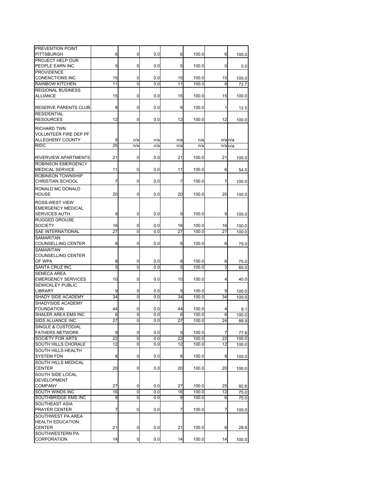| PREVENTION POINT             |                 |                |     |     |       |     |                      |
|------------------------------|-----------------|----------------|-----|-----|-------|-----|----------------------|
| <b>PITTSBURGH</b>            | 6               | 0              | 0.0 | 6   | 100.0 | 6   | 100.0                |
| PROJECT HELP OUR             |                 |                |     |     |       |     |                      |
| PEOPLE EARN INC              | 5               | 0              | 0.0 | 5   | 100.0 | 0   | 0.0                  |
| <b>PROVIDENCE</b>            |                 |                |     |     |       |     |                      |
| <b>CONENCTIONS INC</b>       | 15              | 0              | 0.0 | 15  | 100.0 | 15  | 100.0                |
| <b>RAINBOW KITCHEN</b>       | 11              | $\overline{0}$ | 0.0 | 11  | 100.0 | 8   | 72.7                 |
|                              |                 |                |     |     |       |     |                      |
| <b>REGIONAL BUSINESS</b>     |                 |                |     |     |       |     |                      |
| <b>ALLIANCE</b>              | 15              | 0              | 0.0 | 15  | 100.0 | 15  | 100.0                |
|                              |                 |                |     |     |       |     |                      |
| RESERVE PARENTS CLUB         | 8               | 0              | 0.0 | 8   | 100.0 | 1   | 12.5                 |
| <b>RESIDENTIAL</b>           |                 |                |     |     |       |     |                      |
| <b>RESOURCES</b>             | 12              | 0              | 0.0 | 12  | 100.0 | 12  | 100.0                |
|                              |                 |                |     |     |       |     |                      |
| <b>RICHARD TWN</b>           |                 |                |     |     |       |     |                      |
| <b>VOLUNTEER FIRE DEP PF</b> |                 |                |     |     |       |     |                      |
| <b>ALLEGHENY COUNTY</b>      | 9               | n/a            | n/a | n/a | n/a   |     | $n/a$ <sub>n/a</sub> |
| <b>RIDC</b>                  | 25              | n/a            | n/a | n/a | n/a   | n/a | n/a                  |
|                              |                 |                |     |     |       |     |                      |
| <b>RIVERVIEW APARTMENTS</b>  | 21              | 0              | 0.0 | 21  | 100.0 | 21  | 100.0                |
| ROBINSON EMERGENCY           |                 |                |     |     |       |     |                      |
| <b>MEDICAL SERVICE</b>       | 11              | 0              | 0.0 | 11  | 100.0 | 6   | 54.5                 |
| <b>ROBINSON TOWNSHIP</b>     |                 |                |     |     |       |     |                      |
|                              |                 |                |     |     |       |     |                      |
| <b>CHRISTIAN SCHOOL</b>      | 7               | 0              | 0.0 | 7   | 100.0 | 7   | 100.0                |
| RONALD MC DONALD             |                 |                |     |     |       |     |                      |
| <b>HOUSE</b>                 | 20              | 0              | 0.0 | 20  | 100.0 | 20  | 100.0                |
|                              |                 |                |     |     |       |     |                      |
| ROSS-WEST VIEW               |                 |                |     |     |       |     |                      |
| <b>EMERGENCY MEDICAL</b>     |                 |                |     |     |       |     |                      |
| <b>SERVICES AUTH.</b>        | 9               | 0              | 0.0 | 9   | 100.0 | 9   | 100.0                |
| <b>RUGGED GROUSE</b>         |                 |                |     |     |       |     |                      |
| <b>SOCIETY</b>               | 16              | 0              | 0.0 | 16  | 100.0 | 16  | 100.0                |
| SAE INTERNATIONAL            | 27              | $\overline{0}$ | 0.0 | 27  | 100.0 | 27  | 100.0                |
| <b>SAMARITAN</b>             |                 |                |     |     |       |     |                      |
| <b>COUNSELLING CENTER</b>    | 8               | 0              | 0.0 | 8   | 100.0 | 6   | 75.0                 |
| <b>SAMARITAN</b>             |                 |                |     |     |       |     |                      |
|                              |                 |                |     |     |       |     |                      |
| <b>COUNSELLING CENTER</b>    |                 |                |     |     |       |     |                      |
| OF WPA                       | 8               | 0              | 0.0 | 8   | 100.0 | 6   | 75.0                 |
| <b>SANTA CRUZ INC</b>        | 5               | Ō              | 0.0 | 5   | 100.0 | 3   | 60.0                 |
| <b>SENECA AREA</b>           |                 |                |     |     |       |     |                      |
| <b>EMERGENCY SERVICES</b>    | 10              | 0              | 0.0 | 10  | 100.0 | 4   | 40.0                 |
| <b>SEWICKLEY PUBLIC</b>      |                 |                |     |     |       |     |                      |
| <b>LIBRARY</b>               | 9               | 0              | 0.0 | 9   | 100.0 | 9   | 100.0                |
| SHADY SIDE ACADEMY           | 34              | 0              | 0.0 | 34  | 100.0 | 34  | 100.0                |
| SHADYSIDE ACADEMY            |                 |                |     |     |       |     |                      |
| <b>FOUNDATION</b>            | 44              |                |     |     |       |     |                      |
|                              |                 | 0              | 0.0 | 44  | 100.0 |     | 9.1                  |
| <b>SHALER AREA EMS INC</b>   | 6               | 0              | 0.0 | 6   | 100.0 | 6   | 100.0                |
| <b>SIDS ALLIANCE INC</b>     | $\overline{27}$ | 0              | 0.0 | 27  | 100.0 | 24  | 88.9                 |
| SINGLE & CUSTODIAL           |                 |                |     |     |       |     |                      |
| <b>FATHERS NETWORK</b>       | 9               | $\mathbf 0$    | 0.0 | 9   | 100.0 | 7   | 77.8                 |
| <b>SOCIETY FOR ARTS</b>      | 22              | 0              | 0.0 | 22  | 100.0 | 22  | $\overline{1}00.0$   |
| SOUTH HILLS CHORALE          | 12              | 0              | 0.0 | 12  | 100.0 | 12  | 100.0                |
| <b>SOUTH HILLS HEALTH</b>    |                 |                |     |     |       |     |                      |
| <b>SYSTEM FDN</b>            | 8               | 0              | 0.0 | 8   | 100.0 | 8   |                      |
|                              |                 |                |     |     |       |     | 100.0                |
| SOUTH HILLS MEDICAL          |                 |                |     |     |       |     |                      |
| <b>CENTER</b>                | 20              | 0              | 0.0 | 20  | 100.0 | 20  | 100.0                |
| SOUTH SIDE LOCAL             |                 |                |     |     |       |     |                      |
| <b>DEVELOPMENT</b>           |                 |                |     |     |       |     |                      |
| <b>COMPANY</b>               | 27              | 0              | 0.0 | 27  | 100.0 | 25  | 92.6                 |
| <b>SOUTH WINDS INC</b>       | 16              | 0              | 0.0 | 16  | 100.0 | 12  | 75.0                 |
| SOUTHBRIDGE EMS INC          | 8               | 0              | 0.0 | 8   | 100.0 | 6   | 75.0                 |
| SOUTHEAST ASIA               |                 |                |     |     |       |     |                      |
| <b>PRAYER CENTER</b>         | 7               | 0              | 0.0 | 7   | 100.0 | 7   |                      |
|                              |                 |                |     |     |       |     | 100.0                |
| SOUTHWEST PA AREA            |                 |                |     |     |       |     |                      |
| <b>HEALTH EDUCATION</b>      |                 |                |     |     |       |     |                      |
| <b>CENTER</b>                | 21              | 0              | 0.0 | 21  | 100.0 | 6   | 28.6                 |
| SOUTHWESTERN PA              |                 |                |     |     |       |     |                      |
| <b>CORPORATION</b>           | 14              | 0              | 0.0 | 14  | 100.0 | 14  | 100.0                |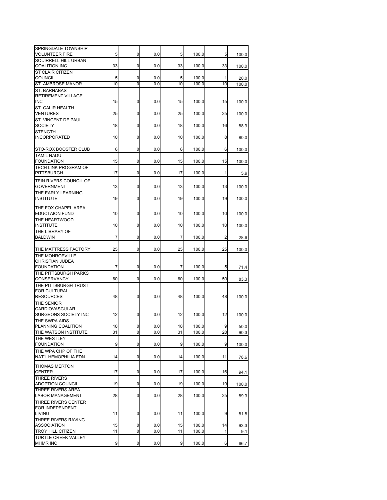| SPRINGDALE TOWNSHIP<br><b>VOLUNTEER FIRE</b>   | 5  | 0 | 0.0 | 5  | 100.0 | 5  | 100.0 |
|------------------------------------------------|----|---|-----|----|-------|----|-------|
| <b>SQUIRRELL HILL URBAN</b>                    |    |   |     |    |       |    |       |
| <b>COALITION INC</b>                           | 33 | 0 | 0.0 | 33 | 100.0 | 33 | 100.0 |
| ST CLAIR CITIZEN<br><b>COUNCIL</b>             | 5  | 0 | 0.0 | 5  | 100.0 | 1  | 20.0  |
| <b>ST. AMBROSE MANOR</b>                       | 10 | O | 0.0 | 10 | 100.0 | 10 | 100.0 |
| <b>ST. BARNABAS</b>                            |    |   |     |    |       |    |       |
| <b>RETIREMENT VILLAGE</b><br><b>INC</b>        | 15 | 0 | 0.0 | 15 | 100.0 | 15 | 100.0 |
| ST. CALIR HEALTH                               |    |   |     |    |       |    |       |
| <b>VENTURES</b>                                | 25 | 0 | 0.0 | 25 | 100.0 | 25 | 100.0 |
| ST. VINCENT DE PAUL                            |    |   |     |    |       |    |       |
| <b>SOCIETY</b><br><b>STENGTH</b>               | 18 | 0 | 0.0 | 18 | 100.0 | 16 | 88.9  |
| <b>INCORPORATED</b>                            | 10 | 0 | 0.0 | 10 | 100.0 | 8  | 80.0  |
|                                                |    |   |     |    |       |    |       |
| STO-ROX BOOSTER CLUB<br><b>TAMIL NADU</b>      | 6  | 0 | 0.0 | 6  | 100.0 | 6  | 100.0 |
| <b>FOUNDATION</b>                              | 15 | 0 | 0.0 | 15 | 100.0 | 15 | 100.0 |
| <b>TECH LINK PROGRAM OF</b>                    |    |   |     |    |       |    |       |
| <b>PITTSBURGH</b>                              | 17 | 0 | 0.0 | 17 | 100.0 | 1  | 5.9   |
| <b>TEIN RIVERS COUNCIL OF</b>                  |    |   |     |    |       |    |       |
| <b>GOVERNMENT</b><br>THE EARLY LEARNING        | 13 | 0 | 0.0 | 13 | 100.0 | 13 | 100.0 |
| <b>INSTITUTE</b>                               | 19 | 0 | 0.0 | 19 | 100.0 | 19 | 100.0 |
| THE FOX CHAPEL AREA                            |    |   |     |    |       |    |       |
| <b>EDUCTAION FUND</b>                          | 10 | 0 | 0.0 | 10 | 100.0 | 10 | 100.0 |
| THE HEARTWOOD                                  |    |   |     |    |       |    |       |
| <b>INSTITUTE</b><br>THE LIBRARY OF             | 10 | 0 | 0.0 | 10 | 100.0 | 10 | 100.0 |
| <b>BALDWIN</b>                                 | 7  | 0 | 0.0 | 7  | 100.0 | 2  | 28.6  |
|                                                |    |   |     |    |       |    |       |
| THE MATTRESS FACTORY                           | 25 | 0 | 0.0 | 25 | 100.0 | 25 | 100.0 |
| THE MONROEVILLE<br>CHRISTIAN JUDEA             |    |   |     |    |       |    |       |
| <b>FOUNDATION</b>                              | 7  | 0 | 0.0 | 7  | 100.0 | 5  | 71.4  |
| THE PITTSBURGH PARKS                           |    |   |     |    |       |    |       |
| <b>CONSERVANCY</b><br>THE PITTSBURGH TRUST     | 60 | 0 | 0.0 | 60 | 100.0 | 50 | 83.3  |
| <b>FOR CULTURAL</b>                            |    |   |     |    |       |    |       |
| <b>RESOURCES</b>                               | 48 | 0 | 0.0 | 48 | 100.0 | 48 | 100.0 |
| THE SENIOR                                     |    |   |     |    |       |    |       |
| CARDIOVASCULAR<br>SURGEONS SOCIETY INC         | 12 | 0 | 0.0 | 12 | 100.0 | 12 | 100.0 |
| THE SWPA AIDS                                  |    |   |     |    |       |    |       |
| PLANNING COALITION                             | 18 | 0 | 0.0 | 18 | 100.0 | 9  | 50.0  |
| THE WATSON INSTITUTE<br>THE WESTLEY            | 31 | Ō | 0.0 | 31 | 100.0 | 28 | 90.3  |
| <b>FOUNDATION</b>                              | 9  | 0 | 0.0 | 9  | 100.0 | 9  | 100.0 |
| THE WPA CHP OF THE                             |    |   |     |    |       |    |       |
| NAT'L HEMOPHILIA FDN                           | 14 | 0 | 0.0 | 14 | 100.0 | 11 | 78.6  |
| <b>THOMAS MERTON</b>                           |    |   |     |    |       |    |       |
| <b>CENTER</b>                                  | 17 | 0 | 0.0 | 17 | 100.0 | 16 | 94.1  |
| <b>THREE RIVERS</b><br><b>ADOPTION COUNCIL</b> | 19 | 0 | 0.0 | 19 | 100.0 | 19 | 100.0 |
| THREE RIVERS AREA                              |    |   |     |    |       |    |       |
| <b>LABOR MANAGEMENT</b>                        | 28 | 0 | 0.0 | 28 | 100.0 | 25 | 89.3  |
| THREE RIVERS CENTER                            |    |   |     |    |       |    |       |
| FOR INDEPENDENT<br><b>LIVING</b>               | 11 | 0 | 0.0 | 11 | 100.0 | 9  | 81.8  |
| THREE RIVERS RAVING                            |    |   |     |    |       |    |       |
| <b>ASSOCIATION</b>                             | 15 | 0 | 0.0 | 15 | 100.0 | 14 | 93.3  |
| <b>TROY HILL CITIZEN</b>                       |    |   |     |    |       |    |       |
| <b>TURTLE CREEK VALLEY</b>                     | 11 | 0 | 0.0 | 11 | 100.0 | 1  | 9.1   |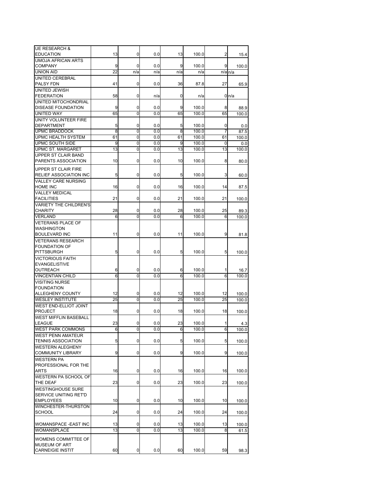| <b>UE RESEARCH &amp;</b>      |    |                |     |     |       |     |       |
|-------------------------------|----|----------------|-----|-----|-------|-----|-------|
|                               | 13 | 0              |     | 13  |       |     |       |
| EDUCATION                     |    |                | 0.0 |     | 100.0 | 2   | 15.4  |
| <b>UMOJA AFRICAN ARTS</b>     |    |                |     |     |       |     |       |
| <b>COMPANY</b>                | 9  | 0              | 0.0 | 9   | 100.0 | 9   | 100.0 |
| <b>UNION AID</b>              | 22 | n/a            | n/a | n/a | n/a   | n/a | n/a   |
| UNITED CEREBRAL               |    |                |     |     |       |     |       |
| PALSY FDN                     | 41 | 0              | 0.0 | 36  | 87.8  | 27  | 65.9  |
| UNITED JEWISH                 |    |                |     |     |       |     |       |
| <b>FEDERATION</b>             | 58 | 0              | n/a | 0   | n/a   |     | 0n/a  |
| UNITED MITOCHONDRIAL          |    |                |     |     |       |     |       |
| <b>DISEASE FOUNDATION</b>     | 9  | 0              | 0.0 | 9   | 100.0 | 8   | 88.9  |
| <b>UNITED WAY</b>             | 65 | $\overline{0}$ | 0.0 | 65  | 100.0 | 65  | 100.0 |
| UNITY VOLUNTEER FIRE          |    |                |     |     |       |     |       |
| <b>DEPARTMENT</b>             | 5  | 0              | 0.0 | 5   | 100.0 | 0   | 0.0   |
| <b>UPMC BRADDOCK</b>          | 8  | 0              | 0.0 | 8   | 100.0 | 7   | 87.5  |
| <b>UPMC HEALTH SYSTEM</b>     | 61 | ō              | 0.0 | 61  | 100.0 | 61  | 100.0 |
| UPMC SOUTH SIDE               | 9  | 0              | 0.0 | 9   | 100.0 | 0   | 0.0   |
| <b>UPMC ST. MARGARET</b>      | 13 | Ō              | 0.0 | 13  | 100.0 | 13  | 100.0 |
| UPPER ST CLAIR BAND           |    |                |     |     |       |     |       |
| PARENTS ASSOCIATION           | 10 | 0              | 0.0 | 10  | 100.0 | 8   | 80.0  |
|                               |    |                |     |     |       |     |       |
| <b>UPPER ST CLAIR FIRE</b>    |    |                |     |     |       |     |       |
| <b>RELIEF ASSOCIATION INC</b> | 5  | 0              | 0.0 | 5   | 100.0 | 3   | 60.0  |
| <b>VALLEY CARE NURSING</b>    |    |                |     |     |       |     |       |
| HOME INC                      | 16 | 0              | 0.0 | 16  | 100.0 | 14  | 87.5  |
| <b>VALLEY MEDICAL</b>         |    |                |     |     |       |     |       |
| <b>FACILITIES</b>             | 21 | 0              | 0.0 | 21  | 100.0 | 21  | 100.0 |
| <b>VARIETY THE CHILDREN'S</b> |    |                |     |     |       |     |       |
| CHARITY                       | 28 | 0              | 0.0 | 28  | 100.0 | 25  | 89.3  |
| <b>VERLAND</b>                | 6  | 0              | 0.0 | 6   | 100.0 | 6   | 100.0 |
| <b>VETERANS PLACE OF</b>      |    |                |     |     |       |     |       |
| WASHINGTON                    |    |                |     |     |       |     |       |
| <b>BOULEVARD INC</b>          | 11 | 0              | 0.0 | 11  | 100.0 | 9   | 81.8  |
|                               |    |                |     |     |       |     |       |
| <b>VETERANS RESEARCH</b>      |    |                |     |     |       |     |       |
| <b>FOUNDATION OF</b>          |    |                |     |     |       |     |       |
| <b>PITTSBURGH</b>             | 5  | 0              | 0.0 | 5   | 100.0 | 5   | 100.0 |
| <b>VICTORIOUS FAITH</b>       |    |                |     |     |       |     |       |
| <b>EVANGELISTIVE</b>          |    |                |     |     |       |     |       |
| OUTREACH                      | 6  | 0              | 0.0 | 6   | 100.0 |     | 16.7  |
| <b>VINCENTIAN CHILD</b>       | 6  | O              | 0.0 | 6   | 100.0 | 6   | 100.0 |
| <b>VISITING NURSE</b>         |    |                |     |     |       |     |       |
| <b>FOUNDATION</b>             |    |                |     |     |       |     |       |
| ALLEGHENY COUNTY              | 12 | 0              | 0.0 | 12  | 100.0 | 12  | 100.0 |
| <b>WESLEY INSTITUTE</b>       | 25 | O              | 0.0 | 25  | 100.0 | 25  | 100.0 |
| WEST END-ELLIOT JOINT         |    |                |     |     |       |     |       |
| <b>PROJECT</b>                | 18 | 0              | 0.0 | 18  | 100.0 | 18  | 100.0 |
| WEST MIFFLIN BASEBALL         |    |                |     |     |       |     |       |
| LEAGUE                        | 23 | 0              | 0.0 | 23  | 100.0 | 1   | 4.3   |
| WEST PARK COMMONS             | 6  | 0              | 0.0 | 6   | 100.0 | 6   | 100.0 |
| <b>WEST PENN AMATEUR</b>      |    |                |     |     |       |     |       |
| <b>TENNIS ASSOCIATION</b>     | 5  | 0              | 0.0 | 5   | 100.0 | 5   |       |
|                               |    |                |     |     |       |     | 100.0 |
| WESTERN ALEGHENY              |    |                |     |     |       |     |       |
| COMMUNITY LIBRARY             | 9  | 0              | 0.0 | 9   | 100.0 | 9   | 100.0 |
| <b>WESTERN PA</b>             |    |                |     |     |       |     |       |
| PROFESSIONAL FOR THE          |    |                |     |     |       |     |       |
| <b>ARTS</b>                   | 16 | 0              | 0.0 | 16  | 100.0 | 16  | 100.0 |
| WESTERN PA SCHOOL OF          |    |                |     |     |       |     |       |
| THE DEAF                      | 23 | 0              | 0.0 | 23  | 100.0 | 23  | 100.0 |
| <b>WESTINGHOUSE SURE</b>      |    |                |     |     |       |     |       |
| SERVICE UNITING RET'D         |    |                |     |     |       |     |       |
| <b>EMPLOYEES</b>              | 10 | 0              | 0.0 | 10  | 100.0 | 10  | 100.0 |
| WINCHESTER-THURSTON           |    |                |     |     |       |     |       |
| SCHOOL                        | 24 | 0              | 0.0 | 24  | 100.0 | 24  | 100.0 |
|                               |    |                |     |     |       |     |       |
| WOMANSPACE -EAST INC          | 13 | 0              | 0.0 | 13  | 100.0 | 13  | 100.0 |
| WOMANSPLACE                   | 13 | 0              | 0.0 | 13  | 100.0 | 8   | 61.5  |
|                               |    |                |     |     |       |     |       |
| WOMENS COMMITTEE OF           |    |                |     |     |       |     |       |
| MUSEUM OF ART                 |    |                |     |     |       |     |       |
| <b>CARNEIGIE INSTIT</b>       | 60 | 0              | 0.0 | 60  | 100.0 | 59  | 98.3  |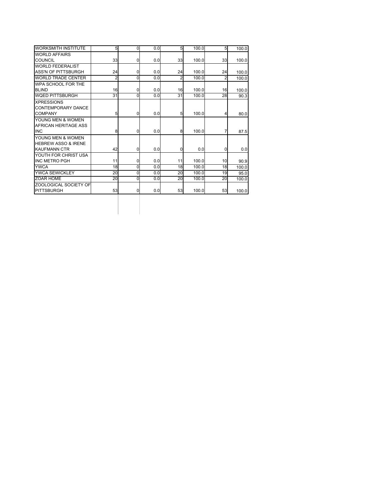| <b>WORKSMITH INSTITUTE</b>                                                 | 5  | 0 | 0.0 | 5  | 100.0 | 5  | 100.0 |
|----------------------------------------------------------------------------|----|---|-----|----|-------|----|-------|
| <b>WORLD AFFAIRS</b>                                                       |    |   |     |    |       |    |       |
| COUNCIL                                                                    | 33 | 0 | 0.0 | 33 | 100.0 | 33 | 100.0 |
| <b>WORLD FEDERALIST</b>                                                    |    |   |     |    |       |    |       |
| <b>ASS'N OF PITTSBURGH</b>                                                 | 24 | 0 | 0.0 | 24 | 100.0 | 24 | 100.0 |
| <b>WORLD TRADE CENTER</b>                                                  | 2  | 0 | 0.0 | 2  | 100.0 | 2  | 100.0 |
| WPA SCHOOL FOR THE                                                         |    |   |     |    |       |    |       |
| <b>BLIND</b>                                                               | 16 | 0 | 0.0 | 16 | 100.0 | 16 | 100.0 |
| <b>WQED PITTSBURGH</b>                                                     | 31 | 0 | 0.0 | 31 | 100.0 | 28 | 90.3  |
| <b>XPRESSIONS</b><br>CONTEMPORARY DANCE<br><b>COMPANY</b>                  | 5  | 0 | 0.0 | 5  | 100.0 |    | 80.0  |
| YOUNG MEN & WOMEN<br>AFRICAN HERITAGE ASS<br><b>INC</b>                    | 8  | 0 | 0.0 | 8  | 100.0 |    | 87.5  |
| YOUNG MEN & WOMEN<br><b>HEBREW ASSO &amp; IRENE</b><br><b>KAUFMANN CTR</b> | 42 | 0 | 0.0 | 0  | 0.0   | ŋ  | 0.0   |
| YOUTH FOR CHRIST USA<br><b>INC METRO PGH</b>                               | 11 | 0 | 0.0 | 11 | 100.0 | 10 | 90.9  |
| <b>YWCA</b>                                                                | 18 | 0 | 0.0 | 18 | 100.0 | 18 | 100.0 |
| YWCA SEWICKLEY                                                             | 20 | 0 | 0.0 | 20 | 100.0 | 19 | 95.0  |
| ZOAR HOME                                                                  | 20 | 0 | 0.0 | 20 | 100.0 | 20 | 100.0 |
| ZOOLOGICAL SOCIETY OF<br><b>PITTSBURGH</b>                                 | 53 | 0 | 0.0 | 53 | 100.0 | 53 | 100.0 |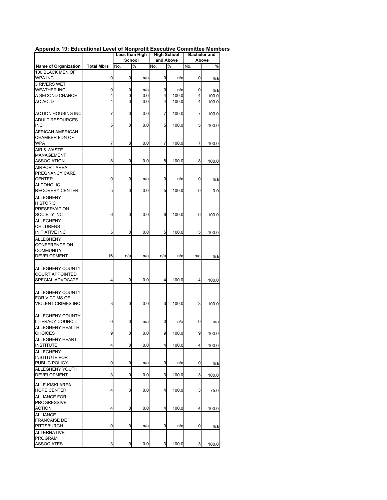| Appendix 19: Educational Level of Nonprofit Executive Committee Members |  |  |  |  |  |
|-------------------------------------------------------------------------|--|--|--|--|--|
|-------------------------------------------------------------------------|--|--|--|--|--|

|                           |                   |     | Less than High |     | <b>High School</b> |     | <b>Bachelor</b> and |
|---------------------------|-------------------|-----|----------------|-----|--------------------|-----|---------------------|
|                           |                   |     | <b>School</b>  |     | and Above          |     | Above               |
| Name of Organization      | <b>Total Mbrs</b> | No. | %              | No. | %                  | No. | %                   |
| 100 BLACK MEN OF          |                   |     |                |     |                    |     |                     |
| WPA INC                   | 0                 | 0   | n/a            | 0   | n/a                | 0   | n/a                 |
| 3 RIVERS WET              |                   |     |                |     |                    |     |                     |
| <b>WEATHER INC</b>        | 0                 | 0   | n/a            | 0   | n/a                | 0   | n/a                 |
| A SECOND CHANCE           | 4                 | 0   | 0.0            | 4   | 100.0              | 4   | 100.0               |
| <b>AC ACLD</b>            | 4                 | 0   | 0.0            | 4   | 100.0              | 4   | 100.0               |
|                           |                   |     |                |     |                    |     |                     |
| <b>ACTION HOUSING INC</b> | 7                 | 0   | 0.0            | 7   | 100.0              | 7   | 100.0               |
| <b>ADULT RESOURCES</b>    |                   |     |                |     |                    |     |                     |
| <b>INC</b>                | 5                 | 0   | 0.0            | 5   | 100.0              | 5   | 100.0               |
| AFRICAN AMERICAN          |                   |     |                |     |                    |     |                     |
| CHAMBER FDN OF            |                   |     |                |     |                    |     |                     |
| <b>WPA</b>                | 7                 | 0   | 0.0            | 7   | 100.0              | 7   | 100.0               |
| AIR & WASTE               |                   |     |                |     |                    |     |                     |
| MANAGEMENT                |                   |     |                |     |                    |     |                     |
| ASSOCIATION               | 8                 | 0   | 0.0            | 8   | 100.0              | 8   | 100.0               |
| <b>AIRPORT AREA</b>       |                   |     |                |     |                    |     |                     |
| PREGNANCY CARE            |                   |     |                |     |                    |     |                     |
| CENTER                    | 0                 | 0   | n/a            | 0   | n/a                | 0   | n/a                 |
| <b>ALCOHOLIC</b>          |                   |     |                |     |                    |     |                     |
| RECOVERY CENTER           | 5                 | 0   | 0.0            | 5   | 100.0              | 0   | 0.0                 |
| <b>ALLEGHENY</b>          |                   |     |                |     |                    |     |                     |
| <b>HISTORIC</b>           |                   |     |                |     |                    |     |                     |
| <b>PRESERVATION</b>       |                   |     |                |     |                    |     |                     |
| SOCIETY INC               | 6                 | 0   | 0.0            | 6   | 100.0              | 6   | 100.0               |
| <b>ALLEGHENY</b>          |                   |     |                |     |                    |     |                     |
| <b>CHILDRENS</b>          |                   |     |                |     |                    |     |                     |
| <b>INITIATIVE INC</b>     | 5                 | 0   | 0.0            | 5   | 100.0              | 5   | 100.0               |
| <b>ALLEGHENY</b>          |                   |     |                |     |                    |     |                     |
| CONFERENCE ON             |                   |     |                |     |                    |     |                     |
| <b>COMMUNITY</b>          |                   |     |                |     |                    |     |                     |
| DEVELOPMENT               | 16                | n/a | n/a            | n/a | n/a                | n/a | n/a                 |
|                           |                   |     |                |     |                    |     |                     |
| ALLEGHENY COUNTY          |                   |     |                |     |                    |     |                     |
| <b>COURT APPOINTED</b>    |                   |     |                |     |                    |     |                     |
| SPECIAL ADVOCATE          | 4                 | 0   | 0.0            | 4   | 100.0              | 4   | 100.0               |
|                           |                   |     |                |     |                    |     |                     |
| ALLEGHENY COUNTY          |                   |     |                |     |                    |     |                     |
| FOR VICTIMS OF            |                   |     |                |     |                    |     |                     |
| VIOLENT CRIMES INC        | 3                 | 0   | 0.0            | 3   | 100.0              | 3   | 100.0               |
|                           |                   |     |                |     |                    |     |                     |
| ALLEGHENY COUNTY          |                   |     |                |     |                    |     |                     |
| LITERACY COUNCIL          | 0                 | 0   | n/a            | 0   | n/a                | 0   | n/a                 |
| ALLEGHENY HEALTH          |                   |     |                |     |                    |     |                     |
| <b>CHOICES</b>            | 9                 | 0   | 0.0            | 9   | 100.0              | 9   | 100.0               |
| <b>ALLEGHENY HEART</b>    |                   |     |                |     |                    |     |                     |
| <b>INSTITUTE</b>          | 4                 | 0   | 0.0            | 4   | 100.0              | 4   | 100.0               |
| <b>ALLEGHENY</b>          |                   |     |                |     |                    |     |                     |
| <b>INSTITUTE FOR</b>      |                   |     |                |     |                    |     |                     |
| PUBLIC POLICY             | 0                 | 0   | n/a            | 0   | n/a                | 0   | n/a                 |
| ALLEGHENY YOUTH           |                   |     |                |     |                    |     |                     |
| DEVELOPMENT               | 3                 | 0   | 0.0            | 3   | 100.0              | 3   | 100.0               |
|                           |                   |     |                |     |                    |     |                     |
| ALLE-KISKI AREA           |                   |     |                |     |                    |     |                     |
| <b>HOPE CENTER</b>        | 4                 | 0   | 0.0            | 4   | 100.0              | 3   | 75.0                |
| <b>ALLIANCE FOR</b>       |                   |     |                |     |                    |     |                     |
| <b>PROGRESSIVE</b>        |                   |     |                |     |                    |     |                     |
| ACTION                    | 4                 | 0   | 0.0            | 4   | 100.0              | 4   | 100.0               |
| <b>ALLIANCE</b>           |                   |     |                |     |                    |     |                     |
| <b>FRANCAISE DE</b>       |                   |     |                |     |                    |     |                     |
| PITTSBURGH                | 0                 | 0   | n/a            | 0   | n/a                | 0   | n/a                 |
| ALTERNATIVE               |                   |     |                |     |                    |     |                     |
| <b>PROGRAM</b>            |                   |     |                |     |                    |     |                     |
| <b>ASSOCIATES</b>         | 3                 | 0   | 0.0            | 3   | 100.0              | 3   | 100.0               |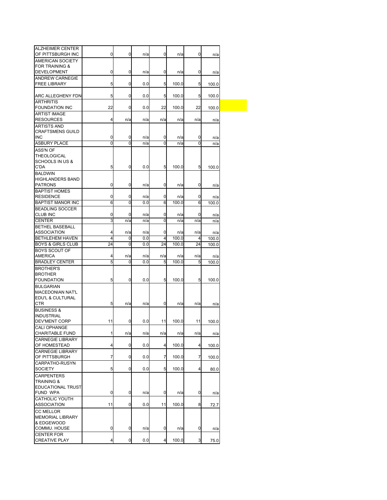| <b>ALZHEIMER CENTER</b><br>OF PITTSBURGH INC<br>0<br>0<br>n/a<br>0<br>n/a<br>0<br>AMERICAN SOCIETY<br>FOR TRAINING &<br>0<br><b>DEVELOPMENT</b><br>0<br>0<br>n/a<br>n/a<br>0<br><b>ANDREW CARNEGIE</b><br>5<br><b>FREE LIBRARY</b><br>0<br>0.0<br>5<br>100.0<br>5<br>5<br>ARC ALLEGHENY FDN<br>0<br>0.0<br>5<br>100.0<br>5<br><b>ARTHRITIS</b><br>22<br>22<br>22<br><b>FOUNDATION INC</b><br>0<br>100.0<br>0.0<br>100.0<br><b>ARTIST IMAGE</b><br><b>RESOURCES</b><br>4<br>n/a<br>n/a<br>n/a<br>n/a<br>n/a<br>ARTISTS AND<br><b>CRAFTSMENS GUILD</b><br><b>INC</b><br>0<br>0<br>n/a<br>0<br>n/a<br>0<br>0<br>ASBURY PLACE<br>0<br>0<br>0<br>n/a<br>n/a<br>ASS'N OF<br>THEOLOGICAL<br>SCHOOLS IN US &<br>C'DA<br>5<br>0<br>0.0<br>5<br>100.0<br>5<br><b>BALDWIN</b><br><b>HIGHLANDERS BAND</b><br>0<br><b>PATRONS</b><br>0<br>0<br>n/a<br>n/a<br>0<br><b>BAPTIST HOMES</b><br>0<br><b>RESIDENCE</b><br>0<br>n/a<br>0<br>n/a<br>0<br>6<br>0<br>6<br><b>BAPTIST MANOR INC</b><br>0.0<br>100.0<br>6<br>100.0<br><b>BEADLING SOCCER</b><br>CLUB INC<br>0<br>0<br>n/a<br>0<br>n/a<br>0<br>n/a<br>3<br>$\Omega$<br><b>CENTER</b><br>n/a<br>n/a<br>n/a<br>n/a<br>n/a<br><b>BETHEL BASEBALL</b><br>ASSOCIATION<br>4<br>n/a<br>n/a<br>0<br>n/a<br>n/a<br><b>BETHLEHEM HAVEN</b><br>$\overline{4}$<br>4<br>100.0<br>0<br>0.0<br>4<br><b>BOYS &amp; GIRLS CLUB</b><br>24<br>0<br>0.0<br>24<br>100.0<br>24<br><b>BOYS SCOUT OF</b><br>AMERICA<br>4<br>n/a<br>n/a<br>n/a<br>n/a<br>n/a<br>5<br><b>BRADLEY CENTER</b><br>0<br>0.0<br>5<br>100.0<br>5<br>100.0<br><b>BROTHER'S</b><br><b>BROTHER</b><br>5<br>0<br>0.0<br>5<br>100.0<br><b>FOUNDATION</b><br>5<br>100.0<br><b>BULGARIAN</b><br><b>MACEDONIAN NAT'L</b><br>EDU'L & CULTURAL<br><b>CTR</b><br>5<br>0<br>n/a<br>n/a<br>n/a<br>n/a<br><b>BUSINESS &amp;</b><br><b>INDUSTRIAL</b><br>11<br>DEV'MENT CORP<br>0<br>0.0<br>11<br>100.0<br>11<br>100.0<br>CALI OPHANGE<br>1<br>CHARITABLE FUND<br>n/a<br>n/a<br>n/a<br>n/a<br>n/a<br><b>CARNEGIE LIBRARY</b><br>OF HOMESTEAD<br>4<br>0<br>100.0<br>0.0<br>4<br>4<br><b>CARNEGIE LIBRARY</b><br>OF PITTSBURGH<br>7<br>0<br>0.0<br>7<br>100.0<br>7<br>CARPATHO-RUSYN<br>5<br>SOCIETY<br>0<br>0.0<br>5<br>100.0<br>4<br>80.0<br><b>CARPENTERS</b><br><b>TRAINING &amp;</b><br><b>EDUCATIONAL TRUST</b><br>0<br>0<br>FUND WPA<br>n/a<br>0<br>n/a<br>0<br><b>CATHOLIC YOUTH</b><br><b>ASSOCIATION</b><br>11<br>0<br>0.0<br>11<br>100.0<br>8<br><b>CC MELLOR</b><br>MEMORIAL LIBRARY<br>& EDGEWOOD<br>COMMU. HOUSE<br>0<br>0<br>n/a<br>0<br>n/a<br>0<br>n/a<br><b>CENTER FOR</b> |  |  |  |       |
|------------------------------------------------------------------------------------------------------------------------------------------------------------------------------------------------------------------------------------------------------------------------------------------------------------------------------------------------------------------------------------------------------------------------------------------------------------------------------------------------------------------------------------------------------------------------------------------------------------------------------------------------------------------------------------------------------------------------------------------------------------------------------------------------------------------------------------------------------------------------------------------------------------------------------------------------------------------------------------------------------------------------------------------------------------------------------------------------------------------------------------------------------------------------------------------------------------------------------------------------------------------------------------------------------------------------------------------------------------------------------------------------------------------------------------------------------------------------------------------------------------------------------------------------------------------------------------------------------------------------------------------------------------------------------------------------------------------------------------------------------------------------------------------------------------------------------------------------------------------------------------------------------------------------------------------------------------------------------------------------------------------------------------------------------------------------------------------------------------------------------------------------------------------------------------------------------------------------------------------------------------------------------------------------------------------------------------------------------------------------------------------------------------------------------------------------------------------------------------------------------------------------------------------------------------------|--|--|--|-------|
|                                                                                                                                                                                                                                                                                                                                                                                                                                                                                                                                                                                                                                                                                                                                                                                                                                                                                                                                                                                                                                                                                                                                                                                                                                                                                                                                                                                                                                                                                                                                                                                                                                                                                                                                                                                                                                                                                                                                                                                                                                                                                                                                                                                                                                                                                                                                                                                                                                                                                                                                                                  |  |  |  |       |
|                                                                                                                                                                                                                                                                                                                                                                                                                                                                                                                                                                                                                                                                                                                                                                                                                                                                                                                                                                                                                                                                                                                                                                                                                                                                                                                                                                                                                                                                                                                                                                                                                                                                                                                                                                                                                                                                                                                                                                                                                                                                                                                                                                                                                                                                                                                                                                                                                                                                                                                                                                  |  |  |  | n/a   |
|                                                                                                                                                                                                                                                                                                                                                                                                                                                                                                                                                                                                                                                                                                                                                                                                                                                                                                                                                                                                                                                                                                                                                                                                                                                                                                                                                                                                                                                                                                                                                                                                                                                                                                                                                                                                                                                                                                                                                                                                                                                                                                                                                                                                                                                                                                                                                                                                                                                                                                                                                                  |  |  |  |       |
|                                                                                                                                                                                                                                                                                                                                                                                                                                                                                                                                                                                                                                                                                                                                                                                                                                                                                                                                                                                                                                                                                                                                                                                                                                                                                                                                                                                                                                                                                                                                                                                                                                                                                                                                                                                                                                                                                                                                                                                                                                                                                                                                                                                                                                                                                                                                                                                                                                                                                                                                                                  |  |  |  | n/a   |
|                                                                                                                                                                                                                                                                                                                                                                                                                                                                                                                                                                                                                                                                                                                                                                                                                                                                                                                                                                                                                                                                                                                                                                                                                                                                                                                                                                                                                                                                                                                                                                                                                                                                                                                                                                                                                                                                                                                                                                                                                                                                                                                                                                                                                                                                                                                                                                                                                                                                                                                                                                  |  |  |  |       |
|                                                                                                                                                                                                                                                                                                                                                                                                                                                                                                                                                                                                                                                                                                                                                                                                                                                                                                                                                                                                                                                                                                                                                                                                                                                                                                                                                                                                                                                                                                                                                                                                                                                                                                                                                                                                                                                                                                                                                                                                                                                                                                                                                                                                                                                                                                                                                                                                                                                                                                                                                                  |  |  |  | 100.0 |
|                                                                                                                                                                                                                                                                                                                                                                                                                                                                                                                                                                                                                                                                                                                                                                                                                                                                                                                                                                                                                                                                                                                                                                                                                                                                                                                                                                                                                                                                                                                                                                                                                                                                                                                                                                                                                                                                                                                                                                                                                                                                                                                                                                                                                                                                                                                                                                                                                                                                                                                                                                  |  |  |  |       |
|                                                                                                                                                                                                                                                                                                                                                                                                                                                                                                                                                                                                                                                                                                                                                                                                                                                                                                                                                                                                                                                                                                                                                                                                                                                                                                                                                                                                                                                                                                                                                                                                                                                                                                                                                                                                                                                                                                                                                                                                                                                                                                                                                                                                                                                                                                                                                                                                                                                                                                                                                                  |  |  |  | 100.0 |
|                                                                                                                                                                                                                                                                                                                                                                                                                                                                                                                                                                                                                                                                                                                                                                                                                                                                                                                                                                                                                                                                                                                                                                                                                                                                                                                                                                                                                                                                                                                                                                                                                                                                                                                                                                                                                                                                                                                                                                                                                                                                                                                                                                                                                                                                                                                                                                                                                                                                                                                                                                  |  |  |  |       |
|                                                                                                                                                                                                                                                                                                                                                                                                                                                                                                                                                                                                                                                                                                                                                                                                                                                                                                                                                                                                                                                                                                                                                                                                                                                                                                                                                                                                                                                                                                                                                                                                                                                                                                                                                                                                                                                                                                                                                                                                                                                                                                                                                                                                                                                                                                                                                                                                                                                                                                                                                                  |  |  |  |       |
|                                                                                                                                                                                                                                                                                                                                                                                                                                                                                                                                                                                                                                                                                                                                                                                                                                                                                                                                                                                                                                                                                                                                                                                                                                                                                                                                                                                                                                                                                                                                                                                                                                                                                                                                                                                                                                                                                                                                                                                                                                                                                                                                                                                                                                                                                                                                                                                                                                                                                                                                                                  |  |  |  | n/a   |
|                                                                                                                                                                                                                                                                                                                                                                                                                                                                                                                                                                                                                                                                                                                                                                                                                                                                                                                                                                                                                                                                                                                                                                                                                                                                                                                                                                                                                                                                                                                                                                                                                                                                                                                                                                                                                                                                                                                                                                                                                                                                                                                                                                                                                                                                                                                                                                                                                                                                                                                                                                  |  |  |  |       |
|                                                                                                                                                                                                                                                                                                                                                                                                                                                                                                                                                                                                                                                                                                                                                                                                                                                                                                                                                                                                                                                                                                                                                                                                                                                                                                                                                                                                                                                                                                                                                                                                                                                                                                                                                                                                                                                                                                                                                                                                                                                                                                                                                                                                                                                                                                                                                                                                                                                                                                                                                                  |  |  |  |       |
|                                                                                                                                                                                                                                                                                                                                                                                                                                                                                                                                                                                                                                                                                                                                                                                                                                                                                                                                                                                                                                                                                                                                                                                                                                                                                                                                                                                                                                                                                                                                                                                                                                                                                                                                                                                                                                                                                                                                                                                                                                                                                                                                                                                                                                                                                                                                                                                                                                                                                                                                                                  |  |  |  | n/a   |
|                                                                                                                                                                                                                                                                                                                                                                                                                                                                                                                                                                                                                                                                                                                                                                                                                                                                                                                                                                                                                                                                                                                                                                                                                                                                                                                                                                                                                                                                                                                                                                                                                                                                                                                                                                                                                                                                                                                                                                                                                                                                                                                                                                                                                                                                                                                                                                                                                                                                                                                                                                  |  |  |  | n/a   |
|                                                                                                                                                                                                                                                                                                                                                                                                                                                                                                                                                                                                                                                                                                                                                                                                                                                                                                                                                                                                                                                                                                                                                                                                                                                                                                                                                                                                                                                                                                                                                                                                                                                                                                                                                                                                                                                                                                                                                                                                                                                                                                                                                                                                                                                                                                                                                                                                                                                                                                                                                                  |  |  |  |       |
|                                                                                                                                                                                                                                                                                                                                                                                                                                                                                                                                                                                                                                                                                                                                                                                                                                                                                                                                                                                                                                                                                                                                                                                                                                                                                                                                                                                                                                                                                                                                                                                                                                                                                                                                                                                                                                                                                                                                                                                                                                                                                                                                                                                                                                                                                                                                                                                                                                                                                                                                                                  |  |  |  |       |
|                                                                                                                                                                                                                                                                                                                                                                                                                                                                                                                                                                                                                                                                                                                                                                                                                                                                                                                                                                                                                                                                                                                                                                                                                                                                                                                                                                                                                                                                                                                                                                                                                                                                                                                                                                                                                                                                                                                                                                                                                                                                                                                                                                                                                                                                                                                                                                                                                                                                                                                                                                  |  |  |  | 100.0 |
|                                                                                                                                                                                                                                                                                                                                                                                                                                                                                                                                                                                                                                                                                                                                                                                                                                                                                                                                                                                                                                                                                                                                                                                                                                                                                                                                                                                                                                                                                                                                                                                                                                                                                                                                                                                                                                                                                                                                                                                                                                                                                                                                                                                                                                                                                                                                                                                                                                                                                                                                                                  |  |  |  |       |
|                                                                                                                                                                                                                                                                                                                                                                                                                                                                                                                                                                                                                                                                                                                                                                                                                                                                                                                                                                                                                                                                                                                                                                                                                                                                                                                                                                                                                                                                                                                                                                                                                                                                                                                                                                                                                                                                                                                                                                                                                                                                                                                                                                                                                                                                                                                                                                                                                                                                                                                                                                  |  |  |  |       |
|                                                                                                                                                                                                                                                                                                                                                                                                                                                                                                                                                                                                                                                                                                                                                                                                                                                                                                                                                                                                                                                                                                                                                                                                                                                                                                                                                                                                                                                                                                                                                                                                                                                                                                                                                                                                                                                                                                                                                                                                                                                                                                                                                                                                                                                                                                                                                                                                                                                                                                                                                                  |  |  |  | n/a   |
|                                                                                                                                                                                                                                                                                                                                                                                                                                                                                                                                                                                                                                                                                                                                                                                                                                                                                                                                                                                                                                                                                                                                                                                                                                                                                                                                                                                                                                                                                                                                                                                                                                                                                                                                                                                                                                                                                                                                                                                                                                                                                                                                                                                                                                                                                                                                                                                                                                                                                                                                                                  |  |  |  |       |
|                                                                                                                                                                                                                                                                                                                                                                                                                                                                                                                                                                                                                                                                                                                                                                                                                                                                                                                                                                                                                                                                                                                                                                                                                                                                                                                                                                                                                                                                                                                                                                                                                                                                                                                                                                                                                                                                                                                                                                                                                                                                                                                                                                                                                                                                                                                                                                                                                                                                                                                                                                  |  |  |  | n/a   |
|                                                                                                                                                                                                                                                                                                                                                                                                                                                                                                                                                                                                                                                                                                                                                                                                                                                                                                                                                                                                                                                                                                                                                                                                                                                                                                                                                                                                                                                                                                                                                                                                                                                                                                                                                                                                                                                                                                                                                                                                                                                                                                                                                                                                                                                                                                                                                                                                                                                                                                                                                                  |  |  |  |       |
|                                                                                                                                                                                                                                                                                                                                                                                                                                                                                                                                                                                                                                                                                                                                                                                                                                                                                                                                                                                                                                                                                                                                                                                                                                                                                                                                                                                                                                                                                                                                                                                                                                                                                                                                                                                                                                                                                                                                                                                                                                                                                                                                                                                                                                                                                                                                                                                                                                                                                                                                                                  |  |  |  |       |
|                                                                                                                                                                                                                                                                                                                                                                                                                                                                                                                                                                                                                                                                                                                                                                                                                                                                                                                                                                                                                                                                                                                                                                                                                                                                                                                                                                                                                                                                                                                                                                                                                                                                                                                                                                                                                                                                                                                                                                                                                                                                                                                                                                                                                                                                                                                                                                                                                                                                                                                                                                  |  |  |  |       |
|                                                                                                                                                                                                                                                                                                                                                                                                                                                                                                                                                                                                                                                                                                                                                                                                                                                                                                                                                                                                                                                                                                                                                                                                                                                                                                                                                                                                                                                                                                                                                                                                                                                                                                                                                                                                                                                                                                                                                                                                                                                                                                                                                                                                                                                                                                                                                                                                                                                                                                                                                                  |  |  |  |       |
|                                                                                                                                                                                                                                                                                                                                                                                                                                                                                                                                                                                                                                                                                                                                                                                                                                                                                                                                                                                                                                                                                                                                                                                                                                                                                                                                                                                                                                                                                                                                                                                                                                                                                                                                                                                                                                                                                                                                                                                                                                                                                                                                                                                                                                                                                                                                                                                                                                                                                                                                                                  |  |  |  | n/a   |
|                                                                                                                                                                                                                                                                                                                                                                                                                                                                                                                                                                                                                                                                                                                                                                                                                                                                                                                                                                                                                                                                                                                                                                                                                                                                                                                                                                                                                                                                                                                                                                                                                                                                                                                                                                                                                                                                                                                                                                                                                                                                                                                                                                                                                                                                                                                                                                                                                                                                                                                                                                  |  |  |  | 100.0 |
|                                                                                                                                                                                                                                                                                                                                                                                                                                                                                                                                                                                                                                                                                                                                                                                                                                                                                                                                                                                                                                                                                                                                                                                                                                                                                                                                                                                                                                                                                                                                                                                                                                                                                                                                                                                                                                                                                                                                                                                                                                                                                                                                                                                                                                                                                                                                                                                                                                                                                                                                                                  |  |  |  | 100.0 |
|                                                                                                                                                                                                                                                                                                                                                                                                                                                                                                                                                                                                                                                                                                                                                                                                                                                                                                                                                                                                                                                                                                                                                                                                                                                                                                                                                                                                                                                                                                                                                                                                                                                                                                                                                                                                                                                                                                                                                                                                                                                                                                                                                                                                                                                                                                                                                                                                                                                                                                                                                                  |  |  |  |       |
|                                                                                                                                                                                                                                                                                                                                                                                                                                                                                                                                                                                                                                                                                                                                                                                                                                                                                                                                                                                                                                                                                                                                                                                                                                                                                                                                                                                                                                                                                                                                                                                                                                                                                                                                                                                                                                                                                                                                                                                                                                                                                                                                                                                                                                                                                                                                                                                                                                                                                                                                                                  |  |  |  | n/a   |
|                                                                                                                                                                                                                                                                                                                                                                                                                                                                                                                                                                                                                                                                                                                                                                                                                                                                                                                                                                                                                                                                                                                                                                                                                                                                                                                                                                                                                                                                                                                                                                                                                                                                                                                                                                                                                                                                                                                                                                                                                                                                                                                                                                                                                                                                                                                                                                                                                                                                                                                                                                  |  |  |  |       |
|                                                                                                                                                                                                                                                                                                                                                                                                                                                                                                                                                                                                                                                                                                                                                                                                                                                                                                                                                                                                                                                                                                                                                                                                                                                                                                                                                                                                                                                                                                                                                                                                                                                                                                                                                                                                                                                                                                                                                                                                                                                                                                                                                                                                                                                                                                                                                                                                                                                                                                                                                                  |  |  |  |       |
|                                                                                                                                                                                                                                                                                                                                                                                                                                                                                                                                                                                                                                                                                                                                                                                                                                                                                                                                                                                                                                                                                                                                                                                                                                                                                                                                                                                                                                                                                                                                                                                                                                                                                                                                                                                                                                                                                                                                                                                                                                                                                                                                                                                                                                                                                                                                                                                                                                                                                                                                                                  |  |  |  |       |
|                                                                                                                                                                                                                                                                                                                                                                                                                                                                                                                                                                                                                                                                                                                                                                                                                                                                                                                                                                                                                                                                                                                                                                                                                                                                                                                                                                                                                                                                                                                                                                                                                                                                                                                                                                                                                                                                                                                                                                                                                                                                                                                                                                                                                                                                                                                                                                                                                                                                                                                                                                  |  |  |  |       |
|                                                                                                                                                                                                                                                                                                                                                                                                                                                                                                                                                                                                                                                                                                                                                                                                                                                                                                                                                                                                                                                                                                                                                                                                                                                                                                                                                                                                                                                                                                                                                                                                                                                                                                                                                                                                                                                                                                                                                                                                                                                                                                                                                                                                                                                                                                                                                                                                                                                                                                                                                                  |  |  |  |       |
|                                                                                                                                                                                                                                                                                                                                                                                                                                                                                                                                                                                                                                                                                                                                                                                                                                                                                                                                                                                                                                                                                                                                                                                                                                                                                                                                                                                                                                                                                                                                                                                                                                                                                                                                                                                                                                                                                                                                                                                                                                                                                                                                                                                                                                                                                                                                                                                                                                                                                                                                                                  |  |  |  |       |
|                                                                                                                                                                                                                                                                                                                                                                                                                                                                                                                                                                                                                                                                                                                                                                                                                                                                                                                                                                                                                                                                                                                                                                                                                                                                                                                                                                                                                                                                                                                                                                                                                                                                                                                                                                                                                                                                                                                                                                                                                                                                                                                                                                                                                                                                                                                                                                                                                                                                                                                                                                  |  |  |  | n/a   |
|                                                                                                                                                                                                                                                                                                                                                                                                                                                                                                                                                                                                                                                                                                                                                                                                                                                                                                                                                                                                                                                                                                                                                                                                                                                                                                                                                                                                                                                                                                                                                                                                                                                                                                                                                                                                                                                                                                                                                                                                                                                                                                                                                                                                                                                                                                                                                                                                                                                                                                                                                                  |  |  |  |       |
|                                                                                                                                                                                                                                                                                                                                                                                                                                                                                                                                                                                                                                                                                                                                                                                                                                                                                                                                                                                                                                                                                                                                                                                                                                                                                                                                                                                                                                                                                                                                                                                                                                                                                                                                                                                                                                                                                                                                                                                                                                                                                                                                                                                                                                                                                                                                                                                                                                                                                                                                                                  |  |  |  |       |
|                                                                                                                                                                                                                                                                                                                                                                                                                                                                                                                                                                                                                                                                                                                                                                                                                                                                                                                                                                                                                                                                                                                                                                                                                                                                                                                                                                                                                                                                                                                                                                                                                                                                                                                                                                                                                                                                                                                                                                                                                                                                                                                                                                                                                                                                                                                                                                                                                                                                                                                                                                  |  |  |  |       |
|                                                                                                                                                                                                                                                                                                                                                                                                                                                                                                                                                                                                                                                                                                                                                                                                                                                                                                                                                                                                                                                                                                                                                                                                                                                                                                                                                                                                                                                                                                                                                                                                                                                                                                                                                                                                                                                                                                                                                                                                                                                                                                                                                                                                                                                                                                                                                                                                                                                                                                                                                                  |  |  |  | n/a   |
|                                                                                                                                                                                                                                                                                                                                                                                                                                                                                                                                                                                                                                                                                                                                                                                                                                                                                                                                                                                                                                                                                                                                                                                                                                                                                                                                                                                                                                                                                                                                                                                                                                                                                                                                                                                                                                                                                                                                                                                                                                                                                                                                                                                                                                                                                                                                                                                                                                                                                                                                                                  |  |  |  |       |
|                                                                                                                                                                                                                                                                                                                                                                                                                                                                                                                                                                                                                                                                                                                                                                                                                                                                                                                                                                                                                                                                                                                                                                                                                                                                                                                                                                                                                                                                                                                                                                                                                                                                                                                                                                                                                                                                                                                                                                                                                                                                                                                                                                                                                                                                                                                                                                                                                                                                                                                                                                  |  |  |  | 100.0 |
|                                                                                                                                                                                                                                                                                                                                                                                                                                                                                                                                                                                                                                                                                                                                                                                                                                                                                                                                                                                                                                                                                                                                                                                                                                                                                                                                                                                                                                                                                                                                                                                                                                                                                                                                                                                                                                                                                                                                                                                                                                                                                                                                                                                                                                                                                                                                                                                                                                                                                                                                                                  |  |  |  |       |
|                                                                                                                                                                                                                                                                                                                                                                                                                                                                                                                                                                                                                                                                                                                                                                                                                                                                                                                                                                                                                                                                                                                                                                                                                                                                                                                                                                                                                                                                                                                                                                                                                                                                                                                                                                                                                                                                                                                                                                                                                                                                                                                                                                                                                                                                                                                                                                                                                                                                                                                                                                  |  |  |  | 100.0 |
|                                                                                                                                                                                                                                                                                                                                                                                                                                                                                                                                                                                                                                                                                                                                                                                                                                                                                                                                                                                                                                                                                                                                                                                                                                                                                                                                                                                                                                                                                                                                                                                                                                                                                                                                                                                                                                                                                                                                                                                                                                                                                                                                                                                                                                                                                                                                                                                                                                                                                                                                                                  |  |  |  |       |
|                                                                                                                                                                                                                                                                                                                                                                                                                                                                                                                                                                                                                                                                                                                                                                                                                                                                                                                                                                                                                                                                                                                                                                                                                                                                                                                                                                                                                                                                                                                                                                                                                                                                                                                                                                                                                                                                                                                                                                                                                                                                                                                                                                                                                                                                                                                                                                                                                                                                                                                                                                  |  |  |  |       |
|                                                                                                                                                                                                                                                                                                                                                                                                                                                                                                                                                                                                                                                                                                                                                                                                                                                                                                                                                                                                                                                                                                                                                                                                                                                                                                                                                                                                                                                                                                                                                                                                                                                                                                                                                                                                                                                                                                                                                                                                                                                                                                                                                                                                                                                                                                                                                                                                                                                                                                                                                                  |  |  |  |       |
|                                                                                                                                                                                                                                                                                                                                                                                                                                                                                                                                                                                                                                                                                                                                                                                                                                                                                                                                                                                                                                                                                                                                                                                                                                                                                                                                                                                                                                                                                                                                                                                                                                                                                                                                                                                                                                                                                                                                                                                                                                                                                                                                                                                                                                                                                                                                                                                                                                                                                                                                                                  |  |  |  |       |
|                                                                                                                                                                                                                                                                                                                                                                                                                                                                                                                                                                                                                                                                                                                                                                                                                                                                                                                                                                                                                                                                                                                                                                                                                                                                                                                                                                                                                                                                                                                                                                                                                                                                                                                                                                                                                                                                                                                                                                                                                                                                                                                                                                                                                                                                                                                                                                                                                                                                                                                                                                  |  |  |  | n/a   |
|                                                                                                                                                                                                                                                                                                                                                                                                                                                                                                                                                                                                                                                                                                                                                                                                                                                                                                                                                                                                                                                                                                                                                                                                                                                                                                                                                                                                                                                                                                                                                                                                                                                                                                                                                                                                                                                                                                                                                                                                                                                                                                                                                                                                                                                                                                                                                                                                                                                                                                                                                                  |  |  |  |       |
|                                                                                                                                                                                                                                                                                                                                                                                                                                                                                                                                                                                                                                                                                                                                                                                                                                                                                                                                                                                                                                                                                                                                                                                                                                                                                                                                                                                                                                                                                                                                                                                                                                                                                                                                                                                                                                                                                                                                                                                                                                                                                                                                                                                                                                                                                                                                                                                                                                                                                                                                                                  |  |  |  | 72.7  |
|                                                                                                                                                                                                                                                                                                                                                                                                                                                                                                                                                                                                                                                                                                                                                                                                                                                                                                                                                                                                                                                                                                                                                                                                                                                                                                                                                                                                                                                                                                                                                                                                                                                                                                                                                                                                                                                                                                                                                                                                                                                                                                                                                                                                                                                                                                                                                                                                                                                                                                                                                                  |  |  |  |       |
|                                                                                                                                                                                                                                                                                                                                                                                                                                                                                                                                                                                                                                                                                                                                                                                                                                                                                                                                                                                                                                                                                                                                                                                                                                                                                                                                                                                                                                                                                                                                                                                                                                                                                                                                                                                                                                                                                                                                                                                                                                                                                                                                                                                                                                                                                                                                                                                                                                                                                                                                                                  |  |  |  |       |
|                                                                                                                                                                                                                                                                                                                                                                                                                                                                                                                                                                                                                                                                                                                                                                                                                                                                                                                                                                                                                                                                                                                                                                                                                                                                                                                                                                                                                                                                                                                                                                                                                                                                                                                                                                                                                                                                                                                                                                                                                                                                                                                                                                                                                                                                                                                                                                                                                                                                                                                                                                  |  |  |  |       |
|                                                                                                                                                                                                                                                                                                                                                                                                                                                                                                                                                                                                                                                                                                                                                                                                                                                                                                                                                                                                                                                                                                                                                                                                                                                                                                                                                                                                                                                                                                                                                                                                                                                                                                                                                                                                                                                                                                                                                                                                                                                                                                                                                                                                                                                                                                                                                                                                                                                                                                                                                                  |  |  |  |       |
| <b>CREATIVE PLAY</b><br>4<br>0<br>0.0<br>100.0<br>3<br>4                                                                                                                                                                                                                                                                                                                                                                                                                                                                                                                                                                                                                                                                                                                                                                                                                                                                                                                                                                                                                                                                                                                                                                                                                                                                                                                                                                                                                                                                                                                                                                                                                                                                                                                                                                                                                                                                                                                                                                                                                                                                                                                                                                                                                                                                                                                                                                                                                                                                                                         |  |  |  | 75.0  |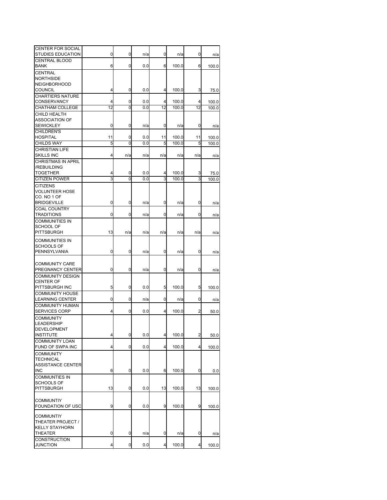| <b>CENTER FOR SOCIAL</b><br>STUDIES EDUCATION    | 0      | 0                   | n/a        | 0      | n/a            | 0      | n/a   |
|--------------------------------------------------|--------|---------------------|------------|--------|----------------|--------|-------|
| <b>CENTRAL BLOOD</b>                             |        |                     |            |        |                |        |       |
| BANK                                             | 6      | 0                   | 0.0        | 6      | 100.0          | 6      | 100.0 |
| CENTRAL                                          |        |                     |            |        |                |        |       |
| <b>NORTHSIDE</b>                                 |        |                     |            |        |                |        |       |
| <b>NEIGHBORHOOD</b><br><b>COUNCIL</b>            | 4      | 0                   | 0.0        | 4      | 100.0          | 3      | 75.0  |
| <b>CHARTIERS NATURE</b>                          |        |                     |            |        |                |        |       |
| <b>CONSERVANCY</b>                               | 4      | 0                   | 0.0        | 4      | 100.0          | 4      | 100.0 |
| <b>CHATHAM COLLEGE</b>                           | 12     | $\overline{0}$      | 0.0        | 12     | 100.0          | 12     | 100.0 |
| CHILD HEALTH                                     |        |                     |            |        |                |        |       |
| <b>ASSOCIATION OF</b>                            |        |                     |            |        |                |        |       |
| <b>SEWICKLEY</b>                                 | 0      | 0                   | n/a        | 0      | n/a            | 0      | n/a   |
| <b>CHILDREN'S</b><br><b>HOSPITAL</b>             | 11     | 0                   | 0.0        | 11     | 100.0          | 11     | 100.0 |
| <b>CHILDS WAY</b>                                | 5      | 0                   | 0.0        | 5      | 100.0          | 5      | 100.0 |
| CHRISTIAN LIFE                                   |        |                     |            |        |                |        |       |
| <b>SKILLS INC</b>                                | 4      | n/a                 | n/a        | n/a    | n/a            | n/a    | n/a   |
| <b>CHRISTMAS IN APRIL</b>                        |        |                     |            |        |                |        |       |
| /REBUILDING                                      |        |                     |            |        |                |        |       |
| <b>TOGETHER</b><br><b>CITIZEN POWER</b>          | 4<br>3 | 0<br>$\overline{0}$ | 0.0<br>0.0 | 4<br>3 | 100.0<br>100.0 | 3<br>3 | 75.0  |
| <b>CITIZENS</b>                                  |        |                     |            |        |                |        | 100.0 |
| <b>VOLUNTEER HOSE</b>                            |        |                     |            |        |                |        |       |
| CO. NO 1 OF                                      |        |                     |            |        |                |        |       |
| <b>BRIDGEVILLE</b>                               | 0      | 0                   | n/a        | 0      | n/a            | 0      | n/a   |
| COAL COUNTRY                                     |        |                     |            |        |                |        |       |
| <b>TRADITIONS</b>                                | 0      | 0                   | n/a        | 0      | n/a            | 0      | n/a   |
| COMMUNITIES IN                                   |        |                     |            |        |                |        |       |
| <b>SCHOOL OF</b><br>PITTSBURGH                   | 13     | n/a                 | n/a        | n/a    | n/a            | n/a    | n/a   |
|                                                  |        |                     |            |        |                |        |       |
| COMMUNITIES IN<br><b>SCHOOLS OF</b>              |        |                     |            |        |                |        |       |
| PENNSYLVANIA                                     | 0      | 0                   | n/a        | 0      | n/a            | 0      | n/a   |
|                                                  |        |                     |            |        |                |        |       |
| <b>COMMUNITY CARE</b>                            |        |                     |            |        |                |        |       |
| PREGNANCY CENTER                                 | 0      | 0                   | n/a        | 0      | n/a            | 0      | n/a   |
| <b>COMMUNITY DESIGN</b>                          |        |                     |            |        |                |        |       |
| CENTER OF                                        |        |                     |            |        |                |        |       |
| PITTSBURGH INC                                   | 5      | 0                   | 0.0        | 5      | 100.0          | 5      | 100.0 |
| <b>COMMUNITY HOUSE</b><br><b>LEARNING CENTER</b> | 0      | 0                   | n/a        | 0      | n/a            | 0      | n/a   |
| <b>COMMUNITY HUMAN</b>                           |        |                     |            |        |                |        |       |
| <b>SERVICES CORP</b>                             | 4      | 0                   | 0.0        | 4      | 100.0          | 2      | 50.0  |
| <b>COMMUNITY</b>                                 |        |                     |            |        |                |        |       |
| <b>LEADERSHIP</b>                                |        |                     |            |        |                |        |       |
| DEVELOPMENT                                      |        |                     |            |        |                |        |       |
| INSTITUTE                                        | 4      | 0                   | 0.0        | 4      | 100.0          | 2      | 50.0  |
| <b>COMMUNITY LOAN</b><br>FUND OF SWPA INC        | 4      | 0                   | 0.0        | 4      | 100.0          | 4      | 100.0 |
| <b>COMMUNITY</b>                                 |        |                     |            |        |                |        |       |
| TECHNICAL                                        |        |                     |            |        |                |        |       |
| <b>ASSISTANCE CENTER</b>                         |        |                     |            |        |                |        |       |
| <b>INC</b>                                       | 6      | 0                   | 0.0        | 6      | 100.0          | 0      | 0.0   |
| COMMUNTIES IN                                    |        |                     |            |        |                |        |       |
| SCHOOLS OF<br><b>PITTSBURGH</b>                  | 13     | 0                   | 0.0        | 13     | 100.0          | 13     |       |
|                                                  |        |                     |            |        |                |        | 100.0 |
| <b>COMMUNTIY</b>                                 |        |                     |            |        |                |        |       |
| FOUNDATION OF USC                                | 9      | 0                   | 0.0        | 9      | 100.0          | 9      | 100.0 |
|                                                  |        |                     |            |        |                |        |       |
| <b>COMMUNTIY</b><br>THEATER PROJECT /            |        |                     |            |        |                |        |       |
| <b>KELLY STAYHORN</b>                            |        |                     |            |        |                |        |       |
| THEATER                                          | 0      | 0                   | n/a        | 0      | n/a            | 0      | n/a   |
| CONSTRUCTION                                     |        |                     |            |        |                |        |       |
| <b>JUNCTION</b>                                  | 4      | 0                   | 0.0        | 4      | 100.0          | 4      | 100.0 |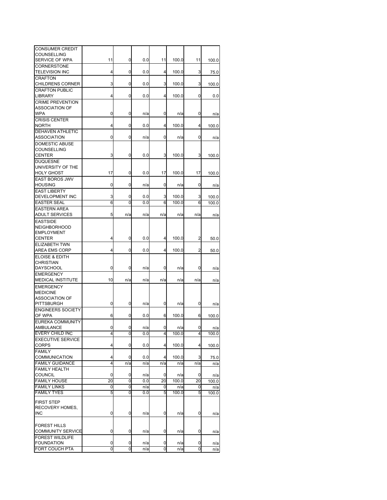| CONSUMER CREDIT          |    |     |     |     |       |                |       |
|--------------------------|----|-----|-----|-----|-------|----------------|-------|
| COUNSELLING              |    |     |     |     |       |                |       |
| SERVICE OF WPA           | 11 | 0   | 0.0 | 11  | 100.0 | 11             | 100.0 |
| CORNERSTONE              |    |     |     |     |       |                |       |
| <b>TELEVISION INC</b>    | 4  | 0   | 0.0 | 4   | 100.0 | 3              | 75.0  |
|                          |    |     |     |     |       |                |       |
| <b>CRAFTON</b>           |    |     |     |     |       |                |       |
| <b>CHILDRENS CORNER</b>  | 3  | 0   | 0.0 | 3   | 100.0 | 3              | 100.0 |
| <b>CRAFTON PUBLIC</b>    |    |     |     |     |       |                |       |
| LIBRARY                  | 4  | 0   | 0.0 | 4   | 100.0 | 0              | 0.0   |
| <b>CRIME PREVENTION</b>  |    |     |     |     |       |                |       |
| ASSOCIATION OF           |    |     |     |     |       |                |       |
| <b>WPA</b>               | 0  | 0   | n/a | 0   | n/a   | 0              |       |
|                          |    |     |     |     |       |                | n/a   |
| <b>CRISIS CENTER</b>     |    |     |     |     |       |                |       |
| <b>NORTH</b>             | 4  | 0   | 0.0 | 4   | 100.0 | 4              | 100.0 |
| DEHAVEN ATHLETIC         |    |     |     |     |       |                |       |
| ASSOCIATION              | 0  | 0   | n/a | 0   | n/a   | 0              | n/a   |
| DOMESTIC ABUSE           |    |     |     |     |       |                |       |
| COUNSELLING              |    |     |     |     |       |                |       |
|                          |    |     |     |     |       |                |       |
| <b>CENTER</b>            | 3  | 0   | 0.0 | 3   | 100.0 | 3              | 100.0 |
| <b>DUQUESNE</b>          |    |     |     |     |       |                |       |
| UNIVERSITY OF THE        |    |     |     |     |       |                |       |
| <b>HOLY GHOST</b>        | 17 | 0   | 0.0 | 17  | 100.0 | 17             | 100.0 |
| <b>EAST BOROS JWV</b>    |    |     |     |     |       |                |       |
| <b>HOUSING</b>           | 0  | 0   | n/a | 0   |       | 0              |       |
|                          |    |     |     |     | n/a   |                | n/a   |
| <b>EAST LIBERTY</b>      |    |     |     |     |       |                |       |
| <b>DEVELOPMENT INC</b>   | 3  | 0   | 0.0 | 3   | 100.0 | 3              | 100.0 |
| <b>EASTER SEAL</b>       | 6  | 0   | 0.0 | 6   | 100.0 | 6              | 100.0 |
| <b>EASTERN AREA</b>      |    |     |     |     |       |                |       |
| <b>ADULT SERVICES</b>    | 5  | n/a | n/a | n/a | n/a   | n/a            | n/a   |
|                          |    |     |     |     |       |                |       |
| <b>EASTSIDE</b>          |    |     |     |     |       |                |       |
| <b>NEIGHBORHOOD</b>      |    |     |     |     |       |                |       |
| <b>EMPLOYMENT</b>        |    |     |     |     |       |                |       |
| <b>CENTER</b>            | 4  | 0   | 0.0 | 4   | 100.0 | 2              | 50.0  |
| ELIZABETH TWN            |    |     |     |     |       |                |       |
| AREA EMS CORP            | 4  | 0   | 0.0 | 4   | 100.0 | $\overline{c}$ | 50.0  |
|                          |    |     |     |     |       |                |       |
| ELOISE & EDITH           |    |     |     |     |       |                |       |
| CHRISTIAN                |    |     |     |     |       |                |       |
| DAYSCHOOL                | 0  | 0   | n/a | 0   | n/a   | 0              | n/a   |
| <b>EMERGENCY</b>         |    |     |     |     |       |                |       |
| <b>MEDICAL INSTITUTE</b> | 10 | n/a | n/a | n/a | n/a   | n/a            | n/a   |
|                          |    |     |     |     |       |                |       |
| <b>EMERGENCY</b>         |    |     |     |     |       |                |       |
| <b>MEDICINE</b>          |    |     |     |     |       |                |       |
| <b>ASSOCIATION OF</b>    |    |     |     |     |       |                |       |
| <b>PITTSBURGH</b>        | 0  | 0   | n/a | 0   | n/a   | 0              | n/a   |
| <b>ENGINEERS SOCIETY</b> |    |     |     |     |       |                |       |
| OF WPA                   | 6  | 0   | 0.0 | 6   | 100.0 | 6              | 100.0 |
| <b>EUREKA COMMUNITY</b>  |    |     |     |     |       |                |       |
|                          |    |     |     |     |       |                |       |
| AMBULANCE                |    |     | n/a | 0   | n/a   |                | n/a   |
| EVERY CHILD INC          | 4  | 0   | 0.0 | 4   | 100.0 | 4              | 100.0 |
| <b>EXECUTIVE SERVICE</b> |    |     |     |     |       |                |       |
| CORPS                    | 4  | 0   | 0.0 | 4   | 100.0 | 4              | 100.0 |
| <b>FAMILY</b>            |    |     |     |     |       |                |       |
|                          |    |     |     |     |       |                |       |
| COMMUNICATION            | 4  | 0   | 0.0 | 4   | 100.0 | 3              | 75.0  |
| <b>FAMILY GUIDANCE</b>   | 4  | n/a | n/a | n/a | n/a   | n/a            | n/a   |
| <b>FAMILY HEALTH</b>     |    |     |     |     |       |                |       |
| <b>COUNCIL</b>           | 0  | 0   | n/a | 0   | n/a   | 0              | n/a   |
| <b>FAMILY HOUSE</b>      | 20 | 0   | 0.0 | 20  | 100.0 | 20             | 100.0 |
| <b>FAMILY LINKS</b>      | 0  | 0   | n/a | 0   | n/a   | 0              | n/a   |
| <b>FAMILY TYES</b>       | 5  | 0   | 0.0 | 5   | 100.0 | 5              | 100.0 |
|                          |    |     |     |     |       |                |       |
| <b>FIRST STEP</b>        |    |     |     |     |       |                |       |
| RECOVERY HOMES,          |    |     |     |     |       |                |       |
| <b>INC</b>               | 0  | 0   | n/a | 0   |       | 0              |       |
|                          |    |     |     |     | n/a   |                | n/a   |
|                          |    |     |     |     |       |                |       |
| <b>FOREST HILLS</b>      |    |     |     |     |       |                |       |
| <b>COMMUNITY SERVICE</b> | 0  | 0   | n/a | 0   | n/a   | 0              | n/a   |
| <b>FOREST WILDLIFE</b>   |    |     |     |     |       |                |       |
| <b>FOUNDATION</b>        | 0  | 0   | n/a | 0   | n/a   | 0              | n/a   |
| FORT COUCH PTA           |    | 0   |     | 0   |       |                |       |
|                          | 0  |     | n/a |     | n/a   | 0              | n/a   |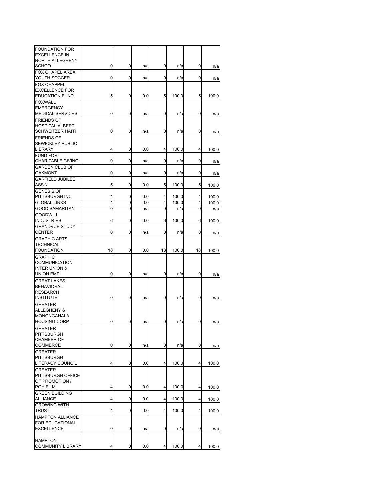| <b>FOUNDATION FOR</b>    |    |   |     |    |       |    |       |
|--------------------------|----|---|-----|----|-------|----|-------|
| <b>EXCELLENCE IN</b>     |    |   |     |    |       |    |       |
| NORTH ALLEGHENY<br>SCHOO | 0  | 0 | n/a | 0  | n/a   | 0  |       |
| FOX CHAPEL AREA          |    |   |     |    |       |    | n/a   |
| YOUTH SOCCER             | 0  | 0 | n/a | 0  | n/a   | 0  | n/a   |
| <b>FOX CHAPPEL</b>       |    |   |     |    |       |    |       |
| <b>EXCELLENCE FOR</b>    |    |   |     |    |       |    |       |
| <b>EDUCATION FUND</b>    | 5  | 0 | 0.0 | 5  | 100.0 | 5  | 100.0 |
| <b>FOXWALL</b>           |    |   |     |    |       |    |       |
| <b>EMERGENCY</b>         |    |   |     |    |       |    |       |
| <b>MEDICAL SERVICES</b>  | 0  | 0 | n/a | 0  | n/a   | 0  |       |
| <b>FRIENDS OF</b>        |    |   |     |    |       |    | n/a   |
|                          |    |   |     |    |       |    |       |
| <b>HOSPITAL ALBERT</b>   |    |   |     |    |       |    |       |
| <b>SCHWEITZER HAITI</b>  | 0  | 0 | n/a | 0  | n/a   | 0  | n/a   |
| <b>FRIENDS OF</b>        |    |   |     |    |       |    |       |
| <b>SEWICKLEY PUBLIC</b>  |    |   |     |    |       |    |       |
| LIBRARY                  | 4  | 0 | 0.0 | 4  | 100.0 | 4  | 100.0 |
| <b>FUND FOR</b>          |    |   |     |    |       |    |       |
| <b>CHARITABLE GIVING</b> | 0  | 0 | n/a | 0  | n/a   | 0  | n/a   |
| <b>GARDEN CLUB OF</b>    |    |   |     |    |       |    |       |
| OAKMONT                  | 0  | 0 | n/a | 0  | n/a   | 0  | n/a   |
| <b>GARFIELD JUBILEE</b>  |    |   |     |    |       |    |       |
| ASS'N                    | 5  | 0 | 0.0 | 5  | 100.0 | 5  | 100.0 |
| <b>GENESIS OF</b>        |    |   |     |    |       |    |       |
| PITTSBURGH INC           | 4  | 0 | 0.0 | 4  | 100.0 | 4  | 100.0 |
| <b>GLOBAL LINKS</b>      | 4  | 0 | 0.0 | 4  | 100.0 | 4  | 100.0 |
| <b>GOOD SAMARITAN</b>    | 0  | 0 | n/a | 0  | n/a   | 0  | n/a   |
| <b>GOODWILL</b>          |    |   |     |    |       |    |       |
| <b>INDUSTRIES</b>        | 6  | 0 | 0.0 | 6  | 100.0 | 6  | 100.0 |
| <b>GRANDVUE STUDY</b>    |    |   |     |    |       |    |       |
| CENTER                   | 0  | 0 | n/a | 0  | n/a   | 0  | n/a   |
| <b>GRAPHIC ARTS</b>      |    |   |     |    |       |    |       |
| TECHNICAL                |    |   |     |    |       |    |       |
| <b>FOUNDATION</b>        | 18 | 0 | 0.0 | 18 | 100.0 | 18 | 100.0 |
| <b>GRAPHIC</b>           |    |   |     |    |       |    |       |
| COMMUNICATION            |    |   |     |    |       |    |       |
| <b>INTER UNION &amp;</b> |    |   |     |    |       |    |       |
| UNION EMP                | 0  | 0 | n/a | 0  | n/a   | 0  | n/a   |
| <b>GREAT LAKES</b>       |    |   |     |    |       |    |       |
| <b>BEHAVIORAL</b>        |    |   |     |    |       |    |       |
| <b>RESEARCH</b>          |    |   |     |    |       |    |       |
| <b>INSTITUTE</b>         | 0  | 0 | n/a | 0  | n/a   | 0  | n/a   |
| <b>GREATER</b>           |    |   |     |    |       |    |       |
| ALLEGHENY &              |    |   |     |    |       |    |       |
| MONONGAHALA              |    |   |     |    |       |    |       |
| <b>HOUSING CORP</b>      | 0  | 0 | n/a | 0  | n/a   | 0  | n/a   |
|                          |    |   |     |    |       |    |       |
| GREATER                  |    |   |     |    |       |    |       |
| PITTSBURGH               |    |   |     |    |       |    |       |
| <b>CHAMBER OF</b>        | 0  | 0 | n/a | 0  |       | 0  |       |
| COMMERCE                 |    |   |     |    | n/a   |    | n/a   |
| <b>GREATER</b>           |    |   |     |    |       |    |       |
| <b>PITTSBURGH</b>        |    |   |     |    |       |    |       |
| LITERACY COUNCIL         | 4  | 0 | 0.0 | 4  | 100.0 | 4  | 100.0 |
| <b>GREATER</b>           |    |   |     |    |       |    |       |
| PITTSBURGH OFFICE        |    |   |     |    |       |    |       |
| OF PROMOTION /           |    |   |     |    |       |    |       |
| PGH FILM                 | 4  | 0 | 0.0 | 4  | 100.0 | 4  | 100.0 |
| <b>GREEN BUILDING</b>    |    |   |     |    |       |    |       |
| ALLIANCE                 | 4  | 0 | 0.0 | 4  | 100.0 | 4  | 100.0 |
| <b>GROWING WITH</b>      |    |   |     |    |       |    |       |
| TRUST                    | 4  | 0 | 0.0 | 4  | 100.0 | 4  | 100.0 |
| <b>HAMPTON ALLIANCE</b>  |    |   |     |    |       |    |       |
| FOR EDUCATIONAL          |    |   |     |    |       |    |       |
| <b>EXCELLENCE</b>        | 0  | 0 | n/a | 0  | n/a   | 0  | n/a   |
|                          |    |   |     |    |       |    |       |
| <b>HAMPTON</b>           |    |   |     |    |       |    |       |
| <b>COMMUNITY LIBRARY</b> | 4  | 0 | 0.0 | 4  | 100.0 | 4  | 100.0 |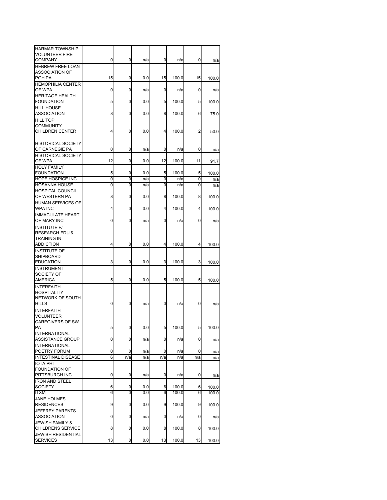| <b>HARMAR TOWNSHIP</b><br><b>VOLUNTEER FIRE</b>            |    |     |     |     |       |     |       |
|------------------------------------------------------------|----|-----|-----|-----|-------|-----|-------|
| <b>COMPANY</b>                                             | 0  | 0   | n/a | 0   | n/a   | 0   | n/a   |
| <b>HEBREW FREE LOAN</b><br><b>ASSOCIATION OF</b><br>PGH PA | 15 | 0   | 0.0 | 15  | 100.0 | 15  | 100.0 |
| <b>HEMOPHILIA CENTER</b><br>OF WPA                         | 0  | 0   | n/a | 0   | n/a   | 0   | n/a   |
| <b>HERITAGE HEALTH</b>                                     |    |     |     |     |       |     |       |
| <b>FOUNDATION</b><br><b>HILL HOUSE</b>                     | 5  | 0   | 0.0 | 5   | 100.0 | 5   | 100.0 |
| ASSOCIATION                                                | 8  | 0   | 0.0 | 8   | 100.0 | 6   | 75.0  |
| <b>HILL TOP</b>                                            |    |     |     |     |       |     |       |
| COMMUNITY                                                  | 4  |     |     |     |       |     |       |
| <b>CHILDREN CENTER</b>                                     |    | 0   | 0.0 | 4   | 100.0 | 2   | 50.0  |
| <b>HISTORICAL SOCIETY</b>                                  |    |     |     |     |       |     |       |
| OF CARNEGIE PA                                             | 0  | 0   | n/a | 0   | n/a   | 0   | n/a   |
| <b>HISTORICAL SOCIETY</b><br>OF WPA                        |    | 0   |     |     |       |     |       |
| <b>HOLY FAMILY</b>                                         | 12 |     | 0.0 | 12  | 100.0 | 11  | 91.7  |
| <b>FOUNDATION</b>                                          | 5  | 0   | 0.0 | 5   | 100.0 | 5   | 100.0 |
| HOPE HOSPICE INC                                           | 0  | 0   | n/a | 0   | n/a   | 0   | n/a   |
| <b>HOSANNA HOUSE</b>                                       | 0  | 0   | n/a | 0   | n/a   | 0   | n/a   |
| HOSPITAL COUNCIL<br>OF WESTERN PA                          | 8  | 0   | 0.0 | 8   | 100.0 | 8   | 100.0 |
| HUMAN SERVICES OF                                          |    |     |     |     |       |     |       |
| WPA INC                                                    | 4  | 0   | 0.0 | 4   | 100.0 | 4   | 100.0 |
| <b>IMMACULATE HEART</b><br>OF MARY INC                     | 0  | 0   | n/a | 0   | n/a   | 0   | n/a   |
| <b>INSTITUTE F/</b><br><b>RESEARCH EDU &amp;</b>           |    |     |     |     |       |     |       |
| <b>TRAINING IN</b><br><b>ADDICTION</b>                     | 4  | 0   | 0.0 | 4   | 100.0 | 4   | 100.0 |
| <b>INSTITUTE OF</b>                                        |    |     |     |     |       |     |       |
| SHIPBOARD                                                  |    |     |     |     |       |     |       |
| <b>EDUCATION</b><br><b>INSTRUMENT</b>                      | 3  | 0   | 0.0 | 3   | 100.0 | 3   | 100.0 |
| SOCIETY OF                                                 |    |     |     |     |       |     |       |
| AMERICA                                                    | 5  | 0   | 0.0 | 5   | 100.0 | 5   | 100.0 |
| <b>INTERFAITH</b>                                          |    |     |     |     |       |     |       |
| <b>HOSPITALITY</b><br>NETWORK OF SOUTH                     |    |     |     |     |       |     |       |
| HILLS                                                      | 0  | 0   | n/a | 0   | n/a   | 0   | n/a   |
| <b>INTERFAITH</b>                                          |    |     |     |     |       |     |       |
| VOLUNTEER                                                  |    |     |     |     |       |     |       |
| CAREGIVERS OF SW                                           |    |     |     |     | 100.0 |     |       |
| PA<br><b>INTERNATIONAL</b>                                 | 5  | υ   | 0.0 | p   |       | 5   | 100.0 |
| <b>ASSISTANCE GROUP</b>                                    | 0  | 0   | n/a | 0   | n/a   | 0   | n/a   |
| <b>INTERNATIONAL</b>                                       |    |     |     |     |       |     |       |
| POETRY FORUM                                               | 0  | 0   | n/a | 0   | n/a   | 0   | n/a   |
| <b>INTESTINAL DISEASE</b><br><b>IOTA PHI</b>               | 6  | n/a | n/a | n/a | n/a   | n/a | n/a   |
| <b>FOUNDATION OF</b>                                       |    |     |     |     |       |     |       |
| PITTSBURGH INC                                             | 0  | 0   | n/a | 0   | n/a   | 0   | n/a   |
| <b>IRON AND STEEL</b>                                      |    |     |     |     |       |     |       |
| <b>SOCIETY</b>                                             | 6  | 0   | 0.0 | 6   | 100.0 | 6   | 100.0 |
| ITXM<br><b>JANE HOLMES</b>                                 | 6  | 0   | 0.0 | 6   | 100.0 | 6   | 100.0 |
| <b>RESIDENCES</b>                                          | 9  | 0   | 0.0 | 9   | 100.0 | 9   | 100.0 |
| JEFFREY PARENTS                                            |    |     |     |     |       |     |       |
| <b>ASSOCIATION</b>                                         | 0  | 0   | n/a | 0   | n/a   | 0   | n/a   |
| <b>JEWISH FAMILY &amp;</b><br>CHILDRENS SERVICE            | 8  | 0   | 0.0 | 8   | 100.0 | 8   | 100.0 |
| <b>JEWISH RESIDENTIAL</b>                                  |    |     |     |     |       |     |       |
| <b>SERVICES</b>                                            | 13 | 0   | 0.0 | 13  | 100.0 | 13  | 100.0 |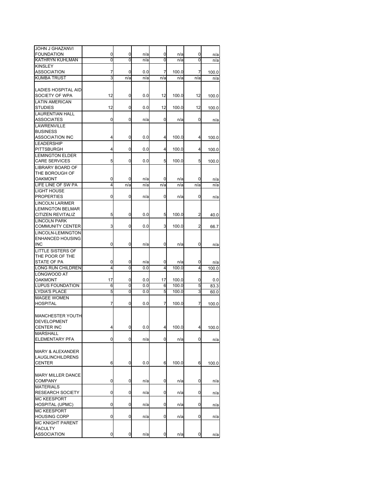| JOHN J GHAZANVI                             |        |        |            |        |              |                |       |
|---------------------------------------------|--------|--------|------------|--------|--------------|----------------|-------|
| <b>FOUNDATION</b>                           | 0      | 0      | n/a        | 0      | n/a          | 0              | n/a   |
| <b>KATHRYN KUHLMAN</b>                      | 0      | 0      | n/a        | 0      | n/a          | 0              | n/a   |
| <b>KINSLEY</b>                              |        |        |            |        |              |                |       |
| <b>ASSOCIATION</b>                          | 7      | 0      | 0.0        | 7      | 100.0        | 7              | 100.0 |
| <b>KUMBA TRUST</b>                          | 3      | n/a    | n/a        | n/a    | n/a          | n/a            | n/a   |
|                                             |        |        |            |        |              |                |       |
| LADIES HOSPITAL AID                         |        |        |            |        |              |                |       |
| SOCIETY OF WPA                              | 12     | 0      | 0.0        | 12     | 100.0        | 12             | 100.0 |
| <b>LATIN AMERICAN</b><br><b>STUDIES</b>     | 12     |        |            |        |              |                |       |
|                                             |        | 0      | 0.0        | 12     | 100.0        | 12             | 100.0 |
| <b>LAURENTIAN HALL</b><br><b>ASSOCIATES</b> | 0      | 0      | n/a        | 0      | n/a          | 0              |       |
| LAWRENVILLE                                 |        |        |            |        |              |                | n/a   |
| <b>BUSINESS</b>                             |        |        |            |        |              |                |       |
| <b>ASSOCIATION INC</b>                      | 4      | 0      | 0.0        | 4      | 100.0        | 4              | 100.0 |
| <b>LEADERSHIP</b>                           |        |        |            |        |              |                |       |
| PITTSBURGH                                  | 4      | 0      | 0.0        | 4      | 100.0        | 4              | 100.0 |
| <b>LEMINGTON ELDER</b>                      |        |        |            |        |              |                |       |
| <b>CARE SERVICES</b>                        | 5      | 0      | 0.0        | 5      | 100.0        | 5              | 100.0 |
| LIBRARY BOARD OF                            |        |        |            |        |              |                |       |
| THE BOROUGH OF                              |        |        |            |        |              |                |       |
| OAKMONT                                     | 0      | 0      | n/a        | 0      | n/a          | 0              | n/a   |
| LIFE LINE OF SW PA                          | 4      | n/a    | n/a        | n/a    | n/a          | n/a            | n/a   |
| <b>LIGHT HOUSE</b>                          |        |        |            |        |              |                |       |
| <b>PROPERTIES</b>                           | 0      | 0      | n/a        | 0      | n/a          | 0              | n/a   |
| <b>LINCOLN LARIMER</b>                      |        |        |            |        |              |                |       |
| <b>LEMINGTON BELMAR</b>                     |        |        |            |        |              |                |       |
| <b>CITIZEN REVITALIZ</b>                    | 5      | 0      | 0.0        | 5      | 100.0        | $\overline{2}$ | 40.0  |
| <b>LINCOLN PARK</b>                         |        |        |            |        |              |                |       |
| <b>COMMUNITY CENTER</b>                     | 3      | 0      | 0.0        | 3      | 100.0        | 2              | 66.7  |
| LINCOLN-LEMINGTON                           |        |        |            |        |              |                |       |
| <b>ENHANCED HOUSING</b>                     |        |        |            |        |              |                |       |
| <b>INC</b>                                  | 0      | 0      | n/a        | 0      | n/a          | 0              | n/a   |
| LITTLE SISTERS OF                           |        |        |            |        |              |                |       |
| THE POOR OF THE                             |        |        |            |        |              |                |       |
| STATE OF PA<br>LONG RUN CHILDREN            | 0<br>4 | 0<br>0 | n/a<br>0.0 | 0<br>4 | n/a<br>100.0 | 0<br>4         | n/a   |
| LONGWOOD AT                                 |        |        |            |        |              |                | 100.0 |
| <b>OAKMONT</b>                              | 17     | 0      | 0.0        | 17     | 100.0        | 0              | 0.0   |
| LUPUS FOUNDATION                            | 6      | 0      | 0.0        | 6      | 100.0        | 5              | 83.3  |
| <b>LYDIA'S PLACE</b>                        | 5      | 0      | 0.0        | 5      | 100.0        | 3              | 60.0  |
| <b>MAGEE WOMEN</b>                          |        |        |            |        |              |                |       |
| <b>HOSPITAL</b>                             | 7      | 0      | 0.0        | 7      | 100.0        | 7              | 100.0 |
|                                             |        |        |            |        |              |                |       |
| <b>MANCHESTER YOUTH</b>                     |        |        |            |        |              |                |       |
| <b>DEVELOPMENT</b>                          |        |        |            |        |              |                |       |
| CENTER INC                                  | 4      | υ      | $_{0.0}$   | 4      | 100.0        | 4              | 100.0 |
| <b>MARSHALL</b>                             |        |        |            |        |              |                |       |
| ELEMENTARY PFA                              | 0      | 0      | n/a        | 0      | n/a          | 0              | n/a   |
|                                             |        |        |            |        |              |                |       |
| <b>MARY &amp; ALEXANDER</b>                 |        |        |            |        |              |                |       |
| <b>LAUGLINCHILDRENS</b>                     |        |        |            |        |              |                |       |
| <b>CENTER</b>                               | 6      | 0      | 0.0        | 6      | 100.0        | 6              | 100.0 |
|                                             |        |        |            |        |              |                |       |
| <b>MARY MILLER DANCE</b>                    |        |        |            |        |              |                |       |
| <b>COMPANY</b>                              | 0      | 0      | n/a        | 0      | n/a          | 0              | n/a   |
| <b>MATERIALS</b>                            |        |        |            |        |              |                |       |
| <b>RESEARCH SOCIETY</b>                     | 0      | 0      | n/a        | 0      | n/a          | 0              | n/a   |
| <b>MC KEESPORT</b>                          |        |        |            |        |              |                |       |
| HOSPITAL (UPMC)                             | 0      | 0      | n/a        | 0      | n/a          | 0              | n/a   |
| <b>MC KEESPORT</b>                          |        |        |            |        |              |                |       |
| <b>HOUSING CORP</b>                         | 0      | 0      | n/a        | 0      | n/a          | 0              | n/a   |
| <b>MC KNIGHT PARENT</b><br><b>FACULTY</b>   |        |        |            |        |              |                |       |
| <b>ASSOCIATION</b>                          | 0      | 0      | n/a        | 0      | n/a          | 0              | n/a   |
|                                             |        |        |            |        |              |                |       |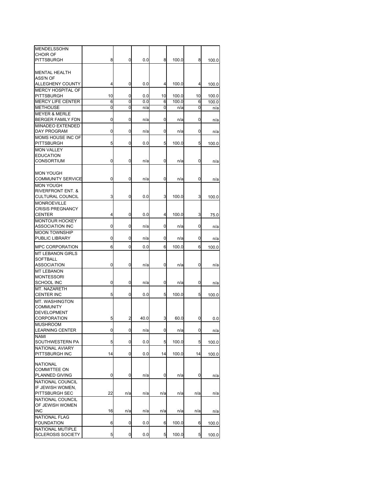| <b>MENDELSSOHN</b>           |    |     |      |     |       |     |       |
|------------------------------|----|-----|------|-----|-------|-----|-------|
| CHOIR OF                     |    |     |      |     |       |     |       |
| <b>PITTSBURGH</b>            | 8  | 0   | 0.0  | 8   | 100.0 | 8   | 100.0 |
|                              |    |     |      |     |       |     |       |
| <b>MENTAL HEALTH</b>         |    |     |      |     |       |     |       |
| ASS'N OF                     |    |     |      |     |       |     |       |
| ALLEGHENY COUNTY             | 4  | 0   | 0.0  | 4   | 100.0 | 4   | 100.0 |
| <b>MERCY HOSPITAL OF</b>     |    |     |      |     |       |     |       |
| PITTSBURGH                   | 10 | 0   | 0.0  | 10  | 100.0 | 10  | 100.0 |
| <b>MERCY LIFE CENTER</b>     | 6  | 0   | 0.0  | 6   | 100.0 | 6   | 100.0 |
| <b>METHOUSE</b>              | 0  | 0   | n/a  | 0   | n/a   | 0   | n/a   |
|                              |    |     |      |     |       |     |       |
| <b>MEYER &amp; MERLE</b>     |    |     |      |     |       |     |       |
| BERGER FAMILY FDN            | 0  | 0   | n/a  | 0   | n/a   | 0   | n/a   |
| <b>MINADEO EXTENDED</b>      |    |     |      |     |       |     |       |
| DAY PROGRAM                  | 0  | 0   | n/a  | 0   | n/a   | 0   | n/a   |
| MOMS HOUSE INC OF            |    |     |      |     |       |     |       |
| PITTSBURGH                   | 5  | 0   | 0.0  | 5   | 100.0 | 5   | 100.0 |
| <b>MON VALLEY</b>            |    |     |      |     |       |     |       |
| <b>EDUCATION</b>             |    |     |      |     |       |     |       |
| <b>CONSORTIUM</b>            | 0  | 0   | n/a  | 0   | n/a   | 0   | n/a   |
|                              |    |     |      |     |       |     |       |
| <b>MON YOUGH</b>             |    |     |      |     |       |     |       |
| <b>COMMUNITY SERVICE</b>     | 0  | 0   | n/a  | 0   | n/a   | 0   | n/a   |
| <b>MON YOUGH</b>             |    |     |      |     |       |     |       |
| <b>RIVERFRONT ENT. &amp;</b> |    |     |      |     |       |     |       |
| CULTURAL COUNCIL             | 3  | 0   | 0.0  | 3   | 100.0 | 3   | 100.0 |
|                              |    |     |      |     |       |     |       |
| <b>MONROEVILLE</b>           |    |     |      |     |       |     |       |
| <b>CRISIS PREGNANCY</b>      |    |     |      |     |       |     |       |
| <b>CENTER</b>                | 4  | 0   | 0.0  | 4   | 100.0 | 3   | 75.0  |
| <b>MONTOUR HOCKEY</b>        |    |     |      |     |       |     |       |
| ASSOCIATION INC              | 0  | 0   | n/a  | 0   | n/a   | 0   | n/a   |
| <b>MOON TOWNSHIP</b>         |    |     |      |     |       |     |       |
| PUBLIC LIBRARY               | 0  | 0   | n/a  | 0   | n/a   | 0   | n/a   |
| <b>MPC CORPORATION</b>       | 6  | 0   | 0.0  | 6   | 100.0 | 6   | 100.0 |
|                              |    |     |      |     |       |     |       |
| <b>MT LEBANON GIRLS</b>      |    |     |      |     |       |     |       |
| SOFTBALL                     |    |     |      |     |       |     |       |
| <b>ASSOCIATION</b>           | 0  | 0   | n/a  | 0   | n/a   | 0   | n/a   |
| <b>MT LEBANON</b>            |    |     |      |     |       |     |       |
| <b>MONTESSORI</b>            |    |     |      |     |       |     |       |
| SCHOOL INC                   | 0  | 0   | n/a  | 0   | n/a   | 0   | n/a   |
| MT. NAZARETH                 |    |     |      |     |       |     |       |
| <b>CENTER INC</b>            | 5  | 0   | 0.0  | 5   | 100.0 | 5   | 100.0 |
| MT. WASHINGTON               |    |     |      |     |       |     |       |
| <b>COMMUNITY</b>             |    |     |      |     |       |     |       |
| <b>DEVELOPMENT</b>           |    |     |      |     |       |     |       |
| CORPORATION                  | 5  | 2   | 40.0 | 3   | 60.0  | 0   | 0.0   |
| <b>MUSHROOM</b>              |    |     |      |     |       |     |       |
| <b>LEARNING CENTER</b>       | 0  | 0   | n/a  | 0   | n/a   | 0   | n/a   |
| NAMI                         |    |     |      |     |       |     |       |
| SOUTHWESTERN PA              | 5  | 0   | 0.0  | 5   | 100.0 | 5   | 100.0 |
| NATIONAL AVIARY              |    |     |      |     |       |     |       |
|                              |    |     |      |     |       |     |       |
| PITTSBURGH INC               | 14 | 0   | 0.0  | 14  | 100.0 | 14  | 100.0 |
| <b>NATIONAL</b>              |    |     |      |     |       |     |       |
| <b>COMMITTEE ON</b>          |    |     |      |     |       |     |       |
| PLANNED GIVING               | 0  | 0   | n/a  | 0   | n/a   | 0   | n/a   |
| NATIONAL COUNCIL             |    |     |      |     |       |     |       |
| IF JEWISH WOMEN,             |    |     |      |     |       |     |       |
| PITTSBURGH SEC               | 22 | n/a | n/a  | n/a | n/a   | n/a |       |
|                              |    |     |      |     |       |     | n/a   |
| NATIONAL COUNCIL             |    |     |      |     |       |     |       |
| OF JEWISH WOMEN              |    |     |      |     |       |     |       |
| <b>INC</b>                   | 16 | n/a | n/a  | n/a | n/a   | n/a | n/a   |
| <b>NATIONAL FLAG</b>         |    |     |      |     |       |     |       |
| FOUNDATION                   | 6  | 0   | 0.0  | 6   | 100.0 | 6   | 100.0 |
| NATIONAL MUTIPLE             |    |     |      |     |       |     |       |
| <b>SCLEROSIS SOCIETY</b>     | 5  | 0   | 0.0  | 5   | 100.0 | 5   | 100.0 |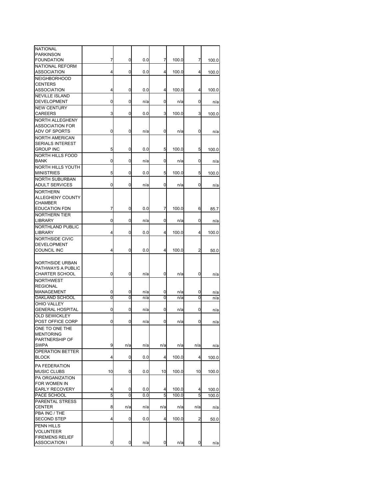| <b>NATIONAL</b>         |    |     |     |     |       |                |       |
|-------------------------|----|-----|-----|-----|-------|----------------|-------|
| <b>PARKINSON</b>        |    |     |     |     |       |                |       |
| <b>FOUNDATION</b>       | 7  | 0   | 0.0 | 7   | 100.0 | 7              | 100.0 |
| NATIONAL REFORM         |    |     |     |     |       |                |       |
| ASSOCIATION             | 4  | 0   | 0.0 | 4   | 100.0 | 4              | 100.0 |
| <b>NEIGHBORHOOD</b>     |    |     |     |     |       |                |       |
| <b>CENTERS</b>          |    |     |     |     |       |                |       |
| <b>ASSOCIATION</b>      | 4  | 0   | 0.0 | 4   | 100.0 | 4              | 100.0 |
| <b>NEVILLE ISLAND</b>   |    |     |     |     |       |                |       |
| DEVELOPMENT             | 0  | 0   | n/a | 0   | n/a   | 0              | n/a   |
| <b>NEW CENTURY</b>      |    |     |     |     |       |                |       |
| <b>CAREERS</b>          | 3  | 0   | 0.0 | 3   | 100.0 | 3              | 100.0 |
| <b>NORTH ALLEGHENY</b>  |    |     |     |     |       |                |       |
| <b>ASSOCIATION FOR</b>  |    |     |     |     |       |                |       |
| ADV OF SPORTS           | 0  | 0   | n/a | 0   | n/a   | 0              |       |
|                         |    |     |     |     |       |                | n/a   |
| <b>NORTH AMERICAN</b>   |    |     |     |     |       |                |       |
| <b>SERIALS INTEREST</b> |    |     |     |     |       |                |       |
| <b>GROUP INC</b>        | 5  | 0   | 0.0 | 5   | 100.0 | 5              | 100.0 |
| NORTH HILLS FOOD        |    |     |     |     |       |                |       |
| <b>BANK</b>             | 0  | 0   | n/a | 0   | n/a   | 0              | n/a   |
| NORTH HILLS YOUTH       |    |     |     |     |       |                |       |
| <b>MINISTRIES</b>       | 5  | 0   | 0.0 | 5   | 100.0 | 5              | 100.0 |
| <b>NORTH SUBURBAN</b>   |    |     |     |     |       |                |       |
| <b>ADULT SERVICES</b>   | 0  | 0   | n/a | 0   | n/a   | 0              | n/a   |
| <b>NORTHERN</b>         |    |     |     |     |       |                |       |
| ALLEGHENY COUNTY        |    |     |     |     |       |                |       |
| <b>CHAMBER</b>          |    |     |     |     |       |                |       |
| <b>EDUCATION FDN</b>    | 7  | 0   | 0.0 | 7   | 100.0 | 6              | 85.7  |
| <b>NORTHERN TIER</b>    |    |     |     |     |       |                |       |
| LIBRARY                 | 0  | 0   | n/a | 0   | n/a   | 0              | n/a   |
| NORTHLAND PUBLIC        |    |     |     |     |       |                |       |
| LIBRARY                 | 4  | 0   | 0.0 | 4   | 100.0 | 4              | 100.0 |
| NORTHSIDE CIVIC         |    |     |     |     |       |                |       |
| <b>DEVELOPMENT</b>      |    |     |     |     |       |                |       |
| <b>COUNCIL INC</b>      | 4  | 0   | 0.0 | 4   | 100.0 | $\overline{c}$ | 50.0  |
|                         |    |     |     |     |       |                |       |
| NORTHSIDE URBAN         |    |     |     |     |       |                |       |
| PATHWAYS A PUBLIC       |    |     |     |     |       |                |       |
| <b>CHARTER SCHOOL</b>   | 0  | 0   | n/a | 0   | n/a   | 0              | n/a   |
| <b>NORTHWEST</b>        |    |     |     |     |       |                |       |
| <b>REGIONAL</b>         |    |     |     |     |       |                |       |
| MANAGEMENT              | 0  | 0   | n/a | 0   | n/a   | 0              | n/a   |
| <b>OAKLAND SCHOOL</b>   | 0  | 0   | n/a | 0   | n/a   | 0              | n/a   |
| <b>OHIO VALLEY</b>      |    |     |     |     |       |                |       |
| GENERAL HOSPITAL        | 0  | 0   | n/a | 0   | n/a   | 0              | n/a   |
| <b>OLD SEWICKLEY</b>    |    |     |     |     |       |                |       |
| POST OFFICE CORP        | 0  | 0   |     | 0   |       | 0              |       |
|                         |    |     | n/a |     | n/a   |                | n/a   |
| ONE TO ONE THE          |    |     |     |     |       |                |       |
| MENTORING               |    |     |     |     |       |                |       |
| PARTNERSHIP OF          |    |     |     |     |       |                |       |
| <b>SWPA</b>             | 9  | n/a | n/a | n/a | n/a   | n/a            | n/a   |
| OPERATION BETTER        |    |     |     |     |       |                |       |
| <b>BLOCK</b>            | 4  | 0   | 0.0 | 4   | 100.0 | 4              | 100.0 |
| PA FEDERATION           |    |     |     |     |       |                |       |
| MUSIC CLUBS             | 10 | 0   | 0.0 | 10  | 100.0 | 10             | 100.0 |
| PA ORGANIZATION         |    |     |     |     |       |                |       |
| FOR WOMEN IN            |    |     |     |     |       |                |       |
| <b>EARLY RECOVERY</b>   | 4  | 0   | 0.0 | 4   | 100.0 | 4              | 100.0 |
| PACE SCHOOL             | 5  | 0   | 0.0 | 5   | 100.0 | 5              | 100.0 |
| PARENTAL STRESS         |    |     |     |     |       |                |       |
| CENTER                  | 8  | n/a | n/a | n/a | n/a   | n/a            |       |
| PBA INC / THE           |    |     |     |     |       |                | n/a   |
| <b>SECOND STEP</b>      | 4  | 0   | 0.0 | 4   | 100.0 | 2              |       |
|                         |    |     |     |     |       |                | 50.0  |
| PENN HILLS              |    |     |     |     |       |                |       |
| VOLUNTEER               |    |     |     |     |       |                |       |
| <b>FIREMENS RELIEF</b>  |    |     |     |     |       |                |       |
| <b>ASSOCIATION I</b>    | 0  | 0   | n/a | 0   | n/a   | 0              | n/a   |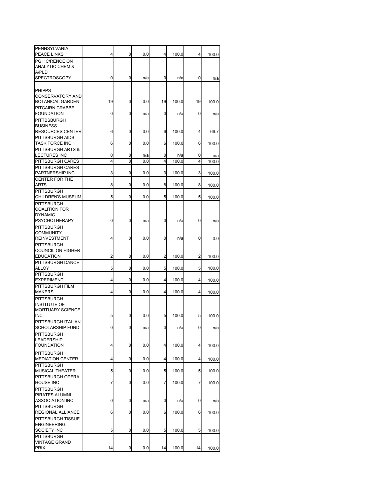| PENNSYLVANIA<br><b>PEACE LINKS</b>         | 4  | 0              | 0.0 | 4  | 100.0 | 4  | 100.0 |
|--------------------------------------------|----|----------------|-----|----|-------|----|-------|
| PGH C/RENCE ON                             |    |                |     |    |       |    |       |
| <b>ANALYTIC CHEM &amp;</b>                 |    |                |     |    |       |    |       |
| <b>A/PLD</b>                               |    |                |     |    |       |    |       |
| <b>SPECTROSCOPY</b>                        | 0  | 0              | n/a | 0  | n/a   | 0  | n/a   |
|                                            |    |                |     |    |       |    |       |
| <b>PHIPPS</b>                              |    |                |     |    |       |    |       |
| <b>CONSERVATORY AND</b>                    |    |                |     |    |       |    |       |
| BOTANICAL GARDEN                           | 19 | 0              | 0.0 | 19 | 100.0 | 19 | 100.0 |
| PITCAIRN CRABBE                            |    |                |     |    |       |    |       |
| <b>FOUNDATION</b>                          | 0  | 0              | n/a | 0  | n/a   | 0  | n/a   |
| PITTBSBURGH                                |    |                |     |    |       |    |       |
| <b>BUSINESS</b>                            |    |                |     |    |       |    |       |
| <b>RESOURCES CENTER</b>                    | 6  | 0              | 0.0 | 6  | 100.0 | 4  | 66.7  |
| PITTSBURGH AIDS                            | 6  | 0              | 0.0 | 6  | 100.0 | 6  |       |
| <b>TASK FORCE INC</b><br>PITTSBURGH ARTS & |    |                |     |    |       |    | 100.0 |
| LECTURES INC                               | 0  | 0              | n/a | 0  | n/a   | 0  | n/a   |
| PITTSBURGH CARES                           | 4  | $\overline{0}$ | 0.0 | 4  | 100.0 | 4  | 100.0 |
| PITTSBURGH CARES                           |    |                |     |    |       |    |       |
| PARTNERSHIP INC                            | 3  | 0              | 0.0 | 3  | 100.0 | 3  | 100.0 |
| <b>CENTER FOR THE</b>                      |    |                |     |    |       |    |       |
| <b>ARTS</b>                                | 8  | 0              | 0.0 | 8  | 100.0 | 8  | 100.0 |
| <b>PITTSBURGH</b>                          |    |                |     |    |       |    |       |
| <b>CHILDREN'S MUSEUM</b>                   | 5  | 0              | 0.0 | 5  | 100.0 | 5  | 100.0 |
| PITTSBURGH                                 |    |                |     |    |       |    |       |
| <b>COALITION FOR</b>                       |    |                |     |    |       |    |       |
| <b>DYNAMIC</b>                             |    |                |     |    |       |    |       |
| <b>PSYCHOTHERAPY</b>                       | 0  | 0              | n/a | 0  | n/a   | 0  | n/a   |
| <b>PITTSBURGH</b>                          |    |                |     |    |       |    |       |
| COMMUNITY                                  |    |                |     |    |       |    |       |
| <b>REINVESTMENT</b>                        | 4  | 0              | 0.0 | 0  | n/a   | 0  | 0.0   |
| <b>PITTSBURGH</b>                          |    |                |     |    |       |    |       |
| COUNCIL ON HIGHER                          |    |                |     |    |       |    |       |
| <b>EDUCATION</b>                           | 2  | 0              | 0.0 | 2  | 100.0 | 2  | 100.0 |
| PITTSBURGH DANCE<br>ALLOY                  | 5  | 0              | 0.0 | 5  | 100.0 | 5  |       |
| <b>PITTSBURGH</b>                          |    |                |     |    |       |    | 100.0 |
| <b>EXPERIMENT</b>                          | 4  | 0              | 0.0 | 4  | 100.0 | 4  | 100.0 |
| PITTSBURGH FILM                            |    |                |     |    |       |    |       |
| <b>MAKERS</b>                              | 4  | 0              | 0.0 | 4  | 100.0 | 4  | 100.0 |
| PITTSBURGH                                 |    |                |     |    |       |    |       |
| <b>INSTITUTE OF</b>                        |    |                |     |    |       |    |       |
| <b>MORTUARY SCIENCE</b>                    |    |                |     |    |       |    |       |
| <b>INC</b>                                 | 5  | 0              | 0.0 | 5  | 100.0 | 5  | 100.0 |
| PITTSBURGH ITALIAN                         |    |                |     |    |       |    |       |
| SCHOLARSHIP FUND                           |    | 0              | n/a | 0  | n/a   | 0  | n/a   |
| PITTSBURGH                                 |    |                |     |    |       |    |       |
| LEADERSHIP                                 |    |                |     |    |       |    |       |
| <b>FOUNDATION</b>                          | 4  | 0              | 0.0 | 4  | 100.0 | 4  | 100.0 |
| <b>PITTSBURGH</b>                          |    |                |     |    |       |    |       |
| <b>MEDIATION CENTER</b>                    | 4  | 0              | 0.0 | 4  | 100.0 | 4  | 100.0 |
| PITTSBURGH                                 |    |                |     |    |       |    |       |
| MUSICAL THEATER                            | 5  | 0              | 0.0 | 5  | 100.0 | 5  | 100.0 |
| PITTSBURGH OPERA                           |    |                |     |    |       |    |       |
| <b>HOUSE INC</b>                           | 7  | 0              | 0.0 | 7  | 100.0 | 7  | 100.0 |
| PITTSBURGH                                 |    |                |     |    |       |    |       |
| PIRATES ALUMNI<br><b>ASSOCIATION INC</b>   | 0  | 0              |     | 0  |       | 0  |       |
| <b>PITTSBURGH</b>                          |    |                | n/a |    | n/a   |    | n/a   |
| REGIONAL ALLIANCE                          | 6  | 0              | 0.0 | 6  | 100.0 | 6  | 100.0 |
| PITTSBURGH TISSUE                          |    |                |     |    |       |    |       |
| <b>ENGINEERING</b>                         |    |                |     |    |       |    |       |
| SOCIETY INC                                | 5  | 0              | 0.0 | 5  | 100.0 | 5  | 100.0 |
| PITTSBURGH                                 |    |                |     |    |       |    |       |
| VINTAGE GRAND                              |    |                |     |    |       |    |       |
| <b>PRIX</b>                                | 14 | 0              | 0.0 | 14 | 100.0 | 14 | 100.0 |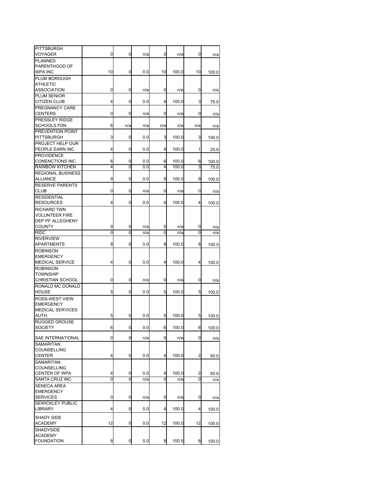| <b>PITTSBURGH</b>                    |                |                |     |     |       |                |       |
|--------------------------------------|----------------|----------------|-----|-----|-------|----------------|-------|
| VOYAGER                              | 0              | 0              | n/a | 0   | n/a   | 0              | n/a   |
| <b>PLANNED</b><br>PARENTHOOD OF      |                |                |     |     |       |                |       |
| <b>WPA INC</b>                       | 10             | 0              | 0.0 | 10  | 100.0 | 10             | 100.0 |
| PLUM BOROUGH                         |                |                |     |     |       |                |       |
| <b>ATHLETIC</b>                      |                |                |     |     |       |                |       |
| <b>ASSOCIATION</b>                   | 0              | 0              | n/a | 0   | n/a   | 0              | n/a   |
| PLUM SENIOR                          |                |                |     |     |       |                |       |
| CITIZEN CLUB                         | 4              | 0              | 0.0 | 4   | 100.0 | 3              | 75.0  |
| PREGNANCY CARE                       |                |                |     |     |       |                |       |
| <b>CENTERS</b>                       | 0              | 0              | n/a | 0   | n/a   | 0              | n/a   |
| PRESSLEY RIDGE<br><b>SCHOOLS FDN</b> | 6              | n/a            | n/a | n/a | n/a   | n/a            |       |
| PREVENTION POINT                     |                |                |     |     |       |                | n/a   |
| <b>PITTSBURGH</b>                    | 3              | 0              | 0.0 | 3   | 100.0 | 3              | 100.0 |
| PROJECT HELP OUR                     |                |                |     |     |       |                |       |
| PEOPLE EARN INC                      | 4              | 0              | 0.0 | 4   | 100.0 | 1              | 25.0  |
| <b>PROVIDENCE</b>                    |                |                |     |     |       |                |       |
| <b>CONENCTIONS INC</b>               | 6              | 0              | 0.0 | 6   | 100.0 | 6              | 100.0 |
| <b>RAINBOW KITCHEN</b>               | 4              | $\overline{0}$ | 0.0 | 4   | 100.0 | 3              | 75.0  |
| <b>REGIONAL BUSINESS</b>             |                |                |     |     |       |                |       |
| <b>ALLIANCE</b>                      | 9              | 0              | 0.0 | 9   | 100.0 | 9              | 100.0 |
| <b>RESERVE PARENTS</b><br>CLUB       | 0              | 0              | n/a | 0   | n/a   | 0              | n/a   |
| <b>RESIDENTIAL</b>                   |                |                |     |     |       |                |       |
| <b>RESOURCES</b>                     | 4              | 0              | 0.0 | 4   | 100.0 | $\overline{4}$ | 100.0 |
| <b>RICHARD TWN</b>                   |                |                |     |     |       |                |       |
| <b>VOLUNTEER FIRE</b>                |                |                |     |     |       |                |       |
| DEP PF ALLEGHENY                     |                |                |     |     |       |                |       |
| <b>COUNTY</b>                        | 0              | 0              | n/a | 0   | n/a   | 0              | n/a   |
| <b>RIDC</b>                          | $\overline{0}$ | 0              | n/a | Ō   | n/a   | Ō              | n/a   |
| <b>RIVERVIEW</b>                     |                |                |     |     |       |                |       |
| <b>APARTMENTS</b>                    | 8              | 0              | 0.0 | 8   | 100.0 | 8              | 100.0 |
| <b>ROBINSON</b><br><b>EMERGENCY</b>  |                |                |     |     |       |                |       |
| <b>MEDICAL SERVICE</b>               | 4              | 0              | 0.0 | 4   | 100.0 | 4              | 100.0 |
| <b>ROBINSON</b>                      |                |                |     |     |       |                |       |
| <b>TOWNSHIP</b>                      |                |                |     |     |       |                |       |
| <b>CHRISTIAN SCHOOL</b>              | 0              | 0              | n/a | 0   | n/a   | 0              | n/a   |
| RONALD MC DONALD                     |                |                |     |     |       |                |       |
| <b>HOUSE</b>                         | 5              | 0              | 0.0 | 5   | 100.0 | 5              | 100.0 |
| <b>ROSS-WEST VIEW</b>                |                |                |     |     |       |                |       |
| <b>EMERGENCY</b>                     |                |                |     |     |       |                |       |
| <b>MEDICAL SERVICES</b><br>AUTH.     | 5              | 0              | 0.0 | 5   | 100.0 | 5              | 100.0 |
| <b>RUGGED GROUSE</b>                 |                |                |     |     |       |                |       |
| SOCIETY                              | ь              | υ              | 0.0 | ь   | 100.0 | ь              | 100.0 |
|                                      |                |                |     |     |       |                |       |
| SAE INTERNATIONAL                    | 0              | 0              | n/a | 0   | n/a   | 0              | n/a   |
| SAMARITAN                            |                |                |     |     |       |                |       |
| COUNSELLING<br><b>CENTER</b>         | 4              | 0              | 0.0 | 4   | 100.0 | 2              |       |
| SAMARITAN                            |                |                |     |     |       |                | 50.0  |
| <b>COUNSELLING</b>                   |                |                |     |     |       |                |       |
| <b>CENTER OF WPA</b>                 | 4              | 0              | 0.0 | 4   | 100.0 | 2              | 50.0  |
| SANTA CRUZ INC                       | 0              | 0              | n/a | 0   | n/a   | 0              | n/a   |
| <b>SENECA AREA</b>                   |                |                |     |     |       |                |       |
| <b>EMERGENCY</b>                     |                |                |     |     |       |                |       |
| <b>SERVICES</b>                      | 0              | 0              | n/a | 0   | n/a   | 0              | n/a   |
| <b>SEWICKLEY PUBLIC</b>              | 4              | 0              | 0.0 | 4   | 100.0 | 4              |       |
| LIBRARY                              |                |                |     |     |       |                | 100.0 |
| SHADY SIDE                           |                |                |     |     |       |                |       |
| ACADEMY                              | 12             | 0              | 0.0 | 12  | 100.0 | 12             | 100.0 |
| SHADYSIDE                            |                |                |     |     |       |                |       |
| ACADEMY<br><b>FOUNDATION</b>         | 8              | 0              | 0.0 | 8   | 100.0 | 8              | 100.0 |
|                                      |                |                |     |     |       |                |       |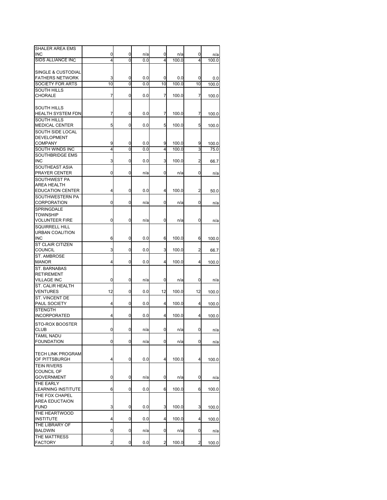| SHALER AREA EMS          |    |                |     |    |       |                |       |
|--------------------------|----|----------------|-----|----|-------|----------------|-------|
| <b>INC</b>               | 0  | 0              | n/a | 0  | n/a   | 0              | n/a   |
| <b>SIDS ALLIANCE INC</b> | 4  | 0              | 0.0 | 4  | 100.0 | 4              | 100.0 |
|                          |    |                |     |    |       |                |       |
| SINGLE & CUSTODIAL       |    |                |     |    |       |                |       |
| <b>FATHERS NETWORK</b>   | 3  | 0              | 0.0 | 0  | 0.0   | 0              | 0.0   |
| SOCIETY FOR ARTS         | 10 | 0              | 0.0 | 10 | 100.0 | 10             | 100.0 |
| <b>SOUTH HILLS</b>       |    |                |     |    |       |                |       |
| CHORALE                  | 7  | 0              | 0.0 | 7  | 100.0 | 7              | 100.0 |
|                          |    |                |     |    |       |                |       |
| <b>SOUTH HILLS</b>       |    |                |     |    |       |                |       |
| <b>HEALTH SYSTEM FDN</b> | 7  | 0              | 0.0 | 7  | 100.0 | 7              | 100.0 |
|                          |    |                |     |    |       |                |       |
| <b>SOUTH HILLS</b>       | 5  | 0              | 0.0 | 5  | 100.0 | 5              |       |
| <b>MEDICAL CENTER</b>    |    |                |     |    |       |                | 100.0 |
| SOUTH SIDE LOCAL         |    |                |     |    |       |                |       |
| <b>DEVELOPMENT</b>       |    |                |     |    |       |                |       |
| <b>COMPANY</b>           | 9  | 0              | 0.0 | 9  | 100.0 | 9              | 100.0 |
| SOUTH WINDS INC          | 4  | $\overline{0}$ | 0.0 | 4  | 100.0 | 3              | 75.0  |
| SOUTHBRIDGE EMS          |    |                |     |    |       |                |       |
| <b>INC</b>               | 3  | 0              | 0.0 | 3  | 100.0 | $\overline{c}$ | 66.7  |
| SOUTHEAST ASIA           |    |                |     |    |       |                |       |
| PRAYER CENTER            | 0  | 0              | n/a | 0  | n/a   | 0              | n/a   |
| SOUTHWEST PA             |    |                |     |    |       |                |       |
| AREA HEALTH              |    |                |     |    |       |                |       |
| <b>EDUCATION CENTER</b>  | 4  | 0              | 0.0 | 4  | 100.0 | 2              | 50.0  |
| SOUTHWESTERN PA          |    |                |     |    |       |                |       |
| <b>CORPORATION</b>       | 0  | 0              | n/a | 0  | n/a   | 0              | n/a   |
| SPRINGDALE               |    |                |     |    |       |                |       |
| <b>TOWNSHIP</b>          |    |                |     |    |       |                |       |
| <b>VOLUNTEER FIRE</b>    | 0  | 0              | n/a | 0  | n/a   | 0              | n/a   |
| <b>SQUIRRELL HILL</b>    |    |                |     |    |       |                |       |
| <b>URBAN COALITION</b>   |    |                |     |    |       |                |       |
| <b>INC</b>               | 6  | 0              | 0.0 | 6  | 100.0 | 6              | 100.0 |
|                          |    |                |     |    |       |                |       |
| ST CLAIR CITIZEN         |    |                |     |    |       |                |       |
| <b>COUNCIL</b>           | 3  | 0              | 0.0 | 3  | 100.0 | $\overline{c}$ | 66.7  |
| <b>ST. AMBROSE</b>       |    |                |     |    |       |                |       |
| <b>MANOR</b>             | 4  | 0              | 0.0 | 4  | 100.0 | 4              | 100.0 |
| ST. BARNABAS             |    |                |     |    |       |                |       |
| <b>RETIREMENT</b>        |    |                |     |    |       |                |       |
| <b>VILLAGE INC</b>       | 0  | 0              | n/a | 0  | n/a   | 0              | n/a   |
| ST. CALIR HEALTH         |    |                |     |    |       |                |       |
| <b>VENTURES</b>          | 12 | 0              | 0.0 | 12 | 100.0 | 12             | 100.0 |
| ST. VINCENT DE           |    |                |     |    |       |                |       |
| PAUL SOCIETY             | 4  | 0              | 0.0 | 4  | 100.0 | 4              | 100.0 |
| <b>STENGTH</b>           |    |                |     |    |       |                |       |
| <b>INCORPORATED</b>      | 4  | 0              | 0.0 | 4  | 100.0 | 4              | 100.0 |
|                          |    |                |     |    |       |                |       |
| STO-ROX BOOSTER          |    |                |     |    |       |                |       |
| <b>CLUB</b>              | 0  | 0              | n/a | 0  | n/a   | 0              | n/a   |
| <b>TAMIL NADU</b>        |    |                |     |    |       |                |       |
| <b>FOUNDATION</b>        | 0  | 0              | n/a | 0  | n/a   | 0              | n/a   |
|                          |    |                |     |    |       |                |       |
| <b>TECH LINK PROGRAM</b> |    |                |     |    |       |                |       |
| OF PITTSBURGH            | 4  | 0              | 0.0 | 4  | 100.0 | 4              | 100.0 |
| <b>TEIN RIVERS</b>       |    |                |     |    |       |                |       |
| <b>COUNCIL OF</b>        |    |                |     |    |       |                |       |
| <b>GOVERNMENT</b>        | 0  | 0              | n/a | 0  | n/a   | 0              | n/a   |
| THE EARLY                |    |                |     |    |       |                |       |
| LEARNING INSTITUTE       | 6  | 0              | 0.0 | 6  | 100.0 | 6              | 100.0 |
| THE FOX CHAPEL           |    |                |     |    |       |                |       |
| AREA EDUCTAION           |    |                |     |    |       |                |       |
| <b>FUND</b>              | 3  | 0              | 0.0 | 3  | 100.0 | 3              | 100.0 |
| THE HEARTWOOD            |    |                |     |    |       |                |       |
| <b>INSTITUTE</b>         | 4  | 0              | 0.0 | 4  | 100.0 | 4              | 100.0 |
| THE LIBRARY OF           |    |                |     |    |       |                |       |
| <b>BALDWIN</b>           | 0  | 0              | n/a | 0  | n/a   | 0              |       |
| THE MATTRESS             |    |                |     |    |       |                | n/a   |
| <b>FACTORY</b>           | 2  | 0              | 0.0 | 2  | 100.0 | 2              | 100.0 |
|                          |    |                |     |    |       |                |       |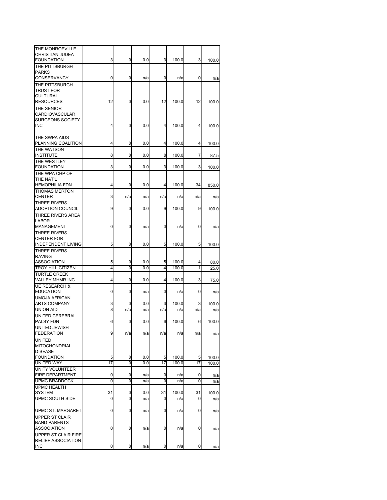| THE MONROEVILLE           |                |     |     |     |       |     |       |
|---------------------------|----------------|-----|-----|-----|-------|-----|-------|
| CHRISTIAN JUDEA           |                |     |     |     |       |     |       |
| <b>FOUNDATION</b>         | 3              | 0   | 0.0 | 3   | 100.0 | 3   | 100.0 |
| THE PITTSBURGH            |                |     |     |     |       |     |       |
| <b>PARKS</b>              |                |     |     |     |       |     |       |
| CONSERVANCY               | 0              | 0   | n/a | 0   | n/a   | 0   | n/a   |
| THE PITTSBURGH            |                |     |     |     |       |     |       |
| <b>TRUST FOR</b>          |                |     |     |     |       |     |       |
| CULTURAL                  |                |     |     |     |       |     |       |
|                           | 12             | 0   | 0.0 | 12  | 100.0 | 12  |       |
| <b>RESOURCES</b>          |                |     |     |     |       |     | 100.0 |
| THE SENIOR                |                |     |     |     |       |     |       |
| CARDIOVASCULAR            |                |     |     |     |       |     |       |
| SURGEONS SOCIETY          |                |     |     |     |       |     |       |
| <b>INC</b>                | 4              | 0   | 0.0 | 4   | 100.0 | 4   | 100.0 |
|                           |                |     |     |     |       |     |       |
| THE SWPA AIDS             |                |     |     |     |       |     |       |
| PLANNING COALITION        | 4              | 0   | 0.0 | 4   | 100.0 | 4   | 100.0 |
| THE WATSON                |                |     |     |     |       |     |       |
| <b>INSTITUTE</b>          | 8              | 0   | 0.0 | 8   | 100.0 | 7   | 87.5  |
| THE WESTLEY               |                |     |     |     |       |     |       |
| <b>FOUNDATION</b>         | 3              | 0   | 0.0 | 3   | 100.0 | 3   | 100.0 |
|                           |                |     |     |     |       |     |       |
| THE WPA CHP OF            |                |     |     |     |       |     |       |
| THE NAT'L                 |                |     |     |     |       |     |       |
| <b>HEMOPHILIA FDN</b>     | 4              | 0   | 0.0 | 4   | 100.0 | 34  | 850.0 |
| <b>THOMAS MERTON</b>      |                |     |     |     |       |     |       |
| <b>CENTER</b>             | 3              | n/a | n/a | n/a | n/a   | n/a | n/a   |
| THREE RIVERS              |                |     |     |     |       |     |       |
| <b>ADOPTION COUNCIL</b>   | 9              | 0   | 0.0 | 9   | 100.0 | 9   | 100.0 |
| THREE RIVERS AREA         |                |     |     |     |       |     |       |
| LABOR                     |                |     |     |     |       |     |       |
| MANAGEMENT                | 0              | 0   | n/a | 0   | n/a   | 0   | n/a   |
| THREE RIVERS              |                |     |     |     |       |     |       |
|                           |                |     |     |     |       |     |       |
| <b>CENTER FOR</b>         |                |     |     |     |       |     |       |
| <b>INDEPENDENT LIVING</b> | 5              | 0   | 0.0 | 5   | 100.0 | 5   | 100.0 |
| <b>THREE RIVERS</b>       |                |     |     |     |       |     |       |
| <b>RAVING</b>             |                |     |     |     |       |     |       |
| <b>ASSOCIATION</b>        | 5              | 0   | 0.0 | 5   | 100.0 | 4   | 80.0  |
| <b>TROY HILL CITIZEN</b>  | 4              | 0   | 0.0 | 4   | 100.0 | 1   | 25.0  |
| <b>TURTLE CREEK</b>       |                |     |     |     |       |     |       |
| VALLEY MHMR INC           | 4              | 0   | 0.0 | 4   | 100.0 | 3   | 75.0  |
| <b>UE RESEARCH &amp;</b>  |                |     |     |     |       |     |       |
| <b>EDUCATION</b>          | 0              | 0   | n/a | 0   | n/a   | 0   | n/a   |
| <b>UMOJA AFRICAN</b>      |                |     |     |     |       |     |       |
| <b>ARTS COMPANY</b>       | 3              | 0   | 0.0 | 3   | 100.0 | 3   | 100.0 |
| <b>UNION AID</b>          | 8              | n/a | n/a | n/a | n/a   | n/a |       |
|                           |                |     |     |     |       |     | n/a   |
| UNITED CEREBRAL           |                |     |     |     |       |     |       |
| PALSY FDN                 | 6              | 0   | 0.0 | 6   | 100.0 | 6   | 100.0 |
| UNITED JEWISH             |                |     |     |     |       |     |       |
| <b>FEDERATION</b>         | 9              | n/a | n/a | n/a | n/a   | n/a | n/a   |
| <b>UNITED</b>             |                |     |     |     |       |     |       |
| <b>MITOCHONDRIAL</b>      |                |     |     |     |       |     |       |
| <b>DISEASE</b>            |                |     |     |     |       |     |       |
| <b>FOUNDATION</b>         | 5              | 0   | 0.0 | 5   | 100.0 | 5   | 100.0 |
| <b>UNITED WAY</b>         | 17             | 0   | 0.0 | 17  | 100.0 | 17  | 100.0 |
| <b>UNITY VOLUNTEER</b>    |                |     |     |     |       |     |       |
| FIRE DEPARTMENT           | 0              | 0   | n/a | 0   | n/a   | 0   | n/a   |
| <b>UPMC BRADDOCK</b>      | $\overline{0}$ | 0   | n/a | 0   | n/a   | 0   | n/a   |
| <b>UPMC HEALTH</b>        |                |     |     |     |       |     |       |
| <b>SYSTEM</b>             | 31             | 0   | 0.0 | 31  |       | 31  |       |
|                           |                |     |     |     | 100.0 |     | 100.0 |
| <b>UPMC SOUTH SIDE</b>    | 0              | 0   | n/a | 0   | n/a   | 0   | n/a   |
|                           |                |     |     |     |       |     |       |
| UPMC ST. MARGARET         | 0              | 0   | n/a | 0   | n/a   | 0   | n/a   |
| <b>UPPER ST CLAIR</b>     |                |     |     |     |       |     |       |
| <b>BAND PARENTS</b>       |                |     |     |     |       |     |       |
| <b>ASSOCIATION</b>        | 0              | 0   | n/a | 0   | n/a   | 0   | n/a   |
| UPPER ST CLAIR FIRE       |                |     |     |     |       |     |       |
| RELIEF ASSOCIATION        |                |     |     |     |       |     |       |
| <b>INC</b>                | 0              | 0   | n/a | 0   | n/a   | 0   | n/a   |
|                           |                |     |     |     |       |     |       |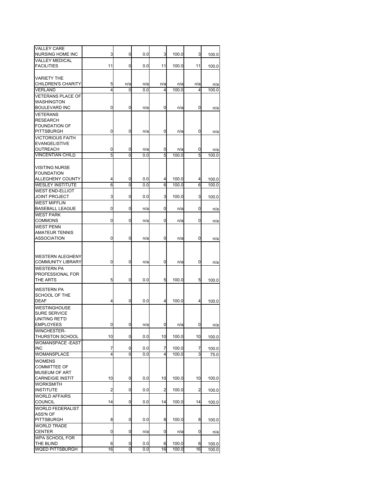| <b>VALLEY CARE</b><br>NURSING HOME INC      | 3       | 0      | 0.0        | 3              | 100.0          | 3       | 100.0          |
|---------------------------------------------|---------|--------|------------|----------------|----------------|---------|----------------|
| <b>VALLEY MEDICAL</b>                       |         |        |            |                |                |         |                |
| <b>FACILITIES</b>                           | 11      | 0      | 0.0        | 11             | 100.0          | 11      | 100.0          |
| <b>VARIETY THE</b>                          |         |        |            |                |                |         |                |
| CHILDREN'S CHARITY                          | 5       | n/a    | n/a        | n/a            | n/a            | n/a     | n/a            |
| VERLAND                                     | 4       | 0      | 0.0        | 4              | 100.0          | 4       | 100.0          |
| <b>VETERANS PLACE OF</b>                    |         |        |            |                |                |         |                |
| WASHINGTON                                  |         |        |            |                |                |         |                |
| <b>BOULEVARD INC</b>                        | 0       | 0      | n/a        | 0              | n/a            | 0       | n/a            |
| <b>VETERANS</b><br><b>RESEARCH</b>          |         |        |            |                |                |         |                |
| <b>FOUNDATION OF</b>                        |         |        |            |                |                |         |                |
| <b>PITTSBURGH</b>                           | 0       | 0      | n/a        | 0              | n/a            | 0       | n/a            |
| <b>VICTORIOUS FAITH</b>                     |         |        |            |                |                |         |                |
| <b>EVANGELISTIVE</b>                        |         |        |            |                |                |         |                |
| OUTREACH                                    | 0       | 0      | n/a        | 0              | n/a            | 0       | n/a            |
| <b>VINCENTIAN CHILD</b>                     | 5       | 0      | 0.0        | 5              | 100.0          | 5       | 100.0          |
|                                             |         |        |            |                |                |         |                |
| <b>VISITING NURSE</b>                       |         |        |            |                |                |         |                |
| <b>FOUNDATION</b><br>ALLEGHENY COUNTY       | 4       | 0      | 0.0        | 4              | 100.0          | 4       | 100.0          |
| <b>WESLEY INSTITUTE</b>                     | 6       | 0      | 0.0        | 6              | 100.0          | 6       | 100.0          |
| <b>WEST END-ELLIOT</b>                      |         |        |            |                |                |         |                |
| <b>JOINT PROJECT</b>                        | 3       | 0      | 0.0        | 3              | 100.0          | 3       | 100.0          |
| <b>WEST MIFFLIN</b>                         |         |        |            |                |                |         |                |
| <b>BASEBALL LEAGUE</b>                      | 0       | 0      | n/a        | 0              | n/a            | 0       | n/a            |
| <b>WEST PARK</b>                            |         |        |            |                |                |         |                |
| <b>COMMONS</b>                              | 0       | 0      | n/a        | 0              | n/a            | 0       | n/a            |
| <b>WEST PENN</b>                            |         |        |            |                |                |         |                |
| <b>AMATEUR TENNIS</b><br><b>ASSOCIATION</b> | 0       | 0      |            | 0              |                | 0       |                |
|                                             |         |        | n/a        |                | n/a            |         | n/a            |
|                                             |         |        |            |                |                |         |                |
| <b>WESTERN ALEGHENY</b>                     |         |        |            |                |                |         |                |
| <b>COMMUNITY LIBRARY</b>                    | 0       | 0      | n/a        | 0              | n/a            | 0       | n/a            |
| <b>WESTERN PA</b>                           |         |        |            |                |                |         |                |
| PROFESSIONAL FOR                            |         |        |            |                |                |         |                |
| THE ARTS                                    | 5       | 0      | 0.0        | 5              | 100.0          | 5       | 100.0          |
| WESTERN PA                                  |         |        |            |                |                |         |                |
| SCHOOL OF THE                               |         |        |            |                |                |         |                |
| <b>DEAF</b>                                 | 4       | 0      | 0.0        | 4              | 100.0          | 4       | 100.0          |
| <b>WESTINGHOUSE</b>                         |         |        |            |                |                |         |                |
| <b>SURE SERVICE</b>                         |         |        |            |                |                |         |                |
| UNITING RET'D<br><b>EMPLOYEES</b>           | 0       | 0      |            | 0              | n/a            | 0       |                |
| <b>WINCHESTER-</b>                          |         |        | n/a        |                |                |         | n/a            |
| THURSTON SCHOOL                             | 10      | 0      | 0.0        | 10             | 100.0          | 10      | 100.0          |
| <b>WOMANSPACE -EAST</b>                     |         |        |            |                |                |         |                |
| <b>INC</b>                                  | 7       | 0      | 0.0        | 7              | 100.0          | 7       | 100.0          |
| WOMANSPLACE                                 | 4       | Ō      | 0.0        | 4              | 100.0          | 3       | 75.0           |
| <b>WOMENS</b>                               |         |        |            |                |                |         |                |
| <b>COMMITTEE OF</b>                         |         |        |            |                |                |         |                |
| <b>MUSEUM OF ART</b>                        |         |        |            |                |                |         |                |
| <b>CARNEIGIE INSTIT</b>                     | 10      | 0      | 0.0        | 10             | 100.0          | 10      | 100.0          |
| <b>WORKSMITH</b><br><b>INSTITUTE</b>        | 2       | 0      | 0.0        | $\overline{c}$ | 100.0          | 2       | 100.0          |
| <b>WORLD AFFAIRS</b>                        |         |        |            |                |                |         |                |
| <b>COUNCIL</b>                              | 14      | 0      | 0.0        | 14             | 100.0          | 14      | 100.0          |
| <b>WORLD FEDERALIST</b>                     |         |        |            |                |                |         |                |
| ASS'N OF                                    |         |        |            |                |                |         |                |
| <b>PITTSBURGH</b>                           | 8       | 0      | 0.0        | 8              | 100.0          | 8       | 100.0          |
| <b>WORLD TRADE</b>                          |         |        |            |                |                |         |                |
| <b>CENTER</b>                               | 0       | 0      | n/a        | 0              | n/a            | 0       | n/a            |
| WPA SCHOOL FOR                              |         |        |            |                |                |         |                |
| THE BLIND<br><b>WQED PITTSBURGH</b>         | 6<br>16 | 0<br>0 | 0.0<br>0.0 | 6<br>16        | 100.0<br>100.0 | 6<br>16 | 100.0<br>100.0 |
|                                             |         |        |            |                |                |         |                |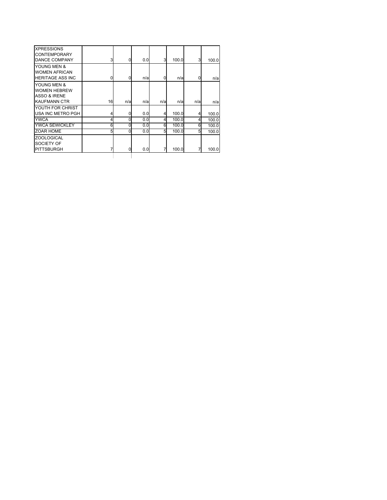| <b>XPRESSIONS</b><br><b>CONTEMPORARY</b><br><b>DANCE COMPANY</b>          | 3  | 0   | 0.0 | 3   | 100.0 | 3   | 100.0 |
|---------------------------------------------------------------------------|----|-----|-----|-----|-------|-----|-------|
| YOUNG MEN &<br><b>WOMEN AFRICAN</b><br><b>HERITAGE ASS INC</b>            | 0  | 0   | n/a | 0   | n/a   | 0   | n/a   |
| YOUNG MEN &<br><b>WOMEN HEBREW</b><br>ASSO & IRENE<br><b>KAUFMANN CTR</b> | 16 | n/a | n/a | n/a | n/a   | n/a | n/a   |
| YOUTH FOR CHRIST<br><b>USA INC METRO PGH</b>                              | 4  | 0   | 0.0 | 4   | 100.0 |     | 100.0 |
| <b>YWCA</b>                                                               | 4  | 0   | 0.0 | 4   | 100.0 | 4   | 100.0 |
| <b>YWCA SEWICKLEY</b>                                                     | 6  | 0   | 0.0 | 6   | 100.0 | 6   | 100.0 |
| <b>ZOAR HOME</b>                                                          | 5  | 0   | 0.0 | 5   | 100.0 | 5   | 100.0 |
| <b>ZOOLOGICAL</b><br>SOCIETY OF<br><b>PITTSBURGH</b>                      | 7  | 0   | 0.0 |     | 100.0 | 7   | 100.0 |
|                                                                           |    |     |     |     |       |     |       |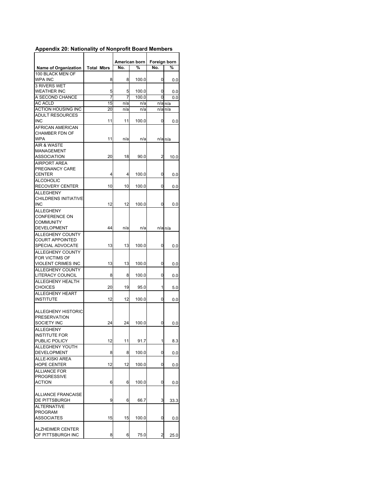|                                           |                   |        | American born  | Foreign born   |                             |
|-------------------------------------------|-------------------|--------|----------------|----------------|-----------------------------|
| <b>Name of Organization</b>               | <b>Total Mbrs</b> | No.    | %              | No.            | ℅                           |
| 100 BLACK MEN OF<br>WPA INC               | 8                 | 8      | 100.0          | 0              | 0.0                         |
| 3 RIVERS WET                              |                   |        |                |                |                             |
| WEATHER INC<br>A SECOND CHANCE            | 5<br>7            | 5<br>7 | 100.0<br>100.0 | 0<br>0         | 0.0                         |
| <b>AC ACLD</b>                            | 15                | n/a    | n/a            |                | 0.0<br>$n/a$ <sub>n/a</sub> |
| <b>ACTION HOUSING INC</b>                 | 20                | n/a    | n/a            |                | n/a n/a                     |
| <b>ADULT RESOURCES</b>                    |                   |        |                |                |                             |
| <b>INC</b>                                | 11                | 11     | 100.0          | 0              | 0.0                         |
| AFRICAN AMERICAN<br><b>CHAMBER FDN OF</b> |                   |        |                |                |                             |
| <b>WPA</b>                                | 11                | n/a    | n/a            |                | n/a n/a                     |
| AIR & WASTE                               |                   |        |                |                |                             |
| MANAGEMENT                                |                   |        |                |                |                             |
| ASSOCIATION                               | 20                | 18     | 90.0           | 2              | 10.0                        |
| <b>AIRPORT AREA</b>                       |                   |        |                |                |                             |
| PREGNANCY CARE                            |                   |        |                |                |                             |
| <b>CENTER</b>                             | 4                 | 4      | 100.0          | 0              | 0.0                         |
| <b>ALCOHOLIC</b>                          |                   |        |                |                |                             |
| <b>RECOVERY CENTER</b>                    | 10                | 10     | 100.0          | 0              | 0.0                         |
| <b>ALLEGHENY</b>                          |                   |        |                |                |                             |
| <b>CHILDRENS INITIATIVE</b>               |                   |        |                |                |                             |
| <b>INC</b>                                | 12                | 12     | 100.0          | 0              | 0.0                         |
| <b>ALLEGHENY</b>                          |                   |        |                |                |                             |
| CONFERENCE ON                             |                   |        |                |                |                             |
| <b>COMMUNITY</b>                          |                   |        |                |                |                             |
| <b>DEVELOPMENT</b>                        | 44                | n/a    | n/a            |                | $n/a$ <sub>n/a</sub>        |
| <b>ALLEGHENY COUNTY</b>                   |                   |        |                |                |                             |
| <b>COURT APPOINTED</b>                    |                   |        |                |                |                             |
| SPECIAL ADVOCATE                          | 13                | 13     | 100.0          | 0              | 0.0                         |
| <b>ALLEGHENY COUNTY</b>                   |                   |        |                |                |                             |
| <b>FOR VICTIMS OF</b>                     |                   |        |                |                |                             |
| VIOLENT CRIMES INC                        | 13                | 13     | 100.0          | 0              | 0.0                         |
| <b>ALLEGHENY COUNTY</b>                   |                   |        |                |                |                             |
| LITERACY COUNCIL                          | 8                 | 8      | 100.0          | 0              | 0.0                         |
| ALLEGHENY HEALTH                          |                   |        |                |                |                             |
| <b>CHOICES</b>                            | 20                | 19     | 95.0           | 1              | 5.0                         |
| <b>ALLEGHENY HEART</b>                    |                   |        |                |                |                             |
| <b>INSTITUTE</b>                          | 12                | 12     | 100.0          | 0              | 0.0                         |
| <b>ALLEGHENY HISTORIC</b>                 |                   |        |                |                |                             |
| <b>PRESERVATION</b>                       |                   |        |                |                |                             |
| SOCIETY INC                               | 24                | 24     | 100.0          | 0              | 0.0                         |
| <b>ALLEGHENY</b>                          |                   |        |                |                |                             |
| <b>INSTITUTE FOR</b>                      |                   |        |                |                |                             |
| PUBLIC POLICY                             | 12                | 11     | 91.7           | 1              | 8.3                         |
| <b>ALLEGHENY YOUTH</b>                    |                   |        |                |                |                             |
| DEVELOPMENT                               | 8                 | 8      | 100.0          | 0              | 0.0                         |
| ALLE-KISKI AREA                           |                   |        |                |                |                             |
| <b>HOPE CENTER</b>                        | 12                | 12     | 100.0          | $\mathbf 0$    | 0.0                         |
| <b>ALLIANCE FOR</b>                       |                   |        |                |                |                             |
| <b>PROGRESSIVE</b>                        |                   |        |                |                |                             |
| <b>ACTION</b>                             | 6                 | 6      | 100.0          | 0              | 0.0                         |
|                                           |                   |        |                |                |                             |
| <b>ALLIANCE FRANCAISE</b>                 |                   |        |                |                |                             |
| DE PITTSBURGH                             | 9                 | 6      | 66.7           | 3              | 33.3                        |
| <b>ALTERNATIVE</b>                        |                   |        |                |                |                             |
| <b>PROGRAM</b>                            |                   |        |                |                |                             |
| <b>ASSOCIATES</b>                         | 15                | 15     | 100.0          | 0              | 0.0                         |
|                                           |                   |        |                |                |                             |
| <b>ALZHEIMER CENTER</b>                   |                   |        |                |                |                             |
| OF PITTSBURGH INC                         | 8                 | 6      | 75.0           | $\overline{2}$ | 25.0                        |

## **Appendix 20: Nationality of Nonprofit Board Members**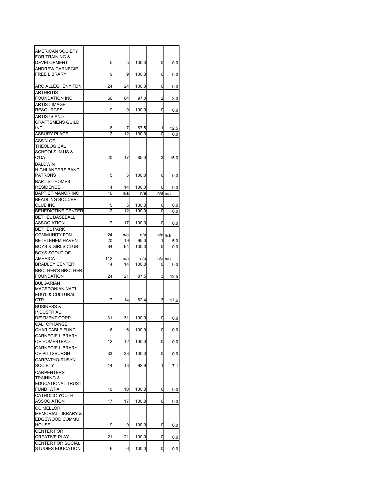| AMERICAN SOCIETY                                |           |           |                |        |                      |
|-------------------------------------------------|-----------|-----------|----------------|--------|----------------------|
| <b>FOR TRAINING &amp;</b><br><b>DEVELOPMENT</b> | 5         |           | 100.0          |        |                      |
| <b>ANDREW CARNEGIE</b>                          |           | 5         |                | 0      | 0.0                  |
| <b>FREE LIBRARY</b>                             | 9         | 9         | 100.0          | 0      | 0.0                  |
| ARC ALLEGHENY FDN                               | 24        | 24        | 100.0          | 0      | 0.0                  |
| <b>ARTHRITIS</b><br>FOUNDATION INC              | 66        | 64        | 97.0           | 2      | 3.0                  |
| ARTIST IMAGE                                    |           |           |                |        |                      |
| <b>RESOURCES</b>                                | 9         | 9         | 100.0          | 0      | 0.0                  |
| <b>ARTISTS AND</b>                              |           |           |                |        |                      |
| <b>CRAFTSMENS GUILD</b><br>INC                  | 8         | 7         | 87.5           | 1      | 12.5                 |
| <b>ASBURY PLACE</b>                             | 12        | 12        | 100.0          | 0      | 0.0                  |
| ASS'N OF                                        |           |           |                |        |                      |
| THEOLOGICAL                                     |           |           |                |        |                      |
| <b>SCHOOLS IN US &amp;</b>                      |           |           |                |        |                      |
| C'DA                                            | 20        | 17        | 85.0           | 3      | 15.0                 |
| <b>BALDWIN</b><br><b>HIGHLANDERS BAND</b>       |           |           |                |        |                      |
| <b>PATRONS</b>                                  | 5         | 5         | 100.0          | 0      | 0.0                  |
| <b>BAPTIST HOMES</b>                            |           |           |                |        |                      |
| <b>RESIDENCE</b>                                | 14        | 14        | 100.0          | 0      | 0.0                  |
| <b>BAPTIST MANOR INC</b>                        | 16        | n/a       | n/a            |        | $n/a$ <sub>n/a</sub> |
| <b>BEADLING SOCCER</b>                          |           |           |                |        |                      |
| <b>CLUB INC</b>                                 | 5<br>12   | 5<br>12   | 100.0<br>100.0 | 0<br>0 | 0.0                  |
| <b>BENEDICTINE CENTER</b><br>BETHEL BASEBALL    |           |           |                |        | 0.0                  |
| ASSOCIATION                                     | 17        | 17        | 100.0          | 0      | 0.0                  |
| <b>BETHEL PARK</b>                              |           |           |                |        |                      |
| <b>COMMUNITY FDN</b>                            | 24        | n/a       | n/a            |        | $n/a$ <sub>n/a</sub> |
| BETHLEHEM HAVEN                                 | 20        | 19        | 95.0           | 1      | 5.0                  |
| <b>BOYS &amp; GIRLS CLUB</b>                    | 64        | 64        | 100.0          | 0      | 0.0                  |
| <b>BOYS SCOUT OF</b>                            |           |           |                |        |                      |
| AMERICA<br><b>BRADLEY CENTER</b>                | 112<br>14 | n/a<br>14 | n/a<br>100.0   | 0      | n/a n/a              |
| <b>BROTHER'S BROTHER</b>                        |           |           |                |        | 0.0                  |
| <b>FOUNDATION</b>                               | 24        | 21        | 87.5           | 3      | 12.5                 |
| <b>BULGARIAN</b>                                |           |           |                |        |                      |
| <b>MACEDONIAN NAT'L</b>                         |           |           |                |        |                      |
| EDU'L & CULTURAL                                |           |           |                |        |                      |
| CTR                                             | 17        | 14        | 82.4           | 3      | 17.6                 |
| <b>BUSINESS &amp;</b>                           |           |           |                |        |                      |
| <b>INDUSTRIAL</b><br>DEV'MENT CORP              | 31        | 31        | 100.0          | 0      |                      |
| <b>CALI OPHANGE</b>                             |           |           |                |        | 0.0                  |
| CHARITABLE FUND                                 | 6         | 6         | 100.0          | 0      | 0.0                  |
| <b>CARNEGIE LIBRARY</b>                         |           |           |                |        |                      |
| OF HOMESTEAD                                    | 12        | 12        | 100.0          | 0      | 0.0                  |
| <b>CARNEGIE LIBRARY</b>                         |           |           |                |        |                      |
| OF PITTSBURGH                                   | 33        | 33        | 100.0          | 0      | 0.0                  |
| CARPATHO-RUSYN<br><b>SOCIETY</b>                | 14        | 13        | 92.9           | 1      |                      |
| <b>CARPENTERS</b>                               |           |           |                |        | 7.1                  |
| <b>TRAINING &amp;</b>                           |           |           |                |        |                      |
| <b>EDUCATIONAL TRUST</b>                        |           |           |                |        |                      |
|                                                 |           |           |                |        |                      |
| FUND WPA                                        | 10        | 10        | 100.0          | 0      | 0.0                  |
| <b>CATHOLIC YOUTH</b>                           |           |           |                |        |                      |
| <b>ASSOCIATION</b>                              | 17        | 17        | 100.0          | 0      | 0.0                  |
| <b>CC MELLOR</b>                                |           |           |                |        |                      |
| <b>MEMORIAL LIBRARY &amp;</b>                   |           |           |                |        |                      |
| EDGEWOOD COMMU.                                 |           |           |                |        |                      |
| HOUSE<br>CENTER FOR                             | 9         | 9         | 100.0          | 0      | 0.0                  |
| <b>CREATIVE PLAY</b>                            | 21        | 21        | 100.0          | 0      | 0.0                  |
| CENTER FOR SOCIAL<br>STUDIES EDUCATION          |           |           |                |        |                      |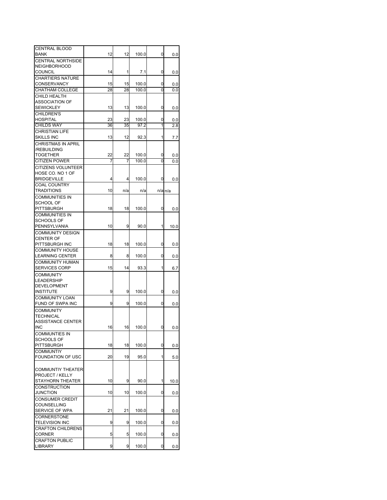| <b>CENTRAL BLOOD</b>      |    |     |       |   |         |
|---------------------------|----|-----|-------|---|---------|
| BANK                      | 12 | 12  | 100.0 | 0 |         |
|                           |    |     |       |   | 0.0     |
| <b>CENTRAL NORTHSIDE</b>  |    |     |       |   |         |
| <b>NEIGHBORHOOD</b>       |    |     |       |   |         |
| <b>COUNCIL</b>            | 14 | 1   | 7.1   | 0 | 0.0     |
| <b>CHARTIERS NATURE</b>   |    |     |       |   |         |
| <b>CONSERVANCY</b>        | 15 | 15  | 100.0 | 0 | 0.0     |
| <b>CHATHAM COLLEGE</b>    | 28 | 28  | 100.0 | 0 | 0.0     |
| CHILD HEALTH              |    |     |       |   |         |
| ASSOCIATION OF            |    |     |       |   |         |
| <b>SEWICKLEY</b>          | 13 | 13  | 100.0 | 0 | 0.0     |
| <b>CHILDREN'S</b>         |    |     |       |   |         |
| <b>HOSPITAL</b>           | 23 | 23  | 100.0 | 0 | 0.0     |
| <b>CHILDS WAY</b>         | 36 | 35  | 97.2  | 1 | 2.8     |
| <b>CHRISTIAN LIFE</b>     |    |     |       |   |         |
| <b>SKILLS INC</b>         | 13 | 12  | 92.3  | 1 | 7.7     |
| <b>CHRISTMAS IN APRIL</b> |    |     |       |   |         |
| /REBUILDING               |    |     |       |   |         |
| <b>TOGETHER</b>           | 22 | 22  | 100.0 | 0 | 0.0     |
| <b>CITIZEN POWER</b>      | 7  | 7   | 100.0 | 0 | 0.0     |
| <b>CITIZENS VOLUNTEER</b> |    |     |       |   |         |
| HOSE CO. NO 1 OF          |    |     |       |   |         |
| <b>BRIDGEVILLE</b>        |    |     |       |   |         |
|                           | 4  | 4   | 100.0 | 0 | 0.0     |
| <b>COAL COUNTRY</b>       |    |     |       |   |         |
| <b>TRADITIONS</b>         | 10 | n/a | n/a   |   | n/a n/a |
| <b>COMMUNITIES IN</b>     |    |     |       |   |         |
| SCHOOL OF                 |    |     |       |   |         |
| PITTSBURGH                | 18 | 18  | 100.0 | 0 | 0.0     |
| <b>COMMUNITIES IN</b>     |    |     |       |   |         |
| SCHOOLS OF                |    |     |       |   |         |
| PENNSYLVANIA              | 10 | 9   | 90.0  | 1 | 10.0    |
| <b>COMMUNITY DESIGN</b>   |    |     |       |   |         |
| <b>CENTER OF</b>          |    |     |       |   |         |
| PITTSBURGH INC            | 18 | 18  | 100.0 | 0 | 0.0     |
| <b>COMMUNITY HOUSE</b>    |    |     |       |   |         |
| <b>LEARNING CENTER</b>    | 8  | 8   | 100.0 | 0 | 0.0     |
| <b>COMMUNITY HUMAN</b>    |    |     |       |   |         |
| <b>SERVICES CORP</b>      | 15 | 14  | 93.3  | 1 | 6.7     |
|                           |    |     |       |   |         |
| <b>COMMUNITY</b>          |    |     |       |   |         |
| LEADERSHIP                |    |     |       |   |         |
| <b>DEVELOPMENT</b>        |    |     |       |   |         |
| <b>INSTITUTE</b>          | 9  | 9   | 100.0 | 0 | 0.0     |
| <b>COMMUNITY LOAN</b>     |    |     |       |   |         |
| FUND OF SWPA INC          | 9  | 9   | 100.0 | 0 | 0.0     |
| <b>COMMUNITY</b>          |    |     |       |   |         |
| TECHNICAL                 |    |     |       |   |         |
| <b>ASSISTANCE CENTER</b>  |    |     |       |   |         |
| <b>INC</b>                | 16 | 16  | 100.0 | 0 | 0.0     |
| <b>COMMUNTIES IN</b>      |    |     |       |   |         |
| <b>SCHOOLS OF</b>         |    |     |       |   |         |
| PITTSBURGH                | 18 | 18  | 100.0 | 0 | 0.0     |
| <b>COMMUNTIY</b>          |    |     |       |   |         |
| FOUNDATION OF USC         | 20 | 19  | 95.0  | 1 | 5.0     |
|                           |    |     |       |   |         |
| <b>COMMUNTIY THEATER</b>  |    |     |       |   |         |
|                           |    |     |       |   |         |
| PROJECT / KELLY           | 10 |     | 90.0  |   |         |
| STAYHORN THEATER          |    | 9   |       | 1 | 10.0    |
| <b>CONSTRUCTION</b>       |    |     |       |   |         |
| JUNCTION                  | 10 | 10  | 100.0 | 0 | 0.0     |
| <b>CONSUMER CREDIT</b>    |    |     |       |   |         |
| COUNSELLING               |    |     |       |   |         |
| SERVICE OF WPA            | 21 | 21  | 100.0 | 0 | 0.0     |
| <b>CORNERSTONE</b>        |    |     |       |   |         |
| <b>TELEVISION INC</b>     | 9  | 9   | 100.0 | 0 | 0.0     |
| <b>CRAFTON CHILDRENS</b>  |    |     |       |   |         |
| CORNER                    | 5  | 5   | 100.0 | 0 | 0.0     |
| <b>CRAFTON PUBLIC</b>     |    |     |       |   |         |
| <b>LIBRARY</b>            | 9  | 9   | 100.0 | 0 | 0.0     |
|                           |    |     |       |   |         |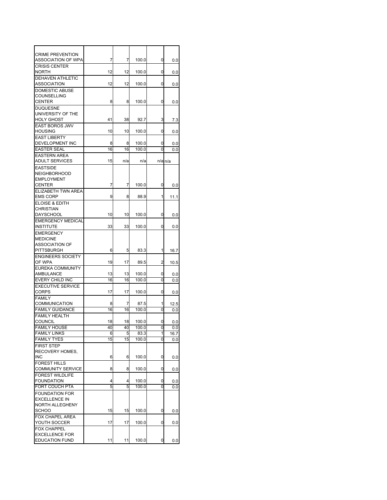| <b>CRIME PREVENTION</b>                   |          |          |               |         |             |
|-------------------------------------------|----------|----------|---------------|---------|-------------|
| ASSOCIATION OF WPA                        | 7        | 7        | 100.0         | 0       | 0.0         |
| <b>CRISIS CENTER</b>                      |          |          |               |         |             |
| <b>NORTH</b><br>DEHAVEN ATHLETIC          | 12       | 12       | 100.0         | 0       | 0.0         |
| ASSOCIATION                               | 12       | 12       | 100.0         | 0       | 0.0         |
| <b>DOMESTIC ABUSE</b>                     |          |          |               |         |             |
| COUNSELLING                               |          |          |               |         |             |
| CENTER                                    | 8        | 8        | 100.0         | 0       | 0.0         |
| <b>DUQUESNE</b>                           |          |          |               |         |             |
| UNIVERSITY OF THE                         |          |          |               |         |             |
| <b>HOLY GHOST</b>                         | 41       | 38       | 92.7          | 3       | 7.3         |
| <b>EAST BOROS JWV</b>                     |          |          |               |         |             |
| <b>HOUSING</b>                            | 10       | 10       | 100.0         | 0       | 0.0         |
| <b>EAST LIBERTY</b>                       |          |          |               |         |             |
| DEVELOPMENT INC                           | 8        | 8        | 100.0         | 0       | $_{0.0}$    |
| <b>EASTER SEAL</b>                        | 16       | 16       | 100.0         | 0       | 0.0         |
| <b>EASTERN AREA</b>                       |          |          |               |         |             |
| <b>ADULT SERVICES</b>                     | 15       | n/a      | n/a           |         | $n/a$ $n/a$ |
| <b>EASTSIDE</b>                           |          |          |               |         |             |
| <b>NEIGHBORHOOD</b>                       |          |          |               |         |             |
| <b>EMPLOYMENT</b>                         |          |          |               |         |             |
| CENTER                                    | 7        | 7        | 100.0         | 0       | 0.0         |
| <b>ELIZABETH TWN AREA</b>                 |          |          |               |         |             |
| <b>EMS CORP</b>                           | 9        | 8        | 88.9          | 1       | 11.1        |
| <b>ELOISE &amp; EDITH</b><br>CHRISTIAN    |          |          |               |         |             |
| <b>DAYSCHOOL</b>                          | 10       | 10       | 100.0         | 0       | 0.0         |
| <b>EMERGENCY MEDICAL</b>                  |          |          |               |         |             |
| <b>INSTITUTE</b>                          | 33       | 33       | 100.0         | 0       | 0.0         |
| <b>EMERGENCY</b>                          |          |          |               |         |             |
| <b>MEDICINE</b>                           |          |          |               |         |             |
| <b>ASSOCIATION OF</b>                     |          |          |               |         |             |
| PITTSBURGH                                | 6        | 5        | 83.3          | 1       | 16.7        |
| <b>ENGINEERS SOCIETY</b>                  |          |          |               |         |             |
| OF WPA                                    | 19       | 17       | 89.5          | 2       | 10.5        |
| <b>EUREKA COMMUNITY</b>                   |          |          |               |         |             |
| AMBULANCE                                 | 13       | 13       | 100.0         | 0       | 0.0         |
| EVERY CHILD INC                           | 16       | 16       | 100.0         | 0       | 0.0         |
| <b>EXECUTIVE SERVICE</b>                  |          |          |               |         |             |
| <b>CORPS</b>                              | 17       | 17       | 100.0         | 0       | 0.0         |
| <b>FAMILY</b>                             |          |          |               |         |             |
| COMMUNICATION                             | 8        | 7        | 87.5          | 1       | 12.5        |
| <b>FAMILY GUIDANCE</b>                    | 16       | 16       | 100.0         | 0       | 0.0         |
| <b>FAMILY HEALTH</b>                      |          |          |               |         |             |
| COUNCIL                                   | 18<br>40 | 18<br>40 | 100.0         | 0<br>0l | 0.0         |
| <b>FAMILY HOUSE</b>                       |          |          | 100.0         | 1       | 0.0         |
| <b>FAMILY LINKS</b><br><b>FAMILY TYES</b> | 6<br>15  | 5<br>15  | 83.3<br>100.0 | 0       | 16.7<br>0.0 |
| <b>FIRST STEP</b>                         |          |          |               |         |             |
| RECOVERY HOMES.                           |          |          |               |         |             |
| <b>INC</b>                                | 6        | 6        | 100.0         | 0       | 0.0         |
| <b>FOREST HILLS</b>                       |          |          |               |         |             |
| <b>COMMUNITY SERVICE</b>                  | 8        | 8        | 100.0         | 0       | 0.0         |
| FOREST WILDLIFE                           |          |          |               |         |             |
| FOUNDATION                                | 4        | 4        | 100.0         | 0       | $_{0.0}$    |
| <b>FORT COUCH PTA</b>                     | 5        | 5        | 100.0         | 0       | 0.0         |
| <b>FOUNDATION FOR</b>                     |          |          |               |         |             |
| <b>EXCELLENCE IN</b>                      |          |          |               |         |             |
| NORTH ALLEGHENY                           |          |          |               |         |             |
| SCHOO                                     | 15       | 15       | 100.0         | 0       | 0.0         |
| FOX CHAPEL AREA                           |          |          |               |         |             |
| YOUTH SOCCER                              | 17       | 17       | 100.0         | 0       | 0.0         |
| <b>FOX CHAPPEL</b>                        |          |          |               |         |             |
| <b>EXCELLENCE FOR</b>                     |          |          |               |         |             |
| <b>EDUCATION FUND</b>                     | 11       | 11       | 100.0         | 0       | 0.0         |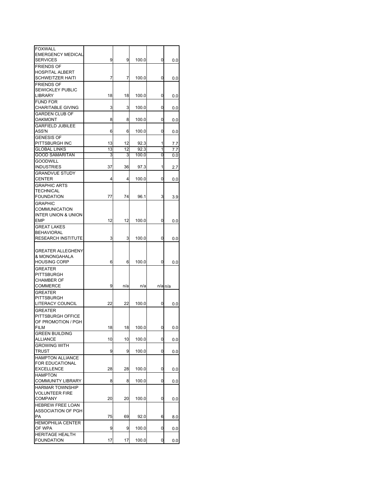| <b>FOXWALL</b>                              |    |     |       |             |             |
|---------------------------------------------|----|-----|-------|-------------|-------------|
| <b>EMERGENCY MEDICAL</b><br><b>SERVICES</b> | 9  | 9   |       | 0           |             |
|                                             |    |     | 100.0 |             | 0.0         |
| <b>FRIENDS OF</b>                           |    |     |       |             |             |
| <b>HOSPITAL ALBERT</b>                      |    |     |       |             |             |
| <b>SCHWEITZER HAITI</b>                     | 7  | 7   | 100.0 | 0           | 0.0         |
| <b>FRIENDS OF</b>                           |    |     |       |             |             |
| <b>SEWICKLEY PUBLIC</b>                     |    |     |       |             |             |
| LIBRARY                                     | 18 | 18  | 100.0 | 0           | 0.0         |
| <b>FUND FOR</b>                             |    |     |       |             |             |
| <b>CHARITABLE GIVING</b>                    | 3  | 3   | 100.0 | 0           | 0.0         |
| <b>GARDEN CLUB OF</b>                       |    |     |       |             |             |
| OAKMONT                                     | 8  | 8   | 100.0 | 0           | 0.0         |
| <b>GARFIELD JUBILEE</b>                     |    |     |       |             |             |
| ASS'N                                       | 6  | 6   | 100.0 | 0           | 0.0         |
|                                             |    |     |       |             |             |
| <b>GENESIS OF</b>                           |    |     |       |             |             |
| PITTSBURGH INC                              | 13 | 12  | 92.3  | 1           | 7.7         |
| <b>GLOBAL LINKS</b>                         | 13 | 12  | 92.3  | 1           | 7.7         |
| <b>GOOD SAMARITAN</b>                       | 3  | 3   | 100.0 | 0           | 0.0         |
| <b>GOODWILL</b>                             |    |     |       |             |             |
| <b>INDUSTRIES</b>                           | 37 | 36  | 97.3  | 1           | 2.7         |
| <b>GRANDVUE STUDY</b>                       |    |     |       |             |             |
| <b>CENTER</b>                               | 4  | 4   | 100.0 | 0           | 0.0         |
| <b>GRAPHIC ARTS</b>                         |    |     |       |             |             |
| <b>TECHNICAL</b>                            |    |     |       |             |             |
| <b>FOUNDATION</b>                           | 77 | 74  | 96.1  | 3           | 3.9         |
|                                             |    |     |       |             |             |
| <b>GRAPHIC</b>                              |    |     |       |             |             |
| <b>COMMUNICATION</b>                        |    |     |       |             |             |
| INTER UNION & UNION                         |    |     |       |             |             |
| EMP                                         | 12 | 12  | 100.0 | 0           | 0.0         |
| <b>GREAT LAKES</b>                          |    |     |       |             |             |
| <b>BEHAVIORAL</b>                           |    |     |       |             |             |
| <b>RESEARCH INSTITUTE</b>                   | 3  | 3   | 100.0 | 0           | 0.0         |
|                                             |    |     |       |             |             |
| <b>GREATER ALLEGHENY</b>                    |    |     |       |             |             |
| & MONONGAHALA                               |    |     |       |             |             |
| <b>HOUSING CORP</b>                         | 6  | 6   | 100.0 | 0           | 0.0         |
| <b>GREATER</b>                              |    |     |       |             |             |
| PITTSBURGH                                  |    |     |       |             |             |
| <b>CHAMBER OF</b>                           |    |     |       |             |             |
|                                             |    |     |       |             |             |
| COMMERCE                                    | 9  | n/a | n/a   |             | $n/a$ $n/a$ |
| <b>GREATER</b>                              |    |     |       |             |             |
| PITTSBURGH                                  |    |     |       |             |             |
| LITERACY COUNCIL                            | 22 | 22  | 100.0 | 0           | 0.0         |
| <b>GREATER</b>                              |    |     |       |             |             |
| PITTSBURGH OFFICE                           |    |     |       |             |             |
| OF PROMOTION / PGH                          |    |     |       |             |             |
| FILM                                        | 18 | 18  | 100.0 | 0           | 0.0         |
| <b>GREEN BUILDING</b>                       |    |     |       |             |             |
| ALLIANCE                                    | 10 | 10  | 100.0 | $\mathbf 0$ | 0.0         |
| <b>GROWING WITH</b>                         |    |     |       |             |             |
| <b>TRUST</b>                                | 9  | 9   | 100.0 | 0           | 0.0         |
|                                             |    |     |       |             |             |
| <b>HAMPTON ALLIANCE</b>                     |    |     |       |             |             |
| <b>FOR EDUCATIONAL</b>                      |    |     |       |             |             |
| <b>EXCELLENCE</b>                           | 28 | 28  | 100.0 | 0           | 0.0         |
| <b>HAMPTON</b>                              |    |     |       |             |             |
| <b>COMMUNITY LIBRARY</b>                    | 8  | 8   | 100.0 | 0           | 0.0         |
| <b>HARMAR TOWNSHIP</b>                      |    |     |       |             |             |
| <b>VOLUNTEER FIRE</b>                       |    |     |       |             |             |
| COMPANY                                     | 20 | 20  | 100.0 | 0           | 0.0         |
| <b>HEBREW FREE LOAN</b>                     |    |     |       |             |             |
| ASSOCIATION OF PGH                          |    |     |       |             |             |
| РA                                          | 75 | 69  | 92.0  | 6           | 8.0         |
|                                             |    |     |       |             |             |
| <b>HEMOPHILIA CENTER</b>                    |    |     |       |             |             |
| OF WPA                                      | 9  | 9   | 100.0 | 0           | 0.0         |
| <b>HERITAGE HEALTH</b><br><b>FOUNDATION</b> |    |     |       |             |             |
|                                             | 17 | 17  | 100.0 | 0           | 0.0         |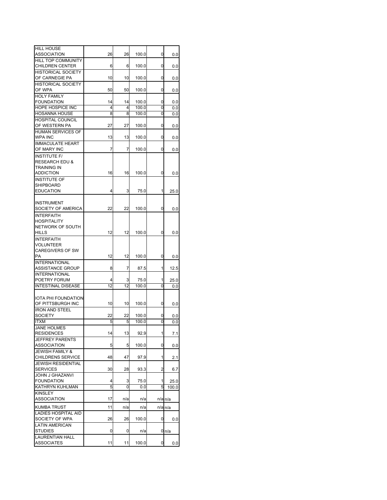| <b>HILL HOUSE</b><br>ASSOCIATION                       | 26              | 26      | 100.0          | 0      | 0.0                  |
|--------------------------------------------------------|-----------------|---------|----------------|--------|----------------------|
| <b>HILL TOP COMMUNITY</b>                              |                 |         |                |        |                      |
| <b>CHILDREN CENTER</b><br><b>HISTORICAL SOCIETY</b>    | 6               | 6       | 100.0          | 0      | 0.0                  |
| OF CARNEGIE PA                                         | 10              | 10      | 100.0          | 0      | 0.0                  |
| <b>HISTORICAL SOCIETY</b><br>OF WPA                    | 50              | 50      | 100.0          | 0      | 0.0                  |
| <b>HOLY FAMILY</b><br><b>FOUNDATION</b>                | 14              | 14      | 100.0          | 0      |                      |
| HOPE HOSPICE INC                                       | 4               | 4       | 100.0          | 0      | 0.0<br>0.0           |
| <b>HOSANNA HOUSE</b>                                   | 8               | 8       | 100.0          | 0      | 0.0                  |
| <b>HOSPITAL COUNCIL</b><br>OF WESTERN PA               | 27              | 27      | 100.0          | 0      |                      |
| <b>HUMAN SERVICES OF</b>                               |                 |         |                |        | 0.0                  |
| WPA INC<br><b>IMMACULATE HEART</b>                     | 13              | 13      | 100.0          | 0      | 0.0                  |
| OF MARY INC                                            | 7               | 7       | 100.0          | 0      | 0.0                  |
| <b>INSTITUTE F/</b><br><b>RESEARCH EDU &amp;</b>       |                 |         |                |        |                      |
| TRAINING IN                                            |                 |         |                |        |                      |
| <b>ADDICTION</b>                                       | 16              | 16      | 100.0          | 0      | 0.0                  |
| <b>INSTITUTE OF</b>                                    |                 |         |                |        |                      |
| SHIPBOARD<br><b>EDUCATION</b>                          | 4               | 3       | 75.0           | 1      | 25.0                 |
|                                                        |                 |         |                |        |                      |
| <b>INSTRUMENT</b><br>SOCIETY OF AMERICA                | 22              | 22      | 100.0          | 0      | 0.0                  |
| <b>INTERFAITH</b>                                      |                 |         |                |        |                      |
| <b>HOSPITALITY</b>                                     |                 |         |                |        |                      |
| NETWORK OF SOUTH<br>HILLS                              | 12              | 12      | 100.0          | 0      |                      |
| <b>INTERFAITH</b>                                      |                 |         |                |        | 0.0                  |
| VOLUNTEER                                              |                 |         |                |        |                      |
| <b>CAREGIVERS OF SW</b>                                |                 |         |                |        |                      |
| РA                                                     | 12              | 12      | 100.0          | 0      | 0.0                  |
| <b>INTERNATIONAL</b>                                   |                 |         |                |        |                      |
| ASSISTANCE GROUP<br><b>INTERNATIONAL</b>               | 8               | 7       | 87.5           | 1      | 12.5                 |
| POETRY FORUM                                           | 4               | 3       | 75.0           | 1      | 25.0                 |
| <b>INTESTINAL DISEASE</b>                              | $\overline{12}$ | 12      | 100.0          | 0      | 0.0                  |
|                                                        |                 |         |                |        |                      |
| IOTA PHI FOUNDATION                                    |                 |         |                |        |                      |
| OF PITTSBURGH INC                                      | 10              | 10      | 100.0          | 0      | 0.0                  |
| <b>IRON AND STEEL</b>                                  |                 |         |                |        |                      |
| <b>SOCIETY</b><br><b>ITXM</b>                          | 22<br>5         | 22<br>5 | 100.0<br>100.0 | 0<br>0 | 0.0<br>0.0           |
| <b>JANE HOLMES</b>                                     |                 |         |                |        |                      |
| <b>RESIDENCES</b>                                      | 14              | 13      | 92.9           | 1      | 7.1                  |
| <b>JEFFREY PARENTS</b>                                 |                 |         |                |        |                      |
| <b>ASSOCIATION</b>                                     | 5               | 5       | 100.0          | 0      | 0.0                  |
| <b>JEWISH FAMILY &amp;</b><br><b>CHILDRENS SERVICE</b> | 48              | 47      | 97.9           | 1      | 2.1                  |
| <b>JEWISH RESIDENTIAL</b>                              |                 |         |                |        |                      |
| <b>SERVICES</b>                                        | 30              | 28      | 93.3           | 2      | 6.7                  |
| JOHN J GHAZANVI                                        |                 |         |                |        |                      |
| <b>FOUNDATION</b>                                      | 4<br>5          | 3       | 75.0           | 1<br>5 | 25.0                 |
| KATHRYN KUHLMAN<br><b>KINSLEY</b>                      |                 | 0       | 0.0            |        | 100.0                |
| ASSOCIATION                                            | 17              | n/a     | n/a            |        | n/a n/a              |
| <b>KUMBA TRUST</b>                                     | 11              | n/a     | n/a            |        | $n/a$ <sub>n/a</sub> |
| LADIES HOSPITAL AID<br>SOCIETY OF WPA                  | 26              | 26      | 100.0          |        |                      |
| <b>LATIN AMERICAN</b>                                  |                 |         |                | 0      | 0.0                  |
| <b>STUDIES</b>                                         | 0               | 0       | n/a            |        | 0n/a                 |
| <b>LAURENTIAN HALL</b><br><b>ASSOCIATES</b>            | 11              | 11      | 100.0          | 0      |                      |
|                                                        |                 |         |                |        | 0.0                  |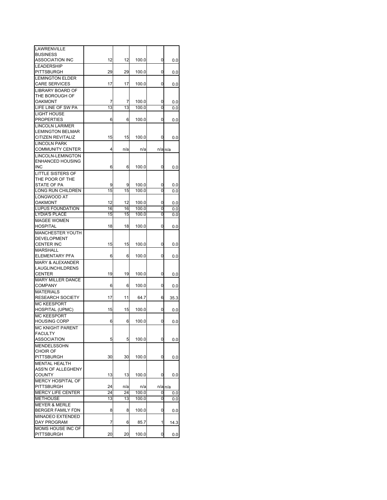| LAWRENVILLE                 |    |     |       |   |             |
|-----------------------------|----|-----|-------|---|-------------|
| <b>BUSINESS</b>             |    |     |       |   |             |
| ASSOCIATION INC             | 12 | 12  | 100.0 | 0 | 0.0         |
| <b>LEADERSHIP</b>           |    |     |       |   |             |
|                             |    |     |       |   |             |
| <b>PITTSBURGH</b>           | 29 | 29  | 100.0 | 0 | 0.0         |
| <b>LEMINGTON ELDER</b>      |    |     |       |   |             |
| <b>CARE SERVICES</b>        | 17 | 17  | 100.0 | 0 | 0.0         |
| LIBRARY BOARD OF            |    |     |       |   |             |
| THE BOROUGH OF              |    |     |       |   |             |
| OAKMONT                     |    |     |       |   |             |
|                             | 7  | 7   | 100.0 | 0 | 0.0         |
| LIFE LINE OF SW PA          | 13 | 13  | 100.0 | 0 | 0.0         |
| <b>LIGHT HOUSE</b>          |    |     |       |   |             |
| <b>PROPERTIES</b>           | 6  | 6   | 100.0 | 0 | 0.0         |
| <b>LINCOLN LARIMER</b>      |    |     |       |   |             |
| <b>LEMINGTON BELMAR</b>     |    |     |       |   |             |
|                             |    |     |       |   |             |
| CITIZEN REVITALIZ           | 15 | 15  | 100.0 | 0 | 0.0         |
| <b>LINCOLN PARK</b>         |    |     |       |   |             |
| COMMUNITY CENTER            | 4  | n/a | n/a   |   | $n/a$ $n/a$ |
| LINCOLN-LEMINGTON           |    |     |       |   |             |
| ENHANCED HOUSING            |    |     |       |   |             |
| <b>INC</b>                  |    |     |       |   |             |
|                             | 6  | 6   | 100.0 | 0 | 0.0         |
| LITTLE SISTERS OF           |    |     |       |   |             |
| THE POOR OF THE             |    |     |       |   |             |
| STATE OF PA                 | 9  | 9   | 100.0 | 0 | 0.0         |
| LONG RUN CHILDREN           | 15 | 15  | 100.0 | 0 | 0.0         |
| LONGWOOD AT                 |    |     |       |   |             |
|                             |    |     |       |   |             |
| OAKMONT                     | 12 | 12  | 100.0 | 0 | 0.0         |
| <b>LUPUS FOUNDATION</b>     | 16 | 16  | 100.0 | 0 | 0.0         |
| <b>LYDIA'S PLACE</b>        | 15 | 15  | 100.0 | 0 | 0.0         |
| <b>MAGEE WOMEN</b>          |    |     |       |   |             |
| <b>HOSPITAL</b>             | 18 | 18  | 100.0 | 0 | 0.0         |
|                             |    |     |       |   |             |
| <b>MANCHESTER YOUTH</b>     |    |     |       |   |             |
| <b>DEVELOPMENT</b>          |    |     |       |   |             |
| CENTER INC                  | 15 | 15  | 100.0 | 0 | 0.0         |
| <b>MARSHALL</b>             |    |     |       |   |             |
| ELEMENTARY PFA              | 6  | 6   | 100.0 | 0 | 0.0         |
| <b>MARY &amp; ALEXANDER</b> |    |     |       |   |             |
|                             |    |     |       |   |             |
| LAUGLINCHILDRENS            |    |     |       |   |             |
| CENTER                      | 19 | 19  | 100.0 | 0 | 0.0         |
| <b>MARY MILLER DANCE</b>    |    |     |       |   |             |
| <b>COMPANY</b>              | 6  | 6   | 100.0 | 0 | 0.0         |
| <b>MATERIALS</b>            |    |     |       |   |             |
| <b>RESEARCH SOCIETY</b>     |    |     | 64.7  |   |             |
|                             | 17 | 11  |       | 6 | 35.3        |
| <b>MC KEESPORT</b>          |    |     |       |   |             |
| <b>HOSPITAL (UPMC)</b>      | 15 | 15  | 100.0 | 0 | 0.0         |
| <b>MC KEESPORT</b>          |    |     |       |   |             |
| <b>HOUSING CORP</b>         | 6  | 6   | 100.0 | 0 | 0.0         |
| MC KNIGHT PARENT            |    |     |       |   |             |
|                             |    |     |       |   |             |
| <b>FACULTY</b>              |    |     |       |   |             |
| ASSOCIATION                 | 5  | 5   | 100.0 | 0 | $_{0.0}$    |
| <b>MENDELSSOHN</b>          |    |     |       |   |             |
| <b>CHOIR OF</b>             |    |     |       |   |             |
| PITTSBURGH                  | 30 | 30  | 100.0 | 0 | 0.0         |
| <b>MENTAL HEALTH</b>        |    |     |       |   |             |
|                             |    |     |       |   |             |
| <b>ASS'N OF ALLEGHENY</b>   |    |     |       |   |             |
| <b>COUNTY</b>               | 13 | 13  | 100.0 | 0 | 0.0         |
| MERCY HOSPITAL OF           |    |     |       |   |             |
| <b>PITTSBURGH</b>           | 24 | n/a | n/a   |   | n/a n/a     |
| <b>MERCY LIFE CENTER</b>    | 24 | 24  | 100.0 | 0 | 0.0         |
| <b>METHOUSE</b>             | 13 | 13  | 100.0 | 0 | 0.0         |
|                             |    |     |       |   |             |
| <b>MEYER &amp; MERLE</b>    |    |     |       |   |             |
| BERGER FAMILY FDN           | 8  | 8   | 100.0 | 0 | 0.0         |
| MINADEO EXTENDED            |    |     |       |   |             |
| DAY PROGRAM                 | 7  | 6   | 85.7  | 1 | 14.3        |
| MOMS HOUSE INC OF           |    |     |       |   |             |
| PITTSBURGH                  | 20 | 20  | 100.0 | 0 | 0.0         |
|                             |    |     |       |   |             |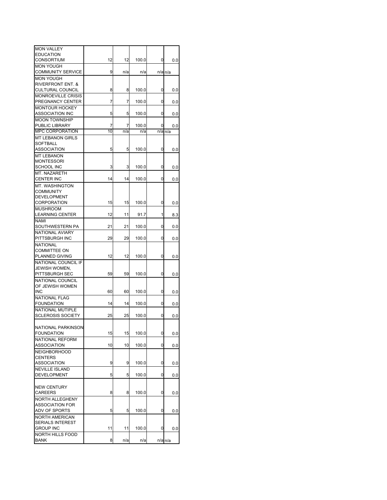| <b>MON VALLEY</b>            |    |     |       |   |                      |
|------------------------------|----|-----|-------|---|----------------------|
| <b>EDUCATION</b>             |    |     |       |   |                      |
| CONSORTIUM                   | 12 | 12  | 100.0 | 0 | 0.0                  |
| <b>MON YOUGH</b>             |    |     |       |   |                      |
| <b>COMMUNITY SERVICE</b>     | 9  | n/a | n/a   |   | n/a n/a              |
| <b>MON YOUGH</b>             |    |     |       |   |                      |
| <b>RIVERFRONT ENT. &amp;</b> |    |     |       |   |                      |
| <b>CULTURAL COUNCIL</b>      | 8  | 8   | 100.0 | 0 | 0.0                  |
| <b>MONROEVILLE CRISIS</b>    |    |     |       |   |                      |
| PREGNANCY CENTER             | 7  | 7   | 100.0 | 0 | 0.0                  |
| <b>MONTOUR HOCKEY</b>        |    |     |       |   |                      |
| <b>ASSOCIATION INC</b>       | 5  | 5   | 100.0 | 0 | 0.0                  |
| <b>MOON TOWNSHIP</b>         |    |     |       |   |                      |
| PUBLIC LIBRARY               | 7  | 7   | 100.0 | 0 | 0.0                  |
| <b>MPC CORPORATION</b>       | 10 | n/a | n/a   |   | n/a n/a              |
| <b>MT LEBANON GIRLS</b>      |    |     |       |   |                      |
| SOFTBALL                     |    |     |       |   |                      |
| ASSOCIATION                  | 5  | 5   | 100.0 | 0 | 0.0                  |
| <b>MT LEBANON</b>            |    |     |       |   |                      |
| MONTESSORI                   |    |     |       |   |                      |
| SCHOOL INC                   | 3  | 3   | 100.0 | 0 | 0.0                  |
| MT. NAZARETH                 |    |     |       |   |                      |
| <b>CENTER INC</b>            | 14 | 14  | 100.0 | 0 | 0.0                  |
| MT. WASHINGTON               |    |     |       |   |                      |
| COMMUNITY                    |    |     |       |   |                      |
| <b>DEVELOPMENT</b>           |    |     |       |   |                      |
| CORPORATION                  | 15 | 15  | 100.0 | 0 | 0.0                  |
| <b>MUSHROOM</b>              |    |     |       |   |                      |
| <b>LEARNING CENTER</b>       | 12 | 11  | 91.7  | 1 | 8.3                  |
| NAMI                         |    |     |       |   |                      |
| SOUTHWESTERN PA              | 21 | 21  | 100.0 | 0 | 0.0                  |
| NATIONAL AVIARY              |    |     |       |   |                      |
| PITTSBURGH INC               | 29 | 29  | 100.0 | 0 | 0.0                  |
| <b>NATIONAL</b>              |    |     |       |   |                      |
| <b>COMMITTEE ON</b>          |    |     |       |   |                      |
| PLANNED GIVING               | 12 | 12  | 100.0 | 0 | 0.0                  |
| NATIONAL COUNCIL IF          |    |     |       |   |                      |
| JEWISH WOMEN,                |    |     |       |   |                      |
| PITTSBURGH SEC               | 59 | 59  | 100.0 | 0 | 0.0                  |
| NATIONAL COUNCIL             |    |     |       |   |                      |
| OF JEWISH WOMEN              |    |     |       |   |                      |
| INC                          | 60 | 60  | 100.0 | 0 | 0.0                  |
| NATIONAL FLAG                |    |     |       |   |                      |
| <b>FOUNDATION</b>            | 14 | 14  | 100.0 | 0 | 0.0                  |
| <b>NATIONAL MUTIPLE</b>      |    |     |       |   |                      |
| <b>SCLEROSIS SOCIETY</b>     | 25 | 25  | 100.0 | 0 | 0.0                  |
|                              |    |     |       |   |                      |
| NATIONAL PARKINSON           |    |     |       |   |                      |
| <b>FOUNDATION</b>            | 15 | 15  | 100.0 | 0 | 0.0                  |
| <b>NATIONAL REFORM</b>       |    |     |       |   |                      |
| <b>ASSOCIATION</b>           | 10 | 10  | 100.0 | 0 | 0.0                  |
| <b>NEIGHBORHOOD</b>          |    |     |       |   |                      |
| <b>CENTERS</b>               |    |     |       |   |                      |
| <b>ASSOCIATION</b>           | 9  | 9   | 100.0 | 0 | 0.0                  |
| <b>NEVILLE ISLAND</b>        |    |     |       |   |                      |
| <b>DEVELOPMENT</b>           | 5  | 5   | 100.0 | 0 | 0.0                  |
|                              |    |     |       |   |                      |
| <b>NEW CENTURY</b>           |    |     |       |   |                      |
| CAREERS                      | 8  | 8   | 100.0 | 0 | 0.0                  |
| NORTH ALLEGHENY              |    |     |       |   |                      |
| <b>ASSOCIATION FOR</b>       |    |     |       |   |                      |
| ADV OF SPORTS                | 5  | 5   | 100.0 | 0 | 0.0                  |
| <b>NORTH AMERICAN</b>        |    |     |       |   |                      |
| SERIALS INTEREST             |    |     |       |   |                      |
| <b>GROUP INC</b>             | 11 | 11  | 100.0 | 0 | 0.0                  |
| NORTH HILLS FOOD             |    |     |       |   |                      |
| <b>BANK</b>                  | 8  | n/a | n/a   |   | $n/a$ <sub>n/a</sub> |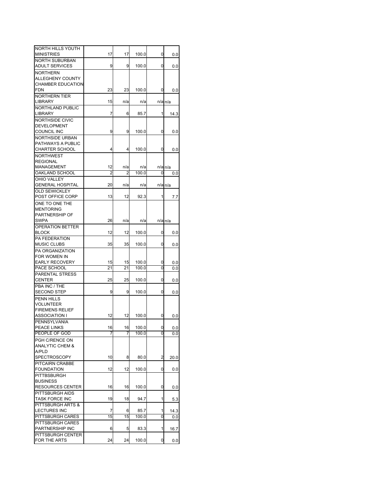| NORTH HILLS YOUTH                          |    |     |       |                |                      |
|--------------------------------------------|----|-----|-------|----------------|----------------------|
| <b>MINISTRIES</b>                          | 17 | 17  | 100.0 | 0              | 0.0                  |
| NORTH SUBURBAN<br>ADULT SERVICES           | 9  | 9   | 100.0 | 0              |                      |
|                                            |    |     |       |                | 0.0                  |
| <b>NORTHERN</b><br><b>ALLEGHENY COUNTY</b> |    |     |       |                |                      |
| <b>CHAMBER EDUCATION</b>                   |    |     |       |                |                      |
| FDN                                        | 23 | 23  | 100.0 | 0              | 0.0                  |
| <b>NORTHERN TIER</b>                       |    |     |       |                |                      |
| <b>LIBRARY</b>                             | 15 | n/a | n/a   |                | $n/a$ <sub>n/a</sub> |
| NORTHLAND PUBLIC                           |    |     |       |                |                      |
| <b>LIBRARY</b>                             | 7  | 6   | 85.7  | 1              | 14.3                 |
| NORTHSIDE CIVIC                            |    |     |       |                |                      |
| DEVELOPMENT                                |    |     |       |                |                      |
| COUNCIL INC                                | 9  | 9   | 100.0 | 0              | 0.0                  |
| <b>NORTHSIDE URBAN</b>                     |    |     |       |                |                      |
| PATHWAYS A PUBLIC                          |    |     |       |                |                      |
| CHARTER SCHOOL                             | 4  | 4   | 100.0 | 0              | 0.0                  |
| <b>NORTHWEST</b>                           |    |     |       |                |                      |
| <b>REGIONAL</b>                            |    |     |       |                |                      |
| MANAGEMENT                                 | 12 | n/a | n/a   |                | $n/a$ <sub>n/a</sub> |
| OAKLAND SCHOOL                             | 2  | 2   | 100.0 | 0              | 0.0                  |
| OHIO VALLEY                                |    |     |       |                |                      |
| <b>GENERAL HOSPITAL</b>                    | 20 | n/a | n/a   |                | $n/a$ $n/a$          |
| OLD SEWICKLEY                              |    |     |       |                |                      |
| POST OFFICE CORP                           | 13 | 12  | 92.3  | 1              | 7.7                  |
| ONE TO ONE THE                             |    |     |       |                |                      |
| MENTORING                                  |    |     |       |                |                      |
| PARTNERSHIP OF                             |    |     |       |                |                      |
| SWPA                                       | 26 | n/a | n/a   |                | $n/a$ <sub>n/a</sub> |
| <b>OPERATION BETTER</b>                    |    |     |       |                |                      |
| <b>BLOCK</b>                               | 12 | 12  | 100.0 | 0              | 0.0                  |
| PA FEDERATION                              |    |     |       |                |                      |
| <b>MUSIC CLUBS</b>                         | 35 | 35  | 100.0 | 0              | 0.0                  |
| PA ORGANIZATION                            |    |     |       |                |                      |
| for women in                               |    |     |       |                |                      |
| <b>EARLY RECOVERY</b>                      | 15 | 15  | 100.0 | 0              | 0.0                  |
| PACE SCHOOL                                | 21 | 21  | 100.0 | 0              | 0.0                  |
| PARENTAL STRESS                            |    |     |       |                |                      |
| <b>CENTER</b>                              | 25 | 25  | 100.0 | 0              | 0.0                  |
| PBA INC / THE                              |    |     |       |                |                      |
| <b>SECOND STEP</b>                         | 9  | 9   | 100.0 | 0              | 0.0                  |
| <b>PENN HILLS</b>                          |    |     |       |                |                      |
| <b>VOLUNTEER</b>                           |    |     |       |                |                      |
| <b>FIREMENS RELIEF</b>                     |    |     |       |                |                      |
| ASSOCIATION I                              | 12 | 12  | 100.0 | 0              | 0.0                  |
| PENNSYLVANIA                               |    |     |       |                |                      |
| PEACE LINKS                                | 16 | 16  | 100.0 | 0              | 0.0                  |
| PEOPLE OF GOD                              | 7  | 7   | 100.0 | 0              | 0.0                  |
| PGH C/RENCE ON                             |    |     |       |                |                      |
| <b>ANALYTIC CHEM &amp;</b>                 |    |     |       |                |                      |
| A/PLD                                      |    |     |       |                |                      |
| <b>SPECTROSCOPY</b>                        | 10 | 8   | 80.0  | $\overline{a}$ | 20.0                 |
| PITCAIRN CRABBE                            |    |     |       |                |                      |
| <b>FOUNDATION</b>                          | 12 | 12  | 100.0 | 0              | 0.0                  |
| PITTBSBURGH                                |    |     |       |                |                      |
| <b>BUSINESS</b>                            |    |     |       |                |                      |
| RESOURCES CENTER                           | 16 | 16  | 100.0 | 0              | 0.0                  |
| PITTSBURGH AIDS                            |    |     |       |                |                      |
| <b>TASK FORCE INC</b>                      | 19 | 18  | 94.7  | 1              | 5.3                  |
| PITTSBURGH ARTS &                          |    |     |       |                |                      |
| LECTURES INC                               | 7  | 6   | 85.7  | 1              | 14.3                 |
| PITTSBURGH CARES                           | 15 | 15  | 100.0 | 0              | 0.0                  |
| PITTSBURGH CARES                           |    |     |       |                |                      |
| PARTNERSHIP INC                            | 6  | 5   | 83.3  | 1              | 16.7                 |
| PITTSBURGH CENTER                          |    |     |       |                |                      |
| FOR THE ARTS                               | 24 | 24  | 100.0 | 0              | 0.0                  |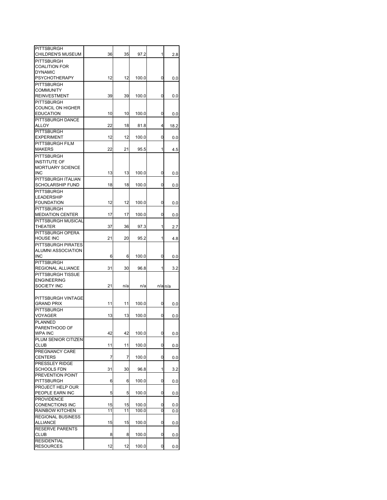| PITTSBURGH                             | 36       | 35  |                |        |                      |
|----------------------------------------|----------|-----|----------------|--------|----------------------|
| <b>CHILDREN'S MUSEUM</b><br>PITTSBURGH |          |     | 97.2           | 1      | 2.8                  |
| <b>COALITION FOR</b>                   |          |     |                |        |                      |
| <b>DYNAMIC</b>                         |          |     |                |        |                      |
| <b>PSYCHOTHERAPY</b>                   | 12       | 12  | 100.0          | 0      | 0.0                  |
| PITTSBURGH                             |          |     |                |        |                      |
| COMMUNITY                              |          |     |                |        |                      |
| <b>REINVESTMENT</b>                    | 39       | 39  | 100.0          | 0      | 0.0                  |
| <b>PITTSBURGH</b>                      |          |     |                |        |                      |
| COUNCIL ON HIGHER                      |          |     |                |        |                      |
| <b>EDUCATION</b>                       | 10       | 10  | 100.0          | 0      | 0.0                  |
| PITTSBURGH DANCE<br>ALLOY              | 22       | 18  | 81.8           | 4      |                      |
| <b>PITTSBURGH</b>                      |          |     |                |        | 18.2                 |
| <b>EXPERIMENT</b>                      | 12       | 12  | 100.0          | 0      | 0.0                  |
| PITTSBURGH FILM                        |          |     |                |        |                      |
| <b>MAKERS</b>                          | 22       | 21  | 95.5           | 1      | 4.5                  |
| <b>PITTSBURGH</b>                      |          |     |                |        |                      |
| <b>INSTITUTE OF</b>                    |          |     |                |        |                      |
| <b>MORTUARY SCIENCE</b>                |          |     |                |        |                      |
| <b>INC</b>                             | 13       | 13  | 100.0          | 0      | 0.0                  |
| PITTSBURGH ITALIAN                     |          |     |                |        |                      |
| <b>SCHOLARSHIP FUND</b>                | 18       | 18  | 100.0          | 0      | 0.0                  |
| <b>PITTSBURGH</b>                      |          |     |                |        |                      |
| <b>LEADERSHIP</b>                      |          |     |                |        |                      |
| <b>FOUNDATION</b>                      | 12       | 12  | 100.0          | 0      | 0.0                  |
| PITTSBURGH                             |          |     |                |        |                      |
| <b>MEDIATION CENTER</b>                | 17       | 17  | 100.0          | 0      | 0.0                  |
| PITTSBURGH MUSICAL<br>THEATER          | 37       | 36  | 97.3           | 1      | 2.7                  |
| PITTSBURGH OPERA                       |          |     |                |        |                      |
| <b>HOUSE INC</b>                       | 21       | 20  | 95.2           | 1      | 4.8                  |
| PITTSBURGH PIRATES                     |          |     |                |        |                      |
| ALUMNI ASSOCIATION                     |          |     |                |        |                      |
| <b>INC</b>                             | 6        | 6   | 100.0          | 0      | 0.0                  |
| <b>PITTSBURGH</b>                      |          |     |                |        |                      |
| REGIONAL ALLIANCE                      | 31       | 30  | 96.8           | 1      | 3.2                  |
| PITTSBURGH TISSUE                      |          |     |                |        |                      |
| <b>ENGINEERING</b>                     |          |     |                |        |                      |
| SOCIETY INC                            | 21       | n/a | n/a            |        | $n/a$ <sub>n/a</sub> |
|                                        |          |     |                |        |                      |
| PITTSBURGH VINTAGE                     |          |     |                |        |                      |
| <b>GRAND PRIX</b>                      | 11       | 11  | 100.0          | 0      | 0.0                  |
| PITTSBURGH<br><b>VOYAGER</b>           | 13       | 13  | 100.0          | 0      |                      |
| PLANNED                                |          |     |                |        | 0.0                  |
| PARENTHOOD OF                          |          |     |                |        |                      |
| <b>WPA INC</b>                         | 42       | 42  | 100.0          | 0      | 0.0                  |
| PLUM SENIOR CITIZEN                    |          |     |                |        |                      |
| <b>CLUB</b>                            | 11       | 11  | 100.0          | 0      | 0.0                  |
| PREGNANCY CARE                         |          |     |                |        |                      |
| <b>CENTERS</b>                         | 7        | 7   | 100.0          | 0      | 0.0                  |
| PRESSLEY RIDGE                         |          |     |                |        |                      |
| <b>SCHOOLS FDN</b>                     | 31       | 30  | 96.8           | 1      | 3.2                  |
| PREVENTION POINT                       |          |     |                |        |                      |
| <b>PITTSBURGH</b>                      | 6        | 6   | 100.0          | 0      | 0.0                  |
| PROJECT HELP OUR                       |          |     |                |        |                      |
| PEOPLE EARN INC                        | 5        | 5   | 100.0          | 0      | 0.0                  |
| <b>PROVIDENCE</b>                      |          | 15  |                |        |                      |
| CONENCTIONS INC<br>RAINBOW KITCHEN     | 15<br>11 | 11  | 100.0<br>100.0 | 0<br>0 | 0.0                  |
| <b>REGIONAL BUSINESS</b>               |          |     |                |        | 0.0                  |
| <b>ALLIANCE</b>                        | 15       | 15  | 100.0          | 0      | 0.0                  |
| <b>RESERVE PARENTS</b>                 |          |     |                |        |                      |
| <b>CLUB</b>                            | 8        | 8   | 100.0          | 0      | 0.0                  |
| <b>RESIDENTIAL</b>                     |          |     |                |        |                      |
|                                        |          |     | 100.0          | 0      | 0.0                  |
| <b>RESOURCES</b>                       | 12       | 12  |                |        |                      |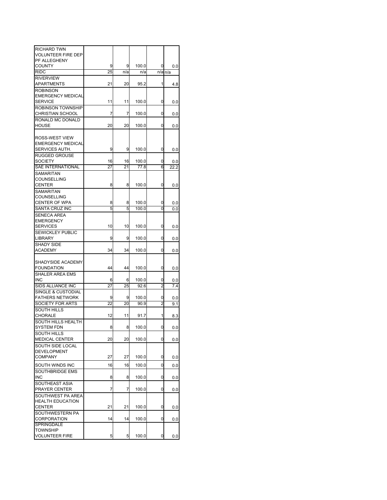| <b>RICHARD TWN</b>        |    |     |       |                |                      |
|---------------------------|----|-----|-------|----------------|----------------------|
| <b>VOLUNTEER FIRE DEP</b> |    |     |       |                |                      |
| PF ALLEGHENY              |    |     |       |                |                      |
| <b>COUNTY</b>             | 9  | 9   | 100.0 | 0              | 0.0                  |
| <b>RIDC</b>               | 25 | n/a | n/a   |                | $n/a$ <sub>n/a</sub> |
| <b>RIVERVIEW</b>          |    |     |       |                |                      |
| APARTMENTS                | 21 | 20  | 95.2  | 1              | 4.8                  |
| <b>ROBINSON</b>           |    |     |       |                |                      |
| <b>EMERGENCY MEDICAL</b>  |    |     |       |                |                      |
| <b>SERVICE</b>            | 11 | 11  | 100.0 | 0              | 0.0                  |
| ROBINSON TOWNSHIP         |    |     |       |                |                      |
| <b>CHRISTIAN SCHOOL</b>   | 7  | 7   | 100.0 | 0              | 0.0                  |
| RONALD MC DONALD          |    |     |       |                |                      |
| <b>HOUSE</b>              | 20 | 20  | 100.0 | 0              | 0.0                  |
|                           |    |     |       |                |                      |
| ROSS-WEST VIEW            |    |     |       |                |                      |
| <b>EMERGENCY MEDICAL</b>  |    |     |       |                |                      |
| SERVICES AUTH.            | 9  | 9   | 100.0 | 0              | 0.0                  |
| <b>RUGGED GROUSE</b>      |    |     |       |                |                      |
| <b>SOCIETY</b>            | 16 | 16  | 100.0 | 0              | 0.0                  |
| SAE INTERNATIONAL         | 27 | 21  | 77.8  | 6              | 22.2                 |
| SAMARITAN                 |    |     |       |                |                      |
| COUNSELLING               |    |     |       |                |                      |
| <b>CENTER</b>             | 8  | 8   | 100.0 | 0              | 0.0                  |
| SAMARITAN                 |    |     |       |                |                      |
| COUNSELLING               |    |     |       |                |                      |
| CENTER OF WPA             | 8  | 8   | 100.0 | 0              | 0.0                  |
| <b>SANTA CRUZ INC</b>     | 5  | 5   | 100.0 | 0              | 0.0                  |
| <b>SENECA AREA</b>        |    |     |       |                |                      |
| <b>EMERGENCY</b>          |    |     |       |                |                      |
| <b>SERVICES</b>           | 10 | 10  | 100.0 | 0              | 0.0                  |
| <b>SEWICKLEY PUBLIC</b>   |    |     |       |                |                      |
| LIBRARY                   | 9  | 9   | 100.0 | 0              | 0.0                  |
| <b>SHADY SIDE</b>         |    |     |       |                |                      |
| ACADEMY                   | 34 | 34  | 100.0 | 0              | 0.0                  |
|                           |    |     |       |                |                      |
| SHADYSIDE ACADEMY         |    |     |       |                |                      |
| <b>FOUNDATION</b>         | 44 | 44  | 100.0 | 0              | 0.0                  |
| SHALER AREA EMS           |    |     |       |                |                      |
| INC                       | 6  | 6   | 100.0 | 0              | 0.0                  |
| SIDS ALLIANCE INC         | 27 | 25  | 92.6  | 2              | 7.4                  |
| SINGLE & CUSTODIAL        |    |     |       |                |                      |
| <b>FATHERS NETWORK</b>    | 9  | 9   | 100.0 | 0              | 0.0                  |
| SOCIETY FOR ARTS          | 22 | 20  | 90.9  | $\overline{c}$ | 9.1                  |
| <b>SOUTH HILLS</b>        |    |     |       |                |                      |
| CHORALE                   | 12 | 11  | 91.7  | 1              | 8.3                  |
| SOUTH HILLS HEALTH        |    |     |       |                |                      |
| SYSTEM FDN                | 8  | 8   | 100.0 | 0              | 0.0                  |
| <b>SOUTH HILLS</b>        |    |     |       |                |                      |
| <b>MEDICAL CENTER</b>     | 20 | 20  | 100.0 | 0              | 0.0                  |
| SOUTH SIDE LOCAL          |    |     |       |                |                      |
| <b>DEVELOPMENT</b>        |    |     |       |                |                      |
| <b>COMPANY</b>            | 27 | 27  | 100.0 | 0              | 0.0                  |
|                           |    |     |       |                |                      |
| SOUTH WINDS INC           | 16 | 16  | 100.0 | 0              | 0.0                  |
| SOUTHBRIDGE EMS           |    |     |       |                |                      |
| <b>INC</b>                | 8  | 8   | 100.0 | 0              | 0.0                  |
| SOUTHEAST ASIA            |    |     |       |                |                      |
| PRAYER CENTER             | 7  | 7   | 100.0 | 0              | 0.0                  |
| SOUTHWEST PA AREA         |    |     |       |                |                      |
| <b>HEALTH EDUCATION</b>   |    |     |       |                |                      |
| <b>CENTER</b>             | 21 | 21  | 100.0 | 0              | 0.0                  |
| SOUTHWESTERN PA           |    |     |       |                |                      |
| CORPORATION               | 14 | 14  | 100.0 | 0              | 0.0                  |
| SPRINGDALE                |    |     |       |                |                      |
| TOWNSHIP                  |    |     |       |                |                      |
| <b>VOLUNTEER FIRE</b>     | 5  | 5   | 100.0 | 0              | 0.0                  |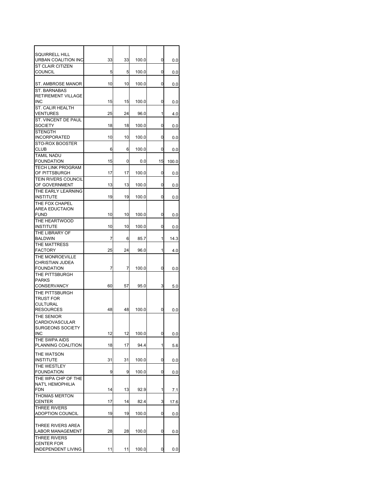| <b>SQUIRRELL HILL</b>                          |    |    |       |    |       |
|------------------------------------------------|----|----|-------|----|-------|
| URBAN COALITION INC                            | 33 | 33 | 100.0 | 0  | 0.0   |
| <b>ST CLAIR CITIZEN</b><br><b>COUNCIL</b>      | 5  | 5  | 100.0 | 0  | 0.0   |
| ST. AMBROSE MANOR                              | 10 | 10 | 100.0 | 0  | 0.0   |
| ST. BARNABAS                                   |    |    |       |    |       |
| RETIREMENT VILLAGE<br><b>INC</b>               | 15 | 15 | 100.0 | 0  | 0.0   |
| ST. CALIR HEALTH<br><b>VENTURES</b>            | 25 | 24 | 96.0  | 1  | 4.0   |
| ST. VINCENT DE PAUL                            |    |    |       |    |       |
| <b>SOCIETY</b><br><b>STENGTH</b>               | 18 | 18 | 100.0 | 0  | 0.0   |
| <b>INCORPORATED</b><br>STO-ROX BOOSTER         | 10 | 10 | 100.0 | 0  | 0.0   |
| <b>CLUB</b>                                    | 6  | 6  | 100.0 | 0  | 0.0   |
| <b>TAMIL NADU</b><br><b>FOUNDATION</b>         | 15 | 0  | 0.0   | 15 | 100.0 |
| <b>TECH LINK PROGRAM</b>                       |    |    |       |    |       |
| OF PITTSBURGH<br><b>TEIN RIVERS COUNCIL</b>    | 17 | 17 | 100.0 | 0  | 0.0   |
| OF GOVERNMENT                                  | 13 | 13 | 100.0 | 0  | 0.0   |
| THE EARLY LEARNING<br><b>INSTITUTE</b>         | 19 | 19 | 100.0 | 0  | 0.0   |
| THE FOX CHAPEL<br><b>AREA EDUCTAION</b>        |    |    |       |    |       |
| <b>FUND</b>                                    | 10 | 10 | 100.0 | 0  | 0.0   |
| THE HEARTWOOD<br><b>INSTITUTE</b>              | 10 | 10 | 100.0 | 0  | 0.0   |
| THE LIBRARY OF<br><b>BALDWIN</b>               | 7  | 6  | 85.7  | 1  |       |
| THE MATTRESS                                   |    |    |       |    | 14.3  |
| <b>FACTORY</b>                                 | 25 | 24 | 96.0  | 1  | 4.0   |
| THE MONROEVILLE<br><b>CHRISTIAN JUDEA</b>      |    |    |       |    |       |
| <b>FOUNDATION</b>                              | 7  | 7  | 100.0 | 0  | 0.0   |
| THE PITTSBURGH<br><b>PARKS</b>                 |    |    |       |    |       |
| CONSERVANCY                                    | 60 | 57 | 95.0  | 3  | 5.0   |
| THE PITTSBURGH                                 |    |    |       |    |       |
| <b>TRUST FOR</b><br>CULTURAL                   |    |    |       |    |       |
| <b>RESOURCES</b>                               | 48 | 48 | 100.0 | 0  | 0.0   |
| THE SENIOR                                     |    |    |       |    |       |
| CARDIOVASCULAR                                 |    |    |       |    |       |
| <b>SURGEONS SOCIETY</b><br><b>INC</b>          | 12 | 12 | 100.0 | 0  | 0.0   |
| THE SWPA AIDS<br>PLANNING COALITION            | 18 | 17 | 94.4  | 1  | 5.6   |
|                                                |    |    |       |    |       |
| THE WATSON<br><b>INSTITUTE</b>                 | 31 | 31 | 100.0 | 0  | 0.0   |
| THE WESTLEY<br><b>FOUNDATION</b>               | 9  | 9  | 100.0 | 0  |       |
| THE WPA CHP OF THE                             |    |    |       |    | 0.0   |
| NAT'L HEMOPHILIA                               |    |    |       |    |       |
| <b>FDN</b><br>THOMAS MERTON                    | 14 | 13 | 92.9  | 1  | 7.1   |
| CENTER                                         | 17 | 14 | 82.4  | 3  | 17.6  |
| <b>THREE RIVERS</b><br><b>ADOPTION COUNCIL</b> | 19 | 19 | 100.0 | 0  | 0.0   |
|                                                |    |    |       |    |       |
| THREE RIVERS AREA<br><b>LABOR MANAGEMENT</b>   | 28 | 28 | 100.0 | 0  | 0.0   |
| THREE RIVERS                                   |    |    |       |    |       |
| <b>CENTER FOR</b>                              |    |    |       |    |       |
| <b>INDEPENDENT LIVING</b>                      | 11 | 11 | 100.0 | 0  | 0.0   |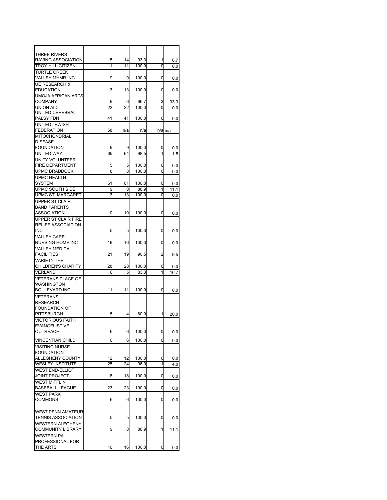| THREE RIVERS                 |                |                 |       |   |                      |
|------------------------------|----------------|-----------------|-------|---|----------------------|
| RAVING ASSOCIATION           | 15             | 14              | 93.3  | 1 | 6.7                  |
| <b>TROY HILL CITIZEN</b>     | 11             | 11              | 100.0 | 0 | 0.0                  |
| <b>TURTLE CREEK</b>          |                |                 |       |   |                      |
| <b>VALLEY MHMR INC</b>       | 9              | 9               | 100.0 | 0 | 0.0                  |
| <b>UE RESEARCH &amp;</b>     |                |                 |       |   |                      |
| <b>EDUCATION</b>             | 13             | 13              | 100.0 | 0 | 0.0                  |
| <b>UMOJA AFRICAN ARTS</b>    |                |                 |       |   |                      |
| <b>COMPANY</b>               | 9              | 6               | 66.7  | 3 | 33.3                 |
| <b>UNION AID</b>             | 22             | $\overline{22}$ | 100.0 | 0 | 0.0                  |
| UNITED CEREBRAL<br>PALSY FDN | 41             | 41              | 100.0 | 0 | 0.0                  |
| UNITED JEWISH                |                |                 |       |   |                      |
| <b>FEDERATION</b>            | 58             | n/a             | n/a   |   | $n/a$ <sub>n/a</sub> |
| <b>MITOCHONDRIAL</b>         |                |                 |       |   |                      |
| <b>DISEASE</b>               |                |                 |       |   |                      |
| <b>FOUNDATION</b>            | 9              | 9               | 100.0 | 0 | 0.0                  |
| UNITED WAY                   | 65             | 64              | 98.5  | 1 | 1.5                  |
| UNITY VOLUNTEER              |                |                 |       |   |                      |
| <b>FIRE DEPARTMENT</b>       | 5              | 5               | 100.0 | 0 | 0.0                  |
| UPMC BRADDOCK                | 8              | 8               | 100.0 | 0 | 0.0                  |
| <b>UPMC HEALTH</b>           |                |                 |       |   |                      |
| <b>SYSTEM</b>                | 61             | 61              | 100.0 | 0 | 0.0                  |
| UPMC SOUTH SIDE              | 9              | 8               | 88.9  | 1 | 11.1                 |
| <b>UPMC ST. MARGARET</b>     | 13             | 13              | 100.0 | 0 | 0.0                  |
| <b>UPPER ST CLAIR</b>        |                |                 |       |   |                      |
| <b>BAND PARENTS</b>          |                |                 |       |   |                      |
| <b>ASSOCIATION</b>           | 10             | 10              | 100.0 | 0 | 0.0                  |
| <b>UPPER ST CLAIR FIRE</b>   |                |                 |       |   |                      |
| <b>RELIEF ASSOCIATION</b>    |                |                 |       |   |                      |
| <b>INC</b>                   | 5              | 5               | 100.0 | 0 | 0.0                  |
| <b>VALLEY CARE</b>           |                |                 |       |   |                      |
| NURSING HOME INC             | 16             | 16              | 100.0 | 0 | 0.0                  |
| <b>VALLEY MEDICAL</b>        |                |                 |       |   |                      |
| <b>FACILITIES</b>            | 21             | 19              | 90.5  | 2 | 9.5                  |
| <b>VARIETY THE</b>           |                |                 |       |   |                      |
| <b>CHILDREN'S CHARITY</b>    | 28             | 28              | 100.0 | 0 | 0.0                  |
| <b>VERLAND</b>               | $\overline{6}$ | 5               | 83.3  | 1 | 16.7                 |
| <b>VETERANS PLACE OF</b>     |                |                 |       |   |                      |
| WASHINGTON                   |                |                 |       |   |                      |
| <b>BOULEVARD INC</b>         | 11             | 11              | 100.0 | 0 | 0.0                  |
| <b>VETERANS</b>              |                |                 |       |   |                      |
| <b>RESEARCH</b>              |                |                 |       |   |                      |
| <b>FOUNDATION OF</b>         |                |                 |       |   |                      |
| <b>PITTSBURGH</b>            | 5              | 4               | 80.0  | 1 | 20.0                 |
| <b>VICTORIOUS FAITH</b>      |                |                 |       |   |                      |
| <b>EVANGELISTIVE</b>         |                |                 |       |   |                      |
| OUTREACH                     | 6              | 6               | 100.0 | 0 | 0.0                  |
| <b>VINCENTIAN CHILD</b>      | 6              | 6               | 100.0 | 0 | 0.0                  |
| <b>VISITING NURSE</b>        |                |                 |       |   |                      |
| <b>FOUNDATION</b>            |                |                 |       |   |                      |
| ALLEGHENY COUNTY             | 12             | 12              | 100.0 | 0 | 0.0                  |
| <b>WESLEY INSTITUTE</b>      | 25             | 24              | 96.0  | 1 | 4.0                  |
| <b>WEST END-ELLIOT</b>       |                |                 |       |   |                      |
| <b>JOINT PROJECT</b>         | 18             | 18              | 100.0 | 0 | 0.0                  |
| <b>WEST MIFFLIN</b>          |                |                 |       |   |                      |
| <b>BASEBALL LEAGUE</b>       | 23             | 23              | 100.0 | 0 | 0.0                  |
| <b>WEST PARK</b>             |                |                 |       |   |                      |
| <b>COMMONS</b>               | 6              | 6               | 100.0 | 0 | 0.0                  |
|                              |                |                 |       |   |                      |
| <b>WEST PENN AMATEUR</b>     |                |                 |       |   |                      |
| <b>TENNIS ASSOCIATION</b>    | 5              | 5               | 100.0 | 0 | 0.0                  |
| <b>WESTERN ALEGHENY</b>      |                |                 |       |   |                      |
| <b>COMMUNITY LIBRARY</b>     | 9              | 8               | 88.9  | 1 | 11.1                 |
| <b>WESTERN PA</b>            |                |                 |       |   |                      |
| PROFESSIONAL FOR             |                |                 |       |   |                      |
| THE ARTS                     | 16             | 16              | 100.0 | 0 | 0.0                  |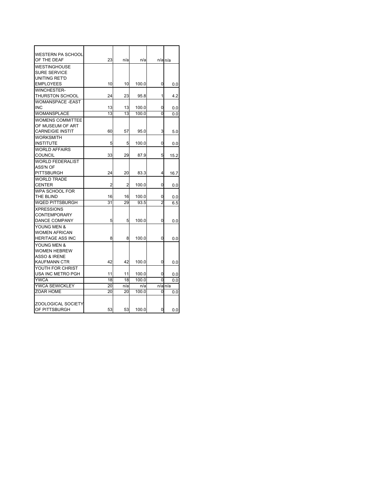| <b>WESTERN PA SCHOOL</b>                                                             |    |     |       |          |         |
|--------------------------------------------------------------------------------------|----|-----|-------|----------|---------|
| OF THE DEAF                                                                          | 23 | n/a | n/a   |          | n/a n/a |
| <b>WESTINGHOUSE</b><br><b>SURE SERVICE</b><br>UNITING RET'D                          |    |     |       |          |         |
| <b>EMPLOYEES</b>                                                                     | 10 | 10  | 100.0 | 0        | 0.0     |
| <b>WINCHESTER-</b><br>THURSTON SCHOOL                                                | 24 | 23  | 95.8  | 1        | 4.2     |
| <b>WOMANSPACE -EAST</b><br><b>INC</b>                                                | 13 | 13  | 100.0 | 0        | 0.0     |
| <b>WOMANSPLACE</b>                                                                   | 13 | 13  | 100.0 | 0        | 0.0     |
| <b>WOMENS COMMITTEE</b><br>OF MUSEUM OF ART<br><b>CARNEIGIE INSTIT</b>               | 60 | 57  | 95.0  | 3        | 5.0     |
| <b>WORKSMITH</b><br><b>INSTITUTE</b>                                                 | 5  | 5   | 100.0 | 0        | 0.0     |
| <b>WORLD AFFAIRS</b><br><b>COUNCIL</b>                                               | 33 | 29  | 87.9  | 5        | 15.2    |
| <b>WORLD FEDERALIST</b><br>ASS'N OF<br><b>PITTSBURGH</b>                             | 24 | 20  | 83.3  | 4        | 16.7    |
| <b>WORLD TRADE</b><br><b>CENTER</b>                                                  | 2  | 2   | 100.0 | 0        | 0.0     |
| <b>WPA SCHOOL FOR</b><br>THE BLIND                                                   | 16 | 16  | 100.0 | 0        | 0.0     |
| WQED PITTSBURGH                                                                      | 31 | 29  | 93.5  | 2        | 6.5     |
| <b>XPRESSIONS</b><br><b>CONTEMPORARY</b><br><b>DANCE COMPANY</b>                     | 5  | 5   | 100.0 | 0        | 0.0     |
| YOUNG MEN &<br><b>WOMEN AFRICAN</b><br><b>HERITAGE ASS INC</b>                       | 8  | 8   | 100.0 | 0        | 0.0     |
| YOUNG MEN &<br><b>WOMEN HEBREW</b><br><b>ASSO &amp; IRENE</b><br><b>KAUFMANN CTR</b> | 42 | 42  | 100.0 | 0        | 0.0     |
| YOUTH FOR CHRIST<br>USA INC METRO PGH                                                | 11 | 11  | 100.0 | 0        | 0.0     |
| <b>YWCA</b>                                                                          | 18 | 18  | 100.0 | $\Omega$ | 0.0     |
| YWCA SEWICKLEY                                                                       | 20 | n/a | n/a   |          | n/a n/a |
| <b>ZOAR HOME</b>                                                                     | 20 | 20  | 100.0 | 0        | 0.0     |
| <b>ZOOLOGICAL SOCIETY</b><br>OF PITTSBURGH                                           | 53 | 53  | 100.0 | 0        | 0.0     |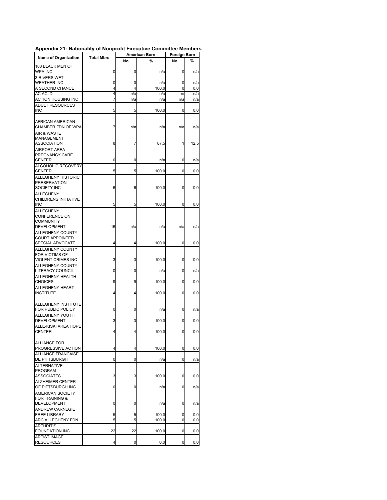|                                               | <b>Total Mbrs</b> | <b>American Born</b> |       | Foreign Born |      |  |
|-----------------------------------------------|-------------------|----------------------|-------|--------------|------|--|
| <b>Name of Organization</b>                   |                   | No.                  | %     | No.          | %    |  |
| 100 BLACK MEN OF                              |                   |                      |       |              |      |  |
| WPA INC                                       | 0                 | 0                    | n/a   | 0            | n/a  |  |
| 3 RIVERS WET                                  |                   |                      |       |              |      |  |
| <b>WEATHER INC</b>                            | 0                 | 0                    | n/a   | 0            | n/a  |  |
| A SECOND CHANCE<br><b>AC ACLD</b>             | 4<br>4            | 4                    | 100.0 | 0            | 0.0  |  |
| ACTION HOUSING INC                            | 7                 | n/a                  | n/a   | n/<br>n/a    | n/a  |  |
|                                               |                   | n/a                  | n/a   |              | n/a  |  |
| ADULT RESOURCES<br><b>INC</b>                 | 5                 | 5                    | 100.0 | 0            | 0.0  |  |
|                                               |                   |                      |       |              |      |  |
| AFRICAN AMERICAN<br>CHAMBER FDN OF WPA        | 7                 | n/a                  | n/a   | n/a          | n/a  |  |
| <b>AIR &amp; WASTE</b>                        |                   |                      |       |              |      |  |
| <b>MANAGEMENT</b>                             |                   |                      |       |              |      |  |
| <b>ASSOCIATION</b>                            | 8                 | 7                    | 87.5  | 1            | 12.5 |  |
| <b>AIRPORT AREA</b>                           |                   |                      |       |              |      |  |
| PREGNANCY CARE                                |                   |                      |       |              |      |  |
| CENTER                                        | 0                 | 0                    | n/a   | 0            | n/a  |  |
| ALCOHOLIC RECOVERY                            |                   |                      |       |              |      |  |
| <b>CENTER</b>                                 | 5                 | 5                    | 100.0 | 0            | 0.0  |  |
| ALLEGHENY HISTORIC                            |                   |                      |       |              |      |  |
| <b>PRESERVATION</b>                           |                   |                      |       |              |      |  |
| SOCIETY INC                                   | 6                 | 6                    | 100.0 | 0            | 0.0  |  |
| <b>ALLEGHENY</b>                              |                   |                      |       |              |      |  |
| CHILDRENS INITIATIVE<br><b>INC</b>            | 5                 | 5                    | 100.0 | 0            | 0.0  |  |
|                                               |                   |                      |       |              |      |  |
| ALLEGHENY                                     |                   |                      |       |              |      |  |
| <b>CONFERENCE ON</b>                          |                   |                      |       |              |      |  |
| <b>COMMUNITY</b><br>DEVELOPMENT               | 16                | n/a                  | n/a   | n/a          | n/a  |  |
|                                               |                   |                      |       |              |      |  |
| ALLEGHENY COUNTY                              |                   |                      |       |              |      |  |
| COURT APPOINTED<br>SPECIAL ADVOCATE           | 4                 | 4                    | 100.0 | 0            | 0.0  |  |
|                                               |                   |                      |       |              |      |  |
| ALLEGHENY COUNTY                              |                   |                      |       |              |      |  |
| <b>FOR VICTIMS OF</b>                         | 3                 | 3                    | 100.0 | 0            |      |  |
| VIOLENT CRIMES INC                            |                   |                      |       |              | 0.0  |  |
| <b>ALLEGHENY COUNTY</b><br>LITERACY COUNCIL   | 0                 | 0                    | n/a   | 0            | n/a  |  |
|                                               |                   |                      |       |              |      |  |
| ALLEGHENY HEALTH<br>CHOICES                   | 9                 | 9                    | 100.0 | 0            |      |  |
| ALLEGHENY HEART                               |                   |                      |       |              | 0.0  |  |
| <b>INSTITUTE</b>                              | 4                 | 4                    | 100.0 | 0            | 0.0  |  |
|                                               |                   |                      |       |              |      |  |
|                                               |                   |                      |       |              |      |  |
| ALLEGHENY INSTITUTE<br>FOR PUBLIC POLICY      | 0                 |                      |       |              |      |  |
|                                               |                   | 0                    | n/a   | 0            | n/a  |  |
| <b>ALLEGHENY YOUTH</b><br><b>DEVELOPMENT</b>  | 3                 | 3                    | 100.0 | 0            | 0.0  |  |
| ALLE-KISKI AREA HOPE                          |                   |                      |       |              |      |  |
| <b>CENTER</b>                                 | 4                 | 4                    | 100.0 | 0            | 0.0  |  |
|                                               |                   |                      |       |              |      |  |
| <b>ALLIANCE FOR</b>                           |                   |                      |       |              |      |  |
| PROGRESSIVE ACTION                            | 4                 | 4                    | 100.0 | 0            | 0.0  |  |
| <b>ALLIANCE FRANCAISE</b>                     |                   |                      |       |              |      |  |
| <b>DE PITTSBURGH</b>                          | 0                 | 0                    | n/a   | 0            | n/a  |  |
| <b>ALTERNATIVE</b>                            |                   |                      |       |              |      |  |
| <b>PROGRAM</b>                                |                   |                      |       |              |      |  |
| <b>ASSOCIATES</b>                             | 3                 | 3                    | 100.0 | 0            | 0.0  |  |
| <b>ALZHEIMER CENTER</b>                       |                   |                      |       |              |      |  |
| OF PITTSBURGH INC                             | 0                 | 0                    |       | 0            |      |  |
|                                               |                   |                      | n/a   |              | n/a  |  |
| AMERICAN SOCIETY<br><b>FOR TRAINING &amp;</b> |                   |                      |       |              |      |  |
|                                               |                   |                      |       |              |      |  |
| <b>DEVELOPMENT</b><br><b>ANDREW CARNEGIE</b>  | 0                 | 0                    | n/a   | 0            | n/a  |  |
| <b>FREE LIBRARY</b>                           | 5                 | 5                    | 100.0 | 0            | 0.0  |  |
| <b>ARC ALLEGHENY FDN</b>                      | 5                 | 5                    | 100.0 | 0            | 0.0  |  |
| <b>ARTHRITIS</b>                              |                   |                      |       |              |      |  |
|                                               | 22                |                      |       |              |      |  |
| <b>FOUNDATION INC</b>                         |                   | 22                   | 100.0 | 0            | 0.0  |  |
|                                               |                   |                      |       |              |      |  |
| <b>ARTIST IMAGE</b><br><b>RESOURCES</b>       | 4                 | 0                    | 0.0   | 0            | 0.0  |  |

## **Appendix 21: Nationality of Nonprofit Executive Committee Members**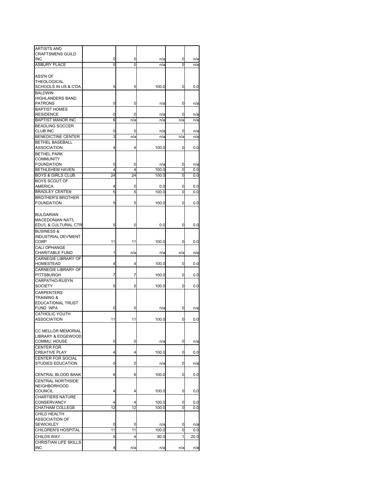| <b>ARTISTS AND</b><br><b>CRAFTSMENS GUILD</b> |         |         |                |        |            |
|-----------------------------------------------|---------|---------|----------------|--------|------------|
| <b>INC</b>                                    | 0       | 0       | n/a            | 0      | n/a        |
| <b>ASBURY PLACE</b>                           | 0       | 0       | n/a            | 0      | n/a        |
| <b>ASS'N OF</b><br>THEOLOGICAL                |         |         |                |        |            |
| SCHOOLS IN US & C'DA<br><b>BALDWIN</b>        | 5       | 5       | 100.0          | 0      | 0.0        |
| <b>HIGHLANDERS BAND</b><br><b>PATRONS</b>     | 0       | 0       | n/a            | 0      | n/a        |
| <b>BAPTIST HOMES</b>                          |         |         |                |        |            |
| <b>RESIDENCE</b><br><b>BAPTIST MANOR INC</b>  | 0       | 0       | n/a            | 0      | n/a        |
| <b>BEADLING SOCCER</b>                        | 6       | n/a     | n/a            | n/a    | n/a        |
| <b>CLUB INC</b>                               | 0       | 0       | n/a            | 0      | n/a        |
| <b>BENEDICTINE CENTER</b>                     | 3       | n/a     | n/a            | n/a    | n/a        |
| <b>BETHEL BASEBALL</b>                        |         |         |                |        |            |
| ASSOCIATION                                   | 4       | 4       | 100.0          | 0      | 0.0        |
| <b>BETHEL PARK</b>                            |         |         |                |        |            |
| <b>COMMUNITY</b>                              |         |         |                |        |            |
| <b>FOUNDATION</b><br><b>BETHLEHEM HAVEN</b>   | 0<br>4  | 0<br>4  | n/a<br>100.0   | 0<br>0 | n/a<br>0.0 |
| <b>BOYS &amp; GIRLS CLUB</b>                  | 24      | 24      | 100.0          | 0      | 0.0        |
| <b>BOYS SCOUT OF</b>                          |         |         |                |        |            |
| <b>AMERICA</b>                                | 4       | 0       | 0.0            | 0      | 0.0        |
| <b>BRADLEY CENTER</b>                         | 5       | 5       | 100.0          | 0      | 0.0        |
| <b>BROTHER'S BROTHER</b>                      |         |         |                |        |            |
| <b>FOUNDATION</b>                             | 5       | 5       | 100.0          | 0      | 0.0        |
| <b>BULGARIAN</b>                              |         |         |                |        |            |
| <b>MACEDONIAN NAT'L</b>                       |         |         |                |        |            |
| EDU'L & CULTURAL CTR                          | 5       | 0       | 0.0            | 0      | 0.0        |
| <b>BUSINESS &amp;</b>                         |         |         |                |        |            |
| INDUSTRIAL DEV'MENT<br>CORP<br>CALI OPHANGE   | 11      | 11      | 100.0          | 0      | 0.0        |
| <b>CHARITABLE FUND</b>                        | 1       | n/a     | n/a            | n/a    | n/a        |
| <b>CARNEGIE LIBRARY OF</b>                    |         |         |                |        |            |
| HOMESTEAD                                     | 4       | 4       | 100.0          | 0      | 0.0        |
| <b>CARNEGIE LIBRARY OF</b><br>PITTSBURGH      | 7       | 7       | 100.0          | 0      | 0.0        |
| CARPATHO-RUSYN<br><b>SOCIETY</b>              | 5       | 5       | 100.0          | 0      | 0.0        |
| <b>CARPENTERS</b>                             |         |         |                |        |            |
| TRAINING &                                    |         |         |                |        |            |
| EDUCATIONAL TRUST                             |         |         |                |        |            |
| FUND WPA<br>CATHOLIC YOUTH                    | 0       | 0       | n/a            | 0      | n/a        |
| <b>ASSOCIATION</b>                            | 11      | 11      | 100.0          | 0      | 0.0        |
|                                               |         |         |                |        |            |
| <b>CC MELLOR MEMORIAL</b>                     |         |         |                |        |            |
| <b>LIBRARY &amp; EDGEWOOD</b>                 |         |         |                |        |            |
| COMMU. HOUSE<br><b>CENTER FOR</b>             | 0       | 0       | n/a            | 0      | n/a        |
| <b>CREATIVE PLAY</b>                          | 4       | 4       | 100.0          | 0      | 0.0        |
| CENTER FOR SOCIAL                             |         |         |                |        |            |
| <b>STUDIES EDUCATION</b>                      | 0       | 0       | n/a            | 0      | n/a        |
| CENTRAL BLOOD BANK                            | 6       | 6       | 100.0          | 0      | 0.0        |
| <b>CENTRAL NORTHSIDE</b>                      |         |         |                |        |            |
| <b>NEIGHBORHOOD</b><br>COUNCIL                | 4       | 4       | 100.0          | 0      | 0.0        |
| <b>CHARTIERS NATURE</b>                       |         |         |                |        |            |
| CONSERVANCY<br>CHATHAM COLLEGE                | 4<br>12 | 4<br>12 | 100.0<br>100.0 | 0<br>0 | 0.0<br>0.0 |
| CHILD HEALTH                                  |         |         |                |        |            |
| <b>ASSOCIATION OF</b>                         |         |         |                |        |            |
| <b>SEWICKLEY</b>                              | 0       | 0       | n/a            | 0      | n/a        |
| CHILDREN'S HOSPITAL                           | 11      | 11      | 100.0          | 0      | 0.0        |
| <b>CHILDS WAY</b>                             | 5       | 4       | 80.0           | 1      | 20.0       |
| CHRISTIAN LIFE SKILLS                         |         |         |                |        |            |
| <b>INC</b>                                    | 4       | n/a     | n/a            | n/a    | n/a        |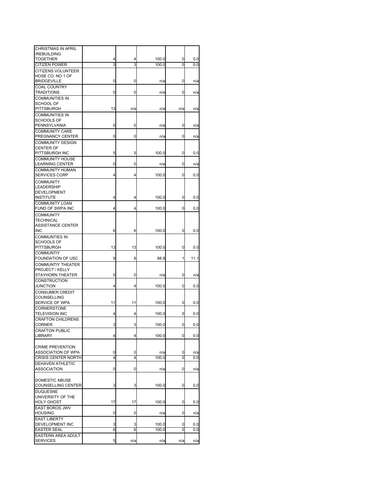| <b>CHRISTMAS IN APRIL</b>                          |    |     |       |     |      |
|----------------------------------------------------|----|-----|-------|-----|------|
| /REBUILDING                                        |    |     |       |     |      |
| TOGETHER                                           | 4  | 4   | 100.0 | 0   | 0.0  |
| <b>CITIZEN POWER</b>                               | 3  | 3   | 100.0 | 0   | 0.0  |
| CITIZENS VOLUNTEER                                 |    |     |       |     |      |
| HOSE CO. NO 1 OF<br><b>BRIDGEVILLE</b>             | 0  | 0   | n/a   | 0   | n/a  |
| <b>COAL COUNTRY</b>                                |    |     |       |     |      |
| TRADITIONS                                         | 0  | 0   | n/a   | 0   | n/a  |
| <b>COMMUNITIES IN</b>                              |    |     |       |     |      |
| <b>SCHOOL OF</b>                                   |    |     |       |     |      |
| PITTSBURGH                                         | 13 | n/a | n/a   | n/a | n/a  |
| <b>COMMUNITIES IN</b>                              |    |     |       |     |      |
| <b>SCHOOLS OF</b>                                  |    |     |       |     |      |
| PENNSYLVANIA                                       | 0  | 0   | n/a   | 0   | n/a  |
| <b>COMMUNITY CARE</b><br>PREGNANCY CENTER          | 0  | 0   |       | 0   |      |
| <b>COMMUNITY DESIGN</b>                            |    |     | n/a   |     | n/a  |
| <b>CENTER OF</b>                                   |    |     |       |     |      |
| PITTSBURGH INC                                     | 5  | 5   | 100.0 | 0   | 0.0  |
| <b>COMMUNITY HOUSE</b>                             |    |     |       |     |      |
| <b>LEARNING CENTER</b>                             | 0  | 0   | n/a   | 0   | n/a  |
| COMMUNITY HUMAN                                    |    |     |       |     |      |
| <b>SERVICES CORP</b>                               | 4  | 4   | 100.0 | 0   | 0.0  |
| <b>COMMUNITY</b>                                   |    |     |       |     |      |
| LEADERSHIP                                         |    |     |       |     |      |
| <b>DEVELOPMENT</b>                                 |    |     |       |     |      |
| <b>INSTITUTE</b>                                   | 4  | 4   | 100.0 | 0   | 0.0  |
| <b>COMMUNITY LOAN</b><br>FUND OF SWPA INC          | 4  | 4   | 100.0 | 0   | 0.0  |
| <b>COMMUNITY</b>                                   |    |     |       |     |      |
| <b>TECHNICAL</b>                                   |    |     |       |     |      |
| <b>ASSISTANCE CENTER</b>                           |    |     |       |     |      |
| INC                                                | 6  | 6   | 100.0 | 0   | 0.0  |
| <b>COMMUNTIES IN</b>                               |    |     |       |     |      |
| SCHOOLS OF                                         |    |     |       |     |      |
| PITTSBURGH                                         | 13 | 13  | 100.0 | 0   | 0.0  |
| <b>COMMUNTIY</b>                                   |    |     |       |     |      |
| FOUNDATION OF USC                                  | 9  | 8   | 88.9  | 1   | 11.1 |
| <b>COMMUNTIY THEATER</b><br><b>PROJECT / KELLY</b> |    |     |       |     |      |
| STAYHORN THEATER                                   | 0  | 0   | n/a   | 0   | n/a  |
| <b>CONSTRUCTION</b>                                |    |     |       |     |      |
| <b>JUNCTION</b>                                    | 4  | 4   | 100.0 | 0   | 0.0  |
| <b>CONSUMER CREDIT</b>                             |    |     |       |     |      |
| COUNSELLING                                        |    |     |       |     |      |
| SERVICE OF WPA                                     | 11 | 11  | 100.0 | 0   | 0.0  |
| <b>CORNERSTONE</b>                                 |    |     |       |     |      |
| <b>TELEVISION INC</b><br><b>CRAFTON CHILDRENS</b>  | 4  | 4   | 100.0 | 0   | 0.0  |
| <b>CORNER</b>                                      | 3  | 3   | 100.0 | 0   | 0.0  |
| <b>CRAFTON PUBLIC</b>                              |    |     |       |     |      |
| <b>LIBRARY</b>                                     | 4  | 4   | 100.0 | 0   | 0.0  |
|                                                    |    |     |       |     |      |
| <b>CRIME PREVENTION</b>                            |    |     |       |     |      |
| <b>ASSOCIATION OF WPA</b>                          | 0  | 0   | n/a   | 0   | n/a  |
| <b>CRISIS CENTER NORTH</b>                         | 4  | 4   | 100.0 | 0   | 0.0  |
| <b>DEHAVEN ATHLETIC</b>                            |    |     |       |     |      |
| <b>ASSOCIATION</b>                                 | 0  | 0   | n/a   | 0   | n/a  |
| <b>DOMESTIC ABUSE</b>                              |    |     |       |     |      |
| COUNSELLING CENTER                                 | 3  | 3   | 100.0 | 0   | 0.0  |
| <b>DUQUESNE</b>                                    |    |     |       |     |      |
| UNIVERSITY OF THE                                  |    |     |       |     |      |
| <b>HOLY GHOST</b>                                  | 17 | 17  | 100.0 | 0   | 0.0  |
| EAST BOROS JWV                                     |    |     |       |     |      |
| <b>HOUSING</b>                                     | 0  | 0   | n/a   | 0   | n/a  |
| <b>EAST LIBERTY</b>                                |    |     |       |     |      |
| DEVELOPMENT INC                                    | 3  | 3   | 100.0 | 0   | 0.0  |
| <b>EASTER SEAL</b>                                 | 6  | 6   | 100.0 | 0   | 0.0  |
| EASTERN AREA ADULT<br><b>SERVICES</b>              | 5  | n/a | n/a   | n/a | n/a  |
|                                                    |    |     |       |     |      |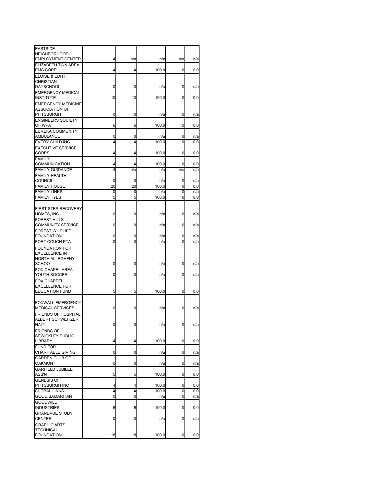| <b>EASTSIDE</b>            |        |        |       |        |     |
|----------------------------|--------|--------|-------|--------|-----|
| <b>NEIGHBORHOOD</b>        |        |        |       |        |     |
| <b>EMPLOYMENT CENTER</b>   | 4      | n/a    | n/a   | n/a    | n/a |
| <b>ELIZABETH TWN AREA</b>  |        |        |       |        |     |
| <b>EMS CORP</b>            | 4      | 4      | 100.0 | 0      | 0.0 |
| <b>ELOISE &amp; EDITH</b>  |        |        |       |        |     |
| <b>CHRISTIAN</b>           |        |        |       |        |     |
| <b>DAYSCHOOL</b>           | 0      | 0      | n/a   | 0      | n/a |
| <b>EMERGENCY MEDICAL</b>   |        |        |       |        |     |
| <b>INSTITUTE</b>           | 10     | 10     | 100.0 | 0      | 0.0 |
| <b>EMERGENCY MEDICINE</b>  |        |        |       |        |     |
| <b>ASSOCIATION OF</b>      |        |        |       |        |     |
| PITTSBURGH                 | 0      | 0      | n/a   | 0      | n/a |
| <b>ENGINEERS SOCIETY</b>   |        |        |       |        |     |
| OF WPA                     | 6      | 6      | 100.0 | 0      | 0.0 |
| <b>EUREKA COMMUNITY</b>    |        |        |       |        |     |
| AMBULANCE                  | 0      | 0      | n/a   | 0      | n/a |
| EVERY CHILD INC            | 4      | 4      | 100.0 | 0      | 0.0 |
| <b>EXECUTIVE SERVICE</b>   |        |        |       |        |     |
| <b>CORPS</b>               | 4      | 4      | 100.0 | 0      | 0.0 |
| <b>FAMILY</b>              |        |        |       |        |     |
| <b>COMMUNICATION</b>       | 4      | 4      | 100.0 | 0      | 0.0 |
| <b>FAMILY GUIDANCE</b>     | 4      | n/a    | n/a   | n/a    | n/a |
| <b>FAMILY HEALTH</b>       |        |        |       |        |     |
| <b>COUNCIL</b>             | 0      | 0      | n/a   | 0      | n/a |
| <b>FAMILY HOUSE</b>        | 20     | 20     | 100.0 | 0      | 0.0 |
| <b>FAMILY LINKS</b>        | 0      | 0      | n/a   | 0      | n/a |
| <b>FAMILY TYES</b>         | 5      | 5      | 100.0 | 0      | 0.0 |
|                            |        |        |       |        |     |
| <b>FIRST STEP RECOVERY</b> |        |        |       |        |     |
| HOMES, INC                 | 0      | 0      | n/a   | 0      | n/a |
| <b>FOREST HILLS</b>        |        |        |       |        |     |
| <b>COMMUNITY SERVICE</b>   | 0      | 0      | n/a   | 0      | n/a |
| <b>FOREST WILDLIFE</b>     |        |        |       |        |     |
| <b>FOUNDATION</b>          |        |        |       |        |     |
|                            | 0<br>0 | 0<br>0 | n/a   | 0<br>0 | n/a |
| FORT COUCH PTA             |        |        | n/a   |        | n/a |
| <b>FOUNDATION FOR</b>      |        |        |       |        |     |
| <b>EXCELLENCE IN</b>       |        |        |       |        |     |
| NORTH ALLEGHENY            |        |        |       |        |     |
| <b>SCHOO</b>               | 0      | 0      | n/a   | 0      | n/a |
| FOX CHAPEL AREA            |        |        |       |        |     |
| YOUTH SOCCER               | 0      | 0      | n/a   | 0      | n/a |
| <b>FOX CHAPPEL</b>         |        |        |       |        |     |
| <b>EXCELLENCE FOR</b>      |        |        |       |        |     |
| <b>EDUCATION FUND</b>      | 5      | 5      | 100.0 | 0      | 0.0 |
|                            |        |        |       |        |     |
| <b>FOXWALL EMERGENCY</b>   |        |        |       |        |     |
| <b>MEDICAL SERVICES</b>    | 0      | 0      | n/a   | 0      | n/a |
| FRIENDS OF HOSPITAL        |        |        |       |        |     |
| ALBERT SCHWEITZER          |        |        |       |        |     |
| HAITI                      | 0      | 0      | n/a   | 0      | n/a |
| <b>FRIENDS OF</b>          |        |        |       |        |     |
| SEWICKLEY PUBLIC           |        |        |       |        |     |
| LIBRARY                    | 4      | 4      | 100.0 | 0      | 0.0 |
| <b>FUND FOR</b>            |        |        |       |        |     |
| <b>CHARITABLE GIVING</b>   | 0      | 0      | n/a   | 0      | n/a |
| <b>GARDEN CLUB OF</b>      |        |        |       |        |     |
| <b>OAKMONT</b>             | 0      | 0      | n/a   | 0      | n/a |
| <b>GARFIELD JUBILEE</b>    |        |        |       |        |     |
| ASS'N                      | 5      | 5      | 100.0 | 0      | 0.0 |
| <b>GENESIS OF</b>          |        |        |       |        |     |
| PITTSBURGH INC             | 4      | 4      | 100.0 | 0      | 0.0 |
| <b>GLOBAL LINKS</b>        | 4      | 4      | 100.0 | 0      | 0.0 |
| <b>GOOD SAMARITAN</b>      | 0      | 0      | n/a   | 0      | n/a |
| <b>GOODWILL</b>            |        |        |       |        |     |
| <b>INDUSTRIES</b>          | 6      | 6      | 100.0 | 0      | 0.0 |
| <b>GRANDVUE STUDY</b>      |        |        |       |        |     |
| <b>CENTER</b>              | 0      | 0      | n/a   | 0      | n/a |
| <b>GRAPHIC ARTS</b>        |        |        |       |        |     |
| <b>TECHNICAL</b>           |        |        |       |        |     |
| <b>FOUNDATION</b>          | 18     | 18     | 100.0 | 0      | 0.0 |
|                            |        |        |       |        |     |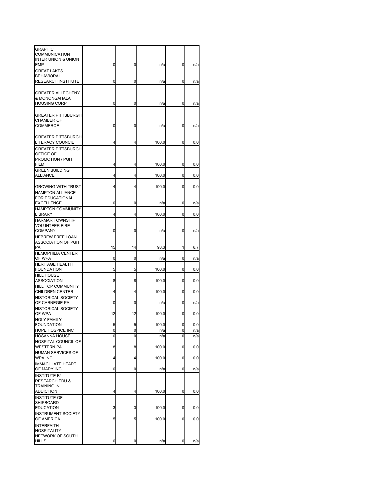| GRAPHIC<br>COMMUNICATION<br><b>INTER UNION &amp; UNION</b>                                 |        |        |             |        |            |
|--------------------------------------------------------------------------------------------|--------|--------|-------------|--------|------------|
| EMP<br><b>GREAT LAKES</b>                                                                  | 0      | 0      | n/a         | 0      | n/a        |
| <b>BEHAVIORAL</b><br>RESEARCH INSTITUTE                                                    | 0      | 0      | n/a         | 0      | n/a        |
| <b>GREATER ALLEGHENY</b><br>& MONONGAHALA<br><b>HOUSING CORP</b>                           | 0      | 0      | n/a         | 0      | n/a        |
| <b>GREATER PITTSBURGH</b><br><b>CHAMBER OF</b><br>COMMERCE                                 | 0      | 0      | n/a         | 0      | n/a        |
| <b>GREATER PITTSBURGH</b><br>LITERACY COUNCIL                                              | 4      | 4      | 100.0       | 0      | 0.0        |
| <b>GREATER PITTSBURGH</b><br>OFFICE OF<br>PROMOTION / PGH<br>FILM                          | 4      | 4      | 100.0       | 0      | 0.0        |
| <b>GREEN BUILDING</b><br><b>ALLIANCE</b>                                                   | 4      | 4      | 100.0       | 0      | 0.0        |
| <b>GROWING WITH TRUST</b>                                                                  | 4      | 4      | 100.0       | 0      | 0.0        |
| <b>HAMPTON ALLIANCE</b><br><b>FOR EDUCATIONAL</b><br><b>EXCELLENCE</b>                     | 0      | 0      | n/a         | 0      | n/a        |
| <b>HAMPTON COMMUNITY</b><br>LIBRARY                                                        | 4      | 4      | 100.0       | 0      | 0.0        |
| <b>HARMAR TOWNSHIP</b><br><b>VOLUNTEER FIRE</b><br><b>COMPANY</b>                          | 0      | 0      |             | 0      |            |
| <b>HEBREW FREE LOAN</b><br>ASSOCIATION OF PGH<br>PA                                        | 15     | 14     | n/a<br>93.3 | 1      | n/a<br>6.7 |
| <b>HEMOPHILIA CENTER</b><br>OF WPA                                                         | 0      | 0      | n/a         | 0      | n/a        |
| <b>HERITAGE HEALTH</b><br><b>FOUNDATION</b>                                                | 5      | 5      | 100.0       | 0      | 0.0        |
| <b>HILL HOUSE</b><br>ASSOCIATION                                                           | 8      | 8      | 100.0       | 0      | 0.0        |
| HILL TOP COMMUNITY<br><b>CHILDREN CENTER</b>                                               | 4      | 4      | 100.0       | 0      | 0.0        |
| <b>HISTORICAL SOCIETY</b><br>OF CARNEGIE PA                                                | 0      | 0      | n/a         | 0      | n/a        |
| <b>HISTORICAL SOCIETY</b><br>OF WPA                                                        | 12     | 12     | 100.0       | 0      | 0.0        |
| <b>HOLY FAMILY</b><br><b>FOUNDATION</b>                                                    | 5      | 5      | 100.0       | 0      | 0.0        |
| HOPE HOSPICE INC<br><b>HOSANNA HOUSE</b>                                                   | 0<br>0 | 0<br>0 | n/a<br>n/a  | 0<br>0 | n/a<br>n/a |
| HOSPITAL COUNCIL OF<br><b>WESTERN PA</b>                                                   | 8      | 8      | 100.0       | 0      | 0.0        |
| <b>HUMAN SERVICES OF</b><br>WPA INC                                                        | 4      | 4      | 100.0       | 0      | 0.0        |
| <b>IMMACULATE HEART</b><br>OF MARY INC                                                     | 0      | 0      | n/a         | 0      | n/a        |
| <b>INSTITUTE F/</b><br><b>RESEARCH EDU &amp;</b><br><b>TRAINING IN</b><br><b>ADDICTION</b> | 4      | 4      | 100.0       | 0      | 0.0        |
| <b>INSTITUTE OF</b><br><b>SHIPBOARD</b><br><b>EDUCATION</b>                                | 3      | 3      | 100.0       | 0      | 0.0        |
| <b>INSTRUMENT SOCIETY</b><br>OF AMERICA                                                    | 5      | 5      | 100.0       | 0      | 0.0        |
| <b>INTERFAITH</b><br><b>HOSPITALITY</b><br>NETWORK OF SOUTH<br><b>HILLS</b>                | 0      | 0      | n/a         | 0      | n/a        |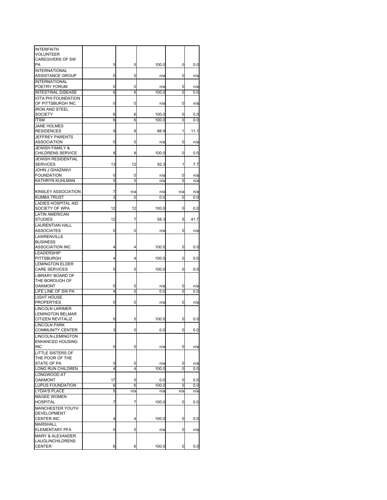| <b>INTERFAITH</b><br><b>VOLUNTEER</b>                  |        |        |              |        |            |
|--------------------------------------------------------|--------|--------|--------------|--------|------------|
| <b>CAREGIVERS OF SW</b>                                |        |        |              |        |            |
| PA<br><b>INTERNATIONAL</b>                             | 5      | 5      | 100.0        | 0      | 0.0        |
| <b>ASSISTANCE GROUP</b>                                | 0      | 0      | n/a          | 0      | n/a        |
| <b>INTERNATIONAL</b><br>POETRY FORUM                   | 0      | 0      |              | 0      |            |
| <b>INTESTINAL DISEASE</b>                              | 6      | 6      | n/a<br>100.0 | 0      | n/a<br>0.0 |
| <b>IOTA PHI FOUNDATION</b>                             |        |        |              |        |            |
| OF PITTSBURGH INC<br><b>IRON AND STEEL</b>             | 0      | 0      | n/a          | 0      | n/a        |
| <b>SOCIETY</b>                                         | 6      | 6      | 100.0        | 0      | 0.0        |
| <b>ITXM</b>                                            | 6      | 6      | 100.0        | 0      | 0.0        |
| <b>JANE HOLMES</b><br><b>RESIDENCES</b>                | 9      | 8      | 88.9         |        |            |
| <b>JEFFREY PARENTS</b>                                 |        |        |              | 1      | 11.1       |
| ASSOCIATION                                            | 0      | 0      | n/a          | 0      | n/a        |
| <b>JEWISH FAMILY &amp;</b>                             |        |        |              |        |            |
| CHILDRENS SERVICE<br><b>JEWISH RESIDENTIAL</b>         | 8      | 8      | 100.0        | 0      | 0.0        |
| <b>SERVICES</b>                                        | 13     | 12     | 92.3         | 1      | 7.7        |
| <b>JOHN J GHAZANVI</b>                                 |        |        |              |        |            |
| <b>FOUNDATION</b><br><b>KATHRYN KUHLMAN</b>            | 0<br>0 | 0<br>0 | n/a<br>n/a   | 0<br>0 | n/a<br>n/a |
|                                                        |        |        |              |        |            |
| KINSLEY ASSOCIATION                                    | 7      | n/a    | n/a          | n/a    | n/a        |
| <b>KUMBA TRUST</b><br>LADIES HOSPITAL AID              | 3      | 0      | 0.0          | 0      | 0.0        |
| SOCIETY OF WPA                                         | 12     | 12     | 100.0        | 0      | 0.0        |
| <b>LATIN AMERICAN</b><br><b>STUDIES</b>                | 12     | 7      | 58.3         | 5      | 41.7       |
| <b>LAURENTIAN HALL</b>                                 |        |        |              |        |            |
| <b>ASSOCIATES</b>                                      | 0      | 0      | n/a          | 0      | n/a        |
| LAWRENVILLE<br><b>BUSINESS</b>                         |        |        |              |        |            |
| <b>ASSOCIATION INC</b>                                 | 4      | 4      | 100.0        | 0      | 0.0        |
| LEADERSHIP                                             |        |        |              |        |            |
| PITTSBURGH<br><b>LEMINGTON ELDER</b>                   | 4      | 4      | 100.0        | 0      | 0.0        |
| <b>CARE SERVICES</b>                                   | 5      | 5      | 100.0        | 0      | 0.0        |
| <b>LIBRARY BOARD OF</b>                                |        |        |              |        |            |
| THE BOROUGH OF<br><b>OAKMONT</b>                       | 0      | 0      | n/a          | 0      | n/a        |
| LIFE LINE OF SW PA                                     | 4      | 0      | 0.0          | 0      | 0.0        |
| <b>LIGHT HOUSE</b>                                     |        |        |              |        |            |
| <b>PROPERTIES</b><br><b>LINCOLN LARIMER</b>            | 0      | 0      | n/a          | 0      | n/a        |
| <b>LEMINGTON BELMAR</b>                                |        |        |              |        |            |
| <b>CITIZEN REVITALIZ</b>                               | 5      | 5      | 100.0        | 0      | 0.0        |
| <b>LINCOLN PARK</b><br><b>COMMUNITY CENTER</b>         | 3      | 0      | 0.0          | 0      | 0.0        |
| LINCOLN-LEMINGTON                                      |        |        |              |        |            |
| <b>ENHANCED HOUSING</b>                                |        |        |              |        |            |
| <b>INC</b><br><b>LITTLE SISTERS OF</b>                 | 0      | 0      | n/a          | 0      | n/a        |
| THE POOR OF THE                                        |        |        |              |        |            |
| STATE OF PA                                            | 0      | 0      | n/a          | 0      | n/a        |
| LONG RUN CHILDREN<br>LONGWOOD AT                       | 4      | 4      | 100.0        | 0      | 0.0        |
| <b>OAKMONT</b>                                         | 17     | 0      | 0.0          | 0      | 0.0        |
| <b>LUPUS FOUNDATION</b>                                | 6      | 6      | 100.0        | 0      | 0.0        |
| LYDIA'S PLACE<br><b>MAGEE WOMEN</b>                    | 5      | n/a    | n/a          | n/a    | n/a        |
| <b>HOSPITAL</b>                                        | 7      | 7      | 100.0        | 0      | 0.0        |
| <b>MANCHESTER YOUTH</b>                                |        |        |              |        |            |
| DEVELOPMENT<br><b>CENTER INC</b>                       | 4      | 4      | 100.0        | 0      | 0.0        |
| <b>MARSHALL</b>                                        |        |        |              |        |            |
| <b>ELEMENTARY PFA</b>                                  | 0      | 0      | n/a          | 0      | n/a        |
| <b>MARY &amp; ALEXANDER</b><br><b>LAUGLINCHILDRENS</b> |        |        |              |        |            |
| <b>CENTER</b>                                          | 6      | 6      | 100.0        | 0      | 0.0        |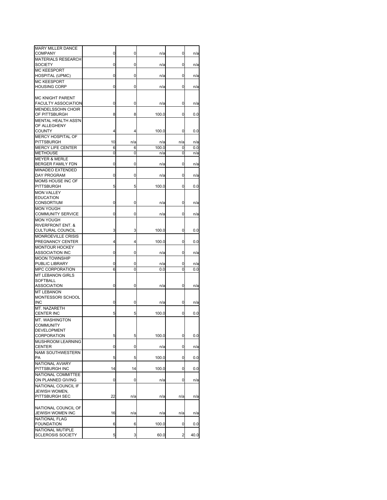| MARY MILLER DANCE<br><b>COMPANY</b>              | 0  | 0   | n/a   | 0              | n/a  |
|--------------------------------------------------|----|-----|-------|----------------|------|
| <b>MATERIALS RESEARCH</b><br><b>SOCIETY</b>      | 0  | 0   | n/a   | 0              | n/a  |
| <b>MC KEESPORT</b>                               |    |     |       |                |      |
| HOSPITAL (UPMC)                                  | 0  | 0   | n/a   | 0              | n/a  |
| <b>MC KEESPORT</b>                               |    |     |       |                |      |
| <b>HOUSING CORP</b>                              | 0  | 0   | n/a   | 0              | n/a  |
| <b>MC KNIGHT PARENT</b>                          |    |     |       |                |      |
| <b>FACULTY ASSOCIATION</b>                       | 0  | 0   | n/a   | 0              | n/a  |
| <b>MENDELSSOHN CHOIR</b><br>OF PITTSBURGH        | 8  | 8   | 100.0 | 0              | 0.0  |
| <b>MENTAL HEALTH ASS'N</b>                       |    |     |       |                |      |
| OF ALLEGHENY                                     |    |     |       |                |      |
| <b>COUNTY</b>                                    | 4  | 4   | 100.0 | 0              | 0.0  |
| MERCY HOSPITAL OF                                |    |     |       |                |      |
| PITTSBURGH                                       | 10 | n/a | n/a   | n/a            | n/a  |
| <b>MERCY LIFE CENTER</b>                         | 6  | 6   | 100.0 | 0              | 0.0  |
| <b>METHOUSE</b><br><b>MEYER &amp; MERLE</b>      | 0  | 0   | n/a   | 0              | n/a  |
| BERGER FAMILY FDN                                | 0  | 0   | n/a   | 0              | n/a  |
| MINADEO EXTENDED                                 |    |     |       |                |      |
| DAY PROGRAM                                      | 0  | 0   | n/a   | 0              | n/a  |
| MOMS HOUSE INC OF                                |    |     |       |                |      |
| PITTSBURGH                                       | 5  | 5   | 100.0 | 0              | 0.0  |
| <b>MON VALLEY</b>                                |    |     |       |                |      |
| <b>EDUCATION</b>                                 |    |     |       |                |      |
| <b>CONSORTIUM</b>                                | 0  | 0   | n/a   | 0              | n/a  |
| <b>MON YOUGH</b>                                 |    |     |       |                |      |
| <b>COMMUNITY SERVICE</b>                         | 0  | 0   | n/a   | 0              | n/a  |
| <b>MON YOUGH</b><br><b>RIVERFRONT ENT. &amp;</b> |    |     |       |                |      |
| <b>CULTURAL COUNCIL</b>                          | 3  | 3   | 100.0 | 0              | 0.0  |
| <b>MONROEVILLE CRISIS</b>                        |    |     |       |                |      |
| PREGNANCY CENTER                                 | 4  | 4   | 100.0 | 0              | 0.0  |
| <b>MONTOUR HOCKEY</b>                            |    |     |       |                |      |
| <b>ASSOCIATION INC</b>                           | 0  | 0   | n/a   | 0              | n/a  |
| <b>MOON TOWNSHIP</b>                             |    |     |       |                |      |
| PUBLIC LIBRARY                                   | 0  | 0   | n/a   | 0              | n/a  |
| MPC CORPORATION                                  | 6  | 0   | 0.0   | 0              | 0.0  |
| <b>MT LEBANON GIRLS</b>                          |    |     |       |                |      |
| SOFTBALL                                         |    |     |       |                |      |
| ASSOCIATION                                      | 0  | 0   | n/a   | 0              | n/a  |
| <b>MT LEBANON</b><br>MONTESSORI SCHOOL           |    |     |       |                |      |
| <b>INC</b>                                       | 0  | 0   | n/a   | 0              | n/a  |
| MT. NAZARETH                                     |    |     |       |                |      |
| <b>CENTER INC</b>                                | 5  | 5   | 100.0 | 0              | 0.0  |
| MT. WASHINGTON                                   |    |     |       |                |      |
| COMMUNITY                                        |    |     |       |                |      |
| DEVELOPMENT                                      |    |     |       |                |      |
| CORPORATION                                      | 5  | 5   | 100.0 | 0              | 0.0  |
| MUSHROOM LEARNING                                |    |     |       |                |      |
| <b>CENTER</b>                                    | 0  | 0   | n/a   | 0              | n/a  |
| <b>NAMI SOUTHWESTERN</b><br>PA                   | 5  | 5   | 100.0 | 0              | 0.0  |
| NATIONAL AVIARY                                  |    |     |       |                |      |
| PITTSBURGH INC                                   | 14 | 14  | 100.0 | 0              | 0.0  |
| NATIONAL COMMITTEE                               |    |     |       |                |      |
| ON PLANNED GIVING                                | 0  | 0   | n/a   | 0              | n/a  |
| NATIONAL COUNCIL IF                              |    |     |       |                |      |
| JEWISH WOMEN.                                    |    |     |       |                |      |
| PITTSBURGH SEC                                   | 22 | n/a | n/a   | n/a            | n/a  |
|                                                  |    |     |       |                |      |
| NATIONAL COUNCIL OF                              |    |     |       |                |      |
| JEWISH WOMEN INC                                 | 16 | n/a | n/a   | n/a            | n/a  |
| <b>NATIONAL FLAG</b><br><b>FOUNDATION</b>        | 6  | 6   | 100.0 | 0              | 0.0  |
| NATIONAL MUTIPLE                                 |    |     |       |                |      |
| <b>SCLEROSIS SOCIETY</b>                         | 5  | 3   | 60.0  | $\overline{2}$ | 40.0 |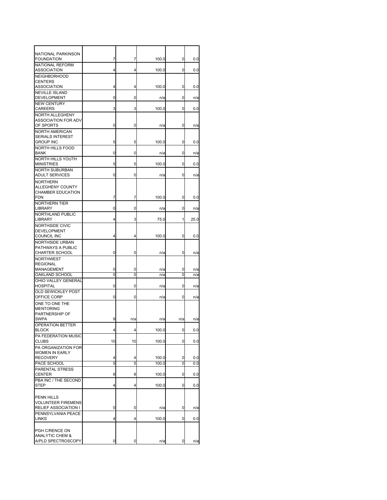| NATIONAL PARKINSON<br><b>FOUNDATION</b>                              | 7      | 7      | 100.0 | 0      | 0.0  |
|----------------------------------------------------------------------|--------|--------|-------|--------|------|
| NATIONAL REFORM<br><b>ASSOCIATION</b>                                | 4      | 4      | 100.0 | 0      | 0.0  |
| <b>NEIGHBORHOOD</b><br>CENTERS                                       |        |        |       |        |      |
| ASSOCIATION<br><b>NEVILLE ISLAND</b>                                 | 4      | 4      | 100.0 | 0      | 0.0  |
| <b>DEVELOPMENT</b><br><b>NEW CENTURY</b>                             | 0      | 0      | n/a   | 0      | n/a  |
| CAREERS                                                              | 3      | 3      | 100.0 | 0      | 0.0  |
| <b>NORTH ALLEGHENY</b><br>ASSOCIATION FOR ADV<br>OF SPORTS           | 0      | 0      | n/a   | 0      | n/a  |
| <b>NORTH AMERICAN</b><br><b>SERIALS INTEREST</b><br><b>GROUP INC</b> | 5      | 5      | 100.0 | 0      | 0.0  |
| NORTH HILLS FOOD<br><b>BANK</b>                                      | 0      | 0      | n/a   | 0      | n/a  |
| NORTH HILLS YOUTH<br><b>MINISTRIES</b>                               | 5      | 5      | 100.0 | 0      | 0.0  |
| <b>NORTH SUBURBAN</b><br><b>ADULT SERVICES</b>                       | 0      | 0      | n/a   | 0      | n/a  |
| <b>NORTHERN</b><br><b>ALLEGHENY COUNTY</b><br>CHAMBER EDUCATION      |        |        |       |        |      |
| <b>FDN</b><br><b>NORTHERN TIER</b>                                   | 7      | 7      | 100.0 | 0      | 0.0  |
| LIBRARY<br><b>NORTHLAND PUBLIC</b>                                   | 0      | 0      | n/a   | 0      | n/a  |
| LIBRARY<br>NORTHSIDE CIVIC                                           | 4      | 3      | 75.0  | 1      | 25.0 |
| <b>DEVELOPMENT</b><br>COUNCIL INC                                    | 4      | 4      | 100.0 | 0      | 0.0  |
| NORTHSIDE URBAN<br>PATHWAYS A PUBLIC<br><b>CHARTER SCHOOL</b>        | 0      | 0      | n/a   | 0      | n/a  |
| <b>NORTHWEST</b><br><b>REGIONAL</b><br>MANAGEMENT                    | 0<br>0 | 0<br>0 | n/a   | 0<br>0 | n/a  |
| OAKLAND SCHOOL<br>OHIO VALLEY GENERAL                                |        |        | n/a   |        | n/a  |
| <b>HOSPITAL</b><br>OLD SEWICKLEY POST                                | 0      | 0      | n/a   | 0      | n/a  |
| OFFICE CORP                                                          | 0      | 0      | n/a   | 0      | n/a  |
| ONE TO ONE THE<br><b>MENTORING</b><br>PARTNERSHIP OF<br><b>SWPA</b>  | 9      | n/a    | n/a   | n/a    | n/a  |
| <b>OPERATION BETTER</b><br><b>BLOCK</b>                              | 4      | 4      | 100.0 | 0      | 0.0  |
| PA FEDERATION MUSIC                                                  |        |        |       |        |      |
| <b>CLUBS</b><br>PA ORGANIZATION FOR                                  | 10     | 10     | 100.0 | 0      | 0.0  |
| <b>WOMEN IN EARLY</b><br><b>RECOVERY</b>                             | 4      | 4      | 100.0 | 0      | 0.0  |
| PACE SCHOOL<br>PARENTAL STRESS                                       | 5      | 5      | 100.0 | 0      | 0.0  |
| CENTER                                                               | 8      | 8      | 100.0 | 0      | 0.0  |
| PBA INC / THE SECOND<br><b>STEP</b>                                  | 4      | 4      | 100.0 | 0      | 0.0  |
| PENN HILLS<br><b>VOLUNTEER FIREMENS</b>                              |        |        |       |        |      |
| <b>RELIEF ASSOCIATION I</b><br>PENNSYLVANIA PEACE                    | 0      | 0      | n/a   | 0      | n/a  |
| <b>LINKS</b>                                                         | 4      | 4      | 100.0 | 0      | 0.0  |
| PGH C/RENCE ON<br><b>ANALYTIC CHEM &amp;</b><br>A/PLD SPECTROSCOPY   | 0      | 0      | n/a   | 0      | n/a  |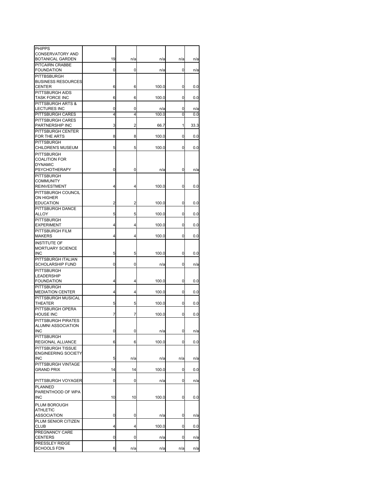| <b>PHIPPS</b>                           |    |     |       |     |      |
|-----------------------------------------|----|-----|-------|-----|------|
| <b>CONSERVATORY AND</b>                 |    |     |       |     |      |
| BOTANICAL GARDEN<br>PITCAIRN CRABBE     | 19 | n/a | n/a   | n/a | n/a  |
| <b>FOUNDATION</b>                       | 0  | 0   | n/a   | 0   | n/a  |
| PITTBSBURGH                             |    |     |       |     |      |
| <b>BUSINESS RESOURCES</b>               |    |     |       |     |      |
| CENTER                                  | 6  | 6   | 100.0 | 0   | 0.0  |
| PITTSBURGH AIDS                         |    |     |       |     |      |
| <b>TASK FORCE INC</b>                   | 6  | 6   | 100.0 | 0   | 0.0  |
| PITTSBURGH ARTS &                       |    |     |       |     |      |
| <b>LECTURES INC</b>                     | 0  | 0   | n/a   | 0   | n/a  |
| PITTSBURGH CARES                        | 4  | 4   | 100.0 | 0   | 0.0  |
| PITTSBURGH CARES<br>PARTNERSHIP INC     | 3  | 2   | 66.7  | 1   | 33.3 |
| PITTSBURGH CENTER                       |    |     |       |     |      |
| FOR THE ARTS                            | 8  | 8   | 100.0 | 0   | 0.0  |
| <b>PITTSBURGH</b>                       |    |     |       |     |      |
| CHILDREN'S MUSEUM                       | 5  | 5   | 100.0 | 0   | 0.0  |
| <b>PITTSBURGH</b>                       |    |     |       |     |      |
| <b>COALITION FOR</b>                    |    |     |       |     |      |
| <b>DYNAMIC</b>                          |    |     |       |     |      |
| <b>PSYCHOTHERAPY</b>                    | 0  | 0   | n/a   | 0   | n/a  |
| <b>PITTSBURGH</b><br><b>COMMUNITY</b>   |    |     |       |     |      |
| <b>REINVESTMENT</b>                     | 4  | 4   | 100.0 | 0   | 0.0  |
| PITTSBURGH COUNCIL                      |    |     |       |     |      |
| <b>ON HIGHER</b>                        |    |     |       |     |      |
| <b>EDUCATION</b>                        | 2  | 2   | 100.0 | 0   | 0.0  |
| PITTSBURGH DANCE                        |    |     |       |     |      |
| ALLOY                                   | 5  | 5   | 100.0 | 0   | 0.0  |
| <b>PITTSBURGH</b>                       |    |     |       |     |      |
| <b>EXPERIMENT</b>                       | 4  | 4   | 100.0 | 0   | 0.0  |
| PITTSBURGH FILM                         |    |     |       |     |      |
| <b>MAKERS</b>                           | 4  | 4   | 100.0 | 0   | 0.0  |
| <b>INSTITUTE OF</b>                     |    |     |       |     |      |
| MORTUARY SCIENCE<br><b>INC</b>          | 5  | 5   | 100.0 | 0   | 0.0  |
| PITTSBURGH ITALIAN                      |    |     |       |     |      |
| <b>SCHOLARSHIP FUND</b>                 | 0  | 0   | n/a   | 0   | n/a  |
| <b>PITTSBURGH</b>                       |    |     |       |     |      |
| LEADERSHIP                              |    |     |       |     |      |
| <b>FOUNDATION</b>                       | 4  | 4   | 100.0 | 0   | 0.0  |
| PITTSBURGH                              |    |     |       |     |      |
| <b>MEDIATION CENTER</b>                 | 4  | 4   | 100.0 | 0   | 0.0  |
| PITTSBURGH MUSICAL                      |    |     |       |     |      |
| THEATER<br>PITTSBURGH OPERA             | 5  | 5   | 100.0 | 0   | 0.0  |
| <b>HOUSE INC</b>                        | 7  | 7   | 100.0 | 0   | 0.0  |
| PITTSBURGH PIRATES                      |    |     |       |     |      |
| ALUMNI ASSOCIATION                      |    |     |       |     |      |
| <b>INC</b>                              | 0  | 0   | n/a   | 0   | n/a  |
| <b>PITTSBURGH</b>                       |    |     |       |     |      |
| REGIONAL ALLIANCE                       | 6  | 6   | 100.0 | 0   | 0.0  |
| PITTSBURGH TISSUE                       |    |     |       |     |      |
| <b>ENGINEERING SOCIETY</b>              |    |     |       |     |      |
| <b>INC</b>                              | 5  | n/a | n/a   | n/a | n/a  |
| PITTSBURGH VINTAGE<br><b>GRAND PRIX</b> | 14 | 14  | 100.0 | 0   | 0.0  |
|                                         |    |     |       |     |      |
| PITTSBURGH VOYAGER                      | 0  | 0   | n/a   | 0   | n/a  |
| PLANNED                                 |    |     |       |     |      |
| PARENTHOOD OF WPA                       |    |     |       |     |      |
| <b>INC</b>                              | 10 | 10  | 100.0 | 0   | 0.0  |
| PLUM BOROUGH                            |    |     |       |     |      |
| <b>ATHLETIC</b>                         |    |     |       |     |      |
| <b>ASSOCIATION</b>                      | 0  | 0   | n/a   | 0   | n/a  |
| PLUM SENIOR CITIZEN                     |    |     |       |     |      |
| <b>CLUB</b>                             | 4  | 4   | 100.0 | 0   | 0.0  |
| PREGNANCY CARE                          |    |     |       |     |      |
| CENTERS<br>PRESSLEY RIDGE               | 0  | 0   | n/a   | 0   | n/a  |
| <b>SCHOOLS FDN</b>                      | 6  | n/a | n/a   | n/a | n/a  |
|                                         |    |     |       |     |      |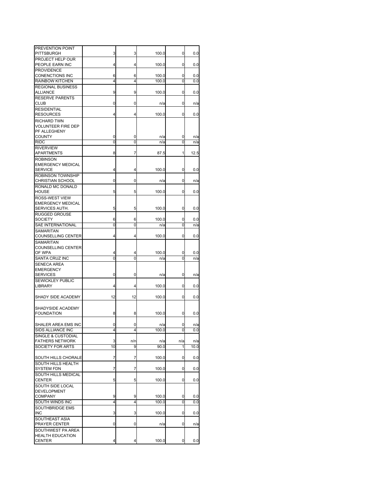| PREVENTION POINT<br>PITTSBURGH                                      | 3      | 3      | 100.0          | 0      | 0.0        |
|---------------------------------------------------------------------|--------|--------|----------------|--------|------------|
| PROJECT HELP OUR                                                    |        |        |                |        |            |
| PEOPLE EARN INC                                                     | 4      | 4      | 100.0          | 0      | 0.0        |
| <b>PROVIDENCE</b>                                                   |        |        |                |        |            |
| <b>CONENCTIONS INC</b>                                              | 6      | 6      | 100.0          | 0      | 0.0        |
| RAINBOW KITCHEN                                                     | 4      | 4      | 100.0          | 0      | 0.0        |
| <b>REGIONAL BUSINESS</b><br>ALLIANCE                                | 9      | 9      | 100.0          | 0      | 0.0        |
| <b>RESERVE PARENTS</b><br>CLUB                                      | 0      | 0      | n/a            | 0      | n/a        |
| <b>RESIDENTIAL</b>                                                  |        |        |                |        |            |
| <b>RESOURCES</b>                                                    | 4      | 4      | 100.0          | 0      | 0.0        |
| RICHARD TWN<br><b>VOLUNTEER FIRE DEP</b><br>PF ALLEGHENY            |        |        |                |        |            |
| <b>COUNTY</b><br><b>RIDC</b>                                        | 0<br>0 | 0<br>0 | n/a<br>n/a     | 0<br>0 | n/a<br>n/a |
| <b>RIVERVIEW</b>                                                    |        |        |                |        |            |
| APARTMENTS                                                          | 8      | 7      | 87.5           | 1      | 12.5       |
| <b>ROBINSON</b><br><b>EMERGENCY MEDICAL</b><br><b>SERVICE</b>       | 4      | 4      | 100.0          | 0      | 0.0        |
| <b>ROBINSON TOWNSHIP</b>                                            |        |        |                |        |            |
| <b>CHRISTIAN SCHOOL</b>                                             | 0      | 0      | n/a            | 0      | n/a        |
| RONALD MC DONALD<br><b>HOUSE</b>                                    | 5      | 5      | 100.0          | 0      | 0.0        |
| <b>ROSS-WEST VIEW</b><br><b>EMERGENCY MEDICAL</b><br>SERVICES AUTH. | 5      | 5      | 100.0          | 0      | 0.0        |
| <b>RUGGED GROUSE</b>                                                |        |        |                |        |            |
| <b>SOCIETY</b>                                                      | 6      | 6      | 100.0          | 0      | 0.0        |
| SAE INTERNATIONAL                                                   | 0      | 0      | n/a            | 0      | n/a        |
| SAMARITAN<br><b>COUNSELLING CENTER</b>                              | 4      | 4      | 100.0          | 0      | 0.0        |
| <b>SAMARITAN</b><br>COUNSELLING CENTER<br>OF WPA                    | 4      | 4      | 100.0          | 0      | 0.0        |
| SANTA CRUZ INC                                                      | 0      | 0      | n/a            | 0      | n/a        |
| <b>SENECA AREA</b><br><b>EMERGENCY</b><br><b>SERVICES</b>           | 0      | 0      | n/a            | 0      | n/a        |
| <b>SEWICKLEY PUBLIC</b>                                             |        |        |                |        |            |
| <b>LIBRARY</b>                                                      | 4      | 4      | 100.0          | 0      | 0.0        |
| SHADY SIDE ACADEMY                                                  | 12     | 12     | 100.0          | 0      | 0.0        |
| SHADYSIDE ACADEMY<br><b>FOUNDATION</b>                              | 8      | 8      | 100.0          | 0      | 0.0        |
| SHALER AREA EMS INC                                                 | 0      | 0      | n/a            | 0      | n/a        |
| SIDS ALLIANCE INC                                                   | 4      | 4      | 100.0          | 0      | 0.0        |
| SINGLE & CUSTODIAL                                                  |        |        |                |        |            |
| <b>FATHERS NETWORK</b>                                              | 3      | n/n    | n/a            | n/a    | n/a        |
| SOCIETY FOR ARTS                                                    | 10     | 9      | 90.0           | 1      | 10.0       |
| <b>SOUTH HILLS CHORALE</b>                                          | 7      | 7      | 100.0          | 0      | 0.0        |
| SOUTH HILLS HEALTH<br><b>SYSTEM FDN</b>                             | 7      | 7      | 100.0          | 0      | 0.0        |
| SOUTH HILLS MEDICAL<br><b>CENTER</b>                                | 5      | 5      | 100.0          | 0      | 0.0        |
| SOUTH SIDE LOCAL                                                    |        |        |                |        |            |
| <b>DEVELOPMENT</b>                                                  |        |        |                |        |            |
| <b>COMPANY</b><br>SOUTH WINDS INC                                   | 9<br>4 | 9<br>4 | 100.0<br>100.0 | 0<br>0 | 0.0<br>0.0 |
| SOUTHBRIDGE EMS                                                     |        |        |                |        |            |
| <b>INC</b>                                                          | 3      | 3      | 100.0          | 0      | 0.0        |
| SOUTHEAST ASIA<br>PRAYER CENTER                                     | 0      | 0      | n/a            | 0      | n/a        |
| SOUTHWEST PA AREA                                                   |        |        |                |        |            |
| <b>HEALTH EDUCATION</b>                                             |        |        |                |        |            |
| <b>CENTER</b>                                                       | 4      | 4      | 100.0          | 0      | 0.0        |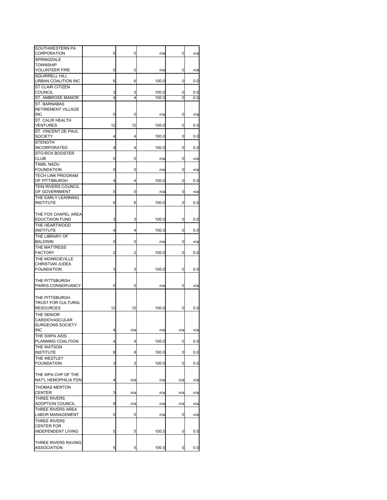| SOUTHWESTERN PA<br>CORPORATION                | 0  | 0   | n/a   | 0   | n/a |
|-----------------------------------------------|----|-----|-------|-----|-----|
| SPRINGDALE                                    |    |     |       |     |     |
| TOWNSHIP<br>VOLUNTEER FIRE                    | 0  | 0   | n/a   | 0   | n/a |
| <b>SQUIRRELL HILL</b>                         |    |     |       |     |     |
| URBAN COALITION INC                           | 6  | 6   | 100.0 | 0   | 0.0 |
| <b>ST CLAIR CITIZEN</b><br>COUNCIL            | 3  | 3   | 100.0 | 0   | 0.0 |
| ST. AMBROSE MANOR                             | 4  | 4   | 100.0 | 0   | 0.0 |
| <b>ST. BARNABAS</b>                           |    |     |       |     |     |
| RETIREMENT VILLAGE<br><b>INC</b>              | 0  | 0   | n/a   | 0   | n/a |
| ST. CALIR HEALTH                              |    |     |       |     |     |
| <b>VENTURES</b><br>ST. VINCENT DE PAUL        | 12 | 12  | 100.0 | 0   | 0.0 |
| SOCIETY                                       | 4  | 4   | 100.0 | 0   | 0.0 |
| <b>STENGTH</b>                                |    |     |       |     |     |
| <b>INCORPORATED</b><br>STO-ROX BOOSTER        | 4  | 4   | 100.0 | 0   | 0.0 |
| <b>CLUB</b>                                   | 0  | 0   | n/a   | 0   | n/a |
| <b>TAMIL NADU</b>                             |    |     |       |     |     |
| <b>FOUNDATION</b><br><b>TECH LINK PROGRAM</b> | 0  | 0   | n/a   | 0   | n/a |
| OF PITTSBURGH                                 | 4  | 4   | 100.0 | 0   | 0.0 |
| <b>TEIN RIVERS COUNCIL</b><br>OF GOVERNMENT   | 0  | 0   | n/a   | 0   | n/a |
| THE EARLY LEARNING                            |    |     |       |     |     |
| <b>INSTITUTE</b>                              | 6  | 6   | 100.0 | 0   | 0.0 |
| THE FOX CHAPEL AREA                           |    |     |       |     |     |
| <b>EDUCTAION FUND</b>                         | 3  | 3   | 100.0 | 0   | 0.0 |
| THE HEARTWOOD<br><b>INSTITUTE</b>             | 4  | 4   | 100.0 | 0   | 0.0 |
| THE LIBRARY OF                                |    |     |       |     |     |
| <b>BALDWIN</b>                                | 0  | 0   | n/a   | 0   | n/a |
| THE MATTRESS<br><b>FACTORY</b>                | 2  | 2   | 100.0 | 0   | 0.0 |
| THE MONROEVILLE                               |    |     |       |     |     |
| CHRISTIAN JUDEA                               |    |     |       |     |     |
| <b>FOUNDATION</b>                             | 3  | 3   | 100.0 | 0   | 0.0 |
| THE PITTSBURGH                                |    |     |       |     |     |
| PARKS CONSERVANCY                             | 0  | 0   | n/a   | 0   | n/a |
| THE PITTSBURGH                                |    |     |       |     |     |
| TRUST FOR CULTURAL                            |    |     |       |     |     |
| <b>RESOURCES</b>                              | 12 | 12  | 100.0 | 0   | 0.0 |
| THE SENIOR<br>CARDIOVASCULAR                  |    |     |       |     |     |
| <b>SURGEONS SOCIETY</b>                       |    |     |       |     |     |
| <b>INC</b><br>THE SWPA AIDS                   | 4  | n/a | n/a   | n/a | n/a |
| PLANNING COALITION                            | 4  | 4   | 100.0 | 0   | 0.0 |
| THE WATSON<br><b>INSTITUTE</b>                | 8  | 8   | 100.0 | 0   | 0.0 |
| THE WESTLEY                                   |    |     |       |     |     |
| <b>FOUNDATION</b>                             | 3  | 3   | 100.0 | 0   | 0.0 |
| THE WPA CHP OF THE                            |    |     |       |     |     |
| NAT'L HEMOPHILIA FDN                          | 4  | n/a | n/a   | n/a | n/a |
| <b>THOMAS MERTON</b>                          |    |     |       |     |     |
| <b>CENTER</b><br><b>THREE RIVERS</b>          | 3  | n/a | n/a   | n/a | n/a |
| <b>ADOPTION COUNCIL</b>                       | 9  | n/a | n/a   | n/a | n/a |
| THREE RIVERS AREA                             |    |     |       |     |     |
| LABOR MANAGEMENT<br>THREE RIVERS              | 0  | 0   | n/a   | 0   | n/a |
| <b>CENTER FOR</b>                             |    |     |       |     |     |
| INDEPENDENT LIVING                            | 5  | 5   | 100.0 | 0   | 0.0 |
| THREE RIVERS RAVING                           |    |     |       |     |     |
| <b>ASSOCIATION</b>                            | 5  | 5   | 100.0 | 0   | 0.0 |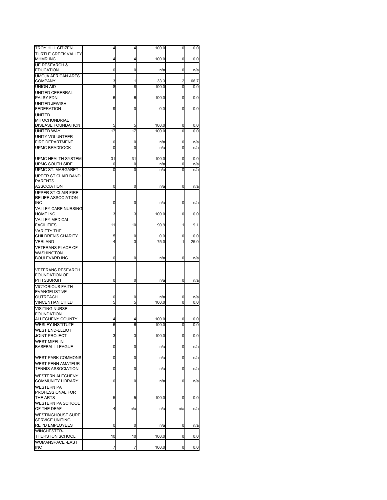| 4<br>100.0<br>0.0<br>4<br>0<br>0<br>0<br>n/a<br>0<br>n/a<br><b>UMOJA AFRICAN ARTS</b><br><b>COMPANY</b><br>3<br>33.3<br>66.7<br>1<br>2<br><b>UNION AID</b><br>8<br>8<br>100.0<br>0<br>0.0<br>UNITED CEREBRAL<br>PALSY FDN<br>6<br>6<br>100.0<br>0<br>0.0<br>UNITED JEWISH<br>9<br><b>FEDERATION</b><br>0.0<br>0<br>0.0<br>0<br><b>UNITED</b><br><b>MITOCHONDRIAL</b><br>DISEASE FOUNDATION<br>5<br>100.0<br>0.0<br>5<br>0<br>17<br>17<br>100.0<br>0<br>0.0<br>0<br>0<br>n/a<br>0<br>n/a<br>0<br>0<br>0<br>n/a<br>n/a<br>31<br>31<br>100.0<br>0<br>0.0<br>0<br>0<br>0<br>n/a<br>n/a<br>0<br>0<br>0<br>n/a<br>n/a<br><b>ASSOCIATION</b><br>0<br>0<br>0<br>n/a<br>n/a<br><b>RELIEF ASSOCIATION</b><br><b>INC</b><br>0<br>0<br>n/a<br>0<br>n/a<br><b>VALLEY CARE NURSING</b><br>HOME INC<br>3<br>100.0<br>3<br>0<br>0.0<br><b>VALLEY MEDICAL</b><br><b>FACILITIES</b><br>11<br>10<br>90.9<br>9.1<br>1<br><b>VARIETY THE</b><br><b>CHILDREN'S CHARITY</b><br>5<br>0.0<br>0.0<br>0<br>0<br>4<br>3<br>VERLAND<br>75.0<br>1<br>25.0<br><b>VETERANS PLACE OF</b><br><b>WASHINGTON</b><br>0<br>0<br>0<br>n/a<br>n/a<br>0<br>0<br>0<br>n/a<br>n/a<br><b>EVANGELISTIVE</b><br>OUTREACH<br>0<br>0<br>n/a<br>0<br>n/a<br>5<br>5<br><b>VINCENTIAN CHILD</b><br>100.0<br>0<br>0.0<br><b>VISITING NURSE</b><br><b>FOUNDATION</b><br><b>ALLEGHENY COUNTY</b><br>100.0<br>0<br>0.0<br><b>WESLEY INSTITUTE</b><br>6<br>6<br>100.0<br>0.0<br>0<br><b>WEST END-ELLIOT</b><br>3<br>3<br>100.0<br>0.0<br><b>JOINT PROJECT</b><br>0<br><b>WEST MIFFLIN</b><br>0<br>0<br>0<br>n/a<br>n/a<br>0<br>0<br>0<br>n/a<br>n/a<br>0<br>0<br>0<br>n/a<br>n/a<br>0<br>0<br>0<br>n/a<br>n/a<br>5<br>5<br>100.0<br>0<br>0.0<br>WESTERN PA SCHOOL<br>4<br>OF THE DEAF<br>n/a<br>n/a<br>n/a<br>n/a<br><b>SERVICE UNITING</b><br><b>RET'D EMPLOYEES</b><br>0<br>0<br>0<br>n/a<br>n/a<br><b>WINCHESTER-</b><br>10<br>10<br>100.0<br>0.0<br>THURSTON SCHOOL<br>0<br>WOMANSPACE -EAST<br>7<br>7<br>100.0<br>0<br>0.0 | <b>TROY HILL CITIZEN</b>  | 4 | 4 | 100.0 | 0 | 0.0 |
|-------------------------------------------------------------------------------------------------------------------------------------------------------------------------------------------------------------------------------------------------------------------------------------------------------------------------------------------------------------------------------------------------------------------------------------------------------------------------------------------------------------------------------------------------------------------------------------------------------------------------------------------------------------------------------------------------------------------------------------------------------------------------------------------------------------------------------------------------------------------------------------------------------------------------------------------------------------------------------------------------------------------------------------------------------------------------------------------------------------------------------------------------------------------------------------------------------------------------------------------------------------------------------------------------------------------------------------------------------------------------------------------------------------------------------------------------------------------------------------------------------------------------------------------------------------------------------------------------------------------------------------------------------------------------------------------------------------------------------------------------------------------------------------------------------------------------------------------------------------------------------------------------------------------------------------------------------------------------|---------------------------|---|---|-------|---|-----|
|                                                                                                                                                                                                                                                                                                                                                                                                                                                                                                                                                                                                                                                                                                                                                                                                                                                                                                                                                                                                                                                                                                                                                                                                                                                                                                                                                                                                                                                                                                                                                                                                                                                                                                                                                                                                                                                                                                                                                                         | TURTLE CREEK VALLEY       |   |   |       |   |     |
|                                                                                                                                                                                                                                                                                                                                                                                                                                                                                                                                                                                                                                                                                                                                                                                                                                                                                                                                                                                                                                                                                                                                                                                                                                                                                                                                                                                                                                                                                                                                                                                                                                                                                                                                                                                                                                                                                                                                                                         | MHMR INC                  |   |   |       |   |     |
|                                                                                                                                                                                                                                                                                                                                                                                                                                                                                                                                                                                                                                                                                                                                                                                                                                                                                                                                                                                                                                                                                                                                                                                                                                                                                                                                                                                                                                                                                                                                                                                                                                                                                                                                                                                                                                                                                                                                                                         | <b>UE RESEARCH &amp;</b>  |   |   |       |   |     |
|                                                                                                                                                                                                                                                                                                                                                                                                                                                                                                                                                                                                                                                                                                                                                                                                                                                                                                                                                                                                                                                                                                                                                                                                                                                                                                                                                                                                                                                                                                                                                                                                                                                                                                                                                                                                                                                                                                                                                                         | <b>EDUCATION</b>          |   |   |       |   |     |
|                                                                                                                                                                                                                                                                                                                                                                                                                                                                                                                                                                                                                                                                                                                                                                                                                                                                                                                                                                                                                                                                                                                                                                                                                                                                                                                                                                                                                                                                                                                                                                                                                                                                                                                                                                                                                                                                                                                                                                         |                           |   |   |       |   |     |
|                                                                                                                                                                                                                                                                                                                                                                                                                                                                                                                                                                                                                                                                                                                                                                                                                                                                                                                                                                                                                                                                                                                                                                                                                                                                                                                                                                                                                                                                                                                                                                                                                                                                                                                                                                                                                                                                                                                                                                         |                           |   |   |       |   |     |
|                                                                                                                                                                                                                                                                                                                                                                                                                                                                                                                                                                                                                                                                                                                                                                                                                                                                                                                                                                                                                                                                                                                                                                                                                                                                                                                                                                                                                                                                                                                                                                                                                                                                                                                                                                                                                                                                                                                                                                         |                           |   |   |       |   |     |
|                                                                                                                                                                                                                                                                                                                                                                                                                                                                                                                                                                                                                                                                                                                                                                                                                                                                                                                                                                                                                                                                                                                                                                                                                                                                                                                                                                                                                                                                                                                                                                                                                                                                                                                                                                                                                                                                                                                                                                         |                           |   |   |       |   |     |
|                                                                                                                                                                                                                                                                                                                                                                                                                                                                                                                                                                                                                                                                                                                                                                                                                                                                                                                                                                                                                                                                                                                                                                                                                                                                                                                                                                                                                                                                                                                                                                                                                                                                                                                                                                                                                                                                                                                                                                         |                           |   |   |       |   |     |
|                                                                                                                                                                                                                                                                                                                                                                                                                                                                                                                                                                                                                                                                                                                                                                                                                                                                                                                                                                                                                                                                                                                                                                                                                                                                                                                                                                                                                                                                                                                                                                                                                                                                                                                                                                                                                                                                                                                                                                         |                           |   |   |       |   |     |
|                                                                                                                                                                                                                                                                                                                                                                                                                                                                                                                                                                                                                                                                                                                                                                                                                                                                                                                                                                                                                                                                                                                                                                                                                                                                                                                                                                                                                                                                                                                                                                                                                                                                                                                                                                                                                                                                                                                                                                         |                           |   |   |       |   |     |
|                                                                                                                                                                                                                                                                                                                                                                                                                                                                                                                                                                                                                                                                                                                                                                                                                                                                                                                                                                                                                                                                                                                                                                                                                                                                                                                                                                                                                                                                                                                                                                                                                                                                                                                                                                                                                                                                                                                                                                         |                           |   |   |       |   |     |
|                                                                                                                                                                                                                                                                                                                                                                                                                                                                                                                                                                                                                                                                                                                                                                                                                                                                                                                                                                                                                                                                                                                                                                                                                                                                                                                                                                                                                                                                                                                                                                                                                                                                                                                                                                                                                                                                                                                                                                         |                           |   |   |       |   |     |
|                                                                                                                                                                                                                                                                                                                                                                                                                                                                                                                                                                                                                                                                                                                                                                                                                                                                                                                                                                                                                                                                                                                                                                                                                                                                                                                                                                                                                                                                                                                                                                                                                                                                                                                                                                                                                                                                                                                                                                         | UNITED WAY                |   |   |       |   |     |
|                                                                                                                                                                                                                                                                                                                                                                                                                                                                                                                                                                                                                                                                                                                                                                                                                                                                                                                                                                                                                                                                                                                                                                                                                                                                                                                                                                                                                                                                                                                                                                                                                                                                                                                                                                                                                                                                                                                                                                         | UNITY VOLUNTEER           |   |   |       |   |     |
|                                                                                                                                                                                                                                                                                                                                                                                                                                                                                                                                                                                                                                                                                                                                                                                                                                                                                                                                                                                                                                                                                                                                                                                                                                                                                                                                                                                                                                                                                                                                                                                                                                                                                                                                                                                                                                                                                                                                                                         | <b>FIRE DEPARTMENT</b>    |   |   |       |   |     |
|                                                                                                                                                                                                                                                                                                                                                                                                                                                                                                                                                                                                                                                                                                                                                                                                                                                                                                                                                                                                                                                                                                                                                                                                                                                                                                                                                                                                                                                                                                                                                                                                                                                                                                                                                                                                                                                                                                                                                                         | <b>UPMC BRADDOCK</b>      |   |   |       |   |     |
|                                                                                                                                                                                                                                                                                                                                                                                                                                                                                                                                                                                                                                                                                                                                                                                                                                                                                                                                                                                                                                                                                                                                                                                                                                                                                                                                                                                                                                                                                                                                                                                                                                                                                                                                                                                                                                                                                                                                                                         |                           |   |   |       |   |     |
|                                                                                                                                                                                                                                                                                                                                                                                                                                                                                                                                                                                                                                                                                                                                                                                                                                                                                                                                                                                                                                                                                                                                                                                                                                                                                                                                                                                                                                                                                                                                                                                                                                                                                                                                                                                                                                                                                                                                                                         | UPMC HEALTH SYSTEM        |   |   |       |   |     |
|                                                                                                                                                                                                                                                                                                                                                                                                                                                                                                                                                                                                                                                                                                                                                                                                                                                                                                                                                                                                                                                                                                                                                                                                                                                                                                                                                                                                                                                                                                                                                                                                                                                                                                                                                                                                                                                                                                                                                                         | UPMC SOUTH SIDE           |   |   |       |   |     |
|                                                                                                                                                                                                                                                                                                                                                                                                                                                                                                                                                                                                                                                                                                                                                                                                                                                                                                                                                                                                                                                                                                                                                                                                                                                                                                                                                                                                                                                                                                                                                                                                                                                                                                                                                                                                                                                                                                                                                                         | UPMC ST. MARGARET         |   |   |       |   |     |
|                                                                                                                                                                                                                                                                                                                                                                                                                                                                                                                                                                                                                                                                                                                                                                                                                                                                                                                                                                                                                                                                                                                                                                                                                                                                                                                                                                                                                                                                                                                                                                                                                                                                                                                                                                                                                                                                                                                                                                         | UPPER ST CLAIR BAND       |   |   |       |   |     |
|                                                                                                                                                                                                                                                                                                                                                                                                                                                                                                                                                                                                                                                                                                                                                                                                                                                                                                                                                                                                                                                                                                                                                                                                                                                                                                                                                                                                                                                                                                                                                                                                                                                                                                                                                                                                                                                                                                                                                                         | <b>PARENTS</b>            |   |   |       |   |     |
|                                                                                                                                                                                                                                                                                                                                                                                                                                                                                                                                                                                                                                                                                                                                                                                                                                                                                                                                                                                                                                                                                                                                                                                                                                                                                                                                                                                                                                                                                                                                                                                                                                                                                                                                                                                                                                                                                                                                                                         |                           |   |   |       |   |     |
|                                                                                                                                                                                                                                                                                                                                                                                                                                                                                                                                                                                                                                                                                                                                                                                                                                                                                                                                                                                                                                                                                                                                                                                                                                                                                                                                                                                                                                                                                                                                                                                                                                                                                                                                                                                                                                                                                                                                                                         | UPPER ST CLAIR FIRE       |   |   |       |   |     |
|                                                                                                                                                                                                                                                                                                                                                                                                                                                                                                                                                                                                                                                                                                                                                                                                                                                                                                                                                                                                                                                                                                                                                                                                                                                                                                                                                                                                                                                                                                                                                                                                                                                                                                                                                                                                                                                                                                                                                                         |                           |   |   |       |   |     |
|                                                                                                                                                                                                                                                                                                                                                                                                                                                                                                                                                                                                                                                                                                                                                                                                                                                                                                                                                                                                                                                                                                                                                                                                                                                                                                                                                                                                                                                                                                                                                                                                                                                                                                                                                                                                                                                                                                                                                                         |                           |   |   |       |   |     |
|                                                                                                                                                                                                                                                                                                                                                                                                                                                                                                                                                                                                                                                                                                                                                                                                                                                                                                                                                                                                                                                                                                                                                                                                                                                                                                                                                                                                                                                                                                                                                                                                                                                                                                                                                                                                                                                                                                                                                                         |                           |   |   |       |   |     |
|                                                                                                                                                                                                                                                                                                                                                                                                                                                                                                                                                                                                                                                                                                                                                                                                                                                                                                                                                                                                                                                                                                                                                                                                                                                                                                                                                                                                                                                                                                                                                                                                                                                                                                                                                                                                                                                                                                                                                                         |                           |   |   |       |   |     |
|                                                                                                                                                                                                                                                                                                                                                                                                                                                                                                                                                                                                                                                                                                                                                                                                                                                                                                                                                                                                                                                                                                                                                                                                                                                                                                                                                                                                                                                                                                                                                                                                                                                                                                                                                                                                                                                                                                                                                                         |                           |   |   |       |   |     |
|                                                                                                                                                                                                                                                                                                                                                                                                                                                                                                                                                                                                                                                                                                                                                                                                                                                                                                                                                                                                                                                                                                                                                                                                                                                                                                                                                                                                                                                                                                                                                                                                                                                                                                                                                                                                                                                                                                                                                                         |                           |   |   |       |   |     |
|                                                                                                                                                                                                                                                                                                                                                                                                                                                                                                                                                                                                                                                                                                                                                                                                                                                                                                                                                                                                                                                                                                                                                                                                                                                                                                                                                                                                                                                                                                                                                                                                                                                                                                                                                                                                                                                                                                                                                                         |                           |   |   |       |   |     |
|                                                                                                                                                                                                                                                                                                                                                                                                                                                                                                                                                                                                                                                                                                                                                                                                                                                                                                                                                                                                                                                                                                                                                                                                                                                                                                                                                                                                                                                                                                                                                                                                                                                                                                                                                                                                                                                                                                                                                                         |                           |   |   |       |   |     |
|                                                                                                                                                                                                                                                                                                                                                                                                                                                                                                                                                                                                                                                                                                                                                                                                                                                                                                                                                                                                                                                                                                                                                                                                                                                                                                                                                                                                                                                                                                                                                                                                                                                                                                                                                                                                                                                                                                                                                                         |                           |   |   |       |   |     |
|                                                                                                                                                                                                                                                                                                                                                                                                                                                                                                                                                                                                                                                                                                                                                                                                                                                                                                                                                                                                                                                                                                                                                                                                                                                                                                                                                                                                                                                                                                                                                                                                                                                                                                                                                                                                                                                                                                                                                                         |                           |   |   |       |   |     |
|                                                                                                                                                                                                                                                                                                                                                                                                                                                                                                                                                                                                                                                                                                                                                                                                                                                                                                                                                                                                                                                                                                                                                                                                                                                                                                                                                                                                                                                                                                                                                                                                                                                                                                                                                                                                                                                                                                                                                                         | <b>BOULEVARD INC</b>      |   |   |       |   |     |
|                                                                                                                                                                                                                                                                                                                                                                                                                                                                                                                                                                                                                                                                                                                                                                                                                                                                                                                                                                                                                                                                                                                                                                                                                                                                                                                                                                                                                                                                                                                                                                                                                                                                                                                                                                                                                                                                                                                                                                         |                           |   |   |       |   |     |
|                                                                                                                                                                                                                                                                                                                                                                                                                                                                                                                                                                                                                                                                                                                                                                                                                                                                                                                                                                                                                                                                                                                                                                                                                                                                                                                                                                                                                                                                                                                                                                                                                                                                                                                                                                                                                                                                                                                                                                         | <b>VETERANS RESEARCH</b>  |   |   |       |   |     |
|                                                                                                                                                                                                                                                                                                                                                                                                                                                                                                                                                                                                                                                                                                                                                                                                                                                                                                                                                                                                                                                                                                                                                                                                                                                                                                                                                                                                                                                                                                                                                                                                                                                                                                                                                                                                                                                                                                                                                                         | <b>FOUNDATION OF</b>      |   |   |       |   |     |
|                                                                                                                                                                                                                                                                                                                                                                                                                                                                                                                                                                                                                                                                                                                                                                                                                                                                                                                                                                                                                                                                                                                                                                                                                                                                                                                                                                                                                                                                                                                                                                                                                                                                                                                                                                                                                                                                                                                                                                         | <b>PITTSBURGH</b>         |   |   |       |   |     |
|                                                                                                                                                                                                                                                                                                                                                                                                                                                                                                                                                                                                                                                                                                                                                                                                                                                                                                                                                                                                                                                                                                                                                                                                                                                                                                                                                                                                                                                                                                                                                                                                                                                                                                                                                                                                                                                                                                                                                                         | <b>VICTORIOUS FAITH</b>   |   |   |       |   |     |
|                                                                                                                                                                                                                                                                                                                                                                                                                                                                                                                                                                                                                                                                                                                                                                                                                                                                                                                                                                                                                                                                                                                                                                                                                                                                                                                                                                                                                                                                                                                                                                                                                                                                                                                                                                                                                                                                                                                                                                         |                           |   |   |       |   |     |
|                                                                                                                                                                                                                                                                                                                                                                                                                                                                                                                                                                                                                                                                                                                                                                                                                                                                                                                                                                                                                                                                                                                                                                                                                                                                                                                                                                                                                                                                                                                                                                                                                                                                                                                                                                                                                                                                                                                                                                         |                           |   |   |       |   |     |
|                                                                                                                                                                                                                                                                                                                                                                                                                                                                                                                                                                                                                                                                                                                                                                                                                                                                                                                                                                                                                                                                                                                                                                                                                                                                                                                                                                                                                                                                                                                                                                                                                                                                                                                                                                                                                                                                                                                                                                         |                           |   |   |       |   |     |
|                                                                                                                                                                                                                                                                                                                                                                                                                                                                                                                                                                                                                                                                                                                                                                                                                                                                                                                                                                                                                                                                                                                                                                                                                                                                                                                                                                                                                                                                                                                                                                                                                                                                                                                                                                                                                                                                                                                                                                         |                           |   |   |       |   |     |
|                                                                                                                                                                                                                                                                                                                                                                                                                                                                                                                                                                                                                                                                                                                                                                                                                                                                                                                                                                                                                                                                                                                                                                                                                                                                                                                                                                                                                                                                                                                                                                                                                                                                                                                                                                                                                                                                                                                                                                         |                           |   |   |       |   |     |
|                                                                                                                                                                                                                                                                                                                                                                                                                                                                                                                                                                                                                                                                                                                                                                                                                                                                                                                                                                                                                                                                                                                                                                                                                                                                                                                                                                                                                                                                                                                                                                                                                                                                                                                                                                                                                                                                                                                                                                         |                           |   |   |       |   |     |
|                                                                                                                                                                                                                                                                                                                                                                                                                                                                                                                                                                                                                                                                                                                                                                                                                                                                                                                                                                                                                                                                                                                                                                                                                                                                                                                                                                                                                                                                                                                                                                                                                                                                                                                                                                                                                                                                                                                                                                         |                           |   |   |       |   |     |
|                                                                                                                                                                                                                                                                                                                                                                                                                                                                                                                                                                                                                                                                                                                                                                                                                                                                                                                                                                                                                                                                                                                                                                                                                                                                                                                                                                                                                                                                                                                                                                                                                                                                                                                                                                                                                                                                                                                                                                         |                           |   |   |       |   |     |
|                                                                                                                                                                                                                                                                                                                                                                                                                                                                                                                                                                                                                                                                                                                                                                                                                                                                                                                                                                                                                                                                                                                                                                                                                                                                                                                                                                                                                                                                                                                                                                                                                                                                                                                                                                                                                                                                                                                                                                         |                           |   |   |       |   |     |
|                                                                                                                                                                                                                                                                                                                                                                                                                                                                                                                                                                                                                                                                                                                                                                                                                                                                                                                                                                                                                                                                                                                                                                                                                                                                                                                                                                                                                                                                                                                                                                                                                                                                                                                                                                                                                                                                                                                                                                         | <b>BASEBALL LEAGUE</b>    |   |   |       |   |     |
|                                                                                                                                                                                                                                                                                                                                                                                                                                                                                                                                                                                                                                                                                                                                                                                                                                                                                                                                                                                                                                                                                                                                                                                                                                                                                                                                                                                                                                                                                                                                                                                                                                                                                                                                                                                                                                                                                                                                                                         |                           |   |   |       |   |     |
|                                                                                                                                                                                                                                                                                                                                                                                                                                                                                                                                                                                                                                                                                                                                                                                                                                                                                                                                                                                                                                                                                                                                                                                                                                                                                                                                                                                                                                                                                                                                                                                                                                                                                                                                                                                                                                                                                                                                                                         | <b>WEST PARK COMMONS</b>  |   |   |       |   |     |
|                                                                                                                                                                                                                                                                                                                                                                                                                                                                                                                                                                                                                                                                                                                                                                                                                                                                                                                                                                                                                                                                                                                                                                                                                                                                                                                                                                                                                                                                                                                                                                                                                                                                                                                                                                                                                                                                                                                                                                         | <b>WEST PENN AMATEUR</b>  |   |   |       |   |     |
|                                                                                                                                                                                                                                                                                                                                                                                                                                                                                                                                                                                                                                                                                                                                                                                                                                                                                                                                                                                                                                                                                                                                                                                                                                                                                                                                                                                                                                                                                                                                                                                                                                                                                                                                                                                                                                                                                                                                                                         | <b>TENNIS ASSOCIATION</b> |   |   |       |   |     |
|                                                                                                                                                                                                                                                                                                                                                                                                                                                                                                                                                                                                                                                                                                                                                                                                                                                                                                                                                                                                                                                                                                                                                                                                                                                                                                                                                                                                                                                                                                                                                                                                                                                                                                                                                                                                                                                                                                                                                                         | <b>WESTERN ALEGHENY</b>   |   |   |       |   |     |
|                                                                                                                                                                                                                                                                                                                                                                                                                                                                                                                                                                                                                                                                                                                                                                                                                                                                                                                                                                                                                                                                                                                                                                                                                                                                                                                                                                                                                                                                                                                                                                                                                                                                                                                                                                                                                                                                                                                                                                         | <b>COMMUNITY LIBRARY</b>  |   |   |       |   |     |
|                                                                                                                                                                                                                                                                                                                                                                                                                                                                                                                                                                                                                                                                                                                                                                                                                                                                                                                                                                                                                                                                                                                                                                                                                                                                                                                                                                                                                                                                                                                                                                                                                                                                                                                                                                                                                                                                                                                                                                         | <b>WESTERN PA</b>         |   |   |       |   |     |
|                                                                                                                                                                                                                                                                                                                                                                                                                                                                                                                                                                                                                                                                                                                                                                                                                                                                                                                                                                                                                                                                                                                                                                                                                                                                                                                                                                                                                                                                                                                                                                                                                                                                                                                                                                                                                                                                                                                                                                         | PROFESSIONAL FOR          |   |   |       |   |     |
|                                                                                                                                                                                                                                                                                                                                                                                                                                                                                                                                                                                                                                                                                                                                                                                                                                                                                                                                                                                                                                                                                                                                                                                                                                                                                                                                                                                                                                                                                                                                                                                                                                                                                                                                                                                                                                                                                                                                                                         | THE ARTS                  |   |   |       |   |     |
|                                                                                                                                                                                                                                                                                                                                                                                                                                                                                                                                                                                                                                                                                                                                                                                                                                                                                                                                                                                                                                                                                                                                                                                                                                                                                                                                                                                                                                                                                                                                                                                                                                                                                                                                                                                                                                                                                                                                                                         |                           |   |   |       |   |     |
|                                                                                                                                                                                                                                                                                                                                                                                                                                                                                                                                                                                                                                                                                                                                                                                                                                                                                                                                                                                                                                                                                                                                                                                                                                                                                                                                                                                                                                                                                                                                                                                                                                                                                                                                                                                                                                                                                                                                                                         |                           |   |   |       |   |     |
|                                                                                                                                                                                                                                                                                                                                                                                                                                                                                                                                                                                                                                                                                                                                                                                                                                                                                                                                                                                                                                                                                                                                                                                                                                                                                                                                                                                                                                                                                                                                                                                                                                                                                                                                                                                                                                                                                                                                                                         | <b>WESTINGHOUSE SURE</b>  |   |   |       |   |     |
|                                                                                                                                                                                                                                                                                                                                                                                                                                                                                                                                                                                                                                                                                                                                                                                                                                                                                                                                                                                                                                                                                                                                                                                                                                                                                                                                                                                                                                                                                                                                                                                                                                                                                                                                                                                                                                                                                                                                                                         |                           |   |   |       |   |     |
|                                                                                                                                                                                                                                                                                                                                                                                                                                                                                                                                                                                                                                                                                                                                                                                                                                                                                                                                                                                                                                                                                                                                                                                                                                                                                                                                                                                                                                                                                                                                                                                                                                                                                                                                                                                                                                                                                                                                                                         |                           |   |   |       |   |     |
|                                                                                                                                                                                                                                                                                                                                                                                                                                                                                                                                                                                                                                                                                                                                                                                                                                                                                                                                                                                                                                                                                                                                                                                                                                                                                                                                                                                                                                                                                                                                                                                                                                                                                                                                                                                                                                                                                                                                                                         |                           |   |   |       |   |     |
|                                                                                                                                                                                                                                                                                                                                                                                                                                                                                                                                                                                                                                                                                                                                                                                                                                                                                                                                                                                                                                                                                                                                                                                                                                                                                                                                                                                                                                                                                                                                                                                                                                                                                                                                                                                                                                                                                                                                                                         |                           |   |   |       |   |     |
|                                                                                                                                                                                                                                                                                                                                                                                                                                                                                                                                                                                                                                                                                                                                                                                                                                                                                                                                                                                                                                                                                                                                                                                                                                                                                                                                                                                                                                                                                                                                                                                                                                                                                                                                                                                                                                                                                                                                                                         | <b>INC</b>                |   |   |       |   |     |